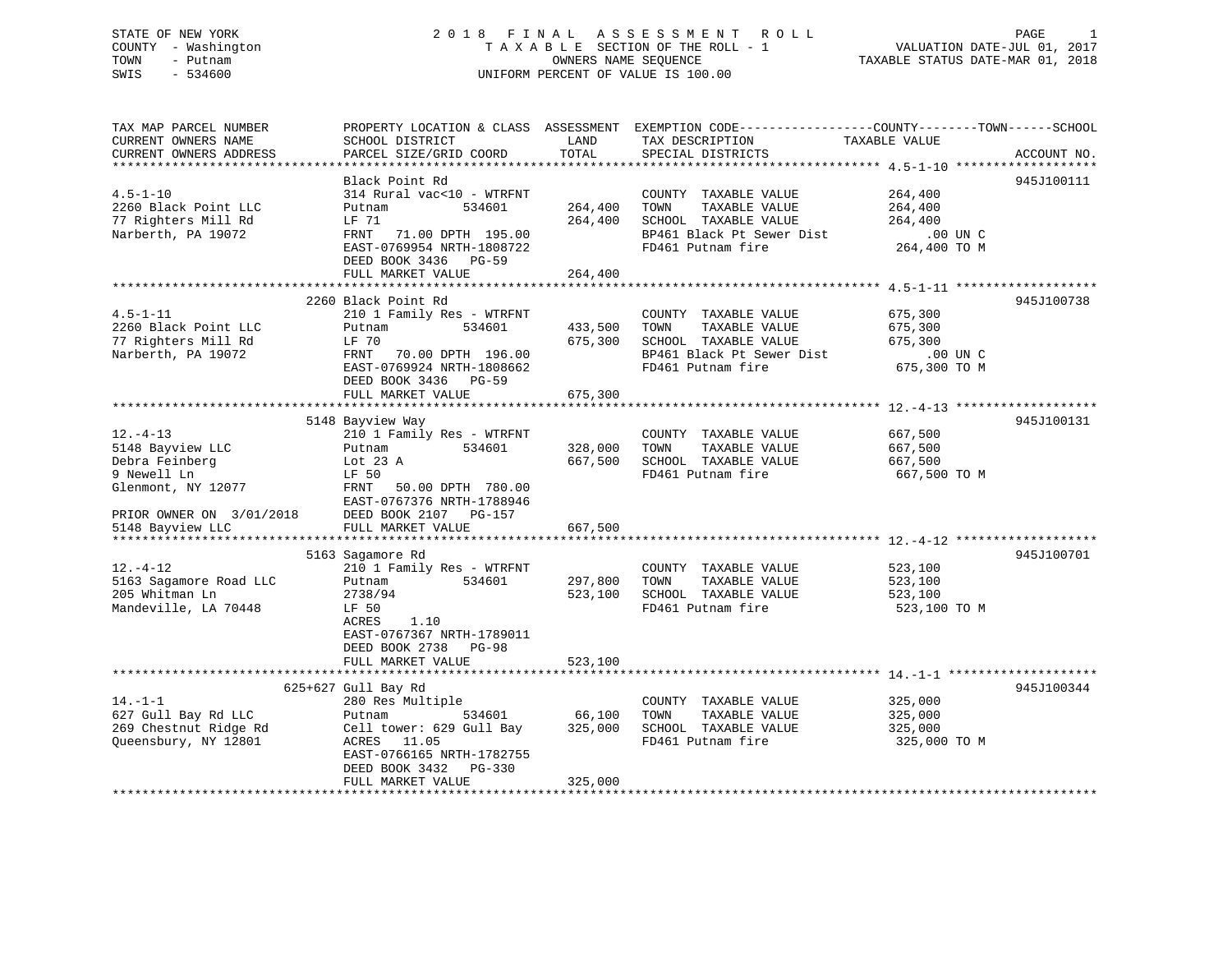## STATE OF NEW YORK 2 0 1 8 F I N A L A S S E S S M E N T R O L L PAGE 1 COUNTY - Washington T A X A B L E SECTION OF THE ROLL - 1 VALUATION DATE-JUL 01, 2017 TOWN - Putnam OWNERS NAME SEQUENCE TAXABLE STATUS DATE-MAR 01, 2018 SWIS - 534600 UNIFORM PERCENT OF VALUE IS 100.00

| TAX MAP PARCEL NUMBER                                                                  |                                  |               | PROPERTY LOCATION & CLASS ASSESSMENT EXEMPTION CODE----------------COUNTY-------TOWN------SCHOOL |               |             |
|----------------------------------------------------------------------------------------|----------------------------------|---------------|--------------------------------------------------------------------------------------------------|---------------|-------------|
| CURRENT OWNERS NAME                                                                    | SCHOOL DISTRICT                  | LAND          | TAX DESCRIPTION                                                                                  | TAXABLE VALUE |             |
| CURRENT OWNERS ADDRESS                                                                 | PARCEL SIZE/GRID COORD           | TOTAL         | SPECIAL DISTRICTS                                                                                |               | ACCOUNT NO. |
|                                                                                        |                                  |               |                                                                                                  |               |             |
|                                                                                        | Black Point Rd                   |               |                                                                                                  |               | 945J100111  |
|                                                                                        |                                  |               |                                                                                                  |               |             |
| $4.5 - 1 - 10$                                                                         | 314 Rural vac<10 - WTRFNT        |               | COUNTY TAXABLE VALUE                                                                             | 264,400       |             |
| 2260 Black Point LLC                                                                   | Putnam<br>534601                 | 264,400       | TOWN<br>TAXABLE VALUE                                                                            | 264,400       |             |
| 77 Righters Mill Rd                                                                    | LF 71                            | 264,400       | SCHOOL TAXABLE VALUE                                                                             | 264,400       |             |
| Narberth, PA 19072                                                                     | FRNT 71.00 DPTH 195.00           |               | BP461 Black Pt Sewer Dist                                                                        | .00 UN C      |             |
|                                                                                        | EAST-0769954 NRTH-1808722        |               | FD461 Putnam fire                                                                                | 264,400 TO M  |             |
|                                                                                        | DEED BOOK 3436 PG-59             |               |                                                                                                  |               |             |
|                                                                                        | FULL MARKET VALUE                | 264,400       |                                                                                                  |               |             |
|                                                                                        |                                  |               |                                                                                                  |               |             |
|                                                                                        |                                  |               |                                                                                                  |               |             |
|                                                                                        | 2260 Black Point Rd              |               |                                                                                                  |               | 945J100738  |
| $4.5 - 1 - 11$                                                                         | 210 1 Family Res - WTRFNT        |               | COUNTY TAXABLE VALUE                                                                             | 675,300       |             |
| 2260 Black Point LLC                                                                   | Putnam<br>534601                 | 433,500 TOWN  | TAXABLE VALUE                                                                                    | 675,300       |             |
| 77 Righters Mill Rd                                                                    | LF 70                            | 675,300       | SCHOOL TAXABLE VALUE                                                                             | 675,300       |             |
| Narberth, PA 19072                                                                     | 70.00 DPTH 196.00<br>FRNT        |               | BP461 Black Pt Sewer Dist                                                                        | .00 UN C      |             |
|                                                                                        | EAST-0769924 NRTH-1808662        |               | FD461 Putnam fire                                                                                | 675,300 TO M  |             |
|                                                                                        |                                  |               |                                                                                                  |               |             |
|                                                                                        | DEED BOOK 3436 PG-59             |               |                                                                                                  |               |             |
|                                                                                        | FULL MARKET VALUE                | 675,300       |                                                                                                  |               |             |
|                                                                                        |                                  |               |                                                                                                  |               |             |
|                                                                                        | 5148 Bayview Way                 |               |                                                                                                  |               | 945J100131  |
| $12. - 4 - 13$                                                                         | 210 1 Family Res - WTRFNT        |               | COUNTY TAXABLE VALUE 667,500                                                                     |               |             |
| 5148 Bayview LLC                                                                       | 534601<br>Putnam                 | 328,000 TOWN  | TAXABLE VALUE                                                                                    | 667,500       |             |
| Debra Feinberg                                                                         | Lot 23 A                         |               | 667,500 SCHOOL TAXABLE VALUE                                                                     | 667,500       |             |
| 9 Newell Ln                                                                            | LF 50                            |               | FD461 Putnam fire                                                                                | 667,500 TO M  |             |
|                                                                                        |                                  |               |                                                                                                  |               |             |
| Glenmont, NY 12077                                                                     | FRNT 50.00 DPTH 780.00           |               |                                                                                                  |               |             |
|                                                                                        | EAST-0767376 NRTH-1788946        |               |                                                                                                  |               |             |
| PRIOR OWNER ON $3/01/2018$ DEED BOOK 2107 PG-157<br>5148 Bayview LLC FULL MARKET VALUE |                                  |               |                                                                                                  |               |             |
|                                                                                        |                                  | 667,500       |                                                                                                  |               |             |
|                                                                                        |                                  |               |                                                                                                  |               |             |
|                                                                                        | 5163 Sagamore Rd                 |               |                                                                                                  |               | 945J100701  |
| $12. - 4 - 12$                                                                         | 210 1 Family Res - WTRFNT        |               | COUNTY TAXABLE VALUE                                                                             | 523,100       |             |
| 5163 Sagamore Road LLC                                                                 | 534601<br>Putnam                 | 297,800 TOWN  | TAXABLE VALUE                                                                                    | 523,100       |             |
| 205 Whitman Ln                                                                         | 2738/94                          |               | 523,100 SCHOOL TAXABLE VALUE                                                                     | 523,100       |             |
|                                                                                        |                                  |               |                                                                                                  |               |             |
| Mandeville, LA 70448                                                                   | LF 50                            |               | FD461 Putnam fire                                                                                | 523,100 TO M  |             |
|                                                                                        | ACRES<br>1.10                    |               |                                                                                                  |               |             |
|                                                                                        | EAST-0767367 NRTH-1789011        |               |                                                                                                  |               |             |
|                                                                                        | DEED BOOK 2738 PG-98             |               |                                                                                                  |               |             |
|                                                                                        | FULL MARKET VALUE                | 523,100       |                                                                                                  |               |             |
|                                                                                        |                                  |               |                                                                                                  |               |             |
|                                                                                        | 625+627 Gull Bay Rd              |               |                                                                                                  |               | 945J100344  |
| $14. - 1 - 1$                                                                          | 280 Res Multiple                 |               | COUNTY TAXABLE VALUE                                                                             | 325,000       |             |
|                                                                                        |                                  |               |                                                                                                  |               |             |
| 627 Gull Bay Rd LLC                                                                    | Putnam                           | 534601 66,100 | TOWN<br>TAXABLE VALUE                                                                            | 325,000       |             |
| 269 Chestnut Ridge Rd                                                                  | Cell tower: 629 Gull Bay 325,000 |               | SCHOOL TAXABLE VALUE                                                                             | 325,000       |             |
| Queensbury, NY 12801                                                                   | ACRES 11.05                      |               | FD461 Putnam fire                                                                                | 325,000 TO M  |             |
|                                                                                        | EAST-0766165 NRTH-1782755        |               |                                                                                                  |               |             |
|                                                                                        | DEED BOOK 3432 PG-330            |               |                                                                                                  |               |             |
|                                                                                        | FULL MARKET VALUE                | 325,000       |                                                                                                  |               |             |
|                                                                                        |                                  |               |                                                                                                  |               |             |
|                                                                                        |                                  |               |                                                                                                  |               |             |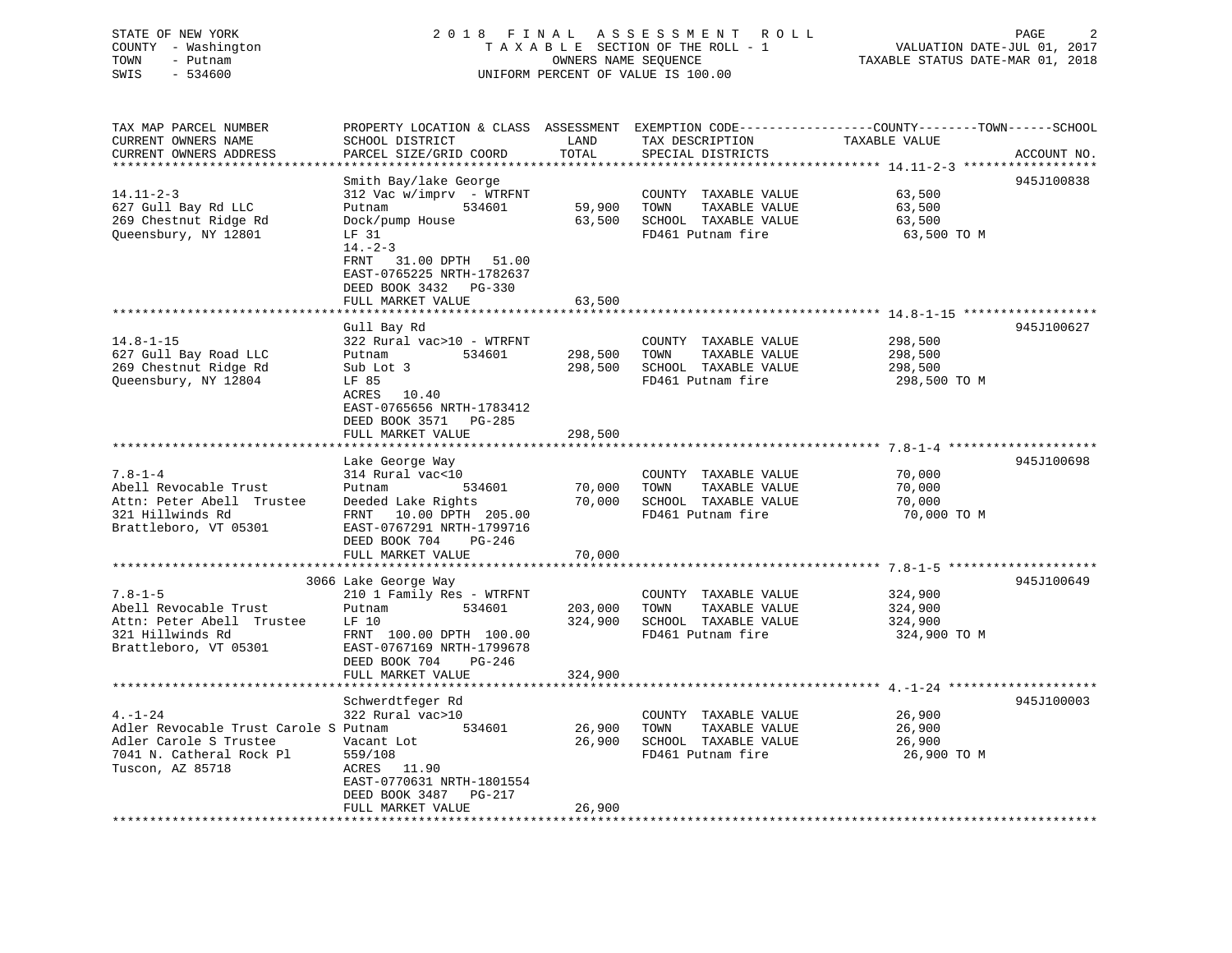## STATE OF NEW YORK 2 0 1 8 F I N A L A S S E S S M E N T R O L L PAGE 2 COUNTY - Washington T A X A B L E SECTION OF THE ROLL - 1 VALUATION DATE-JUL 01, 2017 TOWN - Putnam OWNERS NAME SEQUENCE TAXABLE STATUS DATE-MAR 01, 2018 SWIS - 534600 UNIFORM PERCENT OF VALUE IS 100.00

TAX MAP PARCEL NUMBER PROPERTY LOCATION & CLASS ASSESSMENT EXEMPTION CODE------------------COUNTY--------TOWN------SCHOOL

| CURRENT OWNERS NAME                   | SCHOOL DISTRICT                 | LAND    | TAX DESCRIPTION       | TAXABLE VALUE                                                  |             |
|---------------------------------------|---------------------------------|---------|-----------------------|----------------------------------------------------------------|-------------|
| CURRENT OWNERS ADDRESS                | PARCEL SIZE/GRID COORD          | TOTAL   | SPECIAL DISTRICTS     |                                                                | ACCOUNT NO. |
|                                       |                                 |         |                       |                                                                |             |
|                                       | Smith Bay/lake George           |         |                       |                                                                | 945J100838  |
| $14.11 - 2 - 3$                       | 312 Vac w/imprv - WTRFNT        |         | COUNTY TAXABLE VALUE  | 63,500                                                         |             |
| 627 Gull Bay Rd LLC                   | 534601<br>Putnam                | 59,900  | TAXABLE VALUE<br>TOWN | 63,500                                                         |             |
| 269 Chestnut Ridge Rd                 | Dock/pump House                 | 63,500  | SCHOOL TAXABLE VALUE  | 63,500                                                         |             |
| Queensbury, NY 12801                  | LF 31                           |         | FD461 Putnam fire     | 63,500 TO M                                                    |             |
|                                       | $14. - 2 - 3$                   |         |                       |                                                                |             |
|                                       | FRNT<br>31.00 DPTH<br>51.00     |         |                       |                                                                |             |
|                                       | EAST-0765225 NRTH-1782637       |         |                       |                                                                |             |
|                                       | DEED BOOK 3432<br>$PG-330$      |         |                       |                                                                |             |
|                                       | FULL MARKET VALUE               | 63,500  |                       |                                                                |             |
|                                       |                                 |         |                       |                                                                |             |
|                                       | Gull Bay Rd                     |         |                       |                                                                | 945J100627  |
| $14.8 - 1 - 15$                       | 322 Rural vac>10 - WTRFNT       |         | COUNTY TAXABLE VALUE  | 298,500                                                        |             |
| 627 Gull Bay Road LLC                 | Putnam<br>534601                | 298,500 | TOWN<br>TAXABLE VALUE | 298,500                                                        |             |
|                                       |                                 |         |                       |                                                                |             |
| 269 Chestnut Ridge Rd                 | Sub Lot 3                       | 298,500 | SCHOOL TAXABLE VALUE  | 298,500                                                        |             |
| Queensbury, NY 12804                  | LF 85                           |         | FD461 Putnam fire     | 298,500 TO M                                                   |             |
|                                       | ACRES<br>10.40                  |         |                       |                                                                |             |
|                                       | EAST-0765656 NRTH-1783412       |         |                       |                                                                |             |
|                                       | DEED BOOK 3571<br>$PG-285$      |         |                       |                                                                |             |
|                                       | FULL MARKET VALUE               | 298,500 |                       |                                                                |             |
|                                       | .                               | ******* |                       | ******************************** 7.8-1-4 ********************* |             |
|                                       | Lake George Way                 |         |                       |                                                                | 945J100698  |
| $7.8 - 1 - 4$                         | 314 Rural vac<10                |         | COUNTY TAXABLE VALUE  | 70,000                                                         |             |
| Abell Revocable Trust                 | 534601<br>Putnam                | 70,000  | TOWN<br>TAXABLE VALUE | 70,000                                                         |             |
| Attn: Peter Abell Trustee             | Deeded Lake Rights              | 70,000  | SCHOOL TAXABLE VALUE  | 70,000                                                         |             |
| 321 Hillwinds Rd                      | 10.00 DPTH 205.00<br>FRNT       |         | FD461 Putnam fire     | 70,000 TO M                                                    |             |
| Brattleboro, VT 05301                 | EAST-0767291 NRTH-1799716       |         |                       |                                                                |             |
|                                       | DEED BOOK 704<br>PG-246         |         |                       |                                                                |             |
|                                       | FULL MARKET VALUE               | 70,000  |                       |                                                                |             |
|                                       |                                 |         |                       |                                                                |             |
|                                       | 3066 Lake George Way            |         |                       |                                                                | 945J100649  |
| $7.8 - 1 - 5$                         | 210 1 Family Res - WTRFNT       |         | COUNTY TAXABLE VALUE  | 324,900                                                        |             |
| Abell Revocable Trust                 | 534601<br>Putnam                | 203,000 | TAXABLE VALUE<br>TOWN | 324,900                                                        |             |
| Attn: Peter Abell Trustee             | LF 10                           | 324,900 | SCHOOL TAXABLE VALUE  | 324,900                                                        |             |
| 321 Hillwinds Rd                      | FRNT 100.00 DPTH 100.00         |         | FD461 Putnam fire     | 324,900 TO M                                                   |             |
| Brattleboro, VT 05301                 | EAST-0767169 NRTH-1799678       |         |                       |                                                                |             |
|                                       |                                 |         |                       |                                                                |             |
|                                       | DEED BOOK 704<br>PG-246         |         |                       |                                                                |             |
|                                       | FULL MARKET VALUE               | 324,900 |                       |                                                                |             |
|                                       |                                 |         |                       |                                                                | 945J100003  |
|                                       | Schwerdtfeger Rd                |         |                       |                                                                |             |
| $4. - 1 - 24$                         | 322 Rural vac>10                |         | COUNTY TAXABLE VALUE  | 26,900                                                         |             |
| Adler Revocable Trust Carole S Putnam | 534601                          | 26,900  | TAXABLE VALUE<br>TOWN | 26,900                                                         |             |
| Adler Carole S Trustee                | Vacant Lot                      | 26,900  | SCHOOL TAXABLE VALUE  | 26,900                                                         |             |
| 7041 N. Catheral Rock Pl              | 559/108                         |         | FD461 Putnam fire     | 26,900 TO M                                                    |             |
| Tuscon, AZ 85718                      | ACRES<br>11.90                  |         |                       |                                                                |             |
|                                       | EAST-0770631 NRTH-1801554       |         |                       |                                                                |             |
|                                       | DEED BOOK 3487<br><b>PG-217</b> |         |                       |                                                                |             |
|                                       | FULL MARKET VALUE               | 26,900  |                       |                                                                |             |
|                                       |                                 |         |                       |                                                                |             |
|                                       |                                 |         |                       |                                                                |             |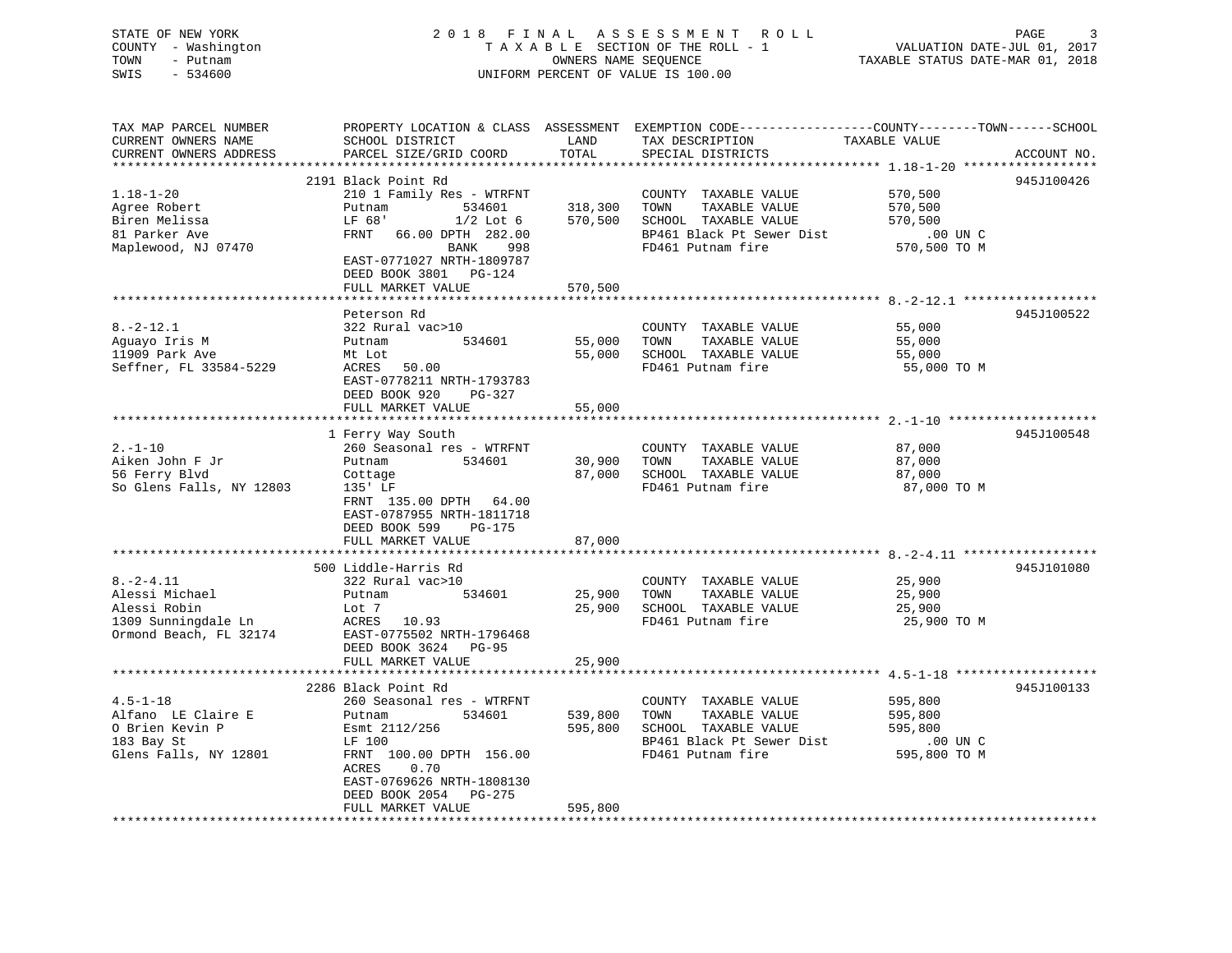STATE OF NEW YORK 2 0 1 8 F I N A L A S S E S S M E N T R O L L PAGE 3 COUNTY - Washington T A X A B L E SECTION OF THE ROLL - 1 VALUATION DATE-JUL 01, 2017 TOWN - Putnam OWNERS NAME SEQUENCE TAXABLE STATUS DATE-MAR 01, 2018 SWIS - 534600 UNIFORM PERCENT OF VALUE IS 100.00UNIFORM PERCENT OF VALUE IS 100.00

| TAX MAP PARCEL NUMBER    |                           |                    |                              | PROPERTY LOCATION & CLASS ASSESSMENT EXEMPTION CODE----------------COUNTY-------TOWN------SCHOOL |
|--------------------------|---------------------------|--------------------|------------------------------|--------------------------------------------------------------------------------------------------|
| CURRENT OWNERS NAME      | SCHOOL DISTRICT           | LAND               | TAX DESCRIPTION              | TAXABLE VALUE                                                                                    |
| CURRENT OWNERS ADDRESS   | PARCEL SIZE/GRID COORD    | TOTAL              | SPECIAL DISTRICTS            | ACCOUNT NO.                                                                                      |
|                          |                           |                    |                              |                                                                                                  |
|                          | 2191 Black Point Rd       |                    |                              | 945J100426                                                                                       |
| $1.18 - 1 - 20$          | 210 1 Family Res - WTRFNT |                    | COUNTY TAXABLE VALUE         | 570,500                                                                                          |
| Agree Robert             | Putnam<br>534601          | 318,300<br>570,500 | TAXABLE VALUE<br>TOWN        | 570,500                                                                                          |
| Biren Melissa            | LF 68'<br>$1/2$ Lot $6$   |                    | SCHOOL TAXABLE VALUE         | 570,500                                                                                          |
| 81 Parker Ave            | FRNT 66.00 DPTH 282.00    |                    | BP461 Black Pt Sewer Dist    | .00 UN C                                                                                         |
| Maplewood, NJ 07470      | BANK<br>998               |                    | FD461 Putnam fire            | 570,500 TO M                                                                                     |
|                          | EAST-0771027 NRTH-1809787 |                    |                              |                                                                                                  |
|                          | DEED BOOK 3801 PG-124     |                    |                              |                                                                                                  |
|                          | FULL MARKET VALUE         | 570,500            |                              |                                                                                                  |
|                          |                           |                    |                              |                                                                                                  |
|                          | Peterson Rd               |                    |                              | 945J100522                                                                                       |
| $8. - 2 - 12.1$          | 322 Rural vac>10          |                    | COUNTY TAXABLE VALUE         | 55,000                                                                                           |
| Aguayo Iris M            | 534601<br>Putnam          | 55,000             | TAXABLE VALUE<br>TOWN        | 55,000                                                                                           |
| 11909 Park Ave           | Mt Lot                    | 55,000             | SCHOOL TAXABLE VALUE         | 55,000                                                                                           |
| Seffner, FL 33584-5229   | ACRES 50.00               |                    | FD461 Putnam fire            | 55,000 TO M                                                                                      |
|                          | EAST-0778211 NRTH-1793783 |                    |                              |                                                                                                  |
|                          | DEED BOOK 920<br>PG-327   |                    |                              |                                                                                                  |
|                          | FULL MARKET VALUE         | 55,000             |                              |                                                                                                  |
|                          |                           |                    |                              |                                                                                                  |
|                          | 1 Ferry Way South         |                    |                              | 945J100548                                                                                       |
| $2. - 1 - 10$            | 260 Seasonal res - WTRFNT |                    | COUNTY TAXABLE VALUE         | 87,000                                                                                           |
| Aiken John F Jr          | 534601<br>Putnam          |                    | 30,900 TOWN<br>TAXABLE VALUE | 87,000                                                                                           |
| 56 Ferry Blvd            | Cottage                   |                    | 87,000 SCHOOL TAXABLE VALUE  | 87,000                                                                                           |
| So Glens Falls, NY 12803 | 135' LF                   |                    | FD461 Putnam fire            | 87,000 TO M                                                                                      |
|                          | FRNT 135.00 DPTH 64.00    |                    |                              |                                                                                                  |
|                          | EAST-0787955 NRTH-1811718 |                    |                              |                                                                                                  |
|                          | DEED BOOK 599 PG-175      |                    |                              |                                                                                                  |
|                          | FULL MARKET VALUE         | 87,000             |                              |                                                                                                  |
|                          | 500 Liddle-Harris Rd      |                    |                              | 945J101080                                                                                       |
| $8. -2 - 4.11$           | 322 Rural vac>10          |                    | COUNTY TAXABLE VALUE         | 25,900                                                                                           |
| Alessi Michael           | 534601<br>Putnam          | 25,900             | TOWN<br>TAXABLE VALUE        | 25,900                                                                                           |
| Alessi Robin             | Lot 7                     | 25,900             | SCHOOL TAXABLE VALUE         | 25,900                                                                                           |
| 1309 Sunningdale Ln      | ACRES 10.93               |                    | FD461 Putnam fire            | 25,900 TO M                                                                                      |
| Ormond Beach, FL 32174   | EAST-0775502 NRTH-1796468 |                    |                              |                                                                                                  |
|                          | DEED BOOK 3624 PG-95      |                    |                              |                                                                                                  |
|                          | FULL MARKET VALUE         | 25,900             |                              |                                                                                                  |
|                          |                           |                    |                              |                                                                                                  |
|                          | 2286 Black Point Rd       |                    |                              | 945J100133                                                                                       |
| $4.5 - 1 - 18$           | 260 Seasonal res - WTRFNT |                    | COUNTY TAXABLE VALUE         | 595,800                                                                                          |
| Alfano LE Claire E       | Putnam<br>534601          | 539,800            | TOWN<br>TAXABLE VALUE        | 595,800                                                                                          |
| O Brien Kevin P          | Esmt 2112/256             | 595,800            | SCHOOL TAXABLE VALUE         | 595,800                                                                                          |
| 183 Bay St               | LF 100                    |                    | BP461 Black Pt Sewer Dist    | .00 UN C                                                                                         |
| Glens Falls, NY 12801    | FRNT 100.00 DPTH 156.00   |                    | FD461 Putnam fire            | 595,800 TO M                                                                                     |
|                          | 0.70<br>ACRES             |                    |                              |                                                                                                  |
|                          | EAST-0769626 NRTH-1808130 |                    |                              |                                                                                                  |
|                          | DEED BOOK 2054 PG-275     |                    |                              |                                                                                                  |
|                          | FULL MARKET VALUE         | 595,800            |                              |                                                                                                  |
|                          |                           |                    |                              |                                                                                                  |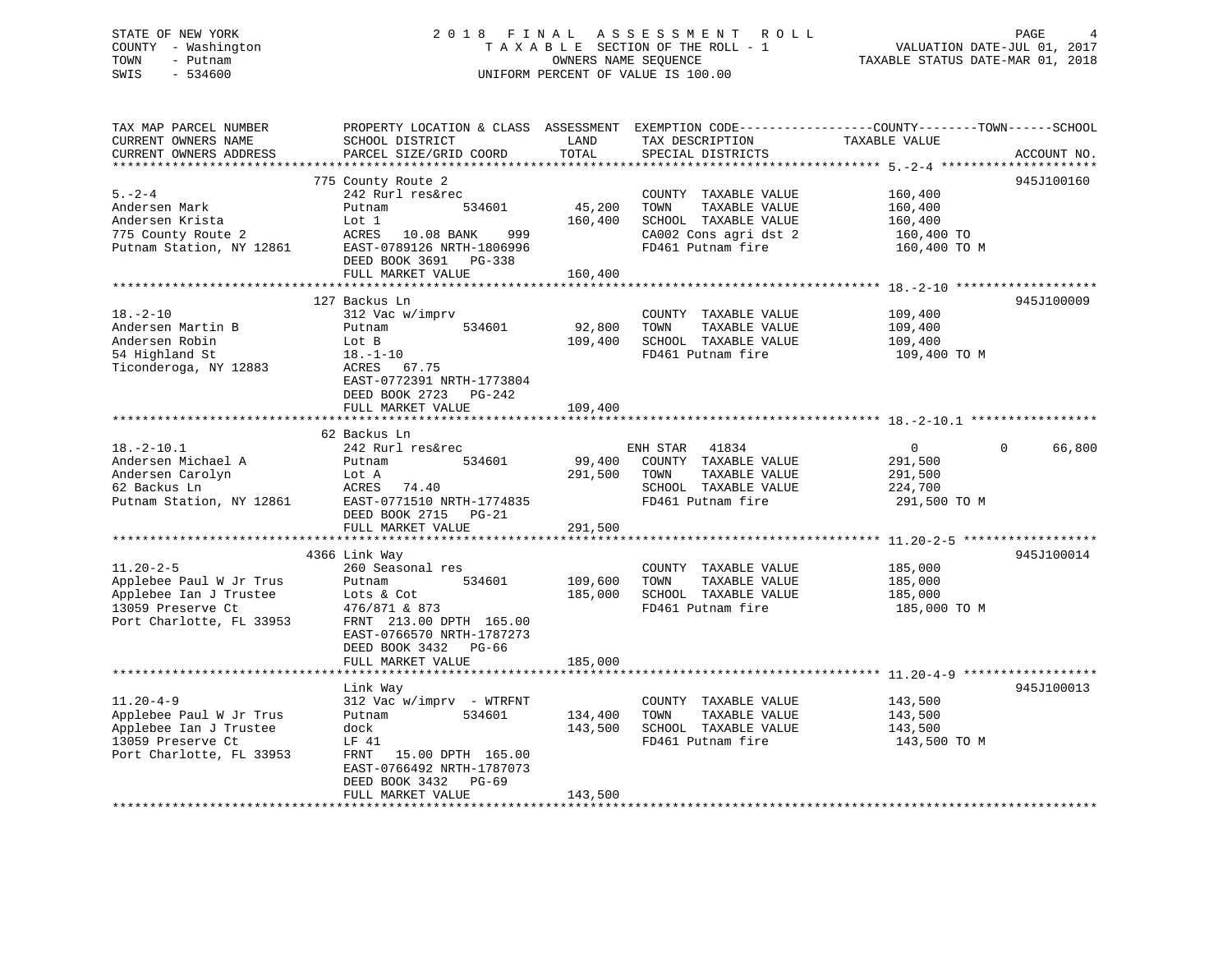## STATE OF NEW YORK 2 0 1 8 F I N A L A S S E S S M E N T R O L L PAGE 4 COUNTY - Washington T A X A B L E SECTION OF THE ROLL - 1 VALUATION DATE-JUL 01, 2017 TOWN - Putnam OWNERS NAME SEQUENCE TAXABLE STATUS DATE-MAR 01, 2018 SWIS - 534600 UNIFORM PERCENT OF VALUE IS 100.00UNIFORM PERCENT OF VALUE IS 100.00

| TAX MAP PARCEL NUMBER<br>CURRENT OWNERS NAME | PROPERTY LOCATION & CLASS ASSESSMENT EXEMPTION CODE----------------COUNTY-------TOWN------SCHOOL<br>SCHOOL DISTRICT | LAND         | TAX DESCRIPTION                       | TAXABLE VALUE  |                    |
|----------------------------------------------|---------------------------------------------------------------------------------------------------------------------|--------------|---------------------------------------|----------------|--------------------|
| CURRENT OWNERS ADDRESS                       | PARCEL SIZE/GRID COORD                                                                                              | TOTAL        | SPECIAL DISTRICTS                     |                | ACCOUNT NO.        |
|                                              |                                                                                                                     |              |                                       |                |                    |
| $5 - 2 - 4$                                  | 775 County Route 2<br>242 Rurl res&rec                                                                              |              | COUNTY TAXABLE VALUE                  | 160,400        | 945J100160         |
| Andersen Mark                                | 534601<br>Putnam                                                                                                    | 45,200       | TAXABLE VALUE<br>TOWN                 | 160,400        |                    |
| Andersen Krista                              | Lot 1                                                                                                               | 160,400      | SCHOOL TAXABLE VALUE                  | 160,400        |                    |
| 775 County Route 2                           | ACRES 10.08 BANK<br>999                                                                                             |              | CA002 Cons agri dst 2                 | 160,400 TO     |                    |
| Putnam Station, NY 12861                     | EAST-0789126 NRTH-1806996                                                                                           |              | FD461 Putnam fire                     | 160,400 TO M   |                    |
|                                              | DEED BOOK 3691 PG-338                                                                                               |              |                                       |                |                    |
|                                              | FULL MARKET VALUE                                                                                                   | 160,400      |                                       |                |                    |
|                                              |                                                                                                                     |              |                                       |                |                    |
|                                              | 127 Backus Ln                                                                                                       |              |                                       |                | 945J100009         |
| $18. -2 - 10$                                | 312 Vac w/imprv                                                                                                     |              | COUNTY TAXABLE VALUE                  | 109,400        |                    |
| Andersen Martin B                            | 534601<br>Putnam                                                                                                    | 92,800       | TAXABLE VALUE<br>TOWN                 | 109,400        |                    |
| Andersen Robin                               | Lot B                                                                                                               | 109,400      | SCHOOL TAXABLE VALUE                  | 109,400        |                    |
| 54 Highland St                               | 18.–1–10                                                                                                            |              | FD461 Putnam fire                     | 109,400 TO M   |                    |
| Ticonderoga, NY 12883                        | ACRES 67.75                                                                                                         |              |                                       |                |                    |
|                                              | EAST-0772391 NRTH-1773804                                                                                           |              |                                       |                |                    |
|                                              | DEED BOOK 2723 PG-242                                                                                               |              |                                       |                |                    |
|                                              | FULL MARKET VALUE                                                                                                   | 109,400      |                                       |                |                    |
|                                              |                                                                                                                     |              |                                       |                |                    |
|                                              | 62 Backus Ln                                                                                                        |              |                                       |                |                    |
| $18. - 2 - 10.1$                             | 242 Rurl res&rec                                                                                                    |              | ENH STAR 41834                        | $\overline{0}$ | 66,800<br>$\Omega$ |
| Andersen Michael A                           | Putnam<br>534601                                                                                                    | 99,400       | COUNTY TAXABLE VALUE                  | 291,500        |                    |
| Andersen Carolyn<br>62 Backus Ln             | Lot A                                                                                                               | 291,500 TOWN | TAXABLE VALUE<br>SCHOOL TAXABLE VALUE | 291,500        |                    |
|                                              | ACRES 74.40                                                                                                         |              | FD461 Putnam fire                     | 224,700        |                    |
|                                              | Putnam Station, NY 12861 EAST-0771510 NRTH-1774835<br>DEED BOOK 2715 PG-21                                          |              |                                       | 291,500 TO M   |                    |
|                                              | FULL MARKET VALUE                                                                                                   | 291,500      |                                       |                |                    |
|                                              |                                                                                                                     |              |                                       |                |                    |
|                                              | 4366 Link Way                                                                                                       |              |                                       |                | 945J100014         |
| $11.20 - 2 - 5$                              | 260 Seasonal res                                                                                                    |              | COUNTY TAXABLE VALUE                  | 185,000        |                    |
| Applebee Paul W Jr Trus                      | 534601<br>Putnam                                                                                                    | 109,600      | TOWN<br>TAXABLE VALUE                 | 185,000        |                    |
| Applebee Ian J Trustee                       | Lots & Cot                                                                                                          | 185,000      | SCHOOL TAXABLE VALUE                  | 185,000        |                    |
| 13059 Preserve Ct                            | 476/871 & 873                                                                                                       |              | FD461 Putnam fire                     | 185,000 TO M   |                    |
| Port Charlotte, FL 33953                     | FRNT 213.00 DPTH 165.00                                                                                             |              |                                       |                |                    |
|                                              | EAST-0766570 NRTH-1787273                                                                                           |              |                                       |                |                    |
|                                              | DEED BOOK 3432 PG-66                                                                                                |              |                                       |                |                    |
|                                              | FULL MARKET VALUE                                                                                                   | 185,000      |                                       |                |                    |
|                                              |                                                                                                                     |              |                                       |                |                    |
|                                              | Link Way                                                                                                            |              |                                       |                | 945J100013         |
| $11.20 - 4 - 9$                              | $312$ Vac w/imprv - WTRFNT                                                                                          |              | COUNTY TAXABLE VALUE                  | 143,500        |                    |
| Applebee Paul W Jr Trus                      | 534601<br>Putnam                                                                                                    | 134,400      | TOWN<br>TAXABLE VALUE                 | 143,500        |                    |
| Applebee Ian J Trustee                       | dock                                                                                                                | 143,500      | SCHOOL TAXABLE VALUE                  | 143,500        |                    |
| 13059 Preserve Ct                            | LF 41                                                                                                               |              | FD461 Putnam fire                     | 143,500 TO M   |                    |
| Port Charlotte, FL 33953                     | FRNT 15.00 DPTH 165.00                                                                                              |              |                                       |                |                    |
|                                              | EAST-0766492 NRTH-1787073                                                                                           |              |                                       |                |                    |
|                                              | DEED BOOK 3432 PG-69<br>FULL MARKET VALUE                                                                           | 143,500      |                                       |                |                    |
|                                              |                                                                                                                     |              |                                       |                |                    |
|                                              |                                                                                                                     |              |                                       |                |                    |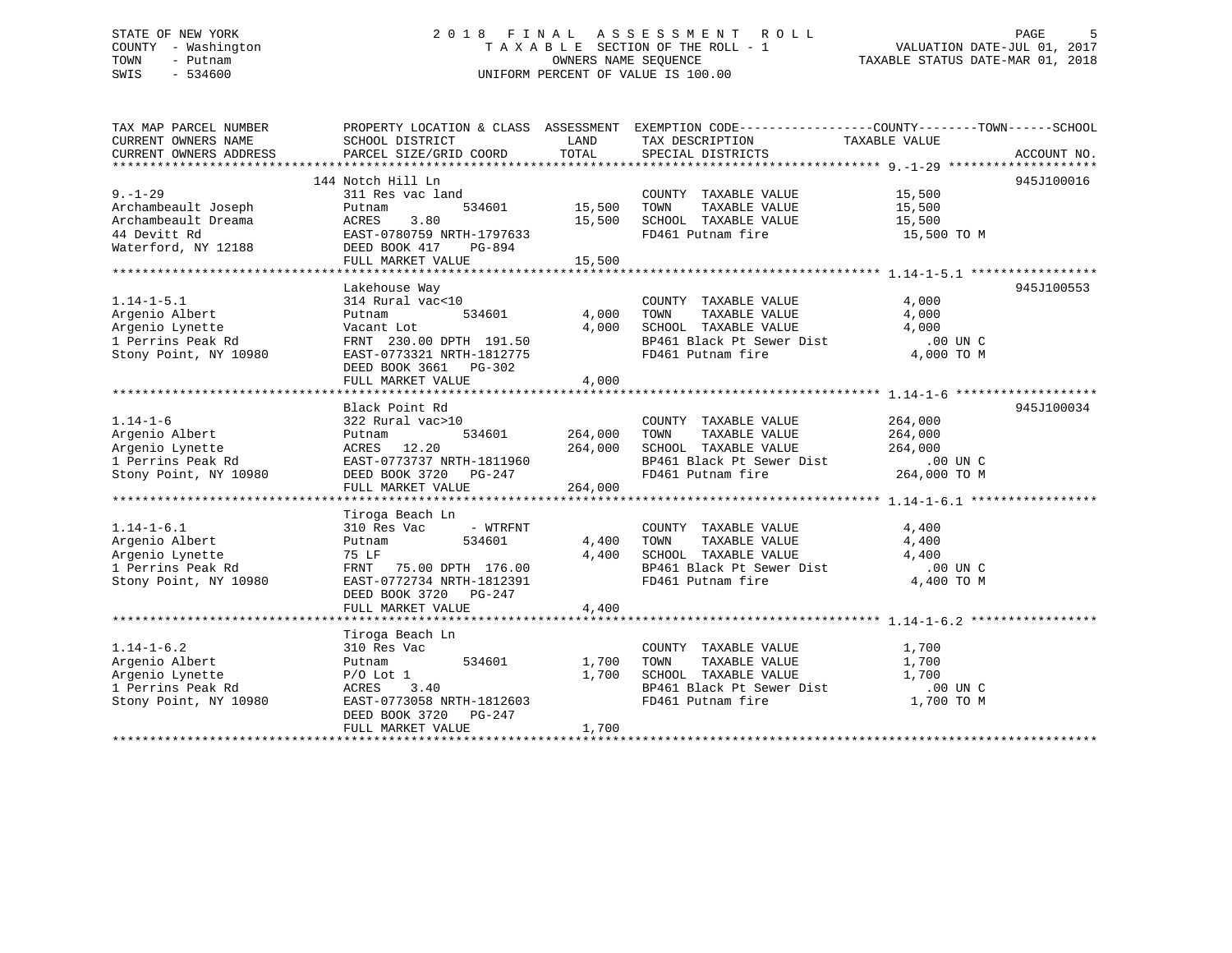## STATE OF NEW YORK 2 0 1 8 F I N A L A S S E S S M E N T R O L L PAGE 5 COUNTY - Washington T A X A B L E SECTION OF THE ROLL - 1 VALUATION DATE-JUL 01, 2017 TOWN - Putnam OWNERS NAME SEQUENCE TAXABLE STATUS DATE-MAR 01, 2018 SWIS - 534600 UNIFORM PERCENT OF VALUE IS 100.00

TAX MAP PARCEL NUMBER PROPERTY LOCATION & CLASS ASSESSMENT EXEMPTION CODE------------------COUNTY--------TOWN------SCHOOL CURRENT OWNERS NAME SCHOOL DISTRICT THE LAND TAX DESCRIPTION TAXABLE VALUE CURRENT OWNERS ADDRESS PARCEL SIZE/GRID COORD TOTAL SPECIAL DISTRICTS ACCOUNT NO. \*\*\*\*\*\*\*\*\*\*\*\*\*\*\*\*\*\*\*\*\*\*\*\*\*\*\*\*\*\*\*\*\*\*\*\*\*\*\*\*\*\*\*\*\*\*\*\*\*\*\*\*\*\*\*\*\*\*\*\*\*\*\*\*\*\*\*\*\*\*\*\*\*\*\*\*\*\*\*\*\*\*\*\*\*\*\*\*\*\*\*\*\*\*\*\*\*\*\*\*\*\*\* 9.-1-29 \*\*\*\*\*\*\*\*\*\*\*\*\*\*\*\*\*\*\*\* 144 Notch Hill Ln 945J1000169.-1-29 311 Res vac land COUNTY TAXABLE VALUE 15,500 Archambeault Joseph Putnam 534601 15,500 TOWN TAXABLE VALUE 15,500 Archambeault Dreama ACRES 3.80 15,500 SCHOOL TAXABLE VALUE 15,500 44 Devitt Rd EAST-0780759 NRTH-1797633 FD461 Putnam fire 15,500 TO M Waterford, NY 12188 DEED BOOK 417 PG-894 FULL MARKET VALUE 15,500 \*\*\*\*\*\*\*\*\*\*\*\*\*\*\*\*\*\*\*\*\*\*\*\*\*\*\*\*\*\*\*\*\*\*\*\*\*\*\*\*\*\*\*\*\*\*\*\*\*\*\*\*\*\*\*\*\*\*\*\*\*\*\*\*\*\*\*\*\*\*\*\*\*\*\*\*\*\*\*\*\*\*\*\*\*\*\*\*\*\*\*\*\*\*\*\*\*\*\*\*\*\*\* 1.14-1-5.1 \*\*\*\*\*\*\*\*\*\*\*\*\*\*\*\*\* Lakehouse Way 945J100553 1.14-1-5.1 314 Rural vac<10 COUNTY TAXABLE VALUE 4,000 Argenio Albert Putnam 534601 4,000 TOWN TAXABLE VALUE 4,000 Argenio Lynette Vacant Lot 4,000 SCHOOL TAXABLE VALUE 4,000 1 Perrins Peak Rd FRNT 230.00 DPTH 191.50 BP461 Black Pt Sewer Dist .00 UN C00 UN C.<br>4,000 TO M Stony Point, NY 10980 EAST-0773321 NRTH-1812775 FD461 Putnam fire 4,000 TO M DEED BOOK 3661 PG-302FULL MARKET VALUE 4,000 \*\*\*\*\*\*\*\*\*\*\*\*\*\*\*\*\*\*\*\*\*\*\*\*\*\*\*\*\*\*\*\*\*\*\*\*\*\*\*\*\*\*\*\*\*\*\*\*\*\*\*\*\*\*\*\*\*\*\*\*\*\*\*\*\*\*\*\*\*\*\*\*\*\*\*\*\*\*\*\*\*\*\*\*\*\*\*\*\*\*\*\*\*\*\*\*\*\*\*\*\*\*\* 1.14-1-6 \*\*\*\*\*\*\*\*\*\*\*\*\*\*\*\*\*\*\* Black Point Rd 945J1000341.14-1-6 322 Rural vac>10 COUNTY TAXABLE VALUE 264,000 Argenio Albert Putnam 534601 264,000 TOWN TAXABLE VALUE 264,000 Argenio Lynette ACRES 12.20 264,000 SCHOOL TAXABLE VALUE 264,000 1 Perrins Peak Rd EAST-0773737 NRTH-1811960 BP461 Black Pt Sewer Dist .00 UN CBP461 Black Pt Sewer Dist .00 UN C<br>FD461 Putnam fire 264,000 TO M Stony Point, NY 10980 DEED BOOK 3720 PG-247 FD461 Putnam fire 264,000 TO M FULL MARKET VALUE 264,000 \*\*\*\*\*\*\*\*\*\*\*\*\*\*\*\*\*\*\*\*\*\*\*\*\*\*\*\*\*\*\*\*\*\*\*\*\*\*\*\*\*\*\*\*\*\*\*\*\*\*\*\*\*\*\*\*\*\*\*\*\*\*\*\*\*\*\*\*\*\*\*\*\*\*\*\*\*\*\*\*\*\*\*\*\*\*\*\*\*\*\*\*\*\*\*\*\*\*\*\*\*\*\* 1.14-1-6.1 \*\*\*\*\*\*\*\*\*\*\*\*\*\*\*\*\* Tiroga Beach Ln 1.14-1-6.1 310 Res Vac - WTRFNT COUNTY TAXABLE VALUE 4,400 Argenio Albert Putnam 534601 4,400 TOWN TAXABLE VALUE 4,400 Argenio Lynette 75 LF 4,400 SCHOOL TAXABLE VALUE 4,400 1 Perrins Peak Rd FRNT 75.00 DPTH 176.00 BP461 Black Pt Sewer Dist .00 UN CStony Point, NY 10980 EAST-0772734 NRTH-1812391 FD461 Putnam fire 4,400 TO M DEED BOOK 3720 PG-247FULL MARKET VALUE 4,400 \*\*\*\*\*\*\*\*\*\*\*\*\*\*\*\*\*\*\*\*\*\*\*\*\*\*\*\*\*\*\*\*\*\*\*\*\*\*\*\*\*\*\*\*\*\*\*\*\*\*\*\*\*\*\*\*\*\*\*\*\*\*\*\*\*\*\*\*\*\*\*\*\*\*\*\*\*\*\*\*\*\*\*\*\*\*\*\*\*\*\*\*\*\*\*\*\*\*\*\*\*\*\* 1.14-1-6.2 \*\*\*\*\*\*\*\*\*\*\*\*\*\*\*\*\* Tiroga Beach Ln 1.14-1-6.2 310 Res Vac COUNTY TAXABLE VALUE 1,700 Argenio Albert Putnam 534601 1,700 TOWN TAXABLE VALUE 1,700 Argenio Lynette P/O Lot 1 1,700 SCHOOL TAXABLE VALUE 1,700 1 Perrins Peak Rd ACRES 3.40 BP461 Black Pt Sewer Dist .00 UN CStony Point, NY 10980 EAST-0773058 NRTH-1812603 FD461 Putnam fire 1,700 TO M DEED BOOK 3720 PG-247FULL MARKET VALUE 1,700 \*\*\*\*\*\*\*\*\*\*\*\*\*\*\*\*\*\*\*\*\*\*\*\*\*\*\*\*\*\*\*\*\*\*\*\*\*\*\*\*\*\*\*\*\*\*\*\*\*\*\*\*\*\*\*\*\*\*\*\*\*\*\*\*\*\*\*\*\*\*\*\*\*\*\*\*\*\*\*\*\*\*\*\*\*\*\*\*\*\*\*\*\*\*\*\*\*\*\*\*\*\*\*\*\*\*\*\*\*\*\*\*\*\*\*\*\*\*\*\*\*\*\*\*\*\*\*\*\*\*\*\*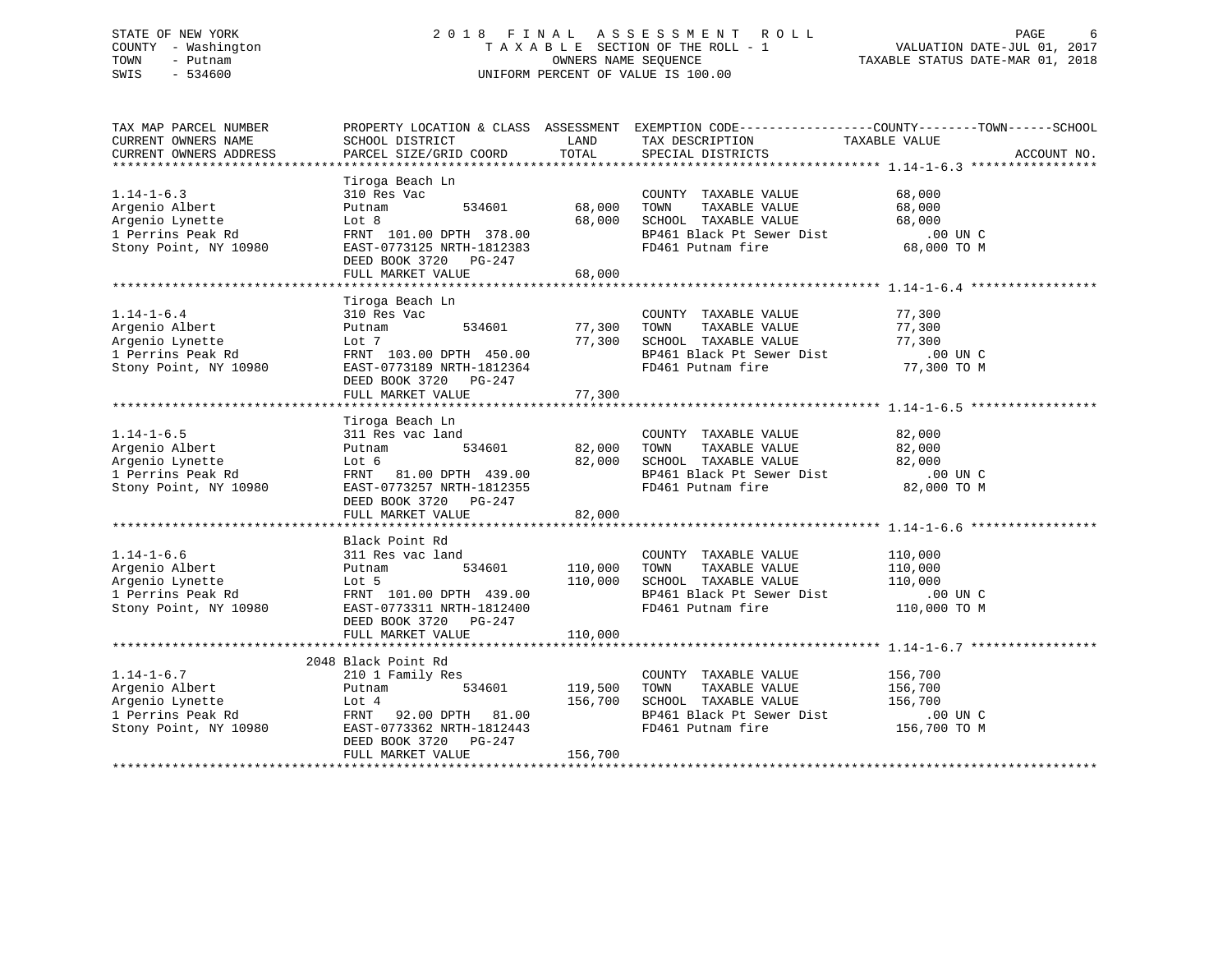## STATE OF NEW YORK 2 0 1 8 F I N A L A S S E S S M E N T R O L L PAGE 6 COUNTY - Washington T A X A B L E SECTION OF THE ROLL - 1 VALUATION DATE-JUL 01, 2017 TOWN - Putnam OWNERS NAME SEQUENCE TAXABLE STATUS DATE-MAR 01, 2018 SWIS - 534600 UNIFORM PERCENT OF VALUE IS 100.00

| TAX MAP PARCEL NUMBER<br>CURRENT OWNERS NAME<br>CURRENT OWNERS ADDRESS                                          | SCHOOL DISTRICT<br>PARCEL SIZE/GRID COORD                                                                                                                             | LAND<br>TOTAL                        | TAX DESCRIPTION<br>SPECIAL DISTRICTS                                                                                                                                                                                            | PROPERTY LOCATION & CLASS ASSESSMENT EXEMPTION CODE----------------COUNTY-------TOWN------SCHOOL<br>TAXABLE VALUE<br>ACCOUNT NO. |
|-----------------------------------------------------------------------------------------------------------------|-----------------------------------------------------------------------------------------------------------------------------------------------------------------------|--------------------------------------|---------------------------------------------------------------------------------------------------------------------------------------------------------------------------------------------------------------------------------|----------------------------------------------------------------------------------------------------------------------------------|
| $1.14 - 1 - 6.3$<br>Argenio Albert<br>Argenio Lynette<br>1 Perrins Peak Rd<br>Stony Point, NY 10980             | Tiroga Beach Ln<br>310 Res Vac<br>534601<br>Putnam<br>Lot 8<br>FRNT 101.00 DPTH 378.00<br>EAST-0773125 NRTH-1812383<br>DEED BOOK 3720 PG-247<br>FULL MARKET VALUE     | 68,000<br>68,000<br>68,000           | COUNTY TAXABLE VALUE<br>TOWN<br>TAXABLE VALUE<br>SCHOOL TAXABLE VALUE<br>SCHOOL TAXABLE VALUE 68,000<br>BP461 Black Pt Sewer Dist 00 UN C<br>FD461 Putnam fire                                                                  | 68,000<br>68,000<br>68,000<br>68,000 TO M                                                                                        |
| $1.14 - 1 - 6.4$<br>Argenio Albert<br>Argenio Lynette<br>1 Perrins Peak Rd<br>Stony Point, NY 10980             | Tiroga Beach Ln<br>310 Res Vac<br>534601<br>Putnam<br>Lot 7<br>FRNT 103.00 DPTH 450.00<br>EAST-0773189 NRTH-1812364<br>DEED BOOK 3720 PG-247<br>FULL MARKET VALUE     | 77,300                               | COUNTY TAXABLE VALUE 77,300<br>77,300 TOWN TAXABLE VALUE<br>77,300 SCHOOL TAXABLE VALUE<br>COUNTY TAXABLE VALUE<br>TOWN TAXABLE VALUE 77,300<br>SCHOOL TAXABLE VALUE 77,300<br>BP461 Black Pt Sewer Dist 00 UN C<br>77,300 TO M |                                                                                                                                  |
| $1.14 - 1 - 6.5$<br>Argenio Albert<br>Argenio Lynette<br>1 Perrins Peak Rd<br>Stony Point, NY 10980             | Tiroga Beach Ln<br>311 Res vac land<br>534601<br>Putnam<br>Lot 6<br>FRNT 81.00 DPTH 439.00<br>EAST-0773257 NRTH-1812355<br>DEED BOOK 3720 PG-247<br>FULL MARKET VALUE | 82,000                               | COUNTY TAXABLE VALUE 82,000<br>82,000 TOWN TAXABLE VALUE<br>82,000 SCHOOL TAXABLE VALUE<br>BP461 Black Pt Sewer Dist<br>FD461 Putnam fire                                                                                       | 82,000<br>82,000<br>$.00$ UN C<br>82,000 TO M                                                                                    |
|                                                                                                                 |                                                                                                                                                                       |                                      |                                                                                                                                                                                                                                 |                                                                                                                                  |
| $1.14 - 1 - 6.6$<br>Argenio Albert<br>Argenio Lynette<br>1 Perrins Peak Rd<br>Stony Point, NY 10980             | Black Point Rd<br>311 Res vac land<br>Putnam<br>Lot 5<br>FRNT 101.00 DPTH 439.00<br>EAST-0773311 NRTH-1812400<br>DEED BOOK 3720 PG-247                                | 534601 110,000<br>110,000            | COUNTY TAXABLE VALUE<br>TAXABLE VALUE<br>TOWN<br>SCHOOL TAXABLE VALUE 110,000<br>BP461 Black Pt Sewer Dist 00 UN C<br>FD461 Putnam fire 110,000 TO M                                                                            | 110,000<br>110,000                                                                                                               |
|                                                                                                                 | FULL MARKET VALUE                                                                                                                                                     | 110,000                              |                                                                                                                                                                                                                                 |                                                                                                                                  |
| $1.14 - 1 - 6.7$<br>Argenio Albert<br>)<br>980<br>Argenio Lynette<br>1 Perrins Peak Rd<br>Stony Point, NY 10980 | 2048 Black Point Rd<br>210 1 Family Res<br>Putnam<br>Lot 4<br>FRNT 92.00 DPTH 81.00<br>EAST-0773362 NRTH-1812443<br>DEED BOOK 3720 PG-247<br>FULL MARKET VALUE        | 534601 119,500<br>156,700<br>156,700 | COUNTY TAXABLE VALUE<br>TOWN<br>TAXABLE VALUE 156,700<br>SCHOOL TAXABLE VALUE<br>BP461 Black Pt Sewer Dist .00 UN C<br>FD461 Putnam fire                                                                                        | 156,700<br>156,700<br>156,700 TO M                                                                                               |
|                                                                                                                 |                                                                                                                                                                       |                                      |                                                                                                                                                                                                                                 |                                                                                                                                  |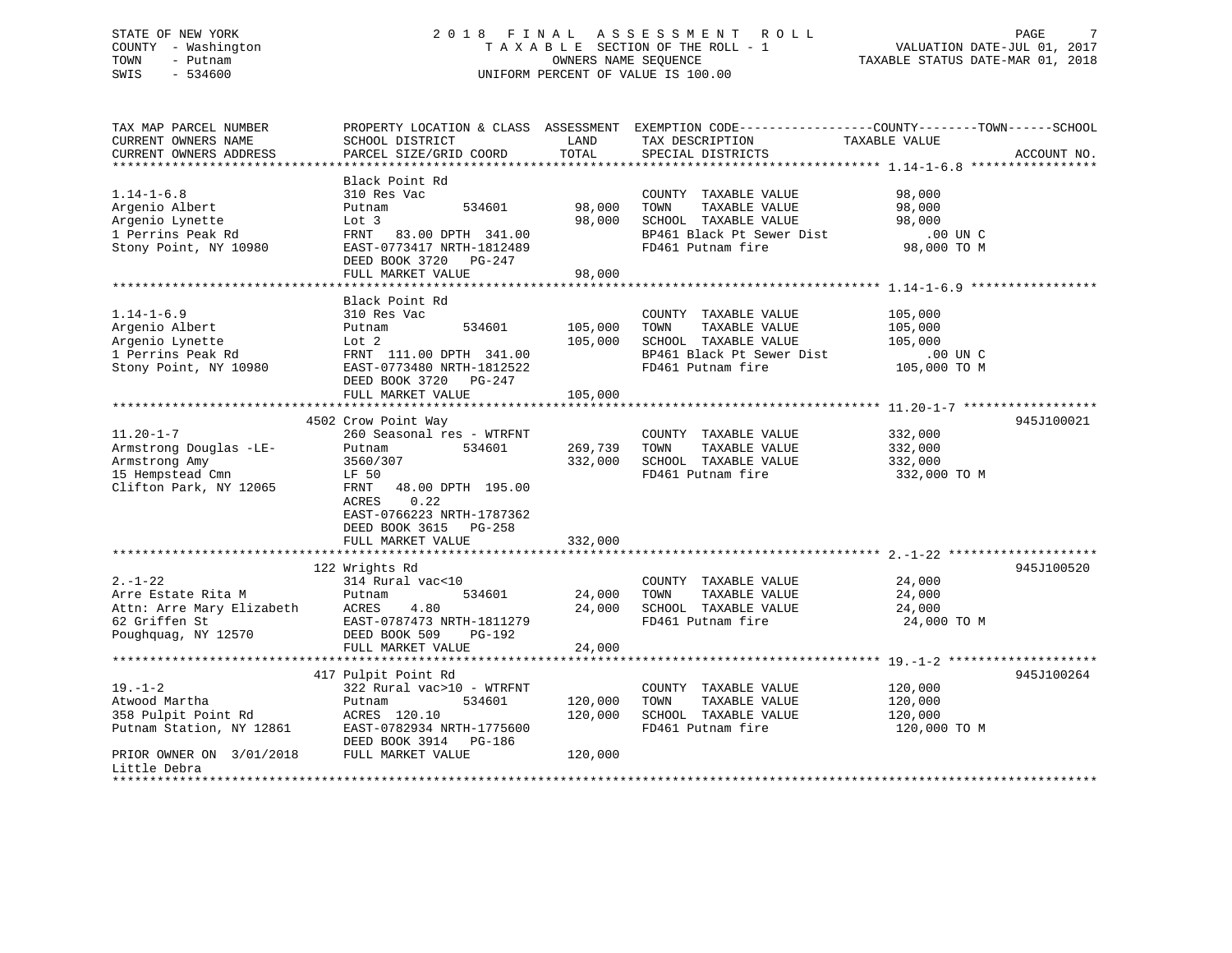## STATE OF NEW YORK 2 0 1 8 F I N A L A S S E S S M E N T R O L L PAGE 7 COUNTY - Washington T A X A B L E SECTION OF THE ROLL - 1 VALUATION DATE-JUL 01, 2017 TOWN - Putnam OWNERS NAME SEQUENCE TAXABLE STATUS DATE-MAR 01, 2018 SWIS - 534600 UNIFORM PERCENT OF VALUE IS 100.00

| TAX MAP PARCEL NUMBER     |                           |         | PROPERTY LOCATION & CLASS ASSESSMENT EXEMPTION CODE----------------COUNTY-------TOWN------SCHOOL |               |             |
|---------------------------|---------------------------|---------|--------------------------------------------------------------------------------------------------|---------------|-------------|
| CURRENT OWNERS NAME       | SCHOOL DISTRICT           | LAND    | TAX DESCRIPTION                                                                                  | TAXABLE VALUE |             |
| CURRENT OWNERS ADDRESS    | PARCEL SIZE/GRID COORD    | TOTAL   | SPECIAL DISTRICTS                                                                                |               | ACCOUNT NO. |
|                           |                           |         |                                                                                                  |               |             |
|                           | Black Point Rd            |         |                                                                                                  |               |             |
| $1.14 - 1 - 6.8$          | 310 Res Vac               |         | COUNTY TAXABLE VALUE                                                                             | 98,000        |             |
| Argenio Albert            | 534601<br>Putnam          | 98,000  | TAXABLE VALUE<br>TOWN                                                                            | 98,000        |             |
| Argenio Lynette           | Lot 3                     | 98,000  | SCHOOL TAXABLE VALUE                                                                             | 98,000        |             |
| 1 Perrins Peak Rd         | FRNT 83.00 DPTH 341.00    |         | BP461 Black Pt Sewer Dist                                                                        | .00 UN C      |             |
| Stony Point, NY 10980     | EAST-0773417 NRTH-1812489 |         | FD461 Putnam fire                                                                                | 98,000 TO M   |             |
|                           | DEED BOOK 3720 PG-247     |         |                                                                                                  |               |             |
|                           | FULL MARKET VALUE         | 98,000  |                                                                                                  |               |             |
|                           |                           |         |                                                                                                  |               |             |
|                           | Black Point Rd            |         |                                                                                                  |               |             |
| $1.14 - 1 - 6.9$          | 310 Res Vac               |         | COUNTY TAXABLE VALUE                                                                             | 105,000       |             |
| Argenio Albert            | 534601<br>Putnam          | 105,000 | TAXABLE VALUE<br>TOWN                                                                            | 105,000       |             |
| Argenio Lynette           | Lot 2                     | 105,000 | SCHOOL TAXABLE VALUE                                                                             | 105,000       |             |
| 1 Perrins Peak Rd         | FRNT 111.00 DPTH 341.00   |         | BP461 Black Pt Sewer Dist                                                                        | .00 UN C      |             |
| Stony Point, NY 10980     | EAST-0773480 NRTH-1812522 |         | FD461 Putnam fire                                                                                | 105,000 TO M  |             |
|                           | DEED BOOK 3720 PG-247     |         |                                                                                                  |               |             |
|                           | FULL MARKET VALUE         | 105,000 |                                                                                                  |               |             |
|                           |                           |         |                                                                                                  |               |             |
|                           | 4502 Crow Point Way       |         |                                                                                                  |               | 945J100021  |
| $11.20 - 1 - 7$           | 260 Seasonal res - WTRFNT |         | COUNTY TAXABLE VALUE                                                                             | 332,000       |             |
| Armstrong Douglas -LE-    | Putnam<br>534601          | 269,739 | TAXABLE VALUE<br>TOWN                                                                            | 332,000       |             |
| Armstrong Amy             | 3560/307                  | 332,000 | SCHOOL TAXABLE VALUE                                                                             | 332,000       |             |
| 15 Hempstead Cmn          | LF 50                     |         | FD461 Putnam fire                                                                                | 332,000 TO M  |             |
| Clifton Park, NY 12065    | FRNT<br>48.00 DPTH 195.00 |         |                                                                                                  |               |             |
|                           | 0.22<br>ACRES             |         |                                                                                                  |               |             |
|                           | EAST-0766223 NRTH-1787362 |         |                                                                                                  |               |             |
|                           | DEED BOOK 3615 PG-258     |         |                                                                                                  |               |             |
|                           | FULL MARKET VALUE         | 332,000 |                                                                                                  |               |             |
|                           |                           |         |                                                                                                  |               |             |
|                           | 122 Wrights Rd            |         |                                                                                                  |               | 945J100520  |
| $2. - 1 - 22$             | 314 Rural vac<10          |         | COUNTY TAXABLE VALUE                                                                             | 24,000        |             |
| Arre Estate Rita M        | Putnam<br>534601          | 24,000  | TOWN<br>TAXABLE VALUE                                                                            | 24,000        |             |
| Attn: Arre Mary Elizabeth | ACRES<br>4.80             | 24,000  | SCHOOL TAXABLE VALUE                                                                             | 24,000        |             |
| 62 Griffen St             | EAST-0787473 NRTH-1811279 |         | FD461 Putnam fire                                                                                | 24,000 TO M   |             |
| Poughquag, NY 12570       | DEED BOOK 509<br>PG-192   |         |                                                                                                  |               |             |
|                           | FULL MARKET VALUE         | 24,000  |                                                                                                  |               |             |
|                           |                           |         |                                                                                                  |               |             |
|                           | 417 Pulpit Point Rd       |         |                                                                                                  |               | 945J100264  |
| $19. - 1 - 2$             | 322 Rural vac>10 - WTRFNT |         | COUNTY TAXABLE VALUE                                                                             | 120,000       |             |
| Atwood Martha             | 534601<br>Putnam          | 120,000 | TAXABLE VALUE<br>TOWN                                                                            | 120,000       |             |
| 358 Pulpit Point Rd       | ACRES 120.10              | 120,000 | SCHOOL TAXABLE VALUE                                                                             | 120,000       |             |
| Putnam Station, NY 12861  | EAST-0782934 NRTH-1775600 |         | FD461 Putnam fire                                                                                | 120,000 TO M  |             |
|                           | DEED BOOK 3914 PG-186     |         |                                                                                                  |               |             |
| PRIOR OWNER ON 3/01/2018  | FULL MARKET VALUE         | 120,000 |                                                                                                  |               |             |
| Little Debra              |                           |         |                                                                                                  |               |             |
| *********                 |                           |         |                                                                                                  |               |             |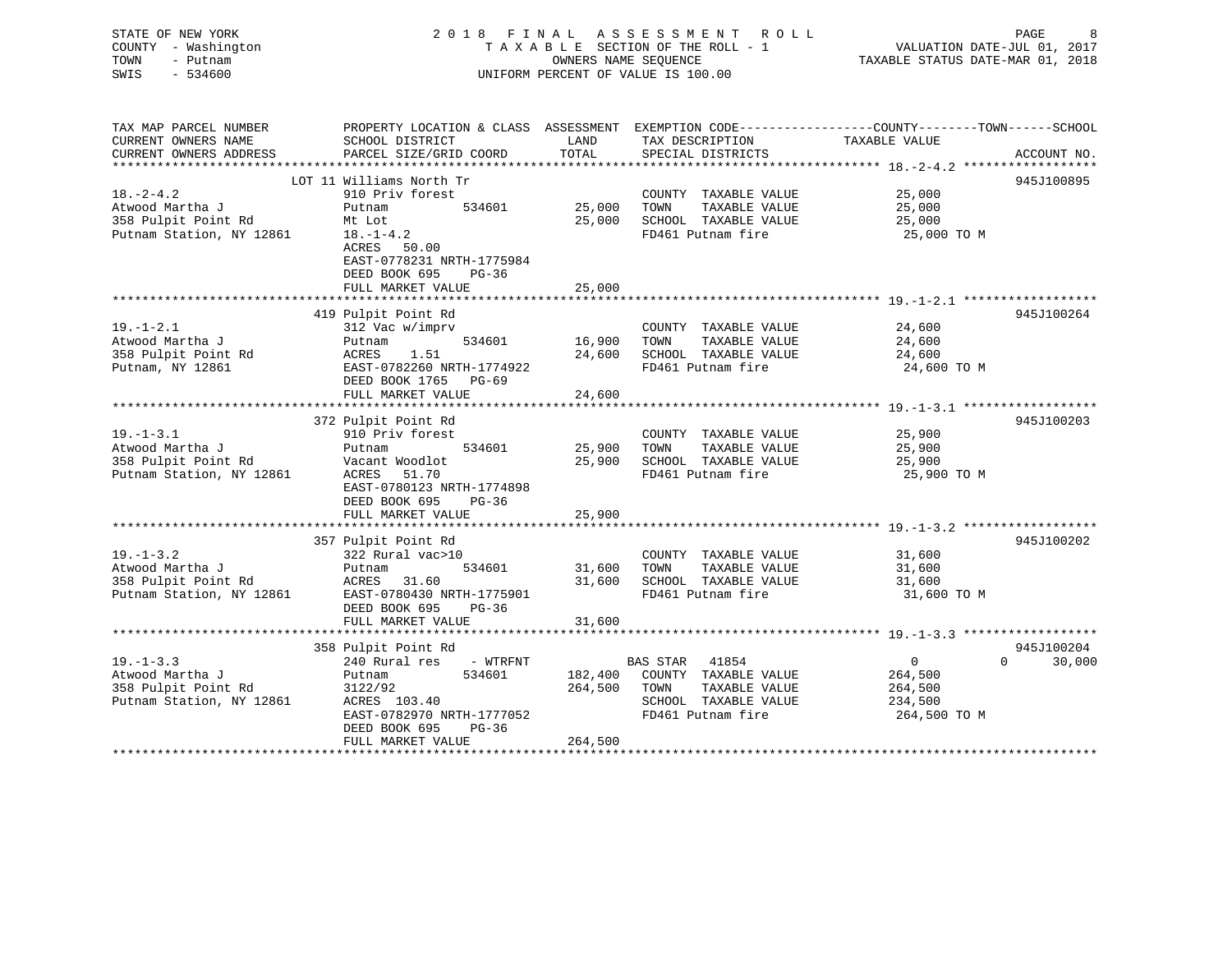| STATE OF NEW YORK<br>COUNTY - Washington<br>TOWN<br>- Putnam<br>SWIS<br>$-534600$ | 2018 FINAL                                            | OWNERS NAME SEOUENCE          | A S S E S S M E N T<br>ROLL<br>TAXABLE SECTION OF THE ROLL - 1<br>UNIFORM PERCENT OF VALUE IS 100.00 | PAGE<br>VALUATION DATE-JUL 01, 2017<br>TAXABLE STATUS DATE-MAR 01, 2018                         |  |
|-----------------------------------------------------------------------------------|-------------------------------------------------------|-------------------------------|------------------------------------------------------------------------------------------------------|-------------------------------------------------------------------------------------------------|--|
| TAX MAP PARCEL NUMBER                                                             |                                                       |                               |                                                                                                      | PROPERTY LOCATION & CLASS ASSESSMENT EXEMPTION CODE----------------COUNTY-------TOWN-----SCHOOL |  |
| CURRENT OWNERS NAME                                                               | SCHOOL DISTRICT                                       | LAND                          | TAX DESCRIPTION                                                                                      | TAXABLE VALUE                                                                                   |  |
| CURRENT OWNERS ADDRESS                                                            | PARCEL SIZE/GRID COORD                                | TOTAL                         | SPECIAL DISTRICTS                                                                                    | ACCOUNT NO.<br>******************* 18. -2-4.2 *******************                               |  |
|                                                                                   | LOT 11 Williams North Tr                              |                               |                                                                                                      | 945J100895                                                                                      |  |
| $18. - 2 - 4.2$                                                                   | 910 Priv forest                                       |                               | COUNTY TAXABLE VALUE                                                                                 | 25,000                                                                                          |  |
| Atwood Martha J                                                                   | Putnam<br>534601                                      | 25,000                        | TOWN<br>TAXABLE VALUE                                                                                | 25,000                                                                                          |  |
| 358 Pulpit Point Rd                                                               | Mt Lot                                                | 25,000                        | SCHOOL TAXABLE VALUE                                                                                 | 25,000                                                                                          |  |
| Putnam Station, NY 12861                                                          | $18. - 1 - 4.2$                                       |                               | FD461 Putnam fire                                                                                    | 25,000 TO M                                                                                     |  |
|                                                                                   | ACRES<br>50.00<br>EAST-0778231 NRTH-1775984           |                               |                                                                                                      |                                                                                                 |  |
|                                                                                   | DEED BOOK 695<br>$PG-36$                              |                               |                                                                                                      |                                                                                                 |  |
|                                                                                   | FULL MARKET VALUE<br>***********************          | 25,000<br>*************       |                                                                                                      |                                                                                                 |  |
|                                                                                   |                                                       |                               |                                                                                                      | 945J100264                                                                                      |  |
| $19. - 1 - 2.1$                                                                   | 419 Pulpit Point Rd<br>312 Vac w/imprv                |                               | COUNTY TAXABLE VALUE                                                                                 | 24,600                                                                                          |  |
| Atwood Martha J                                                                   | 534601<br>Putnam                                      | 16,900                        | TAXABLE VALUE<br>TOWN                                                                                | 24,600                                                                                          |  |
| 358 Pulpit Point Rd                                                               | 1.51<br>ACRES                                         | 24,600                        | SCHOOL TAXABLE VALUE                                                                                 | 24,600                                                                                          |  |
| Putnam, NY 12861                                                                  | EAST-0782260 NRTH-1774922                             |                               | FD461 Putnam fire                                                                                    | 24,600 TO M                                                                                     |  |
|                                                                                   | DEED BOOK 1765<br>PG-69                               |                               |                                                                                                      |                                                                                                 |  |
|                                                                                   | FULL MARKET VALUE                                     | 24,600                        |                                                                                                      |                                                                                                 |  |
|                                                                                   |                                                       |                               |                                                                                                      |                                                                                                 |  |
|                                                                                   | 372 Pulpit Point Rd                                   |                               |                                                                                                      | 945J100203                                                                                      |  |
| $19. - 1 - 3.1$<br>Atwood Martha J                                                | 910 Priv forest<br>Putnam<br>534601                   | 25,900                        | COUNTY TAXABLE VALUE<br>TAXABLE VALUE<br>TOWN                                                        | 25,900<br>25,900                                                                                |  |
| 358 Pulpit Point Rd                                                               | Vacant Woodlot                                        | 25,900                        | SCHOOL TAXABLE VALUE                                                                                 | 25,900                                                                                          |  |
| Putnam Station, NY 12861                                                          | ACRES<br>51.70                                        |                               | FD461 Putnam fire                                                                                    | 25,900 TO M                                                                                     |  |
|                                                                                   | EAST-0780123 NRTH-1774898                             |                               |                                                                                                      |                                                                                                 |  |
|                                                                                   | DEED BOOK 695<br>$PG-36$                              |                               |                                                                                                      |                                                                                                 |  |
|                                                                                   | FULL MARKET VALUE                                     | 25,900                        |                                                                                                      |                                                                                                 |  |
|                                                                                   |                                                       | ************                  |                                                                                                      |                                                                                                 |  |
|                                                                                   | 357 Pulpit Point Rd                                   |                               |                                                                                                      | 945J100202                                                                                      |  |
| $19. - 1 - 3.2$                                                                   | 322 Rural vac>10                                      |                               | COUNTY TAXABLE VALUE                                                                                 | 31,600                                                                                          |  |
| Atwood Martha J                                                                   | 534601<br>Putnam                                      | 31,600                        | TOWN<br>TAXABLE VALUE                                                                                | 31,600                                                                                          |  |
| 358 Pulpit Point Rd<br>Putnam Station, NY 12861                                   | ACRES<br>31.60<br>EAST-0780430 NRTH-1775901           | 31,600                        | SCHOOL TAXABLE VALUE<br>FD461 Putnam fire                                                            | 31,600<br>31,600 TO M                                                                           |  |
|                                                                                   | DEED BOOK 695<br>$PG-36$                              |                               |                                                                                                      |                                                                                                 |  |
|                                                                                   | FULL MARKET VALUE                                     | 31,600                        |                                                                                                      |                                                                                                 |  |
|                                                                                   | ***********************                               |                               |                                                                                                      |                                                                                                 |  |
|                                                                                   | 358 Pulpit Point Rd                                   |                               |                                                                                                      | 945J100204                                                                                      |  |
| $19. - 1 - 3.3$                                                                   | 240 Rural res<br>- WTRFNT                             |                               | BAS STAR<br>41854                                                                                    | $\overline{0}$<br>$\Omega$<br>30,000                                                            |  |
| Atwood Martha J                                                                   | 534601<br>Putnam                                      | 182,400                       | COUNTY TAXABLE VALUE                                                                                 | 264,500                                                                                         |  |
| 358 Pulpit Point Rd                                                               | 3122/92                                               | 264,500                       | TOWN<br>TAXABLE VALUE                                                                                | 264,500                                                                                         |  |
| Putnam Station, NY 12861                                                          | ACRES 103.40                                          |                               | SCHOOL TAXABLE VALUE                                                                                 | 234,500                                                                                         |  |
|                                                                                   | EAST-0782970 NRTH-1777052<br>DEED BOOK 695<br>$PG-36$ |                               | FD461 Putnam fire                                                                                    | 264,500 TO M                                                                                    |  |
|                                                                                   | FULL MARKET VALUE<br>***********************          | 264,500<br><b>+++++++++++</b> |                                                                                                      |                                                                                                 |  |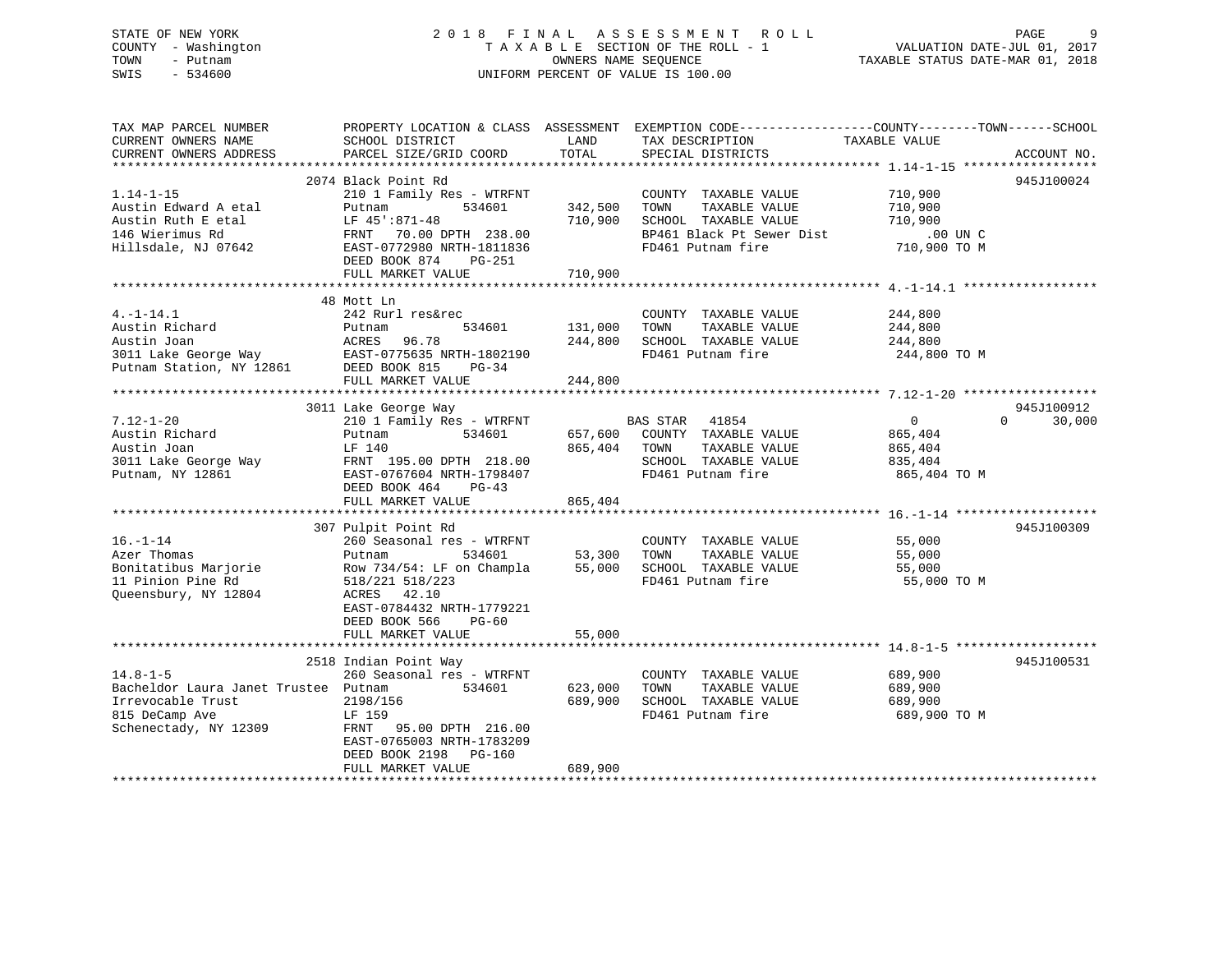## STATE OF NEW YORK 2 0 1 8 F I N A L A S S E S S M E N T R O L L PAGE 9 COUNTY - Washington T A X A B L E SECTION OF THE ROLL - 1 VALUATION DATE-JUL 01, 2017 TOWN - Putnam OWNERS NAME SEQUENCE TAXABLE STATUS DATE-MAR 01, 2018 SWIS - 534600 UNIFORM PERCENT OF VALUE IS 100.00

| TAX MAP PARCEL NUMBER                                                                                                                                                                                 |                                                                  |              | PROPERTY LOCATION & CLASS ASSESSMENT EXEMPTION CODE----------------COUNTY-------TOWN------SCHOOL |                    |             |
|-------------------------------------------------------------------------------------------------------------------------------------------------------------------------------------------------------|------------------------------------------------------------------|--------------|--------------------------------------------------------------------------------------------------|--------------------|-------------|
| CURRENT OWNERS NAME                                                                                                                                                                                   | SCHOOL DISTRICT                                                  | LAND         | TAX DESCRIPTION                                                                                  | TAXABLE VALUE      |             |
| CURRENT OWNERS ADDRESS                                                                                                                                                                                | PARCEL SIZE/GRID COORD                                           | TOTAL        | SPECIAL DISTRICTS                                                                                |                    | ACCOUNT NO. |
|                                                                                                                                                                                                       |                                                                  |              |                                                                                                  |                    |             |
|                                                                                                                                                                                                       | 2074 Black Point Rd                                              |              |                                                                                                  |                    | 945J100024  |
| $1.14 - 1 - 15$                                                                                                                                                                                       | 210 1 Family Res - WTRFNT                                        |              | COUNTY TAXABLE VALUE                                                                             | 710,900            |             |
| Austin Edward A etal                                                                                                                                                                                  | $534601$ $342,500$<br>Putnam                                     |              | TAXABLE VALUE<br>TOWN                                                                            | 710,900            |             |
| Austin Ruth E etal                                                                                                                                                                                    | LF 45':871-48                                                    | 710,900      | SCHOOL TAXABLE VALUE                                                                             | 710,900            |             |
| 146 Wierimus Rd                                                                                                                                                                                       |                                                                  |              |                                                                                                  |                    |             |
| Hillsdale, NJ 07642                                                                                                                                                                                   | EAST-0772980 NRTH-1811836                                        |              | FD461 Putnam fire                                                                                | 710,900 TO M       |             |
|                                                                                                                                                                                                       | DEED BOOK 874 PG-251                                             |              |                                                                                                  |                    |             |
|                                                                                                                                                                                                       | FULL MARKET VALUE                                                | 710,900      |                                                                                                  |                    |             |
|                                                                                                                                                                                                       |                                                                  |              |                                                                                                  |                    |             |
|                                                                                                                                                                                                       | 48 Mott Ln                                                       |              |                                                                                                  |                    |             |
| $4. -1 - 14.1$                                                                                                                                                                                        | 242 Rurl res&rec                                                 |              | COUNTY TAXABLE VALUE                                                                             | 244,800            |             |
|                                                                                                                                                                                                       |                                                                  |              | TAXABLE VALUE<br>TOWN                                                                            | 244,800            |             |
| Austin Richard<br>Austin Joan<br>Austin Richard Putnam 534601 131,000<br>Austin Joan 196.78 244,800<br>3011 Lake George Way EAST-0775635 NRTH-1802190<br>Putnam Station, NY 12861 DEED BOOK 815 PG-34 | 534601 131,000                                                   |              | SCHOOL TAXABLE VALUE                                                                             | 244,800            |             |
|                                                                                                                                                                                                       |                                                                  |              | FD461 Putnam fire                                                                                | 244,800 TO M       |             |
|                                                                                                                                                                                                       |                                                                  |              |                                                                                                  |                    |             |
|                                                                                                                                                                                                       |                                                                  |              |                                                                                                  |                    |             |
|                                                                                                                                                                                                       | FULL MARKET VALUE                                                | 244,800      |                                                                                                  |                    |             |
|                                                                                                                                                                                                       |                                                                  |              |                                                                                                  |                    | 945J100912  |
|                                                                                                                                                                                                       | 3011 Lake George Way<br>210 1 Family Res - WTRFNT BAS STAR 41854 |              |                                                                                                  |                    | $\Omega$    |
| $7.12 - 1 - 20$                                                                                                                                                                                       |                                                                  |              |                                                                                                  | $\overline{0}$     | 30,000      |
| Austin Richard                                                                                                                                                                                        | Putnam                                                           |              | 534601 657,600 COUNTY TAXABLE VALUE                                                              | 865,404<br>865,404 |             |
| Austin Joan                                                                                                                                                                                           | LF 140                                                           | 865,404 TOWN | TAXABLE VALUE                                                                                    |                    |             |
| 3011 Lake George Way FRNT 195.00 DPTH 218.00                                                                                                                                                          |                                                                  |              | SCHOOL TAXABLE VALUE 835,404                                                                     |                    |             |
|                                                                                                                                                                                                       |                                                                  |              | FD461 Putnam fire                                                                                | 865,404 TO M       |             |
|                                                                                                                                                                                                       | DEED BOOK 464 PG-43                                              |              |                                                                                                  |                    |             |
|                                                                                                                                                                                                       | FULL MARKET VALUE                                                | 865,404      |                                                                                                  |                    |             |
|                                                                                                                                                                                                       |                                                                  |              |                                                                                                  |                    |             |
|                                                                                                                                                                                                       | 307 Pulpit Point Rd                                              |              |                                                                                                  | 55,000             | 945J100309  |
| $16. - 1 - 14$                                                                                                                                                                                        | 260 Seasonal res - WTRFNT                                        |              | COUNTY TAXABLE VALUE                                                                             |                    |             |
| Azer Thomas                                                                                                                                                                                           | Putnam<br>534601                                                 |              | TAXABLE VALUE                                                                                    |                    |             |
| Bonitatibus Marjorie<br>Row 734/54: LF on Champla 55,000 SCHOOL TAXABLE VALUE                                                                                                                         |                                                                  |              |                                                                                                  | 55,000             |             |
| 11 Pinion Pine Rd                                                                                                                                                                                     | 518/221 518/223                                                  |              | FD461 Putnam fire                                                                                | 55,000 TO M        |             |
| Queensbury, NY 12804                                                                                                                                                                                  | ACRES 42.10                                                      |              |                                                                                                  |                    |             |
|                                                                                                                                                                                                       | EAST-0784432 NRTH-1779221                                        |              |                                                                                                  |                    |             |
|                                                                                                                                                                                                       | DEED BOOK 566<br>PG-60                                           |              |                                                                                                  |                    |             |
|                                                                                                                                                                                                       | FULL MARKET VALUE                                                | 55,000       |                                                                                                  |                    |             |
|                                                                                                                                                                                                       |                                                                  |              |                                                                                                  |                    |             |
|                                                                                                                                                                                                       | 2518 Indian Point Way                                            |              |                                                                                                  |                    | 945J100531  |
| $14.8 - 1 - 5$                                                                                                                                                                                        | 260 Seasonal res - WTRFNT                                        |              | COUNTY TAXABLE VALUE                                                                             | 689,900            |             |
| Bacheldor Laura Janet Trustee Putnam                                                                                                                                                                  | 534601                                                           | 623,000      | TOWN<br>TAXABLE VALUE                                                                            | 689,900            |             |
| Irrevocable Trust                                                                                                                                                                                     | 2198/156                                                         | 689,900      | SCHOOL TAXABLE VALUE                                                                             | 689,900            |             |
| 815 DeCamp Ave                                                                                                                                                                                        | LF 159                                                           |              | FD461 Putnam fire                                                                                | 689,900 TO M       |             |
| Schenectady, NY 12309                                                                                                                                                                                 | FRNT 95.00 DPTH 216.00                                           |              |                                                                                                  |                    |             |
|                                                                                                                                                                                                       | EAST-0765003 NRTH-1783209                                        |              |                                                                                                  |                    |             |
|                                                                                                                                                                                                       | DEED BOOK 2198 PG-160                                            |              |                                                                                                  |                    |             |
|                                                                                                                                                                                                       | FULL MARKET VALUE                                                | 689,900      |                                                                                                  |                    |             |
|                                                                                                                                                                                                       |                                                                  |              |                                                                                                  |                    |             |
|                                                                                                                                                                                                       |                                                                  |              |                                                                                                  |                    |             |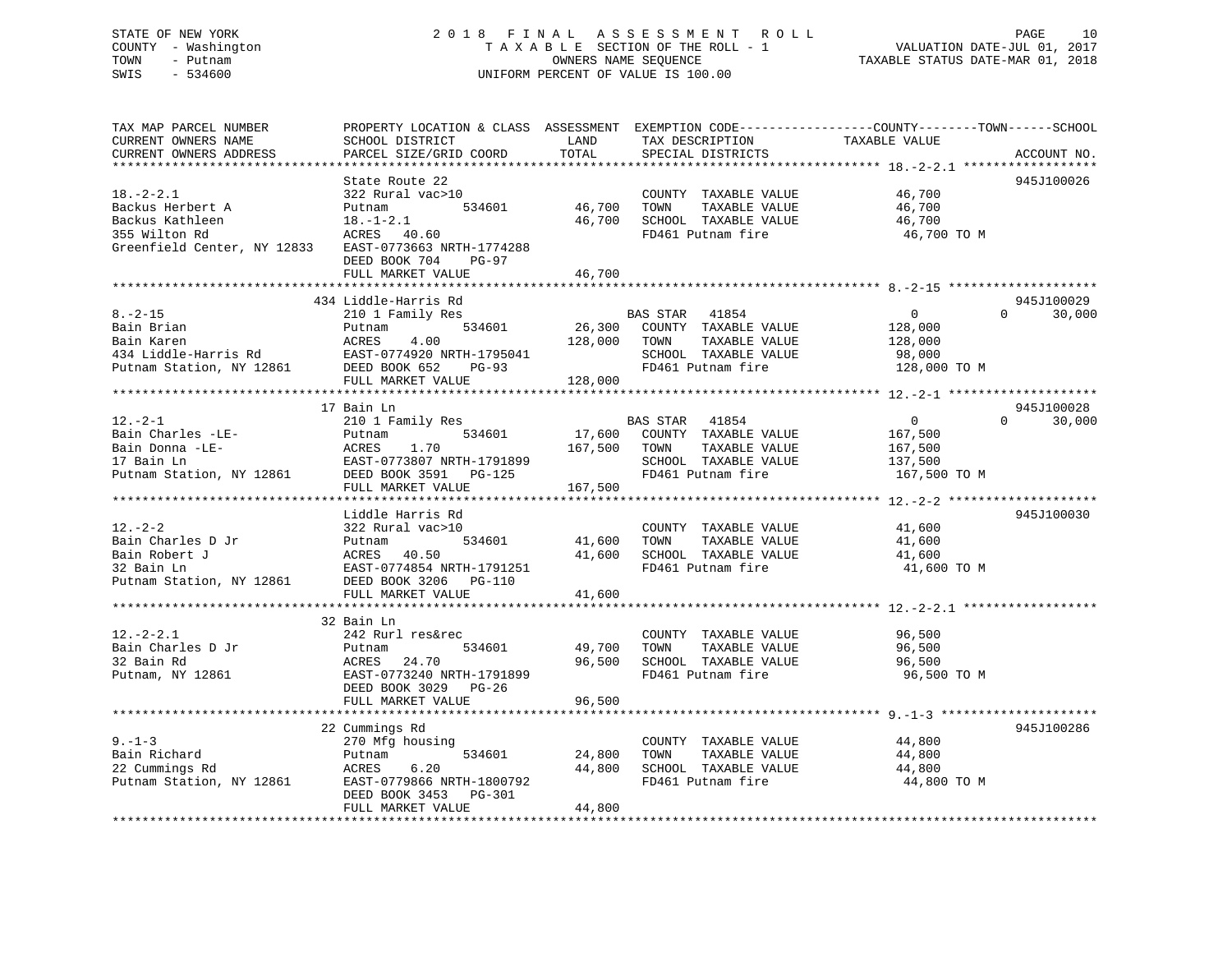## STATE OF NEW YORK 2 0 1 8 F I N A L A S S E S S M E N T R O L L PAGE 10 COUNTY - Washington T A X A B L E SECTION OF THE ROLL - 1 VALUATION DATE-JUL 01, 2017 TOWN - Putnam **CONNERS NAME SEQUENCE** TAXABLE STATUS DATE-MAR 01, 2018 SWIS - 534600 UNIFORM PERCENT OF VALUE IS 100.00

| TAX MAP PARCEL NUMBER<br>CURRENT OWNERS NAME<br>CURRENT OWNERS ADDRESS                                                              | PROPERTY LOCATION & CLASS ASSESSMENT<br>SCHOOL DISTRICT<br>PARCEL SIZE/GRID COORD                                                                                      | LAND<br>TOTAL                | TAX DESCRIPTION<br>SPECIAL DISTRICTS                                                                            | EXEMPTION CODE-----------------COUNTY-------TOWN------SCHOOL<br>TAXABLE VALUE<br>ACCOUNT NO. |        |
|-------------------------------------------------------------------------------------------------------------------------------------|------------------------------------------------------------------------------------------------------------------------------------------------------------------------|------------------------------|-----------------------------------------------------------------------------------------------------------------|----------------------------------------------------------------------------------------------|--------|
| *************************<br>$18. - 2 - 2.1$<br>Backus Herbert A<br>Backus Kathleen<br>355 Wilton Rd<br>Greenfield Center, NY 12833 | State Route 22<br>322 Rural vac>10<br>534601<br>Putnam<br>$18. - 1 - 2.1$<br>ACRES 40.60<br>EAST-0773663 NRTH-1774288<br>DEED BOOK 704<br>$PG-97$<br>FULL MARKET VALUE | 46,700<br>46,700<br>46,700   | COUNTY TAXABLE VALUE<br>TOWN<br>TAXABLE VALUE<br>SCHOOL TAXABLE VALUE<br>FD461 Putnam fire                      | 945J100026<br>46,700<br>46,700<br>46,700<br>46,700 TO M                                      |        |
|                                                                                                                                     |                                                                                                                                                                        |                              |                                                                                                                 |                                                                                              |        |
| $8. - 2 - 15$<br>Bain Brian<br>Bain Karen<br>434 Liddle-Harris Rd<br>Putnam Station, NY 12861                                       | 434 Liddle-Harris Rd<br>210 1 Family Res<br>534601<br>Putnam<br>ACRES<br>4.00<br>EAST-0774920 NRTH-1795041<br>DEED BOOK 652<br>PG-93<br>FULL MARKET VALUE              | 26,300<br>128,000<br>128,000 | BAS STAR 41854<br>COUNTY TAXABLE VALUE<br>TOWN<br>TAXABLE VALUE<br>SCHOOL TAXABLE VALUE<br>FD461 Putnam fire    | 945J100029<br>$\Omega$<br>$\mathbf{0}$<br>128,000<br>128,000<br>98,000<br>128,000 TO M       | 30,000 |
|                                                                                                                                     | 17 Bain Ln                                                                                                                                                             |                              |                                                                                                                 | 945J100028                                                                                   |        |
| $12.-2-1$<br>Bain Charles -LE-<br>Bain Donna -LE-<br>17 Bain Ln<br>Putnam Station, NY 12861                                         | 210 1 Family Res<br>534601<br>Putnam<br>ACRES<br>1.70<br>EAST-0773807 NRTH-1791899<br>DEED BOOK 3591 PG-125                                                            | 17,600<br>167,500            | BAS STAR<br>41854<br>COUNTY TAXABLE VALUE<br>TAXABLE VALUE<br>TOWN<br>SCHOOL TAXABLE VALUE<br>FD461 Putnam fire | $\overline{0}$<br>$\Omega$<br>167,500<br>167,500<br>137,500<br>167,500 TO M                  | 30,000 |
|                                                                                                                                     | FULL MARKET VALUE                                                                                                                                                      | 167,500                      |                                                                                                                 |                                                                                              |        |
|                                                                                                                                     |                                                                                                                                                                        |                              |                                                                                                                 |                                                                                              |        |
| $12. - 2 - 2$<br>Bain Charles D Jr<br>Bain Robert J<br>32 Bain Ln<br>Putnam Station, NY 12861                                       | Liddle Harris Rd<br>322 Rural vac>10<br>Putnam<br>534601<br>ACRES 40.50<br>EAST-0774854 NRTH-1791251<br>DEED BOOK 3206 PG-110<br>FULL MARKET VALUE                     | 41,600<br>41,600<br>41,600   | COUNTY TAXABLE VALUE<br>TOWN<br>TAXABLE VALUE<br>SCHOOL TAXABLE VALUE<br>FD461 Putnam fire                      | 945J100030<br>41,600<br>41,600<br>41,600<br>41,600 TO M                                      |        |
|                                                                                                                                     | 32 Bain Ln                                                                                                                                                             |                              |                                                                                                                 |                                                                                              |        |
| $12.-2-2.1$<br>Bain Charles D Jr<br>32 Bain Rd<br>Putnam, NY 12861                                                                  | 242 Rurl res&rec<br>534601<br>Putnam<br>24.70<br>ACRES<br>EAST-0773240 NRTH-1791899<br>DEED BOOK 3029 PG-26                                                            | 49,700<br>96,500             | COUNTY TAXABLE VALUE<br>TOWN<br>TAXABLE VALUE<br>SCHOOL TAXABLE VALUE<br>FD461 Putnam fire                      | 96,500<br>96,500<br>96,500<br>96,500 TO M                                                    |        |
|                                                                                                                                     | FULL MARKET VALUE                                                                                                                                                      | 96,500                       |                                                                                                                 |                                                                                              |        |
|                                                                                                                                     |                                                                                                                                                                        |                              |                                                                                                                 |                                                                                              |        |
| $9. - 1 - 3$<br>Bain Richard<br>22 Cummings Rd<br>Putnam Station, NY 12861                                                          | 22 Cummings Rd<br>270 Mfg housing<br>534601<br>Putnam<br>ACRES<br>6.20<br>EAST-0779866 NRTH-1800792<br>DEED BOOK 3453<br>PG-301<br>FULL MARKET VALUE                   | 24,800<br>44,800<br>44,800   | COUNTY TAXABLE VALUE<br>TOWN<br>TAXABLE VALUE<br>SCHOOL TAXABLE VALUE<br>FD461 Putnam fire                      | 945J100286<br>44,800<br>44,800<br>44,800<br>44,800 TO M                                      |        |
|                                                                                                                                     |                                                                                                                                                                        |                              |                                                                                                                 |                                                                                              |        |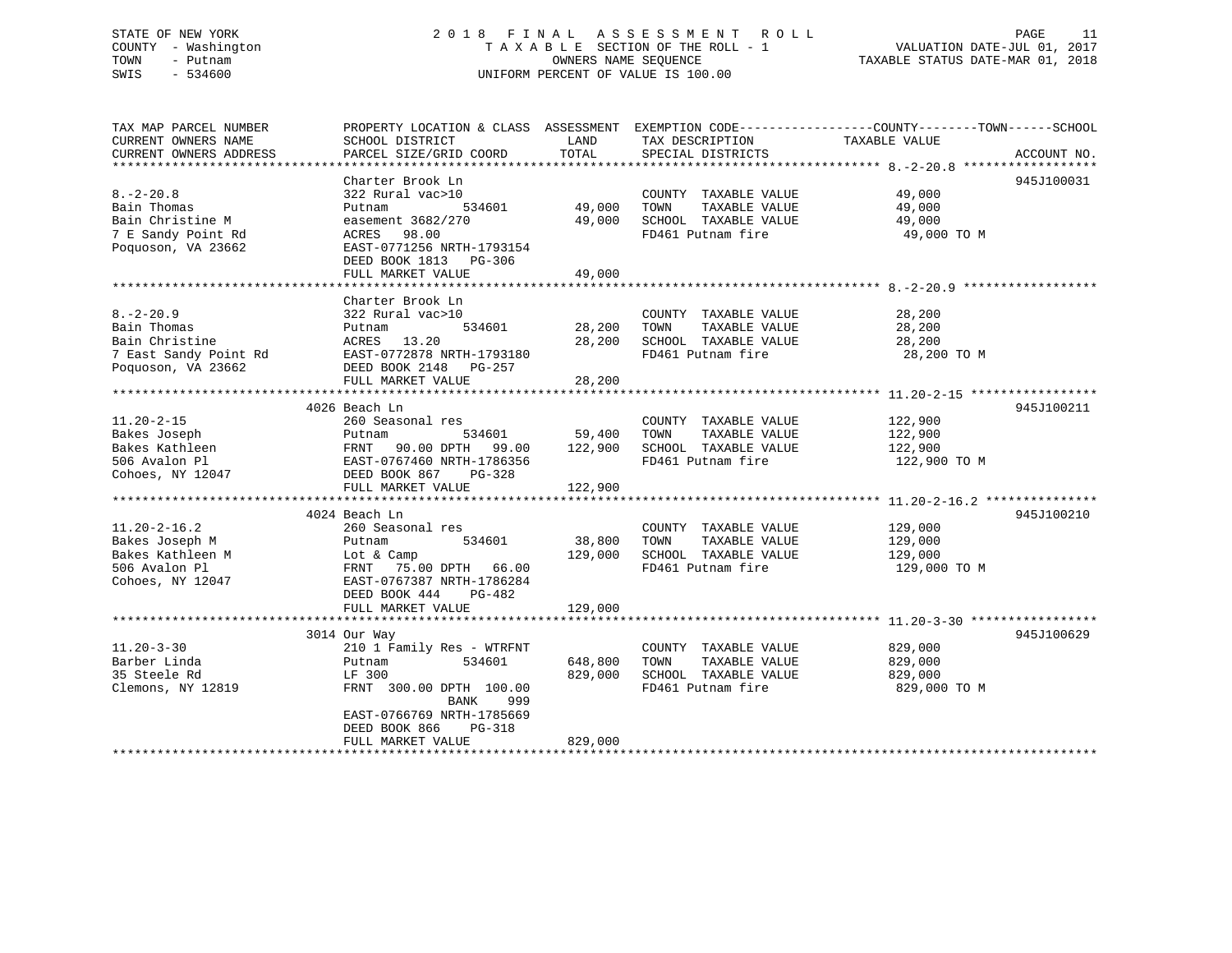## STATE OF NEW YORK 2 0 1 8 F I N A L A S S E S S M E N T R O L L PAGE 11 COUNTY - Washington T A X A B L E SECTION OF THE ROLL - 1 VALUATION DATE-JUL 01, 2017 TOWN - Putnam OWNERS NAME SEQUENCE TAXABLE STATUS DATE-MAR 01, 2018 SWIS - 534600 UNIFORM PERCENT OF VALUE IS 100.00

TAX MAP PARCEL NUMBER PROPERTY LOCATION & CLASS ASSESSMENT EXEMPTION CODE------------------COUNTY--------TOWN------SCHOOL CURRENT OWNERS NAME SCHOOL DISTRICT THE LAND TAX DESCRIPTION TAXABLE VALUE CURRENT OWNERS ADDRESS PARCEL SIZE/GRID COORD TOTAL SPECIAL DISTRICTS ACCOUNT NO. \*\*\*\*\*\*\*\*\*\*\*\*\*\*\*\*\*\*\*\*\*\*\*\*\*\*\*\*\*\*\*\*\*\*\*\*\*\*\*\*\*\*\*\*\*\*\*\*\*\*\*\*\*\*\*\*\*\*\*\*\*\*\*\*\*\*\*\*\*\*\*\*\*\*\*\*\*\*\*\*\*\*\*\*\*\*\*\*\*\*\*\*\*\*\*\*\*\*\*\*\*\*\* 8.-2-20.8 \*\*\*\*\*\*\*\*\*\*\*\*\*\*\*\*\*\* Charter Brook Ln 945J1000318.-2-20.8 322 Rural vac>10 COUNTY TAXABLE VALUE 49,000 Bain Thomas Putnam 534601 49,000 TOWN TAXABLE VALUE 49,000 Bain Christine M easement 3682/270 49,000 SCHOOL TAXABLE VALUE 49,000 7 E Sandy Point Rd ACRES 98.00 FD461 Putnam fire 49,000 TO M Poquoson, VA 23662 EAST-0771256 NRTH-1793154 DEED BOOK 1813 PG-306 FULL MARKET VALUE 49,000 \*\*\*\*\*\*\*\*\*\*\*\*\*\*\*\*\*\*\*\*\*\*\*\*\*\*\*\*\*\*\*\*\*\*\*\*\*\*\*\*\*\*\*\*\*\*\*\*\*\*\*\*\*\*\*\*\*\*\*\*\*\*\*\*\*\*\*\*\*\*\*\*\*\*\*\*\*\*\*\*\*\*\*\*\*\*\*\*\*\*\*\*\*\*\*\*\*\*\*\*\*\*\* 8.-2-20.9 \*\*\*\*\*\*\*\*\*\*\*\*\*\*\*\*\*\* Charter Brook Ln8.-2-20.9 322 Rural vac>10 COUNTY TAXABLE VALUE 28,200 Bain Thomas Putnam 534601 28,200 TOWN TAXABLE VALUE 28,200 Bain Christine ACRES 13.20 28,200 SCHOOL TAXABLE VALUE 28,200 7 East Sandy Point Rd EAST-0772878 NRTH-1793180 FD461 Putnam fire 28,200 TO M Poquoson, VA 23662 DEED BOOK 2148 PG-257  $\texttt{EAST}-0112810$  and  $\texttt{PG}-257$ <br>
DEED BOOK 2148 PG-257 \*\*\*\*\*\*\*\*\*\*\*\*\*\*\*\*\*\*\*\*\*\*\*\*\*\*\*\*\*\*\*\*\*\*\*\*\*\*\*\*\*\*\*\*\*\*\*\*\*\*\*\*\*\*\*\*\*\*\*\*\*\*\*\*\*\*\*\*\*\*\*\*\*\*\*\*\*\*\*\*\*\*\*\*\*\*\*\*\*\*\*\*\*\*\*\*\*\*\*\*\*\*\* 11.20-2-15 \*\*\*\*\*\*\*\*\*\*\*\*\*\*\*\*\* 4026 Beach Ln 945J10021111.20-2-15 260 Seasonal res COUNTY TAXABLE VALUE 122,900 Bakes Joseph Putnam 534601 59,400 TOWN TAXABLE VALUE 122,900 Bakes Kathleen FRNT 90.00 DPTH 99.00 122,900 SCHOOL TAXABLE VALUE 122,900 506 Avalon Pl EAST-0767460 NRTH-1786356 FD461 Putnam fire 122,900 TO M Cohoes, NY 12047 DEED BOOK 867 PG-328 FULL MARKET VALUE 122,900 \*\*\*\*\*\*\*\*\*\*\*\*\*\*\*\*\*\*\*\*\*\*\*\*\*\*\*\*\*\*\*\*\*\*\*\*\*\*\*\*\*\*\*\*\*\*\*\*\*\*\*\*\*\*\*\*\*\*\*\*\*\*\*\*\*\*\*\*\*\*\*\*\*\*\*\*\*\*\*\*\*\*\*\*\*\*\*\*\*\*\*\*\*\*\*\*\*\*\*\*\*\*\* 11.20-2-16.2 \*\*\*\*\*\*\*\*\*\*\*\*\*\*\* 4024 Beach Ln 945J10021011.20-2-16.2 260 Seasonal res COUNTY TAXABLE VALUE 129,000 Bakes Joseph M Putnam 534601 38,800 TOWN TAXABLE VALUE 129,000 Bakes Kathleen M Lot & Camp 129,000 SCHOOL TAXABLE VALUE 129,000 506 Avalon Pl FRNT 75.00 DPTH 66.00 FD461 Putnam fire 129,000 TO M Cohoes, NY 12047 EAST-0767387 NRTH-1786284 DEED BOOK 444 PG-482FULL MARKET VALUE 129,000 \*\*\*\*\*\*\*\*\*\*\*\*\*\*\*\*\*\*\*\*\*\*\*\*\*\*\*\*\*\*\*\*\*\*\*\*\*\*\*\*\*\*\*\*\*\*\*\*\*\*\*\*\*\*\*\*\*\*\*\*\*\*\*\*\*\*\*\*\*\*\*\*\*\*\*\*\*\*\*\*\*\*\*\*\*\*\*\*\*\*\*\*\*\*\*\*\*\*\*\*\*\*\* 11.20-3-30 \*\*\*\*\*\*\*\*\*\*\*\*\*\*\*\*\* 3014 Our Way 945J100629 11.20-3-30 210 1 Family Res - WTRFNT COUNTY TAXABLE VALUE 829,000 Barber Linda Putnam 534601 648,800 TOWN TAXABLE VALUE 829,000 35 Steele Rd LF 300 829,000 SCHOOL TAXABLE VALUE 829,000 FRNT 300.00 DPTH 100.00 FD461 Putnam fire 829,000 TO M BANK 999 EAST-0766769 NRTH-1785669 DEED BOOK 866 PG-318FULL MARKET VALUE 829,000 \*\*\*\*\*\*\*\*\*\*\*\*\*\*\*\*\*\*\*\*\*\*\*\*\*\*\*\*\*\*\*\*\*\*\*\*\*\*\*\*\*\*\*\*\*\*\*\*\*\*\*\*\*\*\*\*\*\*\*\*\*\*\*\*\*\*\*\*\*\*\*\*\*\*\*\*\*\*\*\*\*\*\*\*\*\*\*\*\*\*\*\*\*\*\*\*\*\*\*\*\*\*\*\*\*\*\*\*\*\*\*\*\*\*\*\*\*\*\*\*\*\*\*\*\*\*\*\*\*\*\*\*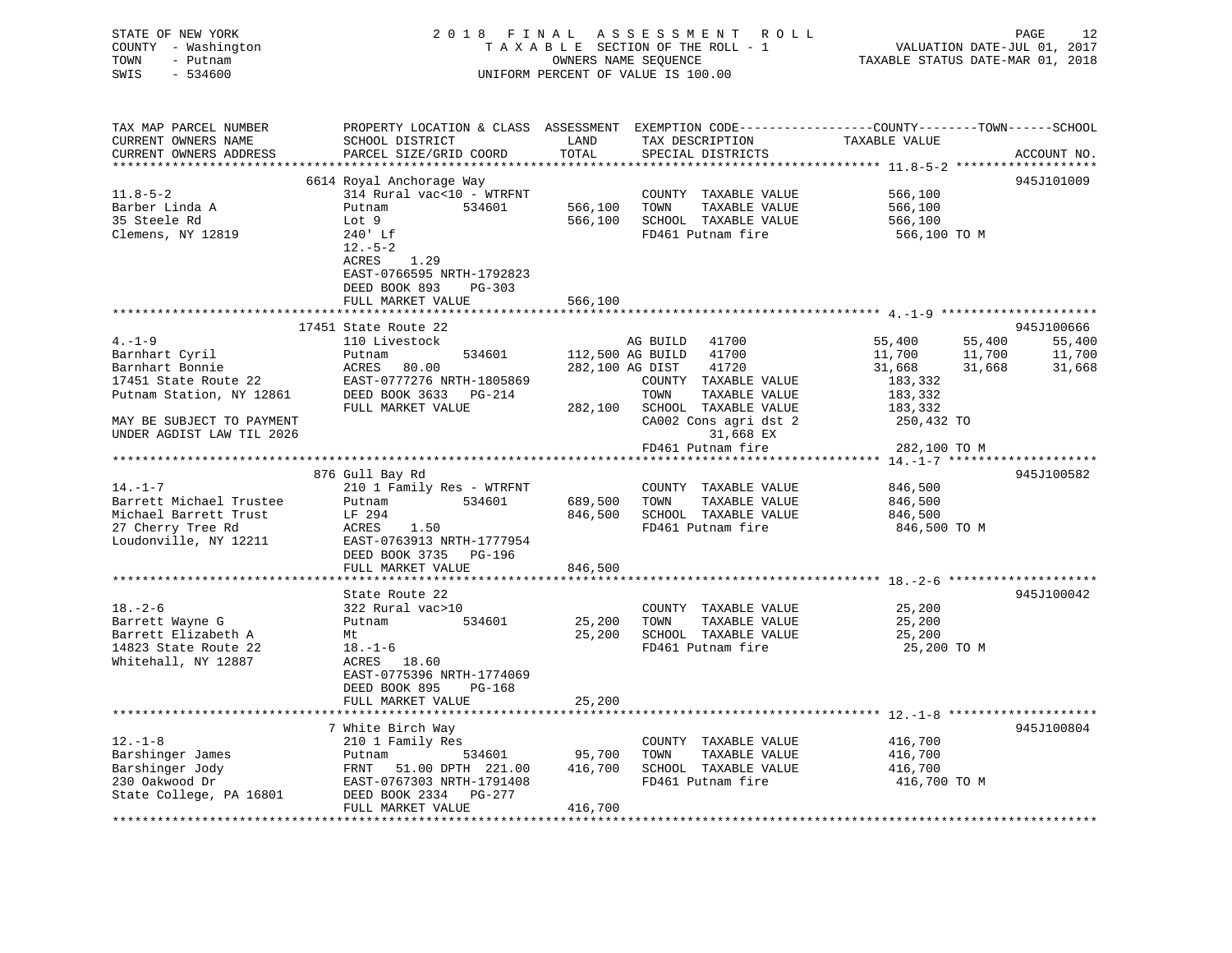| STATE OF NEW YORK<br>COUNTY - Washington<br>- Putnam<br>TOWN<br>SWIS<br>$-534600$ |                                               |                    | 2018 FINAL ASSESSMENT ROLL<br>TAXABLE SECTION OF THE ROLL - 1<br>OWNERS NAME SEQUENCE<br>UNIFORM PERCENT OF VALUE IS 100.00 | VALUATION DATE-JUL 01, 2017<br>TAXABLE STATUS DATE-MAR 01, 2018 | PAGE<br>12                 |
|-----------------------------------------------------------------------------------|-----------------------------------------------|--------------------|-----------------------------------------------------------------------------------------------------------------------------|-----------------------------------------------------------------|----------------------------|
| TAX MAP PARCEL NUMBER                                                             |                                               |                    | PROPERTY LOCATION & CLASS ASSESSMENT EXEMPTION CODE---------------COUNTY-------TOWN-----SCHOOL                              |                                                                 |                            |
| CURRENT OWNERS NAME                                                               | SCHOOL DISTRICT                               | LAND               | TAX DESCRIPTION                                                                                                             | TAXABLE VALUE                                                   |                            |
| CURRENT OWNERS ADDRESS                                                            | PARCEL SIZE/GRID COORD                        | TOTAL              | SPECIAL DISTRICTS                                                                                                           |                                                                 | ACCOUNT NO.                |
| **********************                                                            |                                               |                    |                                                                                                                             |                                                                 |                            |
|                                                                                   | 6614 Royal Anchorage Way                      |                    |                                                                                                                             |                                                                 | 945J101009                 |
| $11.8 - 5 - 2$<br>Barber Linda A                                                  | 314 Rural vac<10 - WTRFNT<br>Putnam<br>534601 | 566,100            | COUNTY TAXABLE VALUE<br>TOWN<br>TAXABLE VALUE                                                                               | 566,100<br>566,100                                              |                            |
| 35 Steele Rd                                                                      | Lot 9                                         |                    | 566,100 SCHOOL TAXABLE VALUE                                                                                                | 566,100                                                         |                            |
| Clemens, NY 12819                                                                 | 240' Lf                                       |                    | FD461 Putnam fire                                                                                                           | 566,100 TO M                                                    |                            |
|                                                                                   | $12.-5-2$                                     |                    |                                                                                                                             |                                                                 |                            |
|                                                                                   | ACRES<br>1.29                                 |                    |                                                                                                                             |                                                                 |                            |
|                                                                                   | EAST-0766595 NRTH-1792823                     |                    |                                                                                                                             |                                                                 |                            |
|                                                                                   | DEED BOOK 893<br>PG-303                       |                    |                                                                                                                             |                                                                 |                            |
|                                                                                   | FULL MARKET VALUE                             | 566,100            |                                                                                                                             |                                                                 |                            |
|                                                                                   |                                               |                    |                                                                                                                             |                                                                 |                            |
| $4. - 1 - 9$                                                                      | 17451 State Route 22                          |                    |                                                                                                                             |                                                                 | 945J100666                 |
| Barnhart Cyril                                                                    | 110 Livestock<br>534601<br>Putnam             |                    | AG BUILD 41700<br>112,500 AG BUILD 41700                                                                                    | 55,400<br>11,700                                                | 55,400<br>55,400<br>11,700 |
| Barnhart Bonnie                                                                   | ACRES<br>80.00                                |                    | 282,100 AG DIST<br>41720                                                                                                    | 11,700<br>31,668<br>31,668                                      | 31,668                     |
| 17451 State Route 22                                                              | EAST-0777276 NRTH-1805869                     |                    | COUNTY TAXABLE VALUE                                                                                                        | 183,332                                                         |                            |
| Putnam Station, NY 12861                                                          | DEED BOOK 3633 PG-214                         |                    | TOWN<br>TAXABLE VALUE                                                                                                       | 183,332                                                         |                            |
|                                                                                   | FULL MARKET VALUE                             |                    | 282,100 SCHOOL TAXABLE VALUE                                                                                                | 183,332                                                         |                            |
| MAY BE SUBJECT TO PAYMENT                                                         |                                               |                    | CA002 Cons agri dst 2                                                                                                       | 250,432 TO                                                      |                            |
| UNDER AGDIST LAW TIL 2026                                                         |                                               |                    | 31,668 EX                                                                                                                   |                                                                 |                            |
|                                                                                   |                                               |                    | FD461 Putnam fire                                                                                                           | 282,100 TO M                                                    |                            |
|                                                                                   |                                               |                    |                                                                                                                             |                                                                 |                            |
|                                                                                   | 876 Gull Bay Rd                               |                    |                                                                                                                             |                                                                 | 945J100582                 |
| $14. - 1 - 7$                                                                     | 210 1 Family Res - WTRFNT                     |                    | COUNTY TAXABLE VALUE                                                                                                        | 846,500                                                         |                            |
| Barrett Michael Trustee<br>Michael Barrett Trust                                  | Putnam<br>534601<br>LF 294                    | 689,500<br>846,500 | TOWN<br>TAXABLE VALUE<br>SCHOOL TAXABLE VALUE                                                                               | 846,500<br>846,500                                              |                            |
| 27 Cherry Tree Rd                                                                 | ACRES<br>1.50                                 |                    | FD461 Putnam fire                                                                                                           | 846,500 TO M                                                    |                            |
| Loudonville, NY 12211                                                             | EAST-0763913 NRTH-1777954                     |                    |                                                                                                                             |                                                                 |                            |
|                                                                                   | DEED BOOK 3735 PG-196                         |                    |                                                                                                                             |                                                                 |                            |
|                                                                                   | FULL MARKET VALUE                             | 846,500            |                                                                                                                             |                                                                 |                            |
|                                                                                   |                                               |                    |                                                                                                                             |                                                                 |                            |
|                                                                                   | State Route 22                                |                    |                                                                                                                             |                                                                 | 945J100042                 |
| $18. - 2 - 6$                                                                     | 322 Rural vac>10                              |                    | COUNTY TAXABLE VALUE                                                                                                        | 25,200                                                          |                            |
| Barrett Wayne G                                                                   | 534601<br>Putnam                              | 25,200             | TOWN<br>TAXABLE VALUE                                                                                                       | 25,200                                                          |                            |
| Barrett Elizabeth A                                                               | Mt                                            | 25,200             | SCHOOL TAXABLE VALUE                                                                                                        | 25,200                                                          |                            |
| 14823 State Route 22<br>Whitehall, NY 12887                                       | $18. - 1 - 6$<br>ACRES 18.60                  |                    | FD461 Putnam fire                                                                                                           | 25,200 TO M                                                     |                            |
|                                                                                   | EAST-0775396 NRTH-1774069                     |                    |                                                                                                                             |                                                                 |                            |
|                                                                                   | DEED BOOK 895<br>PG-168                       |                    |                                                                                                                             |                                                                 |                            |
|                                                                                   | FULL MARKET VALUE                             | 25,200             |                                                                                                                             |                                                                 |                            |
|                                                                                   |                                               |                    |                                                                                                                             |                                                                 |                            |
|                                                                                   | 7 White Birch Way                             |                    |                                                                                                                             |                                                                 | 945J100804                 |
| $12. - 1 - 8$                                                                     | 210 1 Family Res                              |                    | COUNTY TAXABLE VALUE                                                                                                        | 416,700                                                         |                            |
| Barshinger James                                                                  | 534601<br>Putnam                              | 95,700             | TOWN<br>TAXABLE VALUE                                                                                                       | 416,700                                                         |                            |
| Barshinger Jody                                                                   | FRNT 51.00 DPTH 221.00                        | 416,700            | SCHOOL TAXABLE VALUE                                                                                                        | 416,700                                                         |                            |
| 230 Oakwood Dr                                                                    | EAST-0767303 NRTH-1791408                     |                    | FD461 Putnam fire                                                                                                           | 416,700 TO M                                                    |                            |
| State College, PA 16801                                                           | DEED BOOK 2334 PG-277                         |                    |                                                                                                                             |                                                                 |                            |
|                                                                                   | FULL MARKET VALUE                             | 416,700            |                                                                                                                             |                                                                 |                            |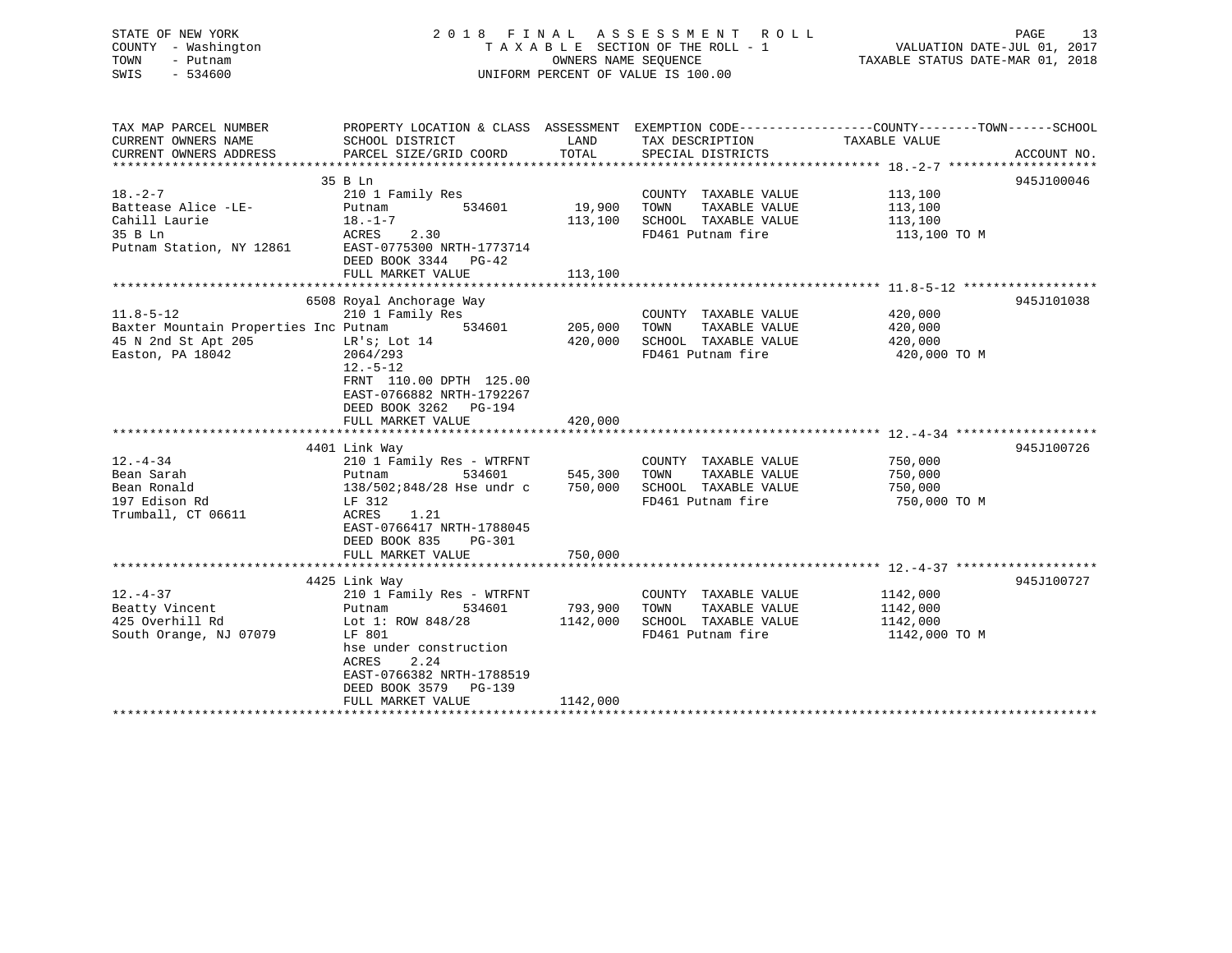## STATE OF NEW YORK 2 0 1 8 F I N A L A S S E S S M E N T R O L L PAGE 13 COUNTY - Washington T A X A B L E SECTION OF THE ROLL - 1 VALUATION DATE-JUL 01, 2017 TOWN - Putnam **CONNERS NAME SEQUENCE** TAXABLE STATUS DATE-MAR 01, 2018 SWIS - 534600 UNIFORM PERCENT OF VALUE IS 100.00

| TAX MAP PARCEL NUMBER                 | PROPERTY LOCATION & CLASS ASSESSMENT EXEMPTION CODE---------------COUNTY-------TOWN------SCHOOL |          |                       |               |             |
|---------------------------------------|-------------------------------------------------------------------------------------------------|----------|-----------------------|---------------|-------------|
| CURRENT OWNERS NAME                   | SCHOOL DISTRICT                                                                                 | LAND     | TAX DESCRIPTION       | TAXABLE VALUE |             |
| CURRENT OWNERS ADDRESS                | PARCEL SIZE/GRID COORD                                                                          | TOTAL    | SPECIAL DISTRICTS     |               | ACCOUNT NO. |
|                                       |                                                                                                 |          |                       |               |             |
|                                       | 35 B Ln                                                                                         |          |                       |               | 945J100046  |
| $18. - 2 - 7$                         | 210 1 Family Res                                                                                |          | COUNTY TAXABLE VALUE  | 113,100       |             |
| Battease Alice -LE-                   | Putnam<br>534601                                                                                | 19,900   | TOWN<br>TAXABLE VALUE | 113,100       |             |
| Cahill Laurie                         | $18. - 1 - 7$                                                                                   | 113,100  | SCHOOL TAXABLE VALUE  | 113,100       |             |
| 35 B Ln                               | 2.30<br>ACRES<br>EAST-0775300 NRTH-1773714                                                      |          | FD461 Putnam fire     | 113,100 TO M  |             |
| Putnam Station, NY 12861              | DEED BOOK 3344 PG-42                                                                            |          |                       |               |             |
|                                       | FULL MARKET VALUE                                                                               | 113,100  |                       |               |             |
|                                       |                                                                                                 |          |                       |               |             |
|                                       | 6508 Royal Anchorage Way                                                                        |          |                       |               | 945J101038  |
| $11.8 - 5 - 12$                       | 210 1 Family Res                                                                                |          | COUNTY TAXABLE VALUE  | 420,000       |             |
| Baxter Mountain Properties Inc Putnam | 534601                                                                                          | 205,000  | TOWN<br>TAXABLE VALUE | 420,000       |             |
| 45 N 2nd St Apt 205                   | LR's; Lot 14                                                                                    | 420,000  | SCHOOL TAXABLE VALUE  | 420,000       |             |
| Easton, PA 18042                      | 2064/293                                                                                        |          | FD461 Putnam fire     | 420,000 TO M  |             |
|                                       | $12.-5-12$                                                                                      |          |                       |               |             |
|                                       | FRNT 110.00 DPTH 125.00                                                                         |          |                       |               |             |
|                                       | EAST-0766882 NRTH-1792267                                                                       |          |                       |               |             |
|                                       | DEED BOOK 3262 PG-194                                                                           |          |                       |               |             |
|                                       | FULL MARKET VALUE                                                                               | 420,000  |                       |               |             |
|                                       |                                                                                                 |          |                       |               |             |
|                                       | 4401 Link Way                                                                                   |          |                       |               | 945J100726  |
| $12. - 4 - 34$                        | 210 1 Family Res - WTRFNT                                                                       |          | COUNTY TAXABLE VALUE  | 750,000       |             |
| Bean Sarah                            | 534601<br>Putnam                                                                                | 545,300  | TOWN<br>TAXABLE VALUE | 750,000       |             |
| Bean Ronald                           | 138/502;848/28 Hse undr c                                                                       | 750,000  | SCHOOL TAXABLE VALUE  | 750,000       |             |
| 197 Edison Rd                         | LF 312                                                                                          |          | FD461 Putnam fire     | 750,000 TO M  |             |
| Trumball, CT 06611                    | 1.21<br>ACRES                                                                                   |          |                       |               |             |
|                                       | EAST-0766417 NRTH-1788045                                                                       |          |                       |               |             |
|                                       | DEED BOOK 835<br>$PG-301$                                                                       |          |                       |               |             |
|                                       | FULL MARKET VALUE                                                                               | 750,000  |                       |               |             |
|                                       | 4425 Link Way                                                                                   |          |                       |               | 945J100727  |
| $12. - 4 - 37$                        | 210 1 Family Res - WTRFNT                                                                       |          | COUNTY TAXABLE VALUE  | 1142,000      |             |
| Beatty Vincent                        | 534601<br>Putnam                                                                                | 793,900  | TOWN<br>TAXABLE VALUE | 1142,000      |             |
| 425 Overhill Rd                       | Lot 1: ROW 848/28                                                                               | 1142,000 | SCHOOL TAXABLE VALUE  | 1142,000      |             |
| South Orange, NJ 07079                | LF 801                                                                                          |          | FD461 Putnam fire     | 1142,000 TO M |             |
|                                       | hse under construction                                                                          |          |                       |               |             |
|                                       | 2.24<br>ACRES                                                                                   |          |                       |               |             |
|                                       | EAST-0766382 NRTH-1788519                                                                       |          |                       |               |             |
|                                       | DEED BOOK 3579 PG-139                                                                           |          |                       |               |             |
|                                       | FULL MARKET VALUE                                                                               | 1142,000 |                       |               |             |
|                                       |                                                                                                 |          |                       |               |             |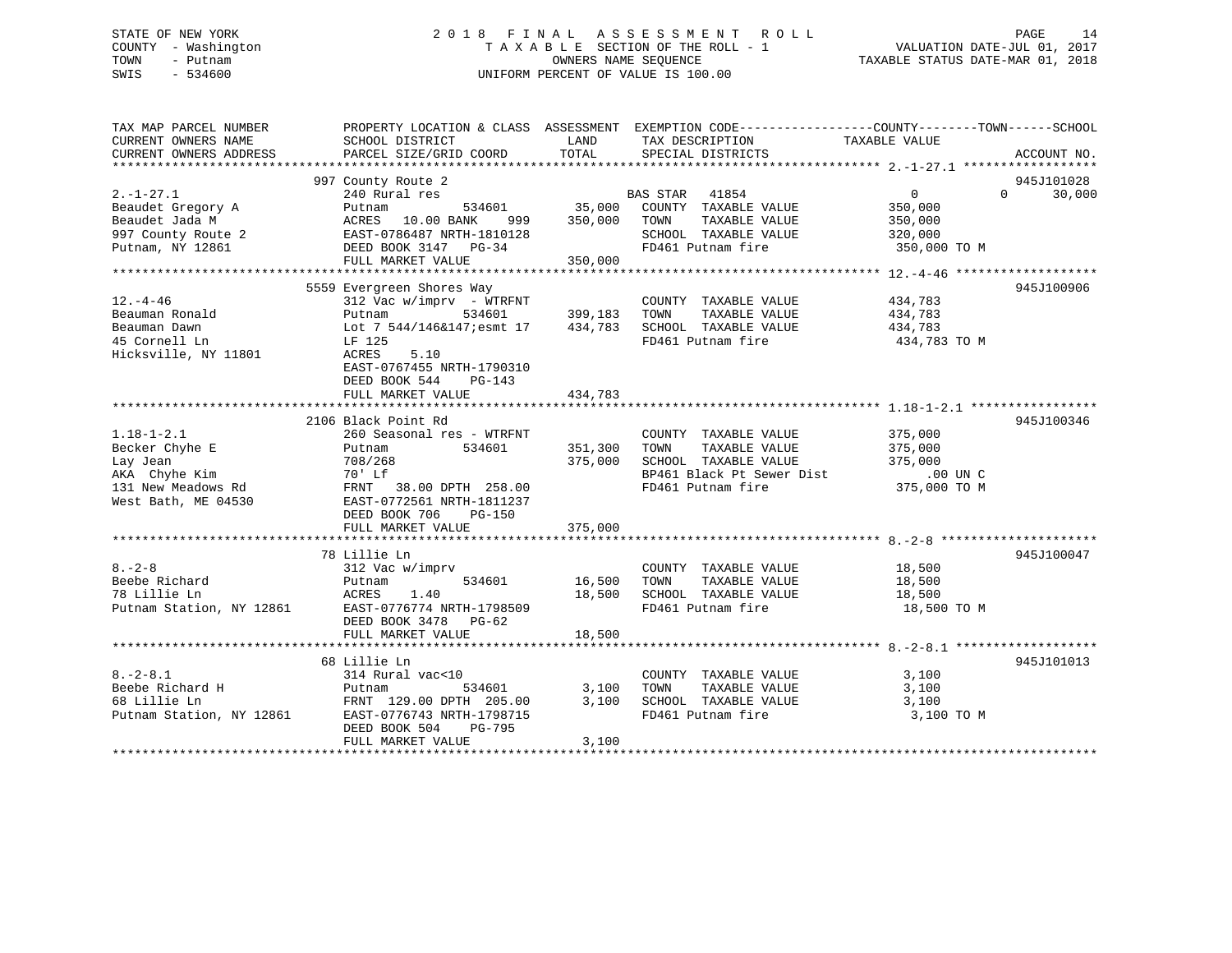## STATE OF NEW YORK 2 0 1 8 F I N A L A S S E S S M E N T R O L L PAGE 14 COUNTY - Washington T A X A B L E SECTION OF THE ROLL - 1 VALUATION DATE-JUL 01, 2017 TOWN - Putnam **CONNERS NAME SEQUENCE** TAXABLE STATUS DATE-MAR 01, 2018 SWIS - 534600 UNIFORM PERCENT OF VALUE IS 100.00

| TAX MAP PARCEL NUMBER<br>CURRENT OWNERS NAME | SCHOOL DISTRICT           | LAND    | PROPERTY LOCATION & CLASS ASSESSMENT EXEMPTION CODE---------------COUNTY-------TOWN------SCHOOL<br>TAX DESCRIPTION | TAXABLE VALUE                 |                    |
|----------------------------------------------|---------------------------|---------|--------------------------------------------------------------------------------------------------------------------|-------------------------------|--------------------|
| CURRENT OWNERS ADDRESS                       | PARCEL SIZE/GRID COORD    | TOTAL   | SPECIAL DISTRICTS                                                                                                  |                               | ACCOUNT NO.        |
|                                              | 997 County Route 2        |         |                                                                                                                    |                               | 945J101028         |
| $2. - 1 - 27.1$                              | 240 Rural res             |         | BAS STAR 41854                                                                                                     | $0 \qquad \qquad$             | $\Omega$<br>30,000 |
| Beaudet Gregory A                            | 534601 35,000<br>Putnam   |         | COUNTY TAXABLE VALUE                                                                                               | 350,000                       |                    |
|                                              |                           |         |                                                                                                                    |                               |                    |
|                                              |                           |         |                                                                                                                    |                               |                    |
|                                              |                           |         |                                                                                                                    |                               |                    |
|                                              |                           |         |                                                                                                                    |                               |                    |
|                                              |                           |         |                                                                                                                    |                               |                    |
|                                              | 5559 Evergreen Shores Way |         |                                                                                                                    |                               | 945J100906         |
| $12. - 4 - 46$                               | 312 Vac w/imprv - WTRFNT  | 399,183 | COUNTY TAXABLE VALUE 434,783                                                                                       |                               |                    |
| Beauman Ronald                               | 534601<br>Putnam          | 434,783 | TAXABLE VALUE<br>TOWN                                                                                              | 434,783<br>434,783            |                    |
| Beauman Dawn                                 | Lot 7 544/146&147;esmt 17 |         | SCHOOL TAXABLE VALUE<br>FD461 Putnam fire                                                                          |                               |                    |
| 45 Cornell Ln                                | LF 125<br>5.10            |         |                                                                                                                    | 434,783 TO M                  |                    |
| Hicksville, NY 11801                         | ACRES                     |         |                                                                                                                    |                               |                    |
|                                              | EAST-0767455 NRTH-1790310 |         |                                                                                                                    |                               |                    |
|                                              | DEED BOOK 544<br>$PG-143$ |         |                                                                                                                    |                               |                    |
|                                              | FULL MARKET VALUE         | 434,783 |                                                                                                                    |                               |                    |
|                                              | 2106 Black Point Rd       |         |                                                                                                                    |                               | 945J100346         |
| $1.18 - 1 - 2.1$                             | 260 Seasonal res - WTRFNT |         | COUNTY TAXABLE VALUE                                                                                               |                               |                    |
| Becker Chyhe E                               | 534601<br>Putnam          | 351,300 | TOWN<br>TAXABLE VALUE                                                                                              | 375,000<br>375,000<br>375,000 |                    |
|                                              |                           | 375,000 | SCHOOL TAXABLE VALUE                                                                                               | 375,000                       |                    |
|                                              |                           |         |                                                                                                                    |                               |                    |
|                                              |                           |         | BP461 Black Pt Sewer Dist .00 UN C<br>FD461 Putnam fire 375,000 TO M                                               |                               |                    |
|                                              |                           |         |                                                                                                                    |                               |                    |
|                                              |                           |         |                                                                                                                    |                               |                    |
|                                              | FULL MARKET VALUE         | 375,000 |                                                                                                                    |                               |                    |
|                                              |                           |         |                                                                                                                    |                               |                    |
|                                              | 78 Lillie Ln              |         |                                                                                                                    |                               | 945J100047         |
| $8 - 2 - 8$                                  | 312 Vac w/imprv           |         | COUNTY TAXABLE VALUE 18,500                                                                                        |                               |                    |
| Beebe Richard                                | 534601<br>Putnam          | 16,500  | TAXABLE VALUE 18,500<br>TOWN                                                                                       |                               |                    |
| 78 Lillie Ln                                 | ACRES<br>1.40             | 18,500  |                                                                                                                    | 18,500                        |                    |
| Putnam Station, NY 12861                     | EAST-0776774 NRTH-1798509 |         | SCHOOL TAXABLE VALUE<br>FD461 Putnam fire                                                                          | 18,500 TO M                   |                    |
|                                              | DEED BOOK 3478 PG-62      |         |                                                                                                                    |                               |                    |
|                                              | FULL MARKET VALUE         | 18,500  |                                                                                                                    |                               |                    |
|                                              |                           |         |                                                                                                                    |                               |                    |
|                                              | 68 Lillie Ln              |         |                                                                                                                    |                               | 945J101013         |
| $8. - 2 - 8.1$                               | 314 Rural vac<10          |         | COUNTY TAXABLE VALUE                                                                                               | 3,100                         |                    |
| Beebe Richard H<br>68 Lillie Ln              | 534601<br>Putnam          | 3,100   | TAXABLE VALUE<br>TOWN                                                                                              | 3,100                         |                    |
|                                              | FRNT 129.00 DPTH 205.00   | 3,100   | SCHOOL TAXABLE VALUE                                                                                               | 3,100                         |                    |
|                                              |                           |         | FD461 Putnam fire                                                                                                  | 3,100 TO M                    |                    |
|                                              | DEED BOOK 504<br>PG-795   |         |                                                                                                                    |                               |                    |
|                                              | FULL MARKET VALUE         | 3,100   |                                                                                                                    |                               |                    |
|                                              |                           |         |                                                                                                                    |                               |                    |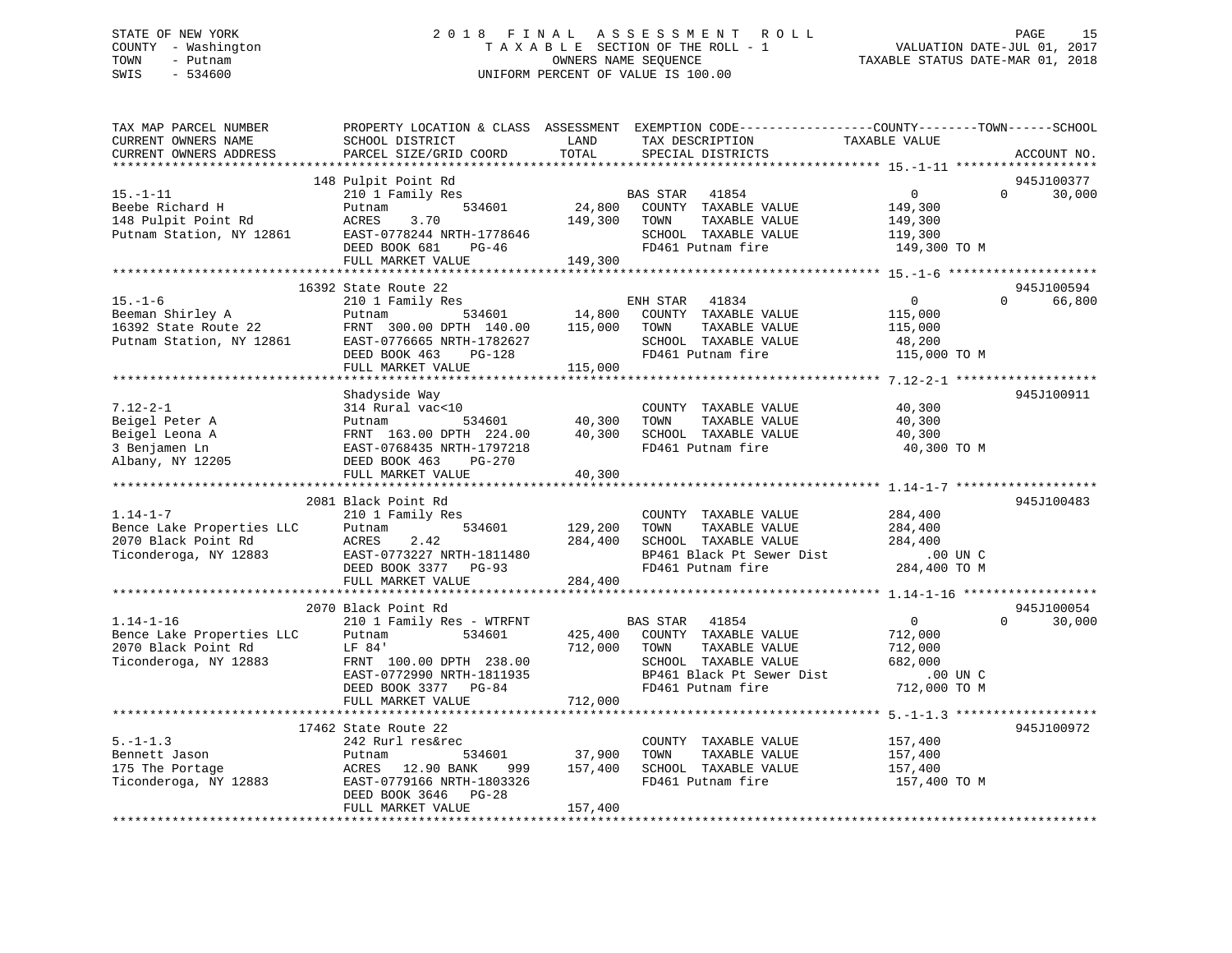## STATE OF NEW YORK 2 0 1 8 F I N A L A S S E S S M E N T R O L L PAGE 15 COUNTY - Washington T A X A B L E SECTION OF THE ROLL - 1 VALUATION DATE-JUL 01, 2017 TOWN - Putnam OWNERS NAME SEQUENCE TAXABLE STATUS DATE-MAR 01, 2018 SWIS - 534600 UNIFORM PERCENT OF VALUE IS 100.00

| TAX MAP PARCEL NUMBER<br>CURRENT OWNERS NAME<br>CURRENT OWNERS ADDRESS                       | PROPERTY LOCATION & CLASS ASSESSMENT<br>SCHOOL DISTRICT<br>PARCEL SIZE/GRID COORD                                                                                      | LAND<br>TOTAL                 | EXEMPTION CODE-----------------COUNTY-------TOWN------SCHOOL<br>TAX DESCRIPTION<br>SPECIAL DISTRICTS                                                          | TAXABLE VALUE                                                                   |          | ACCOUNT NO.          |
|----------------------------------------------------------------------------------------------|------------------------------------------------------------------------------------------------------------------------------------------------------------------------|-------------------------------|---------------------------------------------------------------------------------------------------------------------------------------------------------------|---------------------------------------------------------------------------------|----------|----------------------|
| *********************                                                                        | ****************************                                                                                                                                           |                               |                                                                                                                                                               |                                                                                 |          |                      |
| $15. - 1 - 11$<br>Beebe Richard H<br>148 Pulpit Point Rd<br>Putnam Station, NY 12861         | 148 Pulpit Point Rd<br>210 1 Family Res<br>534601<br>Putnam<br>ACRES<br>3.70<br>EAST-0778244 NRTH-1778646<br>DEED BOOK 681<br>$PG-46$<br>FULL MARKET VALUE             | 24,800<br>149,300<br>149,300  | BAS STAR<br>41854<br>COUNTY TAXABLE VALUE<br>TAXABLE VALUE<br>TOWN<br>SCHOOL TAXABLE VALUE<br>FD461 Putnam fire                                               | $\mathbf{0}$<br>149,300<br>149,300<br>119,300<br>149,300 TO M                   | $\Omega$ | 945J100377<br>30,000 |
|                                                                                              | 16392 State Route 22                                                                                                                                                   |                               |                                                                                                                                                               |                                                                                 |          | 945J100594           |
| $15. - 1 - 6$<br>Beeman Shirley A<br>16392 State Route 22<br>Putnam Station, NY 12861        | 210 1 Family Res<br>Putnam<br>534601<br>FRNT 300.00 DPTH 140.00<br>EAST-0776665 NRTH-1782627<br>DEED BOOK 463<br>PG-128<br>FULL MARKET VALUE                           | 14,800<br>115,000<br>115,000  | ENH STAR<br>41834<br>COUNTY TAXABLE VALUE<br>TOWN<br>TAXABLE VALUE<br>SCHOOL TAXABLE VALUE<br>FD461 Putnam fire                                               | $\circ$<br>115,000<br>115,000<br>48,200<br>115,000 TO M                         | $\Omega$ | 66,800               |
|                                                                                              |                                                                                                                                                                        |                               |                                                                                                                                                               |                                                                                 |          |                      |
| $7.12 - 2 - 1$<br>Beigel Peter A<br>Beigel Leona A<br>3 Benjamen Ln<br>Albany, NY 12205      | Shadyside Way<br>314 Rural vac<10<br>534601<br>Putnam<br>FRNT 163.00 DPTH 224.00<br>EAST-0768435 NRTH-1797218<br>DEED BOOK 463<br>$PG-270$<br>FULL MARKET VALUE        | 40,300<br>40,300<br>40,300    | COUNTY TAXABLE VALUE<br>TAXABLE VALUE<br>TOWN<br>SCHOOL TAXABLE VALUE<br>FD461 Putnam fire                                                                    | 40,300<br>40,300<br>40,300<br>40,300 TO M                                       |          | 945J100911           |
|                                                                                              | 2081 Black Point Rd                                                                                                                                                    |                               |                                                                                                                                                               |                                                                                 |          | 945J100483           |
| $1.14 - 1 - 7$<br>Bence Lake Properties LLC<br>2070 Black Point Rd<br>Ticonderoga, NY 12883  | 210 1 Family Res<br>Putnam<br>534601<br>ACRES<br>2.42<br>EAST-0773227 NRTH-1811480<br>DEED BOOK 3377 PG-93<br>FULL MARKET VALUE                                        | 129,200<br>284,400<br>284,400 | COUNTY TAXABLE VALUE<br>TOWN<br>TAXABLE VALUE<br>SCHOOL TAXABLE VALUE<br>BP461 Black Pt Sewer Dist<br>FD461 Putnam fire                                       | 284,400<br>284,400<br>284,400<br>.00 UN C<br>284,400 TO M                       |          |                      |
|                                                                                              |                                                                                                                                                                        |                               |                                                                                                                                                               |                                                                                 |          |                      |
| $1.14 - 1 - 16$<br>Bence Lake Properties LLC<br>2070 Black Point Rd<br>Ticonderoga, NY 12883 | 2070 Black Point Rd<br>210 1 Family Res - WTRFNT<br>534601<br>Putnam<br>LF 84'<br>FRNT 100.00 DPTH 238.00<br>EAST-0772990 NRTH-1811935<br>DEED BOOK 3377<br>PG-84      | 425,400<br>712,000            | BAS STAR 41854<br>COUNTY TAXABLE VALUE<br>TAXABLE VALUE<br>TOWN<br>SCHOOL TAXABLE VALUE<br>BP461 Black Pt Sewer Dist<br>FD461 Putnam fire                     | $\overline{0}$<br>712,000<br>712,000<br>682,000<br>$.00$ UN $C$<br>712,000 TO M | $\Omega$ | 945J100054<br>30,000 |
|                                                                                              | FULL MARKET VALUE                                                                                                                                                      | 712,000                       |                                                                                                                                                               |                                                                                 |          |                      |
| $5. - 1 - 1.3$<br>Bennett Jason<br>175 The Portage<br>Ticonderoga, NY 12883                  | 17462 State Route 22<br>242 Rurl res&rec<br>534601<br>Putnam<br>ACRES 12.90 BANK<br>999<br>EAST-0779166 NRTH-1803326<br>DEED BOOK 3646<br>$PG-28$<br>FULL MARKET VALUE | 37,900<br>157,400<br>157,400  | ********************************** 5.-1-1.3 *******************<br>COUNTY TAXABLE VALUE<br>TOWN<br>TAXABLE VALUE<br>SCHOOL TAXABLE VALUE<br>FD461 Putnam fire | 157,400<br>157,400<br>157,400<br>157,400 TO M                                   |          | 945J100972           |
|                                                                                              |                                                                                                                                                                        |                               |                                                                                                                                                               |                                                                                 |          |                      |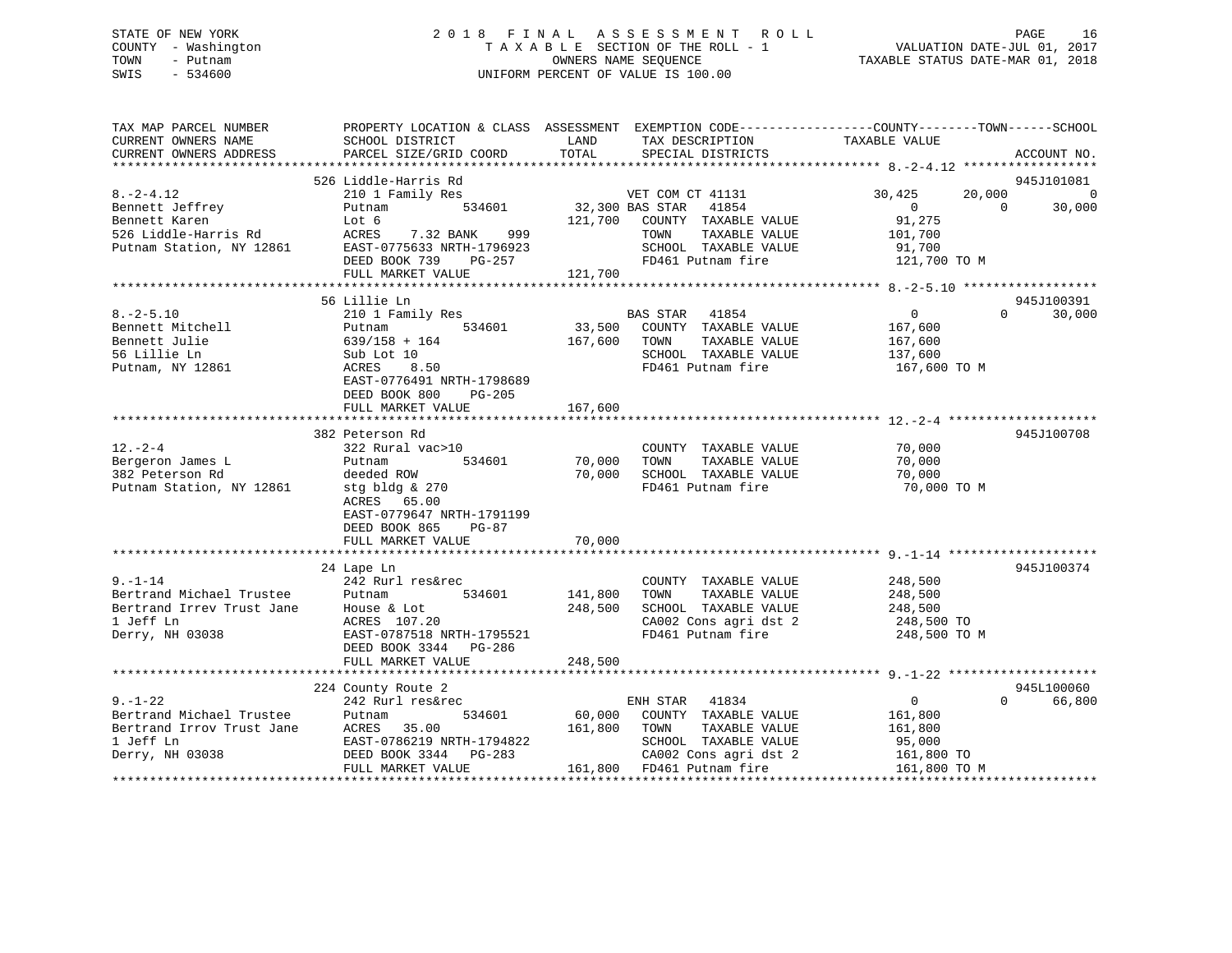## STATE OF NEW YORK 2 0 1 8 F I N A L A S S E S S M E N T R O L L PAGE 16 COUNTY - Washington T A X A B L E SECTION OF THE ROLL - 1 VALUATION DATE-JUL 01, 2017 TOWN - Putnam OWNERS NAME SEQUENCE TAXABLE STATUS DATE-MAR 01, 2018 SWIS - 534600 UNIFORM PERCENT OF VALUE IS 100.00

| TAX MAP PARCEL NUMBER<br>CURRENT OWNERS NAME<br>CURRENT OWNERS ADDRESS | SCHOOL DISTRICT<br>PARCEL SIZE/GRID COORD   | LAND<br>TAX DESCRIPTION<br>TOTAL<br>SPECIAL DISTRICTS | PROPERTY LOCATION & CLASS ASSESSMENT EXEMPTION CODE---------------COUNTY-------TOWN-----SCHOOL<br>TAXABLE VALUE<br>ACCOUNT NO. |
|------------------------------------------------------------------------|---------------------------------------------|-------------------------------------------------------|--------------------------------------------------------------------------------------------------------------------------------|
|                                                                        |                                             |                                                       |                                                                                                                                |
| $8. - 2 - 4.12$                                                        | 526 Liddle-Harris Rd<br>210 1 Family Res    | VET COM CT 41131                                      | 945J101081<br>30,425<br>20,000<br>$\overline{0}$                                                                               |
| Bennett Jeffrey                                                        | 534601<br>Putnam                            | 32,300 BAS STAR<br>41854                              | $\Omega$<br>$\Omega$<br>30,000                                                                                                 |
| Bennett Karen                                                          | Lot 6                                       | 121,700 COUNTY TAXABLE VALUE                          | 91,275                                                                                                                         |
| 526 Liddle-Harris Rd                                                   | ACRES<br>7.32 BANK<br>999                   | TOWN<br>TAXABLE VALUE                                 | 101,700                                                                                                                        |
| Putnam Station, NY 12861                                               | EAST-0775633 NRTH-1796923<br>PG-257         | SCHOOL TAXABLE VALUE<br>FD461 Putnam fire             | 91,700<br>121,700 TO M                                                                                                         |
|                                                                        | DEED BOOK 739<br>FULL MARKET VALUE          | 121,700                                               |                                                                                                                                |
|                                                                        | *************************                   |                                                       |                                                                                                                                |
|                                                                        | 56 Lillie Ln                                |                                                       | 945J100391                                                                                                                     |
| $8. - 2 - 5.10$                                                        | 210 1 Family Res                            | BAS STAR<br>41854                                     | $\overline{0}$<br>$\Omega$<br>30,000                                                                                           |
| Bennett Mitchell                                                       | 534601<br>Putnam                            | 33,500<br>COUNTY TAXABLE VALUE                        | 167,600                                                                                                                        |
| Bennett Julie                                                          | $639/158 + 164$                             | 167,600<br>TAXABLE VALUE<br>TOWN                      | 167,600                                                                                                                        |
| 56 Lillie Ln                                                           | Sub Lot 10                                  | SCHOOL TAXABLE VALUE                                  | 137,600                                                                                                                        |
| Putnam, NY 12861                                                       | 8.50<br>ACRES                               | FD461 Putnam fire                                     | 167,600 TO M                                                                                                                   |
|                                                                        | EAST-0776491 NRTH-1798689                   |                                                       |                                                                                                                                |
|                                                                        | DEED BOOK 800<br>PG-205                     |                                                       |                                                                                                                                |
|                                                                        | FULL MARKET VALUE                           | 167,600                                               |                                                                                                                                |
|                                                                        |                                             |                                                       |                                                                                                                                |
|                                                                        | 382 Peterson Rd                             |                                                       | 945J100708                                                                                                                     |
| $12. - 2 - 4$                                                          | 322 Rural vac>10                            | COUNTY TAXABLE VALUE                                  | 70,000                                                                                                                         |
| Bergeron James L                                                       | 534601<br>Putnam                            | 70,000<br>TAXABLE VALUE<br>TOWN                       | 70,000                                                                                                                         |
| 382 Peterson Rd                                                        | deeded ROW                                  | 70,000<br>SCHOOL TAXABLE VALUE                        | 70,000                                                                                                                         |
| Putnam Station, NY 12861                                               | stg bldg & 270                              | FD461 Putnam fire                                     | 70,000 TO M                                                                                                                    |
|                                                                        | ACRES 65.00<br>EAST-0779647 NRTH-1791199    |                                                       |                                                                                                                                |
|                                                                        | DEED BOOK 865<br>PG-87                      |                                                       |                                                                                                                                |
|                                                                        | FULL MARKET VALUE                           | 70,000                                                |                                                                                                                                |
|                                                                        |                                             |                                                       |                                                                                                                                |
|                                                                        | 24 Lape Ln                                  |                                                       | 945J100374                                                                                                                     |
| $9. - 1 - 14$                                                          | 242 Rurl res&rec                            | COUNTY TAXABLE VALUE                                  | 248,500                                                                                                                        |
|                                                                        | 534601                                      | 141,800<br>TAXABLE VALUE<br>TOWN                      | 248,500                                                                                                                        |
| Printmand Michael Trustee Putnam<br>Bertrand Irrev Trust Jane House &  | House & Lot                                 | SCHOOL TAXABLE VALUE<br>248,500                       | 248,500                                                                                                                        |
| 1 Jeff Ln                                                              | ACRES 107.20                                | CA002 Cons agri dst 2                                 | 248,500 TO                                                                                                                     |
| Derry, NH 03038                                                        | EAST-0787518 NRTH-1795521                   | FD461 Putnam fire                                     | 248,500 TO M                                                                                                                   |
|                                                                        | DEED BOOK 3344 PG-286                       |                                                       |                                                                                                                                |
|                                                                        | FULL MARKET VALUE                           | 248,500                                               |                                                                                                                                |
|                                                                        |                                             |                                                       |                                                                                                                                |
|                                                                        | 224 County Route 2                          |                                                       | 945L100060                                                                                                                     |
| $9. - 1 - 22$                                                          | 242 Rurl res&rec                            | ENH STAR 41834                                        | $\mathbf{0}$<br>$\Omega$<br>66,800                                                                                             |
| Bertrand Michael Trustee<br>Bertrand Irrov Trust Jane                  | 534601<br>Putnam                            | 60,000<br>COUNTY TAXABLE VALUE                        | 161,800                                                                                                                        |
| 1 Jeff Ln                                                              | ACRES<br>35.00<br>EAST-0786219 NRTH-1794822 | 161,800<br>TOWN<br>TAXABLE VALUE                      | 161,800                                                                                                                        |
| Derry, NH 03038                                                        | DEED BOOK 3344 PG-283                       | SCHOOL TAXABLE VALUE<br>CA002 Cons agri dst 2         | 95,000                                                                                                                         |
|                                                                        | FULL MARKET VALUE                           | 161,800 FD461 Putnam fire                             | 161,800 TO<br>161,800 TO M                                                                                                     |
| ********************************                                       |                                             |                                                       |                                                                                                                                |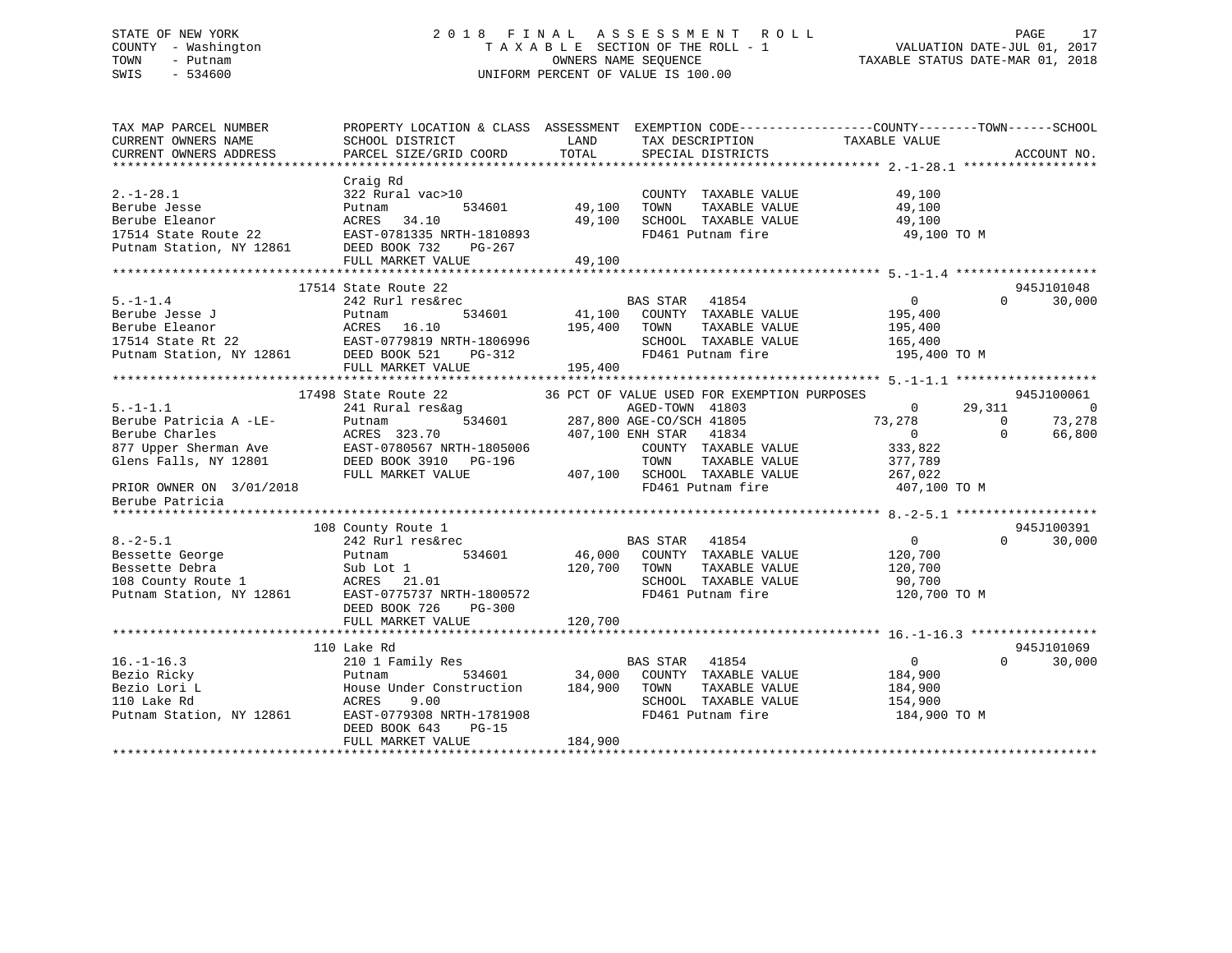## STATE OF NEW YORK 2 0 1 8 F I N A L A S S E S S M E N T R O L L PAGE 17 COUNTY - Washington T A X A B L E SECTION OF THE ROLL - 1 VALUATION DATE-JUL 01, 2017 TOWN - Putnam OWNERS NAME SEQUENCE TAXABLE STATUS DATE-MAR 01, 2018 SWIS - 534600 UNIFORM PERCENT OF VALUE IS 100.00

| TAX MAP PARCEL NUMBER<br>CURRENT OWNERS NAME<br>CURRENT OWNERS ADDRESS                                                                    | SCHOOL DISTRICT<br>PARCEL SIZE/GRID COORD                                                                                                                                      | LAND<br>TAX DESCRIPTION TAXABLE VALUE<br>TOTAL<br>SPECIAL DISTRICTS                                                                             | PROPERTY LOCATION & CLASS ASSESSMENT EXEMPTION CODE----------------COUNTY-------TOWN------SCHOOL<br>ACCOUNT NO. |
|-------------------------------------------------------------------------------------------------------------------------------------------|--------------------------------------------------------------------------------------------------------------------------------------------------------------------------------|-------------------------------------------------------------------------------------------------------------------------------------------------|-----------------------------------------------------------------------------------------------------------------|
| $2. -1 - 28.1$<br>Berube Jesse<br>Berube Eleanor                                                                                          | Craig Rd<br>322 Rural vac>10<br>534601<br>Putnam<br>ACRES<br>34.10                                                                                                             | COUNTY TAXABLE VALUE<br>49,100<br>TOWN<br>TAXABLE VALUE<br>49,100<br>SCHOOL TAXABLE VALUE                                                       | 49,100<br>49,100<br>49,100                                                                                      |
| 17514 State Route 22<br>Putnam Station, NY 12861                                                                                          | EAST-0781335 NRTH-1810893<br>DEED BOOK 732<br>PG-267<br>FULL MARKET VALUE                                                                                                      | FD461 Putnam fire<br>49,100                                                                                                                     | 49,100 TO M                                                                                                     |
|                                                                                                                                           |                                                                                                                                                                                |                                                                                                                                                 |                                                                                                                 |
| $5. - 1 - 1.4$<br>Berube Jesse J<br>Berube Eleanor                                                                                        | 17514 State Route 22<br>242 Rurl res&rec<br>534601<br>Putnam<br>16.10<br>ACRES<br>17514 State Rt 22<br>Putnam Station, NY 12861 DEED BOOK 521 PG-312                           | BAS STAR 41854<br>41,100<br>COUNTY TAXABLE VALUE<br>195,400<br>TOWN<br>TAXABLE VALUE<br>SCHOOL TAXABLE VALUE                                    | 945J101048<br>$\overline{0}$<br>30,000<br>$\Omega$<br>195,400<br>195,400<br>165,400                             |
|                                                                                                                                           |                                                                                                                                                                                | FD461 Putnam fire                                                                                                                               | 195,400 TO M                                                                                                    |
|                                                                                                                                           | FULL MARKET VALUE                                                                                                                                                              | 195,400                                                                                                                                         |                                                                                                                 |
|                                                                                                                                           |                                                                                                                                                                                |                                                                                                                                                 |                                                                                                                 |
| $5. - 1 - 1.1$                                                                                                                            | 17498 State Route 22<br>241 Rural res&ag                                                                                                                                       | 36 PCT OF VALUE USED FOR EXEMPTION PURPOSES<br>AGED-TOWN 41803<br>287,800 AGE-CO/SCH 41805                                                      | 945J100061<br>$\overline{0}$<br>29,311<br>$\overline{0}$                                                        |
| Berube Patricia A -LE-<br>Berube Charles<br>877 Upper Sherman Ave<br>Glens Falls, NY 12801<br>PRIOR OWNER ON 3/01/2018<br>Berube Patricia | 534601<br>Putnam<br>ACRES 323.70<br>EAST-0780567 NRTH-1805006<br>DEED BOOK 3910 PG-196<br>FULL MARKET VALUE                                                                    | 407,100 ENH STAR<br>41834<br>COUNTY TAXABLE VALUE<br>TOWN<br>TAXABLE VALUE<br>407,100 SCHOOL TAXABLE VALUE<br>FD461 Putnam fire                 | 73,278<br>$\Omega$<br>73,278<br>0<br>$\Omega$<br>66,800<br>333,822<br>377,789<br>267,022<br>407,100 TO M        |
|                                                                                                                                           |                                                                                                                                                                                |                                                                                                                                                 |                                                                                                                 |
| $8. -2 - 5.1$                                                                                                                             | 108 County Route 1<br>242 Rurl res&rec                                                                                                                                         | BAS STAR<br>41854                                                                                                                               | 945J100391<br>$\overline{0}$<br>$\Omega$<br>30,000                                                              |
| Bessette George<br>Bessette Debra<br>108 County Route 1<br>Putnam Station, NY 12861<br>Putnam Station, NY 12861                           | 534601<br>Putnam<br>Sub Lot 1<br>ACRES 21.01<br>EAST-0775737 NRTH-1800572<br>DEED BOOK 726<br>PG-300                                                                           | 46,000 COUNTY TAXABLE VALUE<br>120,700<br>TOWN<br>TAXABLE VALUE<br>SCHOOL TAXABLE VALUE<br>FD461 Putnam fire                                    | 120,700<br>120,700<br>90,700<br>120,700 TO M                                                                    |
|                                                                                                                                           | FULL MARKET VALUE                                                                                                                                                              | 120,700                                                                                                                                         |                                                                                                                 |
|                                                                                                                                           |                                                                                                                                                                                |                                                                                                                                                 |                                                                                                                 |
| $16. - 1 - 16.3$<br>Bezio Ricky<br>Bezio Lori L<br>110 Lake Rd<br>Putnam Station, NY 12861                                                | 110 Lake Rd<br>210 1 Family Res<br>Putnam<br>534601<br>House Under Construction<br>ACRES<br>9.00<br>EAST-0779308 NRTH-1781908<br>DEED BOOK 643<br>$PG-15$<br>FULL MARKET VALUE | BAS STAR<br>41854<br>34,000<br>COUNTY TAXABLE VALUE<br>184,900<br>TOWN<br>TAXABLE VALUE<br>SCHOOL TAXABLE VALUE<br>FD461 Putnam fire<br>184,900 | 945J101069<br>$\overline{0}$<br>$\Omega$<br>30,000<br>184,900<br>184,900<br>154,900<br>184,900 TO M             |
|                                                                                                                                           |                                                                                                                                                                                |                                                                                                                                                 |                                                                                                                 |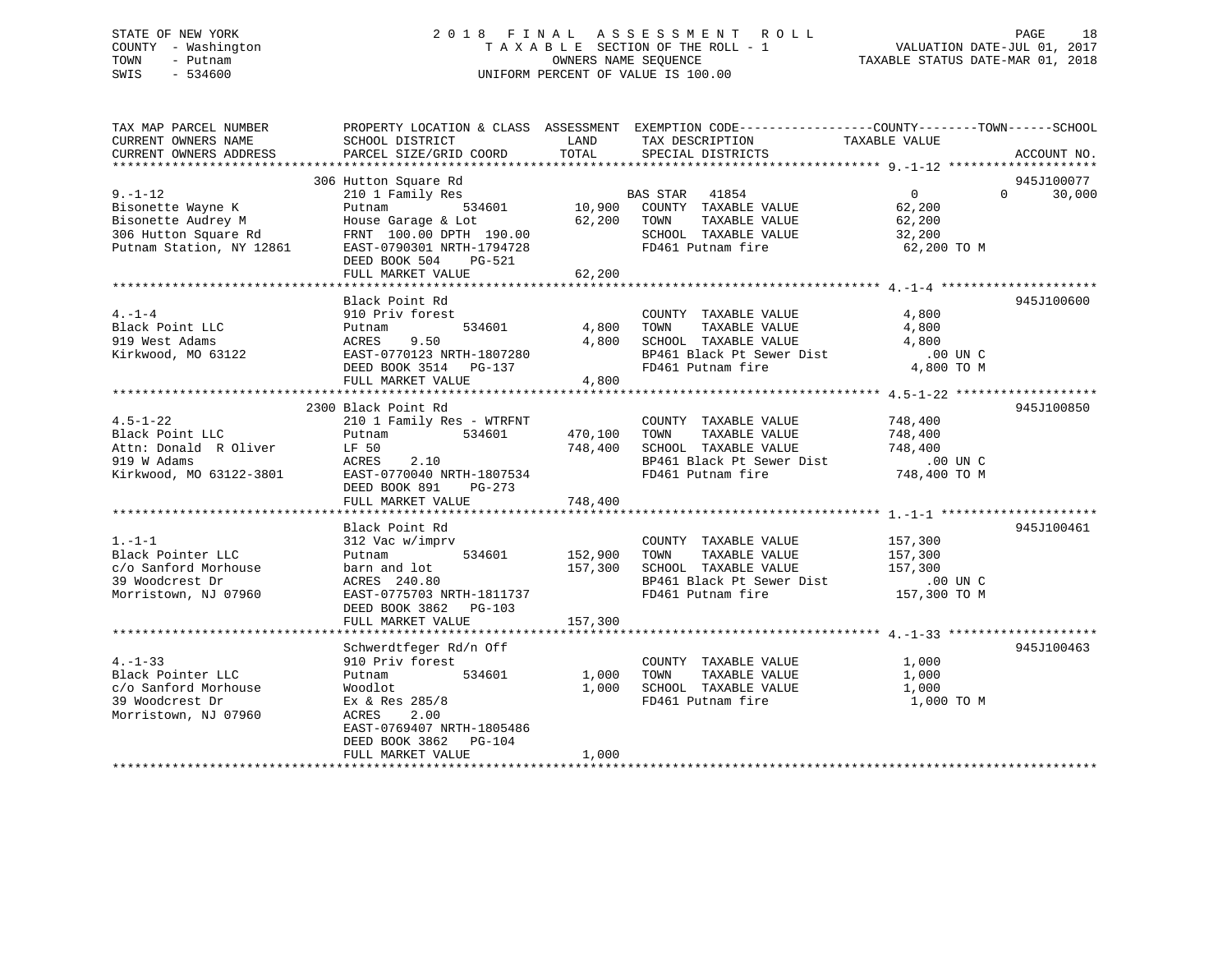## STATE OF NEW YORK 2 0 1 8 F I N A L A S S E S S M E N T R O L L PAGE 18 COUNTY - Washington T A X A B L E SECTION OF THE ROLL - 1 VALUATION DATE-JUL 01, 2017 TOWN - Putnam OWNERS NAME SEQUENCE TAXABLE STATUS DATE-MAR 01, 2018 SWIS - 534600 UNIFORM PERCENT OF VALUE IS 100.00

| TAX MAP PARCEL NUMBER<br>CURRENT OWNERS NAME<br>CURRENT OWNERS ADDRESS                                      | SCHOOL DISTRICT<br>PARCEL SIZE/GRID COORD                                                                                                                                           | LAND<br>TOTAL                      | PROPERTY LOCATION & CLASS ASSESSMENT EXEMPTION CODE---------------COUNTY-------TOWN-----SCHOOL<br>TAX DESCRIPTION<br>SPECIAL DISTRICTS                      | TAXABLE VALUE                                               | ACCOUNT NO.                      |
|-------------------------------------------------------------------------------------------------------------|-------------------------------------------------------------------------------------------------------------------------------------------------------------------------------------|------------------------------------|-------------------------------------------------------------------------------------------------------------------------------------------------------------|-------------------------------------------------------------|----------------------------------|
| $9 - 1 - 12$<br>Bisonette Wayne K<br>Bisonette Audrey M<br>306 Hutton Square Rd<br>Putnam Station, NY 12861 | 306 Hutton Square Rd<br>210 1 Family Res<br>Putnam<br>House Garage & Lot<br>FRNT 100.00 DPTH 190.00<br>EAST-0790301 NRTH-1794728<br>DEED BOOK 504<br>PG-521<br>FULL MARKET VALUE    | 62,200 TOWN<br>SCHOOL<br>62,200    | quare Rd<br>nily Res 534601 10,900 COUNTY TAXABLE VALUE<br>534601 10,900 COUNTY TAXABLE VALUE<br>TAXABLE VALUE<br>SCHOOL TAXABLE VALUE<br>FD461 Putnam fire | $\overline{0}$<br>62,200<br>62,200<br>32,200<br>62,200 TO M | 945J100077<br>$\Omega$<br>30,000 |
| $4. -1 - 4$<br>Black Point LLC<br>919 West Adams<br>Kirkwood, MO 63122                                      | Black Point Rd<br>910 Priv forest<br>534601<br>Putnam<br>ACRES<br>9.50<br>EAST-0770123 NRTH-1807280<br>DEED BOOK 3514 PG-137<br>FULL MARKET VALUE                                   | 4,800 TOWN<br>4,800                | COUNTY TAXABLE VALUE<br>TAXABLE VALUE<br>4,800 SCHOOL TAXABLE VALUE<br>BP461 Black Pt Sewer Dist<br>FD461 Putnam fire                                       | 4,800<br>4,800<br>4,800<br>00 UN C.<br>4,800 TO M           | 945J100600                       |
| $4.5 - 1 - 22$<br>Black Point LLC<br>Attn: Donald R Oliver<br>919 W Adams<br>Kirkwood, MO 63122-3801        | 2300 Black Point Rd<br>210 1 Family Res - WTRFNT<br>Putnam 534601<br>LF 50<br>2.10<br>ACRES<br>EAST-0770040 NRTH-1807534<br>DEED BOOK 891<br>$PG-273$<br>FULL MARKET VALUE          | 470,100 TOWN<br>748,400<br>748,400 | COUNTY TAXABLE VALUE<br>TAXABLE VALUE<br>SCHOOL TAXABLE VALUE<br>BP461 Black Pt Sewer Dist .00 UN C<br>FD461 Putnam fire 748,400 TO M                       | 748,400<br>748,400<br>748,400                               | 945J100850                       |
| $1. - 1 - 1$<br>Black Pointer LLC<br>c/o Sanford Morhouse<br>39 Woodcrest Dr<br>Morristown, NJ 07960        | Black Point Rd<br>312 Vac w/imprv<br>Putnam 534601<br>barn and lot<br>ACRES 240.80<br>EAST-0775703 NRTH-1811737<br>DEED BOOK 3862 PG-103<br>FULL MARKET VALUE                       | 152,900<br>157,300<br>157,300      | COUNTY TAXABLE VALUE 157,300<br>TOWN TAXABLE VALUE<br>SCHOOL TAXABLE VALUE<br>BP461 Black Pt Sewer Dist<br>FD461 Putnam fire                                | 157,300<br>157,300<br>.00 UN C<br>157,300 TO M              | 945J100461                       |
| $4. - 1 - 33$<br>Black Pointer LLC<br>c/o Sanford Morhouse<br>39 Woodcrest Dr<br>Morristown, NJ 07960       | Schwerdtfeger Rd/n Off<br>910 Priv forest<br>Putnam 534601<br>Woodlot<br>Ex & Res 285/8<br>2.00<br>ACRES<br>EAST-0769407 NRTH-1805486<br>DEED BOOK 3862 PG-104<br>FULL MARKET VALUE | 1,000<br>1,000                     | COUNTY TAXABLE VALUE<br>1,000 TOWN<br>TAXABLE VALUE<br>SCHOOL TAXABLE VALUE<br>FD461 Putnam fire                                                            | 1,000<br>1,000<br>1,000<br>1,000 TO M                       | 945J100463                       |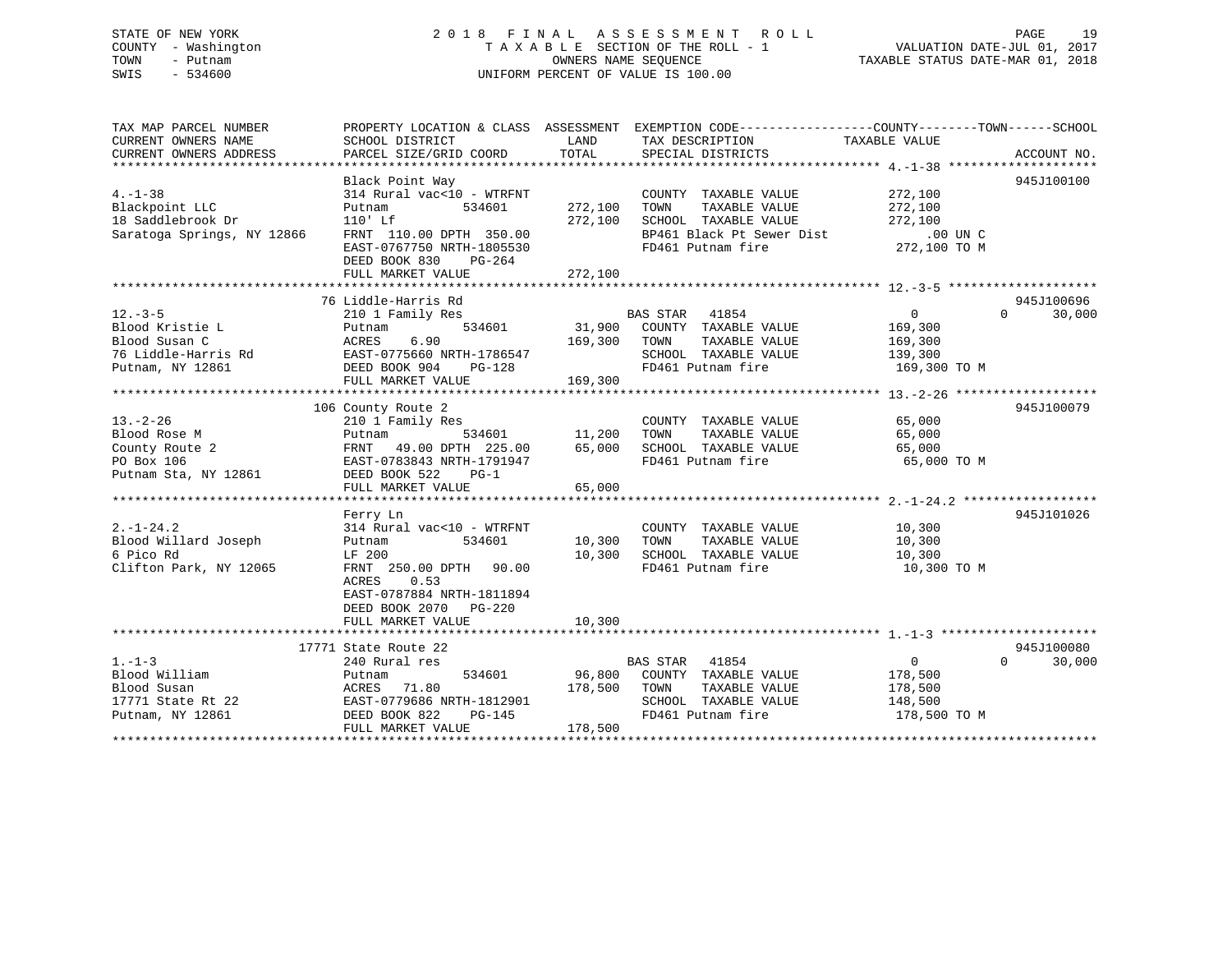## STATE OF NEW YORK 2 0 1 8 F I N A L A S S E S S M E N T R O L L PAGE 19 COUNTY - Washington T A X A B L E SECTION OF THE ROLL - 1 VALUATION DATE-JUL 01, 2017 TOWN - Putnam OWNERS NAME SEQUENCE TAXABLE STATUS DATE-MAR 01, 2018 SWIS - 534600 UNIFORM PERCENT OF VALUE IS 100.00UNIFORM PERCENT OF VALUE IS 100.00

TAX MAP PARCEL NUMBER PROPERTY LOCATION & CLASS ASSESSMENT EXEMPTION CODE------------------COUNTY--------TOWN------SCHOOL CURRENT OWNERS NAME SCHOOL DISTRICT LAND TAX DESCRIPTION TAXABLE VALUE

| CURRENT OWNERS ADDRESS                                      | PARCEL SIZE/GRID COORD                                           | TOTAL   | SPECIAL DISTRICTS           |                            | ACCOUNT NO. |
|-------------------------------------------------------------|------------------------------------------------------------------|---------|-----------------------------|----------------------------|-------------|
|                                                             |                                                                  |         |                             |                            |             |
|                                                             | Black Point Way                                                  |         |                             |                            | 945J100100  |
| $4. - 1 - 38$                                               | 314 Rural vac<10 - WTRFNT                                        |         | COUNTY TAXABLE VALUE        | 272,100                    |             |
| Blackpoint LLC                                              | Putnam<br>534601                                                 | 272,100 | TOWN<br>TAXABLE VALUE       | 272,100                    |             |
| s<br>18 Saddlebrook Dr<br>2                                 | $110'$ Lf                                                        | 272,100 | SCHOOL TAXABLE VALUE        | 272,100                    |             |
| Saratoga Springs, NY 12866                                  | FRNT 110.00 DPTH 350.00                                          |         | BP461 Black Pt Sewer Dist   | .00 UN C                   |             |
|                                                             | EAST-0767750 NRTH-1805530                                        |         | FD461 Putnam fire           | 272,100 TO M               |             |
|                                                             | DEED BOOK 830<br>PG-264                                          |         |                             |                            |             |
|                                                             | FULL MARKET VALUE                                                | 272,100 |                             |                            |             |
|                                                             |                                                                  |         |                             |                            |             |
|                                                             | 76 Liddle-Harris Rd                                              |         |                             |                            | 945J100696  |
|                                                             |                                                                  |         | BAS STAR 41854              | $\overline{0}$<br>$\Omega$ |             |
| $12. - 3 - 5$                                               | 210 1 Family Res                                                 |         |                             |                            | 30,000      |
| Blood Kristie L                                             | 534601<br>Putnam                                                 |         | 31,900 COUNTY TAXABLE VALUE | 169,300                    |             |
| Blood Susan C<br>76 Liddle-Harris Rd<br>76 Liddle-Harris Rd | ACRES<br>6.90                                                    | 169,300 | TOWN<br>TAXABLE VALUE       | 169,300                    |             |
|                                                             | EAST-0775660 NRTH-1786547                                        |         | SCHOOL TAXABLE VALUE        | 139,300                    |             |
| Putnam, NY 12861                                            | DEED BOOK 904<br>PG-128                                          |         | FD461 Putnam fire           | 169,300 TO M               |             |
|                                                             | FULL MARKET VALUE                                                | 169,300 |                             |                            |             |
|                                                             |                                                                  |         |                             |                            |             |
|                                                             | 106 County Route 2                                               |         |                             |                            | 945J100079  |
| $13. - 2 - 26$                                              | з<br>534601                           11,200<br>210 1 Family Res |         | COUNTY TAXABLE VALUE        | 65,000                     |             |
| Blood Rose M                                                | Putnam                                                           |         | TOWN<br>TAXABLE VALUE       | 65,000                     |             |
| County Route 2                                              | FRNT<br>49.00 DPTH 225.00                                        | 65,000  | SCHOOL TAXABLE VALUE        | 65,000                     |             |
| PO Box 106                                                  | EAST-0783843 NRTH-1791947                                        |         | FD461 Putnam fire           | 65,000 TO M                |             |
| Putnam Sta, NY 12861                                        | DEED BOOK 522<br>$PG-1$                                          |         |                             |                            |             |
|                                                             | FULL MARKET VALUE                                                | 65,000  |                             |                            |             |
|                                                             |                                                                  |         |                             |                            |             |
|                                                             |                                                                  |         |                             |                            | 945J101026  |
|                                                             | Ferry Ln                                                         |         |                             |                            |             |
| $2. -1 - 24.2$                                              | 314 Rural vac<10 - WTRFNT                                        |         | COUNTY TAXABLE VALUE        | 10,300                     |             |
| Blood Willard Joseph                                        | 534601<br>Putnam                                                 | 10,300  | TAXABLE VALUE<br>TOWN       | 10,300                     |             |
| 6 Pico Rd                                                   | LF 200                                                           | 10,300  | SCHOOL TAXABLE VALUE        | 10,300                     |             |
| Clifton Park, NY 12065                                      | FRNT 250.00 DPTH 90.00                                           |         | FD461 Putnam fire           | 10,300 TO M                |             |
|                                                             | <b>ACRES</b><br>0.53                                             |         |                             |                            |             |
|                                                             | EAST-0787884 NRTH-1811894                                        |         |                             |                            |             |
|                                                             | DEED BOOK 2070 PG-220                                            |         |                             |                            |             |
|                                                             | FULL MARKET VALUE                                                | 10,300  |                             |                            |             |
|                                                             |                                                                  |         |                             |                            |             |
|                                                             | 17771 State Route 22                                             |         |                             |                            | 945J100080  |
| $1. - 1 - 3$                                                | 240 Rural res                                                    |         | <b>BAS STAR</b><br>41854    | $\overline{0}$<br>$\Omega$ | 30,000      |
| Blood William                                               | 534601<br>Putnam                                                 |         | 96,800 COUNTY TAXABLE VALUE | 178,500                    |             |
| Blood Susan                                                 | ACRES 71.80                                                      | 178,500 | TOWN<br>TAXABLE VALUE       | 178,500                    |             |
| 17771 State Rt 22                                           | EAST-0779686 NRTH-1812901                                        |         | SCHOOL TAXABLE VALUE        | 148,500                    |             |
| Putnam, NY 12861                                            | DEED BOOK 822<br>$PG-145$                                        |         | FD461 Putnam fire           | 178,500 TO M               |             |
|                                                             | FULL MARKET VALUE                                                | 178,500 |                             |                            |             |
|                                                             |                                                                  |         |                             |                            |             |
|                                                             |                                                                  |         |                             |                            |             |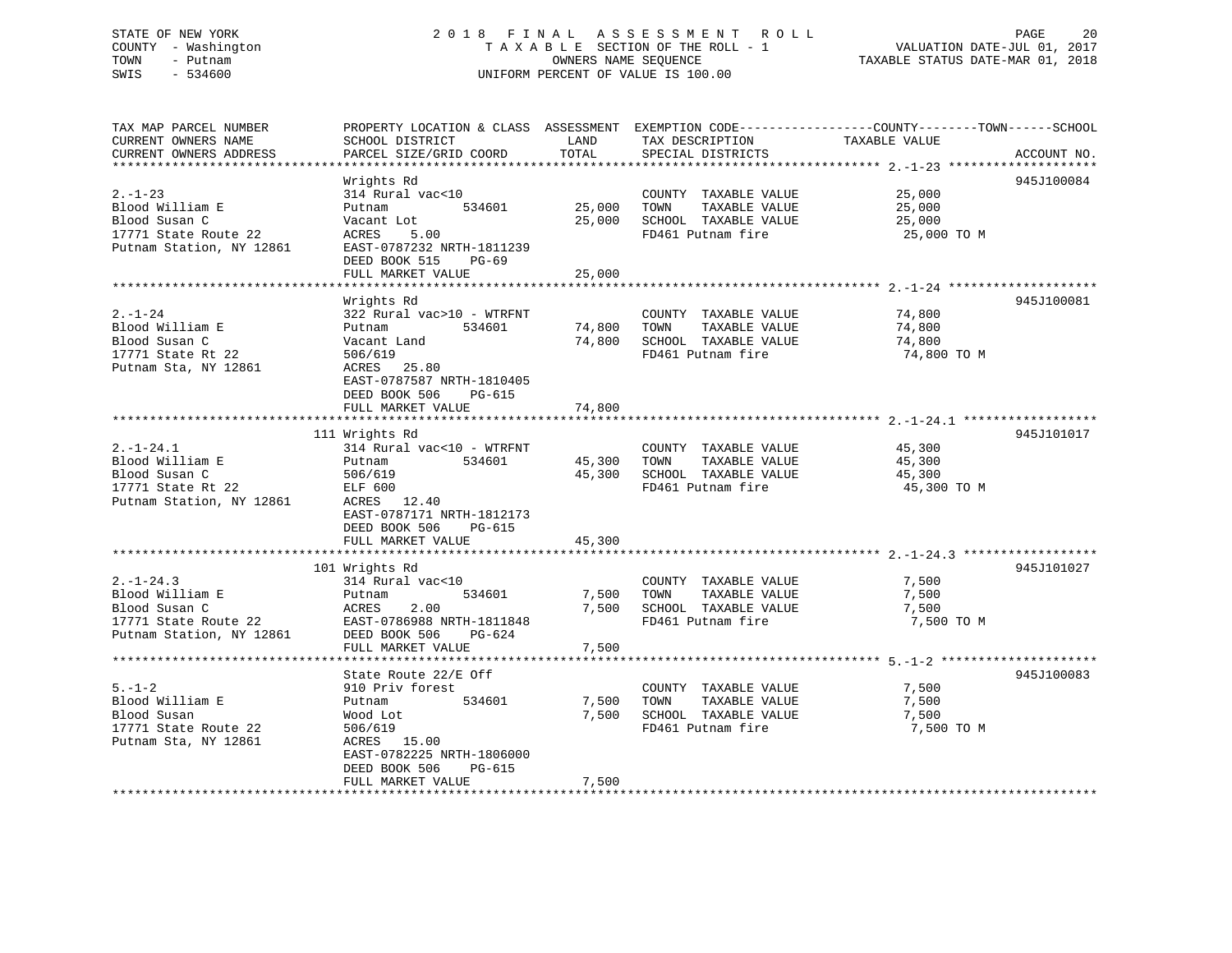## STATE OF NEW YORK 2 0 1 8 F I N A L A S S E S S M E N T R O L L PAGE 20 COUNTY - Washington T A X A B L E SECTION OF THE ROLL - 1 VALUATION DATE-JUL 01, 2017 TOWN - Putnam OWNERS NAME SEQUENCE TAXABLE STATUS DATE-MAR 01, 2018 SWIS - 534600 UNIFORM PERCENT OF VALUE IS 100.00

| TAX MAP PARCEL NUMBER<br>CURRENT OWNERS NAME                                                   | PROPERTY LOCATION & CLASS ASSESSMENT EXEMPTION CODE---------------COUNTY-------TOWN-----SCHOOL<br>SCHOOL DISTRICT   |             | LAND TAX DESCRIPTION                                                                                   | TAXABLE VALUE                             |             |
|------------------------------------------------------------------------------------------------|---------------------------------------------------------------------------------------------------------------------|-------------|--------------------------------------------------------------------------------------------------------|-------------------------------------------|-------------|
| CURRENT OWNERS ADDRESS                                                                         | PARCEL SIZE/GRID COORD                                                                                              | TOTAL       | SPECIAL DISTRICTS                                                                                      |                                           | ACCOUNT NO. |
| $2. - 1 - 23$                                                                                  | Wrights Rd<br>314 Rural vac<10                                                                                      |             | COUNTY TAXABLE VALUE                                                                                   | 25,000                                    | 945J100084  |
| Blood William E<br>Blood Susan C                                                               | 534601<br>Putnam<br>Vacant Lot                                                                                      |             | 25,000 TOWN TAXABLE VALUE<br>25,000 SCHOOL TAXABLE VALUE                                               | 25,000<br>25,000                          |             |
| 17771 State Route 22<br>Putnam Station, NY 12861                                               | 5.00<br>ACRES<br>EAST-0787232 NRTH-1811239<br>DEED BOOK 515 PG-69                                                   |             | FD461 Putnam fire                                                                                      | 25,000 TO M                               |             |
|                                                                                                | FULL MARKET VALUE                                                                                                   | 25,000      |                                                                                                        |                                           |             |
|                                                                                                | Wrights Rd                                                                                                          |             |                                                                                                        |                                           | 945J100081  |
| $2. - 1 - 24$<br>Blood William E<br>Blood Susan C<br>17771 State Rt 22<br>Putnam Sta, NY 12861 | 322 Rural vac>10 - WTRFNT<br>Putnam<br>534601<br>Vacant Land<br>506/619<br>ACRES 25.80<br>EAST-0787587 NRTH-1810405 | 74,800 TOWN | COUNTY TAXABLE VALUE<br>TAXABLE VALUE<br>74,800 SCHOOL TAXABLE VALUE<br>FD461 Putnam fire              | 74,800<br>74,800<br>74,800<br>74,800 TO M |             |
|                                                                                                | DEED BOOK 506<br>PG-615<br>FULL MARKET VALUE                                                                        | 74,800      |                                                                                                        |                                           |             |
|                                                                                                |                                                                                                                     |             |                                                                                                        |                                           |             |
| $2. -1 - 24.1$<br>Blood William E<br>Blood Susan C<br>17771 State Rt 22                        | 111 Wrights Rd<br>314 Rural vac<10 - WTRFNT<br>314 Rur<br>Putnam<br>534601<br>506/619                               |             | COUNTY TAXABLE VALUE<br>45,300 TOWN<br>TAXABLE VALUE<br>45,300 SCHOOL TAXABLE VALUE                    | 45,300<br>45,300<br>45,300                | 945J101017  |
| Putnam Station, NY 12861                                                                       | ELF 600<br>ACRES 12.40<br>EAST-0787171 NRTH-1812173<br>DEED BOOK 506 PG-615                                         |             | FD461 Putnam fire                                                                                      | 45,300 TO M                               |             |
|                                                                                                | FULL MARKET VALUE                                                                                                   | 45,300      |                                                                                                        |                                           |             |
|                                                                                                | 101 Wrights Rd                                                                                                      |             |                                                                                                        |                                           | 945J101027  |
|                                                                                                | 314 Rural vac<10<br>534601                                                                                          |             | COUNTY TAXABLE VALUE<br>TAXABLE VALUE<br>7,500 TOWN<br>7,500 SCHOOL TAXABLE VALUE<br>FD461 Putnam fire | 7,500<br>7,500<br>7,500<br>7,500 TO M     |             |
|                                                                                                | FULL MARKET VALUE                                                                                                   | 7,500       |                                                                                                        |                                           |             |
|                                                                                                |                                                                                                                     |             |                                                                                                        |                                           |             |
|                                                                                                | State Route 22/E Off                                                                                                |             |                                                                                                        |                                           | 945J100083  |
| $5. - 1 - 2$                                                                                   | 910 Priv forest                                                                                                     |             | COUNTY TAXABLE VALUE                                                                                   | 7,500                                     |             |
| Blood William E<br>Blood Susan                                                                 | 534601<br>Putnam                                                                                                    |             | 7,500 TOWN<br>TAXABLE VALUE<br>7,500 SCHOOL TAXABLE VALUE                                              | 7,500<br>7,500                            |             |
| 17771 State Route 22<br>Putnam Sta, NY 12861                                                   | Wood Lot<br>506/619<br>ACRES 15.00<br>EAST-0782225 NRTH-1806000<br>DEED BOOK 506<br>PG-615                          |             | FD461 Putnam fire                                                                                      | 7,500 TO M                                |             |
|                                                                                                | FULL MARKET VALUE                                                                                                   | 7,500       |                                                                                                        |                                           |             |
|                                                                                                |                                                                                                                     |             |                                                                                                        |                                           |             |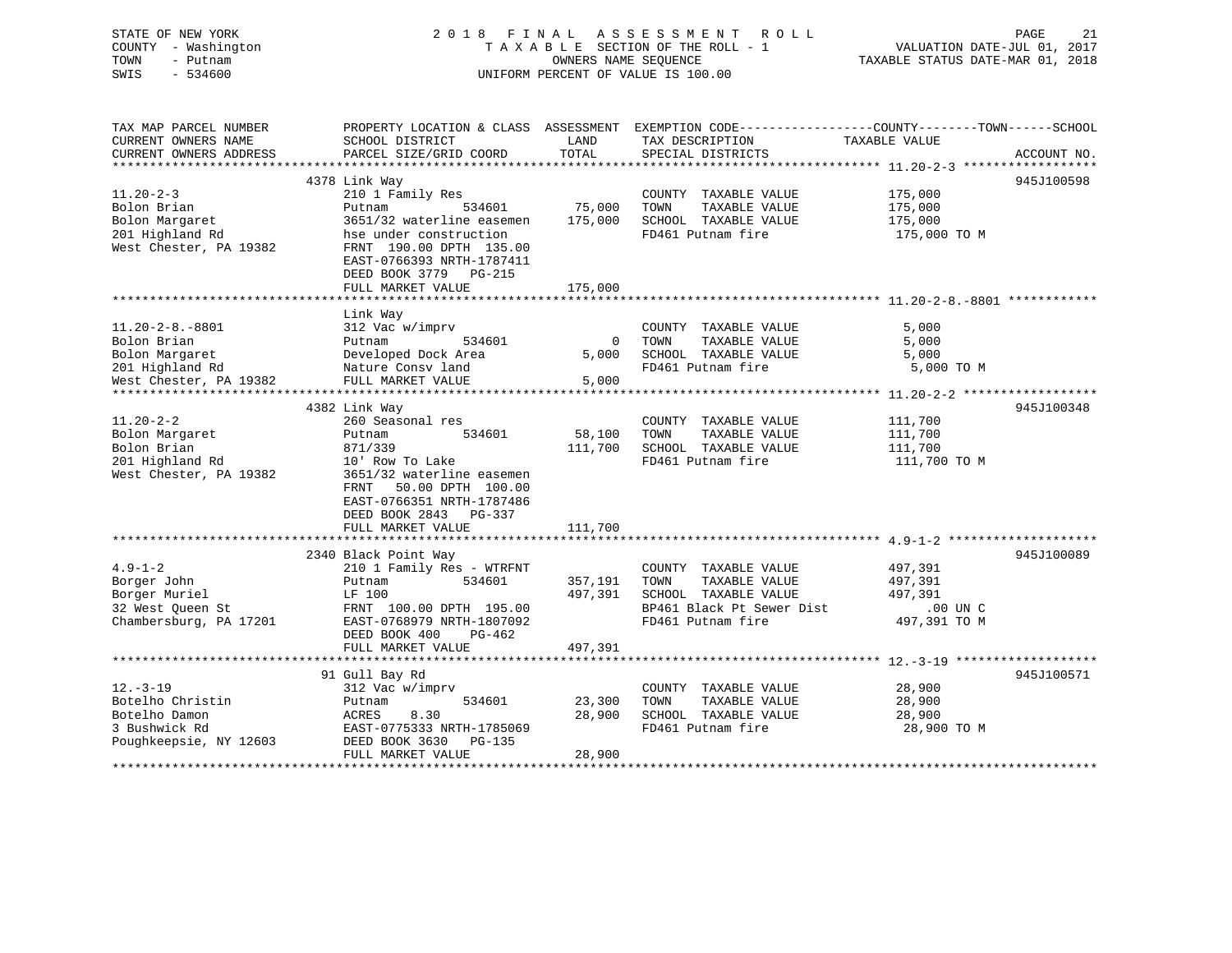| STATE OF NEW YORK<br>COUNTY - Washington<br>TOWN<br>- Putnam<br>SWIS<br>$-534600$ |                                                                                                                              | OWNERS NAME SEQUENCE     | 2018 FINAL ASSESSMENT<br>ROLL<br>TAXABLE SECTION OF THE ROLL - 1<br>UNIFORM PERCENT OF VALUE IS 100.00 | PAGE<br>21<br>VALUATION DATE-JUL 01, 2017<br>TAXABLE STATUS DATE-MAR 01, 2018                   |
|-----------------------------------------------------------------------------------|------------------------------------------------------------------------------------------------------------------------------|--------------------------|--------------------------------------------------------------------------------------------------------|-------------------------------------------------------------------------------------------------|
| TAX MAP PARCEL NUMBER                                                             |                                                                                                                              |                          |                                                                                                        | PROPERTY LOCATION & CLASS ASSESSMENT EXEMPTION CODE----------------COUNTY-------TOWN-----SCHOOL |
| CURRENT OWNERS NAME<br>CURRENT OWNERS ADDRESS                                     | SCHOOL DISTRICT<br>PARCEL SIZE/GRID COORD                                                                                    | LAND<br>TOTAL            | TAX DESCRIPTION<br>SPECIAL DISTRICTS                                                                   | TAXABLE VALUE<br>ACCOUNT NO.                                                                    |
| ***************                                                                   |                                                                                                                              |                          |                                                                                                        | ******************** 11.20-2-3 ******************                                               |
|                                                                                   | 4378 Link Way                                                                                                                |                          |                                                                                                        | 945J100598                                                                                      |
| $11.20 - 2 - 3$                                                                   | 210 1 Family Res                                                                                                             |                          | COUNTY TAXABLE VALUE                                                                                   | 175,000                                                                                         |
| Bolon Brian                                                                       | Putnam<br>534601                                                                                                             | 75,000                   | TOWN<br>TAXABLE VALUE                                                                                  | 175,000                                                                                         |
| Bolon Margaret                                                                    | 3651/32 waterline easemen                                                                                                    | 175,000                  | SCHOOL TAXABLE VALUE                                                                                   | 175,000                                                                                         |
| 201 Highland Rd<br>West Chester, PA 19382                                         | hse under construction<br>FRNT 190.00 DPTH 135.00<br>EAST-0766393 NRTH-1787411<br>DEED BOOK 3779 PG-215<br>FULL MARKET VALUE | 175,000                  | FD461 Putnam fire                                                                                      | 175,000 TO M                                                                                    |
|                                                                                   |                                                                                                                              |                          |                                                                                                        |                                                                                                 |
|                                                                                   | Link Way                                                                                                                     |                          |                                                                                                        |                                                                                                 |
| $11.20 - 2 - 8. - 8801$                                                           | 312 Vac w/imprv                                                                                                              |                          | COUNTY TAXABLE VALUE                                                                                   | 5,000                                                                                           |
| Bolon Brian                                                                       | Putnam<br>534601                                                                                                             | $\overline{0}$           | TOWN<br>TAXABLE VALUE                                                                                  | 5,000                                                                                           |
| Bolon Margaret                                                                    | Developed Dock Area                                                                                                          | 5,000                    | SCHOOL TAXABLE VALUE                                                                                   | 5,000                                                                                           |
| 201 Highland Rd                                                                   | Nature Consv land                                                                                                            |                          | FD461 Putnam fire                                                                                      | 5,000 TO M                                                                                      |
| West Chester, PA 19382                                                            | FULL MARKET VALUE                                                                                                            | 5,000                    |                                                                                                        |                                                                                                 |
|                                                                                   |                                                                                                                              |                          |                                                                                                        |                                                                                                 |
|                                                                                   | 4382 Link Way                                                                                                                |                          |                                                                                                        | 945J100348                                                                                      |
| $11.20 - 2 - 2$                                                                   | 260 Seasonal res                                                                                                             |                          | COUNTY TAXABLE VALUE                                                                                   | 111,700                                                                                         |
| Bolon Margaret                                                                    | Putnam<br>534601                                                                                                             | 58,100                   | TOWN<br>TAXABLE VALUE                                                                                  | 111,700                                                                                         |
| Bolon Brian                                                                       | 871/339                                                                                                                      | 111,700                  | SCHOOL TAXABLE VALUE                                                                                   | 111,700                                                                                         |
| 201 Highland Rd                                                                   | 10' Row To Lake                                                                                                              |                          | FD461 Putnam fire                                                                                      | 111,700 TO M                                                                                    |
| West Chester, PA 19382                                                            | 3651/32 waterline easemen<br>50.00 DPTH 100.00<br>FRNT<br>EAST-0766351 NRTH-1787486<br>DEED BOOK 2843 PG-337                 |                          |                                                                                                        |                                                                                                 |
|                                                                                   | FULL MARKET VALUE                                                                                                            | 111,700                  |                                                                                                        |                                                                                                 |
|                                                                                   | 2340 Black Point Way                                                                                                         |                          |                                                                                                        | 945J100089                                                                                      |
| $4.9 - 1 - 2$                                                                     | 210 1 Family Res - WTRFNT                                                                                                    |                          | COUNTY TAXABLE VALUE                                                                                   | 497,391                                                                                         |
| Borger John                                                                       | 534601<br>Putnam                                                                                                             | 357,191                  | TOWN<br>TAXABLE VALUE                                                                                  | 497,391                                                                                         |
| Borger Muriel                                                                     | LF 100                                                                                                                       | 497,391                  | SCHOOL TAXABLE VALUE                                                                                   | 497,391                                                                                         |
| 32 West Queen St                                                                  | FRNT 100.00 DPTH 195.00                                                                                                      |                          | BP461 Black Pt Sewer Dist                                                                              | $.00$ UN C                                                                                      |
| Chambersburg, PA 17201                                                            | EAST-0768979 NRTH-1807092                                                                                                    |                          | FD461 Putnam fire                                                                                      | 497,391 TO M                                                                                    |
|                                                                                   | DEED BOOK 400<br>$PG-462$<br>FULL MARKET VALUE                                                                               |                          |                                                                                                        |                                                                                                 |
|                                                                                   | *********************                                                                                                        | 497,391<br>************* |                                                                                                        |                                                                                                 |
|                                                                                   | 91 Gull Bay Rd                                                                                                               |                          |                                                                                                        | 945J100571                                                                                      |
| $12. - 3 - 19$                                                                    | 312 Vac w/imprv                                                                                                              |                          | COUNTY TAXABLE VALUE                                                                                   | 28,900                                                                                          |
| Botelho Christin                                                                  | 534601<br>Putnam                                                                                                             | 23,300                   | TOWN<br>TAXABLE VALUE                                                                                  | 28,900                                                                                          |
| Botelho Damon                                                                     | ACRES<br>8.30                                                                                                                | 28,900                   | SCHOOL TAXABLE VALUE                                                                                   | 28,900                                                                                          |
| 3 Bushwick Rd                                                                     | EAST-0775333 NRTH-1785069                                                                                                    |                          | FD461 Putnam fire                                                                                      | 28,900 TO M                                                                                     |
| Poughkeepsie, NY 12603                                                            | DEED BOOK 3630<br>PG-135<br>FULL MARKET VALUE                                                                                | 28,900                   |                                                                                                        |                                                                                                 |
|                                                                                   |                                                                                                                              |                          |                                                                                                        |                                                                                                 |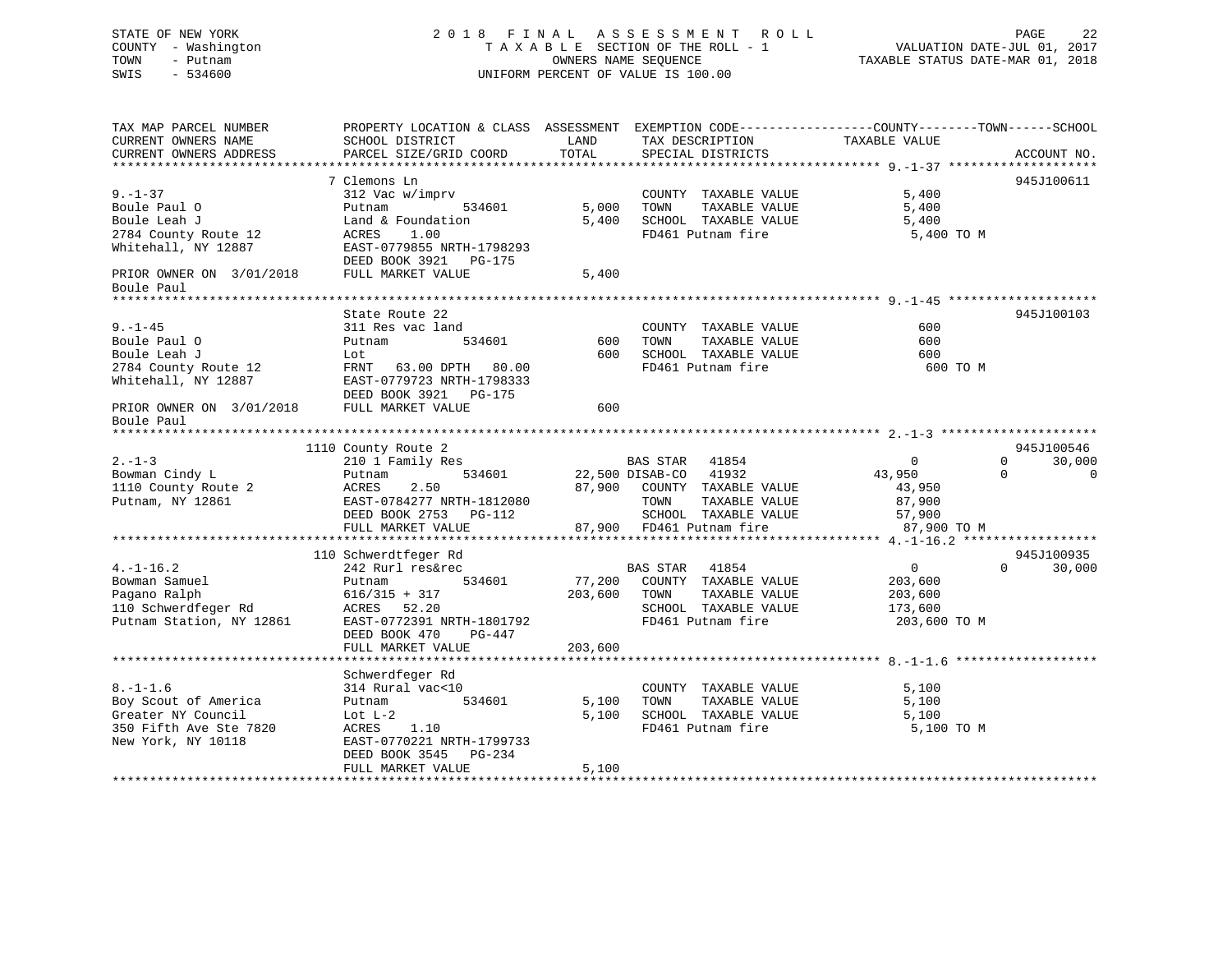STATE OF NEW YORK 2 0 1 8 F I N A L A S S E S S M E N T R O L L PAGE 22 COUNTY - Washington T A X A B L E SECTION OF THE ROLL - 1 VALUATION DATE-JUL 01, 2017 TOWN - Putnam OWNERS NAME SEQUENCE TAXABLE STATUS DATE-MAR 01, 2018 SWIS - 534600 UNIFORM PERCENT OF VALUE IS 100.00TAX MAP PARCEL NUMBER PROPERTY LOCATION & CLASS ASSESSMENT EXEMPTION CODE------------------COUNTY--------TOWN------SCHOOL CURRENT OWNERS NAME SCHOOL DISTRICT LAND TAX DESCRIPTION TAXABLE VALUECURRENT OWNERS ADDRESS PARCEL SIZE/GRID COORD TOTAL SPECIAL DISTRICTS ACCOUNT NO. \*\*\*\*\*\*\*\*\*\*\*\*\*\*\*\*\*\*\*\*\*\*\*\*\*\*\*\*\*\*\*\*\*\*\*\*\*\*\*\*\*\*\*\*\*\*\*\*\*\*\*\*\*\*\*\*\*\*\*\*\*\*\*\*\*\*\*\*\*\*\*\*\*\*\*\*\*\*\*\*\*\*\*\*\*\*\*\*\*\*\*\*\*\*\*\*\*\*\*\*\*\*\* 9.-1-37 \*\*\*\*\*\*\*\*\*\*\*\*\*\*\*\*\*\*\*\* 7 Clemons Ln 945J1006119.-1-37 312 Vac w/imprv COUNTY TAXABLE VALUE 5,400 Boule Paul O Putnam 534601 5,000 TOWN TAXABLE VALUE 5,400 Boule Leah J Land & Foundation 5,400 SCHOOL TAXABLE VALUE 5,400 2784 County Route 12 ACRES 1.00 FD461 Putnam fire 5,400 TO M Whitehall, NY 12887 EAST-0779855 NRTH-1798293 DEED BOOK 3921 PG-175PRIOR OWNER ON  $3/01/2018$  FULL MARKET VALUE 5,400 Boule Paul \*\*\*\*\*\*\*\*\*\*\*\*\*\*\*\*\*\*\*\*\*\*\*\*\*\*\*\*\*\*\*\*\*\*\*\*\*\*\*\*\*\*\*\*\*\*\*\*\*\*\*\*\*\*\*\*\*\*\*\*\*\*\*\*\*\*\*\*\*\*\*\*\*\*\*\*\*\*\*\*\*\*\*\*\*\*\*\*\*\*\*\*\*\*\*\*\*\*\*\*\*\*\* 9.-1-45 \*\*\*\*\*\*\*\*\*\*\*\*\*\*\*\*\*\*\*\*State Route 22 945J100103 9.-1-45 311 Res vac land COUNTY TAXABLE VALUE 600Boule Paul O Putnam 534601 600 TOWN TAXABLE VALUE 600Boule Leah J<br/>  $\tt$  Lot  $\tt$  600  $\tt$  500 SCHOOL TAXABLE VALUE 600 <br/>  $\tt$  600  $\tt$  600  $\tt$ 2784 County Route 12 FRNT 63.00 DPTH 80.00 FD461 Putnam fire 600 TO M Whitehall, NY 12887 EAST-0779723 NRTH-1798333 DEED BOOK 3921 PG-175PRIOR OWNER ON 3/01/2018 FULL MARKET VALUE 600 Boule Paul \*\*\*\*\*\*\*\*\*\*\*\*\*\*\*\*\*\*\*\*\*\*\*\*\*\*\*\*\*\*\*\*\*\*\*\*\*\*\*\*\*\*\*\*\*\*\*\*\*\*\*\*\*\*\*\*\*\*\*\*\*\*\*\*\*\*\*\*\*\*\*\*\*\*\*\*\*\*\*\*\*\*\*\*\*\*\*\*\*\*\*\*\*\*\*\*\*\*\*\*\*\*\* 2.-1-3 \*\*\*\*\*\*\*\*\*\*\*\*\*\*\*\*\*\*\*\*\* 1110 County Route 2 945J100546 2.-1-3 210 1 Family Res BAS STAR 41854 0 0 30,000 Bowman Cindy L Putnam 534601 22,500 DISAB-CO 41932 43,950 0 0 1110 County Route 2 ACRES 2.50 87,900 COUNTY TAXABLE VALUE 43,950 Putnam, NY 12861 EAST-0784277 NRTH-1812080 TOWN TAXABLE VALUE 87,900 DEED BOOK 2753 PG-112 SCHOOL TAXABLE VALUE 57,900 EAST-0784277 NKIN-1012000<br>DEED BOOK 2753 PG-112 87,900 FD461 Putnam fire 87,900 TO M<br>FULL MARKET VALUE 87,900 FD461 Putnam fire 87,900 TO M \*\*\*\*\*\*\*\*\*\*\*\*\*\*\*\*\*\*\*\*\*\*\*\*\*\*\*\*\*\*\*\*\*\*\*\*\*\*\*\*\*\*\*\*\*\*\*\*\*\*\*\*\*\*\*\*\*\*\*\*\*\*\*\*\*\*\*\*\*\*\*\*\*\*\*\*\*\*\*\*\*\*\*\*\*\*\*\*\*\*\*\*\*\*\*\*\*\*\*\*\*\*\* 4.-1-16.2 \*\*\*\*\*\*\*\*\*\*\*\*\*\*\*\*\*\*945J100935 110 Schwerdtfeger Rd 4.-1-16.2 242 Rurl res&rec BAS STAR 41854 0 0 30,000 Bowman Samuel Putnam 534601 77,200 COUNTY TAXABLE VALUE 203,600 Pagano Ralph 616/315 + 317 203,600 TOWN TAXABLE VALUE 203,600

110 Schwerdfeger Rd ACRES 52.20<br>
Putnam Station, NY 12861 EAST-0772391 NRTH-1801792 FD461 Putnam fire 203,600<br>
Putnam fire 203,600 EAST-0772391 NRTH-1801792 FD461 Putnam fire 203,600 TO M DEED BOOK 470 PG-447 FULL MARKET VALUE 203,600 \*\*\*\*\*\*\*\*\*\*\*\*\*\*\*\*\*\*\*\*\*\*\*\*\*\*\*\*\*\*\*\*\*\*\*\*\*\*\*\*\*\*\*\*\*\*\*\*\*\*\*\*\*\*\*\*\*\*\*\*\*\*\*\*\*\*\*\*\*\*\*\*\*\*\*\*\*\*\*\*\*\*\*\*\*\*\*\*\*\*\*\*\*\*\*\*\*\*\*\*\*\*\* 8.-1-1.6 \*\*\*\*\*\*\*\*\*\*\*\*\*\*\*\*\*\*\* Schwerdfeger Rd 8.-1-1.6 314 Rural vac<10 COUNTY TAXABLE VALUE 5,100 Boy Scout of America Putnam 534601 5,100 TOWN TAXABLE VALUE 5,100 Greater NY Council Lot L-2 5,100 SCHOOL TAXABLE VALUE 5,100 350 Fifth Ave Ste 7820 ACRES 1.10 FD461 Putnam fire 5,100 TO M New York, NY 10118 EAST-0770221 NRTH-1799733 DEED BOOK 3545 PG-234FULL MARKET VALUE 5,100 \*\*\*\*\*\*\*\*\*\*\*\*\*\*\*\*\*\*\*\*\*\*\*\*\*\*\*\*\*\*\*\*\*\*\*\*\*\*\*\*\*\*\*\*\*\*\*\*\*\*\*\*\*\*\*\*\*\*\*\*\*\*\*\*\*\*\*\*\*\*\*\*\*\*\*\*\*\*\*\*\*\*\*\*\*\*\*\*\*\*\*\*\*\*\*\*\*\*\*\*\*\*\*\*\*\*\*\*\*\*\*\*\*\*\*\*\*\*\*\*\*\*\*\*\*\*\*\*\*\*\*\*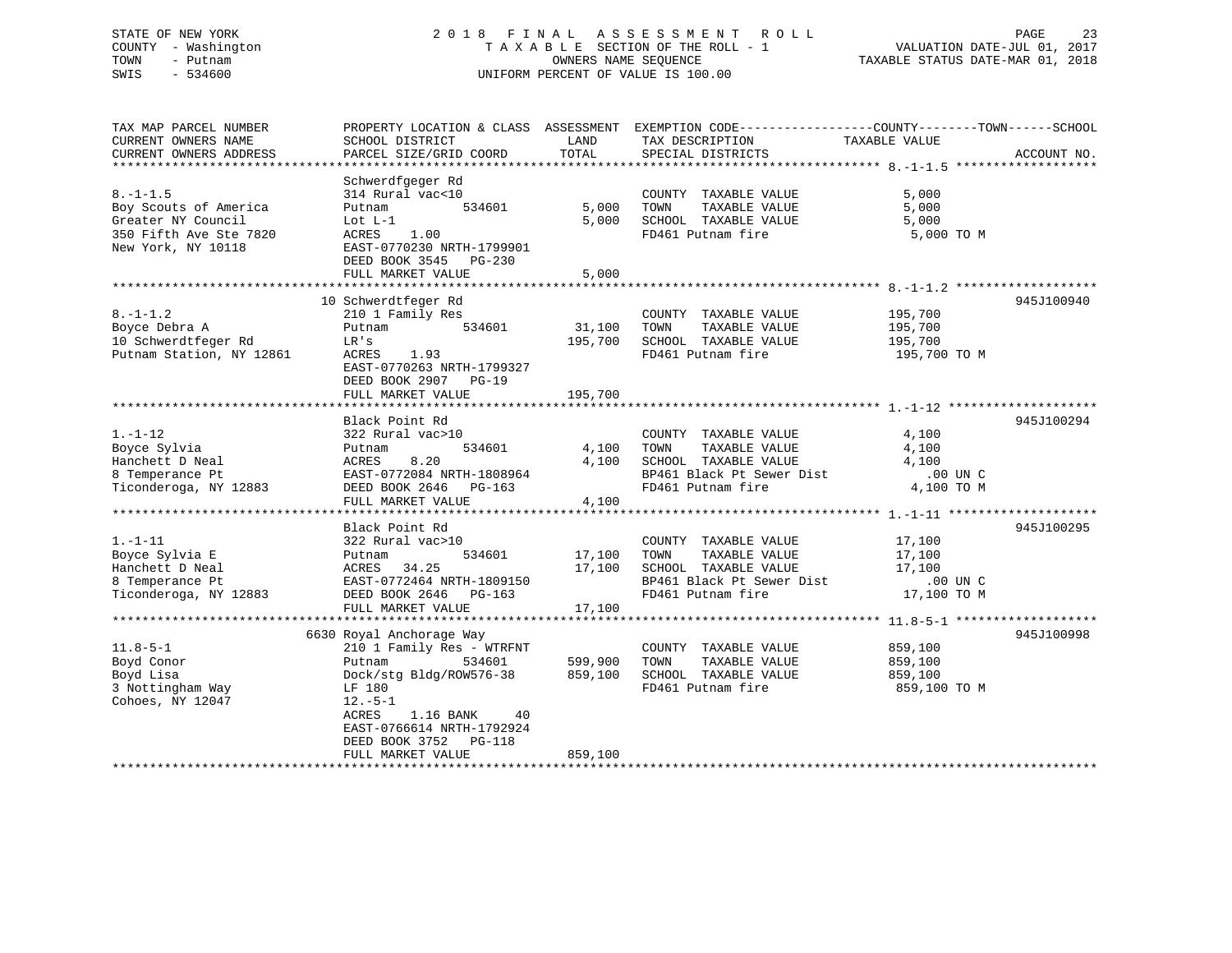## STATE OF NEW YORK 2 0 1 8 F I N A L A S S E S S M E N T R O L L PAGE 23 COUNTY - Washington T A X A B L E SECTION OF THE ROLL - 1 VALUATION DATE-JUL 01, 2017 TOWN - Putnam OWNERS NAME SEQUENCE TAXABLE STATUS DATE-MAR 01, 2018 SWIS - 534600 UNIFORM PERCENT OF VALUE IS 100.00

| TAX MAP PARCEL NUMBER<br>CURRENT OWNERS NAME | PROPERTY LOCATION & CLASS ASSESSMENT<br>SCHOOL DISTRICT | LAND       | EXEMPTION CODE----------------COUNTY-------TOWN------SCHOOL<br>TAX DESCRIPTION | TAXABLE VALUE                |             |
|----------------------------------------------|---------------------------------------------------------|------------|--------------------------------------------------------------------------------|------------------------------|-------------|
| CURRENT OWNERS ADDRESS                       | PARCEL SIZE/GRID COORD                                  | TOTAL      | SPECIAL DISTRICTS                                                              |                              | ACCOUNT NO. |
| ************************                     |                                                         |            |                                                                                |                              |             |
|                                              | Schwerdfgeger Rd                                        |            |                                                                                |                              |             |
| $8. - 1 - 1.5$                               | 314 Rural vac<10                                        |            | COUNTY TAXABLE VALUE                                                           | 5,000                        |             |
| Boy Scouts of America                        | 534601<br>Putnam                                        | 5,000      | TOWN<br>TAXABLE VALUE                                                          | 5,000                        |             |
| Greater NY Council                           | Lot $L-1$                                               | 5.000      | SCHOOL TAXABLE VALUE                                                           | 5,000                        |             |
| 350 Fifth Ave Ste 7820                       | 1.00<br>ACRES                                           |            | FD461 Putnam fire                                                              | 5,000 TO M                   |             |
| New York, NY 10118                           | EAST-0770230 NRTH-1799901                               |            |                                                                                |                              |             |
|                                              | DEED BOOK 3545 PG-230                                   |            |                                                                                |                              |             |
|                                              | FULL MARKET VALUE                                       | 5,000      |                                                                                |                              |             |
|                                              | **********************                                  | ********** |                                                                                | ************** $8 - 1 - 7$ 2 |             |
|                                              | 10 Schwerdtfeger Rd                                     |            |                                                                                |                              | 945J100940  |
| $8. - 1 - 1.2$                               | 210 1 Family Res                                        |            | COUNTY TAXABLE VALUE                                                           | 195,700                      |             |
| Boyce Debra A                                | 534601<br>Putnam                                        | 31,100     | TOWN<br>TAXABLE VALUE                                                          | 195,700                      |             |
| 10 Schwerdtfeger Rd                          | LR's                                                    | 195,700    | SCHOOL TAXABLE VALUE                                                           | 195,700                      |             |
| Putnam Station, NY 12861                     | ACRES<br>1.93                                           |            | FD461 Putnam fire                                                              | 195,700 TO M                 |             |
|                                              | EAST-0770263 NRTH-1799327                               |            |                                                                                |                              |             |
|                                              | DEED BOOK 2907 PG-19                                    |            |                                                                                |                              |             |
|                                              | FULL MARKET VALUE                                       | 195,700    |                                                                                |                              |             |
|                                              | ************************                                |            |                                                                                |                              |             |
|                                              | Black Point Rd                                          |            |                                                                                |                              | 945J100294  |
| $1. - 1 - 12$                                | 322 Rural vac>10                                        |            | COUNTY TAXABLE VALUE                                                           | 4,100                        |             |
| Boyce Sylvia                                 | 534601<br>Putnam                                        | 4,100      | TAXABLE VALUE<br>TOWN                                                          | 4,100                        |             |
| Hanchett D Neal                              | 8.20<br>ACRES                                           | 4,100      | SCHOOL TAXABLE VALUE                                                           | 4,100                        |             |
| 8 Temperance Pt                              | EAST-0772084 NRTH-1808964                               |            | BP461 Black Pt Sewer Dist                                                      | .00 UN C                     |             |
| Ticonderoga, NY 12883                        | DEED BOOK 2646 PG-163                                   |            | FD461 Putnam fire                                                              | 4,100 TO M                   |             |
|                                              | FULL MARKET VALUE                                       | 4,100      |                                                                                |                              |             |
|                                              |                                                         |            |                                                                                |                              |             |
|                                              | Black Point Rd                                          |            |                                                                                |                              | 945J100295  |
| $1. - 1 - 11$                                | 322 Rural vac>10                                        |            | COUNTY TAXABLE VALUE                                                           | 17,100                       |             |
| Boyce Sylvia E                               | Putnam<br>534601                                        | 17,100     | TOWN<br>TAXABLE VALUE                                                          | 17,100                       |             |
| Hanchett D Neal                              | 34.25<br>ACRES                                          | 17,100     | SCHOOL TAXABLE VALUE                                                           | 17,100                       |             |
| 8 Temperance Pt                              | EAST-0772464 NRTH-1809150                               |            | BP461 Black Pt Sewer Dist                                                      | .00 UN C                     |             |
| Ticonderoga, NY 12883                        | DEED BOOK 2646 PG-163                                   |            | FD461 Putnam fire                                                              | 17,100 TO M                  |             |
|                                              | FULL MARKET VALUE                                       | 17,100     |                                                                                |                              |             |
|                                              |                                                         |            |                                                                                |                              |             |
|                                              | 6630 Royal Anchorage Way                                |            |                                                                                |                              | 945J100998  |
| $11.8 - 5 - 1$                               | 210 1 Family Res - WTRFNT                               |            | COUNTY TAXABLE VALUE                                                           | 859,100                      |             |
| Boyd Conor                                   | 534601<br>Putnam                                        | 599,900    | TOWN<br>TAXABLE VALUE                                                          | 859,100                      |             |
| Boyd Lisa                                    | Dock/stg Bldg/ROW576-38                                 | 859,100    | SCHOOL TAXABLE VALUE                                                           | 859,100                      |             |
| 3 Nottingham Way                             | LF 180                                                  |            | FD461 Putnam fire                                                              | 859,100 TO M                 |             |
| Cohoes, NY 12047                             | $12.-5-1$                                               |            |                                                                                |                              |             |
|                                              | ACRES<br>1.16 BANK<br>40                                |            |                                                                                |                              |             |
|                                              | EAST-0766614 NRTH-1792924                               |            |                                                                                |                              |             |
|                                              | DEED BOOK 3752 PG-118                                   |            |                                                                                |                              |             |
|                                              | FULL MARKET VALUE                                       | 859,100    |                                                                                |                              |             |
|                                              | **********************                                  |            |                                                                                |                              |             |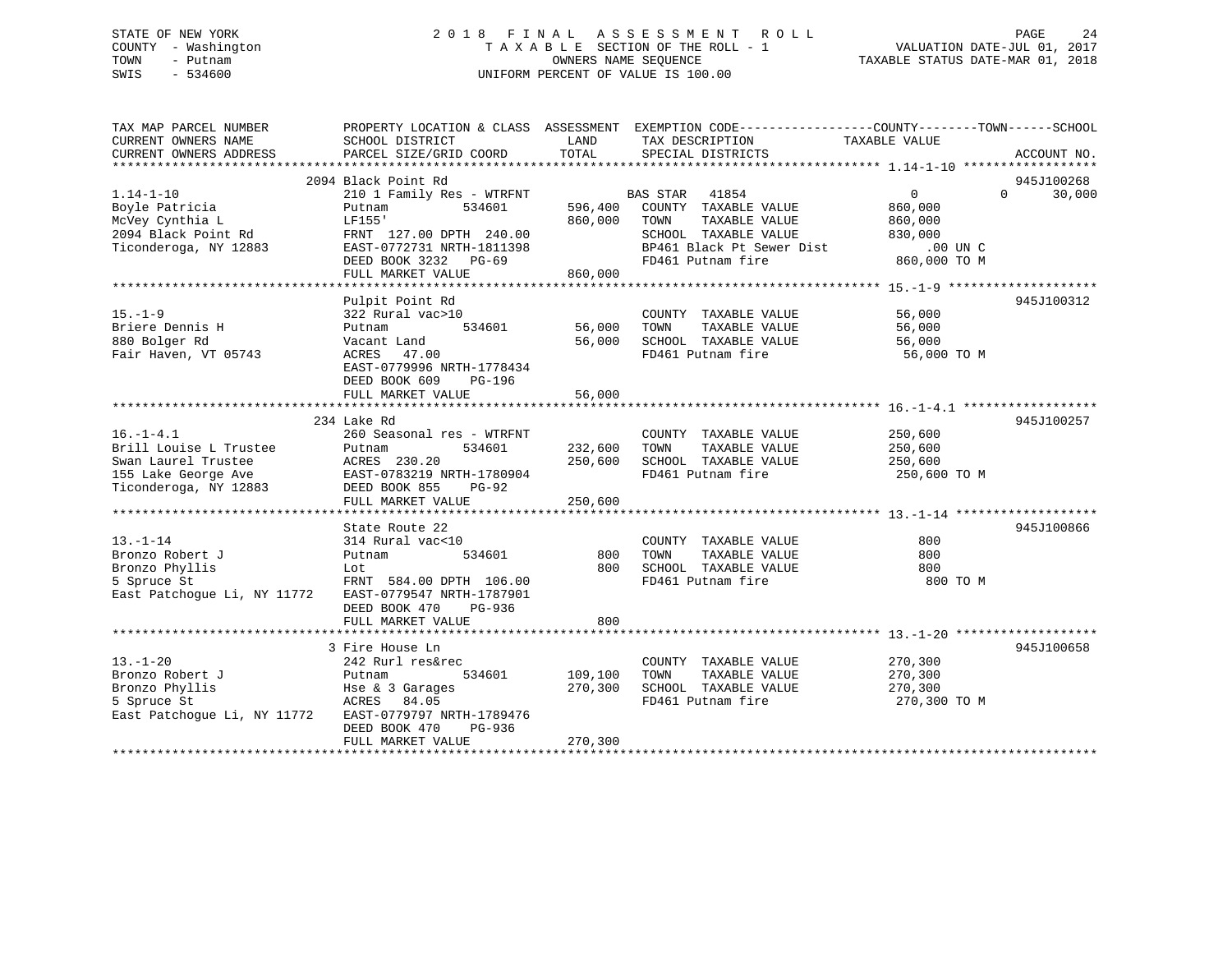## STATE OF NEW YORK 2 0 1 8 F I N A L A S S E S S M E N T R O L L PAGE 24 COUNTY - Washington T A X A B L E SECTION OF THE ROLL - 1 VALUATION DATE-JUL 01, 2017 TOWN - Putnam **CONNERS NAME SEQUENCE** TAXABLE STATUS DATE-MAR 01, 2018 SWIS - 534600 UNIFORM PERCENT OF VALUE IS 100.00

| TAX MAP PARCEL NUMBER                                                                       | PROPERTY LOCATION & CLASS ASSESSMENT EXEMPTION CODE----------------COUNTY-------TOWN------SCHOOL |         |                                                                   |                    |                    |
|---------------------------------------------------------------------------------------------|--------------------------------------------------------------------------------------------------|---------|-------------------------------------------------------------------|--------------------|--------------------|
| CURRENT OWNERS NAME                                                                         | SCHOOL DISTRICT                                                                                  | LAND    | TAX DESCRIPTION                                                   | TAXABLE VALUE      |                    |
| CURRENT OWNERS ADDRESS                                                                      | PARCEL SIZE/GRID COORD                                                                           | TOTAL   | SPECIAL DISTRICTS                                                 |                    | ACCOUNT NO.        |
|                                                                                             |                                                                                                  |         |                                                                   |                    |                    |
|                                                                                             | 2094 Black Point Rd                                                                              |         |                                                                   |                    | 945J100268         |
| $1.14 - 1 - 10$                                                                             | 210 1 Family Res - WTRFNT                                                                        |         | BAS STAR 41854                                                    | $\overline{0}$     | $\Omega$<br>30,000 |
| Boyle Patricia                                                                              | 534601<br>Putnam                                                                                 |         | 596,400 COUNTY TAXABLE VALUE                                      | 860,000<br>860.000 |                    |
| McVey Cynthia L                                                                             | LF155'                                                                                           | 860,000 | TAXABLE VALUE<br>TOWN                                             | 860,000            |                    |
| 2094 Black Point Rd                                                                         | FRNT 127.00 DPTH 240.00                                                                          |         | SCHOOL TAXABLE VALUE 830,000<br>BP461 Black Pt Sewer Dist 00 UN C |                    |                    |
| Ticonderoga, NY 12883                                                                       | EAST-0772731 NRTH-1811398                                                                        |         |                                                                   |                    |                    |
|                                                                                             | DEED BOOK 3232 PG-69                                                                             |         | FD461 Putnam fire                                                 | 860,000 TO M       |                    |
|                                                                                             | FULL MARKET VALUE                                                                                | 860,000 |                                                                   |                    |                    |
|                                                                                             |                                                                                                  |         |                                                                   |                    |                    |
|                                                                                             | Pulpit Point Rd                                                                                  |         |                                                                   |                    | 945J100312         |
| $15. - 1 - 9$                                                                               | 322 Rural vac>10                                                                                 |         | COUNTY TAXABLE VALUE 56,000                                       |                    |                    |
| Briere Dennis H                                                                             | 534601<br>Putnam                                                                                 | 56,000  | TOWN<br>TAXABLE VALUE                                             | 56,000<br>56,000   |                    |
| 880 Bolger Rd                                                                               | Vacant Land                                                                                      | 56,000  | SCHOOL TAXABLE VALUE 56,000<br>FD461 Putnam fire 56,000 TO M      |                    |                    |
| Fair Haven, VT 05743                                                                        | ACRES 47.00                                                                                      |         |                                                                   |                    |                    |
|                                                                                             | EAST-0779996 NRTH-1778434                                                                        |         |                                                                   |                    |                    |
|                                                                                             | DEED BOOK 609<br>PG-196                                                                          |         |                                                                   |                    |                    |
|                                                                                             | FULL MARKET VALUE                                                                                | 56,000  |                                                                   |                    |                    |
|                                                                                             | 234 Lake Rd                                                                                      |         |                                                                   |                    | 945J100257         |
| $16. - 1 - 4.1$                                                                             | 260 Seasonal res - WTRFNT                                                                        |         | COUNTY TAXABLE VALUE 250,600                                      |                    |                    |
|                                                                                             | 534601<br>Putnam                                                                                 | 232,600 | TOWN<br>TAXABLE VALUE                                             |                    |                    |
| --.<br>Brill Louise L Trustee<br>Swan Laurel Trustee                                        | ACRES 230.20                                                                                     | 250,600 | SCHOOL TAXABLE VALUE                                              | 250,600<br>250,600 |                    |
|                                                                                             |                                                                                                  |         | FD461 Putnam fire                                                 | 250,600 TO M       |                    |
| 155 Lake George Ave<br>Ticonderoga, NY 12883<br>DEED BOOK 855 PG-92<br>TILL NATURE TO PG-92 |                                                                                                  |         |                                                                   |                    |                    |
|                                                                                             | FULL MARKET VALUE                                                                                | 250,600 |                                                                   |                    |                    |
|                                                                                             |                                                                                                  |         |                                                                   |                    |                    |
|                                                                                             | State Route 22                                                                                   |         |                                                                   |                    | 945J100866         |
| $13 - 1 - 14$                                                                               | 314 Rural vac<10                                                                                 |         | COUNTY TAXABLE VALUE                                              | 800                |                    |
| Bronzo Robert J                                                                             | 534601<br>Putnam                                                                                 | 800     | TAXABLE VALUE<br>TOWN                                             | 800                |                    |
| Bronzo Phyllis                                                                              |                                                                                                  | 800     | SCHOOL TAXABLE VALUE                                              | 800                |                    |
| 5 Spruce St                                                                                 | Lot<br>FRNT 584.00 DPTH 106.00<br>107301                                                         |         | FD461 Putnam fire                                                 | 800 TO M           |                    |
| East Patchogue Li, NY 11772                                                                 | EAST-0779547 NRTH-1787901                                                                        |         |                                                                   |                    |                    |
|                                                                                             | DEED BOOK 470<br>PG-936                                                                          |         |                                                                   |                    |                    |
|                                                                                             | FULL MARKET VALUE                                                                                | 800     |                                                                   |                    |                    |
|                                                                                             |                                                                                                  |         |                                                                   |                    |                    |
|                                                                                             | 3 Fire House Ln                                                                                  |         |                                                                   |                    | 945J100658         |
| $13. - 1 - 20$                                                                              | 242 Rurl res&rec                                                                                 |         | COUNTY TAXABLE VALUE                                              | 270,300<br>270,300 |                    |
| Bronzo Robert J                                                                             | 534601<br>Putnam                                                                                 | 109,100 | TAXABLE VALUE<br>TOWN                                             |                    |                    |
| Bronzo Phyllis                                                                              | Hse & 3 Garages<br>ACRES 84.05                                                                   | 270,300 | SCHOOL TAXABLE VALUE                                              | 270,300            |                    |
| 5 Spruce St                                                                                 |                                                                                                  |         | FD461 Putnam fire                                                 | 270,300 TO M       |                    |
| East Patchoque Li, NY 11772 EAST-0779797 NRTH-1789476                                       |                                                                                                  |         |                                                                   |                    |                    |
|                                                                                             | DEED BOOK 470<br>PG-936                                                                          |         |                                                                   |                    |                    |
|                                                                                             | FULL MARKET VALUE                                                                                | 270,300 |                                                                   |                    |                    |
|                                                                                             |                                                                                                  |         |                                                                   |                    |                    |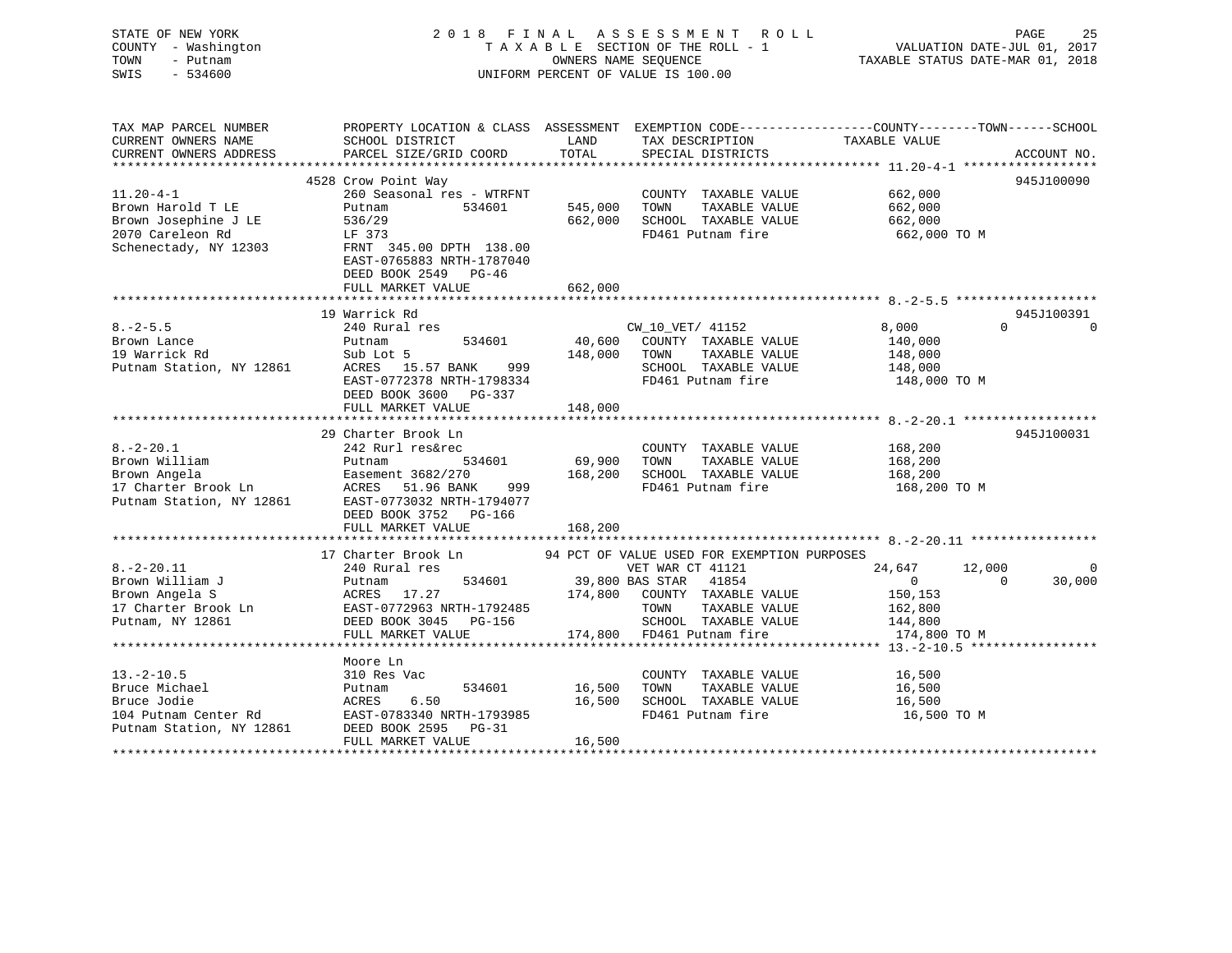STATE OF NEW YORK 2 0 1 8 F I N A L A S S E S S M E N T R O L L PAGE 25 COUNTY - Washington T A X A B L E SECTION OF THE ROLL - 1 VALUATION DATE-JUL 01, 2017 TOWN - Putnam OWNERS NAME SEQUENCE TAXABLE STATUS DATE-MAR 01, 2018 SWIS - 534600 UNIFORM PERCENT OF VALUE IS 100.00 TAX MAP PARCEL NUMBER PROPERTY LOCATION & CLASS ASSESSMENT EXEMPTION CODE------------------COUNTY--------TOWN------SCHOOL

| CURRENT OWNERS NAME      | SCHOOL DISTRICT            | LAND    | TAX DESCRIPTION                             | TAXABLE VALUE    |                                    |
|--------------------------|----------------------------|---------|---------------------------------------------|------------------|------------------------------------|
| CURRENT OWNERS ADDRESS   | PARCEL SIZE/GRID COORD     | TOTAL   | SPECIAL DISTRICTS                           |                  | ACCOUNT NO.                        |
| *******************      |                            |         |                                             |                  |                                    |
|                          | 4528 Crow Point Way        |         |                                             |                  | 945J100090                         |
| $11.20 - 4 - 1$          | 260 Seasonal res - WTRFNT  |         | COUNTY TAXABLE VALUE                        | 662,000          |                                    |
| Brown Harold T LE        | 534601<br>Putnam           | 545,000 | TOWN<br>TAXABLE VALUE                       | 662,000          |                                    |
| Brown Josephine J LE     | 536/29                     | 662,000 | SCHOOL TAXABLE VALUE                        | 662,000          |                                    |
| 2070 Careleon Rd         | LF 373                     |         | FD461 Putnam fire                           | 662,000 TO M     |                                    |
| Schenectady, NY 12303    | FRNT 345.00 DPTH 138.00    |         |                                             |                  |                                    |
|                          | EAST-0765883 NRTH-1787040  |         |                                             |                  |                                    |
|                          | DEED BOOK 2549 PG-46       |         |                                             |                  |                                    |
|                          | FULL MARKET VALUE          | 662,000 |                                             |                  |                                    |
|                          | ************************   |         |                                             |                  |                                    |
|                          |                            |         |                                             |                  |                                    |
|                          | 19 Warrick Rd              |         |                                             |                  | 945J100391<br>$\Omega$<br>$\Omega$ |
| $8. - 2 - 5.5$           | 240 Rural res              |         | CW 10 VET/ 41152                            | 8,000            |                                    |
| Brown Lance              | 534601<br>Putnam           | 40,600  | COUNTY TAXABLE VALUE                        | 140,000          |                                    |
| 19 Warrick Rd            | Sub Lot 5                  | 148,000 | TOWN<br>TAXABLE VALUE                       | 148,000          |                                    |
| Putnam Station, NY 12861 | ACRES<br>15.57 BANK<br>999 |         | SCHOOL TAXABLE VALUE                        | 148,000          |                                    |
|                          | EAST-0772378 NRTH-1798334  |         | FD461 Putnam fire                           | 148,000 TO M     |                                    |
|                          | DEED BOOK 3600 PG-337      |         |                                             |                  |                                    |
|                          | FULL MARKET VALUE          | 148,000 |                                             |                  |                                    |
|                          |                            |         |                                             |                  |                                    |
|                          | 29 Charter Brook Ln        |         |                                             |                  | 945J100031                         |
| $8. - 2 - 20.1$          | 242 Rurl res&rec           |         | COUNTY TAXABLE VALUE                        | 168,200          |                                    |
| Brown William            | Putnam<br>534601           | 69,900  | TAXABLE VALUE<br>TOWN                       | 168,200          |                                    |
| Brown Angela             | Easement 3682/270          | 168,200 | SCHOOL TAXABLE VALUE                        | 168,200          |                                    |
| 17 Charter Brook Ln      | ACRES<br>51.96 BANK<br>999 |         | FD461 Putnam fire                           | 168,200 TO M     |                                    |
| Putnam Station, NY 12861 | EAST-0773032 NRTH-1794077  |         |                                             |                  |                                    |
|                          | DEED BOOK 3752 PG-166      |         |                                             |                  |                                    |
|                          | FULL MARKET VALUE          | 168,200 |                                             |                  |                                    |
|                          |                            |         |                                             |                  |                                    |
|                          | 17 Charter Brook Ln        |         | 94 PCT OF VALUE USED FOR EXEMPTION PURPOSES |                  |                                    |
| $8. - 2 - 20.11$         | 240 Rural res              |         | VET WAR CT 41121                            | 24,647<br>12,000 | $\Omega$                           |
| Brown William J          | 534601<br>Putnam           |         | 39,800 BAS STAR<br>41854                    | $\Omega$         | 30,000<br>$\Omega$                 |
| Brown Angela S           | ACRES<br>17.27             | 174,800 | COUNTY TAXABLE VALUE                        | 150,153          |                                    |
| 17 Charter Brook Ln      | EAST-0772963 NRTH-1792485  |         | TOWN<br>TAXABLE VALUE                       | 162,800          |                                    |
| Putnam, NY 12861         | DEED BOOK 3045<br>PG-156   |         | SCHOOL TAXABLE VALUE                        | 144,800          |                                    |
|                          | FULL MARKET VALUE          | 174,800 | FD461 Putnam fire                           | 174,800 TO M     |                                    |
|                          |                            |         |                                             |                  |                                    |
|                          | Moore Ln                   |         |                                             |                  |                                    |
| $13.-2-10.5$             | 310 Res Vac                |         | COUNTY TAXABLE VALUE                        | 16,500           |                                    |
|                          |                            |         |                                             |                  |                                    |
| Bruce Michael            | 534601<br>Putnam           | 16,500  | TOWN<br>TAXABLE VALUE                       | 16,500           |                                    |
| Bruce Jodie              | ACRES<br>6.50              | 16,500  | SCHOOL TAXABLE VALUE                        | 16,500           |                                    |
| 104 Putnam Center Rd     | EAST-0783340 NRTH-1793985  |         | FD461 Putnam fire                           | 16,500 TO M      |                                    |
| Putnam Station, NY 12861 | DEED BOOK 2595<br>PG-31    |         |                                             |                  |                                    |
|                          | FULL MARKET VALUE          | 16,500  |                                             |                  |                                    |
|                          |                            |         |                                             |                  |                                    |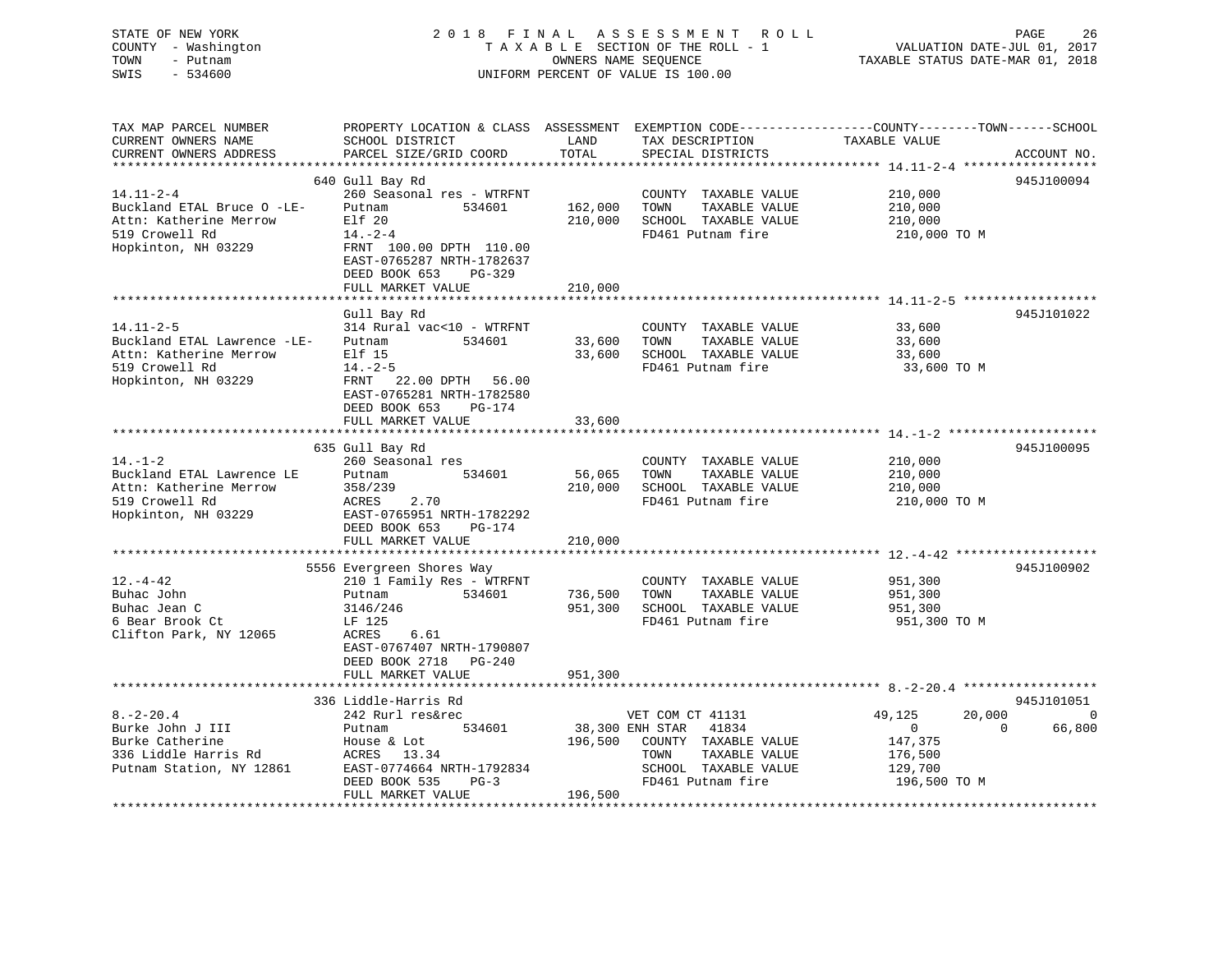## STATE OF NEW YORK 2 0 1 8 F I N A L A S S E S S M E N T R O L L PAGE 26 COUNTY - Washington T A X A B L E SECTION OF THE ROLL - 1 VALUATION DATE-JUL 01, 2017 TOWN - Putnam **CONNERS NAME SEQUENCE** TAXABLE STATUS DATE-MAR 01, 2018 SWIS - 534600 UNIFORM PERCENT OF VALUE IS 100.00

| TAX MAP PARCEL NUMBER       |                           |         |                          | PROPERTY LOCATION & CLASS ASSESSMENT EXEMPTION CODE---------------COUNTY-------TOWN-----SCHOOL |             |
|-----------------------------|---------------------------|---------|--------------------------|------------------------------------------------------------------------------------------------|-------------|
| CURRENT OWNERS NAME         | SCHOOL DISTRICT           | LAND    | TAX DESCRIPTION          | TAXABLE VALUE                                                                                  |             |
| CURRENT OWNERS ADDRESS      | PARCEL SIZE/GRID COORD    | TOTAL   | SPECIAL DISTRICTS        |                                                                                                | ACCOUNT NO. |
|                             |                           |         |                          |                                                                                                |             |
|                             | 640 Gull Bay Rd           |         |                          |                                                                                                | 945J100094  |
| $14.11 - 2 - 4$             | 260 Seasonal res - WTRFNT |         | COUNTY TAXABLE VALUE     | 210,000                                                                                        |             |
| Buckland ETAL Bruce O -LE-  | Putnam<br>534601          | 162,000 | TAXABLE VALUE<br>TOWN    | 210,000                                                                                        |             |
| Attn: Katherine Merrow      | Elf 20                    | 210,000 | SCHOOL TAXABLE VALUE     | 210,000                                                                                        |             |
| 519 Crowell Rd              |                           |         | FD461 Putnam fire        |                                                                                                |             |
|                             | $14. - 2 - 4$             |         |                          | 210,000 TO M                                                                                   |             |
| Hopkinton, NH 03229         | FRNT 100.00 DPTH 110.00   |         |                          |                                                                                                |             |
|                             | EAST-0765287 NRTH-1782637 |         |                          |                                                                                                |             |
|                             | DEED BOOK 653<br>PG-329   |         |                          |                                                                                                |             |
|                             | FULL MARKET VALUE         | 210,000 |                          |                                                                                                |             |
|                             |                           |         |                          |                                                                                                |             |
|                             | Gull Bay Rd               |         |                          |                                                                                                | 945J101022  |
| $14.11 - 2 - 5$             | 314 Rural vac<10 - WTRFNT |         | COUNTY TAXABLE VALUE     | 33,600                                                                                         |             |
| Buckland ETAL Lawrence -LE- | Putnam<br>534601          | 33,600  | TAXABLE VALUE<br>TOWN    | 33,600                                                                                         |             |
| Attn: Katherine Merrow      | Elf 15                    | 33,600  | SCHOOL TAXABLE VALUE     | 33,600                                                                                         |             |
| 519 Crowell Rd              | $14. - 2 - 5$             |         | FD461 Putnam fire        | 33,600 TO M                                                                                    |             |
| Hopkinton, NH 03229         | FRNT 22.00 DPTH 56.00     |         |                          |                                                                                                |             |
|                             | EAST-0765281 NRTH-1782580 |         |                          |                                                                                                |             |
|                             | DEED BOOK 653<br>PG-174   |         |                          |                                                                                                |             |
|                             | FULL MARKET VALUE         | 33,600  |                          |                                                                                                |             |
|                             |                           |         |                          |                                                                                                |             |
|                             |                           |         |                          |                                                                                                |             |
|                             | 635 Gull Bay Rd           |         |                          |                                                                                                | 945J100095  |
| $14. - 1 - 2$               | 260 Seasonal res          |         | COUNTY TAXABLE VALUE     | 210,000                                                                                        |             |
| Buckland ETAL Lawrence LE   | 534601<br>Putnam          | 56,065  | TOWN<br>TAXABLE VALUE    | 210,000                                                                                        |             |
| Attn: Katherine Merrow      | 358/239                   | 210,000 | SCHOOL TAXABLE VALUE     | 210,000                                                                                        |             |
| 519 Crowell Rd              | 2.70<br>ACRES             |         | FD461 Putnam fire        | 210,000 TO M                                                                                   |             |
| Hopkinton, NH 03229         | EAST-0765951 NRTH-1782292 |         |                          |                                                                                                |             |
|                             | DEED BOOK 653<br>PG-174   |         |                          |                                                                                                |             |
|                             | FULL MARKET VALUE         | 210,000 |                          |                                                                                                |             |
|                             |                           |         |                          |                                                                                                |             |
|                             | 5556 Evergreen Shores Way |         |                          |                                                                                                | 945J100902  |
| $12. - 4 - 42$              | 210 1 Family Res - WTRFNT |         | COUNTY TAXABLE VALUE     | 951,300                                                                                        |             |
| Buhac John                  | 534601<br>Putnam          | 736,500 | TAXABLE VALUE<br>TOWN    | 951,300                                                                                        |             |
| Buhac Jean C                | 3146/246                  | 951,300 | SCHOOL TAXABLE VALUE     | 951,300                                                                                        |             |
| 6 Bear Brook Ct             | LF 125                    |         | FD461 Putnam fire        | 951,300 TO M                                                                                   |             |
| Clifton Park, NY 12065      | ACRES<br>6.61             |         |                          |                                                                                                |             |
|                             |                           |         |                          |                                                                                                |             |
|                             | EAST-0767407 NRTH-1790807 |         |                          |                                                                                                |             |
|                             | DEED BOOK 2718<br>PG-240  |         |                          |                                                                                                |             |
|                             | FULL MARKET VALUE         | 951,300 |                          |                                                                                                |             |
|                             |                           |         |                          |                                                                                                |             |
|                             | 336 Liddle-Harris Rd      |         |                          |                                                                                                | 945J101051  |
| $8. - 2 - 20.4$             | 242 Rurl res&rec          |         | VET COM CT 41131         | 49,125<br>20,000                                                                               | $\Omega$    |
| Burke John J III            | Putnam<br>534601          |         | 38,300 ENH STAR<br>41834 | $\overline{0}$<br>$\Omega$                                                                     | 66,800      |
| Burke Catherine             | House & Lot               | 196,500 | COUNTY TAXABLE VALUE     | 147,375                                                                                        |             |
| 336 Liddle Harris Rd        | ACRES<br>13.34            |         | TOWN<br>TAXABLE VALUE    | 176,500                                                                                        |             |
| Putnam Station, NY 12861    | EAST-0774664 NRTH-1792834 |         | SCHOOL TAXABLE VALUE     | 129,700                                                                                        |             |
|                             | DEED BOOK 535<br>$PG-3$   |         | FD461 Putnam fire        | 196,500 TO M                                                                                   |             |
|                             | FULL MARKET VALUE         | 196,500 |                          |                                                                                                |             |
|                             |                           |         |                          |                                                                                                |             |
|                             |                           |         |                          |                                                                                                |             |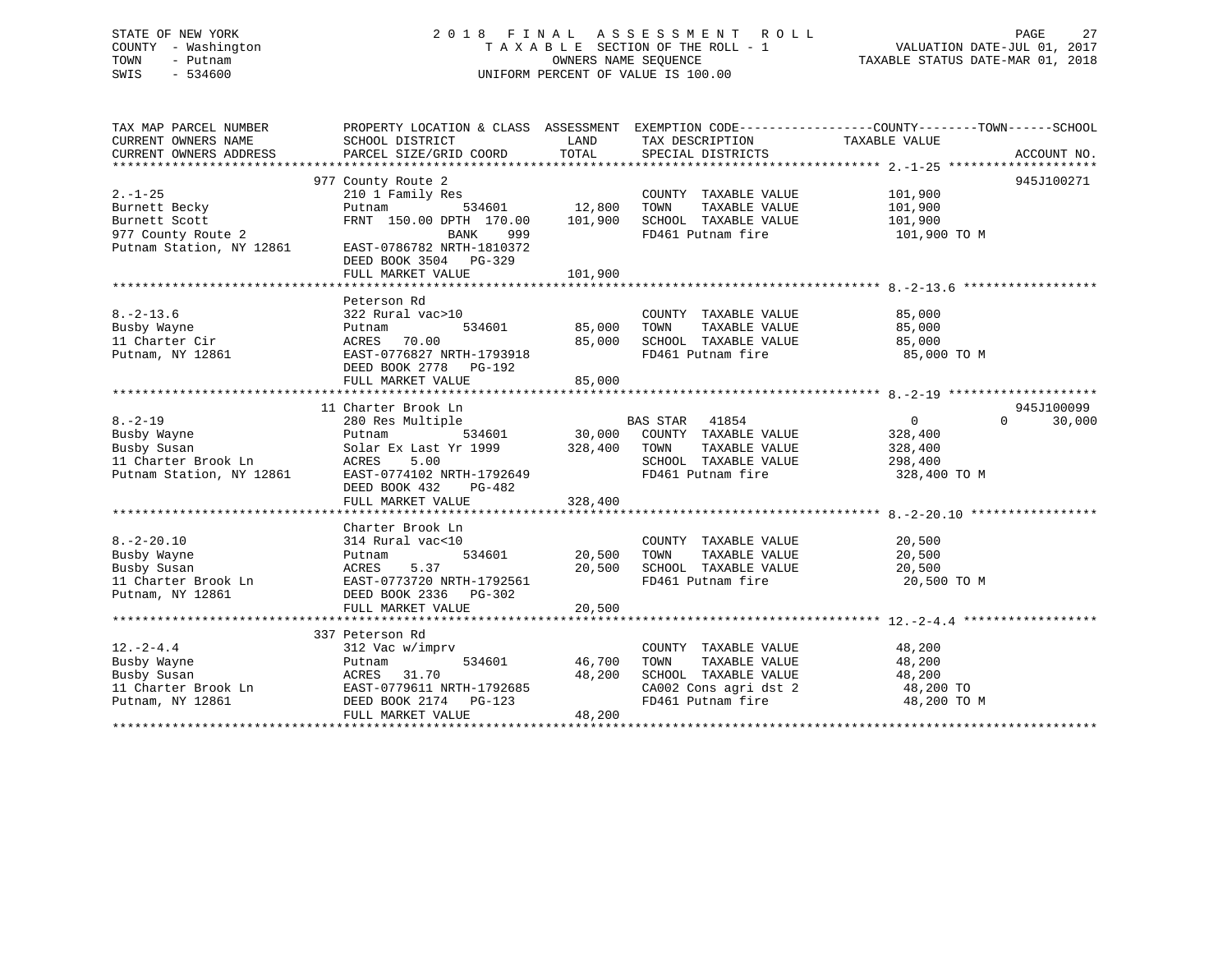## STATE OF NEW YORK 2 0 1 8 F I N A L A S S E S S M E N T R O L L PAGE 27 COUNTY - Washington T A X A B L E SECTION OF THE ROLL - 1 VALUATION DATE-JUL 01, 2017 TOWN - Putnam OWNERS NAME SEQUENCE TAXABLE STATUS DATE-MAR 01, 2018 SWIS - 534600 UNIFORM PERCENT OF VALUE IS 100.00

| TAX MAP PARCEL NUMBER    | PROPERTY LOCATION & CLASS ASSESSMENT EXEMPTION CODE----------------COUNTY-------TOWN------SCHOOL |               |                                                                |                    |                    |
|--------------------------|--------------------------------------------------------------------------------------------------|---------------|----------------------------------------------------------------|--------------------|--------------------|
| CURRENT OWNERS NAME      | SCHOOL DISTRICT                                                                                  | LAND          | TAX DESCRIPTION                                                | TAXABLE VALUE      |                    |
| CURRENT OWNERS ADDRESS   | PARCEL SIZE/GRID COORD                                                                           | TOTAL         | SPECIAL DISTRICTS                                              |                    | ACCOUNT NO.        |
|                          |                                                                                                  |               |                                                                |                    |                    |
|                          | 977 County Route 2                                                                               |               |                                                                |                    | 945J100271         |
| $2. -1 - 25$             | 210 1 Family Res                                                                                 |               | COUNTY TAXABLE VALUE 101,900<br>TOWN TAXABLE VALUE 101,900     |                    |                    |
| Burnett Becky            | Putnam                                                                                           | 534601 12,800 |                                                                |                    |                    |
| Burnett Scott            | FRNT 150.00 DPTH 170.00 101,900                                                                  |               | SCHOOL TAXABLE VALUE 101,900                                   |                    |                    |
| 977 County Route 2       | BANK<br>999                                                                                      |               | FD461 Putnam fire                                              | 101,900 TO M       |                    |
| Putnam Station, NY 12861 | EAST-0786782 NRTH-1810372                                                                        |               |                                                                |                    |                    |
|                          | DEED BOOK 3504 PG-329                                                                            |               |                                                                |                    |                    |
|                          | FULL MARKET VALUE                                                                                | 101,900       |                                                                |                    |                    |
|                          |                                                                                                  |               |                                                                |                    |                    |
|                          | Peterson Rd                                                                                      |               |                                                                |                    |                    |
| $8. - 2 - 13.6$          | 322 Rural vac>10                                                                                 |               | COUNTY TAXABLE VALUE                                           | 85,000             |                    |
| Busby Wayne              | Putnam                                                                                           | 534601 85,000 | TAXABLE VALUE<br>TOWN                                          | 85,000             |                    |
| 11 Charter Cir           | ACRES 70.00                                                                                      | 85,000        |                                                                | 85,000             |                    |
| Putnam, NY 12861         | EAST-0776827 NRTH-1793918                                                                        |               | SCHOOL TAXABLE VALUE<br>FD461 Putnam fire                      | 85,000 TO M        |                    |
|                          | DEED BOOK 2778 PG-192                                                                            |               |                                                                |                    |                    |
|                          | FULL MARKET VALUE                                                                                | 85,000        |                                                                |                    |                    |
|                          |                                                                                                  |               |                                                                |                    |                    |
|                          | 11 Charter Brook Ln                                                                              |               |                                                                |                    | 945J100099         |
| $8. - 2 - 19$            | 280 Res Multiple                                                                                 |               | <b>BAS STAR</b> 41854                                          | $\overline{0}$     | $\Omega$<br>30,000 |
| Busby Wayne              | Putnam                                                                                           |               | 534601 30,000 COUNTY TAXABLE VALUE                             | 328,400            |                    |
| Busby Susan              |                                                                                                  |               |                                                                |                    |                    |
| 11 Charter Brook Ln      | Solar Ex Last Yr 1999 328,400 TOWN                                                               |               | TAXABLE VALUE<br>SCHOOL TAXABLE VALUE                          | 328,400<br>298,400 |                    |
|                          | ACRES<br>5.00<br>EAST-0774102 NRTH-1792649                                                       |               |                                                                |                    |                    |
| Putnam Station, NY 12861 |                                                                                                  |               | FD461 Putnam fire                                              | 328,400 TO M       |                    |
|                          | DEED BOOK 432<br>PG-482                                                                          |               |                                                                |                    |                    |
|                          | FULL MARKET VALUE                                                                                | 328,400       |                                                                |                    |                    |
|                          |                                                                                                  |               |                                                                |                    |                    |
|                          | Charter Brook Ln                                                                                 |               |                                                                |                    |                    |
| $8. - 2 - 20.10$         | 314 Rural vac<10                                                                                 |               | COUNTY TAXABLE VALUE                                           | 20,500             |                    |
| Busby Wayne              | Putnam<br>Putnam<br>ACRES                                                                        | 534601 20,500 | TAXABLE VALUE<br>TOWN                                          | 20,500             |                    |
| Busby Susan              | 5.37                                                                                             | 20,500        | SCHOOL TAXABLE VALUE                                           | 20,500             |                    |
|                          | 11 Charter Brook Ln EAST-0773720 NRTH-1792561                                                    |               | FD461 Putnam fire                                              | 20,500 TO M        |                    |
|                          | Putnam, NY 12861 CHERO BOOK 2336 PG-302                                                          |               |                                                                |                    |                    |
|                          | FULL MARKET VALUE                                                                                | 20,500        |                                                                |                    |                    |
|                          |                                                                                                  |               |                                                                |                    |                    |
|                          | 337 Peterson Rd                                                                                  |               |                                                                |                    |                    |
| $12. - 2 - 4.4$          | 312 Vac w/imprv                                                                                  |               | COUNTY TAXABLE VALUE                                           | 48,200             |                    |
| Busby Wayne              | 534601<br>Putnam                                                                                 | 46,700        | TAXABLE VALUE<br>TOWN                                          | 48,200<br>48,200   |                    |
| Busby Susan              | ACRES 31.70                                                                                      | 48,200        | SCHOOL TAXABLE VALUE 48,200<br>CA002 Cons agri dst 2 48,200 TO |                    |                    |
|                          | 11 Charter Brook Ln EAST-0779611 NRTH-1792685                                                    |               |                                                                |                    |                    |
| Putnam, NY 12861         | DEED BOOK 2174 PG-123                                                                            |               | FD461 Putnam fire                                              | 48,200 TO M        |                    |
|                          | FULL MARKET VALUE                                                                                | 48,200        |                                                                |                    |                    |
|                          |                                                                                                  |               |                                                                |                    |                    |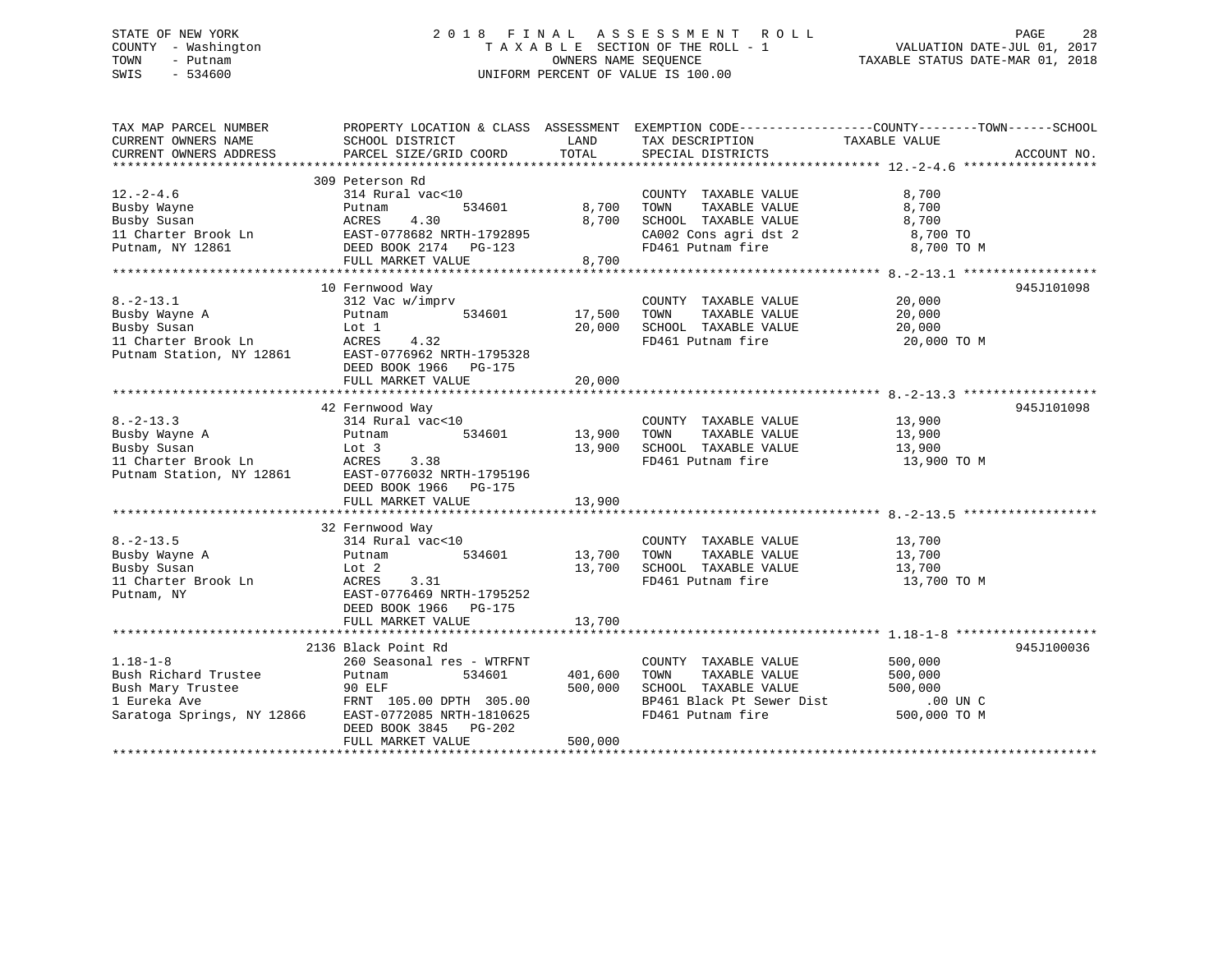## STATE OF NEW YORK 2 0 1 8 F I N A L A S S E S S M E N T R O L L PAGE 28 COUNTY - Washington T A X A B L E SECTION OF THE ROLL - 1 VALUATION DATE-JUL 01, 2017 TOWN - Putnam OWNERS NAME SEQUENCE TAXABLE STATUS DATE-MAR 01, 2018 SWIS - 534600 UNIFORM PERCENT OF VALUE IS 100.00

TAX MAP PARCEL NUMBER PROPERTY LOCATION & CLASS ASSESSMENT EXEMPTION CODE------------------COUNTY--------TOWN------SCHOOL CURRENT OWNERS NAME SCHOOL DISTRICT THE LAND TAX DESCRIPTION TAXABLE VALUE CURRENT OWNERS ADDRESS PARCEL SIZE/GRID COORD TOTAL SPECIAL DISTRICTS ACCOUNT NO. \*\*\*\*\*\*\*\*\*\*\*\*\*\*\*\*\*\*\*\*\*\*\*\*\*\*\*\*\*\*\*\*\*\*\*\*\*\*\*\*\*\*\*\*\*\*\*\*\*\*\*\*\*\*\*\*\*\*\*\*\*\*\*\*\*\*\*\*\*\*\*\*\*\*\*\*\*\*\*\*\*\*\*\*\*\*\*\*\*\*\*\*\*\*\*\*\*\*\*\*\*\*\* 12.-2-4.6 \*\*\*\*\*\*\*\*\*\*\*\*\*\*\*\*\*\* 309 Peterson Rd 12.-2-4.6 314 Rural vac<10 COUNTY TAXABLE VALUE 8,700 Busby Wayne Putnam 534601 8,700 TOWN TAXABLE VALUE 8,700 Busby Susan ACRES 4.30 8,700 SCHOOL TAXABLE VALUE 8,700 11 Charter Brook Ln EAST-0778682 NRTH-1792895 CA002 Cons agri dst 2 8,700 TO Putnam, NY 12861 DEED BOOK 2174 PG-123 FD461 Putnam fire 8,700 TO M FULL MARKET VALUE 8,700 \*\*\*\*\*\*\*\*\*\*\*\*\*\*\*\*\*\*\*\*\*\*\*\*\*\*\*\*\*\*\*\*\*\*\*\*\*\*\*\*\*\*\*\*\*\*\*\*\*\*\*\*\*\*\*\*\*\*\*\*\*\*\*\*\*\*\*\*\*\*\*\*\*\*\*\*\*\*\*\*\*\*\*\*\*\*\*\*\*\*\*\*\*\*\*\*\*\*\*\*\*\*\* 8.-2-13.1 \*\*\*\*\*\*\*\*\*\*\*\*\*\*\*\*\*\* 10 Fernwood Way 945J101098 8.-2-13.1 312 Vac w/imprv COUNTY TAXABLE VALUE 20,000 Busby Wayne A Putnam 534601 17,500 TOWN TAXABLE VALUE 20,000 Busby Susan Lot 1 20,000 SCHOOL TAXABLE VALUE 20,000 11 Charter Brook Ln ACRES 4.32 FD461 Putnam fire 20,000 TO M Putnam Station, NY 12861 EAST-0776962 NRTH-1795328 DEED BOOK 1966 PG-175 FULL MARKET VALUE 20,000 \*\*\*\*\*\*\*\*\*\*\*\*\*\*\*\*\*\*\*\*\*\*\*\*\*\*\*\*\*\*\*\*\*\*\*\*\*\*\*\*\*\*\*\*\*\*\*\*\*\*\*\*\*\*\*\*\*\*\*\*\*\*\*\*\*\*\*\*\*\*\*\*\*\*\*\*\*\*\*\*\*\*\*\*\*\*\*\*\*\*\*\*\*\*\*\*\*\*\*\*\*\*\* 8.-2-13.3 \*\*\*\*\*\*\*\*\*\*\*\*\*\*\*\*\*\* 42 Fernwood Way 945J101098 8.-2-13.3 314 Rural vac<10 COUNTY TAXABLE VALUE 13,900 Busby Wayne A Putnam 534601 13,900 TOWN TAXABLE VALUE 13,900 Busby Susan Lot 3 13,900 SCHOOL TAXABLE VALUE 13,900 11 Charter Brook Ln ACRES 3.38 FD461 Putnam fire 13,900 TO M Putnam Station, NY 12861 EAST-0776032 NRTH-1795196 DEED BOOK 1966 PG-175FULL MARKET VALUE 13,900 \*\*\*\*\*\*\*\*\*\*\*\*\*\*\*\*\*\*\*\*\*\*\*\*\*\*\*\*\*\*\*\*\*\*\*\*\*\*\*\*\*\*\*\*\*\*\*\*\*\*\*\*\*\*\*\*\*\*\*\*\*\*\*\*\*\*\*\*\*\*\*\*\*\*\*\*\*\*\*\*\*\*\*\*\*\*\*\*\*\*\*\*\*\*\*\*\*\*\*\*\*\*\* 8.-2-13.5 \*\*\*\*\*\*\*\*\*\*\*\*\*\*\*\*\*\* 32 Fernwood Way 8.-2-13.5 314 Rural vac<10 COUNTY TAXABLE VALUE 13,700 Busby Wayne A Putnam 534601 13,700 TOWN TAXABLE VALUE 13,700 Busby Susan Lot 2 13,700 SCHOOL TAXABLE VALUE 13,700 11 Charter Brook Ln ACRES 3.31 FD461 Putnam fire 13,700 TO M Putnam, NY EAST-0776469 NRTH-1795252 DEED BOOK 1966 PG-175FULL MARKET VALUE 13,700 \*\*\*\*\*\*\*\*\*\*\*\*\*\*\*\*\*\*\*\*\*\*\*\*\*\*\*\*\*\*\*\*\*\*\*\*\*\*\*\*\*\*\*\*\*\*\*\*\*\*\*\*\*\*\*\*\*\*\*\*\*\*\*\*\*\*\*\*\*\*\*\*\*\*\*\*\*\*\*\*\*\*\*\*\*\*\*\*\*\*\*\*\*\*\*\*\*\*\*\*\*\*\* 1.18-1-8 \*\*\*\*\*\*\*\*\*\*\*\*\*\*\*\*\*\*\* 2136 Black Point Rd 945J1000361.18-1-8 260 Seasonal res - WTRFNT COUNTY TAXABLE VALUE 500,000 Bush Richard Trustee Putnam 534601 401,600 TOWN TAXABLE VALUE 500,000 Bush Mary Trustee 90 ELF 500,000 SCHOOL TAXABLE VALUE 500,000 1 Eureka Ave FRNT 105.00 DPTH 305.00 BP461 Black Pt Sewer Dist .00 UN C Saratoga Springs, NY 12866 EAST-0772085 NRTH-1810625 FD461 Putnam fire 500,000 TO M DEED BOOK 3845 PG-202FULL MARKET VALUE 500,000 \*\*\*\*\*\*\*\*\*\*\*\*\*\*\*\*\*\*\*\*\*\*\*\*\*\*\*\*\*\*\*\*\*\*\*\*\*\*\*\*\*\*\*\*\*\*\*\*\*\*\*\*\*\*\*\*\*\*\*\*\*\*\*\*\*\*\*\*\*\*\*\*\*\*\*\*\*\*\*\*\*\*\*\*\*\*\*\*\*\*\*\*\*\*\*\*\*\*\*\*\*\*\*\*\*\*\*\*\*\*\*\*\*\*\*\*\*\*\*\*\*\*\*\*\*\*\*\*\*\*\*\*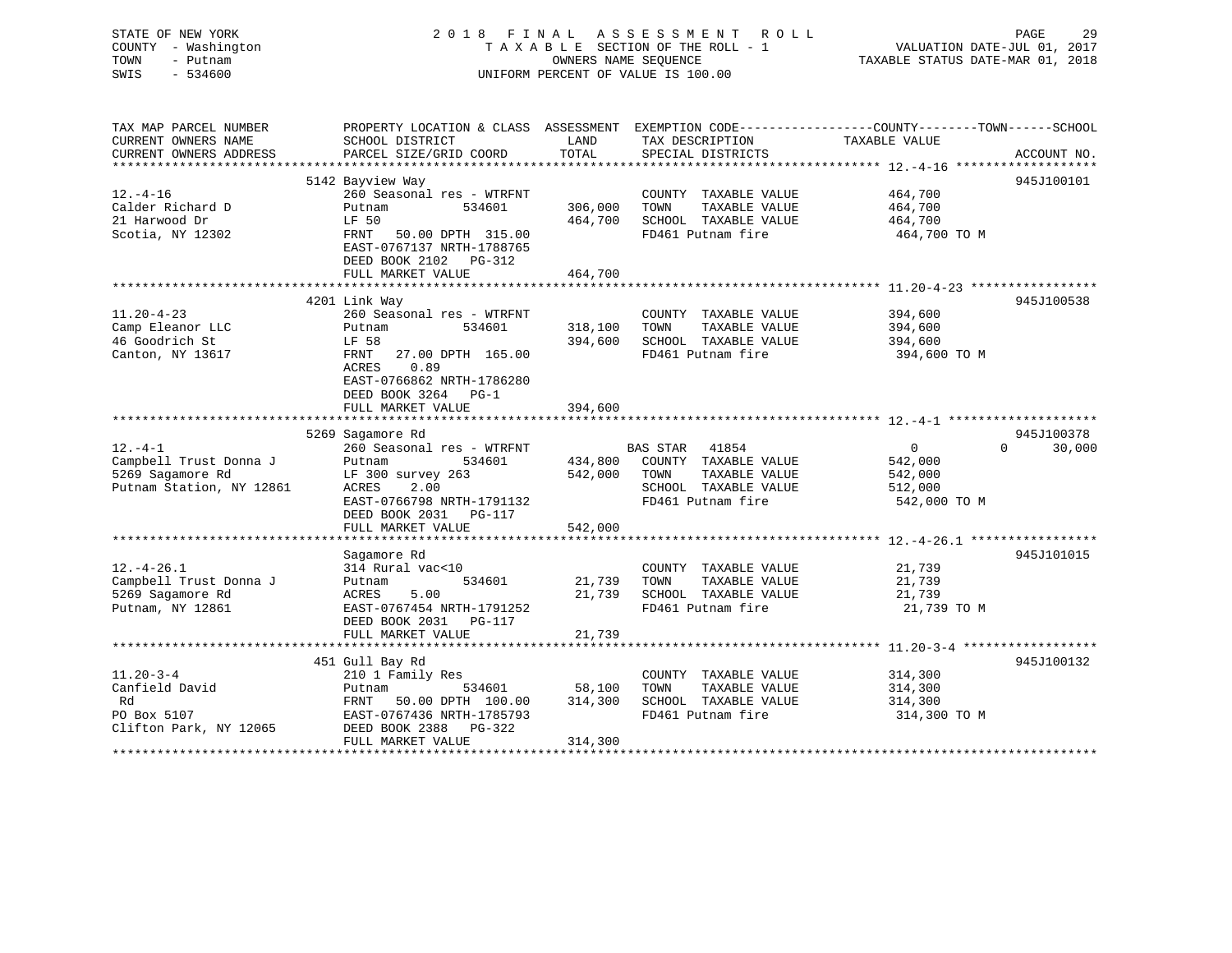STATE OF NEW YORK 2 0 1 8 F I N A L A S S E S S M E N T R O L L PAGE 29 COUNTY - Washington T A X A B L E SECTION OF THE ROLL - 1 VALUATION DATE-JUL 01, 2017 TOWN - Putnam OWNERS NAME SEQUENCE TAXABLE STATUS DATE-MAR 01, 2018 SWIS - 534600 UNIFORM PERCENT OF VALUE IS 100.00 TAX MAP PARCEL NUMBER PROPERTY LOCATION & CLASS ASSESSMENT EXEMPTION CODE------------------COUNTY--------TOWN------SCHOOL CURRENT OWNERS NAME SCHOOL DISTRICT THE LAND TAX DESCRIPTION TAXABLE VALUE CURRENT OWNERS ADDRESS PARCEL SIZE/GRID COORD TOTAL SPECIAL DISTRICTS ACCOUNT NO. \*\*\*\*\*\*\*\*\*\*\*\*\*\*\*\*\*\*\*\*\*\*\*\*\*\*\*\*\*\*\*\*\*\*\*\*\*\*\*\*\*\*\*\*\*\*\*\*\*\*\*\*\*\*\*\*\*\*\*\*\*\*\*\*\*\*\*\*\*\*\*\*\*\*\*\*\*\*\*\*\*\*\*\*\*\*\*\*\*\*\*\*\*\*\*\*\*\*\*\*\*\*\* 12.-4-16 \*\*\*\*\*\*\*\*\*\*\*\*\*\*\*\*\*\*\* 5142 Bayview Way 945J100101 12.-4-16 260 Seasonal res - WTRFNT COUNTY TAXABLE VALUE 464,700 Calder Richard D Putnam 534601 306,000 TOWN TAXABLE VALUE 464,700 21 Harwood Dr LF 50 464,700 SCHOOL TAXABLE VALUE 464,700 Scotia, NY 12302 FRNT 50.00 DPTH 315.00 FD461 Putnam fire 464,700 TO M EAST-0767137 NRTH-1788765 DEED BOOK 2102 PG-312FULL MARKET VALUE 464,700 \*\*\*\*\*\*\*\*\*\*\*\*\*\*\*\*\*\*\*\*\*\*\*\*\*\*\*\*\*\*\*\*\*\*\*\*\*\*\*\*\*\*\*\*\*\*\*\*\*\*\*\*\*\*\*\*\*\*\*\*\*\*\*\*\*\*\*\*\*\*\*\*\*\*\*\*\*\*\*\*\*\*\*\*\*\*\*\*\*\*\*\*\*\*\*\*\*\*\*\*\*\*\* 11.20-4-23 \*\*\*\*\*\*\*\*\*\*\*\*\*\*\*\*\* 4201 Link Way 945J100538 11.20-4-23 260 Seasonal res - WTRFNT COUNTY TAXABLE VALUE 394,600 Camp Eleanor LLC Putnam 534601 318,100 TOWN TAXABLE VALUE 394,600 46 Goodrich St LF 58 394,600 SCHOOL TAXABLE VALUE 394,600 Canton, NY 13617 FRNT 27.00 DPTH 165.00 FD461 Putnam fire 394,600 TO M ACRES 0.89 EAST-0766862 NRTH-1786280 DEED BOOK 3264 PG-1FULL MARKET VALUE 394,600 \*\*\*\*\*\*\*\*\*\*\*\*\*\*\*\*\*\*\*\*\*\*\*\*\*\*\*\*\*\*\*\*\*\*\*\*\*\*\*\*\*\*\*\*\*\*\*\*\*\*\*\*\*\*\*\*\*\*\*\*\*\*\*\*\*\*\*\*\*\*\*\*\*\*\*\*\*\*\*\*\*\*\*\*\*\*\*\*\*\*\*\*\*\*\*\*\*\*\*\*\*\*\* 12.-4-1 \*\*\*\*\*\*\*\*\*\*\*\*\*\*\*\*\*\*\*\*

 5269 Sagamore Rd 945J100378 12.-4-1 260 Seasonal res - WTRFNT BAS STAR 41854 0 0 30,000 Campbell Trust Donna J Putnam 534601 434,800 COUNTY TAXABLE VALUE 542,000 5269 Sagamore Rd LF 300 survey 263 542,000 TOWN TAXABLE VALUE 542,000 Putnam Station, NY 12861 ACRES 2.00 SCHOOL TAXABLE VALUE 512,000 EAST-0766798 NRTH-1791132 FD461 Putnam fire 542,000 TO M DEED BOOK 2031 PG-117FULL MARKET VALUE 542,000 \*\*\*\*\*\*\*\*\*\*\*\*\*\*\*\*\*\*\*\*\*\*\*\*\*\*\*\*\*\*\*\*\*\*\*\*\*\*\*\*\*\*\*\*\*\*\*\*\*\*\*\*\*\*\*\*\*\*\*\*\*\*\*\*\*\*\*\*\*\*\*\*\*\*\*\*\*\*\*\*\*\*\*\*\*\*\*\*\*\*\*\*\*\*\*\*\*\*\*\*\*\*\* 12.-4-26.1 \*\*\*\*\*\*\*\*\*\*\*\*\*\*\*\*\*Sagamore Rd 945J101015 12.-4-26.1 314 Rural vac<10 COUNTY TAXABLE VALUE 21,739 Campbell Trust Donna J Putnam 534601 21,739 TOWN TAXABLE VALUE 21,739 5269 Sagamore Rd ACRES 5.00 21,739 SCHOOL TAXABLE VALUE 21,739 Putnam, NY 12861 EAST-0767454 NRTH-1791252 FD461 Putnam fire 21,739 TO M DEED BOOK 2031 PG-117 FULL MARKET VALUE 21,739 \*\*\*\*\*\*\*\*\*\*\*\*\*\*\*\*\*\*\*\*\*\*\*\*\*\*\*\*\*\*\*\*\*\*\*\*\*\*\*\*\*\*\*\*\*\*\*\*\*\*\*\*\*\*\*\*\*\*\*\*\*\*\*\*\*\*\*\*\*\*\*\*\*\*\*\*\*\*\*\*\*\*\*\*\*\*\*\*\*\*\*\*\*\*\*\*\*\*\*\*\*\*\* 11.20-3-4 \*\*\*\*\*\*\*\*\*\*\*\*\*\*\*\*\*\* 451 Gull Bay Rd 945J100132 11.20-3-4 210 1 Family Res COUNTY TAXABLE VALUE 314,300 Canfield David Putnam 534601 58,100 TOWN TAXABLE VALUE 314,300 Rd FRNT 50.00 DPTH 100.00 314,300 SCHOOL TAXABLE VALUE 314,300 PO Box 5107 **EAST-0767436 NRTH-1785793** FD461 Putnam fire 314,300 TO M Clifton Park, NY 12065 DEED BOOK 2388 PG-322 FULL MARKET VALUE 314,300 \*\*\*\*\*\*\*\*\*\*\*\*\*\*\*\*\*\*\*\*\*\*\*\*\*\*\*\*\*\*\*\*\*\*\*\*\*\*\*\*\*\*\*\*\*\*\*\*\*\*\*\*\*\*\*\*\*\*\*\*\*\*\*\*\*\*\*\*\*\*\*\*\*\*\*\*\*\*\*\*\*\*\*\*\*\*\*\*\*\*\*\*\*\*\*\*\*\*\*\*\*\*\*\*\*\*\*\*\*\*\*\*\*\*\*\*\*\*\*\*\*\*\*\*\*\*\*\*\*\*\*\*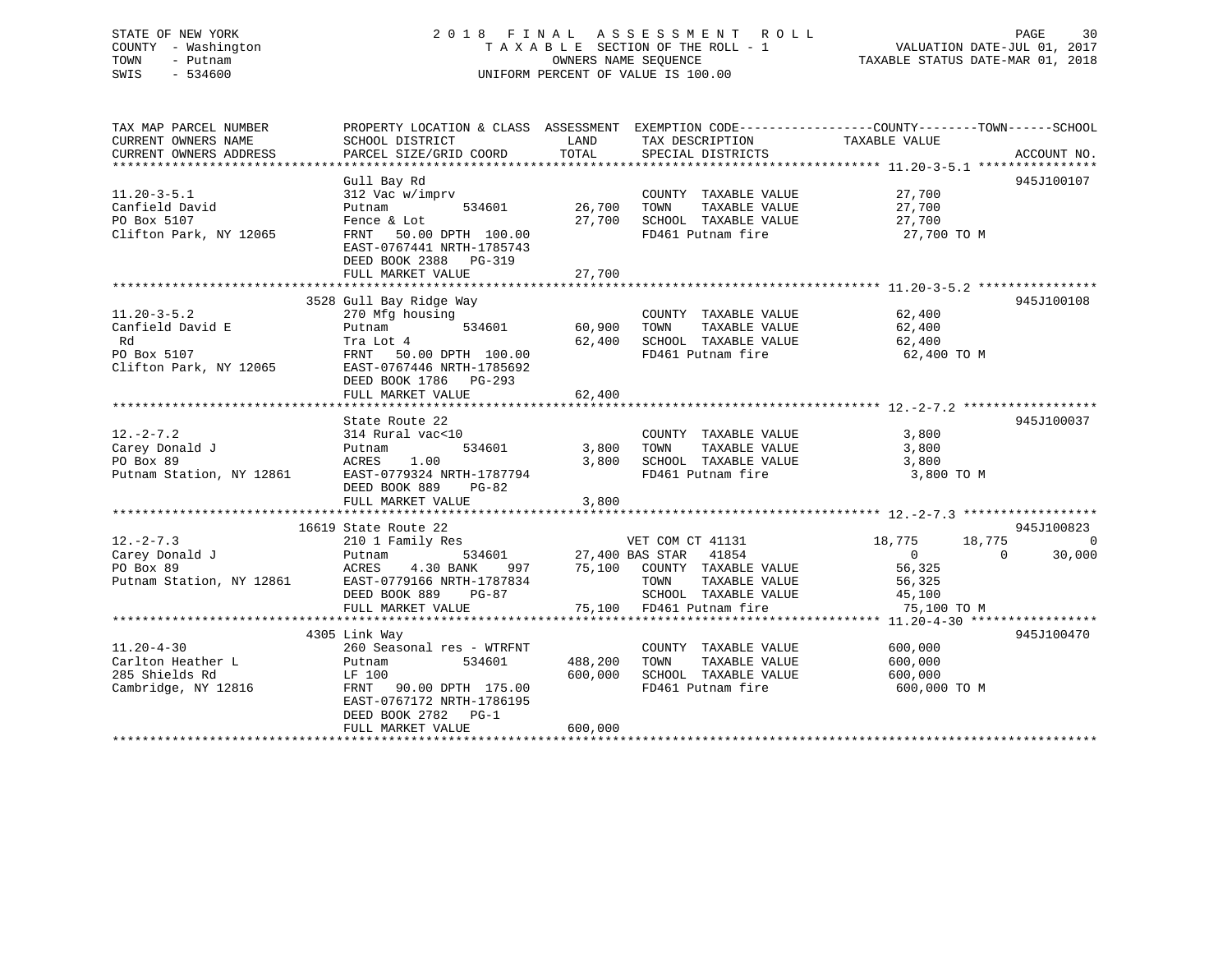## STATE OF NEW YORK 2 0 1 8 F I N A L A S S E S S M E N T R O L L PAGE 30 COUNTY - Washington T A X A B L E SECTION OF THE ROLL - 1 VALUATION DATE-JUL 01, 2017 TOWN - Putnam OWNERS NAME SEQUENCE TAXABLE STATUS DATE-MAR 01, 2018 SWIS - 534600 UNIFORM PERCENT OF VALUE IS 100.00

| TAX MAP PARCEL NUMBER  | PROPERTY LOCATION & CLASS ASSESSMENT EXEMPTION CODE---------------COUNTY-------TOWN------SCHOOL                                                                                                                                                                                                                                                                                                                           |                    |                                                              |                                                                      |            |
|------------------------|---------------------------------------------------------------------------------------------------------------------------------------------------------------------------------------------------------------------------------------------------------------------------------------------------------------------------------------------------------------------------------------------------------------------------|--------------------|--------------------------------------------------------------|----------------------------------------------------------------------|------------|
| CURRENT OWNERS NAME    | SCHOOL DISTRICT                                                                                                                                                                                                                                                                                                                                                                                                           | LAND               | TAX DESCRIPTION                                              | TAXABLE VALUE                                                        |            |
|                        |                                                                                                                                                                                                                                                                                                                                                                                                                           |                    |                                                              |                                                                      |            |
|                        |                                                                                                                                                                                                                                                                                                                                                                                                                           |                    |                                                              |                                                                      |            |
|                        | Gull Bay Rd                                                                                                                                                                                                                                                                                                                                                                                                               |                    |                                                              |                                                                      | 945J100107 |
| $11.20 - 3 - 5.1$      | 312 Vac w/imprv                                                                                                                                                                                                                                                                                                                                                                                                           |                    | COUNTY TAXABLE VALUE 27,700                                  |                                                                      |            |
| Canfield David         | Putnam                                                                                                                                                                                                                                                                                                                                                                                                                    | 534601 26,700 TOWN | TAXABLE VALUE                                                |                                                                      |            |
| PO Box 5107            | Fence & Lot                                                                                                                                                                                                                                                                                                                                                                                                               |                    | 20, 700 SCHOOL TAXABLE VALUE                                 | $\frac{27}{7}$ , 700<br>27, 700                                      |            |
| Clifton Park, NY 12065 | FRNT 50.00 DPTH 100.00<br>EAST-0767441 NRTH-1785743<br>DEED BOOK 2388 PG-319                                                                                                                                                                                                                                                                                                                                              |                    | FD461 Putnam fire                                            | 27,700 TO M                                                          |            |
|                        | FULL MARKET VALUE                                                                                                                                                                                                                                                                                                                                                                                                         | 27,700             |                                                              |                                                                      |            |
|                        |                                                                                                                                                                                                                                                                                                                                                                                                                           |                    |                                                              |                                                                      |            |
|                        | 3528 Gull Bay Ridge Way                                                                                                                                                                                                                                                                                                                                                                                                   |                    |                                                              |                                                                      | 945J100108 |
| $11.20 - 3 - 5.2$      | $270 \text{ Mfg}$ housing<br>Putnam $534601$ $60,900$ TOWN                                                                                                                                                                                                                                                                                                                                                                |                    | COUNTY TAXABLE VALUE 62,400<br>TOWN TAXABLE VALUE 62,400     |                                                                      |            |
| Canfield David E       |                                                                                                                                                                                                                                                                                                                                                                                                                           |                    | TAXABLE VALUE                                                |                                                                      |            |
| Rd                     | Tra Lot 4                                                                                                                                                                                                                                                                                                                                                                                                                 |                    | 62,400 SCHOOL TAXABLE VALUE 62,400                           |                                                                      |            |
| PO Box 5107            | FRNT 50.00 DPTH 100.00                                                                                                                                                                                                                                                                                                                                                                                                    |                    | FD461 Putnam fire                                            | 62,400 TO M                                                          |            |
|                        | Clifton Park, NY 12065 EAST-0767446 NRTH-1785692                                                                                                                                                                                                                                                                                                                                                                          |                    |                                                              |                                                                      |            |
|                        | DEED BOOK 1786 PG-293                                                                                                                                                                                                                                                                                                                                                                                                     |                    |                                                              |                                                                      |            |
|                        | FULL MARKET VALUE                                                                                                                                                                                                                                                                                                                                                                                                         | 62,400             |                                                              |                                                                      |            |
|                        |                                                                                                                                                                                                                                                                                                                                                                                                                           |                    |                                                              |                                                                      |            |
|                        | State Route 22                                                                                                                                                                                                                                                                                                                                                                                                            |                    |                                                              |                                                                      | 945J100037 |
| $12. - 2 - 7.2$        | 314 Rural vac<10                                                                                                                                                                                                                                                                                                                                                                                                          |                    | COUNTY TAXABLE VALUE 3,800                                   |                                                                      |            |
|                        |                                                                                                                                                                                                                                                                                                                                                                                                                           | $534601$ 3,800     | TOWN                                                         | TAXABLE VALUE 3,800                                                  |            |
| PO Box 89              | ACRES<br>1.00                                                                                                                                                                                                                                                                                                                                                                                                             | 3,800              | SCHOOL TAXABLE VALUE                                         | 3,800                                                                |            |
|                        | Putnam Station, NY 12861 EAST-0779324 NRTH-1787794                                                                                                                                                                                                                                                                                                                                                                        |                    | FD461 Putnam fire                                            | 3,800 TO M                                                           |            |
|                        | DEED BOOK 889 PG-82                                                                                                                                                                                                                                                                                                                                                                                                       |                    |                                                              |                                                                      |            |
|                        | FULL MARKET VALUE                                                                                                                                                                                                                                                                                                                                                                                                         | 3,800              |                                                              |                                                                      |            |
|                        |                                                                                                                                                                                                                                                                                                                                                                                                                           |                    |                                                              |                                                                      |            |
|                        | 16619 State Route 22<br>$\footnotesize \begin{array}{cccccccc} \text{10--2--7.3} & \text{10--3} & \text{11--3} & \text{12--2--7.3} & \text{13--3} & \text{14--3} & \text{15--3} & \text{16--3} & \text{17--3} & \text{18--3} & \text{18--3} & \text{18--3} & \text{18--3} & \text{18--3} & \text{18--3} & \text{18--3} & \text{18--3} & \text{18--3} & \text{18--3} & \text{18--3} & \text{18--3} & \text{18--3} & \text$ |                    |                                                              |                                                                      | 945J100823 |
|                        |                                                                                                                                                                                                                                                                                                                                                                                                                           |                    |                                                              |                                                                      | 0          |
|                        |                                                                                                                                                                                                                                                                                                                                                                                                                           |                    |                                                              |                                                                      | 30,000     |
|                        |                                                                                                                                                                                                                                                                                                                                                                                                                           |                    |                                                              |                                                                      |            |
|                        |                                                                                                                                                                                                                                                                                                                                                                                                                           |                    |                                                              | TAXABLE VALUE 56,325<br>TAXABLE VALUE 56,325<br>TAXABLE VALUE 45,100 |            |
|                        |                                                                                                                                                                                                                                                                                                                                                                                                                           |                    | 3-87<br>75,100 FD461 Putnam fire<br>75,100 FD461 Putnam fire |                                                                      |            |
|                        | FULL MARKET VALUE                                                                                                                                                                                                                                                                                                                                                                                                         |                    |                                                              | 75,100 TO M                                                          |            |
|                        |                                                                                                                                                                                                                                                                                                                                                                                                                           |                    |                                                              |                                                                      |            |
|                        | 4305 Link Way                                                                                                                                                                                                                                                                                                                                                                                                             |                    |                                                              |                                                                      | 945J100470 |
| $11.20 - 4 - 30$       | 260 Seasonal res - WTRFNT                                                                                                                                                                                                                                                                                                                                                                                                 |                    | COUNTY TAXABLE VALUE 600,000                                 |                                                                      |            |
| Carlton Heather L      | 534601<br>Putnam                                                                                                                                                                                                                                                                                                                                                                                                          | 488,200            | TAXABLE VALUE<br>TOWN                                        | 600,000                                                              |            |
| 285 Shields Rd         | LF 100                                                                                                                                                                                                                                                                                                                                                                                                                    | 600,000            | SCHOOL TAXABLE VALUE 600,000                                 |                                                                      |            |
| Cambridge, NY 12816    | FRNT 90.00 DPTH 175.00                                                                                                                                                                                                                                                                                                                                                                                                    |                    | FD461 Putnam fire                                            | 600,000 TO M                                                         |            |
|                        | EAST-0767172 NRTH-1786195                                                                                                                                                                                                                                                                                                                                                                                                 |                    |                                                              |                                                                      |            |
|                        | DEED BOOK 2782 PG-1                                                                                                                                                                                                                                                                                                                                                                                                       |                    |                                                              |                                                                      |            |
|                        | FULL MARKET VALUE                                                                                                                                                                                                                                                                                                                                                                                                         | 600,000            |                                                              |                                                                      |            |
|                        |                                                                                                                                                                                                                                                                                                                                                                                                                           |                    |                                                              |                                                                      |            |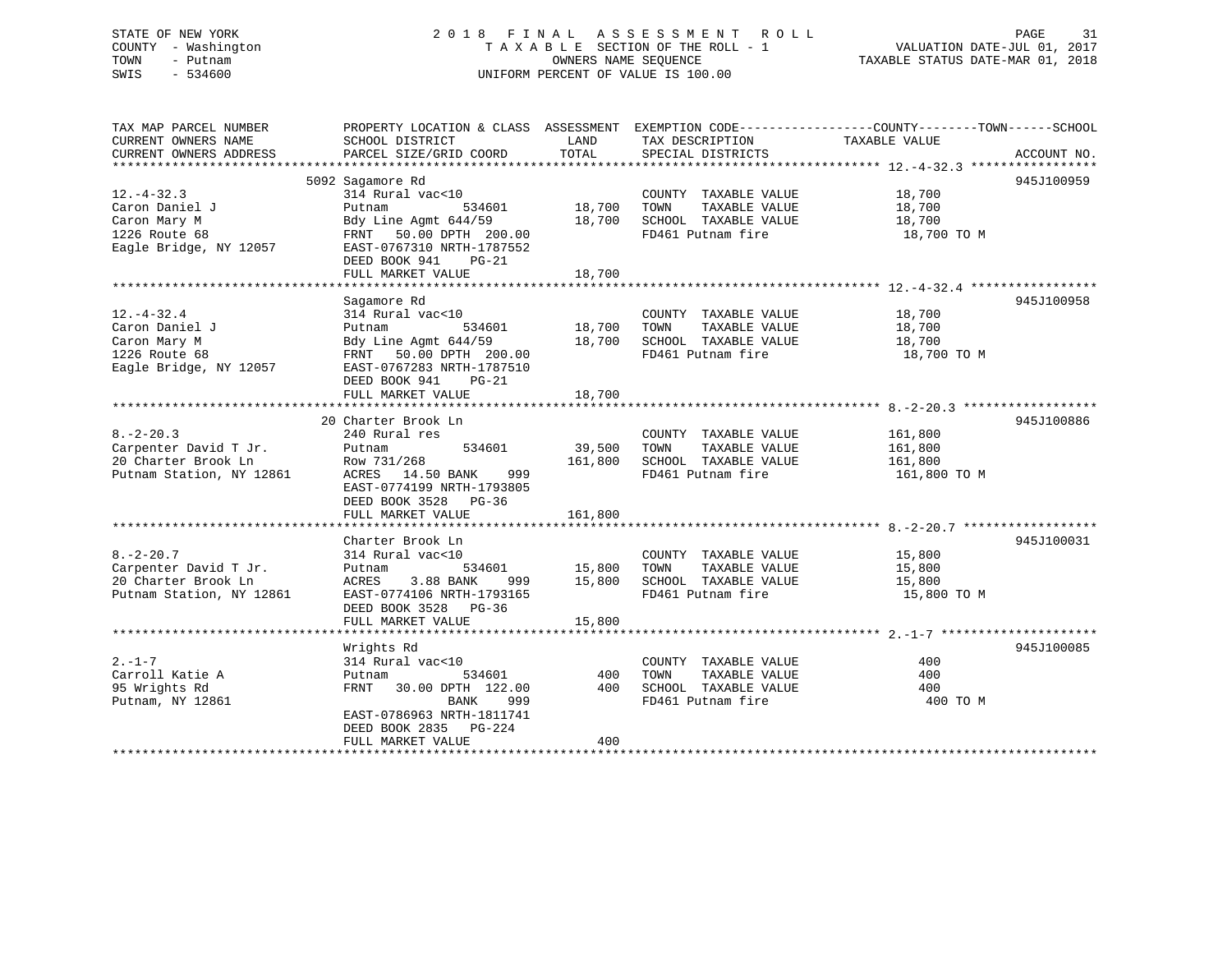## STATE OF NEW YORK 2 0 1 8 F I N A L A S S E S S M E N T R O L L PAGE 31 COUNTY - Washington T A X A B L E SECTION OF THE ROLL - 1 VALUATION DATE-JUL 01, 2017 TOWN - Putnam **CONNERS NAME SEQUENCE** TAXABLE STATUS DATE-MAR 01, 2018 SWIS - 534600 UNIFORM PERCENT OF VALUE IS 100.00

| TAX MAP PARCEL NUMBER<br>CURRENT OWNERS NAME                                                  | SCHOOL DISTRICT                                                                                                                                                 | LAND                              | TAX DESCRIPTION                                                                                   | PROPERTY LOCATION & CLASS ASSESSMENT EXEMPTION CODE---------------COUNTY-------TOWN------SCHOOL<br>TAXABLE VALUE |             |
|-----------------------------------------------------------------------------------------------|-----------------------------------------------------------------------------------------------------------------------------------------------------------------|-----------------------------------|---------------------------------------------------------------------------------------------------|------------------------------------------------------------------------------------------------------------------|-------------|
| CURRENT OWNERS ADDRESS                                                                        | PARCEL SIZE/GRID COORD                                                                                                                                          | TOTAL                             | SPECIAL DISTRICTS                                                                                 |                                                                                                                  | ACCOUNT NO. |
|                                                                                               | 5092 Sagamore Rd                                                                                                                                                |                                   |                                                                                                   |                                                                                                                  | 945J100959  |
| $12. - 4 - 32.3$<br>Caron Daniel J<br>Caron Mary M<br>1226 Route 68<br>Eagle Bridge, NY 12057 | 314 Rural vac<10<br>Putnam<br>Bdy Line Agmt 644/59<br>FRNT 50.00 DPTH 200.00<br>EAST-0767310 NRTH-1787552<br>DEED BOOK 941<br>$PG-21$<br>FULL MARKET VALUE      | 534601 18,700<br>18,700<br>18,700 | COUNTY TAXABLE VALUE 18,700<br>TOWN<br>TAXABLE VALUE<br>SCHOOL TAXABLE VALUE<br>FD461 Putnam fire | 18,700<br>18,700<br>18,700 TO M                                                                                  |             |
|                                                                                               | Sagamore Rd                                                                                                                                                     |                                   |                                                                                                   |                                                                                                                  | 945J100958  |
| $12. - 4 - 32.4$<br>Caron Daniel J<br>Caron Mary M<br>1226 Route 68<br>Eagle Bridge, NY 12057 | 314 Rural vac<10<br>534601<br>Putnam<br>Bdy Line Agmt 644/59<br>FRNT 50.00 DPTH 200.00<br>EAST-0767283 NRTH-1787510<br>DEED BOOK 941<br>$PG-21$                 | 18,700<br>18,700                  | COUNTY TAXABLE VALUE<br>TOWN<br>TAXABLE VALUE<br>SCHOOL TAXABLE VALUE<br>FD461 Putnam fire        | 18,700<br>18,700<br>18,700<br>18,700 TO M                                                                        |             |
|                                                                                               | FULL MARKET VALUE                                                                                                                                               | 18,700                            |                                                                                                   |                                                                                                                  |             |
|                                                                                               | 20 Charter Brook Ln                                                                                                                                             |                                   |                                                                                                   |                                                                                                                  | 945J100886  |
| $8. - 2 - 20.3$<br>Carpenter David T Jr.<br>20 Charter Brook Ln<br>Putnam Station, NY 12861   | 240 Rural res<br>534601<br>Putnam<br>Row 731/268<br>ACRES 14.50 BANK<br>999<br>EAST-0774199 NRTH-1793805<br>DEED BOOK 3528 PG-36<br>FULL MARKET VALUE           | 39,500<br>161,800<br>161,800      | COUNTY TAXABLE VALUE<br>TAXABLE VALUE<br>TOWN<br>SCHOOL TAXABLE VALUE<br>FD461 Putnam fire        | 161,800<br>161,800<br>161,800<br>161,800 TO M                                                                    |             |
|                                                                                               |                                                                                                                                                                 |                                   |                                                                                                   |                                                                                                                  |             |
| $8. - 2 - 20.7$<br>Carpenter David T Jr.<br>20 Charter Brook Ln<br>Putnam Station, NY 12861   | Charter Brook Ln<br>314 Rural vac<10<br>534601 15,800<br>Putnam<br>ACRES<br>3.88 BANK<br>EAST-0774106 NRTH-1793165<br>DEED BOOK 3528 PG-36<br>FULL MARKET VALUE | 999 15,800<br>15,800              | COUNTY TAXABLE VALUE<br>TOWN<br>TAXABLE VALUE<br>SCHOOL TAXABLE VALUE<br>FD461 Putnam fire        | 15,800<br>15,800<br>15,800<br>15,800 TO M                                                                        | 945J100031  |
|                                                                                               | Wrights Rd                                                                                                                                                      |                                   |                                                                                                   |                                                                                                                  | 945J100085  |
| $2 - 1 - 7$<br>Carroll Katie A<br>95 Wrights Rd<br>Putnam, NY 12861                           | 314 Rural vac<10<br>534601<br>Putnam<br>FRNT 30.00 DPTH 122.00<br>BANK<br>999<br>EAST-0786963 NRTH-1811741<br>DEED BOOK 2835 PG-224<br>FULL MARKET VALUE        | 400<br>400<br>400                 | COUNTY TAXABLE VALUE<br>TAXABLE VALUE<br>TOWN<br>SCHOOL TAXABLE VALUE<br>FD461 Putnam fire        | 400<br>400<br>400<br>400 TO M                                                                                    |             |
|                                                                                               | *******************************                                                                                                                                 |                                   |                                                                                                   |                                                                                                                  |             |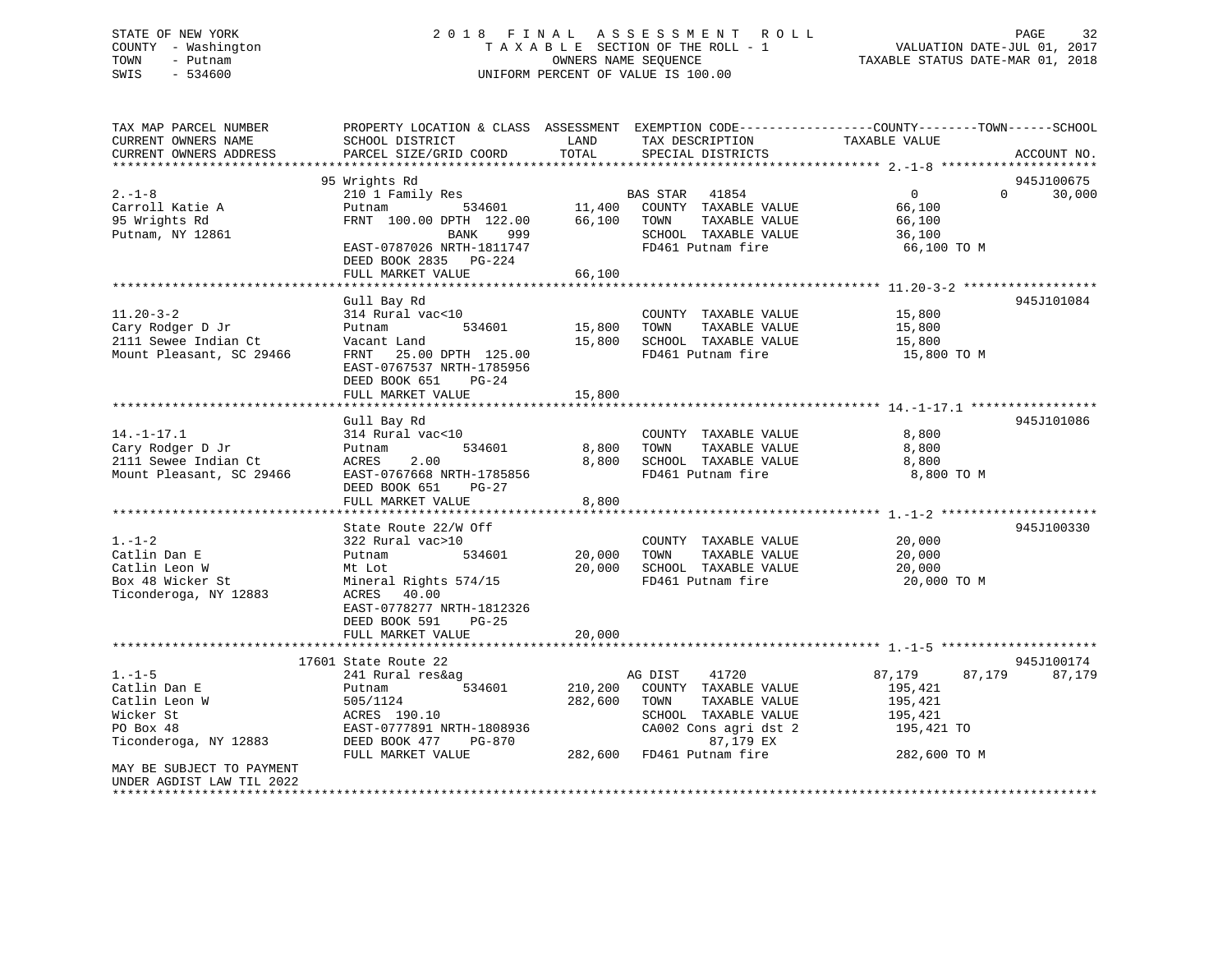## STATE OF NEW YORK 2 0 1 8 F I N A L A S S E S S M E N T R O L L PAGE 32 COUNTY - Washington T A X A B L E SECTION OF THE ROLL - 1 VALUATION DATE-JUL 01, 2017 TOWN - Putnam OWNERS NAME SEQUENCE TAXABLE STATUS DATE-MAR 01, 2018 SWIS - 534600 UNIFORM PERCENT OF VALUE IS 100.00

| TAX MAP PARCEL NUMBER<br>CURRENT OWNERS NAME<br>CURRENT OWNERS ADDRESS                           | SCHOOL DISTRICT<br>PARCEL SIZE/GRID COORD                                                                                                                                                       | PROPERTY LOCATION & CLASS ASSESSMENT EXEMPTION CODE----------------COUNTY-------TOWN------SCHOOL<br>LAND<br>TAX DESCRIPTION<br>TOTAL<br>SPECIAL DISTRICTS                             | TAXABLE VALUE<br>ACCOUNT NO.                                                                            |
|--------------------------------------------------------------------------------------------------|-------------------------------------------------------------------------------------------------------------------------------------------------------------------------------------------------|---------------------------------------------------------------------------------------------------------------------------------------------------------------------------------------|---------------------------------------------------------------------------------------------------------|
|                                                                                                  |                                                                                                                                                                                                 |                                                                                                                                                                                       |                                                                                                         |
| $2. - 1 - 8$<br>Carroll Katie A<br>95 Wrights Rd<br>Putnam, NY 12861                             | 95 Wrights Rd<br>210 1 Family Res<br>Putnam<br>534601<br>FRNT 100.00 DPTH 122.00<br>BANK<br>999<br>EAST-0787026 NRTH-1811747<br>DEED BOOK 2835 PG-224<br>FULL MARKET VALUE                      | BAS STAR 41854<br>11,400 COUNTY TAXABLE VALUE<br>66,100<br>TAXABLE VALUE<br>TOWN<br>SCHOOL TAXABLE VALUE<br>FD461 Putnam fire<br>66,100                                               | 945J100675<br>$\overline{0}$<br>$\Omega$<br>30,000<br>66,100<br>66,100<br>36,100<br>66,100 TO M         |
|                                                                                                  |                                                                                                                                                                                                 |                                                                                                                                                                                       |                                                                                                         |
| $11.20 - 3 - 2$<br>Cary Rodger D Jr<br>2111 Sewee Indian Ct<br>Mount Pleasant, SC 29466          | Gull Bay Rd<br>314 Rural vac<10<br>534601<br>Putnam<br>Vacant Land<br>FRNT 25.00 DPTH 125.00<br>EAST-0767537 NRTH-1785956<br>DEED BOOK 651<br>$PG-24$<br>FULL MARKET VALUE                      | COUNTY TAXABLE VALUE<br>15,800<br>TOWN<br>TAXABLE VALUE<br>15,800<br>SCHOOL TAXABLE VALUE<br>FD461 Putnam fire<br>15,800                                                              | 945J101084<br>15,800<br>15,800<br>15,800<br>15,800 TO M                                                 |
|                                                                                                  |                                                                                                                                                                                                 |                                                                                                                                                                                       | 945J101086                                                                                              |
| $14. - 1 - 17.1$<br>Cary Rodger D Jr<br>2111 Sewee Indian Ct<br>Mount Pleasant, SC 29466         | Gull Bay Rd<br>314 Rural vac<10<br>534601<br>Putnam<br>2.00<br>ACRES<br>EAST-0767668 NRTH-1785856<br>DEED BOOK 651<br>PG-27<br>FULL MARKET VALUE                                                | COUNTY TAXABLE VALUE<br>8,800<br>TOWN<br>TAXABLE VALUE<br>8,800<br>SCHOOL TAXABLE VALUE<br>FD461 Putnam fire<br>8,800                                                                 | 8,800<br>8,800<br>8,800<br>8,800 TO M                                                                   |
|                                                                                                  |                                                                                                                                                                                                 |                                                                                                                                                                                       |                                                                                                         |
| $1. - 1 - 2$<br>Catlin Dan E<br>Catlin Leon W<br>Box 48 Wicker St<br>Ticonderoga, NY 12883       | State Route 22/W Off<br>322 Rural vac>10<br>534601<br>Putnam<br>Mt Lot<br>Mineral Rights 574/15<br>ACRES<br>40.00<br>EAST-0778277 NRTH-1812326<br>DEED BOOK 591<br>$PG-25$<br>FULL MARKET VALUE | COUNTY TAXABLE VALUE<br>20,000<br>TOWN<br>TAXABLE VALUE<br>20,000<br>SCHOOL TAXABLE VALUE<br>FD461 Putnam fire<br>20,000                                                              | 945J100330<br>20,000<br>20,000<br>20,000<br>20,000 TO M                                                 |
|                                                                                                  |                                                                                                                                                                                                 |                                                                                                                                                                                       |                                                                                                         |
| $1. - 1 - 5$<br>Catlin Dan E<br>Catlin Leon W<br>Wicker St<br>PO Box 48<br>Ticonderoga, NY 12883 | 17601 State Route 22<br>241 Rural res&ag<br>534601<br>Putnam<br>505/1124<br>ACRES 190.10<br>EAST-0777891 NRTH-1808936<br>DEED BOOK 477<br>PG-870<br>FULL MARKET VALUE                           | AG DIST<br>41720<br>210,200<br>COUNTY TAXABLE VALUE<br>282,600<br>TAXABLE VALUE<br>TOWN<br>SCHOOL TAXABLE VALUE<br>CA002 Cons agri dst 2<br>87,179 EX<br>282,600<br>FD461 Putnam fire | 945J100174<br>87,179<br>87,179<br>87,179<br>195,421<br>195,421<br>195,421<br>195,421 TO<br>282,600 TO M |
| MAY BE SUBJECT TO PAYMENT<br>UNDER AGDIST LAW TIL 2022                                           |                                                                                                                                                                                                 |                                                                                                                                                                                       |                                                                                                         |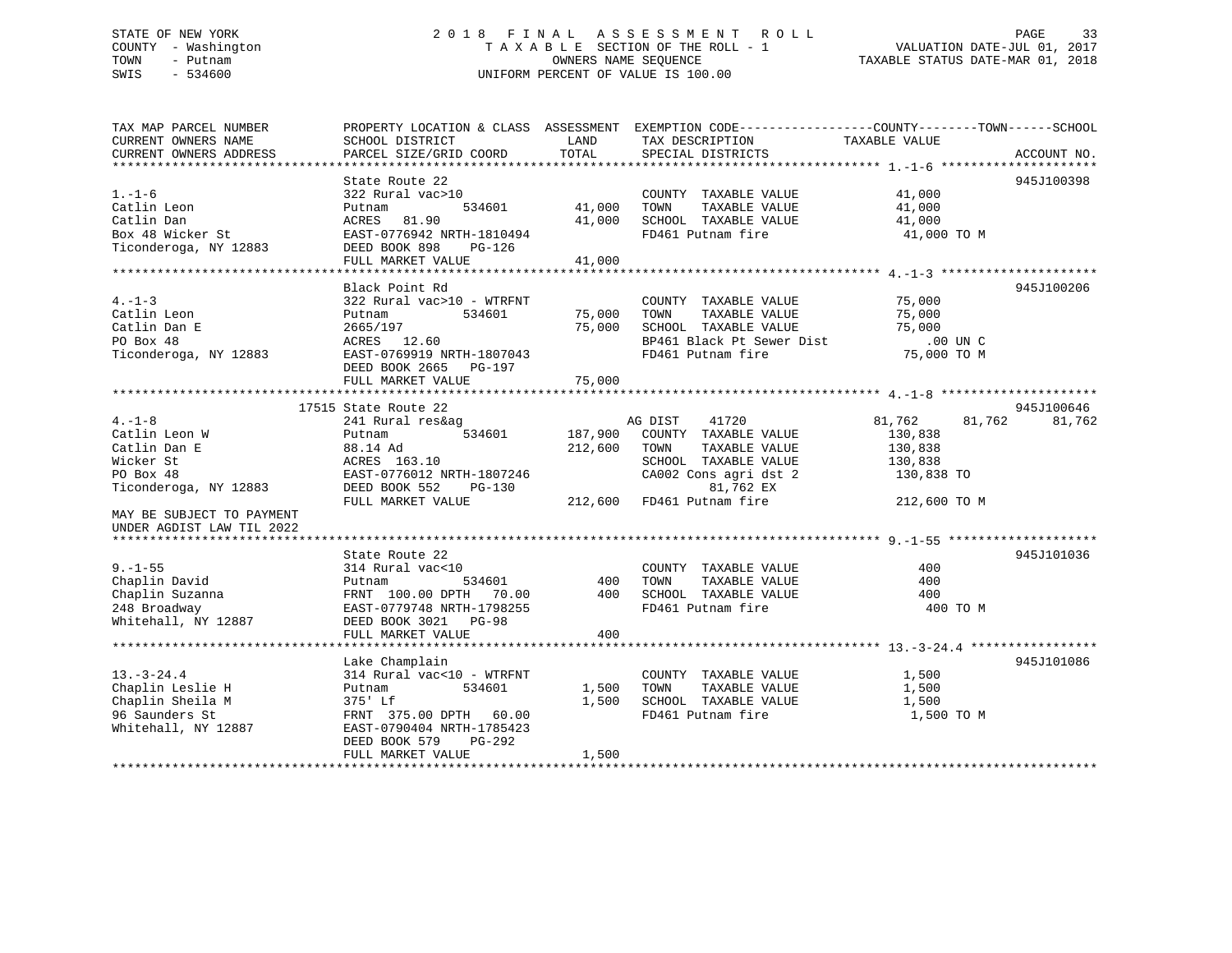## STATE OF NEW YORK 2 0 1 8 F I N A L A S S E S S M E N T R O L L PAGE 33 COUNTY - Washington T A X A B L E SECTION OF THE ROLL - 1 VALUATION DATE-JUL 01, 2017 TOWN - Putnam OWNERS NAME SEQUENCE TAXABLE STATUS DATE-MAR 01, 2018 SWIS - 534600 UNIFORM PERCENT OF VALUE IS 100.00

| TAX MAP PARCEL NUMBER<br>CURRENT OWNERS NAME<br>CURRENT OWNERS ADDRESS                                                                                    | SCHOOL DISTRICT<br>PARCEL SIZE/GRID COORD                                                                                                                                           | LAND<br>TOTAL                 | TAX DESCRIPTION<br>SPECIAL DISTRICTS                                                                                                                 | PROPERTY LOCATION & CLASS ASSESSMENT EXEMPTION CODE----------------COUNTY-------TOWN------SCHOOL<br>TAXABLE VALUE<br>ACCOUNT NO. |        |
|-----------------------------------------------------------------------------------------------------------------------------------------------------------|-------------------------------------------------------------------------------------------------------------------------------------------------------------------------------------|-------------------------------|------------------------------------------------------------------------------------------------------------------------------------------------------|----------------------------------------------------------------------------------------------------------------------------------|--------|
| $1. - 1 - 6$<br>Catlin Leon<br>Catlin Dan<br>Box 48 Wicker St<br>Ticonderoga, NY 12883                                                                    | State Route 22<br>322 Rural vac>10<br>534601<br>Putnam<br>81.90<br>ACRES<br>EAST-0776942 NRTH-1810494<br>DEED BOOK 898<br>$PG-126$<br>FULL MARKET VALUE                             | 41,000<br>41,000<br>41,000    | COUNTY TAXABLE VALUE<br>TOWN<br>TAXABLE VALUE<br>SCHOOL TAXABLE VALUE<br>FD461 Putnam fire                                                           | 945J100398<br>41,000<br>41,000<br>41,000<br>41,000 TO M                                                                          |        |
| $4. -1 - 3$<br>Catlin Leon<br>Catlin Dan E<br>PO Box 48<br>Ticonderoga, NY 12883                                                                          | Black Point Rd<br>322 Rural vac>10 - WTRFNT<br>534601<br>Putnam<br>2665/197<br>ACRES 12.60<br>EAST-0769919 NRTH-1807043<br>DEED BOOK 2665 PG-197<br>FULL MARKET VALUE               | 75,000<br>75,000<br>75,000    | COUNTY TAXABLE VALUE<br>TOWN<br>TAXABLE VALUE<br>SCHOOL TAXABLE VALUE<br>BP461 Black Pt Sewer Dist<br>FD461 Putnam fire                              | 945J100206<br>75,000<br>75,000<br>75,000<br>.00 UN C<br>75,000 TO M                                                              |        |
| $4. -1 - 8$<br>Catlin Leon W<br>Catlin Dan E<br>Wicker St<br>PO Box 48<br>Ticonderoga, NY 12883<br>MAY BE SUBJECT TO PAYMENT<br>UNDER AGDIST LAW TIL 2022 | 17515 State Route 22<br>241 Rural res&ag<br>534601<br>Putnam<br>88.14 Ad<br>ACRES 163.10<br>EAST-0776012 NRTH-1807246<br>DEED BOOK 552<br>$PG-130$<br>FULL MARKET VALUE             | 187,900<br>212,600<br>212,600 | AG DIST<br>41720<br>COUNTY TAXABLE VALUE<br>TOWN<br>TAXABLE VALUE<br>SCHOOL TAXABLE VALUE<br>CA002 Cons agri dst 2<br>81,762 EX<br>FD461 Putnam fire | 945J100646<br>81,762<br>81,762<br>130,838<br>130,838<br>130,838<br>130,838 TO<br>212,600 TO M                                    | 81,762 |
| $9. - 1 - 55$<br>Chaplin David<br>Chaplin Suzanna<br>248 Broadway<br>Whitehall, NY 12887                                                                  | State Route 22<br>314 Rural vac<10<br>534601<br>Putnam<br>FRNT 100.00 DPTH<br>70.00<br>EAST-0779748 NRTH-1798255<br>DEED BOOK 3021 PG-98<br>FULL MARKET VALUE                       | 400<br>400<br>400             | COUNTY TAXABLE VALUE<br>TAXABLE VALUE<br>TOWN<br>SCHOOL TAXABLE VALUE<br>FD461 Putnam fire                                                           | 945J101036<br>400<br>400<br>400<br>400 TO M                                                                                      |        |
| $13. - 3 - 24.4$<br>Chaplin Leslie H<br>Chaplin Sheila M<br>96 Saunders St<br>Whitehall, NY 12887                                                         | Lake Champlain<br>314 Rural vac<10 - WTRFNT<br>534601<br>Putnam<br>375' Lf<br>FRNT 375.00 DPTH 60.00<br>EAST-0790404 NRTH-1785423<br>DEED BOOK 579<br>$PG-292$<br>FULL MARKET VALUE | 1,500<br>1,500<br>1,500       | COUNTY TAXABLE VALUE<br>TOWN<br>TAXABLE VALUE<br>SCHOOL TAXABLE VALUE<br>FD461 Putnam fire                                                           | 945J101086<br>1,500<br>1,500<br>1,500<br>1,500 TO M                                                                              |        |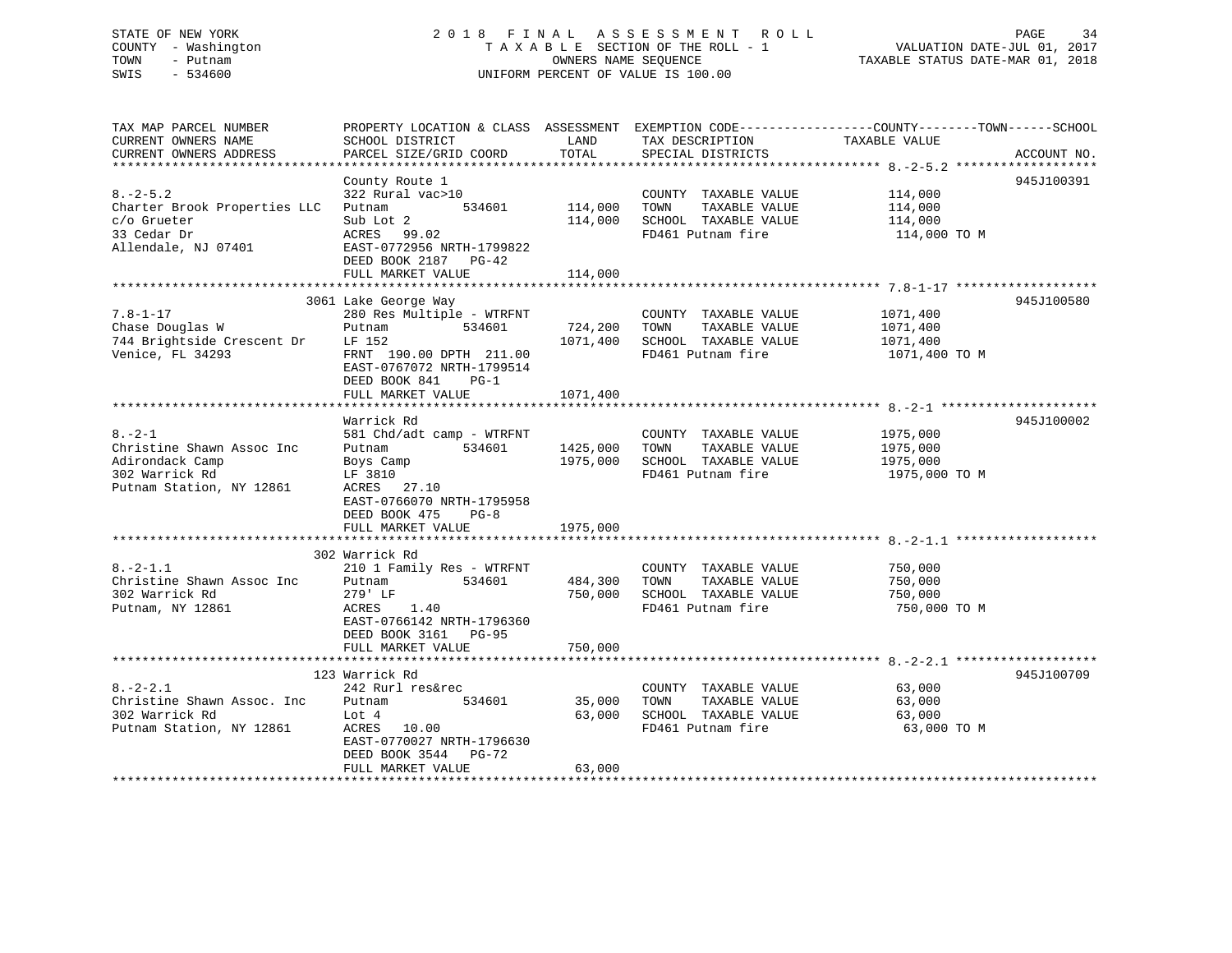# STATE OF NEW YORK 2 0 1 8 F I N A L A S S E S S M E N T R O L L PAGE 34COUNTY - Washington  $T A X A B L E$  SECTION OF THE ROLL - 1<br>TOWN - Putnam data of the COUNTERS NAME SEQUENCE SWIS - 534600 UNIFORM PERCENT OF VALUE IS 100.00

VALUATION DATE-JUL 01, 2017

TAXABLE STATUS DATE-MAR 01, 2018

| TAX MAP PARCEL NUMBER<br>CURRENT OWNERS NAME | PROPERTY LOCATION & CLASS ASSESSMENT EXEMPTION CODE----------------COUNTY-------TOWN------SCHOOL<br>SCHOOL DISTRICT | LAND                | TAX DESCRIPTION                           | TAXABLE VALUE           |             |
|----------------------------------------------|---------------------------------------------------------------------------------------------------------------------|---------------------|-------------------------------------------|-------------------------|-------------|
| CURRENT OWNERS ADDRESS                       | PARCEL SIZE/GRID COORD                                                                                              | TOTAL               | SPECIAL DISTRICTS                         |                         | ACCOUNT NO. |
|                                              |                                                                                                                     |                     |                                           |                         |             |
|                                              | County Route 1                                                                                                      |                     |                                           |                         | 945J100391  |
| $8. - 2 - 5.2$                               | 322 Rural vac>10                                                                                                    |                     | COUNTY TAXABLE VALUE                      | 114,000                 |             |
| Charter Brook Properties LLC                 | 534601<br>Putnam                                                                                                    | 114,000             | TAXABLE VALUE<br>TOWN                     | 114,000                 |             |
| c/o Grueter                                  | Sub Lot 2                                                                                                           | 114,000             | SCHOOL TAXABLE VALUE                      | 114,000                 |             |
| 33 Cedar Dr                                  | ACRES 99.02                                                                                                         |                     | FD461 Putnam fire                         | 114,000 TO M            |             |
| Allendale, NJ 07401                          | EAST-0772956 NRTH-1799822                                                                                           |                     |                                           |                         |             |
|                                              | DEED BOOK 2187 PG-42                                                                                                |                     |                                           |                         |             |
|                                              | FULL MARKET VALUE                                                                                                   | 114,000             |                                           |                         |             |
|                                              |                                                                                                                     |                     |                                           |                         |             |
| $7.8 - 1 - 17$                               | 3061 Lake George Way                                                                                                |                     |                                           |                         | 945J100580  |
| Chase Douglas W                              | 280 Res Multiple - WTRFNT<br>534601                                                                                 |                     | COUNTY TAXABLE VALUE<br>TOWN              | 1071,400                |             |
| 744 Brightside Crescent Dr                   | Putnam<br>LF 152                                                                                                    | 724,200<br>1071,400 | TAXABLE VALUE<br>SCHOOL TAXABLE VALUE     | 1071,400<br>1071,400    |             |
| Venice, FL 34293                             | FRNT 190.00 DPTH 211.00                                                                                             |                     | FD461 Putnam fire                         | 1071,400 TO M           |             |
|                                              | EAST-0767072 NRTH-1799514                                                                                           |                     |                                           |                         |             |
|                                              | DEED BOOK 841<br>$PG-1$                                                                                             |                     |                                           |                         |             |
|                                              | FULL MARKET VALUE                                                                                                   | 1071,400            |                                           |                         |             |
|                                              |                                                                                                                     |                     |                                           |                         |             |
|                                              | Warrick Rd                                                                                                          |                     |                                           |                         | 945J100002  |
| $8. - 2 - 1$                                 | 581 Chd/adt camp - WTRFNT                                                                                           |                     | COUNTY TAXABLE VALUE                      | 1975,000                |             |
| Christine Shawn Assoc Inc                    | Putnam<br>534601                                                                                                    | 1425,000            | TOWN<br>TAXABLE VALUE                     | 1975,000                |             |
| Adirondack Camp                              | Boys Camp                                                                                                           | 1975,000            | SCHOOL TAXABLE VALUE                      | 1975,000                |             |
| 302 Warrick Rd                               | LF 3810                                                                                                             |                     | FD461 Putnam fire                         | 1975,000 TO M           |             |
| Putnam Station, NY 12861                     | ACRES 27.10                                                                                                         |                     |                                           |                         |             |
|                                              | EAST-0766070 NRTH-1795958                                                                                           |                     |                                           |                         |             |
|                                              | DEED BOOK 475<br>$PG-8$                                                                                             |                     |                                           |                         |             |
|                                              | FULL MARKET VALUE                                                                                                   | 1975,000            |                                           |                         |             |
|                                              |                                                                                                                     |                     |                                           |                         |             |
|                                              | 302 Warrick Rd                                                                                                      |                     |                                           |                         |             |
| $8. -2 - 1.1$                                | 210 1 Family Res - WTRFNT                                                                                           |                     | COUNTY TAXABLE VALUE                      | 750,000                 |             |
| Christine Shawn Assoc Inc<br>302 Warrick Rd  | 534601<br>Putnam                                                                                                    | 484,300             | TOWN<br>TAXABLE VALUE                     | 750,000                 |             |
| Putnam, NY 12861                             | 279' LF<br>1.40<br>ACRES                                                                                            | 750,000             | SCHOOL TAXABLE VALUE<br>FD461 Putnam fire | 750,000<br>750,000 TO M |             |
|                                              | EAST-0766142 NRTH-1796360                                                                                           |                     |                                           |                         |             |
|                                              | DEED BOOK 3161 PG-95                                                                                                |                     |                                           |                         |             |
|                                              | FULL MARKET VALUE                                                                                                   | 750,000             |                                           |                         |             |
|                                              |                                                                                                                     |                     |                                           |                         |             |
|                                              | 123 Warrick Rd                                                                                                      |                     |                                           |                         | 945J100709  |
| $8. - 2 - 2.1$                               | 242 Rurl res&rec                                                                                                    |                     | COUNTY TAXABLE VALUE                      | 63,000                  |             |
| Christine Shawn Assoc. Inc                   | 534601<br>Putnam                                                                                                    | 35,000              | TAXABLE VALUE<br>TOWN                     | 63,000                  |             |
| 302 Warrick Rd                               | Lot 4                                                                                                               | 63,000              | SCHOOL TAXABLE VALUE                      | 63,000                  |             |
| Putnam Station, NY 12861                     | ACRES 10.00                                                                                                         |                     | FD461 Putnam fire                         | 63,000 TO M             |             |
|                                              | EAST-0770027 NRTH-1796630                                                                                           |                     |                                           |                         |             |
|                                              | DEED BOOK 3544 PG-72                                                                                                |                     |                                           |                         |             |
|                                              | FULL MARKET VALUE                                                                                                   | 63,000              |                                           |                         |             |
|                                              |                                                                                                                     |                     |                                           |                         |             |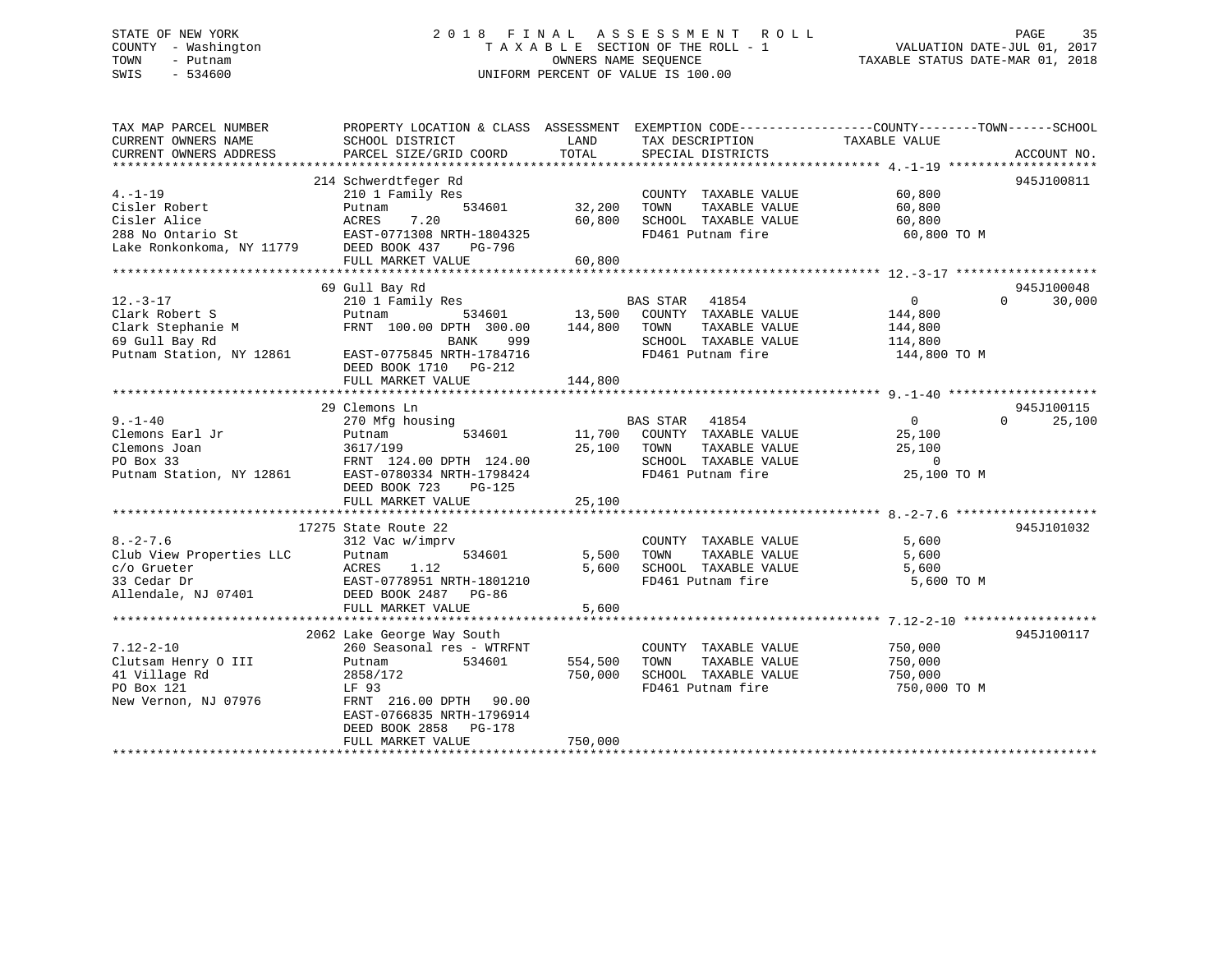## STATE OF NEW YORK 2 0 1 8 F I N A L A S S E S S M E N T R O L L PAGE 35 COUNTY - Washington T A X A B L E SECTION OF THE ROLL - 1 VALUATION DATE-JUL 01, 2017 TOWN - Putnam OWNERS NAME SEQUENCE TAXABLE STATUS DATE-MAR 01, 2018 SWIS - 534600 UNIFORM PERCENT OF VALUE IS 100.00

| SCHOOL DISTRICT<br>PARCEL SIZE/GRID COORD                                                                                                                               | LAND<br>TOTAL                                                                                                                                                                                                                                            | SPECIAL DISTRICTS                                                                                                      |                                                                      | ACCOUNT NO.                                                                                                          |
|-------------------------------------------------------------------------------------------------------------------------------------------------------------------------|----------------------------------------------------------------------------------------------------------------------------------------------------------------------------------------------------------------------------------------------------------|------------------------------------------------------------------------------------------------------------------------|----------------------------------------------------------------------|----------------------------------------------------------------------------------------------------------------------|
| 210 1 Family Res<br>534601<br>Putnam<br>7.20<br>ACRES<br>PG-796<br>FULL MARKET VALUE                                                                                    | 32,200<br>60,800<br>60,800                                                                                                                                                                                                                               | COUNTY TAXABLE VALUE<br>TAXABLE VALUE<br>TOWN<br>SCHOOL TAXABLE VALUE<br>FD461 Putnam fire                             | 60,800<br>60,800<br>60,800<br>60,800 TO M                            | 945J100811                                                                                                           |
|                                                                                                                                                                         |                                                                                                                                                                                                                                                          |                                                                                                                        |                                                                      |                                                                                                                      |
| 210 1 Family Res<br>534601<br>Putnam<br>FRNT 100.00 DPTH 300.00<br>999<br>BANK<br>EAST-0775845 NRTH-1784716<br>DEED BOOK 1710 PG-212<br>FULL MARKET VALUE               | 144,800<br>144,800                                                                                                                                                                                                                                       | 41854<br>COUNTY TAXABLE VALUE<br>TOWN<br>TAXABLE VALUE<br>SCHOOL TAXABLE VALUE<br>FD461 Putnam fire                    | $\overline{0}$<br>144,800<br>144,800<br>114,800<br>144,800 TO M      | 945J100048<br>30,000<br>$\Omega$                                                                                     |
|                                                                                                                                                                         |                                                                                                                                                                                                                                                          |                                                                                                                        |                                                                      | 945J100115                                                                                                           |
| 270 Mfg housing<br>Putnam<br>534601<br>3617/199<br>EAST-0780334 NRTH-1798424<br>DEED BOOK 723<br>PG-125<br>FULL MARKET VALUE                                            | 25,100<br>25,100                                                                                                                                                                                                                                         | <b>BAS STAR</b><br>41854<br>COUNTY TAXABLE VALUE<br>TOWN<br>TAXABLE VALUE<br>SCHOOL TAXABLE VALUE<br>FD461 Putnam fire | $\overline{0}$<br>25,100<br>25,100<br>$\overline{0}$<br>25,100 TO M  | $\Omega$<br>25,100                                                                                                   |
|                                                                                                                                                                         |                                                                                                                                                                                                                                                          |                                                                                                                        |                                                                      |                                                                                                                      |
| 312 Vac w/imprv<br>534601<br>Putnam<br>ACRES<br>1.12<br>FULL MARKET VALUE                                                                                               | 5,500<br>5,600<br>5,600                                                                                                                                                                                                                                  | COUNTY TAXABLE VALUE<br>TAXABLE VALUE<br>TOWN<br>FD461 Putnam fire                                                     | 5,600<br>5,600<br>5,600<br>5,600 TO M                                | 945J101032                                                                                                           |
|                                                                                                                                                                         |                                                                                                                                                                                                                                                          |                                                                                                                        |                                                                      |                                                                                                                      |
| 260 Seasonal res - WTRFNT<br>534601<br>Putnam<br>2858/172<br>LF 93<br>FRNT 216.00 DPTH 90.00<br>EAST-0766835 NRTH-1796914<br>DEED BOOK 2858 PG-178<br>FULL MARKET VALUE | 554,500<br>750,000<br>750,000                                                                                                                                                                                                                            | COUNTY TAXABLE VALUE<br>TOWN<br>TAXABLE VALUE<br>SCHOOL TAXABLE VALUE<br>FD461 Putnam fire                             | 750,000<br>750,000<br>750,000<br>750,000 TO M                        | 945J100117                                                                                                           |
|                                                                                                                                                                         | 214 Schwerdtfeger Rd<br>ACRES 7.20<br>EAST-0771308 NRTH-1804325<br>Lake Ronkonkoma, NY 11779 DEED BOOK 437<br>69 Gull Bay Rd<br>29 Clemons Ln<br>17275 State Route 22<br>EAST-0778951 NRTH-1801210<br>DEED BOOK 2487 PG-86<br>2062 Lake George Way South | $5011/155$<br>FRNT 124.00 DPTH 124.00                                                                                  | PROPERTY LOCATION & CLASS ASSESSMENT<br>BAS STAR<br>13,500<br>11,700 | EXEMPTION CODE----------------COUNTY-------TOWN------SCHOOL<br>TAX DESCRIPTION TAXABLE VALUE<br>SCHOOL TAXABLE VALUE |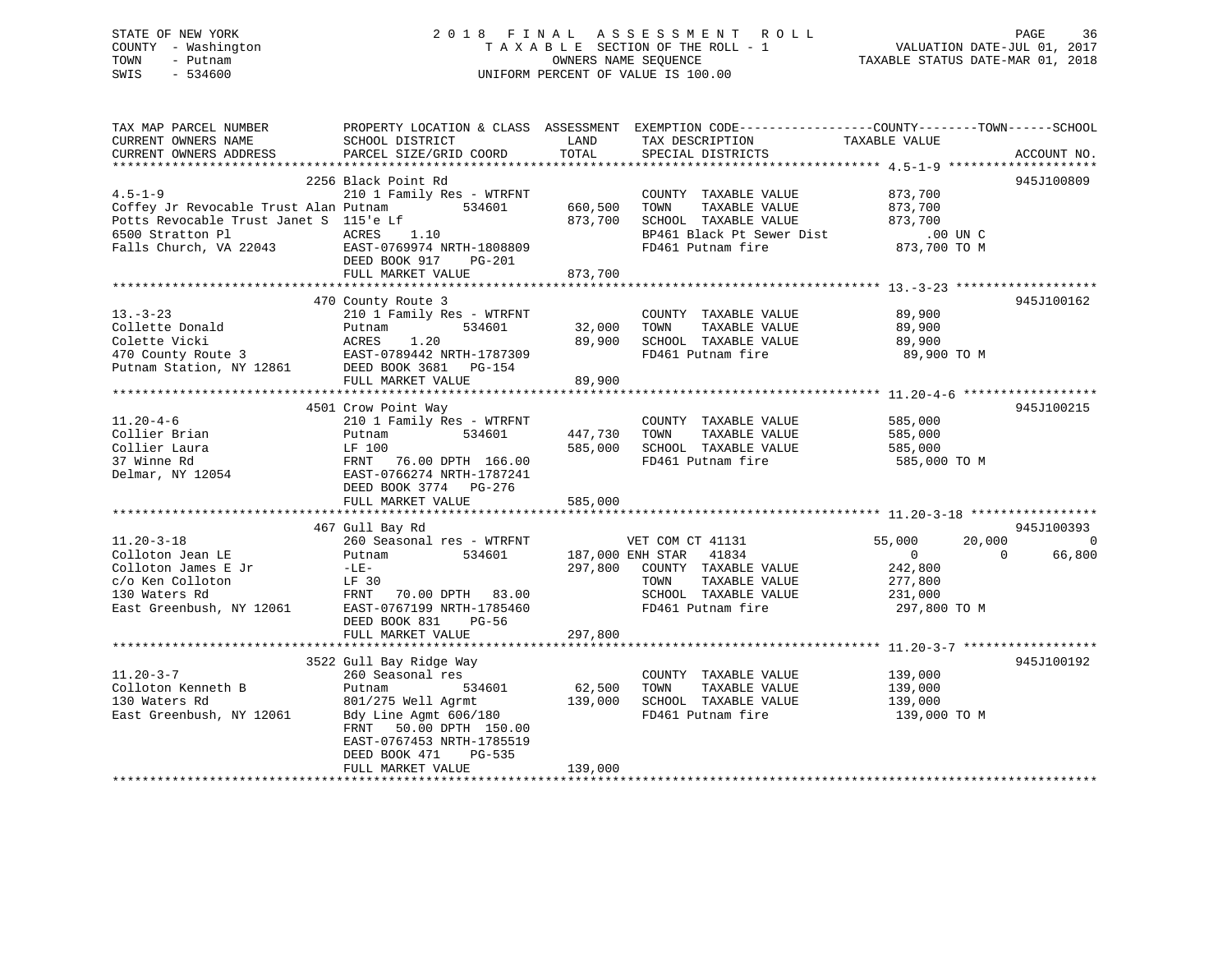| STATE OF NEW YORK   | 2018 FINAL ASSESSMENT ROLL         | 36<br>PAGE                       |
|---------------------|------------------------------------|----------------------------------|
| COUNTY - Washington | TAXABLE SECTION OF THE ROLL - 1    | VALUATION DATE-JUL 01, 2017      |
| TOWN<br>– Putnam    | OWNERS NAME SEOUENCE               | TAXABLE STATUS DATE-MAR 01, 2018 |
| SWIS<br>- 534600    | UNIFORM PERCENT OF VALUE IS 100.00 |                                  |
|                     |                                    |                                  |
|                     |                                    |                                  |

| TAX MAP PARCEL NUMBER                              |                                                                                                                                                                                |                                       | PROPERTY LOCATION & CLASS ASSESSMENT EXEMPTION CODE---------------COUNTY-------TOWN------SCHOOL |                                  |             |
|----------------------------------------------------|--------------------------------------------------------------------------------------------------------------------------------------------------------------------------------|---------------------------------------|-------------------------------------------------------------------------------------------------|----------------------------------|-------------|
| CURRENT OWNERS NAME                                | SCHOOL DISTRICT                                                                                                                                                                | LAND                                  | TAX DESCRIPTION                                                                                 | TAXABLE VALUE                    |             |
| CURRENT OWNERS ADDRESS                             | PARCEL SIZE/GRID COORD                                                                                                                                                         | TOTAL                                 | SPECIAL DISTRICTS                                                                               |                                  | ACCOUNT NO. |
|                                                    |                                                                                                                                                                                |                                       |                                                                                                 |                                  |             |
|                                                    | 2256 Black Point Rd                                                                                                                                                            |                                       |                                                                                                 |                                  | 945J100809  |
| $4.5 - 1 - 9$                                      | 210 1 Family Res - WTRFNT                                                                                                                                                      |                                       | COUNTY TAXABLE VALUE                                                                            | 873,700                          |             |
|                                                    | Coffey Jr Revocable Trust Alan Putnam 534601 660,500                                                                                                                           |                                       | TAXABLE VALUE 873,700<br>TOWN                                                                   |                                  |             |
| Potts Revocable Trust Janet S 115'e Lf             | $\mathbf{L}$ 1.10                                                                                                                                                              | 873,700                               | SCHOOL TAXABLE VALUE                                                                            | 873,700                          |             |
|                                                    |                                                                                                                                                                                |                                       |                                                                                                 |                                  |             |
|                                                    |                                                                                                                                                                                |                                       | SCHOOL TAAADLE VALUE<br>BP461 Black Pt Sewer Dist .00 UN C<br>FD461 Putnam fire  873,700 TO M   |                                  |             |
|                                                    | DEED BOOK 917 PG-201                                                                                                                                                           |                                       |                                                                                                 |                                  |             |
|                                                    | FULL MARKET VALUE                                                                                                                                                              | 873,700                               |                                                                                                 |                                  |             |
|                                                    |                                                                                                                                                                                |                                       |                                                                                                 |                                  |             |
|                                                    | 470 County Route 3                                                                                                                                                             | COUNT<br>32,000 TOWN<br>89,900 ^      |                                                                                                 |                                  | 945J100162  |
| $13 - 3 - 23$                                      | 210 1 Family Res - WTRFNT                                                                                                                                                      |                                       | COUNTY TAXABLE VALUE 89,900                                                                     |                                  |             |
|                                                    |                                                                                                                                                                                |                                       | TAXABLE VALUE                                                                                   | 89,900                           |             |
| دء--ة Collette Donald<br>Collette Donald<br>من علم |                                                                                                                                                                                |                                       | 89,900 SCHOOL TAXABLE VALUE 89,900                                                              |                                  |             |
|                                                    | Collette Donald<br>Colette Vicki<br>Colette Vicki<br>20 69,900<br>270 County Route 3 EAST-0789442 NRTH-1787309<br>Putnam Station, NY 12861 DEED BOOK 3681 PG-154               |                                       | FD461 Putnam fire                                                                               | 89,900 TO M                      |             |
|                                                    |                                                                                                                                                                                |                                       |                                                                                                 |                                  |             |
|                                                    | FULL MARKET VALUE                                                                                                                                                              | 89,900                                |                                                                                                 |                                  |             |
|                                                    |                                                                                                                                                                                |                                       |                                                                                                 |                                  |             |
|                                                    | 4501 Crow Point Way                                                                                                                                                            |                                       |                                                                                                 |                                  | 945J100215  |
| $11.20 - 4 - 6$                                    | 210 1 Family Res - WTRFNT                                                                                                                                                      |                                       | COUNTY TAXABLE VALUE 585,000                                                                    |                                  |             |
|                                                    | 534601                                                                                                                                                                         |                                       | TAXABLE VALUE                                                                                   |                                  |             |
|                                                    |                                                                                                                                                                                | 447,730     TOWN<br>585.000     SCHOO | 585,000 SCHOOL TAXABLE VALUE                                                                    | 585,000<br>585,000               |             |
|                                                    | Collier Brian Follow Putnam 534601 447<br>Collier Laura LF 100 585<br>37 Winne Rd FRNT 76.00 DPTH 166.00<br>Delmar, NY 12054 EAST-0766274 NRTH-1787241<br>RDF POCK 2734 PC-276 |                                       | FD461 Putnam fire 585,000 TO M                                                                  |                                  |             |
|                                                    |                                                                                                                                                                                |                                       |                                                                                                 |                                  |             |
|                                                    |                                                                                                                                                                                |                                       |                                                                                                 |                                  |             |
|                                                    | DEED BOOK 3774 PG-276                                                                                                                                                          |                                       |                                                                                                 |                                  |             |
|                                                    | FULL MARKET VALUE                                                                                                                                                              | 585,000                               |                                                                                                 |                                  |             |
|                                                    |                                                                                                                                                                                |                                       |                                                                                                 |                                  |             |
|                                                    | 467 Gull Bay Rd                                                                                                                                                                |                                       |                                                                                                 |                                  | 945J100393  |
| $11.20 - 3 - 18$                                   | 260 Seasonal res - WTRFNT                                                                                                                                                      |                                       | VET COM CT 41131                                                                                | 55,000<br>20,000                 | 0           |
| Colloton Jean LE                                   | 534601 187,000 ENH STAR 41834<br>Putnam                                                                                                                                        |                                       |                                                                                                 | $\overline{0}$<br>$\overline{0}$ | 66,800      |
|                                                    |                                                                                                                                                                                |                                       | 297,800 COUNTY TAXABLE VALUE                                                                    | 242,800                          |             |
|                                                    |                                                                                                                                                                                |                                       | TOWN<br>TAXABLE VALUE                                                                           | 277,800                          |             |
|                                                    |                                                                                                                                                                                |                                       | SCHOOL TAXABLE VALUE 231,000                                                                    |                                  |             |
|                                                    | Colloton James E Jr $LE$ -LE-<br>C/o Ken Colloton $LF$ 30<br>130 Waters Rd FRNT 70.00 DPTH 83.00<br>East Greenbush, NY 12061 EAST-0767199 NRTH-1785460                         |                                       | FD461 Putnam fire                                                                               | 297,800 TO M                     |             |
|                                                    | DEED BOOK 831<br>PG-56                                                                                                                                                         |                                       |                                                                                                 |                                  |             |
|                                                    | FULL MARKET VALUE                                                                                                                                                              | 297,800                               |                                                                                                 |                                  |             |
|                                                    |                                                                                                                                                                                |                                       |                                                                                                 |                                  |             |
|                                                    | 3522 Gull Bay Ridge Way                                                                                                                                                        |                                       |                                                                                                 |                                  | 945J100192  |
| $11.20 - 3 - 7$                                    | 260 Seasonal res                                                                                                                                                               |                                       | COUNTY TAXABLE VALUE 139,000                                                                    |                                  |             |
| 11.20-5-7<br>Colloton Kenneth B                    | 534601<br>Putnam                                                                                                                                                               |                                       | TAXABLE VALUE                                                                                   | 139,000                          |             |
|                                                    | 801/275 Well Agrmt                                                                                                                                                             |                                       | SCHOOL TAXABLE VALUE 139,000                                                                    |                                  |             |
| 130 Waters Rd<br>East Greenbush, NY 12061          | Bdy Line Agmt 606/180                                                                                                                                                          | $139,000$<br>80                       | FD461 Putnam fire                                                                               | 139,000 TO M                     |             |
|                                                    | FRNT 50.00 DPTH 150.00                                                                                                                                                         |                                       |                                                                                                 |                                  |             |
|                                                    | EAST-0767453 NRTH-1785519                                                                                                                                                      |                                       |                                                                                                 |                                  |             |
|                                                    | DEED BOOK 471<br>PG-535                                                                                                                                                        |                                       |                                                                                                 |                                  |             |
|                                                    | FULL MARKET VALUE                                                                                                                                                              | 139,000                               |                                                                                                 |                                  |             |
|                                                    |                                                                                                                                                                                |                                       |                                                                                                 |                                  |             |
|                                                    |                                                                                                                                                                                |                                       |                                                                                                 |                                  |             |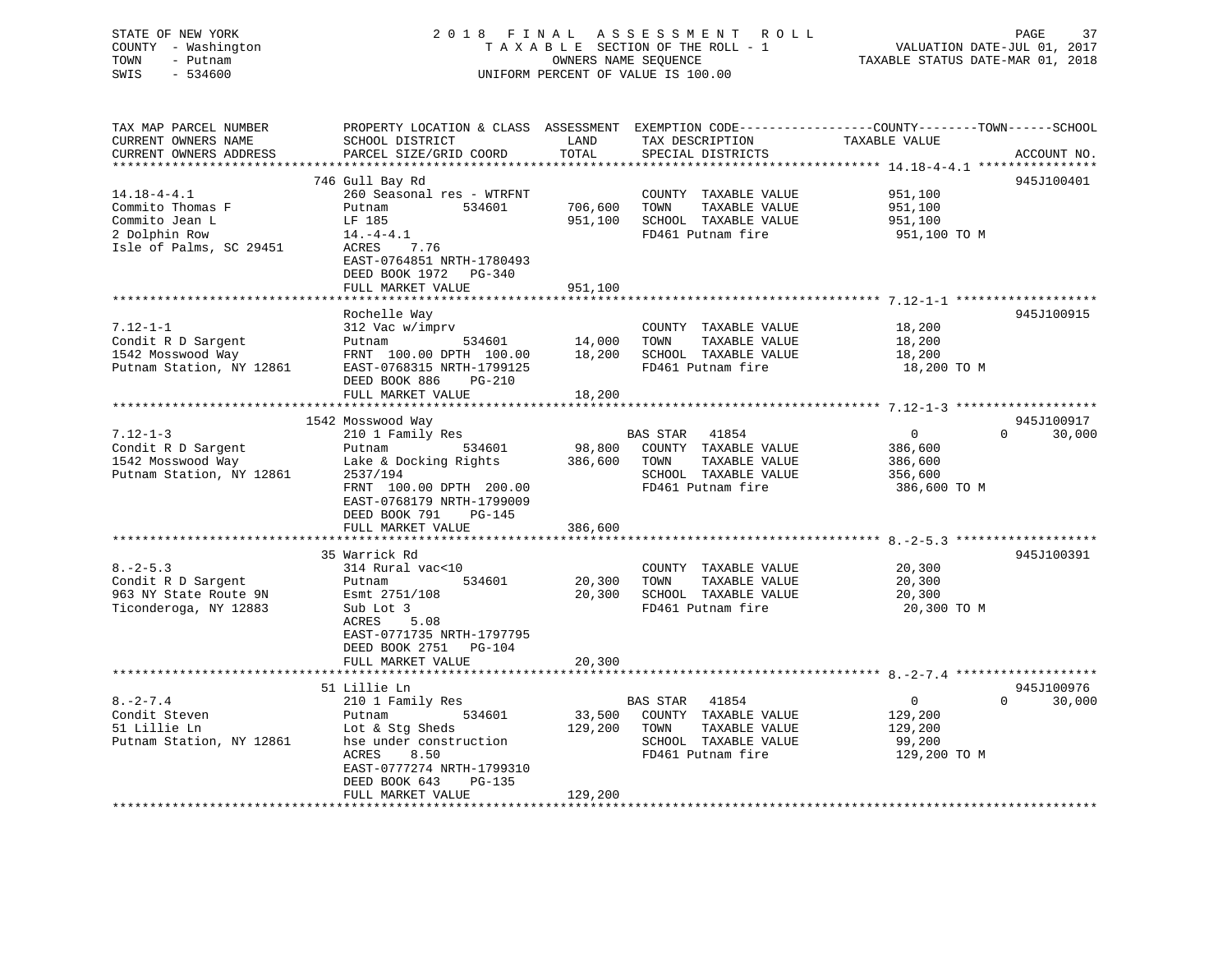### STATE OF NEW YORK 2 0 1 8 F I N A L A S S E S S M E N T R O L L PAGE 37 COUNTY - Washington T A X A B L E SECTION OF THE ROLL - 1 VALUATION DATE-JUL 01, 2017 TOWN - Putnam **CONNERS NAME SEQUENCE** TAXABLE STATUS DATE-MAR 01, 2018 SWIS - 534600 UNIFORM PERCENT OF VALUE IS 100.00

| TAX MAP PARCEL NUMBER<br>CURRENT OWNERS NAME<br>CURRENT OWNERS ADDRESS                              | PROPERTY LOCATION & CLASS ASSESSMENT<br>SCHOOL DISTRICT<br>PARCEL SIZE/GRID COORD                                                                                               | LAND<br>TOTAL                | TAX DESCRIPTION<br>SPECIAL DISTRICTS                                                                         | EXEMPTION CODE-----------------COUNTY-------TOWN------SCHOOL<br>TAXABLE VALUE<br>ACCOUNT NO. |
|-----------------------------------------------------------------------------------------------------|---------------------------------------------------------------------------------------------------------------------------------------------------------------------------------|------------------------------|--------------------------------------------------------------------------------------------------------------|----------------------------------------------------------------------------------------------|
| **********************                                                                              |                                                                                                                                                                                 |                              |                                                                                                              |                                                                                              |
|                                                                                                     | 746 Gull Bay Rd                                                                                                                                                                 |                              |                                                                                                              | 945J100401                                                                                   |
| $14.18 - 4 - 4.1$<br>Commito Thomas F<br>Commito Jean L<br>2 Dolphin Row<br>Isle of Palms, SC 29451 | 260 Seasonal res - WTRFNT<br>534601<br>Putnam<br>LF 185<br>$14.-4-4.1$<br>ACRES<br>7.76                                                                                         | 706,600<br>951,100           | COUNTY TAXABLE VALUE<br>TOWN<br>TAXABLE VALUE<br>SCHOOL TAXABLE VALUE<br>FD461 Putnam fire                   | 951,100<br>951,100<br>951,100<br>951,100 TO M                                                |
|                                                                                                     | EAST-0764851 NRTH-1780493<br>DEED BOOK 1972 PG-340<br>FULL MARKET VALUE                                                                                                         | 951,100                      |                                                                                                              |                                                                                              |
|                                                                                                     |                                                                                                                                                                                 |                              |                                                                                                              |                                                                                              |
| $7.12 - 1 - 1$<br>Condit R D Sargent<br>1542 Mosswood Way<br>Putnam Station, NY 12861               | Rochelle Way<br>312 Vac w/imprv<br>Putnam<br>534601<br>FRNT 100.00 DPTH 100.00<br>EAST-0768315 NRTH-1799125<br>DEED BOOK 886<br>$PG-210$                                        | 14,000<br>18,200             | COUNTY TAXABLE VALUE<br>TAXABLE VALUE<br>TOWN<br>SCHOOL TAXABLE VALUE<br>FD461 Putnam fire                   | 945J100915<br>18,200<br>18,200<br>18,200<br>18,200 TO M                                      |
|                                                                                                     | FULL MARKET VALUE                                                                                                                                                               | 18,200                       |                                                                                                              |                                                                                              |
|                                                                                                     |                                                                                                                                                                                 | **********                   |                                                                                                              |                                                                                              |
| $7.12 - 1 - 3$<br>Condit R D Sargent<br>1542 Mosswood Way                                           | 1542 Mosswood Way<br>210 1 Family Res<br>534601<br>Putnam<br>Lake & Docking Rights                                                                                              | 98,800<br>386,600            | BAS STAR<br>41854<br>COUNTY TAXABLE VALUE<br>TAXABLE VALUE<br>TOWN                                           | 945J100917<br>$\overline{0}$<br>$\Omega$<br>30,000<br>386,600<br>386,600                     |
| Putnam Station, NY 12861                                                                            | 2537/194<br>FRNT 100.00 DPTH 200.00<br>EAST-0768179 NRTH-1799009<br>DEED BOOK 791<br>PG-145<br>FULL MARKET VALUE                                                                | 386,600                      | SCHOOL TAXABLE VALUE<br>FD461 Putnam fire                                                                    | 356,600<br>386,600 TO M                                                                      |
|                                                                                                     |                                                                                                                                                                                 |                              |                                                                                                              |                                                                                              |
| $8. -2 - 5.3$<br>Condit R D Sargent<br>963 NY State Route 9N<br>Ticonderoga, NY 12883               | 35 Warrick Rd<br>314 Rural vac<10<br>534601<br>Putnam<br>Esmt 2751/108<br>Sub Lot 3<br>ACRES<br>5.08<br>EAST-0771735 NRTH-1797795<br>DEED BOOK 2751<br>PG-104                   | 20,300<br>20,300             | COUNTY TAXABLE VALUE<br>TOWN<br>TAXABLE VALUE<br>SCHOOL TAXABLE VALUE<br>FD461 Putnam fire                   | 945J100391<br>20,300<br>20,300<br>20,300<br>20,300 TO M                                      |
|                                                                                                     | FULL MARKET VALUE                                                                                                                                                               | 20,300                       |                                                                                                              |                                                                                              |
|                                                                                                     | 51 Lillie Ln                                                                                                                                                                    |                              |                                                                                                              | 945J100976                                                                                   |
| $8. - 2 - 7.4$<br>Condit Steven<br>51 Lillie Ln<br>Putnam Station, NY 12861                         | 210 1 Family Res<br>534601<br>Putnam<br>Lot & Stg Sheds<br>hse under construction<br>8.50<br>ACRES<br>EAST-0777274 NRTH-1799310<br>DEED BOOK 643<br>PG-135<br>FULL MARKET VALUE | 33,500<br>129,200<br>129,200 | BAS STAR 41854<br>COUNTY TAXABLE VALUE<br>TOWN<br>TAXABLE VALUE<br>SCHOOL TAXABLE VALUE<br>FD461 Putnam fire | $\overline{0}$<br>$\Omega$<br>30,000<br>129,200<br>129,200<br>99,200<br>129,200 TO M         |
|                                                                                                     |                                                                                                                                                                                 |                              |                                                                                                              |                                                                                              |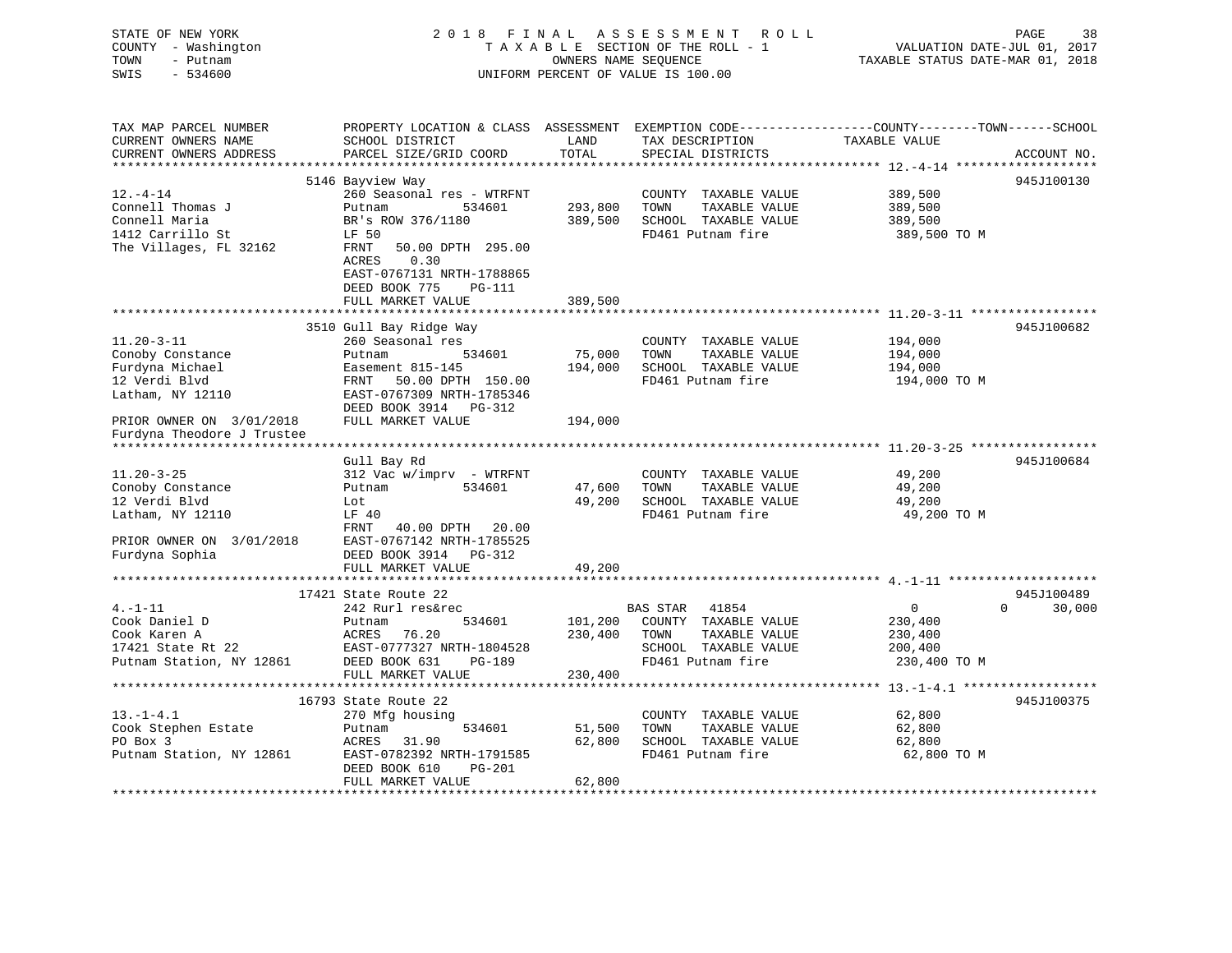| STATE OF NEW YORK<br>COUNTY - Washington<br>TOWN<br>- Putnam<br>SWIS<br>$-534600$ |                                                                                   | OWNERS NAME SEQUENCE  | 2018 FINAL ASSESSMENT<br>R O L L<br>TAXABLE SECTION OF THE ROLL - 1<br>UNIFORM PERCENT OF VALUE IS 100.00 | VALUATION DATE-JUL 01, 2017<br>TAXABLE STATUS DATE-MAR 01, 2018 | 38<br>PAGE         |
|-----------------------------------------------------------------------------------|-----------------------------------------------------------------------------------|-----------------------|-----------------------------------------------------------------------------------------------------------|-----------------------------------------------------------------|--------------------|
| TAX MAP PARCEL NUMBER<br>CURRENT OWNERS NAME<br>CURRENT OWNERS ADDRESS            | PROPERTY LOCATION & CLASS ASSESSMENT<br>SCHOOL DISTRICT<br>PARCEL SIZE/GRID COORD | LAND<br>TOTAL         | EXEMPTION CODE-----------------COUNTY-------TOWN------SCHOOL<br>TAX DESCRIPTION<br>SPECIAL DISTRICTS      | TAXABLE VALUE                                                   | ACCOUNT NO.        |
| **********************                                                            |                                                                                   |                       |                                                                                                           |                                                                 |                    |
|                                                                                   | 5146 Bayview Way                                                                  |                       |                                                                                                           |                                                                 | 945J100130         |
| $12.-4-14$                                                                        | 260 Seasonal res - WTRFNT                                                         |                       | COUNTY TAXABLE VALUE                                                                                      | 389,500                                                         |                    |
| Connell Thomas J                                                                  | Putnam<br>534601                                                                  | 293,800               | TOWN<br>TAXABLE VALUE                                                                                     | 389,500                                                         |                    |
| Connell Maria                                                                     | BR's ROW 376/1180                                                                 | 389,500               | SCHOOL TAXABLE VALUE                                                                                      | 389,500                                                         |                    |
| 1412 Carrillo St                                                                  | LF 50                                                                             |                       | FD461 Putnam fire                                                                                         | 389,500 TO M                                                    |                    |
| The Villages, FL 32162                                                            | 50.00 DPTH 295.00<br>FRNT                                                         |                       |                                                                                                           |                                                                 |                    |
|                                                                                   | 0.30<br>ACRES                                                                     |                       |                                                                                                           |                                                                 |                    |
|                                                                                   | EAST-0767131 NRTH-1788865                                                         |                       |                                                                                                           |                                                                 |                    |
|                                                                                   | DEED BOOK 775<br><b>PG-111</b>                                                    |                       |                                                                                                           |                                                                 |                    |
|                                                                                   | FULL MARKET VALUE<br>* * * * * * * * * * * * * * * * * * *                        | 389,500<br>********** |                                                                                                           | ******************************** 11.20-3-11 *****************   |                    |
|                                                                                   | 3510 Gull Bay Ridge Way                                                           |                       |                                                                                                           |                                                                 | 945J100682         |
| $11.20 - 3 - 11$                                                                  | 260 Seasonal res                                                                  |                       | COUNTY TAXABLE VALUE                                                                                      | 194,000                                                         |                    |
| Conoby Constance                                                                  | Putnam<br>534601                                                                  | 75,000                | TOWN<br>TAXABLE VALUE                                                                                     | 194,000                                                         |                    |
| Furdyna Michael                                                                   | Easement 815-145                                                                  | 194,000               | SCHOOL TAXABLE VALUE                                                                                      | 194,000                                                         |                    |
| 12 Verdi Blvd                                                                     | 50.00 DPTH 150.00<br>FRNT                                                         |                       | FD461 Putnam fire                                                                                         | 194,000 TO M                                                    |                    |
| Latham, NY 12110                                                                  | EAST-0767309 NRTH-1785346                                                         |                       |                                                                                                           |                                                                 |                    |
|                                                                                   | DEED BOOK 3914 PG-312                                                             |                       |                                                                                                           |                                                                 |                    |
| PRIOR OWNER ON 3/01/2018<br>Furdyna Theodore J Trustee                            | FULL MARKET VALUE                                                                 | 194,000               |                                                                                                           |                                                                 |                    |
|                                                                                   |                                                                                   |                       |                                                                                                           |                                                                 |                    |
|                                                                                   | Gull Bay Rd                                                                       |                       |                                                                                                           |                                                                 | 945J100684         |
| $11.20 - 3 - 25$                                                                  | 312 Vac w/imprv - WTRFNT                                                          |                       | COUNTY TAXABLE VALUE                                                                                      | 49,200                                                          |                    |
| Conoby Constance                                                                  | Putnam<br>534601                                                                  | 47,600                | TOWN<br>TAXABLE VALUE                                                                                     | 49,200                                                          |                    |
| 12 Verdi Blvd                                                                     | Lot                                                                               | 49,200                | SCHOOL TAXABLE VALUE                                                                                      | 49,200                                                          |                    |
| Latham, NY 12110                                                                  | LF 40                                                                             |                       | FD461 Putnam fire                                                                                         | 49,200 TO M                                                     |                    |
|                                                                                   | FRNT<br>40.00 DPTH<br>20.00                                                       |                       |                                                                                                           |                                                                 |                    |
| PRIOR OWNER ON 3/01/2018                                                          | EAST-0767142 NRTH-1785525                                                         |                       |                                                                                                           |                                                                 |                    |
| Furdyna Sophia                                                                    | DEED BOOK 3914 PG-312                                                             |                       |                                                                                                           |                                                                 |                    |
|                                                                                   | FULL MARKET VALUE                                                                 | 49,200                |                                                                                                           |                                                                 |                    |
|                                                                                   | . * * * * * * * * * * * * * * * * * *                                             |                       |                                                                                                           | ************* 4. -1-11 *********************                    |                    |
|                                                                                   | 17421 State Route 22                                                              |                       |                                                                                                           |                                                                 | 945J100489         |
| $4. - 1 - 11$                                                                     | 242 Rurl res&rec                                                                  |                       | <b>BAS STAR</b><br>41854                                                                                  | 0                                                               | $\Omega$<br>30,000 |
| Cook Daniel D                                                                     | 534601<br>Putnam                                                                  | 101,200               | COUNTY TAXABLE VALUE                                                                                      | 230,400                                                         |                    |
| Cook Karen A                                                                      | 76.20<br>ACRES                                                                    | 230,400               | TAXABLE VALUE<br>TOWN                                                                                     | 230,400                                                         |                    |
| 17421 State Rt 22                                                                 | EAST-0777327 NRTH-1804528                                                         |                       | SCHOOL TAXABLE VALUE                                                                                      | 200,400                                                         |                    |
| Putnam Station, NY 12861                                                          | DEED BOOK 631<br>PG-189                                                           |                       | FD461 Putnam fire                                                                                         | 230,400 TO M                                                    |                    |
|                                                                                   | FULL MARKET VALUE<br>* * * * * * * * * * * * * * * * * *                          | 230,400<br>*********  |                                                                                                           | *************** 13. -1-4.1 *******************                  |                    |
|                                                                                   | 16793 State Route 22                                                              |                       |                                                                                                           |                                                                 | 945J100375         |
| $13.-1-4.1$                                                                       | 270 Mfg housing                                                                   |                       | COUNTY TAXABLE VALUE                                                                                      | 62,800                                                          |                    |
| Cook Stephen Estate                                                               | 534601<br>Putnam                                                                  | 51,500                | TOWN<br>TAXABLE VALUE                                                                                     | 62,800                                                          |                    |
| PO Box 3                                                                          | ACRES<br>31.90                                                                    | 62,800                | SCHOOL TAXABLE VALUE                                                                                      | 62,800                                                          |                    |
| Putnam Station, NY 12861                                                          | EAST-0782392 NRTH-1791585                                                         |                       | FD461 Putnam fire                                                                                         | 62,800 TO M                                                     |                    |
|                                                                                   | DEED BOOK 610<br><b>PG-201</b>                                                    |                       |                                                                                                           |                                                                 |                    |
|                                                                                   | FULL MARKET VALUE                                                                 | 62,800                |                                                                                                           |                                                                 |                    |
|                                                                                   |                                                                                   |                       |                                                                                                           |                                                                 |                    |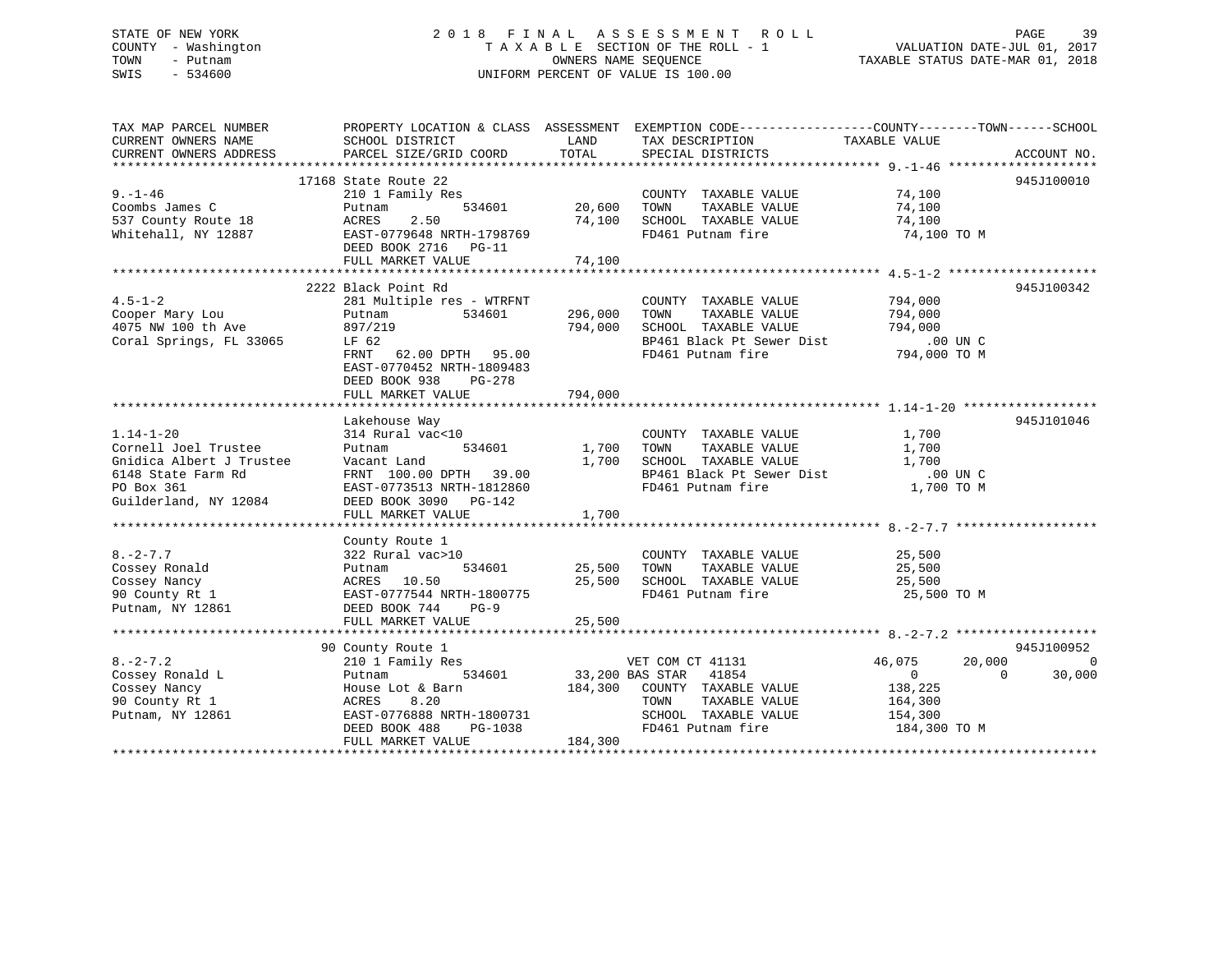### STATE OF NEW YORK 2 0 1 8 F I N A L A S S E S S M E N T R O L L PAGE 39 COUNTY - Washington T A X A B L E SECTION OF THE ROLL - 1 VALUATION DATE-JUL 01, 2017 TOWN - Putnam OWNERS NAME SEQUENCE TAXABLE STATUS DATE-MAR 01, 2018 SWIS - 534600 UNIFORM PERCENT OF VALUE IS 100.00

| TAX MAP PARCEL NUMBER<br>CURRENT OWNERS NAME<br>CURRENT OWNERS ADDRESS                                                           | SCHOOL DISTRICT<br>PARCEL SIZE/GRID COORD                                                                                                                                                                                                                                              | LAND<br>TOTAL                  | PROPERTY LOCATION & CLASS ASSESSMENT EXEMPTION CODE----------------COUNTY-------TOWN------SCHOOL<br>TAX DESCRIPTION TAXABLE VALUE<br>SERCIAL DISTRICTS<br>SPECIAL DISTRICTS |                                                                               | ACCOUNT NO.                    |
|----------------------------------------------------------------------------------------------------------------------------------|----------------------------------------------------------------------------------------------------------------------------------------------------------------------------------------------------------------------------------------------------------------------------------------|--------------------------------|-----------------------------------------------------------------------------------------------------------------------------------------------------------------------------|-------------------------------------------------------------------------------|--------------------------------|
| $9. - 1 - 46$<br>Coombs James C<br>537 County Route 18<br>Whitehall, NY 12887                                                    | 17168 State Route 22<br>210 1 Family Res<br>534601<br>Putnam<br>2.50<br>ACRES<br>EAST-0779648 NRTH-1798769<br>DEED BOOK 2716 PG-11                                                                                                                                                     | 20,600<br>74,100               | COUNTY TAXABLE VALUE<br>TAXABLE VALUE<br>TOWN<br>SCHOOL TAXABLE VALUE<br>FD461 Putnam fire                                                                                  | 74,100<br>74,100<br>74,100<br>74,100 TO M                                     | 945J100010                     |
|                                                                                                                                  |                                                                                                                                                                                                                                                                                        |                                |                                                                                                                                                                             |                                                                               |                                |
| $4.5 - 1 - 2$<br>Cooper Mary Lou<br>4075 NW 100 th Ave<br>4075 NW 100 th Ave<br>Coral Springs, FL 33065                          | 2222 Black Point Rd<br>281 Multiple res - WTRFNT<br>Putnam<br>534601<br>897/219<br>LF 62<br>FRNT 62.00 DPTH 95.00<br>EAST-0770452 NRTH-1809483<br>DEED BOOK 938<br>PG-278<br>FULL MARKET VALUE                                                                                         | 296,000<br>794,000<br>794,000  | COUNTY TAXABLE VALUE<br>TOWN<br>TAXABLE VALUE<br>SCHOOL TAXABLE VALUE<br>$BP461$ Black Pt Sewer Dist<br>FD461 Putnam fire                                                   | 794,000<br>794,000<br>794,000<br>00 UN C.<br>794,000 TO M                     | 945J100342                     |
|                                                                                                                                  |                                                                                                                                                                                                                                                                                        |                                |                                                                                                                                                                             |                                                                               | 945J101046                     |
| $1.14 - 1 - 20$<br>Cornell Joel Trustee<br>Gnidica Albert J Trustee<br>6148 State Farm Rd<br>PO Box 361<br>Guilderland, NY 12084 | Lakehouse Way<br>$314$ Rural vac<10<br>Putnem<br>Putnam<br>Vacant Land<br>$\begin{array}{cc}\n & \cdots \\ \text{FRNT} & 100.00 \text{ DPTH} & 39.00 \\ \text{FACT-0777750} & \cdots & \cdots\n\end{array}$<br>EAST-0773513 NRTH-1812860<br>DEED BOOK 3090 PG-142<br>FULL MARKET VALUE | 534601 1,700<br>1,700<br>1,700 | COUNTY TAXABLE VALUE<br>TAXABLE VALUE<br>TOWN<br>SCHOOL TAXABLE VALUE<br>SCHOOL TAXABLE VALUE<br>BP461 Black Pt Sewer Dist<br>FD461 Putnam fire                             | 1,700<br>1,700<br>1,700<br>.00 UN C<br>1,700 TO M                             |                                |
|                                                                                                                                  |                                                                                                                                                                                                                                                                                        |                                |                                                                                                                                                                             |                                                                               |                                |
| $8. -2 - 7.7$<br>Cossey Ronald<br>Cossey Nancy<br>90 County Rt 1<br>Putnam, NY 12861                                             | $322 \text{ Rural vac} \xrightarrow{1}$<br>Putnam<br>ACRES 10.50<br>EAST-0777544 NRTH-1800775<br>DEED BOOK 744<br>$PG-9$                                                                                                                                                               | 534601 25,500<br>25,500        | COUNTY TAXABLE VALUE<br>TOWN<br>TAXABLE VALUE<br>SCHOOL TAXABLE VALUE<br>FD461 Putnam fire                                                                                  | 25,500<br>25,500<br>25,500<br>25,500 TO M                                     |                                |
|                                                                                                                                  | 90 County Route 1                                                                                                                                                                                                                                                                      |                                |                                                                                                                                                                             |                                                                               | 945J100952                     |
| $8. -2 - 7.2$<br>Cossey Ronald L<br>Cossey Nancy<br>90 County Rt 1<br>Putnam, NY 12861                                           | 210 1 Family Res<br>534601<br>Putnam<br>House Lot & Barn<br>8.20<br>ACRES<br>EAST-0776888 NRTH-1800731<br>DEED BOOK 488<br>PG-1038<br>FULL MARKET VALUE                                                                                                                                | 184,300<br>184,300             | VET COM CT 41131<br>33,200 BAS STAR 41854<br>COUNTY TAXABLE VALUE<br>TOWN<br>TAXABLE VALUE<br>SCHOOL TAXABLE VALUE<br>FD461 Putnam fire                                     | 46,075<br>20,000<br>$\Omega$<br>138,225<br>164,300<br>154,300<br>184,300 TO M | $\Omega$<br>$\Omega$<br>30,000 |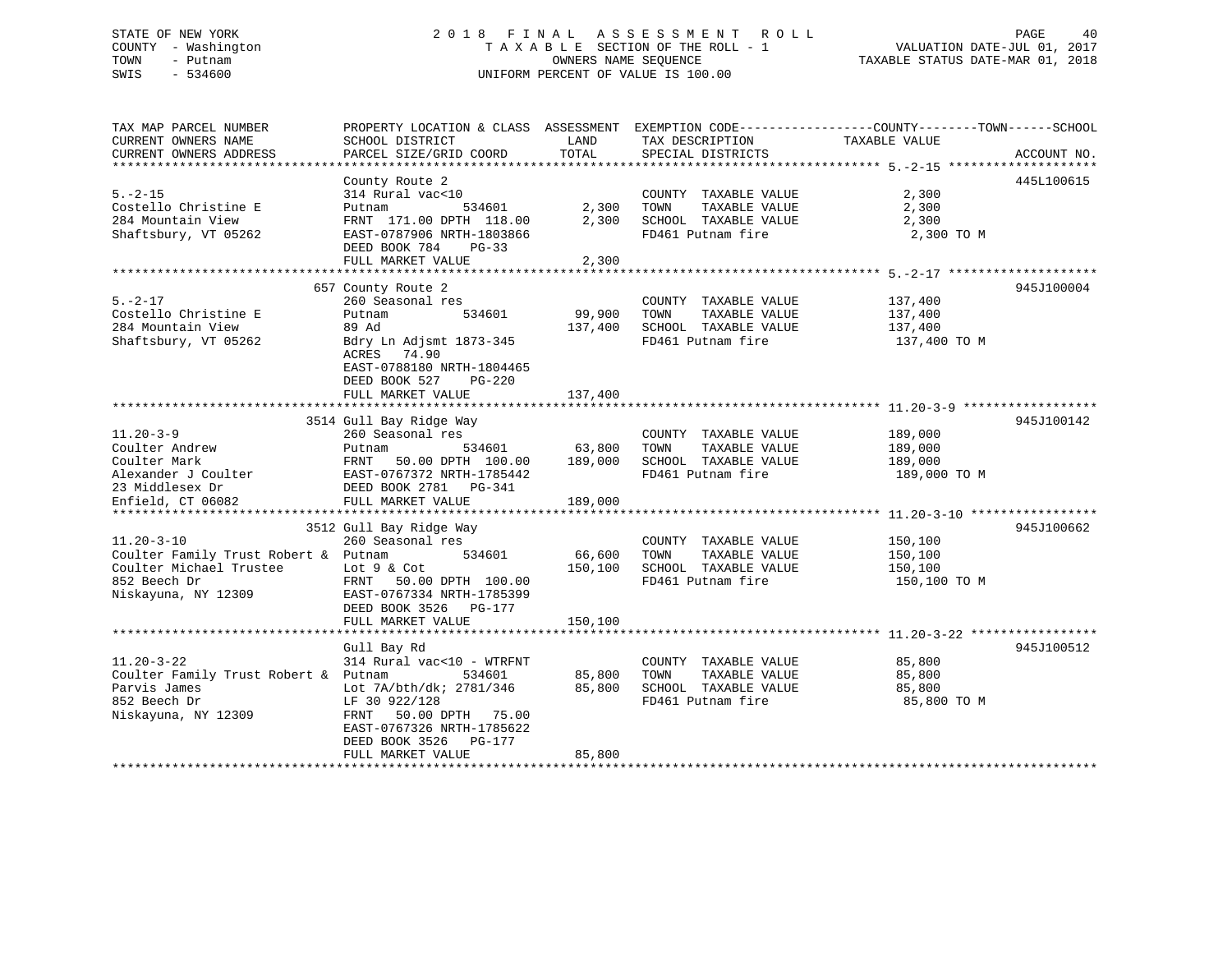### STATE OF NEW YORK 2 0 1 8 F I N A L A S S E S S M E N T R O L L PAGE 40 COUNTY - Washington T A X A B L E SECTION OF THE ROLL - 1 VALUATION DATE-JUL 01, 2017 TOWN - Putnam OWNERS NAME SEQUENCE TAXABLE STATUS DATE-MAR 01, 2018 SWIS - 534600 UNIFORM PERCENT OF VALUE IS 100.00

| TAX MAP PARCEL NUMBER                       | PROPERTY LOCATION & CLASS ASSESSMENT EXEMPTION CODE----------------COUNTY-------TOWN-----SCHOOL |               |                                      |               |             |
|---------------------------------------------|-------------------------------------------------------------------------------------------------|---------------|--------------------------------------|---------------|-------------|
| CURRENT OWNERS NAME                         | SCHOOL DISTRICT                                                                                 | LAND          | TAX DESCRIPTION                      | TAXABLE VALUE |             |
| CURRENT OWNERS ADDRESS                      | PARCEL SIZE/GRID COORD                                                                          | TOTAL         | SPECIAL DISTRICTS                    |               | ACCOUNT NO. |
|                                             | County Route 2                                                                                  |               |                                      |               | 445L100615  |
| $5. -2 - 15$                                | 314 Rural vac<10                                                                                |               | COUNTY TAXABLE VALUE                 | 2,300         |             |
| Costello Christine E                        | 534601<br>Putnam                                                                                | 2,300 TOWN    | TAXABLE VALUE                        | 2,300         |             |
| 284 Mountain View                           | FRNT 171.00 DPTH 118.00                                                                         |               | 2,300 SCHOOL TAXABLE VALUE           | 2,300         |             |
| Shaftsbury, VT 05262                        | EAST-0787906 NRTH-1803866                                                                       |               | FD461 Putnam fire                    | 2,300 TO M    |             |
|                                             | DEED BOOK 784 PG-33                                                                             |               |                                      |               |             |
|                                             | FULL MARKET VALUE                                                                               | 2,300         |                                      |               |             |
|                                             |                                                                                                 |               |                                      |               |             |
|                                             | 657 County Route 2                                                                              |               |                                      |               | 945J100004  |
| $5. -2 - 17$                                | 260 Seasonal res                                                                                |               | COUNTY TAXABLE VALUE                 | 137,400       |             |
| Costello Christine E                        | 534601<br>Putnam                                                                                | 99,900 TOWN   | TAXABLE VALUE                        | 137,400       |             |
| 284 Mountain View                           | 89 Ad                                                                                           |               | 137,400 SCHOOL TAXABLE VALUE         | 137,400       |             |
| Shaftsbury, VT 05262                        | Bdry Ln Adjsmt 1873-345                                                                         |               | FD461 Putnam fire                    | 137,400 TO M  |             |
|                                             | ACRES 74.90<br>EAST-0788180 NRTH-1804465                                                        |               |                                      |               |             |
|                                             | DEED BOOK 527 PG-220                                                                            |               |                                      |               |             |
|                                             | FULL MARKET VALUE                                                                               | 137,400       |                                      |               |             |
|                                             |                                                                                                 |               |                                      |               |             |
|                                             | 3514 Gull Bay Ridge Way                                                                         |               |                                      |               | 945J100142  |
| $11.20 - 3 - 9$                             | 260 Seasonal res                                                                                |               | COUNTY TAXABLE VALUE                 | 189,000       |             |
| Coulter Andrew                              |                                                                                                 | $63,800$ TOWN | TAXABLE VALUE                        | 189,000       |             |
| Coulter Mark                                |                                                                                                 |               | SCHOOL TAXABLE VALUE                 | 189,000       |             |
| Alexander J Coulter                         |                                                                                                 |               | FD461 Putnam fire                    | 189,000 TO M  |             |
| 23 Middlesex Dr                             | DEED BOOK 2781 PG-341                                                                           |               |                                      |               |             |
| Enfield, CT 06082                           | FULL MARKET VALUE                                                                               | 189,000       |                                      |               |             |
|                                             |                                                                                                 |               |                                      |               |             |
|                                             | 3512 Gull Bay Ridge Way                                                                         |               |                                      |               | 945J100662  |
| $11.20 - 3 - 10$                            | 260 Seasonal res                                                                                |               | COUNTY TAXABLE VALUE 150,100         |               |             |
| Coulter Family Trust Robert & Putnam        | 534601                                                                                          | 66,600 TOWN   | TAXABLE VALUE                        | 150,100       |             |
| Coulter Michael Trustee                     | Lot 9 & Cot                                                                                     |               | 150,100 SCHOOL TAXABLE VALUE 150,100 |               |             |
| 852 Beech Dr                                | FRNT 50.00 DPTH 100.00                                                                          |               | FD461 Putnam fire                    | 150,100 TO M  |             |
| Niskayuna, NY 12309                         | EAST-0767334 NRTH-1785399<br>DEED BOOK 3526 PG-177                                              |               |                                      |               |             |
|                                             | FULL MARKET VALUE                                                                               | 150,100       |                                      |               |             |
|                                             |                                                                                                 |               |                                      |               |             |
|                                             | Gull Bay Rd                                                                                     |               |                                      |               | 945J100512  |
| $11.20 - 3 - 22$                            | 314 Rural vac<10 - WTRFNT                                                                       |               | COUNTY TAXABLE VALUE                 | 85,800        |             |
| Coulter Family Trust Robert & Putnam 534601 |                                                                                                 |               | 85,800 TOWN<br>TAXABLE VALUE         | 85,800        |             |
| Parvis James                                | Lot 7A/bth/dk; 2781/346 85,800                                                                  |               | SCHOOL TAXABLE VALUE                 | 85,800        |             |
| 852 Beech Dr                                | LF 30 922/128                                                                                   |               | FD461 Putnam fire                    | 85,800 TO M   |             |
| Niskayuna, NY 12309                         | FRNT 50.00 DPTH 75.00                                                                           |               |                                      |               |             |
|                                             | EAST-0767326 NRTH-1785622                                                                       |               |                                      |               |             |
|                                             | DEED BOOK 3526 PG-177                                                                           |               |                                      |               |             |
|                                             | FULL MARKET VALUE                                                                               | 85,800        |                                      |               |             |
|                                             |                                                                                                 |               |                                      |               |             |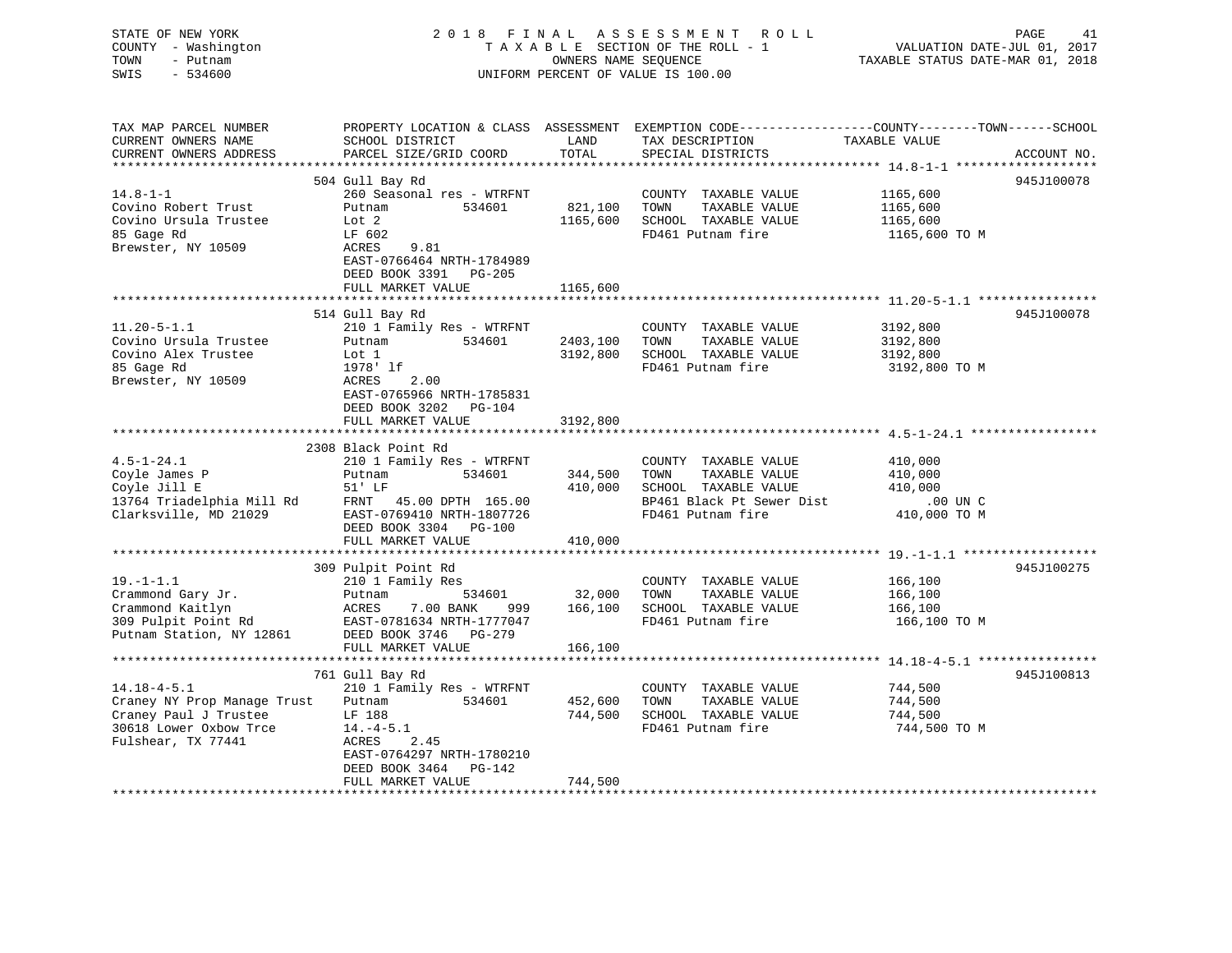| STATE OF NEW YORK<br>COUNTY - Washington<br>TOWN<br>- Putnam<br>SWIS<br>$-534600$ |                                                                     |                    | 2018 FINAL ASSESSMENT<br>R O L L<br>TAXABLE SECTION OF THE ROLL - 1<br>OWNERS NAME SEQUENCE<br>UNIFORM PERCENT OF VALUE IS 100.00 | PAGE<br>41<br>VALUATION DATE-JUL 01, 2017<br>TAXABLE STATUS DATE-MAR 01, 2018                                   |
|-----------------------------------------------------------------------------------|---------------------------------------------------------------------|--------------------|-----------------------------------------------------------------------------------------------------------------------------------|-----------------------------------------------------------------------------------------------------------------|
| TAX MAP PARCEL NUMBER<br>CURRENT OWNERS NAME<br>CURRENT OWNERS ADDRESS            | SCHOOL DISTRICT<br>PARCEL SIZE/GRID COORD                           | LAND<br>TOTAL      | TAX DESCRIPTION TAXABLE VALUE<br>SPECIAL DISTRICTS                                                                                | PROPERTY LOCATION & CLASS ASSESSMENT EXEMPTION CODE----------------COUNTY-------TOWN------SCHOOL<br>ACCOUNT NO. |
|                                                                                   | 504 Gull Bay Rd                                                     |                    |                                                                                                                                   | 945J100078                                                                                                      |
| $14.8 - 1 - 1$                                                                    | 260 Seasonal res - WTRFNT                                           |                    | COUNTY TAXABLE VALUE                                                                                                              | 1165,600                                                                                                        |
| Covino Robert Trust                                                               | Putnam<br>534601                                                    | 821,100            | TOWN<br>TAXABLE VALUE                                                                                                             | 1165,600                                                                                                        |
| Covino Ursula Trustee                                                             | Lot 2                                                               | 1165,600           | SCHOOL TAXABLE VALUE                                                                                                              | 1165,600                                                                                                        |
| 85 Gage Rd                                                                        | LF 602<br>ACRES                                                     |                    | FD461 Putnam fire                                                                                                                 | 1165,600 TO M                                                                                                   |
| Brewster, NY 10509                                                                | 9.81<br>EAST-0766464 NRTH-1784989<br>DEED BOOK 3391 PG-205          |                    |                                                                                                                                   |                                                                                                                 |
|                                                                                   | FULL MARKET VALUE<br>************************                       | 1165,600           |                                                                                                                                   |                                                                                                                 |
|                                                                                   | 514 Gull Bay Rd                                                     |                    |                                                                                                                                   | 945J100078                                                                                                      |
| $11.20 - 5 - 1.1$                                                                 | 210 1 Family Res - WTRFNT                                           |                    | COUNTY TAXABLE VALUE                                                                                                              | 3192,800                                                                                                        |
| Covino Ursula Trustee                                                             | Putnam 534601                                                       | 2403,100           | TOWN<br>TAXABLE VALUE                                                                                                             | 3192,800                                                                                                        |
| Covino Alex Trustee                                                               | Lot 1                                                               | 3192,800           | SCHOOL TAXABLE VALUE                                                                                                              | 3192,800                                                                                                        |
| 85 Gage Rd                                                                        | 1978' lf                                                            |                    | FD461 Putnam fire                                                                                                                 | 3192,800 TO M                                                                                                   |
| Brewster, NY 10509                                                                | ACRES<br>2.00<br>EAST-0765966 NRTH-1785831<br>DEED BOOK 3202 PG-104 |                    |                                                                                                                                   |                                                                                                                 |
|                                                                                   | FULL MARKET VALUE                                                   | 3192,800           |                                                                                                                                   |                                                                                                                 |
|                                                                                   |                                                                     |                    |                                                                                                                                   | *********************************** 4.5-1-24.1 **************                                                   |
|                                                                                   | 2308 Black Point Rd                                                 |                    |                                                                                                                                   |                                                                                                                 |
| $4.5 - 1 - 24.1$                                                                  | 210 1 Family Res - WTRFNT                                           |                    | COUNTY TAXABLE VALUE                                                                                                              | 410,000                                                                                                         |
| Coyle James P<br>Coyle Jill E                                                     | 534601<br>Putnam<br>51' LF                                          | 344,500<br>410,000 | TOWN<br>TAXABLE VALUE<br>SCHOOL TAXABLE VALUE                                                                                     | 410,000<br>410,000                                                                                              |
| 13764 Triadelphia Mill Rd                                                         | FRNT 45.00 DPTH 165.00                                              |                    | BP461 Black Pt Sewer Dist                                                                                                         | $.00$ UN C                                                                                                      |
| Clarksville, MD 21029                                                             | EAST-0769410 NRTH-1807726                                           |                    | FD461 Putnam fire                                                                                                                 | 410,000 TO M                                                                                                    |
|                                                                                   | DEED BOOK 3304 PG-100                                               |                    |                                                                                                                                   |                                                                                                                 |
|                                                                                   | FULL MARKET VALUE                                                   | 410,000            |                                                                                                                                   |                                                                                                                 |
|                                                                                   |                                                                     |                    |                                                                                                                                   |                                                                                                                 |
| $19. - 1 - 1.1$                                                                   | 309 Pulpit Point Rd                                                 |                    |                                                                                                                                   | 945J100275                                                                                                      |
| Crammond Gary Jr.                                                                 | 210 1 Family Res<br>534601<br>Putnam                                | 32,000             | COUNTY TAXABLE VALUE<br>TOWN<br>TAXABLE VALUE                                                                                     | 166,100<br>166,100                                                                                              |
| Crammond Kaitlyn                                                                  | 7.00 BANK<br>ACRES<br>999                                           | 166,100            | SCHOOL TAXABLE VALUE                                                                                                              | 166,100                                                                                                         |
| 309 Pulpit Point Rd                                                               | EAST-0781634 NRTH-1777047                                           |                    | FD461 Putnam fire                                                                                                                 | 166,100 TO M                                                                                                    |
| Putnam Station, NY 12861                                                          | DEED BOOK 3746 PG-279                                               |                    |                                                                                                                                   |                                                                                                                 |
|                                                                                   | FULL MARKET VALUE                                                   | 166,100            |                                                                                                                                   |                                                                                                                 |
|                                                                                   |                                                                     |                    |                                                                                                                                   |                                                                                                                 |
| $14.18 - 4 - 5.1$                                                                 | 761 Gull Bay Rd<br>210 1 Family Res - WTRFNT                        |                    | COUNTY TAXABLE VALUE                                                                                                              | 945J100813<br>744,500                                                                                           |
| Craney NY Prop Manage Trust                                                       | Putnam 534601                                                       | 452,600            | TOWN<br>TAXABLE VALUE                                                                                                             | 744,500                                                                                                         |
| Craney Paul J Trustee                                                             | LF 188                                                              | 744,500            | SCHOOL TAXABLE VALUE                                                                                                              | 744,500                                                                                                         |
| 30618 Lower Oxbow Trce                                                            | $14.-4-5.1$                                                         |                    | FD461 Putnam fire                                                                                                                 | 744,500 TO M                                                                                                    |
| Fulshear, TX 77441                                                                | ACRES<br>2.45                                                       |                    |                                                                                                                                   |                                                                                                                 |
|                                                                                   | EAST-0764297 NRTH-1780210                                           |                    |                                                                                                                                   |                                                                                                                 |
|                                                                                   | DEED BOOK 3464 PG-142                                               |                    |                                                                                                                                   |                                                                                                                 |
|                                                                                   | FULL MARKET VALUE                                                   | 744,500            |                                                                                                                                   |                                                                                                                 |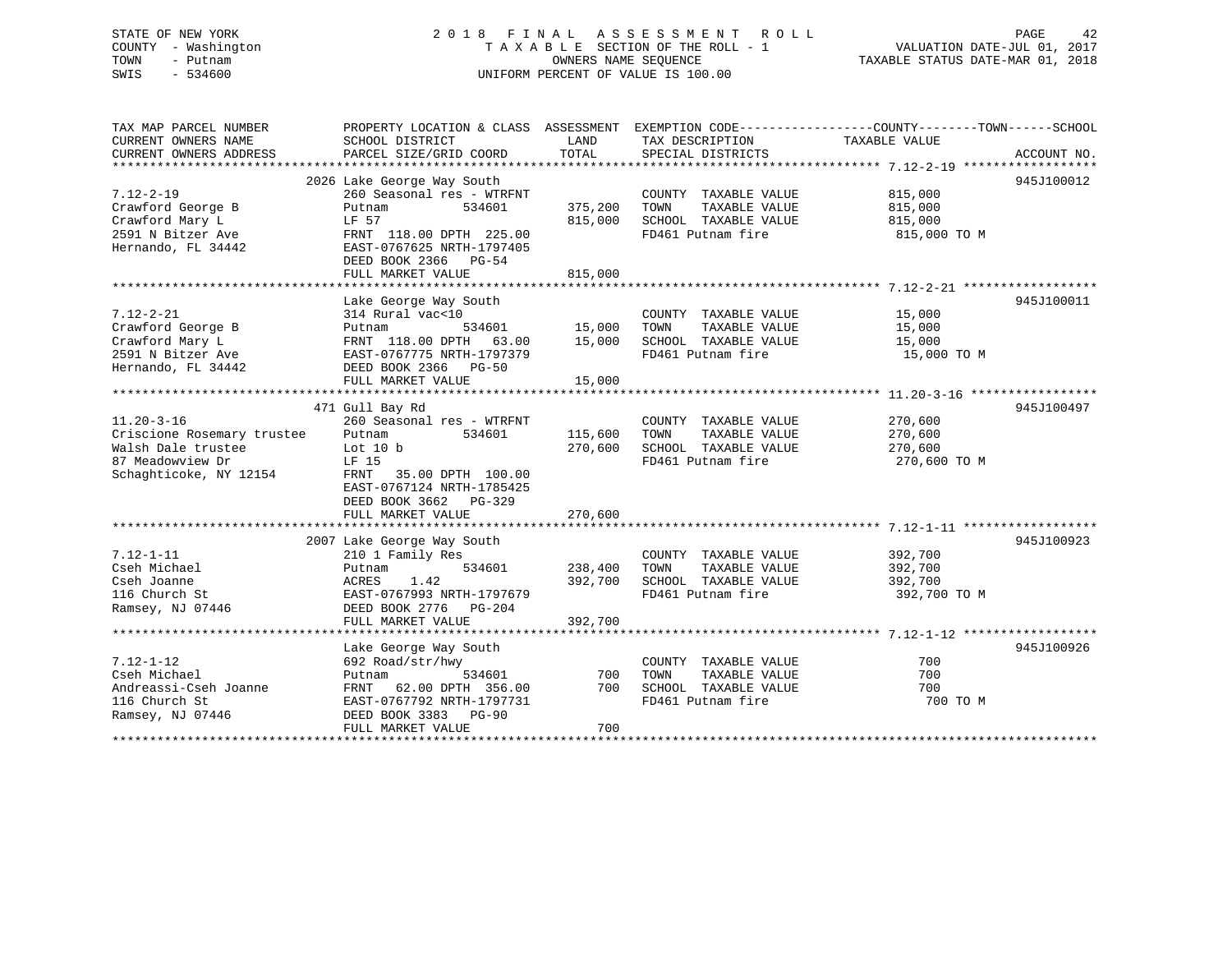#### STATE OF NEW YORK 2 0 1 8 F I N A L A S S E S S M E N T R O L L PAGE 42COUNTY - Washington T A X A B L E SECTION OF THE ROLL - 1 TOWN - Putnam **CONNERS NAME SEQUENCE** TAXABLE STATUS DATE-MAR 01, 2018 SWIS - 534600 UNIFORM PERCENT OF VALUE IS 100.00

VALUATION DATE-JUL 01, 2017

| TAX MAP PARCEL NUMBER                       | PROPERTY LOCATION & CLASS ASSESSMENT EXEMPTION CODE---------------COUNTY-------TOWN------SCHOOL |         |                             |               |             |
|---------------------------------------------|-------------------------------------------------------------------------------------------------|---------|-----------------------------|---------------|-------------|
| CURRENT OWNERS NAME                         | SCHOOL DISTRICT                                                                                 | LAND    | TAX DESCRIPTION             | TAXABLE VALUE |             |
| CURRENT OWNERS ADDRESS                      | PARCEL SIZE/GRID COORD                                                                          | TOTAL   | SPECIAL DISTRICTS           |               | ACCOUNT NO. |
|                                             |                                                                                                 |         |                             |               |             |
|                                             | 2026 Lake George Way South                                                                      |         |                             |               | 945J100012  |
| $7.12 - 2 - 19$                             | 260 Seasonal res - WTRFNT                                                                       |         | COUNTY TAXABLE VALUE        | 815,000       |             |
| Crawford George B                           | Putnam<br>534601                                                                                | 375,200 | TAXABLE VALUE<br>TOWN       | 815,000       |             |
| Crawford Mary L                             | LF 57                                                                                           | 815,000 | SCHOOL TAXABLE VALUE        | 815,000       |             |
| 2591 N Bitzer Ave                           | FRNT 118.00 DPTH 225.00                                                                         |         | FD461 Putnam fire           | 815,000 TO M  |             |
| Hernando, FL 34442                          | EAST-0767625 NRTH-1797405                                                                       |         |                             |               |             |
|                                             | DEED BOOK 2366 PG-54                                                                            |         |                             |               |             |
|                                             | FULL MARKET VALUE                                                                               | 815,000 |                             |               |             |
|                                             |                                                                                                 |         |                             |               |             |
|                                             | Lake George Way South                                                                           |         |                             |               | 945J100011  |
| $7.12 - 2 - 21$                             | 314 Rural vac<10                                                                                |         | COUNTY TAXABLE VALUE 15,000 |               |             |
| Crawford George B                           |                                                                                                 |         | TOWN<br>TAXABLE VALUE       | 15,000        |             |
| Crawford Mary L                             | Putnam 534601 15,000<br>FRNT 118.00 DPTH 63.00 15,000                                           |         | SCHOOL TAXABLE VALUE        | 15,000        |             |
| 2591 N Bitzer Ave BAST-0767775 NRTH-1797379 |                                                                                                 |         | FD461 Putnam fire           | 15,000 TO M   |             |
| Hernando, FL 34442                          | DEED BOOK 2366 PG-50                                                                            |         |                             |               |             |
|                                             | FULL MARKET VALUE                                                                               | 15,000  |                             |               |             |
|                                             |                                                                                                 |         |                             |               |             |
|                                             | 471 Gull Bay Rd                                                                                 |         |                             |               | 945J100497  |
| $11.20 - 3 - 16$                            | 260 Seasonal res - WTRFNT                                                                       |         | COUNTY TAXABLE VALUE        | 270,600       |             |
| Criscione Rosemary trustee Putnam           | 534601                                                                                          | 115,600 | TOWN<br>TAXABLE VALUE       | 270,600       |             |
| Walsh Dale trustee Lot 10 b                 |                                                                                                 | 270,600 | SCHOOL TAXABLE VALUE        | 270,600       |             |
| 87 Meadowview Dr                            | LF 15                                                                                           |         | FD461 Putnam fire           | 270,600 ТО М  |             |
| o/ meadowview Dr<br>Schaghticoke, NY 12154  | FRNT 35.00 DPTH 100.00                                                                          |         |                             |               |             |
|                                             | EAST-0767124 NRTH-1785425                                                                       |         |                             |               |             |
|                                             | DEED BOOK 3662 PG-329                                                                           |         |                             |               |             |
|                                             | FULL MARKET VALUE                                                                               | 270,600 |                             |               |             |
|                                             |                                                                                                 |         |                             |               |             |
|                                             | 2007 Lake George Way South                                                                      |         |                             |               | 945J100923  |
| $7.12 - 1 - 11$                             | 210 1 Family Res                                                                                |         | COUNTY TAXABLE VALUE        | 392,700       |             |
| Cseh Michael                                | 534601<br>Putnam                                                                                | 238,400 | TOWN<br>TAXABLE VALUE       | 392,700       |             |
| Cseh Joanne                                 | ACRES<br>1.42                                                                                   | 392,700 | SCHOOL TAXABLE VALUE        | 392,700       |             |
| 116 Church St                               | EAST-0767993 NRTH-1797679                                                                       |         | FD461 Putnam fire           | 392,700 TO M  |             |
| Ramsey, NJ 07446                            | DEED BOOK 2776 PG-204                                                                           |         |                             |               |             |
|                                             | FULL MARKET VALUE                                                                               | 392,700 |                             |               |             |
|                                             |                                                                                                 |         |                             |               |             |
|                                             | Lake George Way South                                                                           |         |                             |               | 945J100926  |
| $7.12 - 1 - 12$                             | 692 Road/str/hwy                                                                                |         | COUNTY TAXABLE VALUE        | 700           |             |
| Cseh Michael                                | 534601<br>Putnam                                                                                | 700     | TAXABLE VALUE<br>TOWN       | 700           |             |
| Andreassi-Cseh Joanne                       | FRNT 62.00 DPTH 356.00                                                                          | 700     | SCHOOL TAXABLE VALUE        | 700           |             |
| 116 Church St                               | EAST-0767792 NRTH-1797731                                                                       |         | FD461 Putnam fire           | 700 TO M      |             |
| Ramsey, NJ 07446                            | DEED BOOK 3383 PG-90                                                                            |         |                             |               |             |
|                                             | FULL MARKET VALUE                                                                               | 700     |                             |               |             |
|                                             |                                                                                                 |         |                             |               |             |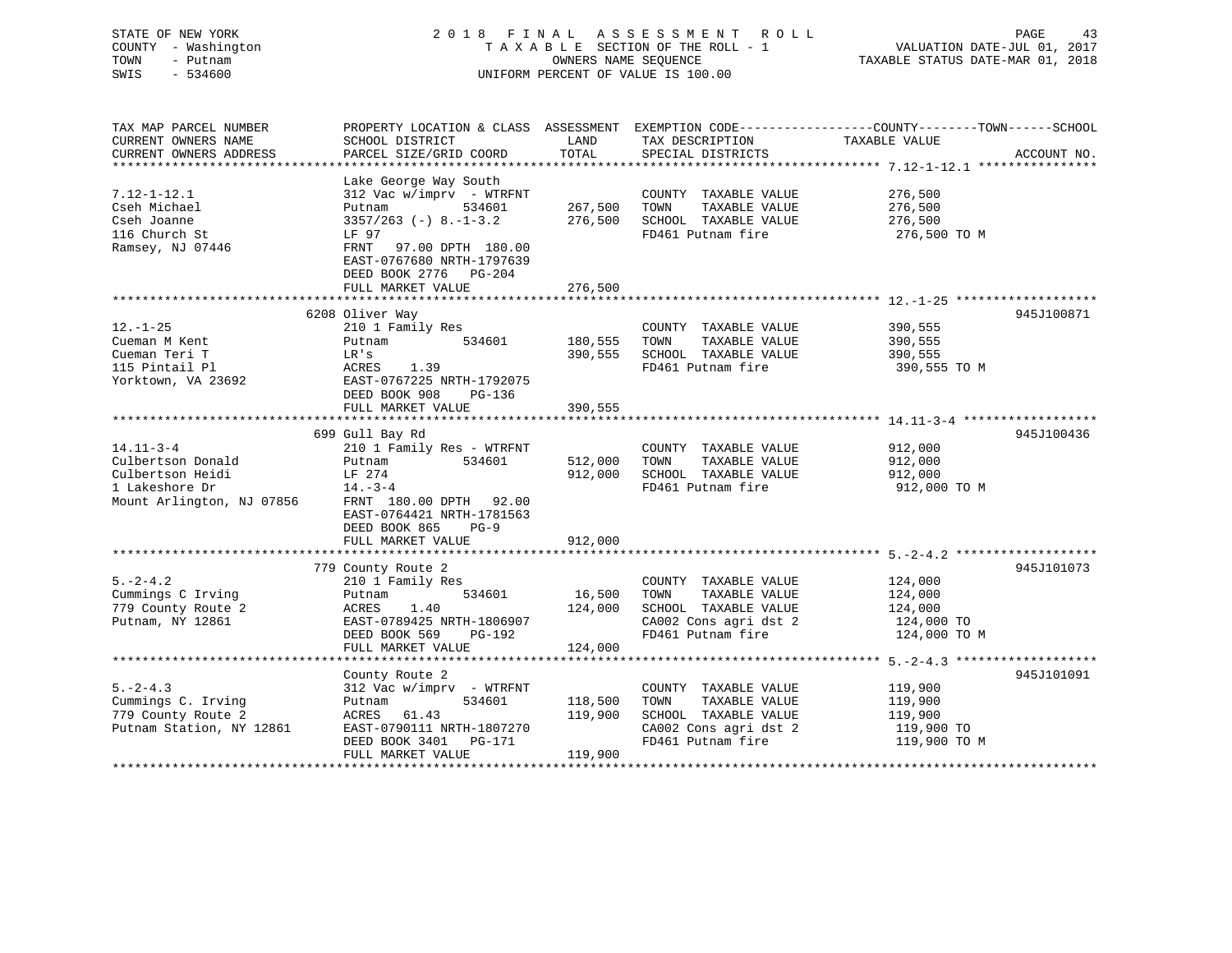### STATE OF NEW YORK 2 0 1 8 F I N A L A S S E S S M E N T R O L L PAGE 43 COUNTY - Washington T A X A B L E SECTION OF THE ROLL - 1 VALUATION DATE-JUL 01, 2017 TOWN - Putnam OWNERS NAME SEQUENCE TAXABLE STATUS DATE-MAR 01, 2018 SWIS - 534600 UNIFORM PERCENT OF VALUE IS 100.00

| TAX MAP PARCEL NUMBER<br>CURRENT OWNERS NAME | SCHOOL DISTRICT                                                                                      | LAND    | TAX DESCRIPTION       | PROPERTY LOCATION & CLASS ASSESSMENT EXEMPTION CODE----------------COUNTY-------TOWN------SCHOOL<br>TAXABLE VALUE |
|----------------------------------------------|------------------------------------------------------------------------------------------------------|---------|-----------------------|-------------------------------------------------------------------------------------------------------------------|
| CURRENT OWNERS ADDRESS                       | PARCEL SIZE/GRID COORD                                                                               | TOTAL   | SPECIAL DISTRICTS     | ACCOUNT NO.                                                                                                       |
|                                              | Lake George Way South                                                                                |         |                       |                                                                                                                   |
| $7.12 - 1 - 12.1$                            | 312 Vac w/imprv - WTRFNT                                                                             |         | COUNTY TAXABLE VALUE  | 276,500                                                                                                           |
| Cseh Michael                                 | 534601<br>Putnam                                                                                     | 267,500 | TOWN<br>TAXABLE VALUE | 276,500                                                                                                           |
| Cseh Joanne                                  | $3357/263$ (-) 8.-1-3.2                                                                              | 276,500 | SCHOOL TAXABLE VALUE  | 276,500                                                                                                           |
| 116 Church St                                | LF 97                                                                                                |         | FD461 Putnam fire     | 276,500 TO M                                                                                                      |
| Ramsey, NJ 07446                             | 97.00 DPTH 180.00<br>FRNT<br>EAST-0767680 NRTH-1797639<br>DEED BOOK 2776 PG-204<br>FULL MARKET VALUE | 276,500 |                       |                                                                                                                   |
|                                              |                                                                                                      |         |                       |                                                                                                                   |
|                                              | 6208 Oliver Way                                                                                      |         |                       | 945J100871                                                                                                        |
| $12. - 1 - 25$                               | 210 1 Family Res                                                                                     |         | COUNTY TAXABLE VALUE  | 390,555                                                                                                           |
| Cueman M Kent                                | 534601<br>Putnam                                                                                     | 180,555 | TAXABLE VALUE<br>TOWN | 390,555                                                                                                           |
| Cueman Teri T                                | LR's                                                                                                 | 390,555 | SCHOOL TAXABLE VALUE  | 390,555                                                                                                           |
| 115 Pintail Pl                               | 1.39<br>ACRES                                                                                        |         | FD461 Putnam fire     | 390,555 TO M                                                                                                      |
| Yorktown, VA 23692                           | EAST-0767225 NRTH-1792075                                                                            |         |                       |                                                                                                                   |
|                                              | DEED BOOK 908<br>PG-136                                                                              |         |                       |                                                                                                                   |
|                                              | FULL MARKET VALUE                                                                                    | 390,555 |                       |                                                                                                                   |
|                                              | 699 Gull Bay Rd                                                                                      |         |                       | 945J100436                                                                                                        |
| $14.11 - 3 - 4$                              | 210 1 Family Res - WTRFNT                                                                            |         | COUNTY TAXABLE VALUE  | 912,000                                                                                                           |
| Culbertson Donald                            | 534601<br>Putnam                                                                                     | 512,000 | TOWN<br>TAXABLE VALUE | 912,000                                                                                                           |
| Culbertson Heidi                             | LF 274                                                                                               | 912,000 | SCHOOL TAXABLE VALUE  | 912,000                                                                                                           |
| 1 Lakeshore Dr                               | $14. -3 - 4$                                                                                         |         | FD461 Putnam fire     | 912,000 TO M                                                                                                      |
| Mount Arlington, NJ 07856                    | FRNT 180.00 DPTH 92.00                                                                               |         |                       |                                                                                                                   |
|                                              | EAST-0764421 NRTH-1781563                                                                            |         |                       |                                                                                                                   |
|                                              | DEED BOOK 865<br>$PG-9$                                                                              |         |                       |                                                                                                                   |
|                                              | FULL MARKET VALUE                                                                                    | 912,000 |                       |                                                                                                                   |
|                                              |                                                                                                      |         |                       |                                                                                                                   |
| $5. -2 - 4.2$                                | 779 County Route 2                                                                                   |         | COUNTY TAXABLE VALUE  | 945J101073<br>124,000                                                                                             |
| Cummings C Irving                            | 210 1 Family Res<br>534601<br>Putnam                                                                 | 16,500  | TOWN<br>TAXABLE VALUE | 124,000                                                                                                           |
| 779 County Route 2                           | 1.40<br>ACRES                                                                                        | 124,000 | SCHOOL TAXABLE VALUE  | 124,000                                                                                                           |
| Putnam, NY 12861                             | EAST-0789425 NRTH-1806907                                                                            |         | CA002 Cons agri dst 2 | 124,000 TO                                                                                                        |
|                                              | DEED BOOK 569<br>PG-192                                                                              |         | FD461 Putnam fire     | 124,000 TO M                                                                                                      |
|                                              | FULL MARKET VALUE                                                                                    | 124,000 |                       |                                                                                                                   |
|                                              |                                                                                                      |         |                       |                                                                                                                   |
|                                              | County Route 2                                                                                       |         |                       | 945J101091                                                                                                        |
| $5. -2 - 4.3$                                | 312 Vac w/imprv - WTRFNT                                                                             |         | COUNTY TAXABLE VALUE  | 119,900                                                                                                           |
| Cummings C. Irving                           | 534601<br>Putnam                                                                                     | 118,500 | TOWN<br>TAXABLE VALUE | 119,900                                                                                                           |
| 779 County Route 2                           | 61.43<br>ACRES                                                                                       | 119,900 | SCHOOL TAXABLE VALUE  | 119,900                                                                                                           |
| Putnam Station, NY 12861                     | EAST-0790111 NRTH-1807270                                                                            |         | CA002 Cons agri dst 2 | 119,900 TO                                                                                                        |
|                                              | DEED BOOK 3401<br>PG-171                                                                             |         | FD461 Putnam fire     | 119,900 TO M                                                                                                      |
|                                              | FULL MARKET VALUE                                                                                    | 119,900 |                       |                                                                                                                   |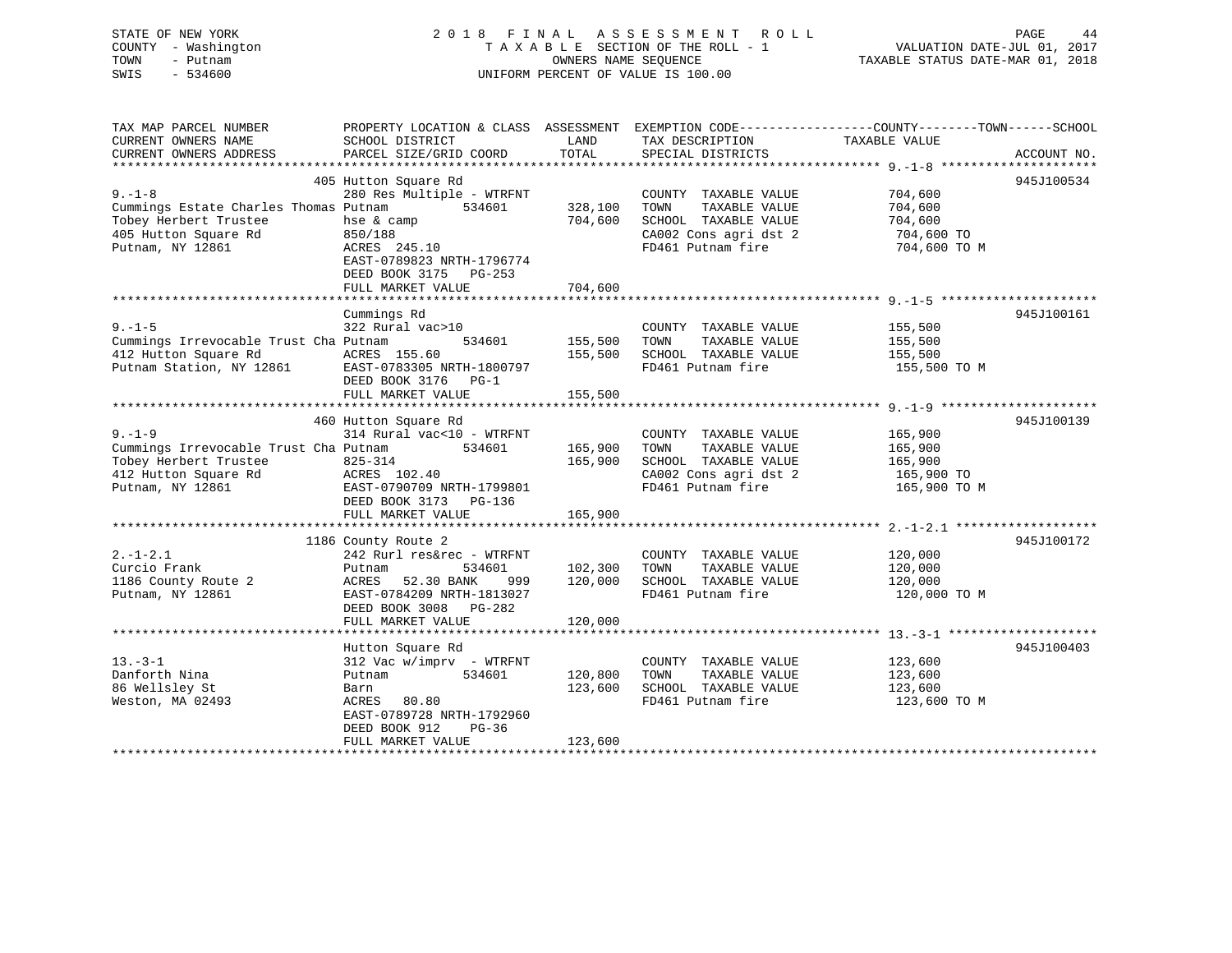| STATE OF NEW YORK   | 2018 FINAL ASSESSMENT ROLL         | 44<br>PAGE                       |
|---------------------|------------------------------------|----------------------------------|
| COUNTY - Washington | TAXABLE SECTION OF THE ROLL - 1    | VALUATION DATE-JUL 01, 2017      |
| TOWN<br>- Putnam    | OWNERS NAME SEOUENCE               | TAXABLE STATUS DATE-MAR 01, 2018 |
| SWIS<br>$-534600$   | UNIFORM PERCENT OF VALUE IS 100.00 |                                  |
|                     |                                    |                                  |
|                     |                                    |                                  |

| TAX MAP PARCEL NUMBER                 | PROPERTY LOCATION & CLASS ASSESSMENT EXEMPTION CODE---------------COUNTY-------TOWN------SCHOOL |         |                       |               |             |
|---------------------------------------|-------------------------------------------------------------------------------------------------|---------|-----------------------|---------------|-------------|
| CURRENT OWNERS NAME                   | SCHOOL DISTRICT                                                                                 | LAND    | TAX DESCRIPTION       | TAXABLE VALUE |             |
| CURRENT OWNERS ADDRESS                | PARCEL SIZE/GRID COORD                                                                          | TOTAL   | SPECIAL DISTRICTS     |               | ACCOUNT NO. |
|                                       |                                                                                                 |         |                       |               |             |
|                                       | 405 Hutton Square Rd                                                                            |         |                       |               | 945J100534  |
| $9 - 1 - 8$                           | 280 Res Multiple - WTRFNT                                                                       |         | COUNTY TAXABLE VALUE  | 704,600       |             |
| Cummings Estate Charles Thomas Putnam | 534601                                                                                          | 328,100 | TOWN<br>TAXABLE VALUE | 704,600       |             |
| Tobey Herbert Trustee                 | hse & camp                                                                                      | 704,600 | SCHOOL TAXABLE VALUE  | 704,600       |             |
| 405 Hutton Square Rd                  | 850/188                                                                                         |         | CA002 Cons agri dst 2 | 704,600 TO    |             |
| Putnam, NY 12861                      | ACRES 245.10                                                                                    |         | FD461 Putnam fire     | 704,600 TO M  |             |
|                                       | EAST-0789823 NRTH-1796774                                                                       |         |                       |               |             |
|                                       | DEED BOOK 3175 PG-253                                                                           |         |                       |               |             |
|                                       | FULL MARKET VALUE                                                                               | 704,600 |                       |               |             |
|                                       |                                                                                                 |         |                       |               |             |
|                                       | Cummings Rd                                                                                     |         |                       |               | 945J100161  |
| $9. - 1 - 5$                          | 322 Rural vac>10                                                                                |         | COUNTY TAXABLE VALUE  | 155,500       |             |
| Cummings Irrevocable Trust Cha Putnam | 534601                                                                                          | 155,500 | TAXABLE VALUE<br>TOWN | 155,500       |             |
| 412 Hutton Square Rd                  | ACRES 155.60                                                                                    | 155,500 | SCHOOL TAXABLE VALUE  | 155,500       |             |
| Putnam Station, NY 12861              | EAST-0783305 NRTH-1800797                                                                       |         | FD461 Putnam fire     | 155,500 TO M  |             |
|                                       | DEED BOOK 3176<br>$PG-1$                                                                        |         |                       |               |             |
|                                       | FULL MARKET VALUE                                                                               | 155,500 |                       |               |             |
|                                       |                                                                                                 |         |                       |               |             |
|                                       | 460 Hutton Square Rd                                                                            |         |                       |               | 945J100139  |
| $9. - 1 - 9$                          | 314 Rural vac<10 - WTRFNT                                                                       |         | COUNTY TAXABLE VALUE  | 165,900       |             |
| Cummings Irrevocable Trust Cha Putnam | 534601                                                                                          | 165,900 | TOWN<br>TAXABLE VALUE | 165,900       |             |
| Tobey Herbert Trustee                 | 825-314                                                                                         | 165,900 | SCHOOL TAXABLE VALUE  | 165,900       |             |
| 412 Hutton Square Rd                  | ACRES 102.40                                                                                    |         | CA002 Cons agri dst 2 | 165,900 TO    |             |
| Putnam, NY 12861                      | EAST-0790709 NRTH-1799801                                                                       |         | FD461 Putnam fire     | 165,900 TO M  |             |
|                                       | DEED BOOK 3173 PG-136                                                                           |         |                       |               |             |
|                                       | FULL MARKET VALUE                                                                               | 165,900 |                       |               |             |
|                                       |                                                                                                 |         |                       |               |             |
|                                       | 1186 County Route 2                                                                             |         |                       |               | 945J100172  |
| $2. -1 - 2.1$                         | 242 Rurl res&rec - WTRFNT                                                                       |         | COUNTY TAXABLE VALUE  | 120,000       |             |
| Curcio Frank                          | 534601<br>Putnam                                                                                | 102,300 | TOWN<br>TAXABLE VALUE | 120,000       |             |
| 1186 County Route 2                   | 52.30 BANK<br>ACRES<br>999                                                                      | 120,000 | SCHOOL TAXABLE VALUE  | 120,000       |             |
| Putnam, NY 12861                      | EAST-0784209 NRTH-1813027                                                                       |         | FD461 Putnam fire     | 120,000 TO M  |             |
|                                       | DEED BOOK 3008<br>PG-282                                                                        |         |                       |               |             |
|                                       | FULL MARKET VALUE                                                                               | 120,000 |                       |               |             |
|                                       |                                                                                                 |         |                       |               |             |
|                                       | Hutton Square Rd                                                                                |         |                       |               | 945J100403  |
| $13. - 3 - 1$                         | $312$ Vac w/imprv - WTRFNT                                                                      |         | COUNTY TAXABLE VALUE  | 123,600       |             |
| Danforth Nina                         | 534601<br>Putnam                                                                                | 120,800 | TOWN<br>TAXABLE VALUE | 123,600       |             |
| 86 Wellsley St                        | Barn                                                                                            | 123,600 | SCHOOL TAXABLE VALUE  | 123,600       |             |
| Weston, MA 02493                      | ACRES<br>80.80                                                                                  |         | FD461 Putnam fire     | 123,600 TO M  |             |
|                                       | EAST-0789728 NRTH-1792960                                                                       |         |                       |               |             |
|                                       | DEED BOOK 912<br>$PG-36$                                                                        |         |                       |               |             |
|                                       | FULL MARKET VALUE                                                                               | 123,600 |                       |               |             |
|                                       | *****************************                                                                   |         |                       |               |             |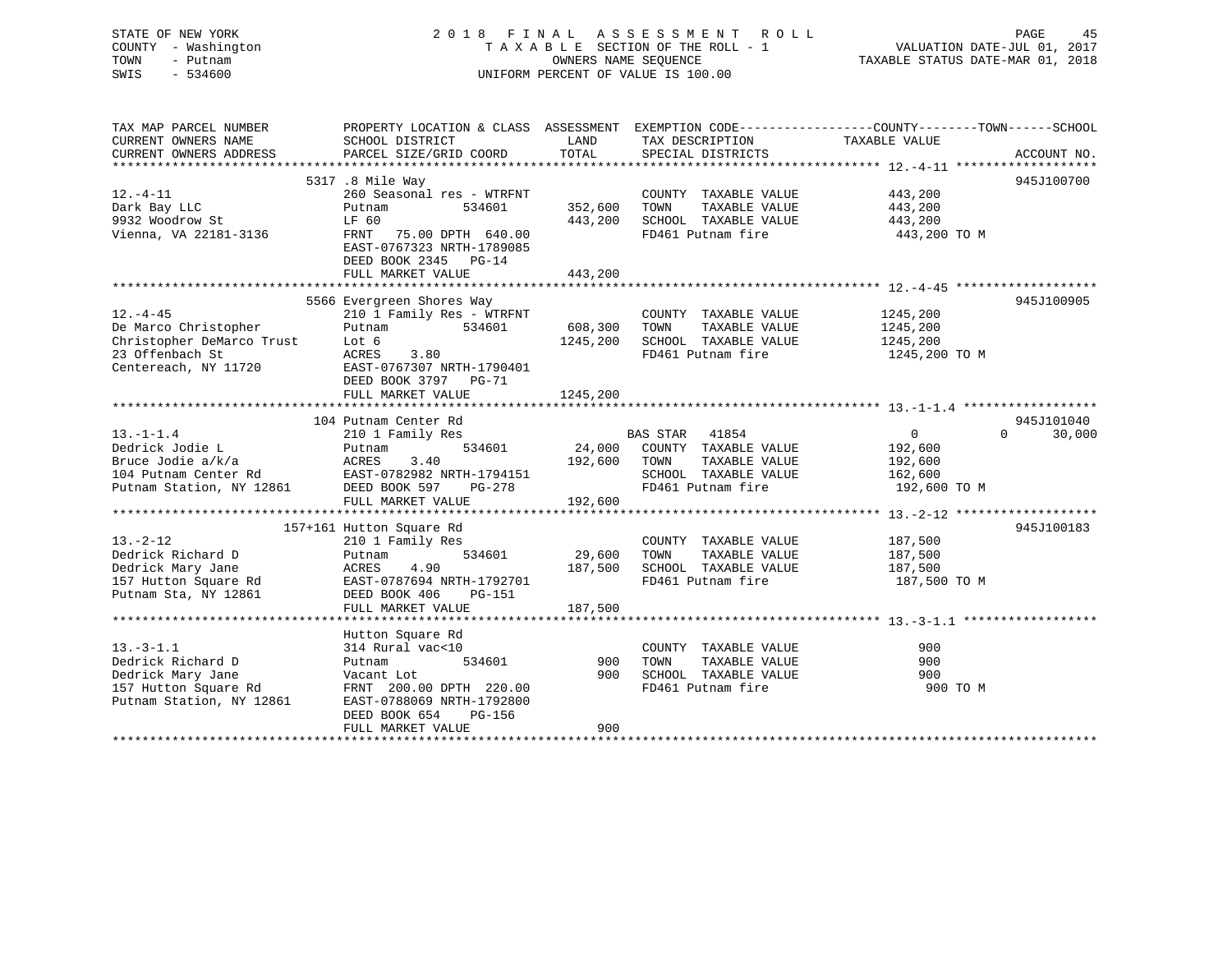STATE OF NEW YORK 2 0 1 8 F I N A L A S S E S S M E N T R O L L PAGE 45COUNTY - Washington  $T A X A B L E$  SECTION OF THE ROLL - 1<br>TOWN - Putnam data of the COUNTERS NAME SEQUENCE SWIS - 534600 UNIFORM PERCENT OF VALUE IS 100.00

VALUATION DATE-JUL 01, 2017

TAXABLE STATUS DATE-MAR 01, 2018

| TAX MAP PARCEL NUMBER     | PROPERTY LOCATION & CLASS ASSESSMENT |          | EXEMPTION CODE-----------------COUNTY--------TOWN------SCHOOL |               |                    |
|---------------------------|--------------------------------------|----------|---------------------------------------------------------------|---------------|--------------------|
| CURRENT OWNERS NAME       | SCHOOL DISTRICT                      | LAND     | TAX DESCRIPTION                                               | TAXABLE VALUE |                    |
| CURRENT OWNERS ADDRESS    | PARCEL SIZE/GRID COORD               | TOTAL    | SPECIAL DISTRICTS                                             |               | ACCOUNT NO.        |
|                           |                                      |          |                                                               |               |                    |
|                           | 5317 .8 Mile Way                     |          |                                                               |               | 945J100700         |
| $12.-4-11$                | 260 Seasonal res - WTRFNT            |          | COUNTY TAXABLE VALUE                                          | 443,200       |                    |
| Dark Bay LLC              | Putnam<br>534601                     | 352,600  | TAXABLE VALUE<br>TOWN                                         | 443,200       |                    |
| 9932 Woodrow St           | LF 60                                | 443,200  | SCHOOL TAXABLE VALUE                                          | 443,200       |                    |
| Vienna, VA 22181-3136     | FRNT<br>75.00 DPTH 640.00            |          | FD461 Putnam fire                                             | 443,200 TO M  |                    |
|                           | EAST-0767323 NRTH-1789085            |          |                                                               |               |                    |
|                           |                                      |          |                                                               |               |                    |
|                           | DEED BOOK 2345 PG-14                 |          |                                                               |               |                    |
|                           | FULL MARKET VALUE                    | 443,200  |                                                               |               |                    |
|                           |                                      |          |                                                               |               |                    |
|                           | 5566 Evergreen Shores Way            |          |                                                               |               | 945J100905         |
| $12. - 4 - 45$            | 210 1 Family Res - WTRFNT            |          | COUNTY TAXABLE VALUE                                          | 1245,200      |                    |
| De Marco Christopher      | Putnam<br>534601                     | 608,300  | TOWN<br>TAXABLE VALUE                                         | 1245,200      |                    |
| Christopher DeMarco Trust | Lot 6                                | 1245,200 | SCHOOL TAXABLE VALUE                                          | 1245,200      |                    |
| 23 Offenbach St           | ACRES<br>3.80                        |          | FD461 Putnam fire                                             | 1245,200 TO M |                    |
| Centereach, NY 11720      | EAST-0767307 NRTH-1790401            |          |                                                               |               |                    |
|                           | DEED BOOK 3797 PG-71                 |          |                                                               |               |                    |
|                           | FULL MARKET VALUE                    | 1245,200 |                                                               |               |                    |
|                           |                                      |          |                                                               |               |                    |
|                           | 104 Putnam Center Rd                 |          |                                                               |               | 945J101040         |
| $13.-1-1.4$               | 210 1 Family Res                     |          | BAS STAR<br>41854                                             | $\mathbf{0}$  | $\Omega$<br>30,000 |
| Dedrick Jodie L           | 534601<br>Putnam                     | 24,000   | COUNTY TAXABLE VALUE                                          | 192,600       |                    |
| Bruce Jodie a/k/a         | ACRES<br>3.40                        | 192,600  | TAXABLE VALUE<br>TOWN                                         | 192,600       |                    |
| 104 Putnam Center Rd      | EAST-0782982 NRTH-1794151            |          | SCHOOL TAXABLE VALUE                                          | 162,600       |                    |
| Putnam Station, NY 12861  | DEED BOOK 597<br>PG-278              |          | FD461 Putnam fire                                             | 192,600 TO M  |                    |
|                           | FULL MARKET VALUE                    | 192,600  |                                                               |               |                    |
|                           |                                      |          |                                                               |               |                    |
|                           |                                      |          |                                                               |               |                    |
|                           | 157+161 Hutton Square Rd             |          |                                                               |               | 945J100183         |
| $13. - 2 - 12$            | 210 1 Family Res                     |          | COUNTY TAXABLE VALUE                                          | 187,500       |                    |
| Dedrick Richard D         | 534601<br>Putnam                     | 29,600   | TOWN<br>TAXABLE VALUE                                         | 187,500       |                    |
| Dedrick Mary Jane         | ACRES<br>4.90                        | 187,500  | SCHOOL TAXABLE VALUE                                          | 187,500       |                    |
| 157 Hutton Square Rd      | EAST-0787694 NRTH-1792701            |          | FD461 Putnam fire                                             | 187,500 TO M  |                    |
| Putnam Sta, NY 12861      | DEED BOOK 406<br>PG-151              |          |                                                               |               |                    |
|                           | FULL MARKET VALUE                    | 187,500  |                                                               |               |                    |
|                           |                                      |          |                                                               |               |                    |
|                           | Hutton Square Rd                     |          |                                                               |               |                    |
| $13 - 3 - 1.1$            | 314 Rural vac<10                     |          | COUNTY TAXABLE VALUE                                          | 900           |                    |
| Dedrick Richard D         | 534601<br>Putnam                     | 900      | TOWN<br>TAXABLE VALUE                                         | 900           |                    |
| Dedrick Mary Jane         | Vacant Lot                           | 900      | SCHOOL TAXABLE VALUE                                          | 900           |                    |
| 157 Hutton Square Rd      | FRNT 200.00 DPTH 220.00              |          | FD461 Putnam fire                                             | 900 TO M      |                    |
| Putnam Station, NY 12861  | EAST-0788069 NRTH-1792800            |          |                                                               |               |                    |
|                           | DEED BOOK 654<br>PG-156              |          |                                                               |               |                    |
|                           | FULL MARKET VALUE                    | 900      |                                                               |               |                    |
|                           |                                      |          |                                                               |               |                    |
|                           |                                      |          |                                                               |               |                    |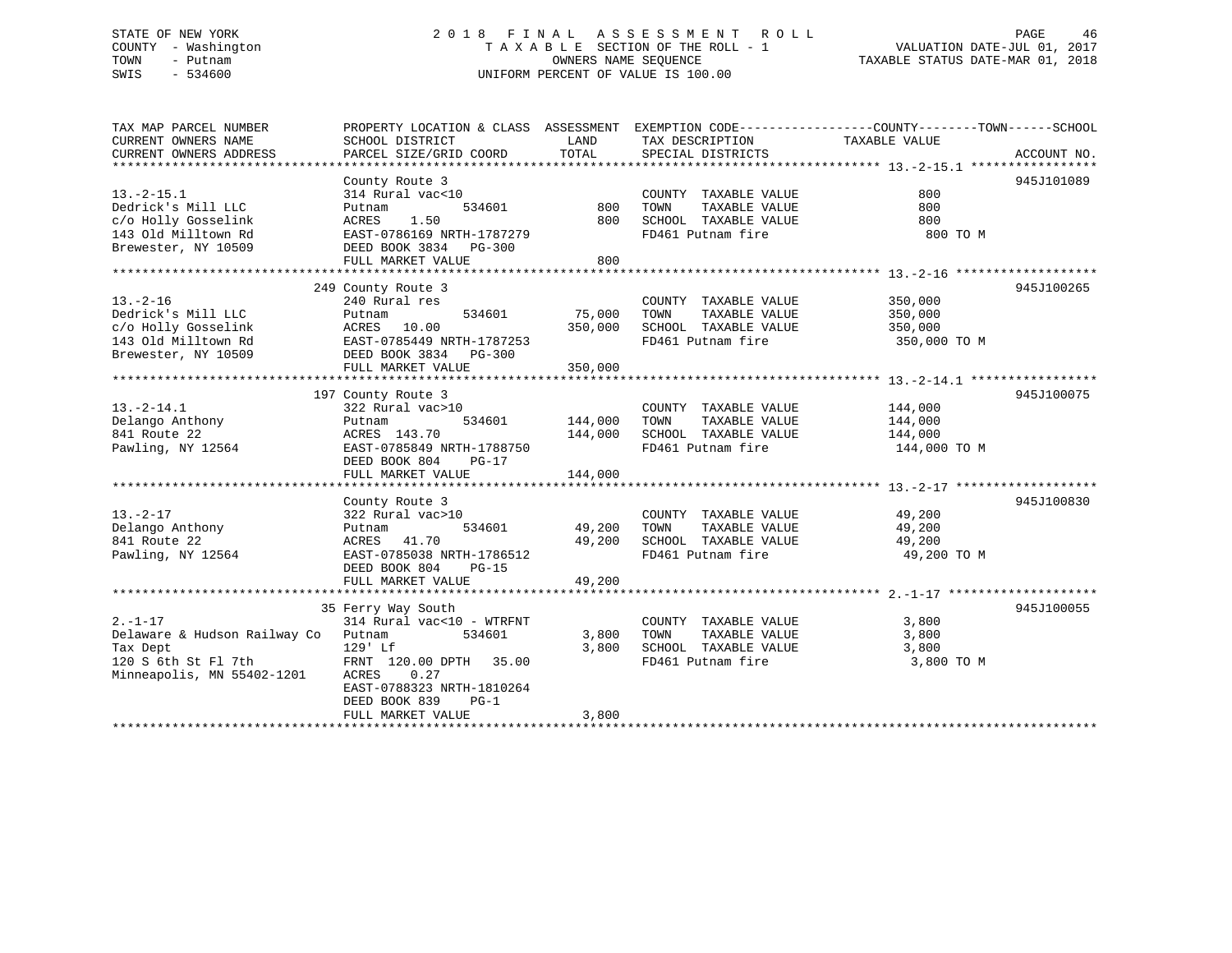### STATE OF NEW YORK 2 0 1 8 F I N A L A S S E S S M E N T R O L L PAGE 46 COUNTY - Washington T A X A B L E SECTION OF THE ROLL - 1 VALUATION DATE-JUL 01, 2017 TOWN - Putnam **CONNERS NAME SEQUENCE** TAXABLE STATUS DATE-MAR 01, 2018 SWIS - 534600 UNIFORM PERCENT OF VALUE IS 100.00

| TAX MAP PARCEL NUMBER<br>CURRENT OWNERS NAME | PROPERTY LOCATION & CLASS ASSESSMENT<br>SCHOOL DISTRICT | LAND    | TAX DESCRIPTION       | EXEMPTION CODE-----------------COUNTY-------TOWN------SCHOOL<br>TAXABLE VALUE |
|----------------------------------------------|---------------------------------------------------------|---------|-----------------------|-------------------------------------------------------------------------------|
| CURRENT OWNERS ADDRESS                       | PARCEL SIZE/GRID COORD                                  | TOTAL   | SPECIAL DISTRICTS     | ACCOUNT NO.                                                                   |
|                                              |                                                         |         |                       |                                                                               |
|                                              | County Route 3                                          |         |                       | 945J101089                                                                    |
| $13.-2-15.1$                                 | 314 Rural vac<10                                        |         | COUNTY TAXABLE VALUE  | 800                                                                           |
| Dedrick's Mill LLC                           | 534601<br>Putnam                                        | 800     | TAXABLE VALUE<br>TOWN | 800                                                                           |
| c/o Holly Gosselink                          | 1.50<br>ACRES                                           | 800     | SCHOOL TAXABLE VALUE  | 800                                                                           |
| 143 Old Milltown Rd                          | EAST-0786169 NRTH-1787279                               |         | FD461 Putnam fire     | 800 TO M                                                                      |
| Brewester, NY 10509                          | DEED BOOK 3834 PG-300                                   |         |                       |                                                                               |
|                                              | FULL MARKET VALUE                                       | 800     |                       |                                                                               |
|                                              |                                                         |         |                       |                                                                               |
|                                              | 249 County Route 3                                      |         |                       | 945J100265                                                                    |
| $13. - 2 - 16$                               | 240 Rural res                                           |         | COUNTY TAXABLE VALUE  | 350,000                                                                       |
| Dedrick's Mill LLC                           | Putnam<br>534601                                        | 75,000  | TOWN<br>TAXABLE VALUE | 350,000                                                                       |
| c/o Holly Gosselink                          | ACRES<br>10.00                                          | 350,000 | SCHOOL TAXABLE VALUE  | 350,000                                                                       |
| 143 Old Milltown Rd                          | EAST-0785449 NRTH-1787253                               |         | FD461 Putnam fire     | 350,000 TO M                                                                  |
| Brewester, NY 10509                          | DEED BOOK 3834 PG-300                                   |         |                       |                                                                               |
|                                              | FULL MARKET VALUE                                       | 350,000 |                       |                                                                               |
|                                              |                                                         |         |                       |                                                                               |
|                                              | 197 County Route 3                                      |         |                       | 945J100075                                                                    |
| $13.-2-14.1$                                 | 322 Rural vac>10                                        |         | COUNTY TAXABLE VALUE  | 144,000                                                                       |
| Delango Anthony                              | 534601<br>Putnam                                        | 144,000 | TAXABLE VALUE<br>TOWN | 144,000                                                                       |
| 841 Route 22                                 | ACRES 143.70                                            | 144,000 | SCHOOL TAXABLE VALUE  | 144,000                                                                       |
| Pawling, NY 12564                            | EAST-0785849 NRTH-1788750                               |         | FD461 Putnam fire     | 144,000 TO M                                                                  |
|                                              | DEED BOOK 804<br>$PG-17$                                |         |                       |                                                                               |
|                                              | FULL MARKET VALUE                                       | 144,000 |                       |                                                                               |
|                                              |                                                         |         |                       |                                                                               |
|                                              | County Route 3                                          |         |                       | 945J100830                                                                    |
| $13. - 2 - 17$                               | 322 Rural vac>10                                        |         | COUNTY TAXABLE VALUE  | 49,200                                                                        |
| Delango Anthony                              | 534601<br>Putnam                                        | 49,200  | TOWN<br>TAXABLE VALUE | 49,200                                                                        |
| 841 Route 22                                 | ACRES<br>41.70                                          | 49,200  | SCHOOL TAXABLE VALUE  | 49,200                                                                        |
| Pawling, NY 12564                            | EAST-0785038 NRTH-1786512                               |         | FD461 Putnam fire     | 49,200 TO M                                                                   |
|                                              | DEED BOOK 804<br>$PG-15$                                |         |                       |                                                                               |
|                                              | FULL MARKET VALUE                                       | 49,200  |                       |                                                                               |
|                                              |                                                         |         |                       |                                                                               |
|                                              | 35 Ferry Way South                                      |         |                       | 945J100055                                                                    |
| $2. - 1 - 17$                                | 314 Rural vac<10 - WTRFNT                               |         | COUNTY TAXABLE VALUE  | 3,800                                                                         |
| Delaware & Hudson Railway Co                 | 534601<br>Putnam                                        | 3,800   | TAXABLE VALUE<br>TOWN | 3,800                                                                         |
| Tax Dept                                     | $129'$ Lf                                               | 3,800   | SCHOOL TAXABLE VALUE  | 3,800                                                                         |
| 120 S 6th St Fl 7th                          | FRNT 120.00 DPTH 35.00                                  |         | FD461 Putnam fire     | 3,800 TO M                                                                    |
| Minneapolis, MN 55402-1201                   | 0.27<br>ACRES                                           |         |                       |                                                                               |
|                                              | EAST-0788323 NRTH-1810264                               |         |                       |                                                                               |
|                                              | DEED BOOK 839<br>$PG-1$                                 |         |                       |                                                                               |
|                                              | FULL MARKET VALUE                                       | 3,800   |                       |                                                                               |
|                                              |                                                         |         |                       |                                                                               |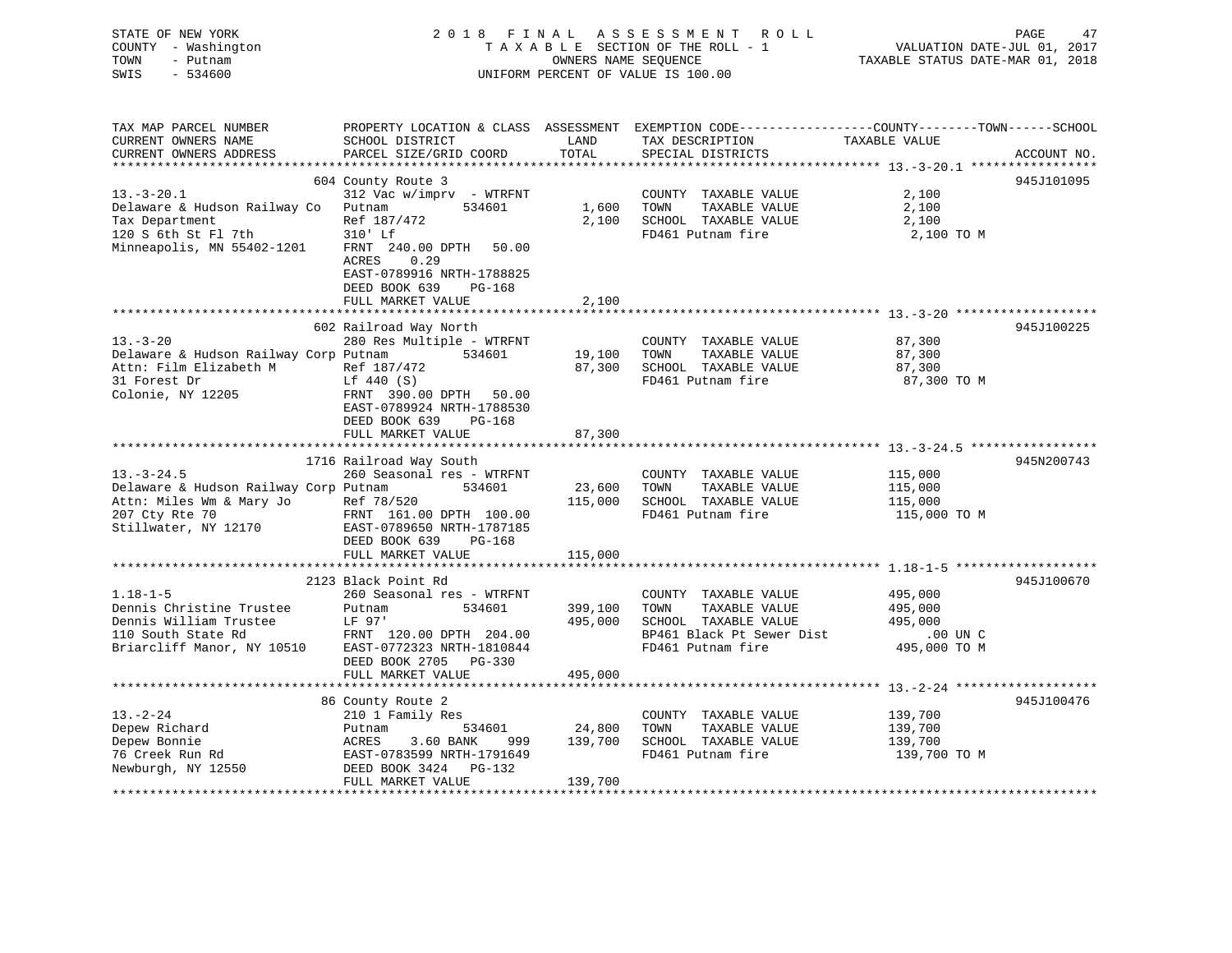| STATE OF NEW YORK<br>COUNTY - Washington<br>TOWN<br>- Putnam<br>$-534600$<br>SWIS | 2018 FINAL                                                                                                              | OWNERS NAME SEQUENCE | ASSESSMENT ROLL<br>TAXABLE SECTION OF THE ROLL - 1<br>UNIFORM PERCENT OF VALUE IS 100.00 | PAGE<br>47<br>VALUATION DATE-JUL 01, 2017<br>TAXABLE STATUS DATE-MAR 01, 2018                                                   |
|-----------------------------------------------------------------------------------|-------------------------------------------------------------------------------------------------------------------------|----------------------|------------------------------------------------------------------------------------------|---------------------------------------------------------------------------------------------------------------------------------|
| TAX MAP PARCEL NUMBER<br>CURRENT OWNERS NAME<br>CURRENT OWNERS ADDRESS            | SCHOOL DISTRICT<br>PARCEL SIZE/GRID COORD                                                                               | LAND<br>TOTAL        | TAX DESCRIPTION<br>SPECIAL DISTRICTS                                                     | PROPERTY LOCATION & CLASS ASSESSMENT EXEMPTION CODE----------------COUNTY-------TOWN-----SCHOOL<br>TAXABLE VALUE<br>ACCOUNT NO. |
|                                                                                   | 604 County Route 3                                                                                                      |                      |                                                                                          | 945J101095                                                                                                                      |
| $13.-3-20.1$                                                                      | $312$ Vac w/imprv - WTRFNT                                                                                              |                      | COUNTY TAXABLE VALUE                                                                     | 2,100                                                                                                                           |
| Delaware & Hudson Railway Co                                                      | 534601<br>Putnam                                                                                                        | 1,600                | TOWN<br>TAXABLE VALUE                                                                    | 2,100                                                                                                                           |
| Tax Department                                                                    | Ref 187/472                                                                                                             | 2,100                | SCHOOL TAXABLE VALUE                                                                     | 2,100                                                                                                                           |
| 120 S 6th St Fl 7th                                                               | 310' Lf                                                                                                                 |                      | FD461 Putnam fire                                                                        | 2,100 TO M                                                                                                                      |
| Minneapolis, MN 55402-1201                                                        | FRNT 240.00 DPTH<br>50.00<br>ACRES<br>0.29<br>EAST-0789916 NRTH-1788825<br>DEED BOOK 639<br>PG-168<br>FULL MARKET VALUE | 2,100                |                                                                                          |                                                                                                                                 |
|                                                                                   |                                                                                                                         |                      |                                                                                          |                                                                                                                                 |
|                                                                                   | 602 Railroad Way North                                                                                                  |                      |                                                                                          | 945J100225                                                                                                                      |
| $13 - 3 - 20$                                                                     | 280 Res Multiple - WTRFNT                                                                                               |                      | COUNTY TAXABLE VALUE                                                                     | 87,300                                                                                                                          |
| Delaware & Hudson Railway Corp Putnam                                             | 534601                                                                                                                  | 19,100               | TOWN<br>TAXABLE VALUE                                                                    | 87,300                                                                                                                          |
| Attn: Film Elizabeth M                                                            | Ref 187/472                                                                                                             | 87,300               | SCHOOL TAXABLE VALUE                                                                     | 87,300                                                                                                                          |
| 31 Forest Dr<br>Colonie, NY 12205                                                 | Lf 440 (S)<br>FRNT 390.00 DPTH<br>50.00<br>EAST-0789924 NRTH-1788530<br>DEED BOOK 639<br>PG-168                         |                      | FD461 Putnam fire                                                                        | 87,300 TO M                                                                                                                     |
|                                                                                   | FULL MARKET VALUE                                                                                                       | 87,300               |                                                                                          |                                                                                                                                 |
|                                                                                   |                                                                                                                         |                      |                                                                                          |                                                                                                                                 |
|                                                                                   | 1716 Railroad Way South                                                                                                 |                      |                                                                                          | 945N200743                                                                                                                      |
| $13.-3-24.5$                                                                      | 260 Seasonal res - WTRFNT                                                                                               |                      | COUNTY TAXABLE VALUE                                                                     | 115,000                                                                                                                         |
| Delaware & Hudson Railway Corp Putnam                                             | 534601                                                                                                                  | 23,600<br>115,000    | TAXABLE VALUE<br>TOWN<br>SCHOOL TAXABLE VALUE                                            | 115,000                                                                                                                         |
| Attn: Miles Wm & Mary Jo<br>207 Cty Rte 70                                        | Ref 78/520<br>FRNT 161.00 DPTH 100.00                                                                                   |                      | FD461 Putnam fire                                                                        | 115,000<br>115,000 TO M                                                                                                         |
| Stillwater, NY 12170                                                              | EAST-0789650 NRTH-1787185<br>DEED BOOK 639<br>PG-168                                                                    |                      |                                                                                          |                                                                                                                                 |
|                                                                                   | FULL MARKET VALUE                                                                                                       | 115,000              |                                                                                          |                                                                                                                                 |
|                                                                                   |                                                                                                                         |                      |                                                                                          |                                                                                                                                 |
| $1.18 - 1 - 5$                                                                    | 2123 Black Point Rd<br>260 Seasonal res - WTRFNT                                                                        |                      | COUNTY TAXABLE VALUE                                                                     | 945J100670<br>495,000                                                                                                           |
| Dennis Christine Trustee                                                          | 534601<br>Putnam                                                                                                        | 399,100              | TOWN<br>TAXABLE VALUE                                                                    | 495,000                                                                                                                         |
| Dennis William Trustee                                                            | LF 97'                                                                                                                  | 495,000              | SCHOOL TAXABLE VALUE                                                                     | 495,000                                                                                                                         |
| 110 South State Rd                                                                | FRNT 120.00 DPTH 204.00                                                                                                 |                      | BP461 Black Pt Sewer Dist                                                                | .00 UN C                                                                                                                        |
| Briarcliff Manor, NY 10510                                                        | EAST-0772323 NRTH-1810844                                                                                               |                      | FD461 Putnam fire                                                                        | 495,000 TO M                                                                                                                    |
|                                                                                   | DEED BOOK 2705 PG-330<br>FULL MARKET VALUE                                                                              | 495,000              |                                                                                          |                                                                                                                                 |
|                                                                                   | *********************                                                                                                   | *******************  |                                                                                          |                                                                                                                                 |
|                                                                                   | 86 County Route 2                                                                                                       |                      |                                                                                          | 945J100476                                                                                                                      |
| $13 - 2 - 24$                                                                     | 210 1 Family Res                                                                                                        |                      | COUNTY TAXABLE VALUE                                                                     | 139,700                                                                                                                         |
| Depew Richard                                                                     | Putnam<br>534601                                                                                                        | 24,800               | TOWN<br>TAXABLE VALUE                                                                    | 139,700                                                                                                                         |
| Depew Bonnie                                                                      | ACRES<br>3.60 BANK<br>999                                                                                               | 139,700              | SCHOOL TAXABLE VALUE                                                                     | 139,700                                                                                                                         |
| 76 Creek Run Rd                                                                   | EAST-0783599 NRTH-1791649                                                                                               |                      | FD461 Putnam fire                                                                        | 139,700 TO M                                                                                                                    |
| Newburgh, NY 12550                                                                | PG-132<br>DEED BOOK 3424                                                                                                |                      |                                                                                          |                                                                                                                                 |
|                                                                                   | FULL MARKET VALUE                                                                                                       | 139,700              |                                                                                          |                                                                                                                                 |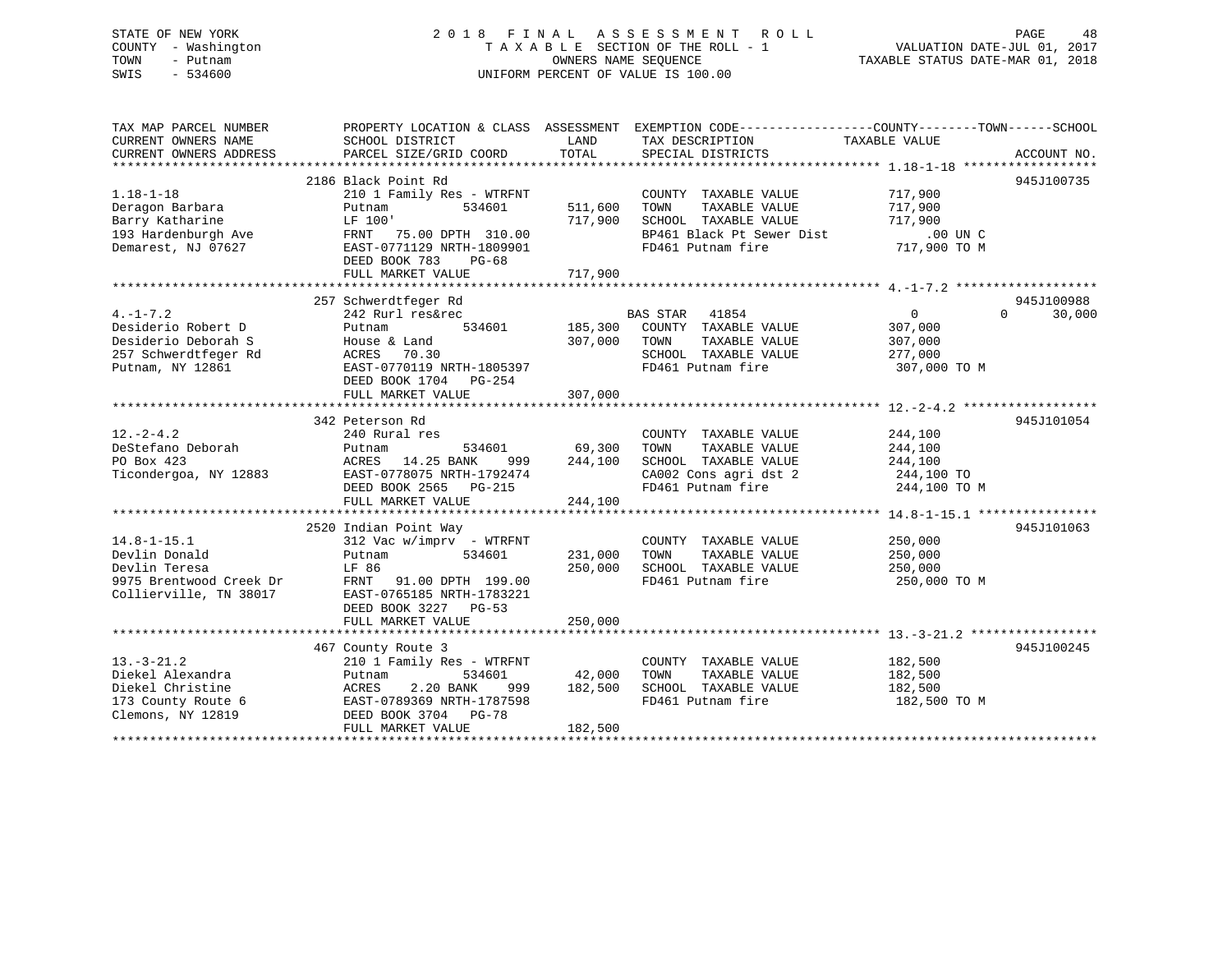### STATE OF NEW YORK 2 0 1 8 F I N A L A S S E S S M E N T R O L L PAGE 48 COUNTY - Washington T A X A B L E SECTION OF THE ROLL - 1 VALUATION DATE-JUL 01, 2017 TOWN - Putnam OWNERS NAME SEQUENCE TAXABLE STATUS DATE-MAR 01, 2018 SWIS - 534600 UNIFORM PERCENT OF VALUE IS 100.00

| TAX MAP PARCEL NUMBER<br>CURRENT OWNERS NAME<br>CURRENT OWNERS ADDRESS                                   | PROPERTY LOCATION & CLASS ASSESSMENT<br>SCHOOL DISTRICT<br>PARCEL SIZE/GRID COORD                                                                                                     | LAND<br>TOTAL                 | EXEMPTION CODE-----------------COUNTY-------TOWN------SCHOOL<br>TAX DESCRIPTION<br>SPECIAL DISTRICTS                    | TAXABLE VALUE                                                 | ACCOUNT NO.                      |
|----------------------------------------------------------------------------------------------------------|---------------------------------------------------------------------------------------------------------------------------------------------------------------------------------------|-------------------------------|-------------------------------------------------------------------------------------------------------------------------|---------------------------------------------------------------|----------------------------------|
| $1.18 - 1 - 18$<br>Deragon Barbara<br>Barry Katharine<br>193 Hardenburgh Ave<br>Demarest, NJ 07627       | 2186 Black Point Rd<br>210 1 Family Res - WTRFNT<br>534601<br>Putnam<br>LF 100'<br>FRNT 75.00 DPTH 310.00<br>EAST-0771129 NRTH-1809901<br>DEED BOOK 783<br>PG-68<br>FULL MARKET VALUE | 511,600<br>717,900<br>717,900 | COUNTY TAXABLE VALUE<br>TAXABLE VALUE<br>TOWN<br>SCHOOL TAXABLE VALUE<br>BP461 Black Pt Sewer Dist<br>FD461 Putnam fire | 717,900<br>717,900<br>717,900<br>$.00$ UN $C$<br>717,900 TO M | 945J100735                       |
|                                                                                                          |                                                                                                                                                                                       |                               |                                                                                                                         |                                                               |                                  |
| $4. -1 - 7.2$<br>Desiderio Robert D<br>Desiderio Deborah S<br>257 Schwerdtfeger Rd<br>Putnam, NY 12861   | 257 Schwerdtfeger Rd<br>242 Rurl res&rec<br>534601<br>Putnam<br>House & Land<br>70.30<br>ACRES<br>EAST-0770119 NRTH-1805397<br>DEED BOOK 1704 PG-254<br>FULL MARKET VALUE             | 185,300<br>307,000<br>307,000 | BAS STAR 41854<br>COUNTY TAXABLE VALUE<br>TAXABLE VALUE<br>TOWN<br>SCHOOL TAXABLE VALUE<br>FD461 Putnam fire            | $\Omega$<br>307,000<br>307,000<br>277,000<br>307,000 TO M     | 945J100988<br>30,000<br>$\Omega$ |
|                                                                                                          | 342 Peterson Rd                                                                                                                                                                       |                               |                                                                                                                         |                                                               | 945J101054                       |
| $12. - 2 - 4.2$<br>DeStefano Deborah<br>PO Box 423<br>Ticondergoa, NY 12883                              | 240 Rural res<br>534601<br>Putnam<br>ACRES 14.25 BANK<br>999<br>EAST-0778075 NRTH-1792474<br>DEED BOOK 2565 PG-215<br>FULL MARKET VALUE                                               | 69,300<br>244,100<br>244,100  | COUNTY TAXABLE VALUE<br>TAXABLE VALUE<br>TOWN<br>SCHOOL TAXABLE VALUE<br>CA002 Cons agri dst 2<br>FD461 Putnam fire     | 244,100<br>244,100<br>244,100<br>244,100 TO<br>244,100 TO M   |                                  |
|                                                                                                          |                                                                                                                                                                                       |                               |                                                                                                                         |                                                               |                                  |
| $14.8 - 1 - 15.1$<br>Devlin Donald<br>Devlin Teresa<br>9975 Brentwood Creek Dr<br>Collierville, TN 38017 | 2520 Indian Point Way<br>312 Vac w/imprv - WTRFNT<br>534601<br>Putnam<br>LF 86<br>FRNT 91.00 DPTH 199.00<br>EAST-0765185 NRTH-1783221<br>DEED BOOK 3227 PG-53<br>FULL MARKET VALUE    | 231,000<br>250,000<br>250,000 | COUNTY TAXABLE VALUE<br>TAXABLE VALUE<br>TOWN<br>SCHOOL TAXABLE VALUE<br>FD461 Putnam fire                              | 250,000<br>250,000<br>250,000<br>250,000 TO M                 | 945J101063                       |
|                                                                                                          |                                                                                                                                                                                       |                               |                                                                                                                         |                                                               |                                  |
| $13. - 3 - 21.2$<br>Diekel Alexandra<br>Diekel Christine<br>173 County Route 6<br>Clemons, NY 12819      | 467 County Route 3<br>210 1 Family Res - WTRFNT<br>534601<br>Putnam<br>ACRES<br>2.20 BANK<br>999<br>EAST-0789369 NRTH-1787598<br>DEED BOOK 3704 PG-78<br>FULL MARKET VALUE            | 42,000<br>182,500<br>182,500  | COUNTY TAXABLE VALUE<br>TAXABLE VALUE<br>TOWN<br>SCHOOL TAXABLE VALUE<br>FD461 Putnam fire                              | 182,500<br>182,500<br>182,500<br>182,500 TO M                 | 945J100245                       |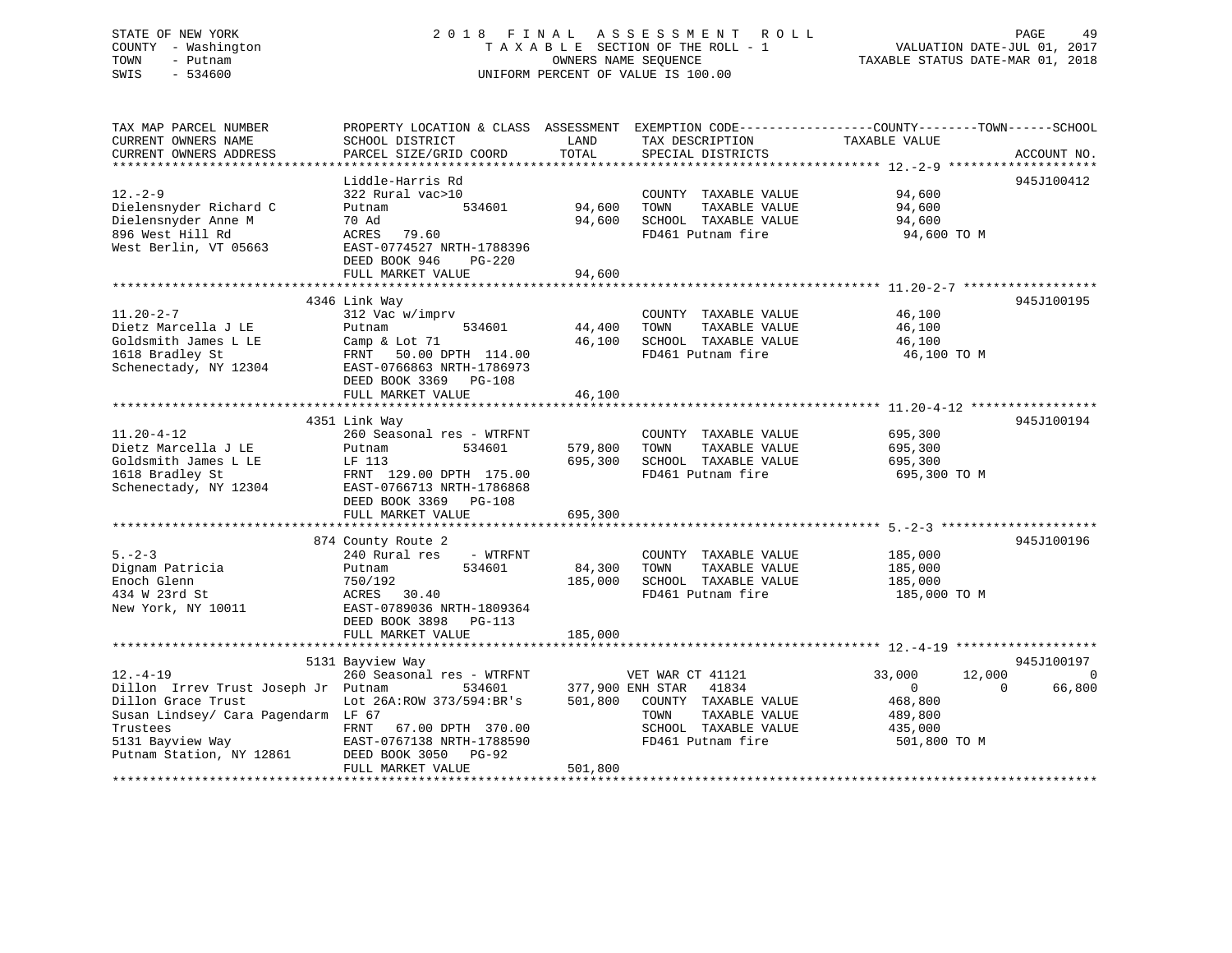### STATE OF NEW YORK 2 0 1 8 F I N A L A S S E S S M E N T R O L L PAGE 49 COUNTY - Washington T A X A B L E SECTION OF THE ROLL - 1 VALUATION DATE-JUL 01, 2017 TOWN - Putnam OWNERS NAME SEQUENCE TAXABLE STATUS DATE-MAR 01, 2018 SWIS - 534600 UNIFORM PERCENT OF VALUE IS 100.00

| TAX MAP PARCEL NUMBER                                    | PROPERTY LOCATION & CLASS ASSESSMENT EXEMPTION CODE----------------COUNTY-------TOWN------SCHOOL |                  |                                                                |                                  |             |
|----------------------------------------------------------|--------------------------------------------------------------------------------------------------|------------------|----------------------------------------------------------------|----------------------------------|-------------|
| CURRENT OWNERS NAME                                      | SCHOOL DISTRICT                                                                                  | LAND             | TAX DESCRIPTION                                                | TAXABLE VALUE                    |             |
| CURRENT OWNERS ADDRESS                                   | PARCEL SIZE/GRID COORD                                                                           | TOTAL            | SPECIAL DISTRICTS                                              |                                  | ACCOUNT NO. |
|                                                          |                                                                                                  |                  |                                                                |                                  |             |
|                                                          | Liddle-Harris Rd                                                                                 |                  |                                                                |                                  | 945J100412  |
| $12 - 2 - 9$                                             | 322 Rural vac>10                                                                                 |                  | COUNTY TAXABLE VALUE                                           | 94,600                           |             |
|                                                          |                                                                                                  | 94,600           |                                                                |                                  |             |
| Dielensnyder Richard C                                   | 534601<br>Putnam                                                                                 |                  | TAXABLE VALUE<br>TOWN                                          | 94,600                           |             |
| Dielensnyder Anne M                                      | 70 Ad                                                                                            | 94,600           | SCHOOL TAXABLE VALUE                                           | 94,600                           |             |
| 896 West Hill Rd                                         | ACRES<br>79.60                                                                                   |                  | FD461 Putnam fire                                              | 94,600 TO M                      |             |
| West Berlin, VT 05663                                    | EAST-0774527 NRTH-1788396                                                                        |                  |                                                                |                                  |             |
|                                                          | DEED BOOK 946 PG-220                                                                             |                  |                                                                |                                  |             |
|                                                          | FULL MARKET VALUE                                                                                | 94,600           |                                                                |                                  |             |
|                                                          |                                                                                                  |                  |                                                                |                                  |             |
|                                                          | 4346 Link Way                                                                                    |                  |                                                                |                                  | 945J100195  |
| $11.20 - 2 - 7$                                          | 312 Vac w/imprv                                                                                  |                  | COUNTY TAXABLE VALUE                                           | 46,100                           |             |
| Dietz Marcella J LE                                      | Putnam 534601<br>Camp & Lot 71<br>FRNT 50.00 DPTH 114.00<br>EAST-0766863 NDTH 1000               |                  | TOWN<br>TAXABLE VALUE                                          | 46,100                           |             |
|                                                          |                                                                                                  | 44,400<br>46,100 |                                                                |                                  |             |
| Goldsmith James L LE                                     |                                                                                                  |                  | SCHOOL TAXABLE VALUE                                           | 46,100                           |             |
| 1618 Bradley St                                          |                                                                                                  |                  | FD461 Putnam fire                                              | 46,100 TO M                      |             |
| Schenectady, NY 12304                                    |                                                                                                  |                  |                                                                |                                  |             |
|                                                          | DEED BOOK 3369 PG-108                                                                            |                  |                                                                |                                  |             |
|                                                          | FULL MARKET VALUE                                                                                | 46,100           |                                                                |                                  |             |
|                                                          |                                                                                                  |                  |                                                                |                                  |             |
|                                                          | 4351 Link Way                                                                                    |                  |                                                                |                                  | 945J100194  |
| $11.20 - 4 - 12$                                         | 260 Seasonal res - WTRFNT                                                                        |                  | COUNTY TAXABLE VALUE                                           |                                  |             |
| Dietz Marcella J LE                                      | 534601<br>Putnam                                                                                 | 579,800          | TOWN<br>TAXABLE VALUE                                          | 695,300<br>695,300               |             |
| Goldsmith James L LE                                     | LF 113                                                                                           |                  | 695,300 SCHOOL TAXABLE VALUE                                   | 695,300                          |             |
|                                                          | FRNT 129.00 DPTH 175.00                                                                          |                  | FD461 Putnam fire                                              | 695,300 TO M                     |             |
| 1618 Bradley St                                          |                                                                                                  |                  |                                                                |                                  |             |
| Schenectady, NY 12304 EAST-0766713 NRTH-1786868          |                                                                                                  |                  |                                                                |                                  |             |
|                                                          | DEED BOOK 3369 PG-108                                                                            |                  |                                                                |                                  |             |
|                                                          | FULL MARKET VALUE                                                                                | 695,300          |                                                                |                                  |             |
|                                                          |                                                                                                  |                  |                                                                |                                  |             |
|                                                          | 874 County Route 2                                                                               |                  |                                                                |                                  | 945J100196  |
| $5 - 2 - 3$                                              | 240 Rural res - WTRFNT                                                                           |                  | COUNTY TAXABLE VALUE                                           | 185,000                          |             |
| Dignam Patricia                                          | 534601<br>Putnam                                                                                 | 84,300 TOWN      | TAXABLE VALUE                                                  | 185,000                          |             |
| Enoch Glenn                                              | 750/192                                                                                          |                  | 185,000 SCHOOL TAXABLE VALUE                                   | 185,000                          |             |
| 434 W 23rd St                                            | ACRES 30.40                                                                                      |                  | FD461 Putnam fire                                              | 185,000 TO M                     |             |
| New York, NY 10011                                       | EAST-0789036 NRTH-1809364                                                                        |                  |                                                                |                                  |             |
|                                                          | DEED BOOK 3898 PG-113                                                                            |                  |                                                                |                                  |             |
|                                                          |                                                                                                  |                  |                                                                |                                  |             |
|                                                          | FULL MARKET VALUE                                                                                | 185,000          |                                                                |                                  |             |
|                                                          |                                                                                                  |                  |                                                                |                                  |             |
|                                                          | 5131 Bayview Way                                                                                 |                  |                                                                |                                  | 945J100197  |
| $12. - 4 - 19$                                           | 260 Seasonal res - WTRFNT                                                                        |                  | 5 - WTRFNT VET WAR CT 41121<br>534601 - 377,900 ENH STAR 41834 | 12,000<br>33,000                 | $\mathbf 0$ |
| Dillon Irrev Trust Joseph Jr Putnam                      |                                                                                                  |                  |                                                                | $\overline{0}$<br>$\overline{0}$ | 66,800      |
| Dillon Grace Trust                                       | Lot 26A: ROW 373/594: BR's                                                                       |                  | 501,800 COUNTY TAXABLE VALUE                                   | 468,800                          |             |
| Susan Lindsey/ Cara Pagendarm LF 67                      |                                                                                                  |                  | TOWN<br>TAXABLE VALUE                                          | 489,800                          |             |
|                                                          | FRNT<br>67.00 DPTH 370.00                                                                        |                  | SCHOOL TAXABLE VALUE                                           | 435,000                          |             |
|                                                          | EAST-0767138 NRTH-1788590                                                                        |                  | FD461 Putnam fire                                              | 501,800 TO M                     |             |
| Trustees<br>5131 Bayview Way<br>Putnam Station, NY 12861 | DEED BOOK 3050 PG-92                                                                             |                  |                                                                |                                  |             |
|                                                          |                                                                                                  | 501,800          |                                                                |                                  |             |
|                                                          | FULL MARKET VALUE                                                                                |                  |                                                                |                                  |             |
|                                                          |                                                                                                  |                  |                                                                |                                  |             |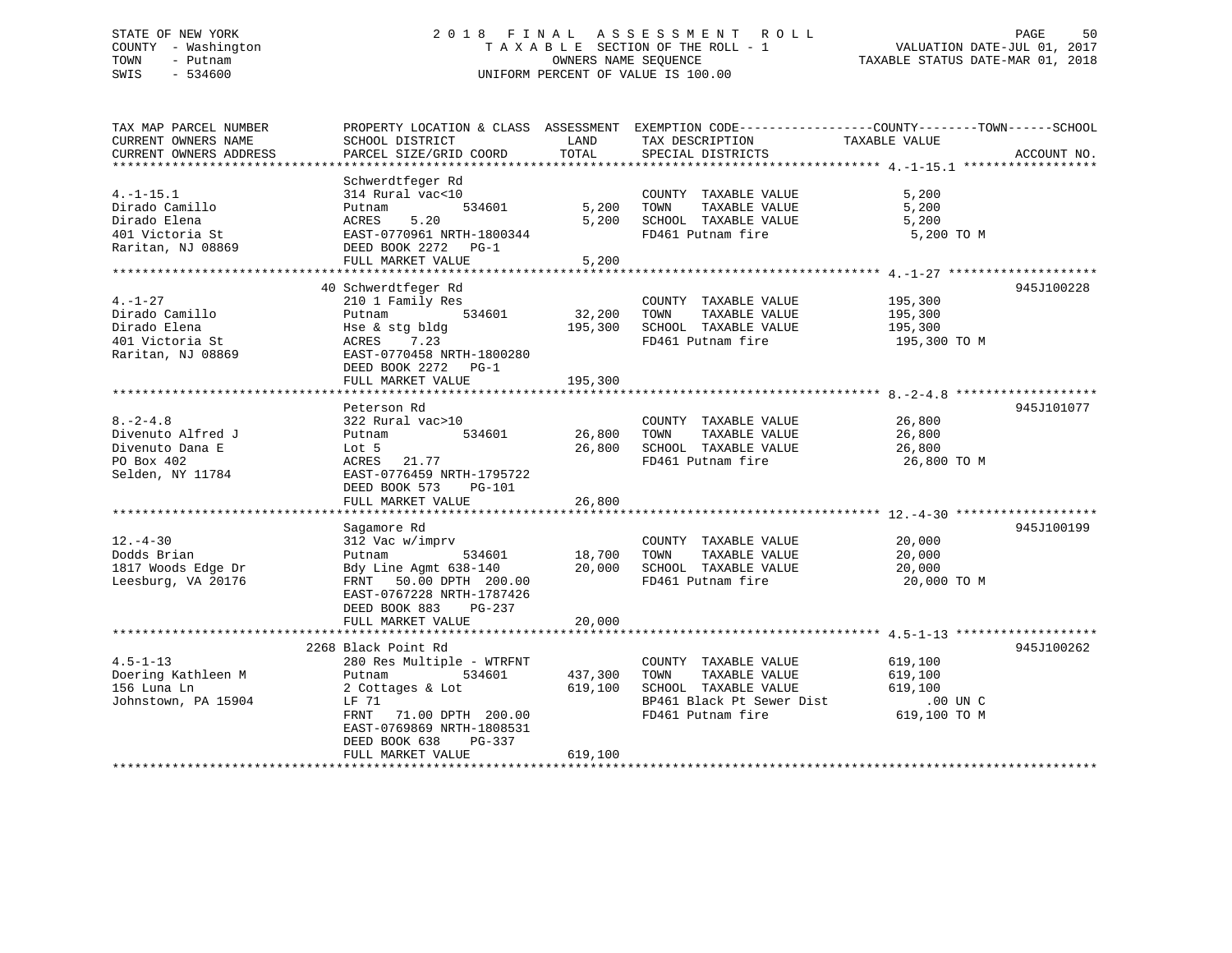### STATE OF NEW YORK 2 0 1 8 F I N A L A S S E S S M E N T R O L L PAGE 50 COUNTY - Washington T A X A B L E SECTION OF THE ROLL - 1 VALUATION DATE-JUL 01, 2017 TOWN - Putnam OWNERS NAME SEQUENCE TAXABLE STATUS DATE-MAR 01, 2018 SWIS - 534600 UNIFORM PERCENT OF VALUE IS 100.00

| TAX MAP PARCEL NUMBER  |                                 |               | PROPERTY LOCATION & CLASS ASSESSMENT EXEMPTION CODE----------------COUNTY-------TOWN------SCHOOL |                         |             |
|------------------------|---------------------------------|---------------|--------------------------------------------------------------------------------------------------|-------------------------|-------------|
| CURRENT OWNERS NAME    | SCHOOL DISTRICT                 | LAND          | TAX DESCRIPTION                                                                                  | TAXABLE VALUE           |             |
| CURRENT OWNERS ADDRESS | PARCEL SIZE/GRID COORD          | TOTAL         | SPECIAL DISTRICTS                                                                                |                         | ACCOUNT NO. |
|                        |                                 |               |                                                                                                  |                         |             |
|                        | Schwerdtfeger Rd                |               |                                                                                                  |                         |             |
| $4. -1 - 15.1$         | 314 Rural vac<10                |               | COUNTY TAXABLE VALUE                                                                             | 5,200                   |             |
| Dirado Camillo         | 534601<br>Putnam                |               | 5,200 TOWN<br>TAXABLE VALUE                                                                      | 5,200                   |             |
| Dirado Elena           | 5.20<br>ACRES                   |               | 5,200 SCHOOL TAXABLE VALUE                                                                       | 5,200                   |             |
| 401 Victoria St        | EAST-0770961 NRTH-1800344       |               | FD461 Putnam fire                                                                                | 5,200 TO M              |             |
| Raritan, NJ 08869      | DEED BOOK 2272 PG-1             |               |                                                                                                  |                         |             |
|                        | FULL MARKET VALUE               | 5,200         |                                                                                                  |                         |             |
|                        |                                 |               |                                                                                                  |                         |             |
|                        | 40 Schwerdtfeger Rd             |               |                                                                                                  |                         | 945J100228  |
| $4. -1 - 27$           | 210 1 Family Res                |               | COUNTY TAXABLE VALUE 195,300                                                                     |                         |             |
| Dirado Camillo         | Putnam 534601                   | 32,200        | TOWN<br>TAXABLE VALUE                                                                            |                         |             |
| Dirado Elena           | Hse & stg bldg                  |               | 195,300 SCHOOL TAXABLE VALUE                                                                     | 195,300<br>195,300      |             |
| 401 Victoria St        | ACRES 7.23                      |               | FD461 Putnam fire                                                                                | 195,300 TO M            |             |
| Raritan, NJ 08869      | EAST-0770458 NRTH-1800280       |               |                                                                                                  |                         |             |
|                        | DEED BOOK 2272 PG-1             |               |                                                                                                  |                         |             |
|                        | FULL MARKET VALUE               | 195,300       |                                                                                                  |                         |             |
|                        | ******************************* | ***********   |                                                                                                  |                         |             |
|                        | Peterson Rd                     |               |                                                                                                  |                         | 945J101077  |
| $8. -2 - 4.8$          | 322 Rural vac>10                |               | COUNTY TAXABLE VALUE 26,800                                                                      |                         |             |
| Divenuto Alfred J      | 534601<br>Putnam                | 26,800        | TOWN<br>TAXABLE VALUE                                                                            | 26,800                  |             |
| Divenuto Dana E        | Lot 5                           | 26,800        | SCHOOL TAXABLE VALUE 26,800                                                                      |                         |             |
| PO Box 402             | ACRES 21.77                     |               | FD461 Putnam fire                                                                                | 26,800 TO M             |             |
| Selden, NY 11784       | EAST-0776459 NRTH-1795722       |               |                                                                                                  |                         |             |
|                        | DEED BOOK 573<br>PG-101         |               |                                                                                                  |                         |             |
|                        | FULL MARKET VALUE               | 26,800        |                                                                                                  |                         |             |
|                        |                                 |               |                                                                                                  |                         |             |
|                        | Sagamore Rd                     |               |                                                                                                  |                         | 945J100199  |
| $12. - 4 - 30$         | 312 Vac w/imprv                 |               | COUNTY TAXABLE VALUE                                                                             | $\frac{20,000}{20,000}$ |             |
| Dodds Brian            | 534601<br>Putnam                | $18,700$ TOWN | TAXABLE VALUE                                                                                    | 20,000                  |             |
| 1817 Woods Edge Dr     | Bdy Line Agmt $638-140$ 20,000  |               | SCHOOL TAXABLE VALUE                                                                             | 20,000                  |             |
| Leesburg, VA 20176     | FRNT 50.00 DPTH 200.00          |               | FD461 Putnam fire                                                                                | 20,000 TO M             |             |
|                        | EAST-0767228 NRTH-1787426       |               |                                                                                                  |                         |             |
|                        | DEED BOOK 883<br>PG-237         |               |                                                                                                  |                         |             |
|                        | FULL MARKET VALUE               | 20,000        |                                                                                                  |                         |             |
|                        |                                 |               |                                                                                                  |                         |             |
|                        | 2268 Black Point Rd             |               |                                                                                                  |                         | 945J100262  |
| $4.5 - 1 - 13$         | 280 Res Multiple - WTRFNT       |               | COUNTY TAXABLE VALUE                                                                             | 619,100                 |             |
| Doering Kathleen M     | 534601 437,300<br>Putnam        |               | TAXABLE VALUE<br>TOWN                                                                            | 619,100                 |             |
| 156 Luna Ln            | 2 Cottages & Lot                | 619,100       | SCHOOL TAXABLE VALUE                                                                             | 619,100                 |             |
| Johnstown, PA 15904    | LF 71                           |               | BP461 Black Pt Sewer Dist .00 UN C                                                               |                         |             |
|                        | FRNT 71.00 DPTH 200.00          |               | FD461 Putnam fire                                                                                | 619,100 TO M            |             |
|                        | EAST-0769869 NRTH-1808531       |               |                                                                                                  |                         |             |
|                        | DEED BOOK 638<br>PG-337         |               |                                                                                                  |                         |             |
|                        | FULL MARKET VALUE               | 619,100       |                                                                                                  |                         |             |
|                        |                                 |               |                                                                                                  |                         |             |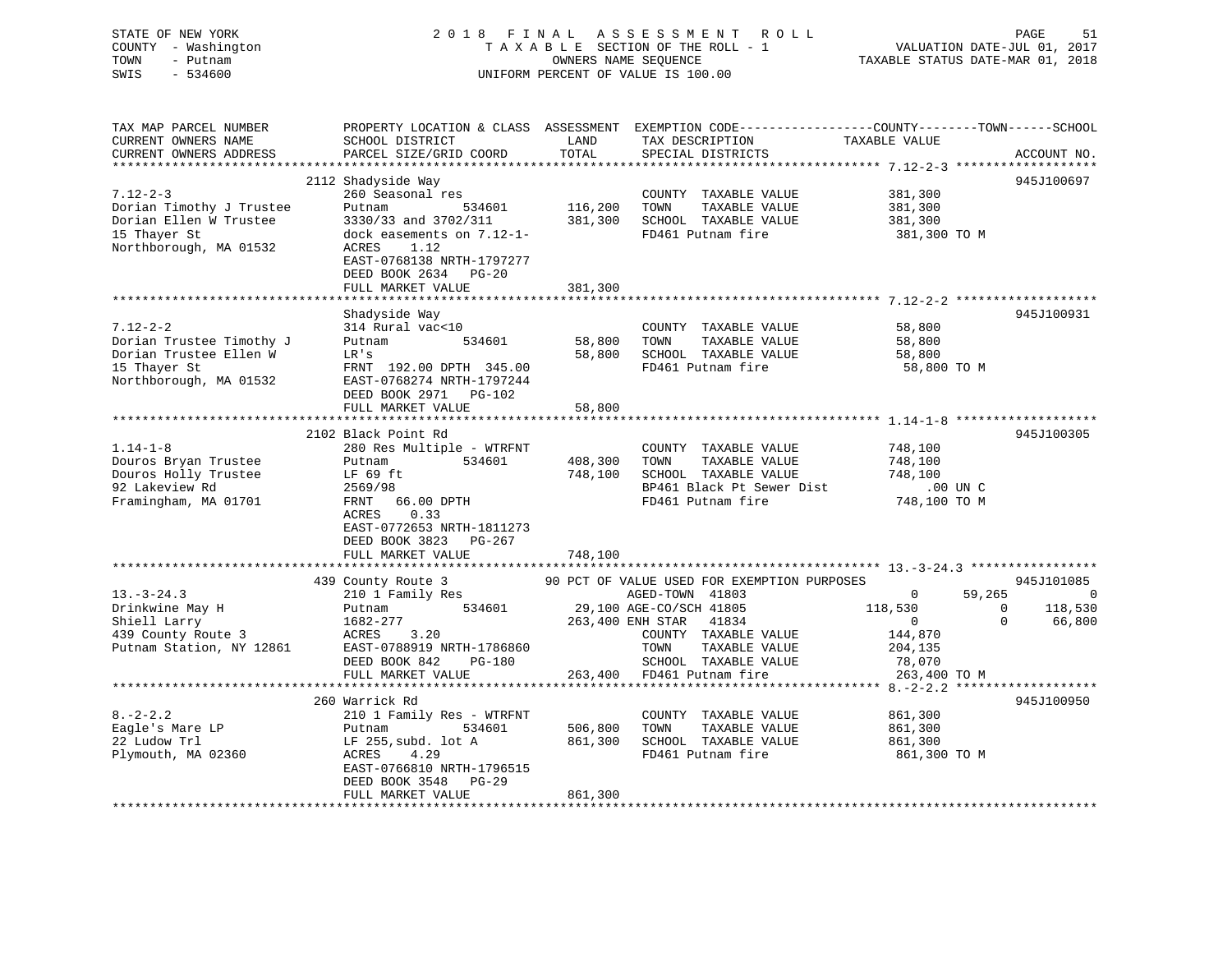### STATE OF NEW YORK 2 0 1 8 F I N A L A S S E S S M E N T R O L L PAGE 51 COUNTY - Washington T A X A B L E SECTION OF THE ROLL - 1 VALUATION DATE-JUL 01, 2017 TOWN - Putnam **CONNERS NAME SEQUENCE** TAXABLE STATUS DATE-MAR 01, 2018 SWIS - 534600 UNIFORM PERCENT OF VALUE IS 100.00

| TAX MAP PARCEL NUMBER<br>CURRENT OWNERS NAME<br>CURRENT OWNERS ADDRESS | PROPERTY LOCATION & CLASS ASSESSMENT EXEMPTION CODE----------------COUNTY-------TOWN------SCHOOL<br>SCHOOL DISTRICT<br>PARCEL SIZE/GRID COORD | LAND<br>TOTAL | TAX DESCRIPTION<br>SPECIAL DISTRICTS          | TAXABLE VALUE            | ACCOUNT NO.    |
|------------------------------------------------------------------------|-----------------------------------------------------------------------------------------------------------------------------------------------|---------------|-----------------------------------------------|--------------------------|----------------|
| ******************                                                     | **************************                                                                                                                    |               |                                               |                          |                |
| $7.12 - 2 - 3$<br>Dorian Timothy J Trustee                             | 2112 Shadyside Way<br>260 Seasonal res<br>Putnam<br>534601                                                                                    | 116,200       | COUNTY TAXABLE VALUE<br>TOWN<br>TAXABLE VALUE | 381,300<br>381,300       | 945J100697     |
| Dorian Ellen W Trustee                                                 | 3330/33 and 3702/311                                                                                                                          | 381,300       | SCHOOL TAXABLE VALUE                          | 381,300                  |                |
| 15 Thayer St                                                           | dock easements on 7.12-1-                                                                                                                     |               | FD461 Putnam fire                             | 381,300 TO M             |                |
| Northborough, MA 01532                                                 | ACRES<br>1.12<br>EAST-0768138 NRTH-1797277<br>DEED BOOK 2634 PG-20<br>FULL MARKET VALUE                                                       | 381,300       |                                               |                          |                |
|                                                                        |                                                                                                                                               |               |                                               |                          |                |
|                                                                        | Shadyside Way                                                                                                                                 |               |                                               |                          | 945J100931     |
| $7.12 - 2 - 2$                                                         | 314 Rural vac<10                                                                                                                              |               | COUNTY TAXABLE VALUE                          | 58,800                   |                |
| Dorian Trustee Timothy J                                               | 534601<br>Putnam                                                                                                                              | 58,800        | TOWN<br>TAXABLE VALUE                         | 58,800                   |                |
| Dorian Trustee Ellen W                                                 | LR's                                                                                                                                          | 58,800        | SCHOOL TAXABLE VALUE                          | 58,800                   |                |
| 15 Thayer St                                                           | FRNT 192.00 DPTH 345.00                                                                                                                       |               | FD461 Putnam fire                             | 58,800 TO M              |                |
| Northborough, MA 01532                                                 | EAST-0768274 NRTH-1797244<br>DEED BOOK 2971 PG-102                                                                                            |               |                                               |                          |                |
|                                                                        | FULL MARKET VALUE                                                                                                                             | 58,800        |                                               |                          |                |
|                                                                        | 2102 Black Point Rd                                                                                                                           |               |                                               |                          | 945J100305     |
| $1.14 - 1 - 8$                                                         | 280 Res Multiple - WTRFNT                                                                                                                     |               | COUNTY TAXABLE VALUE                          | 748,100                  |                |
| Douros Bryan Trustee                                                   | 534601<br>Putnam                                                                                                                              | 408,300       | TOWN<br>TAXABLE VALUE                         | 748,100                  |                |
| Douros Holly Trustee                                                   | LF 69 ft                                                                                                                                      | 748,100       | SCHOOL TAXABLE VALUE                          | 748,100                  |                |
| 92 Lakeview Rd                                                         | 2569/98                                                                                                                                       |               | BP461 Black Pt Sewer Dist                     | .00 UN C                 |                |
| Framingham, MA 01701                                                   | 66.00 DPTH<br>FRNT<br>0.33<br>ACRES<br>EAST-0772653 NRTH-1811273                                                                              |               | FD461 Putnam fire                             | 748,100 TO M             |                |
|                                                                        | DEED BOOK 3823 PG-267<br>FULL MARKET VALUE                                                                                                    | 748,100       |                                               |                          |                |
|                                                                        |                                                                                                                                               |               |                                               |                          |                |
|                                                                        | 439 County Route 3                                                                                                                            |               | 90 PCT OF VALUE USED FOR EXEMPTION PURPOSES   |                          | 945J101085     |
| $13. - 3 - 24.3$                                                       | 210 1 Family Res                                                                                                                              |               | AGED-TOWN 41803                               | $\Omega$<br>59,265       | $\overline{0}$ |
| Drinkwine May H                                                        | 534601<br>Putnam                                                                                                                              |               | 29,100 AGE-CO/SCH 41805                       | 118,530<br>$\Omega$      | 118,530        |
| Shiell Larry                                                           | 1682-277                                                                                                                                      |               | 263,400 ENH STAR<br>41834                     | $\mathbf{0}$<br>$\Omega$ | 66,800         |
| 439 County Route 3                                                     | 3.20<br>ACRES                                                                                                                                 |               | COUNTY TAXABLE VALUE                          | 144,870                  |                |
| Putnam Station, NY 12861                                               | EAST-0788919 NRTH-1786860                                                                                                                     |               | TAXABLE VALUE<br>TOWN                         | 204,135                  |                |
|                                                                        | DEED BOOK 842<br>PG-180                                                                                                                       |               | SCHOOL TAXABLE VALUE                          | 78,070                   |                |
|                                                                        | FULL MARKET VALUE                                                                                                                             | 263,400       | FD461 Putnam fire                             | 263,400 TO M             |                |
|                                                                        |                                                                                                                                               |               |                                               |                          |                |
|                                                                        | 260 Warrick Rd                                                                                                                                |               |                                               |                          | 945J100950     |
| $8. - 2 - 2.2$                                                         | 210 1 Family Res - WTRFNT                                                                                                                     |               | COUNTY TAXABLE VALUE                          | 861,300                  |                |
| Eagle's Mare LP                                                        | 534601<br>Putnam                                                                                                                              | 506,800       | TOWN<br>TAXABLE VALUE                         | 861,300                  |                |
| 22 Ludow Trl                                                           | LF 255, subd. lot A                                                                                                                           | 861,300       | SCHOOL TAXABLE VALUE                          | 861,300                  |                |
| Plymouth, MA 02360                                                     | 4.29<br>ACRES                                                                                                                                 |               | FD461 Putnam fire                             | 861,300 TO M             |                |
|                                                                        | EAST-0766810 NRTH-1796515<br>DEED BOOK 3548 PG-29                                                                                             |               |                                               |                          |                |
|                                                                        | FULL MARKET VALUE                                                                                                                             | 861,300       |                                               |                          |                |
|                                                                        |                                                                                                                                               |               |                                               |                          |                |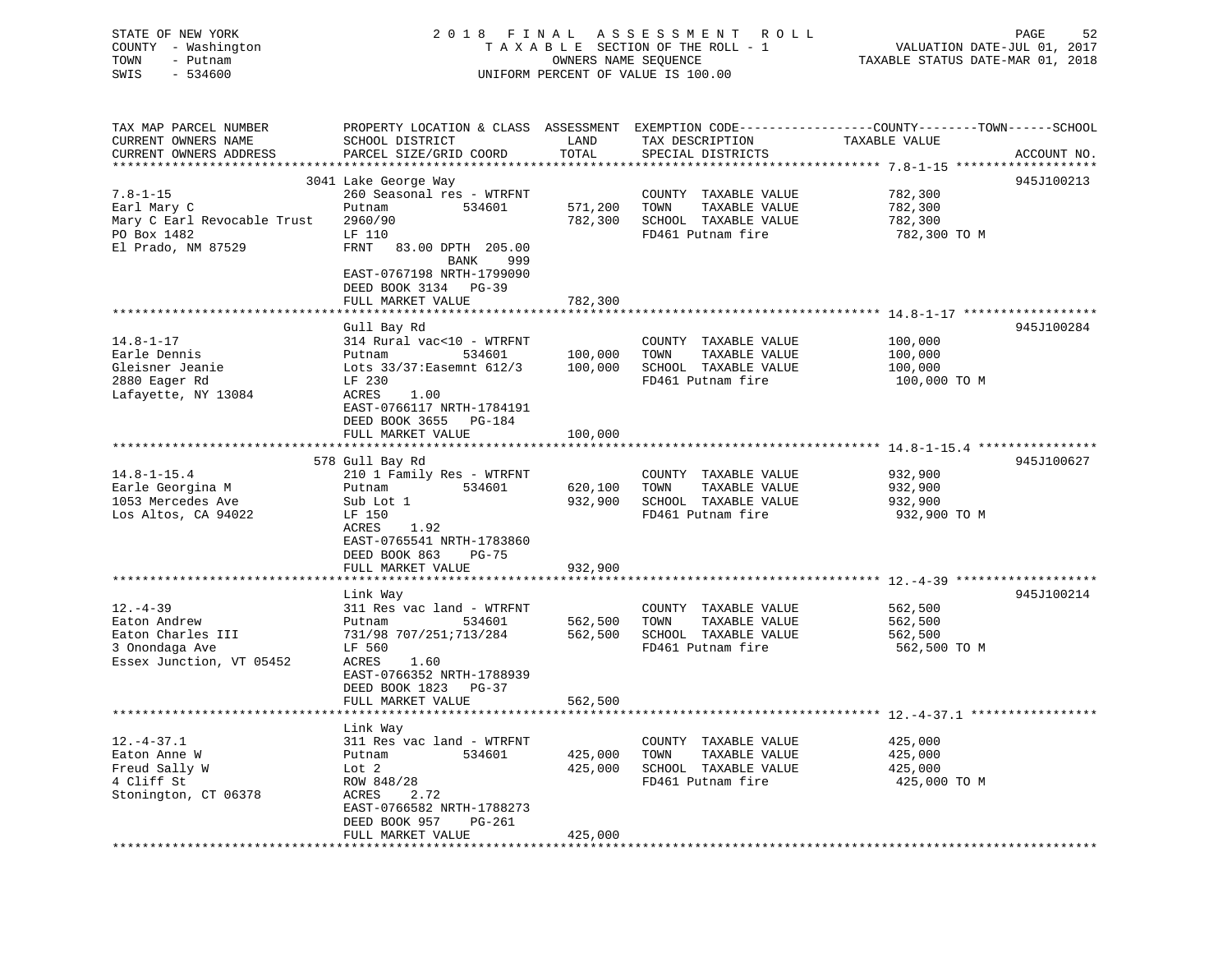| STATE OF NEW YORK<br>COUNTY - Washington<br>TOWN<br>- Putnam<br>SWIS<br>$-534600$                 |                                                                                                                                                                                                        | OWNERS NAME SEQUENCE          | 2018 FINAL ASSESSMENT ROLL<br>TAXABLE SECTION OF THE ROLL - 1<br>UNIFORM PERCENT OF VALUE IS 100.00 | 52<br>PAGE<br>VALUATION DATE-JUL 01, 2017<br>TAXABLE STATUS DATE-MAR 01, 2018                                                   |
|---------------------------------------------------------------------------------------------------|--------------------------------------------------------------------------------------------------------------------------------------------------------------------------------------------------------|-------------------------------|-----------------------------------------------------------------------------------------------------|---------------------------------------------------------------------------------------------------------------------------------|
| TAX MAP PARCEL NUMBER<br>CURRENT OWNERS NAME<br>CURRENT OWNERS ADDRESS                            | SCHOOL DISTRICT<br>PARCEL SIZE/GRID COORD                                                                                                                                                              | LAND<br>TOTAL                 | TAX DESCRIPTION<br>SPECIAL DISTRICTS                                                                | PROPERTY LOCATION & CLASS ASSESSMENT EXEMPTION CODE---------------COUNTY-------TOWN------SCHOOL<br>TAXABLE VALUE<br>ACCOUNT NO. |
| $7.8 - 1 - 15$<br>Earl Mary C<br>Mary C Earl Revocable Trust<br>PO Box 1482<br>El Prado, NM 87529 | 3041 Lake George Way<br>260 Seasonal res - WTRFNT<br>Putnam<br>534601<br>2960/90<br>LF 110<br>FRNT 83.00 DPTH 205.00<br>BANK<br>999<br>EAST-0767198 NRTH-1799090                                       | 571,200<br>782,300            | COUNTY TAXABLE VALUE<br>TOWN<br>TAXABLE VALUE<br>SCHOOL TAXABLE VALUE<br>FD461 Putnam fire          | 945J100213<br>782,300<br>782,300<br>782,300<br>782,300 TO M                                                                     |
|                                                                                                   | DEED BOOK 3134 PG-39<br>FULL MARKET VALUE                                                                                                                                                              | 782,300                       |                                                                                                     |                                                                                                                                 |
| $14.8 - 1 - 17$<br>Earle Dennis<br>Gleisner Jeanie<br>2880 Eager Rd<br>Lafayette, NY 13084        | Gull Bay Rd<br>314 Rural vac<10 - WTRFNT<br>Putnam<br>534601<br>Lots 33/37: Easemnt 612/3<br>LF 230<br><b>ACRES</b><br>1.00<br>EAST-0766117 NRTH-1784191<br>DEED BOOK 3655 PG-184<br>FULL MARKET VALUE | 100,000<br>100,000<br>100,000 | COUNTY TAXABLE VALUE<br>TAXABLE VALUE<br>TOWN<br>SCHOOL TAXABLE VALUE<br>FD461 Putnam fire          | 945J100284<br>100,000<br>100,000<br>100,000<br>100,000 TO M                                                                     |
| $14.8 - 1 - 15.4$<br>Earle Georgina M<br>1053 Mercedes Ave<br>Los Altos, CA 94022                 | 578 Gull Bay Rd<br>210 1 Family Res - WTRFNT<br>Putnam<br>534601<br>Sub Lot 1<br>LF 150<br>ACRES<br>1.92<br>EAST-0765541 NRTH-1783860<br>DEED BOOK 863<br>$PG-75$<br>FULL MARKET VALUE                 | 620,100<br>932,900<br>932,900 | COUNTY TAXABLE VALUE<br>TAXABLE VALUE<br>TOWN<br>SCHOOL TAXABLE VALUE<br>FD461 Putnam fire          | 945J100627<br>932,900<br>932,900<br>932,900<br>932,900 TO M                                                                     |
| $12. - 4 - 39$<br>Eaton Andrew<br>Eaton Charles III<br>3 Onondaga Ave<br>Essex Junction, VT 05452 | Link Way<br>311 Res vac land - WTRFNT<br>Putnam<br>534601<br>731/98 707/251;713/284<br>LF 560<br>1.60<br>ACRES<br>EAST-0766352 NRTH-1788939<br>DEED BOOK 1823 PG-37<br>FULL MARKET VALUE               | 562,500<br>562,500<br>562,500 | COUNTY TAXABLE VALUE<br>TOWN<br>TAXABLE VALUE<br>SCHOOL TAXABLE VALUE<br>FD461 Putnam fire          | 945J100214<br>562,500<br>562,500<br>562,500<br>562,500 TO M                                                                     |
|                                                                                                   | Link Way                                                                                                                                                                                               |                               |                                                                                                     |                                                                                                                                 |

|                      | FULL MAKALI VALUL         | 502,500           |                   |              |  |
|----------------------|---------------------------|-------------------|-------------------|--------------|--|
|                      | Link Way                  |                   |                   |              |  |
| 12.-4-37.1           | 311 Res vac land - WTRFNT | COUNTY            | TAXABLE VALUE     | 425,000      |  |
| Eaton Anne W         | 534601<br>Putnam          | 425,000<br>TOWN   | TAXABLE VALUE     | 425,000      |  |
| Freud Sally W        | Lot 2                     | 425,000<br>SCHOOL | TAXABLE VALUE     | 425,000      |  |
| 4 Cliff St           | ROW 848/28                |                   | FD461 Putnam fire | 425,000 TO M |  |
| Stonington, CT 06378 | 2.72<br>ACRES             |                   |                   |              |  |
|                      | EAST-0766582 NRTH-1788273 |                   |                   |              |  |
|                      | DEED BOOK 957<br>PG-261   |                   |                   |              |  |
|                      | FULL MARKET VALUE         | 425,000           |                   |              |  |
|                      |                           |                   |                   |              |  |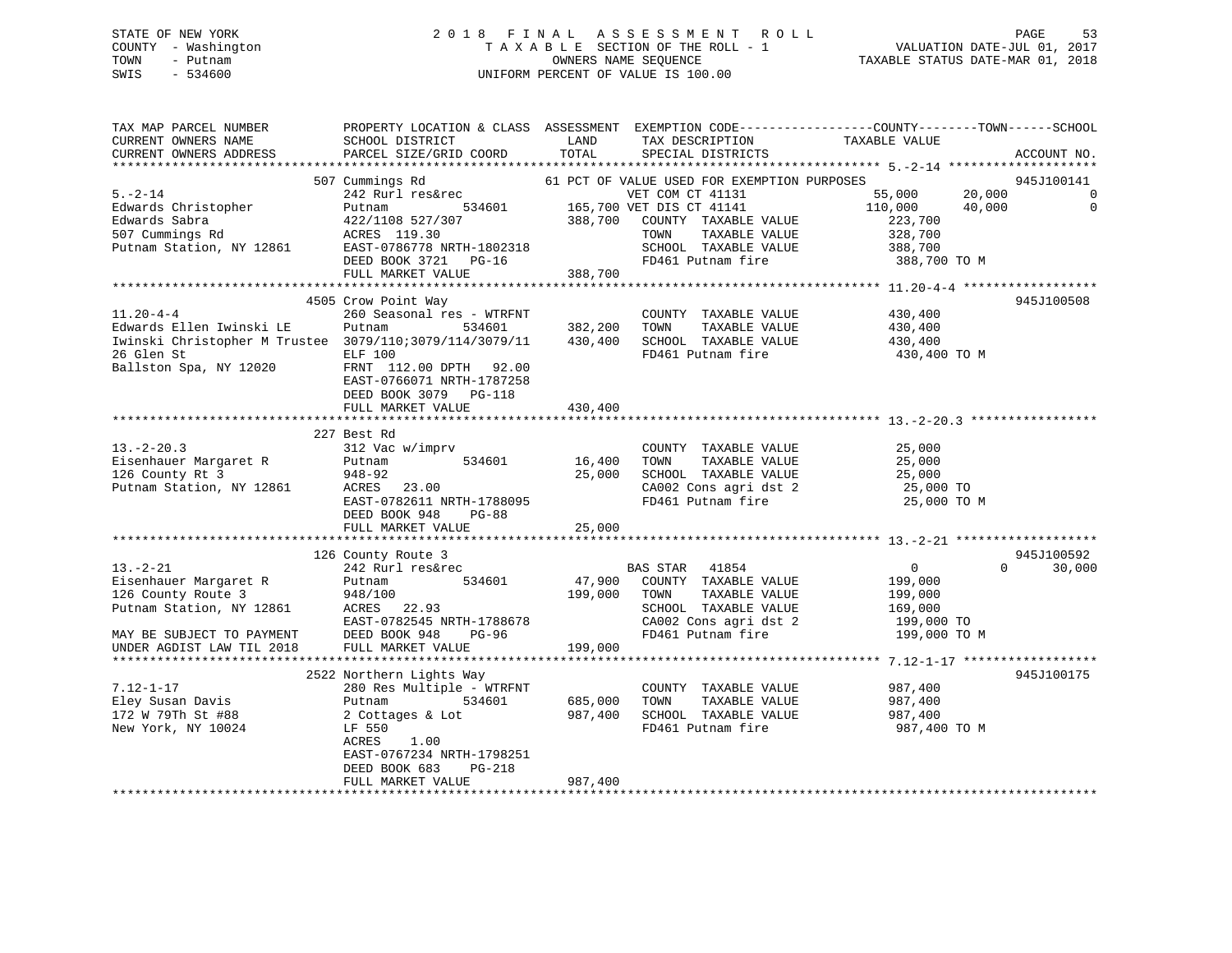### STATE OF NEW YORK 2 0 1 8 F I N A L A S S E S S M E N T R O L L PAGE 53 COUNTY - Washington T A X A B L E SECTION OF THE ROLL - 1 VALUATION DATE-JUL 01, 2017 TOWN - Putnam OWNERS NAME SEQUENCE TAXABLE STATUS DATE-MAR 01, 2018 SWIS - 534600 UNIFORM PERCENT OF VALUE IS 100.00

| TAX MAP PARCEL NUMBER<br>CURRENT OWNERS NAME<br>CURRENT OWNERS ADDRESS                                                                                                                                                                    | PROPERTY LOCATION & CLASS ASSESSMENT EXEMPTION CODE----------------COUNTY-------TOWN------SCHOOL<br>SCHOOL DISTRICT LAND<br>PARCEL SIZE/GRID COORD | TOTAL        | TAX DESCRIPTION<br>SPECIAL DISTRICTS                                    | TAXABLE VALUE                                  | ACCOUNT NO.        |
|-------------------------------------------------------------------------------------------------------------------------------------------------------------------------------------------------------------------------------------------|----------------------------------------------------------------------------------------------------------------------------------------------------|--------------|-------------------------------------------------------------------------|------------------------------------------------|--------------------|
|                                                                                                                                                                                                                                           |                                                                                                                                                    |              |                                                                         |                                                |                    |
|                                                                                                                                                                                                                                           | 507 Cummings Rd                                                                                                                                    |              | 61 PCT OF VALUE USED FOR EXEMPTION PURPOSES                             |                                                | 945J100141         |
| $5. - 2 - 14$                                                                                                                                                                                                                             |                                                                                                                                                    |              | VET COM CT 41131                                                        | 55,000 20,000                                  | $\overline{0}$     |
|                                                                                                                                                                                                                                           | 242 Rurl res&rec<br>Putnam 534601 165,700 VET DIS CT 41131                                                                                         |              |                                                                         |                                                | $\overline{0}$     |
|                                                                                                                                                                                                                                           |                                                                                                                                                    |              |                                                                         |                                                |                    |
|                                                                                                                                                                                                                                           |                                                                                                                                                    |              | TOWN<br>TAXABLE VALUE                                                   | 328,700                                        |                    |
|                                                                                                                                                                                                                                           |                                                                                                                                                    |              | SCHOOL TAXABLE VALUE 388,700                                            |                                                |                    |
|                                                                                                                                                                                                                                           |                                                                                                                                                    |              | FD461 Putnam fire                                                       | 388,700 TO M                                   |                    |
| 5.-2-14<br>Edwards Christopher Putnam 527/307 388,700<br>Edwards Sabra 422/1108 527/307 388,700<br>507 Cummings Rd ACRES 119.30<br>Putnam Station, NY 12861 EAST-0786778 NRTH-1802318<br>DEED BOOK 3721 PG-16<br>THE MADKET VALUE 388,700 |                                                                                                                                                    |              |                                                                         |                                                |                    |
|                                                                                                                                                                                                                                           | 4505 Crow Point Way                                                                                                                                |              |                                                                         |                                                | 945J100508         |
| $11.20 - 4 - 4$                                                                                                                                                                                                                           | 260 Seasonal res - WTRFNT                                                                                                                          |              | COUNTY TAXABLE VALUE 430,400                                            |                                                |                    |
|                                                                                                                                                                                                                                           |                                                                                                                                                    |              |                                                                         |                                                |                    |
| Edwards Ellen Iwinski LE    Putnam        534601      382,200   TOWN   TAXABLE VALUE               430,400<br>Iwinski Christopher M Trustee   3079/110:3079/114/3079/11     430,400   SCHOOL TAXABLE VALUE                 430,40         |                                                                                                                                                    |              |                                                                         |                                                |                    |
|                                                                                                                                                                                                                                           |                                                                                                                                                    |              | FD461 Putnam fire                                                       | 430,400 TO M                                   |                    |
|                                                                                                                                                                                                                                           |                                                                                                                                                    |              |                                                                         |                                                |                    |
|                                                                                                                                                                                                                                           | EAST-0766071 NRTH-1787258                                                                                                                          |              |                                                                         |                                                |                    |
|                                                                                                                                                                                                                                           | DEED BOOK 3079 PG-118                                                                                                                              |              |                                                                         |                                                |                    |
|                                                                                                                                                                                                                                           | FULL MARKET VALUE                                                                                                                                  | 430,400      |                                                                         |                                                |                    |
|                                                                                                                                                                                                                                           |                                                                                                                                                    |              |                                                                         |                                                |                    |
|                                                                                                                                                                                                                                           | 227 Best Rd                                                                                                                                        |              |                                                                         |                                                |                    |
|                                                                                                                                                                                                                                           | 312 Vac w/imprv                                                                                                                                    | 16,400       | COUNTY TAXABLE VALUE<br>TOWN TAXABLE VALUE 25,000                       |                                                |                    |
|                                                                                                                                                                                                                                           | 534601                                                                                                                                             |              |                                                                         |                                                |                    |
|                                                                                                                                                                                                                                           |                                                                                                                                                    | 25,000       | SCHOOL TAXABLE VALUE $25,000$<br>CA002 Cons agri dst 2 25,000 TO        |                                                |                    |
| 948-92<br>Putnam Station, NY 12861 ACRES 23.00                                                                                                                                                                                            |                                                                                                                                                    |              | FD461 Putnam fire                                                       |                                                |                    |
|                                                                                                                                                                                                                                           | EAST-0782611 NRTH-1788095<br>DEED BOOK 948 PG-88                                                                                                   |              |                                                                         | 25,000 TO M                                    |                    |
|                                                                                                                                                                                                                                           | FULL MARKET VALUE                                                                                                                                  | 25,000       |                                                                         |                                                |                    |
|                                                                                                                                                                                                                                           |                                                                                                                                                    |              |                                                                         |                                                |                    |
|                                                                                                                                                                                                                                           | 126 County Route 3                                                                                                                                 |              |                                                                         |                                                | 945J100592         |
| $13 - 2 - 21$                                                                                                                                                                                                                             | 242 Rurl res&rec                                                                                                                                   |              | BAS STAR 41854                                                          | $\overline{0}$                                 | $\Omega$<br>30,000 |
|                                                                                                                                                                                                                                           | 534601                                                                                                                                             |              | 47,900 COUNTY TAXABLE VALUE                                             | 199,000                                        |                    |
|                                                                                                                                                                                                                                           |                                                                                                                                                    | 199,000 TOWN | TAXABLE VALUE                                                           | 199,000                                        |                    |
| Eisenhauer Margaret R<br>126 County Route 3 948/100<br>Putnam Station, NY 12861 ACRES 22.93<br>ROBER 2020 LE PROFILE PROFILE PROFILE PROFILE                                                                                              |                                                                                                                                                    |              | SCHOOL TAXABLE VALUE                                                    | 169,000                                        |                    |
|                                                                                                                                                                                                                                           | EAST-0782545 NRTH-1788678                                                                                                                          |              | CA002 Cons agri dst 2 199,000 TO                                        |                                                |                    |
| MAY BE SUBJECT TO PAYMENT                                                                                                                                                                                                                 | DEED BOOK 948<br>$PG-96$                                                                                                                           |              | FD461 Putnam fire                                                       | 199,000 TO M                                   |                    |
| UNDER AGDIST LAW TIL 2018                                                                                                                                                                                                                 | FULL MARKET VALUE                                                                                                                                  | 199,000      |                                                                         |                                                |                    |
|                                                                                                                                                                                                                                           |                                                                                                                                                    |              |                                                                         |                                                |                    |
|                                                                                                                                                                                                                                           | 2522 Northern Lights Way                                                                                                                           |              |                                                                         |                                                | 945J100175         |
| $7.12 - 1 - 17$                                                                                                                                                                                                                           | 280 Res Multiple - WTRFNT                                                                                                                          |              | COUNTY TAXABLE VALUE 987,400                                            |                                                |                    |
| Eley Susan Davis                                                                                                                                                                                                                          | 534601<br>Putnam                                                                                                                                   |              | 685,000    TOWN      TAXABLE VALUE<br>987,400    SCHOOL   TAXABLE VALUE | TAXABLE VALUE 987,400<br>TAXABLE VALUE 987,400 |                    |
| 172 W 79Th St #88<br>New York, NY 10024                                                                                                                                                                                                   | 2 Cottages & Lot<br>LF 550                                                                                                                         |              |                                                                         |                                                |                    |
|                                                                                                                                                                                                                                           | ACRES<br>1.00                                                                                                                                      |              | FD461 Putnam fire 987,400 TO M                                          |                                                |                    |
|                                                                                                                                                                                                                                           | EAST-0767234 NRTH-1798251                                                                                                                          |              |                                                                         |                                                |                    |
|                                                                                                                                                                                                                                           | DEED BOOK 683<br>PG-218                                                                                                                            |              |                                                                         |                                                |                    |
|                                                                                                                                                                                                                                           | FULL MARKET VALUE                                                                                                                                  | 987,400      |                                                                         |                                                |                    |
|                                                                                                                                                                                                                                           |                                                                                                                                                    |              |                                                                         |                                                |                    |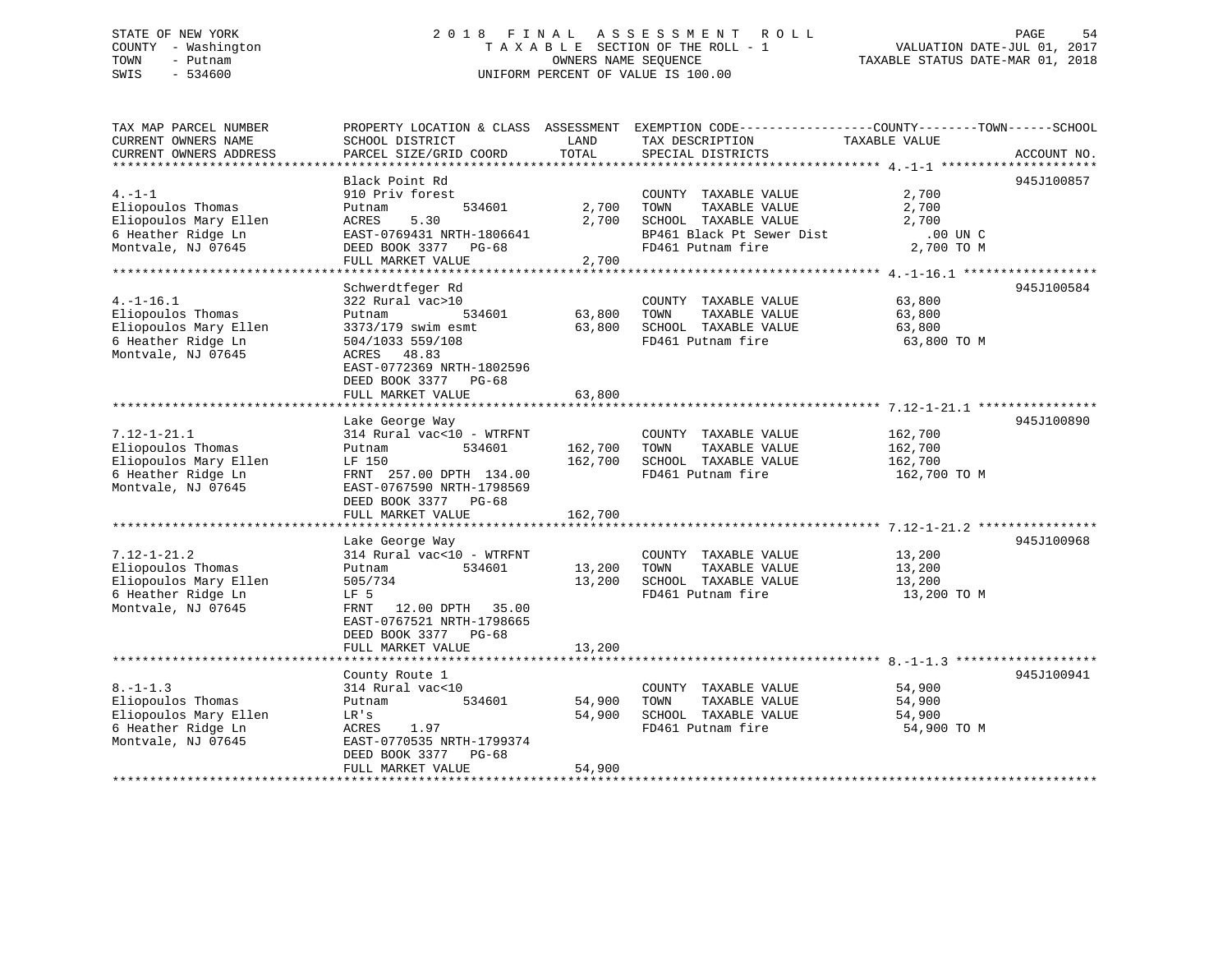### STATE OF NEW YORK 2 0 1 8 F I N A L A S S E S S M E N T R O L L PAGE 54 COUNTY - Washington T A X A B L E SECTION OF THE ROLL - 1 VALUATION DATE-JUL 01, 2017 TOWN - Putnam OWNERS NAME SEQUENCE TAXABLE STATUS DATE-MAR 01, 2018 SWIS - 534600 UNIFORM PERCENT OF VALUE IS 100.00

| TAX MAP PARCEL NUMBER  | PROPERTY LOCATION & CLASS ASSESSMENT |         | EXEMPTION CODE-----------------COUNTY-------TOWN------SCHOOL |               |             |
|------------------------|--------------------------------------|---------|--------------------------------------------------------------|---------------|-------------|
| CURRENT OWNERS NAME    | SCHOOL DISTRICT                      | LAND    | TAX DESCRIPTION                                              | TAXABLE VALUE |             |
| CURRENT OWNERS ADDRESS | PARCEL SIZE/GRID COORD               | TOTAL   | SPECIAL DISTRICTS                                            |               | ACCOUNT NO. |
| ********************** |                                      |         |                                                              |               |             |
|                        | Black Point Rd                       |         |                                                              |               | 945J100857  |
| $4. -1 -1$             | 910 Priv forest                      |         | COUNTY TAXABLE VALUE                                         | 2,700         |             |
| Eliopoulos Thomas      | 534601<br>Putnam                     | 2,700   | TOWN<br>TAXABLE VALUE                                        | 2,700         |             |
| Eliopoulos Mary Ellen  | ACRES<br>5.30                        | 2,700   | SCHOOL TAXABLE VALUE                                         | 2,700         |             |
| 6 Heather Ridge Ln     | EAST-0769431 NRTH-1806641            |         | BP461 Black Pt Sewer Dist                                    | $.00$ UN $C$  |             |
| Montvale, NJ 07645     | DEED BOOK 3377<br>$PG-68$            |         | FD461 Putnam fire                                            | 2,700 TO M    |             |
|                        | FULL MARKET VALUE                    | 2,700   |                                                              |               |             |
|                        |                                      |         |                                                              |               |             |
|                        | Schwerdtfeger Rd                     |         |                                                              |               | 945J100584  |
| $4. -1 - 16.1$         | 322 Rural vac>10                     |         | COUNTY TAXABLE VALUE                                         | 63,800        |             |
| Eliopoulos Thomas      | 534601<br>Putnam                     | 63,800  | TOWN<br>TAXABLE VALUE                                        | 63,800        |             |
| Eliopoulos Mary Ellen  | 3373/179 swim esmt                   | 63,800  | SCHOOL TAXABLE VALUE                                         | 63,800        |             |
| 6 Heather Ridge Ln     | 504/1033 559/108                     |         | FD461 Putnam fire                                            | 63,800 TO M   |             |
| Montvale, NJ 07645     | 48.83<br>ACRES                       |         |                                                              |               |             |
|                        | EAST-0772369 NRTH-1802596            |         |                                                              |               |             |
|                        | DEED BOOK 3377 PG-68                 |         |                                                              |               |             |
|                        | FULL MARKET VALUE                    | 63,800  |                                                              |               |             |
|                        |                                      |         |                                                              |               |             |
|                        | Lake George Way                      |         |                                                              |               | 945J100890  |
| $7.12 - 1 - 21.1$      | 314 Rural vac<10 - WTRFNT            |         | COUNTY TAXABLE VALUE                                         | 162,700       |             |
| Eliopoulos Thomas      | 534601<br>Putnam                     | 162,700 | TOWN<br>TAXABLE VALUE                                        | 162,700       |             |
| Eliopoulos Mary Ellen  | LF 150                               | 162,700 | SCHOOL TAXABLE VALUE                                         | 162,700       |             |
| 6 Heather Ridge Ln     | FRNT 257.00 DPTH 134.00              |         | FD461 Putnam fire                                            | 162,700 TO M  |             |
| Montvale, NJ 07645     | EAST-0767590 NRTH-1798569            |         |                                                              |               |             |
|                        | DEED BOOK 3377<br>$PG-68$            |         |                                                              |               |             |
|                        | FULL MARKET VALUE                    | 162,700 |                                                              |               |             |
|                        |                                      |         |                                                              |               |             |
|                        | Lake George Way                      |         |                                                              |               | 945J100968  |
| $7.12 - 1 - 21.2$      | 314 Rural vac<10 - WTRFNT            |         | COUNTY TAXABLE VALUE                                         | 13,200        |             |
| Eliopoulos Thomas      | 534601<br>Putnam                     | 13,200  | TAXABLE VALUE<br>TOWN                                        | 13,200        |             |
| Eliopoulos Mary Ellen  | 505/734                              | 13,200  | SCHOOL TAXABLE VALUE                                         | 13,200        |             |
| 6 Heather Ridge Ln     | LF 5                                 |         | FD461 Putnam fire                                            | 13,200 TO M   |             |
| Montvale, NJ 07645     | 12.00 DPTH 35.00<br>FRNT             |         |                                                              |               |             |
|                        | EAST-0767521 NRTH-1798665            |         |                                                              |               |             |
|                        | DEED BOOK 3377<br>$PG-68$            |         |                                                              |               |             |
|                        | FULL MARKET VALUE                    | 13,200  |                                                              |               |             |
|                        |                                      |         |                                                              |               |             |
|                        | County Route 1                       |         |                                                              |               | 945J100941  |
| $8. - 1 - 1.3$         | 314 Rural vac<10                     |         | COUNTY TAXABLE VALUE                                         | 54,900        |             |
| Eliopoulos Thomas      | 534601<br>Putnam                     | 54,900  | TAXABLE VALUE<br>TOWN                                        | 54,900        |             |
| Eliopoulos Mary Ellen  | LR's                                 | 54,900  | SCHOOL TAXABLE VALUE                                         | 54,900        |             |
| 6 Heather Ridge Ln     | ACRES<br>1.97                        |         | FD461 Putnam fire                                            | 54,900 TO M   |             |
| Montvale, NJ 07645     | EAST-0770535 NRTH-1799374            |         |                                                              |               |             |
|                        | DEED BOOK 3377<br>$PG-68$            |         |                                                              |               |             |
|                        | FULL MARKET VALUE                    | 54,900  |                                                              |               |             |
|                        |                                      |         |                                                              |               |             |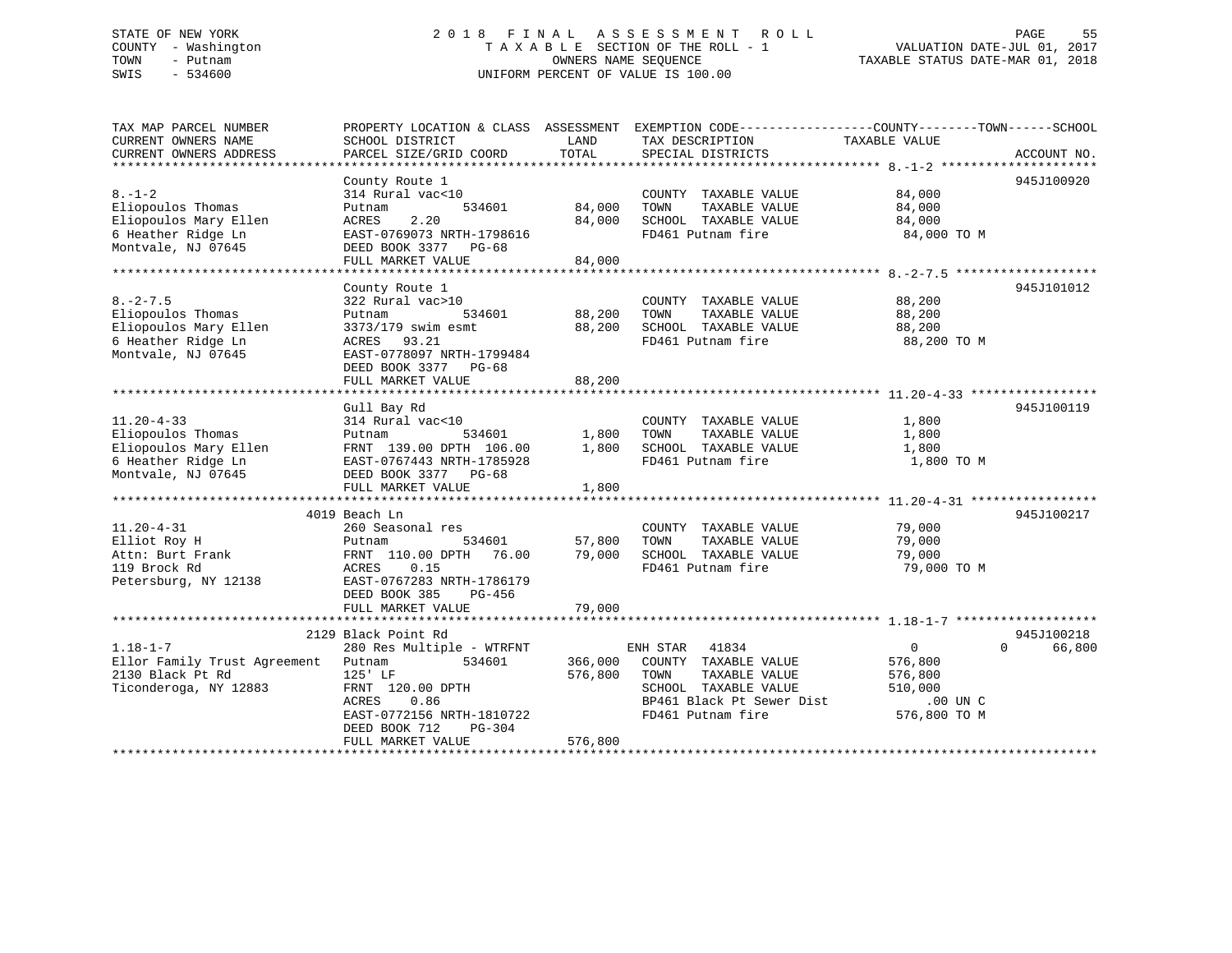### STATE OF NEW YORK 2 0 1 8 F I N A L A S S E S S M E N T R O L L PAGE 55 COUNTY - Washington T A X A B L E SECTION OF THE ROLL - 1 VALUATION DATE-JUL 01, 2017 TOWN - Putnam OWNERS NAME SEQUENCE TAXABLE STATUS DATE-MAR 01, 2018 SWIS - 534600 UNIFORM PERCENT OF VALUE IS 100.00

| TAX MAP PARCEL NUMBER<br>CURRENT OWNERS NAME<br>CURRENT OWNERS ADDRESS                                     | PROPERTY LOCATION & CLASS ASSESSMENT EXEMPTION CODE----------------COUNTY-------TOWN------SCHOOL<br>SCHOOL DISTRICT<br>PARCEL SIZE/GRID COORD                                                     | LAND<br>TOTAL                 | TAX DESCRIPTION<br>SPECIAL DISTRICTS                                                                                                         | TAXABLE VALUE                                                                 | ACCOUNT NO.                      |
|------------------------------------------------------------------------------------------------------------|---------------------------------------------------------------------------------------------------------------------------------------------------------------------------------------------------|-------------------------------|----------------------------------------------------------------------------------------------------------------------------------------------|-------------------------------------------------------------------------------|----------------------------------|
| $8. - 1 - 2$<br>Eliopoulos Thomas<br>Eliopoulos Mary Ellen<br>6 Heather Ridge Ln<br>Montvale, NJ 07645     | County Route 1<br>314 Rural vac<10<br>534601<br>Putnam<br>2.20<br>ACRES<br>EAST-0769073 NRTH-1798616<br>DEED BOOK 3377 PG-68<br>FULL MARKET VALUE                                                 | 84,000<br>84,000<br>84,000    | COUNTY TAXABLE VALUE<br>TAXABLE VALUE<br>TOWN<br>SCHOOL TAXABLE VALUE<br>FD461 Putnam fire                                                   | 84,000<br>84,000<br>84,000<br>84,000 TO M                                     | 945J100920                       |
| $8. -2 - 7.5$<br>Eliopoulos Thomas<br>Eliopoulos Mary Ellen<br>6 Heather Ridge Ln<br>Montvale, NJ 07645    | County Route 1<br>322 Rural vac>10<br>Putnam<br>534601<br>3373/179 swim esmt<br>ACRES 93.21<br>EAST-0778097 NRTH-1799484<br>DEED BOOK 3377 PG-68<br>FULL MARKET VALUE                             | 88,200<br>88,200<br>88,200    | COUNTY TAXABLE VALUE<br>TAXABLE VALUE<br>TOWN<br>SCHOOL TAXABLE VALUE<br>FD461 Putnam fire                                                   | 88,200<br>88,200<br>88,200<br>88,200 TO M                                     | 945J101012                       |
| $11.20 - 4 - 33$<br>Eliopoulos Thomas<br>Eliopoulos Mary Ellen<br>6 Heather Ridge Ln<br>Montvale, NJ 07645 | Gull Bay Rd<br>314 Rural vac<10<br>Putnam<br>534601<br>FRNT 139.00 DPTH 106.00<br>EAST-0767443 NRTH-1785928<br>DEED BOOK 3377 PG-68<br>FULL MARKET VALUE                                          | 1,800<br>1,800<br>1,800       | COUNTY TAXABLE VALUE<br>TOWN<br>TAXABLE VALUE<br>SCHOOL TAXABLE VALUE<br>FD461 Putnam fire                                                   | 1,800<br>1,800<br>1,800<br>1,800 TO M                                         | 945J100119                       |
| $11.20 - 4 - 31$<br>Elliot Roy H<br>Attn: Burt Frank<br>119 Brock Rd<br>Petersburg, NY 12138               | 4019 Beach Ln<br>260 Seasonal res<br>534601<br>Putnam<br>FRNT 110.00 DPTH 76.00<br>ACRES<br>0.15<br>EAST-0767283 NRTH-1786179<br>DEED BOOK 385<br>PG-456<br>FULL MARKET VALUE                     | 57,800<br>79,000<br>79,000    | COUNTY TAXABLE VALUE<br>TOWN<br>TAXABLE VALUE<br>SCHOOL TAXABLE VALUE<br>FD461 Putnam fire                                                   | 79,000<br>79,000<br>79,000<br>79,000 TO M                                     | 945J100217                       |
| $1.18 - 1 - 7$<br>Ellor Family Trust Agreement<br>2130 Black Pt Rd<br>Ticonderoga, NY 12883                | 2129 Black Point Rd<br>280 Res Multiple - WTRFNT<br>Putnam<br>534601<br>125' LF<br>FRNT 120.00 DPTH<br>ACRES<br>0.86<br>EAST-0772156 NRTH-1810722<br>DEED BOOK 712<br>PG-304<br>FULL MARKET VALUE | 366,000<br>576,800<br>576,800 | ENH STAR<br>41834<br>COUNTY TAXABLE VALUE<br>TAXABLE VALUE<br>TOWN<br>SCHOOL TAXABLE VALUE<br>BP461 Black Pt Sewer Dist<br>FD461 Putnam fire | $\overline{0}$<br>576,800<br>576,800<br>510,000<br>$.00$ UN C<br>576,800 TO M | 945J100218<br>66,800<br>$\Omega$ |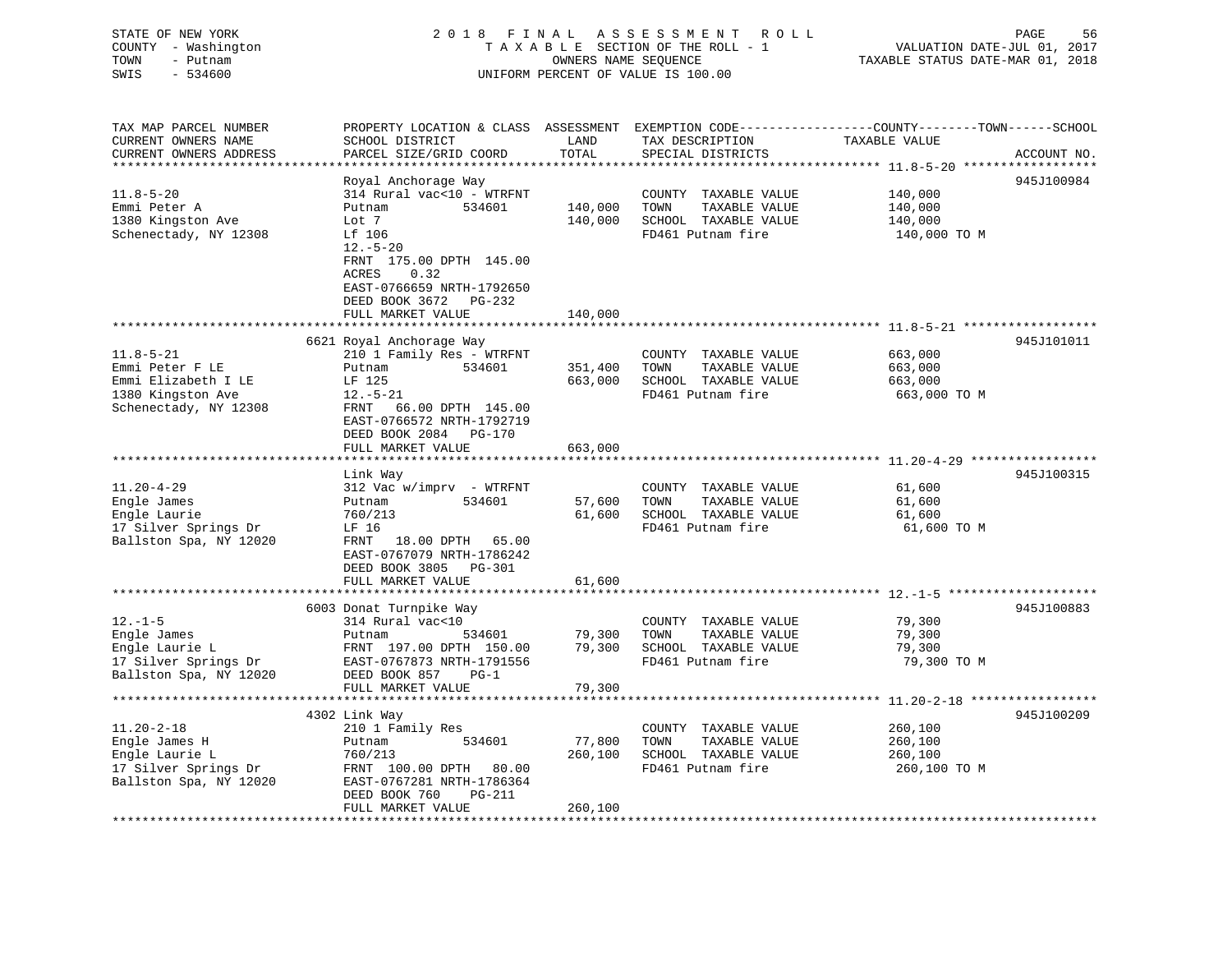| COUNTY - Washington<br>TOWN<br>- Putnam<br>SWIS<br>$-534600$ |                                                                                                       | OWNERS NAME SEQUENCE | TAXABLE SECTION OF THE ROLL - 1<br>UNIFORM PERCENT OF VALUE IS 100.00 | VALUATION DATE-JUL 01, 2017<br>TAXABLE STATUS DATE-MAR 01, 2018                                  |
|--------------------------------------------------------------|-------------------------------------------------------------------------------------------------------|----------------------|-----------------------------------------------------------------------|--------------------------------------------------------------------------------------------------|
| TAX MAP PARCEL NUMBER                                        |                                                                                                       |                      |                                                                       | PROPERTY LOCATION & CLASS ASSESSMENT EXEMPTION CODE----------------COUNTY-------TOWN------SCHOOL |
| CURRENT OWNERS NAME<br>CURRENT OWNERS ADDRESS                | SCHOOL DISTRICT<br>PARCEL SIZE/GRID COORD                                                             | LAND<br>TOTAL        | TAX DESCRIPTION<br>SPECIAL DISTRICTS                                  | TAXABLE VALUE                                                                                    |
|                                                              |                                                                                                       |                      |                                                                       | ACCOUNT NO.                                                                                      |
|                                                              | Royal Anchorage Way                                                                                   |                      |                                                                       | 945J100984                                                                                       |
| $11.8 - 5 - 20$                                              | 314 Rural vac<10 - WTRFNT                                                                             |                      | COUNTY TAXABLE VALUE                                                  | 140,000                                                                                          |
| Emmi Peter A                                                 | Putnam<br>534601                                                                                      | 140,000              | TOWN<br>TAXABLE VALUE                                                 | 140,000                                                                                          |
| 1380 Kingston Ave                                            | Lot 7                                                                                                 | 140,000              | SCHOOL TAXABLE VALUE                                                  | 140,000                                                                                          |
| Schenectady, NY 12308                                        | Lf 106<br>$12.-5-20$                                                                                  |                      | FD461 Putnam fire                                                     | 140,000 TO M                                                                                     |
|                                                              | FRNT 175.00 DPTH 145.00                                                                               |                      |                                                                       |                                                                                                  |
|                                                              | ACRES<br>0.32                                                                                         |                      |                                                                       |                                                                                                  |
|                                                              | EAST-0766659 NRTH-1792650                                                                             |                      |                                                                       |                                                                                                  |
|                                                              | DEED BOOK 3672 PG-232                                                                                 |                      |                                                                       |                                                                                                  |
|                                                              | FULL MARKET VALUE                                                                                     | 140,000              |                                                                       |                                                                                                  |
|                                                              |                                                                                                       |                      |                                                                       |                                                                                                  |
|                                                              | 6621 Royal Anchorage Way                                                                              |                      |                                                                       | 945J101011                                                                                       |
| $11.8 - 5 - 21$                                              | 210 1 Family Res - WTRFNT                                                                             |                      | COUNTY TAXABLE VALUE                                                  | 663,000                                                                                          |
| Emmi Peter F LE                                              | 534601<br>Putnam                                                                                      | 351,400              | TOWN<br>TAXABLE VALUE                                                 | 663,000                                                                                          |
| Emmi Elizabeth I LE                                          | LF 125                                                                                                | 663,000              | SCHOOL TAXABLE VALUE                                                  | 663,000                                                                                          |
| 1380 Kingston Ave                                            | $12.-5-21$                                                                                            |                      | FD461 Putnam fire                                                     | 663,000 TO M                                                                                     |
| Schenectady, NY 12308                                        | FRNT<br>66.00 DPTH 145.00<br>EAST-0766572 NRTH-1792719                                                |                      |                                                                       |                                                                                                  |
|                                                              | DEED BOOK 2084 PG-170                                                                                 |                      |                                                                       |                                                                                                  |
|                                                              | FULL MARKET VALUE                                                                                     | 663,000              |                                                                       |                                                                                                  |
|                                                              |                                                                                                       |                      |                                                                       |                                                                                                  |
|                                                              | Link Way                                                                                              |                      |                                                                       | 945J100315                                                                                       |
| $11.20 - 4 - 29$                                             | 312 Vac w/imprv - WTRFNT                                                                              |                      | COUNTY TAXABLE VALUE                                                  | 61,600                                                                                           |
| Engle James                                                  | 534601<br>Putnam                                                                                      | 57,600               | TOWN<br>TAXABLE VALUE                                                 | 61,600                                                                                           |
| Engle Laurie                                                 | 760/213                                                                                               | 61,600               | SCHOOL TAXABLE VALUE                                                  | 61,600                                                                                           |
| 17 Silver Springs Dr                                         | LF 16                                                                                                 |                      | FD461 Putnam fire                                                     | 61,600 TO M                                                                                      |
| Ballston Spa, NY 12020                                       | FRNT<br>18.00 DPTH 65.00                                                                              |                      |                                                                       |                                                                                                  |
|                                                              | EAST-0767079 NRTH-1786242                                                                             |                      |                                                                       |                                                                                                  |
|                                                              | DEED BOOK 3805 PG-301                                                                                 |                      |                                                                       |                                                                                                  |
|                                                              | FULL MARKET VALUE                                                                                     | 61,600               |                                                                       |                                                                                                  |
|                                                              | 6003 Donat Turnpike Way                                                                               |                      |                                                                       | 945J100883                                                                                       |
| $12. - 1 - 5$                                                | 314 Rural vac<10                                                                                      |                      | COUNTY TAXABLE VALUE                                                  | 79,300                                                                                           |
| Engle James                                                  | 534601<br>Putnam                                                                                      | 79,300               | TOWN<br>TAXABLE VALUE                                                 | 79,300                                                                                           |
| Engle Laurie L                                               | FRNT 197.00 DPTH 150.00                                                                               | 79,300               | SCHOOL TAXABLE VALUE                                                  | 79,300                                                                                           |
| 17 Silver Springs Dr                                         | EAST-0767873 NRTH-1791556                                                                             |                      | FD461 Putnam fire                                                     | 79,300 TO M                                                                                      |
| Ballston Spa, NY 12020                                       | DEED BOOK 857<br>$PG-1$                                                                               |                      |                                                                       |                                                                                                  |
|                                                              | FULL MARKET VALUE                                                                                     | 79,300               |                                                                       |                                                                                                  |
|                                                              |                                                                                                       |                      |                                                                       |                                                                                                  |
|                                                              | 4302 Link Way                                                                                         |                      |                                                                       | 945J100209                                                                                       |
| $11.20 - 2 - 18$                                             | 210 1 Family Res                                                                                      |                      | COUNTY TAXABLE VALUE                                                  | 260,100                                                                                          |
| Engle James H                                                | 534601<br>Putnam                                                                                      | 77,800               | TAXABLE VALUE<br>TOWN                                                 | 260,100                                                                                          |
| Engle Laurie L                                               | 760/213                                                                                               | 260,100              | SCHOOL TAXABLE VALUE                                                  | 260,100                                                                                          |
| 17 Silver Springs Dr                                         | FRNT 100.00 DPTH 80.00                                                                                |                      | FD461 Putnam fire                                                     | 260,100 TO M                                                                                     |
| Ballston Spa, NY 12020                                       | EAST-0767281 NRTH-1786364<br>ר מת החידת החידת החידת החידת החידת החידת החידת החידת החידת החידת החידת ה |                      |                                                                       |                                                                                                  |

 DEED BOOK 760 PG-211 FULL MARKET VALUE 260,100 \*\*\*\*\*\*\*\*\*\*\*\*\*\*\*\*\*\*\*\*\*\*\*\*\*\*\*\*\*\*\*\*\*\*\*\*\*\*\*\*\*\*\*\*\*\*\*\*\*\*\*\*\*\*\*\*\*\*\*\*\*\*\*\*\*\*\*\*\*\*\*\*\*\*\*\*\*\*\*\*\*\*\*\*\*\*\*\*\*\*\*\*\*\*\*\*\*\*\*\*\*\*\*\*\*\*\*\*\*\*\*\*\*\*\*\*\*\*\*\*\*\*\*\*\*\*\*\*\*\*\*\*

# STATE OF NEW YORK 2 0 1 8 F I N A L A S S E S S M E N T R O L L PAGE 56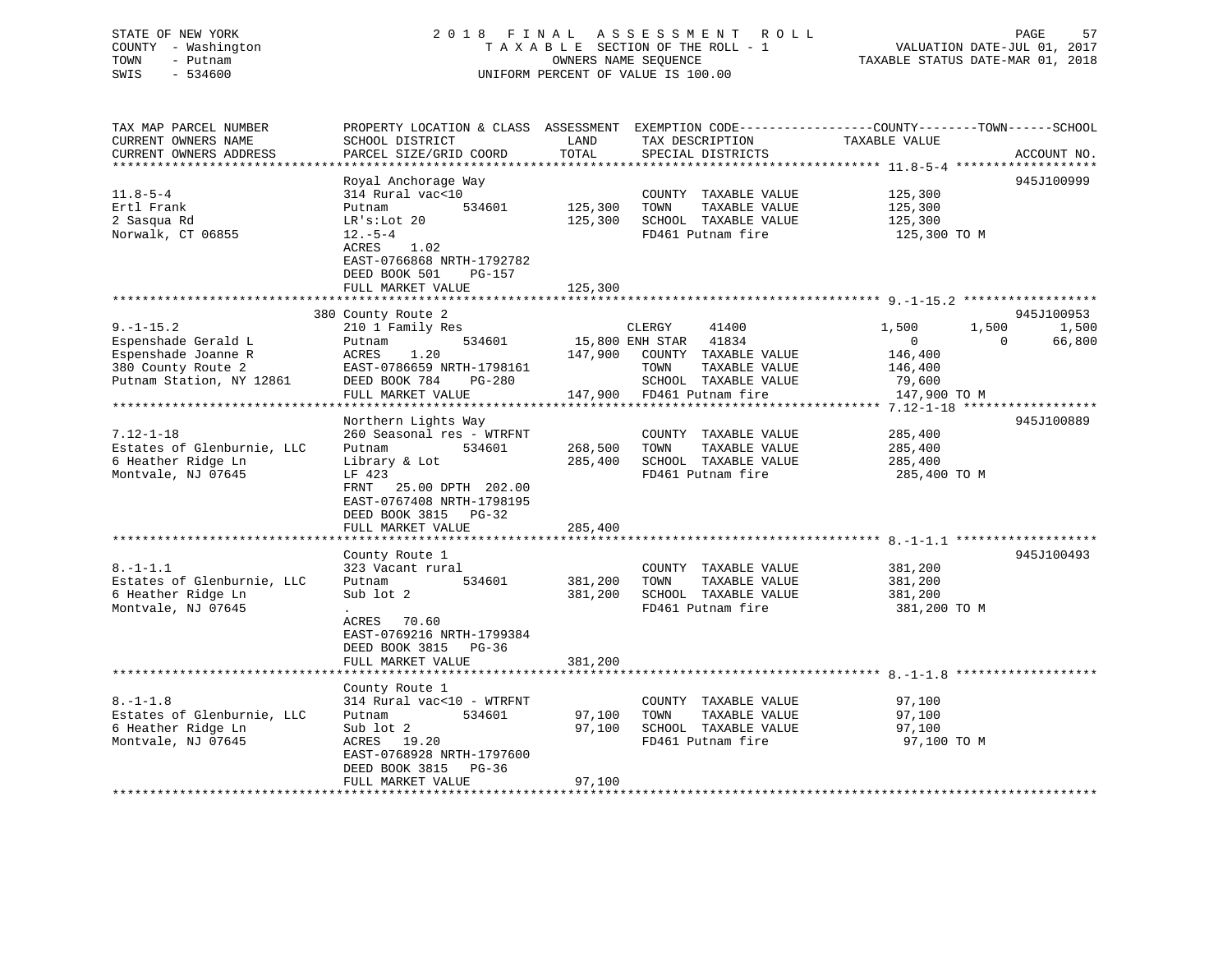### STATE OF NEW YORK 2 0 1 8 F I N A L A S S E S S M E N T R O L L PAGE 57 COUNTY - Washington T A X A B L E SECTION OF THE ROLL - 1 VALUATION DATE-JUL 01, 2017 TOWN - Putnam OWNERS NAME SEQUENCE TAXABLE STATUS DATE-MAR 01, 2018 SWIS - 534600 UNIFORM PERCENT OF VALUE IS 100.00

| TAX MAP PARCEL NUMBER      | PROPERTY LOCATION & CLASS ASSESSMENT             |         |                       |                |                    |
|----------------------------|--------------------------------------------------|---------|-----------------------|----------------|--------------------|
| CURRENT OWNERS NAME        | SCHOOL DISTRICT                                  | LAND    | TAX DESCRIPTION       | TAXABLE VALUE  |                    |
| CURRENT OWNERS ADDRESS     | PARCEL SIZE/GRID COORD                           | TOTAL   | SPECIAL DISTRICTS     |                | ACCOUNT NO.        |
|                            |                                                  |         |                       |                |                    |
|                            | Royal Anchorage Way                              |         |                       |                | 945J100999         |
|                            |                                                  |         |                       |                |                    |
| $11.8 - 5 - 4$             | 314 Rural vac<10                                 |         | COUNTY TAXABLE VALUE  | 125,300        |                    |
| Ertl Frank                 | Putnam<br>534601                                 | 125,300 | TOWN<br>TAXABLE VALUE | 125,300        |                    |
| 2 Sasqua Rd                | LR's: Lot 20                                     | 125,300 | SCHOOL TAXABLE VALUE  | 125,300        |                    |
| Norwalk, CT 06855          | $12.-5-4$                                        |         | FD461 Putnam fire     | 125,300 TO M   |                    |
|                            | ACRES<br>1.02                                    |         |                       |                |                    |
|                            | EAST-0766868 NRTH-1792782                        |         |                       |                |                    |
|                            | DEED BOOK 501<br>PG-157                          |         |                       |                |                    |
|                            |                                                  |         |                       |                |                    |
|                            | FULL MARKET VALUE                                | 125,300 |                       |                |                    |
|                            |                                                  |         |                       |                |                    |
|                            | 380 County Route 2                               |         |                       |                | 945J100953         |
| $9. - 1 - 15.2$            | 210 1 Family Res                                 |         | CLERGY<br>41400       | 1,500<br>1,500 | 1,500              |
| Espenshade Gerald L        | 534601<br>Putnam                                 |         | 15,800 ENH STAR 41834 | $\Omega$       | $\Omega$<br>66,800 |
| Espenshade Joanne R        | 1.20<br>ACRES                                    | 147,900 | COUNTY TAXABLE VALUE  | 146,400        |                    |
| 380 County Route 2         | EAST-0786659 NRTH-1798161                        |         | TOWN<br>TAXABLE VALUE | 146,400        |                    |
| Putnam Station, NY 12861   | DEED BOOK 784<br>PG-280                          |         | SCHOOL TAXABLE VALUE  | 79,600         |                    |
|                            |                                                  |         |                       |                |                    |
|                            | FULL MARKET VALUE<br>*************************** | 147,900 | FD461 Putnam fire     | 147,900 TO M   |                    |
|                            |                                                  |         |                       |                |                    |
|                            | Northern Lights Way                              |         |                       |                | 945J100889         |
| $7.12 - 1 - 18$            | 260 Seasonal res - WTRFNT                        |         | COUNTY TAXABLE VALUE  | 285,400        |                    |
| Estates of Glenburnie, LLC | 534601<br>Putnam                                 | 268,500 | TOWN<br>TAXABLE VALUE | 285,400        |                    |
| 6 Heather Ridge Ln         | Library & Lot                                    | 285,400 | SCHOOL TAXABLE VALUE  | 285,400        |                    |
| Montvale, NJ 07645         | LF 423                                           |         | FD461 Putnam fire     | 285,400 TO M   |                    |
|                            | 25.00 DPTH 202.00<br>FRNT                        |         |                       |                |                    |
|                            |                                                  |         |                       |                |                    |
|                            | EAST-0767408 NRTH-1798195                        |         |                       |                |                    |
|                            | DEED BOOK 3815 PG-32                             |         |                       |                |                    |
|                            | FULL MARKET VALUE                                | 285,400 |                       |                |                    |
|                            |                                                  |         |                       |                |                    |
|                            | County Route 1                                   |         |                       |                | 945J100493         |
| $8. - 1 - 1.1$             | 323 Vacant rural                                 |         | COUNTY TAXABLE VALUE  | 381,200        |                    |
| Estates of Glenburnie, LLC | 534601<br>Putnam                                 | 381,200 | TAXABLE VALUE<br>TOWN | 381,200        |                    |
| 6 Heather Ridge Ln         | Sub lot 2                                        | 381,200 | SCHOOL TAXABLE VALUE  | 381,200        |                    |
| Montvale, NJ 07645         |                                                  |         | FD461 Putnam fire     | 381,200 TO M   |                    |
|                            |                                                  |         |                       |                |                    |
|                            | ACRES 70.60                                      |         |                       |                |                    |
|                            | EAST-0769216 NRTH-1799384                        |         |                       |                |                    |
|                            | DEED BOOK 3815<br>PG-36                          |         |                       |                |                    |
|                            | FULL MARKET VALUE                                | 381,200 |                       |                |                    |
|                            |                                                  |         |                       |                |                    |
|                            | County Route 1                                   |         |                       |                |                    |
| $8. - 1 - 1.8$             | 314 Rural vac<10 - WTRFNT                        |         | COUNTY TAXABLE VALUE  | 97,100         |                    |
| Estates of Glenburnie, LLC | 534601<br>Putnam                                 | 97,100  | TOWN<br>TAXABLE VALUE | 97,100         |                    |
|                            |                                                  |         |                       |                |                    |
| 6 Heather Ridge Ln         | Sub lot 2                                        | 97,100  | SCHOOL TAXABLE VALUE  | 97,100         |                    |
| Montvale, NJ 07645         | ACRES 19.20                                      |         | FD461 Putnam fire     | 97,100 TO M    |                    |
|                            | EAST-0768928 NRTH-1797600                        |         |                       |                |                    |
|                            | DEED BOOK 3815<br>PG-36                          |         |                       |                |                    |
|                            | FULL MARKET VALUE                                | 97,100  |                       |                |                    |
|                            |                                                  |         |                       |                |                    |
|                            |                                                  |         |                       |                |                    |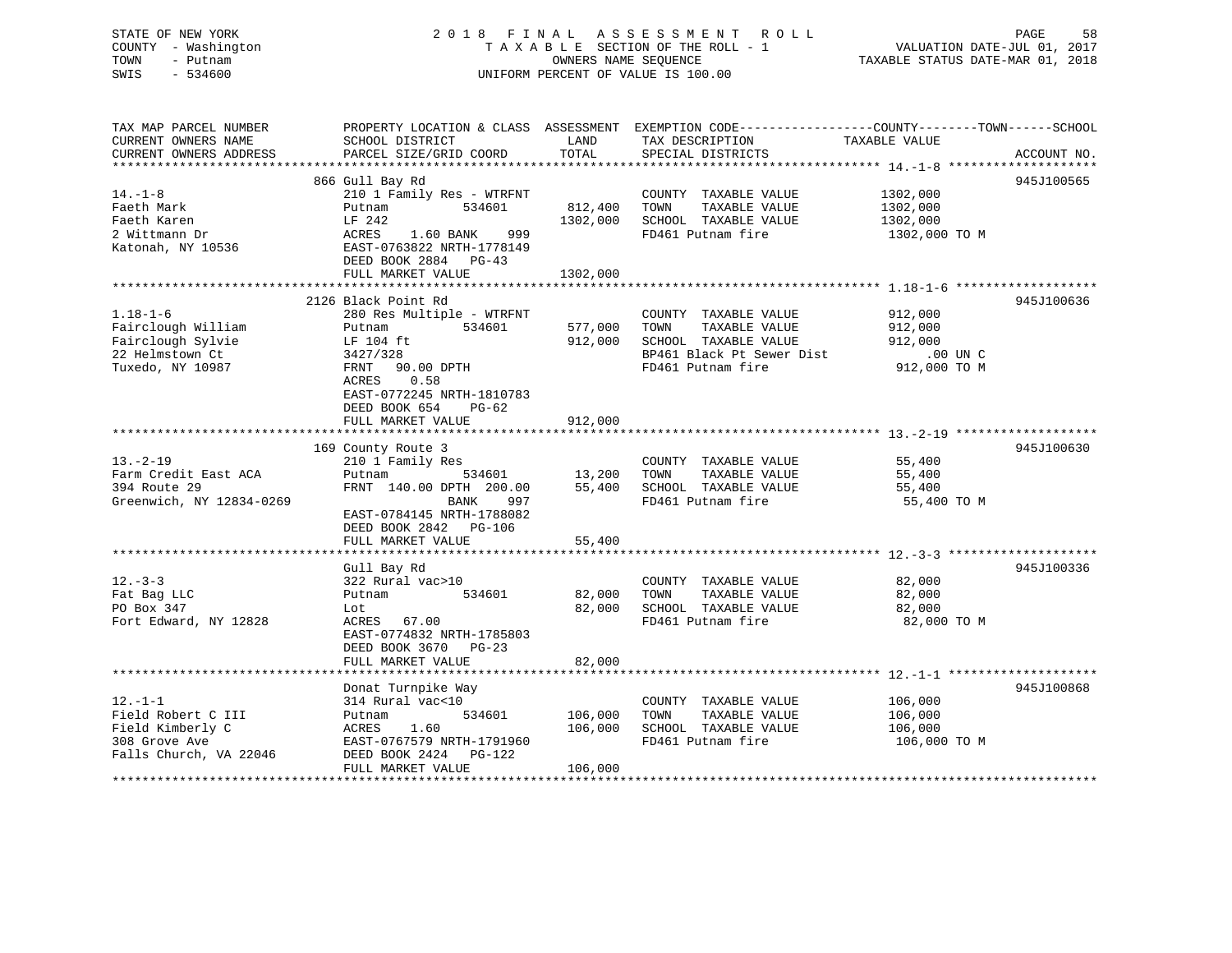### STATE OF NEW YORK 2 0 1 8 F I N A L A S S E S S M E N T R O L L PAGE 58 COUNTY - Washington T A X A B L E SECTION OF THE ROLL - 1 VALUATION DATE-JUL 01, 2017 TOWN - Putnam OWNERS NAME SEQUENCE TAXABLE STATUS DATE-MAR 01, 2018 SWIS - 534600 UNIFORM PERCENT OF VALUE IS 100.00

| TAX MAP PARCEL NUMBER     | PROPERTY LOCATION & CLASS ASSESSMENT EXEMPTION CODE---------------COUNTY-------TOWN------SCHOOL |                  |                                               |                       |             |
|---------------------------|-------------------------------------------------------------------------------------------------|------------------|-----------------------------------------------|-----------------------|-------------|
| CURRENT OWNERS NAME       | SCHOOL DISTRICT                                                                                 | LAND             | TAX DESCRIPTION                               | TAXABLE VALUE         |             |
| CURRENT OWNERS ADDRESS    | PARCEL SIZE/GRID COORD                                                                          | TOTAL            | SPECIAL DISTRICTS                             |                       | ACCOUNT NO. |
|                           |                                                                                                 |                  |                                               |                       |             |
| $14. - 1 - 8$             | 866 Gull Bay Rd<br>210 1 Family Res - WTRFNT                                                    |                  | COUNTY TAXABLE VALUE                          | 1302,000              | 945J100565  |
| Faeth Mark                | 534601<br>Putnam                                                                                | 812,400          | TAXABLE VALUE<br>TOWN                         | 1302,000              |             |
| Faeth Karen               | LF 242                                                                                          | 1302,000         | SCHOOL TAXABLE VALUE                          | 1302,000              |             |
| 2 Wittmann Dr             | 1.60 BANK<br>999<br>ACRES                                                                       |                  | FD461 Putnam fire                             | 1302,000 TO M         |             |
| Katonah, NY 10536         | EAST-0763822 NRTH-1778149                                                                       |                  |                                               |                       |             |
|                           | DEED BOOK 2884 PG-43                                                                            |                  |                                               |                       |             |
|                           | FULL MARKET VALUE                                                                               | 1302,000         |                                               |                       |             |
|                           |                                                                                                 |                  |                                               |                       |             |
|                           | 2126 Black Point Rd                                                                             |                  |                                               |                       | 945J100636  |
| $1.18 - 1 - 6$            | 280 Res Multiple - WTRFNT                                                                       |                  | COUNTY TAXABLE VALUE                          | 912,000               |             |
| Fairclough William        | 534601<br>Putnam                                                                                | 577,000          | TOWN<br>TAXABLE VALUE                         | 912,000               |             |
| Fairclough Sylvie         | LF 104 ft                                                                                       | 912,000          | SCHOOL TAXABLE VALUE                          | 912,000               |             |
| 22 Helmstown Ct           | 3427/328                                                                                        |                  | BP461 Black Pt Sewer Dist                     | .00 UN C              |             |
| Tuxedo, NY 10987          | FRNT 90.00 DPTH                                                                                 |                  | FD461 Putnam fire                             | 912,000 TO M          |             |
|                           | 0.58<br>ACRES                                                                                   |                  |                                               |                       |             |
|                           | EAST-0772245 NRTH-1810783                                                                       |                  |                                               |                       |             |
|                           | DEED BOOK 654<br>PG-62                                                                          |                  |                                               |                       |             |
|                           | FULL MARKET VALUE                                                                               | 912,000          |                                               |                       |             |
|                           |                                                                                                 |                  |                                               |                       |             |
|                           | 169 County Route 3                                                                              |                  |                                               |                       | 945J100630  |
| $13 - 2 - 19$             | 210 1 Family Res                                                                                |                  | COUNTY TAXABLE VALUE                          | 55,400                |             |
| Farm Credit East ACA      | 534601<br>Putnam                                                                                | 13,200           | TOWN<br>TAXABLE VALUE                         | 55,400                |             |
| 394 Route 29              | FRNT 140.00 DPTH 200.00                                                                         | 55,400           | SCHOOL TAXABLE VALUE                          | 55,400                |             |
| Greenwich, NY 12834-0269  | BANK<br>997                                                                                     |                  | FD461 Putnam fire                             | 55,400 TO M           |             |
|                           | EAST-0784145 NRTH-1788082                                                                       |                  |                                               |                       |             |
|                           | DEED BOOK 2842 PG-106                                                                           |                  |                                               |                       |             |
|                           | FULL MARKET VALUE                                                                               | 55,400           |                                               |                       |             |
|                           |                                                                                                 |                  |                                               |                       |             |
|                           | Gull Bay Rd                                                                                     |                  |                                               |                       | 945J100336  |
| $12. - 3 - 3$             | 322 Rural vac>10                                                                                |                  | COUNTY TAXABLE VALUE                          | 82,000                |             |
| Fat Bag LLC<br>PO Box 347 | 534601<br>Putnam                                                                                | 82,000<br>82,000 | TAXABLE VALUE<br>TOWN<br>SCHOOL TAXABLE VALUE | 82,000                |             |
| Fort Edward, NY 12828     | Lot<br>ACRES 67.00                                                                              |                  | FD461 Putnam fire                             | 82,000<br>82,000 TO M |             |
|                           | EAST-0774832 NRTH-1785803                                                                       |                  |                                               |                       |             |
|                           | DEED BOOK 3670 PG-23                                                                            |                  |                                               |                       |             |
|                           | FULL MARKET VALUE                                                                               | 82,000           |                                               |                       |             |
|                           |                                                                                                 |                  |                                               |                       |             |
|                           | Donat Turnpike Way                                                                              |                  |                                               |                       | 945J100868  |
| $12. - 1 - 1$             | 314 Rural vac<10                                                                                |                  | COUNTY TAXABLE VALUE                          | 106,000               |             |
| Field Robert C III        | 534601<br>Putnam                                                                                | 106,000          | TAXABLE VALUE<br>TOWN                         | 106,000               |             |
| Field Kimberly C          | ACRES<br>1.60                                                                                   | 106,000          | SCHOOL TAXABLE VALUE                          | 106,000               |             |
| 308 Grove Ave             | EAST-0767579 NRTH-1791960                                                                       |                  | FD461 Putnam fire                             | 106,000 TO M          |             |
| Falls Church, VA 22046    | DEED BOOK 2424<br>PG-122                                                                        |                  |                                               |                       |             |
|                           | FULL MARKET VALUE                                                                               | 106,000          |                                               |                       |             |
|                           |                                                                                                 |                  |                                               |                       |             |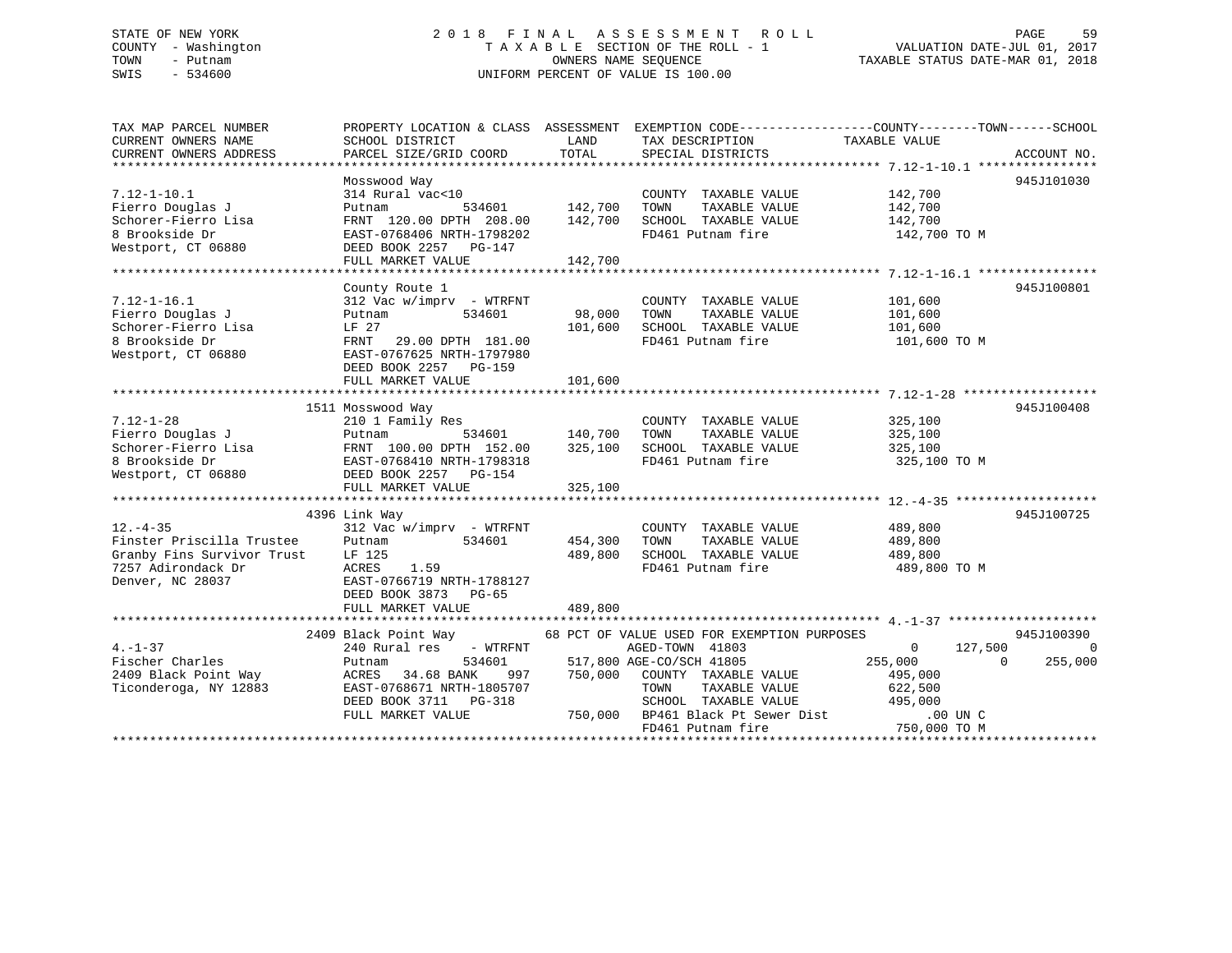#### STATE OF NEW YORK GOOD CONSUMED A LOTE OF THE LAND ASSESSMENT ROLL CONSUMER THACK SPAGE 59 COUNTY - Washington T A X A B L E SECTION OF THE ROLL - 1 TOWN - Putnam **CONNERS NAME SEQUENCE** TAXABLE STATUS DATE-MAR 01, 2018 SWIS - 534600 UNIFORM PERCENT OF VALUE IS 100.00

| TAX MAP PARCEL NUMBER<br>CURRENT OWNERS NAME<br>CURRENT OWNERS ADDRESS                                              | SCHOOL DISTRICT<br>PARCEL SIZE/GRID COORD                                                                                                                                         | LAND<br>TOTAL                 | TAX DESCRIPTION<br>SPECIAL DISTRICTS                                                                                                                                                                                  | PROPERTY LOCATION & CLASS ASSESSMENT EXEMPTION CODE----------------COUNTY-------TOWN------SCHOOL<br>TAXABLE VALUE<br>ACCOUNT NO.                    |
|---------------------------------------------------------------------------------------------------------------------|-----------------------------------------------------------------------------------------------------------------------------------------------------------------------------------|-------------------------------|-----------------------------------------------------------------------------------------------------------------------------------------------------------------------------------------------------------------------|-----------------------------------------------------------------------------------------------------------------------------------------------------|
| $7.12 - 1 - 10.1$<br>Fierro Douglas J<br>Schorer-Fierro Lisa<br>8 Brookside Dr<br>Westport, CT 06880                | Mosswood Way<br>314 Rural vac<10<br>Putnam<br>534601<br>FRNT 120.00 DPTH 208.00<br>EAST-0768406 NRTH-1798202<br>DEED BOOK 2257 PG-147                                             | 142,700<br>142,700            | COUNTY TAXABLE VALUE<br>TAXABLE VALUE<br>TOWN<br>SCHOOL TAXABLE VALUE<br>FD461 Putnam fire                                                                                                                            | 945J101030<br>142,700<br>142,700<br>142,700<br>142,700 TO M                                                                                         |
|                                                                                                                     | FULL MARKET VALUE                                                                                                                                                                 | 142,700                       |                                                                                                                                                                                                                       |                                                                                                                                                     |
| $7.12 - 1 - 16.1$<br>Fierro Douglas J<br>Schorer-Fierro Lisa<br>8 Brookside Dr<br>Westport, CT 06880                | County Route 1<br>$312$ Vac w/imprv - WTRFNT<br>534601<br>Putnam<br>LF 27<br>FRNT<br>29.00 DPTH 181.00<br>EAST-0767625 NRTH-1797980<br>DEED BOOK 2257 PG-159<br>FULL MARKET VALUE | 98,000<br>101,600<br>101,600  | COUNTY TAXABLE VALUE<br>TOWN<br>TAXABLE VALUE<br>SCHOOL TAXABLE VALUE<br>FD461 Putnam fire                                                                                                                            | 945J100801<br>101,600<br>101,600<br>101,600<br>101,600 TO M                                                                                         |
|                                                                                                                     |                                                                                                                                                                                   |                               |                                                                                                                                                                                                                       |                                                                                                                                                     |
| $7.12 - 1 - 28$<br>Fierro Douglas J<br>Schorer-Fierro Lisa<br>8 Brookside Dr<br>Westport, CT 06880                  | 1511 Mosswood Way<br>210 1 Family Res<br>534601<br>Putnam<br>FRNT 100.00 DPTH 152.00<br>EAST-0768410 NRTH-1798318<br>DEED BOOK 2257 PG-154<br>FULL MARKET VALUE                   | 140,700<br>325,100<br>325,100 | COUNTY TAXABLE VALUE<br>TOWN<br>TAXABLE VALUE<br>SCHOOL TAXABLE VALUE<br>FD461 Putnam fire                                                                                                                            | 945J100408<br>325,100<br>325,100<br>325,100<br>325,100 TO M                                                                                         |
|                                                                                                                     | 4396 Link Way                                                                                                                                                                     |                               |                                                                                                                                                                                                                       | 945J100725                                                                                                                                          |
| $12. - 4 - 35$<br>Finster Priscilla Trustee<br>Granby Fins Survivor Trust<br>7257 Adirondack Dr<br>Denver, NC 28037 | $312$ Vac w/imprv - WTRFNT<br>Putnam<br>534601<br>LF 125<br>ACRES<br>1.59<br>EAST-0766719 NRTH-1788127<br>DEED BOOK 3873 PG-65                                                    | 454,300<br>489,800            | COUNTY TAXABLE VALUE<br>TAXABLE VALUE<br>TOWN<br>SCHOOL TAXABLE VALUE<br>FD461 Putnam fire                                                                                                                            | 489,800<br>489,800<br>489,800<br>489,800 TO M                                                                                                       |
|                                                                                                                     | FULL MARKET VALUE                                                                                                                                                                 | 489,800                       |                                                                                                                                                                                                                       |                                                                                                                                                     |
| $4. - 1 - 37$<br>Fischer Charles<br>2409 Black Point Way<br>Ticonderoga, NY 12883                                   | 2409 Black Point Way<br>240 Rural res<br>- WTRFNT<br>534601<br>Putnam<br>34.68 BANK<br>ACRES<br>997<br>EAST-0768671 NRTH-1805707<br>DEED BOOK 3711 PG-318<br>FULL MARKET VALUE    | 750,000<br>750,000            | 68 PCT OF VALUE USED FOR EXEMPTION PURPOSES<br>AGED-TOWN 41803<br>517,800 AGE-CO/SCH 41805<br>COUNTY TAXABLE VALUE<br>TOWN<br>TAXABLE VALUE<br>SCHOOL TAXABLE VALUE<br>BP461 Black Pt Sewer Dist<br>FD461 Putnam fire | 945J100390<br>$\mathbf 0$<br>127,500<br>$\bigcirc$<br>255,000<br>255,000<br>$\Omega$<br>495,000<br>622,500<br>495,000<br>$.00$ UN C<br>750,000 TO M |
|                                                                                                                     |                                                                                                                                                                                   |                               |                                                                                                                                                                                                                       |                                                                                                                                                     |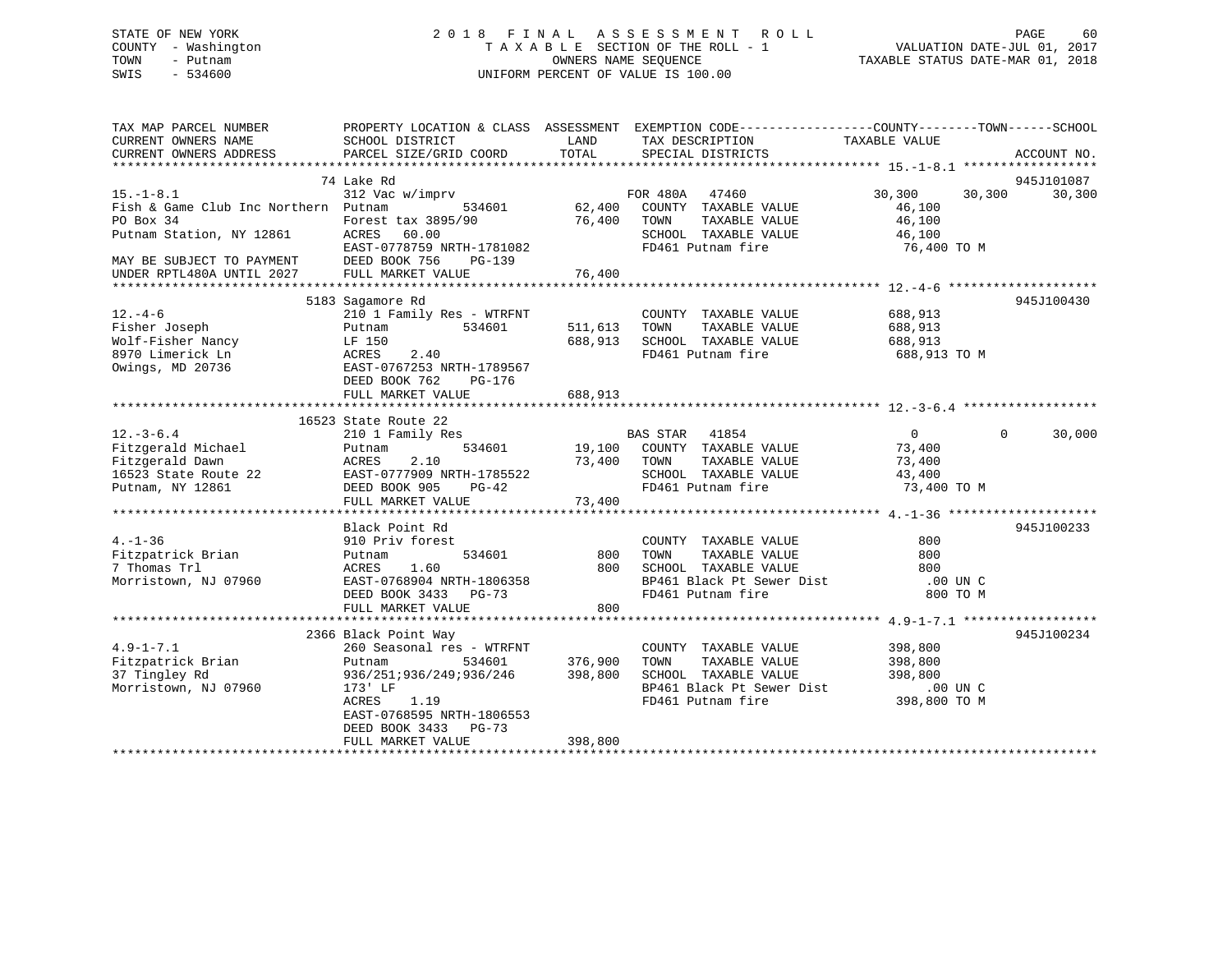### STATE OF NEW YORK 2 0 1 8 F I N A L A S S E S S M E N T R O L L PAGE 60 COUNTY - Washington T A X A B L E SECTION OF THE ROLL - 1 VALUATION DATE-JUL 01, 2017 TOWN - Putnam OWNERS NAME SEQUENCE TAXABLE STATUS DATE-MAR 01, 2018 SWIS - 534600 UNIFORM PERCENT OF VALUE IS 100.00

| TAX MAP PARCEL NUMBER<br>CURRENT OWNERS NAME<br>CURRENT OWNERS ADDRESS | SCHOOL DISTRICT<br>PARCEL SIZE/GRID COORD                                | LAND<br>TOTAL | PROPERTY LOCATION & CLASS ASSESSMENT EXEMPTION CODE----------------COUNTY-------TOWN------SCHOOL<br>TAX DESCRIPTION<br>SPECIAL DISTRICTS | TAXABLE VALUE              | ACCOUNT NO. |
|------------------------------------------------------------------------|--------------------------------------------------------------------------|---------------|------------------------------------------------------------------------------------------------------------------------------------------|----------------------------|-------------|
|                                                                        |                                                                          |               |                                                                                                                                          |                            |             |
|                                                                        | 74 Lake Rd                                                               |               |                                                                                                                                          |                            | 945J101087  |
| $15. - 1 - 8.1$<br>Fish & Game Club Inc Northern Putnam                | 312 Vac w/imprv<br>534601                                                | 62,400        | FOR 480A<br>47460<br>COUNTY TAXABLE VALUE                                                                                                | 30,300<br>30,300<br>46,100 | 30,300      |
| PO Box 34 Forest tax 389<br>Putnam Station, NY 12861 ACRES 60.00       | Forest tax 3895/90                                                       | 76,400 TOWN   | TAXABLE VALUE                                                                                                                            | 46,100                     |             |
|                                                                        | EAST-0778759 NRTH-1781082                                                |               | SCHOOL TAXABLE VALUE<br>FD461 Putnam fire                                                                                                | 46,100<br>76,400 TO M      |             |
| MAY BE SUBJECT TO PAYMENT<br>UNDER RPTL480A UNTIL 2027                 | DEED BOOK 756 PG-139<br>FULL MARKET VALUE                                | 76,400        |                                                                                                                                          |                            |             |
|                                                                        |                                                                          |               |                                                                                                                                          |                            |             |
|                                                                        | 5183 Sagamore Rd                                                         |               |                                                                                                                                          |                            | 945J100430  |
| $12. - 4 - 6$                                                          | 210 1 Family Res - WTRFNT                                                |               | COUNTY TAXABLE VALUE                                                                                                                     | 688,913                    |             |
| Fisher Joseph                                                          | 534601<br>Putnam                                                         | 511,613 TOWN  | TAXABLE VALUE                                                                                                                            | 688,913                    |             |
| Wolf-Fisher Nancy                                                      | LF 150                                                                   |               | 688,913 SCHOOL TAXABLE VALUE                                                                                                             | 688,913                    |             |
| 8970 Limerick Ln                                                       | ACRES<br>2.40                                                            |               | FD461 Putnam fire                                                                                                                        | 688,913 TO M               |             |
| Owings, MD 20736                                                       | EAST-0767253 NRTH-1789567<br>DEED BOOK 762<br>PG-176                     |               |                                                                                                                                          |                            |             |
|                                                                        | FULL MARKET VALUE                                                        | 688,913       |                                                                                                                                          |                            |             |
|                                                                        |                                                                          |               |                                                                                                                                          |                            |             |
|                                                                        | 16523 State Route 22                                                     |               |                                                                                                                                          |                            |             |
| $12. - 3 - 6.4$                                                        | 210 1 Family Res                                                         |               |                                                                                                                                          | $\overline{0}$<br>$\Omega$ | 30,000      |
| Fitzgerald Michael                                                     | 534601<br>Putnam                                                         |               | BAS STAR 41854<br>19,100 COUNTY TAXABLE VALUE                                                                                            | 73,400                     |             |
| Fitzgerald Dawn                                                        | ACRES 2.10 73,400<br>22 EAST-0777909 NRTH-1785522<br>DEED BOOK 905 PG-42 | 73,400 TOWN   | TAXABLE VALUE                                                                                                                            | 73,400                     |             |
| 16523 State Route 22                                                   |                                                                          |               | SCHOOL TAXABLE VALUE                                                                                                                     | 43,400                     |             |
| Putnam, NY 12861                                                       | DEED BOOK 905                                                            |               | FD461 Putnam fire                                                                                                                        | 73,400 TO M                |             |
|                                                                        | FULL MARKET VALUE                                                        | 73,400        |                                                                                                                                          |                            |             |
|                                                                        |                                                                          |               |                                                                                                                                          |                            |             |
|                                                                        | Black Point Rd                                                           |               |                                                                                                                                          |                            | 945J100233  |
| $4. - 1 - 36$                                                          | 910 Priv forest                                                          |               | COUNTY TAXABLE VALUE                                                                                                                     | 800                        |             |
| Fitzpatrick Brian                                                      | 534601<br>Putnam                                                         | 800           | TAXABLE VALUE<br>TOWN                                                                                                                    | 800                        |             |
| 7 Thomas Trl                                                           | 1.60<br>ACRES                                                            | 800           | SCHOOL TAXABLE VALUE                                                                                                                     | 800                        |             |
| Morristown, NJ 07960                                                   | EAST-0768904 NRTH-1806358                                                |               | BP461 Black Pt Sewer Dist                                                                                                                | $.00$ UN C                 |             |
|                                                                        | DEED BOOK 3433 PG-73                                                     |               | FD461 Putnam fire                                                                                                                        | 800 TO M                   |             |
|                                                                        | FULL MARKET VALUE                                                        | 800           |                                                                                                                                          |                            |             |
|                                                                        | 2366 Black Point Way                                                     |               |                                                                                                                                          |                            | 945J100234  |
| $4.9 - 1 - 7.1$                                                        | 260 Seasonal res - WTRFNT                                                |               |                                                                                                                                          |                            |             |
| Fitzpatrick Brian                                                      | 534601<br>Putnam                                                         | 376,900       | COUNTY TAXABLE VALUE<br>TOWN      TAXABLE VALUE<br>TAXABLE VALUE                                                                         | 398,800<br>398,800         |             |
| 37 Tingley Rd                                                          | 936/251;936/249;936/246 398,800                                          |               | SCHOOL TAXABLE VALUE                                                                                                                     | 398,800                    |             |
| Morristown, NJ 07960                                                   | 173' LF                                                                  |               | BP461 Black Pt Sewer Dist                                                                                                                | .00 UN C                   |             |
|                                                                        | ACRES<br>1.19                                                            |               | FD461 Putnam fire                                                                                                                        | 398,800 TO M               |             |
|                                                                        | EAST-0768595 NRTH-1806553                                                |               |                                                                                                                                          |                            |             |
|                                                                        | DEED BOOK 3433 PG-73                                                     |               |                                                                                                                                          |                            |             |
|                                                                        | FULL MARKET VALUE                                                        | 398,800       |                                                                                                                                          |                            |             |
|                                                                        |                                                                          |               |                                                                                                                                          |                            |             |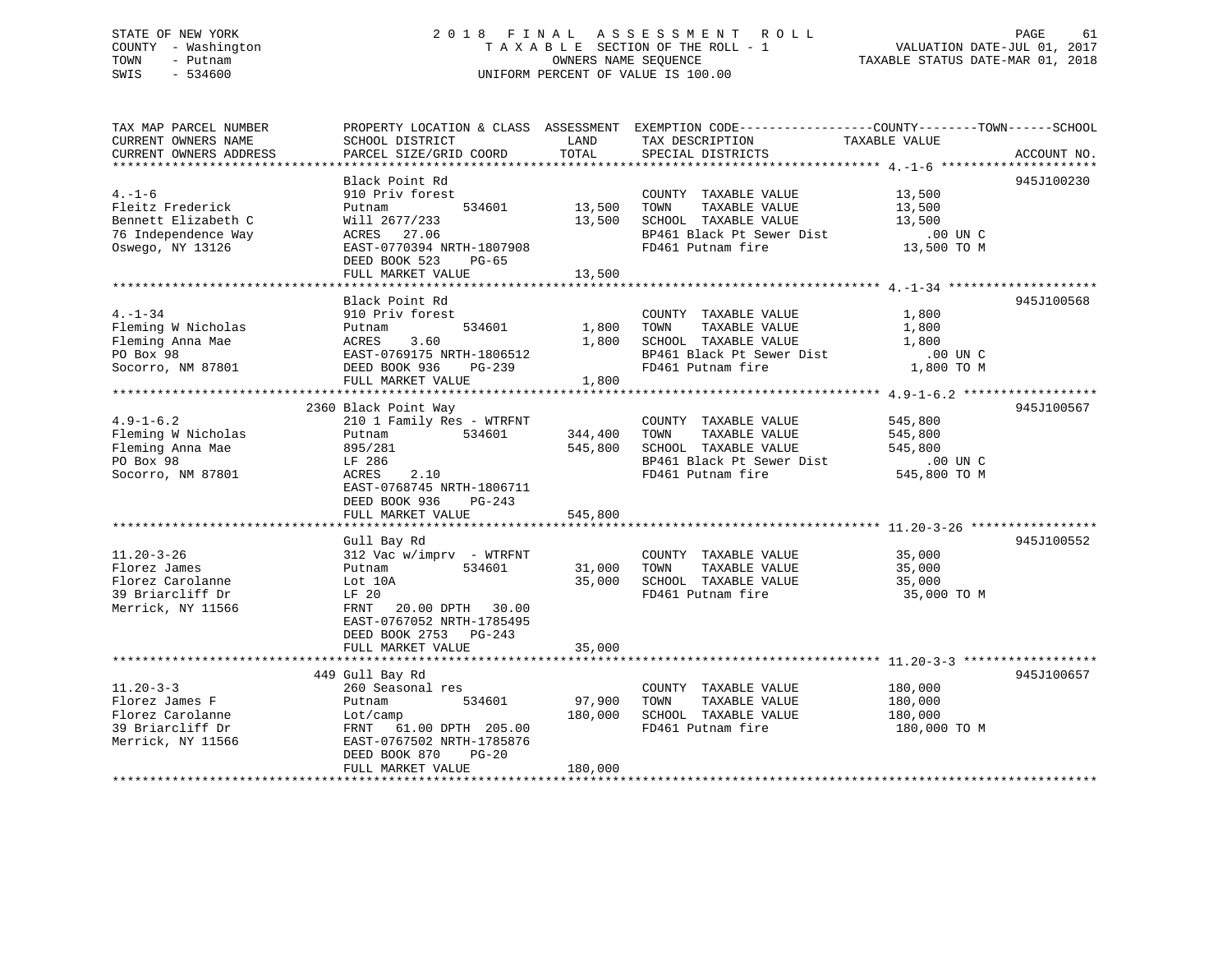### STATE OF NEW YORK 2 0 1 8 F I N A L A S S E S S M E N T R O L L PAGE 61 COUNTY - Washington T A X A B L E SECTION OF THE ROLL - 1 VALUATION DATE-JUL 01, 2017 TOWN - Putnam OWNERS NAME SEQUENCE TAXABLE STATUS DATE-MAR 01, 2018 SWIS - 534600 UNIFORM PERCENT OF VALUE IS 100.00

| TAX MAP PARCEL NUMBER<br>CURRENT OWNERS NAME<br>CURRENT OWNERS ADDRESS                             | SCHOOL DISTRICT<br>PARCEL SIZE/GRID COORD                                                                                                                                                | LAND<br>TOTAL                 | PROPERTY LOCATION & CLASS ASSESSMENT EXEMPTION CODE---------------COUNTY-------TOWN-----SCHOOL<br>TAX DESCRIPTION<br>SPECIAL DISTRICTS | TAXABLE VALUE                                               | ACCOUNT NO. |
|----------------------------------------------------------------------------------------------------|------------------------------------------------------------------------------------------------------------------------------------------------------------------------------------------|-------------------------------|----------------------------------------------------------------------------------------------------------------------------------------|-------------------------------------------------------------|-------------|
| $4. - 1 - 6$<br>Fleitz Frederick<br>Bennett Elizabeth C<br>76 Independence Way<br>Oswego, NY 13126 | Black Point Rd<br>910 Priv forest<br>534601<br>Putnam<br>Will 2677/233<br>ACRES 27.06<br>EAST-0770394 NRTH-1807908<br>DEED BOOK 523<br>PG-65<br>FULL MARKET VALUE                        | 13,500<br>13,500<br>13,500    | COUNTY TAXABLE VALUE<br>TOWN<br>TAXABLE VALUE<br>SCHOOL TAXABLE VALUE<br>BP461 Black Pt Sewer Dist<br>FD461 Putnam fire                | 13,500<br>13,500<br>13,500<br>.00 UN C<br>13,500 TO M       | 945J100230  |
| $4. -1 - 34$<br>Fleming W Nicholas<br>Fleming Anna Mae<br>PO Box 98<br>Socorro, NM 87801           | Black Point Rd<br>910 Priv forest<br>534601<br>Putnam<br>3.60<br>ACRES<br>EAST-0769175 NRTH-1806512<br>DEED BOOK 936<br>PG-239<br>FULL MARKET VALUE                                      | 1,800<br>1,800<br>1,800       | COUNTY TAXABLE VALUE<br>TOWN<br>TAXABLE VALUE<br>SCHOOL TAXABLE VALUE<br>BP461 Black Pt Sewer Dist<br>FD461 Putnam fire                | 1,800<br>1,800<br>1,800<br>$.00$ UN C<br>1,800 TO M         | 945J100568  |
| $4.9 - 1 - 6.2$<br>Fleming W Nicholas<br>Fleming Anna Mae<br>PO Box 98<br>Socorro, NM 87801        | 2360 Black Point Way<br>210 1 Family Res - WTRFNT<br>534601<br>Putnam<br>895/281<br>LF 286<br>ACRES<br>2.10<br>EAST-0768745 NRTH-1806711<br>DEED BOOK 936<br>PG-243<br>FULL MARKET VALUE | 344,400<br>545,800<br>545,800 | COUNTY TAXABLE VALUE<br>TAXABLE VALUE<br>TOWN<br>SCHOOL TAXABLE VALUE<br>BP461 Black Pt Sewer Dist<br>FD461 Putnam fire                | 545,800<br>545,800<br>545,800<br>$.00$ UN C<br>545,800 TO M | 945J100567  |
| $11.20 - 3 - 26$<br>Florez James<br>Florez Carolanne<br>39 Briarcliff Dr<br>Merrick, NY 11566      | Gull Bay Rd<br>312 Vac w/imprv - WTRFNT<br>534601<br>Putnam<br>Lot 10A<br>LF 20<br>FRNT 20.00 DPTH 30.00<br>EAST-0767052 NRTH-1785495<br>DEED BOOK 2753 PG-243<br>FULL MARKET VALUE      | 31,000<br>35,000<br>35,000    | COUNTY TAXABLE VALUE<br>TAXABLE VALUE<br>TOWN<br>SCHOOL TAXABLE VALUE<br>FD461 Putnam fire                                             | 35,000<br>35,000<br>35,000<br>35,000 TO M                   | 945J100552  |
| $11.20 - 3 - 3$<br>Florez James F<br>Florez Carolanne<br>39 Briarcliff Dr<br>Merrick, NY 11566     | 449 Gull Bay Rd<br>260 Seasonal res<br>Putnam<br>534601<br>Lot/camp<br>FRNT 61.00 DPTH 205.00<br>EAST-0767502 NRTH-1785876<br>DEED BOOK 870<br>PG-20<br>FULL MARKET VALUE                | 97,900<br>180,000<br>180,000  | COUNTY TAXABLE VALUE<br>TOWN<br>TAXABLE VALUE<br>SCHOOL TAXABLE VALUE<br>FD461 Putnam fire                                             | 180,000<br>180,000<br>180,000<br>180,000 TO M               | 945J100657  |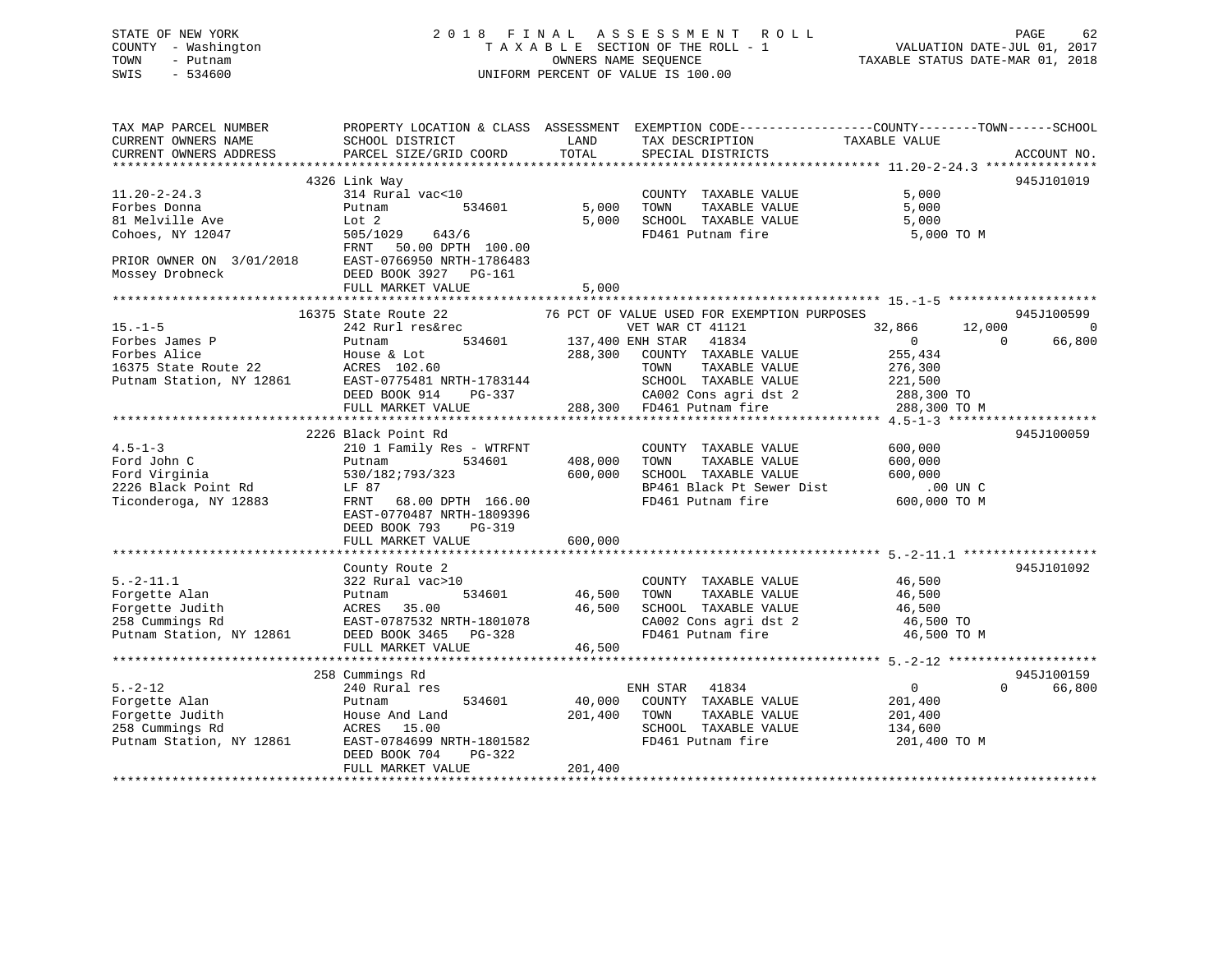### STATE OF NEW YORK 2 0 1 8 F I N A L A S S E S S M E N T R O L L PAGE 62 COUNTY - Washington T A X A B L E SECTION OF THE ROLL - 1 VALUATION DATE-JUL 01, 2017 TOWN - Putnam OWNERS NAME SEQUENCE TAXABLE STATUS DATE-MAR 01, 2018 SWIS - 534600 UNIFORM PERCENT OF VALUE IS 100.00

| TAX MAP PARCEL NUMBER                                                                                                                                                                                                                    |                               |               | PROPERTY LOCATION & CLASS ASSESSMENT EXEMPTION CODE---------------COUNTY-------TOWN-----SCHOOL |                                  |                    |
|------------------------------------------------------------------------------------------------------------------------------------------------------------------------------------------------------------------------------------------|-------------------------------|---------------|------------------------------------------------------------------------------------------------|----------------------------------|--------------------|
| CURRENT OWNERS NAME                                                                                                                                                                                                                      | SCHOOL DISTRICT               | LAND          | TAX DESCRIPTION                                                                                | TAXABLE VALUE                    |                    |
| CURRENT OWNERS ADDRESS                                                                                                                                                                                                                   | PARCEL SIZE/GRID COORD        | TOTAL         | SPECIAL DISTRICTS                                                                              |                                  | ACCOUNT NO.        |
|                                                                                                                                                                                                                                          |                               |               |                                                                                                |                                  |                    |
|                                                                                                                                                                                                                                          | 4326 Link Way                 |               |                                                                                                |                                  | 945J101019         |
| $11.20 - 2 - 24.3$                                                                                                                                                                                                                       | 314 Rural vac<10              |               | COUNTY TAXABLE VALUE                                                                           | 5,000                            |                    |
| Forbes Donna                                                                                                                                                                                                                             | Putnam<br>534601              | 5,000         | TOWN<br>TAXABLE VALUE                                                                          | 5,000                            |                    |
|                                                                                                                                                                                                                                          |                               | 5,000         | SCHOOL TAXABLE VALUE                                                                           | 5,000                            |                    |
|                                                                                                                                                                                                                                          |                               |               | FD461 Putnam fire                                                                              | 5,000 TO M                       |                    |
| 81 Melville Ave<br>Cohoes, NY 12047<br>Cohoes, NY 12047<br>PRIOR OWNER ON 3/01/2018<br>Mossey Drobneck<br>PRIOR OWNER ON 3/01/2018<br>PED BOOK 3927 PG-161<br>PED BOOK 3927 PG-161                                                       |                               |               |                                                                                                |                                  |                    |
|                                                                                                                                                                                                                                          |                               |               |                                                                                                |                                  |                    |
|                                                                                                                                                                                                                                          |                               |               |                                                                                                |                                  |                    |
|                                                                                                                                                                                                                                          | FULL MARKET VALUE             | 5,000         |                                                                                                |                                  |                    |
|                                                                                                                                                                                                                                          |                               |               |                                                                                                |                                  |                    |
|                                                                                                                                                                                                                                          | 16375 State Route 22          |               | 76 PCT OF VALUE USED FOR EXEMPTION PURPOSES                                                    |                                  | 945J100599         |
| $15. -1 - 5$                                                                                                                                                                                                                             | 242 Rurl res&rec              |               | VET WAR CT 41121                                                                               | 32,866<br>12,000                 | - 0                |
|                                                                                                                                                                                                                                          | 534601 137,400 ENH STAR 41834 |               |                                                                                                | $\overline{0}$<br>$\overline{0}$ | 66,800             |
|                                                                                                                                                                                                                                          |                               |               |                                                                                                | 255,434                          |                    |
|                                                                                                                                                                                                                                          |                               |               |                                                                                                | 276,300                          |                    |
|                                                                                                                                                                                                                                          |                               |               | SCHOOL TAXABLE VALUE 221,500<br>CA002 Cons agri dst 2 288,300 TO                               |                                  |                    |
|                                                                                                                                                                                                                                          |                               |               |                                                                                                |                                  |                    |
|                                                                                                                                                                                                                                          |                               |               |                                                                                                | 288,300 TO M                     |                    |
| Forbes James P<br>Forbes Alice House & Lot<br>16375 State Route 22 ACRES 102.60 TOWN TAXABLE VALUE<br>Putnam Station, NY 12861 EAST-0775481 NRTH-1783144 SCHOOL TAXABLE VALUE<br>DEED BOOK 914 PG-337 288,300 FD461 Putnam fire<br>THIT. |                               |               |                                                                                                |                                  |                    |
|                                                                                                                                                                                                                                          | 2226 Black Point Rd           |               |                                                                                                |                                  | 945J100059         |
| $4.5 - 1 - 3$                                                                                                                                                                                                                            | 210 1 Family Res - WTRFNT     |               | COUNTY TAXABLE VALUE                                                                           | 600,000                          |                    |
| Ford John C                                                                                                                                                                                                                              | 534601<br>Putnam              | 408,000 TOWN  | TAXABLE VALUE                                                                                  | 600,000                          |                    |
| Ford Virginia                                                                                                                                                                                                                            | 530/182;793/323               | 600,000       | SCHOOL TAXABLE VALUE                                                                           | 600,000                          |                    |
| 2226 Black Point Rd                                                                                                                                                                                                                      | LF 87                         |               |                                                                                                |                                  |                    |
| Ticonderoga, NY 12883                                                                                                                                                                                                                    | FRNT 68.00 DPTH 166.00        |               | BP461 Black Pt Sewer Dist .00 UN C<br>FD461 Putnam fire .000,000 TO M                          |                                  |                    |
|                                                                                                                                                                                                                                          | EAST-0770487 NRTH-1809396     |               |                                                                                                |                                  |                    |
|                                                                                                                                                                                                                                          | DEED BOOK 793<br>PG-319       |               |                                                                                                |                                  |                    |
|                                                                                                                                                                                                                                          | FULL MARKET VALUE             | 600,000       |                                                                                                |                                  |                    |
|                                                                                                                                                                                                                                          |                               |               |                                                                                                |                                  |                    |
|                                                                                                                                                                                                                                          | County Route 2                |               |                                                                                                |                                  | 945J101092         |
| $5. -2 - 11.1$                                                                                                                                                                                                                           | 322 Rural vac>10              |               | COUNTY TAXABLE VALUE                                                                           | 46,500                           |                    |
|                                                                                                                                                                                                                                          |                               | 534601 46,500 | TAXABLE VALUE<br>TOWN                                                                          | 46,500                           |                    |
|                                                                                                                                                                                                                                          |                               |               | SCHOOL TAXABLE VALUE                                                                           | 46,500                           |                    |
|                                                                                                                                                                                                                                          |                               |               | CA002 Cons agri dst 2 46,500 TO                                                                |                                  |                    |
|                                                                                                                                                                                                                                          |                               |               | FD461 Putnam fire                                                                              | 46,500 TO M                      |                    |
|                                                                                                                                                                                                                                          | FULL MARKET VALUE             | 46,500        |                                                                                                |                                  |                    |
|                                                                                                                                                                                                                                          |                               |               |                                                                                                |                                  |                    |
|                                                                                                                                                                                                                                          | 258 Cummings Rd               |               |                                                                                                |                                  | 945J100159         |
| $5. - 2 - 12$                                                                                                                                                                                                                            | 240 Rural res                 |               | ENH STAR 41834                                                                                 | $\overline{0}$                   | $\Omega$<br>66,800 |
| Forgette Alan                                                                                                                                                                                                                            | 534601<br>Putnam              | 40,000        | COUNTY TAXABLE VALUE                                                                           | 201,400                          |                    |
| Forgette Alan<br>Forgette Judith<br>258 Cummings Rd<br>Putnam Station, NY 12861                                                                                                                                                          | House And Land                | 201,400       | TOWN<br>TAXABLE VALUE                                                                          | 201,400                          |                    |
|                                                                                                                                                                                                                                          | ACRES 15.00                   |               | SCHOOL TAXABLE VALUE                                                                           | 134,600                          |                    |
|                                                                                                                                                                                                                                          | EAST-0784699 NRTH-1801582     |               | FD461 Putnam fire                                                                              | 201,400 TO M                     |                    |
|                                                                                                                                                                                                                                          | DEED BOOK 704<br>PG-322       |               |                                                                                                |                                  |                    |
|                                                                                                                                                                                                                                          | FULL MARKET VALUE             | 201,400       |                                                                                                |                                  |                    |
|                                                                                                                                                                                                                                          |                               |               |                                                                                                |                                  |                    |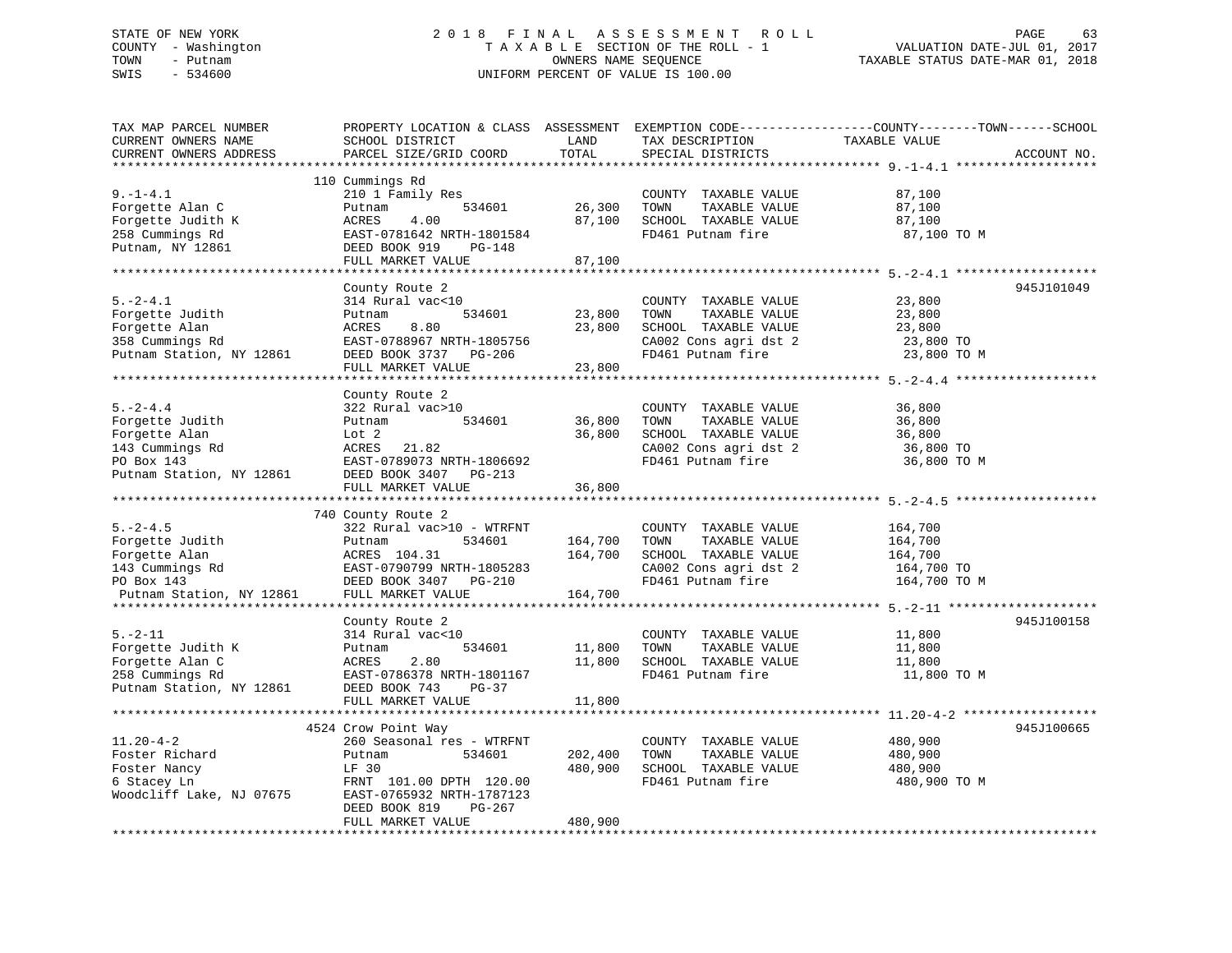### STATE OF NEW YORK 2 0 1 8 F I N A L A S S E S S M E N T R O L L PAGE 63 COUNTY - Washington T A X A B L E SECTION OF THE ROLL - 1 VALUATION DATE-JUL 01, 2017 TOWN - Putnam OWNERS NAME SEQUENCE TAXABLE STATUS DATE-MAR 01, 2018 SWIS - 534600 UNIFORM PERCENT OF VALUE IS 100.00

| TAX MAP PARCEL NUMBER    | PROPERTY LOCATION & CLASS ASSESSMENT |                   | EXEMPTION CODE-----------------COUNTY-------TOWN------SCHOOL |                                   |             |
|--------------------------|--------------------------------------|-------------------|--------------------------------------------------------------|-----------------------------------|-------------|
| CURRENT OWNERS NAME      | SCHOOL DISTRICT                      | LAND              | TAX DESCRIPTION                                              | TAXABLE VALUE                     |             |
| CURRENT OWNERS ADDRESS   | PARCEL SIZE/GRID COORD               | TOTAL             | SPECIAL DISTRICTS                                            |                                   | ACCOUNT NO. |
|                          | 110 Cummings Rd                      |                   |                                                              |                                   |             |
| $9. - 1 - 4.1$           | 210 1 Family Res                     |                   | COUNTY TAXABLE VALUE                                         | 87,100                            |             |
| Forgette Alan C          |                                      | 26,300            | TAXABLE VALUE<br>TOWN                                        | 87,100                            |             |
| Forgette Judith K        | 534601<br>Putnam<br>4.00<br>ACRES    | 87,100            | SCHOOL TAXABLE VALUE                                         | 87,100                            |             |
| 258 Cummings Rd          | EAST-0781642 NRTH-1801584            |                   | FD461 Putnam fire                                            | 87,100 TO M                       |             |
| Putnam, NY 12861         | DEED BOOK 919<br>PG-148              |                   |                                                              |                                   |             |
|                          | FULL MARKET VALUE                    | 87,100            |                                                              |                                   |             |
|                          |                                      |                   |                                                              |                                   |             |
|                          | County Route 2                       |                   |                                                              |                                   | 945J101049  |
| $5. -2 - 4.1$            | 314 Rural vac<10                     |                   | COUNTY TAXABLE VALUE                                         | 23,800                            |             |
| Forgette Judith          | 534601<br>Putnam                     | 23,800            | TOWN<br>TAXABLE VALUE                                        | 23,800                            |             |
| Forgette Alan            | ACRES<br>8.80                        | 23,800            | SCHOOL TAXABLE VALUE                                         | 23,800                            |             |
| 358 Cummings Rd          | EAST-0788967 NRTH-1805756            |                   | CA002 Cons agri dst 2                                        | 23,800 TO                         |             |
| Putnam Station, NY 12861 | DEED BOOK 3737<br>PG-206             |                   | FD461 Putnam fire                                            | 23,800 TO M                       |             |
|                          | FULL MARKET VALUE                    | 23,800            |                                                              |                                   |             |
|                          | *****************                    |                   |                                                              | **************** 5. - 2 - 4.4 *** |             |
|                          | County Route 2                       |                   |                                                              |                                   |             |
| $5. -2 - 4.4$            | 322 Rural vac>10                     |                   | COUNTY TAXABLE VALUE                                         | 36,800                            |             |
| Forgette Judith          | Putnam<br>534601                     | 36,800            | TOWN<br>TAXABLE VALUE                                        | 36,800                            |             |
| Forgette Alan            | Lot <sub>2</sub>                     | 36,800            | SCHOOL TAXABLE VALUE                                         | 36,800                            |             |
| 143 Cummings Rd          | ACRES<br>21.82                       |                   | CA002 Cons agri dst 2                                        | 36,800 TO                         |             |
| PO Box 143               | EAST-0789073 NRTH-1806692            |                   | FD461 Putnam fire                                            | 36,800 TO M                       |             |
| Putnam Station, NY 12861 | DEED BOOK 3407<br>PG-213             |                   |                                                              |                                   |             |
|                          | FULL MARKET VALUE                    | 36,800            |                                                              |                                   |             |
|                          |                                      |                   |                                                              | *********************** 5.-2-4.5  |             |
|                          | 740 County Route 2                   |                   |                                                              |                                   |             |
| $5. -2 - 4.5$            | 322 Rural vac>10 - WTRFNT            |                   | COUNTY TAXABLE VALUE                                         | 164,700                           |             |
| Forgette Judith          | 534601<br>Putnam                     | 164,700           | TOWN<br>TAXABLE VALUE                                        | 164,700                           |             |
| Forgette Alan            | ACRES 104.31                         | 164,700           | SCHOOL TAXABLE VALUE                                         | 164,700                           |             |
| 143 Cummings Rd          | EAST-0790799 NRTH-1805283            |                   | CA002 Cons agri dst 2                                        | 164,700 TO                        |             |
| PO Box 143               | DEED BOOK 3407<br>PG-210             |                   | FD461 Putnam fire                                            | 164,700 TO M                      |             |
| Putnam Station, NY 12861 | FULL MARKET VALUE                    | 164,700           |                                                              |                                   |             |
|                          |                                      |                   |                                                              |                                   |             |
|                          | County Route 2                       |                   |                                                              |                                   | 945J100158  |
| $5. - 2 - 11$            | 314 Rural vac<10                     |                   | COUNTY TAXABLE VALUE                                         | 11,800                            |             |
| Forgette Judith K        | 534601<br>Putnam                     | 11,800            | TAXABLE VALUE<br>TOWN                                        | 11,800                            |             |
| Forgette Alan C          | ACRES<br>2.80                        | 11,800            | SCHOOL TAXABLE VALUE                                         | 11,800                            |             |
| 258 Cummings Rd          | EAST-0786378 NRTH-1801167            |                   | FD461 Putnam fire                                            | 11,800 TO M                       |             |
| Putnam Station, NY 12861 | DEED BOOK 743<br>$PG-37$             |                   |                                                              |                                   |             |
|                          | FULL MARKET VALUE                    | 11,800            |                                                              |                                   |             |
|                          |                                      | ***************** | ******************************** 11.20-4-2 ******            |                                   | **********  |
|                          | 4524 Crow Point Way                  |                   |                                                              |                                   | 945J100665  |
| $11.20 - 4 - 2$          | 260 Seasonal res - WTRFNT            |                   | COUNTY TAXABLE VALUE                                         | 480,900                           |             |
| Foster Richard           | Putnam<br>534601                     | 202,400           | TOWN<br>TAXABLE VALUE                                        | 480,900                           |             |
| Foster Nancy             | LF 30                                | 480,900           | SCHOOL TAXABLE VALUE                                         | 480,900                           |             |
| 6 Stacey Ln              | FRNT 101.00 DPTH 120.00              |                   | FD461 Putnam fire                                            | 480,900 TO M                      |             |
| Woodcliff Lake, NJ 07675 | EAST-0765932 NRTH-1787123            |                   |                                                              |                                   |             |
|                          | DEED BOOK 819<br>PG-267              |                   |                                                              |                                   |             |
|                          | FULL MARKET VALUE                    | 480,900           |                                                              |                                   |             |
|                          |                                      |                   |                                                              |                                   |             |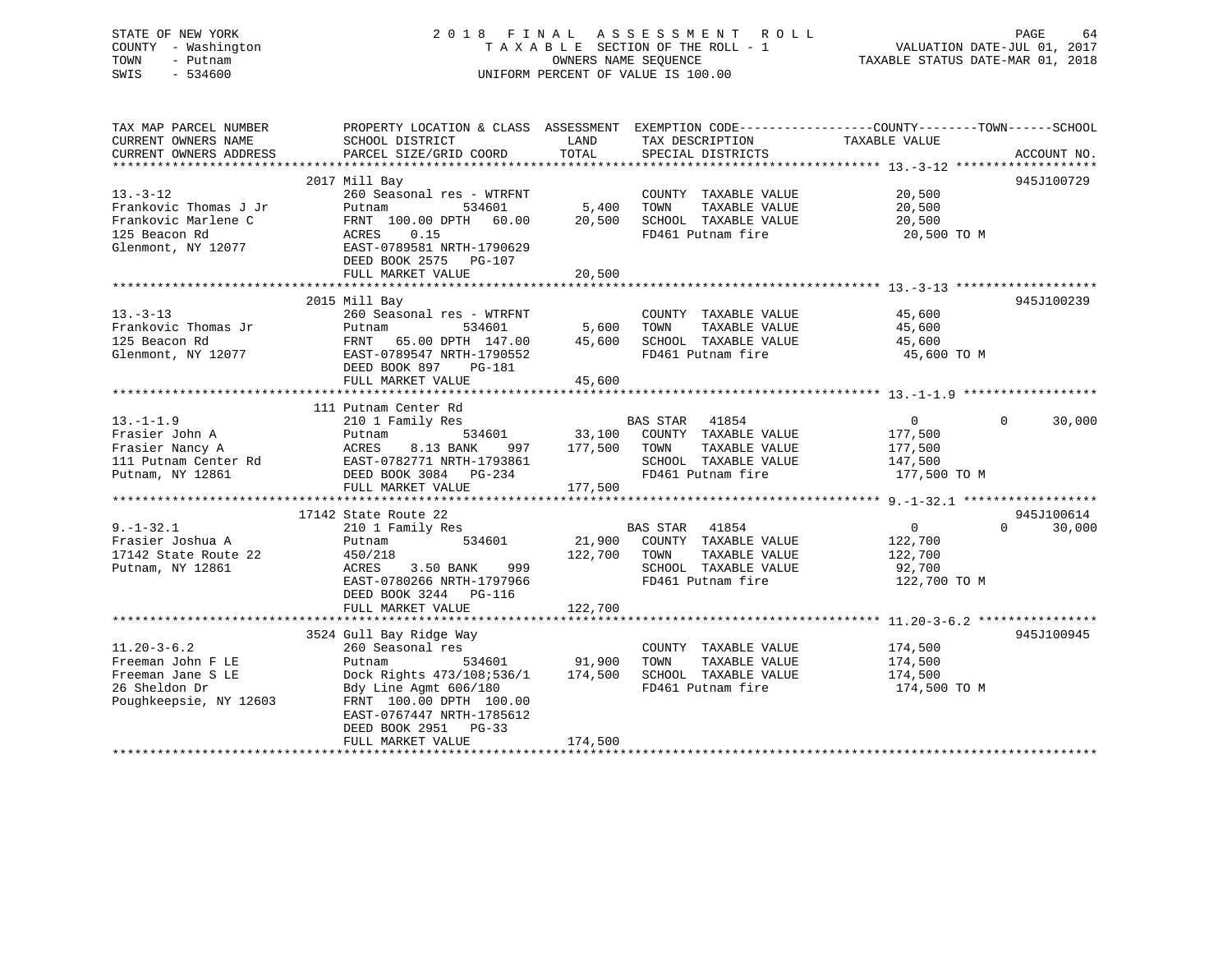STATE OF NEW YORK 2 0 1 8 F I N A L A S S E S S M E N T R O L L PAGE 64 COUNTY - Washington T A X A B L E SECTION OF THE ROLL - 1 VALUATION DATE-JUL 01, 2017 TOWN - Putnam OWNERS NAME SEQUENCE TAXABLE STATUS DATE-MAR 01, 2018 SWIS - 534600 UNIFORM PERCENT OF VALUE IS 100.00

| TAX MAP PARCEL NUMBER<br>CURRENT OWNERS NAME                                                           | SCHOOL DISTRICT                                                                                                                                                                                       | LAND<br>TAX DESCRIPTION                                                                                                                | PROPERTY LOCATION & CLASS ASSESSMENT EXEMPTION CODE---------------COUNTY-------TOWN-----SCHOOL<br>TAXABLE VALUE |
|--------------------------------------------------------------------------------------------------------|-------------------------------------------------------------------------------------------------------------------------------------------------------------------------------------------------------|----------------------------------------------------------------------------------------------------------------------------------------|-----------------------------------------------------------------------------------------------------------------|
| CURRENT OWNERS ADDRESS                                                                                 | PARCEL SIZE/GRID COORD                                                                                                                                                                                | TOTAL<br>SPECIAL DISTRICTS                                                                                                             | ACCOUNT NO.                                                                                                     |
|                                                                                                        |                                                                                                                                                                                                       |                                                                                                                                        |                                                                                                                 |
| $13. - 3 - 12$<br>Frankovic Thomas J Jr                                                                | 2017 Mill Bay<br>260 Seasonal res - WTRFNT<br>Putnam<br>534601                                                                                                                                        | COUNTY TAXABLE VALUE<br>$5,400$ TOWN<br>TAXABLE VALUE                                                                                  | 945J100729<br>20,500<br>20,500<br>20,500                                                                        |
| Frankovic Marlene C<br>125 Beacon Rd<br>Glenmont, NY 12077                                             | FRNT 100.00 DPTH 60.00<br>0.15<br>ACRES<br>EAST-0789581 NRTH-1790629<br>DEED BOOK 2575 PG-107                                                                                                         | 20,500<br>SCHOOL TAXABLE VALUE<br>FD461 Putnam fire                                                                                    | 20,500<br>20,500 TO M                                                                                           |
|                                                                                                        | FULL MARKET VALUE                                                                                                                                                                                     | 20,500                                                                                                                                 |                                                                                                                 |
|                                                                                                        |                                                                                                                                                                                                       |                                                                                                                                        |                                                                                                                 |
| $13 - 3 - 13$<br>Frankovic Thomas Jr<br>125 Beacon Rd<br>Glenmont, NY 12077                            | 2015 Mill Bay<br>260 Seasonal res - WTRFNT<br>Putnam<br>534601<br>FRNT 65.00 DPTH 147.00 45,600<br>FRNT 65.00 DE 1. -<br>EAST-0789547 NRTH-1790552<br>Carl 207 DG-181<br>DEED BOOK 897 PG-181         | COUNTY TAXABLE VALUE<br>5,600 TOWN<br>TAXABLE VALUE<br>SCHOOL TAXABLE VALUE<br>FD461 Putnam fire                                       | 945J100239<br>45,600<br>45.600<br>45,600<br>45,600<br>45,600 TO M                                               |
|                                                                                                        | FULL MARKET VALUE                                                                                                                                                                                     | 45,600                                                                                                                                 |                                                                                                                 |
|                                                                                                        |                                                                                                                                                                                                       |                                                                                                                                        |                                                                                                                 |
|                                                                                                        | 111 Putnam Center Rd                                                                                                                                                                                  |                                                                                                                                        |                                                                                                                 |
| $13. - 1 - 1.9$<br>Frasier John A<br>Frasier Nancy A                                                   | 210 1 Family Res<br>Putnam<br>ACRES<br>8.13 BANK                                                                                                                                                      | BAS STAR 41854<br>SCHOOL TAXABLE VALUE 147,500                                                                                         | $\overline{0}$<br>$\Omega$<br>30,000<br>177,500<br>177,500                                                      |
|                                                                                                        | FIASIEL NURLY<br>111 Putnam Center Rd BAST-0782771 NRTH-1793861<br>Putnam, NY 12861 PULL MARKET VALUE                                                                                                 | FD461 Putnam fire<br>177,500                                                                                                           | 177,500 TO M                                                                                                    |
|                                                                                                        |                                                                                                                                                                                                       |                                                                                                                                        |                                                                                                                 |
|                                                                                                        | 17142 State Route 22                                                                                                                                                                                  |                                                                                                                                        | 945J100614                                                                                                      |
| $9. - 1 - 32.1$<br>Frasier Joshua A<br>17142 State Route 22<br>Putnam, NY 12861                        | 210 1 Family Res<br>534601<br>Putnam<br>450/218<br>3.50 BANK 999<br>ACRES<br>EAST-0780266 NRTH-1797966<br>DEED BOOK 3244 PG-116<br>FULL MARKET VALUE                                                  | BAS STAR 41854<br>21,900 COUNTY TAXABLE VALUE<br>122,700 TOWN<br>TAXABLE VALUE<br>SCHOOL TAXABLE VALUE<br>FD461 Putnam fire<br>122,700 | 0<br>$\Omega$<br>30,000<br>122,700<br>122,700<br>92,700<br>122,700 TO M                                         |
|                                                                                                        |                                                                                                                                                                                                       |                                                                                                                                        |                                                                                                                 |
| $11.20 - 3 - 6.2$<br>Freeman John F LE<br>Freeman Jane S LE<br>26 Sheldon Dr<br>Poughkeepsie, NY 12603 | 3524 Gull Bay Ridge Way<br>260 Seasonal res<br>534601<br>Putnam<br>Dock Rights 473/108:536/1<br>Bdy Line Agmt 606/180<br>FRNT 100.00 DPTH 100.00<br>EAST-0767447 NRTH-1785612<br>DEED BOOK 2951 PG-33 | COUNTY TAXABLE VALUE<br>91,900<br>TOWN<br>TAXABLE VALUE<br>174,500<br>SCHOOL TAXABLE VALUE<br>FD461 Putnam fire                        | 945J100945<br>174,500<br>174,500<br>174,500<br>174,500 TO M                                                     |
|                                                                                                        | FULL MARKET VALUE                                                                                                                                                                                     | 174,500                                                                                                                                |                                                                                                                 |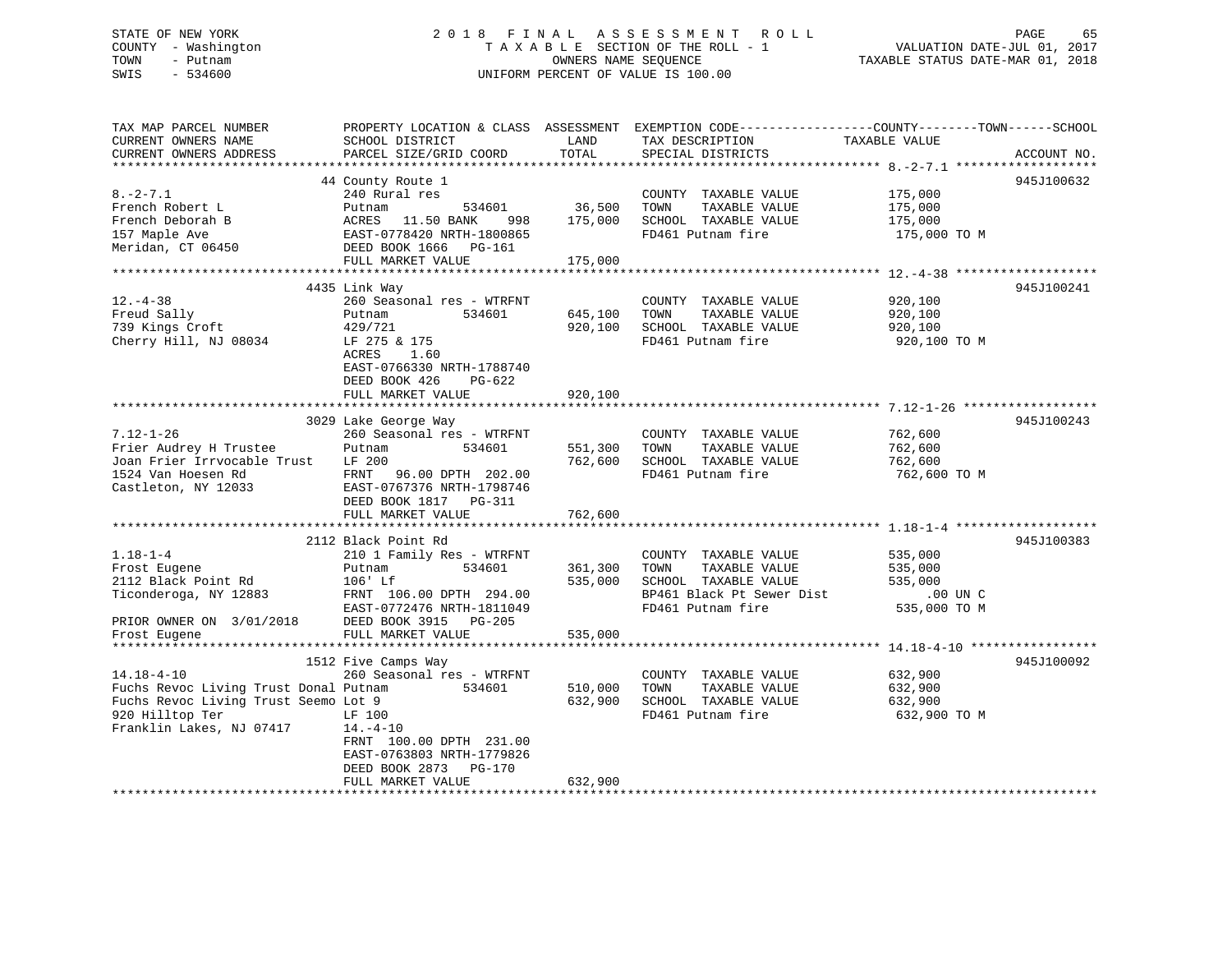# STATE OF NEW YORK 2 0 1 8 F I N A L A S S E S S M E N T R O L L PAGE 65COUNTY - Washington  $T A X A B L E$  SECTION OF THE ROLL - 1<br>TOWN - Putnam data of the COUNTERS NAME SEQUENCE SWIS - 534600 UNIFORM PERCENT OF VALUE IS 100.00

TAXABLE STATUS DATE-MAR 01, 2018

| TAX MAP PARCEL NUMBER                        | PROPERTY LOCATION & CLASS ASSESSMENT EXEMPTION CODE---------------COUNTY-------TOWN-----SCHOOL |               |                           |               |             |
|----------------------------------------------|------------------------------------------------------------------------------------------------|---------------|---------------------------|---------------|-------------|
| CURRENT OWNERS NAME                          | SCHOOL DISTRICT                                                                                | LAND          | TAX DESCRIPTION           | TAXABLE VALUE |             |
| CURRENT OWNERS ADDRESS                       | PARCEL SIZE/GRID COORD                                                                         | TOTAL         | SPECIAL DISTRICTS         |               | ACCOUNT NO. |
|                                              |                                                                                                |               |                           |               |             |
|                                              | 44 County Route 1                                                                              |               |                           |               | 945J100632  |
| $8. - 2 - 7.1$                               | 240 Rural res                                                                                  |               | COUNTY TAXABLE VALUE      | 175,000       |             |
| French Robert L                              | 534601<br>Putnam                                                                               | 36,500        | TAXABLE VALUE<br>TOWN     | 175,000       |             |
|                                              |                                                                                                |               |                           |               |             |
| French Deborah B                             | ACRES<br>11.50 BANK<br>998                                                                     | 175,000       | SCHOOL TAXABLE VALUE      | 175,000       |             |
| 157 Maple Ave                                | 998 - ANNA - 2.00 ANNA<br>EAST-0778420 NRTH-1800865<br>DEED BOOK 1555                          |               | FD461 Putnam fire         | 175,000 TO M  |             |
| Meridan, CT 06450                            | DEED BOOK 1666 PG-161                                                                          |               |                           |               |             |
|                                              | FULL MARKET VALUE                                                                              | 175,000       |                           |               |             |
|                                              |                                                                                                |               |                           |               |             |
|                                              | 4435 Link Way                                                                                  |               |                           |               | 945J100241  |
| $12. - 4 - 38$                               | 260 Seasonal res - WTRFNT                                                                      |               | COUNTY TAXABLE VALUE      | 920,100       |             |
| Freud Sally                                  | 534601<br>Putnam                                                                               | 645,100       | TAXABLE VALUE<br>TOWN     | 920,100       |             |
| 739 Kings Croft                              | 429/721                                                                                        | 920,100       | SCHOOL TAXABLE VALUE      | 920,100       |             |
| Cherry Hill, NJ 08034                        | LF 275 & 175                                                                                   |               | FD461 Putnam fire         | 920,100 TO M  |             |
|                                              | ACRES<br>1.60                                                                                  |               |                           |               |             |
|                                              |                                                                                                |               |                           |               |             |
|                                              | EAST-0766330 NRTH-1788740                                                                      |               |                           |               |             |
|                                              | DEED BOOK 426<br>PG-622                                                                        |               |                           |               |             |
|                                              | FULL MARKET VALUE                                                                              | 920,100       |                           |               |             |
| *************************                    | ******************************                                                                 | ************* |                           |               |             |
|                                              | 3029 Lake George Way                                                                           |               |                           |               | 945J100243  |
| $7.12 - 1 - 26$                              | 260 Seasonal res - WTRFNT                                                                      |               | COUNTY TAXABLE VALUE      | 762,600       |             |
| Frier Audrey H Trustee                       | Putnam<br>534601                                                                               | 551,300       | TAXABLE VALUE<br>TOWN     | 762,600       |             |
| Joan Frier Irrvocable Trust                  | LF 200                                                                                         | 762,600       | SCHOOL TAXABLE VALUE      | 762,600       |             |
| 1524 Van Hoesen Rd                           | 96.00 DPTH 202.00<br>FRNT                                                                      |               | FD461 Putnam fire         | 762,600 ТО М  |             |
| Castleton, NY 12033                          | EAST-0767376 NRTH-1798746                                                                      |               |                           |               |             |
|                                              | DEED BOOK 1817    PG-311                                                                       |               |                           |               |             |
|                                              | FULL MARKET VALUE                                                                              | 762,600       |                           |               |             |
|                                              |                                                                                                |               |                           |               |             |
|                                              |                                                                                                |               |                           |               |             |
|                                              | 2112 Black Point Rd                                                                            |               |                           |               | 945J100383  |
| $1.18 - 1 - 4$                               | 210 1 Family Res - WTRFNT                                                                      |               | COUNTY TAXABLE VALUE      | 535,000       |             |
| Frost Eugene                                 | 534601<br>Putnam                                                                               | 361,300       | TAXABLE VALUE<br>TOWN     | 535,000       |             |
| 2112 Black Point Rd                          | $106'$ Lf                                                                                      | 535,000       | SCHOOL TAXABLE VALUE      | 535,000       |             |
| Ticonderoga, NY 12883                        | FRNT 106.00 DPTH 294.00                                                                        |               | BP461 Black Pt Sewer Dist | .00 UN C      |             |
|                                              | EAST-0772476 NRTH-1811049                                                                      |               | FD461 Putnam fire         | 535,000 TO M  |             |
| PRIOR OWNER ON 3/01/2018                     | DEED BOOK 3915 PG-205                                                                          |               |                           |               |             |
| Frost Eugene                                 | FULL MARKET VALUE                                                                              | 535,000       |                           |               |             |
|                                              |                                                                                                |               |                           |               |             |
|                                              | 1512 Five Camps Way                                                                            |               |                           |               | 945J100092  |
| $14.18 - 4 - 10$                             | 260 Seasonal res - WTRFNT                                                                      |               | COUNTY TAXABLE VALUE      | 632,900       |             |
|                                              |                                                                                                |               |                           |               |             |
| Fuchs Revoc Living Trust Donal Putnam 534601 |                                                                                                | 510,000       | TOWN<br>TAXABLE VALUE     | 632,900       |             |
| Fuchs Revoc Living Trust Seemo Lot 9         |                                                                                                | 632,900       | SCHOOL TAXABLE VALUE      | 632,900       |             |
| 920 Hilltop Ter                              | LF 100                                                                                         |               | FD461 Putnam fire         | 632,900 TO M  |             |
| Franklin Lakes, NJ 07417                     | $14. -4 - 10$                                                                                  |               |                           |               |             |
|                                              | FRNT 100.00 DPTH 231.00                                                                        |               |                           |               |             |
|                                              | EAST-0763803 NRTH-1779826                                                                      |               |                           |               |             |
|                                              | DEED BOOK 2873<br><b>PG-170</b>                                                                |               |                           |               |             |
|                                              | FULL MARKET VALUE                                                                              | 632,900       |                           |               |             |
|                                              |                                                                                                |               |                           |               |             |
|                                              |                                                                                                |               |                           |               |             |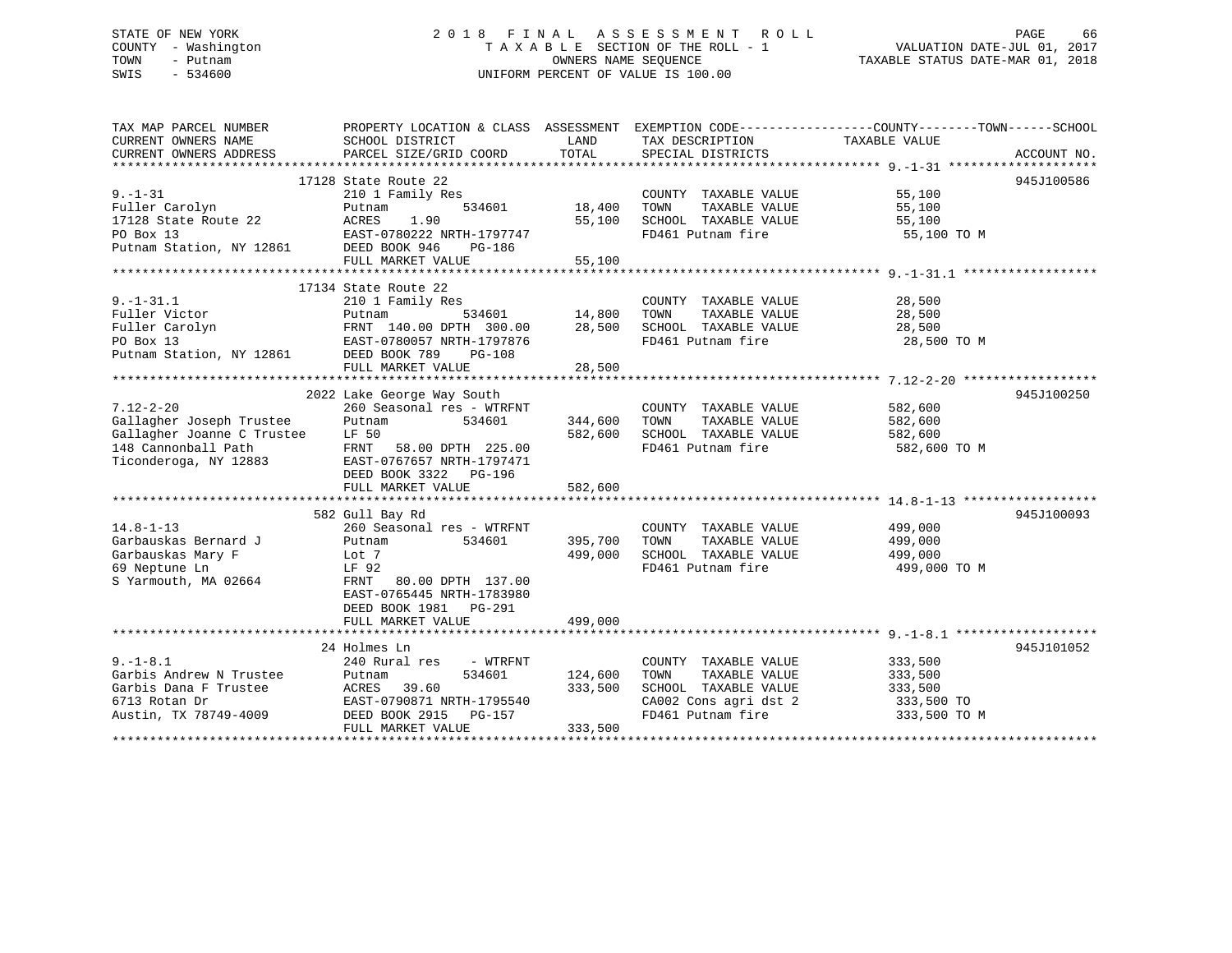### STATE OF NEW YORK 2 0 1 8 F I N A L A S S E S S M E N T R O L L PAGE 66 COUNTY - Washington T A X A B L E SECTION OF THE ROLL - 1 VALUATION DATE-JUL 01, 2017 TOWN - Putnam **CONNERS NAME SEQUENCE** TAXABLE STATUS DATE-MAR 01, 2018 SWIS - 534600 UNIFORM PERCENT OF VALUE IS 100.00

| TAX MAP PARCEL NUMBER                |                                                                         |                                   |                                            | PROPERTY LOCATION & CLASS ASSESSMENT EXEMPTION CODE----------------COUNTY-------TOWN------SCHOOL |
|--------------------------------------|-------------------------------------------------------------------------|-----------------------------------|--------------------------------------------|--------------------------------------------------------------------------------------------------|
| CURRENT OWNERS NAME                  | SCHOOL DISTRICT                                                         | LAND                              | TAX DESCRIPTION                            | TAXABLE VALUE                                                                                    |
|                                      |                                                                         |                                   |                                            |                                                                                                  |
|                                      |                                                                         |                                   |                                            |                                                                                                  |
|                                      | 17128 State Route 22                                                    |                                   |                                            | 945J100586                                                                                       |
| $9. - 1 - 31$                        | 210 1 Family Res                                                        |                                   | COUNTY TAXABLE VALUE                       | 55,100                                                                                           |
| Fuller Carolyn                       | 534601<br>Putnam                                                        | 18,400                            | TOWN<br>TAXABLE VALUE                      |                                                                                                  |
| 17128 State Route 22                 | ACRES<br>1.90                                                           | 55,100                            | SCHOOL TAXABLE VALUE                       | 55,100<br>55,100                                                                                 |
| PO Box 13                            | EAST-0780222 NRTH-1797747                                               |                                   | FD461 Putnam fire                          | 55,100 TO M                                                                                      |
|                                      | DEED BOOK 946<br>PG-186                                                 |                                   |                                            |                                                                                                  |
| Putnam Station, NY 12861             |                                                                         |                                   |                                            |                                                                                                  |
|                                      | FULL MARKET VALUE                                                       | 55,100                            |                                            |                                                                                                  |
|                                      |                                                                         |                                   |                                            |                                                                                                  |
|                                      | 17134 State Route 22                                                    |                                   |                                            |                                                                                                  |
| $9. - 1 - 31.1$                      | 210 1 Family Res                                                        |                                   | COUNTY TAXABLE VALUE                       | 28,500                                                                                           |
| Fuller Victor                        | Putnam                                                                  | 534601 14,800<br>TH 300.00 28,500 | TAXABLE VALUE<br>TOWN                      | 28,500                                                                                           |
| Fuller Carolyn                       | FRNT 140.00 DPTH 300.00                                                 |                                   | SCHOOL TAXABLE VALUE                       | 28,500                                                                                           |
|                                      |                                                                         |                                   | FD461 Putnam fire                          | 28,500 TO M                                                                                      |
|                                      | PO Box 13<br>PO Box 13<br>Putnam Station, NY 12861 DEED BOOK 789 PG-108 |                                   |                                            |                                                                                                  |
|                                      | FULL MARKET VALUE                                                       | 28,500                            |                                            |                                                                                                  |
|                                      |                                                                         |                                   |                                            |                                                                                                  |
|                                      | 2022 Lake George Way South                                              |                                   |                                            | 945J100250                                                                                       |
| $7.12 - 2 - 20$                      | 260 Seasonal res - WTRFNT                                               |                                   | COUNTY TAXABLE VALUE 582,600               |                                                                                                  |
| Gallagher Joseph Trustee             | 534601<br>Putnam                                                        | 344,600                           | TOWN<br>TAXABLE VALUE                      |                                                                                                  |
| Gallagher Joanne C Trustee           | LF 50                                                                   | 582,600                           | SCHOOL TAXABLE VALUE                       | 582,600<br>582,600                                                                               |
| 148 Cannonball Path                  | FRNT 58.00 DPTH 225.00                                                  |                                   | FD461 Putnam fire                          | 582,600 TO M                                                                                     |
| Ticonderoga, NY 12883                | EAST-0767657 NRTH-1797471                                               |                                   |                                            |                                                                                                  |
|                                      | DEED BOOK 3322 PG-196                                                   |                                   |                                            |                                                                                                  |
|                                      | FULL MARKET VALUE                                                       | 582,600                           |                                            |                                                                                                  |
|                                      |                                                                         |                                   |                                            |                                                                                                  |
|                                      | 582 Gull Bay Rd                                                         |                                   |                                            | 945J100093                                                                                       |
| $14.8 - 1 - 13$                      | 260 Seasonal res - WTRFNT                                               |                                   | COUNTY TAXABLE VALUE                       | 499,000                                                                                          |
| Garbauskas Bernard J                 | 534601                                                                  |                                   | TOWN<br>TAXABLE VALUE                      | 499,000                                                                                          |
|                                      | Putnam                                                                  | 395,700                           |                                            |                                                                                                  |
| Garbauskas Mary F                    | Lot 7                                                                   | 499,000                           | SCHOOL TAXABLE VALUE                       | 499,000                                                                                          |
| 69 Neptune Ln                        | LF 92                                                                   |                                   | FD461 Putnam fire                          | 499,000 TO M                                                                                     |
| S Yarmouth, MA 02664                 | FRNT 80.00 DPTH 137.00                                                  |                                   |                                            |                                                                                                  |
|                                      | EAST-0765445 NRTH-1783980                                               |                                   |                                            |                                                                                                  |
|                                      | DEED BOOK 1981    PG-291                                                |                                   |                                            |                                                                                                  |
|                                      | FULL MARKET VALUE                                                       | 499,000                           |                                            |                                                                                                  |
|                                      |                                                                         |                                   |                                            |                                                                                                  |
|                                      | 24 Holmes Ln                                                            |                                   |                                            | 945J101052                                                                                       |
| $9. - 1 - 8.1$                       | 240 Rural res<br>- WTRFNT                                               |                                   | COUNTY TAXABLE VALUE                       | 333,500                                                                                          |
| Garbis Andrew N Trustee              | 534601<br>Putnam                                                        | 124,600                           | TOWN<br>TAXABLE VALUE                      | 333,500                                                                                          |
| Garbis Dana F Trustee                | ACRES 39.60                                                             | 333,500                           | SCHOOL TAXABLE VALUE                       | 333,500                                                                                          |
| 6713 Rotan Dr                        | EAST-0790871 NRTH-1795540                                               |                                   |                                            | 333,500 TO                                                                                       |
| Austin, TX 78749-4009 DEED BOOK 2915 | PG-157                                                                  |                                   | CA002 Cons agri dst 2<br>FD461 Putnam fire | 333,500 TO M                                                                                     |
|                                      | FULL MARKET VALUE                                                       | 333,500                           |                                            |                                                                                                  |
|                                      |                                                                         |                                   |                                            |                                                                                                  |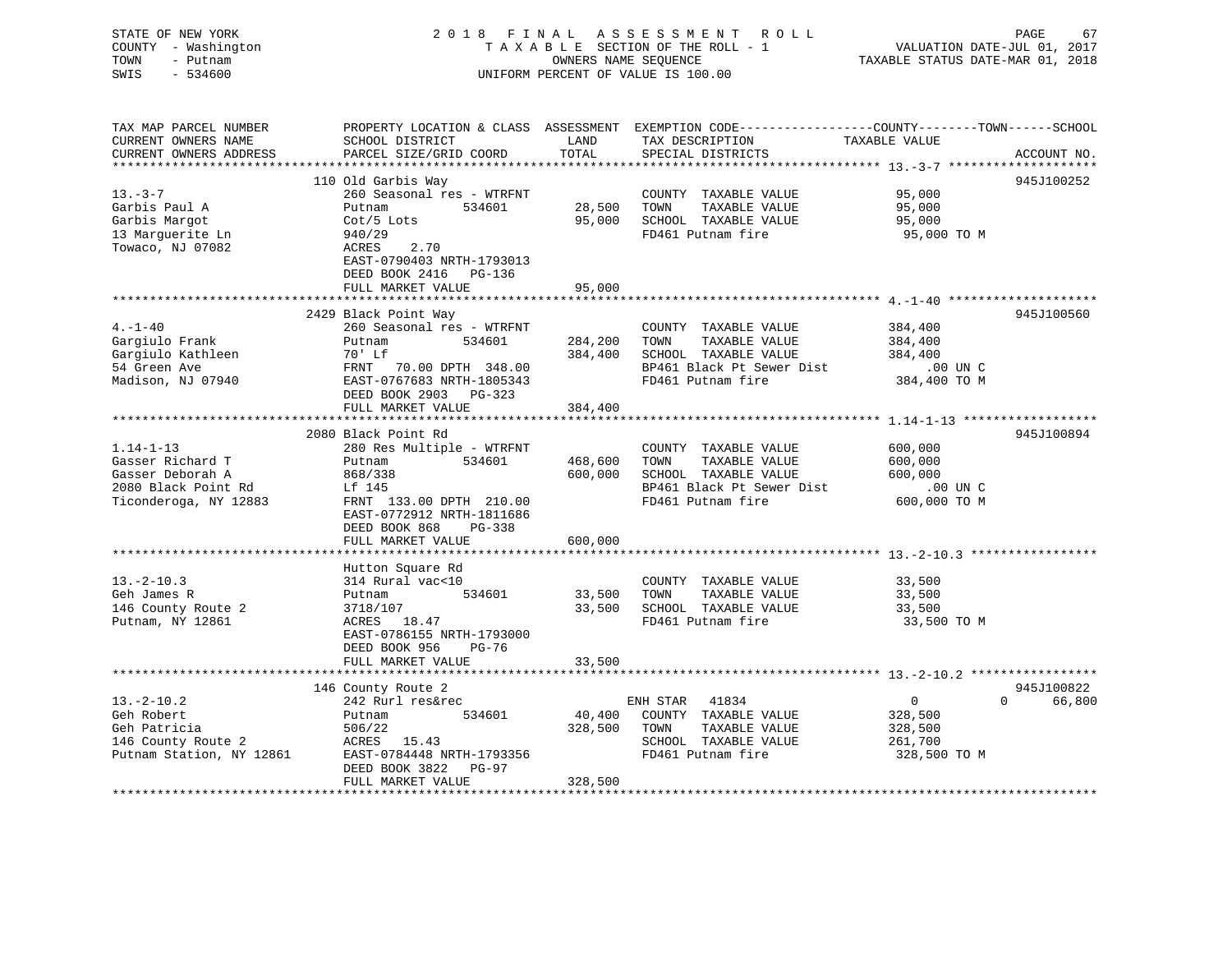| STATE OF NEW YORK<br>COUNTY - Washington<br>TOWN<br>- Putnam<br>SWIS<br>$-534600$                  |                                                                                                                                          |                    | 2018 FINAL ASSESSMENT ROLL<br>T A X A B L E SECTION OF THE ROLL - 1<br>OWNERS NAME SEQUENCE<br>OWNERS NAME SEQUENCE<br>UNIFORM PERCENT OF VALUE IS 100.00 | VALUATION DATE-JUL 01, 2017<br>TAXABLE STATUS DATE-MAR 01, 2018 | PAGE<br>67  |
|----------------------------------------------------------------------------------------------------|------------------------------------------------------------------------------------------------------------------------------------------|--------------------|-----------------------------------------------------------------------------------------------------------------------------------------------------------|-----------------------------------------------------------------|-------------|
| TAX MAP PARCEL NUMBER<br>CURRENT OWNERS NAME                                                       | PROPERTY LOCATION & CLASS ASSESSMENT EXEMPTION CODE----------------COUNTY-------TOWN------SCHOOL<br>SCHOOL DISTRICT LAND TAX DESCRIPTION |                    |                                                                                                                                                           | TAXABLE VALUE                                                   |             |
| CURRENT OWNERS ADDRESS                                                                             | PARCEL SIZE/GRID COORD                                                                                                                   | TOTAL              | SPECIAL DISTRICTS                                                                                                                                         |                                                                 | ACCOUNT NO. |
|                                                                                                    |                                                                                                                                          |                    |                                                                                                                                                           |                                                                 |             |
| $13. -3 - 7$                                                                                       | 110 Old Garbis Way                                                                                                                       |                    |                                                                                                                                                           |                                                                 | 945J100252  |
| Garbis Paul A                                                                                      | 260 Seasonal res - WTRFNT<br>Putnam 534601                                                                                               |                    | COUNTY TAXABLE VALUE<br>TAXABLE VALUE                                                                                                                     | 95,000<br>95,000                                                |             |
| Garbis Margot                                                                                      | Cot/5 Lots                                                                                                                               |                    | 28,500 TOWN TAXABLE VALUE<br>95,000 SCHOOL TAXABLE VALUE                                                                                                  | 95,000                                                          |             |
| 13 Marguerite Ln                                                                                   | 940/29                                                                                                                                   |                    | FD461 Putnam fire                                                                                                                                         | 95,000 TO M                                                     |             |
| Towaco, NJ 07082                                                                                   | 2.70<br>ACRES<br>EAST-0790403 NRTH-1793013                                                                                               |                    |                                                                                                                                                           |                                                                 |             |
|                                                                                                    | DEED BOOK 2416    PG-136<br>FULL MARKET VALUE                                                                                            | 95,000             |                                                                                                                                                           |                                                                 |             |
|                                                                                                    |                                                                                                                                          |                    |                                                                                                                                                           |                                                                 |             |
|                                                                                                    | 2429 Black Point Way                                                                                                                     |                    |                                                                                                                                                           |                                                                 | 945J100560  |
| $4. -1 - 40$                                                                                       | 260 Seasonal res - WTRFNT                                                                                                                |                    | COUNTY TAXABLE VALUE                                                                                                                                      | 384,400                                                         |             |
| Gargiulo Frank                                                                                     | 534601<br>Putnam                                                                                                                         |                    | 284,200 TOWN<br>TAXABLE VALUE                                                                                                                             | 384,400                                                         |             |
|                                                                                                    | $70'$ Lf                                                                                                                                 |                    | 384,400 SCHOOL TAXABLE VALUE                                                                                                                              | 384,400                                                         |             |
|                                                                                                    | 384,40<br>FRNT 70.00 DPTH 348.00<br>EAST-0767683 NPTH-1905242                                                                            |                    | BP461 Black Pt Sewer Dist                                                                                                                                 | .00 UN C                                                        |             |
| Gargiulo Kathleen<br>54 Green Ave<br>Madison, NJ 07940                                             | EAST-0767683 NRTH-1805343<br>DEED BOOK 2903 PG-323<br>FULL MARKET VALUE                                                                  | 384,400            | BP461 Black ro bonder<br>FD461 Putnam fire                                                                                                                | 384,400 TO M                                                    |             |
|                                                                                                    |                                                                                                                                          |                    |                                                                                                                                                           |                                                                 |             |
|                                                                                                    | 2080 Black Point Rd                                                                                                                      |                    |                                                                                                                                                           |                                                                 | 945J100894  |
| $1.14 - 1 - 13$                                                                                    | 280 Res Multiple - WTRFNT                                                                                                                |                    | COUNTY TAXABLE VALUE                                                                                                                                      | 600,000                                                         |             |
| Gasser Richard T                                                                                   | Putnam 534601                                                                                                                            |                    | 468,600 TOWN<br>TAXABLE VALUE                                                                                                                             | 600,000                                                         |             |
| Gasser Deborah A                                                                                   | 868/338                                                                                                                                  |                    | 600,000 SCHOOL TAXABLE VALUE                                                                                                                              | 600,000                                                         |             |
| 2080 Black Point Rd                                                                                | Lf 145                                                                                                                                   |                    |                                                                                                                                                           |                                                                 |             |
| Ticonderoga, NY 12883                                                                              | FRNT 133.00 DPTH 210.00<br>EAST-0772912 NRTH-1811686<br>DEED BOOK 868 PG-338                                                             |                    |                                                                                                                                                           |                                                                 |             |
|                                                                                                    | FULL MARKET VALUE                                                                                                                        | 600,000            |                                                                                                                                                           |                                                                 |             |
|                                                                                                    | Hutton Square Rd                                                                                                                         |                    |                                                                                                                                                           |                                                                 |             |
| $13.-2-10.3$                                                                                       | 314 Rural vac<10                                                                                                                         |                    | COUNTY TAXABLE VALUE                                                                                                                                      | 33,500                                                          |             |
| Geh James R                                                                                        | Putnam                                                                                                                                   | 534601 33,500 TOWN | TAXABLE VALUE                                                                                                                                             | 33,500                                                          |             |
| 146 County Route 2                                                                                 |                                                                                                                                          |                    | 33,500 SCHOOL TAXABLE VALUE                                                                                                                               | 33,500                                                          |             |
| Putnam, NY 12861                                                                                   | 3718/107<br>ACRES 18.47<br>EAST-0786155 NRTH-1793000<br>DEED BOOK 956 PG-76                                                              |                    | FD461 Putnam fire                                                                                                                                         | 33,500 TO M                                                     |             |
|                                                                                                    | FULL MARKET VALUE                                                                                                                        | 33,500             |                                                                                                                                                           |                                                                 |             |
|                                                                                                    |                                                                                                                                          |                    |                                                                                                                                                           |                                                                 |             |
|                                                                                                    | 146 County Route 2                                                                                                                       |                    |                                                                                                                                                           |                                                                 | 945J100822  |
| $13. -2 - 10.2$                                                                                    | 242 Rurl res&rec                                                                                                                         |                    | ENH STAR 41834                                                                                                                                            | $\overline{0}$                                                  | 0 66,800    |
| Geh Robert                                                                                         | Putnam 534601<br>Putham<br>506/22                                                                                                        |                    | 40,400 COUNTY TAXABLE VALUE                                                                                                                               | 328,500                                                         |             |
|                                                                                                    |                                                                                                                                          |                    | 328,500 TOWN<br>TAXABLE VALUE                                                                                                                             | 328,500                                                         |             |
| Geh Patricia a 506/22<br>146 County Route 2 (ACRES 15.43<br>Putnam Station, NY 12861 (ACRES 15.43) |                                                                                                                                          |                    | SCHOOL TAXABLE VALUE                                                                                                                                      | 261,700                                                         |             |
|                                                                                                    | EAST-0784448 NRTH-1793356<br>DEED BOOK 3822 PG-97<br>FULL MARKET VALUE                                                                   | 328,500            | FD461 Putnam fire                                                                                                                                         | 328,500 TO M                                                    |             |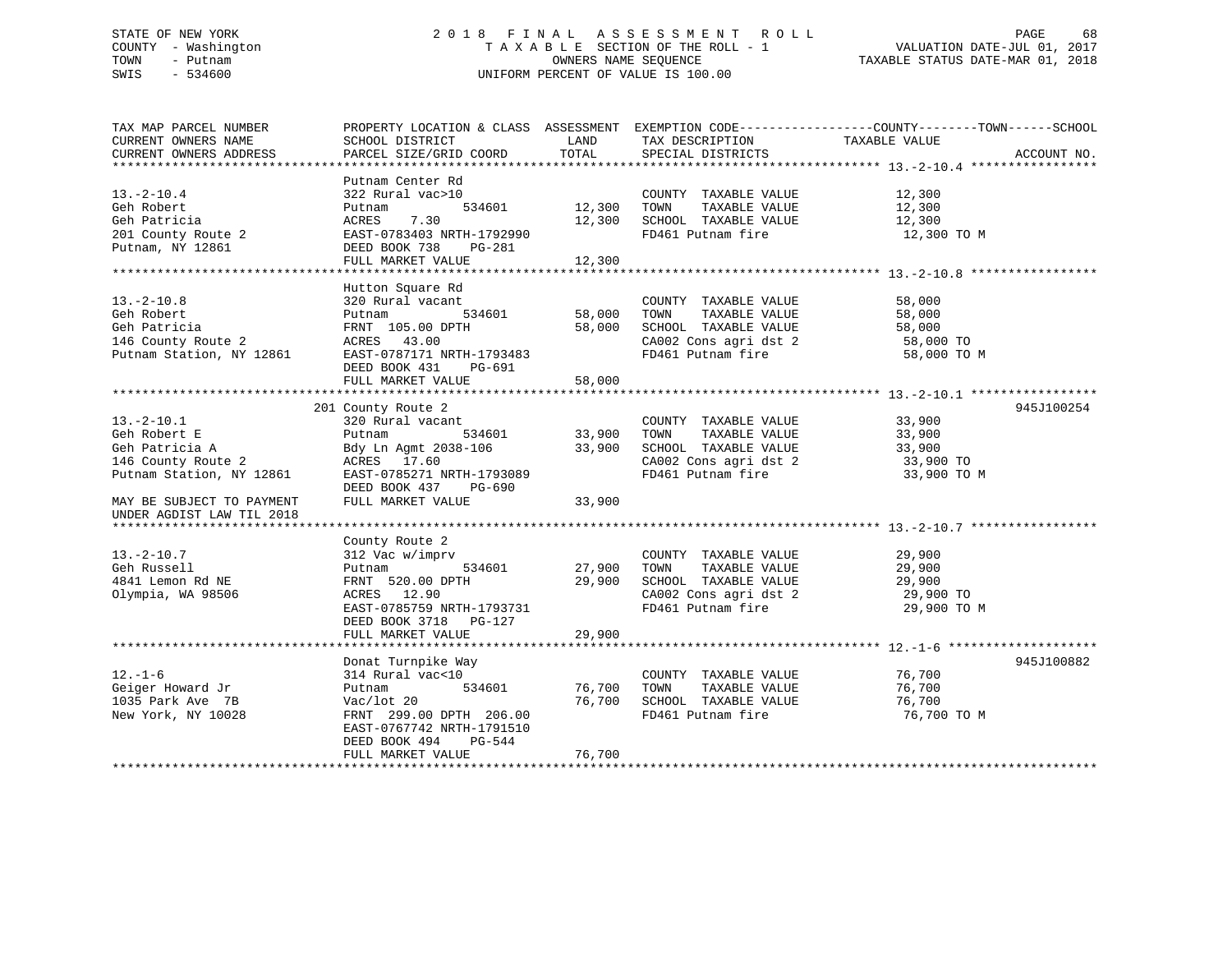### STATE OF NEW YORK 2 0 1 8 F I N A L A S S E S S M E N T R O L L PAGE 68 COUNTY - Washington T A X A B L E SECTION OF THE ROLL - 1 VALUATION DATE-JUL 01, 2017 TOWN - Putnam OWNERS NAME SEQUENCE TAXABLE STATUS DATE-MAR 01, 2018 SWIS - 534600 UNIFORM PERCENT OF VALUE IS 100.00

| TAX MAP PARCEL NUMBER     | PROPERTY LOCATION & CLASS ASSESSMENT EXEMPTION CODE----------------COUNTY-------TOWN-----SCHOOL |        |                             |               |             |
|---------------------------|-------------------------------------------------------------------------------------------------|--------|-----------------------------|---------------|-------------|
| CURRENT OWNERS NAME       | SCHOOL DISTRICT                                                                                 | LAND   | TAX DESCRIPTION             | TAXABLE VALUE |             |
| CURRENT OWNERS ADDRESS    | PARCEL SIZE/GRID COORD                                                                          | TOTAL  | SPECIAL DISTRICTS           |               | ACCOUNT NO. |
|                           |                                                                                                 |        |                             |               |             |
|                           | Putnam Center Rd                                                                                |        |                             |               |             |
| $13.-2-10.4$              | 322 Rural vac>10                                                                                |        | COUNTY TAXABLE VALUE        | 12,300        |             |
| Geh Robert                | 534601<br>Putnam                                                                                | 12,300 | TOWN<br>TAXABLE VALUE       | 12,300        |             |
| Geh Patricia              | 7.30<br>ACRES                                                                                   | 12,300 | SCHOOL TAXABLE VALUE        | 12,300        |             |
| 201 County Route 2        | EAST-0783403 NRTH-1792990                                                                       |        | FD461 Putnam fire           | 12,300 TO M   |             |
| Putnam, NY 12861          | DEED BOOK 738<br>PG-281                                                                         |        |                             |               |             |
|                           | FULL MARKET VALUE                                                                               | 12,300 |                             |               |             |
|                           |                                                                                                 |        |                             |               |             |
|                           | Hutton Square Rd                                                                                |        |                             |               |             |
| $13.-2-10.8$              | 320 Rural vacant                                                                                |        | COUNTY TAXABLE VALUE        | 58,000        |             |
| Geh Robert                | 534601<br>Putnam                                                                                | 58,000 | TOWN<br>TAXABLE VALUE       | 58,000        |             |
| Geh Patricia              | FRNT 105.00 DPTH                                                                                | 58,000 | SCHOOL TAXABLE VALUE        | 58,000        |             |
| 146 County Route 2        | ACRES 43.00                                                                                     |        | CA002 Cons agri dst 2       | 58,000 TO     |             |
| Putnam Station, NY 12861  | EAST-0787171 NRTH-1793483                                                                       |        | FD461 Putnam fire           | 58,000 TO M   |             |
|                           | DEED BOOK 431<br>PG-691                                                                         |        |                             |               |             |
|                           | FULL MARKET VALUE                                                                               | 58,000 |                             |               |             |
|                           |                                                                                                 |        |                             |               |             |
|                           | 201 County Route 2                                                                              |        |                             |               | 945J100254  |
| $13.-2-10.1$              | 320 Rural vacant                                                                                |        | COUNTY TAXABLE VALUE 33,900 |               |             |
| Geh Robert E              | 534601<br>Putnam                                                                                | 33,900 | TOWN<br>TAXABLE VALUE       | 33,900        |             |
| Geh Patricia A            | Bdy Ln Agmt 2038-106                                                                            | 33,900 | SCHOOL TAXABLE VALUE        | 33,900        |             |
| 146 County Route 2        | ACRES 17.60                                                                                     |        | CA002 Cons agri dst 2       | 33,900 TO     |             |
| Putnam Station, NY 12861  | EAST-0785271 NRTH-1793089                                                                       |        | FD461 Putnam fire           | 33,900 TO M   |             |
|                           | DEED BOOK 437<br>PG-690                                                                         |        |                             |               |             |
| MAY BE SUBJECT TO PAYMENT | FULL MARKET VALUE                                                                               | 33,900 |                             |               |             |
| UNDER AGDIST LAW TIL 2018 |                                                                                                 |        |                             |               |             |
|                           |                                                                                                 |        |                             |               |             |
|                           | County Route 2                                                                                  |        |                             |               |             |
| $13.-2-10.7$              | 312 Vac w/imprv                                                                                 |        | COUNTY TAXABLE VALUE        | 29,900        |             |
| Geh Russell               | 534601<br>Putnam                                                                                | 27,900 | TOWN<br>TAXABLE VALUE       | 29,900        |             |
| 4841 Lemon Rd NE          | FRNT 520.00 DPTH                                                                                | 29,900 | SCHOOL TAXABLE VALUE        | 29,900        |             |
| Olympia, WA 98506         | ACRES 12.90                                                                                     |        | CA002 Cons agri dst 2       | 29,900 TO     |             |
|                           | EAST-0785759 NRTH-1793731                                                                       |        | FD461 Putnam fire           | 29,900 TO M   |             |
|                           | DEED BOOK 3718 PG-127                                                                           |        |                             |               |             |
|                           | FULL MARKET VALUE                                                                               | 29,900 |                             |               |             |
|                           |                                                                                                 |        |                             |               |             |
|                           | Donat Turnpike Way                                                                              |        |                             |               | 945J100882  |
| $12. - 1 - 6$             | 314 Rural vac<10                                                                                |        | COUNTY TAXABLE VALUE        | 76,700        |             |
| Geiger Howard Jr          | 534601<br>Putnam                                                                                | 76,700 | TAXABLE VALUE<br>TOWN       | 76,700        |             |
| 1035 Park Ave 7B          | Vac/lot 20                                                                                      | 76,700 | SCHOOL TAXABLE VALUE        | 76,700        |             |
| New York, NY 10028        | FRNT 299.00 DPTH 206.00                                                                         |        | FD461 Putnam fire           | 76,700 TO M   |             |
|                           | EAST-0767742 NRTH-1791510                                                                       |        |                             |               |             |
|                           | DEED BOOK 494<br>PG-544                                                                         |        |                             |               |             |
|                           | FULL MARKET VALUE                                                                               | 76,700 |                             |               |             |
|                           |                                                                                                 |        |                             |               |             |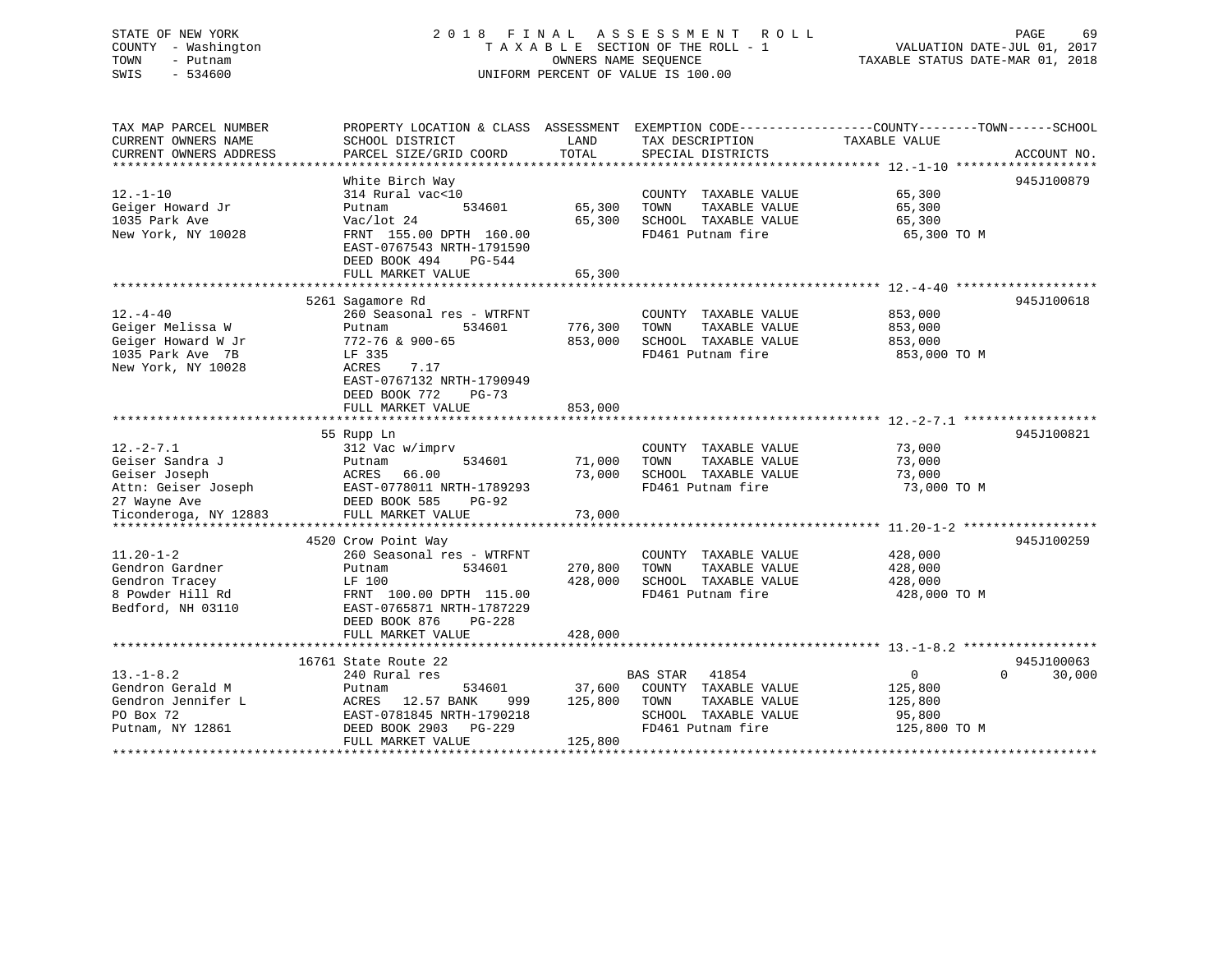### STATE OF NEW YORK 2 0 1 8 F I N A L A S S E S S M E N T R O L L PAGE 69 COUNTY - Washington T A X A B L E SECTION OF THE ROLL - 1 VALUATION DATE-JUL 01, 2017 TOWN - Putnam OWNERS NAME SEQUENCE TAXABLE STATUS DATE-MAR 01, 2018 SWIS - 534600 UNIFORM PERCENT OF VALUE IS 100.00

| TAX MAP PARCEL NUMBER<br>CURRENT OWNERS NAME                                                       | PROPERTY LOCATION & CLASS ASSESSMENT EXEMPTION CODE----------------COUNTY-------TOWN------SCHOOL<br>SCHOOL DISTRICT                                                                      | LAND                                        | TAX DESCRIPTION                                                                                              | TAXABLE VALUE                                                  |                    |
|----------------------------------------------------------------------------------------------------|------------------------------------------------------------------------------------------------------------------------------------------------------------------------------------------|---------------------------------------------|--------------------------------------------------------------------------------------------------------------|----------------------------------------------------------------|--------------------|
| CURRENT OWNERS ADDRESS                                                                             | PARCEL SIZE/GRID COORD                                                                                                                                                                   | TOTAL                                       | SPECIAL DISTRICTS                                                                                            |                                                                | ACCOUNT NO.        |
| $12. - 1 - 10$<br>Geiger Howard Jr<br>1035 Park Ave<br>New York, NY 10028                          | White Birch Way<br>314 Rural vac<10<br>534601<br>Putnam<br>Vac/lot 24<br>FRNT 155.00 DPTH 160.00<br>EAST-0767543 NRTH-1791590<br>DEED BOOK 494<br>PG-544<br>FULL MARKET VALUE            | 65,300<br>65,300<br>65,300<br>************* | COUNTY TAXABLE VALUE<br>TAXABLE VALUE<br>TOWN<br>SCHOOL TAXABLE VALUE<br>FD461 Putnam fire                   | 65,300<br>65,300<br>65,300<br>65,300 TO M                      | 945J100879         |
|                                                                                                    | 5261 Sagamore Rd                                                                                                                                                                         |                                             |                                                                                                              |                                                                | 945J100618         |
| $12. - 4 - 40$<br>Geiger Melissa W<br>Geiger Howard W Jr<br>1035 Park Ave 7B<br>New York, NY 10028 | 260 Seasonal res - WTRFNT<br>Putnam<br>534601<br>772-76 & 900-65<br>LF 335<br>ACRES<br>7.17<br>EAST-0767132 NRTH-1790949<br>DEED BOOK 772<br>$PG-73$                                     | 776,300<br>853,000                          | COUNTY TAXABLE VALUE<br>TOWN<br>TAXABLE VALUE<br>SCHOOL TAXABLE VALUE<br>FD461 Putnam fire                   | 853,000<br>853,000<br>853,000<br>853,000 TO M                  |                    |
|                                                                                                    | FULL MARKET VALUE                                                                                                                                                                        | 853,000                                     |                                                                                                              |                                                                |                    |
|                                                                                                    | 55 Rupp Ln                                                                                                                                                                               |                                             |                                                                                                              |                                                                | 945J100821         |
| $12. - 2 - 7.1$<br>Geiser Sandra J<br>Geiser Joseph<br>Attn: Geiser Joseph<br>27 Wayne Ave         | 312 Vac w/imprv<br>534601<br>Putnam<br>ACRES<br>66.00<br>EAST-0778011 NRTH-1789293<br>DEED BOOK 585<br><b>PG-92</b>                                                                      | 71,000<br>73,000                            | COUNTY TAXABLE VALUE<br>TOWN<br>TAXABLE VALUE<br>SCHOOL TAXABLE VALUE<br>FD461 Putnam fire                   | 73,000<br>73,000<br>73,000<br>73,000 TO M                      |                    |
| Ticonderoga, NY 12883                                                                              | FULL MARKET VALUE                                                                                                                                                                        | 73,000                                      |                                                                                                              |                                                                |                    |
| $11.20 - 1 - 2$<br>Gendron Gardner<br>Gendron Tracey<br>8 Powder Hill Rd<br>Bedford, NH 03110      | 4520 Crow Point Way<br>260 Seasonal res - WTRFNT<br>534601<br>Putnam<br>LF 100<br>FRNT 100.00 DPTH 115.00<br>EAST-0765871 NRTH-1787229<br>DEED BOOK 876<br>$PG-228$<br>FULL MARKET VALUE | 270,800<br>428,000<br>428,000               | COUNTY TAXABLE VALUE<br>TOWN<br>TAXABLE VALUE<br>SCHOOL TAXABLE VALUE<br>FD461 Putnam fire                   | 428,000<br>428,000<br>428,000<br>428,000 TO M                  | 945J100259         |
|                                                                                                    | 16761 State Route 22                                                                                                                                                                     |                                             |                                                                                                              |                                                                | 945J100063         |
| $13. - 1 - 8.2$<br>Gendron Gerald M<br>Gendron Jennifer L<br>PO Box 72<br>Putnam, NY 12861         | 240 Rural res<br>534601<br>Putnam<br>ACRES 12.57 BANK<br>999<br>EAST-0781845 NRTH-1790218<br>DEED BOOK 2903 PG-229<br>FULL MARKET VALUE                                                  | 37,600<br>125,800<br>125,800                | BAS STAR 41854<br>COUNTY TAXABLE VALUE<br>TAXABLE VALUE<br>TOWN<br>SCHOOL TAXABLE VALUE<br>FD461 Putnam fire | $\overline{0}$<br>125,800<br>125,800<br>95,800<br>125,800 TO M | $\Omega$<br>30,000 |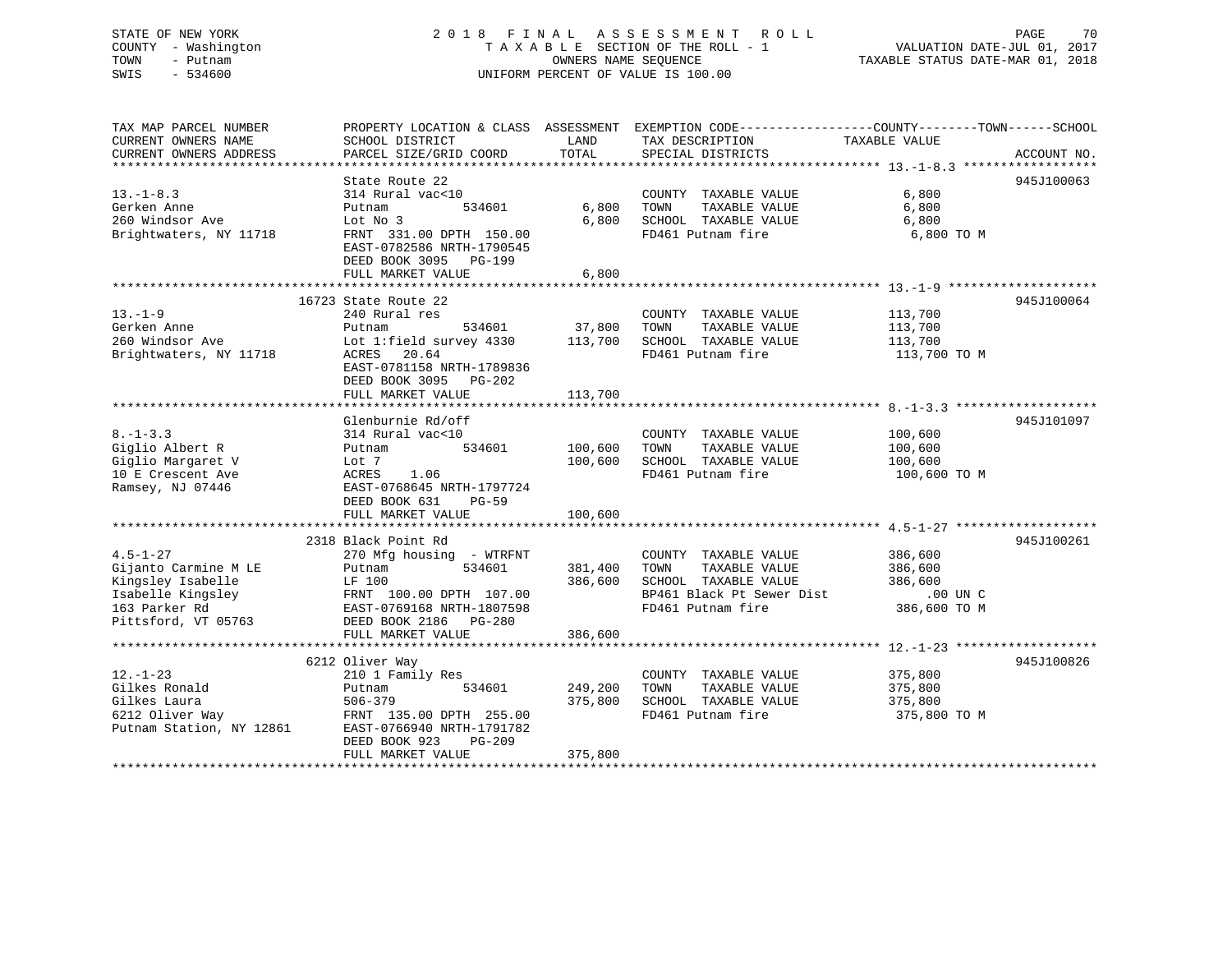### STATE OF NEW YORK 2 0 1 8 F I N A L A S S E S S M E N T R O L L PAGE 70 COUNTY - Washington T A X A B L E SECTION OF THE ROLL - 1 VALUATION DATE-JUL 01, 2017 TOWN - Putnam OWNERS NAME SEQUENCE TAXABLE STATUS DATE-MAR 01, 2018 SWIS - 534600 UNIFORM PERCENT OF VALUE IS 100.00

| TAX MAP PARCEL NUMBER           |                                                      |         |                                               | PROPERTY LOCATION & CLASS ASSESSMENT EXEMPTION CODE--------------COUNTY-------TOWN-----SCHOOL |  |
|---------------------------------|------------------------------------------------------|---------|-----------------------------------------------|-----------------------------------------------------------------------------------------------|--|
| CURRENT OWNERS NAME             | SCHOOL DISTRICT                                      | LAND    | TAX DESCRIPTION                               | TAXABLE VALUE                                                                                 |  |
| CURRENT OWNERS ADDRESS          | PARCEL SIZE/GRID COORD                               | TOTAL   | SPECIAL DISTRICTS                             | ACCOUNT NO.                                                                                   |  |
|                                 |                                                      |         |                                               |                                                                                               |  |
|                                 | State Route 22                                       |         |                                               | 945J100063                                                                                    |  |
| $13.-1-8.3$                     | 314 Rural vac<10                                     |         | COUNTY TAXABLE VALUE                          | 6,800                                                                                         |  |
| Gerken Anne                     | 534601<br>Putnam                                     | 6,800   | TAXABLE VALUE<br>TOWN                         | 6,800                                                                                         |  |
| 260 Windsor Ave                 | Lot No 3                                             | 6,800   | SCHOOL TAXABLE VALUE                          | 6,800                                                                                         |  |
| Brightwaters, NY 11718          | FRNT 331.00 DPTH 150.00                              |         | FD461 Putnam fire                             | 6,800 TO M                                                                                    |  |
|                                 | EAST-0782586 NRTH-1790545                            |         |                                               |                                                                                               |  |
|                                 | DEED BOOK 3095 PG-199                                |         |                                               |                                                                                               |  |
|                                 | FULL MARKET VALUE                                    | 6,800   |                                               |                                                                                               |  |
|                                 |                                                      |         |                                               |                                                                                               |  |
|                                 | 16723 State Route 22                                 |         |                                               | 945J100064                                                                                    |  |
| $13. - 1 - 9$                   | 240 Rural res                                        |         | COUNTY TAXABLE VALUE                          | 113,700                                                                                       |  |
| Gerken Anne                     | 534601<br>Putnam                                     | 37,800  | TOWN<br>TAXABLE VALUE                         | 113,700                                                                                       |  |
| 260 Windsor Ave                 | Lot 1: field survey 4330                             | 113,700 | SCHOOL TAXABLE VALUE                          | 113,700                                                                                       |  |
| Brightwaters, NY 11718          | 20.64<br>ACRES                                       |         | FD461 Putnam fire                             | 113,700 TO M                                                                                  |  |
|                                 | EAST-0781158 NRTH-1789836                            |         |                                               |                                                                                               |  |
|                                 | DEED BOOK 3095 PG-202                                |         |                                               |                                                                                               |  |
|                                 | FULL MARKET VALUE                                    | 113,700 |                                               |                                                                                               |  |
|                                 |                                                      |         |                                               |                                                                                               |  |
|                                 | Glenburnie Rd/off                                    |         |                                               | 945J101097                                                                                    |  |
| $8. - 1 - 3.3$                  | 314 Rural vac<10                                     |         | COUNTY TAXABLE VALUE                          | 100,600                                                                                       |  |
| Giglio Albert R                 | 534601<br>Putnam                                     | 100,600 | TOWN<br>TAXABLE VALUE                         | 100,600                                                                                       |  |
| Giglio Margaret V               | Lot 7                                                | 100,600 | SCHOOL TAXABLE VALUE                          | 100,600                                                                                       |  |
| 10 E Crescent Ave               | ACRES<br>1.06                                        |         | FD461 Putnam fire                             | 100,600 TO M                                                                                  |  |
| Ramsey, NJ 07446                | EAST-0768645 NRTH-1797724                            |         |                                               |                                                                                               |  |
|                                 | DEED BOOK 631<br>$PG-59$                             |         |                                               |                                                                                               |  |
|                                 | FULL MARKET VALUE                                    | 100,600 |                                               |                                                                                               |  |
|                                 |                                                      |         |                                               |                                                                                               |  |
|                                 | 2318 Black Point Rd                                  |         |                                               | 945J100261                                                                                    |  |
| $4.5 - 1 - 27$                  | 270 Mfg housing - WTRFNT                             |         | COUNTY TAXABLE VALUE                          | 386,600                                                                                       |  |
| Gijanto Carmine M LE            | 534601<br>Putnam                                     | 381,400 | TOWN<br>TAXABLE VALUE                         | 386,600                                                                                       |  |
| Kingsley Isabelle               | LF 100                                               | 386,600 | SCHOOL TAXABLE VALUE                          | 386,600                                                                                       |  |
| Isabelle Kingsley               |                                                      |         | BP461 Black Pt Sewer Dist                     |                                                                                               |  |
| 163 Parker Rd                   | FRNT 100.00 DPTH 107.00<br>EAST-0769168 NRTH-1807598 |         | FD461 Putnam fire                             | .00 UN C<br>386,600 TO M                                                                      |  |
| Pittsford, VT 05763             | DEED BOOK 2186 PG-280                                |         |                                               |                                                                                               |  |
|                                 |                                                      | 386,600 |                                               |                                                                                               |  |
|                                 | FULL MARKET VALUE                                    |         |                                               |                                                                                               |  |
|                                 |                                                      |         |                                               | 945J100826                                                                                    |  |
|                                 | 6212 Oliver Way                                      |         |                                               |                                                                                               |  |
| $12. - 1 - 23$<br>Gilkes Ronald | 210 1 Family Res<br>534601                           | 249,200 | COUNTY TAXABLE VALUE<br>TAXABLE VALUE<br>TOWN | 375,800                                                                                       |  |
|                                 | Putnam                                               |         |                                               | 375,800                                                                                       |  |
| Gilkes Laura                    | 506-379                                              | 375,800 | SCHOOL TAXABLE VALUE                          | 375,800                                                                                       |  |
| 6212 Oliver Way                 | FRNT 135.00 DPTH 255.00                              |         | FD461 Putnam fire                             | 375,800 TO M                                                                                  |  |
| Putnam Station, NY 12861        | EAST-0766940 NRTH-1791782                            |         |                                               |                                                                                               |  |
|                                 | DEED BOOK 923<br>PG-209                              |         |                                               |                                                                                               |  |
|                                 | FULL MARKET VALUE                                    | 375,800 |                                               |                                                                                               |  |
|                                 |                                                      |         |                                               |                                                                                               |  |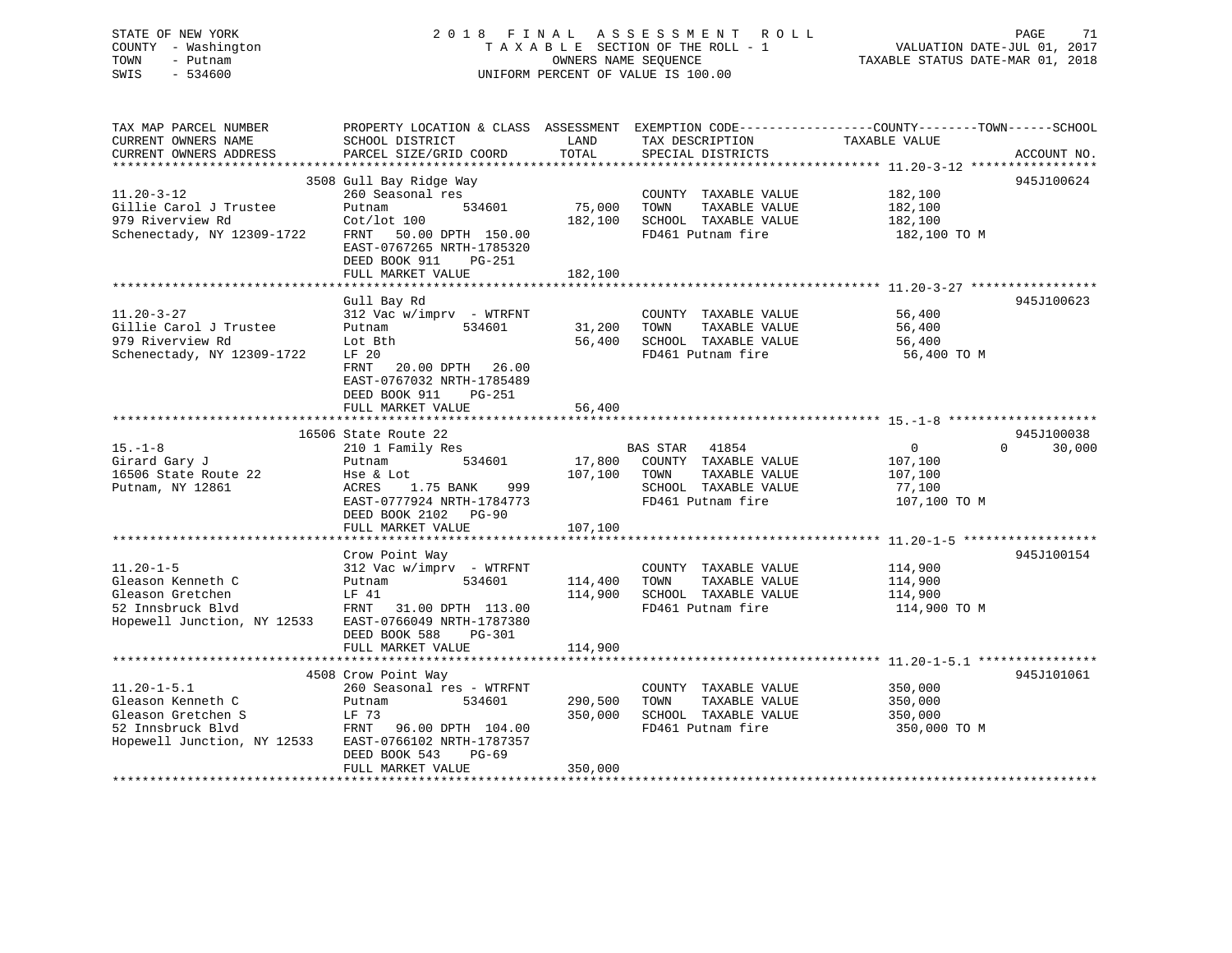# STATE OF NEW YORK 2 0 1 8 F I N A L A S S E S S M E N T R O L L PAGE 71COUNTY - Washington  $T A X A B L E$  SECTION OF THE ROLL - 1<br>TOWN - Putnam data of the COUNTERS NAME SEQUENCE SWIS - 534600 UNIFORM PERCENT OF VALUE IS 100.00

VALUATION DATE-JUL 01, 2017

TAXABLE STATUS DATE-MAR 01, 2018

| TAX MAP PARCEL NUMBER       | PROPERTY LOCATION & CLASS ASSESSMENT EXEMPTION CODE----------------COUNTY-------TOWN------SCHOOL |              |                             |               |                    |
|-----------------------------|--------------------------------------------------------------------------------------------------|--------------|-----------------------------|---------------|--------------------|
| CURRENT OWNERS NAME         | SCHOOL DISTRICT                                                                                  | LAND         | TAX DESCRIPTION             | TAXABLE VALUE |                    |
| CURRENT OWNERS ADDRESS      | PARCEL SIZE/GRID COORD                                                                           | TOTAL        | SPECIAL DISTRICTS           |               | ACCOUNT NO.        |
|                             |                                                                                                  |              |                             |               |                    |
|                             | 3508 Gull Bay Ridge Way                                                                          |              |                             |               | 945J100624         |
| $11.20 - 3 - 12$            | 260 Seasonal res                                                                                 |              | COUNTY TAXABLE VALUE        | 182,100       |                    |
| Gillie Carol J Trustee      | 534601<br>Putnam                                                                                 | 75,000       | TOWN<br>TAXABLE VALUE       | 182,100       |                    |
| 979 Riverview Rd            | $Cot/lot$ 100                                                                                    |              |                             |               |                    |
|                             |                                                                                                  | 182,100      | SCHOOL TAXABLE VALUE        | 182,100       |                    |
| Schenectady, NY 12309-1722  | FRNT<br>50.00 DPTH 150.00                                                                        |              | FD461 Putnam fire           | 182,100 TO M  |                    |
|                             | EAST-0767265 NRTH-1785320                                                                        |              |                             |               |                    |
|                             | DEED BOOK 911<br>PG-251                                                                          |              |                             |               |                    |
|                             | FULL MARKET VALUE                                                                                | 182,100      |                             |               |                    |
|                             |                                                                                                  |              |                             |               |                    |
|                             | Gull Bay Rd                                                                                      |              |                             |               | 945J100623         |
| $11.20 - 3 - 27$            | $312$ Vac w/imprv - WTRFNT                                                                       |              | COUNTY TAXABLE VALUE        | 56,400        |                    |
| Gillie Carol J Trustee      | 534601<br>Putnam                                                                                 | 31,200 TOWN  | TAXABLE VALUE               | 56,400        |                    |
| 979 Riverview Rd            | Lot Bth                                                                                          | 56,400       | SCHOOL TAXABLE VALUE        | 56,400        |                    |
| Schenectady, NY 12309-1722  | LF 20                                                                                            |              | FD461 Putnam fire           | 56,400 TO M   |                    |
|                             |                                                                                                  |              |                             |               |                    |
|                             | 20.00 DPTH 26.00<br>FRNT                                                                         |              |                             |               |                    |
|                             | EAST-0767032 NRTH-1785489                                                                        |              |                             |               |                    |
|                             | DEED BOOK 911<br>PG-251                                                                          |              |                             |               |                    |
|                             | FULL MARKET VALUE                                                                                | 56,400       |                             |               |                    |
|                             |                                                                                                  |              |                             |               |                    |
|                             | 16506 State Route 22                                                                             |              |                             |               | 945J100038         |
| $15. - 1 - 8$               | 210 1 Family Res                                                                                 |              | BAS STAR 41854              | 0             | $\Omega$<br>30,000 |
| Girard Gary J               | 534601<br>Putnam                                                                                 |              | 17,800 COUNTY TAXABLE VALUE | 107,100       |                    |
| 16506 State Route 22        | Hse & Lot                                                                                        | 107,100 TOWN | TAXABLE VALUE               | 107,100       |                    |
| Putnam, NY 12861            | 1.75 BANK<br>ACRES<br>999                                                                        |              | SCHOOL TAXABLE VALUE        | 77,100        |                    |
|                             | EAST-0777924 NRTH-1784773                                                                        |              | FD461 Putnam fire           | 107,100 TO M  |                    |
|                             |                                                                                                  |              |                             |               |                    |
|                             | DEED BOOK 2102 PG-90                                                                             |              |                             |               |                    |
|                             | FULL MARKET VALUE                                                                                | 107,100      |                             |               |                    |
|                             |                                                                                                  |              |                             |               |                    |
|                             | Crow Point Way                                                                                   |              |                             |               | 945J100154         |
| $11.20 - 1 - 5$             | 312 Vac w/imprv - WTRFNT                                                                         |              | COUNTY TAXABLE VALUE        | 114,900       |                    |
| Gleason Kenneth C           | 534601<br>Putnam                                                                                 | 114,400      | TOWN<br>TAXABLE VALUE       | 114,900       |                    |
| Gleason Gretchen            | LF 41                                                                                            | 114,900      | SCHOOL TAXABLE VALUE        | 114,900       |                    |
| 52 Innsbruck Blvd           | FRNT<br>31.00 DPTH 113.00                                                                        |              | FD461 Putnam fire           | 114,900 TO M  |                    |
| Hopewell Junction, NY 12533 | EAST-0766049 NRTH-1787380                                                                        |              |                             |               |                    |
|                             | DEED BOOK 588<br>PG-301                                                                          |              |                             |               |                    |
|                             | FULL MARKET VALUE                                                                                | 114,900      |                             |               |                    |
|                             |                                                                                                  |              |                             |               |                    |
|                             | 4508 Crow Point Way                                                                              |              |                             |               | 945J101061         |
|                             |                                                                                                  |              |                             |               |                    |
| $11.20 - 1 - 5.1$           | 260 Seasonal res - WTRFNT                                                                        |              | COUNTY TAXABLE VALUE        | 350,000       |                    |
| Gleason Kenneth C           | Putnam<br>534601                                                                                 | 290,500      | TOWN<br>TAXABLE VALUE       | 350,000       |                    |
| Gleason Gretchen S          | LF 73                                                                                            | 350,000      | SCHOOL TAXABLE VALUE        | 350,000       |                    |
| 52 Innsbruck Blvd           | FRNT 96.00 DPTH 104.00                                                                           |              | FD461 Putnam fire           | 350,000 TO M  |                    |
| Hopewell Junction, NY 12533 | EAST-0766102 NRTH-1787357                                                                        |              |                             |               |                    |
|                             | DEED BOOK 543<br>$PG-69$                                                                         |              |                             |               |                    |
|                             | FULL MARKET VALUE                                                                                | 350,000      |                             |               |                    |
|                             |                                                                                                  |              |                             |               |                    |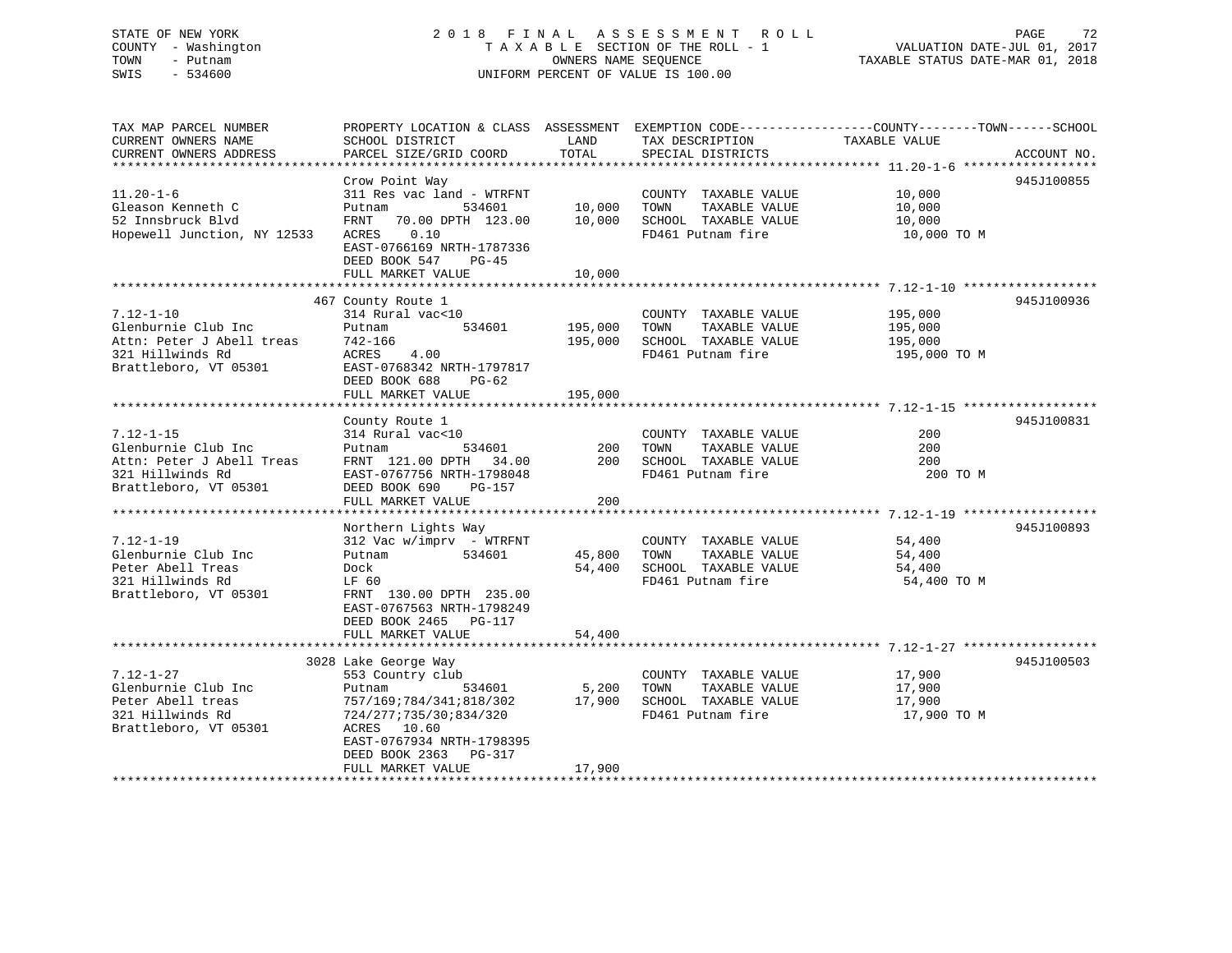### STATE OF NEW YORK 2 0 1 8 F I N A L A S S E S S M E N T R O L L PAGE 72 COUNTY - Washington T A X A B L E SECTION OF THE ROLL - 1 VALUATION DATE-JUL 01, 2017 TOWN - Putnam OWNERS NAME SEQUENCE TAXABLE STATUS DATE-MAR 01, 2018 SWIS - 534600 UNIFORM PERCENT OF VALUE IS 100.00

| TAX MAP PARCEL NUMBER<br>CURRENT OWNERS NAME<br>CURRENT OWNERS ADDRESS                                                | PROPERTY LOCATION & CLASS ASSESSMENT<br>SCHOOL DISTRICT<br>PARCEL SIZE/GRID COORD                                                                                                                              | LAND<br>TOTAL                 | TAX DESCRIPTION<br>SPECIAL DISTRICTS                                                       | EXEMPTION CODE----------------COUNTY-------TOWN------SCHOOL<br>TAXABLE VALUE | ACCOUNT NO. |
|-----------------------------------------------------------------------------------------------------------------------|----------------------------------------------------------------------------------------------------------------------------------------------------------------------------------------------------------------|-------------------------------|--------------------------------------------------------------------------------------------|------------------------------------------------------------------------------|-------------|
| *************************<br>$11.20 - 1 - 6$<br>Gleason Kenneth C<br>52 Innsbruck Blvd<br>Hopewell Junction, NY 12533 | Crow Point Way<br>311 Res vac land - WTRFNT<br>534601<br>Putnam<br>FRNT<br>70.00 DPTH 123.00<br>0.10<br>ACRES<br>EAST-0766169 NRTH-1787336<br>DEED BOOK 547<br>$PG-45$<br>FULL MARKET VALUE                    | 10,000<br>10,000<br>10,000    | COUNTY TAXABLE VALUE<br>TOWN<br>TAXABLE VALUE<br>SCHOOL TAXABLE VALUE<br>FD461 Putnam fire | 10,000<br>10,000<br>10,000<br>10,000 TO M                                    | 945J100855  |
| $7.12 - 1 - 10$<br>Glenburnie Club Inc<br>Attn: Peter J Abell treas<br>321 Hillwinds Rd<br>Brattleboro, VT 05301      | 467 County Route 1<br>314 Rural vac<10<br>Putnam<br>534601<br>742-166<br>ACRES<br>4.00<br>EAST-0768342 NRTH-1797817<br>DEED BOOK 688<br>PG-62<br>FULL MARKET VALUE                                             | 195,000<br>195,000<br>195,000 | COUNTY TAXABLE VALUE<br>TAXABLE VALUE<br>TOWN<br>SCHOOL TAXABLE VALUE<br>FD461 Putnam fire | 195,000<br>195,000<br>195,000<br>195,000 TO M                                | 945J100936  |
| $7.12 - 1 - 15$<br>Glenburnie Club Inc<br>Attn: Peter J Abell Treas<br>321 Hillwinds Rd<br>Brattleboro, VT 05301      | County Route 1<br>314 Rural vac<10<br>Putnam<br>534601<br>FRNT 121.00 DPTH 34.00<br>EAST-0767756 NRTH-1798048<br>DEED BOOK 690<br>PG-157<br>FULL MARKET VALUE                                                  | 200<br>200<br>200             | COUNTY TAXABLE VALUE<br>TAXABLE VALUE<br>TOWN<br>SCHOOL TAXABLE VALUE<br>FD461 Putnam fire | 200<br>200<br>200<br>200 TO M                                                | 945J100831  |
| $7.12 - 1 - 19$<br>Glenburnie Club Inc<br>Peter Abell Treas<br>321 Hillwinds Rd<br>Brattleboro, VT 05301              | Northern Lights Way<br>$312$ Vac w/imprv - WTRFNT<br>Putnam<br>534601<br>Dock<br>LF 60<br>FRNT 130.00 DPTH 235.00<br>EAST-0767563 NRTH-1798249<br>DEED BOOK 2465 PG-117<br>FULL MARKET VALUE                   | 45,800<br>54,400<br>54,400    | COUNTY TAXABLE VALUE<br>TAXABLE VALUE<br>TOWN<br>SCHOOL TAXABLE VALUE<br>FD461 Putnam fire | 54,400<br>54,400<br>54,400<br>54,400 TO M                                    | 945J100893  |
| $7.12 - 1 - 27$<br>Glenburnie Club Inc<br>Peter Abell treas<br>321 Hillwinds Rd<br>Brattleboro, VT 05301              | 3028 Lake George Way<br>553 Country club<br>534601<br>Putnam<br>757/169;784/341;818/302<br>724/277;735/30;834/320<br>ACRES 10.60<br>EAST-0767934 NRTH-1798395<br>DEED BOOK 2363<br>PG-317<br>FULL MARKET VALUE | 5,200<br>17,900<br>17,900     | COUNTY TAXABLE VALUE<br>TOWN<br>TAXABLE VALUE<br>SCHOOL TAXABLE VALUE<br>FD461 Putnam fire | 17,900<br>17,900<br>17,900<br>17,900 TO M                                    | 945J100503  |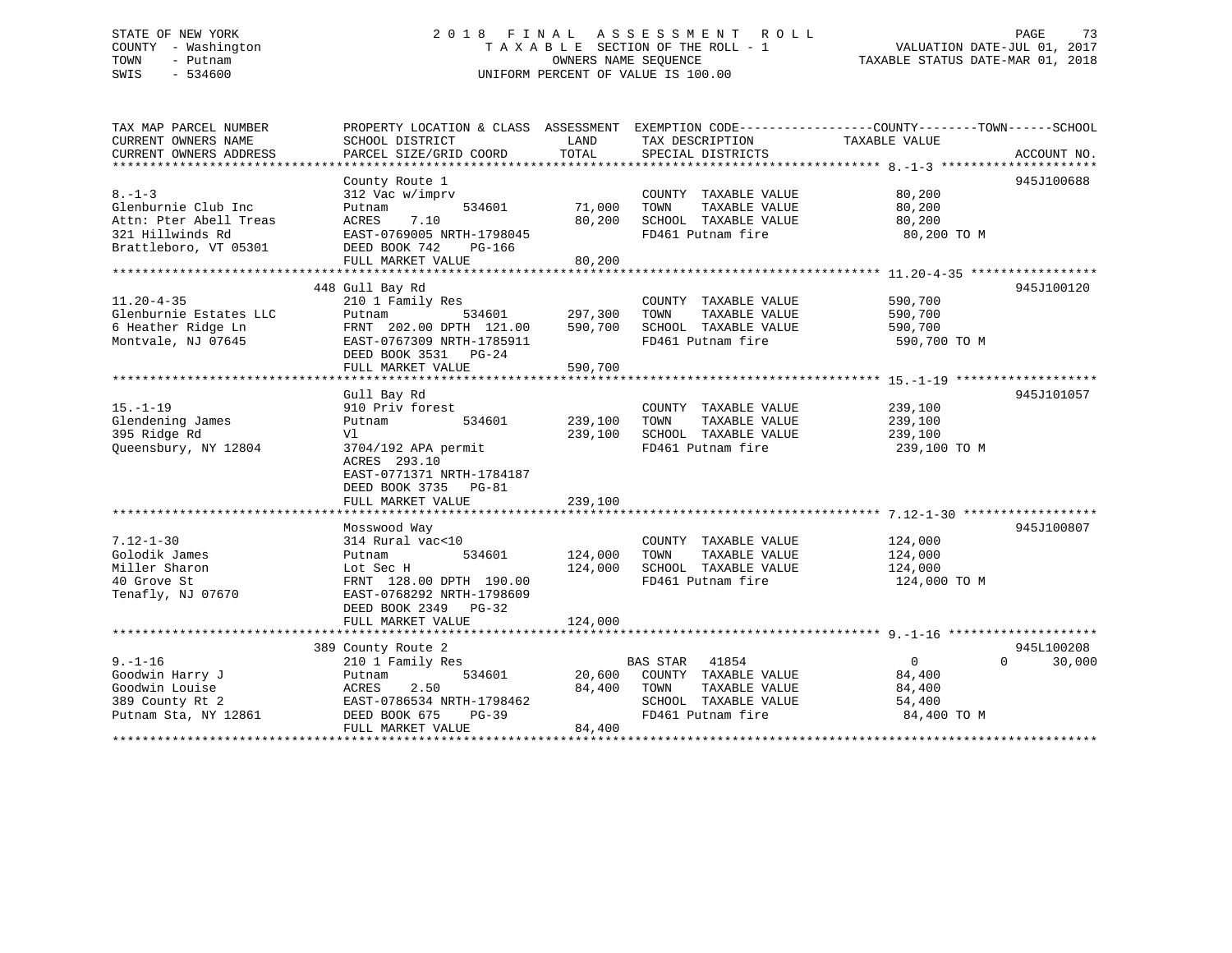#### STATE OF NEW YORK 2 0 1 8 F I N A L A S S E S S M E N T R O L L PAGE 73COUNTY - Washington T A X A B L E SECTION OF THE ROLL - 1 TOWN - Putnam **CONNERS NAME SEQUENCE** TAXABLE STATUS DATE-MAR 01, 2018 SWIS - 534600 UNIFORM PERCENT OF VALUE IS 100.00

| TAX MAP PARCEL NUMBER  | PROPERTY LOCATION & CLASS ASSESSMENT EXEMPTION CODE---------------COUNTY-------TOWN------SCHOOL |         |                       |                |                    |
|------------------------|-------------------------------------------------------------------------------------------------|---------|-----------------------|----------------|--------------------|
| CURRENT OWNERS NAME    | SCHOOL DISTRICT                                                                                 | LAND    | TAX DESCRIPTION       | TAXABLE VALUE  |                    |
| CURRENT OWNERS ADDRESS | PARCEL SIZE/GRID COORD                                                                          | TOTAL   | SPECIAL DISTRICTS     |                | ACCOUNT NO.        |
|                        |                                                                                                 |         |                       |                |                    |
| $8. - 1 - 3$           | County Route 1<br>312 Vac w/imprv                                                               |         | COUNTY TAXABLE VALUE  | 80,200         | 945J100688         |
| Glenburnie Club Inc    | 534601<br>Putnam                                                                                | 71,000  | TOWN<br>TAXABLE VALUE | 80,200         |                    |
| Attn: Pter Abell Treas | ACRES<br>7.10                                                                                   | 80,200  | SCHOOL TAXABLE VALUE  | 80,200         |                    |
| 321 Hillwinds Rd       | EAST-0769005 NRTH-1798045                                                                       |         | FD461 Putnam fire     | 80,200 TO M    |                    |
| Brattleboro, VT 05301  | DEED BOOK 742<br>PG-166                                                                         |         |                       |                |                    |
|                        | FULL MARKET VALUE                                                                               | 80,200  |                       |                |                    |
|                        |                                                                                                 |         |                       |                |                    |
|                        | 448 Gull Bay Rd                                                                                 |         |                       |                | 945J100120         |
| $11.20 - 4 - 35$       | 210 1 Family Res                                                                                |         | COUNTY TAXABLE VALUE  | 590,700        |                    |
| Glenburnie Estates LLC | 534601<br>Putnam                                                                                | 297,300 | TAXABLE VALUE<br>TOWN | 590,700        |                    |
| 6 Heather Ridge Ln     | FRNT 202.00 DPTH 121.00                                                                         | 590,700 | SCHOOL TAXABLE VALUE  | 590,700        |                    |
| Montvale, NJ 07645     | EAST-0767309 NRTH-1785911                                                                       |         | FD461 Putnam fire     | 590,700 TO M   |                    |
|                        | DEED BOOK 3531 PG-24                                                                            |         |                       |                |                    |
|                        | FULL MARKET VALUE                                                                               | 590,700 |                       |                |                    |
|                        |                                                                                                 |         |                       |                |                    |
|                        | Gull Bay Rd                                                                                     |         |                       |                | 945J101057         |
| $15. - 1 - 19$         | 910 Priv forest                                                                                 |         | COUNTY TAXABLE VALUE  | 239,100        |                    |
| Glendening James       | 534601<br>Putnam                                                                                | 239,100 | TOWN<br>TAXABLE VALUE | 239,100        |                    |
| 395 Ridge Rd           | V1                                                                                              | 239,100 | SCHOOL TAXABLE VALUE  | 239,100        |                    |
| Queensbury, NY 12804   | 3704/192 APA permit                                                                             |         | FD461 Putnam fire     | 239,100 TO M   |                    |
|                        | ACRES 293.10                                                                                    |         |                       |                |                    |
|                        | EAST-0771371 NRTH-1784187                                                                       |         |                       |                |                    |
|                        | DEED BOOK 3735 PG-81                                                                            |         |                       |                |                    |
|                        | FULL MARKET VALUE                                                                               | 239,100 |                       |                |                    |
|                        | Mosswood Way                                                                                    |         |                       |                | 945J100807         |
| $7.12 - 1 - 30$        | 314 Rural vac<10                                                                                |         | COUNTY TAXABLE VALUE  | 124,000        |                    |
| Golodik James          | 534601<br>Putnam                                                                                | 124,000 | TOWN<br>TAXABLE VALUE | 124,000        |                    |
| Miller Sharon          | Lot Sec H                                                                                       | 124,000 | SCHOOL TAXABLE VALUE  | 124,000        |                    |
| 40 Grove St            | FRNT 128.00 DPTH 190.00                                                                         |         | FD461 Putnam fire     | 124,000 TO M   |                    |
| Tenafly, NJ 07670      | EAST-0768292 NRTH-1798609                                                                       |         |                       |                |                    |
|                        | DEED BOOK 2349 PG-32                                                                            |         |                       |                |                    |
|                        | FULL MARKET VALUE                                                                               | 124,000 |                       |                |                    |
|                        |                                                                                                 |         |                       |                |                    |
|                        | 389 County Route 2                                                                              |         |                       |                | 945L100208         |
| $9. - 1 - 16$          | 210 1 Family Res                                                                                |         | BAS STAR 41854        | $\overline{0}$ | $\Omega$<br>30,000 |
| Goodwin Harry J        | 534601<br>Putnam                                                                                | 20,600  | COUNTY TAXABLE VALUE  | 84,400         |                    |
| Goodwin Louise         | 2.50<br>ACRES                                                                                   | 84,400  | TOWN<br>TAXABLE VALUE | 84,400         |                    |
| 389 County Rt 2        | EAST-0786534 NRTH-1798462                                                                       |         | SCHOOL TAXABLE VALUE  | 54,400         |                    |
| Putnam Sta, NY 12861   | DEED BOOK 675<br>$PG-39$                                                                        |         | FD461 Putnam fire     | 84,400 TO M    |                    |
|                        | FULL MARKET VALUE                                                                               | 84,400  |                       |                |                    |
|                        |                                                                                                 |         |                       |                |                    |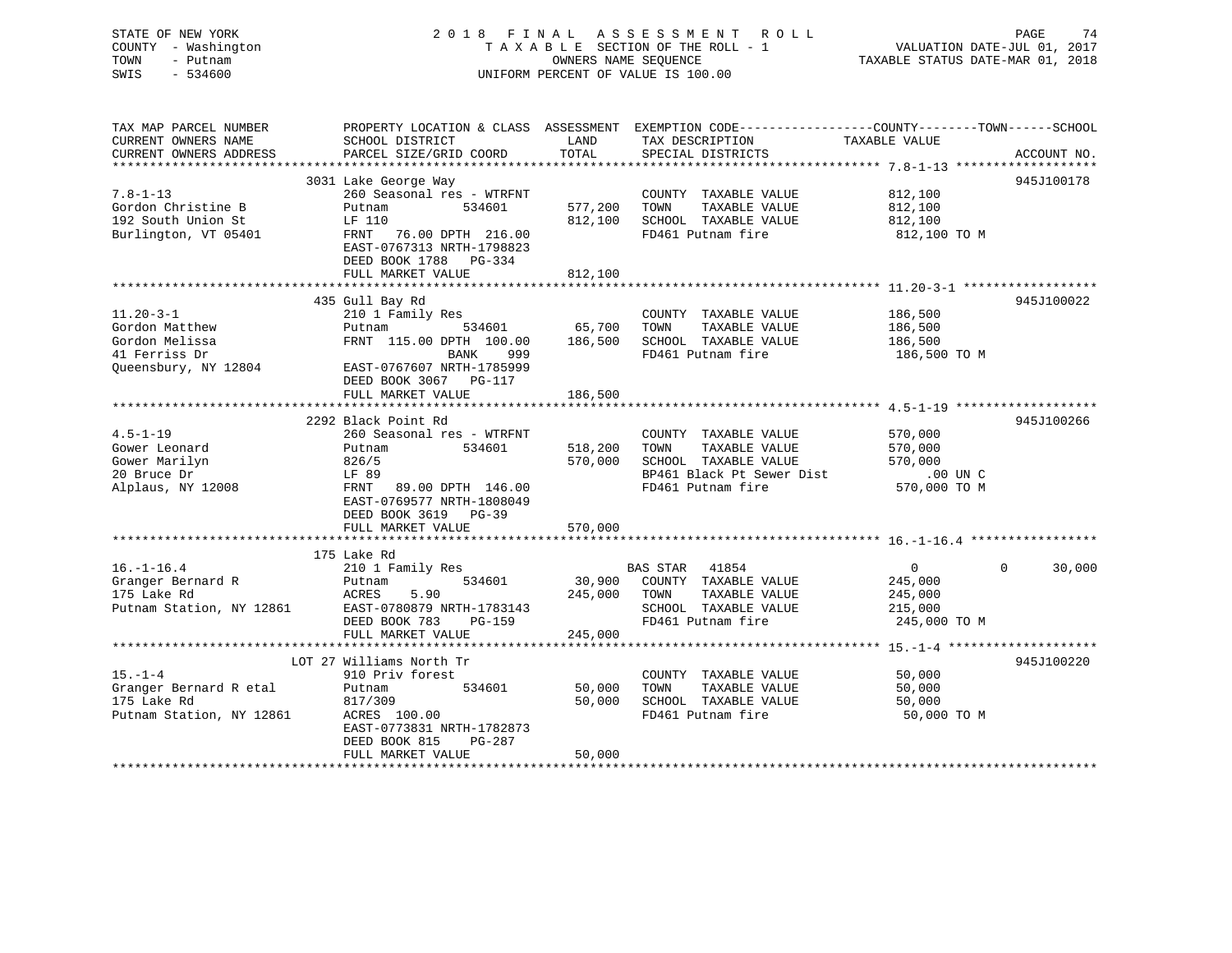# STATE OF NEW YORK 2018 FINAL ASSESSMENT ROLL PAGE 74 COUNTY - Washington  $T A X A B L E$  SECTION OF THE ROLL - 1<br>TOWN - Putnam data of the COUNTERS NAME SEQUENCE SWIS - 534600 UNIFORM PERCENT OF VALUE IS 100.00

VALUATION DATE-JUL 01, 2017

TAXABLE STATUS DATE-MAR 01, 2018

| TAX MAP PARCEL NUMBER<br>CURRENT OWNERS NAME<br>CURRENT OWNERS ADDRESS | SCHOOL DISTRICT<br>PARCEL SIZE/GRID COORD                                       | LAND<br>TOTAL | PROPERTY LOCATION & CLASS ASSESSMENT EXEMPTION CODE---------------COUNTY-------TOWN-----SCHOOL<br>TAX DESCRIPTION<br>SPECIAL DISTRICTS | TAXABLE VALUE  | ACCOUNT NO.        |
|------------------------------------------------------------------------|---------------------------------------------------------------------------------|---------------|----------------------------------------------------------------------------------------------------------------------------------------|----------------|--------------------|
|                                                                        |                                                                                 |               |                                                                                                                                        |                |                    |
|                                                                        | 3031 Lake George Way                                                            |               |                                                                                                                                        |                | 945J100178         |
| $7.8 - 1 - 13$                                                         | 260 Seasonal res - WTRFNT                                                       |               | COUNTY TAXABLE VALUE                                                                                                                   | 812,100        |                    |
| Gordon Christine B                                                     | 534601<br>Putnam                                                                | 577,200       | TOWN<br>TAXABLE VALUE                                                                                                                  | 812,100        |                    |
| 192 South Union St                                                     | LF 110                                                                          | 812,100       | SCHOOL TAXABLE VALUE                                                                                                                   | 812,100        |                    |
| Burlington, VT 05401                                                   | FRNT<br>76.00 DPTH 216.00<br>EAST-0767313 NRTH-1798823<br>DEED BOOK 1788 PG-334 |               | FD461 Putnam fire                                                                                                                      | 812,100 TO M   |                    |
|                                                                        | FULL MARKET VALUE                                                               | 812,100       |                                                                                                                                        |                |                    |
|                                                                        | 435 Gull Bay Rd                                                                 |               |                                                                                                                                        |                | 945J100022         |
| $11.20 - 3 - 1$                                                        | 210 1 Family Res                                                                |               | COUNTY TAXABLE VALUE                                                                                                                   | 186,500        |                    |
| Gordon Matthew                                                         | 534601<br>Putnam                                                                | 65,700        | TOWN<br>TAXABLE VALUE                                                                                                                  | 186,500        |                    |
| Gordon Melissa                                                         | FRNT 115.00 DPTH 100.00                                                         | 186,500       | SCHOOL TAXABLE VALUE                                                                                                                   | 186,500        |                    |
| 41 Ferriss Dr                                                          | BANK<br>999                                                                     |               | FD461 Putnam fire                                                                                                                      | 186,500 TO M   |                    |
| Queensbury, NY 12804                                                   | EAST-0767607 NRTH-1785999<br>DEED BOOK 3067 PG-117<br>FULL MARKET VALUE         | 186,500       |                                                                                                                                        |                |                    |
|                                                                        |                                                                                 |               |                                                                                                                                        |                |                    |
|                                                                        | 2292 Black Point Rd                                                             |               |                                                                                                                                        |                | 945J100266         |
| $4.5 - 1 - 19$                                                         | 260 Seasonal res - WTRFNT                                                       |               | COUNTY TAXABLE VALUE                                                                                                                   | 570,000        |                    |
| Gower Leonard                                                          | Putnam<br>534601                                                                | 518,200       | TOWN<br>TAXABLE VALUE                                                                                                                  | 570,000        |                    |
| Gower Marilyn                                                          | 826/5                                                                           | 570,000       | SCHOOL TAXABLE VALUE                                                                                                                   | 570,000        |                    |
| 20 Bruce Dr                                                            | LF 89                                                                           |               | BP461 Black Pt Sewer Dist                                                                                                              | $.00$ UN C     |                    |
| Alplaus, NY 12008                                                      | FRNT<br>89.00 DPTH 146.00                                                       |               | FD461 Putnam fire                                                                                                                      | 570,000 TO M   |                    |
|                                                                        | EAST-0769577 NRTH-1808049<br>DEED BOOK 3619 PG-39                               |               |                                                                                                                                        |                |                    |
|                                                                        | FULL MARKET VALUE                                                               | 570,000       |                                                                                                                                        |                |                    |
|                                                                        |                                                                                 |               |                                                                                                                                        |                |                    |
|                                                                        | 175 Lake Rd                                                                     |               |                                                                                                                                        |                |                    |
| $16. - 1 - 16.4$                                                       | 210 1 Family Res                                                                |               | <b>BAS STAR</b><br>41854                                                                                                               | $\overline{0}$ | 30,000<br>$\Omega$ |
| Granger Bernard R                                                      | 534601<br>Putnam                                                                | 30,900        | COUNTY TAXABLE VALUE                                                                                                                   | 245,000        |                    |
| 175 Lake Rd                                                            | 5.90<br>ACRES                                                                   | 245,000       | TAXABLE VALUE<br>TOWN                                                                                                                  | 245,000        |                    |
| Putnam Station, NY 12861                                               | EAST-0780879 NRTH-1783143                                                       |               | SCHOOL TAXABLE VALUE                                                                                                                   | 215,000        |                    |
|                                                                        | DEED BOOK 783<br>$PG-159$                                                       |               | FD461 Putnam fire                                                                                                                      | 245,000 TO M   |                    |
|                                                                        | FULL MARKET VALUE                                                               | 245,000       |                                                                                                                                        |                |                    |
|                                                                        |                                                                                 |               |                                                                                                                                        |                |                    |
|                                                                        | LOT 27 Williams North Tr                                                        |               |                                                                                                                                        |                | 945J100220         |
| $15. - 1 - 4$                                                          | 910 Priv forest                                                                 |               | COUNTY TAXABLE VALUE                                                                                                                   | 50,000         |                    |
| Granger Bernard R etal                                                 | 534601<br>Putnam                                                                | 50,000        | TAXABLE VALUE<br>TOWN                                                                                                                  | 50,000         |                    |
| 175 Lake Rd                                                            | 817/309                                                                         | 50,000        | SCHOOL TAXABLE VALUE                                                                                                                   | 50,000         |                    |
| Putnam Station, NY 12861                                               | ACRES 100.00<br>EAST-0773831 NRTH-1782873<br>DEED BOOK 815<br>PG-287            |               | FD461 Putnam fire                                                                                                                      | 50,000 TO M    |                    |
|                                                                        | FULL MARKET VALUE                                                               | 50,000        |                                                                                                                                        |                |                    |
|                                                                        |                                                                                 |               |                                                                                                                                        |                |                    |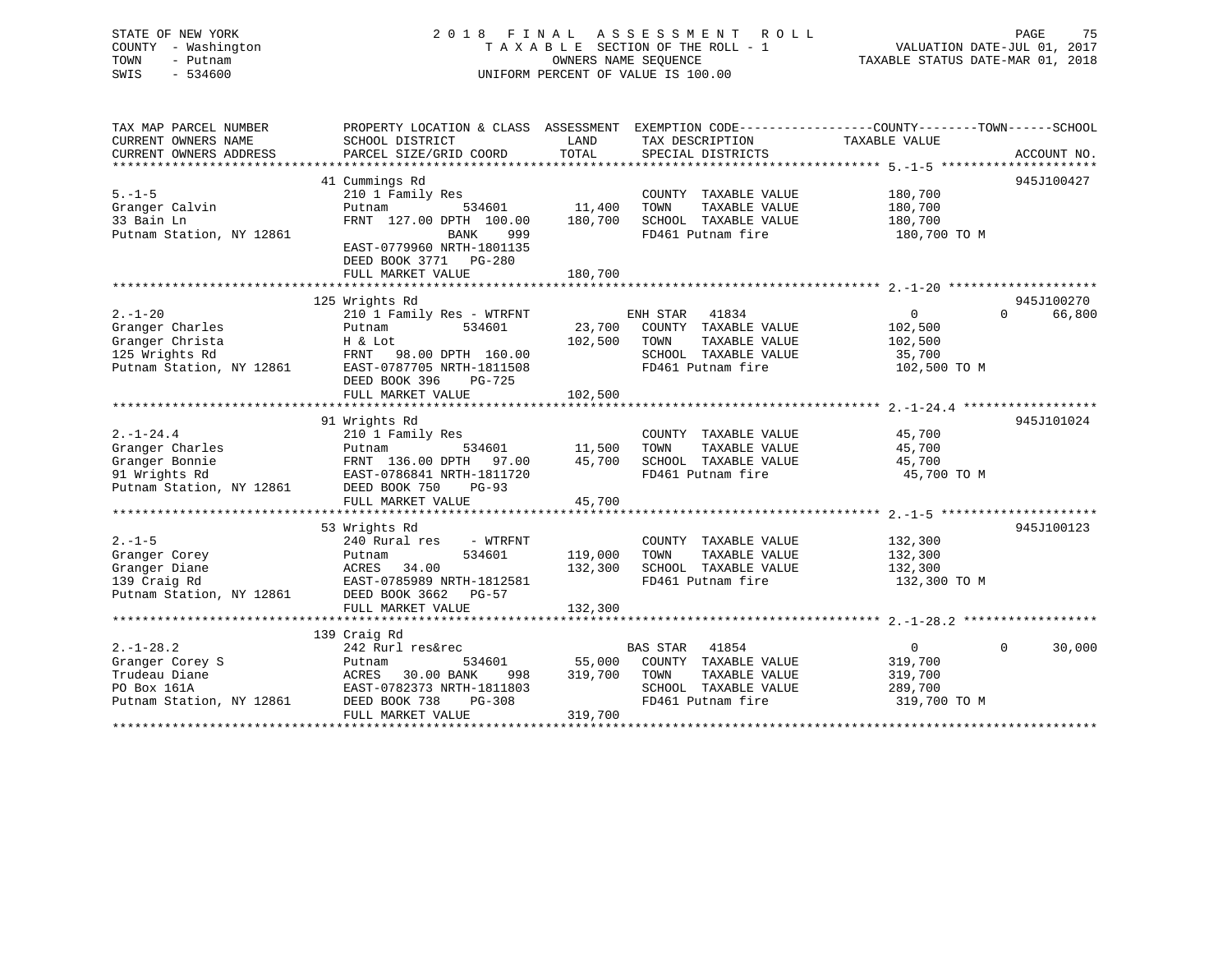### STATE OF NEW YORK 2 0 1 8 F I N A L A S S E S S M E N T R O L L PAGE 75 COUNTY - Washington T A X A B L E SECTION OF THE ROLL - 1 VALUATION DATE-JUL 01, 2017 TOWN - Putnam OWNERS NAME SEQUENCE TAXABLE STATUS DATE-MAR 01, 2018 SWIS - 534600 UNIFORM PERCENT OF VALUE IS 100.00

| TAX MAP PARCEL NUMBER<br>CURRENT OWNERS NAME | PROPERTY LOCATION & CLASS ASSESSMENT<br>SCHOOL DISTRICT                 | LAND    | TAX DESCRIPTION       | EXEMPTION CODE-----------------COUNTY-------TOWN------SCHOOL<br>TAXABLE VALUE |                    |
|----------------------------------------------|-------------------------------------------------------------------------|---------|-----------------------|-------------------------------------------------------------------------------|--------------------|
| CURRENT OWNERS ADDRESS                       | PARCEL SIZE/GRID COORD                                                  | TOTAL   | SPECIAL DISTRICTS     |                                                                               | ACCOUNT NO.        |
|                                              | 41 Cummings Rd                                                          |         |                       |                                                                               | 945J100427         |
| $5. - 1 - 5$                                 | 210 1 Family Res                                                        |         | COUNTY TAXABLE VALUE  | 180,700                                                                       |                    |
| Granger Calvin                               | 534601<br>Putnam                                                        | 11,400  | TOWN<br>TAXABLE VALUE | 180,700                                                                       |                    |
| 33 Bain Ln                                   | FRNT 127.00 DPTH 100.00                                                 | 180,700 | SCHOOL TAXABLE VALUE  | 180,700                                                                       |                    |
| Putnam Station, NY 12861                     | BANK<br>999                                                             |         | FD461 Putnam fire     | 180,700 TO M                                                                  |                    |
|                                              | EAST-0779960 NRTH-1801135<br>DEED BOOK 3771 PG-280<br>FULL MARKET VALUE | 180,700 |                       |                                                                               |                    |
|                                              |                                                                         |         |                       |                                                                               |                    |
|                                              | 125 Wrights Rd                                                          |         |                       |                                                                               | 945J100270         |
| $2. - 1 - 20$                                | 210 1 Family Res - WTRFNT                                               |         | ENH STAR 41834        | 0                                                                             | $\Omega$<br>66,800 |
| Granger Charles                              | 534601<br>Putnam                                                        | 23,700  | COUNTY TAXABLE VALUE  | 102,500                                                                       |                    |
| Granger Christa                              | H & Lot                                                                 | 102,500 | TAXABLE VALUE<br>TOWN | 102,500                                                                       |                    |
| 125 Wrights Rd                               | FRNT 98.00 DPTH 160.00                                                  |         | SCHOOL TAXABLE VALUE  | 35,700                                                                        |                    |
| Putnam Station, NY 12861                     | EAST-0787705 NRTH-1811508                                               |         | FD461 Putnam fire     | 102,500 TO M                                                                  |                    |
|                                              | DEED BOOK 396<br>PG-725                                                 |         |                       |                                                                               |                    |
|                                              | FULL MARKET VALUE                                                       | 102,500 |                       |                                                                               |                    |
|                                              |                                                                         |         |                       |                                                                               |                    |
|                                              | 91 Wrights Rd                                                           |         |                       |                                                                               | 945J101024         |
| $2. -1 - 24.4$                               | 210 1 Family Res                                                        |         | COUNTY TAXABLE VALUE  | 45,700                                                                        |                    |
| Granger Charles                              | 534601<br>Putnam                                                        | 11,500  | TOWN<br>TAXABLE VALUE | 45,700                                                                        |                    |
| Granger Bonnie                               | FRNT 136.00 DPTH 97.00                                                  | 45,700  | SCHOOL TAXABLE VALUE  | 45,700                                                                        |                    |
| 91 Wrights Rd                                | EAST-0786841 NRTH-1811720                                               |         | FD461 Putnam fire     | 45,700 TO M                                                                   |                    |
| Putnam Station, NY 12861                     | DEED BOOK 750<br><b>PG-93</b>                                           |         |                       |                                                                               |                    |
|                                              | FULL MARKET VALUE                                                       | 45,700  |                       |                                                                               |                    |
|                                              |                                                                         |         |                       |                                                                               |                    |
|                                              | 53 Wrights Rd                                                           |         |                       |                                                                               | 945J100123         |
| $2. - 1 - 5$                                 | 240 Rural res<br>- WTRFNT                                               |         | COUNTY TAXABLE VALUE  | 132,300                                                                       |                    |
| Granger Corey                                | 534601<br>Putnam                                                        | 119,000 | TOWN<br>TAXABLE VALUE | 132,300                                                                       |                    |
| Granger Diane                                | ACRES 34.00                                                             | 132,300 | SCHOOL TAXABLE VALUE  | 132,300                                                                       |                    |
| 139 Craig Rd                                 | EAST-0785989 NRTH-1812581                                               |         | FD461 Putnam fire     | 132,300 TO M                                                                  |                    |
| Putnam Station, NY 12861                     | DEED BOOK 3662<br>PG-57                                                 |         |                       |                                                                               |                    |
|                                              | FULL MARKET VALUE                                                       | 132,300 |                       |                                                                               |                    |
|                                              |                                                                         |         |                       |                                                                               |                    |
|                                              | 139 Craig Rd                                                            |         |                       |                                                                               |                    |
| $2. -1 - 28.2$                               | 242 Rurl res&rec                                                        |         | BAS STAR 41854        | $\overline{0}$                                                                | $\Omega$<br>30,000 |
| Granger Corey S                              | 534601<br>Putnam                                                        | 55,000  | COUNTY TAXABLE VALUE  | 319,700                                                                       |                    |
| Trudeau Diane                                | ACRES 30.00 BANK<br>998                                                 | 319,700 | TOWN<br>TAXABLE VALUE | 319,700                                                                       |                    |
| PO Box 161A                                  | EAST-0782373 NRTH-1811803                                               |         | SCHOOL TAXABLE VALUE  | 289,700                                                                       |                    |
| Putnam Station, NY 12861                     | DEED BOOK 738<br>PG-308                                                 |         | FD461 Putnam fire     | 319,700 TO M                                                                  |                    |
|                                              | FULL MARKET VALUE                                                       | 319,700 |                       |                                                                               |                    |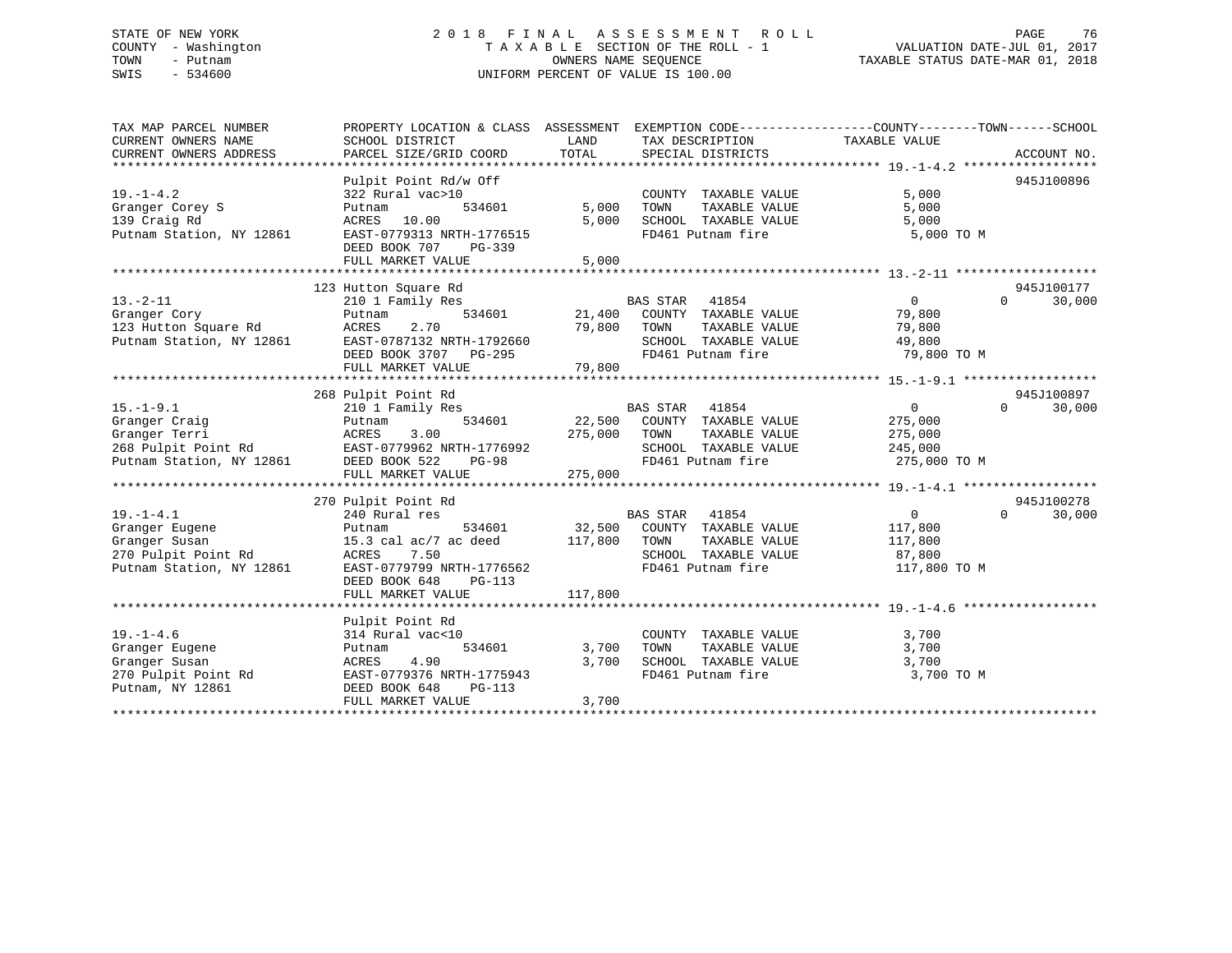### STATE OF NEW YORK 2 0 1 8 F I N A L A S S E S S M E N T R O L L PAGE 76 COUNTY - Washington T A X A B L E SECTION OF THE ROLL - 1 VALUATION DATE-JUL 01, 2017 TOWN - Putnam OWNERS NAME SEQUENCE TAXABLE STATUS DATE-MAR 01, 2018 SWIS - 534600 UNIFORM PERCENT OF VALUE IS 100.00

| TAX MAP PARCEL NUMBER<br><b>CURRENT OWNERS NAME</b><br>CURRENT OWNERS ADDRESS                         | PROPERTY LOCATION & CLASS ASSESSMENT<br>SCHOOL DISTRICT<br>PARCEL SIZE/GRID COORD                                                                              | LAND<br>TOTAL                | EXEMPTION CODE-----------------COUNTY-------TOWN------SCHOOL<br>TAX DESCRIPTION TAXABLE VALUE<br>SPECIAL DISTRICTS     |                                                                 | ACCOUNT NO.                      |
|-------------------------------------------------------------------------------------------------------|----------------------------------------------------------------------------------------------------------------------------------------------------------------|------------------------------|------------------------------------------------------------------------------------------------------------------------|-----------------------------------------------------------------|----------------------------------|
| $19. - 1 - 4.2$<br>Granger Corey S<br>139 Craig Rd<br>Putnam Station, NY 12861                        | Pulpit Point Rd/w Off<br>322 Rural vac>10<br>534601<br>Putnam<br>10.00<br>ACRES<br>EAST-0779313 NRTH-1776515<br>DEED BOOK 707<br>$PG-339$<br>FULL MARKET VALUE | 5,000<br>5,000<br>5,000      | COUNTY TAXABLE VALUE<br>TOWN<br>TAXABLE VALUE<br>SCHOOL TAXABLE VALUE<br>FD461 Putnam fire                             | 5,000<br>5,000<br>5,000<br>5,000 TO M                           | 945J100896                       |
| $13 - 2 - 11$<br>Granger Cory<br>123 Hutton Square Rd<br>Putnam Station, NY 12861                     | 123 Hutton Square Rd<br>210 1 Family Res<br>534601<br>Putnam<br>2.70<br>ACRES<br>EAST-0787132 NRTH-1792660<br>DEED BOOK 3707 PG-295<br>FULL MARKET VALUE       | 21,400<br>79,800<br>79,800   | BAS STAR 41854<br>COUNTY TAXABLE VALUE<br>TAXABLE VALUE<br>TOWN<br>SCHOOL TAXABLE VALUE<br>FD461 Putnam fire           | $0 \qquad \qquad$<br>79,800<br>79,800<br>49,800<br>79,800 TO M  | 945J100177<br>$\Omega$<br>30,000 |
|                                                                                                       | 268 Pulpit Point Rd                                                                                                                                            |                              |                                                                                                                        |                                                                 | 945J100897                       |
| $15. - 1 - 9.1$<br>Granger Craig<br>Granger Terri<br>268 Pulpit Point Rd<br>Putnam Station, NY 12861  | 210 1 Family Res<br>534601<br>Putnam<br>ACRES<br>3.00<br>EAST-0779962 NRTH-1776992<br>DEED BOOK 522<br><b>PG-98</b><br>FULL MARKET VALUE                       | 22,500<br>275,000<br>275,000 | <b>BAS STAR</b><br>41854<br>COUNTY TAXABLE VALUE<br>TOWN<br>TAXABLE VALUE<br>SCHOOL TAXABLE VALUE<br>FD461 Putnam fire | $\overline{0}$<br>275,000<br>275,000<br>245,000<br>275,000 TO M | 30,000<br>$\Omega$               |
|                                                                                                       | 270 Pulpit Point Rd                                                                                                                                            |                              |                                                                                                                        |                                                                 | 945J100278                       |
| $19. - 1 - 4.1$<br>Granger Eugene<br>Granger Susan<br>270 Pulpit Point Rd<br>Putnam Station, NY 12861 | 240 Rural res<br>534601<br>Putnam<br>15.3 cal ac/7 ac deed<br>ACRES<br>7.50<br>EAST-0779799 NRTH-1776562<br>DEED BOOK 648<br>$PG-113$                          | 32,500<br>117,800            | <b>BAS STAR</b><br>41854<br>COUNTY TAXABLE VALUE<br>TAXABLE VALUE<br>TOWN<br>SCHOOL TAXABLE VALUE<br>FD461 Putnam fire | $\mathbf{0}$<br>117,800<br>117,800<br>87,800<br>117,800 TO M    | $\Omega$<br>30,000               |
|                                                                                                       | FULL MARKET VALUE                                                                                                                                              | 117,800                      |                                                                                                                        |                                                                 |                                  |
| $19. - 1 - 4.6$<br>Granger Eugene<br>Granger Susan<br>270 Pulpit Point Rd<br>Putnam, NY 12861         | Pulpit Point Rd<br>314 Rural vac<10<br>534601<br>Putnam<br>4.90<br>ACRES<br>EAST-0779376 NRTH-1775943<br>DEED BOOK 648<br>PG-113<br>FULL MARKET VALUE          | 3,700<br>3,700<br>3,700      | COUNTY TAXABLE VALUE<br>TAXABLE VALUE<br>TOWN<br>SCHOOL TAXABLE VALUE<br>FD461 Putnam fire                             | 3,700<br>3,700<br>3,700<br>3,700 TO M                           |                                  |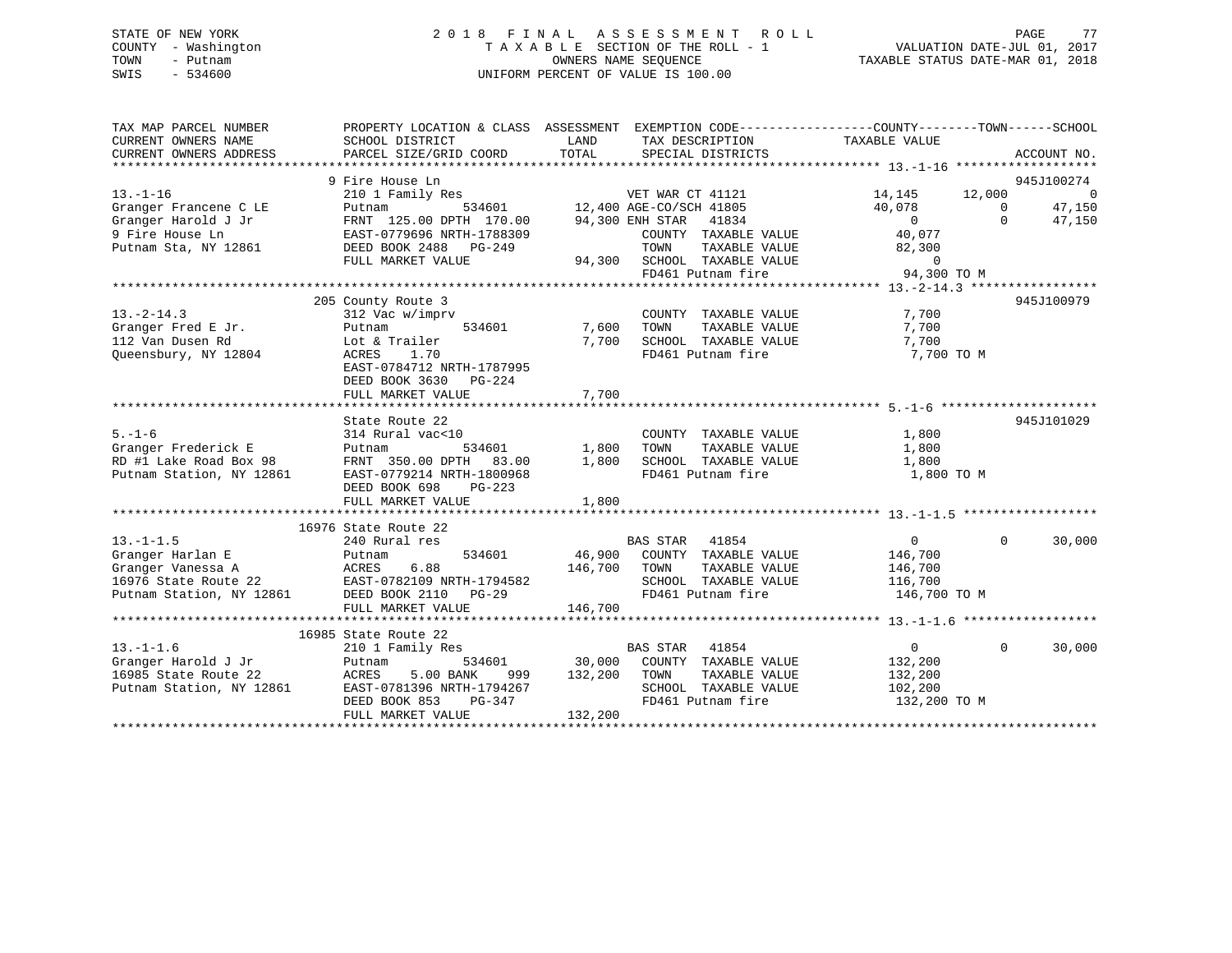### STATE OF NEW YORK 2 0 1 8 F I N A L A S S E S S M E N T R O L L PAGE 77 COUNTY - Washington T A X A B L E SECTION OF THE ROLL - 1 VALUATION DATE-JUL 01, 2017 TOWN - Putnam OWNERS NAME SEQUENCE TAXABLE STATUS DATE-MAR 01, 2018 SWIS - 534600 UNIFORM PERCENT OF VALUE IS 100.00

TAX MAP PARCEL NUMBER PROPERTY LOCATION & CLASS ASSESSMENT EXEMPTION CODE------------------COUNTY--------TOWN------SCHOOL CURRENT OWNERS NAME SCHOOL DISTRICT THE LAND TAX DESCRIPTION TAXABLE VALUE CURRENT OWNERS ADDRESS PARCEL SIZE/GRID COORD TOTAL SPECIAL DISTRICTS ACCOUNT NO. \*\*\*\*\*\*\*\*\*\*\*\*\*\*\*\*\*\*\*\*\*\*\*\*\*\*\*\*\*\*\*\*\*\*\*\*\*\*\*\*\*\*\*\*\*\*\*\*\*\*\*\*\*\*\*\*\*\*\*\*\*\*\*\*\*\*\*\*\*\*\*\*\*\*\*\*\*\*\*\*\*\*\*\*\*\*\*\*\*\*\*\*\*\*\*\*\*\*\*\*\*\*\* 13.-1-16 \*\*\*\*\*\*\*\*\*\*\*\*\*\*\*\*\*\*\* 9 Fire House Ln 945J100274 13.-1-16 210 1 Family Res VET WAR CT 41121 14,145 12,000 0 Granger Francene C LE Putnam 534601 12,400 AGE-CO/SCH 41805 40,078 0 47,150 Granger Harold J Jr FRNT 125.00 DPTH 170.00 94,300 ENH STAR 41834 0 0 47,150 9 Fire House Ln EAST-0779696 NRTH-1788309 COUNTY TAXABLE VALUE 40,077 Putnam Sta, NY 12861 DEED BOOK 2488 PG-249 TOWN TAXABLE VALUE 82,300 FULL MARKET VALUE 94,300 SCHOOL TAXABLE VALUE 0 FD461 Putnam fire 94,300 TO M \*\*\*\*\*\*\*\*\*\*\*\*\*\*\*\*\*\*\*\*\*\*\*\*\*\*\*\*\*\*\*\*\*\*\*\*\*\*\*\*\*\*\*\*\*\*\*\*\*\*\*\*\*\*\*\*\*\*\*\*\*\*\*\*\*\*\*\*\*\*\*\*\*\*\*\*\*\*\*\*\*\*\*\*\*\*\*\*\*\*\*\*\*\*\*\*\*\*\*\*\*\*\* 13.-2-14.3 \*\*\*\*\*\*\*\*\*\*\*\*\*\*\*\*\* 205 County Route 3 945J100979 13.-2-14.3 312 Vac w/imprv COUNTY TAXABLE VALUE 7,700 Granger Fred E Jr. Putnam 534601 7,600 TOWN TAXABLE VALUE 7,700 112 Van Dusen Rd Lot & Trailer 7,700 SCHOOL TAXABLE VALUE 7,700 Queensbury, NY 12804 ACRES 1.70 FD461 Putnam fire 7,700 TO M EAST-0784712 NRTH-1787995 DEED BOOK 3630 PG-224 FULL MARKET VALUE 7,700 \*\*\*\*\*\*\*\*\*\*\*\*\*\*\*\*\*\*\*\*\*\*\*\*\*\*\*\*\*\*\*\*\*\*\*\*\*\*\*\*\*\*\*\*\*\*\*\*\*\*\*\*\*\*\*\*\*\*\*\*\*\*\*\*\*\*\*\*\*\*\*\*\*\*\*\*\*\*\*\*\*\*\*\*\*\*\*\*\*\*\*\*\*\*\*\*\*\*\*\*\*\*\* 5.-1-6 \*\*\*\*\*\*\*\*\*\*\*\*\*\*\*\*\*\*\*\*\*945J101029 State Route 22 5.-1-6 314 Rural vac<10 COUNTY TAXABLE VALUE 1,800 Granger Frederick E Putnam 534601 1,800 TOWN TAXABLE VALUE 1,800 RD #1 Lake Road Box 98 FRNT 350.00 DPTH 83.00 1,800 SCHOOL TAXABLE VALUE 1,800 Putnam Station, NY 12861 EAST-0779214 NRTH-1800968 FD461 Putnam fire 1,800 TO M DEED BOOK 698 PG-223 FULL MARKET VALUE 1,800 \*\*\*\*\*\*\*\*\*\*\*\*\*\*\*\*\*\*\*\*\*\*\*\*\*\*\*\*\*\*\*\*\*\*\*\*\*\*\*\*\*\*\*\*\*\*\*\*\*\*\*\*\*\*\*\*\*\*\*\*\*\*\*\*\*\*\*\*\*\*\*\*\*\*\*\*\*\*\*\*\*\*\*\*\*\*\*\*\*\*\*\*\*\*\*\*\*\*\*\*\*\*\* 13.-1-1.5 \*\*\*\*\*\*\*\*\*\*\*\*\*\*\*\*\*\* 16976 State Route 22240 Rural res 13.-1-1.5 240 Rural res BAS STAR 41854 0 0 30,000 Granger Harlan E Putnam 534601 46,900 COUNTY TAXABLE VALUE 146,700 Granger Vanessa A ACRES 6.88 146,700 TOWN TAXABLE VALUE 146,700 16976 State Route 22 EAST-0782109 NRTH-1794582 SCHOOL TAXABLE VALUE 116,700 Putnam Station, NY 12861 DEED BOOK 2110 PG-29 FD461 Putnam fire 146,700 TO M FULL MARKET VALUE 146,700 \*\*\*\*\*\*\*\*\*\*\*\*\*\*\*\*\*\*\*\*\*\*\*\*\*\*\*\*\*\*\*\*\*\*\*\*\*\*\*\*\*\*\*\*\*\*\*\*\*\*\*\*\*\*\*\*\*\*\*\*\*\*\*\*\*\*\*\*\*\*\*\*\*\*\*\*\*\*\*\*\*\*\*\*\*\*\*\*\*\*\*\*\*\*\*\*\*\*\*\*\*\*\* 13.-1-1.6 \*\*\*\*\*\*\*\*\*\*\*\*\*\*\*\*\*\* 16985 State Route 22 13.-1-1.6 210 1 Family Res BAS STAR 41854 0 0 30,000 Granger Harold J Jr Putnam 534601 30,000 COUNTY TAXABLE VALUE 132,200 16985 State Route 22 ACRES 5.00 BANK 999 132,200 TOWN TAXABLE VALUE 132,200 Putnam Station, NY 12861 EAST-0781396 NRTH-1794267 SCHOOL TAXABLE VALUE 102,200 DEED BOOK 853 PG-347 FD461 Putnam fire 132,200 TO M DEED BOOK 853 PG-347 FI<br>FULL MARKET VALUE 132,200 \*\*\*\*\*\*\*\*\*\*\*\*\*\*\*\*\*\*\*\*\*\*\*\*\*\*\*\*\*\*\*\*\*\*\*\*\*\*\*\*\*\*\*\*\*\*\*\*\*\*\*\*\*\*\*\*\*\*\*\*\*\*\*\*\*\*\*\*\*\*\*\*\*\*\*\*\*\*\*\*\*\*\*\*\*\*\*\*\*\*\*\*\*\*\*\*\*\*\*\*\*\*\*\*\*\*\*\*\*\*\*\*\*\*\*\*\*\*\*\*\*\*\*\*\*\*\*\*\*\*\*\*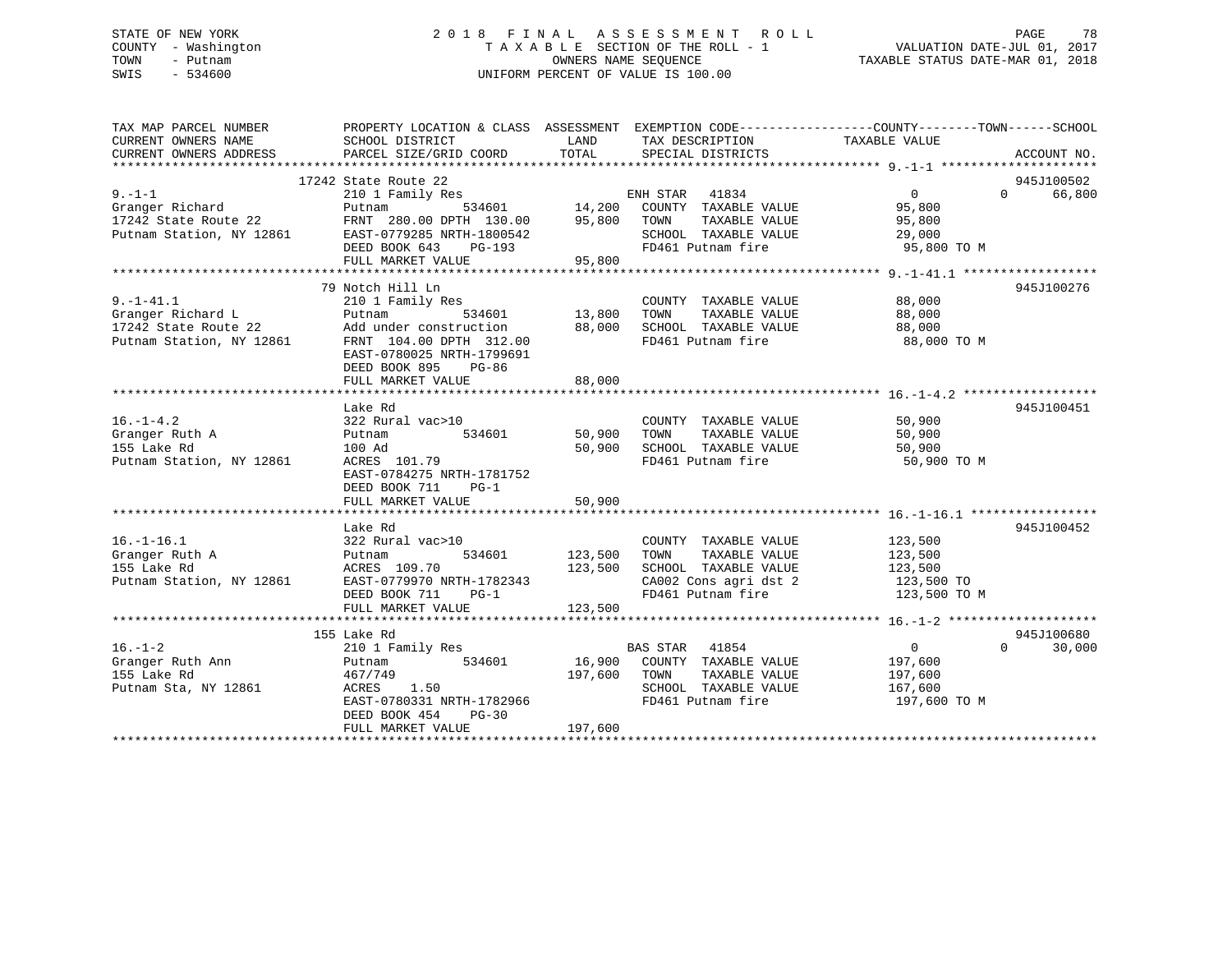### STATE OF NEW YORK 2 0 1 8 F I N A L A S S E S S M E N T R O L L PAGE 78 COUNTY - Washington T A X A B L E SECTION OF THE ROLL - 1 VALUATION DATE-JUL 01, 2017 TOWN - Putnam OWNERS NAME SEQUENCE TAXABLE STATUS DATE-MAR 01, 2018 SWIS - 534600 UNIFORM PERCENT OF VALUE IS 100.00

| TAX MAP PARCEL NUMBER                   |                                                                                                |         |                             | PROPERTY LOCATION & CLASS ASSESSMENT EXEMPTION CODE---------------COUNTY-------TOWN------SCHOOL |             |
|-----------------------------------------|------------------------------------------------------------------------------------------------|---------|-----------------------------|-------------------------------------------------------------------------------------------------|-------------|
| CURRENT OWNERS NAME                     | SCHOOL DISTRICT                                                                                | LAND    | TAX DESCRIPTION             | TAXABLE VALUE                                                                                   |             |
| CURRENT OWNERS ADDRESS                  | PARCEL SIZE/GRID COORD                                                                         | TOTAL   | SPECIAL DISTRICTS           |                                                                                                 | ACCOUNT NO. |
|                                         |                                                                                                |         |                             |                                                                                                 |             |
|                                         | 17242 State Route 22                                                                           |         |                             |                                                                                                 | 945J100502  |
| $9. - 1 - 1$                            | 210 1 Family Res                                                                               |         | ENH STAR 41834              | $\Omega$<br>$\overline{0}$                                                                      | 66,800      |
|                                         | Putnam 534601 14,200 COUNTY TAXABLE VALUE<br>FRNT 280.00 DPTH 130.00 95,800 TOWN TAXABLE VALUE |         |                             | 95,800                                                                                          |             |
| Granger Richard<br>17242 State Route 22 |                                                                                                |         |                             | 95,800                                                                                          |             |
|                                         | Putnam Station, NY 12861 EAST-0779285 NRTH-1800542                                             |         | SCHOOL TAXABLE VALUE        | 29,000                                                                                          |             |
|                                         | DEED BOOK 643<br>PG-193                                                                        |         | FD461 Putnam fire           | 95,800 TO M                                                                                     |             |
|                                         | FULL MARKET VALUE                                                                              | 95,800  |                             |                                                                                                 |             |
|                                         |                                                                                                |         |                             |                                                                                                 |             |
|                                         | 79 Notch Hill Ln                                                                               |         |                             |                                                                                                 | 945J100276  |
| $9. - 1 - 41.1$                         | 210 1 Family Res                                                                               |         | COUNTY TAXABLE VALUE        | 88,000                                                                                          |             |
| Granger Richard L                       | 534601<br>Putnam                                                                               | 13,800  | TAXABLE VALUE<br>TOWN       | 88,000                                                                                          |             |
| 17242 State Route 22                    | Fucham 334001                                                                                  | 88,000  | SCHOOL TAXABLE VALUE        | 88,000                                                                                          |             |
|                                         | Putnam Station, NY 12861 FRNT 104.00 DPTH 312.00                                               |         | FD461 Putnam fire           | 88,000 TO M                                                                                     |             |
|                                         | EAST-0780025 NRTH-1799691                                                                      |         |                             |                                                                                                 |             |
|                                         | DEED BOOK 895<br>PG-86                                                                         |         |                             |                                                                                                 |             |
|                                         | FULL MARKET VALUE                                                                              | 88,000  |                             |                                                                                                 |             |
|                                         |                                                                                                |         |                             |                                                                                                 |             |
|                                         | Lake Rd                                                                                        |         |                             |                                                                                                 | 945J100451  |
| $16. - 1 - 4.2$                         | 322 Rural vac>10                                                                               |         | COUNTY TAXABLE VALUE        | 50,900                                                                                          |             |
| Granger Ruth A                          | 534601<br>Putnam                                                                               | 50,900  | TAXABLE VALUE<br>TOWN       | 50,900                                                                                          |             |
| 155 Lake Rd                             | 100 Ad                                                                                         | 50,900  | SCHOOL TAXABLE VALUE        | 50,900                                                                                          |             |
| Putnam Station, NY 12861                | ACRES 101.79                                                                                   |         | FD461 Putnam fire           | 50,900 TO M                                                                                     |             |
|                                         | EAST-0784275 NRTH-1781752                                                                      |         |                             |                                                                                                 |             |
|                                         | DEED BOOK 711<br>$PG-1$                                                                        |         |                             |                                                                                                 |             |
|                                         | FULL MARKET VALUE                                                                              | 50,900  |                             |                                                                                                 |             |
|                                         |                                                                                                |         |                             |                                                                                                 |             |
|                                         | Lake Rd                                                                                        |         |                             |                                                                                                 | 945J100452  |
| $16. - 1 - 16.1$                        | 322 Rural vac>10                                                                               |         | COUNTY TAXABLE VALUE        | 123,500                                                                                         |             |
| Granger Ruth A                          | 534601<br>Putnam                                                                               | 123,500 | TOWN<br>TAXABLE VALUE       | 123,500                                                                                         |             |
| 155 Lake Rd                             | ACRES 109.70                                                                                   | 123,500 | SCHOOL TAXABLE VALUE        | 123,500                                                                                         |             |
|                                         |                                                                                                |         | CA002 Cons agri dst 2       |                                                                                                 |             |
| Putnam Station, NY 12861                | EAST-0779970 NRTH-1782343                                                                      |         |                             | 123,500 TO                                                                                      |             |
|                                         | DEED BOOK 711<br>PG-1                                                                          |         | FD461 Putnam fire           | 123,500 TO M                                                                                    |             |
|                                         | FULL MARKET VALUE                                                                              | 123,500 |                             |                                                                                                 |             |
|                                         |                                                                                                |         |                             |                                                                                                 |             |
|                                         | 155 Lake Rd                                                                                    |         |                             |                                                                                                 | 945J100680  |
| $16. - 1 - 2$                           | 210 1 Family Res                                                                               |         | <b>BAS STAR</b> 41854       | $\overline{0}$<br>$\Omega$                                                                      | 30,000      |
| Granger Ruth Ann                        | 534601<br>Putnam                                                                               |         | 16,900 COUNTY TAXABLE VALUE | 197,600                                                                                         |             |
| 155 Lake Rd                             | 467/749                                                                                        | 197,600 | TOWN<br>TAXABLE VALUE       | 197,600                                                                                         |             |
| Putnam Sta, NY 12861                    | ACRES 1.50                                                                                     |         | SCHOOL TAXABLE VALUE        | 167,600                                                                                         |             |
|                                         | EAST-0780331 NRTH-1782966                                                                      |         | FD461 Putnam fire           | 197,600 TO M                                                                                    |             |
|                                         | DEED BOOK 454<br>$PG-30$                                                                       |         |                             |                                                                                                 |             |
|                                         | FULL MARKET VALUE                                                                              | 197,600 |                             |                                                                                                 |             |
|                                         |                                                                                                |         |                             |                                                                                                 |             |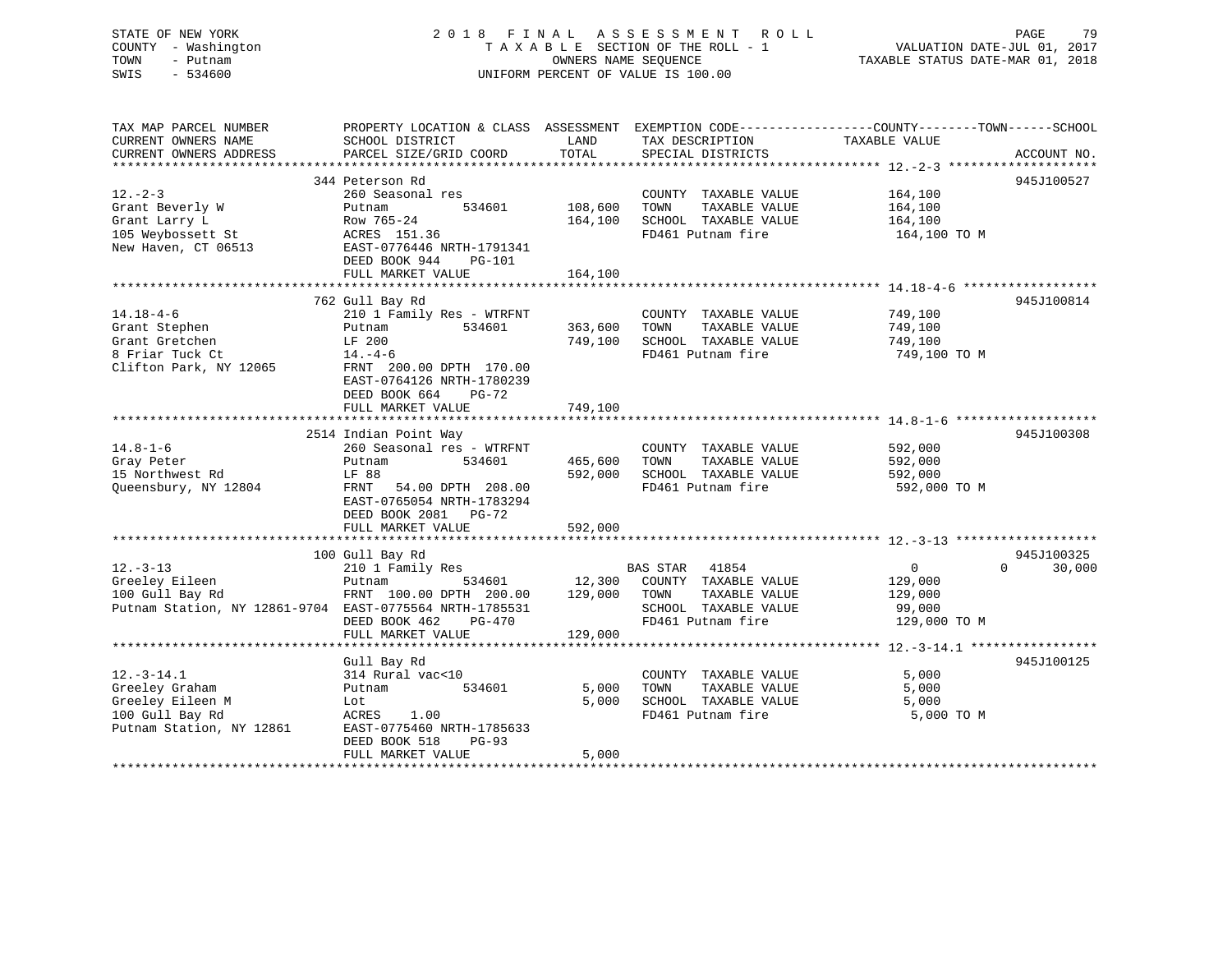STATE OF NEW YORK 2 0 1 8 F I N A L A S S E S S M E N T R O L L PAGE 79 COUNTY - Washington T A X A B L E SECTION OF THE ROLL - 1 VALUATION DATE-JUL 01, 2017 TOWN - Putnam OWNERS NAME SEQUENCE TAXABLE STATUS DATE-MAR 01, 2018 SWIS - 534600 UNIFORM PERCENT OF VALUE IS 100.00

| TAX MAP PARCEL NUMBER                                   |                                 |               |                                               | PROPERTY LOCATION & CLASS ASSESSMENT EXEMPTION CODE--------------COUNTY-------TOWN-----SCHOOL |             |
|---------------------------------------------------------|---------------------------------|---------------|-----------------------------------------------|-----------------------------------------------------------------------------------------------|-------------|
| CURRENT OWNERS NAME                                     | SCHOOL DISTRICT                 | LAND          | TAX DESCRIPTION                               | TAXABLE VALUE                                                                                 |             |
| CURRENT OWNERS ADDRESS                                  | PARCEL SIZE/GRID COORD          | TOTAL         | SPECIAL DISTRICTS                             |                                                                                               | ACCOUNT NO. |
|                                                         |                                 |               |                                               |                                                                                               |             |
|                                                         | 344 Peterson Rd                 |               |                                               |                                                                                               | 945J100527  |
| $12. - 2 - 3$                                           | 260 Seasonal res                |               | COUNTY TAXABLE VALUE                          | 164,100                                                                                       |             |
| Grant Beverly W                                         | 534601<br>Putnam                | 108,600       | TOWN<br>TAXABLE VALUE                         | 164,100                                                                                       |             |
| Grant Larry L                                           | Row 765-24                      | 164,100       | SCHOOL TAXABLE VALUE                          | 164,100                                                                                       |             |
| 105 Weybossett St                                       | ACRES 151.36                    |               | FD461 Putnam fire                             | 164,100 TO M                                                                                  |             |
| New Haven, CT 06513                                     | EAST-0776446 NRTH-1791341       |               |                                               |                                                                                               |             |
|                                                         | DEED BOOK 944<br>PG-101         |               |                                               |                                                                                               |             |
|                                                         | FULL MARKET VALUE               | 164,100       |                                               |                                                                                               |             |
|                                                         |                                 |               |                                               |                                                                                               |             |
|                                                         |                                 |               |                                               |                                                                                               |             |
|                                                         | 762 Gull Bay Rd                 |               |                                               |                                                                                               | 945J100814  |
| $14.18 - 4 - 6$                                         | 210 1 Family Res - WTRFNT       |               | COUNTY TAXABLE VALUE                          | 749,100                                                                                       |             |
| Grant Stephen                                           | 534601<br>Putnam                | 363,600       | TOWN<br>TAXABLE VALUE                         | 749,100                                                                                       |             |
| Grant Gretchen                                          | LF 200                          | 749,100       | SCHOOL TAXABLE VALUE                          | 749,100                                                                                       |             |
| 8 Friar Tuck Ct                                         | $14. -4-6$                      |               | FD461 Putnam fire                             | 749,100 TO M                                                                                  |             |
| Clifton Park, NY 12065                                  | FRNT 200.00 DPTH 170.00         |               |                                               |                                                                                               |             |
|                                                         | EAST-0764126 NRTH-1780239       |               |                                               |                                                                                               |             |
|                                                         | DEED BOOK 664<br>$PG-72$        |               |                                               |                                                                                               |             |
|                                                         | FULL MARKET VALUE               | 749,100       |                                               |                                                                                               |             |
|                                                         |                                 |               |                                               |                                                                                               |             |
|                                                         | 2514 Indian Point Way           |               |                                               |                                                                                               | 945J100308  |
| $14.8 - 1 - 6$                                          | 260 Seasonal res - WTRFNT       |               | COUNTY TAXABLE VALUE                          | 592,000                                                                                       |             |
| Gray Peter                                              | Putnam<br>534601                | 465,600       | TAXABLE VALUE<br>TOWN                         | 592,000                                                                                       |             |
| 15 Northwest Rd                                         | LF 88                           | 592,000       | SCHOOL TAXABLE VALUE                          | 592,000                                                                                       |             |
| Oueensbury, NY 12804                                    | FRNT 54.00 DPTH 208.00          |               | FD461 Putnam fire                             | 592,000 TO M                                                                                  |             |
|                                                         | EAST-0765054 NRTH-1783294       |               |                                               |                                                                                               |             |
|                                                         | DEED BOOK 2081 PG-72            |               |                                               |                                                                                               |             |
|                                                         | FULL MARKET VALUE               | 592,000       |                                               |                                                                                               |             |
|                                                         |                                 |               |                                               |                                                                                               |             |
|                                                         | 100 Gull Bay Rd                 |               |                                               |                                                                                               | 945J100325  |
| $12. - 3 - 13$                                          | 210 1 Family Res                |               | <b>BAS STAR</b> 41854                         | $\Omega$<br>$0 \qquad \qquad$                                                                 | 30,000      |
| Greeley Eileen                                          | Putnam                          | 534601 12,300 | COUNTY TAXABLE VALUE                          | 129,000                                                                                       |             |
| 100 Gull Bay Rd                                         | FRNT 100.00 DPTH 200.00 129,000 |               | TAXABLE VALUE<br>TOWN                         | 129,000                                                                                       |             |
| Putnam Station, NY 12861-9704 EAST-0775564 NRTH-1785531 |                                 |               | SCHOOL TAXABLE VALUE                          | 99,000                                                                                        |             |
|                                                         | DEED BOOK 462<br>PG-470         |               | FD461 Putnam fire                             | 129,000 TO M                                                                                  |             |
|                                                         | FULL MARKET VALUE               | 129,000       |                                               |                                                                                               |             |
|                                                         |                                 |               |                                               |                                                                                               |             |
|                                                         | Gull Bay Rd                     |               |                                               |                                                                                               | 945J100125  |
| $12.-3-14.1$                                            |                                 |               |                                               | 5,000                                                                                         |             |
| Greeley Graham                                          | 314 Rural vac<10<br>534601      | 5,000         | COUNTY TAXABLE VALUE<br>TOWN<br>TAXABLE VALUE | 5,000                                                                                         |             |
|                                                         | Putnam                          |               |                                               |                                                                                               |             |
| Greeley Eileen M                                        | Lot                             | 5,000         | SCHOOL TAXABLE VALUE                          | 5,000                                                                                         |             |
| 100 Gull Bay Rd                                         | ACRES 1.00                      |               | FD461 Putnam fire                             | 5,000 TO M                                                                                    |             |
| Putnam Station, NY 12861                                | EAST-0775460 NRTH-1785633       |               |                                               |                                                                                               |             |
|                                                         | DEED BOOK 518<br>$PG-93$        |               |                                               |                                                                                               |             |
|                                                         | FULL MARKET VALUE               | 5,000         |                                               |                                                                                               |             |
|                                                         |                                 |               |                                               |                                                                                               |             |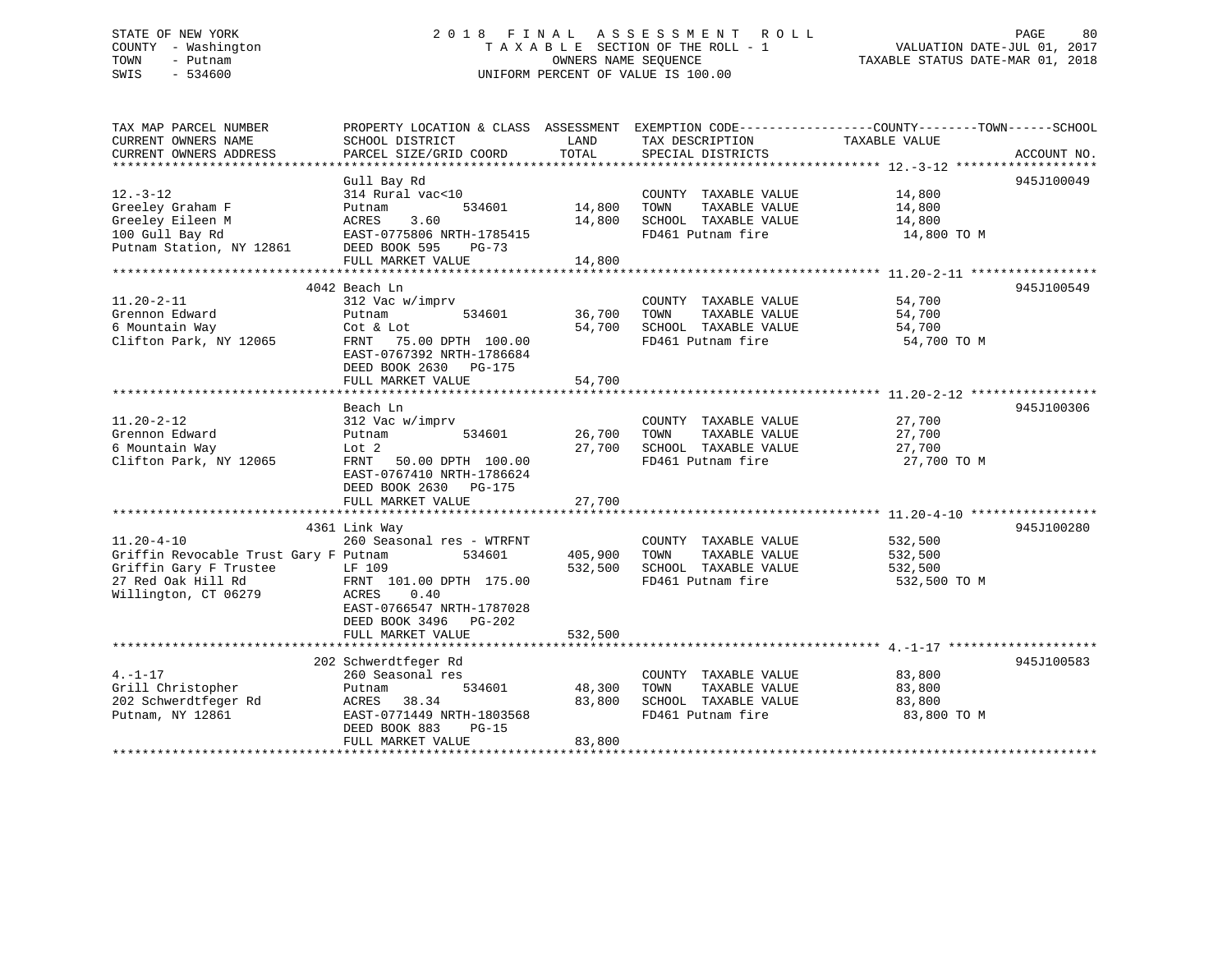### STATE OF NEW YORK 2 0 1 8 F I N A L A S S E S S M E N T R O L L PAGE 80 COUNTY - Washington T A X A B L E SECTION OF THE ROLL - 1 VALUATION DATE-JUL 01, 2017 TOWN - Putnam OWNERS NAME SEQUENCE TAXABLE STATUS DATE-MAR 01, 2018 SWIS - 534600 UNIFORM PERCENT OF VALUE IS 100.00

| TAX MAP PARCEL NUMBER                 | PROPERTY LOCATION & CLASS ASSESSMENT EXEMPTION CODE---------------COUNTY-------TOWN-----SCHOOL |               |                             |                  |             |
|---------------------------------------|------------------------------------------------------------------------------------------------|---------------|-----------------------------|------------------|-------------|
| CURRENT OWNERS NAME                   | SCHOOL DISTRICT                                                                                | LAND<br>TOTAL | TAX DESCRIPTION             | TAXABLE VALUE    |             |
| CURRENT OWNERS ADDRESS                | PARCEL SIZE/GRID COORD                                                                         |               | SPECIAL DISTRICTS           |                  | ACCOUNT NO. |
|                                       | Gull Bay Rd                                                                                    |               |                             |                  | 945J100049  |
| $12.-3-12$                            | 314 Rural vac<10                                                                               |               | COUNTY TAXABLE VALUE 14,800 |                  |             |
| Greeley Graham F                      | 534601<br>Putnam                                                                               | 14,800        | TAXABLE VALUE<br>TOWN       | 14,800           |             |
| Greeley Eileen M                      | ACRES<br>3.60                                                                                  |               | 14,800 SCHOOL TAXABLE VALUE | 14,800           |             |
| 100 Gull Bay Rd                       | EAST-0775806 NRTH-1785415                                                                      |               | FD461 Putnam fire           | 14,800 TO M      |             |
| Putnam Station, NY 12861              | DEED BOOK 595<br>$PG-73$                                                                       |               |                             |                  |             |
|                                       | FULL MARKET VALUE                                                                              | 14,800        |                             |                  |             |
|                                       |                                                                                                |               |                             |                  | 945J100549  |
| $11.20 - 2 - 11$                      | 4042 Beach Ln<br>312 Vac w/imprv                                                               |               | COUNTY TAXABLE VALUE        |                  |             |
| Grennon Edward                        | 534601<br>Putnam                                                                               | 36,700 TOWN   | TAXABLE VALUE               | 54,700<br>54,700 |             |
| 6 Mountain Way                        | Cot & Lot                                                                                      |               | 54,700 SCHOOL TAXABLE VALUE | 54,700           |             |
| Clifton Park, NY 12065                | FRNT 75.00 DPTH 100.00                                                                         |               | FD461 Putnam fire           | 54,700 TO M      |             |
|                                       | EAST-0767392 NRTH-1786684                                                                      |               |                             |                  |             |
|                                       | DEED BOOK 2630 PG-175                                                                          |               |                             |                  |             |
|                                       | FULL MARKET VALUE                                                                              | 54,700        |                             |                  |             |
|                                       |                                                                                                |               |                             |                  |             |
|                                       | Beach Ln                                                                                       |               |                             |                  | 945J100306  |
| $11.20 - 2 - 12$                      | 312 Vac w/imprv                                                                                |               | COUNTY TAXABLE VALUE        | 27,700           |             |
| Grennon Edward                        | Putnam<br>534601                                                                               | 26,700        | TAXABLE VALUE<br>TOWN       | 27,700           |             |
| 6 Mountain Way                        | Lot 2                                                                                          | 27,700        | SCHOOL TAXABLE VALUE        | 27,700           |             |
| Clifton Park, NY 12065                | FRNT 50.00 DPTH 100.00                                                                         |               | FD461 Putnam fire           | 27,700 TO M      |             |
|                                       | EAST-0767410 NRTH-1786624                                                                      |               |                             |                  |             |
|                                       | DEED BOOK 2630 PG-175                                                                          |               |                             |                  |             |
|                                       |                                                                                                |               |                             |                  |             |
|                                       | 4361 Link Way                                                                                  |               |                             |                  | 945J100280  |
| $11.20 - 4 - 10$                      | 260 Seasonal res - WTRFNT                                                                      |               | COUNTY TAXABLE VALUE        | 532,500          |             |
| Griffin Revocable Trust Gary F Putnam | 534601                                                                                         | 405,900       | TAXABLE VALUE<br>TOWN       | 532,500          |             |
| Griffin Gary F Trustee                | LF 109                                                                                         | 532,500       | SCHOOL TAXABLE VALUE        | 532,500          |             |
| 27 Red Oak Hill Rd                    | FRNT 101.00 DPTH 175.00                                                                        |               | FD461 Putnam fire           | 532,500 TO M     |             |
| Willington, CT 06279                  | 0.40<br>ACRES                                                                                  |               |                             |                  |             |
|                                       | EAST-0766547 NRTH-1787028                                                                      |               |                             |                  |             |
|                                       | DEED BOOK 3496 PG-202                                                                          |               |                             |                  |             |
|                                       | FULL MARKET VALUE                                                                              | 532,500       |                             |                  |             |
|                                       | 202 Schwerdtfeger Rd                                                                           |               |                             |                  | 945J100583  |
| $4. -1 - 17$                          | 260 Seasonal res                                                                               |               | COUNTY TAXABLE VALUE        | 83,800           |             |
| Grill Christopher                     | 534601<br>Putnam                                                                               | 48,300        | TAXABLE VALUE<br>TOWN       | 83,800           |             |
| 202 Schwerdtfeger Rd                  | 38.34<br>ACRES                                                                                 | 83,800        | SCHOOL TAXABLE VALUE        | 83,800           |             |
| Putnam, NY 12861                      | EAST-0771449 NRTH-1803568                                                                      |               | FD461 Putnam fire           | 83,800 TO M      |             |
|                                       | DEED BOOK 883<br>$PG-15$                                                                       |               |                             |                  |             |
|                                       | FULL MARKET VALUE                                                                              | 83,800        |                             |                  |             |
|                                       |                                                                                                |               |                             |                  |             |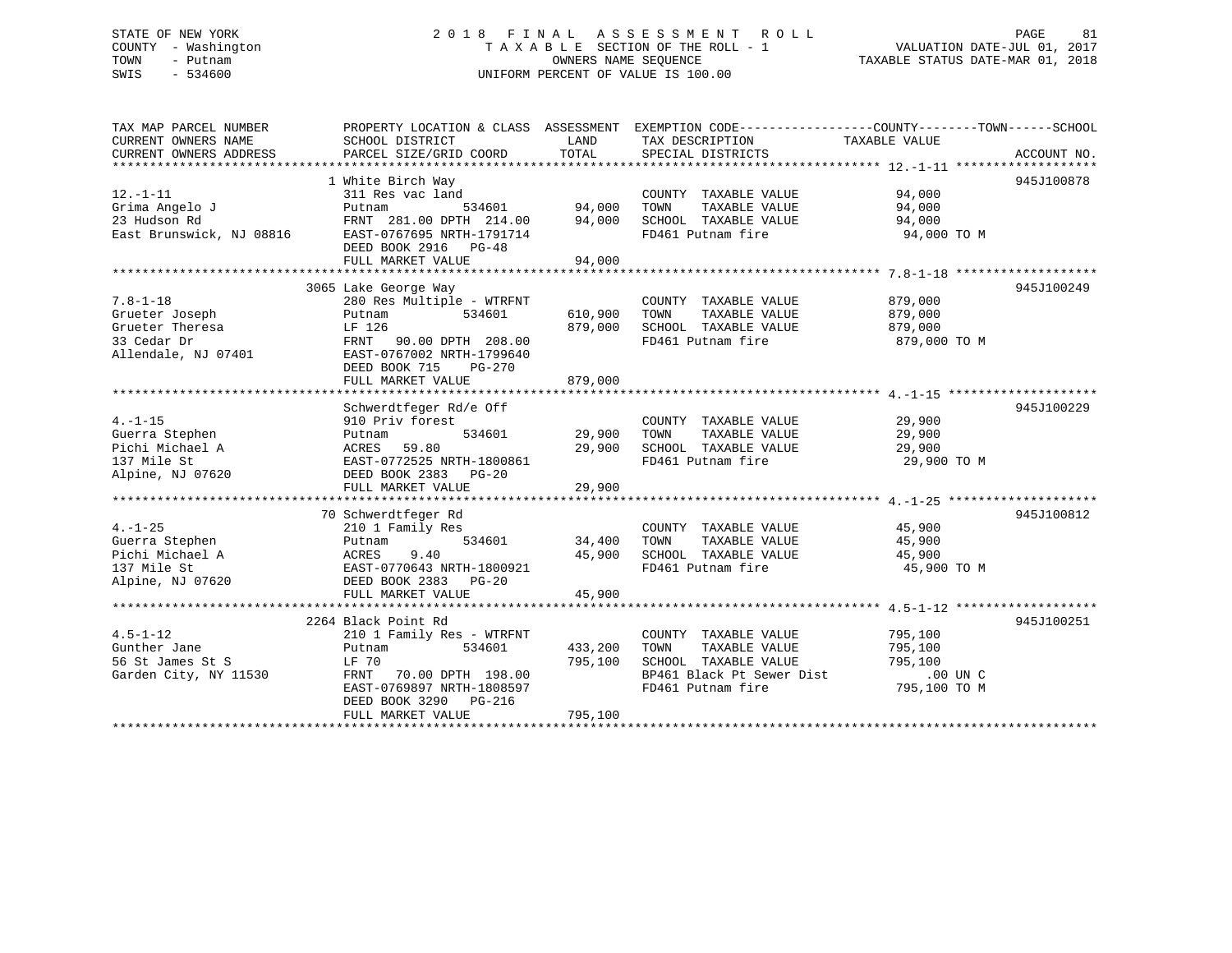### STATE OF NEW YORK 2 0 1 8 F I N A L A S S E S S M E N T R O L L PAGE 81 COUNTY - Washington T A X A B L E SECTION OF THE ROLL - 1 VALUATION DATE-JUL 01, 2017 TOWN - Putnam OWNERS NAME SEQUENCE TAXABLE STATUS DATE-MAR 01, 2018 SWIS - 534600 UNIFORM PERCENT OF VALUE IS 100.00

| TAX MAP PARCEL NUMBER    |                           |         | PROPERTY LOCATION & CLASS ASSESSMENT EXEMPTION CODE---------------COUNTY-------TOWN------SCHOOL |               |             |
|--------------------------|---------------------------|---------|-------------------------------------------------------------------------------------------------|---------------|-------------|
| CURRENT OWNERS NAME      | SCHOOL DISTRICT           | LAND    | TAX DESCRIPTION                                                                                 | TAXABLE VALUE |             |
| CURRENT OWNERS ADDRESS   | PARCEL SIZE/GRID COORD    | TOTAL   | SPECIAL DISTRICTS                                                                               |               | ACCOUNT NO. |
|                          |                           |         |                                                                                                 |               |             |
|                          | 1 White Birch Way         |         |                                                                                                 |               | 945J100878  |
| $12. - 1 - 11$           | 311 Res vac land          |         | COUNTY TAXABLE VALUE                                                                            | 94,000        |             |
| Grima Angelo J           | 534601<br>Putnam          | 94,000  | TOWN<br>TAXABLE VALUE                                                                           | 94,000        |             |
| 23 Hudson Rd             | FRNT 281.00 DPTH 214.00   | 94,000  | SCHOOL TAXABLE VALUE                                                                            | 94,000        |             |
| East Brunswick, NJ 08816 | EAST-0767695 NRTH-1791714 |         | FD461 Putnam fire                                                                               | 94,000 TO M   |             |
|                          | DEED BOOK 2916 PG-48      |         |                                                                                                 |               |             |
|                          | FULL MARKET VALUE         | 94,000  |                                                                                                 |               |             |
|                          |                           |         |                                                                                                 |               |             |
|                          | 3065 Lake George Way      |         |                                                                                                 |               | 945J100249  |
| $7.8 - 1 - 18$           | 280 Res Multiple - WTRFNT |         | COUNTY TAXABLE VALUE                                                                            | 879,000       |             |
| Grueter Joseph           | 534601<br>Putnam          | 610,900 | TAXABLE VALUE<br>TOWN                                                                           | 879,000       |             |
| Grueter Theresa          | LF 126                    | 879,000 | SCHOOL TAXABLE VALUE                                                                            | 879,000       |             |
| 33 Cedar Dr              | FRNT 90.00 DPTH 208.00    |         | FD461 Putnam fire                                                                               | 879,000 TO M  |             |
| Allendale, NJ 07401      | EAST-0767002 NRTH-1799640 |         |                                                                                                 |               |             |
|                          | DEED BOOK 715<br>PG-270   |         |                                                                                                 |               |             |
|                          | FULL MARKET VALUE         | 879,000 |                                                                                                 |               |             |
|                          |                           |         |                                                                                                 |               |             |
|                          | Schwerdtfeger Rd/e Off    |         |                                                                                                 |               | 945J100229  |
| $4. -1 - 15$             | 910 Priv forest           |         | COUNTY TAXABLE VALUE                                                                            | 29,900        |             |
| Guerra Stephen           | 534601<br>Putnam          | 29,900  | TOWN<br>TAXABLE VALUE                                                                           | 29,900        |             |
| Pichi Michael A          | 59.80<br>ACRES            | 29,900  | SCHOOL TAXABLE VALUE                                                                            | 29,900        |             |
| 137 Mile St              | EAST-0772525 NRTH-1800861 |         | FD461 Putnam fire                                                                               | 29,900 TO M   |             |
| Alpine, NJ 07620         | DEED BOOK 2383 PG-20      |         |                                                                                                 |               |             |
|                          |                           |         |                                                                                                 |               |             |
|                          |                           |         |                                                                                                 |               |             |
|                          | 70 Schwerdtfeger Rd       |         |                                                                                                 |               | 945J100812  |
| $4. -1 - 25$             | 210 1 Family Res          |         | COUNTY TAXABLE VALUE                                                                            | 45,900        |             |
| Guerra Stephen           | 534601<br>Putnam          | 34,400  | TAXABLE VALUE<br>TOWN                                                                           | 45,900        |             |
| Pichi Michael A          | 9.40<br>ACRES             | 45,900  | SCHOOL TAXABLE VALUE                                                                            | 45,900        |             |
| 137 Mile St              | EAST-0770643 NRTH-1800921 |         | FD461 Putnam fire                                                                               | 45,900 TO M   |             |
| Alpine, NJ 07620         | DEED BOOK 2383 PG-20      |         |                                                                                                 |               |             |
|                          | FULL MARKET VALUE         | 45,900  |                                                                                                 |               |             |
|                          |                           |         |                                                                                                 |               |             |
|                          | 2264 Black Point Rd       |         |                                                                                                 |               | 945J100251  |
| $4.5 - 1 - 12$           | 210 1 Family Res - WTRFNT |         | COUNTY TAXABLE VALUE                                                                            | 795,100       |             |
| Gunther Jane             | 534601<br>Putnam          | 433,200 | TAXABLE VALUE<br>TOWN                                                                           | 795,100       |             |
| 56 St James St S         | LF 70                     | 795,100 | SCHOOL TAXABLE VALUE                                                                            | 795,100       |             |
| Garden City, NY 11530    | FRNT 70.00 DPTH 198.00    |         | BP461 Black Pt Sewer Dist                                                                       | $.00$ UN C    |             |
|                          | EAST-0769897 NRTH-1808597 |         | FD461 Putnam fire                                                                               | 795,100 TO M  |             |
|                          | DEED BOOK 3290 PG-216     |         |                                                                                                 |               |             |
|                          | FULL MARKET VALUE         | 795,100 |                                                                                                 |               |             |
|                          |                           |         |                                                                                                 |               |             |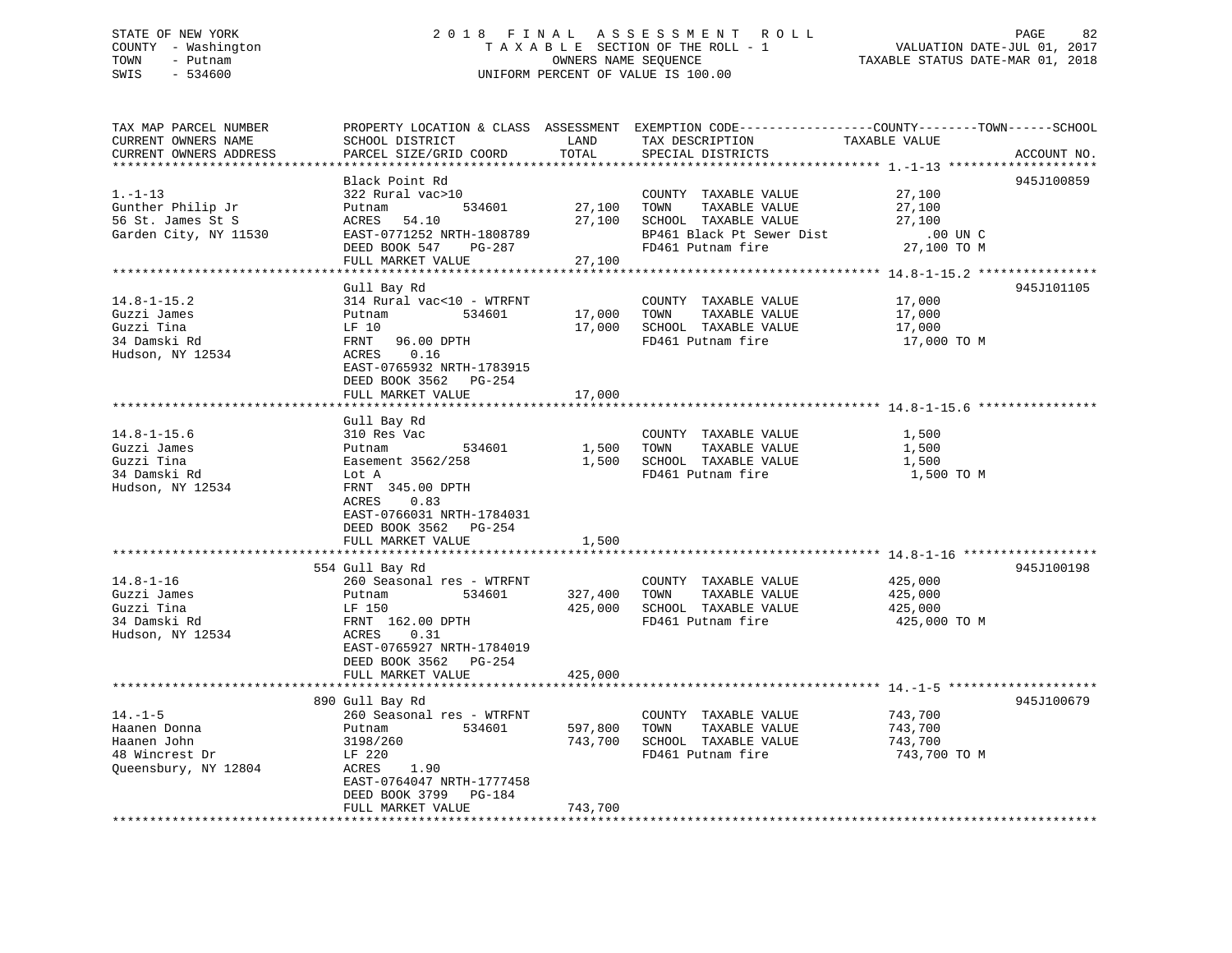### STATE OF NEW YORK 2 0 1 8 F I N A L A S S E S S M E N T R O L L PAGE 82 COUNTY - Washington T A X A B L E SECTION OF THE ROLL - 1 VALUATION DATE-JUL 01, 2017 TOWN - Putnam OWNERS NAME SEQUENCE TAXABLE STATUS DATE-MAR 01, 2018 SWIS - 534600 UNIFORM PERCENT OF VALUE IS 100.00

| TAX MAP PARCEL NUMBER  | PROPERTY LOCATION & CLASS ASSESSMENT EXEMPTION CODE---------------COUNTY-------TOWN-----SCHOOL |         |                           |               |             |
|------------------------|------------------------------------------------------------------------------------------------|---------|---------------------------|---------------|-------------|
| CURRENT OWNERS NAME    | SCHOOL DISTRICT                                                                                | LAND    | TAX DESCRIPTION           | TAXABLE VALUE |             |
| CURRENT OWNERS ADDRESS | PARCEL SIZE/GRID COORD                                                                         | TOTAL   | SPECIAL DISTRICTS         |               | ACCOUNT NO. |
|                        |                                                                                                |         |                           |               |             |
|                        | Black Point Rd                                                                                 |         |                           |               | 945J100859  |
| $1. - 1 - 13$          | 322 Rural vac>10                                                                               |         | COUNTY TAXABLE VALUE      | 27,100        |             |
| Gunther Philip Jr      | 534601<br>Putnam                                                                               | 27,100  | TAXABLE VALUE<br>TOWN     | 27,100        |             |
| 56 St. James St S      | 54.10<br>ACRES                                                                                 | 27,100  | SCHOOL TAXABLE VALUE      | 27,100        |             |
| Garden City, NY 11530  | EAST-0771252 NRTH-1808789                                                                      |         | BP461 Black Pt Sewer Dist | .00 UN C      |             |
|                        | DEED BOOK 547<br>PG-287                                                                        |         | FD461 Putnam fire         | 27,100 TO M   |             |
|                        | FULL MARKET VALUE                                                                              | 27,100  |                           |               |             |
|                        |                                                                                                |         |                           |               |             |
|                        | Gull Bay Rd                                                                                    |         |                           |               | 945J101105  |
| $14.8 - 1 - 15.2$      | 314 Rural vac<10 - WTRFNT                                                                      |         | COUNTY TAXABLE VALUE      | 17,000        |             |
| Guzzi James            | 534601<br>Putnam                                                                               | 17,000  | TAXABLE VALUE<br>TOWN     | 17,000        |             |
| Guzzi Tina             | LF 10                                                                                          | 17,000  | SCHOOL TAXABLE VALUE      | 17,000        |             |
| 34 Damski Rd           | FRNT<br>96.00 DPTH                                                                             |         | FD461 Putnam fire         | 17,000 TO M   |             |
| Hudson, NY 12534       | ACRES<br>0.16                                                                                  |         |                           |               |             |
|                        | EAST-0765932 NRTH-1783915                                                                      |         |                           |               |             |
|                        | DEED BOOK 3562 PG-254                                                                          |         |                           |               |             |
|                        | FULL MARKET VALUE                                                                              | 17,000  |                           |               |             |
|                        |                                                                                                |         |                           |               |             |
|                        | Gull Bay Rd                                                                                    |         |                           |               |             |
| $14.8 - 1 - 15.6$      | 310 Res Vac                                                                                    |         | COUNTY TAXABLE VALUE      | 1,500         |             |
| Guzzi James            | 534601<br>Putnam                                                                               | 1,500   | TAXABLE VALUE<br>TOWN     | 1,500         |             |
| Guzzi Tina             | Easement 3562/258                                                                              | 1,500   | SCHOOL TAXABLE VALUE      | 1,500         |             |
| 34 Damski Rd           | Lot A                                                                                          |         | FD461 Putnam fire         | 1,500 TO M    |             |
|                        | FRNT 345.00 DPTH                                                                               |         |                           |               |             |
| Hudson, NY 12534       |                                                                                                |         |                           |               |             |
|                        | ACRES<br>0.83                                                                                  |         |                           |               |             |
|                        | EAST-0766031 NRTH-1784031                                                                      |         |                           |               |             |
|                        | DEED BOOK 3562 PG-254                                                                          |         |                           |               |             |
|                        | FULL MARKET VALUE                                                                              | 1,500   |                           |               |             |
|                        |                                                                                                |         |                           |               | 945J100198  |
|                        | 554 Gull Bay Rd                                                                                |         |                           |               |             |
| $14.8 - 1 - 16$        | 260 Seasonal res - WTRFNT                                                                      |         | COUNTY TAXABLE VALUE      | 425,000       |             |
| Guzzi James            | 534601<br>Putnam                                                                               | 327,400 | TOWN<br>TAXABLE VALUE     | 425,000       |             |
| Guzzi Tina             | LF 150                                                                                         | 425,000 | SCHOOL TAXABLE VALUE      | 425,000       |             |
| 34 Damski Rd           | FRNT 162.00 DPTH                                                                               |         | FD461 Putnam fire         | 425,000 TO M  |             |
| Hudson, NY 12534       | 0.31<br>ACRES                                                                                  |         |                           |               |             |
|                        | EAST-0765927 NRTH-1784019                                                                      |         |                           |               |             |
|                        | DEED BOOK 3562 PG-254                                                                          |         |                           |               |             |
|                        | FULL MARKET VALUE                                                                              | 425,000 |                           |               |             |
|                        |                                                                                                |         |                           |               |             |
|                        | 890 Gull Bay Rd                                                                                |         |                           |               | 945J100679  |
| $14. - 1 - 5$          | 260 Seasonal res - WTRFNT                                                                      |         | COUNTY TAXABLE VALUE      | 743,700       |             |
| Haanen Donna           | 534601<br>Putnam                                                                               | 597,800 | TOWN<br>TAXABLE VALUE     | 743,700       |             |
| Haanen John            | 3198/260                                                                                       | 743,700 | SCHOOL TAXABLE VALUE      | 743,700       |             |
| 48 Wincrest Dr         | LF 220                                                                                         |         | FD461 Putnam fire         | 743,700 TO M  |             |
| Queensbury, NY 12804   | ACRES<br>1.90                                                                                  |         |                           |               |             |
|                        | EAST-0764047 NRTH-1777458                                                                      |         |                           |               |             |
|                        | DEED BOOK 3799 PG-184                                                                          |         |                           |               |             |
|                        | FULL MARKET VALUE                                                                              | 743,700 |                           |               |             |
|                        |                                                                                                |         |                           |               |             |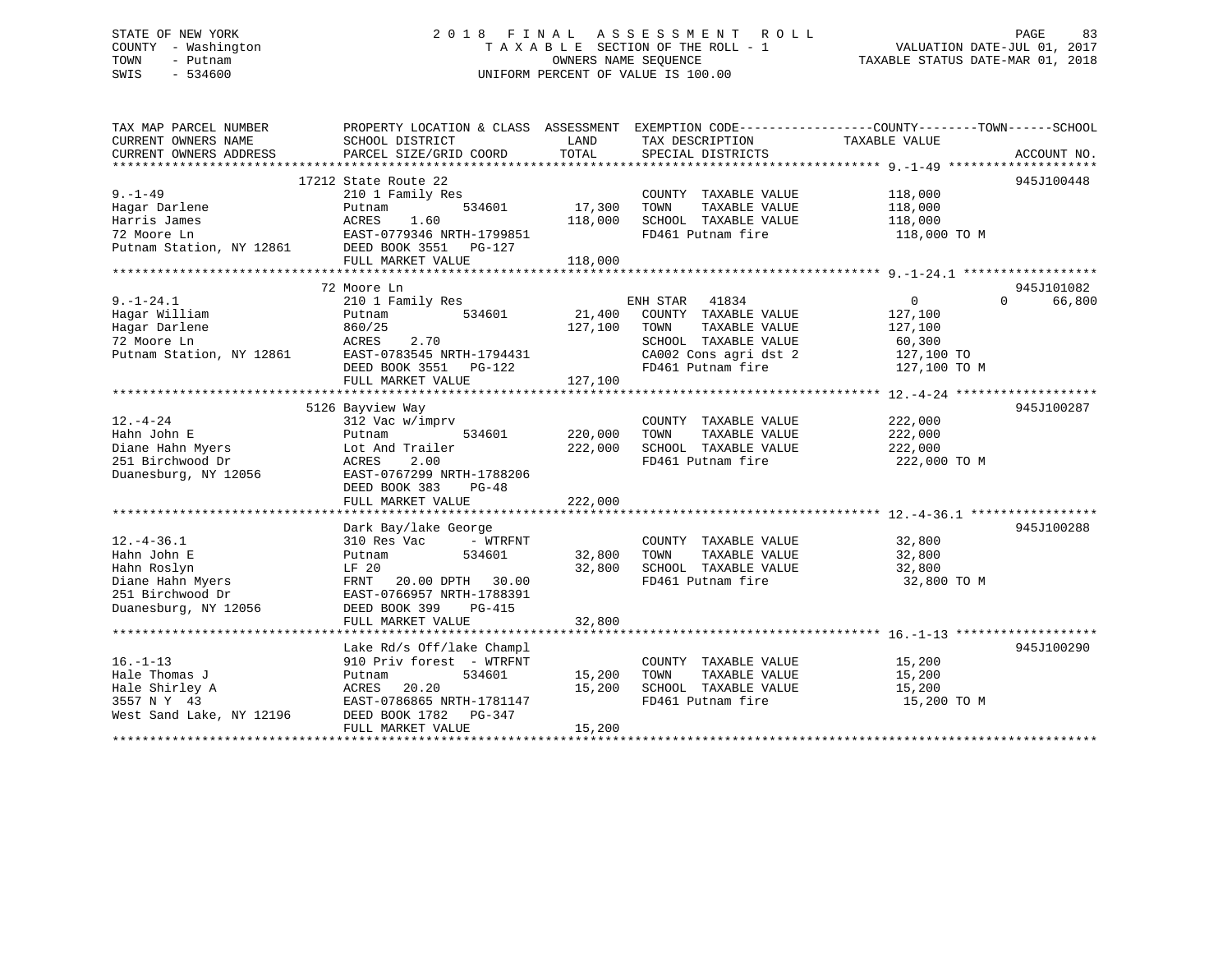### STATE OF NEW YORK 2 0 1 8 F I N A L A S S E S S M E N T R O L L PAGE 83 COUNTY - Washington T A X A B L E SECTION OF THE ROLL - 1 VALUATION DATE-JUL 01, 2017 TOWN - Putnam **CONNERS NAME SEQUENCE** TAXABLE STATUS DATE-MAR 01, 2018 SWIS - 534600 UNIFORM PERCENT OF VALUE IS 100.00

| TAX MAP PARCEL NUMBER<br>CURRENT OWNERS NAME<br>CURRENT OWNERS ADDRESS | PROPERTY LOCATION & CLASS ASSESSMENT<br>SCHOOL DISTRICT<br>PARCEL SIZE/GRID COORD | LAND<br>TOTAL | TAX DESCRIPTION<br>SPECIAL DISTRICTS          | EXEMPTION CODE----------------COUNTY-------TOWN-----SCHOOL<br>TAXABLE VALUE | ACCOUNT NO. |
|------------------------------------------------------------------------|-----------------------------------------------------------------------------------|---------------|-----------------------------------------------|-----------------------------------------------------------------------------|-------------|
|                                                                        |                                                                                   |               |                                               |                                                                             |             |
|                                                                        | 17212 State Route 22                                                              |               |                                               |                                                                             | 945J100448  |
| $9. - 1 - 49$                                                          | 210 1 Family Res                                                                  |               | COUNTY TAXABLE VALUE                          | 118,000                                                                     |             |
| Hagar Darlene                                                          | 534601<br>Putnam                                                                  | 17,300        | TAXABLE VALUE<br>TOWN                         | 118,000                                                                     |             |
| Harris James                                                           | 1.60<br>ACRES                                                                     | 118,000       | SCHOOL TAXABLE VALUE                          | 118,000                                                                     |             |
| 72 Moore Ln                                                            | EAST-0779346 NRTH-1799851                                                         |               | FD461 Putnam fire                             | 118,000 TO M                                                                |             |
| Putnam Station, NY 12861                                               | DEED BOOK 3551 PG-127                                                             |               |                                               |                                                                             |             |
|                                                                        | FULL MARKET VALUE                                                                 | 118,000       |                                               |                                                                             |             |
|                                                                        |                                                                                   |               |                                               |                                                                             |             |
|                                                                        | 72 Moore Ln                                                                       |               |                                               |                                                                             | 945J101082  |
| $9. - 1 - 24.1$                                                        | 210 1 Family Res                                                                  |               | ENH STAR 41834                                | $\Omega$<br>$\mathbf{0}$                                                    | 66,800      |
| Hagar William                                                          | 534601<br>Putnam                                                                  | 21,400        | COUNTY TAXABLE VALUE                          | 127,100                                                                     |             |
| Hagar Darlene                                                          | 860/25                                                                            | 127,100       | TOWN<br>TAXABLE VALUE                         | 127,100                                                                     |             |
| 72 Moore Ln                                                            | 2.70<br>ACRES                                                                     |               | SCHOOL TAXABLE VALUE                          | 60,300                                                                      |             |
| Putnam Station, NY 12861                                               | EAST-0783545 NRTH-1794431                                                         |               | CA002 Cons agri dst 2                         | 127,100 TO                                                                  |             |
|                                                                        | DEED BOOK 3551 PG-122                                                             |               | FD461 Putnam fire                             | 127,100 TO M                                                                |             |
|                                                                        | FULL MARKET VALUE                                                                 | 127,100       |                                               |                                                                             |             |
|                                                                        |                                                                                   |               |                                               |                                                                             |             |
| $12. - 4 - 24$                                                         | 5126 Bayview Way                                                                  |               |                                               | 222,000                                                                     | 945J100287  |
| Hahn John E                                                            | 312 Vac w/imprv<br>534601<br>Putnam                                               | 220,000       | COUNTY TAXABLE VALUE<br>TOWN<br>TAXABLE VALUE | 222,000                                                                     |             |
| Diane Hahn Myers                                                       | Lot And Trailer                                                                   | 222,000       | SCHOOL TAXABLE VALUE                          | 222,000                                                                     |             |
| 251 Birchwood Dr                                                       | 2.00<br>ACRES                                                                     |               | FD461 Putnam fire                             | 222,000 TO M                                                                |             |
| Duanesburg, NY 12056                                                   | EAST-0767299 NRTH-1788206                                                         |               |                                               |                                                                             |             |
|                                                                        | DEED BOOK 383<br>$PG-48$                                                          |               |                                               |                                                                             |             |
|                                                                        | FULL MARKET VALUE                                                                 | 222,000       |                                               |                                                                             |             |
|                                                                        |                                                                                   |               |                                               |                                                                             |             |
|                                                                        | Dark Bay/lake George                                                              |               |                                               |                                                                             | 945J100288  |
| $12. - 4 - 36.1$                                                       | 310 Res Vac<br>- WTRFNT                                                           |               | COUNTY TAXABLE VALUE                          | 32,800                                                                      |             |
| Hahn John E                                                            | 534601<br>Putnam                                                                  | 32,800        | TOWN<br>TAXABLE VALUE                         | 32,800                                                                      |             |
| Hahn Roslyn                                                            | LF 20                                                                             | 32,800        | SCHOOL TAXABLE VALUE                          | 32,800                                                                      |             |
| Diane Hahn Myers                                                       | FRNT<br>20.00 DPTH 30.00                                                          |               | FD461 Putnam fire                             | 32,800 TO M                                                                 |             |
| 251 Birchwood Dr                                                       | EAST-0766957 NRTH-1788391                                                         |               |                                               |                                                                             |             |
| Duanesburg, NY 12056                                                   | DEED BOOK 399<br>PG-415                                                           |               |                                               |                                                                             |             |
|                                                                        | FULL MARKET VALUE                                                                 | 32,800        |                                               |                                                                             |             |
|                                                                        |                                                                                   |               |                                               |                                                                             |             |
|                                                                        | Lake Rd/s Off/lake Champl                                                         |               |                                               |                                                                             | 945J100290  |
| $16. - 1 - 13$                                                         | 910 Priv forest - WTRFNT                                                          |               | COUNTY TAXABLE VALUE                          | 15,200                                                                      |             |
| Hale Thomas J                                                          | 534601<br>Putnam                                                                  | 15,200        | TAXABLE VALUE<br>TOWN                         | 15,200                                                                      |             |
| Hale Shirley A<br>3557 N Y 43                                          | ACRES<br>20.20<br>EAST-0786865 NRTH-1781147                                       | 15,200        | SCHOOL TAXABLE VALUE                          | 15,200                                                                      |             |
| West Sand Lake, NY 12196                                               | DEED BOOK 1782 PG-347                                                             |               | FD461 Putnam fire                             | 15,200 TO M                                                                 |             |
|                                                                        | FULL MARKET VALUE                                                                 | 15,200        |                                               |                                                                             |             |
|                                                                        |                                                                                   |               |                                               |                                                                             |             |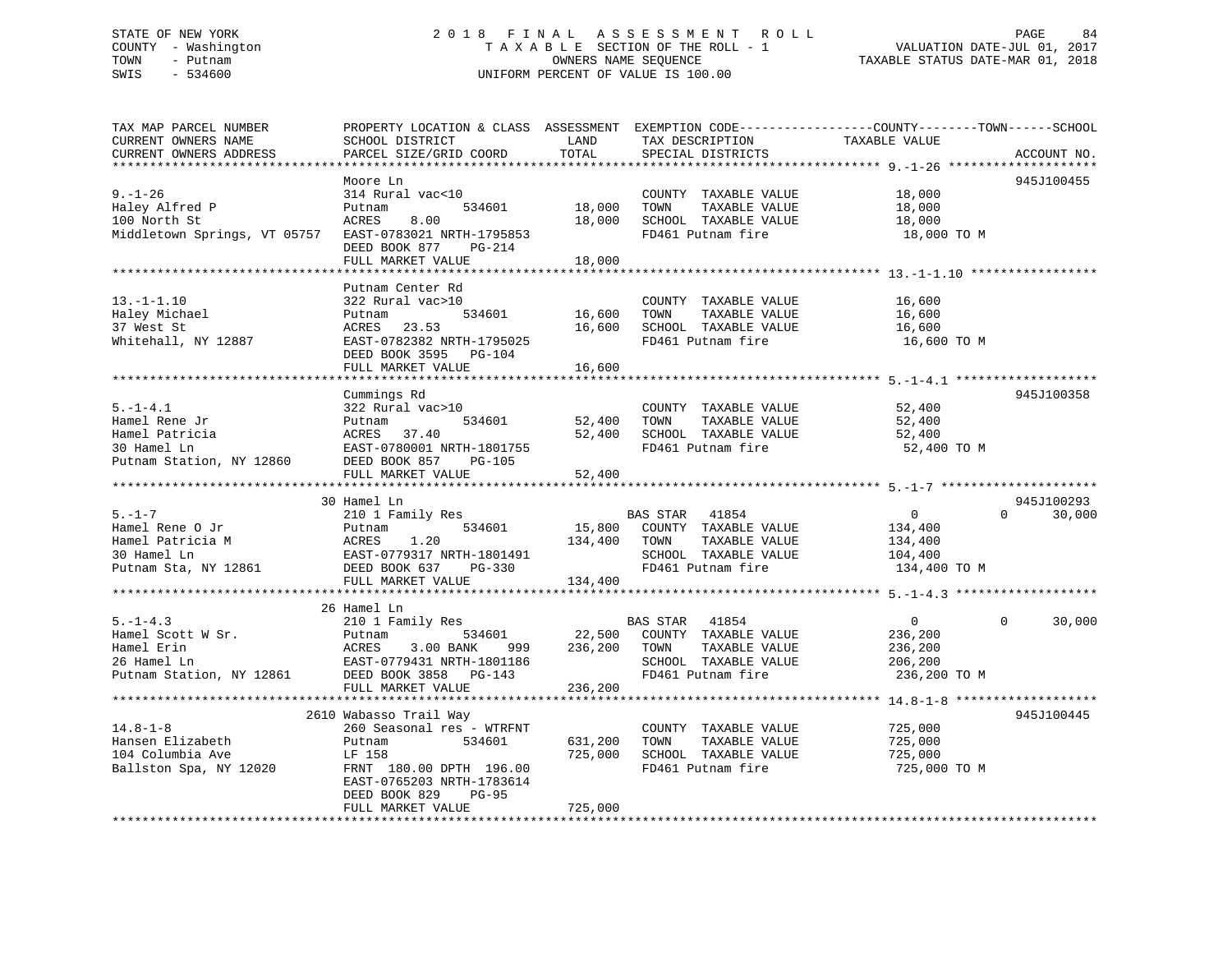### STATE OF NEW YORK 2 0 1 8 F I N A L A S S E S S M E N T R O L L PAGE 84 COUNTY - Washington T A X A B L E SECTION OF THE ROLL - 1 VALUATION DATE-JUL 01, 2017 TOWN - Putnam **CONNERS NAME SEQUENCE** TAXABLE STATUS DATE-MAR 01, 2018 SWIS - 534600 UNIFORM PERCENT OF VALUE IS 100.00

| TAX MAP PARCEL NUMBER                  | PROPERTY LOCATION & CLASS ASSESSMENT EXEMPTION CODE----------------COUNTY-------TOWN------SCHOOL |         |                               |                |                    |
|----------------------------------------|--------------------------------------------------------------------------------------------------|---------|-------------------------------|----------------|--------------------|
| CURRENT OWNERS NAME                    | SCHOOL DISTRICT                                                                                  | LAND    | TAX DESCRIPTION               | TAXABLE VALUE  |                    |
| CURRENT OWNERS ADDRESS                 | PARCEL SIZE/GRID COORD                                                                           | TOTAL   | SPECIAL DISTRICTS             |                | ACCOUNT NO.        |
|                                        |                                                                                                  |         |                               |                |                    |
|                                        | Moore Ln                                                                                         |         |                               |                | 945J100455         |
| $9. - 1 - 26$                          | 314 Rural vac<10                                                                                 |         | COUNTY TAXABLE VALUE          | 18,000         |                    |
| Haley Alfred P                         | 534601<br>Putnam                                                                                 | 18,000  | TOWN<br>TAXABLE VALUE         | 18,000         |                    |
| 100 North St                           | 8.00<br>ACRES                                                                                    | 18,000  | SCHOOL TAXABLE VALUE          | 18,000         |                    |
| Middletown Springs, VT 05757           | EAST-0783021 NRTH-1795853                                                                        |         | FD461 Putnam fire             | 18,000 TO M    |                    |
|                                        | DEED BOOK 877<br>PG-214                                                                          |         |                               |                |                    |
|                                        | FULL MARKET VALUE                                                                                | 18,000  |                               |                |                    |
|                                        |                                                                                                  |         |                               |                |                    |
|                                        | Putnam Center Rd                                                                                 |         |                               |                |                    |
| $13.-1-1.10$                           | 322 Rural vac>10                                                                                 |         | COUNTY TAXABLE VALUE          | 16,600         |                    |
| Haley Michael                          | 534601<br>Putnam                                                                                 | 16,600  | TAXABLE VALUE<br>TOWN         | 16,600         |                    |
| 37 West St                             | ACRES 23.53                                                                                      | 16,600  | SCHOOL TAXABLE VALUE          | 16,600         |                    |
| Whitehall, NY 12887                    | EAST-0782382 NRTH-1795025                                                                        |         | FD461 Putnam fire             | 16,600 TO M    |                    |
|                                        | DEED BOOK 3595 PG-104                                                                            |         |                               |                |                    |
|                                        | FULL MARKET VALUE                                                                                | 16,600  |                               |                |                    |
|                                        |                                                                                                  |         |                               |                |                    |
|                                        | Cummings Rd                                                                                      |         |                               |                | 945J100358         |
| $5. - 1 - 4.1$                         | 322 Rural vac>10                                                                                 |         | COUNTY TAXABLE VALUE 52,400   |                |                    |
| Hamel Rene Jr                          | 534601<br>Putnam                                                                                 | 52,400  | TOWN<br>TAXABLE VALUE         | 52,400         |                    |
| Hamel Patricia                         | ACRES 37.40                                                                                      | 52,400  | SCHOOL TAXABLE VALUE          | 52,400         |                    |
| 30 Hamel Ln                            | EAST-0780001 NRTH-1801755                                                                        |         | FD461 Putnam fire             | 52,400 TO M    |                    |
| Putnam Station, NY 12860 DEED BOOK 857 | PG-105                                                                                           |         |                               |                |                    |
|                                        | FULL MARKET VALUE                                                                                |         |                               |                |                    |
|                                        |                                                                                                  |         |                               |                |                    |
|                                        |                                                                                                  | 52,400  |                               |                |                    |
|                                        |                                                                                                  |         |                               |                |                    |
|                                        | 30 Hamel Ln                                                                                      |         |                               |                | 945J100293         |
| $5. - 1 - 7$                           | 210 1 Family Res                                                                                 |         | BAS STAR 41854                | $\overline{0}$ | $\Omega$<br>30,000 |
| Hamel Rene O Jr                        | 534601<br>Putnam                                                                                 | 15,800  | COUNTY TAXABLE VALUE          | 134,400        |                    |
| Hamel Patricia M                       | 1.20                                                                                             | 134,400 | TOWN<br>TAXABLE VALUE         | 134,400        |                    |
| 30 Hamel Ln                            | Fucham<br>ACRES<br>EAST-0                                                                        |         | SCHOOL TAXABLE VALUE          | 104,400        |                    |
| Putnam Sta, NY 12861                   | DEED BOOK 637                                                                                    |         | FD461 Putnam fire             | 134,400 TO M   |                    |
|                                        | EAST-0779317 NRTH-1801491<br>DEED BOOK 637 PG-330<br>FULL MARKET VALUE 134,400                   |         |                               |                |                    |
|                                        |                                                                                                  |         |                               |                |                    |
|                                        | 26 Hamel Ln                                                                                      |         |                               |                |                    |
| $5. - 1 - 4.3$                         | 210 1 Family Res                                                                                 |         | BAS STAR 41854                | $\overline{0}$ | $\Omega$<br>30,000 |
| Hamel Scott W Sr.                      | Putnam<br>534601                                                                                 |         | 22,500 COUNTY TAXABLE VALUE   | 236,200        |                    |
| Hamel Erin                             | 3.00 BANK 999<br>ACRES                                                                           |         | 236,200 TOWN<br>TAXABLE VALUE | 236,200        |                    |
| 26 Hamel Ln                            | EAST-0779431 NRTH-1801186                                                                        |         | SCHOOL TAXABLE VALUE          | 206,200        |                    |
| Putnam Station, NY 12861               |                                                                                                  |         | FD461 Putnam fire             | 236,200 TO M   |                    |
|                                        | EAST-0779431 NKTH-100110<br>DEED BOOK 3858 PG-143<br>FULL MARKET VALUE                           | 236,200 |                               |                |                    |
|                                        |                                                                                                  |         |                               |                |                    |
|                                        | 2610 Wabasso Trail Way                                                                           |         |                               |                | 945J100445         |
| $14.8 - 1 - 8$                         | 260 Seasonal res - WTRFNT                                                                        |         | COUNTY TAXABLE VALUE          | 725,000        |                    |
| Hansen Elizabeth                       | 534601<br>Putnam                                                                                 | 631,200 | TOWN<br>TAXABLE VALUE         | 725,000        |                    |
| 104 Columbia Ave                       | LF 158                                                                                           | 725,000 | SCHOOL TAXABLE VALUE          | 725,000        |                    |
| Ballston Spa, NY 12020                 | FRNT 180.00 DPTH 196.00                                                                          |         | FD461 Putnam fire             | 725,000 TO M   |                    |
|                                        | EAST-0765203 NRTH-1783614                                                                        |         |                               |                |                    |
|                                        | DEED BOOK 829<br>PG-95                                                                           |         |                               |                |                    |
|                                        | FULL MARKET VALUE                                                                                | 725,000 |                               |                |                    |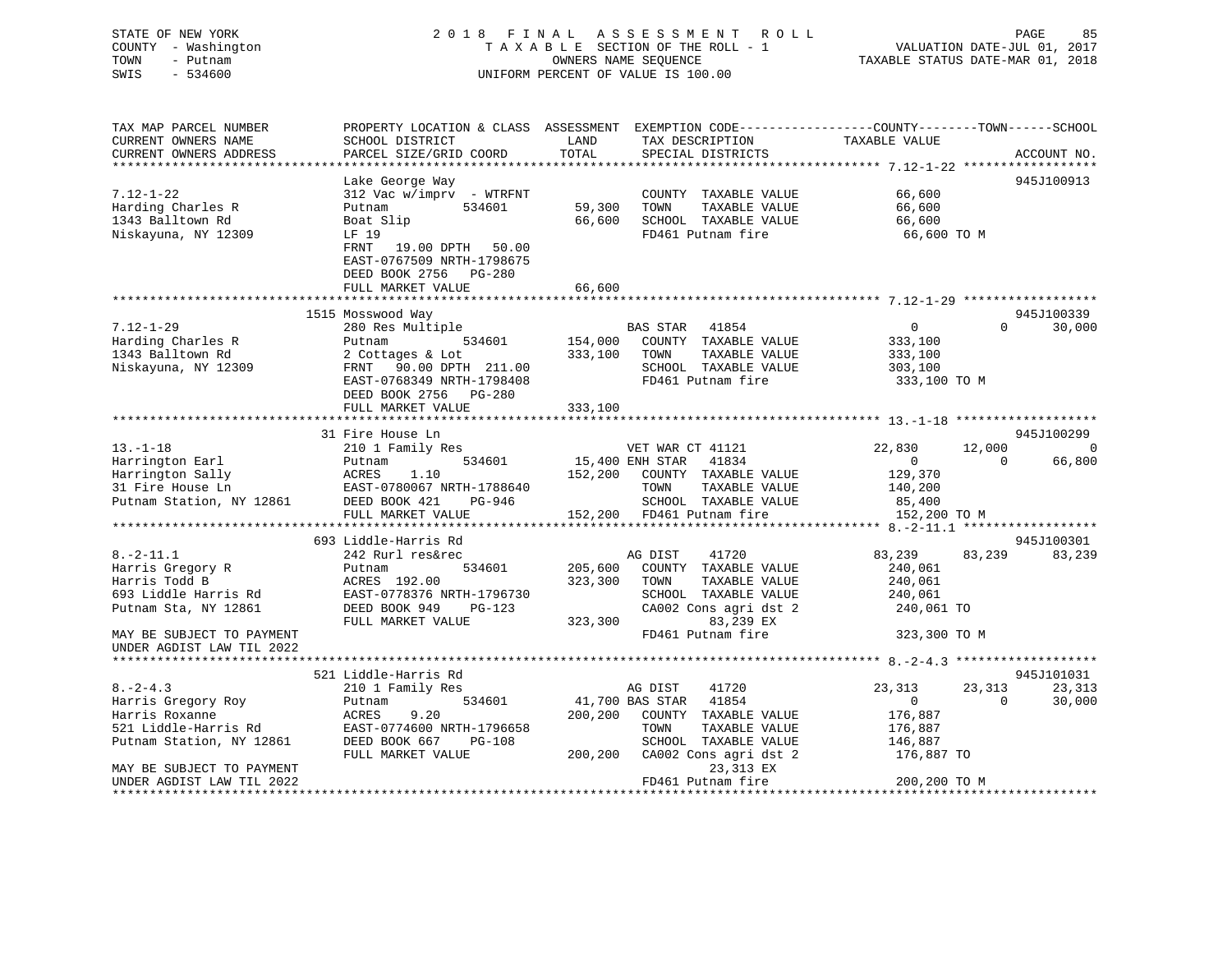#### STATE OF NEW YORK 2 0 1 8 F I N A L A S S E S S M E N T R O L L PAGE 85COUNTY - Washington T A X A B L E SECTION OF THE ROLL - 1 TOWN - Putnam **CONNERS NAME SEQUENCE** TAXABLE STATUS DATE-MAR 01, 2018 SWIS - 534600 UNIFORM PERCENT OF VALUE IS 100.00

VALUATION DATE-JUL 01, 2017

| TAX MAP PARCEL NUMBER                | PROPERTY LOCATION & CLASS ASSESSMENT EXEMPTION CODE----------------COUNTY-------TOWN------SCHOOL |         |                                       |                  |                                |
|--------------------------------------|--------------------------------------------------------------------------------------------------|---------|---------------------------------------|------------------|--------------------------------|
| CURRENT OWNERS NAME                  | SCHOOL DISTRICT                                                                                  | LAND    | TAX DESCRIPTION                       | TAXABLE VALUE    |                                |
| CURRENT OWNERS ADDRESS               | PARCEL SIZE/GRID COORD                                                                           | TOTAL   | SPECIAL DISTRICTS                     |                  | ACCOUNT NO.                    |
|                                      |                                                                                                  |         |                                       |                  |                                |
|                                      | Lake George Way                                                                                  |         |                                       |                  | 945J100913                     |
| $7.12 - 1 - 22$<br>Harding Charles R | $312$ Vac w/imprv - WTRFNT<br>534601                                                             | 59,300  | COUNTY TAXABLE VALUE<br>TOWN          | 66,600           |                                |
| 1343 Balltown Rd                     | Putnam<br>Boat Slip                                                                              | 66,600  | TAXABLE VALUE<br>SCHOOL TAXABLE VALUE | 66,600<br>66,600 |                                |
| Niskayuna, NY 12309                  | LF 19                                                                                            |         | FD461 Putnam fire                     | 66,600 TO M      |                                |
|                                      | 19.00 DPTH 50.00<br>FRNT                                                                         |         |                                       |                  |                                |
|                                      | EAST-0767509 NRTH-1798675                                                                        |         |                                       |                  |                                |
|                                      | DEED BOOK 2756 PG-280                                                                            |         |                                       |                  |                                |
|                                      | FULL MARKET VALUE                                                                                | 66,600  |                                       |                  |                                |
|                                      |                                                                                                  |         |                                       |                  |                                |
|                                      | 1515 Mosswood Way                                                                                |         |                                       |                  | 945J100339                     |
| $7.12 - 1 - 29$                      | 280 Res Multiple                                                                                 |         | BAS STAR 41854                        | $\overline{0}$   | $\Omega$<br>30,000             |
| Harding Charles R                    | 534601<br>Putnam                                                                                 | 154,000 | COUNTY TAXABLE VALUE                  | 333,100          |                                |
| 1343 Balltown Rd                     | 2 Cottages & Lot                                                                                 | 333,100 | TAXABLE VALUE<br>TOWN                 | 333,100          |                                |
| Niskayuna, NY 12309                  | FRNT 90.00 DPTH 211.00                                                                           |         | SCHOOL TAXABLE VALUE                  | 303,100          |                                |
|                                      | EAST-0768349 NRTH-1798408                                                                        |         | FD461 Putnam fire                     | 333,100 TO M     |                                |
|                                      | DEED BOOK 2756<br>$PG-280$                                                                       |         |                                       |                  |                                |
|                                      | FULL MARKET VALUE                                                                                | 333,100 |                                       |                  |                                |
|                                      |                                                                                                  |         |                                       |                  |                                |
|                                      | 31 Fire House Ln                                                                                 |         |                                       |                  | 945J100299                     |
| $13. - 1 - 18$                       | 210 1 Family Res                                                                                 |         | VET WAR CT 41121                      | 22,830           | 12,000<br>$\Omega$             |
| Harrington Earl                      | 534601<br>Putnam                                                                                 |         | 15,400 ENH STAR<br>41834              | $\overline{0}$   | $\Omega$<br>66,800             |
| Harrington Sally                     | ACRES 1.10<br>EAST-0780067 NRTH-1788640                                                          |         | 152,200 COUNTY TAXABLE VALUE          | 129,370          |                                |
| 31 Fire House Ln                     |                                                                                                  |         | TOWN<br>TAXABLE VALUE                 | 140,200          |                                |
| Putnam Station, NY 12861             | DEED BOOK 421<br>PG-946                                                                          |         | SCHOOL TAXABLE VALUE                  | 85,400           |                                |
|                                      | FULL MARKET VALUE<br>********************************                                            |         | 152,200 FD461 Putnam fire             | 152,200 TO M     |                                |
|                                      |                                                                                                  |         |                                       |                  |                                |
| $8. - 2 - 11.1$                      | 693 Liddle-Harris Rd<br>242 Rurl res&rec                                                         |         | 41720<br>AG DIST                      | 83,239           | 945J100301<br>83,239<br>83,239 |
| Harris Gregory R                     | 534601<br>Putnam                                                                                 | 205,600 | COUNTY TAXABLE VALUE                  | 240,061          |                                |
| Harris Todd B                        | ACRES 192.00                                                                                     | 323,300 | TAXABLE VALUE<br>TOWN                 | 240,061          |                                |
| 693 Liddle Harris Rd                 | EAST-0778376 NRTH-1796730                                                                        |         | SCHOOL TAXABLE VALUE                  | 240,061          |                                |
| Putnam Sta, NY 12861                 | DEED BOOK 949<br>PG-123                                                                          |         | CA002 Cons agri dst 2                 | 240,061 TO       |                                |
|                                      | FULL MARKET VALUE                                                                                | 323,300 | 83,239 EX                             |                  |                                |
| MAY BE SUBJECT TO PAYMENT            |                                                                                                  |         | FD461 Putnam fire                     | 323,300 TO M     |                                |
| UNDER AGDIST LAW TIL 2022            |                                                                                                  |         |                                       |                  |                                |
|                                      |                                                                                                  |         |                                       |                  |                                |
|                                      | 521 Liddle-Harris Rd                                                                             |         |                                       |                  | 945J101031                     |
| $8. - 2 - 4.3$                       | 210 1 Family Res                                                                                 |         | 41720<br>AG DIST                      | 23,313           | 23,313<br>23,313               |
| Harris Gregory Roy                   | 534601<br>Putnam                                                                                 |         | 41854<br>41,700 BAS STAR              | $\overline{0}$   | 30,000<br>$\Omega$             |
| Harris Roxanne                       | 9.20<br>ACRES                                                                                    |         | 200,200 COUNTY TAXABLE VALUE          | 176,887          |                                |
| 521 Liddle-Harris Rd                 | EAST-0774600 NRTH-1796658                                                                        |         | TOWN<br>TAXABLE VALUE                 | 176,887          |                                |
| Putnam Station, NY 12861             | DEED BOOK 667<br>PG-108                                                                          |         | SCHOOL TAXABLE VALUE                  | 146,887          |                                |
|                                      | FULL MARKET VALUE                                                                                | 200,200 | CA002 Cons agri dst 2                 | 176,887 TO       |                                |
| MAY BE SUBJECT TO PAYMENT            |                                                                                                  |         | 23,313 EX                             |                  |                                |
| UNDER AGDIST LAW TIL 2022            |                                                                                                  |         | FD461 Putnam fire                     | 200,200 TO M     |                                |
|                                      |                                                                                                  |         |                                       |                  |                                |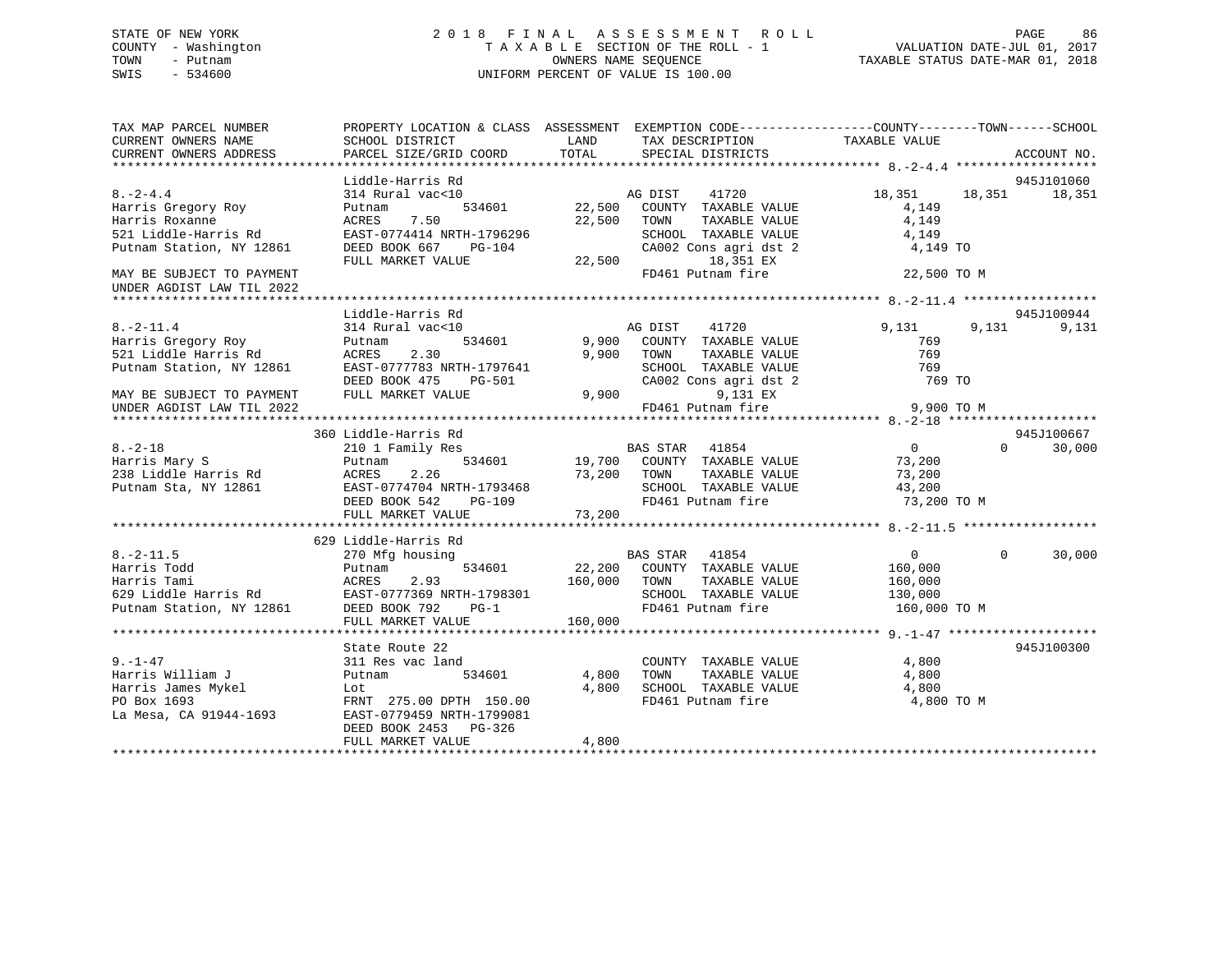### STATE OF NEW YORK 2 0 1 8 F I N A L A S S E S S M E N T R O L L PAGE 86 COUNTY - Washington T A X A B L E SECTION OF THE ROLL - 1 VALUATION DATE-JUL 01, 2017 TOWN - Putnam OWNERS NAME SEQUENCE TAXABLE STATUS DATE-MAR 01, 2018 SWIS - 534600 UNIFORM PERCENT OF VALUE IS 100.00

TAX MAP PARCEL NUMBER PROPERTY LOCATION & CLASS ASSESSMENT EXEMPTION CODE------------------COUNTY--------TOWN------SCHOOL

| CURRENT OWNERS NAME       | SCHOOL DISTRICT           | LAND    | TAX DESCRIPTION             | TAXABLE VALUE  |                    |
|---------------------------|---------------------------|---------|-----------------------------|----------------|--------------------|
| CURRENT OWNERS ADDRESS    | PARCEL SIZE/GRID COORD    | TOTAL   | SPECIAL DISTRICTS           |                | ACCOUNT NO.        |
|                           |                           |         |                             |                |                    |
|                           | Liddle-Harris Rd          |         |                             |                | 945J101060         |
| $8. -2 - 4.4$             | 314 Rural vac<10          | AG DIST | 41720                       | 18,351         | 18,351<br>18,351   |
| Harris Gregory Roy        | Putnam<br>534601          | 22,500  | COUNTY TAXABLE VALUE        | 4,149          |                    |
| Harris Roxanne            | 7.50<br>ACRES             | 22,500  | TOWN<br>TAXABLE VALUE       | 4,149          |                    |
| 521 Liddle-Harris Rd      | EAST-0774414 NRTH-1796296 |         | SCHOOL TAXABLE VALUE        | 4,149          |                    |
| Putnam Station, NY 12861  | DEED BOOK 667<br>PG-104   |         | CA002 Cons agri dst 2       | 4,149 TO       |                    |
|                           | FULL MARKET VALUE         | 22,500  | 18,351 EX                   |                |                    |
| MAY BE SUBJECT TO PAYMENT |                           |         | FD461 Putnam fire           | 22,500 TO M    |                    |
| UNDER AGDIST LAW TIL 2022 |                           |         |                             |                |                    |
|                           |                           |         |                             |                |                    |
|                           | Liddle-Harris Rd          |         |                             |                | 945J100944         |
| $8. -2 - 11.4$            | 314 Rural vac<10          |         | AG DIST<br>41720            | 9,131          | 9,131<br>9,131     |
| Harris Gregory Roy        | Putnam<br>534601          | 9,900   | COUNTY TAXABLE VALUE        | 769            |                    |
| 521 Liddle Harris Rd      | 2.30<br>ACRES             | 9,900   | TOWN<br>TAXABLE VALUE       | 769            |                    |
| Putnam Station, NY 12861  | EAST-0777783 NRTH-1797641 |         | SCHOOL TAXABLE VALUE        | 769            |                    |
|                           | DEED BOOK 475<br>PG-501   |         | CA002 Cons agri dst 2       | 769 TO         |                    |
| MAY BE SUBJECT TO PAYMENT | FULL MARKET VALUE         | 9,900   | 9,131 EX                    |                |                    |
|                           |                           |         | FD461 Putnam fire           | 9,900 TO M     |                    |
| UNDER AGDIST LAW TIL 2022 |                           |         |                             |                |                    |
|                           |                           |         |                             |                |                    |
|                           | 360 Liddle-Harris Rd      |         |                             |                | 945J100667         |
| $8. - 2 - 18$             | 210 1 Family Res          |         | BAS STAR 41854              | $\overline{0}$ | 30,000<br>$\Omega$ |
| Harris Mary S             | 534601<br>Putnam          |         | 19,700 COUNTY TAXABLE VALUE | 73,200         |                    |
| 238 Liddle Harris Rd      | 2.26<br>ACRES             | 73,200  | TAXABLE VALUE<br>TOWN       | 73,200         |                    |
| Putnam Sta, NY 12861      | EAST-0774704 NRTH-1793468 |         | SCHOOL TAXABLE VALUE        | 43,200         |                    |
|                           | DEED BOOK 542<br>$PG-109$ |         | FD461 Putnam fire           | 73,200 TO M    |                    |
|                           | FULL MARKET VALUE         | 73,200  |                             |                |                    |
|                           |                           |         |                             |                |                    |
|                           | 629 Liddle-Harris Rd      |         |                             |                |                    |
| $8. -2 - 11.5$            | 270 Mfg housing           |         | BAS STAR 41854              | $\overline{0}$ | $\Omega$<br>30,000 |
| Harris Todd               | 534601<br>Putnam          | 22,200  | COUNTY TAXABLE VALUE        | 160,000        |                    |
| Harris Tami               | ACRES<br>2.93             | 160,000 | TOWN<br>TAXABLE VALUE       | 160,000        |                    |
| 629 Liddle Harris Rd      | EAST-0777369 NRTH-1798301 |         | SCHOOL TAXABLE VALUE        | 130,000        |                    |
| Putnam Station, NY 12861  | DEED BOOK 792<br>$PG-1$   |         | FD461 Putnam fire           | 160,000 TO M   |                    |
|                           | FULL MARKET VALUE         | 160,000 |                             |                |                    |
|                           |                           |         |                             |                |                    |
|                           | State Route 22            |         |                             |                | 945J100300         |
| $9. - 1 - 47$             | 311 Res vac land          |         | COUNTY TAXABLE VALUE        | 4,800          |                    |
| Harris William J          | Putnam<br>534601          | 4,800   | TAXABLE VALUE<br>TOWN       | 4,800          |                    |
| Harris James Mykel        | Lot                       | 4,800   | SCHOOL TAXABLE VALUE        | 4,800          |                    |
| PO Box 1693               | FRNT 275.00 DPTH 150.00   |         | FD461 Putnam fire           | 4,800 TO M     |                    |
| La Mesa, CA 91944-1693    | EAST-0779459 NRTH-1799081 |         |                             |                |                    |
|                           | DEED BOOK 2453 PG-326     |         |                             |                |                    |
|                           | FULL MARKET VALUE         | 4,800   |                             |                |                    |
|                           |                           |         |                             |                |                    |
|                           |                           |         |                             |                |                    |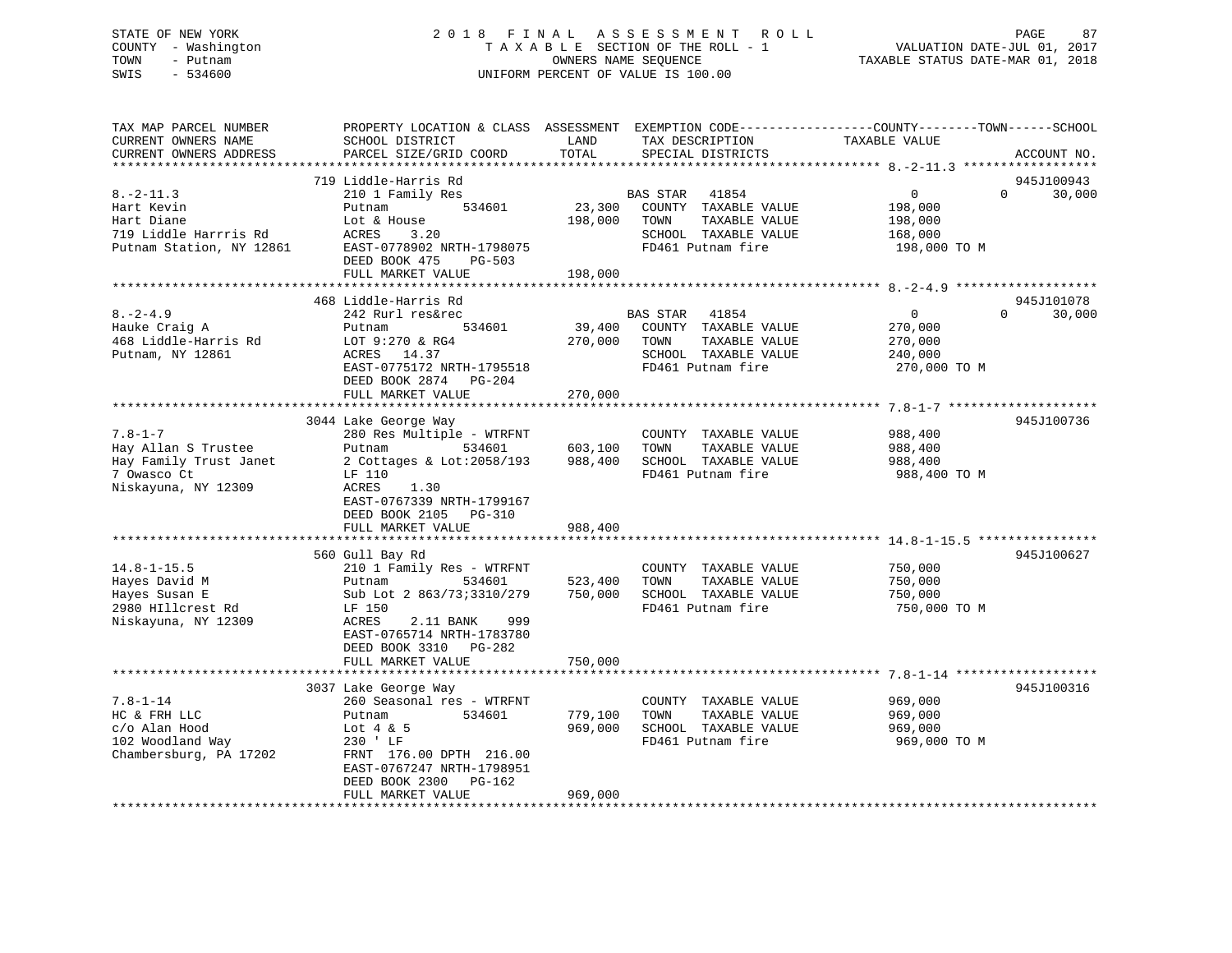### STATE OF NEW YORK 2 0 1 8 F I N A L A S S E S S M E N T R O L L PAGE 87 COUNTY - Washington T A X A B L E SECTION OF THE ROLL - 1 VALUATION DATE-JUL 01, 2017 TOWN - Putnam **CONNERS NAME SEQUENCE** TAXABLE STATUS DATE-MAR 01, 2018 SWIS - 534600 UNIFORM PERCENT OF VALUE IS 100.00

| TAX MAP PARCEL NUMBER<br>CURRENT OWNERS NAME                                                                                                                                                            | PROPERTY LOCATION & CLASS ASSESSMENT<br>SCHOOL DISTRICT                                                                                                                                                                                                                                                                                                                       | LAND                                                | TAX DESCRIPTION                                                                                                                                                                          | EXEMPTION CODE-----------------COUNTY-------TOWN------SCHOOL<br>TAXABLE VALUE                                              |        |
|---------------------------------------------------------------------------------------------------------------------------------------------------------------------------------------------------------|-------------------------------------------------------------------------------------------------------------------------------------------------------------------------------------------------------------------------------------------------------------------------------------------------------------------------------------------------------------------------------|-----------------------------------------------------|------------------------------------------------------------------------------------------------------------------------------------------------------------------------------------------|----------------------------------------------------------------------------------------------------------------------------|--------|
| CURRENT OWNERS ADDRESS<br>*************************                                                                                                                                                     | PARCEL SIZE/GRID COORD                                                                                                                                                                                                                                                                                                                                                        | TOTAL                                               | SPECIAL DISTRICTS                                                                                                                                                                        | ACCOUNT NO.                                                                                                                |        |
|                                                                                                                                                                                                         | 719 Liddle-Harris Rd                                                                                                                                                                                                                                                                                                                                                          |                                                     |                                                                                                                                                                                          | 945J100943                                                                                                                 |        |
| $8. -2 - 11.3$<br>Hart Kevin<br>Hart Diane<br>719 Liddle Harrris Rd<br>Putnam Station, NY 12861                                                                                                         | 210 1 Family Res<br>534601<br>Putnam<br>Lot & House<br>ACRES<br>3.20<br>EAST-0778902 NRTH-1798075                                                                                                                                                                                                                                                                             | 23,300<br>198,000                                   | BAS STAR<br>41854<br>COUNTY TAXABLE VALUE<br>TOWN<br>TAXABLE VALUE<br>SCHOOL TAXABLE VALUE<br>FD461 Putnam fire                                                                          | $\Omega$<br>$\overline{0}$<br>198,000<br>198,000<br>168,000<br>198,000 TO M                                                | 30,000 |
|                                                                                                                                                                                                         | DEED BOOK 475<br>$PG-503$                                                                                                                                                                                                                                                                                                                                                     | 198,000                                             |                                                                                                                                                                                          |                                                                                                                            |        |
|                                                                                                                                                                                                         | FULL MARKET VALUE                                                                                                                                                                                                                                                                                                                                                             |                                                     |                                                                                                                                                                                          |                                                                                                                            |        |
|                                                                                                                                                                                                         | 468 Liddle-Harris Rd                                                                                                                                                                                                                                                                                                                                                          |                                                     |                                                                                                                                                                                          | 945J101078                                                                                                                 |        |
| $8. -2 - 4.9$<br>Hauke Craig A                                                                                                                                                                          | 242 Rurl res&rec<br>534601<br>Putnam                                                                                                                                                                                                                                                                                                                                          | 39,400                                              | <b>BAS STAR</b><br>41854<br>COUNTY TAXABLE VALUE                                                                                                                                         | $\mathbf{0}$<br>$\Omega$<br>270,000                                                                                        | 30,000 |
| 468 Liddle-Harris Rd<br>Putnam, NY 12861                                                                                                                                                                | LOT 9:270 & RG4<br>14.37<br>ACRES<br>EAST-0775172 NRTH-1795518<br>DEED BOOK 2874<br>PG-204                                                                                                                                                                                                                                                                                    | 270,000                                             | TOWN<br>TAXABLE VALUE<br>SCHOOL TAXABLE VALUE<br>FD461 Putnam fire                                                                                                                       | 270,000<br>240,000<br>270,000 TO M                                                                                         |        |
|                                                                                                                                                                                                         | FULL MARKET VALUE                                                                                                                                                                                                                                                                                                                                                             | 270,000                                             |                                                                                                                                                                                          |                                                                                                                            |        |
|                                                                                                                                                                                                         |                                                                                                                                                                                                                                                                                                                                                                               |                                                     |                                                                                                                                                                                          |                                                                                                                            |        |
| $7.8 - 1 - 7$<br>Hay Allan S Trustee<br>Hay Family Trust Janet<br>7 Owasco Ct<br>Niskayuna, NY 12309<br>$14.8 - 1 - 15.5$<br>Hayes David M<br>Hayes Susan E<br>2980 HIllcrest Rd<br>Niskayuna, NY 12309 | 3044 Lake George Way<br>280 Res Multiple - WTRFNT<br>Putnam<br>534601<br>2 Cottages & Lot:2058/193<br>LF 110<br>ACRES<br>1.30<br>EAST-0767339 NRTH-1799167<br>DEED BOOK 2105 PG-310<br>FULL MARKET VALUE<br>560 Gull Bay Rd<br>210 1 Family Res - WTRFNT<br>534601<br>Putnam<br>Sub Lot 2 863/73;3310/279<br>LF 150<br>ACRES<br>2.11 BANK<br>999<br>EAST-0765714 NRTH-1783780 | 603,100<br>988,400<br>988,400<br>523,400<br>750,000 | COUNTY TAXABLE VALUE<br>TOWN<br>TAXABLE VALUE<br>SCHOOL TAXABLE VALUE<br>FD461 Putnam fire<br>COUNTY TAXABLE VALUE<br>TOWN<br>TAXABLE VALUE<br>SCHOOL TAXABLE VALUE<br>FD461 Putnam fire | 945J100736<br>988,400<br>988,400<br>988,400<br>988,400 TO M<br>945J100627<br>750,000<br>750,000<br>750,000<br>750,000 ТО М |        |
|                                                                                                                                                                                                         | DEED BOOK 3310<br>PG-282<br>FULL MARKET VALUE                                                                                                                                                                                                                                                                                                                                 | 750,000                                             |                                                                                                                                                                                          |                                                                                                                            |        |
|                                                                                                                                                                                                         | 3037 Lake George Way                                                                                                                                                                                                                                                                                                                                                          |                                                     |                                                                                                                                                                                          | 945J100316                                                                                                                 |        |
| $7.8 - 1 - 14$<br>HC & FRH LLC<br>c/o Alan Hood<br>102 Woodland Way<br>Chambersburg, PA 17202                                                                                                           | 260 Seasonal res - WTRFNT<br>534601<br>Putnam<br>Lot $4 \& 5$<br>230 ' LF<br>FRNT 176.00 DPTH 216.00<br>EAST-0767247 NRTH-1798951<br>DEED BOOK 2300<br>PG-162                                                                                                                                                                                                                 | 779,100<br>969,000                                  | COUNTY TAXABLE VALUE<br>TOWN<br>TAXABLE VALUE<br>SCHOOL TAXABLE VALUE<br>FD461 Putnam fire                                                                                               | 969,000<br>969,000<br>969,000<br>969,000 TO M                                                                              |        |
|                                                                                                                                                                                                         | FULL MARKET VALUE                                                                                                                                                                                                                                                                                                                                                             | 969,000                                             |                                                                                                                                                                                          |                                                                                                                            |        |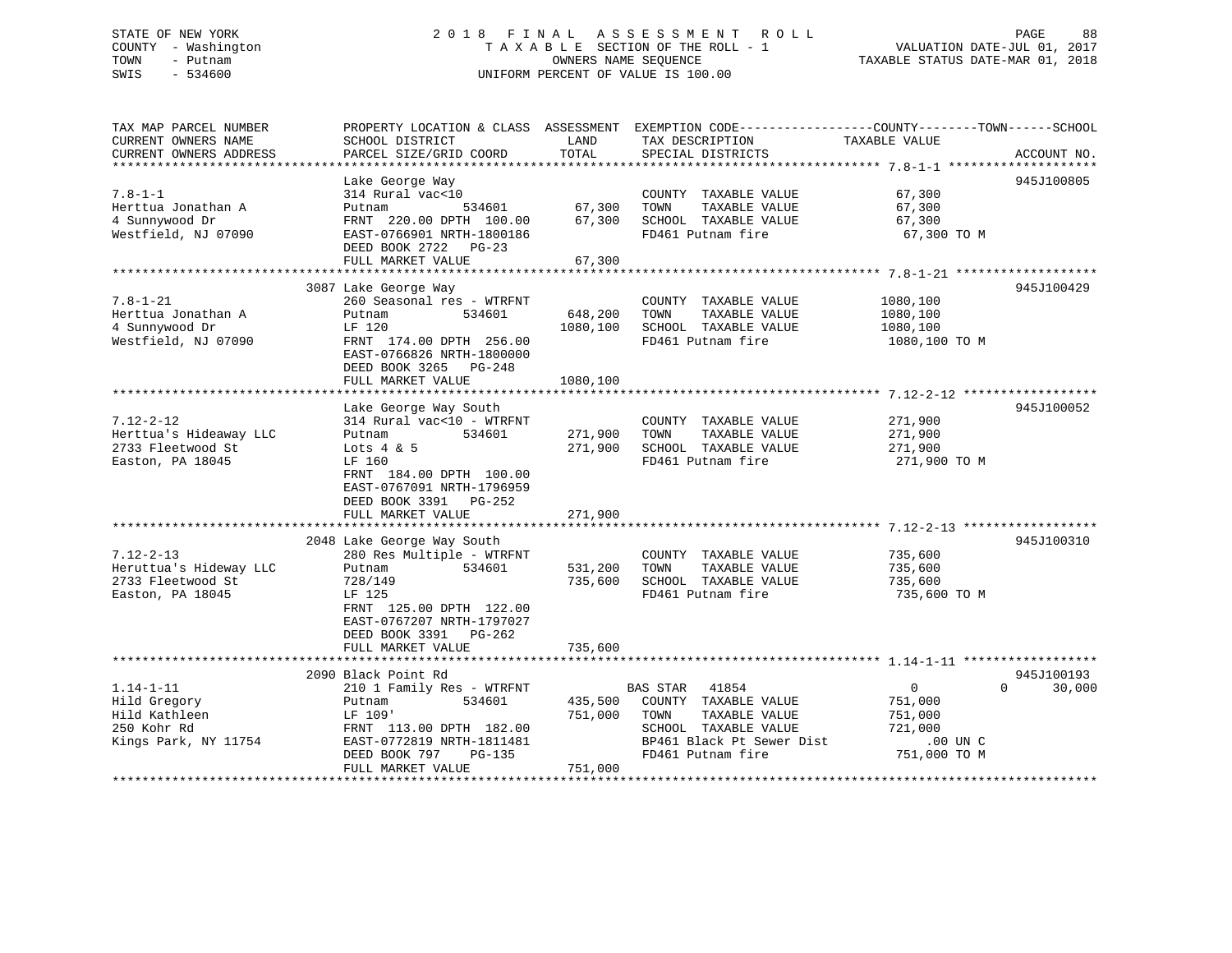# STATE OF NEW YORK 2 0 1 8 F I N A L A S S E S S M E N T R O L L PAGE 88COUNTY - Washington  $T A X A B L E$  SECTION OF THE ROLL - 1<br>TOWN - Putnam data of the COUNTERS NAME SEQUENCE SWIS - 534600 UNIFORM PERCENT OF VALUE IS 100.00

| TAX MAP PARCEL NUMBER  |                            |          | PROPERTY LOCATION & CLASS ASSESSMENT EXEMPTION CODE----------------COUNTY-------TOWN-----SCHOOL |                            |             |
|------------------------|----------------------------|----------|-------------------------------------------------------------------------------------------------|----------------------------|-------------|
| CURRENT OWNERS NAME    | SCHOOL DISTRICT            | LAND     | TAX DESCRIPTION                                                                                 | TAXABLE VALUE              |             |
| CURRENT OWNERS ADDRESS | PARCEL SIZE/GRID COORD     | TOTAL    | SPECIAL DISTRICTS                                                                               |                            | ACCOUNT NO. |
|                        |                            |          |                                                                                                 |                            |             |
|                        | Lake George Way            |          |                                                                                                 |                            | 945J100805  |
|                        |                            |          |                                                                                                 |                            |             |
| $7.8 - 1 - 1$          | 314 Rural vac<10           |          | COUNTY TAXABLE VALUE                                                                            | 67,300                     |             |
| Herttua Jonathan A     | 534601<br>Putnam           | 67,300   | TAXABLE VALUE<br>TOWN                                                                           | 67,300                     |             |
| 4 Sunnywood Dr         | FRNT 220.00 DPTH 100.00    | 67,300   | SCHOOL TAXABLE VALUE                                                                            | 67,300                     |             |
| Westfield, NJ 07090    | EAST-0766901 NRTH-1800186  |          | FD461 Putnam fire                                                                               | 67,300 TO M                |             |
|                        | DEED BOOK 2722 PG-23       |          |                                                                                                 |                            |             |
|                        | FULL MARKET VALUE          | 67,300   |                                                                                                 |                            |             |
|                        |                            |          |                                                                                                 |                            |             |
|                        | 3087 Lake George Way       |          |                                                                                                 |                            | 945J100429  |
| $7.8 - 1 - 21$         | 260 Seasonal res - WTRFNT  |          | COUNTY TAXABLE VALUE                                                                            | 1080,100                   |             |
|                        |                            |          |                                                                                                 |                            |             |
| Herttua Jonathan A     | 534601<br>Putnam           | 648,200  | TAXABLE VALUE<br>TOWN                                                                           | 1080,100                   |             |
| 4 Sunnywood Dr         | LF 120                     | 1080,100 | SCHOOL TAXABLE VALUE                                                                            | 1080,100                   |             |
| Westfield, NJ 07090    | FRNT 174.00 DPTH 256.00    |          | FD461 Putnam fire                                                                               | 1080,100 TO M              |             |
|                        | EAST-0766826 NRTH-1800000  |          |                                                                                                 |                            |             |
|                        | DEED BOOK 3265 PG-248      |          |                                                                                                 |                            |             |
|                        | FULL MARKET VALUE          | 1080,100 |                                                                                                 |                            |             |
|                        |                            |          |                                                                                                 |                            |             |
|                        | Lake George Way South      |          |                                                                                                 |                            | 945J100052  |
| $7.12 - 2 - 12$        | 314 Rural vac<10 - WTRFNT  |          | COUNTY TAXABLE VALUE                                                                            | 271,900                    |             |
|                        |                            |          |                                                                                                 |                            |             |
| Herttua's Hideaway LLC | 534601<br>Putnam           | 271,900  | TAXABLE VALUE<br>TOWN                                                                           | 271,900                    |             |
| 2733 Fleetwood St      | Lots $4 & 5$               | 271,900  | SCHOOL TAXABLE VALUE                                                                            | 271,900                    |             |
| Easton, PA 18045       | LF 160                     |          | FD461 Putnam fire                                                                               | 271,900 TO M               |             |
|                        | FRNT 184.00 DPTH 100.00    |          |                                                                                                 |                            |             |
|                        | EAST-0767091 NRTH-1796959  |          |                                                                                                 |                            |             |
|                        | DEED BOOK 3391 PG-252      |          |                                                                                                 |                            |             |
|                        | FULL MARKET VALUE          | 271,900  |                                                                                                 |                            |             |
|                        |                            |          |                                                                                                 |                            |             |
|                        |                            |          |                                                                                                 |                            |             |
|                        | 2048 Lake George Way South |          |                                                                                                 |                            | 945J100310  |
| $7.12 - 2 - 13$        | 280 Res Multiple - WTRFNT  |          | COUNTY TAXABLE VALUE                                                                            | 735,600                    |             |
| Heruttua's Hideway LLC | 534601<br>Putnam           | 531,200  | TAXABLE VALUE<br>TOWN                                                                           | 735,600                    |             |
| 2733 Fleetwood St      | 728/149                    | 735,600  | SCHOOL TAXABLE VALUE                                                                            | 735,600                    |             |
| Easton, PA 18045       | LF 125                     |          | FD461 Putnam fire                                                                               | 735,600 TO M               |             |
|                        | FRNT 125.00 DPTH 122.00    |          |                                                                                                 |                            |             |
|                        | EAST-0767207 NRTH-1797027  |          |                                                                                                 |                            |             |
|                        | DEED BOOK 3391 PG-262      |          |                                                                                                 |                            |             |
|                        | FULL MARKET VALUE          | 735,600  |                                                                                                 |                            |             |
|                        |                            |          |                                                                                                 |                            |             |
|                        |                            |          |                                                                                                 |                            |             |
|                        | 2090 Black Point Rd        |          |                                                                                                 |                            | 945J100193  |
| $1.14 - 1 - 11$        | 210 1 Family Res - WTRFNT  |          | <b>BAS STAR</b><br>41854                                                                        | $\Omega$<br>$\overline{0}$ | 30,000      |
| Hild Gregory           | 534601<br>Putnam           | 435,500  | COUNTY TAXABLE VALUE                                                                            | 751,000                    |             |
| Hild Kathleen          | LF 109'                    | 751,000  | TOWN<br>TAXABLE VALUE                                                                           | 751,000                    |             |
| 250 Kohr Rd            | FRNT 113.00 DPTH 182.00    |          | SCHOOL TAXABLE VALUE                                                                            | 721,000                    |             |
| Kings Park, NY 11754   | EAST-0772819 NRTH-1811481  |          | BP461 Black Pt Sewer Dist                                                                       | .00 UN C                   |             |
|                        | DEED BOOK 797<br>PG-135    |          | FD461 Putnam fire                                                                               | 751,000 TO M               |             |
|                        | FULL MARKET VALUE          | 751,000  |                                                                                                 |                            |             |
|                        |                            |          |                                                                                                 |                            |             |
|                        |                            |          |                                                                                                 |                            |             |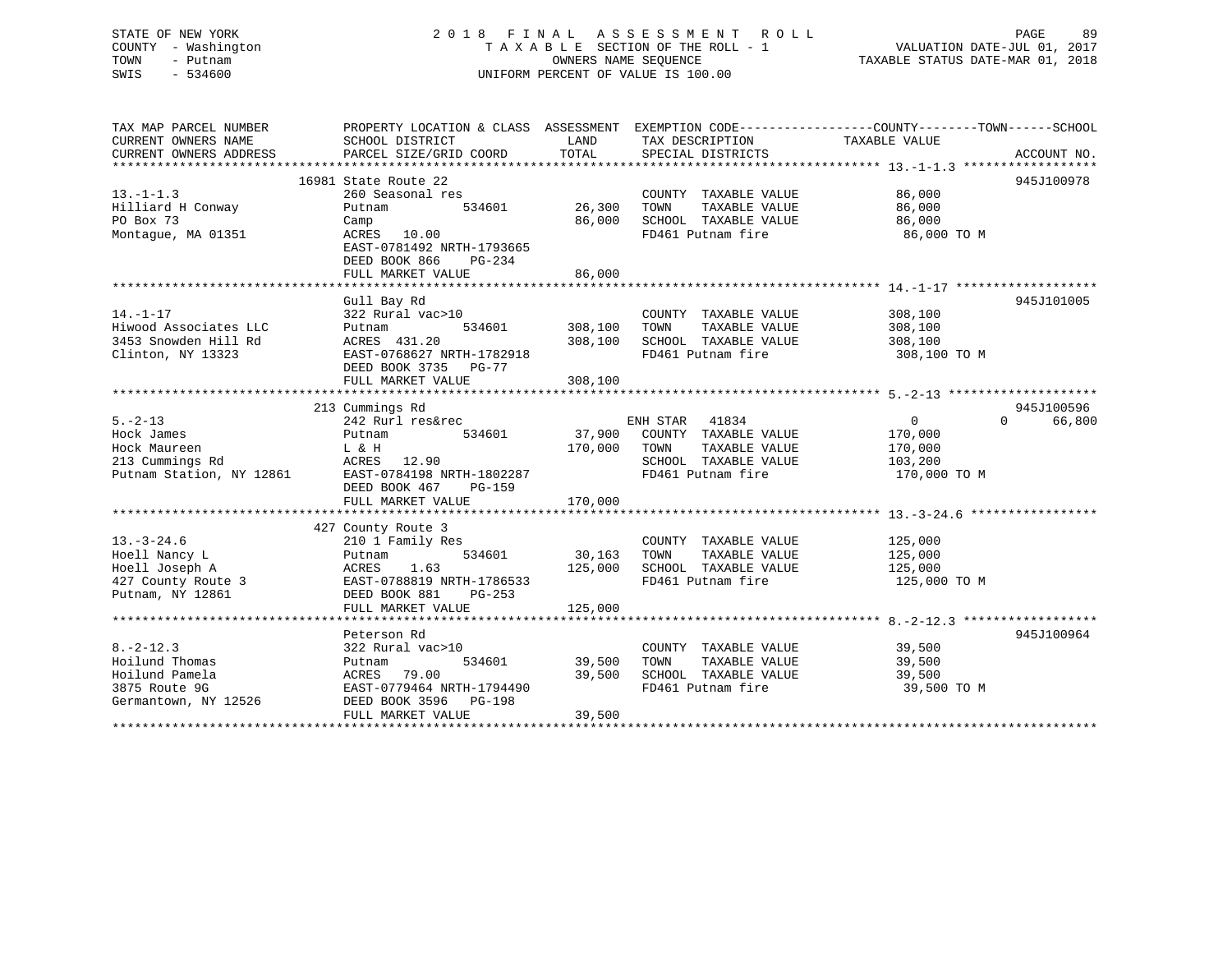### STATE OF NEW YORK 2 0 1 8 F I N A L A S S E S S M E N T R O L L PAGE 89 COUNTY - Washington T A X A B L E SECTION OF THE ROLL - 1 VALUATION DATE-JUL 01, 2017 TOWN - Putnam OWNERS NAME SEQUENCE TAXABLE STATUS DATE-MAR 01, 2018 SWIS - 534600 UNIFORM PERCENT OF VALUE IS 100.00UNIFORM PERCENT OF VALUE IS 100.00

| TAX MAP PARCEL NUMBER    |                           |               |                       | PROPERTY LOCATION & CLASS ASSESSMENT EXEMPTION CODE----------------COUNTY-------TOWN-----SCHOOL |  |
|--------------------------|---------------------------|---------------|-----------------------|-------------------------------------------------------------------------------------------------|--|
| CURRENT OWNERS NAME      | SCHOOL DISTRICT           | LAND          | TAX DESCRIPTION       | TAXABLE VALUE                                                                                   |  |
| CURRENT OWNERS ADDRESS   | PARCEL SIZE/GRID COORD    | TOTAL         | SPECIAL DISTRICTS     | ACCOUNT NO.                                                                                     |  |
|                          |                           |               |                       |                                                                                                 |  |
|                          | 16981 State Route 22      |               |                       | 945J100978                                                                                      |  |
| $13.-1-1.3$              | 260 Seasonal res          |               | COUNTY TAXABLE VALUE  | 86,000                                                                                          |  |
| Hilliard H Conway        | 534601<br>Putnam          | 26,300        | TAXABLE VALUE<br>TOWN | 86,000                                                                                          |  |
| PO Box 73                | Camp                      | 86,000        | SCHOOL TAXABLE VALUE  | 86,000                                                                                          |  |
| Montague, MA 01351       | ACRES 10.00               |               | FD461 Putnam fire     | 86,000 TO M                                                                                     |  |
|                          | EAST-0781492 NRTH-1793665 |               |                       |                                                                                                 |  |
|                          | DEED BOOK 866<br>PG-234   |               |                       |                                                                                                 |  |
|                          | FULL MARKET VALUE         | 86,000        |                       |                                                                                                 |  |
|                          |                           |               |                       |                                                                                                 |  |
|                          | Gull Bay Rd               |               |                       | 945J101005                                                                                      |  |
| $14. - 1 - 17$           | 322 Rural vac>10          |               | COUNTY TAXABLE VALUE  | 308,100                                                                                         |  |
| Hiwood Associates LLC    | 534601<br>Putnam          | 308,100       | TOWN<br>TAXABLE VALUE | 308,100                                                                                         |  |
| 3453 Snowden Hill Rd     | ACRES 431.20              | 308,100       | SCHOOL TAXABLE VALUE  | 308,100                                                                                         |  |
| Clinton, NY 13323        | EAST-0768627 NRTH-1782918 |               | FD461 Putnam fire     | 308,100 TO M                                                                                    |  |
|                          | DEED BOOK 3735 PG-77      |               |                       |                                                                                                 |  |
|                          | FULL MARKET VALUE         | 308,100       |                       |                                                                                                 |  |
|                          |                           |               |                       |                                                                                                 |  |
|                          | 213 Cummings Rd           |               |                       | 945J100596                                                                                      |  |
| $5. -2 - 13$             | 242 Rurl res&rec          |               | ENH STAR 41834        | $\Omega$<br>66,800<br>$0 \qquad \qquad$                                                         |  |
| Hock James               | 534601<br>Putnam          | 37,900        | COUNTY TAXABLE VALUE  | 170,000                                                                                         |  |
| Hock Maureen             | L & H                     | 170,000       | TAXABLE VALUE<br>TOWN | 170,000                                                                                         |  |
| 213 Cummings Rd          | ACRES 12.90               |               | SCHOOL TAXABLE VALUE  | 103,200                                                                                         |  |
| Putnam Station, NY 12861 | EAST-0784198 NRTH-1802287 |               | FD461 Putnam fire     | 170,000 TO M                                                                                    |  |
|                          | DEED BOOK 467<br>PG-159   |               |                       |                                                                                                 |  |
|                          |                           |               |                       |                                                                                                 |  |
|                          |                           |               |                       |                                                                                                 |  |
|                          | 427 County Route 3        |               |                       |                                                                                                 |  |
| $13.-3-24.6$             | 210 1 Family Res          |               | COUNTY TAXABLE VALUE  | 125,000                                                                                         |  |
| Hoell Nancy L            | Putnam                    | 534601 30,163 | TOWN<br>TAXABLE VALUE | 125,000                                                                                         |  |
| Hoell Joseph A           | 1.63<br>ACRES             | 125,000       | SCHOOL TAXABLE VALUE  | 125,000                                                                                         |  |
| 427 County Route 3       | EAST-0788819 NRTH-1786533 |               | FD461 Putnam fire     | 125,000 TO M                                                                                    |  |
| Putnam, NY 12861         | DEED BOOK 881<br>PG-253   |               |                       |                                                                                                 |  |
|                          | FULL MARKET VALUE         | 125,000       |                       |                                                                                                 |  |
|                          |                           |               |                       |                                                                                                 |  |
|                          | Peterson Rd               |               |                       | 945J100964                                                                                      |  |
| $8. - 2 - 12.3$          | 322 Rural vac>10          |               | COUNTY TAXABLE VALUE  | 39,500                                                                                          |  |
| Hoilund Thomas           | Putnam                    | 534601 39,500 | TOWN<br>TAXABLE VALUE | 39,500                                                                                          |  |
| Hoilund Pamela           | ACRES 79.00               | 39,500        | SCHOOL TAXABLE VALUE  | 39,500                                                                                          |  |
| 3875 Route 9G            | EAST-0779464 NRTH-1794490 |               | FD461 Putnam fire     | 39,500 TO M                                                                                     |  |
| Germantown, NY 12526     | DEED BOOK 3596 PG-198     |               |                       |                                                                                                 |  |
|                          | FULL MARKET VALUE         | 39,500        |                       |                                                                                                 |  |
|                          |                           |               |                       |                                                                                                 |  |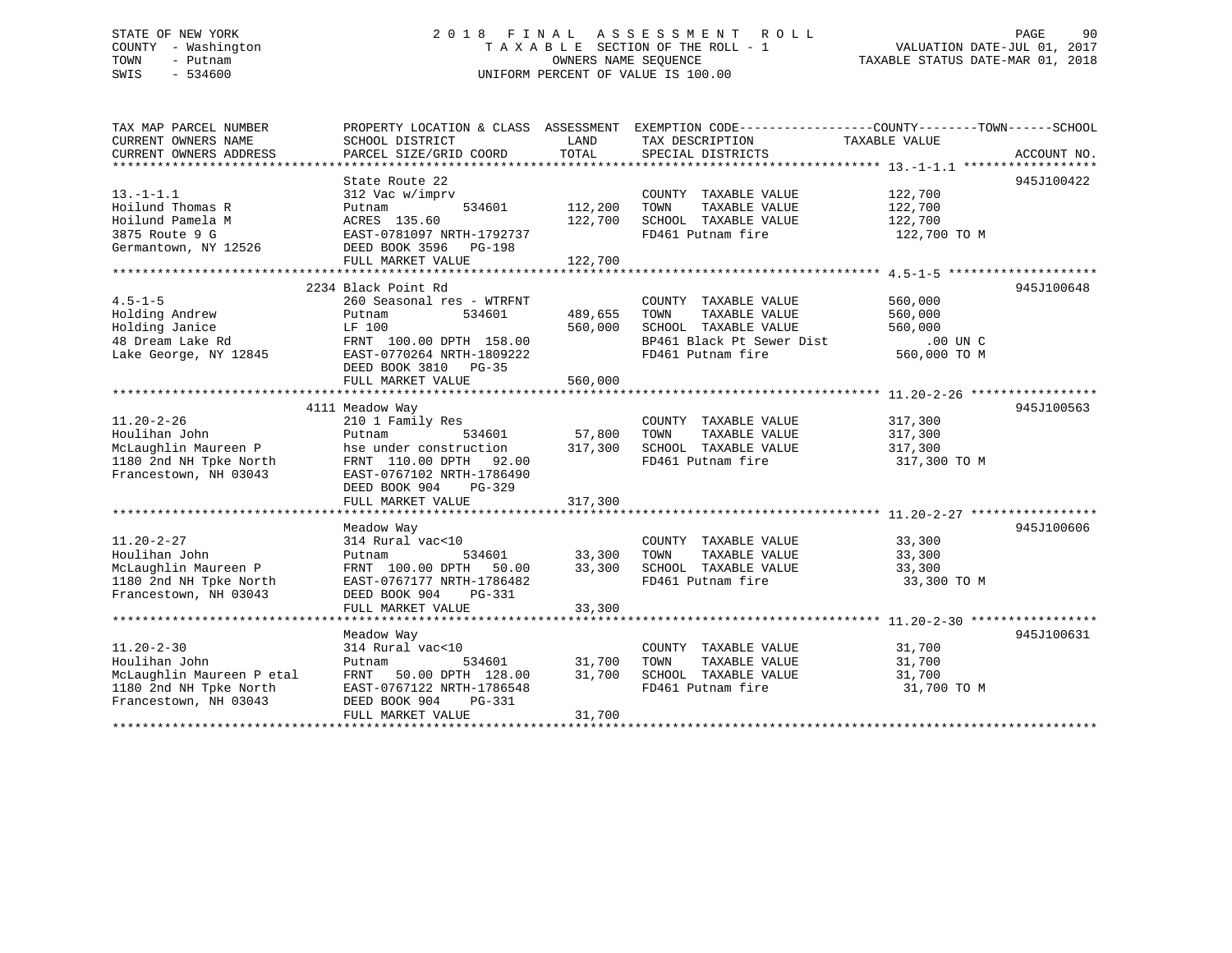#### STATE OF NEW YORK 2018 FINAL ASSESSMENT ROLL PAGE 90 COUNTY - Washington T A X A B L E SECTION OF THE ROLL - 1 TOWN - Putnam **CONNERS NAME SEQUENCE** TAXABLE STATUS DATE-MAR 01, 2018 SWIS - 534600 UNIFORM PERCENT OF VALUE IS 100.00

| TAX MAP PARCEL NUMBER                          |                                                                      |         | PROPERTY LOCATION & CLASS ASSESSMENT EXEMPTION CODE----------------COUNTY-------TOWN-----SCHOOL      |                    |             |
|------------------------------------------------|----------------------------------------------------------------------|---------|------------------------------------------------------------------------------------------------------|--------------------|-------------|
| CURRENT OWNERS NAME                            | SCHOOL DISTRICT                                                      | LAND    | TAX DESCRIPTION                                                                                      | TAXABLE VALUE      |             |
| CURRENT OWNERS ADDRESS                         | PARCEL SIZE/GRID COORD                                               | TOTAL   | SPECIAL DISTRICTS                                                                                    |                    | ACCOUNT NO. |
|                                                |                                                                      |         |                                                                                                      |                    |             |
|                                                | State Route 22                                                       |         |                                                                                                      |                    | 945J100422  |
| $13.-1-1.1$                                    | 312 Vac w/imprv                                                      |         | COUNTY TAXABLE VALUE                                                                                 | 122,700<br>122,700 |             |
| Hoilund Thomas R                               | 534601<br>Putnam                                                     | 112,200 | TOWN<br>TAXABLE VALUE                                                                                |                    |             |
| Hoilund Pamela M                               |                                                                      | 122,700 | SCHOOL TAXABLE VALUE 122,700                                                                         |                    |             |
| 3875 Route 9 G                                 |                                                                      |         | FD461 Putnam fire                                                                                    | 122,700 TO M       |             |
| Germantown, NY 12526 DEED BOOK 3596 PG-198     | ACRES 135.00<br>EAST-0781097 NRTH-1792737<br>ALL ALL ALL PROF PG-198 |         |                                                                                                      |                    |             |
|                                                | FULL MARKET VALUE                                                    | 122,700 |                                                                                                      |                    |             |
|                                                |                                                                      |         |                                                                                                      |                    |             |
|                                                | 2234 Black Point Rd                                                  |         |                                                                                                      |                    | 945J100648  |
| $4.5 - 1 - 5$                                  | 260 Seasonal res - WTRFNT                                            |         | COUNTY TAXABLE VALUE                                                                                 |                    |             |
| Holding Andrew                                 | 534601<br>Putnam                                                     | 489,655 | TOWN<br>TAXABLE VALUE                                                                                | 560,000<br>560,000 |             |
| Holding Janice                                 |                                                                      | 560,000 |                                                                                                      |                    |             |
|                                                |                                                                      |         |                                                                                                      |                    |             |
|                                                | LF 100<br>FRNT 100.00 DPTH 158.00                                    |         | SCHOOL TAXABLE VALUE 560,000<br>BP461 Black Pt Sewer Dist .00 UN C<br>FD461 Putnam fire 560,000 TO M |                    |             |
|                                                | DEED BOOK 3810 PG-35                                                 |         |                                                                                                      |                    |             |
|                                                | FULL MARKET VALUE                                                    | 560,000 |                                                                                                      |                    |             |
|                                                |                                                                      |         |                                                                                                      |                    |             |
|                                                | 4111 Meadow Way                                                      |         |                                                                                                      |                    | 945J100563  |
| $11.20 - 2 - 26$                               | 210 1 Family Res                                                     |         | COUNTY TAXABLE VALUE 317,300                                                                         |                    |             |
| Houlihan John                                  | 534601 57,800<br>Putnam                                              |         | TOWN<br>TAXABLE VALUE                                                                                | 317,300            |             |
|                                                |                                                                      |         |                                                                                                      |                    |             |
| McLaughlin Maureen P<br>1180 2nd NH Tpke North | hse under construction 317,300                                       |         | SCHOOL TAXABLE VALUE<br>FD461 Putnam fire                                                            | 317,300            |             |
| 1180 2nd NH Tpke North                         | FRNT 110.00 DPTH 92.00                                               |         |                                                                                                      | 317,300 TO M       |             |
| Francestown, NH 03043                          | EAST-0767102 NRTH-1786490                                            |         |                                                                                                      |                    |             |
|                                                | DEED BOOK 904<br>PG-329                                              |         |                                                                                                      |                    |             |
|                                                |                                                                      |         |                                                                                                      |                    |             |
|                                                |                                                                      |         |                                                                                                      |                    |             |
|                                                | Meadow Way                                                           |         |                                                                                                      |                    | 945J100606  |
| $11.20 - 2 - 27$                               | 314 Rural vac<10                                                     |         | COUNTY TAXABLE VALUE 33,300                                                                          |                    |             |
| Houlihan John                                  | Putnam 534601 33,300<br>FRNT 100.00 DPTH 50.00 33,300                |         | TOWN<br>TAXABLE VALUE                                                                                | 33,300             |             |
| McLaughlin Maureen P                           |                                                                      |         | SCHOOL TAXABLE VALUE                                                                                 | 33,300             |             |
| 1180 2nd NH Tpke North                         | EAST-0767177 NRTH-1786482                                            |         | FD461 Putnam fire                                                                                    | 33,300 TO M        |             |
| Francestown, NH 03043                          | DEED BOOK 904 PG-331                                                 |         |                                                                                                      |                    |             |
|                                                | FULL MARKET VALUE                                                    | 33,300  |                                                                                                      |                    |             |
|                                                |                                                                      |         |                                                                                                      |                    |             |
|                                                | Meadow Way                                                           |         |                                                                                                      |                    | 945J100631  |
| $11.20 - 2 - 30$                               | 314 Rural vac<10                                                     |         | COUNTY TAXABLE VALUE 31,700                                                                          |                    |             |
| Houlihan John                                  | Putnam 534601 31,700<br>FRNT 50.00 DPTH 128.00 31,700                |         | TOWN<br>TAXABLE VALUE                                                                                | 31,700             |             |
| McLaughlin Maureen P etal                      |                                                                      |         | SCHOOL TAXABLE VALUE                                                                                 | 31,700             |             |
| 1180 2nd NH Tpke North                         | EAST-0767122 NRTH-1786548                                            |         | FD461 Putnam fire                                                                                    | 31,700 TO M        |             |
| Francestown, NH 03043                          | DEED BOOK 904<br>PG-331                                              |         |                                                                                                      |                    |             |
|                                                | FULL MARKET VALUE                                                    | 31,700  |                                                                                                      |                    |             |
|                                                |                                                                      |         |                                                                                                      |                    |             |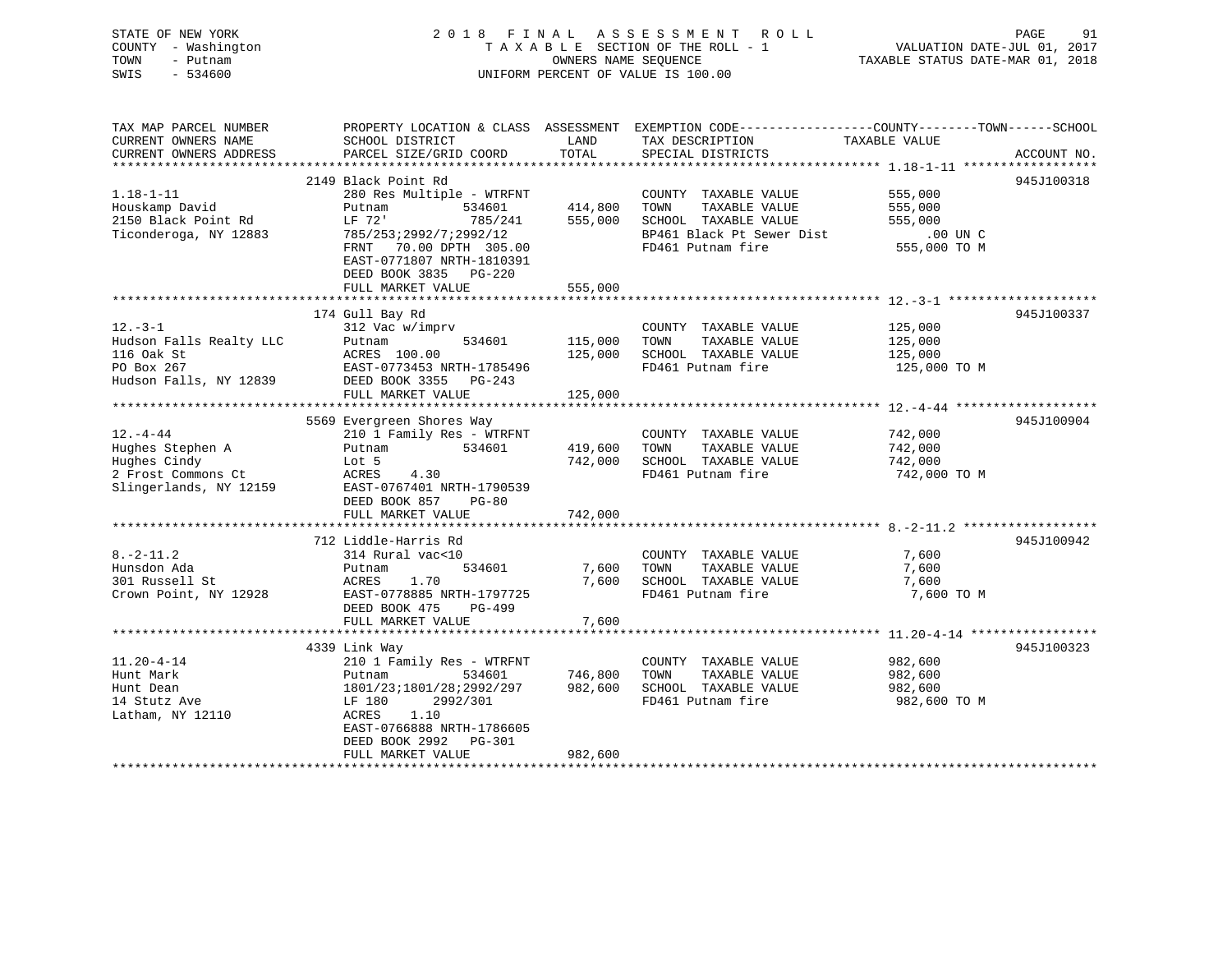STATE OF NEW YORK 2 0 1 8 F I N A L A S S E S S M E N T R O L L PAGE 91 COUNTY - Washington T A X A B L E SECTION OF THE ROLL - 1 VALUATION DATE-JUL 01, 2017 TOWN - Putnam OWNERS NAME SEQUENCE TAXABLE STATUS DATE-MAR 01, 2018 SWIS - 534600 UNIFORM PERCENT OF VALUE IS 100.00

TAX MAP PARCEL NUMBER PROPERTY LOCATION & CLASS ASSESSMENT EXEMPTION CODE------------------COUNTY--------TOWN------SCHOOL CURRENT OWNERS NAME SCHOOL DISTRICT THE LAND TAX DESCRIPTION TAXABLE VALUE CURRENT OWNERS ADDRESS PARCEL SIZE/GRID COORD TOTAL SPECIAL DISTRICTS ACCOUNT NO. \*\*\*\*\*\*\*\*\*\*\*\*\*\*\*\*\*\*\*\*\*\*\*\*\*\*\*\*\*\*\*\*\*\*\*\*\*\*\*\*\*\*\*\*\*\*\*\*\*\*\*\*\*\*\*\*\*\*\*\*\*\*\*\*\*\*\*\*\*\*\*\*\*\*\*\*\*\*\*\*\*\*\*\*\*\*\*\*\*\*\*\*\*\*\*\*\*\*\*\*\*\*\* 1.18-1-11 \*\*\*\*\*\*\*\*\*\*\*\*\*\*\*\*\*\* 2149 Black Point Rd 945J1003181.18-1-11 280 Res Multiple - WTRFNT COUNTY TAXABLE VALUE 555,000 Houskamp David Putnam 534601 414,800 TOWN TAXABLE VALUE 555,000 2150 Black Point Rd LF 72' 785/241 555,000 SCHOOL TAXABLE VALUE 555,000 Ticonderoga, NY 12883 785/253;2992/7;2992/12 BP461 Black Pt Sewer Dist .00 UN C FRNT 70.00 DPTH 305.00 FD461 Putnam fire 555,000 TO M EAST-0771807 NRTH-1810391 DEED BOOK 3835 PG-220DEED BOOK 5055 FUTERS<br>FULL MARKET VALUE 555,000 \*\*\*\*\*\*\*\*\*\*\*\*\*\*\*\*\*\*\*\*\*\*\*\*\*\*\*\*\*\*\*\*\*\*\*\*\*\*\*\*\*\*\*\*\*\*\*\*\*\*\*\*\*\*\*\*\*\*\*\*\*\*\*\*\*\*\*\*\*\*\*\*\*\*\*\*\*\*\*\*\*\*\*\*\*\*\*\*\*\*\*\*\*\*\*\*\*\*\*\*\*\*\* 12.-3-1 \*\*\*\*\*\*\*\*\*\*\*\*\*\*\*\*\*\*\*\* 174 Gull Bay Rd 945J100337 12.-3-1 312 Vac w/imprv COUNTY TAXABLE VALUE 125,000 Hudson Falls Realty LLC Putnam 534601 115,000 TOWN TAXABLE VALUE 125,000 116 Oak St ACRES 100.00 125,000 SCHOOL TAXABLE VALUE 125,000 PO Box 267 EAST-0773453 NRTH-1785496 FD461 Putnam fire 125,000 TO M Hudson Falls, NY 12839 DEED BOOK 3355 PG-243 FULL MARKET VALUE 125,000 \*\*\*\*\*\*\*\*\*\*\*\*\*\*\*\*\*\*\*\*\*\*\*\*\*\*\*\*\*\*\*\*\*\*\*\*\*\*\*\*\*\*\*\*\*\*\*\*\*\*\*\*\*\*\*\*\*\*\*\*\*\*\*\*\*\*\*\*\*\*\*\*\*\*\*\*\*\*\*\*\*\*\*\*\*\*\*\*\*\*\*\*\*\*\*\*\*\*\*\*\*\*\* 12.-4-44 \*\*\*\*\*\*\*\*\*\*\*\*\*\*\*\*\*\*\* 5569 Evergreen Shores Way 945J100904 12.-4-44 210 1 Family Res - WTRFNT COUNTY TAXABLE VALUE 742,000 Hughes Stephen A Putnam 534601 419,600 TOWN TAXABLE VALUE 742,000 Hughes Cindy Lot 5 742,000 SCHOOL TAXABLE VALUE 742,000 2 Frost Commons Ct ACRES 4.30 FD461 Putnam fire 742,000 TO M Slingerlands, NY 12159 EAST-0767401 NRTH-1790539 DEED BOOK 857 PG-80 FULL MARKET VALUE 742,000 \*\*\*\*\*\*\*\*\*\*\*\*\*\*\*\*\*\*\*\*\*\*\*\*\*\*\*\*\*\*\*\*\*\*\*\*\*\*\*\*\*\*\*\*\*\*\*\*\*\*\*\*\*\*\*\*\*\*\*\*\*\*\*\*\*\*\*\*\*\*\*\*\*\*\*\*\*\*\*\*\*\*\*\*\*\*\*\*\*\*\*\*\*\*\*\*\*\*\*\*\*\*\* 8.-2-11.2 \*\*\*\*\*\*\*\*\*\*\*\*\*\*\*\*\*\* 712 Liddle-Harris Rd 945J1009428.-2-11.2 314 Rural vac<10 COUNTY TAXABLE VALUE 7,600 Hunsdon Ada Putnam 534601 7,600 TOWN TAXABLE VALUE 7,600 301 Russell St ACRES 1.70 7,600 SCHOOL TAXABLE VALUE 7,600 Crown Point, NY 12928 EAST-0778885 NRTH-1797725 FD461 Putnam fire 7,600 TO M DEED BOOK 475 PG-499FULL MARKET VALUE 7,600 \*\*\*\*\*\*\*\*\*\*\*\*\*\*\*\*\*\*\*\*\*\*\*\*\*\*\*\*\*\*\*\*\*\*\*\*\*\*\*\*\*\*\*\*\*\*\*\*\*\*\*\*\*\*\*\*\*\*\*\*\*\*\*\*\*\*\*\*\*\*\*\*\*\*\*\*\*\*\*\*\*\*\*\*\*\*\*\*\*\*\*\*\*\*\*\*\*\*\*\*\*\*\* 11.20-4-14 \*\*\*\*\*\*\*\*\*\*\*\*\*\*\*\*\* 4339 Link Way 945J100323 11.20-4-14 210 1 Family Res - WTRFNT COUNTY TAXABLE VALUE 982,600 Hunt Mark Putnam 534601 746,800 TOWN TAXABLE VALUE 982,600 Hunt Dean 1801/23;1801/28;2992/297 982,600 SCHOOL TAXABLE VALUE 982,600 14 Stutz Ave LF 180 2992/301 FD461 Putnam fire 982,600 TO M Latham, NY 12110 <br>ACRES 1.10 EAST-0766888 NRTH-1786605 DEED BOOK 2992 PG-301FULL MARKET VALUE 982,600

\*\*\*\*\*\*\*\*\*\*\*\*\*\*\*\*\*\*\*\*\*\*\*\*\*\*\*\*\*\*\*\*\*\*\*\*\*\*\*\*\*\*\*\*\*\*\*\*\*\*\*\*\*\*\*\*\*\*\*\*\*\*\*\*\*\*\*\*\*\*\*\*\*\*\*\*\*\*\*\*\*\*\*\*\*\*\*\*\*\*\*\*\*\*\*\*\*\*\*\*\*\*\*\*\*\*\*\*\*\*\*\*\*\*\*\*\*\*\*\*\*\*\*\*\*\*\*\*\*\*\*\*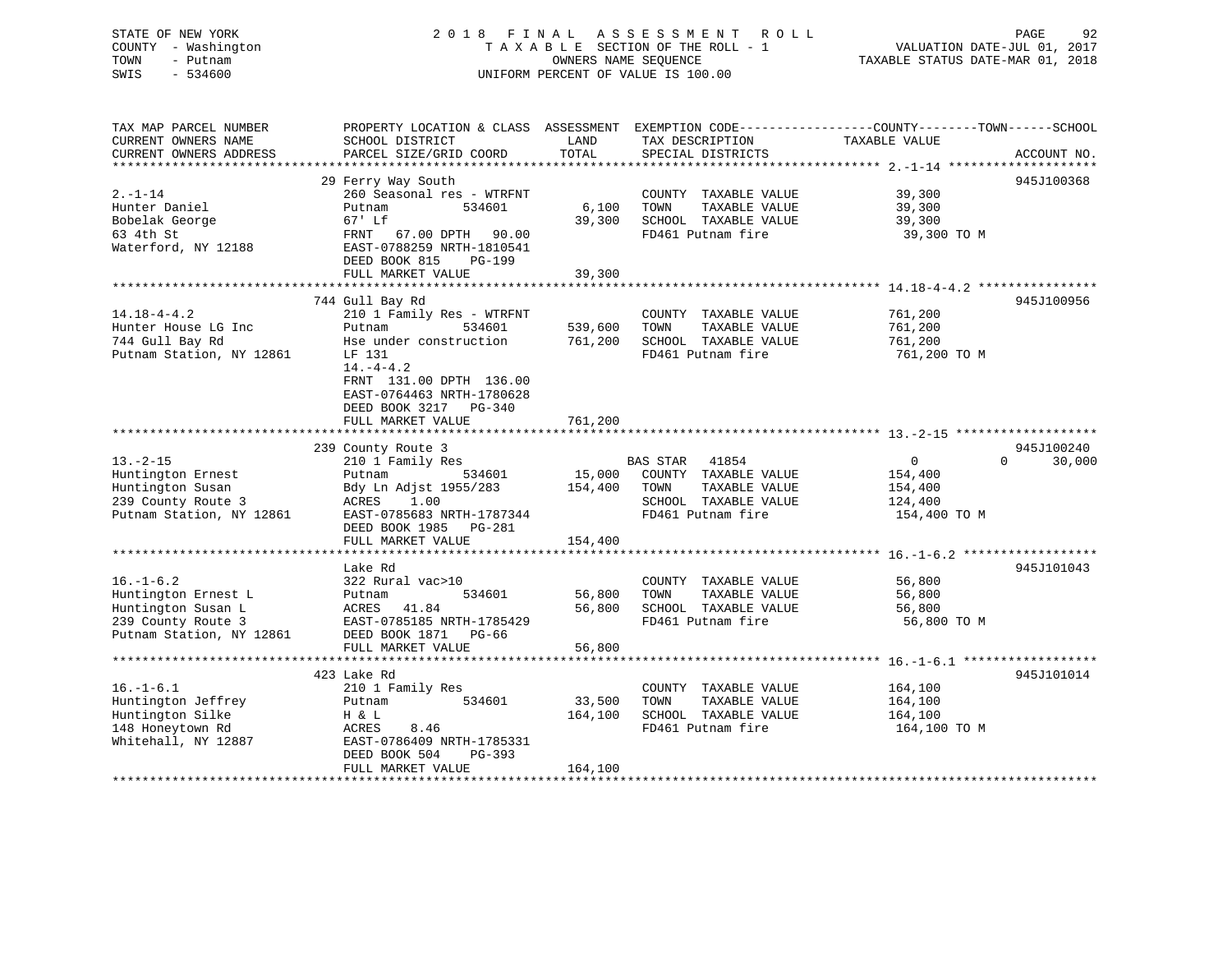# COUNTY - Washington  $T A X A B L E$  SECTION OF THE ROLL - 1<br>TOWN - Putnam data of the COUNTERS NAME SEQUENCE SWIS - 534600 UNIFORM PERCENT OF VALUE IS 100.00

STATE OF NEW YORK 2018 FINAL ASSESSMENT ROLL PAGE 92 VALUATION DATE-JUL 01, 2017

TAXABLE STATUS DATE-MAR 01, 2018

| TAX MAP PARCEL NUMBER    | PROPERTY LOCATION & CLASS ASSESSMENT EXEMPTION CODE---------------COUNTY-------TOWN-----SCHOOL |         |                             |                |                    |
|--------------------------|------------------------------------------------------------------------------------------------|---------|-----------------------------|----------------|--------------------|
| CURRENT OWNERS NAME      | SCHOOL DISTRICT                                                                                | LAND    | TAX DESCRIPTION             | TAXABLE VALUE  |                    |
| CURRENT OWNERS ADDRESS   | PARCEL SIZE/GRID COORD                                                                         | TOTAL   | SPECIAL DISTRICTS           |                | ACCOUNT NO.        |
|                          |                                                                                                |         |                             |                |                    |
|                          | 29 Ferry Way South                                                                             |         |                             |                | 945J100368         |
| $2. - 1 - 14$            | 260 Seasonal res - WTRFNT                                                                      |         | COUNTY TAXABLE VALUE        | 39,300         |                    |
| Hunter Daniel            | Putnam<br>534601                                                                               | 6,100   | TOWN<br>TAXABLE VALUE       | 39,300         |                    |
| Bobelak George           | 67' Lf                                                                                         | 39,300  | SCHOOL TAXABLE VALUE        | 39,300         |                    |
| 63 4th St                | FRNT 67.00 DPTH 90.00                                                                          |         | FD461 Putnam fire           | 39,300 TO M    |                    |
| Waterford, NY 12188      | EAST-0788259 NRTH-1810541                                                                      |         |                             |                |                    |
|                          | DEED BOOK 815<br>PG-199                                                                        |         |                             |                |                    |
|                          | FULL MARKET VALUE                                                                              | 39,300  |                             |                |                    |
|                          |                                                                                                |         |                             |                |                    |
|                          |                                                                                                |         |                             |                |                    |
|                          | 744 Gull Bay Rd                                                                                |         |                             |                | 945J100956         |
| $14.18 - 4 - 4.2$        | 210 1 Family Res - WTRFNT                                                                      |         | COUNTY TAXABLE VALUE        | 761,200        |                    |
| Hunter House LG Inc      | Putnam<br>534601                                                                               | 539,600 | TOWN<br>TAXABLE VALUE       | 761,200        |                    |
| 744 Gull Bay Rd          | Hse under construction                                                                         | 761,200 | SCHOOL TAXABLE VALUE        | 761,200        |                    |
| Putnam Station, NY 12861 | LF 131                                                                                         |         | FD461 Putnam fire           | 761,200 TO M   |                    |
|                          | $14. -4 - 4.2$                                                                                 |         |                             |                |                    |
|                          | FRNT 131.00 DPTH 136.00                                                                        |         |                             |                |                    |
|                          | EAST-0764463 NRTH-1780628                                                                      |         |                             |                |                    |
|                          | DEED BOOK 3217 PG-340                                                                          |         |                             |                |                    |
|                          | FULL MARKET VALUE                                                                              | 761,200 |                             |                |                    |
|                          |                                                                                                |         |                             |                |                    |
|                          | 239 County Route 3                                                                             |         |                             |                | 945J100240         |
| $13. - 2 - 15$           | 210 1 Family Res                                                                               |         | BAS STAR<br>41854           | $\overline{0}$ | $\Omega$<br>30,000 |
| Huntington Ernest        | 534601<br>Putnam                                                                               |         | 15,000 COUNTY TAXABLE VALUE | 154,400        |                    |
| Huntington Susan         | Bdy Ln Adjst 1955/283                                                                          | 154,400 | TOWN<br>TAXABLE VALUE       | 154,400        |                    |
| 239 County Route 3       | ACRES 1.00                                                                                     |         | SCHOOL TAXABLE VALUE        | 124,400        |                    |
| Putnam Station, NY 12861 | EAST-0785683 NRTH-1787344                                                                      |         | FD461 Putnam fire           | 154,400 TO M   |                    |
|                          | DEED BOOK 1985 PG-281                                                                          |         |                             |                |                    |
|                          | FULL MARKET VALUE                                                                              | 154,400 |                             |                |                    |
|                          |                                                                                                |         |                             |                |                    |
|                          | Lake Rd                                                                                        |         |                             |                | 945J101043         |
| $16. - 1 - 6.2$          | 322 Rural vac>10                                                                               |         | COUNTY TAXABLE VALUE        | 56,800         |                    |
|                          | 534601                                                                                         | 56,800  | TAXABLE VALUE<br>TOWN       | 56,800         |                    |
| Huntington Ernest L      | Putnam                                                                                         |         |                             |                |                    |
| Huntington Susan L       | ACRES 41.84                                                                                    | 56,800  | SCHOOL TAXABLE VALUE        | 56,800         |                    |
| 239 County Route 3       | EAST-0785185 NRTH-1785429                                                                      |         | FD461 Putnam fire           | 56,800 TO M    |                    |
| Putnam Station, NY 12861 | DEED BOOK 1871<br>PG-66                                                                        |         |                             |                |                    |
|                          | FULL MARKET VALUE                                                                              | 56,800  |                             |                |                    |
|                          |                                                                                                |         |                             |                |                    |
|                          | 423 Lake Rd                                                                                    |         |                             |                | 945J101014         |
| $16. - 1 - 6.1$          | 210 1 Family Res                                                                               |         | COUNTY TAXABLE VALUE        | 164,100        |                    |
| Huntington Jeffrey       | 534601<br>Putnam                                                                               | 33,500  | TOWN<br>TAXABLE VALUE       | 164,100        |                    |
| Huntington Silke         | H & L                                                                                          | 164,100 | SCHOOL TAXABLE VALUE        | 164,100        |                    |
| 148 Honeytown Rd         | ACRES<br>8.46                                                                                  |         | FD461 Putnam fire           | 164,100 TO M   |                    |
| Whitehall, NY 12887      | EAST-0786409 NRTH-1785331                                                                      |         |                             |                |                    |
|                          | DEED BOOK 504<br>PG-393                                                                        |         |                             |                |                    |
|                          | FULL MARKET VALUE                                                                              | 164,100 |                             |                |                    |
|                          |                                                                                                |         |                             |                |                    |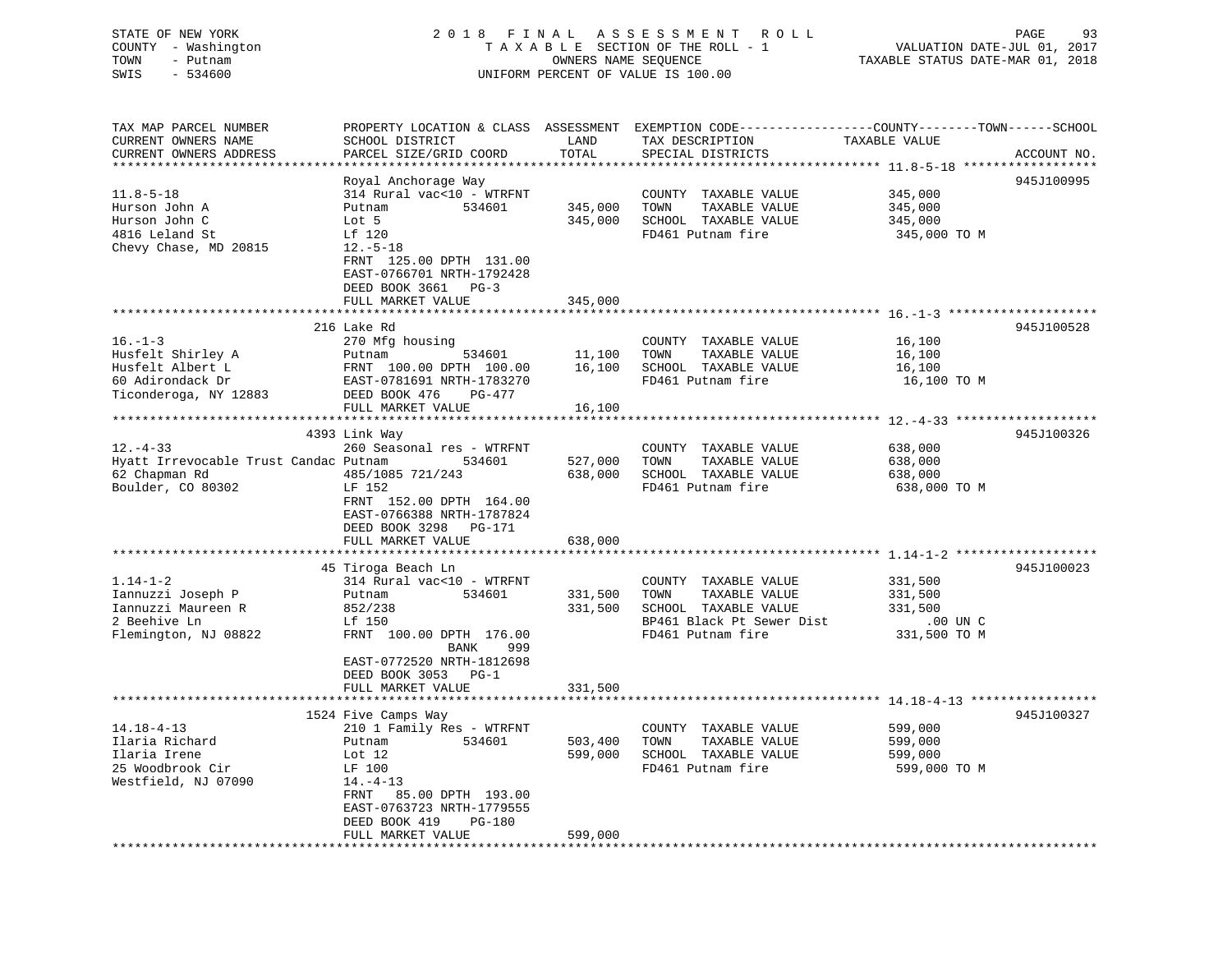| STATE OF NEW YORK   | 2018 FINAL ASSESSMENT ROLL         | 93<br>PAGE                       |
|---------------------|------------------------------------|----------------------------------|
| COUNTY - Washington | TAXABLE SECTION OF THE ROLL - 1    | VALUATION DATE-JUL 01, 2017      |
| TOWN<br>– Putnam    | OWNERS NAME SEQUENCE               | TAXABLE STATUS DATE-MAR 01, 2018 |
| SWIS<br>$-534600$   | UNIFORM PERCENT OF VALUE IS 100.00 |                                  |
|                     |                                    |                                  |
|                     |                                    |                                  |

| TAX MAP PARCEL NUMBER<br>CURRENT OWNERS NAME<br>CURRENT OWNERS ADDRESS | PROPERTY LOCATION & CLASS ASSESSMENT EXEMPTION CODE----------------COUNTY-------TOWN-----SCHOOL<br>SCHOOL DISTRICT<br>PARCEL SIZE/GRID COORD | LAND<br>TOTAL      | TAX DESCRIPTION<br>SPECIAL DISTRICTS                               | TAXABLE VALUE                      | ACCOUNT NO. |
|------------------------------------------------------------------------|----------------------------------------------------------------------------------------------------------------------------------------------|--------------------|--------------------------------------------------------------------|------------------------------------|-------------|
|                                                                        |                                                                                                                                              |                    |                                                                    |                                    |             |
| $11.8 - 5 - 18$                                                        | Royal Anchorage Way<br>314 Rural vac<10 - WTRFNT                                                                                             |                    | COUNTY TAXABLE VALUE                                               | 345,000                            | 945J100995  |
| Hurson John A<br>Hurson John C<br>4816 Leland St                       | 534601<br>Putnam<br>Lot 5<br>Lf 120                                                                                                          | 345,000<br>345,000 | TOWN<br>TAXABLE VALUE<br>SCHOOL TAXABLE VALUE<br>FD461 Putnam fire | 345,000<br>345,000<br>345,000 TO M |             |
| Chevy Chase, MD 20815                                                  | $12.-5-18$<br>FRNT 125.00 DPTH 131.00<br>EAST-0766701 NRTH-1792428<br>DEED BOOK 3661 PG-3<br>FULL MARKET VALUE                               | 345,000            |                                                                    |                                    |             |
|                                                                        |                                                                                                                                              |                    |                                                                    |                                    |             |
|                                                                        | 216 Lake Rd                                                                                                                                  |                    |                                                                    |                                    | 945J100528  |
| $16. - 1 - 3$                                                          | 270 Mfg housing                                                                                                                              |                    | COUNTY TAXABLE VALUE                                               | 16,100                             |             |
| Husfelt Shirley A                                                      | Putnam<br>534601                                                                                                                             | 11,100             | TAXABLE VALUE<br>TOWN                                              | 16,100                             |             |
| Husfelt Albert L                                                       | FRNT 100.00 DPTH 100.00                                                                                                                      | 16,100             | SCHOOL TAXABLE VALUE                                               | 16,100                             |             |
| 60 Adirondack Dr                                                       | EAST-0781691 NRTH-1783270                                                                                                                    |                    | FD461 Putnam fire                                                  | 16,100 TO M                        |             |
| Ticonderoga, NY 12883                                                  | DEED BOOK 476<br>PG-477                                                                                                                      |                    |                                                                    |                                    |             |
|                                                                        | FULL MARKET VALUE                                                                                                                            | 16,100             |                                                                    |                                    |             |
|                                                                        |                                                                                                                                              |                    |                                                                    |                                    |             |
|                                                                        | 4393 Link Way                                                                                                                                |                    |                                                                    |                                    | 945J100326  |
| $12. - 4 - 33$                                                         | 260 Seasonal res - WTRFNT                                                                                                                    |                    | COUNTY TAXABLE VALUE                                               | 638,000                            |             |
| Hyatt Irrevocable Trust Candac Putnam                                  | 534601                                                                                                                                       | 527,000            | TAXABLE VALUE<br>TOWN                                              | 638,000                            |             |
| 62 Chapman Rd                                                          | 485/1085 721/243                                                                                                                             | 638,000            | SCHOOL TAXABLE VALUE                                               | 638,000                            |             |
| Boulder, CO 80302                                                      | LF 152                                                                                                                                       |                    | FD461 Putnam fire                                                  | 638,000 TO M                       |             |
|                                                                        | FRNT 152.00 DPTH 164.00                                                                                                                      |                    |                                                                    |                                    |             |
|                                                                        | EAST-0766388 NRTH-1787824                                                                                                                    |                    |                                                                    |                                    |             |
|                                                                        | DEED BOOK 3298 PG-171                                                                                                                        |                    |                                                                    |                                    |             |
|                                                                        | FULL MARKET VALUE                                                                                                                            | 638,000            |                                                                    |                                    |             |
|                                                                        | 45 Tiroga Beach Ln                                                                                                                           |                    |                                                                    |                                    | 945J100023  |
| $1.14 - 1 - 2$                                                         | 314 Rural vac<10 - WTRFNT                                                                                                                    |                    | COUNTY TAXABLE VALUE                                               | 331,500                            |             |
| Iannuzzi Joseph P                                                      | Putnam<br>534601                                                                                                                             | 331,500            | TOWN<br>TAXABLE VALUE                                              | 331,500                            |             |
| Iannuzzi Maureen R                                                     | 852/238                                                                                                                                      | 331,500            | SCHOOL TAXABLE VALUE                                               | 331,500                            |             |
| 2 Beehive Ln                                                           | Lf 150                                                                                                                                       |                    | BP461 Black Pt Sewer Dist                                          | $.00$ UN $C$                       |             |
| Flemington, NJ 08822                                                   | FRNT 100.00 DPTH 176.00                                                                                                                      |                    | FD461 Putnam fire                                                  | 331,500 TO M                       |             |
|                                                                        | 999<br>BANK                                                                                                                                  |                    |                                                                    |                                    |             |
|                                                                        | EAST-0772520 NRTH-1812698                                                                                                                    |                    |                                                                    |                                    |             |
|                                                                        | DEED BOOK 3053 PG-1                                                                                                                          |                    |                                                                    |                                    |             |
|                                                                        | FULL MARKET VALUE                                                                                                                            | 331,500            |                                                                    |                                    |             |
|                                                                        |                                                                                                                                              |                    |                                                                    |                                    |             |
|                                                                        | 1524 Five Camps Way                                                                                                                          |                    |                                                                    |                                    | 945J100327  |
| $14.18 - 4 - 13$                                                       | 210 1 Family Res - WTRFNT                                                                                                                    |                    | COUNTY TAXABLE VALUE                                               | 599,000                            |             |
| Ilaria Richard                                                         | Putnam<br>534601                                                                                                                             | 503,400            | TOWN<br>TAXABLE VALUE                                              | 599,000                            |             |
| Ilaria Irene                                                           | Lot $12$                                                                                                                                     | 599,000            | SCHOOL TAXABLE VALUE                                               | 599,000                            |             |
| 25 Woodbrook Cir                                                       | LF 100                                                                                                                                       |                    | FD461 Putnam fire                                                  | 599,000 TO M                       |             |
| Westfield, NJ 07090                                                    | $14. - 4 - 13$                                                                                                                               |                    |                                                                    |                                    |             |
|                                                                        | 85.00 DPTH 193.00<br>FRNT                                                                                                                    |                    |                                                                    |                                    |             |
|                                                                        | EAST-0763723 NRTH-1779555                                                                                                                    |                    |                                                                    |                                    |             |
|                                                                        | DEED BOOK 419<br>PG-180                                                                                                                      |                    |                                                                    |                                    |             |
| ********************                                                   | FULL MARKET VALUE                                                                                                                            | 599,000            |                                                                    |                                    |             |
|                                                                        | *********************                                                                                                                        |                    |                                                                    |                                    |             |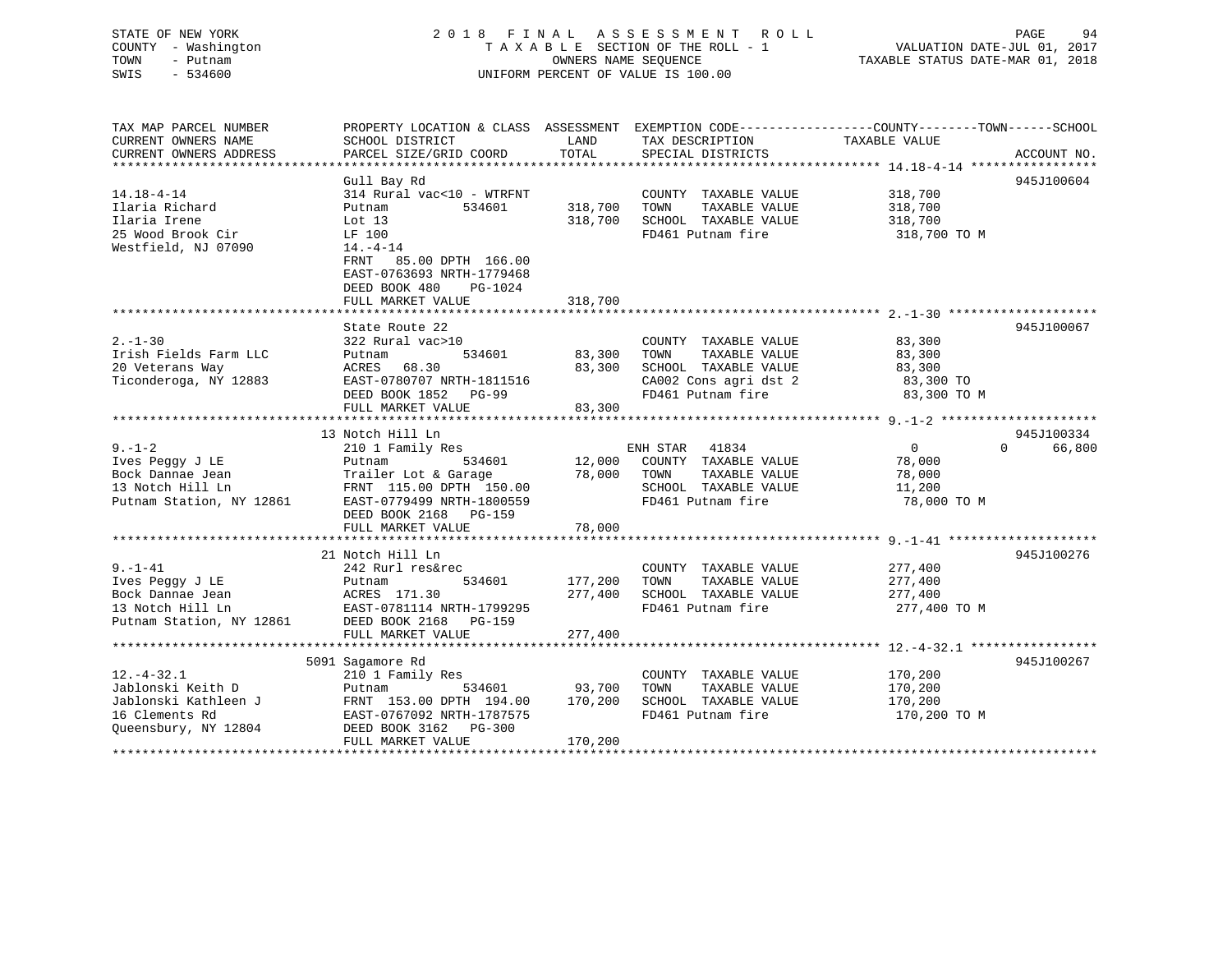### STATE OF NEW YORK 2 0 1 8 F I N A L A S S E S S M E N T R O L L PAGE 94 COUNTY - Washington T A X A B L E SECTION OF THE ROLL - 1 VALUATION DATE-JUL 01, 2017 TOWN - Putnam OWNERS NAME SEQUENCE TAXABLE STATUS DATE-MAR 01, 2018 SWIS - 534600 UNIFORM PERCENT OF VALUE IS 100.00

| TAX MAP PARCEL NUMBER<br>CURRENT OWNERS NAME<br>CURRENT OWNERS ADDRESS                                  | PROPERTY LOCATION & CLASS ASSESSMENT<br>SCHOOL DISTRICT<br>PARCEL SIZE/GRID COORD                                                                                                                            | LAND<br>TOTAL                 | EXEMPTION CODE-----------------COUNTY-------TOWN------SCHOOL<br>TAX DESCRIPTION<br>SPECIAL DISTRICTS                | TAXABLE VALUE                                               | ACCOUNT NO.                      |
|---------------------------------------------------------------------------------------------------------|--------------------------------------------------------------------------------------------------------------------------------------------------------------------------------------------------------------|-------------------------------|---------------------------------------------------------------------------------------------------------------------|-------------------------------------------------------------|----------------------------------|
| $14.18 - 4 - 14$<br>Ilaria Richard<br>Ilaria Irene<br>25 Wood Brook Cir<br>Westfield, NJ 07090          | Gull Bay Rd<br>314 Rural vac<10 - WTRFNT<br>534601<br>Putnam<br>Lot 13<br>LF 100<br>$14. -4 - 14$<br>85.00 DPTH 166.00<br>FRNT<br>EAST-0763693 NRTH-1779468<br>DEED BOOK 480<br>PG-1024<br>FULL MARKET VALUE | 318,700<br>318,700<br>318,700 | COUNTY TAXABLE VALUE<br>TOWN<br>TAXABLE VALUE<br>SCHOOL TAXABLE VALUE<br>FD461 Putnam fire                          | 318,700<br>318,700<br>318,700<br>318,700 TO M               | 945J100604                       |
| $2. - 1 - 30$<br>Irish Fields Farm LLC<br>20 Veterans Way<br>Ticonderoga, NY 12883                      | State Route 22<br>322 Rural vac>10<br>534601<br>Putnam<br>ACRES<br>68.30<br>EAST-0780707 NRTH-1811516<br>DEED BOOK 1852<br>PG-99<br>FULL MARKET VALUE                                                        | 83,300<br>83,300<br>83,300    | COUNTY TAXABLE VALUE<br>TOWN<br>TAXABLE VALUE<br>SCHOOL TAXABLE VALUE<br>CA002 Cons agri dst 2<br>FD461 Putnam fire | 83,300<br>83,300<br>83,300<br>83,300 TO<br>83,300 TO M      | 945J100067                       |
| $9. - 1 - 2$<br>Ives Peggy J LE<br>Bock Dannae Jean<br>13 Notch Hill Ln<br>Putnam Station, NY 12861     | 13 Notch Hill Ln<br>210 1 Family Res<br>534601<br>Putnam<br>Trailer Lot & Garage<br>FRNT 115.00 DPTH 150.00<br>EAST-0779499 NRTH-1800559<br>DEED BOOK 2168<br>PG-159<br>FULL MARKET VALUE                    | 12,000<br>78,000<br>78,000    | 41834<br>ENH STAR<br>COUNTY TAXABLE VALUE<br>TOWN<br>TAXABLE VALUE<br>SCHOOL TAXABLE VALUE<br>FD461 Putnam fire     | $\overline{0}$<br>78,000<br>78,000<br>11,200<br>78,000 TO M | 945J100334<br>66,800<br>$\Omega$ |
| $9. - 1 - 41$<br>Ives Peggy J LE<br>Bock Dannae Jean<br>13 Notch Hill Ln<br>Putnam Station, NY 12861    | 21 Notch Hill Ln<br>242 Rurl res&rec<br>534601<br>Putnam<br>ACRES 171.30<br>EAST-0781114 NRTH-1799295<br>DEED BOOK 2168 PG-159<br>FULL MARKET VALUE                                                          | 177,200<br>277,400<br>277,400 | COUNTY TAXABLE VALUE<br>TAXABLE VALUE<br>TOWN<br>SCHOOL TAXABLE VALUE<br>FD461 Putnam fire                          | 277,400<br>277,400<br>277,400<br>277,400 TO M               | 945J100276                       |
| $12. - 4 - 32.1$<br>Jablonski Keith D<br>Jablonski Kathleen J<br>16 Clements Rd<br>Oueensbury, NY 12804 | 5091 Sagamore Rd<br>210 1 Family Res<br>Putnam<br>534601<br>FRNT 153.00 DPTH 194.00<br>EAST-0767092 NRTH-1787575<br>DEED BOOK 3162<br><b>PG-300</b><br>FULL MARKET VALUE                                     | 93,700<br>170,200<br>170,200  | COUNTY TAXABLE VALUE<br>TAXABLE VALUE<br>TOWN<br>SCHOOL TAXABLE VALUE<br>FD461 Putnam fire                          | 170,200<br>170,200<br>170,200<br>170,200 TO M               | 945J100267                       |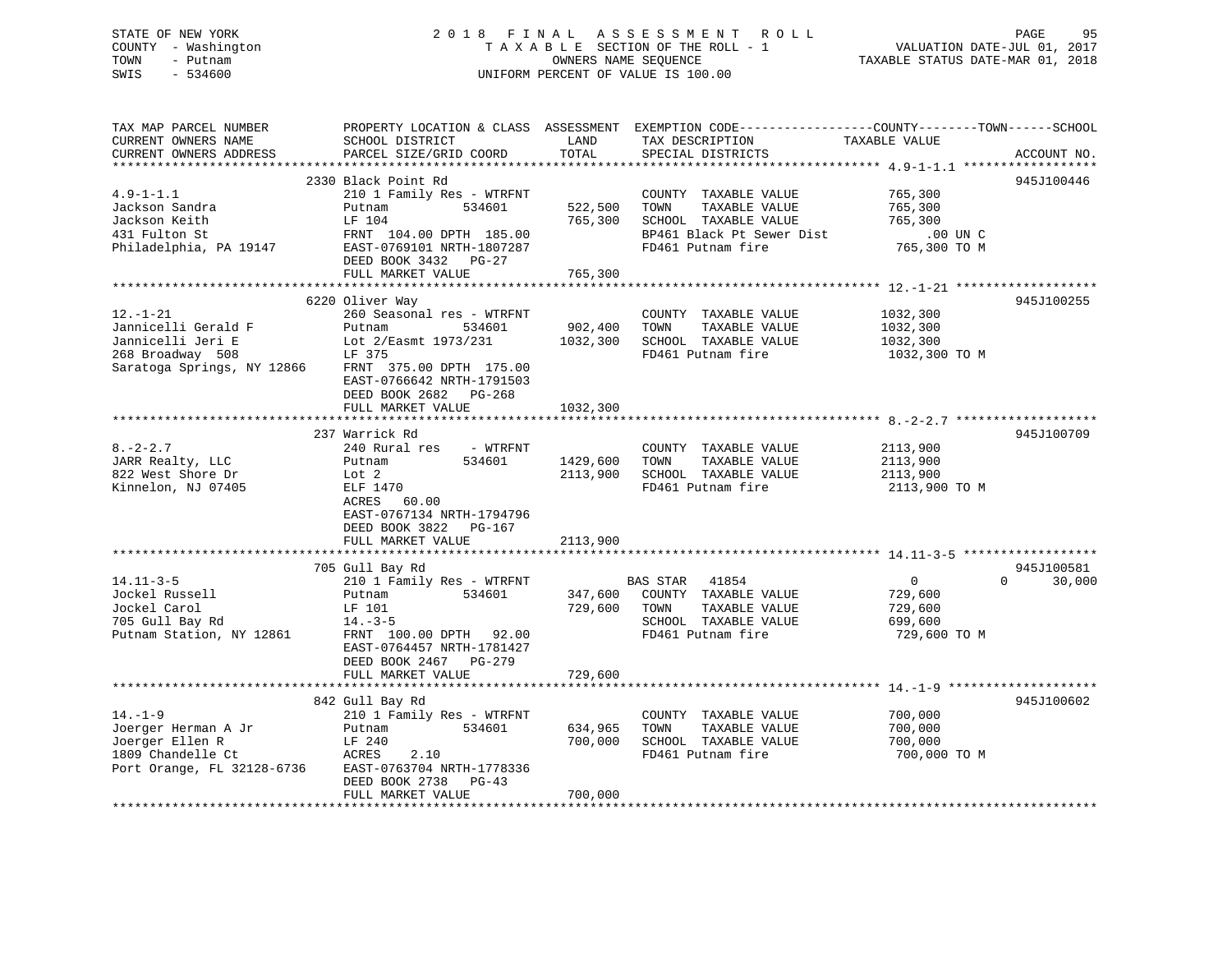STATE OF NEW YORK 2 0 1 8 F I N A L A S S E S S M E N T R O L L PAGE 95 COUNTY - Washington T A X A B L E SECTION OF THE ROLL - 1 VALUATION DATE-JUL 01, 2017 TOWN - Putnam OWNERS NAME SEQUENCE TAXABLE STATUS DATE-MAR 01, 2018 SWIS - 534600 UNIFORM PERCENT OF VALUE IS 100.00

| TAX MAP PARCEL NUMBER<br>CURRENT OWNERS NAME | SCHOOL DISTRICT                                      | LAND     | PROPERTY LOCATION & CLASS ASSESSMENT EXEMPTION CODE----------------COUNTY-------TOWN-----SCHOOL<br>TAX DESCRIPTION | TAXABLE VALUE  |                    |
|----------------------------------------------|------------------------------------------------------|----------|--------------------------------------------------------------------------------------------------------------------|----------------|--------------------|
| CURRENT OWNERS ADDRESS                       | PARCEL SIZE/GRID COORD                               | TOTAL    | SPECIAL DISTRICTS                                                                                                  |                | ACCOUNT NO.        |
| *******************                          | ****************************                         |          |                                                                                                                    |                |                    |
|                                              | 2330 Black Point Rd                                  |          |                                                                                                                    |                | 945J100446         |
| $4.9 - 1 - 1.1$                              | 210 1 Family Res - WTRFNT                            |          | COUNTY TAXABLE VALUE                                                                                               | 765,300        |                    |
| Jackson Sandra                               | Putnam<br>534601                                     | 522,500  | TOWN<br>TAXABLE VALUE                                                                                              | 765,300        |                    |
| Jackson Keith                                | LF 104                                               | 765,300  | SCHOOL TAXABLE VALUE                                                                                               | 765,300        |                    |
| 431 Fulton St                                | FRNT 104.00 DPTH 185.00                              |          | BP461 Black Pt Sewer Dist                                                                                          | $.00$ UN C     |                    |
| Philadelphia, PA 19147                       | EAST-0769101 NRTH-1807287                            |          | FD461 Putnam fire                                                                                                  | 765,300 TO M   |                    |
|                                              | DEED BOOK 3432 PG-27                                 |          |                                                                                                                    |                |                    |
|                                              | FULL MARKET VALUE                                    | 765,300  |                                                                                                                    |                |                    |
|                                              |                                                      |          |                                                                                                                    |                |                    |
|                                              | 6220 Oliver Way                                      |          |                                                                                                                    |                | 945J100255         |
| $12. - 1 - 21$                               | 260 Seasonal res - WTRFNT                            |          | COUNTY TAXABLE VALUE                                                                                               | 1032,300       |                    |
| Jannicelli Gerald F                          | 534601<br>Putnam                                     | 902,400  | TOWN<br>TAXABLE VALUE                                                                                              | 1032,300       |                    |
| Jannicelli Jeri E                            | Lot 2/Easmt 1973/231                                 |          | 1032,300 SCHOOL TAXABLE VALUE                                                                                      | 1032,300       |                    |
| 268 Broadway 508                             | LF 375                                               |          | FD461 Putnam fire                                                                                                  | 1032,300 TO M  |                    |
| Saratoga Springs, NY 12866                   | FRNT 375.00 DPTH 175.00                              |          |                                                                                                                    |                |                    |
|                                              | EAST-0766642 NRTH-1791503                            |          |                                                                                                                    |                |                    |
|                                              | DEED BOOK 2682 PG-268                                |          |                                                                                                                    |                |                    |
|                                              | FULL MARKET VALUE                                    | 1032,300 |                                                                                                                    |                |                    |
|                                              | 237 Warrick Rd                                       |          |                                                                                                                    |                | 945J100709         |
| $8. - 2 - 2.7$                               | 240 Rural res - WTRFNT                               |          | COUNTY TAXABLE VALUE                                                                                               | 2113,900       |                    |
| JARR Realty, LLC                             | Putnam<br>534601                                     | 1429,600 | TOWN<br>TAXABLE VALUE                                                                                              | 2113,900       |                    |
| 822 West Shore Dr                            | Lot 2                                                | 2113,900 | SCHOOL TAXABLE VALUE                                                                                               | 2113,900       |                    |
| Kinnelon, NJ 07405                           | ELF 1470                                             |          | FD461 Putnam fire                                                                                                  | 2113,900 TO M  |                    |
|                                              | ACRES<br>60.00                                       |          |                                                                                                                    |                |                    |
|                                              | EAST-0767134 NRTH-1794796                            |          |                                                                                                                    |                |                    |
|                                              | DEED BOOK 3822<br>PG-167                             |          |                                                                                                                    |                |                    |
|                                              | FULL MARKET VALUE                                    | 2113,900 |                                                                                                                    |                |                    |
|                                              |                                                      |          |                                                                                                                    |                |                    |
|                                              | 705 Gull Bay Rd                                      |          |                                                                                                                    |                | 945J100581         |
| $14.11 - 3 - 5$                              | 210 1 Family Res - WTRFNT                            |          | BAS STAR<br>41854                                                                                                  | $\overline{0}$ | $\Omega$<br>30,000 |
| Jockel Russell                               | 534601<br>Putnam                                     |          | 347,600 COUNTY TAXABLE VALUE                                                                                       | 729,600        |                    |
| Jockel Carol                                 | LF 101                                               | 729,600  | TOWN<br>TAXABLE VALUE                                                                                              | 729,600        |                    |
| 705 Gull Bay Rd                              | $14. -3 - 5$                                         |          | SCHOOL TAXABLE VALUE                                                                                               | 699,600        |                    |
| Putnam Station, NY 12861                     | FRNT 100.00 DPTH 92.00                               |          | FD461 Putnam fire                                                                                                  | 729,600 TO M   |                    |
|                                              | EAST-0764457 NRTH-1781427                            |          |                                                                                                                    |                |                    |
|                                              | DEED BOOK 2467 PG-279                                |          |                                                                                                                    |                |                    |
|                                              | FULL MARKET VALUE                                    | 729,600  |                                                                                                                    |                |                    |
|                                              |                                                      |          |                                                                                                                    |                |                    |
|                                              | 842 Gull Bay Rd                                      |          |                                                                                                                    |                | 945J100602         |
| $14. - 1 - 9$                                | 210 1 Family Res - WTRFNT                            |          | COUNTY TAXABLE VALUE                                                                                               | 700,000        |                    |
| Joerger Herman A Jr                          | 534601<br>Putnam                                     | 634,965  | TOWN<br>TAXABLE VALUE                                                                                              | 700,000        |                    |
| Joerger Ellen R                              | LF 240                                               | 700,000  | SCHOOL TAXABLE VALUE                                                                                               | 700,000        |                    |
| 1809 Chandelle Ct                            | ACRES<br>2.10                                        |          | FD461 Putnam fire                                                                                                  | 700,000 TO M   |                    |
| Port Orange, FL 32128-6736                   | EAST-0763704 NRTH-1778336<br>DEED BOOK 2738<br>PG-43 |          |                                                                                                                    |                |                    |
|                                              | FULL MARKET VALUE                                    | 700,000  |                                                                                                                    |                |                    |
|                                              |                                                      |          |                                                                                                                    |                |                    |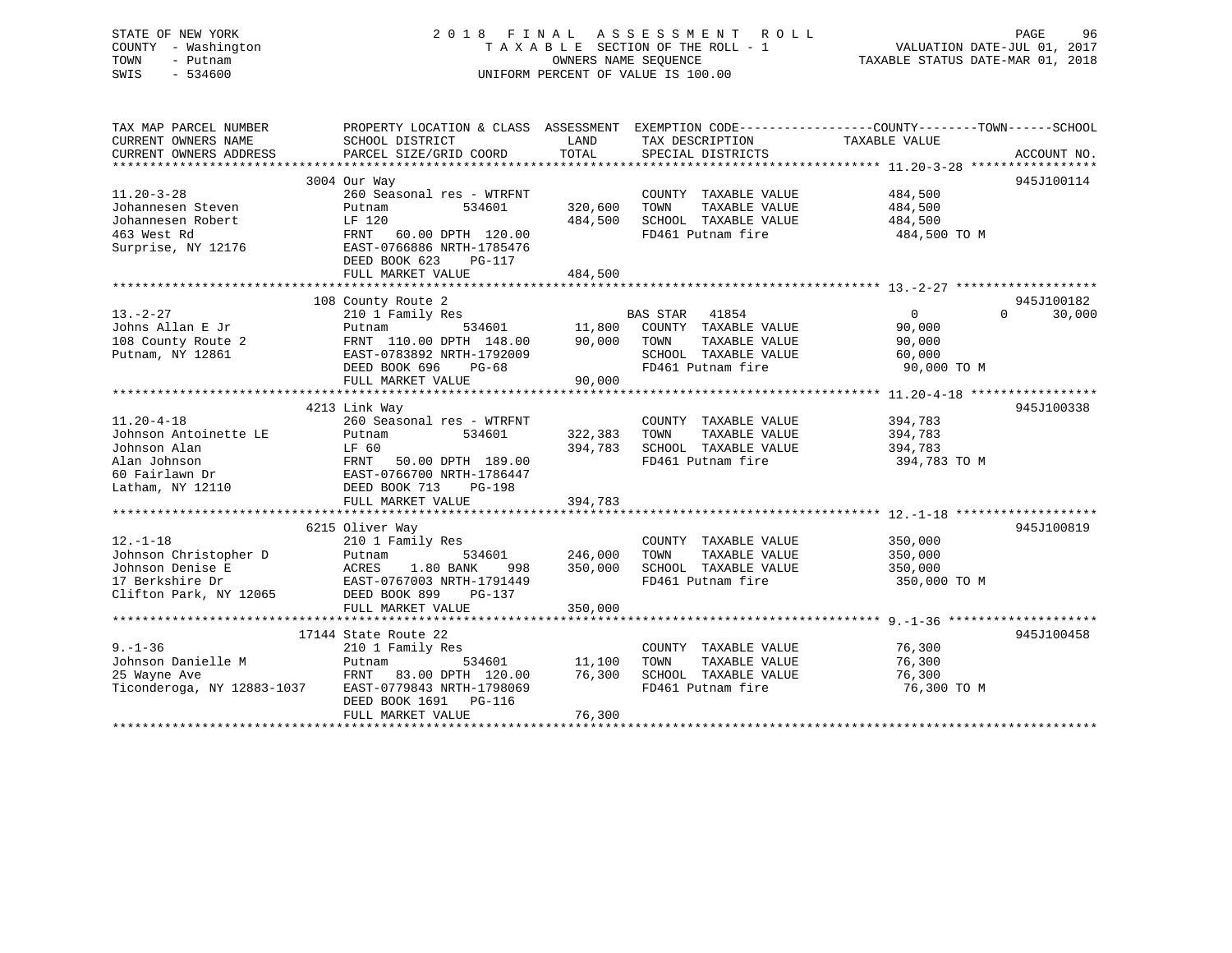| STATE OF NEW YORK<br>COUNTY - Washington<br>TOWN<br>- Putnam<br>SWIS<br>$-534600$                               | 2018 FINAL                                                                                                                                                          |                               | A S S E S S M E N T<br><b>ROLL</b><br>TAXABLE SECTION OF THE ROLL - 1<br>OWNERS NAME SEQUENCE<br>UNIFORM PERCENT OF VALUE IS 100.00 | PAGE<br>96<br>VALUATION DATE-JUL 01, 2017<br>TAXABLE STATUS DATE-MAR 01, 2018                                                   |
|-----------------------------------------------------------------------------------------------------------------|---------------------------------------------------------------------------------------------------------------------------------------------------------------------|-------------------------------|-------------------------------------------------------------------------------------------------------------------------------------|---------------------------------------------------------------------------------------------------------------------------------|
| TAX MAP PARCEL NUMBER<br>CURRENT OWNERS NAME<br>CURRENT OWNERS ADDRESS                                          | SCHOOL DISTRICT<br>PARCEL SIZE/GRID COORD                                                                                                                           | LAND<br>TOTAL                 | TAX DESCRIPTION<br>SPECIAL DISTRICTS                                                                                                | PROPERTY LOCATION & CLASS ASSESSMENT EXEMPTION CODE---------------COUNTY-------TOWN------SCHOOL<br>TAXABLE VALUE<br>ACCOUNT NO. |
|                                                                                                                 |                                                                                                                                                                     |                               |                                                                                                                                     |                                                                                                                                 |
|                                                                                                                 | 3004 Our Way                                                                                                                                                        |                               |                                                                                                                                     | 945J100114                                                                                                                      |
| $11.20 - 3 - 28$<br>Johannesen Steven<br>Johannesen Robert<br>463 West Rd<br>Surprise, NY 12176                 | 260 Seasonal res - WTRFNT<br>Putnam<br>534601<br>LF 120<br>FRNT<br>60.00 DPTH 120.00<br>EAST-0766886 NRTH-1785476<br>DEED BOOK 623<br>PG-117                        | 320,600<br>484,500            | COUNTY TAXABLE VALUE<br>TOWN<br>TAXABLE VALUE<br>SCHOOL TAXABLE VALUE<br>FD461 Putnam fire                                          | 484,500<br>484,500<br>484,500<br>484,500 TO M                                                                                   |
|                                                                                                                 | FULL MARKET VALUE                                                                                                                                                   | 484,500                       |                                                                                                                                     |                                                                                                                                 |
|                                                                                                                 |                                                                                                                                                                     |                               |                                                                                                                                     |                                                                                                                                 |
| $13. - 2 - 27$<br>Johns Allan E Jr<br>108 County Route 2<br>Putnam, NY 12861                                    | 108 County Route 2<br>210 1 Family Res<br>534601<br>Putnam<br>FRNT 110.00 DPTH 148.00<br>EAST-0783892 NRTH-1792009<br>DEED BOOK 696<br>$PG-68$                      | 11,800<br>90,000              | BAS STAR 41854<br>COUNTY TAXABLE VALUE<br>TOWN<br>TAXABLE VALUE<br>SCHOOL TAXABLE VALUE<br>FD461 Putnam fire                        | 945J100182<br>$\Omega$<br>$\Omega$<br>30,000<br>90,000<br>90,000<br>60,000<br>90,000 TO M                                       |
|                                                                                                                 | FULL MARKET VALUE                                                                                                                                                   | 90,000                        |                                                                                                                                     |                                                                                                                                 |
|                                                                                                                 |                                                                                                                                                                     |                               |                                                                                                                                     |                                                                                                                                 |
| $11.20 - 4 - 18$<br>Johnson Antoinette LE<br>Johnson Alan<br>Alan Johnson<br>60 Fairlawn Dr<br>Latham, NY 12110 | 4213 Link Way<br>260 Seasonal res - WTRFNT<br>Putnam<br>534601<br>LF 60<br>FRNT<br>50.00 DPTH 189.00<br>EAST-0766700 NRTH-1786447<br>DEED BOOK 713<br>PG-198        | 322,383<br>394,783            | COUNTY TAXABLE VALUE<br>TOWN<br>TAXABLE VALUE<br>SCHOOL TAXABLE VALUE<br>FD461 Putnam fire                                          | 945J100338<br>394,783<br>394,783<br>394,783<br>394,783 TO M                                                                     |
|                                                                                                                 | FULL MARKET VALUE                                                                                                                                                   | 394,783                       |                                                                                                                                     |                                                                                                                                 |
|                                                                                                                 |                                                                                                                                                                     |                               |                                                                                                                                     |                                                                                                                                 |
| $12. - 1 - 18$<br>Johnson Christopher D<br>Johnson Denise E<br>17 Berkshire Dr<br>Clifton Park, NY 12065        | 6215 Oliver Way<br>210 1 Family Res<br>534601<br>Putnam<br>ACRES<br>1.80 BANK<br>998<br>EAST-0767003 NRTH-1791449<br>DEED BOOK 899<br>$PG-137$<br>FULL MARKET VALUE | 246,000<br>350,000<br>350,000 | COUNTY TAXABLE VALUE<br>TOWN<br>TAXABLE VALUE<br>SCHOOL TAXABLE VALUE<br>FD461 Putnam fire                                          | 945J100819<br>350,000<br>350,000<br>350,000<br>350,000 TO M                                                                     |
|                                                                                                                 |                                                                                                                                                                     |                               |                                                                                                                                     |                                                                                                                                 |
| $9. - 1 - 36$<br>Johnson Danielle M<br>25 Wayne Ave<br>Ticonderoga, NY 12883-1037                               | 17144 State Route 22<br>210 1 Family Res<br>Putnam<br>534601<br>FRNT<br>83.00 DPTH 120.00<br>EAST-0779843 NRTH-1798069<br>DEED BOOK 1691<br>PG-116                  | 11,100<br>76,300              | COUNTY TAXABLE VALUE<br>TOWN<br>TAXABLE VALUE<br>SCHOOL TAXABLE VALUE<br>FD461 Putnam fire                                          | 945J100458<br>76,300<br>76,300<br>76,300<br>76,300 TO M                                                                         |

\*\*\*\*\*\*\*\*\*\*\*\*\*\*\*\*\*\*\*\*\*\*\*\*\*\*\*\*\*\*\*\*\*\*\*\*\*\*\*\*\*\*\*\*\*\*\*\*\*\*\*\*\*\*\*\*\*\*\*\*\*\*\*\*\*\*\*\*\*\*\*\*\*\*\*\*\*\*\*\*\*\*\*\*\*\*\*\*\*\*\*\*\*\*\*\*\*\*\*\*\*\*\*\*\*\*\*\*\*\*\*\*\*\*\*\*\*\*\*\*\*\*\*\*\*\*\*\*\*\*\*\*

FULL MARKET VALUE 76,300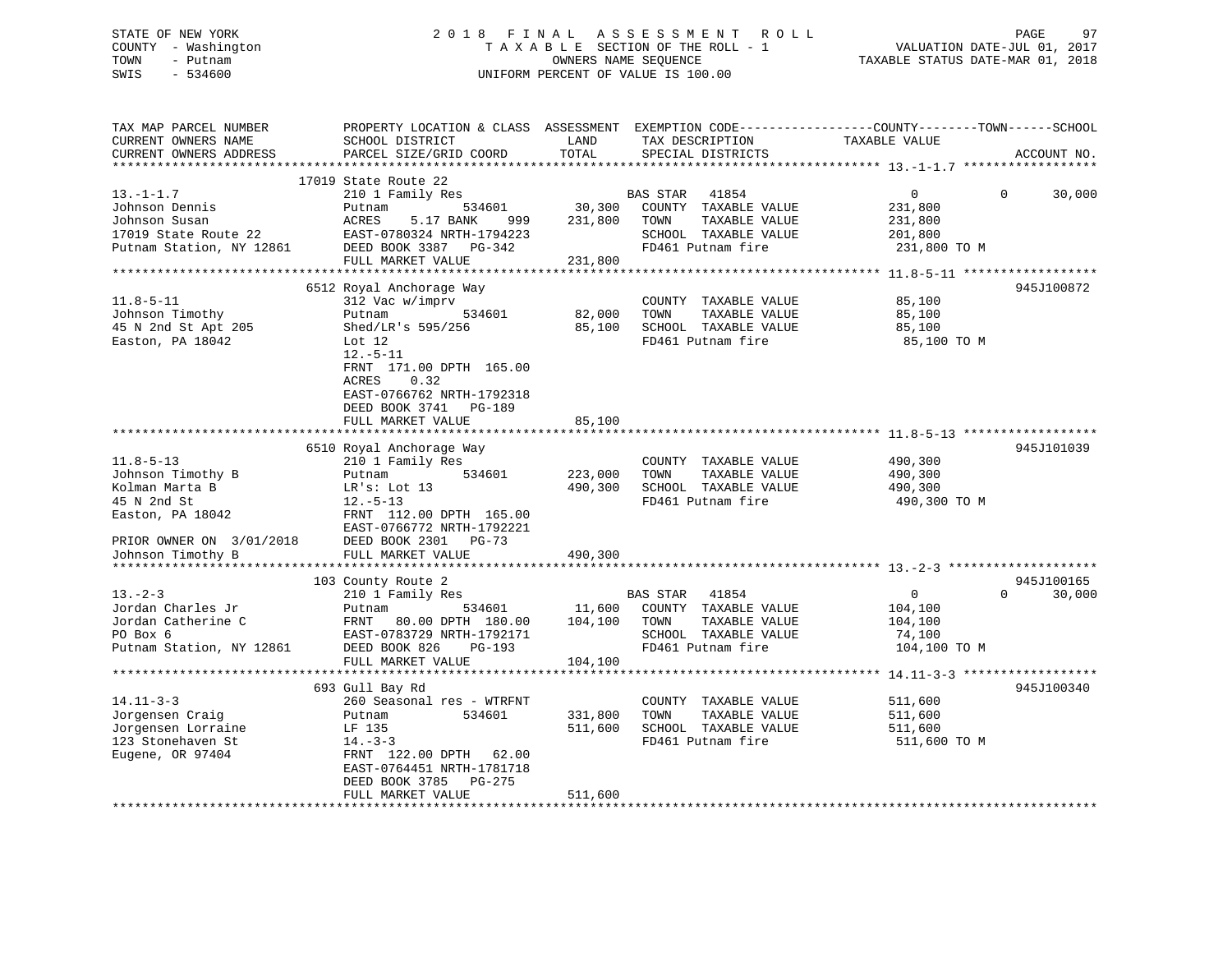### STATE OF NEW YORK 2 0 1 8 F I N A L A S S E S S M E N T R O L L PAGE 97 COUNTY - Washington T A X A B L E SECTION OF THE ROLL - 1 VALUATION DATE-JUL 01, 2017 TOWN - Putnam OWNERS NAME SEQUENCE TAXABLE STATUS DATE-MAR 01, 2018 SWIS - 534600 UNIFORM PERCENT OF VALUE IS 100.00

| TAX MAP PARCEL NUMBER<br>CURRENT OWNERS NAME<br>CURRENT OWNERS ADDRESS                                                                     | PROPERTY LOCATION & CLASS ASSESSMENT<br>SCHOOL DISTRICT<br>PARCEL SIZE/GRID COORD                                                                                                                                | LAND<br>TOTAL                 | TAX DESCRIPTION<br>SPECIAL DISTRICTS                                                                            | EXEMPTION CODE-----------------COUNTY-------TOWN------SCHOOL<br>TAXABLE VALUE | ACCOUNT NO. |
|--------------------------------------------------------------------------------------------------------------------------------------------|------------------------------------------------------------------------------------------------------------------------------------------------------------------------------------------------------------------|-------------------------------|-----------------------------------------------------------------------------------------------------------------|-------------------------------------------------------------------------------|-------------|
|                                                                                                                                            |                                                                                                                                                                                                                  |                               |                                                                                                                 |                                                                               |             |
| $13.-1-1.7$<br>Johnson Dennis<br>Johnson Susan<br>17019 State Route 22<br>Putnam Station, NY 12861                                         | 17019 State Route 22<br>210 1 Family Res<br>534601<br>Putnam<br>ACRES<br>5.17 BANK<br>999<br>EAST-0780324 NRTH-1794223<br>DEED BOOK 3387 PG-342<br>FULL MARKET VALUE                                             | 30,300<br>231,800<br>231,800  | BAS STAR<br>41854<br>COUNTY TAXABLE VALUE<br>TAXABLE VALUE<br>TOWN<br>SCHOOL TAXABLE VALUE<br>FD461 Putnam fire | $\overline{0}$<br>$\Omega$<br>231,800<br>231,800<br>201,800<br>231,800 TO M   | 30,000      |
|                                                                                                                                            |                                                                                                                                                                                                                  |                               |                                                                                                                 |                                                                               | 945J100872  |
| $11.8 - 5 - 11$<br>Johnson Timothy<br>45 N 2nd St Apt 205<br>Easton, PA 18042                                                              | 6512 Royal Anchorage Way<br>312 Vac w/imprv<br>Putnam<br>534601<br>Shed/LR's 595/256<br>Lot $12$<br>$12.-5-11$<br>FRNT 171.00 DPTH 165.00<br>ACRES<br>0.32<br>EAST-0766762 NRTH-1792318<br>DEED BOOK 3741 PG-189 | 82,000<br>85,100              | COUNTY TAXABLE VALUE<br>TAXABLE VALUE<br>TOWN<br>SCHOOL TAXABLE VALUE<br>FD461 Putnam fire                      | 85,100<br>85,100<br>85,100<br>85,100 TO M                                     |             |
|                                                                                                                                            | FULL MARKET VALUE                                                                                                                                                                                                | 85,100                        |                                                                                                                 |                                                                               |             |
| $11.8 - 5 - 13$<br>Johnson Timothy B<br>Kolman Marta B<br>45 N 2nd St<br>Easton, PA 18042<br>PRIOR OWNER ON 3/01/2018<br>Johnson Timothy B | 6510 Royal Anchorage Way<br>210 1 Family Res<br>534601<br>Putnam<br>LR's: Lot 13<br>$12.-5-13$<br>FRNT 112.00 DPTH 165.00<br>EAST-0766772 NRTH-1792221<br>DEED BOOK 2301 PG-73<br>FULL MARKET VALUE              | 223,000<br>490,300<br>490,300 | COUNTY TAXABLE VALUE<br>TAXABLE VALUE<br>TOWN<br>SCHOOL TAXABLE VALUE<br>FD461 Putnam fire                      | 490,300<br>490,300<br>490,300<br>490,300 TO M                                 | 945J101039  |
|                                                                                                                                            | 103 County Route 2                                                                                                                                                                                               |                               |                                                                                                                 |                                                                               | 945J100165  |
| $13 - 2 - 3$<br>Jordan Charles Jr<br>Jordan Catherine C<br>PO Box 6<br>Putnam Station, NY 12861                                            | 210 1 Family Res<br>534601<br>Putnam<br>FRNT<br>80.00 DPTH 180.00<br>EAST-0783729 NRTH-1792171<br>DEED BOOK 826<br>$PG-193$                                                                                      | 11,600<br>104,100             | BAS STAR 41854<br>COUNTY TAXABLE VALUE<br>TAXABLE VALUE<br>TOWN<br>SCHOOL TAXABLE VALUE<br>FD461 Putnam fire    | $\mathbf 0$<br>$\Omega$<br>104,100<br>104,100<br>74,100<br>104,100 TO M       | 30,000      |
|                                                                                                                                            | FULL MARKET VALUE                                                                                                                                                                                                | 104,100                       |                                                                                                                 |                                                                               |             |
| $14.11 - 3 - 3$<br>Jorgensen Craig<br>Jorgensen Lorraine<br>123 Stonehaven St<br>Eugene, OR 97404                                          | 693 Gull Bay Rd<br>260 Seasonal res - WTRFNT<br>534601<br>Putnam<br>LF 135<br>$14. - 3 - 3$<br>FRNT 122.00 DPTH 62.00<br>EAST-0764451 NRTH-1781718<br>DEED BOOK 3785<br>PG-275                                   | 331,800<br>511,600            | COUNTY TAXABLE VALUE<br>TAXABLE VALUE<br>TOWN<br>SCHOOL TAXABLE VALUE<br>FD461 Putnam fire                      | 511,600<br>511,600<br>511,600<br>511,600 TO M                                 | 945J100340  |
|                                                                                                                                            | FULL MARKET VALUE                                                                                                                                                                                                | 511,600                       |                                                                                                                 |                                                                               |             |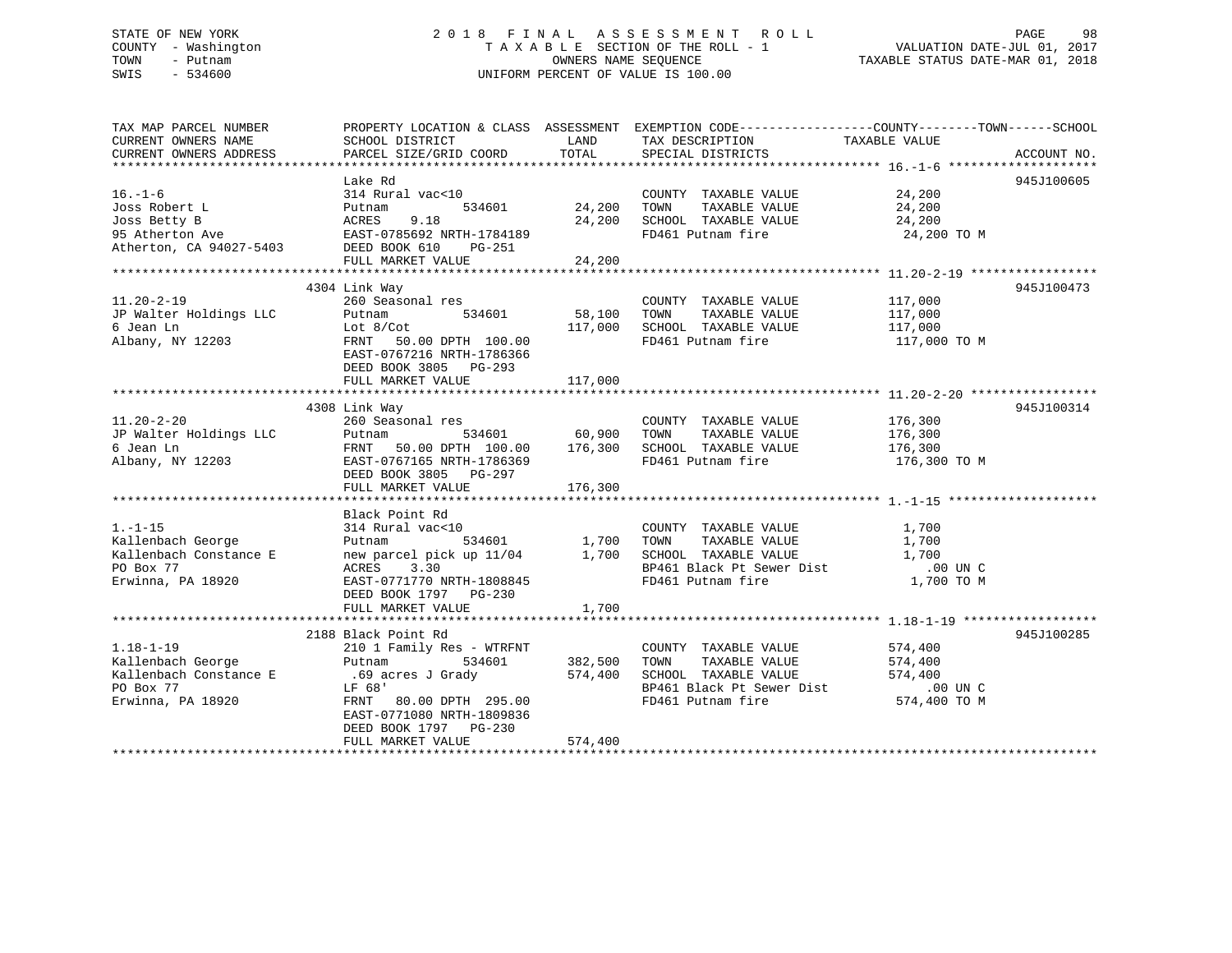### STATE OF NEW YORK 2 0 1 8 F I N A L A S S E S S M E N T R O L L PAGE 98 COUNTY - Washington T A X A B L E SECTION OF THE ROLL - 1 VALUATION DATE-JUL 01, 2017 TOWN - Putnam OWNERS NAME SEQUENCE TAXABLE STATUS DATE-MAR 01, 2018 SWIS - 534600 UNIFORM PERCENT OF VALUE IS 100.00

| TAX MAP PARCEL NUMBER                                                |                                                                                                                                                                                                                                                                                                                                                                                               |                    | PROPERTY LOCATION & CLASS ASSESSMENT EXEMPTION CODE---------------COUNTY-------TOWN-----SCHOOL |                    |            |
|----------------------------------------------------------------------|-----------------------------------------------------------------------------------------------------------------------------------------------------------------------------------------------------------------------------------------------------------------------------------------------------------------------------------------------------------------------------------------------|--------------------|------------------------------------------------------------------------------------------------|--------------------|------------|
| CURRENT OWNERS NAME                                                  | SCHOOL DISTRICT                                                                                                                                                                                                                                                                                                                                                                               | LAND               | TAX DESCRIPTION                                                                                | TAXABLE VALUE      |            |
|                                                                      |                                                                                                                                                                                                                                                                                                                                                                                               |                    |                                                                                                |                    |            |
|                                                                      |                                                                                                                                                                                                                                                                                                                                                                                               |                    |                                                                                                |                    |            |
|                                                                      | Lake Rd                                                                                                                                                                                                                                                                                                                                                                                       |                    |                                                                                                |                    | 945J100605 |
| $16. - 1 - 6$                                                        | 314 Rural vac<10                                                                                                                                                                                                                                                                                                                                                                              |                    | COUNTY TAXABLE VALUE 24,200                                                                    |                    |            |
| Joss Robert L                                                        |                                                                                                                                                                                                                                                                                                                                                                                               | 534601 24,200 TOWN |                                                                                                |                    |            |
|                                                                      |                                                                                                                                                                                                                                                                                                                                                                                               |                    | 24,200 TOWN TAXABLE VALUE<br>24,200 SCHOOL TAXABLE VALUE                                       | 24,200<br>24,200   |            |
|                                                                      | Joss Robert L<br>$\begin{tabular}{lllllllll} \textsc{Joss} & & & & \textsc{Pottnam} & & & \textsc{534601} \\ \textsc{Joss} & & & & & \textsc{Bets} & & \textsc{9.18} \\ \textsc{95} & & & & & \textsc{27-5403} & & \textsc{EAST-0785692} & & \textsc{NFH-1784189} \\ \textsc{Atherton, CA} & & & & \textsc{94027-5403} & & & \textsc{DEED} & \textsc{BOOK} & \textsc{610} & & \textsc{PG-251$ |                    | FD461 Putnam fire 24,200 TO M                                                                  |                    |            |
|                                                                      |                                                                                                                                                                                                                                                                                                                                                                                               |                    |                                                                                                |                    |            |
|                                                                      | FULL MARKET VALUE                                                                                                                                                                                                                                                                                                                                                                             | 24,200             |                                                                                                |                    |            |
|                                                                      |                                                                                                                                                                                                                                                                                                                                                                                               |                    |                                                                                                |                    |            |
|                                                                      | 4304 Link Way                                                                                                                                                                                                                                                                                                                                                                                 |                    |                                                                                                |                    | 945J100473 |
| $11.20 - 2 - 19$                                                     | 260 Seasonal res                                                                                                                                                                                                                                                                                                                                                                              |                    |                                                                                                |                    |            |
| JP Walter Holdings LLC                                               | 534601 58,100 TOWN<br>Putnam                                                                                                                                                                                                                                                                                                                                                                  |                    | COUNTY TAXABLE VALUE 117,000<br>TOWN TAXABLE VALUE 117,000                                     |                    |            |
|                                                                      |                                                                                                                                                                                                                                                                                                                                                                                               |                    |                                                                                                |                    |            |
|                                                                      |                                                                                                                                                                                                                                                                                                                                                                                               |                    | 117,000 SCHOOL TAXABLE VALUE 117,000                                                           |                    |            |
|                                                                      |                                                                                                                                                                                                                                                                                                                                                                                               |                    | FD461 Putnam fire                                                                              | 117,000 TO M       |            |
|                                                                      | EAST-0767216 NRTH-1786366                                                                                                                                                                                                                                                                                                                                                                     |                    |                                                                                                |                    |            |
|                                                                      | DEED BOOK 3805 PG-293                                                                                                                                                                                                                                                                                                                                                                         |                    |                                                                                                |                    |            |
|                                                                      | FULL MARKET VALUE                                                                                                                                                                                                                                                                                                                                                                             | 117,000            |                                                                                                |                    |            |
|                                                                      |                                                                                                                                                                                                                                                                                                                                                                                               |                    |                                                                                                |                    |            |
|                                                                      | 4308 Link Way                                                                                                                                                                                                                                                                                                                                                                                 |                    |                                                                                                |                    | 945J100314 |
| $11.20 - 2 - 20$                                                     | 260 Seasonal res                                                                                                                                                                                                                                                                                                                                                                              |                    | COUNTY TAXABLE VALUE                                                                           | 176,300<br>176,300 |            |
|                                                                      | Putnam 534601 60,900 TOWN                                                                                                                                                                                                                                                                                                                                                                     |                    | TAXABLE VALUE                                                                                  |                    |            |
| JP Walter Holdings LLC<br>6 Jean Ln<br>6 Jean Ln<br>Albany, NY 12203 | FRNT 50.00 DPTH 100.00 176,300 SCHOOL TAXABLE VALUE 176,300<br>EAST-0767165 NRTH-1786369 FD461 Putnam fire 176.300 176.300                                                                                                                                                                                                                                                                    |                    |                                                                                                |                    |            |
|                                                                      | EAST-0767165 NRTH-1786369                                                                                                                                                                                                                                                                                                                                                                     |                    | FD461 Putnam fire                                                                              | 176,300 TO M       |            |
|                                                                      | DEED BOOK 3805 PG-297                                                                                                                                                                                                                                                                                                                                                                         |                    |                                                                                                |                    |            |
|                                                                      |                                                                                                                                                                                                                                                                                                                                                                                               |                    |                                                                                                |                    |            |
|                                                                      |                                                                                                                                                                                                                                                                                                                                                                                               |                    |                                                                                                |                    |            |
|                                                                      | Black Point Rd                                                                                                                                                                                                                                                                                                                                                                                |                    |                                                                                                |                    |            |
| $1. - 1 - 15$                                                        | 314 Rural vac<10                                                                                                                                                                                                                                                                                                                                                                              |                    | COUNTY TAXABLE VALUE                                                                           | 1,700              |            |
|                                                                      |                                                                                                                                                                                                                                                                                                                                                                                               |                    | TAXABLE VALUE                                                                                  | 1,700              |            |
|                                                                      | Putnam 534601 1,700 TOWN TAXABLE VALUE<br>new parcel pick up 11/04 1,700 SCHOOL TAXABLE VALUE<br>ACRES 3.30 BP461 Black Pt Sewer Dist                                                                                                                                                                                                                                                         |                    |                                                                                                | 1,700              |            |
| PO Box 77                                                            |                                                                                                                                                                                                                                                                                                                                                                                               |                    | BP461 Black Pt Sewer Dist .00 UN C                                                             |                    |            |
| Erwinna, PA 18920                                                    | EAST-0771770 NRTH-1808845                                                                                                                                                                                                                                                                                                                                                                     |                    | FD461 Putnam fire                                                                              | 1,700 TO M         |            |
|                                                                      | DEED BOOK 1797    PG-230                                                                                                                                                                                                                                                                                                                                                                      |                    |                                                                                                |                    |            |
|                                                                      | FULL MARKET VALUE                                                                                                                                                                                                                                                                                                                                                                             | 1,700              |                                                                                                |                    |            |
|                                                                      |                                                                                                                                                                                                                                                                                                                                                                                               |                    |                                                                                                |                    |            |
|                                                                      | 2188 Black Point Rd                                                                                                                                                                                                                                                                                                                                                                           |                    |                                                                                                |                    | 945J100285 |
| $1.18 - 1 - 19$                                                      | 210 1 Family Res - WTRFNT                                                                                                                                                                                                                                                                                                                                                                     |                    | COUNTY TAXABLE VALUE                                                                           | 574,400            |            |
| Kallenbach George                                                    | Putnam                                                                                                                                                                                                                                                                                                                                                                                        | 534601 382,500     | TAXABLE VALUE 574,400<br>TOWN                                                                  |                    |            |
|                                                                      |                                                                                                                                                                                                                                                                                                                                                                                               |                    | 574,400 SCHOOL TAXABLE VALUE                                                                   | 574,400            |            |
| Kallenbach Constance E .69 acres J Grady<br>$PQ$ Box 77<br>PO Box 77 | LF 68'                                                                                                                                                                                                                                                                                                                                                                                        |                    |                                                                                                |                    |            |
|                                                                      |                                                                                                                                                                                                                                                                                                                                                                                               |                    |                                                                                                |                    |            |
| Erwinna, PA 18920                                                    | FRNT 80.00 DPTH 295.00                                                                                                                                                                                                                                                                                                                                                                        |                    | FD461 Putnam fire                                                                              | 574,400 TO M       |            |
|                                                                      | EAST-0771080 NRTH-1809836                                                                                                                                                                                                                                                                                                                                                                     |                    |                                                                                                |                    |            |
|                                                                      | DEED BOOK 1797 PG-230                                                                                                                                                                                                                                                                                                                                                                         |                    |                                                                                                |                    |            |
|                                                                      | FULL MARKET VALUE                                                                                                                                                                                                                                                                                                                                                                             | 574,400            |                                                                                                |                    |            |
|                                                                      |                                                                                                                                                                                                                                                                                                                                                                                               |                    |                                                                                                |                    |            |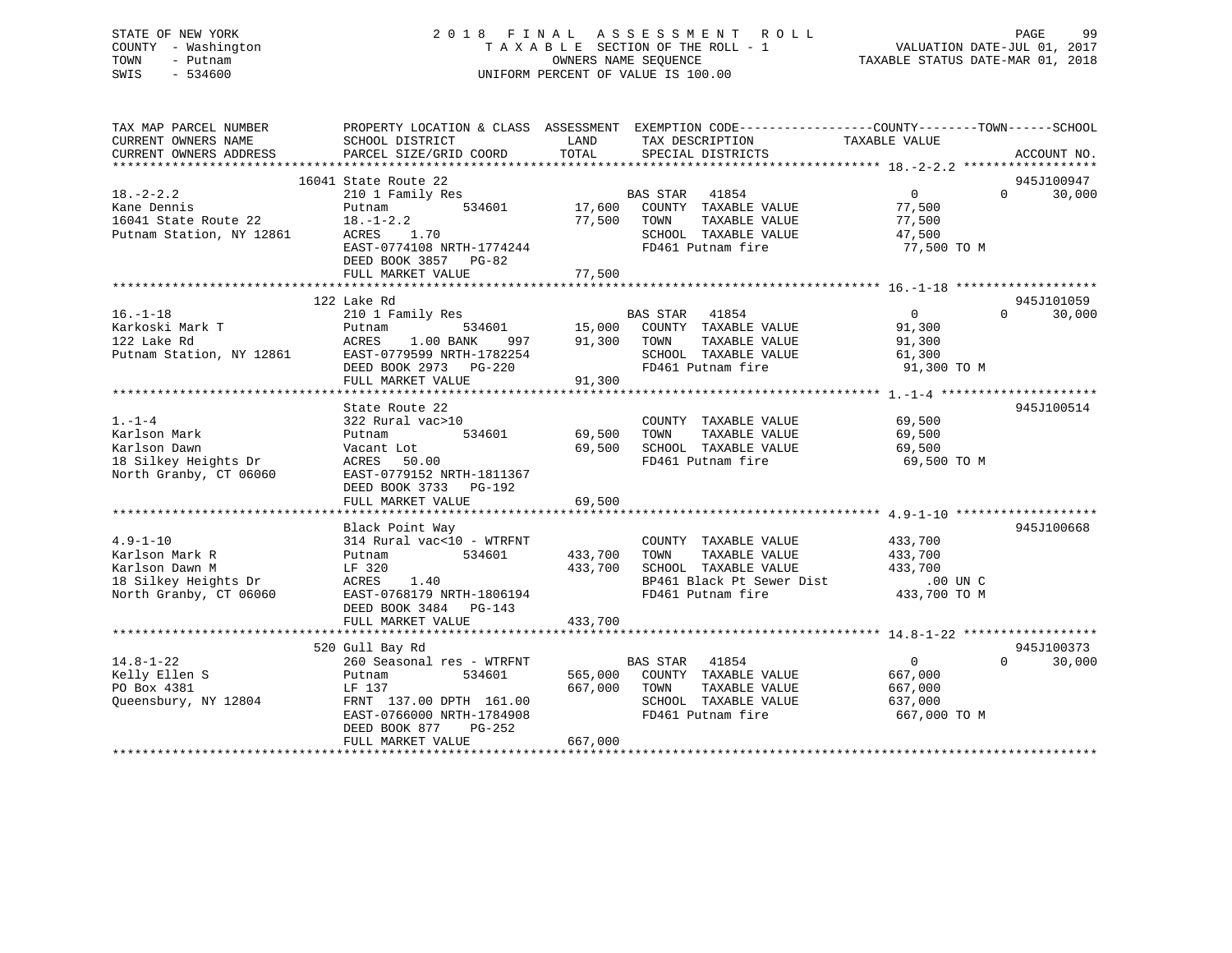### STATE OF NEW YORK 2 0 1 8 F I N A L A S S E S S M E N T R O L L PAGE 99 COUNTY - Washington T A X A B L E SECTION OF THE ROLL - 1 VALUATION DATE-JUL 01, 2017 TOWN - Putnam OWNERS NAME SEQUENCE TAXABLE STATUS DATE-MAR 01, 2018 SWIS - 534600 UNIFORM PERCENT OF VALUE IS 100.00

| TAX MAP PARCEL NUMBER<br>CURRENT OWNERS NAME<br>CURRENT OWNERS ADDRESS                               | SCHOOL DISTRICT<br>PARCEL SIZE/GRID COORD                                                                                                                                          | PROPERTY LOCATION & CLASS ASSESSMENT EXEMPTION CODE----------------COUNTY-------TOWN------SCHOOL<br>LAND<br>TAX DESCRIPTION<br>TOTAL<br>SPECIAL DISTRICTS | TAXABLE VALUE<br>ACCOUNT NO.                                                                        |
|------------------------------------------------------------------------------------------------------|------------------------------------------------------------------------------------------------------------------------------------------------------------------------------------|-----------------------------------------------------------------------------------------------------------------------------------------------------------|-----------------------------------------------------------------------------------------------------|
| $18. -2 - 2.2$<br>Kane Dennis<br>16041 State Route 22<br>Putnam Station, NY 12861                    | 16041 State Route 22<br>210 1 Family Res<br>534601<br>Putnam<br>$18. - 1 - 2.2$<br>ACRES<br>1.70<br>EAST-0774108 NRTH-1774244<br>DEED BOOK 3857 PG-82<br>FULL MARKET VALUE         | BAS STAR 41854<br>17,600<br>COUNTY TAXABLE VALUE<br>77,500<br>TOWN<br>TAXABLE VALUE<br>SCHOOL TAXABLE VALUE<br>FD461 Putnam fire<br>77,500                | 945J100947<br>$\Omega$<br>$0 \qquad \qquad$<br>30,000<br>77,500<br>77,500<br>47,500<br>77,500 TO M  |
| $16. - 1 - 18$<br>Karkoski Mark T<br>122 Lake Rd<br>Putnam Station, NY 12861                         | 122 Lake Rd<br>210 1 Family Res<br>534601<br>Putnam<br>1.00 BANK<br>ACRES<br>997<br>EAST-0779599 NRTH-1782254<br>DEED BOOK 2973 PG-220<br>FULL MARKET VALUE                        | BAS STAR 41854<br>COUNTY TAXABLE VALUE<br>15,000<br>91,300<br>TAXABLE VALUE<br>TOWN<br>SCHOOL TAXABLE VALUE<br>FD461 Putnam fire<br>91,300                | 945J101059<br>$\overline{0}$<br>$\Omega$<br>30,000<br>91,300<br>91,300<br>61,300<br>91,300 TO M     |
| $1. - 1 - 4$<br>Karlson Mark<br>Karlson Dawn<br>18 Silkey Heights Dr<br>North Granby, CT 06060       | State Route 22<br>322 Rural vac>10<br>534601<br>Putnam<br>Vacant Lot<br>ACRES 50.00<br>EAST-0779152 NRTH-1811367<br>DEED BOOK 3733 PG-192<br>FULL MARKET VALUE                     | COUNTY TAXABLE VALUE<br>TOWN<br>TAXABLE VALUE<br>69,500<br>SCHOOL TAXABLE VALUE<br>69,500<br>FD461 Putnam fire<br>69,500                                  | 945J100514<br>69,500<br>69,500<br>69,500<br>69,500 TO M                                             |
| $4.9 - 1 - 10$<br>Karlson Mark R<br>Karlson Dawn M<br>18 Silkey Heights Dr<br>North Granby, CT 06060 | Black Point Way<br>314 Rural vac<10 - WTRFNT<br>534601<br>Putnam<br>LF 320<br>ACRES<br>1.40<br>EAST-0768179 NRTH-1806194<br>DEED BOOK 3484 PG-143<br>FULL MARKET VALUE             | COUNTY TAXABLE VALUE<br>433,700<br>TOWN<br>TAXABLE VALUE<br>433,700<br>SCHOOL TAXABLE VALUE<br>BP461 Black Pt Sewer Dist<br>FD461 Putnam fire<br>433,700  | 945J100668<br>433,700<br>433,700<br>433,700<br>.00 UN C<br>433,700 TO M                             |
| $14.8 - 1 - 22$<br>Kelly Ellen S<br>PO Box 4381<br>Oueensbury, NY 12804                              | 520 Gull Bay Rd<br>260 Seasonal res - WTRFNT<br>534601<br>Putnam<br>LF 137<br>FRNT 137.00 DPTH 161.00<br>EAST-0766000 NRTH-1784908<br>DEED BOOK 877<br>PG-252<br>FULL MARKET VALUE | <b>BAS STAR</b><br>41854<br>565,000<br>COUNTY TAXABLE VALUE<br>667,000<br>TOWN<br>TAXABLE VALUE<br>SCHOOL TAXABLE VALUE<br>FD461 Putnam fire<br>667,000   | 945J100373<br>$\overline{0}$<br>$\Omega$<br>30,000<br>667,000<br>667,000<br>637,000<br>667,000 TO M |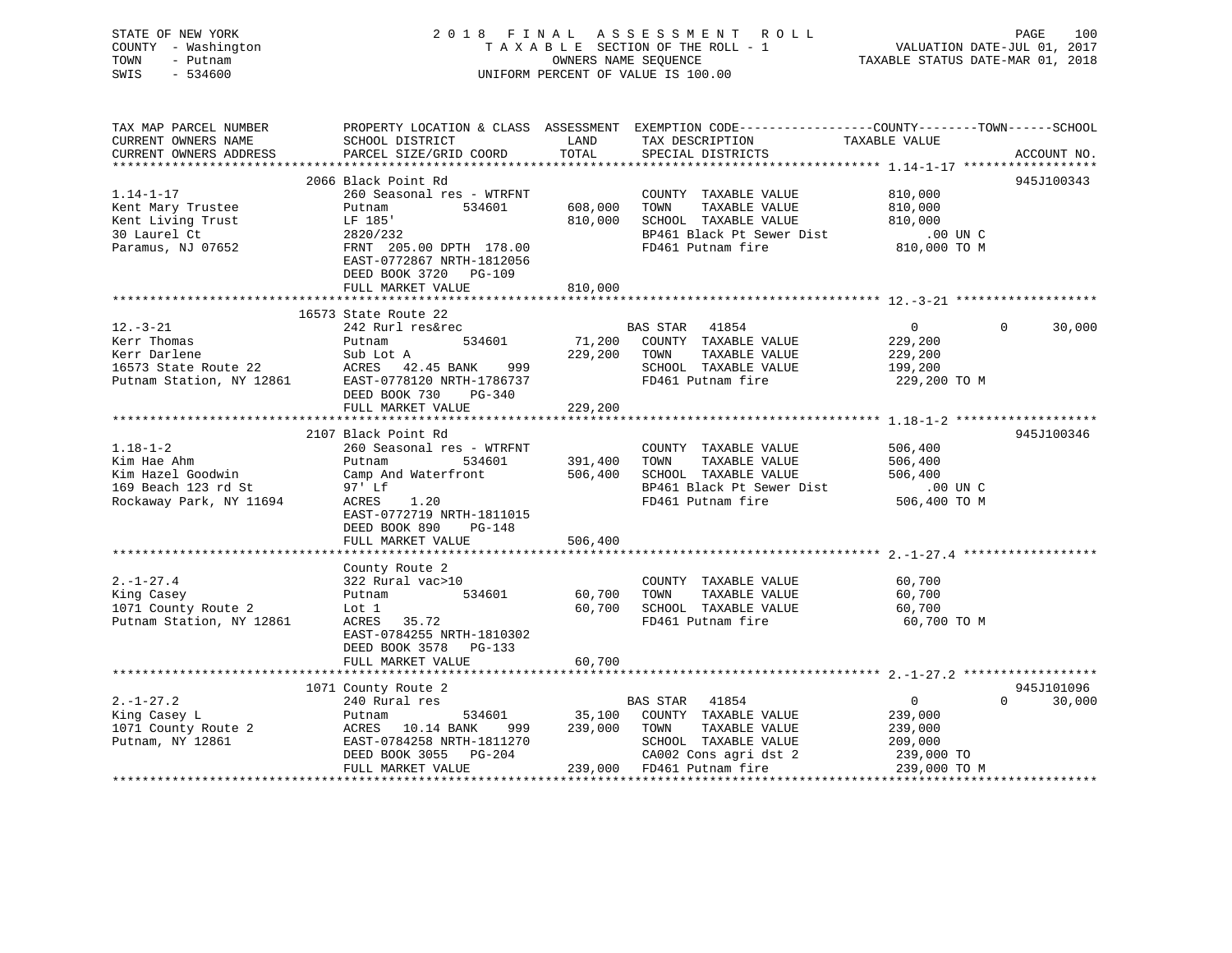| STATE OF NEW YORK<br>COUNTY - Washington<br>TOWN<br>- Putnam<br>SWIS<br>$-534600$                                                   |                                     |                                | 2018 FINAL ASSESSMENT ROLL<br>T A X A B L E SECTION OF THE ROLL - 1<br>OWNERS NAME SEQUENCE<br>UNIFORM PERCENT OF VALUE IS 100.00                                                                          | VALUATION DATE-JUL 01, 2017<br>TAXABLE STATUS DATE-MAR 01, 2018 | PAGE<br>100                 |
|-------------------------------------------------------------------------------------------------------------------------------------|-------------------------------------|--------------------------------|------------------------------------------------------------------------------------------------------------------------------------------------------------------------------------------------------------|-----------------------------------------------------------------|-----------------------------|
| TAX MAP PARCEL NUMBER<br>CURRENT OWNERS NAME<br>CURRENT OWNERS ADDRESS                                                              |                                     |                                | PROPERTY LOCATION & CLASS ASSESSMENT EXEMPTION CODE---------------COUNTY-------TOWN-----SCHOOL<br>TAX DESCRIPTION TAXABLE VALUE<br>SPECIAL DISTRICTS                                                       |                                                                 | ACCOUNT NO.                 |
|                                                                                                                                     |                                     |                                |                                                                                                                                                                                                            |                                                                 |                             |
|                                                                                                                                     | 2066 Black Point Rd                 |                                |                                                                                                                                                                                                            |                                                                 | 945J100343                  |
| $1.14 - 1 - 17$<br>Kent Mary Trustee                                                                                                |                                     |                                | 260 Seasonal res - WTRFNT COUNTY TAXABLE VALUE 810,000<br>Putnam 534601 608,000 TOWN TAXABLE VALUE 810,000                                                                                                 |                                                                 |                             |
| Kent Living Trust                                                                                                                   | LF 185'                             |                                |                                                                                                                                                                                                            |                                                                 |                             |
| 30 Laurel Ct                                                                                                                        |                                     |                                | 810,000 IOWN IRARDER VALUE 810,000<br>BP461 Black Pt Sewer Dist 00 UN C<br>FD461 Putnam fire 810,000 TO M                                                                                                  |                                                                 |                             |
| Paramus, NJ 07652                                                                                                                   | 2820/232<br>FRNT 205.00 DPTH 178.00 |                                |                                                                                                                                                                                                            |                                                                 |                             |
|                                                                                                                                     | EAST-0772867 NRTH-1812056           |                                |                                                                                                                                                                                                            |                                                                 |                             |
|                                                                                                                                     | DEED BOOK 3720 PG-109               |                                |                                                                                                                                                                                                            |                                                                 |                             |
|                                                                                                                                     | FULL MARKET VALUE                   | 810,000                        |                                                                                                                                                                                                            |                                                                 |                             |
|                                                                                                                                     |                                     |                                |                                                                                                                                                                                                            |                                                                 |                             |
|                                                                                                                                     | 16573 State Route 22                |                                |                                                                                                                                                                                                            |                                                                 |                             |
| $12. - 3 - 21$                                                                                                                      | 242 Rurl res&rec                    |                                | BAS STAR 41854                                                                                                                                                                                             | $\overline{0}$                                                  | $\Omega$<br>30,000          |
| Kerr Thomas                                                                                                                         | Putnam<br>534601                    |                                | 71,200 COUNTY TAXABLE VALUE<br>229,200 TOWN TAXABLE VALUE                                                                                                                                                  |                                                                 |                             |
| Rerr Inomas<br>Kerr Darlene                                                                                                         |                                     |                                |                                                                                                                                                                                                            | 229,200<br>229,200                                              |                             |
|                                                                                                                                     |                                     |                                | SCHOOL TAXABLE VALUE                                                                                                                                                                                       | 199,200                                                         |                             |
| Exer Darlene Sub Lot A<br>16573 State Route 22 ACRES 42.45 BANK 999<br>Putnam Station, NY 12861 EAST-0778120 NRTH-1786737           |                                     |                                | FD461 Putnam fire 229,200 TO M                                                                                                                                                                             |                                                                 |                             |
|                                                                                                                                     | DEED BOOK 730 PG-340                |                                |                                                                                                                                                                                                            |                                                                 |                             |
|                                                                                                                                     | FULL MARKET VALUE                   | 229,200                        |                                                                                                                                                                                                            |                                                                 |                             |
|                                                                                                                                     |                                     |                                |                                                                                                                                                                                                            |                                                                 |                             |
|                                                                                                                                     | 2107 Black Point Rd                 |                                |                                                                                                                                                                                                            |                                                                 | 945J100346                  |
| $1.18 - 1 - 2$                                                                                                                      | 260 Seasonal res - WTRFNT           |                                | COUNTY TAXABLE VALUE                                                                                                                                                                                       | 506,400                                                         |                             |
| Kim Hae Ahm                                                                                                                         |                                     |                                | Putnam 534601 391,400 TOWN TAXABLE VALUE 506,400<br>Camp And Waterfront 506,400 SCHOOL TAXABLE VALUE 506,400                                                                                               |                                                                 |                             |
| Kim Hazel Goodwin                                                                                                                   |                                     |                                |                                                                                                                                                                                                            |                                                                 |                             |
| 169 Beach 123 rd St                                                                                                                 | 97' Lf                              |                                | BP461 Black Pt Sewer Dist<br>FD461 Putnam fire                                                                                                                                                             | 00 UN C.<br>506,400 TO M                                        |                             |
| Rockaway Park, NY 11694                                                                                                             | 1.20<br>ACRES                       |                                |                                                                                                                                                                                                            |                                                                 |                             |
|                                                                                                                                     | EAST-0772719 NRTH-1811015           |                                |                                                                                                                                                                                                            |                                                                 |                             |
|                                                                                                                                     | DEED BOOK 890 PG-148                |                                |                                                                                                                                                                                                            |                                                                 |                             |
|                                                                                                                                     | FULL MARKET VALUE                   | 506,400<br>******************* |                                                                                                                                                                                                            |                                                                 |                             |
|                                                                                                                                     |                                     |                                |                                                                                                                                                                                                            |                                                                 |                             |
| $2. - 1 - 27.4$                                                                                                                     | County Route 2<br>322 Rural vac>10  |                                | COUNTY TAXABLE VALUE                                                                                                                                                                                       | 60,700                                                          |                             |
| King Casey                                                                                                                          |                                     | 534601 60,700                  | TOWN<br>TAXABLE VALUE                                                                                                                                                                                      |                                                                 |                             |
| 1071 County Route 2                                                                                                                 | Putnam<br>Lot 1                     |                                | 60,700 SCHOOL TAXABLE VALUE                                                                                                                                                                                | 60,700<br>60,700                                                |                             |
| Putnam Station, NY 12861                                                                                                            | ACRES 35.72                         |                                | FD461 Putnam fire                                                                                                                                                                                          | 60,700 TO M                                                     |                             |
|                                                                                                                                     | EAST-0784255 NRTH-1810302           |                                |                                                                                                                                                                                                            |                                                                 |                             |
|                                                                                                                                     | DEED BOOK 3578 PG-133               |                                |                                                                                                                                                                                                            |                                                                 |                             |
|                                                                                                                                     | FULL MARKET VALUE                   | 60,700                         |                                                                                                                                                                                                            |                                                                 |                             |
|                                                                                                                                     |                                     |                                |                                                                                                                                                                                                            |                                                                 |                             |
|                                                                                                                                     | 1071 County Route 2                 |                                |                                                                                                                                                                                                            |                                                                 | 945J101096                  |
| $2. -1 - 27.2$                                                                                                                      | 240 Rural res                       |                                | BAS STAR 41854                                                                                                                                                                                             | $\overline{0}$                                                  | $0 \qquad \qquad$<br>30,000 |
| X-1-27.2<br>King Casey L<br>1071 County Route 2<br>Putnam, NY 12861<br>Putnam, NY 12861<br>RAST-0784258 NRTH-1<br>DEED ROOK 3055 PG |                                     |                                |                                                                                                                                                                                                            |                                                                 |                             |
|                                                                                                                                     |                                     |                                | 534601 35,100 COUNTY TAXABLE VALUE<br>ANK 999 239,000 TOWN TAXABLE VALUE                                                                                                                                   | 239,000<br>239,000                                              |                             |
|                                                                                                                                     |                                     |                                |                                                                                                                                                                                                            |                                                                 |                             |
|                                                                                                                                     |                                     |                                | EAST-0784258 NRTH-1811270<br>EED BOOK 3055 PG-204 CA002 Cons agri dst 2 239,000 TO<br>FULL MARKET VALUE 239,000 FD461 Putnam fire 239,000 TO M<br>FULL MARKET VALUE 239,000 FD461 Putnam fire 239,000 TO M |                                                                 |                             |
|                                                                                                                                     |                                     |                                |                                                                                                                                                                                                            |                                                                 |                             |
|                                                                                                                                     |                                     |                                |                                                                                                                                                                                                            |                                                                 |                             |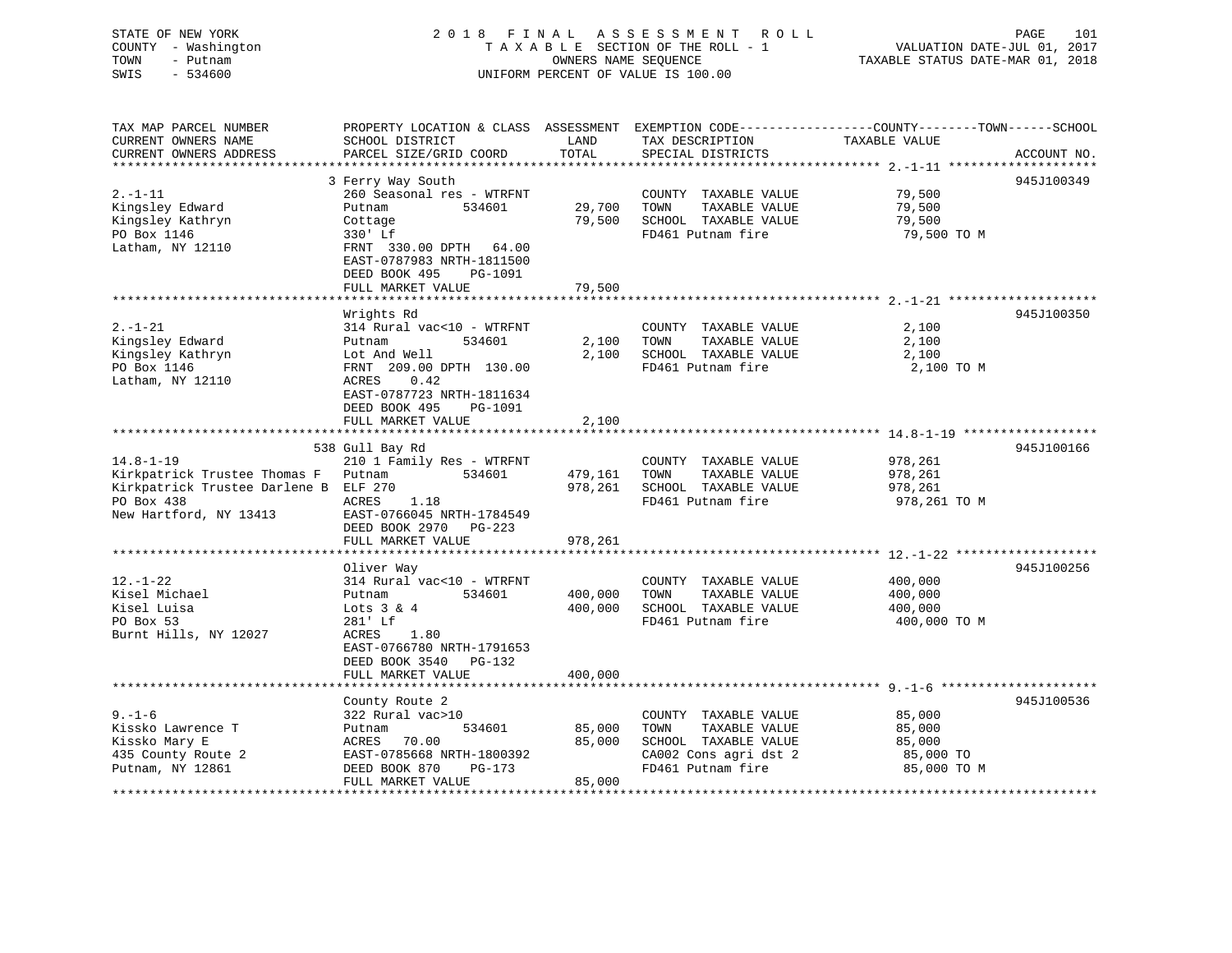### STATE OF NEW YORK 2 0 1 8 F I N A L A S S E S S M E N T R O L L PAGE 101 COUNTY - Washington T A X A B L E SECTION OF THE ROLL - 1 VALUATION DATE-JUL 01, 2017 TOWN - Putnam OWNERS NAME SEQUENCE TAXABLE STATUS DATE-MAR 01, 2018 SWIS - 534600 UNIFORM PERCENT OF VALUE IS 100.00UNIFORM PERCENT OF VALUE IS 100.00

| TAX MAP PARCEL NUMBER                 |                                                    |         |                       | PROPERTY LOCATION & CLASS ASSESSMENT EXEMPTION CODE---------------COUNTY-------TOWN------SCHOOL |             |
|---------------------------------------|----------------------------------------------------|---------|-----------------------|-------------------------------------------------------------------------------------------------|-------------|
| CURRENT OWNERS NAME                   | SCHOOL DISTRICT                                    | LAND    | TAX DESCRIPTION       | TAXABLE VALUE                                                                                   |             |
| CURRENT OWNERS ADDRESS                | PARCEL SIZE/GRID COORD                             | TOTAL   | SPECIAL DISTRICTS     |                                                                                                 | ACCOUNT NO. |
|                                       |                                                    |         |                       |                                                                                                 |             |
|                                       | 3 Ferry Way South                                  |         |                       |                                                                                                 | 945J100349  |
| $2. -1 - 11$                          | 260 Seasonal res - WTRFNT                          |         | COUNTY TAXABLE VALUE  | 79,500                                                                                          |             |
| Kingsley Edward                       | 534601<br>Putnam                                   | 29,700  | TOWN<br>TAXABLE VALUE | 79,500                                                                                          |             |
| Kingsley Kathryn                      | Cottage                                            | 79,500  | SCHOOL TAXABLE VALUE  | 79,500                                                                                          |             |
| PO Box 1146                           | 330' Lf                                            |         | FD461 Putnam fire     | 79,500 TO M                                                                                     |             |
| Latham, NY 12110                      | FRNT 330.00 DPTH 64.00                             |         |                       |                                                                                                 |             |
|                                       | EAST-0787983 NRTH-1811500                          |         |                       |                                                                                                 |             |
|                                       | DEED BOOK 495<br>PG-1091                           |         |                       |                                                                                                 |             |
|                                       | FULL MARKET VALUE                                  | 79,500  |                       |                                                                                                 |             |
|                                       | Wrights Rd                                         |         |                       |                                                                                                 | 945J100350  |
| $2. - 1 - 21$                         | 314 Rural vac<10 - WTRFNT                          |         | COUNTY TAXABLE VALUE  | 2,100                                                                                           |             |
| Kingsley Edward                       | Putnam<br>534601                                   | 2,100   | TOWN<br>TAXABLE VALUE | 2,100                                                                                           |             |
| Kingsley Kathryn                      | Lot And Well                                       | 2,100   | SCHOOL TAXABLE VALUE  | 2,100                                                                                           |             |
| PO Box 1146                           | FRNT 209.00 DPTH 130.00                            |         | FD461 Putnam fire     | 2,100 TO M                                                                                      |             |
| Latham, NY 12110                      | 0.42<br>ACRES                                      |         |                       |                                                                                                 |             |
|                                       | EAST-0787723 NRTH-1811634                          |         |                       |                                                                                                 |             |
|                                       | DEED BOOK 495<br>PG-1091                           |         |                       |                                                                                                 |             |
|                                       | FULL MARKET VALUE                                  | 2,100   |                       |                                                                                                 |             |
|                                       |                                                    |         |                       |                                                                                                 |             |
|                                       | 538 Gull Bay Rd                                    |         |                       |                                                                                                 | 945J100166  |
| $14.8 - 1 - 19$                       | 210 1 Family Res - WTRFNT                          |         | COUNTY TAXABLE VALUE  | 978,261                                                                                         |             |
| Kirkpatrick Trustee Thomas F Putnam   | 534601                                             | 479,161 | TOWN<br>TAXABLE VALUE | 978,261                                                                                         |             |
| Kirkpatrick Trustee Darlene B ELF 270 |                                                    | 978,261 | SCHOOL TAXABLE VALUE  | 978,261                                                                                         |             |
| PO Box 438                            | ACRES<br>1.18                                      |         | FD461 Putnam fire     | 978,261 TO M                                                                                    |             |
| New Hartford, NY 13413                | EAST-0766045 NRTH-1784549                          |         |                       |                                                                                                 |             |
|                                       | DEED BOOK 2970 PG-223                              |         |                       |                                                                                                 |             |
|                                       | FULL MARKET VALUE                                  | 978,261 |                       |                                                                                                 |             |
|                                       |                                                    |         |                       |                                                                                                 |             |
|                                       | Oliver Way                                         |         |                       |                                                                                                 | 945J100256  |
| $12. - 1 - 22$                        | 314 Rural vac<10 - WTRFNT                          |         | COUNTY TAXABLE VALUE  | 400,000                                                                                         |             |
| Kisel Michael                         | Putnam<br>534601                                   | 400,000 | TOWN<br>TAXABLE VALUE | 400,000                                                                                         |             |
| Kisel Luisa                           | Lots $3 \& 4$                                      | 400,000 | SCHOOL TAXABLE VALUE  | 400,000                                                                                         |             |
| PO Box 53                             | 281' Lf                                            |         | FD461 Putnam fire     | 400,000 TO M                                                                                    |             |
| Burnt Hills, NY 12027                 | 1.80<br>ACRES                                      |         |                       |                                                                                                 |             |
|                                       | EAST-0766780 NRTH-1791653<br>DEED BOOK 3540 PG-132 |         |                       |                                                                                                 |             |
|                                       | FULL MARKET VALUE                                  | 400,000 |                       |                                                                                                 |             |
|                                       |                                                    |         |                       |                                                                                                 |             |
|                                       | County Route 2                                     |         |                       |                                                                                                 | 945J100536  |
| $9 - 1 - 6$                           | 322 Rural vac>10                                   |         | COUNTY TAXABLE VALUE  | 85,000                                                                                          |             |
| Kissko Lawrence T                     | 534601<br>Putnam                                   | 85,000  | TOWN<br>TAXABLE VALUE | 85,000                                                                                          |             |
| Kissko Mary E                         | ACRES 70.00                                        | 85,000  | SCHOOL TAXABLE VALUE  | 85,000                                                                                          |             |
| 435 County Route 2                    | EAST-0785668 NRTH-1800392                          |         | CA002 Cons agri dst 2 | 85,000 TO                                                                                       |             |
| Putnam, NY 12861                      | DEED BOOK 870<br>$PG-173$                          |         | FD461 Putnam fire     | 85,000 TO M                                                                                     |             |
|                                       | FULL MARKET VALUE                                  | 85,000  |                       |                                                                                                 |             |
|                                       |                                                    |         |                       |                                                                                                 |             |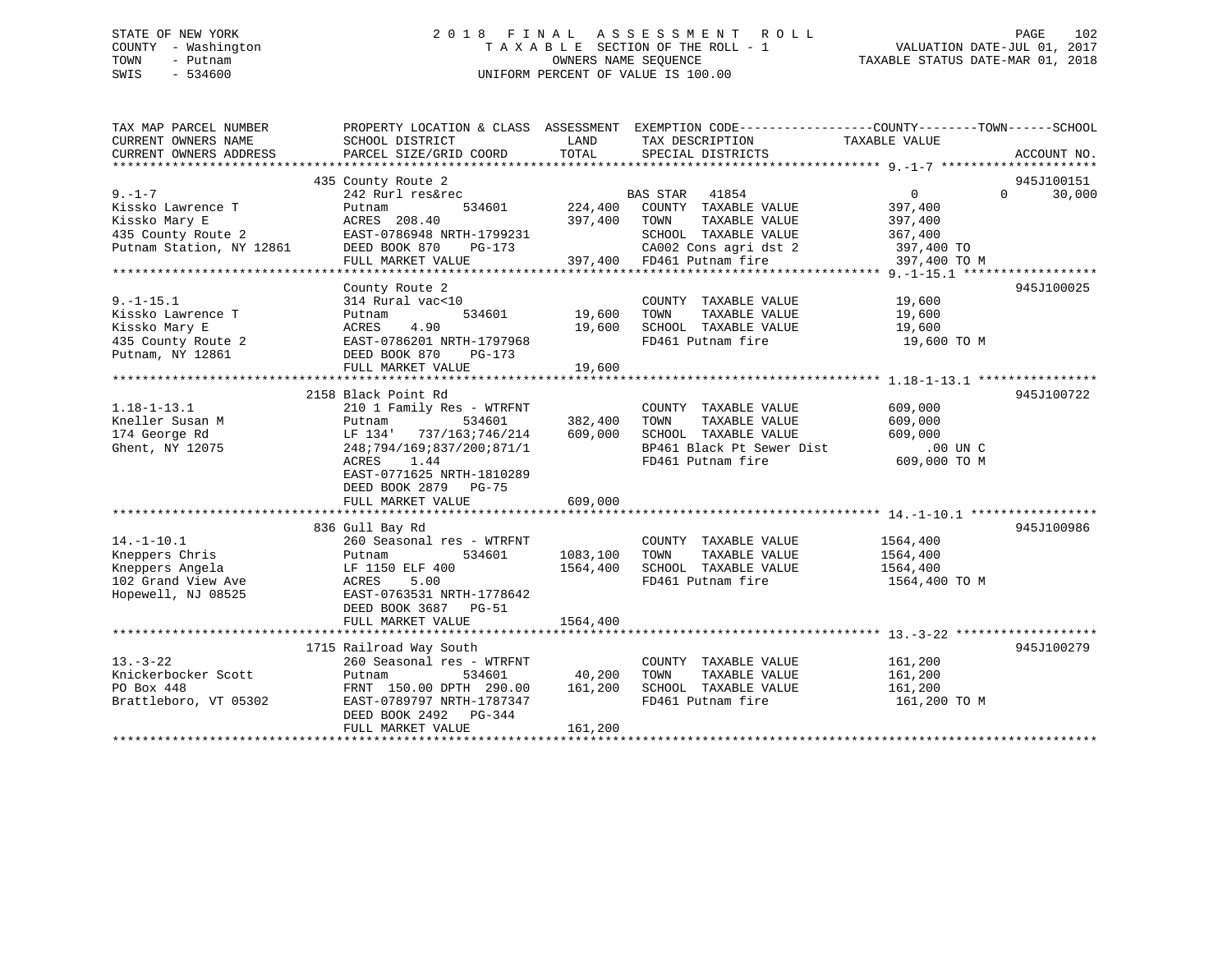### STATE OF NEW YORK 2 0 1 8 F I N A L A S S E S S M E N T R O L L PAGE 102 COUNTY - Washington T A X A B L E SECTION OF THE ROLL - 1 VALUATION DATE-JUL 01, 2017 TOWN - Putnam **CONNERS NAME SEQUENCE** TAXABLE STATUS DATE-MAR 01, 2018 SWIS - 534600 UNIFORM PERCENT OF VALUE IS 100.00

| TAX MAP PARCEL NUMBER    |                                                           |               | PROPERTY LOCATION & CLASS ASSESSMENT EXEMPTION CODE----------------COUNTY-------TOWN------SCHOOL |                          |              |
|--------------------------|-----------------------------------------------------------|---------------|--------------------------------------------------------------------------------------------------|--------------------------|--------------|
| CURRENT OWNERS NAME      | SCHOOL DISTRICT                                           | LAND          | TAX DESCRIPTION                                                                                  | TAXABLE VALUE            |              |
| CURRENT OWNERS ADDRESS   | PARCEL SIZE/GRID COORD                                    | TOTAL         | SPECIAL DISTRICTS                                                                                |                          | ACCOUNT NO.  |
|                          |                                                           |               |                                                                                                  |                          |              |
|                          | 435 County Route 2                                        |               |                                                                                                  |                          | 945J100151   |
| $9 - 1 - 7$              | 242 Rurl res&rec                                          |               | BAS STAR 41854                                                                                   | $0 \qquad \qquad$        | $0 \t30,000$ |
| Kissko Lawrence T        | 534601<br>Putnam                                          | 224,400       | COUNTY TAXABLE VALUE                                                                             | 397,400                  |              |
| Kissko Mary E            | ACRES 208.40<br>ACKES 208.40<br>EAST-0786948 NRTH-1799231 |               | 397,400 TOWN TAXABLE VALUE                                                                       | 397,400                  |              |
| 435 County Route 2       |                                                           |               | SCHOOL TAXABLE VALUE                                                                             | 367,400                  |              |
| Putnam Station, NY 12861 | DEED BOOK 870<br>PG-173                                   |               | CA002 Cons agri dst 2 397,400 TO                                                                 |                          |              |
|                          | FULL MARKET VALUE                                         |               |                                                                                                  | 397,400 TO M             |              |
|                          |                                                           |               |                                                                                                  |                          |              |
|                          | County Route 2                                            |               |                                                                                                  |                          | 945J100025   |
| $9. - 1 - 15.1$          | 314 Rural vac<10                                          |               | COUNTY TAXABLE VALUE 19,600                                                                      |                          |              |
| Kissko Lawrence T        | Putnam                                                    | 534601 19,600 | TOWN<br>TAXABLE VALUE                                                                            | 19,600                   |              |
| Kissko Mary E            | 4.90<br>ACRES                                             | 19,600        | SCHOOL TAXABLE VALUE                                                                             | 19,600                   |              |
| 435 County Route 2       | EAST-0786201 NRTH-1797968                                 |               | FD461 Putnam fire                                                                                | 19,600 TO M              |              |
| Putnam, NY 12861         | DEED BOOK 870<br>PG-173                                   |               |                                                                                                  |                          |              |
|                          | FULL MARKET VALUE                                         | 19,600        |                                                                                                  |                          |              |
|                          |                                                           |               |                                                                                                  |                          |              |
|                          | 2158 Black Point Rd                                       |               |                                                                                                  |                          | 945J100722   |
| $1.18 - 1 - 13.1$        | 210 1 Family Res - WTRFNT                                 |               | COUNTY TAXABLE VALUE                                                                             | 609,000                  |              |
| Kneller Susan M          | 534601<br>Putnam                                          | 382,400       | TOWN<br>TAXABLE VALUE                                                                            | 609,000                  |              |
| 174 George Rd            | LF 134'<br>737/163;746/214                                | 609,000       | SCHOOL TAXABLE VALUE                                                                             | 609,000                  |              |
| Ghent, NY 12075          | 248;794/169;837/200;871/1                                 |               | BP461 Black Pt Sewer Dist                                                                        | 00 UN C.<br>609,000 TO M |              |
|                          | ACRES<br>1.44                                             |               | FD461 Putnam fire                                                                                |                          |              |
|                          | EAST-0771625 NRTH-1810289                                 |               |                                                                                                  |                          |              |
|                          | DEED BOOK 2879 PG-75                                      |               |                                                                                                  |                          |              |
|                          | FULL MARKET VALUE                                         | 609,000       |                                                                                                  |                          |              |
|                          |                                                           |               |                                                                                                  |                          |              |
|                          | 836 Gull Bay Rd                                           |               |                                                                                                  |                          | 945J100986   |
| $14. - 1 - 10.1$         | 260 Seasonal res - WTRFNT                                 |               | COUNTY TAXABLE VALUE                                                                             | 1564,400                 |              |
| Kneppers Chris           | 534601<br>Putnam                                          | 1083,100      | TOWN<br>TAXABLE VALUE                                                                            | 1564,400                 |              |
| Kneppers Angela          | LF 1150 ELF 400                                           | 1564,400      | SCHOOL TAXABLE VALUE                                                                             | 1564,400                 |              |
| 102 Grand View Ave       | 5.00<br>ACRES                                             |               | FD461 Putnam fire                                                                                | 1564,400 TO M            |              |
| Hopewell, NJ 08525       | EAST-0763531 NRTH-1778642                                 |               |                                                                                                  |                          |              |
|                          | DEED BOOK 3687 PG-51                                      |               |                                                                                                  |                          |              |
|                          | FULL MARKET VALUE                                         | 1564,400      |                                                                                                  |                          |              |
|                          |                                                           |               |                                                                                                  |                          |              |
|                          | 1715 Railroad Way South                                   |               |                                                                                                  |                          | 945J100279   |
| $13. - 3 - 22$           | 260 Seasonal res - WTRFNT                                 |               | COUNTY TAXABLE VALUE 161,200                                                                     |                          |              |
| Knickerbocker Scott      | 534601<br>Putnam                                          | 40,200        | TOWN TAXABLE VALUE                                                                               | 161,200                  |              |
| PO Box 448               | FRNT 150.00 DPTH 290.00 161,200                           |               | SCHOOL TAXABLE VALUE                                                                             | 161,200                  |              |
| Brattleboro, VT 05302    | EAST-0789797 NRTH-1787347                                 |               | FD461 Putnam fire                                                                                | 161,200 TO M             |              |
|                          | DEED BOOK 2492 PG-344                                     |               |                                                                                                  |                          |              |
|                          | FULL MARKET VALUE                                         | 161,200       |                                                                                                  |                          |              |
|                          |                                                           |               |                                                                                                  |                          |              |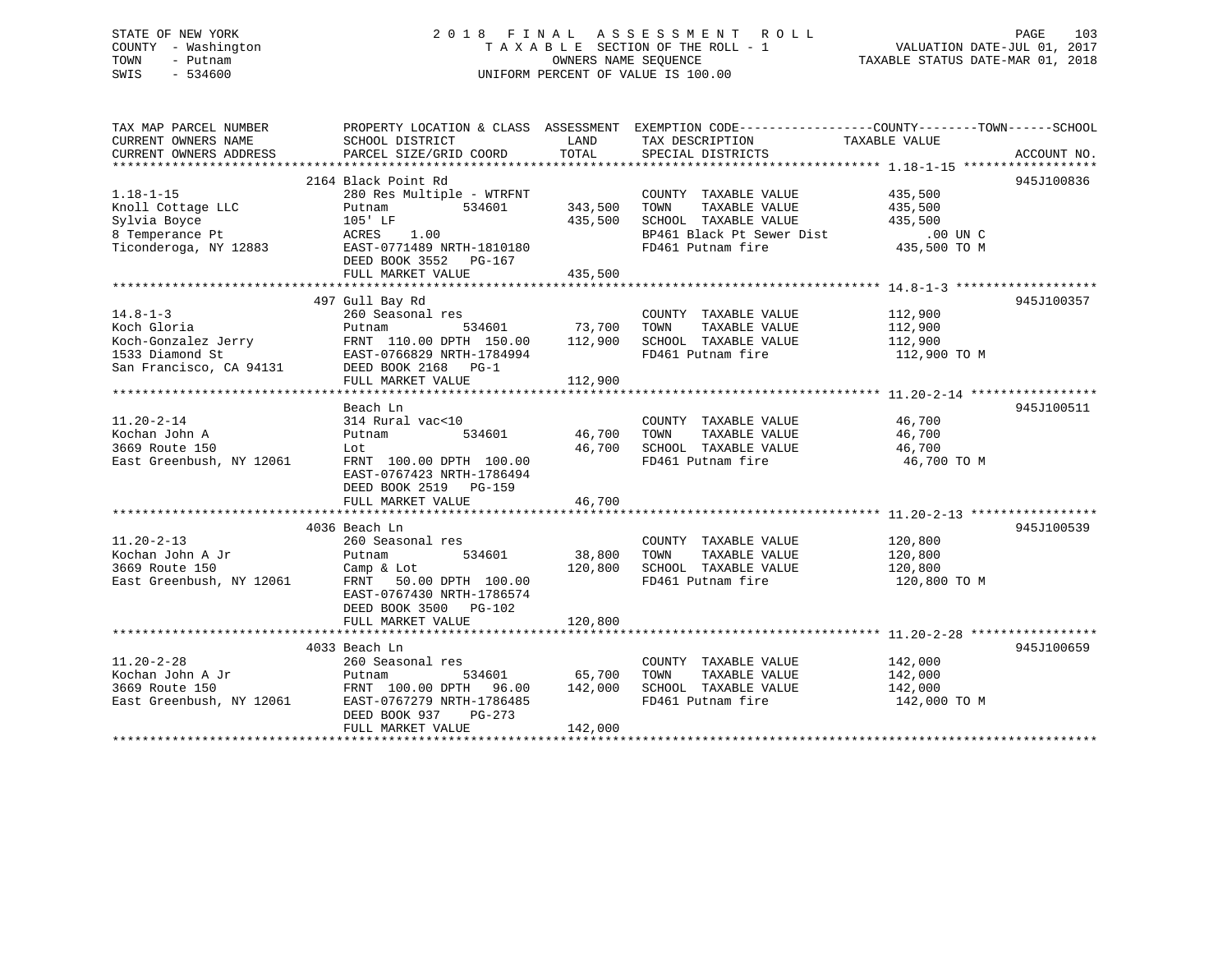### STATE OF NEW YORK 2 0 1 8 F I N A L A S S E S S M E N T R O L L PAGE 103 COUNTY - Washington T A X A B L E SECTION OF THE ROLL - 1 VALUATION DATE-JUL 01, 2017 TOWN - Putnam OWNERS NAME SEQUENCE TAXABLE STATUS DATE-MAR 01, 2018 SWIS - 534600 UNIFORM PERCENT OF VALUE IS 100.00

| TAX MAP PARCEL NUMBER<br>CURRENT OWNERS NAME             | SCHOOL DISTRICT                                         | LAND          | PROPERTY LOCATION & CLASS ASSESSMENT EXEMPTION CODE----------------COUNTY-------TOWN------SCHOOL<br>TAX DESCRIPTION TAXABLE VALUE SPECIAL DISTRICTS |              |             |
|----------------------------------------------------------|---------------------------------------------------------|---------------|-----------------------------------------------------------------------------------------------------------------------------------------------------|--------------|-------------|
| CURRENT OWNERS ADDRESS                                   | PARCEL SIZE/GRID COORD                                  | TOTAL         | SPECIAL DISTRICTS                                                                                                                                   |              | ACCOUNT NO. |
|                                                          | 2164 Black Point Rd                                     |               |                                                                                                                                                     |              | 945J100836  |
| $1.18 - 1 - 15$                                          | 280 Res Multiple - WTRFNT                               |               | COUNTY TAXABLE VALUE                                                                                                                                | 435,500      |             |
| Knoll Cottage LLC                                        | 534601<br>Putnam                                        | 343,500       | TOWN<br>TAXABLE VALUE                                                                                                                               | 435,500      |             |
| Sylvia Boyce<br>8 Temperance Pt<br>Ticonderoga, NY 12883 | 105' LF                                                 | 435,500       | SCHOOL TAXABLE VALUE 435,500                                                                                                                        |              |             |
|                                                          | ACRES 1.00                                              |               | DUN C<br>BP461 Black Pt Sewer Dist .00 UN C<br>PD461 Dutnam fire  435,500 TO M                                                                      |              |             |
|                                                          | EAST-0771489 NRTH-1810180<br>DEED BOOK 3552 PG-167      |               |                                                                                                                                                     |              |             |
|                                                          | FULL MARKET VALUE                                       | 435,500       |                                                                                                                                                     |              |             |
|                                                          |                                                         |               |                                                                                                                                                     |              |             |
|                                                          | 497 Gull Bay Rd                                         |               |                                                                                                                                                     |              | 945J100357  |
| $14.8 - 1 - 3$                                           | 260 Seasonal res                                        |               | COUNTY TAXABLE VALUE 112,900                                                                                                                        |              |             |
| Koch Gloria                                              | Putnam 534601 73,700<br>FRNT 110.00 DPTH 150.00 112,900 |               | TAXABLE VALUE<br>TOWN                                                                                                                               | 112,900      |             |
|                                                          |                                                         |               | SCHOOL TAXABLE VALUE                                                                                                                                | 112,900      |             |
|                                                          |                                                         |               | FD461 Putnam fire                                                                                                                                   | 112,900 TO M |             |
|                                                          |                                                         |               |                                                                                                                                                     |              |             |
|                                                          | FULL MARKET VALUE                                       | 112,900       |                                                                                                                                                     |              |             |
|                                                          |                                                         |               |                                                                                                                                                     |              |             |
|                                                          | Beach Ln                                                |               |                                                                                                                                                     |              | 945J100511  |
| $11.20 - 2 - 14$                                         | 314 Rural vac<10                                        | 46,700        | COUNTY TAXABLE VALUE 46,700                                                                                                                         |              |             |
| Kochan John A                                            | 534601<br>Putnam                                        | 46,700        | TOWN<br>TAXABLE VALUE<br>SCHOOL TAXABLE VALUE 46,700                                                                                                | 46,700       |             |
| 3669 Route 150                                           | Lot                                                     |               | FD461 Putnam fire                                                                                                                                   |              |             |
| East Greenbush, NY 12061                                 | FRNT 100.00 DPTH 100.00<br>EAST-0767423 NRTH-1786494    |               |                                                                                                                                                     | 46,700 TO M  |             |
|                                                          |                                                         |               |                                                                                                                                                     |              |             |
|                                                          | DEED BOOK 2519 PG-159<br>FULL MARKET VALUE              | 46,700        |                                                                                                                                                     |              |             |
|                                                          |                                                         |               |                                                                                                                                                     |              |             |
|                                                          | 4036 Beach Ln                                           |               |                                                                                                                                                     |              | 945J100539  |
| $11.20 - 2 - 13$                                         | 260 Seasonal res                                        |               | COUNTY TAXABLE VALUE 120,800                                                                                                                        |              |             |
| Kochan John A Jr                                         | 534601<br>Putnam                                        | 38,800        | TOWN                                                                                                                                                |              |             |
| 3669 Route 150                                           | Camp & Lot                                              |               | TAXABLE VALUE 120,800<br>TAXABLE VALUE 120,800<br>120,800 SCHOOL TAXABLE VALUE                                                                      |              |             |
| East Greenbush, NY 12061                                 | FRNT 50.00 DPTH 100.00                                  |               | FD461 Putnam fire                                                                                                                                   | 120,800 TO M |             |
|                                                          | EAST-0767430 NRTH-1786574                               |               |                                                                                                                                                     |              |             |
|                                                          | DEED BOOK 3500 PG-102                                   |               |                                                                                                                                                     |              |             |
|                                                          | FULL MARKET VALUE                                       | 120,800       |                                                                                                                                                     |              |             |
|                                                          |                                                         |               |                                                                                                                                                     |              |             |
|                                                          | 4033 Beach Ln                                           |               |                                                                                                                                                     |              | 945J100659  |
| $11.20 - 2 - 28$                                         | 260 Seasonal res                                        |               | COUNTY TAXABLE VALUE 142,000                                                                                                                        |              |             |
| Kochan John A Jr                                         | Putnam                                                  | 534601 65,700 | TAXABLE VALUE 142,000<br>TOWN                                                                                                                       |              |             |
|                                                          | FRNT 100.00 DPTH 96.00 142,000                          |               | SCHOOL TAXABLE VALUE 142,000                                                                                                                        |              |             |
| 3669 Route 150<br>East Greenbush, NY 12061               | EAST-0767279 NRTH-1786485                               |               | FD461 Putnam fire                                                                                                                                   | 142,000 TO M |             |
|                                                          | DEED BOOK 937<br>$PG-273$                               |               |                                                                                                                                                     |              |             |
|                                                          | FULL MARKET VALUE                                       | 142,000       |                                                                                                                                                     |              |             |
|                                                          |                                                         |               |                                                                                                                                                     |              |             |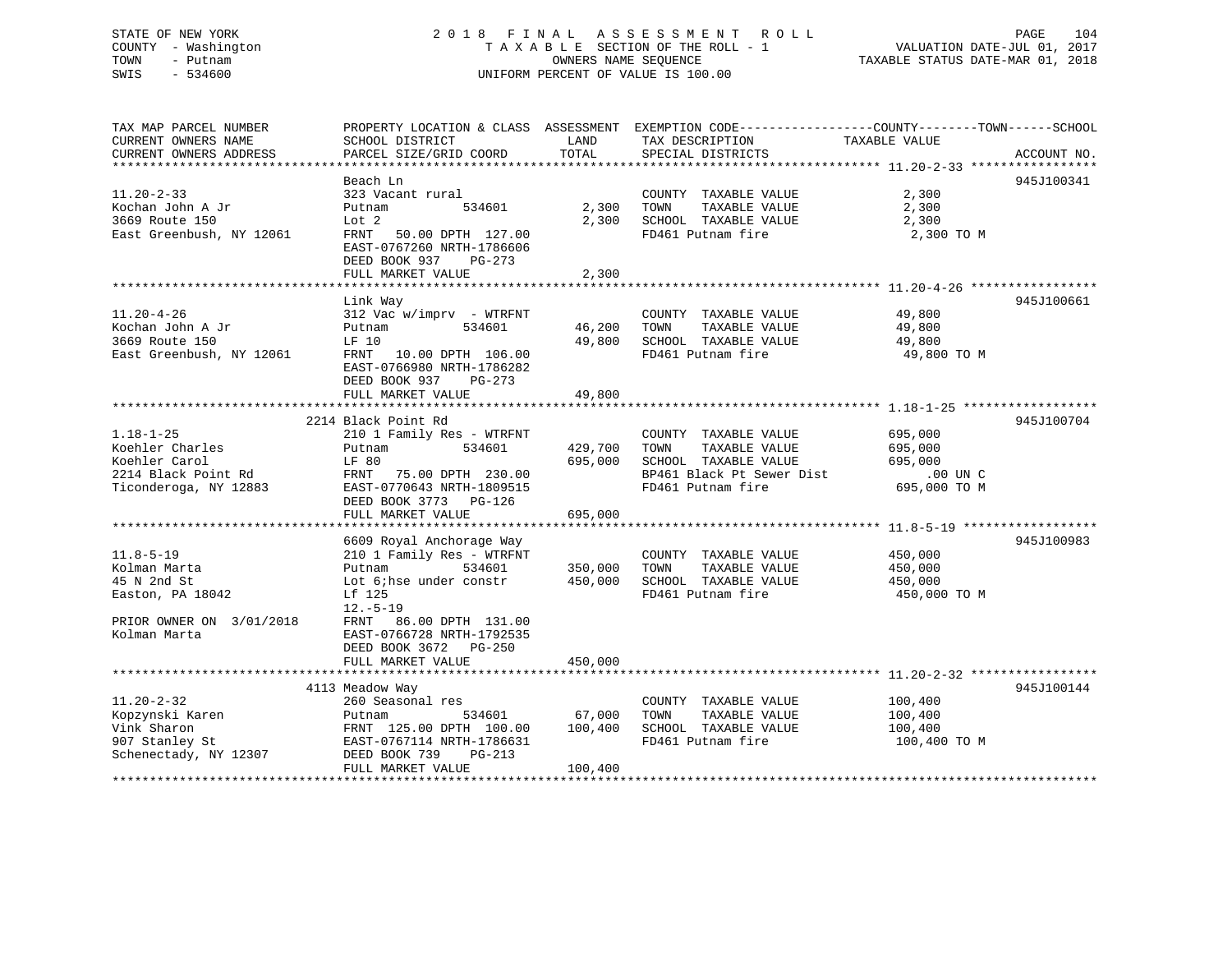### STATE OF NEW YORK 2 0 1 8 F I N A L A S S E S S M E N T R O L L PAGE 104 COUNTY - Washington T A X A B L E SECTION OF THE ROLL - 1 VALUATION DATE-JUL 01, 2017 TOWN - Putnam **CONNERS NAME SEQUENCE** TAXABLE STATUS DATE-MAR 01, 2018 SWIS - 534600 UNIFORM PERCENT OF VALUE IS 100.00

| TAX MAP PARCEL NUMBER               | PROPERTY LOCATION & CLASS ASSESSMENT EXEMPTION CODE----------------COUNTY-------TOWN------SCHOOL |         |                           |               |             |
|-------------------------------------|--------------------------------------------------------------------------------------------------|---------|---------------------------|---------------|-------------|
| CURRENT OWNERS NAME                 | SCHOOL DISTRICT                                                                                  | LAND    | TAX DESCRIPTION           | TAXABLE VALUE |             |
| CURRENT OWNERS ADDRESS              | PARCEL SIZE/GRID COORD                                                                           | TOTAL   | SPECIAL DISTRICTS         |               | ACCOUNT NO. |
|                                     |                                                                                                  |         |                           |               |             |
|                                     | Beach Ln                                                                                         |         |                           |               | 945J100341  |
| $11.20 - 2 - 33$                    | 323 Vacant rural                                                                                 |         | COUNTY TAXABLE VALUE      | 2,300         |             |
| Kochan John A Jr                    | Putnam<br>534601                                                                                 | 2,300   | TAXABLE VALUE<br>TOWN     | 2,300         |             |
| 3669 Route 150                      | Lot 2                                                                                            | 2,300   | SCHOOL TAXABLE VALUE      | 2,300         |             |
| East Greenbush, NY 12061            | FRNT 50.00 DPTH 127.00                                                                           |         | FD461 Putnam fire         | 2,300 TO M    |             |
|                                     | EAST-0767260 NRTH-1786606                                                                        |         |                           |               |             |
|                                     | DEED BOOK 937 PG-273                                                                             |         |                           |               |             |
|                                     | FULL MARKET VALUE                                                                                | 2,300   |                           |               |             |
|                                     |                                                                                                  |         |                           |               |             |
|                                     | Link Way                                                                                         |         |                           |               | 945J100661  |
| $11.20 - 4 - 26$                    | 312 Vac w/imprv - WTRFNT                                                                         |         | COUNTY TAXABLE VALUE      | 49,800        |             |
| Kochan John A Jr                    | 534601<br>Putnam                                                                                 | 46,200  | TAXABLE VALUE<br>TOWN     | 49,800        |             |
| 3669 Route 150                      | LF 10                                                                                            | 49,800  | SCHOOL TAXABLE VALUE      | 49,800        |             |
| East Greenbush, NY 12061            | FRNT 10.00 DPTH 106.00                                                                           |         | FD461 Putnam fire         | 49,800 TO M   |             |
|                                     | EAST-0766980 NRTH-1786282                                                                        |         |                           |               |             |
|                                     | PG-273                                                                                           |         |                           |               |             |
|                                     | DEED BOOK 937                                                                                    |         |                           |               |             |
|                                     | FULL MARKET VALUE                                                                                | 49,800  |                           |               |             |
|                                     | 2214 Black Point Rd                                                                              |         |                           |               | 945J100704  |
| $1.18 - 1 - 25$                     |                                                                                                  |         |                           | 695,000       |             |
| Koehler Charles                     | 210 1 Family Res - WTRFNT<br>534601                                                              |         | COUNTY TAXABLE VALUE      |               |             |
|                                     | Putnam                                                                                           | 429,700 | TOWN<br>TAXABLE VALUE     | 695,000       |             |
| Koehler Carol                       | LF 80                                                                                            | 695,000 | SCHOOL TAXABLE VALUE      | 695,000       |             |
| 2214 Black Point Rd                 | FRNT 75.00 DPTH 230.00                                                                           |         | BP461 Black Pt Sewer Dist | .00 UN C      |             |
| Ticonderoga, NY 12883               | EAST-0770643 NRTH-1809515                                                                        |         | FD461 Putnam fire         | 695,000 TO M  |             |
|                                     | DEED BOOK 3773 PG-126                                                                            |         |                           |               |             |
|                                     | FULL MARKET VALUE                                                                                | 695,000 |                           |               |             |
|                                     |                                                                                                  |         |                           |               |             |
|                                     | 6609 Royal Anchorage Way                                                                         |         |                           |               | 945J100983  |
| $11.8 - 5 - 19$                     | 210 1 Family Res - WTRFNT                                                                        |         | COUNTY TAXABLE VALUE      | 450,000       |             |
| Kolman Marta                        | Putnam 534601 350,000                                                                            |         | TOWN<br>TAXABLE VALUE     | 450,000       |             |
| 45 N 2nd St                         | Lot 6;hse under constr                                                                           | 450,000 | SCHOOL TAXABLE VALUE      | 450,000       |             |
| Easton, PA 18042                    | Lf 125                                                                                           |         | FD461 Putnam fire         | 450,000 TO M  |             |
|                                     | $12.-5-19$                                                                                       |         |                           |               |             |
| PRIOR OWNER ON 3/01/2018            | FRNT 86.00 DPTH 131.00                                                                           |         |                           |               |             |
| Kolman Marta                        | EAST-0766728 NRTH-1792535                                                                        |         |                           |               |             |
|                                     | DEED BOOK 3672 PG-250                                                                            |         |                           |               |             |
|                                     | FULL MARKET VALUE                                                                                | 450,000 |                           |               |             |
|                                     |                                                                                                  |         |                           |               |             |
|                                     | 4113 Meadow Way                                                                                  |         |                           |               | 945J100144  |
| $11.20 - 2 - 32$                    | 260 Seasonal res                                                                                 |         | COUNTY TAXABLE VALUE      | 100,400       |             |
| Kopzynski Karen                     | 534601<br>Putnam                                                                                 | 67,000  | TOWN<br>TAXABLE VALUE     | 100,400       |             |
| Vink Sharon                         | FRNT 125.00 DPTH 100.00                                                                          | 100,400 | SCHOOL TAXABLE VALUE      | 100,400       |             |
| 907 Stanley St                      | EAST-0767114 NRTH-1786631                                                                        |         | FD461 Putnam fire         | 100,400 TO M  |             |
| Schenectady, NY 12307 DEED BOOK 739 | $PG-213$                                                                                         |         |                           |               |             |
|                                     | FULL MARKET VALUE                                                                                | 100,400 |                           |               |             |
|                                     |                                                                                                  |         |                           |               |             |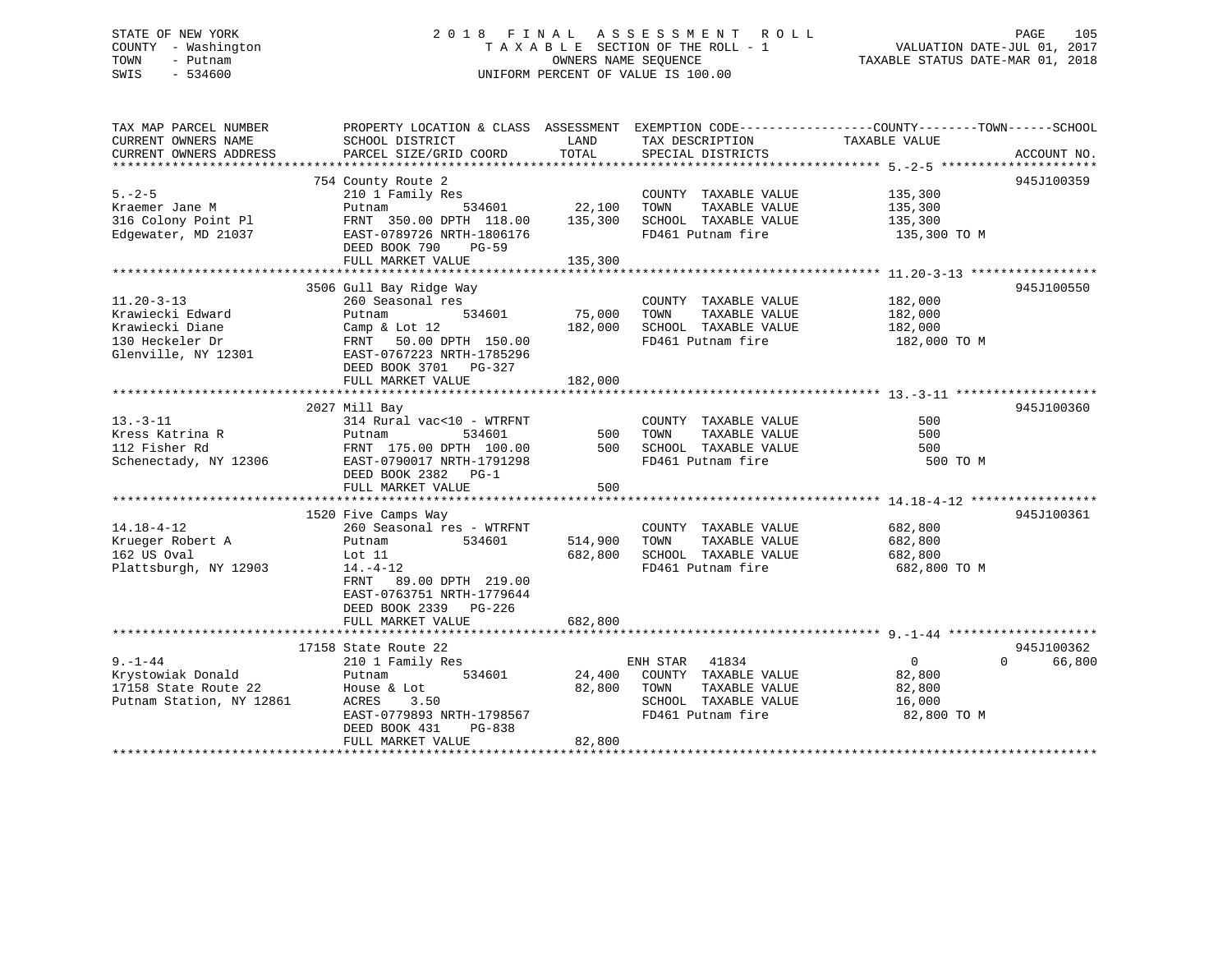### STATE OF NEW YORK 2 0 1 8 F I N A L A S S E S S M E N T R O L L PAGE 105 COUNTY - Washington T A X A B L E SECTION OF THE ROLL - 1 VALUATION DATE-JUL 01, 2017 TOWN - Putnam OWNERS NAME SEQUENCE TAXABLE STATUS DATE-MAR 01, 2018 SWIS - 534600 UNIFORM PERCENT OF VALUE IS 100.00

| TAX MAP PARCEL NUMBER<br>CURRENT OWNERS NAME<br>CURRENT OWNERS ADDRESS                            | PROPERTY LOCATION & CLASS ASSESSMENT<br>SCHOOL DISTRICT<br>PARCEL SIZE/GRID COORD                                                                                                                    | LAND<br>TOTAL                 | TAX DESCRIPTION<br>SPECIAL DISTRICTS                                                                            | EXEMPTION CODE-----------------COUNTY-------TOWN------SCHOOL<br>TAXABLE VALUE | ACCOUNT NO.                      |
|---------------------------------------------------------------------------------------------------|------------------------------------------------------------------------------------------------------------------------------------------------------------------------------------------------------|-------------------------------|-----------------------------------------------------------------------------------------------------------------|-------------------------------------------------------------------------------|----------------------------------|
| $5. - 2 - 5$<br>Kraemer Jane M<br>316 Colony Point Pl<br>Edgewater, MD 21037                      | 754 County Route 2<br>210 1 Family Res<br>534601<br>Putnam<br>FRNT 350.00 DPTH 118.00<br>EAST-0789726 NRTH-1806176<br>DEED BOOK 790<br>PG-59<br>FULL MARKET VALUE                                    | 22,100<br>135,300<br>135,300  | COUNTY TAXABLE VALUE<br>TOWN<br>TAXABLE VALUE<br>SCHOOL TAXABLE VALUE<br>FD461 Putnam fire                      | 135,300<br>135,300<br>135,300<br>135,300 TO M                                 | 945J100359                       |
| $11.20 - 3 - 13$<br>Krawiecki Edward<br>Krawiecki Diane<br>130 Heckeler Dr<br>Glenville, NY 12301 | 3506 Gull Bay Ridge Way<br>260 Seasonal res<br>Putnam<br>534601<br>Camp & Lot 12<br>FRNT 50.00 DPTH 150.00<br>EAST-0767223 NRTH-1785296<br>DEED BOOK 3701 PG-327<br>FULL MARKET VALUE                | 75,000<br>182,000<br>182,000  | COUNTY TAXABLE VALUE<br>TAXABLE VALUE<br>TOWN<br>SCHOOL TAXABLE VALUE<br>FD461 Putnam fire                      | 182,000<br>182,000<br>182,000<br>182,000 TO M                                 | 945J100550                       |
| $13. - 3 - 11$<br>Kress Katrina R<br>112 Fisher Rd<br>Schenectady, NY 12306                       | 2027 Mill Bay<br>314 Rural vac<10 - WTRFNT<br>Putnam<br>534601<br>FRNT 175.00 DPTH 100.00<br>EAST-0790017 NRTH-1791298<br>DEED BOOK 2382 PG-1<br>FULL MARKET VALUE                                   | 500<br>500<br>500             | COUNTY TAXABLE VALUE<br>TAXABLE VALUE<br>TOWN<br>SCHOOL TAXABLE VALUE<br>FD461 Putnam fire                      | 500<br>500<br>500<br>500 TO M                                                 | 945J100360                       |
| $14.18 - 4 - 12$<br>Krueger Robert A<br>162 US Oval<br>Plattsburgh, NY 12903                      | 1520 Five Camps Way<br>260 Seasonal res - WTRFNT<br>534601<br>Putnam<br>Lot 11<br>$14. -4 - 12$<br>FRNT 89.00 DPTH 219.00<br>EAST-0763751 NRTH-1779644<br>DEED BOOK 2339 PG-226<br>FULL MARKET VALUE | 514,900<br>682,800<br>682,800 | COUNTY TAXABLE VALUE<br>TAXABLE VALUE<br>TOWN<br>SCHOOL TAXABLE VALUE<br>FD461 Putnam fire                      | 682,800<br>682,800<br>682,800<br>682,800 TO M                                 | 945J100361                       |
| $9. - 1 - 44$<br>Krystowiak Donald<br>17158 State Route 22<br>Putnam Station, NY 12861            | 17158 State Route 22<br>210 1 Family Res<br>534601<br>Putnam<br>House & Lot<br>3.50<br>ACRES<br>EAST-0779893 NRTH-1798567<br>DEED BOOK 431<br>PG-838<br>FULL MARKET VALUE                            | 24,400<br>82,800<br>82,800    | ENH STAR<br>41834<br>COUNTY TAXABLE VALUE<br>TOWN<br>TAXABLE VALUE<br>SCHOOL TAXABLE VALUE<br>FD461 Putnam fire | $\overline{0}$<br>82,800<br>82,800<br>16,000<br>82,800 TO M                   | 945J100362<br>$\Omega$<br>66,800 |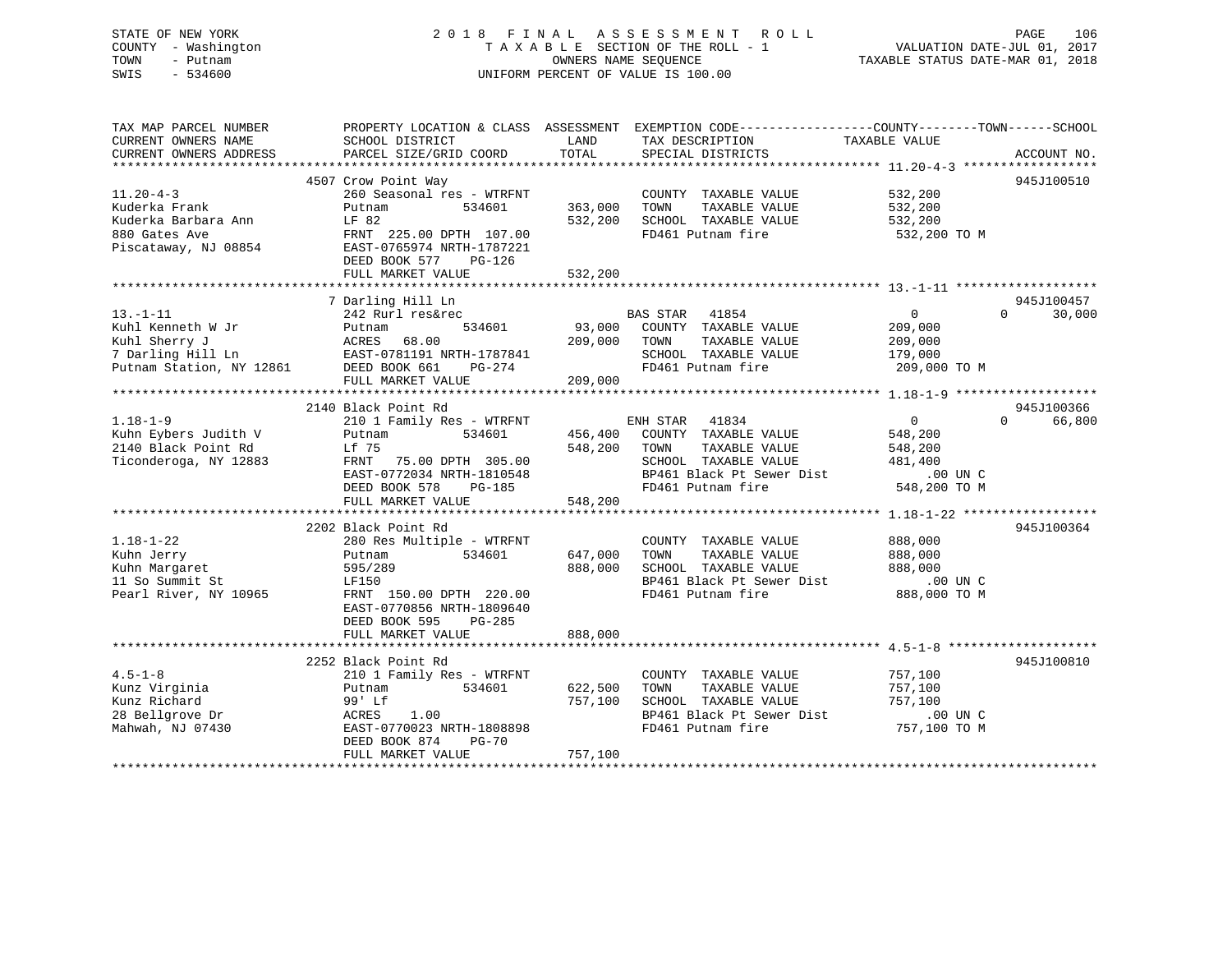### STATE OF NEW YORK 2 0 1 8 F I N A L A S S E S S M E N T R O L L PAGE 106 COUNTY - Washington T A X A B L E SECTION OF THE ROLL - 1 VALUATION DATE-JUL 01, 2017 TOWN - Putnam **CONNERS NAME SEQUENCE** TAXABLE STATUS DATE-MAR 01, 2018 SWIS - 534600 UNIFORM PERCENT OF VALUE IS 100.00

| TAX MAP PARCEL NUMBER<br>PROPERTY LOCATION & CLASS ASSESSMENT EXEMPTION CODE----------------COUNTY-------TOWN------SCHOOL |                    |
|---------------------------------------------------------------------------------------------------------------------------|--------------------|
| CURRENT OWNERS NAME<br>SCHOOL DISTRICT<br>LAND<br>TAX DESCRIPTION<br>TAXABLE VALUE                                        |                    |
| TOTAL<br>CURRENT OWNERS ADDRESS<br>PARCEL SIZE/GRID COORD<br>SPECIAL DISTRICTS                                            | ACCOUNT NO.        |
|                                                                                                                           |                    |
| 4507 Crow Point Way                                                                                                       | 945J100510         |
| $11.20 - 4 - 3$<br>260 Seasonal res - WTRFNT<br>532,200<br>COUNTY TAXABLE VALUE                                           |                    |
| Kuderka Frank<br>534601<br>363,000<br>TOWN<br>TAXABLE VALUE<br>532,200<br>Putnam                                          |                    |
| LF 82<br>532,200<br>Kuderka Barbara Ann<br>SCHOOL TAXABLE VALUE<br>532,200                                                |                    |
| FRNT 225.00 DPTH 107.00<br>FD461 Putnam fire<br>880 Gates Ave<br>532,200 TO M                                             |                    |
| Piscataway, NJ 08854<br>EAST-0765974 NRTH-1787221                                                                         |                    |
| DEED BOOK 577<br>PG-126                                                                                                   |                    |
| 532,200<br>FULL MARKET VALUE                                                                                              |                    |
|                                                                                                                           |                    |
| 7 Darling Hill Ln                                                                                                         | 945J100457         |
| $13.-1-11$<br>242 Rurl res&rec<br>BAS STAR 41854<br>0                                                                     | $\Omega$<br>30,000 |
| Kuhl Kenneth W Jr<br>534601<br>93,000<br>COUNTY TAXABLE VALUE<br>209,000<br>Putnam                                        |                    |
| Kuhl Sherry J<br>209,000<br>ACRES<br>68.00<br>TOWN<br>TAXABLE VALUE<br>209,000                                            |                    |
| 7 Darling Hill Ln<br>EAST-0781191 NRTH-1787841<br>SCHOOL TAXABLE VALUE<br>179,000                                         |                    |
| DEED BOOK 661<br>Putnam Station, NY 12861<br>FD461 Putnam fire<br>209,000 TO M<br>PG-274                                  |                    |
| FULL MARKET VALUE<br>209,000                                                                                              |                    |
|                                                                                                                           |                    |
| 2140 Black Point Rd                                                                                                       | 945J100366         |
| $1.18 - 1 - 9$<br>210 1 Family Res - WTRFNT<br>ENH STAR 41834<br>$\overline{0}$                                           | 66,800<br>$\Omega$ |
| Kuhn Eybers Judith V<br>534601<br>456,400<br>COUNTY TAXABLE VALUE<br>548,200<br>Putnam                                    |                    |
| 2140 Black Point Rd<br>548,200<br>Lf 75<br>TOWN<br>TAXABLE VALUE<br>548,200                                               |                    |
| Ticonderoga, NY 12883<br>SCHOOL TAXABLE VALUE<br>FRNT 75.00 DPTH 305.00<br>481,400                                        |                    |
| EAST-0772034 NRTH-1810548<br>BP461 Black Pt Sewer Dist<br>.00 UN C                                                        |                    |
| FD461 Putnam fire<br>548,200 TO M<br>DEED BOOK 578<br>PG-185                                                              |                    |
| FULL MARKET VALUE<br>548,200                                                                                              |                    |
|                                                                                                                           |                    |
| 2202 Black Point Rd                                                                                                       | 945J100364         |
| $1.18 - 1 - 22$<br>888,000<br>280 Res Multiple - WTRFNT<br>COUNTY TAXABLE VALUE                                           |                    |
| 534601<br>647,000<br>TOWN<br>Kuhn Jerry<br>TAXABLE VALUE<br>888,000<br>Putnam                                             |                    |
| 888,000<br>SCHOOL TAXABLE VALUE<br>Kuhn Margaret<br>595/289<br>888,000                                                    |                    |
| 11 So Summit St<br>BP461 Black Pt Sewer Dist<br>LF150<br>.00 UN C                                                         |                    |
| 888,000 TO M<br>Pearl River, NY 10965<br>FD461 Putnam fire<br>FRNT 150.00 DPTH 220.00                                     |                    |
| EAST-0770856 NRTH-1809640                                                                                                 |                    |
| DEED BOOK 595<br>PG-285                                                                                                   |                    |
| FULL MARKET VALUE<br>888,000                                                                                              |                    |
|                                                                                                                           |                    |
| 2252 Black Point Rd                                                                                                       | 945J100810         |
| $4.5 - 1 - 8$<br>210 1 Family Res - WTRFNT<br>COUNTY TAXABLE VALUE<br>757,100                                             |                    |
| Kunz Virginia<br>534601<br>622,500<br>TOWN<br>TAXABLE VALUE<br>757,100<br>Putnam                                          |                    |
| Kunz Richard<br>99' Lf<br>757,100<br>SCHOOL TAXABLE VALUE<br>757,100                                                      |                    |
| 28 Bellgrove Dr<br>BP461 Black Pt Sewer Dist<br>ACRES<br>1.00<br>.00 UN C                                                 |                    |
| Mahwah, NJ 07430<br>EAST-0770023 NRTH-1808898<br>FD461 Putnam fire<br>757,100 TO M                                        |                    |
| DEED BOOK 874<br><b>PG-70</b>                                                                                             |                    |
| 757,100<br>FULL MARKET VALUE                                                                                              |                    |
|                                                                                                                           |                    |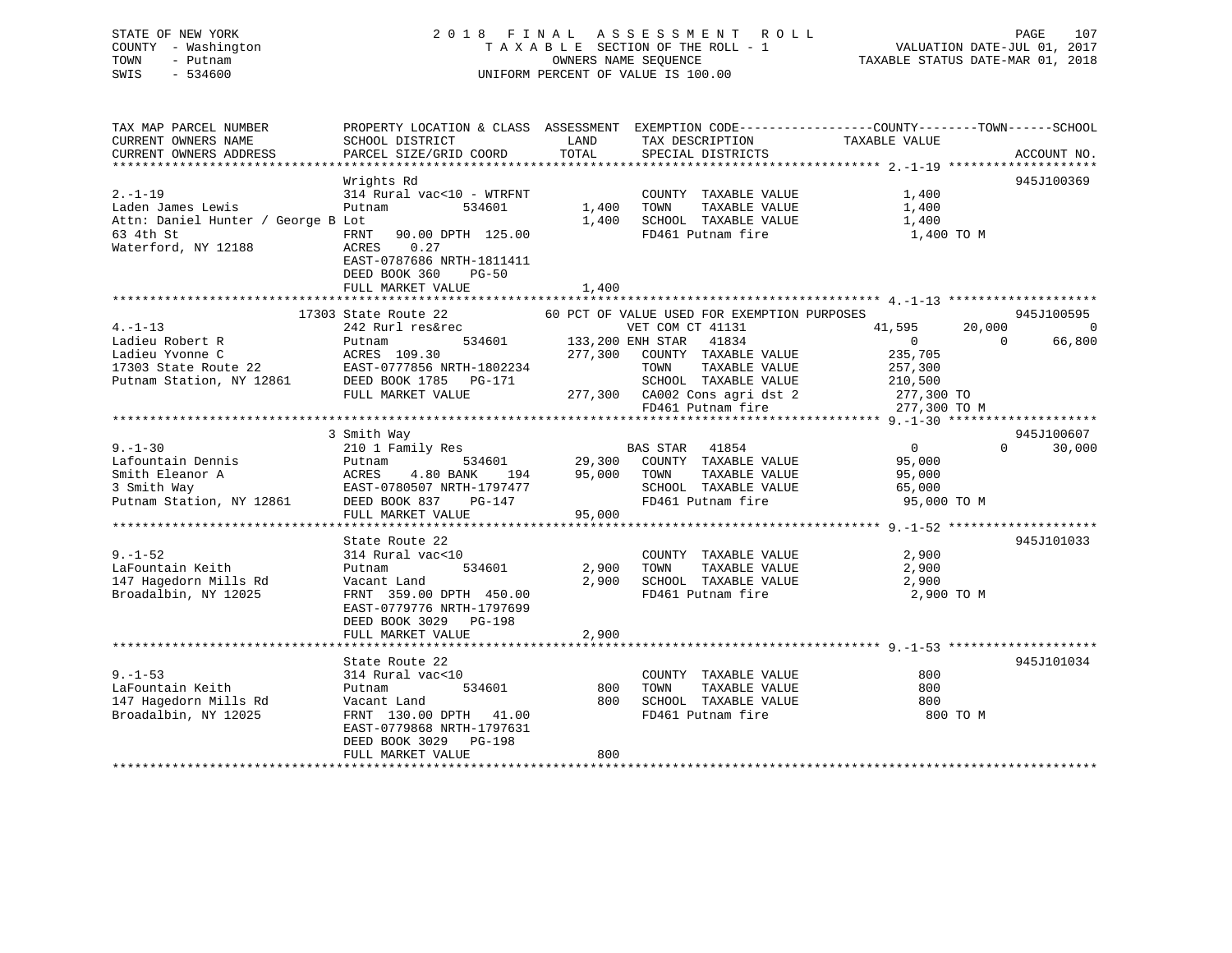### STATE OF NEW YORK 2 0 1 8 F I N A L A S S E S S M E N T R O L L PAGE 107 COUNTY - Washington T A X A B L E SECTION OF THE ROLL - 1 VALUATION DATE-JUL 01, 2017 TOWN - Putnam OWNERS NAME SEQUENCE TAXABLE STATUS DATE-MAR 01, 2018 SWIS - 534600 UNIFORM PERCENT OF VALUE IS 100.00

| TAX MAP PARCEL NUMBER                                                                                                           | PROPERTY LOCATION & CLASS ASSESSMENT EXEMPTION CODE--------------COUNTY-------TOWN-----SCHOOL |        |                                                                               |                  |                             |
|---------------------------------------------------------------------------------------------------------------------------------|-----------------------------------------------------------------------------------------------|--------|-------------------------------------------------------------------------------|------------------|-----------------------------|
| CURRENT OWNERS NAME                                                                                                             | SCHOOL DISTRICT                                                                               | LAND   | TAX DESCRIPTION                                                               | TAXABLE VALUE    |                             |
| CURRENT OWNERS ADDRESS                                                                                                          | PARCEL SIZE/GRID COORD                                                                        | TOTAL  | SPECIAL DISTRICTS                                                             |                  | ACCOUNT NO.                 |
|                                                                                                                                 |                                                                                               |        |                                                                               |                  |                             |
|                                                                                                                                 | Wrights Rd                                                                                    |        |                                                                               |                  | 945J100369                  |
| $2. - 1 - 19$                                                                                                                   | 314 Rural vac<10 - WTRFNT                                                                     |        | COUNTY TAXABLE VALUE                                                          | 1,400            |                             |
| Laden James Lewis                                                                                                               | Putnam<br>534601                                                                              | 1,400  | TAXABLE VALUE<br>TOWN                                                         | 1,400            |                             |
|                                                                                                                                 |                                                                                               | 1,400  |                                                                               |                  |                             |
| Attn: Daniel Hunter / George B Lot                                                                                              |                                                                                               |        | SCHOOL TAXABLE VALUE                                                          | 1,400            |                             |
| 63 4th St                                                                                                                       | 90.00 DPTH 125.00<br>FRNT                                                                     |        | FD461 Putnam fire                                                             | 1,400 TO M       |                             |
| Waterford, NY 12188                                                                                                             | 0.27<br>ACRES                                                                                 |        |                                                                               |                  |                             |
|                                                                                                                                 | EAST-0787686 NRTH-1811411                                                                     |        |                                                                               |                  |                             |
|                                                                                                                                 | DEED BOOK 360<br>PG-50                                                                        |        |                                                                               |                  |                             |
|                                                                                                                                 | FULL MARKET VALUE                                                                             | 1,400  |                                                                               |                  |                             |
|                                                                                                                                 |                                                                                               |        |                                                                               |                  |                             |
|                                                                                                                                 | 17303 State Route 22 60 PCT OF VALUE USED FOR EXEMPTION PURPOSES                              |        |                                                                               |                  | 945J100595                  |
| $4. -1 - 13$                                                                                                                    | 242 Rurl res&rec                                                                              |        | VET COM CT 41131                                                              | 41,595<br>20,000 | $\Omega$                    |
| Ladieu Robert R                                                                                                                 | Putnam                                                                                        |        | res&rec<br>534601 133,200 ENH STAR 41834<br>9.30 277,300 COUNTY TAXABLE VALUE | $\overline{0}$   | $\Omega$<br>66,800          |
| Ladieu Yvonne C                                                                                                                 | ACRES 109.30                                                                                  |        |                                                                               |                  |                             |
|                                                                                                                                 |                                                                                               |        |                                                                               | 235,705          |                             |
| 17303 State Route 22 EAST-0777856 NRTH-1802234<br>Putnam Station, NY 12861 DEED BOOK 1785 PG-171                                |                                                                                               |        | TOWN TAXABLE VALUE 257,300<br>SCHOOL TAXABLE VALUE 210,500                    |                  |                             |
|                                                                                                                                 |                                                                                               |        |                                                                               |                  |                             |
|                                                                                                                                 | FULL MARKET VALUE                                                                             |        |                                                                               |                  |                             |
|                                                                                                                                 |                                                                                               |        | 277,300 CA002 Cons agri dst 2 277,300 TO<br>FD461 Putnam fire 277,300 TO M    |                  |                             |
|                                                                                                                                 |                                                                                               |        |                                                                               |                  |                             |
|                                                                                                                                 | 3 Smith Way                                                                                   |        |                                                                               |                  | 945J100607                  |
| $9. - 1 - 30$                                                                                                                   | 210 1 Family Res                                                                              |        | BAS STAR 41854                                                                | $\overline{0}$   | $0 \qquad \qquad$<br>30,000 |
| Lafountain Dennis                                                                                                               | Putnam<br>Putnam                                                                              |        | 29,300 COUNTY TAXABLE VALUE                                                   | 95,000           |                             |
|                                                                                                                                 | 194                                                                                           |        | 95,000 TOWN<br>TAXABLE VALUE                                                  | 95,000           |                             |
| Smith Eleanor A<br>3 Smith Way<br>2008 BANK 194<br>3 Smith Way<br>2008 BAST-0780507 NRTH-1797477<br>2010 DEED BOOK 837<br>20147 | EAST-0780507 NRTH-1797477                                                                     |        |                                                                               |                  |                             |
|                                                                                                                                 |                                                                                               |        | SCHOOL TAXABLE VALUE<br>FD461 Putnam fire                                     | 65,000           |                             |
|                                                                                                                                 |                                                                                               |        |                                                                               | 95,000 TO M      |                             |
|                                                                                                                                 | FULL MARKET VALUE                                                                             | 95,000 |                                                                               |                  |                             |
|                                                                                                                                 |                                                                                               |        |                                                                               |                  |                             |
|                                                                                                                                 | State Route 22                                                                                |        |                                                                               |                  | 945J101033                  |
| $9. - 1 - 52$                                                                                                                   | 314 Rural vac<10                                                                              |        | COUNTY TAXABLE VALUE                                                          | 2,900            |                             |
| LaFountain Keith                                                                                                                | 534601<br>Putnam                                                                              | 2,900  | TAXABLE VALUE<br>TOWN                                                         | 2,900            |                             |
| 147 Hagedorn Mills Rd                                                                                                           | Vacant Land                                                                                   | 2,900  | SCHOOL TAXABLE VALUE                                                          | 2,900            |                             |
| Broadalbin, NY 12025                                                                                                            | FRNT 359.00 DPTH 450.00                                                                       |        | FD461 Putnam fire                                                             | 2,900 TO M       |                             |
|                                                                                                                                 | EAST-0779776 NRTH-1797699                                                                     |        |                                                                               |                  |                             |
|                                                                                                                                 | DEED BOOK 3029 PG-198                                                                         |        |                                                                               |                  |                             |
|                                                                                                                                 |                                                                                               |        |                                                                               |                  |                             |
|                                                                                                                                 | FULL MARKET VALUE                                                                             | 2,900  |                                                                               |                  |                             |
|                                                                                                                                 |                                                                                               |        |                                                                               |                  |                             |
|                                                                                                                                 | State Route 22                                                                                |        |                                                                               |                  | 945J101034                  |
| $9. - 1 - 53$                                                                                                                   | 314 Rural vac<10                                                                              |        | COUNTY TAXABLE VALUE                                                          | 800              |                             |
| LaFountain Keith                                                                                                                | 534601<br>Putnam                                                                              | 800    | TOWN<br>TAXABLE VALUE                                                         | 800              |                             |
| 147 Hagedorn Mills Rd                                                                                                           | Vacant Land                                                                                   | 800    | SCHOOL TAXABLE VALUE 600                                                      |                  |                             |
| Broadalbin, NY 12025                                                                                                            | FRNT 130.00 DPTH 41.00                                                                        |        | FD461 Putnam fire                                                             | 800 TO M         |                             |
|                                                                                                                                 | EAST-0779868 NRTH-1797631                                                                     |        |                                                                               |                  |                             |
|                                                                                                                                 | DEED BOOK 3029 PG-198                                                                         |        |                                                                               |                  |                             |
|                                                                                                                                 | FULL MARKET VALUE                                                                             | 800    |                                                                               |                  |                             |
|                                                                                                                                 |                                                                                               |        |                                                                               |                  |                             |
|                                                                                                                                 |                                                                                               |        |                                                                               |                  |                             |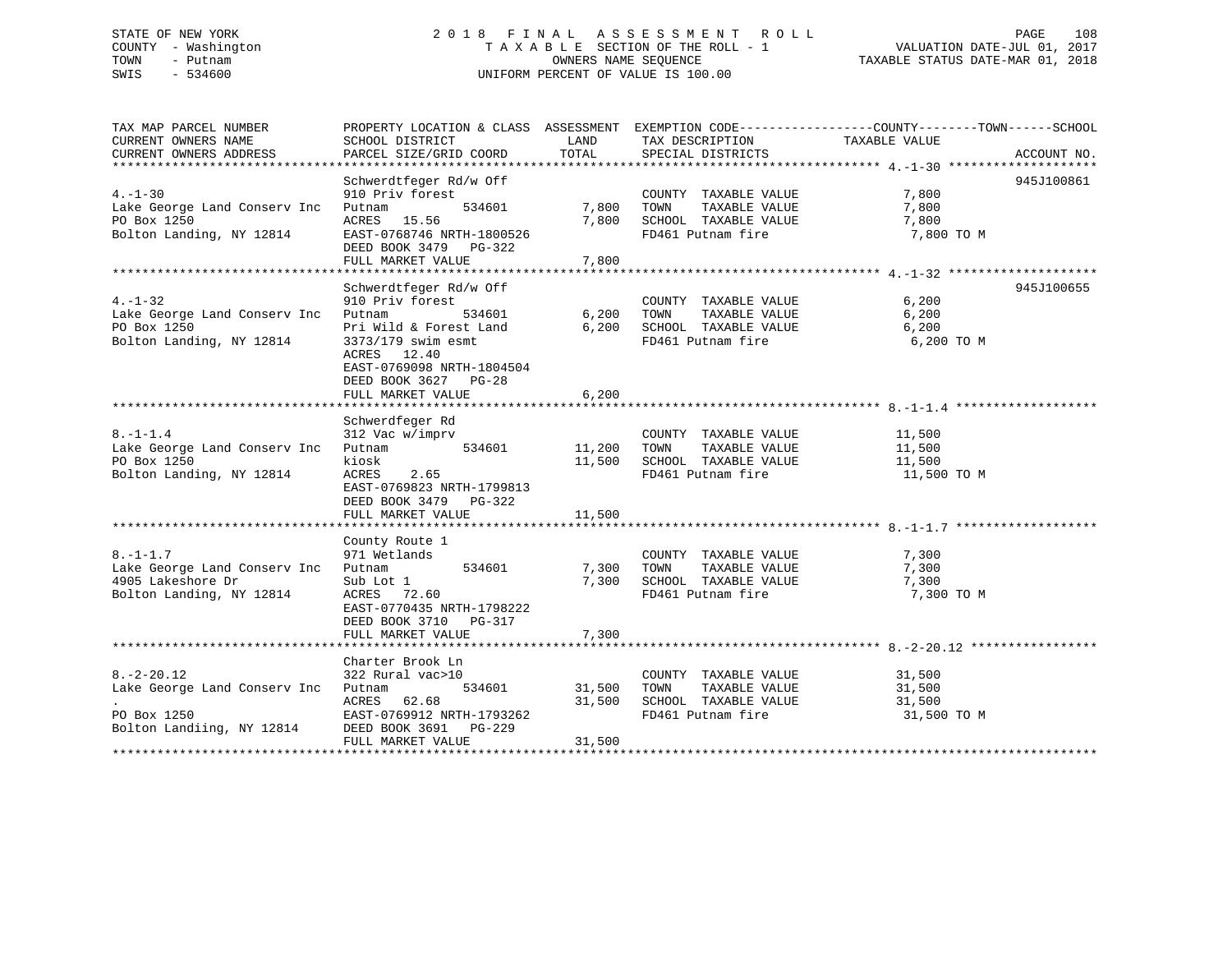### STATE OF NEW YORK 2 0 1 8 F I N A L A S S E S S M E N T R O L L PAGE 108 COUNTY - Washington T A X A B L E SECTION OF THE ROLL - 1 VALUATION DATE-JUL 01, 2017 TOWN - Putnam OWNERS NAME SEQUENCE TAXABLE STATUS DATE-MAR 01, 2018 SWIS - 534600 UNIFORM PERCENT OF VALUE IS 100.00

| TAX MAP PARCEL NUMBER<br>CURRENT OWNERS NAME<br>CURRENT OWNERS ADDRESS                          | PROPERTY LOCATION & CLASS ASSESSMENT EXEMPTION CODE---------------COUNTY-------TOWN-----SCHOOL<br>SCHOOL DISTRICT<br>PARCEL SIZE/GRID COORD                                                  | LAND<br>TOTAL              | TAX DESCRIPTION<br>SPECIAL DISTRICTS                                                       | TAXABLE VALUE                             | ACCOUNT NO. |
|-------------------------------------------------------------------------------------------------|----------------------------------------------------------------------------------------------------------------------------------------------------------------------------------------------|----------------------------|--------------------------------------------------------------------------------------------|-------------------------------------------|-------------|
| $4. - 1 - 30$<br>Lake George Land Conserv Inc<br>PO Box 1250<br>Bolton Landing, NY 12814        | Schwerdtfeger Rd/w Off<br>910 Priv forest<br>534601<br>Putnam<br>ACRES 15.56<br>EAST-0768746 NRTH-1800526<br>DEED BOOK 3479 PG-322<br>FULL MARKET VALUE                                      | 7,800<br>7,800<br>7,800    | COUNTY TAXABLE VALUE<br>TOWN<br>TAXABLE VALUE<br>SCHOOL TAXABLE VALUE<br>FD461 Putnam fire | 7,800<br>7,800<br>7,800<br>7,800 TO M     | 945J100861  |
| $4. - 1 - 32$<br>Lake George Land Conserv Inc Putnam<br>PO Box 1250<br>Bolton Landing, NY 12814 | Schwerdtfeger Rd/w Off<br>910 Priv forest<br>534601<br>Pri Wild & Forest Land<br>3373/179 swim esmt<br>ACRES 12.40<br>EAST-0769098 NRTH-1804504<br>DEED BOOK 3627 PG-28<br>FULL MARKET VALUE | 6,200<br>6,200<br>6,200    | COUNTY TAXABLE VALUE<br>TAXABLE VALUE<br>TOWN<br>SCHOOL TAXABLE VALUE<br>FD461 Putnam fire | 6,200<br>6,200<br>6,200<br>6,200 TO M     | 945J100655  |
| $8. - 1 - 1.4$<br>Lake George Land Conserv Inc<br>PO Box 1250<br>Bolton Landing, NY 12814       | Schwerdfeger Rd<br>312 Vac w/imprv<br>534601<br>Putnam<br>kiosk<br>ACRES<br>2.65<br>EAST-0769823 NRTH-1799813<br>DEED BOOK 3479 PG-322<br>FULL MARKET VALUE                                  | 11,200<br>11,500<br>11,500 | COUNTY TAXABLE VALUE<br>TAXABLE VALUE<br>TOWN<br>SCHOOL TAXABLE VALUE<br>FD461 Putnam fire | 11,500<br>11,500<br>11,500<br>11,500 TO M |             |
| $8. - 1 - 1.7$<br>Lake George Land Conserv Inc<br>4905 Lakeshore Dr<br>Bolton Landing, NY 12814 | County Route 1<br>971 Wetlands<br>534601<br>Putnam<br>Sub Lot 1<br>ACRES 72.60<br>EAST-0770435 NRTH-1798222<br>DEED BOOK 3710 PG-317<br>FULL MARKET VALUE                                    | 7,300<br>7,300<br>7,300    | COUNTY TAXABLE VALUE<br>TAXABLE VALUE<br>TOWN<br>SCHOOL TAXABLE VALUE<br>FD461 Putnam fire | 7,300<br>7,300<br>7,300<br>7,300 TO M     |             |
| $8. - 2 - 20.12$                                                                                | Charter Brook Ln<br>322 Rural vac>10                                                                                                                                                         |                            | COUNTY TAXABLE VALUE                                                                       | 31,500                                    |             |
| Lake George Land Conserv Inc Putnam<br>PO Box 1250<br>Bolton Landiing, NY 12814                 | 534601<br>62.68<br>ACRES<br>EAST-0769912 NRTH-1793262<br>DEED BOOK 3691 PG-229<br>FULL MARKET VALUE                                                                                          | 31,500<br>31,500<br>31,500 | TAXABLE VALUE<br>TOWN<br>SCHOOL TAXABLE VALUE<br>FD461 Putnam fire                         | 31,500<br>31,500<br>31,500 TO M           |             |
|                                                                                                 |                                                                                                                                                                                              |                            |                                                                                            |                                           |             |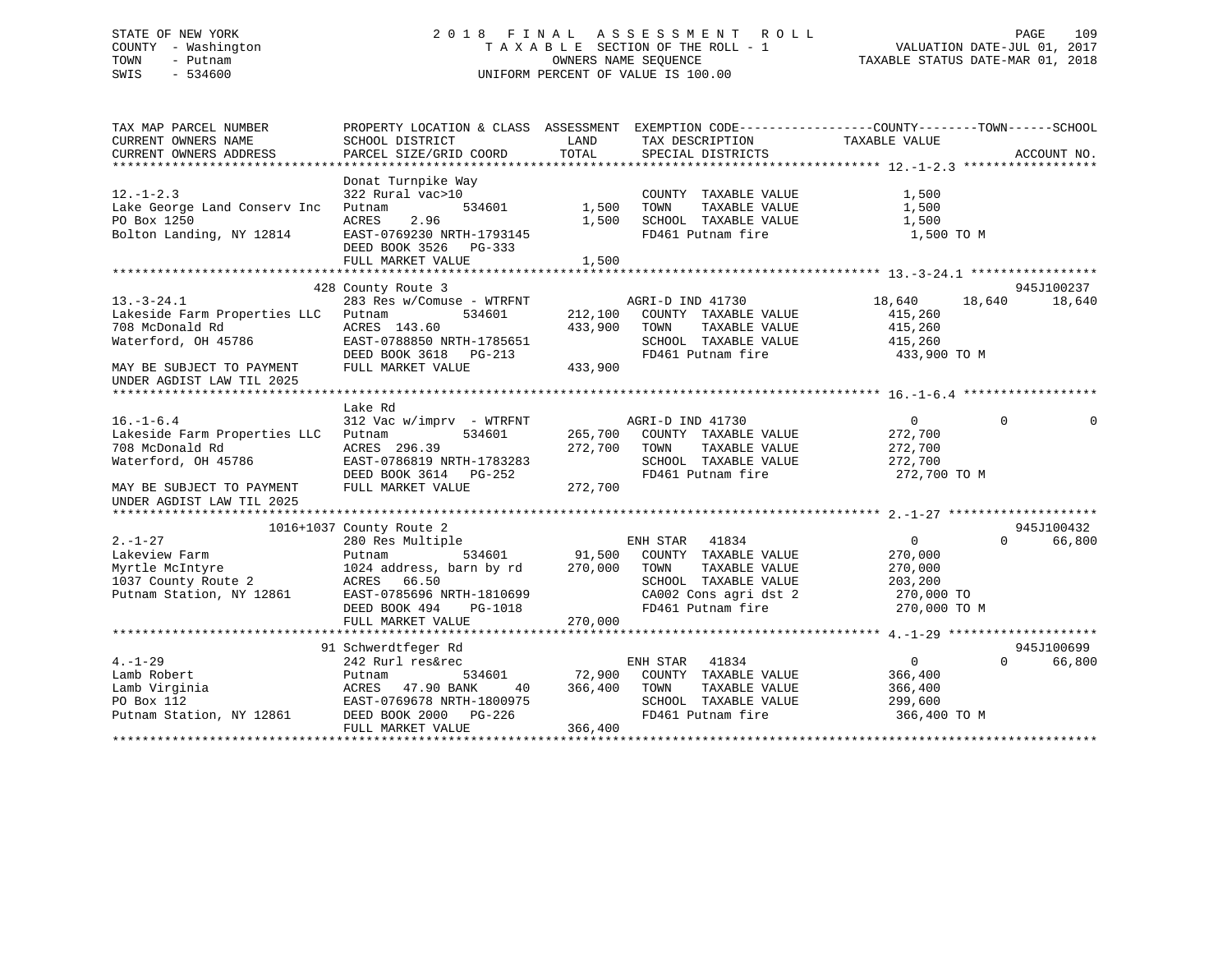### STATE OF NEW YORK 2 0 1 8 F I N A L A S S E S S M E N T R O L L PAGE 109 COUNTY - Washington T A X A B L E SECTION OF THE ROLL - 1 VALUATION DATE-JUL 01, 2017 TOWN - Putnam OWNERS NAME SEQUENCE TAXABLE STATUS DATE-MAR 01, 2018 SWIS - 534600 UNIFORM PERCENT OF VALUE IS 100.00

| TAX MAP PARCEL NUMBER        | PROPERTY LOCATION & CLASS ASSESSMENT EXEMPTION CODE---------------COUNTY-------TOWN-----SCHOOL |         |                                            |                |              |          |
|------------------------------|------------------------------------------------------------------------------------------------|---------|--------------------------------------------|----------------|--------------|----------|
| CURRENT OWNERS NAME          | SCHOOL DISTRICT                                                                                | LAND    | TAX DESCRIPTION                            | TAXABLE VALUE  |              |          |
| CURRENT OWNERS ADDRESS       | PARCEL SIZE/GRID COORD                                                                         | TOTAL   | SPECIAL DISTRICTS                          |                | ACCOUNT NO.  |          |
|                              |                                                                                                |         |                                            |                |              |          |
|                              | Donat Turnpike Way                                                                             |         |                                            |                |              |          |
| $12. - 1 - 2.3$              | 322 Rural vac>10                                                                               |         | COUNTY TAXABLE VALUE                       | 1,500          |              |          |
| Lake George Land Conserv Inc | 534601<br>Putnam                                                                               | 1,500   | TAXABLE VALUE<br>TOWN                      | 1,500          |              |          |
| PO Box 1250                  | ACRES<br>2.96                                                                                  | 1,500   | SCHOOL TAXABLE VALUE                       | 1,500          |              |          |
| Bolton Landing, NY 12814     | EAST-0769230 NRTH-1793145                                                                      |         | FD461 Putnam fire                          | 1,500 TO M     |              |          |
|                              | DEED BOOK 3526 PG-333                                                                          |         |                                            |                |              |          |
|                              | FULL MARKET VALUE                                                                              | 1,500   |                                            |                |              |          |
|                              |                                                                                                |         |                                            |                |              |          |
|                              | 428 County Route 3                                                                             |         |                                            |                | 945J100237   |          |
| $13.-3-24.1$                 | 283 Res w/Comuse - WTRFNT                                                                      |         | AGRI-D IND 41730                           | 18,640         | 18,640       | 18,640   |
| Lakeside Farm Properties LLC | Putnam<br>534601                                                                               | 212,100 | COUNTY TAXABLE VALUE                       | 415,260        |              |          |
| 708 McDonald Rd              | ACRES 143.60                                                                                   | 433,900 | TOWN<br>TAXABLE VALUE                      | 415,260        |              |          |
| Waterford, OH 45786          | EAST-0788850 NRTH-1785651                                                                      |         | SCHOOL TAXABLE VALUE                       | 415,260        |              |          |
|                              | DEED BOOK 3618 PG-213                                                                          |         | FD461 Putnam fire                          | 433,900 TO M   |              |          |
| MAY BE SUBJECT TO PAYMENT    | FULL MARKET VALUE                                                                              | 433,900 |                                            |                |              |          |
| UNDER AGDIST LAW TIL 2025    |                                                                                                |         |                                            |                |              |          |
|                              |                                                                                                |         |                                            |                |              |          |
|                              | Lake Rd                                                                                        |         |                                            |                |              |          |
| $16. - 1 - 6.4$              | 312 Vac w/imprv - WTRFNT                                                                       |         | AGRI-D IND 41730                           | $\overline{0}$ | $\mathbf{0}$ | $\Omega$ |
| Lakeside Farm Properties LLC | Putnam<br>534601                                                                               |         | 265,700 COUNTY TAXABLE VALUE               | 272,700        |              |          |
| 708 McDonald Rd              | ACRES 296.39                                                                                   | 272,700 | TOWN<br>TAXABLE VALUE                      | 272,700        |              |          |
| Waterford, OH 45786          | EAST-0786819 NRTH-1783283                                                                      |         | SCHOOL TAXABLE VALUE                       | 272,700        |              |          |
|                              | DEED BOOK 3614 PG-252                                                                          |         | FD461 Putnam fire                          | 272,700 TO M   |              |          |
| MAY BE SUBJECT TO PAYMENT    | FULL MARKET VALUE                                                                              | 272,700 |                                            |                |              |          |
| UNDER AGDIST LAW TIL 2025    |                                                                                                |         |                                            |                |              |          |
|                              |                                                                                                |         |                                            |                |              |          |
|                              | 1016+1037 County Route 2                                                                       |         |                                            |                | 945J100432   |          |
| $2. - 1 - 27$                | 280 Res Multiple                                                                               |         | ENH STAR<br>41834                          | $\overline{0}$ | $\Omega$     | 66,800   |
| Lakeview Farm                | 534601<br>Putnam                                                                               |         | 91,500 COUNTY TAXABLE VALUE                | 270,000        |              |          |
| Myrtle McIntyre              | 1024 address, barn by rd                                                                       | 270,000 | TOWN<br>TAXABLE VALUE                      | 270,000        |              |          |
| 1037 County Route 2          | ACRES<br>66.50                                                                                 |         | SCHOOL TAXABLE VALUE                       | 203,200        |              |          |
| Putnam Station, NY 12861     | EAST-0785696 NRTH-1810699                                                                      |         |                                            | 270,000 TO     |              |          |
|                              | DEED BOOK 494<br>PG-1018                                                                       |         | Cavuz Cons agri dst 2<br>FD461 Putnam fire | 270,000 TO M   |              |          |
|                              | FULL MARKET VALUE                                                                              | 270,000 |                                            |                |              |          |
|                              |                                                                                                |         |                                            |                |              |          |
|                              | 91 Schwerdtfeger Rd                                                                            |         |                                            |                | 945J100699   |          |
| $4. - 1 - 29$                | 242 Rurl res&rec                                                                               |         | ENH STAR 41834                             | $\overline{0}$ | $\Omega$     | 66,800   |
| Lamb Robert                  | Putnam<br>534601                                                                               | 72,900  | COUNTY TAXABLE VALUE                       | 366,400        |              |          |
| Lamb Virginia                | 47.90 BANK<br>ACRES<br>40                                                                      | 366,400 | TOWN<br>TAXABLE VALUE                      | 366,400        |              |          |
| PO Box 112                   | EAST-0769678 NRTH-1800975                                                                      |         | SCHOOL TAXABLE VALUE                       | 299,600        |              |          |
| Putnam Station, NY 12861     | DEED BOOK 2000 PG-226                                                                          |         | FD461 Putnam fire                          | 366,400 TO M   |              |          |
|                              | FULL MARKET VALUE                                                                              | 366,400 |                                            |                |              |          |
|                              |                                                                                                |         |                                            |                |              |          |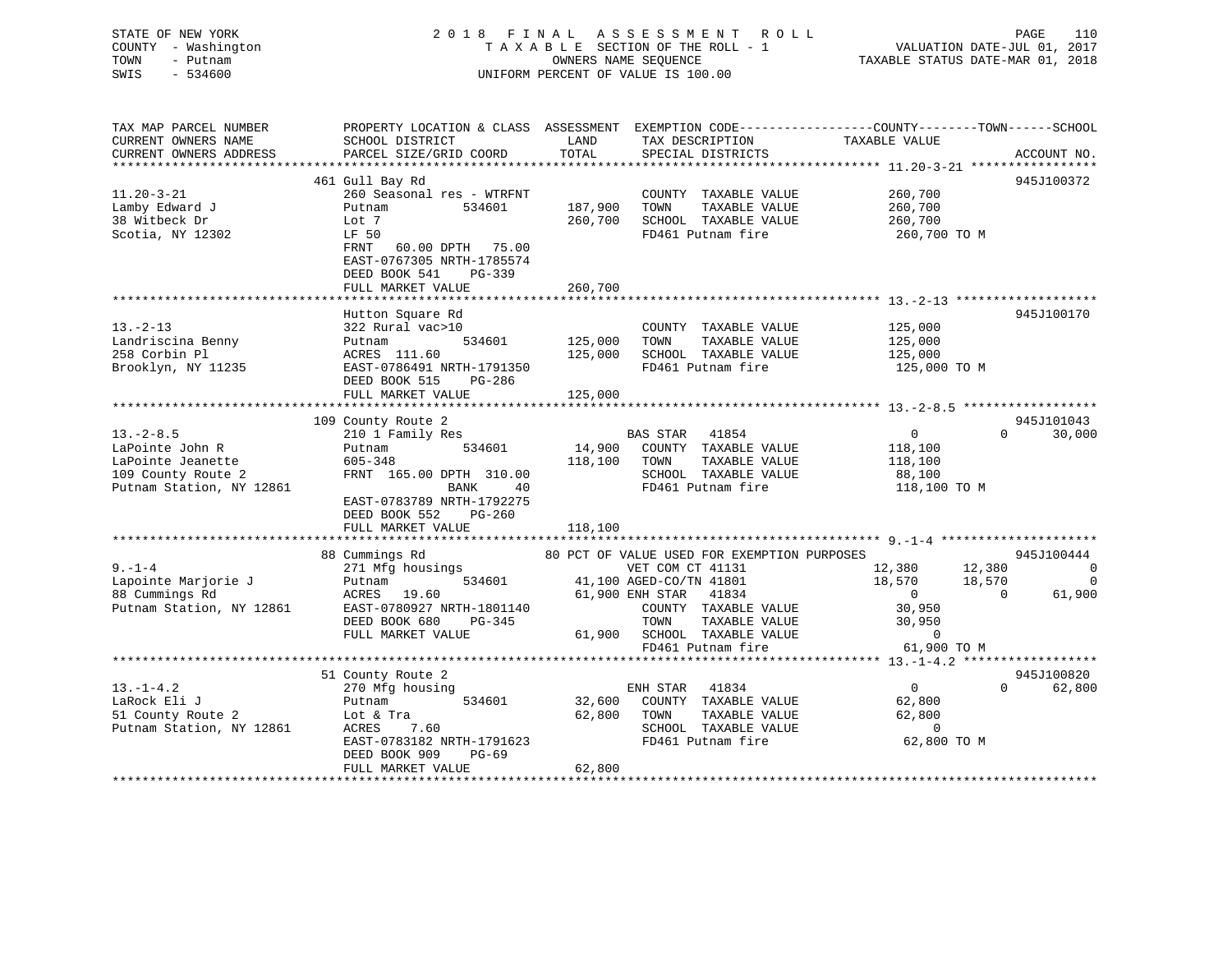### STATE OF NEW YORK 2 0 1 8 F I N A L A S S E S S M E N T R O L L PAGE 110 COUNTY - Washington T A X A B L E SECTION OF THE ROLL - 1 VALUATION DATE-JUL 01, 2017 TOWN - Putnam OWNERS NAME SEQUENCE TAXABLE STATUS DATE-MAR 01, 2018 SWIS - 534600 UNIFORM PERCENT OF VALUE IS 100.00

| TAX MAP PARCEL NUMBER<br>CURRENT OWNERS NAME | PROPERTY LOCATION & CLASS ASSESSMENT EXEMPTION CODE---------------COUNTY-------TOWN-----SCHOOL<br>SCHOOL DISTRICT | LAND                              | TAX DESCRIPTION                               | TAXABLE VALUE      |                          |
|----------------------------------------------|-------------------------------------------------------------------------------------------------------------------|-----------------------------------|-----------------------------------------------|--------------------|--------------------------|
| CURRENT OWNERS ADDRESS                       | PARCEL SIZE/GRID COORD                                                                                            | TOTAL                             | SPECIAL DISTRICTS                             |                    | ACCOUNT NO.              |
|                                              |                                                                                                                   |                                   |                                               |                    |                          |
| $11.20 - 3 - 21$                             | 461 Gull Bay Rd<br>260 Seasonal res - WTRFNT<br>Putnam<br>534601                                                  | 187,900                           | COUNTY TAXABLE VALUE<br>TAXABLE VALUE         | 260,700<br>260,700 | 945J100372               |
| Lamby Edward J<br>38 Witbeck Dr              | Lot 7                                                                                                             | 260,700                           | TOWN<br>SCHOOL TAXABLE VALUE                  | 260,700            |                          |
| Scotia, NY 12302                             | LF 50<br>60.00 DPTH 75.00<br>FRNT<br>EAST-0767305 NRTH-1785574<br>DEED BOOK 541<br>PG-339                         |                                   | FD461 Putnam fire                             | 260,700 ТО М       |                          |
|                                              | FULL MARKET VALUE                                                                                                 | 260,700                           |                                               |                    |                          |
|                                              | Hutton Square Rd                                                                                                  |                                   |                                               |                    | 945J100170               |
| $13 - 2 - 13$                                | 322 Rural vac>10                                                                                                  |                                   | COUNTY TAXABLE VALUE                          | 125,000            |                          |
| Landriscina Benny                            | 534601<br>Putnam                                                                                                  | 125,000                           | TAXABLE VALUE<br>TOWN                         | 125,000            |                          |
| 258 Corbin Pl                                | ACRES 111.60                                                                                                      | 125,000                           | SCHOOL TAXABLE VALUE                          | 125,000            |                          |
| Brooklyn, NY 11235                           | EAST-0786491 NRTH-1791350                                                                                         |                                   | FD461 Putnam fire                             | 125,000 TO M       |                          |
|                                              | DEED BOOK 515 PG-286                                                                                              |                                   |                                               |                    |                          |
|                                              |                                                                                                                   |                                   |                                               |                    |                          |
|                                              |                                                                                                                   |                                   |                                               |                    |                          |
|                                              | 109 County Route 2                                                                                                |                                   |                                               |                    | 945J101043               |
| $13.-2-8.5$                                  | 210 1 Family Res                                                                                                  |                                   | <b>BAS STAR</b><br>41854                      | $\overline{0}$     | $\Omega$<br>30,000       |
| LaPointe John R                              | 534601<br>Putnam                                                                                                  |                                   | 14,900 COUNTY TAXABLE VALUE                   | 118,100            |                          |
| LaPointe Jeanette                            | 605-348                                                                                                           | 118,100 TOWN                      | TAXABLE VALUE                                 | 118,100            |                          |
| 109 County Route 2                           | FRNT 165.00 DPTH 310.00                                                                                           |                                   | SCHOOL TAXABLE VALUE                          | 88,100             |                          |
| Putnam Station, NY 12861                     | BANK<br>40<br>EAST-0783789 NRTH-1792275                                                                           |                                   | FD461 Putnam fire                             | 118,100 TO M       |                          |
|                                              | DEED BOOK 552<br>$PG-260$                                                                                         |                                   |                                               |                    |                          |
|                                              | FULL MARKET VALUE                                                                                                 | 118,100                           |                                               |                    |                          |
|                                              |                                                                                                                   |                                   |                                               |                    |                          |
|                                              | 88 Cummings Rd                                                                                                    |                                   | 80 PCT OF VALUE USED FOR EXEMPTION PURPOSES   |                    | 945J100444               |
| $9 - 1 - 4$                                  | 271 Mfg housings                                                                                                  | and the state of the state of the | VET COM CT 41131                              | 12,380 12,380      |                          |
| Lapointe Marjorie J                          | 534601<br>Putnam                                                                                                  |                                   | 41,100 AGED-CO/TN 41801                       | 18,570 18,570      | $\overline{\phantom{0}}$ |
| 88 Cummings Rd                               | ACRES 19.60                                                                                                       |                                   | 61,900 ENH STAR 41834                         | $\overline{0}$     | $\Omega$<br>61,900       |
| Putnam Station, NY 12861                     | EAST-0780927 NRTH-1801140                                                                                         |                                   | COUNTY TAXABLE VALUE                          | 30,950             |                          |
|                                              | DEED BOOK 680<br>PG-345                                                                                           |                                   | TAXABLE VALUE<br>TOWN                         | 30,950             |                          |
|                                              | FULL MARKET VALUE                                                                                                 |                                   | 61,900 SCHOOL TAXABLE VALUE                   | $\overline{0}$     |                          |
|                                              |                                                                                                                   |                                   | FD461 Putnam fire                             | 61,900 TO M        |                          |
|                                              |                                                                                                                   |                                   |                                               |                    |                          |
|                                              | 51 County Route 2                                                                                                 |                                   |                                               |                    | 945J100820               |
| $13.-1-4.2$<br>LaRock Eli J                  | 270 Mfg housing<br>534601                                                                                         |                                   | 41834<br>ENH STAR                             | $\overline{0}$     | $\Omega$<br>62,800       |
| 51 County Route 2                            | Putnam                                                                                                            | 32,600<br>62,800                  | COUNTY TAXABLE VALUE<br>TAXABLE VALUE<br>TOWN | 62,800             |                          |
| Putnam Station, NY 12861                     | Lot & Tra<br>ACRES<br>7.60                                                                                        |                                   | SCHOOL TAXABLE VALUE                          | 62,800<br>$\sim$ 0 |                          |
|                                              | EAST-0783182 NRTH-1791623                                                                                         |                                   | FD461 Putnam fire                             | 62,800 TO M        |                          |
|                                              | DEED BOOK 909<br>$PG-69$                                                                                          |                                   |                                               |                    |                          |
|                                              | FULL MARKET VALUE                                                                                                 | 62,800                            |                                               |                    |                          |
|                                              |                                                                                                                   |                                   |                                               |                    |                          |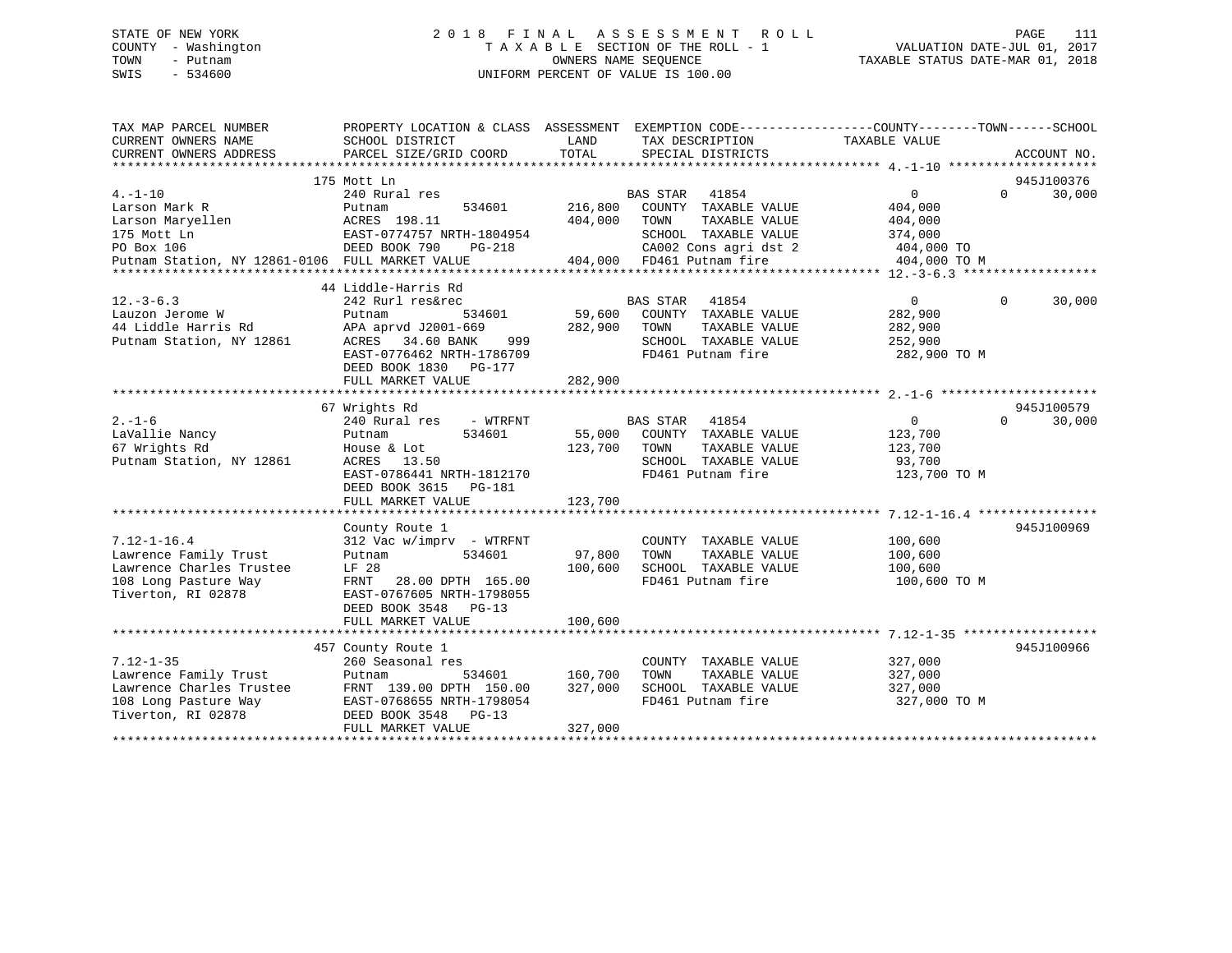### STATE OF NEW YORK 2 0 1 8 F I N A L A S S E S S M E N T R O L L PAGE 111 COUNTY - Washington T A X A B L E SECTION OF THE ROLL - 1 VALUATION DATE-JUL 01, 2017 TOWN - Putnam OWNERS NAME SEQUENCE TAXABLE STATUS DATE-MAR 01, 2018 SWIS - 534600 UNIFORM PERCENT OF VALUE IS 100.00

| TAX MAP PARCEL NUMBER<br>CURRENT OWNERS NAME<br>CURRENT OWNERS ADDRESS | PROPERTY LOCATION & CLASS ASSESSMENT EXEMPTION CODE----------------COUNTY-------TOWN------SCHOOL<br>SCHOOL DISTRICT<br>PARCEL SIZE/GRID COORD | LAND<br>TOTAL | TAX DESCRIPTION<br>SPECIAL DISTRICTS      | TAXABLE VALUE           | ACCOUNT NO.           |
|------------------------------------------------------------------------|-----------------------------------------------------------------------------------------------------------------------------------------------|---------------|-------------------------------------------|-------------------------|-----------------------|
|                                                                        |                                                                                                                                               |               |                                           |                         |                       |
|                                                                        | 175 Mott Ln                                                                                                                                   |               |                                           |                         | 945J100376            |
| $4. - 1 - 10$                                                          | 240 Rural res                                                                                                                                 |               | BAS STAR<br>41854                         | $\overline{0}$          | $\Omega$<br>30,000    |
| Larson Mark R                                                          | Putnam<br>534601                                                                                                                              | 216,800       | COUNTY TAXABLE VALUE                      | 404,000                 |                       |
| Larson Maryellen                                                       | ACRES 198.11                                                                                                                                  | 404,000       | TAXABLE VALUE<br>TOWN                     | 404,000                 |                       |
| 175 Mott Ln                                                            | EAST-0774757 NRTH-1804954<br>EAST-0774757 N<br>DEED BOOK 790                                                                                  |               | SCHOOL TAXABLE VALUE                      | 374,000                 |                       |
| PO Box 106                                                             | PG-218                                                                                                                                        |               | CA002 Cons agri dst 2                     | 404,000 TO              |                       |
| Putnam Station, NY 12861-0106 FULL MARKET VALUE                        |                                                                                                                                               |               | 404,000 FD461 Putnam fire                 | 404,000 TO M            |                       |
|                                                                        |                                                                                                                                               |               |                                           |                         |                       |
|                                                                        | 44 Liddle-Harris Rd                                                                                                                           |               |                                           |                         |                       |
| $12. - 3 - 6.3$                                                        | 242 Rurl res&rec                                                                                                                              |               | BAS STAR 41854                            | $\overline{0}$          | $\mathbf 0$<br>30,000 |
| Lauzon Jerome W                                                        | 534601<br>Putnam                                                                                                                              | 59,600        | COUNTY TAXABLE VALUE                      | 282,900                 |                       |
| 44 Liddle Harris Rd                                                    | APA aprvd J2001-669                                                                                                                           | 282,900       | TOWN<br>TAXABLE VALUE                     | 282,900                 |                       |
| Putnam Station, NY 12861                                               | ACRES 34.60 BANK<br>999                                                                                                                       |               | SCHOOL TAXABLE VALUE<br>FD461 Putnam fire | 252,900<br>282,900 TO M |                       |
|                                                                        | EAST-0776462 NRTH-1786709<br>DEED BOOK 1830 PG-177                                                                                            |               |                                           |                         |                       |
|                                                                        | FULL MARKET VALUE                                                                                                                             | 282,900       |                                           |                         |                       |
|                                                                        |                                                                                                                                               |               |                                           |                         |                       |
|                                                                        | 67 Wrights Rd                                                                                                                                 |               |                                           |                         | 945J100579            |
| $2. - 1 - 6$                                                           | 240 Rural res - WTRFNT                                                                                                                        |               | <b>BAS STAR</b><br>41854                  | 0                       | $\Omega$<br>30,000    |
| LaVallie Nancy                                                         | 534601<br>Putnam                                                                                                                              | 55,000        | COUNTY TAXABLE VALUE                      | 123,700                 |                       |
| 67 Wrights Rd                                                          | House & Lot                                                                                                                                   | 123,700       | TOWN<br>TAXABLE VALUE                     | 123,700                 |                       |
| Putnam Station, NY 12861                                               | ACRES 13.50                                                                                                                                   |               | SCHOOL TAXABLE VALUE                      | 93,700                  |                       |
|                                                                        | EAST-0786441 NRTH-1812170                                                                                                                     |               | FD461 Putnam fire                         | 123,700 TO M            |                       |
|                                                                        | DEED BOOK 3615<br>PG-181                                                                                                                      |               |                                           |                         |                       |
|                                                                        | FULL MARKET VALUE                                                                                                                             | 123,700       |                                           |                         |                       |
|                                                                        |                                                                                                                                               |               |                                           |                         |                       |
|                                                                        | County Route 1                                                                                                                                |               |                                           |                         | 945J100969            |
| $7.12 - 1 - 16.4$                                                      | 312 Vac w/imprv - WTRFNT                                                                                                                      |               | COUNTY TAXABLE VALUE                      | 100,600                 |                       |
| Lawrence Family Trust                                                  | 534601<br>Putnam                                                                                                                              | 97,800        | TAXABLE VALUE<br>TOWN                     | 100,600                 |                       |
| Lawrence Charles Trustee                                               | LF 28                                                                                                                                         | 100,600       | SCHOOL TAXABLE VALUE                      | 100,600                 |                       |
| 108 Long Pasture Way                                                   | FRNT 28.00 DPTH 165.00                                                                                                                        |               | FD461 Putnam fire                         | 100,600 TO M            |                       |
| Tiverton, RI 02878                                                     | EAST-0767605 NRTH-1798055                                                                                                                     |               |                                           |                         |                       |
|                                                                        | DEED BOOK 3548 PG-13<br>FULL MARKET VALUE                                                                                                     | 100,600       |                                           |                         |                       |
|                                                                        |                                                                                                                                               |               |                                           |                         |                       |
|                                                                        | 457 County Route 1                                                                                                                            |               |                                           |                         | 945J100966            |
| $7.12 - 1 - 35$                                                        | 260 Seasonal res                                                                                                                              |               | COUNTY TAXABLE VALUE                      | 327,000                 |                       |
| Lawrence Family Trust                                                  | Putnam<br>534601                                                                                                                              | 160,700       | TOWN<br>TAXABLE VALUE                     | 327,000                 |                       |
| Lawrence Charles Trustee                                               | FRNT 139.00 DPTH 150.00                                                                                                                       | 327,000       | SCHOOL TAXABLE VALUE                      | 327,000                 |                       |
| 108 Long Pasture Way                                                   | EAST-0768655 NRTH-1798054                                                                                                                     |               | FD461 Putnam fire                         | 327,000 TO M            |                       |
| Tiverton, RI 02878                                                     | DEED BOOK 3548 PG-13                                                                                                                          |               |                                           |                         |                       |
|                                                                        | FULL MARKET VALUE                                                                                                                             | 327,000       |                                           |                         |                       |
|                                                                        |                                                                                                                                               |               |                                           |                         |                       |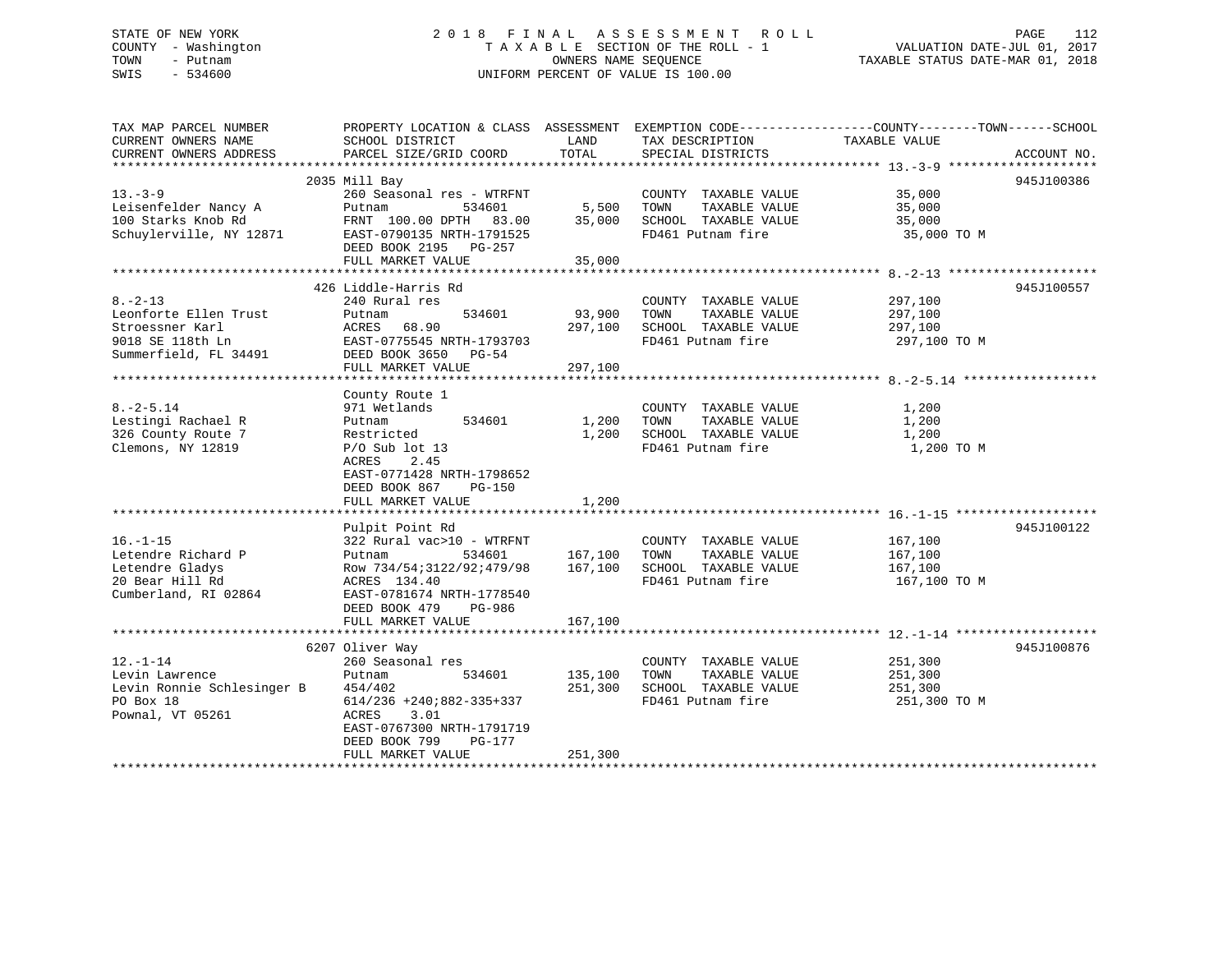### STATE OF NEW YORK 2 0 1 8 F I N A L A S S E S S M E N T R O L L PAGE 112 COUNTY - Washington T A X A B L E SECTION OF THE ROLL - 1 VALUATION DATE-JUL 01, 2017 TOWN - Putnam OWNERS NAME SEQUENCE TAXABLE STATUS DATE-MAR 01, 2018 SWIS - 534600 UNIFORM PERCENT OF VALUE IS 100.00

| TAX MAP PARCEL NUMBER<br>CURRENT OWNERS NAME<br>CURRENT OWNERS ADDRESS | PROPERTY LOCATION & CLASS ASSESSMENT<br>SCHOOL DISTRICT<br>PARCEL SIZE/GRID COORD | LAND<br>TOTAL | TAX DESCRIPTION<br>SPECIAL DISTRICTS | EXEMPTION CODE-----------------COUNTY-------TOWN------SCHOOL<br>TAXABLE VALUE | ACCOUNT NO. |
|------------------------------------------------------------------------|-----------------------------------------------------------------------------------|---------------|--------------------------------------|-------------------------------------------------------------------------------|-------------|
|                                                                        |                                                                                   |               |                                      |                                                                               |             |
|                                                                        | 2035 Mill Bay                                                                     |               |                                      |                                                                               | 945J100386  |
| $13 - 3 - 9$                                                           | 260 Seasonal res - WTRFNT                                                         |               | COUNTY TAXABLE VALUE                 | 35,000                                                                        |             |
| Leisenfelder Nancy A                                                   | 534601<br>Putnam                                                                  | 5,500         | TOWN<br>TAXABLE VALUE                | 35,000                                                                        |             |
| 100 Starks Knob Rd                                                     | FRNT 100.00 DPTH 83.00                                                            | 35,000        | SCHOOL TAXABLE VALUE                 | 35,000                                                                        |             |
| Schuylerville, NY 12871                                                | EAST-0790135 NRTH-1791525<br>DEED BOOK 2195 PG-257                                |               | FD461 Putnam fire                    | 35,000 TO M                                                                   |             |
|                                                                        | FULL MARKET VALUE                                                                 | 35,000        |                                      |                                                                               |             |
|                                                                        |                                                                                   |               |                                      |                                                                               |             |
|                                                                        | 426 Liddle-Harris Rd                                                              |               |                                      |                                                                               | 945J100557  |
| $8. - 2 - 13$                                                          | 240 Rural res                                                                     |               | COUNTY TAXABLE VALUE                 | 297,100                                                                       |             |
| Leonforte Ellen Trust                                                  | Putnam<br>534601                                                                  | 93,900        | TAXABLE VALUE<br>TOWN                | 297,100                                                                       |             |
| Stroessner Karl                                                        | 68.90<br>ACRES                                                                    | 297,100       | SCHOOL TAXABLE VALUE                 | 297,100                                                                       |             |
| 9018 SE 118th Ln                                                       | EAST-0775545 NRTH-1793703                                                         |               | FD461 Putnam fire                    | 297,100 TO M                                                                  |             |
| Summerfield, FL 34491                                                  | DEED BOOK 3650 PG-54                                                              |               |                                      |                                                                               |             |
|                                                                        | FULL MARKET VALUE                                                                 | 297,100       |                                      |                                                                               |             |
|                                                                        |                                                                                   |               |                                      |                                                                               |             |
|                                                                        | County Route 1                                                                    |               |                                      |                                                                               |             |
| $8. - 2 - 5.14$                                                        | 971 Wetlands                                                                      |               | COUNTY TAXABLE VALUE                 | 1,200                                                                         |             |
| Lestingi Rachael R                                                     | 534601<br>Putnam                                                                  | 1,200         | TAXABLE VALUE<br>TOWN                | 1,200                                                                         |             |
| 326 County Route 7                                                     | Restricted                                                                        | 1,200         | SCHOOL TAXABLE VALUE                 | 1,200                                                                         |             |
| Clemons, NY 12819                                                      | $P/O$ Sub lot 13                                                                  |               | FD461 Putnam fire                    | 1,200 TO M                                                                    |             |
|                                                                        | 2.45<br>ACRES                                                                     |               |                                      |                                                                               |             |
|                                                                        | EAST-0771428 NRTH-1798652                                                         |               |                                      |                                                                               |             |
|                                                                        | DEED BOOK 867<br><b>PG-150</b>                                                    |               |                                      |                                                                               |             |
|                                                                        | FULL MARKET VALUE                                                                 | 1,200         |                                      |                                                                               |             |
|                                                                        | Pulpit Point Rd                                                                   |               |                                      |                                                                               | 945J100122  |
| $16. - 1 - 15$                                                         | 322 Rural vac>10 - WTRFNT                                                         |               | COUNTY TAXABLE VALUE                 | 167,100                                                                       |             |
| Letendre Richard P                                                     | Putnam<br>534601                                                                  | 167,100       | TAXABLE VALUE<br>TOWN                | 167,100                                                                       |             |
| Letendre Gladys                                                        | Row 734/54;3122/92;479/98                                                         | 167,100       | SCHOOL TAXABLE VALUE                 | 167,100                                                                       |             |
| 20 Bear Hill Rd                                                        | ACRES 134.40                                                                      |               | FD461 Putnam fire                    |                                                                               |             |
|                                                                        |                                                                                   |               |                                      | 167,100 TO M                                                                  |             |
| Cumberland, RI 02864                                                   | EAST-0781674 NRTH-1778540                                                         |               |                                      |                                                                               |             |
|                                                                        | DEED BOOK 479<br>PG-986                                                           |               |                                      |                                                                               |             |
|                                                                        | FULL MARKET VALUE                                                                 | 167,100       |                                      |                                                                               |             |
|                                                                        | 6207 Oliver Way                                                                   |               |                                      |                                                                               | 945J100876  |
| $12. - 1 - 14$                                                         | 260 Seasonal res                                                                  |               | COUNTY TAXABLE VALUE                 | 251,300                                                                       |             |
| Levin Lawrence                                                         | Putnam<br>534601                                                                  | 135,100       | TOWN<br>TAXABLE VALUE                | 251,300                                                                       |             |
| Levin Ronnie Schlesinger B                                             | 454/402                                                                           | 251,300       | SCHOOL TAXABLE VALUE                 | 251,300                                                                       |             |
| PO Box 18                                                              | $614/236$ +240;882-335+337                                                        |               | FD461 Putnam fire                    | 251,300 TO M                                                                  |             |
| Pownal, VT 05261                                                       | ACRES<br>3.01                                                                     |               |                                      |                                                                               |             |
|                                                                        | EAST-0767300 NRTH-1791719                                                         |               |                                      |                                                                               |             |
|                                                                        | DEED BOOK 799<br>PG-177                                                           |               |                                      |                                                                               |             |
|                                                                        | FULL MARKET VALUE                                                                 | 251,300       |                                      |                                                                               |             |
|                                                                        |                                                                                   |               |                                      |                                                                               |             |
|                                                                        |                                                                                   |               |                                      |                                                                               |             |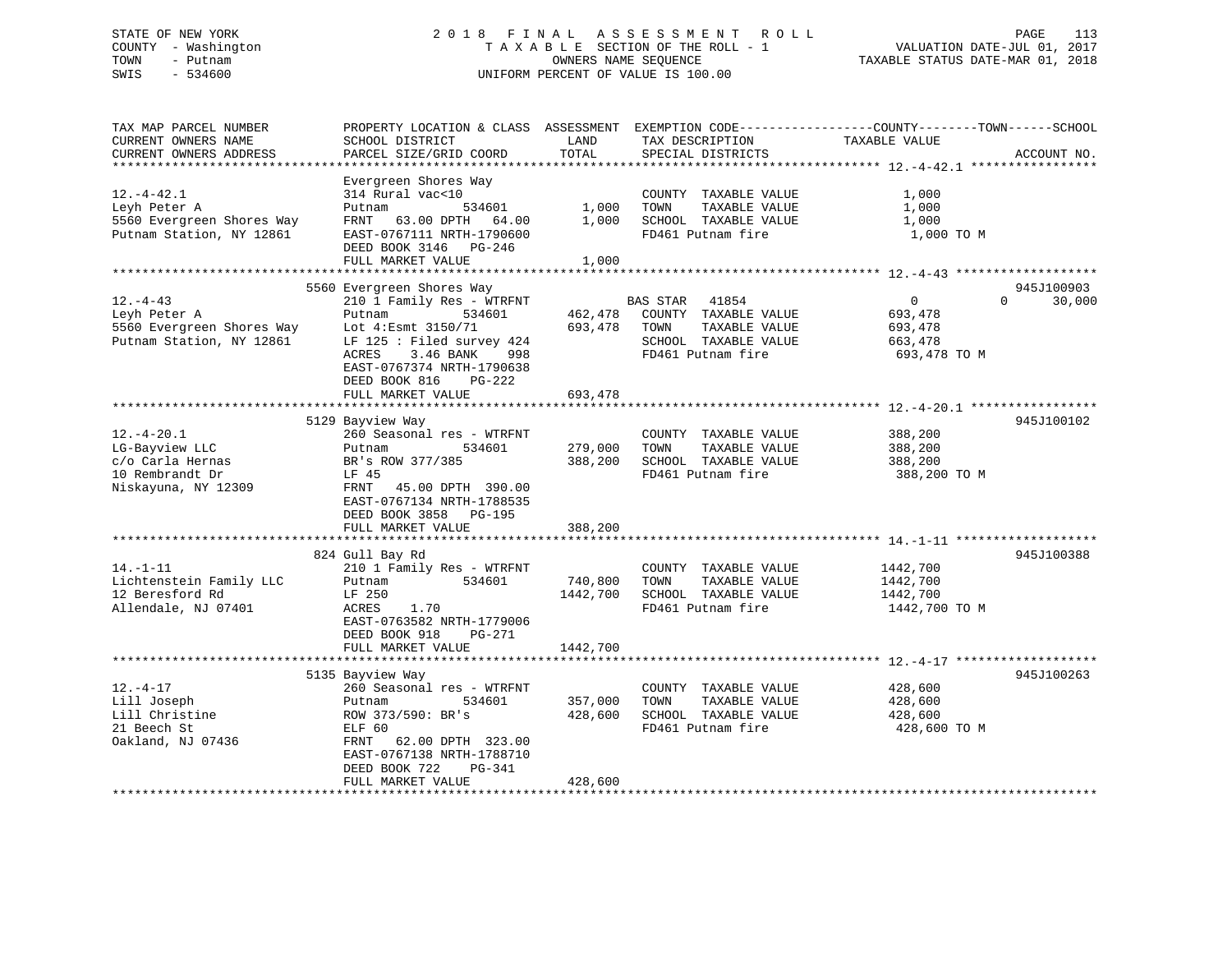### STATE OF NEW YORK 2 0 1 8 F I N A L A S S E S S M E N T R O L L PAGE 113 COUNTY - Washington T A X A B L E SECTION OF THE ROLL - 1 VALUATION DATE-JUL 01, 2017 TOWN - Putnam OWNERS NAME SEQUENCE TAXABLE STATUS DATE-MAR 01, 2018 SWIS - 534600 UNIFORM PERCENT OF VALUE IS 100.00

| TAX MAP PARCEL NUMBER<br>CURRENT OWNERS NAME<br>CURRENT OWNERS ADDRESS                       | PROPERTY LOCATION & CLASS ASSESSMENT<br>SCHOOL DISTRICT<br>PARCEL SIZE/GRID COORD                                                                                                         | LAND<br>TOTAL                 | TAX DESCRIPTION<br>SPECIAL DISTRICTS                                                                                   | EXEMPTION CODE-----------------COUNTY-------TOWN------SCHOOL<br>TAXABLE VALUE | ACCOUNT NO.<br>***************** |
|----------------------------------------------------------------------------------------------|-------------------------------------------------------------------------------------------------------------------------------------------------------------------------------------------|-------------------------------|------------------------------------------------------------------------------------------------------------------------|-------------------------------------------------------------------------------|----------------------------------|
| $12. - 4 - 42.1$<br>Leyh Peter A<br>5560 Evergreen Shores Way<br>Putnam Station, NY 12861    | Evergreen Shores Way<br>314 Rural vac<10<br>534601<br>Putnam<br>FRNT 63.00 DPTH 64.00<br>EAST-0767111 NRTH-1790600<br>DEED BOOK 3146<br>PG-246<br>FULL MARKET VALUE                       | 1,000<br>1,000<br>1,000       | COUNTY TAXABLE VALUE<br>TOWN<br>TAXABLE VALUE<br>SCHOOL TAXABLE VALUE<br>FD461 Putnam fire                             | 1,000<br>1,000<br>1,000<br>1,000 TO M                                         |                                  |
|                                                                                              | 5560 Evergreen Shores Way                                                                                                                                                                 |                               |                                                                                                                        |                                                                               | 945J100903                       |
| $12. - 4 - 43$<br>Leyh Peter A<br>5560 Evergreen Shores Way<br>Putnam Station, NY 12861      | 210 1 Family Res - WTRFNT<br>534601<br>Putnam<br>Lot 4: Esmt 3150/71<br>LF $125:$ Filed survey 424<br>3.46 BANK<br>ACRES<br>998<br>EAST-0767374 NRTH-1790638<br>DEED BOOK 816<br>$PG-222$ | 462,478<br>693,478            | <b>BAS STAR</b><br>41854<br>COUNTY TAXABLE VALUE<br>TOWN<br>TAXABLE VALUE<br>SCHOOL TAXABLE VALUE<br>FD461 Putnam fire | $\overline{0}$<br>693,478<br>693,478<br>663,478<br>693,478 TO M               | $\Omega$<br>30,000               |
|                                                                                              | FULL MARKET VALUE                                                                                                                                                                         | 693,478                       |                                                                                                                        |                                                                               |                                  |
|                                                                                              | 5129 Bayview Way                                                                                                                                                                          |                               |                                                                                                                        |                                                                               | 945J100102                       |
| $12.-4-20.1$<br>LG-Bayview LLC<br>c/o Carla Hernas<br>10 Rembrandt Dr<br>Niskayuna, NY 12309 | 260 Seasonal res - WTRFNT<br>534601<br>Putnam<br>BR's ROW 377/385<br>LF 45<br>45.00 DPTH 390.00<br>FRNT<br>EAST-0767134 NRTH-1788535<br>DEED BOOK 3858 PG-195<br>FULL MARKET VALUE        | 279,000<br>388,200<br>388,200 | COUNTY TAXABLE VALUE<br>TOWN<br>TAXABLE VALUE<br>SCHOOL TAXABLE VALUE<br>FD461 Putnam fire                             | 388,200<br>388,200<br>388,200<br>388,200 TO M                                 |                                  |
|                                                                                              |                                                                                                                                                                                           |                               |                                                                                                                        |                                                                               |                                  |
| $14. - 1 - 11$<br>Lichtenstein Family LLC<br>12 Beresford Rd<br>Allendale, NJ 07401          | 824 Gull Bay Rd<br>210 1 Family Res - WTRFNT<br>534601<br>Putnam<br>LF 250<br>ACRES<br>1.70<br>EAST-0763582 NRTH-1779006<br>DEED BOOK 918<br>PG-271                                       | 740,800<br>1442,700           | COUNTY TAXABLE VALUE<br>TAXABLE VALUE<br>TOWN<br>SCHOOL TAXABLE VALUE<br>FD461 Putnam fire                             | 1442,700<br>1442,700<br>1442,700<br>1442,700 TO M                             | 945J100388                       |
|                                                                                              | FULL MARKET VALUE                                                                                                                                                                         | 1442,700                      |                                                                                                                        |                                                                               |                                  |
|                                                                                              |                                                                                                                                                                                           |                               |                                                                                                                        |                                                                               |                                  |
| $12. - 4 - 17$<br>Lill Joseph<br>Lill Christine<br>21 Beech St<br>Oakland, NJ 07436          | 5135 Bayview Way<br>260 Seasonal res - WTRFNT<br>534601<br>Putnam<br>ROW 373/590: BR's<br>ELF 60<br>62.00 DPTH 323.00<br>FRNT<br>EAST-0767138 NRTH-1788710<br>DEED BOOK 722<br>PG-341     | 357,000<br>428,600            | COUNTY TAXABLE VALUE<br>TOWN<br>TAXABLE VALUE<br>SCHOOL TAXABLE VALUE<br>FD461 Putnam fire                             | 428,600<br>428,600<br>428,600<br>428,600 TO M                                 | 945J100263                       |
|                                                                                              | FULL MARKET VALUE                                                                                                                                                                         | 428,600                       |                                                                                                                        |                                                                               |                                  |
|                                                                                              |                                                                                                                                                                                           |                               |                                                                                                                        |                                                                               |                                  |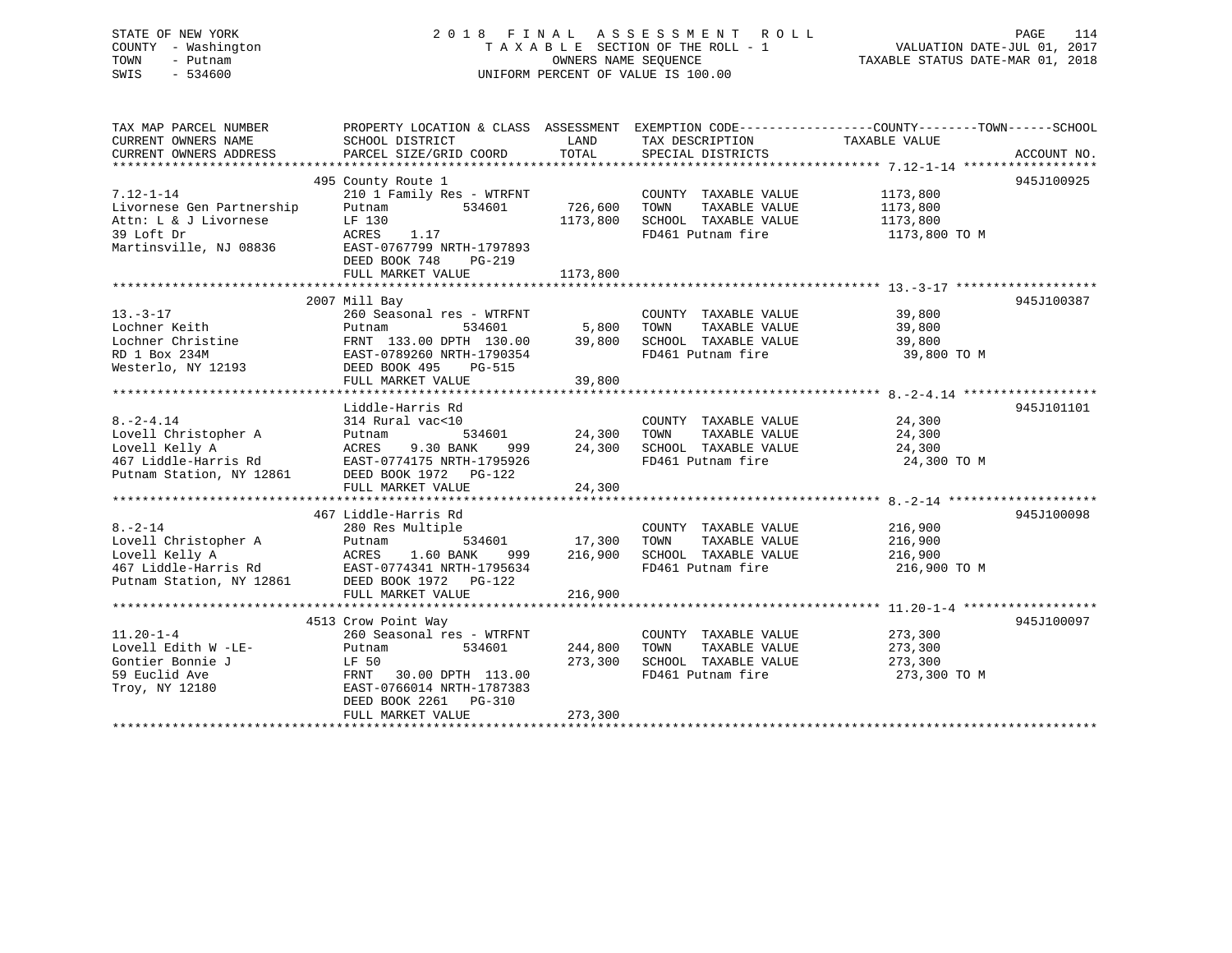### STATE OF NEW YORK 2 0 1 8 F I N A L A S S E S S M E N T R O L L PAGE 114 COUNTY - Washington T A X A B L E SECTION OF THE ROLL - 1 VALUATION DATE-JUL 01, 2017 TOWN - Putnam OWNERS NAME SEQUENCE TAXABLE STATUS DATE-MAR 01, 2018 SWIS - 534600 UNIFORM PERCENT OF VALUE IS 100.00

| TAX MAP PARCEL NUMBER<br>CURRENT OWNERS NAME | PROPERTY LOCATION & CLASS ASSESSMENT EXEMPTION CODE---------------COUNTY-------TOWN-----SCHOOL<br>SCHOOL DISTRICT | LAND<br>TOTAL | TAX DESCRIPTION       | TAXABLE VALUE |             |
|----------------------------------------------|-------------------------------------------------------------------------------------------------------------------|---------------|-----------------------|---------------|-------------|
| CURRENT OWNERS ADDRESS                       | PARCEL SIZE/GRID COORD                                                                                            |               | SPECIAL DISTRICTS     |               | ACCOUNT NO. |
|                                              | 495 County Route 1                                                                                                |               |                       |               | 945J100925  |
| $7.12 - 1 - 14$                              | 210 1 Family Res - WTRFNT                                                                                         |               | COUNTY TAXABLE VALUE  | 1173,800      |             |
| Livornese Gen Partnership                    | 534601<br>Putnam                                                                                                  | 726,600       | TAXABLE VALUE<br>TOWN | 1173,800      |             |
| Attn: L & J Livornese                        | LF 130                                                                                                            | 1173,800      | SCHOOL TAXABLE VALUE  | 1173,800      |             |
| 39 Loft Dr                                   | ACRES<br>1.17                                                                                                     |               | FD461 Putnam fire     | 1173,800 TO M |             |
| Martinsville, NJ 08836                       | EAST-0767799 NRTH-1797893                                                                                         |               |                       |               |             |
|                                              | DEED BOOK 748<br>PG-219                                                                                           |               |                       |               |             |
|                                              | FULL MARKET VALUE                                                                                                 | 1173,800      |                       |               |             |
|                                              |                                                                                                                   |               |                       |               |             |
|                                              | 2007 Mill Bay                                                                                                     |               |                       |               | 945J100387  |
| $13. - 3 - 17$                               | 260 Seasonal res - WTRFNT                                                                                         |               | COUNTY TAXABLE VALUE  | 39,800        |             |
| Lochner Keith                                | Putnam<br>534601                                                                                                  | 5,800         | TOWN<br>TAXABLE VALUE | 39,800        |             |
| Lochner Christine                            | FRNT 133.00 DPTH 130.00                                                                                           | 39,800        | SCHOOL TAXABLE VALUE  | 39,800        |             |
| RD 1 Box 234M                                | EAST-0789260 NRTH-1790354                                                                                         |               | FD461 Putnam fire     | 39,800 TO M   |             |
| Westerlo, NY 12193                           | DEED BOOK 495<br>PG-515                                                                                           |               |                       |               |             |
|                                              | FULL MARKET VALUE                                                                                                 | 39,800        |                       |               |             |
|                                              |                                                                                                                   |               |                       |               |             |
|                                              | Liddle-Harris Rd                                                                                                  |               |                       |               | 945J101101  |
| $8. - 2 - 4.14$                              | 314 Rural vac<10                                                                                                  |               | COUNTY TAXABLE VALUE  | 24,300        |             |
| Lovell Christopher A                         | 534601<br>Putnam                                                                                                  | 24,300        | TAXABLE VALUE<br>TOWN | 24,300        |             |
| Lovell Kelly A                               | 9.30 BANK<br>ACRES<br>999                                                                                         | 24,300        | SCHOOL TAXABLE VALUE  | 24,300        |             |
| 467 Liddle-Harris Rd                         | EAST-0774175 NRTH-1795926                                                                                         |               | FD461 Putnam fire     | 24,300 TO M   |             |
| Putnam Station, NY 12861                     | DEED BOOK 1972    PG-122                                                                                          |               |                       |               |             |
|                                              | FULL MARKET VALUE                                                                                                 | 24,300        |                       |               |             |
|                                              |                                                                                                                   |               |                       |               |             |
|                                              | 467 Liddle-Harris Rd                                                                                              |               |                       |               | 945J100098  |
| $8. - 2 - 14$                                | 280 Res Multiple                                                                                                  |               | COUNTY TAXABLE VALUE  | 216,900       |             |
| Lovell Christopher A                         | 534601<br>Putnam                                                                                                  | 17,300        | TAXABLE VALUE<br>TOWN | 216,900       |             |
| Lovell Kelly A                               | 1.60 BANK<br>ACRES<br>999                                                                                         | 216,900       | SCHOOL TAXABLE VALUE  | 216,900       |             |
| 467 Liddle-Harris Rd                         | EAST-0774341 NRTH-1795634                                                                                         |               | FD461 Putnam fire     | 216,900 TO M  |             |
| Putnam Station, NY 12861                     | DEED BOOK 1972 PG-122                                                                                             |               |                       |               |             |
|                                              | FULL MARKET VALUE                                                                                                 | 216,900       |                       |               |             |
|                                              |                                                                                                                   |               |                       |               |             |
|                                              | 4513 Crow Point Way                                                                                               |               |                       |               | 945J100097  |
| $11.20 - 1 - 4$                              | 260 Seasonal res - WTRFNT                                                                                         |               | COUNTY TAXABLE VALUE  | 273,300       |             |
| Lovell Edith W -LE-                          | 534601<br>Putnam                                                                                                  | 244,800       | TOWN<br>TAXABLE VALUE | 273,300       |             |
| Gontier Bonnie J                             | LF 50                                                                                                             | 273,300       | SCHOOL TAXABLE VALUE  | 273,300       |             |
| 59 Euclid Ave                                | FRNT<br>30.00 DPTH 113.00                                                                                         |               | FD461 Putnam fire     | 273,300 TO M  |             |
| Troy, NY 12180                               | EAST-0766014 NRTH-1787383                                                                                         |               |                       |               |             |
|                                              | DEED BOOK 2261 PG-310                                                                                             |               |                       |               |             |
|                                              | FULL MARKET VALUE                                                                                                 | 273,300       |                       |               |             |
|                                              |                                                                                                                   |               |                       |               |             |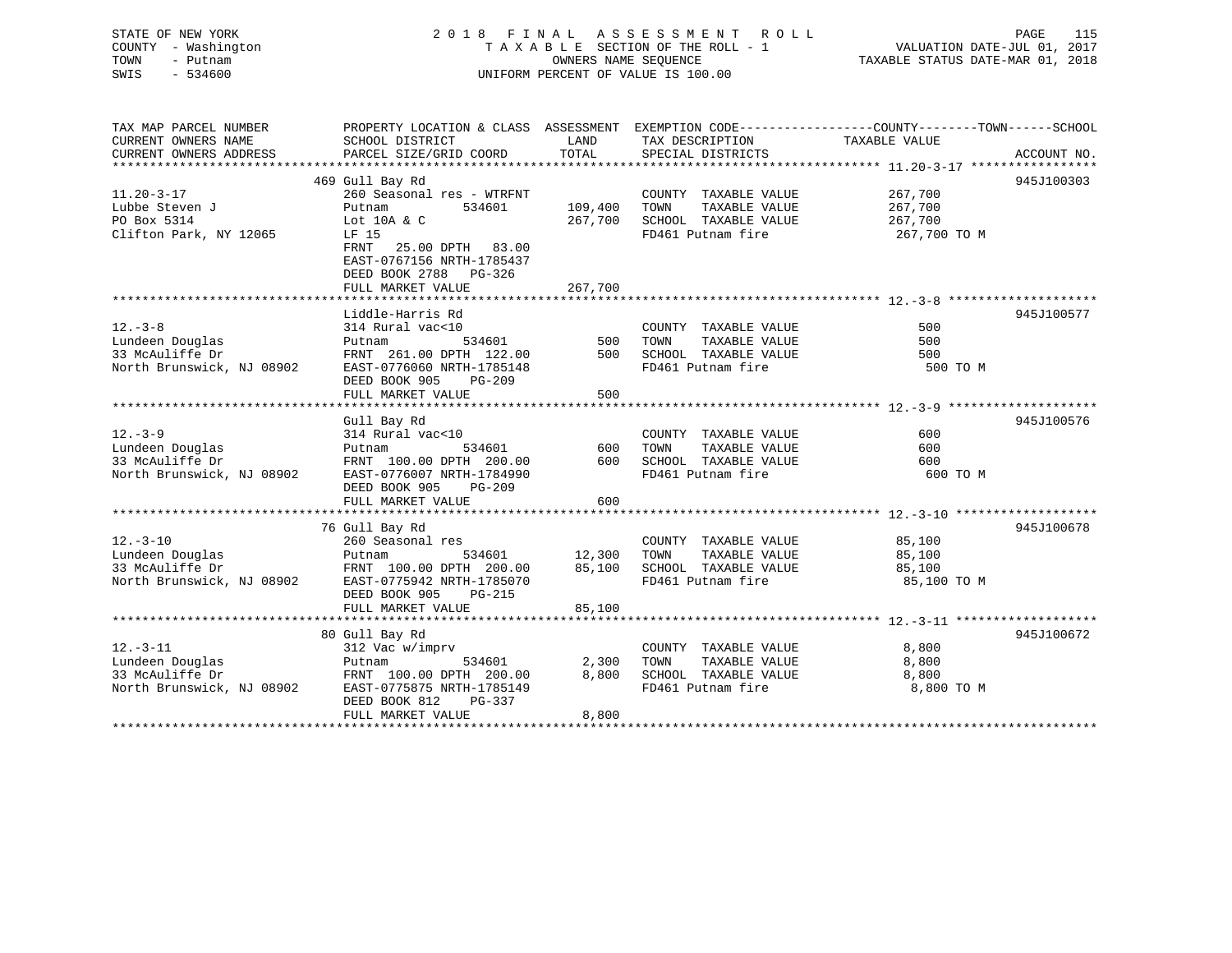STATE OF NEW YORK 2 0 1 8 F I N A L A S S E S S M E N T R O L L PAGE 115 COUNTY - Washington T A X A B L E SECTION OF THE ROLL - 1 VALUATION DATE-JUL 01, 2017 TOWN - Putnam OWNERS NAME SEQUENCE TAXABLE STATUS DATE-MAR 01, 2018 SWIS - 534600 UNIFORM PERCENT OF VALUE IS 100.00

| TAX MAP PARCEL NUMBER                               | PROPERTY LOCATION & CLASS ASSESSMENT EXEMPTION CODE---------------COUNTY-------TOWN-----SCHOOL                        |              |                                                                             |              |             |
|-----------------------------------------------------|-----------------------------------------------------------------------------------------------------------------------|--------------|-----------------------------------------------------------------------------|--------------|-------------|
| CURRENT OWNERS NAME                                 | SCHOOL DISTRICT                                                                                                       | LAND         | TAX DESCRIPTION TAXABLE VALUE                                               |              |             |
| CURRENT OWNERS ADDRESS                              | PARCEL SIZE/GRID COORD                                                                                                | TOTAL        | SPECIAL DISTRICTS                                                           |              | ACCOUNT NO. |
|                                                     |                                                                                                                       |              |                                                                             |              |             |
|                                                     | 469 Gull Bay Rd                                                                                                       |              |                                                                             |              | 945J100303  |
| $11.20 - 3 - 17$                                    | 260 Seasonal res - WTRFNT                                                                                             |              | COUNTY TAXABLE VALUE 267,700<br>TOWN TAXABLE VALUE 267,700                  |              |             |
| Lubbe Steven J                                      | 534601<br>Putnam                                                                                                      | 109,400 TOWN |                                                                             |              |             |
| PO Box 5314                                         | Lot 10A & C                                                                                                           |              | 267,700 SCHOOL TAXABLE VALUE 267,700                                        |              |             |
| Clifton Park, NY 12065                              | LF 15                                                                                                                 |              | FD461 Putnam fire                                                           | 267,700 ТО М |             |
|                                                     | FRNT 25.00 DPTH 83.00                                                                                                 |              |                                                                             |              |             |
|                                                     | EAST-0767156 NRTH-1785437                                                                                             |              |                                                                             |              |             |
|                                                     | DEED BOOK 2788 PG-326                                                                                                 |              |                                                                             |              |             |
|                                                     | FULL MARKET VALUE                                                                                                     | 267,700      |                                                                             |              |             |
|                                                     |                                                                                                                       |              |                                                                             |              |             |
|                                                     | Liddle-Harris Rd                                                                                                      |              |                                                                             |              | 945J100577  |
| $12. - 3 - 8$                                       | 314 Rural vac<10                                                                                                      |              | COUNTY TAXABLE VALUE                                                        | 500          |             |
| Lundeen Douglas                                     | COUNT<br>Putnam 534601 500 TOWN<br>PRINT 261.00 DPTH 122.00 500 SCHOO<br>NT 08002 FIGHT 261.100 DPTH 122.00 500 SCHOO |              | TAXABLE VALUE<br>500 SCHOOL TAXABLE VALUE                                   | 500          |             |
| 33 McAuliffe Dr                                     |                                                                                                                       |              |                                                                             | 500          |             |
| North Brunswick, NJ 08902                           | EAST-0776060 NRTH-1785148                                                                                             |              | FD461 Putnam fire                                                           | 500 TO M     |             |
|                                                     | DEED BOOK 905<br><b>PG-209</b>                                                                                        |              |                                                                             |              |             |
|                                                     | FULL MARKET VALUE                                                                                                     | 500          |                                                                             |              |             |
|                                                     | Gull Bay Rd                                                                                                           |              |                                                                             |              | 945J100576  |
| $12. - 3 - 9$                                       |                                                                                                                       |              |                                                                             | 600          |             |
| Lundeen Douglas                                     |                                                                                                                       |              |                                                                             | 600          |             |
| 33 McAuliffe Dr                                     |                                                                                                                       |              |                                                                             | 600          |             |
| North Brunswick, NJ 08902                           | EAST-0776007 NRTH-1784990                                                                                             |              | FD461 Putnam fire                                                           | 600 TO M     |             |
|                                                     | DEED BOOK 905 PG-209                                                                                                  |              |                                                                             |              |             |
|                                                     | FULL MARKET VALUE                                                                                                     | 600          |                                                                             |              |             |
|                                                     |                                                                                                                       |              |                                                                             |              |             |
|                                                     | 76 Gull Bay Rd                                                                                                        |              |                                                                             |              | 945J100678  |
| $12. - 3 - 10$                                      | 260 Seasonal res                                                                                                      |              | COUNTY TAXABLE VALUE 85,100                                                 |              |             |
|                                                     |                                                                                                                       |              |                                                                             | 85,100       |             |
|                                                     |                                                                                                                       |              | 534601 12,300 TOWN TAXABLE VALUE<br>DPTH 200.00 85,100 SCHOOL TAXABLE VALUE | 85,100       |             |
| North Brunswick, NJ 08902 EAST-0775942 NRTH-1785070 |                                                                                                                       |              | FD461 Putnam fire 35,100 TO M                                               |              |             |
|                                                     | DEED BOOK 905<br>PG-215                                                                                               |              |                                                                             |              |             |
|                                                     | FULL MARKET VALUE                                                                                                     | 85,100       |                                                                             |              |             |
|                                                     |                                                                                                                       |              |                                                                             |              |             |
|                                                     | 80 Gull Bay Rd                                                                                                        |              |                                                                             |              | 945J100672  |
| $12. - 3 - 11$                                      | 312 Vac w/imprv                                                                                                       |              | COUNTY TAXABLE VALUE                                                        | 8,800        |             |
| Lundeen Douglas                                     |                                                                                                                       |              | TOWN TAXABLE VALUE                                                          | 8,800        |             |
| 33 McAuliffe Dr                                     | Putnam 534601 2,300<br>FRNT 100.00 DPTH 200.00 8,800                                                                  |              | 8,800 SCHOOL TAXABLE VALUE                                                  | 8,800        |             |
| North Brunswick, NJ 08902                           | EAST-0775875 NRTH-1785149                                                                                             |              | FD461 Putnam fire                                                           | 8,800 TO M   |             |
|                                                     | DEED BOOK 812<br>PG-337                                                                                               |              |                                                                             |              |             |
|                                                     | FULL MARKET VALUE                                                                                                     | 8,800        |                                                                             |              |             |
|                                                     |                                                                                                                       |              |                                                                             |              |             |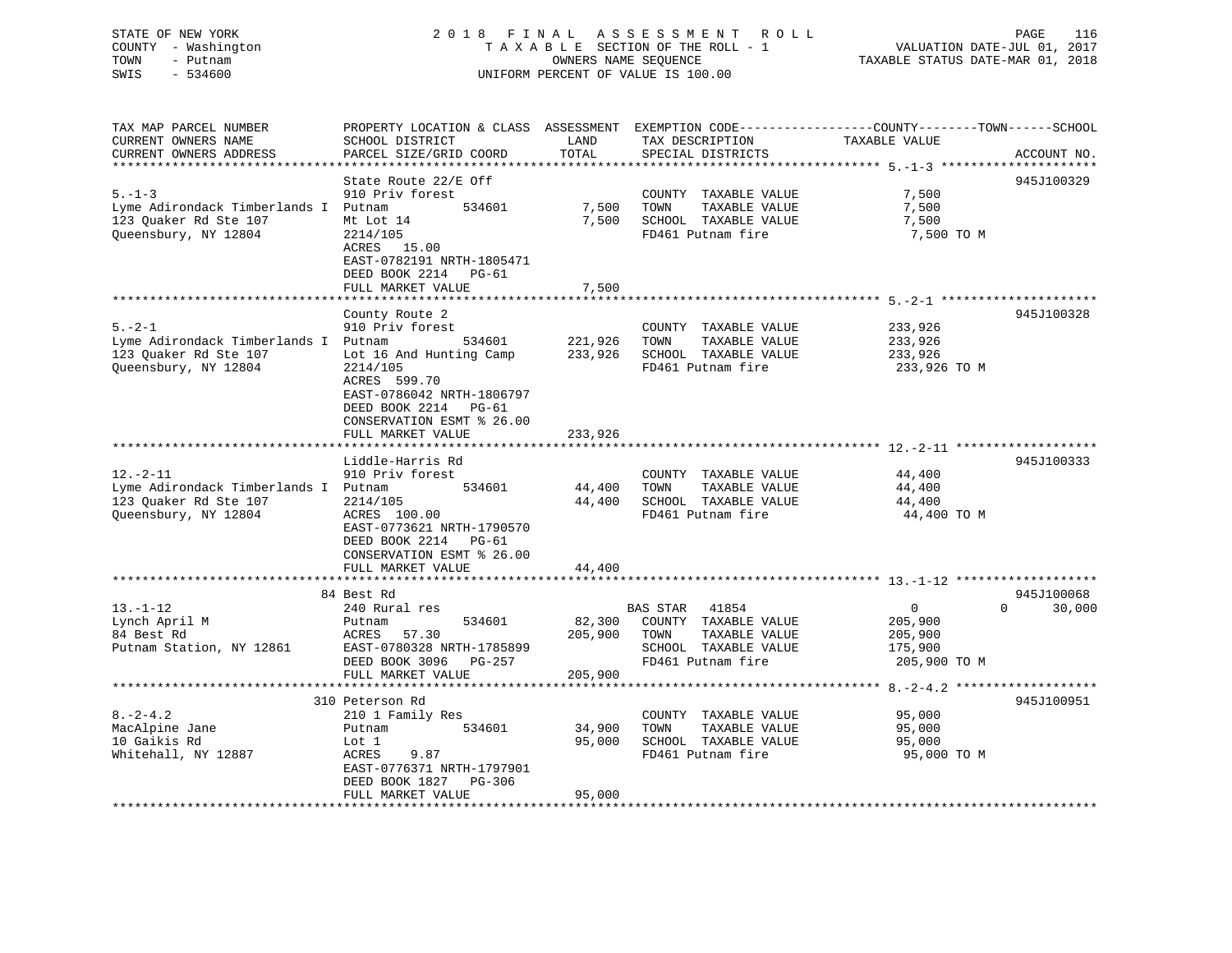| STATE OF NEW YORK<br>COUNTY - Washington<br>TOWN<br>- Putnam<br>SWIS<br>$-534600$ | 2018 FINAL                                                                                                                      | OWNERS NAME SEQUENCE | A S S E S S M E N T<br>R O L L<br>TAXABLE SECTION OF THE ROLL - 1<br>UNIFORM PERCENT OF VALUE IS 100.00 | PAGE<br>116<br>VALUATION DATE-JUL 01, 2017<br>TAXABLE STATUS DATE-MAR 01, 2018                  |
|-----------------------------------------------------------------------------------|---------------------------------------------------------------------------------------------------------------------------------|----------------------|---------------------------------------------------------------------------------------------------------|-------------------------------------------------------------------------------------------------|
| TAX MAP PARCEL NUMBER                                                             |                                                                                                                                 |                      |                                                                                                         | PROPERTY LOCATION & CLASS ASSESSMENT EXEMPTION CODE----------------COUNTY-------TOWN-----SCHOOL |
| CURRENT OWNERS NAME<br>CURRENT OWNERS ADDRESS                                     | SCHOOL DISTRICT<br>PARCEL SIZE/GRID COORD                                                                                       | LAND<br>TOTAL        | TAX DESCRIPTION<br>SPECIAL DISTRICTS                                                                    | TAXABLE VALUE<br>ACCOUNT NO.                                                                    |
| **********************                                                            |                                                                                                                                 |                      |                                                                                                         |                                                                                                 |
|                                                                                   | State Route 22/E Off                                                                                                            |                      |                                                                                                         | 945J100329                                                                                      |
| $5. - 1 - 3$                                                                      | 910 Priv forest                                                                                                                 |                      | COUNTY TAXABLE VALUE                                                                                    | 7,500                                                                                           |
| Lyme Adirondack Timberlands I Putnam                                              | 534601                                                                                                                          | 7,500                | TOWN<br>TAXABLE VALUE                                                                                   | 7,500                                                                                           |
| 123 Quaker Rd Ste 107                                                             | Mt Lot 14                                                                                                                       | 7,500                | SCHOOL TAXABLE VALUE                                                                                    | 7,500                                                                                           |
| Queensbury, NY 12804                                                              | 2214/105<br>ACRES 15.00<br>EAST-0782191 NRTH-1805471<br>DEED BOOK 2214 PG-61                                                    |                      | FD461 Putnam fire                                                                                       | 7,500 TO M                                                                                      |
|                                                                                   | FULL MARKET VALUE<br>* * * * * * * * * * * * * * * * * * * *                                                                    | 7,500                |                                                                                                         |                                                                                                 |
|                                                                                   | County Route 2                                                                                                                  |                      |                                                                                                         | 945J100328                                                                                      |
| $5. - 2 - 1$                                                                      | 910 Priv forest                                                                                                                 |                      | COUNTY TAXABLE VALUE                                                                                    | 233,926                                                                                         |
| Lyme Adirondack Timberlands I Putnam                                              | 534601                                                                                                                          | 221,926              | TAXABLE VALUE<br>TOWN                                                                                   | 233,926                                                                                         |
| 123 Quaker Rd Ste 107                                                             | Lot 16 And Hunting Camp                                                                                                         | 233,926              | SCHOOL TAXABLE VALUE                                                                                    | 233,926                                                                                         |
| Queensbury, NY 12804                                                              | 2214/105<br>ACRES 599.70<br>EAST-0786042 NRTH-1806797<br>DEED BOOK 2214 PG-61<br>CONSERVATION ESMT % 26.00<br>FULL MARKET VALUE | 233,926              | FD461 Putnam fire                                                                                       | 233,926 TO M                                                                                    |
|                                                                                   |                                                                                                                                 |                      |                                                                                                         |                                                                                                 |
| $12.-2-11$                                                                        | Liddle-Harris Rd<br>910 Priv forest                                                                                             |                      | COUNTY TAXABLE VALUE                                                                                    | 945J100333<br>44,400                                                                            |
| Lyme Adirondack Timberlands I Putnam                                              | 534601                                                                                                                          | 44,400               | TAXABLE VALUE<br>TOWN                                                                                   | 44,400                                                                                          |
| 123 Quaker Rd Ste 107                                                             | 2214/105                                                                                                                        | 44,400               | SCHOOL TAXABLE VALUE                                                                                    | 44,400                                                                                          |
| Queensbury, NY 12804                                                              | ACRES 100.00                                                                                                                    |                      | FD461 Putnam fire                                                                                       | 44,400 TO M                                                                                     |
|                                                                                   | EAST-0773621 NRTH-1790570<br>DEED BOOK 2214 PG-61<br>CONSERVATION ESMT % 26.00                                                  | 44,400               |                                                                                                         |                                                                                                 |
|                                                                                   | FULL MARKET VALUE                                                                                                               |                      |                                                                                                         |                                                                                                 |
|                                                                                   | 84 Best Rd                                                                                                                      |                      |                                                                                                         | 945J100068                                                                                      |
| $13. - 1 - 12$                                                                    | 240 Rural res                                                                                                                   |                      | BAS STAR<br>41854                                                                                       | $\overline{0}$<br>$\Omega$<br>30,000                                                            |
| Lynch April M                                                                     | 534601<br>Putnam                                                                                                                | 82,300               | COUNTY TAXABLE VALUE                                                                                    | 205,900                                                                                         |
| 84 Best Rd                                                                        | ACRES<br>57.30                                                                                                                  | 205,900              | TOWN<br>TAXABLE VALUE                                                                                   | 205,900                                                                                         |
| Putnam Station, NY 12861                                                          | EAST-0780328 NRTH-1785899                                                                                                       |                      | SCHOOL TAXABLE VALUE                                                                                    | 175,900                                                                                         |
|                                                                                   | DEED BOOK 3096<br>PG-257<br>FULL MARKET VALUE                                                                                   | 205,900              | FD461 Putnam fire                                                                                       | 205,900 TO M                                                                                    |
|                                                                                   | ***********************                                                                                                         |                      |                                                                                                         |                                                                                                 |
|                                                                                   | 310 Peterson Rd                                                                                                                 |                      |                                                                                                         | 945J100951                                                                                      |
| $8. -2 - 4.2$                                                                     | 210 1 Family Res                                                                                                                |                      | COUNTY TAXABLE VALUE                                                                                    | 95,000                                                                                          |
| MacAlpine Jane                                                                    | Putnam<br>534601                                                                                                                | 34,900               | TOWN<br>TAXABLE VALUE                                                                                   | 95,000                                                                                          |
| 10 Gaikis Rd                                                                      | Lot 1                                                                                                                           | 95,000               | SCHOOL TAXABLE VALUE                                                                                    | 95,000                                                                                          |
| Whitehall, NY 12887                                                               | ACRES<br>9.87                                                                                                                   |                      | FD461 Putnam fire                                                                                       | 95,000 TO M                                                                                     |

\*\*\*\*\*\*\*\*\*\*\*\*\*\*\*\*\*\*\*\*\*\*\*\*\*\*\*\*\*\*\*\*\*\*\*\*\*\*\*\*\*\*\*\*\*\*\*\*\*\*\*\*\*\*\*\*\*\*\*\*\*\*\*\*\*\*\*\*\*\*\*\*\*\*\*\*\*\*\*\*\*\*\*\*\*\*\*\*\*\*\*\*\*\*\*\*\*\*\*\*\*\*\*\*\*\*\*\*\*\*\*\*\*\*\*\*\*\*\*\*\*\*\*\*\*\*\*\*\*\*\*\*

 EAST-0776371 NRTH-1797901 DEED BOOK 1827 PG-306

FULL MARKET VALUE 95,000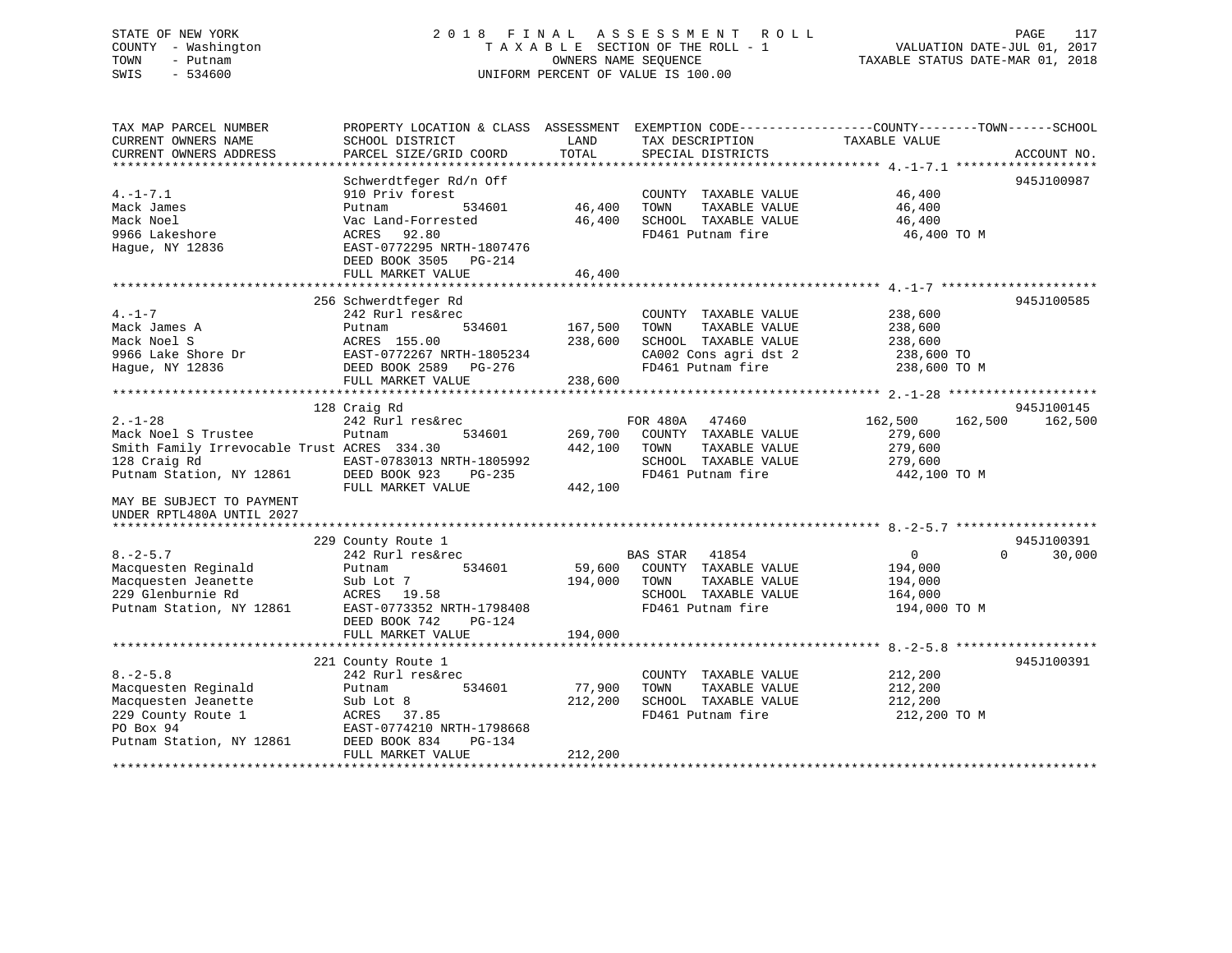### STATE OF NEW YORK 2 0 1 8 F I N A L A S S E S S M E N T R O L L PAGE 117 COUNTY - Washington T A X A B L E SECTION OF THE ROLL - 1 VALUATION DATE-JUL 01, 2017 TOWN - Putnam **CONNERS NAME SEQUENCE** TAXABLE STATUS DATE-MAR 01, 2018 SWIS - 534600 UNIFORM PERCENT OF VALUE IS 100.00

| TAX MAP PARCEL NUMBER                       | PROPERTY LOCATION & CLASS ASSESSMENT |         |                       | EXEMPTION CODE-----------------COUNTY-------TOWN------SCHOOL |             |
|---------------------------------------------|--------------------------------------|---------|-----------------------|--------------------------------------------------------------|-------------|
| CURRENT OWNERS NAME                         | SCHOOL DISTRICT                      | LAND    | TAX DESCRIPTION       | TAXABLE VALUE                                                |             |
| CURRENT OWNERS ADDRESS                      | PARCEL SIZE/GRID COORD               | TOTAL   | SPECIAL DISTRICTS     |                                                              | ACCOUNT NO. |
|                                             |                                      |         |                       |                                                              |             |
|                                             | Schwerdtfeger Rd/n Off               |         |                       |                                                              | 945J100987  |
| $4. -1 - 7.1$                               | 910 Priv forest                      |         | COUNTY TAXABLE VALUE  | 46,400                                                       |             |
| Mack James                                  | 534601<br>Putnam                     | 46,400  | TOWN<br>TAXABLE VALUE | 46,400                                                       |             |
| Mack Noel                                   | Vac Land-Forrested                   | 46,400  | SCHOOL TAXABLE VALUE  | 46,400                                                       |             |
| 9966 Lakeshore                              | 92.80<br>ACRES                       |         | FD461 Putnam fire     | 46,400 TO M                                                  |             |
| Hague, NY 12836                             | EAST-0772295 NRTH-1807476            |         |                       |                                                              |             |
|                                             | DEED BOOK 3505<br>$PG-214$           |         |                       |                                                              |             |
|                                             | FULL MARKET VALUE                    | 46,400  |                       |                                                              |             |
|                                             |                                      |         |                       |                                                              |             |
|                                             | 256 Schwerdtfeger Rd                 |         |                       |                                                              | 945J100585  |
| $4. -1 - 7$                                 | 242 Rurl res&rec                     |         | COUNTY TAXABLE VALUE  | 238,600                                                      |             |
| Mack James A                                | 534601<br>Putnam                     | 167,500 | TOWN<br>TAXABLE VALUE | 238,600                                                      |             |
| Mack Noel S                                 | ACRES 155.00                         | 238,600 | SCHOOL TAXABLE VALUE  | 238,600                                                      |             |
| 9966 Lake Shore Dr                          | EAST-0772267 NRTH-1805234            |         | CA002 Cons agri dst 2 | 238,600 TO                                                   |             |
| Hague, NY 12836                             | DEED BOOK 2589<br>PG-276             |         | FD461 Putnam fire     | 238,600 TO M                                                 |             |
|                                             | FULL MARKET VALUE                    | 238,600 |                       |                                                              |             |
|                                             |                                      |         |                       |                                                              |             |
|                                             | 128 Craig Rd                         |         |                       |                                                              | 945J100145  |
| $2. - 1 - 28$                               | 242 Rurl res&rec                     |         | FOR 480A<br>47460     | 162,500<br>162,500                                           | 162,500     |
| Mack Noel S Trustee                         | 534601<br>Putnam                     | 269,700 | COUNTY TAXABLE VALUE  | 279,600                                                      |             |
| Smith Family Irrevocable Trust ACRES 334.30 |                                      | 442,100 | TOWN<br>TAXABLE VALUE | 279,600                                                      |             |
| 128 Craig Rd                                | EAST-0783013 NRTH-1805992            |         | SCHOOL TAXABLE VALUE  | 279,600                                                      |             |
| Putnam Station, NY 12861                    | DEED BOOK 923<br>$PG-235$            |         | FD461 Putnam fire     | 442,100 TO M                                                 |             |
|                                             | FULL MARKET VALUE                    | 442,100 |                       |                                                              |             |
| MAY BE SUBJECT TO PAYMENT                   |                                      |         |                       |                                                              |             |
| UNDER RPTL480A UNTIL 2027                   |                                      |         |                       |                                                              |             |
|                                             | 229 County Route 1                   |         |                       |                                                              | 945J100391  |
| $8. - 2 - 5.7$                              | 242 Rurl res&rec                     |         | BAS STAR<br>41854     | $\mathsf{O}$<br>$\Omega$                                     | 30,000      |
| Macquesten Reginald                         | 534601<br>Putnam                     | 59,600  | COUNTY TAXABLE VALUE  | 194,000                                                      |             |
| Macquesten Jeanette                         | Sub Lot 7                            | 194,000 | TOWN<br>TAXABLE VALUE | 194,000                                                      |             |
| 229 Glenburnie Rd                           | ACRES<br>19.58                       |         | SCHOOL TAXABLE VALUE  | 164,000                                                      |             |
| Putnam Station, NY 12861                    | EAST-0773352 NRTH-1798408            |         | FD461 Putnam fire     | 194,000 TO M                                                 |             |
|                                             | DEED BOOK 742<br>PG-124              |         |                       |                                                              |             |
|                                             | FULL MARKET VALUE                    | 194,000 |                       |                                                              |             |
|                                             |                                      |         |                       |                                                              |             |
|                                             | 221 County Route 1                   |         |                       |                                                              | 945J100391  |
| $8. - 2 - 5.8$                              | 242 Rurl res&rec                     |         | COUNTY TAXABLE VALUE  | 212,200                                                      |             |
| Macquesten Reginald                         | 534601<br>Putnam                     | 77,900  | TAXABLE VALUE<br>TOWN | 212,200                                                      |             |
| Macquesten Jeanette                         | Sub Lot 8                            | 212,200 | SCHOOL TAXABLE VALUE  | 212,200                                                      |             |
| 229 County Route 1                          | ACRES<br>37.85                       |         | FD461 Putnam fire     | 212,200 TO M                                                 |             |
| PO Box 94                                   | EAST-0774210 NRTH-1798668            |         |                       |                                                              |             |
| Putnam Station, NY 12861                    | DEED BOOK 834<br><b>PG-134</b>       |         |                       |                                                              |             |
|                                             | FULL MARKET VALUE                    | 212,200 |                       |                                                              |             |
|                                             |                                      |         |                       |                                                              |             |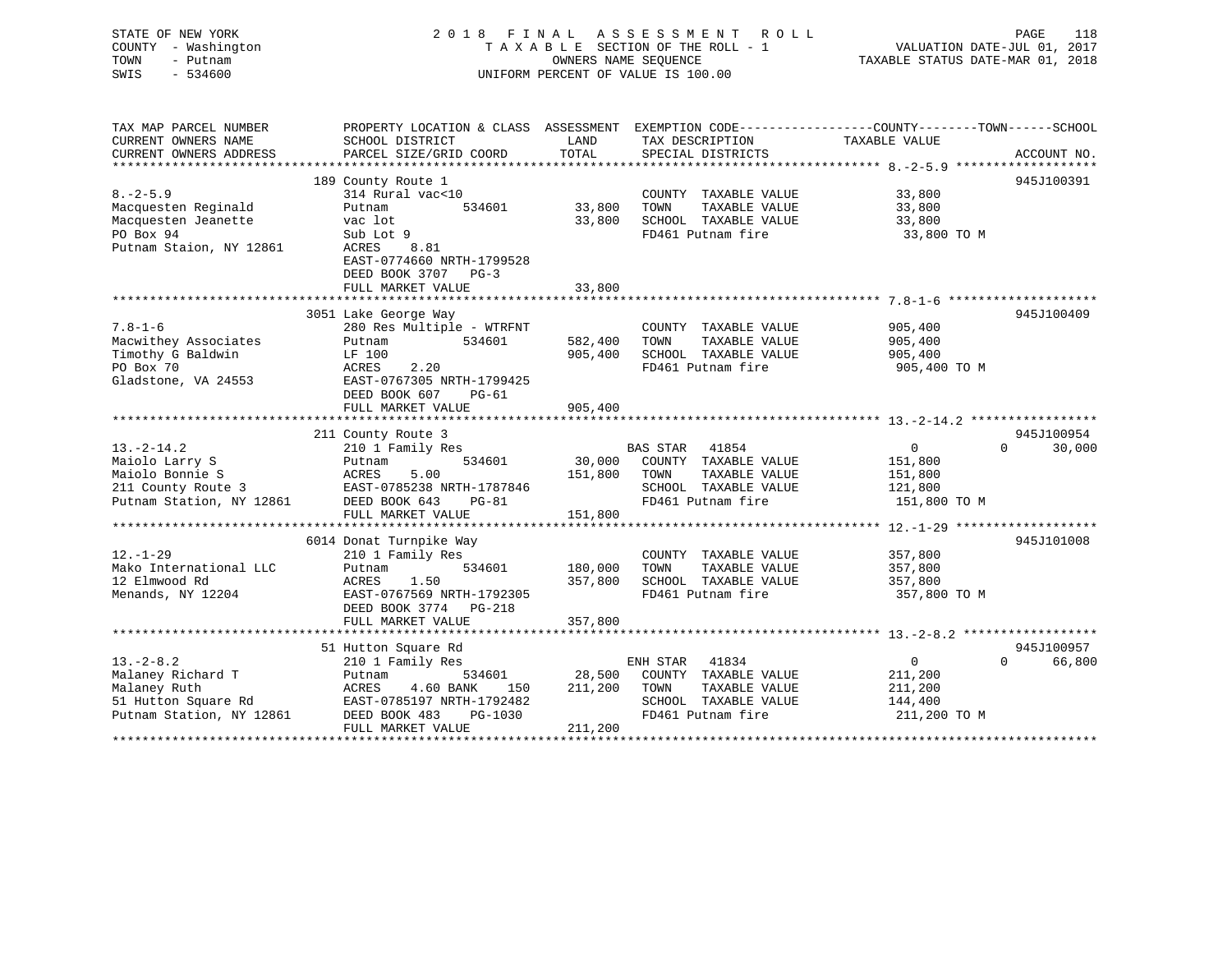| STATE OF NEW YORK<br>COUNTY - Washington<br>TOWN<br>- Putnam<br>$-534600$<br>SWIS                      |                                                                                                                                                                                | OWNERS NAME SEQUENCE          | 2018 FINAL ASSESSMENT<br>R O L L<br>TAXABLE SECTION OF THE ROLL - 1<br>UNIFORM PERCENT OF VALUE IS 100.00              | TAXABLE STATUS DATE-MAR 01, 2018                                | 118<br>PAGE<br>VALUATION DATE-JUL 01, 2017 |
|--------------------------------------------------------------------------------------------------------|--------------------------------------------------------------------------------------------------------------------------------------------------------------------------------|-------------------------------|------------------------------------------------------------------------------------------------------------------------|-----------------------------------------------------------------|--------------------------------------------|
| TAX MAP PARCEL NUMBER<br>CURRENT OWNERS NAME<br>CURRENT OWNERS ADDRESS                                 | PROPERTY LOCATION & CLASS ASSESSMENT EXEMPTION CODE----------------COUNTY-------TOWN-----SCHOOL<br>SCHOOL DISTRICT<br>PARCEL SIZE/GRID COORD                                   | LAND<br>TOTAL                 | TAX DESCRIPTION<br>SPECIAL DISTRICTS                                                                                   | TAXABLE VALUE                                                   | ACCOUNT NO.                                |
| $8. -2 - 5.9$<br>Macquesten Reginald<br>Macquesten Jeanette<br>PO Box 94<br>Putnam Staion, NY 12861    | 189 County Route 1<br>314 Rural vac<10<br>Putnam<br>534601<br>vac lot<br>Sub Lot 9<br>ACRES<br>8.81<br>EAST-0774660 NRTH-1799528<br>DEED BOOK 3707 PG-3<br>FULL MARKET VALUE   | 33,800<br>33,800<br>33,800    | COUNTY TAXABLE VALUE<br>TOWN<br>TAXABLE VALUE<br>SCHOOL TAXABLE VALUE<br>FD461 Putnam fire                             | 33,800<br>33,800<br>33,800<br>33,800 TO M                       | 945J100391                                 |
| $7.8 - 1 - 6$<br>Macwithey Associates<br>Timothy G Baldwin<br>PO Box 70<br>Gladstone, VA 24553         | 3051 Lake George Way<br>280 Res Multiple - WTRFNT<br>Putnam<br>534601<br>LF 100<br>ACRES<br>2.20<br>EAST-0767305 NRTH-1799425<br>DEED BOOK 607<br>$PG-61$<br>FULL MARKET VALUE | 582,400<br>905,400<br>905,400 | COUNTY TAXABLE VALUE<br>TOWN<br>TAXABLE VALUE<br>SCHOOL TAXABLE VALUE<br>FD461 Putnam fire                             | 905,400<br>905,400<br>905,400<br>905,400 TO M                   | 945J100409                                 |
| $13. -2 - 14.2$<br>Maiolo Larry S<br>Maiolo Bonnie S<br>211 County Route 3<br>Putnam Station, NY 12861 | 211 County Route 3<br>210 1 Family Res<br>534601<br>Putnam<br>5.00<br>ACRES<br>EAST-0785238 NRTH-1787846<br>DEED BOOK 643<br>$PG-81$<br>FULL MARKET VALUE                      | 30,000<br>151,800<br>151,800  | <b>BAS STAR</b><br>41854<br>COUNTY TAXABLE VALUE<br>TOWN<br>TAXABLE VALUE<br>SCHOOL TAXABLE VALUE<br>FD461 Putnam fire | $\overline{0}$<br>151,800<br>151,800<br>121,800<br>151,800 TO M | 945J100954<br>30,000<br>$\Omega$           |
| $12. - 1 - 29$<br>Mako International LLC<br>12 Elmwood Rd<br>Menands, NY 12204                         | 6014 Donat Turnpike Way<br>210 1 Family Res<br>534601<br>Putnam<br>1.50<br>ACRES<br>EAST-0767569 NRTH-1792305<br>DEED BOOK 3774 PG-218<br>FULL MARKET VALUE                    | 180,000<br>357,800<br>357,800 | COUNTY TAXABLE VALUE<br>TOWN<br>TAXABLE VALUE<br>SCHOOL TAXABLE VALUE<br>FD461 Putnam fire                             | 357,800<br>357,800<br>357,800<br>357,800 TO M                   | 945J101008                                 |
| $13.-2-8.2$                                                                                            | 51 Hutton Square Rd<br>210 1 Family Res                                                                                                                                        |                               | ENH STAR<br>41834                                                                                                      | $\Omega$                                                        | 945J100957<br>0<br>66,800                  |

Malaney TOWN TAXABLE VALUE 211,200 TOWN TAXABLE VALUE

Malaney Richard T Putnam 534601 28,500 COUNTY TAXABLE VALUE 211,200

PUTNAM STATION, NY 12861 PG-1030<br>
PUTNAM FUTNAM FUTNAM FUTNAM FIRE 211,200

FULL MARKET VALUE

51 Hutton Square Rd EAST-0785197 NRTH-1792482 SCHOOL TAXABLE VALUE 144,400

\*\*\*\*\*\*\*\*\*\*\*\*\*\*\*\*\*\*\*\*\*\*\*\*\*\*\*\*\*\*\*\*\*\*\*\*\*\*\*\*\*\*\*\*\*\*\*\*\*\*\*\*\*\*\*\*\*\*\*\*\*\*\*\*\*\*\*\*\*\*\*\*\*\*\*\*\*\*\*\*\*\*\*\*\*\*\*\*\*\*\*\*\*\*\*\*\*\*\*\*\*\*\*\*\*\*\*\*\*\*\*\*\*\*\*\*\*\*\*\*\*\*\*\*\*\*\*\*\*\*\*\*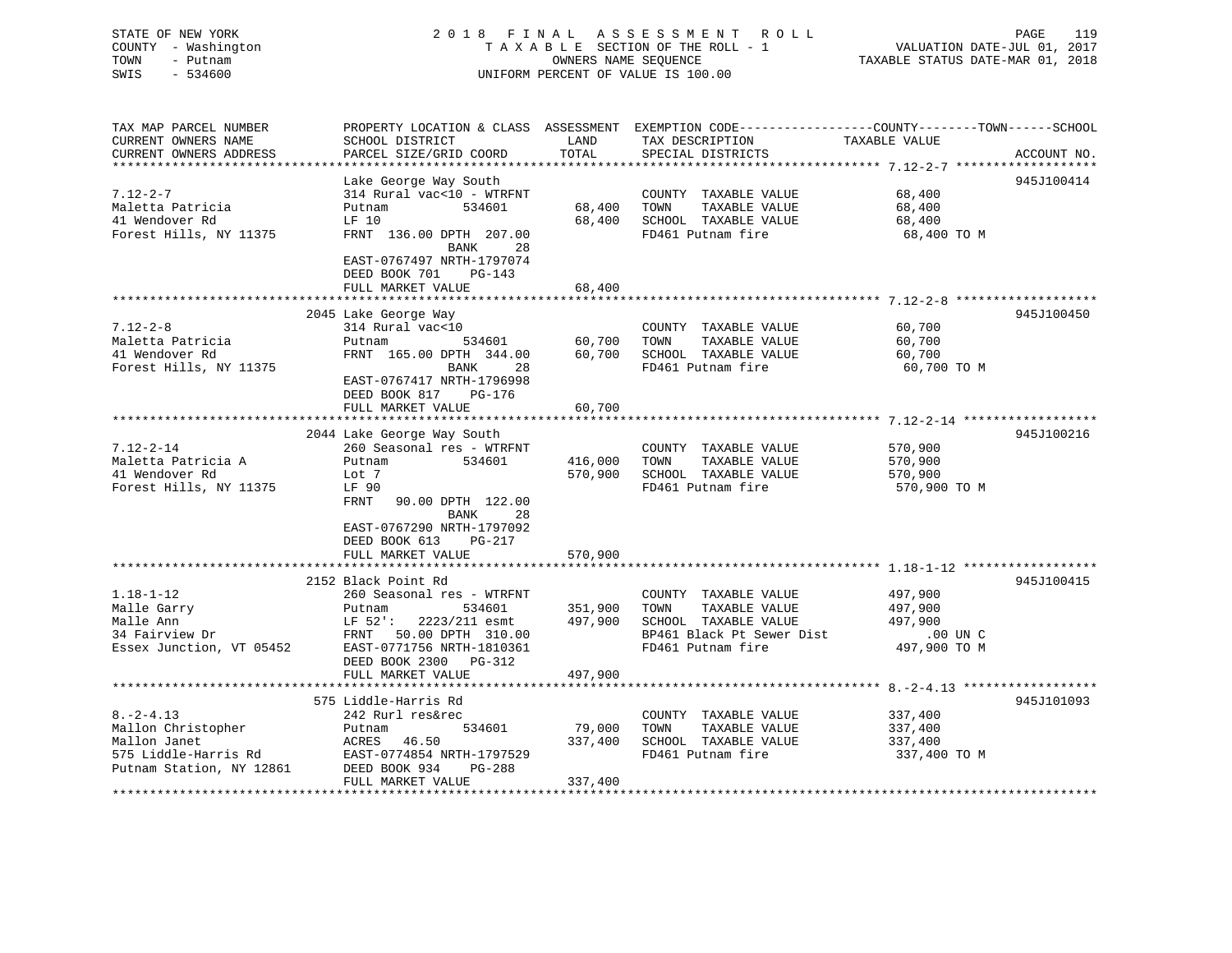### STATE OF NEW YORK 2 0 1 8 F I N A L A S S E S S M E N T R O L L PAGE 119 COUNTY - Washington T A X A B L E SECTION OF THE ROLL - 1 VALUATION DATE-JUL 01, 2017 TOWN - Putnam OWNERS NAME SEQUENCE TAXABLE STATUS DATE-MAR 01, 2018 SWIS - 534600 UNIFORM PERCENT OF VALUE IS 100.00

| TAX MAP PARCEL NUMBER                                   | PROPERTY LOCATION & CLASS ASSESSMENT EXEMPTION CODE----------------COUNTY-------TOWN-----SCHOOL |         |                             |               |             |
|---------------------------------------------------------|-------------------------------------------------------------------------------------------------|---------|-----------------------------|---------------|-------------|
| CURRENT OWNERS NAME                                     | SCHOOL DISTRICT                                                                                 | LAND    | TAX DESCRIPTION             | TAXABLE VALUE |             |
| CURRENT OWNERS ADDRESS                                  | PARCEL SIZE/GRID COORD                                                                          | TOTAL   | SPECIAL DISTRICTS           |               | ACCOUNT NO. |
|                                                         |                                                                                                 |         |                             |               |             |
|                                                         | Lake George Way South                                                                           |         |                             |               | 945J100414  |
| $7.12 - 2 - 7$                                          | 314 Rural vac<10 - WTRFNT                                                                       |         | COUNTY TAXABLE VALUE        | 68,400        |             |
| Maletta Patricia                                        | 534601<br>Putnam                                                                                | 68,400  | TOWN<br>TAXABLE VALUE       | 68,400        |             |
| 41 Wendover Rd                                          | LF 10                                                                                           | 68,400  | SCHOOL TAXABLE VALUE        | 68,400        |             |
| Forest Hills, NY 11375                                  | FRNT 136.00 DPTH 207.00                                                                         |         | FD461 Putnam fire           | 68,400 TO M   |             |
|                                                         | 28<br>BANK                                                                                      |         |                             |               |             |
|                                                         | EAST-0767497 NRTH-1797074                                                                       |         |                             |               |             |
|                                                         | DEED BOOK 701<br>$PG-143$                                                                       |         |                             |               |             |
|                                                         | FULL MARKET VALUE                                                                               | 68,400  |                             |               |             |
|                                                         |                                                                                                 |         |                             |               |             |
|                                                         | 2045 Lake George Way                                                                            |         |                             |               | 945J100450  |
| $7.12 - 2 - 8$                                          | 314 Rural vac<10                                                                                |         | COUNTY TAXABLE VALUE        | 60,700        |             |
| Maletta Patricia                                        | 534601<br>Putnam                                                                                | 60,700  | TOWN<br>TAXABLE VALUE       | 60,700        |             |
| 41 Wendover Rd                                          | FRNT 165.00 DPTH 344.00                                                                         |         | 60,700 SCHOOL TAXABLE VALUE | 60,700        |             |
| Forest Hills, NY 11375                                  | <b>BANK</b><br>28                                                                               |         | FD461 Putnam fire           | 60,700 TO M   |             |
|                                                         | EAST-0767417 NRTH-1796998                                                                       |         |                             |               |             |
|                                                         | PG-176                                                                                          |         |                             |               |             |
|                                                         | DEED BOOK 817                                                                                   |         |                             |               |             |
|                                                         | FULL MARKET VALUE                                                                               | 60,700  |                             |               |             |
|                                                         |                                                                                                 |         |                             |               |             |
|                                                         | 2044 Lake George Way South                                                                      |         |                             |               | 945J100216  |
| $7.12 - 2 - 14$                                         | 260 Seasonal res - WTRFNT                                                                       |         | COUNTY TAXABLE VALUE        | 570,900       |             |
| Maletta Patricia A                                      | Putnam<br>534601                                                                                | 416,000 | TAXABLE VALUE<br>TOWN       | 570,900       |             |
| 41 Wendover Rd                                          | Lot 7                                                                                           | 570,900 | SCHOOL TAXABLE VALUE        | 570,900       |             |
| Forest Hills, NY 11375                                  | LF 90                                                                                           |         | FD461 Putnam fire           | 570,900 TO M  |             |
|                                                         | FRNT<br>90.00 DPTH 122.00                                                                       |         |                             |               |             |
|                                                         | BANK<br>28                                                                                      |         |                             |               |             |
|                                                         | EAST-0767290 NRTH-1797092                                                                       |         |                             |               |             |
|                                                         | DEED BOOK 613<br>PG-217                                                                         |         |                             |               |             |
|                                                         | FULL MARKET VALUE                                                                               | 570,900 |                             |               |             |
|                                                         |                                                                                                 |         |                             |               |             |
|                                                         | 2152 Black Point Rd                                                                             |         |                             |               | 945J100415  |
| $1.18 - 1 - 12$                                         | 260 Seasonal res - WTRFNT                                                                       |         | COUNTY TAXABLE VALUE        | 497,900       |             |
| Malle Garry                                             | 534601<br>Putnam                                                                                | 351,900 | TOWN<br>TAXABLE VALUE       | 497,900       |             |
| Malle Ann                                               | LF 52':<br>2223/211 esmt                                                                        | 497,900 | SCHOOL TAXABLE VALUE        | 497,900       |             |
| Malle Ann<br>34 Fairview Dr<br>Essex Junction, VT 05452 | 50.00 DPTH 310.00<br>FRNT                                                                       |         | BP461 Black Pt Sewer Dist   | $.00$ UN C    |             |
|                                                         | EAST-0771756 NRTH-1810361                                                                       |         | FD461 Putnam fire           | 497,900 TO M  |             |
|                                                         | DEED BOOK 2300 PG-312                                                                           |         |                             |               |             |
|                                                         | FULL MARKET VALUE                                                                               | 497,900 |                             |               |             |
|                                                         |                                                                                                 |         |                             |               |             |
|                                                         | 575 Liddle-Harris Rd                                                                            |         |                             |               | 945J101093  |
| $8. - 2 - 4.13$                                         | 242 Rurl res&rec                                                                                |         | COUNTY TAXABLE VALUE        | 337,400       |             |
| Mallon Christopher                                      | Putnam<br>534601                                                                                | 79,000  | TAXABLE VALUE<br>TOWN       | 337,400       |             |
| Mallon Janet                                            | ACRES 46.50                                                                                     | 337,400 | SCHOOL TAXABLE VALUE        | 337,400       |             |
| 575 Liddle-Harris Rd                                    | EAST-0774854 NRTH-1797529                                                                       |         | FD461 Putnam fire           | 337,400 TO M  |             |
| Putnam Station, NY 12861                                | DEED BOOK 934<br>PG-288                                                                         |         |                             |               |             |
|                                                         | FULL MARKET VALUE                                                                               | 337,400 |                             |               |             |
|                                                         |                                                                                                 |         |                             |               |             |
|                                                         |                                                                                                 |         |                             |               |             |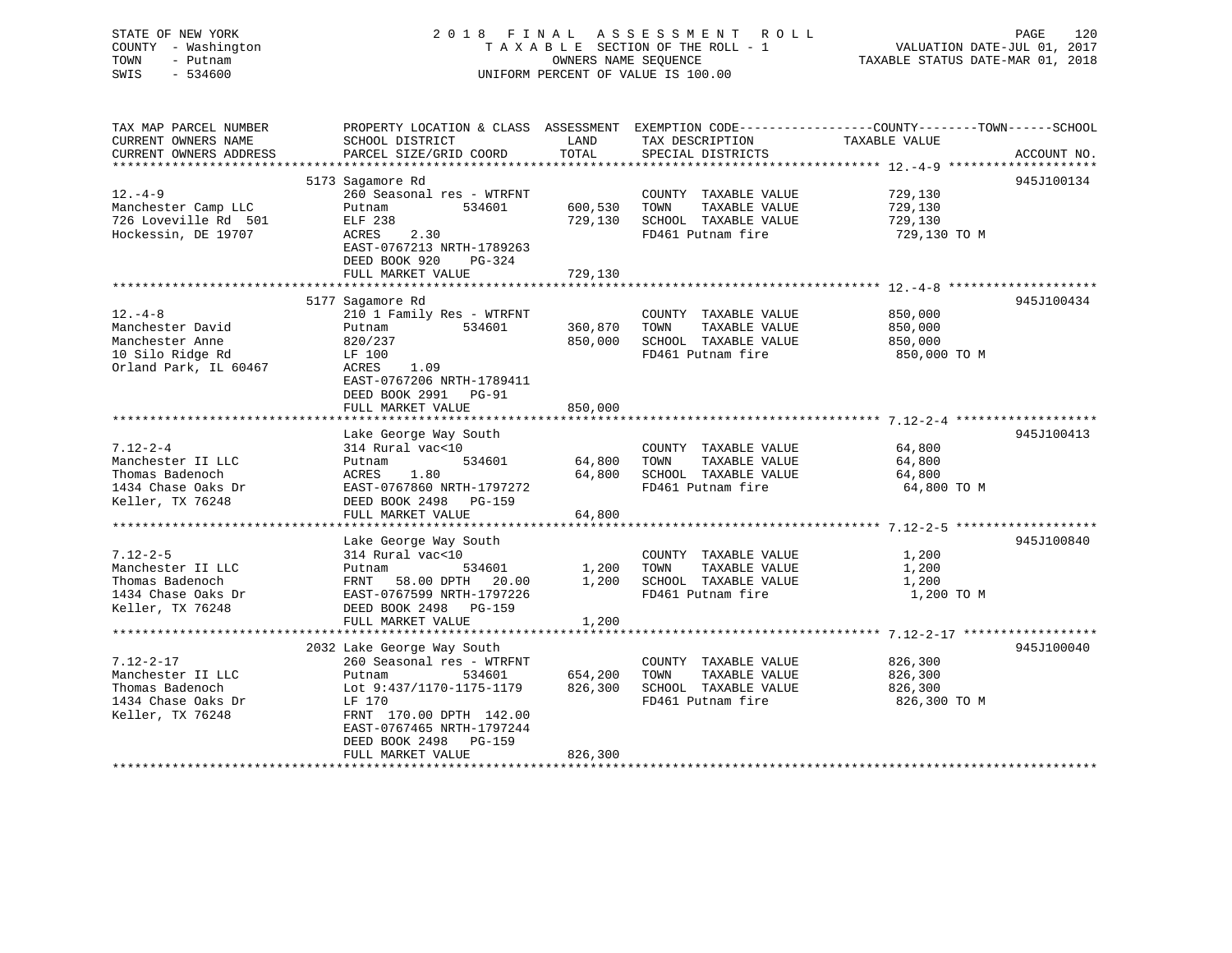STATE OF NEW YORK 2 0 1 8 F I N A L A S S E S S M E N T R O L L PAGE 120 COUNTY - Washington T A X A B L E SECTION OF THE ROLL - 1 VALUATION DATE-JUL 01, 2017 TOWN - Putnam **CONNERS NAME SEQUENCE** TAXABLE STATUS DATE-MAR 01, 2018 SWIS - 534600 UNIFORM PERCENT OF VALUE IS 100.00

| TAX MAP PARCEL NUMBER |                                                                                                                                                            |              |                                   | PROPERTY LOCATION & CLASS ASSESSMENT EXEMPTION CODE----------------COUNTY-------TOWN------SCHOOL |            |
|-----------------------|------------------------------------------------------------------------------------------------------------------------------------------------------------|--------------|-----------------------------------|--------------------------------------------------------------------------------------------------|------------|
| CURRENT OWNERS NAME   | SCHOOL DISTRICT                                                                                                                                            | LAND         | TAX DESCRIPTION                   | TAXABLE VALUE                                                                                    |            |
|                       |                                                                                                                                                            |              |                                   |                                                                                                  |            |
|                       |                                                                                                                                                            |              |                                   |                                                                                                  |            |
|                       | 5173 Sagamore Rd                                                                                                                                           |              |                                   |                                                                                                  | 945J100134 |
| $12. -4 - 9$          | 260 Seasonal res - WTRFNT                                                                                                                                  |              | COUNTY TAXABLE VALUE              | 729,130                                                                                          |            |
| Manchester Camp LLC   | Putnam                                                                                                                                                     |              | 534601 600,530 TOWN TAXABLE VALUE | 729,130                                                                                          |            |
|                       |                                                                                                                                                            |              | 729,130 SCHOOL TAXABLE VALUE      | 729,130                                                                                          |            |
|                       | $ACRES$ 2.30                                                                                                                                               |              | FD461 Putnam fire                 | 729,130 TO M                                                                                     |            |
|                       | EAST-0767213 NRTH-1789263                                                                                                                                  |              |                                   |                                                                                                  |            |
|                       |                                                                                                                                                            |              |                                   |                                                                                                  |            |
|                       | DEED BOOK 920<br>PG-324                                                                                                                                    |              |                                   |                                                                                                  |            |
|                       | FULL MARKET VALUE                                                                                                                                          | 729,130      |                                   |                                                                                                  |            |
|                       |                                                                                                                                                            |              |                                   |                                                                                                  |            |
|                       | 5177 Sagamore Rd                                                                                                                                           |              |                                   |                                                                                                  | 945J100434 |
| $12. - 4 - 8$         | $\begin{array}{ccccc} 210 & 1 & \text{Family Res} & - & \text{WTRFNT} & & \text{COUNTY} \\ \text{Putnam} & & 534601 & & 360,870 & \text{TONN} \end{array}$ |              | COUNTY TAXABLE VALUE              | 850,000                                                                                          |            |
| Manchester David      |                                                                                                                                                            |              | TAXABLE VALUE                     | 850,000                                                                                          |            |
| Manchester Anne       | 820/237                                                                                                                                                    | 850,000      | SCHOOL TAXABLE VALUE              | 850,000                                                                                          |            |
| 10 Silo Ridge Rd      | LF 100                                                                                                                                                     |              | FD461 Putnam fire                 | 850,000 TO M                                                                                     |            |
| Orland Park, IL 60467 | ACRES 1.09                                                                                                                                                 |              |                                   |                                                                                                  |            |
|                       | EAST-0767206 NRTH-1789411                                                                                                                                  |              |                                   |                                                                                                  |            |
|                       | DEED BOOK 2991 PG-91                                                                                                                                       |              |                                   |                                                                                                  |            |
|                       | FULL MARKET VALUE                                                                                                                                          | 850,000      |                                   |                                                                                                  |            |
|                       |                                                                                                                                                            |              |                                   |                                                                                                  |            |
|                       | Lake George Way South                                                                                                                                      |              |                                   |                                                                                                  | 945J100413 |
| $7.12 - 2 - 4$        | 314 Rural vac<10                                                                                                                                           |              | COUNTY TAXABLE VALUE 64,800       |                                                                                                  |            |
| Manchester II LLC     | 534601 64,800<br>Putnam                                                                                                                                    |              | TOWN<br>TAXABLE VALUE             | 64,800                                                                                           |            |
| Thomas Badenoch       | ACRES<br>1.80                                                                                                                                              | 64,800       | SCHOOL TAXABLE VALUE              | 64,800                                                                                           |            |
|                       | EAST-0767860 NRTH-1797272                                                                                                                                  |              | FD461 Putnam fire                 |                                                                                                  |            |
| 1434 Chase Oaks Dr    |                                                                                                                                                            |              |                                   | 64,800 TO M                                                                                      |            |
| Keller, TX 76248      | DEED BOOK 2498 PG-159                                                                                                                                      |              |                                   |                                                                                                  |            |
|                       | FULL MARKET VALUE                                                                                                                                          | 64,800       |                                   |                                                                                                  |            |
|                       |                                                                                                                                                            |              |                                   |                                                                                                  |            |
|                       | Lake George Way South                                                                                                                                      |              |                                   |                                                                                                  | 945J100840 |
| $7.12 - 2 - 5$        | 314 Rural vac<10                                                                                                                                           |              | COUNTY TAXABLE VALUE              | 1,200                                                                                            |            |
| Manchester II LLC     |                                                                                                                                                            | 534601 1,200 | TAXABLE VALUE<br>TOWN             | 1,200                                                                                            |            |
| Thomas Badenoch       |                                                                                                                                                            | 1,200        | SCHOOL TAXABLE VALUE              | 1,200                                                                                            |            |
|                       | Putnam<br>FRNT 58.00 DPTH 20.00 1,20<br>1434 Chase Oaks Dr EAST-0767599 NRTH-1797226                                                                       |              | FD461 Putnam fire                 | 1,200 TO M                                                                                       |            |
| Keller, TX 76248      | DEED BOOK 2498 PG-159                                                                                                                                      |              |                                   |                                                                                                  |            |
|                       | FULL MARKET VALUE                                                                                                                                          | 1,200        |                                   |                                                                                                  |            |
|                       |                                                                                                                                                            |              |                                   |                                                                                                  |            |
|                       | 2032 Lake George Way South                                                                                                                                 |              |                                   |                                                                                                  | 945J100040 |
| $7.12 - 2 - 17$       | 260 Seasonal res - WTRFNT                                                                                                                                  |              | COUNTY TAXABLE VALUE              | 826,300                                                                                          |            |
| Manchester II LLC     | 534601 654,200 TOWN<br>Putnam                                                                                                                              |              | TAXABLE VALUE                     | 826,300                                                                                          |            |
| Thomas Badenoch       | Lot 9:437/1170-1175-1179 826,300                                                                                                                           |              | SCHOOL TAXABLE VALUE              | 826,300                                                                                          |            |
| 1434 Chase Oaks Dr    | LF 170                                                                                                                                                     |              | FD461 Putnam fire                 | 826,300 ТО М                                                                                     |            |
| Keller, TX 76248      | FRNT 170.00 DPTH 142.00                                                                                                                                    |              |                                   |                                                                                                  |            |
|                       | EAST-0767465 NRTH-1797244                                                                                                                                  |              |                                   |                                                                                                  |            |
|                       | DEED BOOK 2498 PG-159                                                                                                                                      |              |                                   |                                                                                                  |            |
|                       | FULL MARKET VALUE                                                                                                                                          | 826,300      |                                   |                                                                                                  |            |
|                       |                                                                                                                                                            |              |                                   |                                                                                                  |            |
|                       |                                                                                                                                                            |              |                                   |                                                                                                  |            |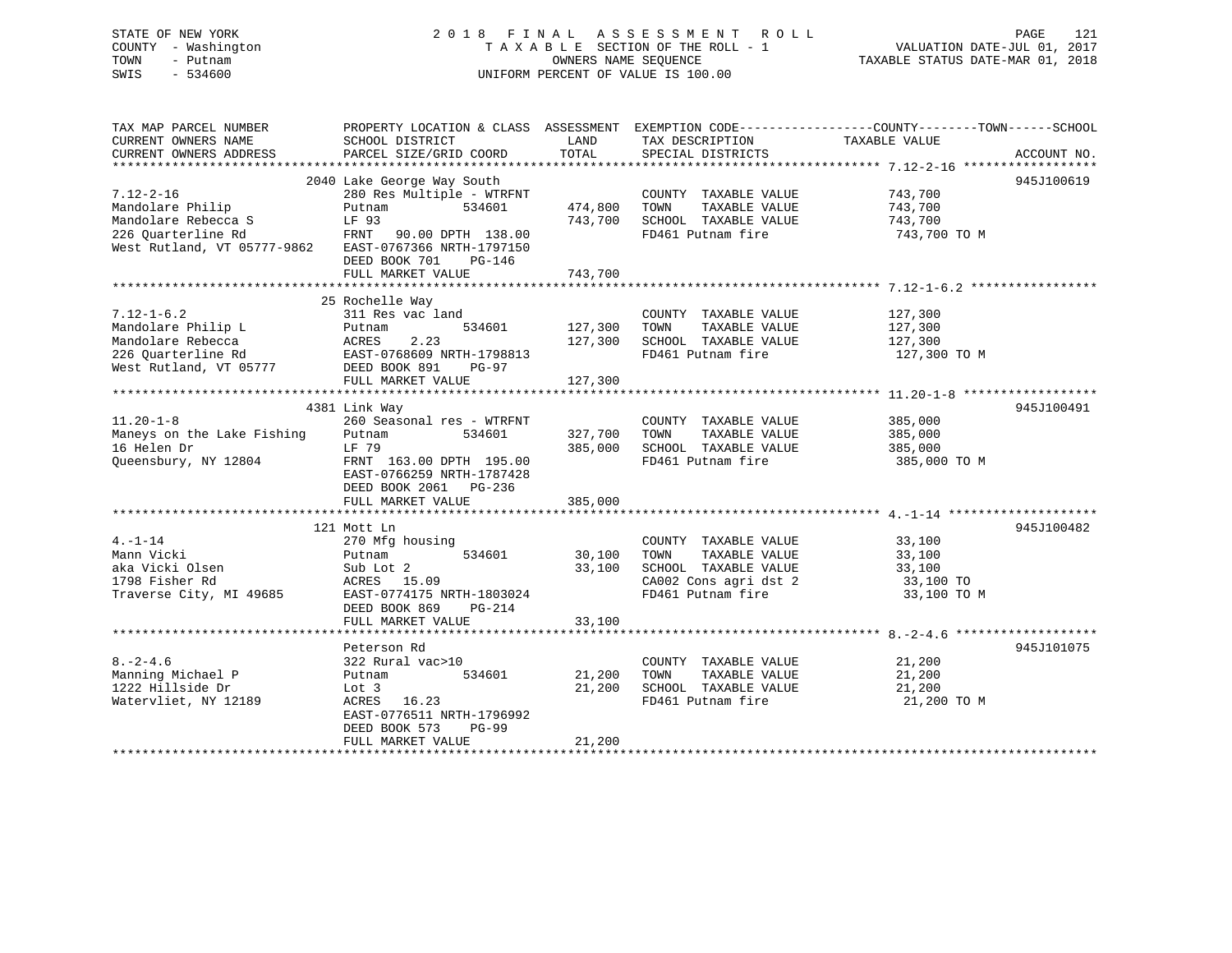### STATE OF NEW YORK 2 0 1 8 F I N A L A S S E S S M E N T R O L L PAGE 121 COUNTY - Washington T A X A B L E SECTION OF THE ROLL - 1 VALUATION DATE-JUL 01, 2017 TOWN - Putnam OWNERS NAME SEQUENCE TAXABLE STATUS DATE-MAR 01, 2018 SWIS - 534600 UNIFORM PERCENT OF VALUE IS 100.00

TAX MAP PARCEL NUMBER PROPERTY LOCATION & CLASS ASSESSMENT EXEMPTION CODE------------------COUNTY--------TOWN------SCHOOL

CURRENT OWNERS NAME SCHOOL DISTRICT LAND TAX DESCRIPTION TAXABLE VALUECURRENT OWNERS ADDRESS PARCEL SIZE/GRID COORD TOTAL SPECIAL DISTRICTS ACCOUNT NO. \*\*\*\*\*\*\*\*\*\*\*\*\*\*\*\*\*\*\*\*\*\*\*\*\*\*\*\*\*\*\*\*\*\*\*\*\*\*\*\*\*\*\*\*\*\*\*\*\*\*\*\*\*\*\*\*\*\*\*\*\*\*\*\*\*\*\*\*\*\*\*\*\*\*\*\*\*\*\*\*\*\*\*\*\*\*\*\*\*\*\*\*\*\*\*\*\*\*\*\*\*\*\* 7.12-2-16 \*\*\*\*\*\*\*\*\*\*\*\*\*\*\*\*\*\* 2040 Lake George Way South 945J100619 7.12-2-16 280 Res Multiple - WTRFNT COUNTY TAXABLE VALUE 743,700 Mandolare Philip Putnam 534601 474,800 TOWN TAXABLE VALUE 743,700 Mandolare Rebecca S LF 93 743,700 SCHOOL TAXABLE VALUE 743,700 226 Quarterline Rd FRNT 90.00 DPTH 138.00 FD461 Putnam fire 743,700 TO M West Rutland, VT 05777-9862 EAST-0767366 NRTH-1797150 DEED BOOK 701 PG-146FULL MARKET VALUE 743,700 \*\*\*\*\*\*\*\*\*\*\*\*\*\*\*\*\*\*\*\*\*\*\*\*\*\*\*\*\*\*\*\*\*\*\*\*\*\*\*\*\*\*\*\*\*\*\*\*\*\*\*\*\*\*\*\*\*\*\*\*\*\*\*\*\*\*\*\*\*\*\*\*\*\*\*\*\*\*\*\*\*\*\*\*\*\*\*\*\*\*\*\*\*\*\*\*\*\*\*\*\*\*\* 7.12-1-6.2 \*\*\*\*\*\*\*\*\*\*\*\*\*\*\*\*\* 25 Rochelle Way 7.12-1-6.2 311 Res vac land COUNTY TAXABLE VALUE 127,300 Mandolare Philip L Putnam 534601 127,300 TOWN TAXABLE VALUE 127,300 Mandolare Rebecca ACRES 2.23 127,300 SCHOOL TAXABLE VALUE 127,300 226 Quarterline Rd EAST-0768609 NRTH-1798813 FD461 Putnam fire 127,300 TO M حدد میں معلمہ معلمہ معلمہ 226 Quarterline Rd<br>West Rutland, VT 05777 DEED BOOK 891 PG-97 FULL MARKET VALUE 127,300 \*\*\*\*\*\*\*\*\*\*\*\*\*\*\*\*\*\*\*\*\*\*\*\*\*\*\*\*\*\*\*\*\*\*\*\*\*\*\*\*\*\*\*\*\*\*\*\*\*\*\*\*\*\*\*\*\*\*\*\*\*\*\*\*\*\*\*\*\*\*\*\*\*\*\*\*\*\*\*\*\*\*\*\*\*\*\*\*\*\*\*\*\*\*\*\*\*\*\*\*\*\*\* 11.20-1-8 \*\*\*\*\*\*\*\*\*\*\*\*\*\*\*\*\*\* 4381 Link Way 945J100491 11.20-1-8 260 Seasonal res - WTRFNT COUNTY TAXABLE VALUE 385,000 Maneys on the Lake Fishing Putnam 534601 327,700 TOWN TAXABLE VALUE 385,000 16 Helen Dr LF 79 385,000 SCHOOL TAXABLE VALUE 385,000 Queensbury, NY 12804 FRNT 163.00 DPTH 195.00 FD461 Putnam fire 385,000 TO M EAST-0766259 NRTH-1787428 DEED BOOK 2061 PG-236 FULL MARKET VALUE 385,000 \*\*\*\*\*\*\*\*\*\*\*\*\*\*\*\*\*\*\*\*\*\*\*\*\*\*\*\*\*\*\*\*\*\*\*\*\*\*\*\*\*\*\*\*\*\*\*\*\*\*\*\*\*\*\*\*\*\*\*\*\*\*\*\*\*\*\*\*\*\*\*\*\*\*\*\*\*\*\*\*\*\*\*\*\*\*\*\*\*\*\*\*\*\*\*\*\*\*\*\*\*\*\* 4.-1-14 \*\*\*\*\*\*\*\*\*\*\*\*\*\*\*\*\*\*\*\* 121 Mott Ln 945J1004824.-1-14 270 Mfg housing COUNTY TAXABLE VALUE 33,100 Mann Vicki Putnam 534601 30,100 TOWN TAXABLE VALUE 33,100 aka Vicki Olsen Sub Lot 2 33,100 SCHOOL TAXABLE VALUE 33,100 1798 Fisher Rd ACRES 15.09 CA002 Cons agri dst 2 33,100 TO Traverse City, MI 49685 EAST-0774175 NRTH-1803024 FD461 Putnam fire 33,100 TO M DEED BOOK 869 PG-214 FULL MARKET VALUE 33,100 \*\*\*\*\*\*\*\*\*\*\*\*\*\*\*\*\*\*\*\*\*\*\*\*\*\*\*\*\*\*\*\*\*\*\*\*\*\*\*\*\*\*\*\*\*\*\*\*\*\*\*\*\*\*\*\*\*\*\*\*\*\*\*\*\*\*\*\*\*\*\*\*\*\*\*\*\*\*\*\*\*\*\*\*\*\*\*\*\*\*\*\*\*\*\*\*\*\*\*\*\*\*\* 8.-2-4.6 \*\*\*\*\*\*\*\*\*\*\*\*\*\*\*\*\*\*\*Peterson Rd 945J101075 8.-2-4.6 322 Rural vac>10 COUNTY TAXABLE VALUE 21,200 Manning Michael P Putnam 534601 21,200 TOWN TAXABLE VALUE 21,200 1222 Hillside Dr Lot 3 21,200 SCHOOL TAXABLE VALUE 21,200 Watervliet, NY 12189 ACRES 16.23 FD461 Putnam fire 21,200 TO M EAST-0776511 NRTH-1796992 DEED BOOK 573 PG-99FULL MARKET VALUE 21,200 \*\*\*\*\*\*\*\*\*\*\*\*\*\*\*\*\*\*\*\*\*\*\*\*\*\*\*\*\*\*\*\*\*\*\*\*\*\*\*\*\*\*\*\*\*\*\*\*\*\*\*\*\*\*\*\*\*\*\*\*\*\*\*\*\*\*\*\*\*\*\*\*\*\*\*\*\*\*\*\*\*\*\*\*\*\*\*\*\*\*\*\*\*\*\*\*\*\*\*\*\*\*\*\*\*\*\*\*\*\*\*\*\*\*\*\*\*\*\*\*\*\*\*\*\*\*\*\*\*\*\*\*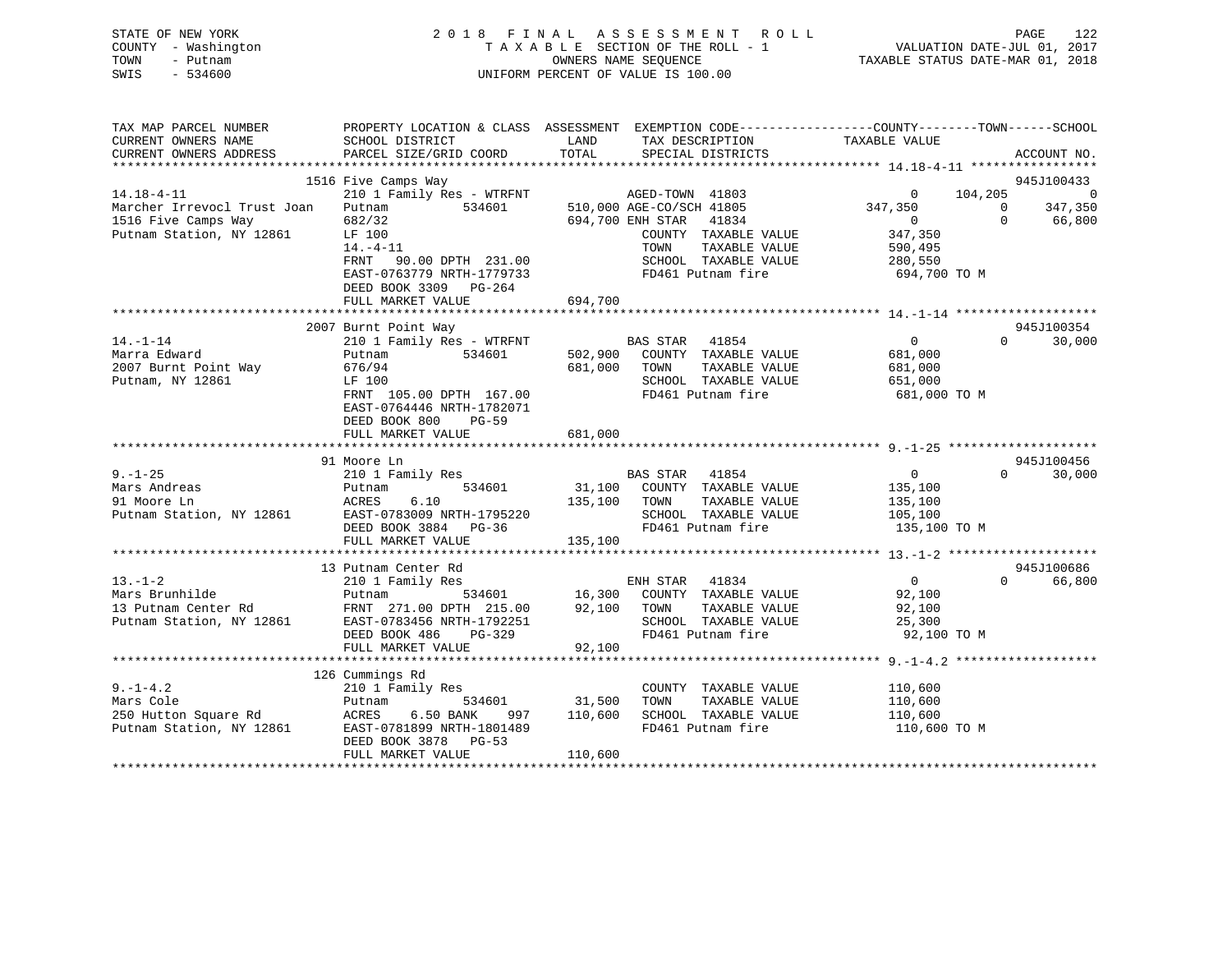|      | STATE OF NEW YORK   | 2018 FINAL ASSESSMENT ROLL         | 122<br>PAGE                      |
|------|---------------------|------------------------------------|----------------------------------|
|      | COUNTY - Washington | TAXABLE SECTION OF THE ROLL - 1    | VALUATION DATE-JUL 01, 2017      |
| TOWN | - Putnam            | OWNERS NAME SEOUENCE               | TAXABLE STATUS DATE-MAR 01, 2018 |
| SWIS | - 534600            | UNIFORM PERCENT OF VALUE IS 100.00 |                                  |

| TAX MAP PARCEL NUMBER                                                                                                                                                                                                                                                                                                                                                                                                                                      | PROPERTY LOCATION & CLASS ASSESSMENT EXEMPTION CODE---------------COUNTY-------TOWN-----SCHOOL |                              |                      |                                                                |                                                      |             |
|------------------------------------------------------------------------------------------------------------------------------------------------------------------------------------------------------------------------------------------------------------------------------------------------------------------------------------------------------------------------------------------------------------------------------------------------------------|------------------------------------------------------------------------------------------------|------------------------------|----------------------|----------------------------------------------------------------|------------------------------------------------------|-------------|
| CURRENT OWNERS NAME                                                                                                                                                                                                                                                                                                                                                                                                                                        | SCHOOL DISTRICT                                                                                | LAND<br>TAX DESCRIPTION      |                      | TAXABLE VALUE                                                  |                                                      |             |
| CURRENT OWNERS ADDRESS                                                                                                                                                                                                                                                                                                                                                                                                                                     | PARCEL SIZE/GRID COORD                                                                         | TOTAL                        | SPECIAL DISTRICTS    |                                                                |                                                      | ACCOUNT NO. |
|                                                                                                                                                                                                                                                                                                                                                                                                                                                            |                                                                                                |                              |                      |                                                                |                                                      |             |
|                                                                                                                                                                                                                                                                                                                                                                                                                                                            | 1516 Five Camps Way                                                                            |                              |                      |                                                                |                                                      | 945J100433  |
| $14.18 - 4 - 11$                                                                                                                                                                                                                                                                                                                                                                                                                                           |                                                                                                |                              |                      |                                                                |                                                      |             |
| Marcher Irrevocl Trust Joan                                                                                                                                                                                                                                                                                                                                                                                                                                | Putnam 534601                                                                                  |                              |                      |                                                                | $104, 205$ 0<br>0<br>347, 350<br>66, 800<br>$\Omega$ |             |
| 1516 Five Camps Way<br>Putnam Station, NY 12861                                                                                                                                                                                                                                                                                                                                                                                                            |                                                                                                |                              | COUNTY TAXABLE VALUE |                                                                |                                                      | 66,800      |
|                                                                                                                                                                                                                                                                                                                                                                                                                                                            | LF 100<br>$14. - 4 - 11$                                                                       | TOWN                         | TAXABLE VALUE        | 347,350<br>590,495                                             |                                                      |             |
|                                                                                                                                                                                                                                                                                                                                                                                                                                                            | FRNT 90.00 DPTH 231.00                                                                         |                              |                      |                                                                |                                                      |             |
|                                                                                                                                                                                                                                                                                                                                                                                                                                                            | EAST-0763779 NRTH-1779733                                                                      |                              | FD461 Putnam fire    | SCHOOL TAXABLE VALUE 280,550<br>694,700 TO M                   |                                                      |             |
|                                                                                                                                                                                                                                                                                                                                                                                                                                                            | DEED BOOK 3309 PG-264                                                                          |                              |                      |                                                                |                                                      |             |
|                                                                                                                                                                                                                                                                                                                                                                                                                                                            | FULL MARKET VALUE                                                                              | 694,700                      |                      |                                                                |                                                      |             |
|                                                                                                                                                                                                                                                                                                                                                                                                                                                            |                                                                                                |                              |                      |                                                                |                                                      |             |
|                                                                                                                                                                                                                                                                                                                                                                                                                                                            | 2007 Burnt Point Way                                                                           |                              |                      |                                                                |                                                      | 945J100354  |
| $14. -1 - 14$                                                                                                                                                                                                                                                                                                                                                                                                                                              | 210 1 Family Res - WTRFNT                                                                      | BAS STAR 41854               |                      | $\overline{0}$                                                 | $\Omega$ and $\Omega$                                | 30,000      |
| Marra Edward                                                                                                                                                                                                                                                                                                                                                                                                                                               | 534601<br>Putnam                                                                               | 502,900 COUNTY TAXABLE VALUE |                      | 681,000                                                        |                                                      |             |
| 2007 Burnt Point Way 676/94                                                                                                                                                                                                                                                                                                                                                                                                                                |                                                                                                | 681,000 TOWN                 | TAXABLE VALUE        | 681,000                                                        |                                                      |             |
| Putnam, NY 12861                                                                                                                                                                                                                                                                                                                                                                                                                                           | LF 100                                                                                         |                              |                      |                                                                |                                                      |             |
|                                                                                                                                                                                                                                                                                                                                                                                                                                                            | FRNT 105.00 DPTH 167.00                                                                        |                              | FD461 Putnam fire    | SCHOOL TAXABLE VALUE 651,000<br>FD461 Putnam fire 681,000 TO M |                                                      |             |
|                                                                                                                                                                                                                                                                                                                                                                                                                                                            | EAST-0764446 NRTH-1782071                                                                      |                              |                      |                                                                |                                                      |             |
|                                                                                                                                                                                                                                                                                                                                                                                                                                                            | DEED BOOK 800<br>$PG-59$                                                                       |                              |                      |                                                                |                                                      |             |
|                                                                                                                                                                                                                                                                                                                                                                                                                                                            | FULL MARKET VALUE                                                                              | 681,000                      |                      |                                                                |                                                      |             |
|                                                                                                                                                                                                                                                                                                                                                                                                                                                            |                                                                                                |                              |                      |                                                                |                                                      |             |
|                                                                                                                                                                                                                                                                                                                                                                                                                                                            | 91 Moore Ln                                                                                    |                              |                      |                                                                |                                                      | 945J100456  |
| $9. -1 - 25$                                                                                                                                                                                                                                                                                                                                                                                                                                               | 210 1 Family Res BAS STAR 41854                                                                |                              |                      | $\overline{0}$                                                 | $\Omega$ and $\Omega$                                | 30,000      |
| Mars Andreas                                                                                                                                                                                                                                                                                                                                                                                                                                               | Putnam                                                                                         |                              |                      |                                                                |                                                      |             |
| 91 Moore Ln                                                                                                                                                                                                                                                                                                                                                                                                                                                | ACRES 6.10                                                                                     | 135,100 TOWN                 | TAXABLE VALUE        | 135,100                                                        |                                                      |             |
| Putnam Station, NY 12861 EAST-0783009 NRTH-1795220                                                                                                                                                                                                                                                                                                                                                                                                         |                                                                                                | $\frac{1}{20}$               |                      | SCHOOL TAXABLE VALUE 105,100                                   |                                                      |             |
|                                                                                                                                                                                                                                                                                                                                                                                                                                                            | DEED BOOK 3884 PG-36                                                                           |                              | FD461 Putnam fire    | 135,100 TO M                                                   |                                                      |             |
|                                                                                                                                                                                                                                                                                                                                                                                                                                                            | FULL MARKET VALUE                                                                              | 135,100                      |                      |                                                                |                                                      |             |
|                                                                                                                                                                                                                                                                                                                                                                                                                                                            | 13 Putnam Center Rd                                                                            |                              |                      |                                                                |                                                      | 945J100686  |
| $13. -1 - 2$                                                                                                                                                                                                                                                                                                                                                                                                                                               | 210 1 Family Res                                                                               | ENH STAR 41834               |                      | $\overline{0}$                                                 | $\Omega$                                             | 66,800      |
|                                                                                                                                                                                                                                                                                                                                                                                                                                                            |                                                                                                |                              |                      |                                                                |                                                      |             |
|                                                                                                                                                                                                                                                                                                                                                                                                                                                            |                                                                                                |                              |                      |                                                                |                                                      |             |
|                                                                                                                                                                                                                                                                                                                                                                                                                                                            |                                                                                                |                              |                      |                                                                |                                                      |             |
|                                                                                                                                                                                                                                                                                                                                                                                                                                                            |                                                                                                |                              |                      | FD461 Putnam fire 92,100 TO M                                  |                                                      |             |
| 13.-1-2<br>Mars Brunhilde Putnam Center Rd<br>Putnam Station, NY 12861<br>Putnam Station, NY 12861<br>Putnam Station, NY 12861<br>PULL MARKET VALUE<br>PULL MARKET VALUE<br>PULL MARKET VALUE<br>PULL MARKET VALUE<br>PULL MARKET VALUE<br>PULL MA                                                                                                                                                                                                         |                                                                                                |                              |                      |                                                                |                                                      |             |
|                                                                                                                                                                                                                                                                                                                                                                                                                                                            |                                                                                                |                              |                      |                                                                |                                                      |             |
|                                                                                                                                                                                                                                                                                                                                                                                                                                                            |                                                                                                |                              |                      |                                                                |                                                      |             |
|                                                                                                                                                                                                                                                                                                                                                                                                                                                            | 210 1 Family Res                                                                               |                              | COUNTY TAXABLE VALUE |                                                                |                                                      |             |
|                                                                                                                                                                                                                                                                                                                                                                                                                                                            |                                                                                                | 534601 31,500 TOWN           | TAXABLE VALUE        | 110,600<br>110,600                                             |                                                      |             |
|                                                                                                                                                                                                                                                                                                                                                                                                                                                            |                                                                                                | 997 110,600                  |                      | SCHOOL TAXABLE VALUE 110,600                                   |                                                      |             |
|                                                                                                                                                                                                                                                                                                                                                                                                                                                            | EAST-0781899 NRTH-1801489                                                                      |                              | FD461 Putnam fire    | 110,600 TO M                                                   |                                                      |             |
| $\begin{tabular}{ll} \hline \texttt{warts Code} & \texttt{Coulumungs Rd} \\ \texttt{210 1 Family Res} \\ \texttt{250 Hutton Square Rd} & \texttt{Putnam} & \texttt{534} \\ \texttt{Putnam Station, NY 12861} & \texttt{EAST-0781899 NDMN} \\ \texttt{Patman} & \texttt{S11} \\ \texttt{Patson-0781899 NDMN} \\ \texttt{Patson-0781899 NDMN} \\ \texttt{Patson} \\ \texttt{Patson} \\ \texttt{Patson} \\ \texttt{Patson} \\ \texttt{Patson} \\ \texttt{Pat$ | DEED BOOK 3878 PG-53                                                                           |                              |                      |                                                                |                                                      |             |
|                                                                                                                                                                                                                                                                                                                                                                                                                                                            | FULL MARKET VALUE                                                                              | 110,600                      |                      |                                                                |                                                      |             |
|                                                                                                                                                                                                                                                                                                                                                                                                                                                            |                                                                                                |                              |                      |                                                                |                                                      |             |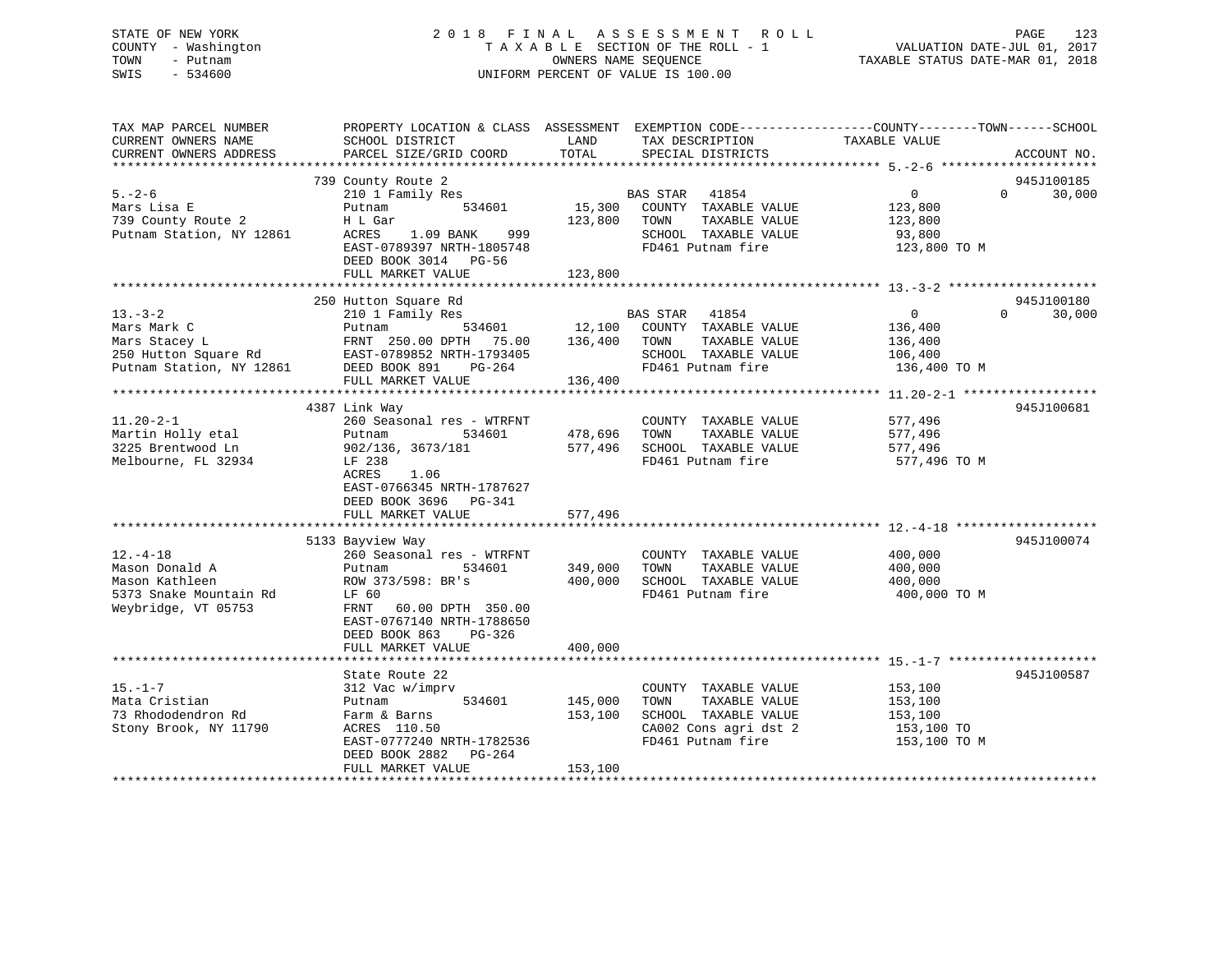### STATE OF NEW YORK 2 0 1 8 F I N A L A S S E S S M E N T R O L L PAGE 123 COUNTY - Washington T A X A B L E SECTION OF THE ROLL - 1 VALUATION DATE-JUL 01, 2017 TOWN - Putnam OWNERS NAME SEQUENCE TAXABLE STATUS DATE-MAR 01, 2018 SWIS - 534600 UNIFORM PERCENT OF VALUE IS 100.00

| TAX MAP PARCEL NUMBER<br>CURRENT OWNERS NAME<br>CURRENT OWNERS ADDRESS                              | PROPERTY LOCATION & CLASS ASSESSMENT EXEMPTION CODE----------------COUNTY-------TOWN------SCHOOL<br>SCHOOL DISTRICT<br>PARCEL SIZE/GRID COORD                                                      | LAND<br>TOTAL                        | TAX DESCRIPTION<br>SPECIAL DISTRICTS                                                                                               | TAXABLE VALUE                                                   |          | ACCOUNT NO. |
|-----------------------------------------------------------------------------------------------------|----------------------------------------------------------------------------------------------------------------------------------------------------------------------------------------------------|--------------------------------------|------------------------------------------------------------------------------------------------------------------------------------|-----------------------------------------------------------------|----------|-------------|
|                                                                                                     |                                                                                                                                                                                                    |                                      |                                                                                                                                    |                                                                 |          |             |
|                                                                                                     | 739 County Route 2                                                                                                                                                                                 |                                      |                                                                                                                                    |                                                                 |          | 945J100185  |
| $5. - 2 - 6$<br>Mars Lisa E<br>739 County Route 2<br>Putnam Station, NY 12861                       | 210 1 Family Res<br>534601<br>Putnam<br>H L Gar<br>1.09 BANK 999<br>ACRES<br>EAST-0789397 NRTH-1805748<br>DEED BOOK 3014 PG-56                                                                     | 123,800 TOWN                         | BAS STAR 41854<br>15,300 COUNTY TAXABLE VALUE<br>TAXABLE VALUE<br>SCHOOL TAXABLE VALUE<br>FD461 Putnam fire                        | $\overline{0}$<br>123,800<br>123,800<br>93,800<br>123,800 TO M  | $\Omega$ | 30,000      |
|                                                                                                     | FULL MARKET VALUE                                                                                                                                                                                  | 123,800                              |                                                                                                                                    |                                                                 |          |             |
|                                                                                                     | 250 Hutton Square Rd                                                                                                                                                                               |                                      |                                                                                                                                    |                                                                 |          | 945J100180  |
| $13 - 3 - 2$<br>Mars Mark C                                                                         | 210 1 Family Res<br>Putnam<br>Mars Stacey L<br>250 Hutton Square Rd 250 Hutton Square Rd 250 Hutton Square Rd 250 Hutham Station, NY 12861 2008 891<br>FRNT 250.00 DPTH 75.00<br>FULL MARKET VALUE | 136,400                              | BAS STAR 41854<br>534601 12,100 COUNTY TAXABLE VALUE<br>TAXABLE VALUE<br>136,400 TOWN<br>SCHOOL TAXABLE VALUE<br>FD461 Putnam fire | $\overline{0}$<br>136,400<br>136,400<br>106,400<br>136,400 TO M | $\Omega$ | 30,000      |
|                                                                                                     |                                                                                                                                                                                                    |                                      |                                                                                                                                    |                                                                 |          |             |
| $11.20 - 2 - 1$<br>Martin Holly etal<br>3225 Brentwood Ln<br>Melbourne, FL 32934                    | 4387 Link Way<br>260 Seasonal res - WTRFNT<br>Putnam<br>902/136, 3673/181<br>LF 238<br>1.06<br>ACRES<br>EAST-0766345 NRTH-1787627<br>DEED BOOK 3696 PG-341<br>FULL MARKET VALUE                    | 534601 478,696<br>577,496<br>577,496 | COUNTY TAXABLE VALUE<br>TOWN<br>TAXABLE VALUE<br>SCHOOL TAXABLE VALUE<br>FD461 Putnam fire                                         | 577,496<br>577,496<br>577,496<br>577,496 TO M                   |          | 945J100681  |
|                                                                                                     |                                                                                                                                                                                                    |                                      |                                                                                                                                    |                                                                 |          |             |
| $12. - 4 - 18$<br>Mason Donald A<br>Mason Kathleen<br>5373 Snake Mountain Rd<br>Weybridge, VT 05753 | 5133 Bayview Way<br>260 Seasonal res - WTRFNT<br>534601<br>Putnam<br>ROW 373/598: BR's<br>LF 60<br>FRNT 60.00 DPTH 350.00<br>EAST-0767140 NRTH-1788650<br>DEED BOOK 863<br>PG-326                  | 349,000<br>400,000                   | COUNTY TAXABLE VALUE<br>TAXABLE VALUE<br>TOWN<br>SCHOOL TAXABLE VALUE<br>FD461 Putnam fire                                         | 400,000<br>400,000<br>400,000<br>400,000 TO M                   |          | 945J100074  |
|                                                                                                     | FULL MARKET VALUE                                                                                                                                                                                  | 400,000                              |                                                                                                                                    |                                                                 |          |             |
|                                                                                                     |                                                                                                                                                                                                    |                                      |                                                                                                                                    |                                                                 |          |             |
| $15. - 1 - 7$<br>Mata Cristian<br>73 Rhododendron Rd<br>Stony Brook, NY 11790                       | State Route 22<br>312 Vac w/imprv<br>534601 145,000<br>Putnam<br>Farm & Barns<br>ACRES 110.50<br>EAST-0777240 NRTH-1782536<br>DEED BOOK 2882 PG-264<br>FULL MARKET VALUE                           | 153,100                              | COUNTY TAXABLE VALUE<br>TOWN<br>TAXABLE VALUE<br>SCHOOL TAXABLE VALUE<br>CA002 Cons agri dst 2<br>FD461 Putnam fire                | 153,100<br>153,100<br>153,100<br>153,100 TO<br>153,100 TO M     |          | 945J100587  |
|                                                                                                     |                                                                                                                                                                                                    | 153,100                              |                                                                                                                                    |                                                                 |          |             |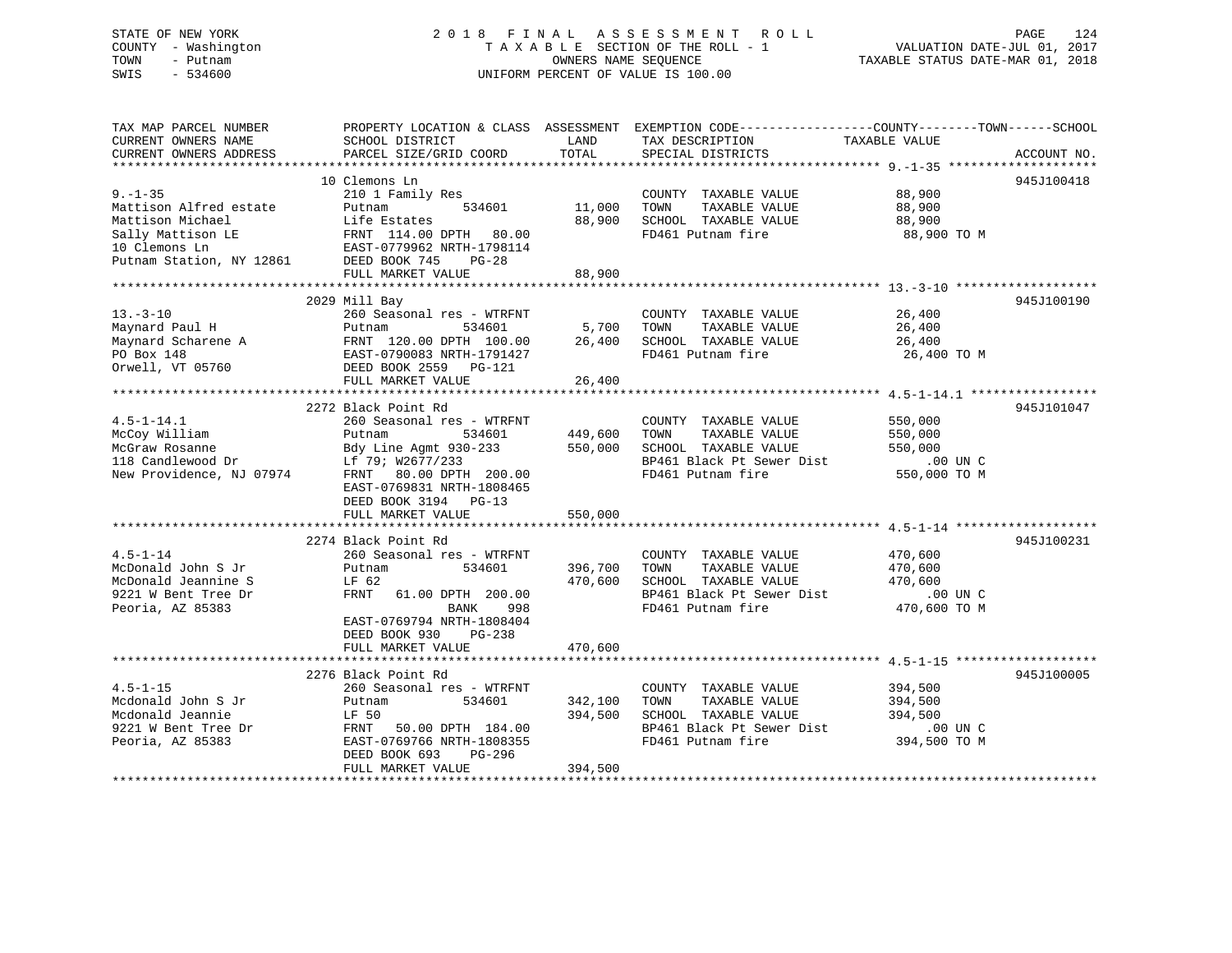# STATE OF NEW YORK 2018 FINAL ASSESSMENT ROLL PAGE 124 COUNTY - Washington  $T A X A B L E$  SECTION OF THE ROLL - 1<br>TOWN - Putnam data of the counters NAME SEQUENCE SWIS - 534600 UNIFORM PERCENT OF VALUE IS 100.00

VALUATION DATE-JUL 01, 2017

TAXABLE STATUS DATE-MAR 01, 2018

| TAX MAP PARCEL NUMBER<br>CURRENT OWNERS NAME<br>CURRENT OWNERS ADDRESS                                                                      | SCHOOL DISTRICT<br>PARCEL SIZE/GRID COORD                                                                                                                                                                   | LAND<br>TOTAL                        | PROPERTY LOCATION & CLASS ASSESSMENT EXEMPTION CODE----------------COUNTY-------TOWN------SCHOOL<br>TAX DESCRIPTION<br>SPECIAL DISTRICTS | TAXABLE VALUE                                               | ACCOUNT NO. |
|---------------------------------------------------------------------------------------------------------------------------------------------|-------------------------------------------------------------------------------------------------------------------------------------------------------------------------------------------------------------|--------------------------------------|------------------------------------------------------------------------------------------------------------------------------------------|-------------------------------------------------------------|-------------|
| $9. - 1 - 35$<br>Mattison Alfred estate<br>Mattison Michael<br>Sally Mattison LE<br>10 Clemons Ln<br>Putnam Station, NY 12861 DEED BOOK 745 | 10 Clemons Ln<br>210 1 Family Res<br>534601<br>Putnam<br>Life Estates<br>PG-28<br>FULL MARKET VALUE                                                                                                         | 11,000<br>88,900<br>88,900           | COUNTY TAXABLE VALUE<br>TOWN<br>TAXABLE VALUE<br>SCHOOL TAXABLE VALUE<br>FD461 Putnam fire                                               | 88,900<br>88,900<br>88,900<br>88,900 TO M                   | 945J100418  |
| $13. - 3 - 10$<br>Maynard Paul H<br>Orwell, VT 05760                                                                                        | 2029 Mill Bay<br>260 Seasonal res - WTRFNT<br>Putnam<br>534601<br>DEED BOOK 2559 PG-121<br>FULL MARKET VALUE                                                                                                | 5,700<br>26,400<br>26,400            | COUNTY TAXABLE VALUE<br>TAXABLE VALUE<br>TOWN<br>SCHOOL TAXABLE VALUE<br>FD461 Putnam fire                                               | 26,400<br>26,400<br>26,400<br>26,400 TO M                   | 945J100190  |
| $4.5 - 1 - 14.1$<br>McCoy William<br>nccoy william<br>NcGraw Rosanne<br>118 Candlewood Dr<br>New Providence, NJ 07974                       | 2272 Black Point Rd<br>260 Seasonal res - WTRFNT<br>Putnam<br>Bdy Line Agmt 930-233<br>Lf 79; W2677/233<br>FRNT 80.00 DPTH 200.00<br>EAST-0769831 NRTH-1808465<br>DEED BOOK 3194 PG-13<br>FULL MARKET VALUE | 534601 449,600<br>550,000<br>550,000 | COUNTY TAXABLE VALUE<br>TAXABLE VALUE<br>TOWN<br>SCHOOL TAXABLE VALUE<br>BP461 Black Pt Sewer Dist<br>FD461 Putnam fire                  | 550,000<br>550,000<br>550,000<br>$.00$ UN C<br>550,000 TO M | 945J101047  |
| $4.5 - 1 - 14$<br>McDonald John S Jr<br>McDonald Jeannine S<br>9221 W Bent Tree Dr<br>Peoria, AZ 85383                                      | 2274 Black Point Rd<br>260 Seasonal res - WTRFNT<br>Putnam<br>534601<br>LF 62<br>FRNT<br>61.00 DPTH 200.00<br>BANK<br>998<br>EAST-0769794 NRTH-1808404<br>DEED BOOK 930<br>PG-238<br>FULL MARKET VALUE      | 396,700<br>470,600<br>470,600        | COUNTY TAXABLE VALUE<br>TAXABLE VALUE<br>TOWN<br>SCHOOL TAXABLE VALUE<br>BP461 Black Pt Sewer Dist<br>FD461 Putnam fire                  | 470,600<br>470,600<br>470,600<br>$.00$ UN C<br>470,600 TO M | 945J100231  |
| $4.5 - 1 - 15$<br>Mcdonald John S Jr<br>Mcdonald Jeannie<br>9221 W Bent Tree Dr<br>Peoria, AZ 85383                                         | 2276 Black Point Rd<br>260 Seasonal res - WTRFNT<br>534601<br>Putnam<br>LF 50<br>FRNT 50.00 DPTH 184.00<br>EAST-0769766 NRTH-1808355<br>DEED BOOK 693<br>PG-296<br>FULL MARKET VALUE                        | 342,100<br>394,500<br>394,500        | COUNTY TAXABLE VALUE<br>TAXABLE VALUE<br>TOWN<br>SCHOOL TAXABLE VALUE<br>BP461 Black Pt Sewer Dist<br>FD461 Putnam fire                  | 394,500<br>394,500<br>394,500<br>.00 UN C<br>394,500 TO M   | 945J100005  |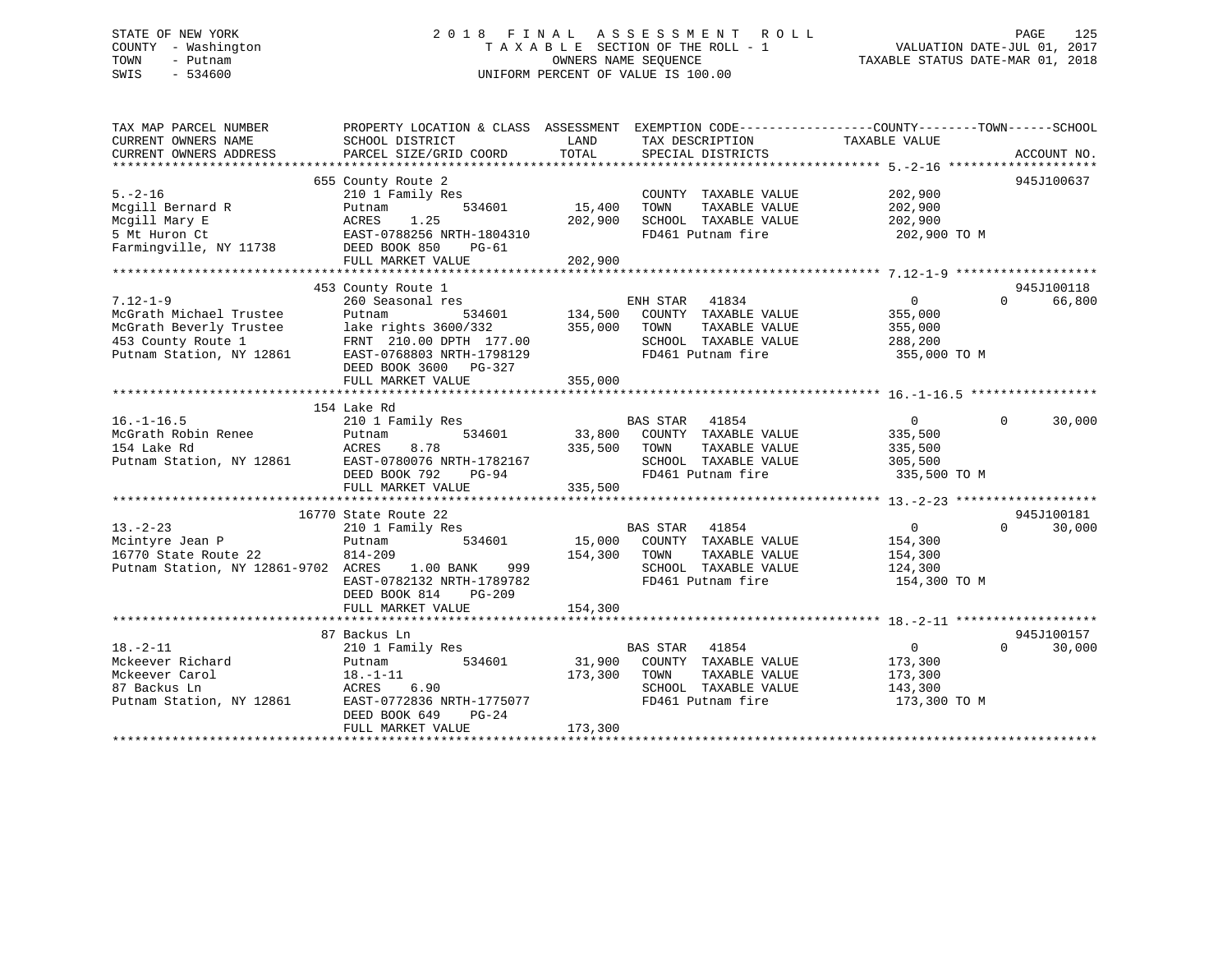### STATE OF NEW YORK 2 0 1 8 F I N A L A S S E S S M E N T R O L L PAGE 125 COUNTY - Washington T A X A B L E SECTION OF THE ROLL - 1 VALUATION DATE-JUL 01, 2017 TOWN - Putnam OWNERS NAME SEQUENCE TAXABLE STATUS DATE-MAR 01, 2018 SWIS - 534600 UNIFORM PERCENT OF VALUE IS 100.00

| TAX MAP PARCEL NUMBER<br>CURRENT OWNERS NAME<br>CURRENT OWNERS ADDRESS | PROPERTY LOCATION & CLASS ASSESSMENT EXEMPTION CODE----------------COUNTY-------TOWN------SCHOOL<br>SCHOOL DISTRICT<br>PARCEL SIZE/GRID COORD | LAND<br>TOTAL | TAX DESCRIPTION<br>SPECIAL DISTRICTS      | TAXABLE VALUE           | ACCOUNT NO.        |
|------------------------------------------------------------------------|-----------------------------------------------------------------------------------------------------------------------------------------------|---------------|-------------------------------------------|-------------------------|--------------------|
|                                                                        |                                                                                                                                               |               |                                           |                         |                    |
| $5. - 2 - 16$                                                          | 655 County Route 2<br>210 1 Family Res                                                                                                        |               | COUNTY TAXABLE VALUE                      | 202,900                 | 945J100637         |
| Mcgill Bernard R                                                       | 534601<br>Putnam                                                                                                                              | 15,400        | TOWN<br>TAXABLE VALUE                     | 202,900                 |                    |
| Mcgill Mary E                                                          | 1.25<br>ACRES                                                                                                                                 | 202,900       | SCHOOL TAXABLE VALUE                      | 202,900                 |                    |
| 5 Mt Huron Ct                                                          | EAST-0788256 NRTH-1804310                                                                                                                     |               | FD461 Putnam fire                         | 202,900 TO M            |                    |
| Farmingville, NY 11738                                                 | DEED BOOK 850<br>PG-61                                                                                                                        |               |                                           |                         |                    |
|                                                                        | FULL MARKET VALUE                                                                                                                             | 202,900       |                                           |                         |                    |
|                                                                        |                                                                                                                                               |               |                                           |                         |                    |
|                                                                        | 453 County Route 1                                                                                                                            |               |                                           |                         | 945J100118         |
| $7.12 - 1 - 9$                                                         | 260 Seasonal res                                                                                                                              |               | ENH STAR 41834                            | $0 \qquad \qquad$       | 66,800<br>$\Omega$ |
| McGrath Michael Trustee                                                | 534601<br>Putnam                                                                                                                              | 134,500       | COUNTY TAXABLE VALUE                      | 355,000                 |                    |
| McGrath Beverly Trustee                                                | lake rights 3600/332 355,000                                                                                                                  |               | TAXABLE VALUE<br>TOWN                     | 355,000                 |                    |
| 453 County Route 1                                                     | FRNT 210.00 DPTH 177.00                                                                                                                       |               | SCHOOL TAXABLE VALUE                      | 288,200                 |                    |
| Putnam Station, NY 12861                                               | EAST-0768803 NRTH-1798129                                                                                                                     |               | FD461 Putnam fire                         | 355,000 TO M            |                    |
|                                                                        | DEED BOOK 3600 PG-327                                                                                                                         |               |                                           |                         |                    |
|                                                                        | FULL MARKET VALUE                                                                                                                             | 355,000       |                                           |                         |                    |
|                                                                        |                                                                                                                                               |               |                                           |                         |                    |
|                                                                        | 154 Lake Rd                                                                                                                                   |               |                                           |                         |                    |
| $16. - 1 - 16.5$                                                       | 210 1 Family Res                                                                                                                              |               | <b>BAS STAR</b><br>41854                  | $\overline{0}$          | 30,000<br>$\Omega$ |
| McGrath Robin Renee                                                    | 534601<br>Putnam                                                                                                                              |               | 33,800 COUNTY TAXABLE VALUE               | 335,500                 |                    |
| 154 Lake Rd                                                            | ACRES<br>8.78                                                                                                                                 | 335,500 TOWN  | TAXABLE VALUE                             | 335,500                 |                    |
| Putnam Station, NY 12861                                               | EAST-0780076 NRTH-1782167                                                                                                                     |               | SCHOOL TAXABLE VALUE                      | 305,500                 |                    |
|                                                                        | DEED BOOK 792<br>PG-94                                                                                                                        |               | FD461 Putnam fire                         | 335,500 TO M            |                    |
|                                                                        | FULL MARKET VALUE                                                                                                                             | 335,500       |                                           |                         |                    |
|                                                                        |                                                                                                                                               |               |                                           |                         |                    |
|                                                                        | 16770 State Route 22                                                                                                                          |               |                                           |                         | 945J100181         |
| $13 - 2 - 23$                                                          | 210 1 Family Res                                                                                                                              |               | BAS STAR 41854                            | $\overline{0}$          | 30,000<br>$\Omega$ |
| Mcintyre Jean P                                                        | Putnam<br>534601                                                                                                                              |               | 15,000 COUNTY TAXABLE VALUE               | 154,300                 |                    |
| 16770 State Route 22                                                   | 814-209                                                                                                                                       | 154,300 TOWN  | TAXABLE VALUE                             | 154,300                 |                    |
| Putnam Station, NY 12861-9702 ACRES 1.00 BANK                          | 999<br>EAST-0782132 NRTH-1789782                                                                                                              |               | SCHOOL TAXABLE VALUE<br>FD461 Putnam fire | 124,300<br>154,300 TO M |                    |
|                                                                        | DEED BOOK 814<br>PG-209                                                                                                                       |               |                                           |                         |                    |
|                                                                        | FULL MARKET VALUE                                                                                                                             | 154,300       |                                           |                         |                    |
|                                                                        |                                                                                                                                               |               |                                           |                         |                    |
|                                                                        | 87 Backus Ln                                                                                                                                  |               |                                           |                         | 945J100157         |
| $18. - 2 - 11$                                                         | 210 1 Family Res                                                                                                                              |               | <b>BAS STAR</b><br>41854                  | $\overline{0}$          | $\Omega$<br>30,000 |
| Mckeever Richard                                                       | 534601<br>Putnam                                                                                                                              |               | 31,900 COUNTY TAXABLE VALUE               | 173,300                 |                    |
| Mckeever Carol                                                         | 18.–1–11                                                                                                                                      | 173,300 TOWN  | TAXABLE VALUE                             | 173,300                 |                    |
| 87 Backus Ln                                                           | ACRES 6.90                                                                                                                                    |               | SCHOOL TAXABLE VALUE                      | 143,300                 |                    |
| Putnam Station, NY 12861                                               | EAST-0772836 NRTH-1775077                                                                                                                     |               | FD461 Putnam fire                         | 173,300 TO M            |                    |
|                                                                        | DEED BOOK 649<br>$PG-24$                                                                                                                      |               |                                           |                         |                    |
|                                                                        | FULL MARKET VALUE                                                                                                                             | 173,300       |                                           |                         |                    |
|                                                                        |                                                                                                                                               |               |                                           |                         |                    |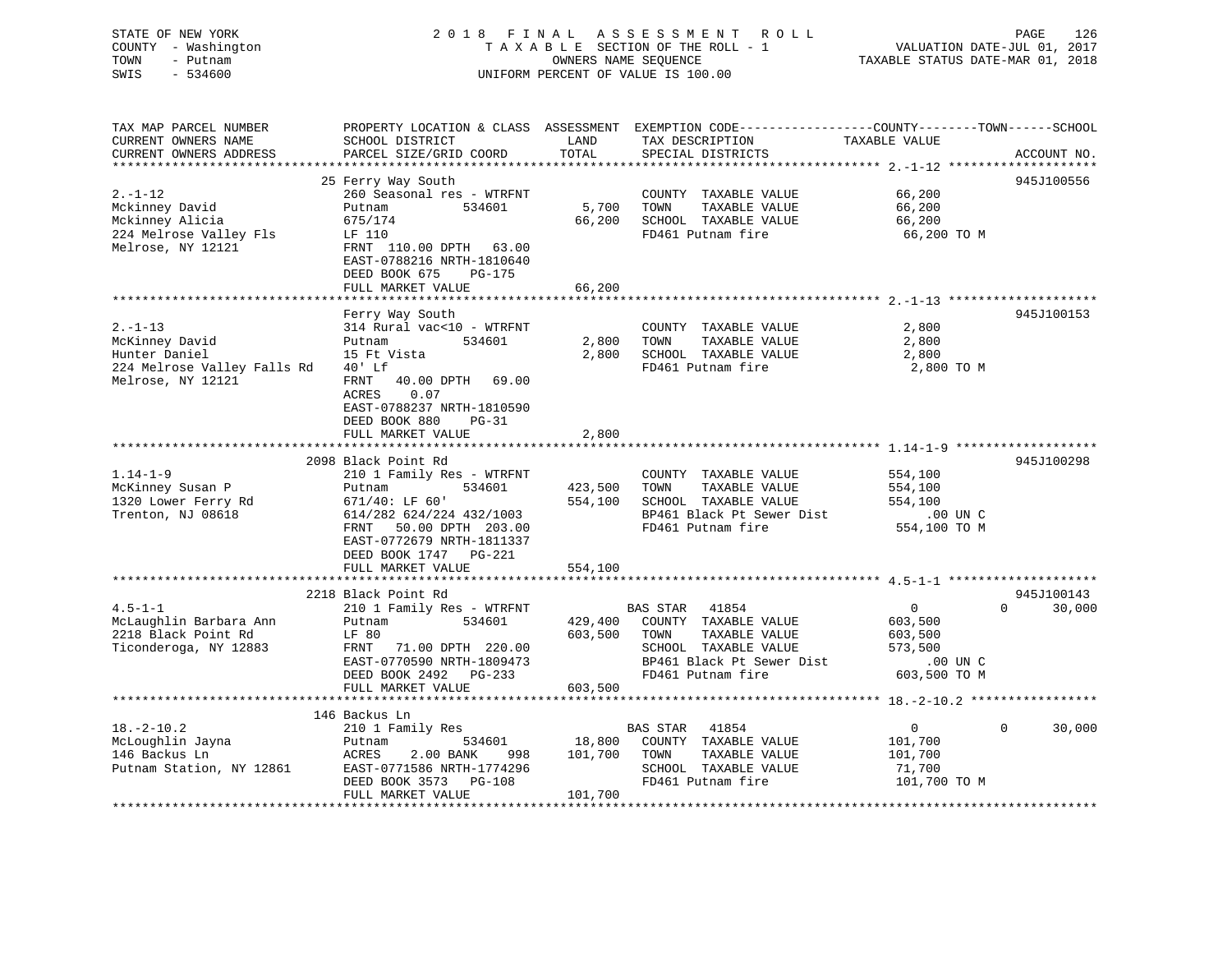### STATE OF NEW YORK 2 0 1 8 F I N A L A S S E S S M E N T R O L L PAGE 126 COUNTY - Washington T A X A B L E SECTION OF THE ROLL - 1 VALUATION DATE-JUL 01, 2017 TOWN - Putnam **CONNERS NAME SEQUENCE** TAXABLE STATUS DATE-MAR 01, 2018 SWIS - 534600 UNIFORM PERCENT OF VALUE IS 100.00

| TAX MAP PARCEL NUMBER<br>CURRENT OWNERS NAME<br>CURRENT OWNERS ADDRESS | PROPERTY LOCATION & CLASS ASSESSMENT EXEMPTION CODE----------------COUNTY-------TOWN------SCHOOL<br>SCHOOL DISTRICT<br>PARCEL SIZE/GRID COORD | LAND<br>TOTAL | TAX DESCRIPTION<br>SPECIAL DISTRICTS  | TAXABLE VALUE      | ACCOUNT NO.          |
|------------------------------------------------------------------------|-----------------------------------------------------------------------------------------------------------------------------------------------|---------------|---------------------------------------|--------------------|----------------------|
| **********************                                                 |                                                                                                                                               |               |                                       |                    |                      |
|                                                                        | 25 Ferry Way South                                                                                                                            |               |                                       |                    | 945J100556           |
| $2. -1 - 12$                                                           | 260 Seasonal res - WTRFNT                                                                                                                     |               | COUNTY TAXABLE VALUE                  | 66,200             |                      |
| Mckinney David                                                         | 534601<br>Putnam                                                                                                                              | 5,700         | TOWN<br>TAXABLE VALUE                 | 66,200             |                      |
| Mckinney Alicia                                                        | 675/174                                                                                                                                       | 66,200        | SCHOOL TAXABLE VALUE                  | 66,200             |                      |
| 224 Melrose Valley Fls                                                 | LF 110                                                                                                                                        |               | FD461 Putnam fire                     | 66,200 TO M        |                      |
| Melrose, NY 12121                                                      | FRNT 110.00 DPTH 63.00                                                                                                                        |               |                                       |                    |                      |
|                                                                        | EAST-0788216 NRTH-1810640                                                                                                                     |               |                                       |                    |                      |
|                                                                        | DEED BOOK 675<br>$PG-175$                                                                                                                     |               |                                       |                    |                      |
|                                                                        | FULL MARKET VALUE                                                                                                                             | 66,200        |                                       |                    |                      |
|                                                                        |                                                                                                                                               |               |                                       |                    |                      |
|                                                                        | Ferry Way South                                                                                                                               |               |                                       |                    | 945J100153           |
| $2. -1 - 13$                                                           | 314 Rural vac<10 - WTRFNT                                                                                                                     |               | COUNTY TAXABLE VALUE                  | 2,800              |                      |
| McKinney David                                                         | 534601<br>Putnam                                                                                                                              | 2,800         | TOWN<br>TAXABLE VALUE                 | 2,800              |                      |
| Hunter Daniel                                                          | 15 Ft Vista                                                                                                                                   | 2,800         | SCHOOL TAXABLE VALUE                  | 2,800              |                      |
| 224 Melrose Valley Falls Rd<br>Melrose, NY 12121                       | 40' Lf<br>40.00 DPTH 69.00<br>FRNT                                                                                                            |               | FD461 Putnam fire                     | 2,800 TO M         |                      |
|                                                                        | ACRES<br>0.07                                                                                                                                 |               |                                       |                    |                      |
|                                                                        | EAST-0788237 NRTH-1810590                                                                                                                     |               |                                       |                    |                      |
|                                                                        | DEED BOOK 880<br>$PG-31$                                                                                                                      |               |                                       |                    |                      |
|                                                                        | FULL MARKET VALUE                                                                                                                             | 2,800         |                                       |                    |                      |
|                                                                        |                                                                                                                                               |               |                                       |                    |                      |
|                                                                        | 2098 Black Point Rd                                                                                                                           |               |                                       |                    | 945J100298           |
| $1.14 - 1 - 9$                                                         | 210 1 Family Res - WTRFNT                                                                                                                     |               | COUNTY TAXABLE VALUE                  | 554,100            |                      |
| McKinney Susan P                                                       | 534601<br>Putnam                                                                                                                              | 423,500       | TOWN<br>TAXABLE VALUE                 | 554,100            |                      |
| 1320 Lower Ferry Rd                                                    | 671/40: LF 60'                                                                                                                                | 554,100       | SCHOOL TAXABLE VALUE                  | 554,100            |                      |
| Trenton, NJ 08618                                                      | 614/282 624/224 432/1003                                                                                                                      |               | BP461 Black Pt Sewer Dist             | .00 UN C           |                      |
|                                                                        | 50.00 DPTH 203.00<br>FRNT                                                                                                                     |               | FD461 Putnam fire                     | 554,100 TO M       |                      |
|                                                                        | EAST-0772679 NRTH-1811337                                                                                                                     |               |                                       |                    |                      |
|                                                                        | DEED BOOK 1747 PG-221                                                                                                                         |               |                                       |                    |                      |
|                                                                        | FULL MARKET VALUE                                                                                                                             | 554,100       |                                       |                    |                      |
|                                                                        |                                                                                                                                               |               |                                       |                    |                      |
|                                                                        | 2218 Black Point Rd                                                                                                                           |               |                                       |                    | 945J100143<br>$\cap$ |
| $4.5 - 1 - 1$                                                          | 210 1 Family Res - WTRFNT                                                                                                                     |               | BAS STAR 41854                        | $\overline{0}$     | 30,000               |
| McLaughlin Barbara Ann                                                 | 534601<br>Putnam                                                                                                                              | 429,400       | COUNTY TAXABLE VALUE<br>TOWN          | 603,500            |                      |
| 2218 Black Point Rd                                                    | LF 80<br>FRNT                                                                                                                                 | 603,500       | TAXABLE VALUE<br>SCHOOL TAXABLE VALUE | 603,500<br>573,500 |                      |
| Ticonderoga, NY 12883                                                  | 71.00 DPTH 220.00<br>EAST-0770590 NRTH-1809473                                                                                                |               | BP461 Black Pt Sewer Dist             | .00 UN C           |                      |
|                                                                        | DEED BOOK 2492 PG-233                                                                                                                         |               | FD461 Putnam fire                     | 603,500 TO M       |                      |
|                                                                        | FULL MARKET VALUE                                                                                                                             | 603,500       |                                       |                    |                      |
|                                                                        |                                                                                                                                               |               |                                       |                    |                      |
|                                                                        | 146 Backus Ln                                                                                                                                 |               |                                       |                    |                      |
| $18. - 2 - 10.2$                                                       | 210 1 Family Res                                                                                                                              |               | BAS STAR 41854                        | $\overline{0}$     | $\Omega$<br>30,000   |
| McLoughlin Jayna                                                       | 534601<br>Putnam                                                                                                                              | 18,800        | COUNTY TAXABLE VALUE                  | 101,700            |                      |
| 146 Backus Ln                                                          | ACRES<br>2.00 BANK<br>998                                                                                                                     | 101,700       | TOWN<br>TAXABLE VALUE                 | 101,700            |                      |
| Putnam Station, NY 12861                                               | EAST-0771586 NRTH-1774296                                                                                                                     |               | SCHOOL TAXABLE VALUE                  | 71,700             |                      |
|                                                                        | DEED BOOK 3573<br>PG-108                                                                                                                      |               | FD461 Putnam fire                     | 101,700 TO M       |                      |
|                                                                        | FULL MARKET VALUE                                                                                                                             | 101,700       |                                       |                    |                      |
|                                                                        |                                                                                                                                               |               |                                       |                    |                      |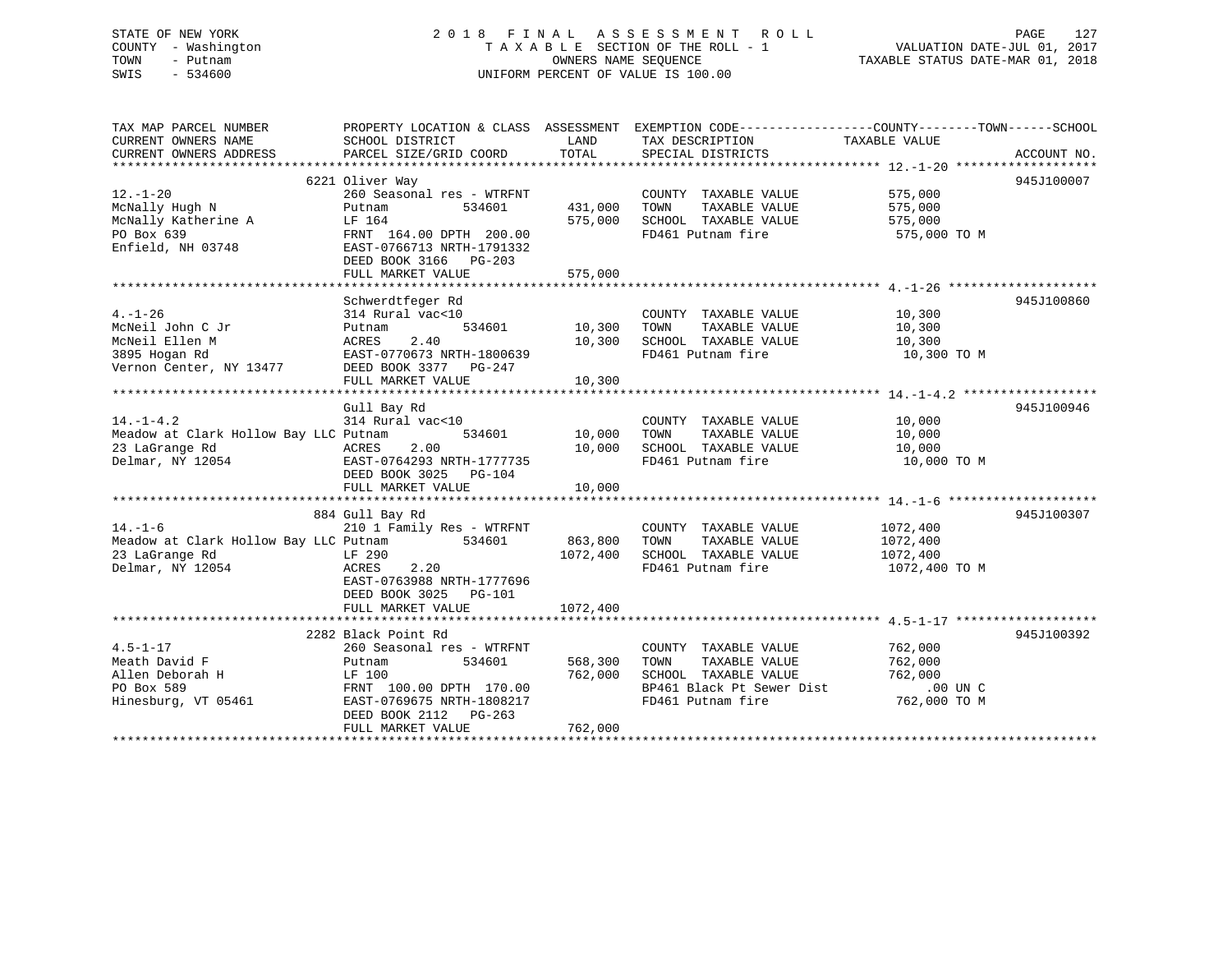### STATE OF NEW YORK 2 0 1 8 F I N A L A S S E S S M E N T R O L L PAGE 127 COUNTY - Washington T A X A B L E SECTION OF THE ROLL - 1 VALUATION DATE-JUL 01, 2017 TOWN - Putnam OWNERS NAME SEQUENCE TAXABLE STATUS DATE-MAR 01, 2018 SWIS - 534600 UNIFORM PERCENT OF VALUE IS 100.00

| TAX MAP PARCEL NUMBER<br>CURRENT OWNERS NAME<br>CURRENT OWNERS ADDRESS                          | PROPERTY LOCATION & CLASS ASSESSMENT EXEMPTION CODE---------------COUNTY-------TOWN-----SCHOOL<br>SCHOOL DISTRICT<br>PARCEL SIZE/GRID COORD                                          | LAND<br>TOTAL                     | TAX DESCRIPTION<br>SPECIAL DISTRICTS                                                                                    | TAXABLE VALUE                                                 | ACCOUNT NO. |
|-------------------------------------------------------------------------------------------------|--------------------------------------------------------------------------------------------------------------------------------------------------------------------------------------|-----------------------------------|-------------------------------------------------------------------------------------------------------------------------|---------------------------------------------------------------|-------------|
| $12. - 1 - 20$<br>McNally Hugh N<br>McNally Katherine A<br>PO Box 639<br>Enfield, NH 03748      | 6221 Oliver Way<br>260 Seasonal res - WTRFNT<br>534601<br>Putnam<br>LF 164<br>FRNT 164.00 DPTH 200.00<br>EAST-0766713 NRTH-1791332<br>DEED BOOK 3166 PG-203                          | 431,000<br>575,000                | COUNTY TAXABLE VALUE<br>TAXABLE VALUE<br>TOWN<br>SCHOOL TAXABLE VALUE<br>FD461 Putnam fire                              | 575,000<br>575,000<br>575,000<br>575,000 TO M                 | 945J100007  |
|                                                                                                 | FULL MARKET VALUE                                                                                                                                                                    | 575,000                           |                                                                                                                         |                                                               |             |
| $4. - 1 - 26$<br>McNeil John C Jr<br>McNeil Ellen M<br>3895 Hogan Rd<br>Vernon Center, NY 13477 | Schwerdtfeger Rd<br>314 Rural vac<10<br>Putnam<br>2.40<br>ACRES<br>EAST-0770673 NRTH-1800639<br>DEED BOOK 3377 PG-247<br>FULL MARKET VALUE                                           | 534601 10,300<br>10,300<br>10,300 | COUNTY TAXABLE VALUE<br>TAXABLE VALUE<br>TOWN<br>SCHOOL TAXABLE VALUE<br>FD461 Putnam fire                              | 10,300<br>10,300<br>10,300<br>10,300 TO M                     | 945J100860  |
| $14. - 1 - 4.2$<br>Meadow at Clark Hollow Bay LLC Putnam<br>23 LaGrange Rd<br>Delmar, NY 12054  | Gull Bay Rd<br>314 Rural vac<10<br>534601<br>2.00<br>ACRES<br>EAST-0764293 NRTH-1777735<br>DEED BOOK 3025 PG-104<br>FULL MARKET VALUE                                                | 10,000<br>10,000<br>10,000        | COUNTY TAXABLE VALUE<br>TOWN<br>TAXABLE VALUE<br>SCHOOL TAXABLE VALUE<br>FD461 Putnam fire                              | 10,000<br>10,000<br>10,000<br>10,000 TO M                     | 945J100946  |
| $14. - 1 - 6$<br>Meadow at Clark Hollow Bay LLC Putnam<br>23 LaGrange Rd<br>Delmar, NY 12054    | 884 Gull Bay Rd<br>210 1 Family Res - WTRFNT<br>534601<br>LF 290<br>ACRES<br>2.20<br>EAST-0763988 NRTH-1777696<br>DEED BOOK 3025 PG-101<br>FULL MARKET VALUE                         | 863,800<br>1072,400<br>1072,400   | COUNTY TAXABLE VALUE<br>TAXABLE VALUE<br>TOWN<br>SCHOOL TAXABLE VALUE<br>FD461 Putnam fire                              | 1072,400<br>1072,400<br>1072,400<br>1072,400 TO M             | 945J100307  |
| $4.5 - 1 - 17$<br>Meath David F<br>Allen Deborah H<br>PO Box 589<br>Hinesburg, VT 05461         | 2282 Black Point Rd<br>260 Seasonal res - WTRFNT<br>Putnam<br>534601<br>LF 100<br>FRNT 100.00 DPTH 170.00<br>EAST-0769675 NRTH-1808217<br>DEED BOOK 2112 PG-263<br>FULL MARKET VALUE | 568,300<br>762,000<br>762,000     | COUNTY TAXABLE VALUE<br>TAXABLE VALUE<br>TOWN<br>SCHOOL TAXABLE VALUE<br>BP461 Black Pt Sewer Dist<br>FD461 Putnam fire | 762,000<br>762,000<br>762,000<br>$.00$ UN $C$<br>762,000 TO M | 945J100392  |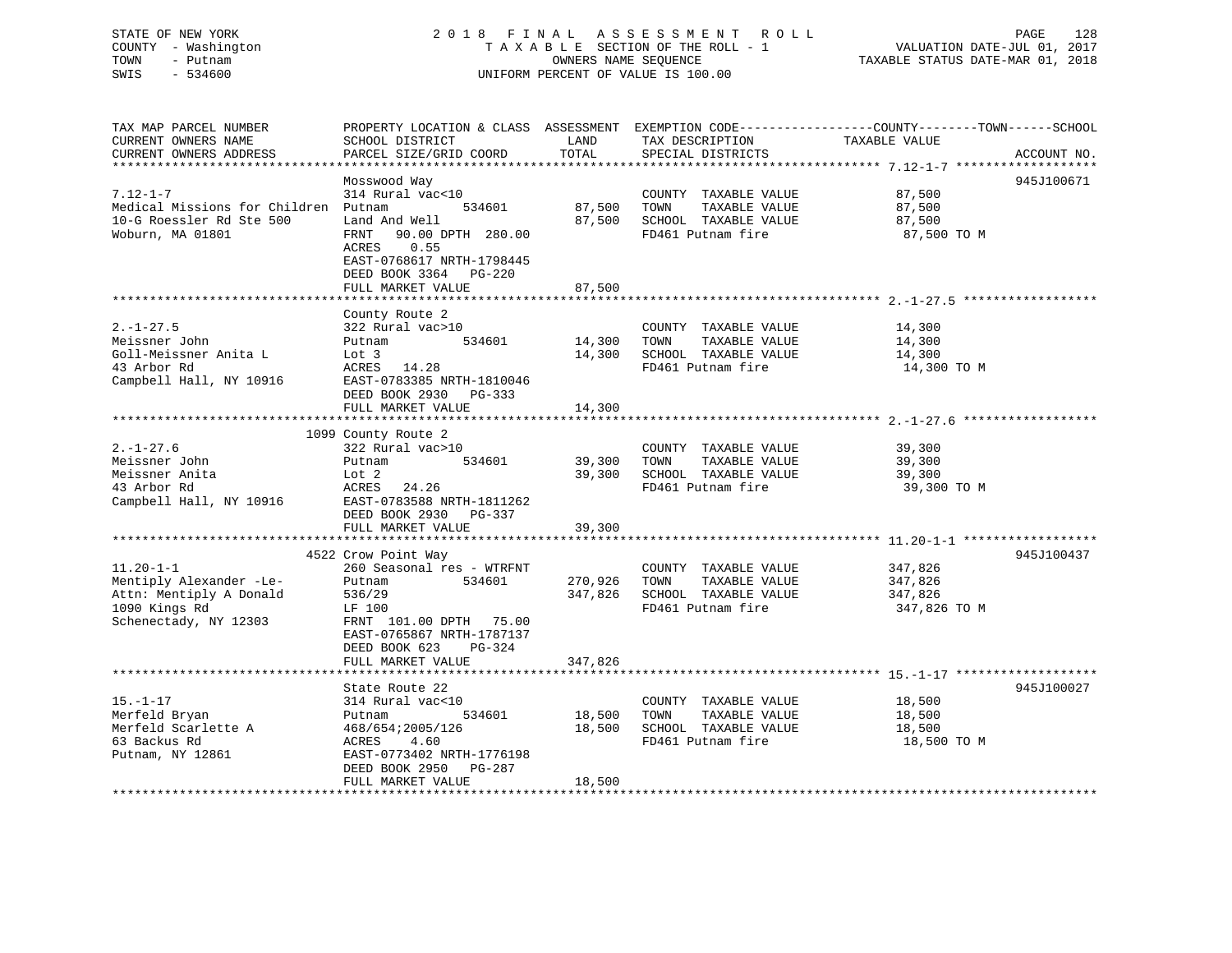### STATE OF NEW YORK 2 0 1 8 F I N A L A S S E S S M E N T R O L L PAGE 128 COUNTY - Washington T A X A B L E SECTION OF THE ROLL - 1 VALUATION DATE-JUL 01, 2017 TOWN - Putnam OWNERS NAME SEQUENCE TAXABLE STATUS DATE-MAR 01, 2018 SWIS - 534600 UNIFORM PERCENT OF VALUE IS 100.00

| TAX MAP PARCEL NUMBER                             | PROPERTY LOCATION & CLASS ASSESSMENT EXEMPTION CODE----------------COUNTY-------TOWN-----SCHOOL |              |                              |                    |             |
|---------------------------------------------------|-------------------------------------------------------------------------------------------------|--------------|------------------------------|--------------------|-------------|
| CURRENT OWNERS NAME                               | SCHOOL DISTRICT                                                                                 | LAND         | TAX DESCRIPTION              | TAXABLE VALUE      |             |
| CURRENT OWNERS ADDRESS                            | PARCEL SIZE/GRID COORD                                                                          | TOTAL        | SPECIAL DISTRICTS            |                    | ACCOUNT NO. |
|                                                   |                                                                                                 |              |                              |                    |             |
|                                                   | Mosswood Way                                                                                    |              |                              |                    | 945J100671  |
| $7.12 - 1 - 7$                                    | 314 Rural vac<10                                                                                |              | COUNTY TAXABLE VALUE         | 87,500             |             |
| Medical Missions for Children Putnam              | 534601                                                                                          | 87,500 TOWN  | TAXABLE VALUE                | 87,500             |             |
| 10-G Roessler Rd Ste 500                          | Land And Well                                                                                   | 87,500       | SCHOOL TAXABLE VALUE         | 87,500             |             |
| Woburn, MA 01801                                  | FRNT 90.00 DPTH 280.00                                                                          |              | FD461 Putnam fire            | 87,500 TO M        |             |
|                                                   | ACRES<br>0.55                                                                                   |              |                              |                    |             |
|                                                   | EAST-0768617 NRTH-1798445                                                                       |              |                              |                    |             |
|                                                   | DEED BOOK 3364 PG-220                                                                           |              |                              |                    |             |
|                                                   | FULL MARKET VALUE                                                                               | 87,500       |                              |                    |             |
|                                                   |                                                                                                 |              |                              |                    |             |
|                                                   | County Route 2                                                                                  |              |                              |                    |             |
| $2. - 1 - 27.5$                                   | 322 Rural vac>10                                                                                |              | COUNTY TAXABLE VALUE         | 14,300             |             |
| Meissner John                                     | 534601<br>Putnam                                                                                | 14,300       | TOWN<br>TAXABLE VALUE        | 14,300             |             |
| Goll-Meissner Anita L                             | Putnam<br>Lot 3                                                                                 |              | 14,300 SCHOOL TAXABLE VALUE  | 14,300             |             |
| 43 Arbor Rd                                       | ACRES 14.28                                                                                     |              | FD461 Putnam fire            | 14,300 TO M        |             |
| Campbell Hall, NY 10916 EAST-0783385 NRTH-1810046 |                                                                                                 |              |                              |                    |             |
|                                                   | DEED BOOK 2930 PG-333                                                                           |              |                              |                    |             |
|                                                   | FULL MARKET VALUE                                                                               | 14,300       |                              |                    |             |
|                                                   |                                                                                                 |              |                              |                    |             |
|                                                   | 1099 County Route 2                                                                             |              |                              |                    |             |
| $2. - 1 - 27.6$                                   | 322 Rural vac>10                                                                                |              | COUNTY TAXABLE VALUE         | 39,300             |             |
| Meissner John                                     | 534601<br>Putnam                                                                                | 39,300 TOWN  | TAXABLE VALUE                | 39,300             |             |
| Meissner Anita                                    | Lot 2                                                                                           | 39,300       | SCHOOL TAXABLE VALUE         | 39,300             |             |
| 43 Arbor Rd                                       | ACRES 24.26                                                                                     |              | FD461 Putnam fire            | 39,300 TO M        |             |
| 43 Arbor Rd<br>Campbell Hall, NY 10916            | EAST-0783588 NRTH-1811262                                                                       |              |                              |                    |             |
|                                                   | DEED BOOK 2930 PG-337                                                                           |              |                              |                    |             |
|                                                   | FULL MARKET VALUE                                                                               | 39,300       |                              |                    |             |
|                                                   |                                                                                                 |              |                              |                    |             |
|                                                   | 4522 Crow Point Way                                                                             |              |                              |                    | 945J100437  |
| $11.20 - 1 - 1$                                   | 260 Seasonal res - WTRFNT                                                                       |              | COUNTY TAXABLE VALUE         |                    |             |
| Mentiply Alexander -Le-                           | 534601<br>Putnam                                                                                | 270,926 TOWN | TAXABLE VALUE                | 347,826<br>347,826 |             |
| Attn: Mentiply A Donald                           | 536/29                                                                                          |              | 347,826 SCHOOL TAXABLE VALUE | 347,826            |             |
| 1090 Kings Rd                                     | LF 100                                                                                          |              | FD461 Putnam fire            | 347,826 TO M       |             |
| Schenectady, NY 12303                             | FRNT 101.00 DPTH 75.00                                                                          |              |                              |                    |             |
|                                                   | EAST-0765867 NRTH-1787137                                                                       |              |                              |                    |             |
|                                                   | PG-324<br>DEED BOOK 623                                                                         |              |                              |                    |             |
|                                                   | FULL MARKET VALUE                                                                               | 347,826      |                              |                    |             |
|                                                   |                                                                                                 |              |                              |                    |             |
|                                                   | State Route 22                                                                                  |              |                              |                    | 945J100027  |
| $15. - 1 - 17$                                    | 314 Rural vac<10                                                                                |              | COUNTY TAXABLE VALUE         | 18,500             |             |
| Merfeld Bryan                                     | 534601<br>Putnam                                                                                | 18,500       | TOWN<br>TAXABLE VALUE        | 18,500             |             |
| Merfeld Scarlette A                               | 468/654;2005/126                                                                                | 18,500       | SCHOOL TAXABLE VALUE         | 18,500             |             |
| 63 Backus Rd                                      | ACRES<br>4.60                                                                                   |              | FD461 Putnam fire            | 18,500 TO M        |             |
| Putnam, NY 12861                                  | EAST-0773402 NRTH-1776198                                                                       |              |                              |                    |             |
|                                                   | DEED BOOK 2950 PG-287                                                                           |              |                              |                    |             |
|                                                   | FULL MARKET VALUE                                                                               | 18,500       |                              |                    |             |
|                                                   |                                                                                                 |              |                              |                    |             |
|                                                   |                                                                                                 |              |                              |                    |             |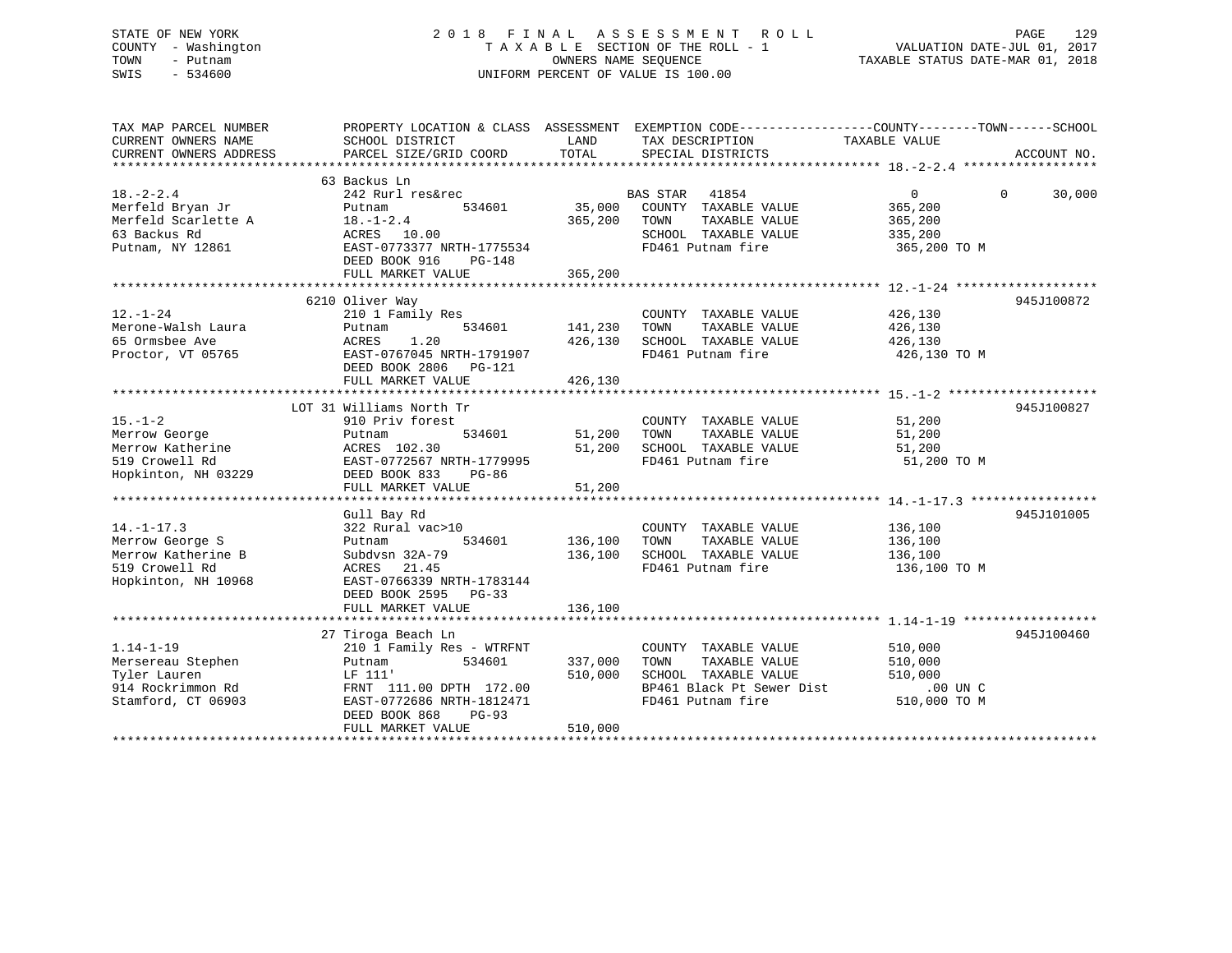### STATE OF NEW YORK 2 0 1 8 F I N A L A S S E S S M E N T R O L L PAGE 129 COUNTY - Washington T A X A B L E SECTION OF THE ROLL - 1 VALUATION DATE-JUL 01, 2017 TOWN - Putnam OWNERS NAME SEQUENCE TAXABLE STATUS DATE-MAR 01, 2018 SWIS - 534600 UNIFORM PERCENT OF VALUE IS 100.00

| TAX MAP PARCEL NUMBER<br>CURRENT OWNERS NAME<br>CURRENT OWNERS ADDRESS | PROPERTY LOCATION & CLASS ASSESSMENT EXEMPTION CODE----------------COUNTY-------TOWN------SCHOOL<br>SCHOOL DISTRICT<br>PARCEL SIZE/GRID COORD | LAND<br>TOTAL | TAX DESCRIPTION<br>SPECIAL DISTRICTS             | TAXABLE VALUE | ACCOUNT NO.        |
|------------------------------------------------------------------------|-----------------------------------------------------------------------------------------------------------------------------------------------|---------------|--------------------------------------------------|---------------|--------------------|
|                                                                        | 63 Backus Ln                                                                                                                                  |               |                                                  |               |                    |
| $18. - 2 - 2.4$<br>Merfeld Bryan Jr                                    | 242 Rurl res&rec<br>534601<br>Putnam                                                                                                          | 35,000        | <b>BAS STAR</b><br>41854<br>COUNTY TAXABLE VALUE | 0<br>365,200  | $\Omega$<br>30,000 |
| Merfeld Scarlette A                                                    | $18. - 1 - 2.4$                                                                                                                               | 365,200       | TAXABLE VALUE<br>TOWN                            | 365,200       |                    |
| 63 Backus Rd                                                           | ACRES 10.00                                                                                                                                   |               | SCHOOL TAXABLE VALUE                             | 335,200       |                    |
| Putnam, NY 12861                                                       | EAST-0773377 NRTH-1775534<br>DEED BOOK 916<br>$PG-148$                                                                                        |               | FD461 Putnam fire                                | 365,200 TO M  |                    |
|                                                                        |                                                                                                                                               |               |                                                  |               |                    |
|                                                                        | 6210 Oliver Way                                                                                                                               |               |                                                  |               | 945J100872         |
| $12. - 1 - 24$                                                         | 210 1 Family Res                                                                                                                              |               | COUNTY TAXABLE VALUE                             | 426,130       |                    |
| Merone-Walsh Laura                                                     | 534601<br>Putnam                                                                                                                              | 141,230       | TAXABLE VALUE<br>TOWN                            | 426,130       |                    |
| 65 Ormsbee Ave                                                         | 1.20<br>ACRES                                                                                                                                 | 426,130       | SCHOOL TAXABLE VALUE                             | 426,130       |                    |
| Proctor, VT 05765                                                      | EAST-0767045 NRTH-1791907<br>DEED BOOK 2806 PG-121                                                                                            |               | FD461 Putnam fire                                | 426,130 TO M  |                    |
|                                                                        | FULL MARKET VALUE                                                                                                                             | 426,130       |                                                  |               |                    |
|                                                                        |                                                                                                                                               |               |                                                  |               |                    |
|                                                                        | LOT 31 Williams North Tr                                                                                                                      |               |                                                  |               | 945J100827         |
| $15. - 1 - 2$                                                          | 910 Priv forest                                                                                                                               |               | COUNTY TAXABLE VALUE                             | 51,200        |                    |
| Merrow George                                                          | 534601<br>Putnam                                                                                                                              | 51,200        | TAXABLE VALUE<br>TOWN                            | 51,200        |                    |
| Merrow Katherine                                                       | ACRES 102.30                                                                                                                                  | 51,200        | SCHOOL TAXABLE VALUE                             | 51,200        |                    |
| 519 Crowell Rd                                                         | EAST-0772567 NRTH-1779995                                                                                                                     |               | FD461 Putnam fire                                | 51,200 TO M   |                    |
| Hopkinton, NH 03229                                                    | DEED BOOK 833<br>$PG-86$                                                                                                                      |               |                                                  |               |                    |
|                                                                        | FULL MARKET VALUE                                                                                                                             | 51,200        |                                                  |               |                    |
|                                                                        |                                                                                                                                               |               |                                                  |               |                    |
|                                                                        | Gull Bay Rd                                                                                                                                   |               |                                                  |               | 945J101005         |
| $14. - 1 - 17.3$                                                       | 322 Rural vac>10                                                                                                                              |               | COUNTY TAXABLE VALUE                             | 136,100       |                    |
| Merrow George S                                                        | Putnam<br>534601                                                                                                                              | 136,100       | TAXABLE VALUE<br>TOWN                            | 136,100       |                    |
| Merrow Katherine B<br>519 Crowell Rd                                   | Subdysn 32A-79                                                                                                                                | 136,100       | SCHOOL TAXABLE VALUE<br>FD461 Putnam fire        | 136,100       |                    |
| Hopkinton, NH 10968                                                    | ACRES 21.45<br>EAST-0766339 NRTH-1783144                                                                                                      |               |                                                  | 136,100 TO M  |                    |
|                                                                        |                                                                                                                                               |               |                                                  |               |                    |
|                                                                        | DEED BOOK 2595 PG-33<br>FULL MARKET VALUE                                                                                                     | 136,100       |                                                  |               |                    |
|                                                                        |                                                                                                                                               |               |                                                  |               |                    |
|                                                                        | 27 Tiroga Beach Ln                                                                                                                            |               |                                                  |               | 945J100460         |
| $1.14 - 1 - 19$                                                        | 210 1 Family Res - WTRFNT                                                                                                                     |               | COUNTY TAXABLE VALUE                             | 510,000       |                    |
| Mersereau Stephen                                                      | 534601<br>Putnam                                                                                                                              | 337,000       | TAXABLE VALUE<br>TOWN                            | 510,000       |                    |
| Tyler Lauren                                                           | LF 111'                                                                                                                                       | 510,000       | SCHOOL TAXABLE VALUE                             | 510,000       |                    |
| 914 Rockrimmon Rd                                                      | FRNT 111.00 DPTH 172.00                                                                                                                       |               | BP461 Black Pt Sewer Dist                        | $.00$ UN $C$  |                    |
| Stamford, CT 06903                                                     | EAST-0772686 NRTH-1812471                                                                                                                     |               | FD461 Putnam fire                                | 510,000 TO M  |                    |
|                                                                        | DEED BOOK 868<br>$PG-93$                                                                                                                      |               |                                                  |               |                    |
|                                                                        | FULL MARKET VALUE                                                                                                                             | 510,000       |                                                  |               |                    |
|                                                                        |                                                                                                                                               |               |                                                  |               |                    |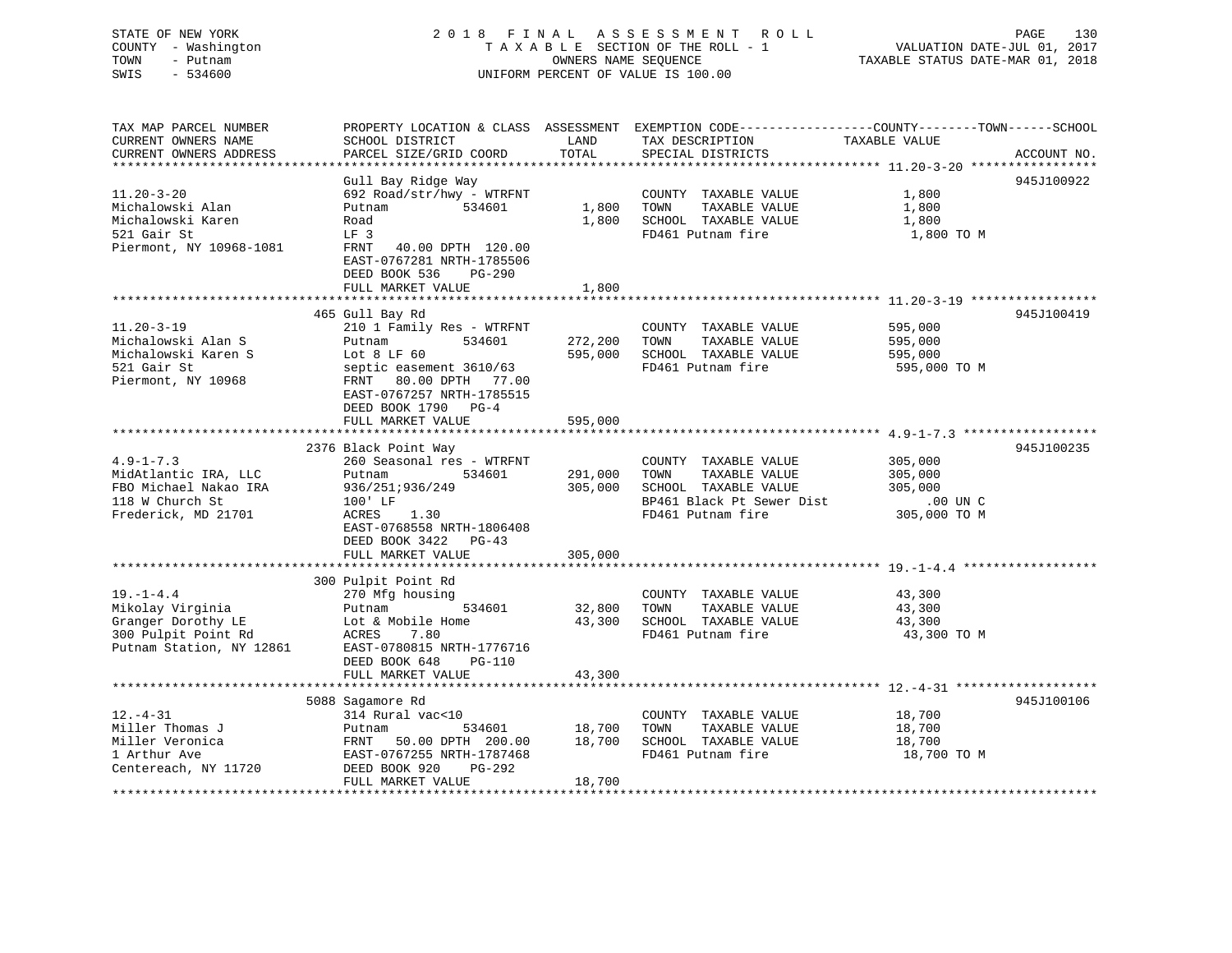### STATE OF NEW YORK 2 0 1 8 F I N A L A S S E S S M E N T R O L L PAGE 130 COUNTY - Washington T A X A B L E SECTION OF THE ROLL - 1 VALUATION DATE-JUL 01, 2017 TOWN - Putnam OWNERS NAME SEQUENCE TAXABLE STATUS DATE-MAR 01, 2018 SWIS - 534600 UNIFORM PERCENT OF VALUE IS 100.00

| TAX MAP PARCEL NUMBER<br>CURRENT OWNERS NAME | SCHOOL DISTRICT                                                                                        | LAND         | TAX DESCRIPTION           | PROPERTY LOCATION & CLASS ASSESSMENT EXEMPTION CODE----------------COUNTY-------TOWN------SCHOOL<br>TAXABLE VALUE |
|----------------------------------------------|--------------------------------------------------------------------------------------------------------|--------------|---------------------------|-------------------------------------------------------------------------------------------------------------------|
| CURRENT OWNERS ADDRESS                       | PARCEL SIZE/GRID COORD                                                                                 | <b>TOTAL</b> | SPECIAL DISTRICTS         | ACCOUNT NO.                                                                                                       |
|                                              |                                                                                                        |              |                           |                                                                                                                   |
| $11.20 - 3 - 20$                             | Gull Bay Ridge Way                                                                                     |              |                           | 945J100922                                                                                                        |
|                                              | 692 Road/str/hwy - WTRFNT                                                                              |              | COUNTY TAXABLE VALUE      | 1,800                                                                                                             |
| Michalowski Alan                             | Putnam<br>534601                                                                                       | 1,800        | TOWN<br>TAXABLE VALUE     | 1,800                                                                                                             |
| Michalowski Karen                            | Road                                                                                                   | 1,800        | SCHOOL TAXABLE VALUE      | 1,800                                                                                                             |
| 521 Gair St                                  | LF <sub>3</sub>                                                                                        |              | FD461 Putnam fire         | 1,800 TO M                                                                                                        |
| Piermont, NY 10968-1081                      | FRNT<br>40.00 DPTH 120.00<br>EAST-0767281 NRTH-1785506<br>DEED BOOK 536<br>PG-290<br>FULL MARKET VALUE | 1,800        |                           |                                                                                                                   |
|                                              |                                                                                                        |              |                           |                                                                                                                   |
|                                              | 465 Gull Bay Rd                                                                                        |              |                           | 945J100419                                                                                                        |
| $11.20 - 3 - 19$                             | 210 1 Family Res - WTRFNT                                                                              |              | COUNTY TAXABLE VALUE      | 595,000                                                                                                           |
| Michalowski Alan S                           | 534601<br>Putnam                                                                                       | 272,200      | TAXABLE VALUE<br>TOWN     | 595,000                                                                                                           |
| Michalowski Karen S                          | Lot $8$ LF $60$                                                                                        | 595,000      | SCHOOL TAXABLE VALUE      | 595,000                                                                                                           |
| 521 Gair St                                  | septic easement 3610/63                                                                                |              | FD461 Putnam fire         | 595,000 TO M                                                                                                      |
| Piermont, NY 10968                           | 80.00 DPTH 77.00<br>FRNT                                                                               |              |                           |                                                                                                                   |
|                                              | EAST-0767257 NRTH-1785515                                                                              |              |                           |                                                                                                                   |
|                                              | DEED BOOK 1790<br>$PG-4$                                                                               |              |                           |                                                                                                                   |
|                                              | FULL MARKET VALUE                                                                                      | 595,000      |                           |                                                                                                                   |
|                                              |                                                                                                        |              |                           |                                                                                                                   |
|                                              | 2376 Black Point Way                                                                                   |              |                           | 945J100235                                                                                                        |
| $4.9 - 1 - 7.3$                              | 260 Seasonal res - WTRFNT                                                                              |              | COUNTY TAXABLE VALUE      | 305,000                                                                                                           |
| MidAtlantic IRA, LLC                         | Putnam<br>534601                                                                                       | 291,000      | TAXABLE VALUE<br>TOWN     | 305,000                                                                                                           |
| FBO Michael Nakao IRA                        | 936/251;936/249                                                                                        | 305,000      | SCHOOL TAXABLE VALUE      | 305,000                                                                                                           |
| 118 W Church St                              | $100'$ LF                                                                                              |              | BP461 Black Pt Sewer Dist | .00 UN C                                                                                                          |
| Frederick, MD 21701                          | ACRES<br>1.30                                                                                          |              | FD461 Putnam fire         | 305,000 TO M                                                                                                      |
|                                              | EAST-0768558 NRTH-1806408                                                                              |              |                           |                                                                                                                   |
|                                              | DEED BOOK 3422<br>PG-43                                                                                |              |                           |                                                                                                                   |
|                                              | FULL MARKET VALUE                                                                                      | 305,000      |                           |                                                                                                                   |
|                                              |                                                                                                        |              |                           |                                                                                                                   |
|                                              | 300 Pulpit Point Rd                                                                                    |              |                           |                                                                                                                   |
| $19. - 1 - 4.4$                              | 270 Mfg housing                                                                                        |              | COUNTY TAXABLE VALUE      | 43,300                                                                                                            |
| Mikolay Virginia                             | 534601<br>Putnam                                                                                       | 32,800       | TOWN<br>TAXABLE VALUE     | 43,300                                                                                                            |
| Granger Dorothy LE                           | Lot & Mobile Home                                                                                      | 43,300       | SCHOOL TAXABLE VALUE      | 43,300                                                                                                            |
| 300 Pulpit Point Rd                          | ACRES<br>7.80                                                                                          |              | FD461 Putnam fire         | 43,300 TO M                                                                                                       |
| Putnam Station, NY 12861                     | EAST-0780815 NRTH-1776716                                                                              |              |                           |                                                                                                                   |
|                                              | DEED BOOK 648<br>PG-110                                                                                |              |                           |                                                                                                                   |
|                                              | FULL MARKET VALUE                                                                                      | 43,300       |                           |                                                                                                                   |
|                                              |                                                                                                        |              |                           |                                                                                                                   |
|                                              | 5088 Sagamore Rd                                                                                       |              |                           | 945J100106                                                                                                        |
| $12.-4-31$                                   | 314 Rural vac<10                                                                                       |              | COUNTY TAXABLE VALUE      | 18,700                                                                                                            |
| Miller Thomas J                              | 534601<br>Putnam                                                                                       | 18,700       | TOWN<br>TAXABLE VALUE     | 18,700                                                                                                            |
| Miller Veronica                              | 50.00 DPTH 200.00<br>FRNT                                                                              | 18,700       | SCHOOL TAXABLE VALUE      | 18,700                                                                                                            |
| 1 Arthur Ave                                 | EAST-0767255 NRTH-1787468                                                                              |              | FD461 Putnam fire         | 18,700 TO M                                                                                                       |
| Centereach, NY 11720                         | DEED BOOK 920<br>$PG-292$                                                                              |              |                           |                                                                                                                   |
|                                              | FULL MARKET VALUE                                                                                      | 18,700       |                           |                                                                                                                   |
|                                              |                                                                                                        |              |                           |                                                                                                                   |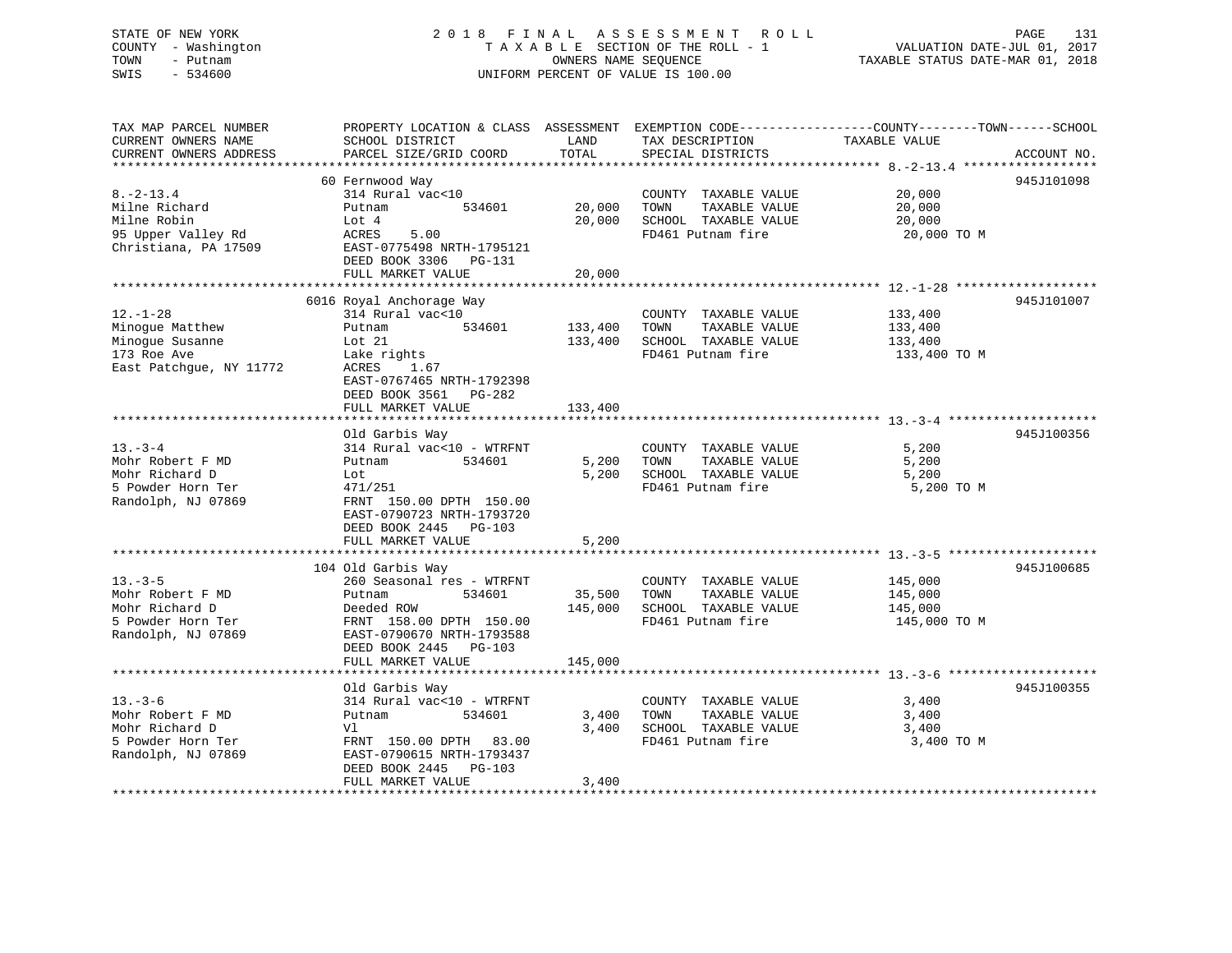### STATE OF NEW YORK 2 0 1 8 F I N A L A S S E S S M E N T R O L L PAGE 131 COUNTY - Washington T A X A B L E SECTION OF THE ROLL - 1 VALUATION DATE-JUL 01, 2017 TOWN - Putnam OWNERS NAME SEQUENCE TAXABLE STATUS DATE-MAR 01, 2018 SWIS - 534600 UNIFORM PERCENT OF VALUE IS 100.00

TAX MAP PARCEL NUMBER PROPERTY LOCATION & CLASS ASSESSMENT EXEMPTION CODE------------------COUNTY--------TOWN------SCHOOL

CURRENT OWNERS NAME SCHOOL DISTRICT LAND TAX DESCRIPTION TAXABLE VALUECURRENT OWNERS ADDRESS PARCEL SIZE/GRID COORD TOTAL SPECIAL DISTRICTS ACCOUNT NO. \*\*\*\*\*\*\*\*\*\*\*\*\*\*\*\*\*\*\*\*\*\*\*\*\*\*\*\*\*\*\*\*\*\*\*\*\*\*\*\*\*\*\*\*\*\*\*\*\*\*\*\*\*\*\*\*\*\*\*\*\*\*\*\*\*\*\*\*\*\*\*\*\*\*\*\*\*\*\*\*\*\*\*\*\*\*\*\*\*\*\*\*\*\*\*\*\*\*\*\*\*\*\* 8.-2-13.4 \*\*\*\*\*\*\*\*\*\*\*\*\*\*\*\*\*\* 60 Fernwood Way 945J101098 8.-2-13.4 314 Rural vac<10 COUNTY TAXABLE VALUE 20,000 Milne Richard Putnam 534601 20,000 TOWN TAXABLE VALUE 20,000 Milne Robin Lot 4 20,000 SCHOOL TAXABLE VALUE 20,000 95 Upper Valley Rd ACRES 5.00 FD461 Putnam fire 20,000 TO M Christiana, PA 17509 EAST-0775498 NRTH-1795121 DEED BOOK 3306 PG-131 FULL MARKET VALUE 20,000 \*\*\*\*\*\*\*\*\*\*\*\*\*\*\*\*\*\*\*\*\*\*\*\*\*\*\*\*\*\*\*\*\*\*\*\*\*\*\*\*\*\*\*\*\*\*\*\*\*\*\*\*\*\*\*\*\*\*\*\*\*\*\*\*\*\*\*\*\*\*\*\*\*\*\*\*\*\*\*\*\*\*\*\*\*\*\*\*\*\*\*\*\*\*\*\*\*\*\*\*\*\*\* 12.-1-28 \*\*\*\*\*\*\*\*\*\*\*\*\*\*\*\*\*\*\* 6016 Royal Anchorage Way 945J101007 12.-1-28 314 Rural vac<10 COUNTY TAXABLE VALUE 133,400 Minogue Matthew Putnam 534601 133,400 TOWN TAXABLE VALUE 133,400 Minogue Susanne Lot 21 133,400 SCHOOL TAXABLE VALUE 133,400 173 Roe Ave Lake rights FD461 Putnam fire 133,400 TO M East Patchque, NY 11772 ACRES 1.67 EAST-0767465 NRTH-1792398 DEED BOOK 3561 PG-282FULL MARKET VALUE 133,400 \*\*\*\*\*\*\*\*\*\*\*\*\*\*\*\*\*\*\*\*\*\*\*\*\*\*\*\*\*\*\*\*\*\*\*\*\*\*\*\*\*\*\*\*\*\*\*\*\*\*\*\*\*\*\*\*\*\*\*\*\*\*\*\*\*\*\*\*\*\*\*\*\*\*\*\*\*\*\*\*\*\*\*\*\*\*\*\*\*\*\*\*\*\*\*\*\*\*\*\*\*\*\* 13.-3-4 \*\*\*\*\*\*\*\*\*\*\*\*\*\*\*\*\*\*\*\* Old Garbis Way 945J100356 13.-3-4 314 Rural vac<10 - WTRFNT COUNTY TAXABLE VALUE 5,200 Mohr Robert F MD **Putnam** 534601 5,200 TOWN TAXABLE VALUE 5,200 Mohr Richard D Lot 5,200 SCHOOL TAXABLE VALUE 5,200 5 Powder Horn Ter 471/251 FD461 Putnam fire 5,200 TO M Randolph, NJ 07869 FRNT 150.00 DPTH 150.00 EAST-0790723 NRTH-1793720 DEED BOOK 2445 PG-103FULL MARKET VALUE 5,200 \*\*\*\*\*\*\*\*\*\*\*\*\*\*\*\*\*\*\*\*\*\*\*\*\*\*\*\*\*\*\*\*\*\*\*\*\*\*\*\*\*\*\*\*\*\*\*\*\*\*\*\*\*\*\*\*\*\*\*\*\*\*\*\*\*\*\*\*\*\*\*\*\*\*\*\*\*\*\*\*\*\*\*\*\*\*\*\*\*\*\*\*\*\*\*\*\*\*\*\*\*\*\* 13.-3-5 \*\*\*\*\*\*\*\*\*\*\*\*\*\*\*\*\*\*\*\* 104 Old Garbis Way 945J100685 13.-3-5 260 Seasonal res - WTRFNT COUNTY TAXABLE VALUE 145,000 Mohr Robert F MD Putnam 534601 35,500 TOWN TAXABLE VALUE 145,000 Mohr Richard D Deeded ROW 145,000 SCHOOL TAXABLE VALUE 145,000 5 Powder Horn Ter FRNT 158.00 DPTH 150.00 FD461 Putnam fire 145,000 TO M Randolph, NJ 07869 EAST-0790670 NRTH-1793588 DEED BOOK 2445 PG-103 FULL MARKET VALUE 145,000 \*\*\*\*\*\*\*\*\*\*\*\*\*\*\*\*\*\*\*\*\*\*\*\*\*\*\*\*\*\*\*\*\*\*\*\*\*\*\*\*\*\*\*\*\*\*\*\*\*\*\*\*\*\*\*\*\*\*\*\*\*\*\*\*\*\*\*\*\*\*\*\*\*\*\*\*\*\*\*\*\*\*\*\*\*\*\*\*\*\*\*\*\*\*\*\*\*\*\*\*\*\*\* 13.-3-6 \*\*\*\*\*\*\*\*\*\*\*\*\*\*\*\*\*\*\*\* Old Garbis Way 945J100355 13.-3-6 314 Rural vac<10 - WTRFNT COUNTY TAXABLE VALUE 3,400 Mohr Robert F MD **Putnam 1999 121 Marshall** 1999 121 Marshall 1999 13,400 TOWN TAXABLE VALUE 3,400 Mohr Richard D Vl 3,400 SCHOOL TAXABLE VALUE 3,400 5 Powder Horn Ter 63.00 FRNT 150.00 DPTH 83.00 FD461 Putnam fire 3,400 TO M Randolph, NJ 07869 EAST-0790615 NRTH-1793437 DEED BOOK 2445 PG-103FULL MARKET VALUE 3,400 \*\*\*\*\*\*\*\*\*\*\*\*\*\*\*\*\*\*\*\*\*\*\*\*\*\*\*\*\*\*\*\*\*\*\*\*\*\*\*\*\*\*\*\*\*\*\*\*\*\*\*\*\*\*\*\*\*\*\*\*\*\*\*\*\*\*\*\*\*\*\*\*\*\*\*\*\*\*\*\*\*\*\*\*\*\*\*\*\*\*\*\*\*\*\*\*\*\*\*\*\*\*\*\*\*\*\*\*\*\*\*\*\*\*\*\*\*\*\*\*\*\*\*\*\*\*\*\*\*\*\*\*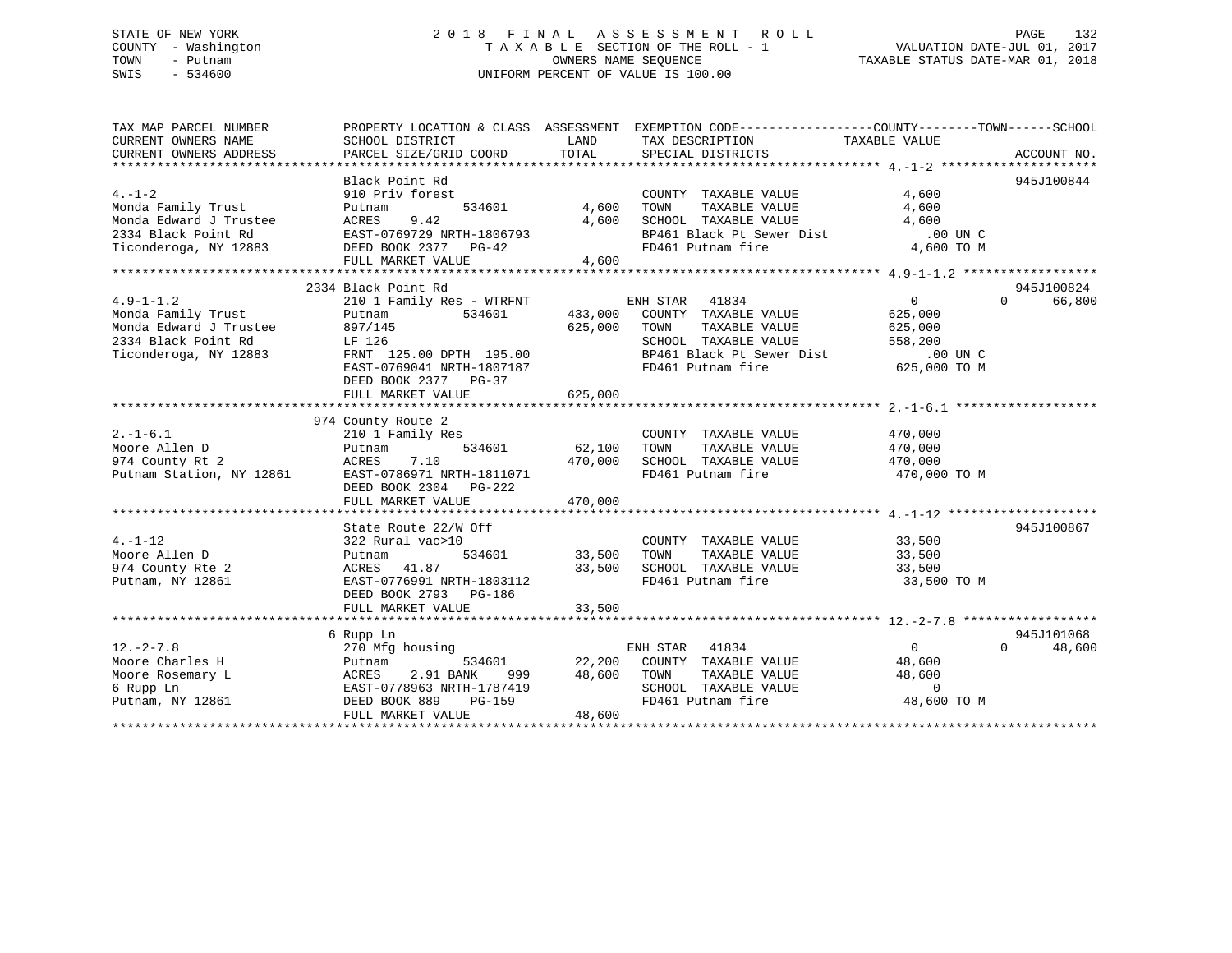### STATE OF NEW YORK 2 0 1 8 F I N A L A S S E S S M E N T R O L L PAGE 132 COUNTY - Washington T A X A B L E SECTION OF THE ROLL - 1 VALUATION DATE-JUL 01, 2017 TOWN - Putnam **CONNERS NAME SEQUENCE** TAXABLE STATUS DATE-MAR 01, 2018 SWIS - 534600 UNIFORM PERCENT OF VALUE IS 100.00

| TAX MAP PARCEL NUMBER                                                                                                                                                                                 |                           |                   | PROPERTY LOCATION & CLASS ASSESSMENT EXEMPTION CODE---------------COUNTY-------TOWN-----SCHOOL              |                |                                 |
|-------------------------------------------------------------------------------------------------------------------------------------------------------------------------------------------------------|---------------------------|-------------------|-------------------------------------------------------------------------------------------------------------|----------------|---------------------------------|
| CURRENT OWNERS NAME                                                                                                                                                                                   | SCHOOL DISTRICT           | LAND              | TAX DESCRIPTION                                                                                             | TAXABLE VALUE  |                                 |
| CURRENT OWNERS ADDRESS                                                                                                                                                                                |                           |                   |                                                                                                             |                |                                 |
|                                                                                                                                                                                                       | Black Point Rd            |                   |                                                                                                             |                |                                 |
| $4. - 1 - 2$                                                                                                                                                                                          | 910 Priv forest           |                   | COUNTY TAXABLE VALUE 4,600                                                                                  |                | 945J100844                      |
|                                                                                                                                                                                                       |                           | 534601 4,600 TOWN | TAXABLE VALUE                                                                                               | 4,600          |                                 |
| And Family Trust<br>Monda Edward J Trustee (1991)<br>Monda Edward J Trustee (1992)<br>2334 Black Point Rd (1997)<br>EXET-0769729 NRTH-1806793<br>Ticonderoga, NY 12883 (1998)<br>DEED BOOK 2377 PG-42 |                           |                   |                                                                                                             |                |                                 |
|                                                                                                                                                                                                       |                           |                   | $4,600$ SCHOOL TAXABLE VALUE $4,600$<br>BP461 Black Pt Sewer Dist 00 UN C<br>FD461 Putnam fire $4,600$ TO M |                |                                 |
|                                                                                                                                                                                                       |                           |                   |                                                                                                             |                |                                 |
|                                                                                                                                                                                                       |                           |                   |                                                                                                             |                |                                 |
|                                                                                                                                                                                                       | FULL MARKET VALUE 4,600   |                   |                                                                                                             |                |                                 |
|                                                                                                                                                                                                       |                           |                   |                                                                                                             |                |                                 |
|                                                                                                                                                                                                       | 2334 Black Point Rd       |                   |                                                                                                             |                | 945J100824                      |
|                                                                                                                                                                                                       |                           |                   |                                                                                                             | $\overline{0}$ | $\Omega$<br>66,800              |
|                                                                                                                                                                                                       |                           |                   |                                                                                                             | 625,000        |                                 |
| Monda Edward J Trustee 897/145                                                                                                                                                                        |                           | 625,000 TOWN      | TAXABLE VALUE 625,000                                                                                       |                |                                 |
|                                                                                                                                                                                                       |                           |                   |                                                                                                             |                |                                 |
|                                                                                                                                                                                                       |                           |                   |                                                                                                             |                |                                 |
|                                                                                                                                                                                                       |                           |                   | EAST-0769041 NRTH-1807187 <b>ED461</b> Putnam fire 625,000 TO M                                             |                |                                 |
|                                                                                                                                                                                                       | DEED BOOK 2377 PG-37      |                   |                                                                                                             |                |                                 |
|                                                                                                                                                                                                       | FULL MARKET VALUE         | 625,000           |                                                                                                             |                |                                 |
|                                                                                                                                                                                                       |                           |                   |                                                                                                             |                |                                 |
|                                                                                                                                                                                                       | 974 County Route 2        |                   |                                                                                                             |                |                                 |
| $2. - 1 - 6.1$                                                                                                                                                                                        | 210 1 Family Res          |                   | COUNTY TAXABLE VALUE 470,000                                                                                |                |                                 |
|                                                                                                                                                                                                       | Putnam                    |                   |                                                                                                             |                |                                 |
| Moore Allen D<br>974 County Rt 2                                                                                                                                                                      |                           |                   | 534601 62,100 TOWN TAXABLE VALUE 470,000<br>470,000 SCHOOL TAXABLE VALUE 470,000                            |                |                                 |
|                                                                                                                                                                                                       |                           |                   | FD461 Putnam fire 470,000 TO M                                                                              |                |                                 |
|                                                                                                                                                                                                       | DEED BOOK 2304 PG-222     |                   |                                                                                                             |                |                                 |
|                                                                                                                                                                                                       | FULL MARKET VALUE 470,000 |                   |                                                                                                             |                |                                 |
|                                                                                                                                                                                                       |                           |                   |                                                                                                             |                |                                 |
|                                                                                                                                                                                                       | State Route 22/W Off      |                   |                                                                                                             |                | 945J100867                      |
| $4. - 1 - 12$                                                                                                                                                                                         | 322 Rural vac>10          |                   | COUNTY TAXABLE VALUE 33,500                                                                                 |                |                                 |
| Moore Allen D                                                                                                                                                                                         | Putnam                    |                   | TAXABLE VALUE 33,500                                                                                        |                |                                 |
| 974 County Rte 2                                                                                                                                                                                      | ACRES 41.87               |                   |                                                                                                             | 33,500         |                                 |
| Putnam, NY 12861                                                                                                                                                                                      | EAST-0776991 NRTH-1803112 |                   | 33,500 SCHOOL TAXABLE VALUE<br>FD461 Putnam fire                                                            | 33,500 TO M    |                                 |
|                                                                                                                                                                                                       | DEED BOOK 2793 PG-186     |                   |                                                                                                             |                |                                 |
|                                                                                                                                                                                                       | FULL MARKET VALUE         | 33,500            |                                                                                                             |                |                                 |
|                                                                                                                                                                                                       |                           |                   |                                                                                                             |                |                                 |
|                                                                                                                                                                                                       | 6 Rupp Ln                 |                   |                                                                                                             |                | 945J101068                      |
| $12. - 2 - 7.8$                                                                                                                                                                                       | 270 Mfg housing           |                   | ENH STAR 41834                                                                                              | $\overline{0}$ | 48,600<br>$\Omega$ and $\Omega$ |
| Moore Charles H                                                                                                                                                                                       | Putnam                    |                   | 534601 22,200 COUNTY TAXABLE VALUE 48,600                                                                   |                |                                 |
|                                                                                                                                                                                                       |                           |                   |                                                                                                             |                |                                 |
|                                                                                                                                                                                                       |                           |                   |                                                                                                             |                |                                 |
|                                                                                                                                                                                                       |                           |                   |                                                                                                             |                |                                 |
|                                                                                                                                                                                                       | FULL MARKET VALUE         | 48,600            |                                                                                                             |                |                                 |
|                                                                                                                                                                                                       |                           |                   |                                                                                                             |                |                                 |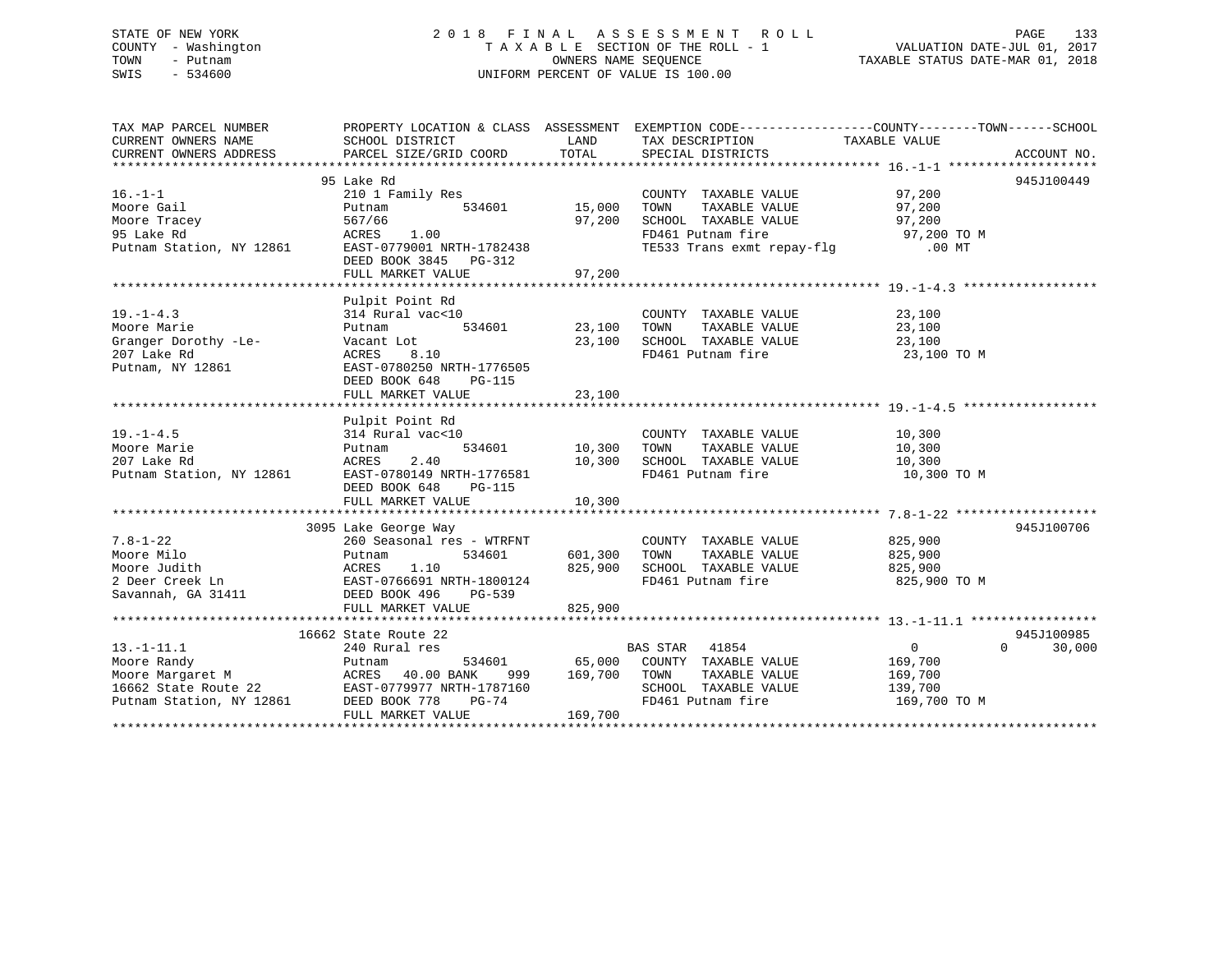### STATE OF NEW YORK 2 0 1 8 F I N A L A S S E S S M E N T R O L L PAGE 133 COUNTY - Washington T A X A B L E SECTION OF THE ROLL - 1 VALUATION DATE-JUL 01, 2017 TOWN - Putnam OWNERS NAME SEQUENCE TAXABLE STATUS DATE-MAR 01, 2018 SWIS - 534600 UNIFORM PERCENT OF VALUE IS 100.00

| TAX MAP PARCEL NUMBER                                                                                                                                                                                                                      | PROPERTY LOCATION & CLASS ASSESSMENT EXEMPTION CODE---------------COUNTY-------TOWN-----SCHOOL |         |                                                                    |                |                    |
|--------------------------------------------------------------------------------------------------------------------------------------------------------------------------------------------------------------------------------------------|------------------------------------------------------------------------------------------------|---------|--------------------------------------------------------------------|----------------|--------------------|
| CURRENT OWNERS NAME SCHOOL DISTRICT                                                                                                                                                                                                        |                                                                                                |         | LAND TAX DESCRIPTION TAXABLE VALUE                                 |                |                    |
| CURRENT OWNERS ADDRESS                                                                                                                                                                                                                     |                                                                                                |         |                                                                    |                |                    |
|                                                                                                                                                                                                                                            |                                                                                                |         |                                                                    |                |                    |
|                                                                                                                                                                                                                                            | 95 Lake Rd                                                                                     |         |                                                                    |                | 945J100449         |
| $16. - 1 - 1$                                                                                                                                                                                                                              | amily Res<br>534601 15,000<br>210 1 Family Res                                                 |         | COUNTY TAXABLE VALUE 97,200<br>TOWN TAXABLE VALUE 97,200           |                |                    |
|                                                                                                                                                                                                                                            |                                                                                                |         | TAXABLE VALUE                                                      | 97,200         |                    |
|                                                                                                                                                                                                                                            |                                                                                                |         | SCHOOL TAXABLE VALUE 97,200                                        |                |                    |
|                                                                                                                                                                                                                                            |                                                                                                |         | FD461 Putnam fire 97,200 TO M<br>TE533 Trans exmt repay-flg .00 MT |                |                    |
| 16.-1-1 210 1 Family Res<br>Moore Gail Putnam 534601 15,000<br>Moore Tracey 567/66 97,200<br>97,200<br>Putnam Station, NY 12861 EAST-0779001 NRTH-1782438                                                                                  |                                                                                                |         |                                                                    |                |                    |
|                                                                                                                                                                                                                                            | DEED BOOK 3845 PG-312                                                                          |         |                                                                    |                |                    |
|                                                                                                                                                                                                                                            |                                                                                                |         |                                                                    |                |                    |
|                                                                                                                                                                                                                                            |                                                                                                |         |                                                                    |                |                    |
|                                                                                                                                                                                                                                            | Pulpit Point Rd                                                                                |         |                                                                    |                |                    |
| $19. - 1 - 4.3$                                                                                                                                                                                                                            | al vac<10 count<br>534601 23,100 TOWN<br>314 Rural vac<10                                      |         | COUNTY TAXABLE VALUE                                               | 23,100         |                    |
| Moore Marie                                                                                                                                                                                                                                | Putnam                                                                                         |         | TAXABLE VALUE 23,100                                               |                |                    |
| Granger Dorothy -Le-<br>207 Lake Rd                                                                                                                                                                                                        | Vacant Lot $23,100$ SCHOOL TAXABLE VALUE $23,100$<br>ACRES $8.10$ RD461 Putnam fire $23,100$   |         |                                                                    |                |                    |
|                                                                                                                                                                                                                                            |                                                                                                |         | FD461 Putnam fire                                                  | 23,100 TO M    |                    |
| Putnam, NY 12861 EAST-0780250 NRTH-1776505                                                                                                                                                                                                 |                                                                                                |         |                                                                    |                |                    |
|                                                                                                                                                                                                                                            | DEED BOOK 648<br>PG-115                                                                        |         |                                                                    |                |                    |
|                                                                                                                                                                                                                                            | FULL MARKET VALUE                                                                              | 23,100  |                                                                    |                |                    |
|                                                                                                                                                                                                                                            |                                                                                                |         |                                                                    |                |                    |
|                                                                                                                                                                                                                                            | Pulpit Point Rd<br>314 Rural vac<10                                                            |         |                                                                    |                |                    |
| $19. - 1 - 4.5$                                                                                                                                                                                                                            |                                                                                                |         | COUNTY TAXABLE VALUE 10,300                                        |                |                    |
| Moore Marie                                                                                                                                                                                                                                | Putnam                                                                                         |         | 534601 10,300 TOWN TAXABLE VALUE 10,300                            |                |                    |
| 207 Lake Rd                                 ACRES     2.40                     10,300   SCHOOL TAXABLE VALUE<br>Putnam Station, NY 12861           EAST-0780149 NRTH-1776581                   FD461 Putnam fire                           |                                                                                                |         |                                                                    | 10,300         |                    |
|                                                                                                                                                                                                                                            |                                                                                                |         |                                                                    | 10,300 TO M    |                    |
|                                                                                                                                                                                                                                            | DEED BOOK 648<br>PG-115                                                                        |         |                                                                    |                |                    |
|                                                                                                                                                                                                                                            |                                                                                                |         |                                                                    |                |                    |
|                                                                                                                                                                                                                                            |                                                                                                |         |                                                                    |                |                    |
|                                                                                                                                                                                                                                            | 3095 Lake George Way                                                                           |         |                                                                    |                | 945J100706         |
| $7.8 - 1 - 22$                                                                                                                                                                                                                             |                                                                                                |         | COUNTY TAXABLE VALUE 825,900                                       |                |                    |
|                                                                                                                                                                                                                                            | 260 Seasonal res - WTRFNT<br>Putnam 534601 601,300                                             |         | TAXABLE VALUE 825,900<br>TOWN                                      |                |                    |
|                                                                                                                                                                                                                                            |                                                                                                | 825,900 | SCHOOL TAXABLE VALUE<br>FD461 Putnam fire                          | 825,900        |                    |
| Moore Milo<br>Moore Judith<br>2 Deer Creek Ln<br>2 Deer Creek Ln<br>534601<br>2 Deer Creek Ln<br>534601<br>2 Deer Creek Ln<br>EAST-0766691 NRTH-1800124<br>DEED BOOK 496<br>PG-539                                                         |                                                                                                |         |                                                                    | 825,900 TO M   |                    |
|                                                                                                                                                                                                                                            |                                                                                                |         |                                                                    |                |                    |
|                                                                                                                                                                                                                                            | FULL MARKET VALUE                                                                              | 825,900 |                                                                    |                |                    |
|                                                                                                                                                                                                                                            |                                                                                                |         |                                                                    |                |                    |
|                                                                                                                                                                                                                                            |                                                                                                |         |                                                                    |                | 945J100985         |
| $13.-1-11.1$                                                                                                                                                                                                                               |                                                                                                |         |                                                                    | $\overline{0}$ | $\Omega$<br>30,000 |
| Moore Randy<br>Moore Nargaret M<br>Moore Margaret M<br>Moore Margaret M<br>210 ACRES 40.00 BANK 999 169,700 TOWN TAXABLE VALUE 169,700<br>16662 State Route 22 EAST-0779977 NRTH-1787160 SCHOOL TAXABLE VALUE 139,700<br>Putnam Station, N |                                                                                                |         |                                                                    |                |                    |
|                                                                                                                                                                                                                                            |                                                                                                |         |                                                                    |                |                    |
|                                                                                                                                                                                                                                            |                                                                                                |         |                                                                    |                |                    |
|                                                                                                                                                                                                                                            |                                                                                                |         | FD461 Putnam fire 169,700 TO M                                     |                |                    |
|                                                                                                                                                                                                                                            | FULL MARKET VALUE                                                                              | 169,700 |                                                                    |                |                    |
|                                                                                                                                                                                                                                            |                                                                                                |         |                                                                    |                |                    |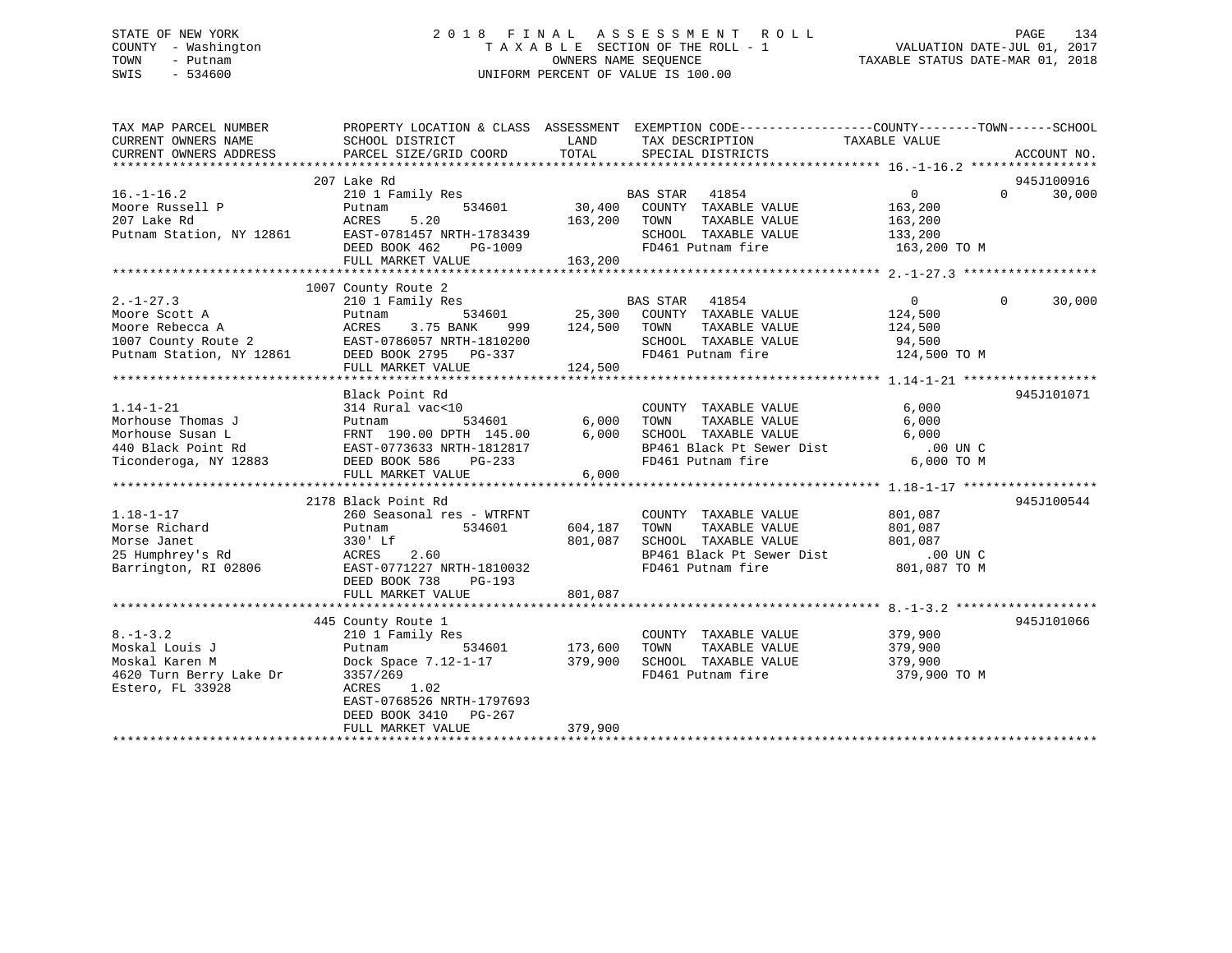### STATE OF NEW YORK 2 0 1 8 F I N A L A S S E S S M E N T R O L L PAGE 134 COUNTY - Washington T A X A B L E SECTION OF THE ROLL - 1 VALUATION DATE-JUL 01, 2017 TOWN - Putnam OWNERS NAME SEQUENCE TAXABLE STATUS DATE-MAR 01, 2018 SWIS - 534600 UNIFORM PERCENT OF VALUE IS 100.00

| TAX MAP PARCEL NUMBER<br>CURRENT OWNERS NAME<br>CURRENT OWNERS ADDRESS                 | PROPERTY LOCATION & CLASS ASSESSMENT EXEMPTION CODE---------------COUNTY-------TOWN-----SCHOOL<br>SCHOOL DISTRICT<br>PARCEL SIZE/GRID COORD | LAND<br>TOTAL             | TAX DESCRIPTION<br>SPECIAL DISTRICTS                                  | TAXABLE VALUE           | ACCOUNT NO.        |
|----------------------------------------------------------------------------------------|---------------------------------------------------------------------------------------------------------------------------------------------|---------------------------|-----------------------------------------------------------------------|-------------------------|--------------------|
|                                                                                        |                                                                                                                                             |                           |                                                                       |                         |                    |
|                                                                                        | 207 Lake Rd                                                                                                                                 |                           |                                                                       |                         | 945J100916         |
| $16. - 1 - 16.2$                                                                       | 210 1 Family Res                                                                                                                            |                           |                                                                       | $0 \qquad \qquad$       | $\Omega$<br>30,000 |
| Moore Russell P                                                                        | 534601<br>Putnam                                                                                                                            |                           | BAS STAR 41854<br>30,400 COUNTY TAXABLE VALUE                         | 163,200                 |                    |
| 207 Lake Rd                                                                            | ACRES<br>5.20                                                                                                                               | 163,200                   | TOWN<br>TAXABLE VALUE                                                 | 163,200                 |                    |
| Putnam Station, NY 12861                                                               | EAST-0781457 NRTH-1783439                                                                                                                   |                           | SCHOOL TAXABLE VALUE                                                  | 133,200                 |                    |
|                                                                                        | DEED BOOK 462                                                                                                                               | 1-1/83439<br>PG-1009      | FD461 Putnam fire                                                     | 163,200 TO M            |                    |
|                                                                                        | FULL MARKET VALUE                                                                                                                           | 163,200                   |                                                                       |                         |                    |
|                                                                                        |                                                                                                                                             |                           |                                                                       |                         |                    |
|                                                                                        | 1007 County Route 2                                                                                                                         |                           |                                                                       |                         |                    |
| $2. -1 - 27.3$                                                                         | 210 1 Family Res                                                                                                                            |                           | BAS STAR 41854                                                        | $\overline{0}$          | $\Omega$<br>30,000 |
| Moore Scott A                                                                          | 534601<br>Putnam                                                                                                                            | 25,300                    | COUNTY TAXABLE VALUE 124,500                                          |                         |                    |
| Moore Rebecca A                                                                        | ACRES<br>3.75 BANK<br>999                                                                                                                   | 124,500                   | TOWN<br>TAXABLE VALUE                                                 | 124,500                 |                    |
| PRODUCT NEDECCA A ACRES 3.75 BANK 999<br>1007 County Route 2 EAST-0786057 NRTH-1810200 |                                                                                                                                             |                           | SCHOOL TAXABLE VALUE                                                  | 94,500                  |                    |
| Putnam Station, NY 12861 DEED BOOK 2795 PG-337                                         |                                                                                                                                             |                           | FD461 Putnam fire                                                     | 124,500 TO M            |                    |
|                                                                                        | FULL MARKET VALUE                                                                                                                           | 124,500                   |                                                                       |                         |                    |
|                                                                                        |                                                                                                                                             |                           |                                                                       |                         |                    |
|                                                                                        | Black Point Rd                                                                                                                              |                           |                                                                       |                         | 945J101071         |
| $1.14 - 1 - 21$                                                                        | 314 Rural vac<10                                                                                                                            |                           | COUNTY TAXABLE VALUE                                                  | 6,000                   |                    |
| Morhouse Thomas J                                                                      |                                                                                                                                             | 6,000                     | TAXABLE VALUE<br>TOWN                                                 | 6,000                   |                    |
| Morhouse Susan L                                                                       | Putnam 534601 6,000<br>FRNT 190.00 DPTH 145.00 6,000<br>EAST-0773633 NRTH-1812817                                                           | 6,000                     | SCHOOL TAXABLE VALUE                                                  | 6,000                   |                    |
| 440 Black Point Rd                                                                     |                                                                                                                                             |                           |                                                                       |                         |                    |
| Ticonderoga, NY 12883                                                                  | DEED BOOK 586<br>PG-233                                                                                                                     |                           | FD461 Putnam fire                                                     | 6,000 TO M              |                    |
|                                                                                        | FULL MARKET VALUE                                                                                                                           | 6,000                     |                                                                       |                         |                    |
|                                                                                        |                                                                                                                                             |                           |                                                                       |                         |                    |
|                                                                                        | 2178 Black Point Rd                                                                                                                         |                           |                                                                       |                         | 945J100544         |
| $1.18 - 1 - 17$                                                                        | 260 Seasonal res - WTRFNT                                                                                                                   |                           | COUNTY TAXABLE VALUE                                                  | 801,087                 |                    |
| Morse Richard                                                                          | Putnam<br>534601                                                                                                                            | 604,187                   | TAXABLE VALUE<br>TOWN                                                 | 801,087                 |                    |
| Morse Janet                                                                            | 330' Lf                                                                                                                                     | 801,087                   | SCHOOL TAXABLE VALUE                                                  | 801,087                 |                    |
| 25 Humphrey's Rd                                                                       | ACRES 2.60                                                                                                                                  |                           | BP461 Black Pt Sewer Dist .00 UN C<br>FD461 Putnam fire  801,087 TO M |                         |                    |
| Barrington, RI 02806                                                                   | EAST-0771227 NRTH-1810032                                                                                                                   |                           |                                                                       |                         |                    |
|                                                                                        | DEED BOOK 738<br>PG-193                                                                                                                     |                           |                                                                       |                         |                    |
|                                                                                        | FULL MARKET VALUE                                                                                                                           | 801,087                   |                                                                       |                         |                    |
|                                                                                        |                                                                                                                                             |                           |                                                                       |                         |                    |
| $8. - 1 - 3.2$                                                                         | 445 County Route 1                                                                                                                          |                           |                                                                       |                         | 945J101066         |
|                                                                                        | 210 1 Family Res                                                                                                                            |                           | COUNTY TAXABLE VALUE                                                  | 379,900                 |                    |
| Moskal Louis J                                                                         | Putnam                                                                                                                                      | 534601 173,600<br>379,900 | TOWN<br>TAXABLE VALUE<br>SCHOOL TAXABLE VALUE                         | 379,900                 |                    |
| Moskal Karen M<br>4620 Turn Berry Lake Dr                                              | Dock Space 7.12-1-17                                                                                                                        |                           |                                                                       | 379,900<br>379,900 TO M |                    |
|                                                                                        | 3357/269                                                                                                                                    |                           | FD461 Putnam fire                                                     |                         |                    |
| Estero, FL 33928                                                                       | 1.02<br>ACRES<br>EAST-0768526 NRTH-1797693                                                                                                  |                           |                                                                       |                         |                    |
|                                                                                        | DEED BOOK 3410 PG-267                                                                                                                       |                           |                                                                       |                         |                    |
|                                                                                        | FULL MARKET VALUE                                                                                                                           | 379,900                   |                                                                       |                         |                    |
|                                                                                        |                                                                                                                                             |                           |                                                                       |                         |                    |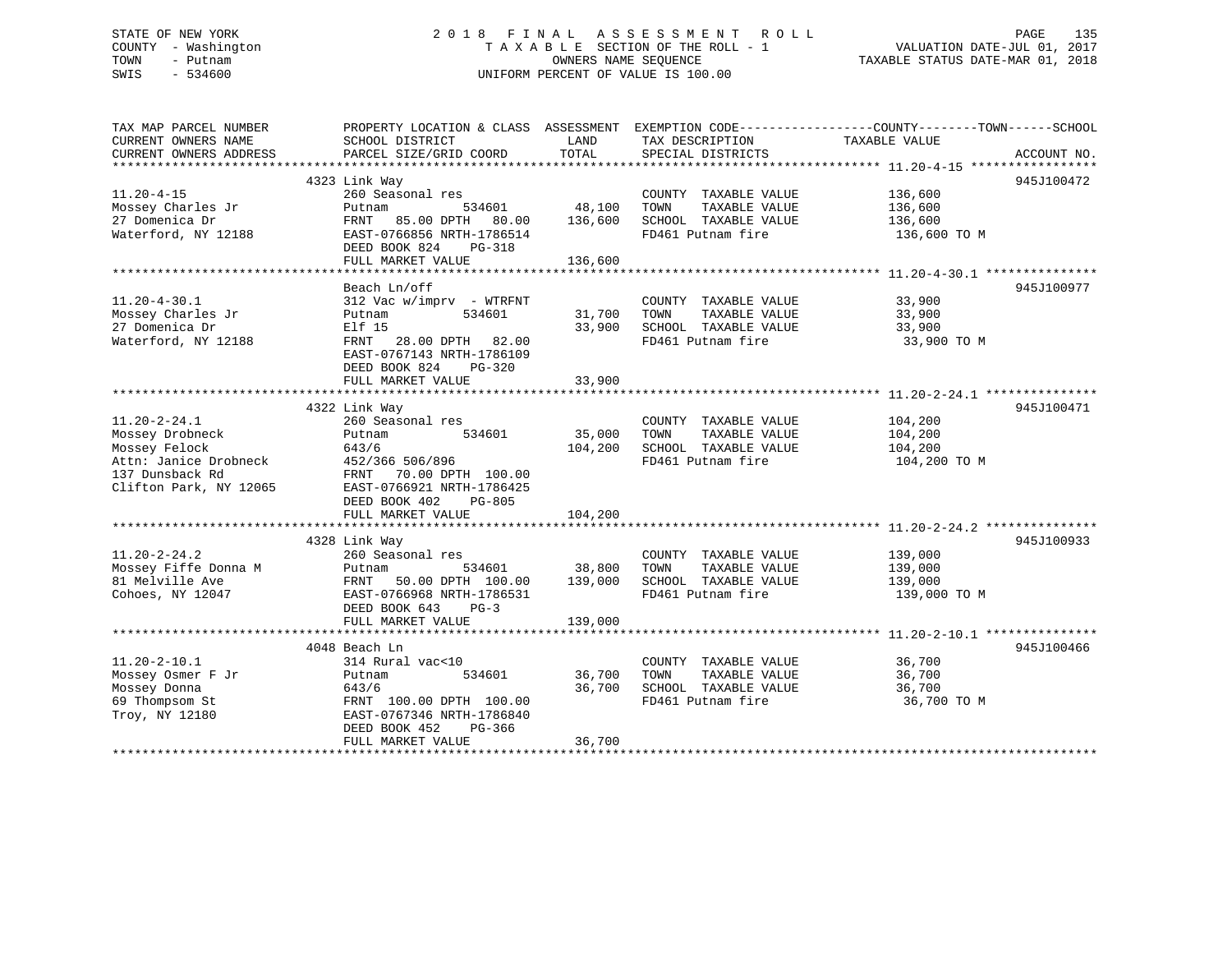# STATE OF NEW YORK 2018 FINAL ASSESSMENT ROLL PAGE 135 COUNTY - Washington  $T A X A B L E$  SECTION OF THE ROLL - 1<br>TOWN - Putnam data of the counters NAME SEQUENCE SWIS - 534600 UNIFORM PERCENT OF VALUE IS 100.00

VALUATION DATE-JUL 01, 2017

TAXABLE STATUS DATE-MAR 01, 2018

| TAX MAP PARCEL NUMBER<br>CURRENT OWNERS NAME<br>CURRENT OWNERS ADDRESS                                                       | PROPERTY LOCATION & CLASS ASSESSMENT<br>SCHOOL DISTRICT<br>PARCEL SIZE/GRID COORD                                                                                                 | LAND<br>TOTAL                | TAX DESCRIPTION<br>SPECIAL DISTRICTS                                                       | EXEMPTION CODE-----------------COUNTY-------TOWN------SCHOOL<br>TAXABLE VALUE<br>ACCOUNT NO. |
|------------------------------------------------------------------------------------------------------------------------------|-----------------------------------------------------------------------------------------------------------------------------------------------------------------------------------|------------------------------|--------------------------------------------------------------------------------------------|----------------------------------------------------------------------------------------------|
| $11.20 - 4 - 15$                                                                                                             | 4323 Link Way<br>260 Seasonal res                                                                                                                                                 |                              | COUNTY TAXABLE VALUE                                                                       | 945J100472<br>136,600                                                                        |
| Mossey Charles Jr<br>27 Domenica Dr<br>Waterford, NY 12188                                                                   | Putnam<br>534601<br>FRNT<br>85.00 DPTH 80.00<br>EAST-0766856 NRTH-1786514<br>DEED BOOK 824<br>PG-318<br>FULL MARKET VALUE                                                         | 48,100<br>136,600<br>136,600 | TAXABLE VALUE<br>TOWN<br>SCHOOL TAXABLE VALUE<br>FD461 Putnam fire                         | 136,600<br>136,600<br>136,600 TO M                                                           |
|                                                                                                                              |                                                                                                                                                                                   |                              |                                                                                            |                                                                                              |
| $11.20 - 4 - 30.1$<br>Mossey Charles Jr<br>27 Domenica Dr<br>Waterford, NY 12188                                             | Beach Ln/off<br>$312$ Vac w/imprv - WTRFNT<br>534601<br>Putnam<br>Elf 15<br>FRNT 28.00 DPTH 82.00<br>EAST-0767143 NRTH-1786109<br>DEED BOOK 824<br>$PG-320$<br>FULL MARKET VALUE  | 31,700<br>33,900<br>33,900   | COUNTY TAXABLE VALUE<br>TOWN<br>TAXABLE VALUE<br>SCHOOL TAXABLE VALUE<br>FD461 Putnam fire | 945J100977<br>33,900<br>33,900<br>33,900<br>33,900 TO M                                      |
|                                                                                                                              | 4322 Link Way                                                                                                                                                                     |                              |                                                                                            | 945J100471                                                                                   |
| $11.20 - 2 - 24.1$<br>Mossey Drobneck<br>Mossey Felock<br>Attn: Janice Drobneck<br>137 Dunsback Rd<br>Clifton Park, NY 12065 | 260 Seasonal res<br>Putnam<br>534601<br>643/6<br>452/366 506/896<br>70.00 DPTH 100.00<br>FRNT<br>EAST-0766921 NRTH-1786425<br>DEED BOOK 402<br><b>PG-805</b><br>FULL MARKET VALUE | 35,000<br>104,200<br>104,200 | COUNTY TAXABLE VALUE<br>TAXABLE VALUE<br>TOWN<br>SCHOOL TAXABLE VALUE<br>FD461 Putnam fire | 104,200<br>104,200<br>104,200<br>104,200 TO M                                                |
|                                                                                                                              |                                                                                                                                                                                   |                              |                                                                                            | 945J100933                                                                                   |
| $11.20 - 2 - 24.2$<br>Mossey Fiffe Donna M<br>81 Melville Ave<br>Cohoes, NY 12047                                            | 4328 Link Way<br>260 Seasonal res<br>Putnam<br>534601<br>FRNT 50.00 DPTH 100.00<br>EAST-0766968 NRTH-1786531<br>DEED BOOK 643<br>$PG-3$<br>FULL MARKET VALUE                      | 38,800<br>139,000<br>139,000 | COUNTY TAXABLE VALUE<br>TOWN<br>TAXABLE VALUE<br>SCHOOL TAXABLE VALUE<br>FD461 Putnam fire | 139,000<br>139,000<br>139,000<br>139,000 TO M                                                |
|                                                                                                                              | 4048 Beach Ln                                                                                                                                                                     |                              |                                                                                            | 945J100466                                                                                   |
| $11.20 - 2 - 10.1$<br>Mossey Osmer F Jr<br>Mossey Donna<br>69 Thompsom St<br>Troy, NY 12180                                  | 314 Rural vac<10<br>534601<br>Putnam<br>643/6<br>FRNT 100.00 DPTH 100.00<br>EAST-0767346 NRTH-1786840<br>DEED BOOK 452<br>PG-366<br>FULL MARKET VALUE                             | 36,700<br>36,700<br>36,700   | COUNTY TAXABLE VALUE<br>TAXABLE VALUE<br>TOWN<br>SCHOOL TAXABLE VALUE<br>FD461 Putnam fire | 36,700<br>36,700<br>36,700<br>36,700 TO M                                                    |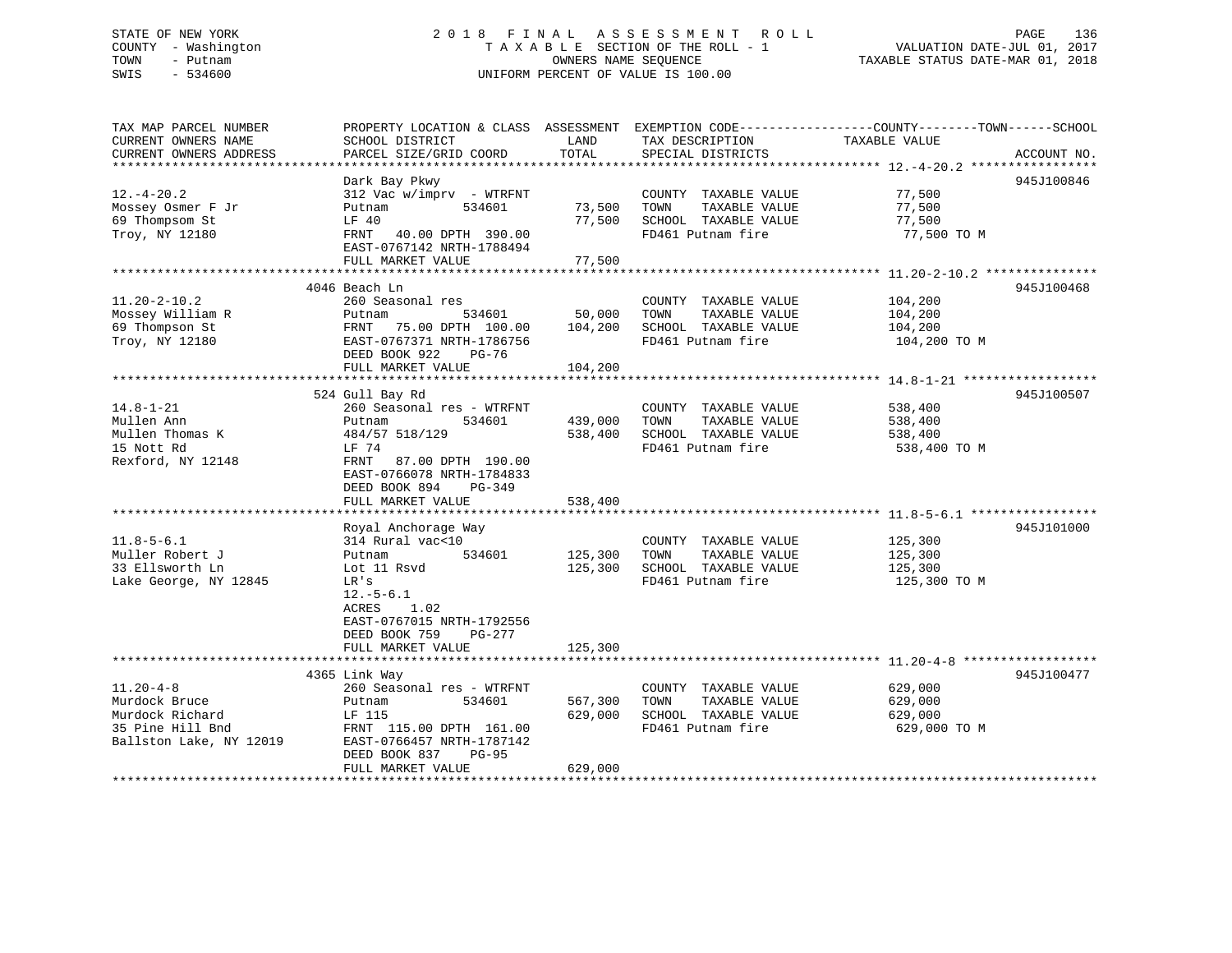# STATE OF NEW YORK 2 0 1 8 F I N A L A S S E S S M E N T R O L L PAGE 136COUNTY - Washington  $T A X A B L E$  SECTION OF THE ROLL - 1<br>TOWN - Putnam data of the COUNTERS NAME SEQUENCE SWIS - 534600 UNIFORM PERCENT OF VALUE IS 100.00

VALUATION DATE-JUL 01, 2017

TAXABLE STATUS DATE-MAR 01, 2018

| TAX MAP PARCEL NUMBER   | PROPERTY LOCATION & CLASS ASSESSMENT EXEMPTION CODE----------------COUNTY-------TOWN------SCHOOL |         |                       |               |             |
|-------------------------|--------------------------------------------------------------------------------------------------|---------|-----------------------|---------------|-------------|
| CURRENT OWNERS NAME     | SCHOOL DISTRICT                                                                                  | LAND    | TAX DESCRIPTION       | TAXABLE VALUE |             |
| CURRENT OWNERS ADDRESS  | PARCEL SIZE/GRID COORD                                                                           | TOTAL   | SPECIAL DISTRICTS     |               | ACCOUNT NO. |
|                         |                                                                                                  |         |                       |               |             |
|                         | Dark Bay Pkwy                                                                                    |         |                       |               | 945J100846  |
| $12. - 4 - 20.2$        | $312$ Vac w/imprv - WTRFNT                                                                       |         | COUNTY TAXABLE VALUE  | 77,500        |             |
|                         |                                                                                                  |         |                       |               |             |
| Mossey Osmer F Jr       | 534601<br>Putnam                                                                                 | 73,500  | TOWN<br>TAXABLE VALUE | 77,500        |             |
| 69 Thompsom St          | LF 40                                                                                            | 77,500  | SCHOOL TAXABLE VALUE  | 77,500        |             |
| Troy, NY 12180          | FRNT 40.00 DPTH 390.00                                                                           |         | FD461 Putnam fire     | 77,500 TO M   |             |
|                         | EAST-0767142 NRTH-1788494                                                                        |         |                       |               |             |
|                         | FULL MARKET VALUE                                                                                | 77,500  |                       |               |             |
|                         |                                                                                                  |         |                       |               |             |
|                         | 4046 Beach Ln                                                                                    |         |                       |               | 945J100468  |
| $11.20 - 2 - 10.2$      | 260 Seasonal res                                                                                 |         | COUNTY TAXABLE VALUE  | 104,200       |             |
| Mossey William R        | 534601<br>Putnam                                                                                 | 50,000  | TOWN<br>TAXABLE VALUE | 104,200       |             |
| 69 Thompson St          | FRNT 75.00 DPTH 100.00                                                                           | 104,200 | SCHOOL TAXABLE VALUE  | 104,200       |             |
| Troy, NY 12180          | EAST-0767371 NRTH-1786756                                                                        |         | FD461 Putnam fire     | 104,200 TO M  |             |
|                         | DEED BOOK 922<br>PG-76                                                                           |         |                       |               |             |
|                         | FULL MARKET VALUE                                                                                | 104,200 |                       |               |             |
|                         |                                                                                                  |         |                       |               |             |
|                         |                                                                                                  |         |                       |               |             |
|                         | 524 Gull Bay Rd                                                                                  |         |                       |               | 945J100507  |
| $14.8 - 1 - 21$         | 260 Seasonal res - WTRFNT                                                                        |         | COUNTY TAXABLE VALUE  | 538,400       |             |
| Mullen Ann              | 534601<br>Putnam                                                                                 | 439,000 | TAXABLE VALUE<br>TOWN | 538,400       |             |
| Mullen Thomas K         | 484/57 518/129                                                                                   | 538,400 | SCHOOL TAXABLE VALUE  | 538,400       |             |
| 15 Nott Rd              | LF 74                                                                                            |         | FD461 Putnam fire     | 538,400 TO M  |             |
| Rexford, NY 12148       | FRNT<br>87.00 DPTH 190.00                                                                        |         |                       |               |             |
|                         | EAST-0766078 NRTH-1784833                                                                        |         |                       |               |             |
|                         | DEED BOOK 894<br>PG-349                                                                          |         |                       |               |             |
|                         | FULL MARKET VALUE                                                                                | 538,400 |                       |               |             |
|                         |                                                                                                  |         |                       |               |             |
|                         | Royal Anchorage Way                                                                              |         |                       |               | 945J101000  |
| $11.8 - 5 - 6.1$        | 314 Rural vac<10                                                                                 |         | COUNTY TAXABLE VALUE  | 125,300       |             |
| Muller Robert J         | 534601<br>Putnam                                                                                 | 125,300 | TAXABLE VALUE<br>TOWN | 125,300       |             |
| 33 Ellsworth Ln         | Lot 11 Rsvd                                                                                      | 125,300 | SCHOOL TAXABLE VALUE  | 125,300       |             |
|                         |                                                                                                  |         | FD461 Putnam fire     |               |             |
| Lake George, NY 12845   | LR's                                                                                             |         |                       | 125,300 TO M  |             |
|                         | $12.-5-6.1$                                                                                      |         |                       |               |             |
|                         | ACRES<br>1.02                                                                                    |         |                       |               |             |
|                         | EAST-0767015 NRTH-1792556                                                                        |         |                       |               |             |
|                         | DEED BOOK 759<br>PG-277                                                                          |         |                       |               |             |
|                         | FULL MARKET VALUE                                                                                | 125,300 |                       |               |             |
|                         |                                                                                                  |         |                       |               |             |
|                         | 4365 Link Way                                                                                    |         |                       |               | 945J100477  |
| $11.20 - 4 - 8$         | 260 Seasonal res - WTRFNT                                                                        |         | COUNTY TAXABLE VALUE  | 629,000       |             |
| Murdock Bruce           | 534601<br>Putnam                                                                                 | 567,300 | TAXABLE VALUE<br>TOWN | 629,000       |             |
| Murdock Richard         | LF 115                                                                                           | 629,000 | SCHOOL TAXABLE VALUE  | 629,000       |             |
| 35 Pine Hill Bnd        | FRNT 115.00 DPTH 161.00                                                                          |         | FD461 Putnam fire     | 629,000 TO M  |             |
| Ballston Lake, NY 12019 | EAST-0766457 NRTH-1787142                                                                        |         |                       |               |             |
|                         | <b>PG-95</b>                                                                                     |         |                       |               |             |
|                         | DEED BOOK 837                                                                                    |         |                       |               |             |
|                         | FULL MARKET VALUE                                                                                | 629,000 |                       |               |             |
|                         |                                                                                                  |         |                       |               |             |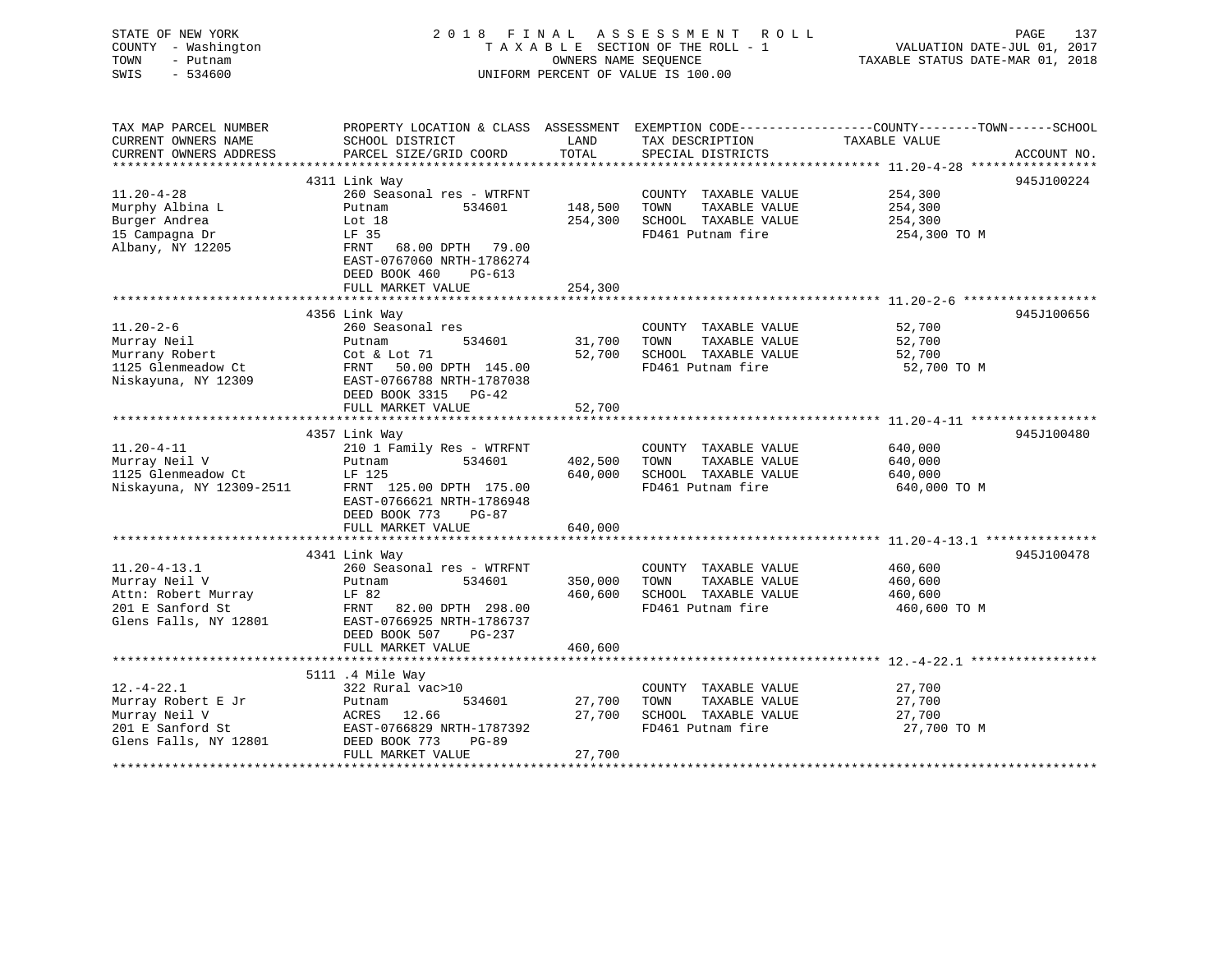| STATE OF NEW YORK<br>COUNTY - Washington<br>TOWN<br>- Putnam<br>SWIS<br>$-534600$ | 2018 FINAL                                            | OWNERS NAME SEOUENCE | A S S E S S M E N T<br>R O L L<br>TAXABLE SECTION OF THE ROLL - 1<br>UNIFORM PERCENT OF VALUE IS 100.00 | PAGE<br>137<br>VALUATION DATE-JUL 01, 2017<br>TAXABLE STATUS DATE-MAR 01, 2018 |
|-----------------------------------------------------------------------------------|-------------------------------------------------------|----------------------|---------------------------------------------------------------------------------------------------------|--------------------------------------------------------------------------------|
| TAX MAP PARCEL NUMBER                                                             | PROPERTY LOCATION & CLASS ASSESSMENT                  |                      |                                                                                                         | EXEMPTION CODE-----------------COUNTY-------TOWN------SCHOOL                   |
| CURRENT OWNERS NAME<br>CURRENT OWNERS ADDRESS                                     | SCHOOL DISTRICT<br>PARCEL SIZE/GRID COORD             | LAND<br>TOTAL        | TAX DESCRIPTION<br>SPECIAL DISTRICTS                                                                    | TAXABLE VALUE                                                                  |
|                                                                                   |                                                       |                      |                                                                                                         | ACCOUNT NO.                                                                    |
|                                                                                   | 4311 Link Way                                         |                      |                                                                                                         | 945J100224                                                                     |
| $11.20 - 4 - 28$                                                                  | 260 Seasonal res - WTRFNT                             |                      | COUNTY TAXABLE VALUE                                                                                    | 254,300                                                                        |
| Murphy Albina L                                                                   | Putnam<br>534601                                      | 148,500              | TOWN<br>TAXABLE VALUE                                                                                   | 254,300                                                                        |
| Burger Andrea                                                                     | Lot 18                                                | 254,300              | SCHOOL TAXABLE VALUE                                                                                    | 254,300                                                                        |
| 15 Campagna Dr                                                                    | LF 35                                                 |                      | FD461 Putnam fire                                                                                       | 254,300 TO M                                                                   |
| Albany, NY 12205                                                                  | 68.00 DPTH 79.00<br>FRNT<br>EAST-0767060 NRTH-1786274 |                      |                                                                                                         |                                                                                |
|                                                                                   | DEED BOOK 460<br>$PG-613$                             |                      |                                                                                                         |                                                                                |
|                                                                                   | FULL MARKET VALUE                                     | 254,300              |                                                                                                         |                                                                                |
|                                                                                   |                                                       |                      |                                                                                                         |                                                                                |
|                                                                                   | 4356 Link Way                                         |                      |                                                                                                         | 945J100656                                                                     |
| $11.20 - 2 - 6$                                                                   | 260 Seasonal res                                      |                      | COUNTY TAXABLE VALUE                                                                                    | 52,700                                                                         |
| Murray Neil                                                                       | Putnam<br>534601                                      | 31,700               | TOWN<br>TAXABLE VALUE                                                                                   | 52,700                                                                         |
| Murrany Robert<br>1125 Glenmeadow Ct                                              | Cot & Lot 71<br>FRNT<br>50.00 DPTH 145.00             | 52,700               | SCHOOL TAXABLE VALUE<br>FD461 Putnam fire                                                               | 52,700<br>52,700 TO M                                                          |
| Niskayuna, NY 12309                                                               | EAST-0766788 NRTH-1787038                             |                      |                                                                                                         |                                                                                |
|                                                                                   | DEED BOOK 3315 PG-42                                  |                      |                                                                                                         |                                                                                |
|                                                                                   | FULL MARKET VALUE                                     | 52,700               |                                                                                                         |                                                                                |
|                                                                                   |                                                       |                      |                                                                                                         | $11.20 - 4 - 11$ ******************                                            |
|                                                                                   | 4357 Link Way                                         |                      |                                                                                                         | 945J100480                                                                     |
| $11.20 - 4 - 11$                                                                  | 210 1 Family Res - WTRFNT                             |                      | COUNTY TAXABLE VALUE                                                                                    | 640,000                                                                        |
| Murray Neil V                                                                     | 534601<br>Putnam                                      | 402,500              | TOWN<br>TAXABLE VALUE                                                                                   | 640,000                                                                        |
| 1125 Glenmeadow Ct                                                                | LF 125                                                | 640,000              | SCHOOL TAXABLE VALUE                                                                                    | 640,000                                                                        |
| Niskayuna, NY 12309-2511                                                          | FRNT 125.00 DPTH 175.00                               |                      | FD461 Putnam fire                                                                                       | 640,000 TO M                                                                   |
|                                                                                   | EAST-0766621 NRTH-1786948                             |                      |                                                                                                         |                                                                                |
|                                                                                   | DEED BOOK 773<br>$PG-87$                              |                      |                                                                                                         |                                                                                |
|                                                                                   | FULL MARKET VALUE                                     | 640,000              |                                                                                                         |                                                                                |
|                                                                                   | 4341 Link Way                                         |                      |                                                                                                         | 945J100478                                                                     |
| $11.20 - 4 - 13.1$                                                                | 260 Seasonal res - WTRFNT                             |                      | COUNTY TAXABLE VALUE                                                                                    | 460,600                                                                        |
| Murray Neil V                                                                     | 534601<br>Putnam                                      | 350,000              | TOWN<br>TAXABLE VALUE                                                                                   | 460,600                                                                        |
| Attn: Robert Murray                                                               | LF 82                                                 | 460,600              | SCHOOL TAXABLE VALUE                                                                                    | 460,600                                                                        |
| 201 E Sanford St                                                                  | FRNT<br>82.00 DPTH 298.00                             |                      | FD461 Putnam fire                                                                                       | 460,600 TO M                                                                   |
| Glens Falls, NY 12801                                                             | EAST-0766925 NRTH-1786737                             |                      |                                                                                                         |                                                                                |
|                                                                                   | DEED BOOK 507<br>PG-237                               |                      |                                                                                                         |                                                                                |
|                                                                                   | FULL MARKET VALUE                                     | 460,600              |                                                                                                         |                                                                                |
|                                                                                   |                                                       |                      |                                                                                                         |                                                                                |
|                                                                                   | 5111 .4 Mile Way                                      |                      |                                                                                                         |                                                                                |
| $12. - 4 - 22.1$                                                                  | 322 Rural vac>10                                      |                      | COUNTY TAXABLE VALUE                                                                                    | 27,700                                                                         |
| Murray Robert E Jr                                                                | 534601<br>Putnam<br>ACRES                             | 27,700<br>27,700     | TOWN<br>TAXABLE VALUE                                                                                   | 27,700                                                                         |
| Murray Neil V<br>201 E Sanford St                                                 | 12.66<br>EAST-0766829 NRTH-1787392                    |                      | SCHOOL TAXABLE VALUE<br>FD461 Putnam fire                                                               | 27,700<br>27,700 TO M                                                          |
| Glens Falls, NY 12801                                                             | DEED BOOK 773<br><b>PG-89</b>                         |                      |                                                                                                         |                                                                                |
|                                                                                   | FULL MARKET VALUE                                     | 27,700               |                                                                                                         |                                                                                |
|                                                                                   | **********************                                | ******               |                                                                                                         |                                                                                |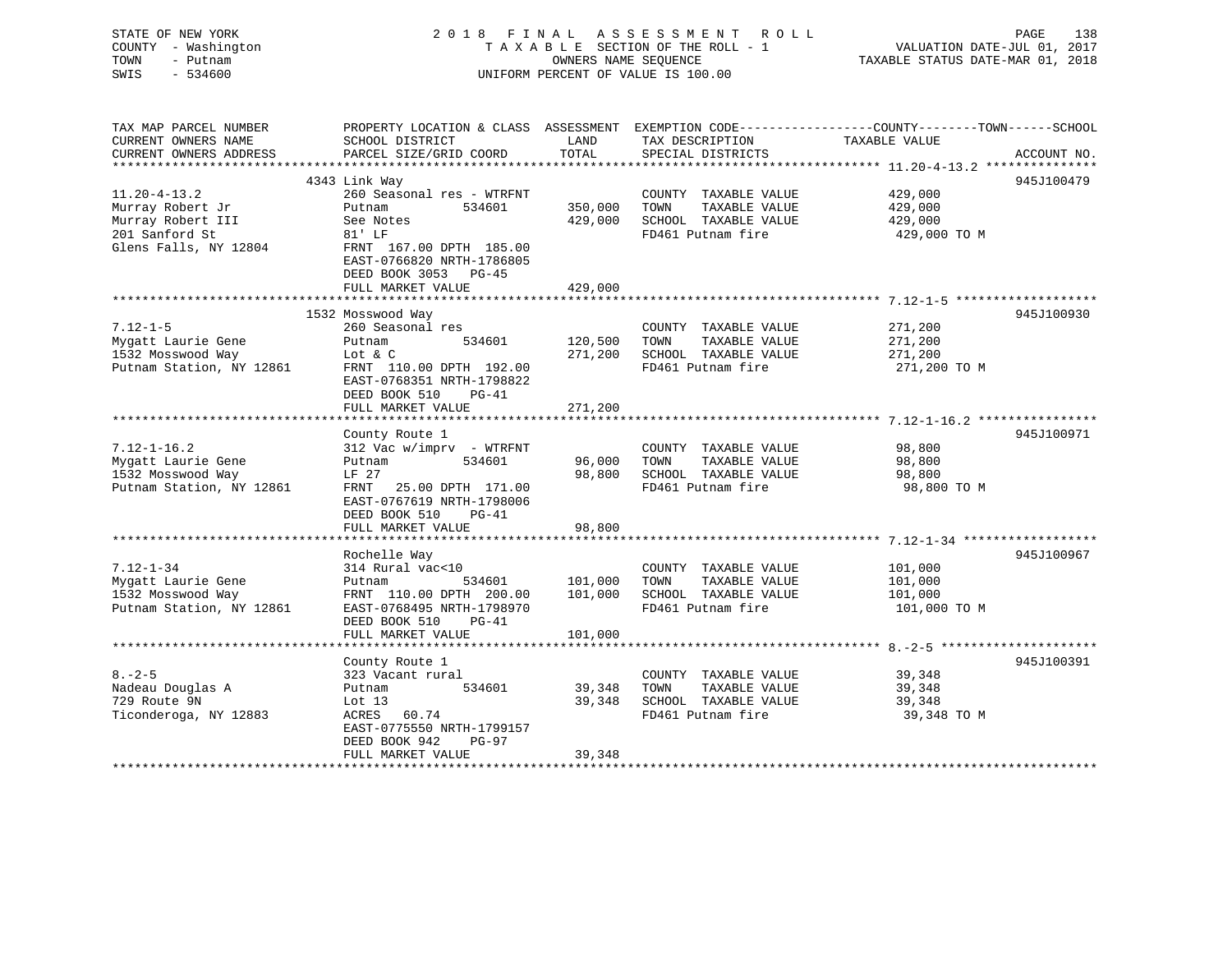| STATE OF NEW YORK<br>COUNTY - Washington<br>- Putnam<br>TOWN<br>$-534600$<br>SWIS                      |                                                                                                                                                                                 | OWNERS NAME SEQUENCE          | 2018 FINAL ASSESSMENT<br>R O L L<br>TAXABLE SECTION OF THE ROLL - 1<br>UNIFORM PERCENT OF VALUE IS 100.00                                | VALUATION DATE-JUL 01, 2017<br>TAXABLE STATUS DATE-MAR 01, 2018          | PAGE<br>138 |
|--------------------------------------------------------------------------------------------------------|---------------------------------------------------------------------------------------------------------------------------------------------------------------------------------|-------------------------------|------------------------------------------------------------------------------------------------------------------------------------------|--------------------------------------------------------------------------|-------------|
| TAX MAP PARCEL NUMBER<br>CURRENT OWNERS NAME<br>CURRENT OWNERS ADDRESS<br>********************         | SCHOOL DISTRICT<br>PARCEL SIZE/GRID COORD                                                                                                                                       | LAND<br>TOTAL                 | PROPERTY LOCATION & CLASS ASSESSMENT EXEMPTION CODE----------------COUNTY-------TOWN------SCHOOL<br>TAX DESCRIPTION<br>SPECIAL DISTRICTS | TAXABLE VALUE<br>************************** 11.20-4-13.2 *************** | ACCOUNT NO. |
|                                                                                                        | 4343 Link Way                                                                                                                                                                   |                               |                                                                                                                                          |                                                                          | 945J100479  |
| $11.20 - 4 - 13.2$<br>Murray Robert Jr<br>Murray Robert III<br>201 Sanford St<br>Glens Falls, NY 12804 | 260 Seasonal res - WTRFNT<br>Putnam<br>534601<br>See Notes<br>81' LF<br>FRNT 167.00 DPTH 185.00<br>EAST-0766820 NRTH-1786805<br>DEED BOOK 3053 PG-45<br>FULL MARKET VALUE       | 350,000<br>429,000<br>429,000 | COUNTY TAXABLE VALUE<br>TOWN<br>TAXABLE VALUE<br>SCHOOL TAXABLE VALUE<br>FD461 Putnam fire                                               | 429,000<br>429,000<br>429,000<br>429,000 TO M                            |             |
|                                                                                                        | *****************************                                                                                                                                                   |                               |                                                                                                                                          |                                                                          |             |
| $7.12 - 1 - 5$<br>Mygatt Laurie Gene<br>1532 Mosswood Way<br>Putnam Station, NY 12861                  | 1532 Mosswood Way<br>260 Seasonal res<br>534601<br>Putnam<br>Lot & C<br>FRNT 110.00 DPTH 192.00<br>EAST-0768351 NRTH-1798822<br>DEED BOOK 510<br>PG-41                          | 120,500<br>271,200            | COUNTY TAXABLE VALUE<br>TOWN<br>TAXABLE VALUE<br>SCHOOL TAXABLE VALUE<br>FD461 Putnam fire                                               | 271,200<br>271,200<br>271,200<br>271,200 TO M                            | 945J100930  |
|                                                                                                        | FULL MARKET VALUE                                                                                                                                                               | 271,200                       |                                                                                                                                          |                                                                          |             |
| $7.12 - 1 - 16.2$<br>Mygatt Laurie Gene<br>1532 Mosswood Way<br>Putnam Station, NY 12861               | County Route 1<br>312 Vac w/imprv - WTRFNT<br>Putnam<br>534601<br>LF 27<br>FRNT 25.00 DPTH 171.00<br>EAST-0767619 NRTH-1798006<br>DEED BOOK 510<br>$PG-41$<br>FULL MARKET VALUE | 96,000<br>98,800<br>98,800    | COUNTY TAXABLE VALUE<br>TAXABLE VALUE<br>TOWN<br>SCHOOL TAXABLE VALUE<br>FD461 Putnam fire                                               | 98,800<br>98,800<br>98,800<br>98,800 TO M                                | 945J100971  |
|                                                                                                        |                                                                                                                                                                                 |                               |                                                                                                                                          |                                                                          |             |
| $7.12 - 1 - 34$<br>Mygatt Laurie Gene<br>1532 Mosswood Way<br>Putnam Station, NY 12861                 | Rochelle Way<br>314 Rural vac<10<br>534601<br>Putnam<br>FRNT 110.00 DPTH 200.00<br>EAST-0768495 NRTH-1798970<br>DEED BOOK 510<br>$PG-41$<br>FULL MARKET VALUE                   | 101,000<br>101,000<br>101,000 | COUNTY TAXABLE VALUE<br>TAXABLE VALUE<br>TOWN<br>SCHOOL TAXABLE VALUE<br>FD461 Putnam fire                                               | 101,000<br>101,000<br>101,000<br>101,000 TO M                            | 945J100967  |
|                                                                                                        | ******************                                                                                                                                                              | * * * * * * * * * * * * *     |                                                                                                                                          |                                                                          |             |
| $8. - 2 - 5$<br>Nadeau Douglas A<br>729 Route 9N<br>Ticonderoga, NY 12883                              | County Route 1<br>323 Vacant rural<br>Putnam<br>534601<br>Lot $13$<br>ACRES 60.74<br>EAST-0775550 NRTH-1799157<br>DEED BOOK 942<br><b>PG-97</b><br>FULL MARKET VALUE            | 39,348<br>39,348<br>39,348    | COUNTY TAXABLE VALUE<br>TOWN<br>TAXABLE VALUE<br>SCHOOL TAXABLE VALUE<br>FD461 Putnam fire                                               | 39,348<br>39,348<br>39,348<br>39,348 TO M                                | 945J100391  |
| ***********************                                                                                | * * * * * * * * * * * * * * * * * *                                                                                                                                             |                               |                                                                                                                                          |                                                                          |             |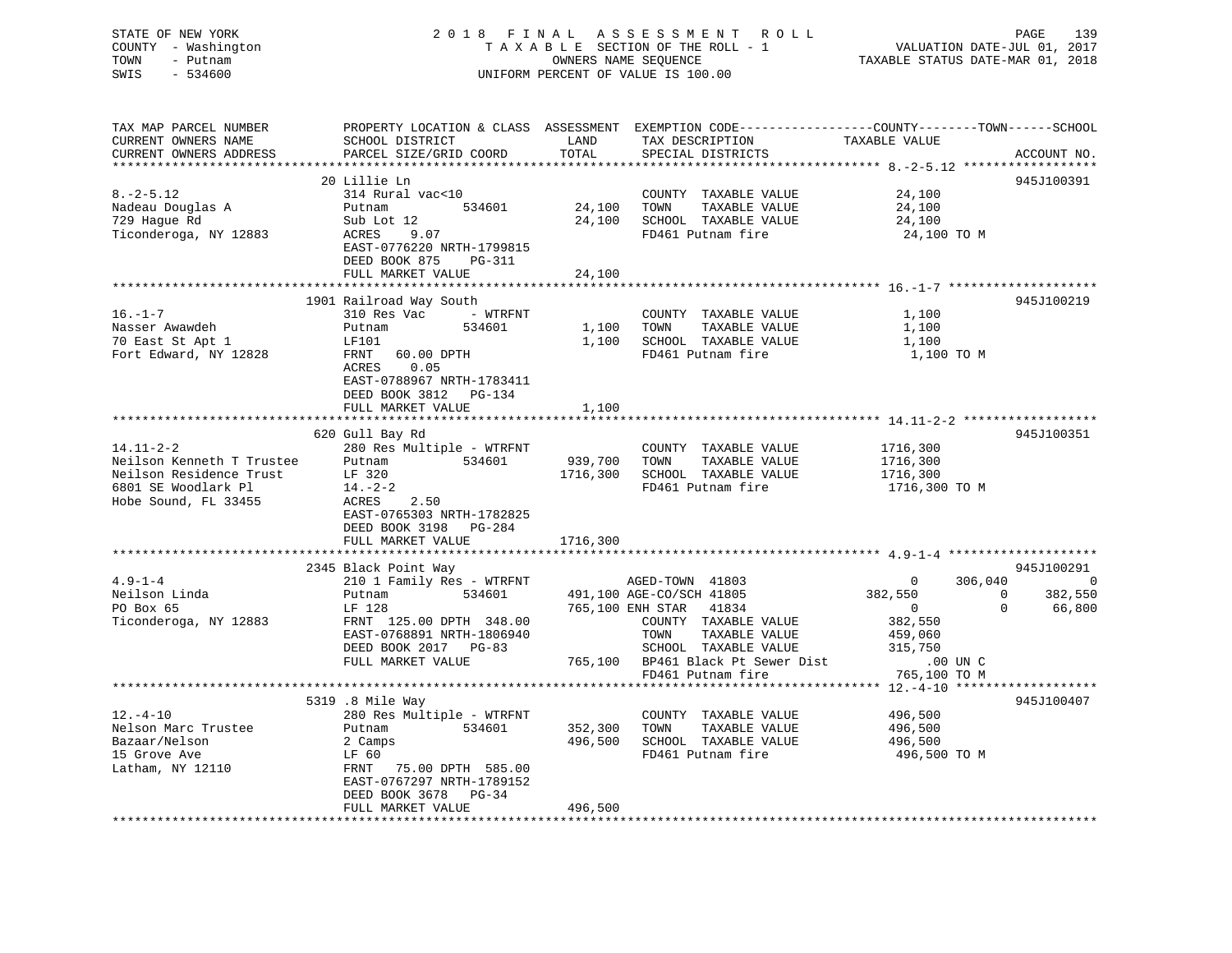| STATE OF NEW YORK<br>COUNTY - Washington<br>TOWN<br>- Putnam<br>SWIS<br>$-534600$ | 2018 FINAL ASSESSMENT ROLL<br>TAXABLE SECTION OF THE ROLL - 1<br>UNIFORM PERCENT OF VALUE IS 100.00 | PAGE<br>VALUATION DATE-JUL 01, 2017<br>TAXABLE STATUS DATE-MAR 01, 2018 |                                                                                                |                                                 |                        |
|-----------------------------------------------------------------------------------|-----------------------------------------------------------------------------------------------------|-------------------------------------------------------------------------|------------------------------------------------------------------------------------------------|-------------------------------------------------|------------------------|
| TAX MAP PARCEL NUMBER                                                             |                                                                                                     |                                                                         | PROPERTY LOCATION & CLASS ASSESSMENT EXEMPTION CODE---------------COUNTY-------TOWN-----SCHOOL |                                                 |                        |
| CURRENT OWNERS NAME                                                               | SCHOOL DISTRICT                                                                                     | LAND                                                                    | TAX DESCRIPTION                                                                                | TAXABLE VALUE                                   |                        |
| CURRENT OWNERS ADDRESS                                                            | PARCEL SIZE/GRID COORD                                                                              | TOTAL                                                                   | SPECIAL DISTRICTS                                                                              |                                                 | ACCOUNT NO.            |
| *********************                                                             |                                                                                                     | ************                                                            |                                                                                                | ************ 8. - 2 - 5.12 ******************** |                        |
|                                                                                   | 20 Lillie Ln                                                                                        |                                                                         |                                                                                                |                                                 | 945J100391             |
| $8. - 2 - 5.12$<br>Nadeau Douglas A                                               | 314 Rural vac<10<br>534601<br>Putnam                                                                | 24,100 TOWN                                                             | COUNTY TAXABLE VALUE<br>TAXABLE VALUE                                                          | 24,100<br>24,100                                |                        |
| 729 Hague Rd                                                                      | Sub Lot 12                                                                                          |                                                                         | 24,100 SCHOOL TAXABLE VALUE                                                                    | 24,100                                          |                        |
| Ticonderoga, NY 12883                                                             | ACRES<br>9.07                                                                                       |                                                                         | FD461 Putnam fire                                                                              | 24,100 TO M                                     |                        |
|                                                                                   | EAST-0776220 NRTH-1799815<br>DEED BOOK 875<br>PG-311                                                |                                                                         |                                                                                                |                                                 |                        |
|                                                                                   | FULL MARKET VALUE                                                                                   | 24,100                                                                  |                                                                                                |                                                 |                        |
|                                                                                   |                                                                                                     |                                                                         |                                                                                                |                                                 |                        |
| $16. - 1 - 7$                                                                     | 1901 Railroad Way South<br>310 Res Vac<br>- WTRFNT                                                  |                                                                         |                                                                                                | 1,100                                           | 945J100219             |
| Nasser Awawdeh                                                                    | Putnam<br>534601                                                                                    | 1,100                                                                   | COUNTY TAXABLE VALUE<br>TOWN<br>TAXABLE VALUE                                                  | 1,100                                           |                        |
| 70 East St Apt 1                                                                  | LF101                                                                                               |                                                                         | 1,100 SCHOOL TAXABLE VALUE                                                                     | 1,100                                           |                        |
| Fort Edward, NY 12828                                                             | FRNT<br>60.00 DPTH                                                                                  |                                                                         | FD461 Putnam fire                                                                              | 1,100 TO M                                      |                        |
|                                                                                   | ACRES<br>0.05<br>EAST-0788967 NRTH-1783411                                                          |                                                                         |                                                                                                |                                                 |                        |
|                                                                                   | DEED BOOK 3812 PG-134                                                                               |                                                                         |                                                                                                |                                                 |                        |
|                                                                                   | FULL MARKET VALUE                                                                                   | 1,100                                                                   |                                                                                                |                                                 |                        |
|                                                                                   | 620 Gull Bay Rd                                                                                     |                                                                         |                                                                                                |                                                 | 945J100351             |
| $14.11 - 2 - 2$                                                                   | 280 Res Multiple - WTRFNT                                                                           |                                                                         | COUNTY TAXABLE VALUE                                                                           | 1716,300                                        |                        |
| Neilson Kenneth T Trustee                                                         | Putnam 534601                                                                                       | 939,700 TOWN                                                            | TAXABLE VALUE                                                                                  | 1716,300                                        |                        |
| Neilson Residence Trust                                                           | LF 320                                                                                              |                                                                         | 1716,300 SCHOOL TAXABLE VALUE                                                                  | 1716,300                                        |                        |
| 6801 SE Woodlark Pl                                                               | $14. -2 - 2$                                                                                        |                                                                         | FD461 Putnam fire                                                                              | 1716,300 TO M                                   |                        |
| Hobe Sound, FL 33455                                                              | ACRES 2.50                                                                                          |                                                                         |                                                                                                |                                                 |                        |
|                                                                                   | EAST-0765303 NRTH-1782825                                                                           |                                                                         |                                                                                                |                                                 |                        |
|                                                                                   | DEED BOOK 3198 PG-284                                                                               |                                                                         |                                                                                                |                                                 |                        |
|                                                                                   | FULL MARKET VALUE                                                                                   | 1716,300                                                                |                                                                                                |                                                 |                        |
|                                                                                   |                                                                                                     |                                                                         |                                                                                                |                                                 |                        |
|                                                                                   | 2345 Black Point Way                                                                                |                                                                         |                                                                                                |                                                 | 945J100291<br>$\sim$ 0 |
| $4.9 - 1 - 4$<br>Neilson Linda                                                    | 210 1 Family Res - WTRFNT                                                                           |                                                                         | AGED-TOWN 41803<br>534601 491,100 AGE-CO/SCH 41805                                             | 306,040<br>$\overline{0}$<br>382,550            | $\Omega$<br>382,550    |
| PO Box 65                                                                         | Putnam<br>LF 128                                                                                    |                                                                         | 765,100 ENH STAR 41834                                                                         | $\overline{0}$                                  | $\mathbf 0$<br>66,800  |
| Ticonderoga, NY 12883                                                             | FRNT 125.00 DPTH 348.00                                                                             |                                                                         | COUNTY TAXABLE VALUE                                                                           | 382,550                                         |                        |
|                                                                                   | EAST-0768891 NRTH-1806940                                                                           |                                                                         | TOWN<br>TAXABLE VALUE                                                                          | 459,060                                         |                        |
|                                                                                   | DEED BOOK 2017 PG-83                                                                                |                                                                         | SCHOOL TAXABLE VALUE                                                                           | 315,750                                         |                        |
|                                                                                   | FULL MARKET VALUE                                                                                   |                                                                         | 765,100 BP461 Black Pt Sewer Dist                                                              | .00 UN C                                        |                        |
|                                                                                   |                                                                                                     |                                                                         | FD461 Putnam fire                                                                              | 765,100 TO M                                    |                        |
|                                                                                   |                                                                                                     |                                                                         |                                                                                                | ************ 12.-4-10 *******                   | * * * * * * * * * * *  |
|                                                                                   | 5319 .8 Mile Way                                                                                    |                                                                         |                                                                                                |                                                 | 945J100407             |
| $12.-4-10$                                                                        | 280 Res Multiple - WTRFNT                                                                           |                                                                         | COUNTY TAXABLE VALUE                                                                           | 496,500                                         |                        |
| Nelson Marc Trustee                                                               | 534601<br>Putnam                                                                                    | 352,300                                                                 | TOWN<br>TAXABLE VALUE                                                                          | 496,500                                         |                        |
| Bazaar/Nelson                                                                     | 2 Camps                                                                                             |                                                                         | 496,500 SCHOOL TAXABLE VALUE                                                                   | 496,500                                         |                        |
| 15 Grove Ave                                                                      | LF 60                                                                                               |                                                                         | FD461 Putnam fire                                                                              | 496,500 TO M                                    |                        |
| Latham, NY 12110                                                                  | FRNT 75.00 DPTH 585.00                                                                              |                                                                         |                                                                                                |                                                 |                        |
|                                                                                   | EAST-0767297 NRTH-1789152<br>DEED BOOK 3678 PG-34                                                   |                                                                         |                                                                                                |                                                 |                        |
|                                                                                   | FULL MARKET VALUE                                                                                   | 496,500                                                                 |                                                                                                |                                                 |                        |
|                                                                                   |                                                                                                     | ******************                                                      |                                                                                                |                                                 |                        |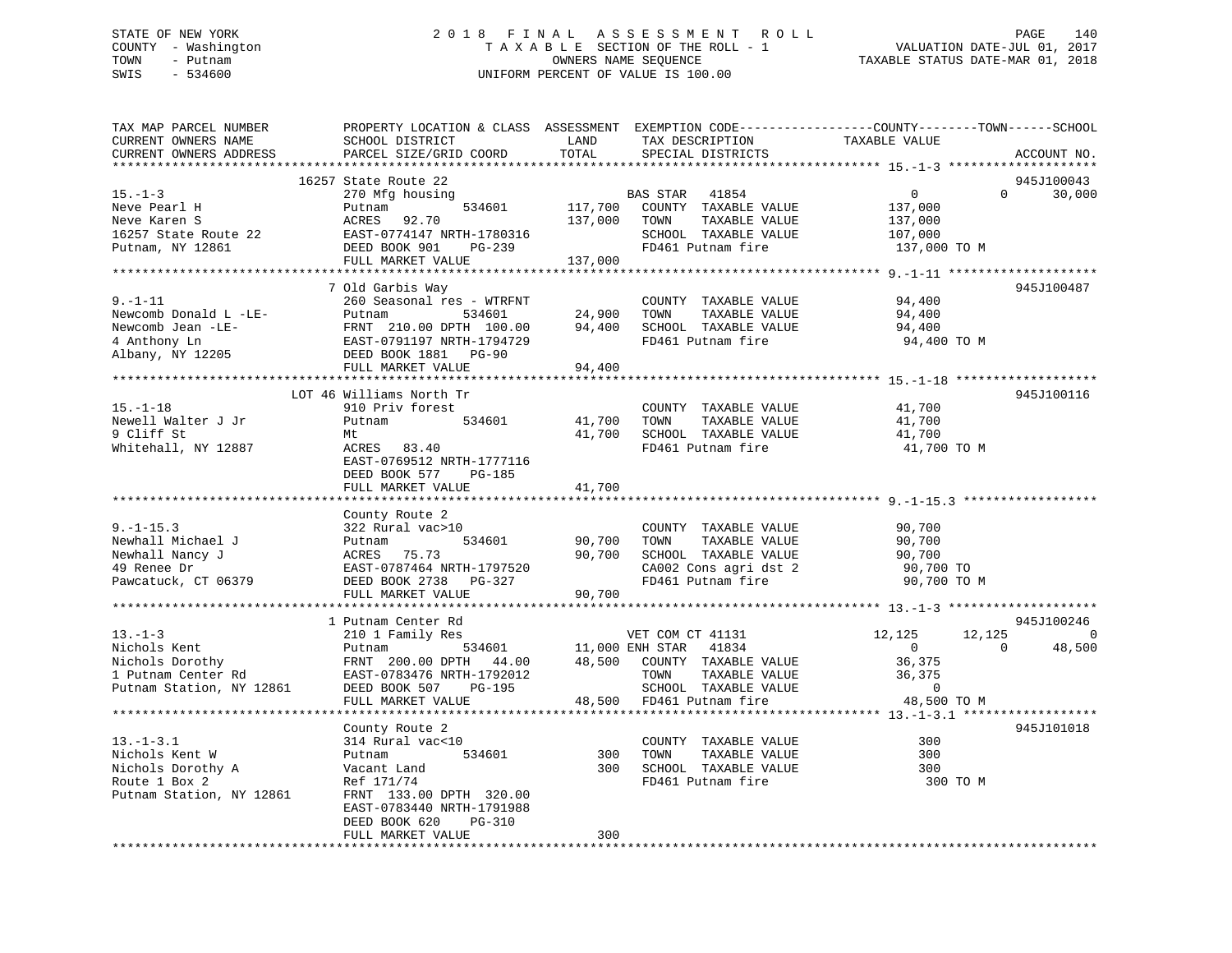### STATE OF NEW YORK 2 0 1 8 F I N A L A S S E S S M E N T R O L L PAGE 140 COUNTY - Washington T A X A B L E SECTION OF THE ROLL - 1 VALUATION DATE-JUL 01, 2017 TOWN - Putnam OWNERS NAME SEQUENCE TAXABLE STATUS DATE-MAR 01, 2018 SWIS - 534600 UNIFORM PERCENT OF VALUE IS 100.00

| TAX MAP PARCEL NUMBER            |                                           |                  |                                           | PROPERTY LOCATION & CLASS ASSESSMENT EXEMPTION CODE---------------COUNTY-------TOWN------SCHOOL |                |
|----------------------------------|-------------------------------------------|------------------|-------------------------------------------|-------------------------------------------------------------------------------------------------|----------------|
| CURRENT OWNERS NAME              | SCHOOL DISTRICT                           | LAND             | TAX DESCRIPTION                           | TAXABLE VALUE                                                                                   |                |
| CURRENT OWNERS ADDRESS           | PARCEL SIZE/GRID COORD                    | TOTAL            | SPECIAL DISTRICTS                         |                                                                                                 | ACCOUNT NO.    |
|                                  |                                           | *********        |                                           |                                                                                                 |                |
|                                  | 16257 State Route 22                      |                  |                                           |                                                                                                 | 945J100043     |
| $15. - 1 - 3$                    | 270 Mfg housing                           |                  | BAS STAR<br>41854                         | $\overline{0}$<br>$\Omega$                                                                      | 30,000         |
| Neve Pearl H                     | 534601<br>Putnam                          | 117,700          | COUNTY TAXABLE VALUE                      | 137,000                                                                                         |                |
| Neve Karen S                     | ACRES 92.70                               | 137,000          | TOWN<br>TAXABLE VALUE                     | 137,000                                                                                         |                |
| 16257 State Route 22             | EAST-0774147 NRTH-1780316                 |                  | SCHOOL TAXABLE VALUE                      | 107,000                                                                                         |                |
| Putnam, NY 12861                 | DEED BOOK 901<br>PG-239                   |                  | FD461 Putnam fire                         | 137,000 TO M                                                                                    |                |
|                                  | FULL MARKET VALUE                         | 137,000          |                                           |                                                                                                 |                |
|                                  |                                           |                  |                                           |                                                                                                 |                |
|                                  | 7 Old Garbis Way                          |                  |                                           |                                                                                                 | 945J100487     |
| $9. -1 - 11$                     | 260 Seasonal res - WTRFNT                 |                  | COUNTY TAXABLE VALUE                      | 94,400                                                                                          |                |
| Newcomb Donald L -LE-            | Putnam<br>534601                          | 24,900           | TOWN<br>TAXABLE VALUE                     | 94,400                                                                                          |                |
| Newcomb Jean -LE-                | FRNT 210.00 DPTH 100.00                   | 94,400           | SCHOOL TAXABLE VALUE                      | 94,400                                                                                          |                |
| 4 Anthony Ln<br>Albany, NY 12205 | EAST-0791197 NRTH-1794729                 |                  | FD461 Putnam fire                         | 94,400 TO M                                                                                     |                |
|                                  | DEED BOOK 1881 PG-90<br>FULL MARKET VALUE | 94,400           |                                           |                                                                                                 |                |
|                                  |                                           |                  |                                           |                                                                                                 |                |
|                                  | LOT 46 Williams North Tr                  |                  |                                           |                                                                                                 | 945J100116     |
| $15. - 1 - 18$                   | 910 Priv forest                           |                  | COUNTY TAXABLE VALUE                      | 41,700                                                                                          |                |
|                                  | 534601                                    |                  |                                           |                                                                                                 |                |
| Newell Walter J Jr<br>9 Cliff St | Putnam                                    | 41,700<br>41,700 | TOWN<br>TAXABLE VALUE                     | 41,700                                                                                          |                |
| Whitehall, NY 12887              | Mt<br>ACRES 83.40                         |                  | SCHOOL TAXABLE VALUE<br>FD461 Putnam fire | 41,700<br>41,700 TO M                                                                           |                |
|                                  | EAST-0769512 NRTH-1777116                 |                  |                                           |                                                                                                 |                |
|                                  | DEED BOOK 577<br><b>PG-185</b>            |                  |                                           |                                                                                                 |                |
|                                  | FULL MARKET VALUE                         | 41,700           |                                           |                                                                                                 |                |
|                                  |                                           |                  |                                           |                                                                                                 |                |
|                                  | County Route 2                            |                  |                                           |                                                                                                 |                |
| $9. - 1 - 15.3$                  | 322 Rural vac>10                          |                  | COUNTY TAXABLE VALUE                      | 90,700                                                                                          |                |
| Newhall Michael J                | 534601<br>Putnam                          | 90,700           | TOWN<br>TAXABLE VALUE                     | 90,700                                                                                          |                |
| Newhall Nancy J                  | 75.73<br>ACRES                            | 90,700           | SCHOOL TAXABLE VALUE                      | 90,700                                                                                          |                |
| 49 Renee Dr                      | EAST-0787464 NRTH-1797520                 |                  | CA002 Cons agri dst 2                     | 90,700 TO                                                                                       |                |
| Pawcatuck, CT 06379              | DEED BOOK 2738 PG-327                     |                  | FD461 Putnam fire                         | 90,700 TO M                                                                                     |                |
|                                  | FULL MARKET VALUE                         | 90,700           |                                           |                                                                                                 |                |
|                                  |                                           |                  |                                           |                                                                                                 |                |
|                                  | 1 Putnam Center Rd                        |                  |                                           |                                                                                                 | 945J100246     |
| $13. - 1 - 3$                    | 210 1 Family Res                          |                  | VET COM CT 41131                          | 12,125<br>12,125                                                                                | $\overline{0}$ |
| Nichols Kent                     | 534601<br>Putnam                          | 11,000 ENH STAR  | 41834                                     | $\overline{0}$<br>$\Omega$                                                                      | 48,500         |
| Nichols Dorothy                  | FRNT 200.00 DPTH 44.00                    |                  | 48,500 COUNTY TAXABLE VALUE               | 36,375                                                                                          |                |
| 1 Putnam Center Rd               | EAST-0783476 NRTH-1792012                 |                  | TOWN<br>TAXABLE VALUE                     | 36,375                                                                                          |                |
| Putnam Station, NY 12861         | DEED BOOK 507<br>PG-195                   |                  | SCHOOL TAXABLE VALUE                      | $\overline{0}$                                                                                  |                |
|                                  | FULL MARKET VALUE                         |                  | 48,500 FD461 Putnam fire                  | 48,500 TO M                                                                                     |                |
|                                  |                                           |                  |                                           |                                                                                                 |                |
|                                  | County Route 2                            |                  |                                           |                                                                                                 | 945J101018     |
| $13.-1-3.1$                      | 314 Rural vac<10                          |                  | COUNTY TAXABLE VALUE                      | 300                                                                                             |                |
| Nichols Kent W                   | 534601<br>Putnam                          | 300              | TOWN<br>TAXABLE VALUE                     | 300                                                                                             |                |
| Nichols Dorothy A                | Vacant Land                               | 300              | SCHOOL TAXABLE VALUE                      | 300                                                                                             |                |
| Route 1 Box 2                    | Ref 171/74                                |                  | FD461 Putnam fire                         | 300 TO M                                                                                        |                |
| Putnam Station, NY 12861         | FRNT 133.00 DPTH 320.00                   |                  |                                           |                                                                                                 |                |
|                                  | EAST-0783440 NRTH-1791988                 |                  |                                           |                                                                                                 |                |
|                                  | PG-310<br>DEED BOOK 620                   |                  |                                           |                                                                                                 |                |
|                                  | FULL MARKET VALUE                         | 300              |                                           |                                                                                                 |                |
|                                  |                                           |                  |                                           |                                                                                                 |                |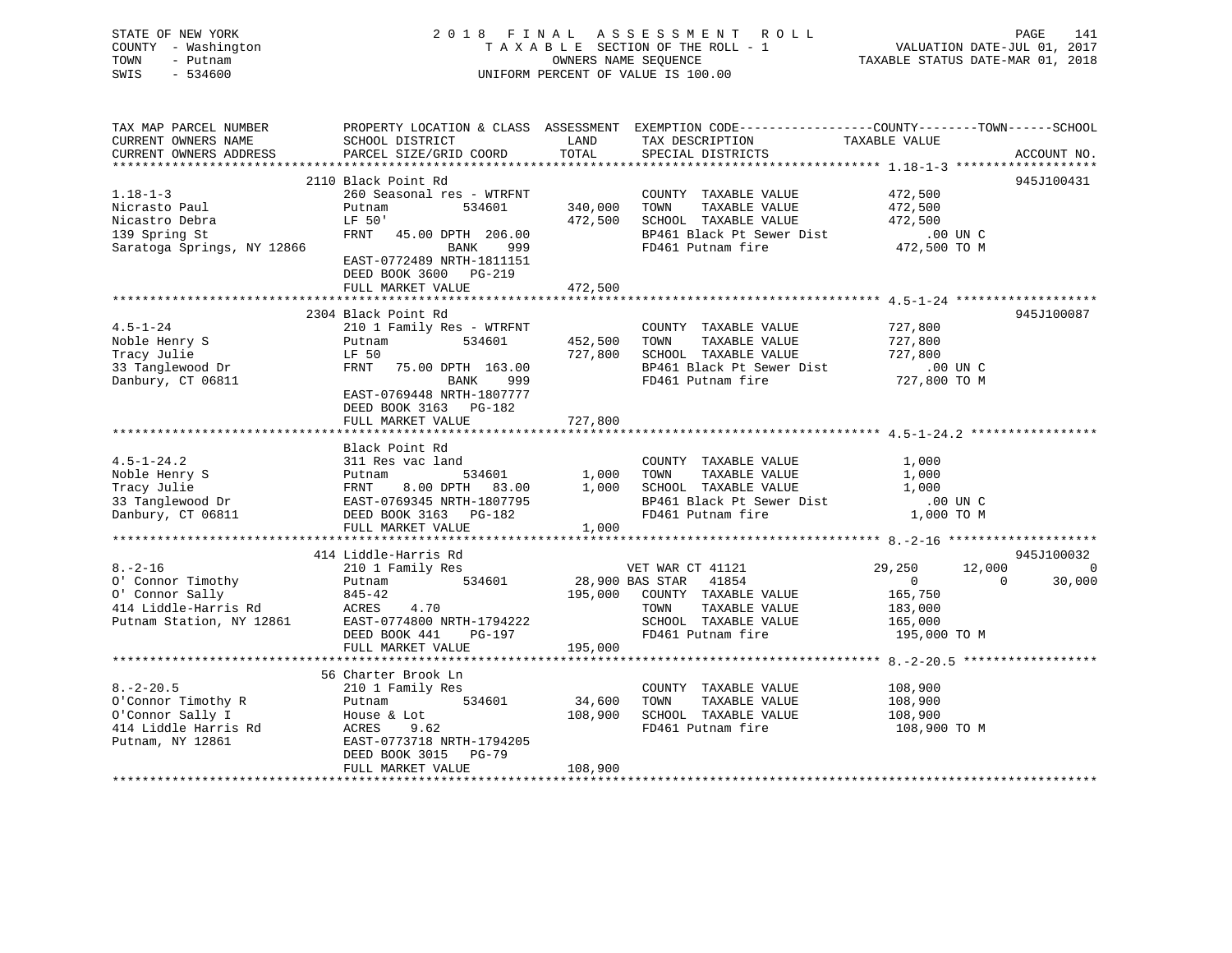| STATE OF NEW YORK<br>COUNTY - Washington<br>TOWN<br>- Putnam<br>$-534600$<br>SWIS       |                                                                         |                                                                                    | 2018 FINAL ASSESSMENT ROLL<br>TAXABLE SECTION OF THE ROLL - 1<br>OWNERS NAME SEQUENCE<br>UNIFORM PERCENT OF VALUE IS 100.00                          |                          | PAGE<br>141<br>VALUATION DATE-JUL 01, 2017<br>TAXABLE STATUS DATE-MAR 01, 2018 |
|-----------------------------------------------------------------------------------------|-------------------------------------------------------------------------|------------------------------------------------------------------------------------|------------------------------------------------------------------------------------------------------------------------------------------------------|--------------------------|--------------------------------------------------------------------------------|
| TAX MAP PARCEL NUMBER<br>CURRENT OWNERS NAME<br>CURRENT OWNERS ADDRESS                  | SCHOOL DISTRICT<br>PARCEL SIZE/GRID COORD                               | LAND<br>TOTAL                                                                      | PROPERTY LOCATION & CLASS ASSESSMENT EXEMPTION CODE---------------COUNTY-------TOWN-----SCHOOL<br>TAX DESCRIPTION TAXABLE VALUE<br>SPECIAL DISTRICTS |                          | ACCOUNT NO.                                                                    |
|                                                                                         |                                                                         |                                                                                    |                                                                                                                                                      |                          |                                                                                |
|                                                                                         | 2110 Black Point Rd                                                     |                                                                                    |                                                                                                                                                      |                          | 945J100431                                                                     |
| $1.18 - 1 - 3$<br>Nicrasto Paul                                                         | 260 Seasonal res - WTRFNT<br>534601<br>Putnam                           | 340,000 TOWN                                                                       | COUNTY TAXABLE VALUE<br>TAXABLE VALUE                                                                                                                | 472,500<br>472,500       |                                                                                |
| Nicastro Debra                                                                          | LF 50'                                                                  |                                                                                    | 472,500 SCHOOL TAXABLE VALUE                                                                                                                         | 472,500                  |                                                                                |
| 139 Spring St                                                                           | FRNT 45.00 DPTH 206.00                                                  |                                                                                    | BP461 Black Pt Sewer Dist                                                                                                                            | .00 UN C                 |                                                                                |
| Saratoga Springs, NY 12866                                                              | BANK 999                                                                |                                                                                    | FD461 Putnam fire                                                                                                                                    | 472,500 TO M             |                                                                                |
|                                                                                         | EAST-0772489 NRTH-1811151<br>DEED BOOK 3600 PG-219<br>FULL MARKET VALUE | 472,500                                                                            |                                                                                                                                                      |                          |                                                                                |
|                                                                                         |                                                                         |                                                                                    |                                                                                                                                                      |                          |                                                                                |
|                                                                                         | 2304 Black Point Rd                                                     |                                                                                    |                                                                                                                                                      |                          | 945J100087                                                                     |
| $4.5 - 1 - 24$                                                                          | 210 1 Family Res - WTRFNT                                               |                                                                                    | COUNTY TAXABLE VALUE                                                                                                                                 | 727,800                  |                                                                                |
|                                                                                         | Putnam<br>534601                                                        | 452,500                                                                            | TAXABLE VALUE<br>TOWN                                                                                                                                | 727,800                  |                                                                                |
| Noble Henry S<br>Tracy Julie<br>33 Tanglewood Dr<br>Danbury, CT 06811                   | LF 50<br>LF 50<br>FRNT 75.00 DPTH 163.00<br>999 אזמגס                   | 727,800                                                                            | SCHOOL TAXABLE VALUE                                                                                                                                 | 727,800                  |                                                                                |
|                                                                                         |                                                                         |                                                                                    | BP461 Black Pt Sewer Dist                                                                                                                            | $.00$ UN C               |                                                                                |
|                                                                                         | EAST-0769448 NRTH-1807777<br>DEED BOOK 3163 PG-182                      |                                                                                    | FD461 Putnam fire                                                                                                                                    | 727,800 TO M             |                                                                                |
|                                                                                         | FULL MARKET VALUE                                                       | 727,800                                                                            |                                                                                                                                                      |                          |                                                                                |
|                                                                                         | Black Point Rd                                                          |                                                                                    |                                                                                                                                                      |                          |                                                                                |
| $4.5 - 1 - 24.2$                                                                        | 311 Res vac land                                                        |                                                                                    | COUNTY TAXABLE VALUE                                                                                                                                 | 1,000                    |                                                                                |
|                                                                                         |                                                                         | $\begin{array}{cc} 1,000 \ 534601 & 1,000 \ \text{TH} & 83.00 & 1,000 \end{array}$ | TAXABLE VALUE<br>TOWN                                                                                                                                | 1,000                    |                                                                                |
|                                                                                         |                                                                         |                                                                                    | 1,000 SCHOOL TAXABLE VALUE                                                                                                                           | 1,000                    |                                                                                |
|                                                                                         |                                                                         |                                                                                    | BP461 Black Pt Sewer Dist                                                                                                                            | .00 UN C                 |                                                                                |
|                                                                                         |                                                                         |                                                                                    | FD461 Putnam fire                                                                                                                                    | $1,000$ TO M             |                                                                                |
|                                                                                         | FULL MARKET VALUE                                                       | 1,000                                                                              |                                                                                                                                                      |                          |                                                                                |
|                                                                                         |                                                                         |                                                                                    |                                                                                                                                                      |                          |                                                                                |
| $8. - 2 - 16$                                                                           | 414 Liddle-Harris Rd                                                    |                                                                                    |                                                                                                                                                      |                          | 945J100032                                                                     |
|                                                                                         | 210 1 Family Res                                                        |                                                                                    | VET WAR CT 41121<br>28,900 BAS STAR 41854                                                                                                            | 29,250<br>$\overline{0}$ | 12,000<br>$\sim$ 0<br>$\overline{0}$<br>30,000                                 |
| 0' Connor Timothy<br>0' Connor Sally<br>414 Liddle-Harris Rd<br>845-42<br>ACRES<br>4.70 |                                                                         |                                                                                    | 195,000 COUNTY TAXABLE VALUE                                                                                                                         | 165,750                  |                                                                                |
|                                                                                         |                                                                         |                                                                                    | TOWN TAXABLE VALUE                                                                                                                                   | 183,000                  |                                                                                |
| Putnam Station, NY 12861                                                                | EAST-0774800 NRTH-1794222                                               |                                                                                    | SCHOOL TAXABLE VALUE                                                                                                                                 | 165,000                  |                                                                                |
|                                                                                         | DEED BOOK 441<br>PG-197                                                 |                                                                                    | FD461 Putnam fire                                                                                                                                    | 195,000 TO M             |                                                                                |
|                                                                                         | FULL MARKET VALUE                                                       | 195,000                                                                            |                                                                                                                                                      |                          |                                                                                |
|                                                                                         |                                                                         |                                                                                    |                                                                                                                                                      |                          |                                                                                |
|                                                                                         | 56 Charter Brook Ln                                                     |                                                                                    |                                                                                                                                                      |                          |                                                                                |
| $8. - 2 - 20.5$                                                                         | 210 1 Family Res                                                        |                                                                                    | COUNTY TAXABLE VALUE                                                                                                                                 | 108,900                  |                                                                                |
| O'Connor Timothy R<br>O'Connor Ilmour, .<br>O'Connor Sally I<br>Connor Sally I          | Putnam 534601                                                           | 34,600                                                                             | TOWN<br>TAXABLE VALUE                                                                                                                                | 108,900                  |                                                                                |
|                                                                                         | House & Lot                                                             |                                                                                    | 108,900 SCHOOL TAXABLE VALUE                                                                                                                         | 108,900                  |                                                                                |
| 414 Liddle Harris Rd<br>Putnam, NY 12861                                                | ACRES<br>9.62<br>EAST-0773718 NRTH-1794205<br>DEED BOOK 3015 PG-79      |                                                                                    | FD461 Putnam fire                                                                                                                                    | 108,900 TO M             |                                                                                |
|                                                                                         | FULL MARKET VALUE                                                       | 108,900                                                                            |                                                                                                                                                      |                          |                                                                                |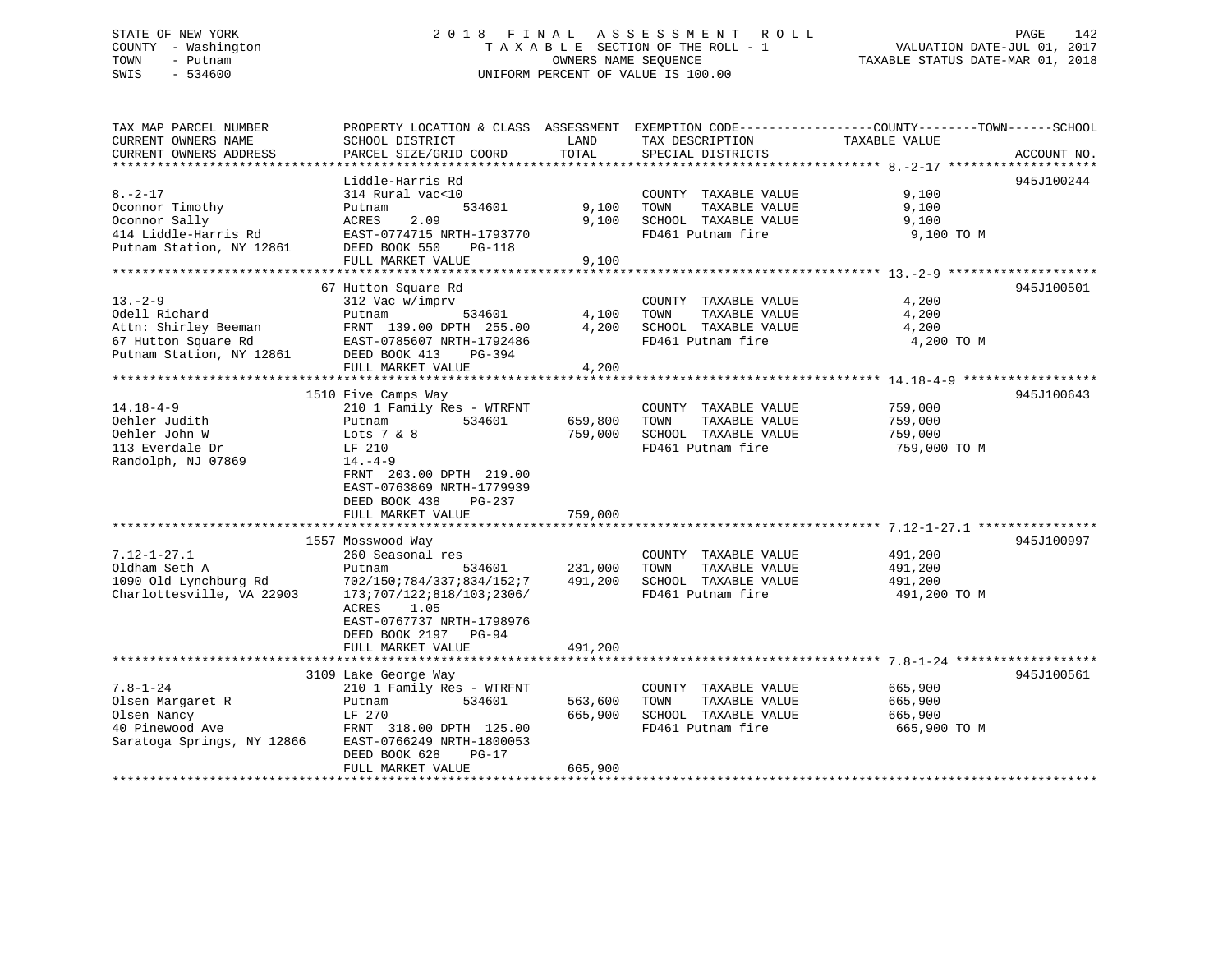### STATE OF NEW YORK 2 0 1 8 F I N A L A S S E S S M E N T R O L L PAGE 142 COUNTY - Washington T A X A B L E SECTION OF THE ROLL - 1 VALUATION DATE-JUL 01, 2017 TOWN - Putnam OWNERS NAME SEQUENCE TAXABLE STATUS DATE-MAR 01, 2018 SWIS - 534600 UNIFORM PERCENT OF VALUE IS 100.00

| TAX MAP PARCEL NUMBER      | PROPERTY LOCATION & CLASS ASSESSMENT EXEMPTION CODE----------------COUNTY-------TOWN------SCHOOL                                               |                |                       |               |             |
|----------------------------|------------------------------------------------------------------------------------------------------------------------------------------------|----------------|-----------------------|---------------|-------------|
| CURRENT OWNERS NAME        | SCHOOL DISTRICT                                                                                                                                | LAND           | TAX DESCRIPTION       | TAXABLE VALUE |             |
| CURRENT OWNERS ADDRESS     | PARCEL SIZE/GRID COORD                                                                                                                         | TOTAL          | SPECIAL DISTRICTS     |               | ACCOUNT NO. |
| ***********************    |                                                                                                                                                |                |                       |               |             |
|                            | Liddle-Harris Rd                                                                                                                               |                |                       |               | 945J100244  |
| $8. - 2 - 17$              | 314 Rural vac<10                                                                                                                               |                | COUNTY TAXABLE VALUE  | 9,100         |             |
| Oconnor Timothy            | 534601<br>Putnam                                                                                                                               | 9,100          | TOWN<br>TAXABLE VALUE | 9,100         |             |
| Oconnor Sally              | ACRES<br>2.09                                                                                                                                  | 9.100          | SCHOOL TAXABLE VALUE  | 9,100         |             |
| 414 Liddle-Harris Rd       | EAST-0774715 NRTH-1793770                                                                                                                      |                | FD461 Putnam fire     | 9,100 TO M    |             |
| Putnam Station, NY 12861   | DEED BOOK 550<br><b>PG-118</b>                                                                                                                 |                |                       |               |             |
|                            | FULL MARKET VALUE                                                                                                                              | 9,100          |                       |               |             |
|                            |                                                                                                                                                |                |                       |               |             |
|                            | 67 Hutton Square Rd                                                                                                                            |                |                       |               | 945J100501  |
| $13 - 2 - 9$               | 312 Vac w/imprv                                                                                                                                |                | COUNTY TAXABLE VALUE  | 4,200         |             |
| Odell Richard              | 534601<br>Putnam                                                                                                                               | 4,100          | TOWN<br>TAXABLE VALUE | 4,200         |             |
|                            |                                                                                                                                                | 4,200          | SCHOOL TAXABLE VALUE  | 4,200         |             |
|                            |                                                                                                                                                |                | FD461 Putnam fire     | 4,200 TO M    |             |
|                            | Attn: Shirley Beeman FRNT 139.00 DPTH 255.00<br>67 Hutton Square Rd EAST-0785607 NRTH-1792486<br>Putnam Station, NY 12861 DEED BOOK 413 PG-394 |                |                       |               |             |
|                            | FULL MARKET VALUE                                                                                                                              | 4,200          |                       |               |             |
|                            |                                                                                                                                                |                |                       |               |             |
|                            | 1510 Five Camps Way                                                                                                                            |                |                       |               | 945J100643  |
| $14.18 - 4 - 9$            | 210 1 Family Res - WTRFNT                                                                                                                      |                | COUNTY TAXABLE VALUE  | 759,000       |             |
| Oehler Judith              | 534601<br>Putnam                                                                                                                               | 659,800        | TAXABLE VALUE<br>TOWN | 759,000       |             |
| Oehler John W              | Lots $7 & 8$                                                                                                                                   | 759,000        | SCHOOL TAXABLE VALUE  | 759,000       |             |
| 113 Everdale Dr            | LF 210                                                                                                                                         |                | FD461 Putnam fire     | 759,000 TO M  |             |
| Randolph, NJ 07869         | $14. -4 - 9$                                                                                                                                   |                |                       |               |             |
|                            | FRNT 203.00 DPTH 219.00                                                                                                                        |                |                       |               |             |
|                            | EAST-0763869 NRTH-1779939                                                                                                                      |                |                       |               |             |
|                            | DEED BOOK 438<br>PG-237                                                                                                                        |                |                       |               |             |
|                            | FULL MARKET VALUE                                                                                                                              | 759,000        |                       |               |             |
|                            |                                                                                                                                                |                |                       |               |             |
|                            | 1557 Mosswood Way                                                                                                                              |                |                       |               | 945J100997  |
| $7.12 - 1 - 27.1$          | 260 Seasonal res                                                                                                                               |                | COUNTY TAXABLE VALUE  | 491,200       |             |
| Oldham Seth A              | Putnam                                                                                                                                         | 534601 231,000 | TOWN<br>TAXABLE VALUE | 491,200       |             |
| 1090 Old Lynchburg Rd      | 702/150;784/337;834/152;7 491,200                                                                                                              |                | SCHOOL TAXABLE VALUE  | 491,200       |             |
| Charlottesville, VA 22903  | 173;707/122;818/103;2306/                                                                                                                      |                | FD461 Putnam fire     | 491,200 TO M  |             |
|                            | ACRES<br>1.05                                                                                                                                  |                |                       |               |             |
|                            | EAST-0767737 NRTH-1798976                                                                                                                      |                |                       |               |             |
|                            | DEED BOOK 2197 PG-94                                                                                                                           |                |                       |               |             |
|                            | FULL MARKET VALUE                                                                                                                              | 491,200        |                       |               |             |
|                            |                                                                                                                                                |                |                       |               |             |
|                            | 3109 Lake George Way                                                                                                                           |                |                       |               | 945J100561  |
| $7.8 - 1 - 24$             | 210 1 Family Res - WTRFNT                                                                                                                      |                | COUNTY TAXABLE VALUE  | 665,900       |             |
| Olsen Margaret R           | 534601<br>Putnam                                                                                                                               | 563,600        | TOWN<br>TAXABLE VALUE | 665,900       |             |
| Olsen Nancy                | LF 270                                                                                                                                         | 665,900        | SCHOOL TAXABLE VALUE  | 665,900       |             |
| 40 Pinewood Ave            | FRNT 318.00 DPTH 125.00                                                                                                                        |                | FD461 Putnam fire     | 665,900 TO M  |             |
| Saratoga Springs, NY 12866 | EAST-0766249 NRTH-1800053                                                                                                                      |                |                       |               |             |
|                            | DEED BOOK 628<br>PG-17                                                                                                                         |                |                       |               |             |
|                            | FULL MARKET VALUE                                                                                                                              | 665,900        |                       |               |             |
|                            |                                                                                                                                                |                |                       |               |             |
|                            |                                                                                                                                                |                |                       |               |             |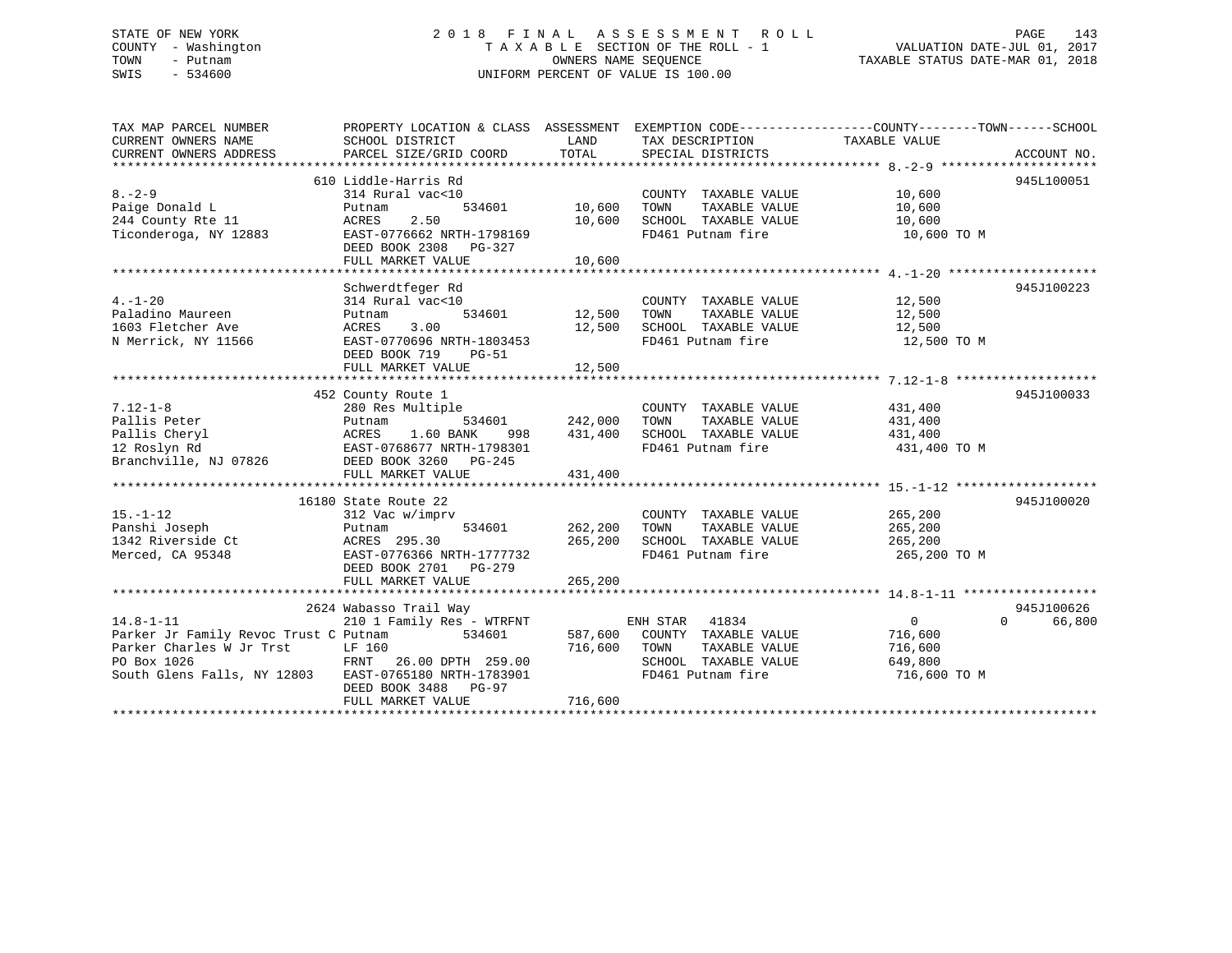### STATE OF NEW YORK 2 0 1 8 F I N A L A S S E S S M E N T R O L L PAGE 143 COUNTY - Washington T A X A B L E SECTION OF THE ROLL - 1 VALUATION DATE-JUL 01, 2017 TOWN - Putnam **CONNERS NAME SEQUENCE** TAXABLE STATUS DATE-MAR 01, 2018 SWIS - 534600 UNIFORM PERCENT OF VALUE IS 100.00

| TAX MAP PARCEL NUMBER                                 | PROPERTY LOCATION & CLASS ASSESSMENT EXEMPTION CODE----------------COUNTY-------TOWN------SCHOOL |         |                              |                |                    |
|-------------------------------------------------------|--------------------------------------------------------------------------------------------------|---------|------------------------------|----------------|--------------------|
| CURRENT OWNERS NAME                                   | SCHOOL DISTRICT                                                                                  | LAND    | TAX DESCRIPTION              | TAXABLE VALUE  |                    |
| CURRENT OWNERS ADDRESS                                | PARCEL SIZE/GRID COORD                                                                           | TOTAL   | SPECIAL DISTRICTS            |                | ACCOUNT NO.        |
|                                                       | 610 Liddle-Harris Rd                                                                             |         |                              |                | 945L100051         |
| $8 - 2 - 9$                                           | 314 Rural vac<10                                                                                 |         | COUNTY TAXABLE VALUE         | 10,600         |                    |
| Paige Donald L                                        | 534601<br>Putnam                                                                                 | 10,600  | TOWN<br>TAXABLE VALUE        | 10,600         |                    |
| 244 County Rte 11                                     | 2.50<br>ACRES                                                                                    | 10,600  | SCHOOL TAXABLE VALUE         | 10,600         |                    |
| Ticonderoga, NY 12883                                 | EAST-0776662 NRTH-1798169                                                                        |         | FD461 Putnam fire            | 10,600 TO M    |                    |
|                                                       | DEED BOOK 2308 PG-327                                                                            |         |                              |                |                    |
|                                                       | FULL MARKET VALUE                                                                                | 10,600  |                              |                |                    |
|                                                       |                                                                                                  |         |                              |                |                    |
|                                                       | Schwerdtfeger Rd                                                                                 |         |                              |                | 945J100223         |
| $4. - 1 - 20$                                         | 314 Rural vac<10                                                                                 |         | COUNTY TAXABLE VALUE         | 12,500         |                    |
| Paladino Maureen                                      | 534601<br>Putnam                                                                                 | 12,500  | TOWN<br>TAXABLE VALUE        | 12,500         |                    |
| 1603 Fletcher Ave                                     | 3.00<br>ACRES                                                                                    | 12,500  | SCHOOL TAXABLE VALUE         | 12,500         |                    |
| N Merrick, NY 11566                                   | EAST-0770696 NRTH-1803453                                                                        |         | FD461 Putnam fire            | 12,500 TO M    |                    |
|                                                       | DEED BOOK 719<br><b>PG-51</b>                                                                    |         |                              |                |                    |
|                                                       | FULL MARKET VALUE                                                                                | 12,500  |                              |                |                    |
|                                                       |                                                                                                  |         |                              |                |                    |
| $7.12 - 1 - 8$                                        | 452 County Route 1<br>280 Res Multiple                                                           |         | COUNTY TAXABLE VALUE         | 431,400        | 945J100033         |
| Pallis Peter                                          | 534601<br>Putnam                                                                                 | 242,000 | TAXABLE VALUE<br>TOWN        | 431,400        |                    |
| Pallis Cheryl                                         |                                                                                                  | 431,400 | SCHOOL TAXABLE VALUE         | 431,400        |                    |
| 12 Roslyn Rd                                          |                                                                                                  |         | FD461 Putnam fire            | 431,400 TO M   |                    |
| Branchville, NJ 07826                                 | ACRES 1.00 211<br>EAST-0768677 NRTH-1798301<br>DEED BOOK 3260 PG-245                             |         |                              |                |                    |
|                                                       | FULL MARKET VALUE                                                                                | 431,400 |                              |                |                    |
|                                                       |                                                                                                  |         |                              |                |                    |
|                                                       | 16180 State Route 22                                                                             |         |                              |                | 945J100020         |
| $15. - 1 - 12$                                        | 312 Vac w/imprv                                                                                  |         | COUNTY TAXABLE VALUE         | 265,200        |                    |
| Panshi Joseph                                         | 534601<br>Putnam                                                                                 | 262,200 | TAXABLE VALUE<br>TOWN        | 265,200        |                    |
| 1342 Riverside Ct                                     | ACRES 295.30                                                                                     | 265,200 | SCHOOL TAXABLE VALUE         | 265,200        |                    |
| Merced, CA 95348                                      | EAST-0776366 NRTH-1777732                                                                        |         | FD461 Putnam fire            | 265,200 TO M   |                    |
|                                                       | DEED BOOK 2701 PG-279                                                                            |         |                              |                |                    |
|                                                       | FULL MARKET VALUE                                                                                | 265,200 |                              |                |                    |
|                                                       |                                                                                                  |         |                              |                | 945J100626         |
| $14.8 - 1 - 11$                                       | 2624 Wabasso Trail Way<br>210 1 Family Res - WTRFNT                                              |         | ENH STAR 41834               | $\overline{0}$ | $\Omega$<br>66,800 |
| Parker Jr Family Revoc Trust C Putnam                 | 534601                                                                                           |         | 587,600 COUNTY TAXABLE VALUE | 716,600        |                    |
| Parker Charles W Jr Trst                              | LF 160                                                                                           | 716,600 | TOWN<br>TAXABLE VALUE        | 716,600        |                    |
| PO Box 1026                                           | FRNT 26.00 DPTH 259.00                                                                           |         | SCHOOL TAXABLE VALUE         | 649,800        |                    |
| South Glens Falls, NY 12803 EAST-0765180 NRTH-1783901 |                                                                                                  |         | FD461 Putnam fire            | 716,600 TO M   |                    |
|                                                       | DEED BOOK 3488 PG-97                                                                             |         |                              |                |                    |
|                                                       | FULL MARKET VALUE                                                                                | 716,600 |                              |                |                    |
|                                                       |                                                                                                  |         |                              |                |                    |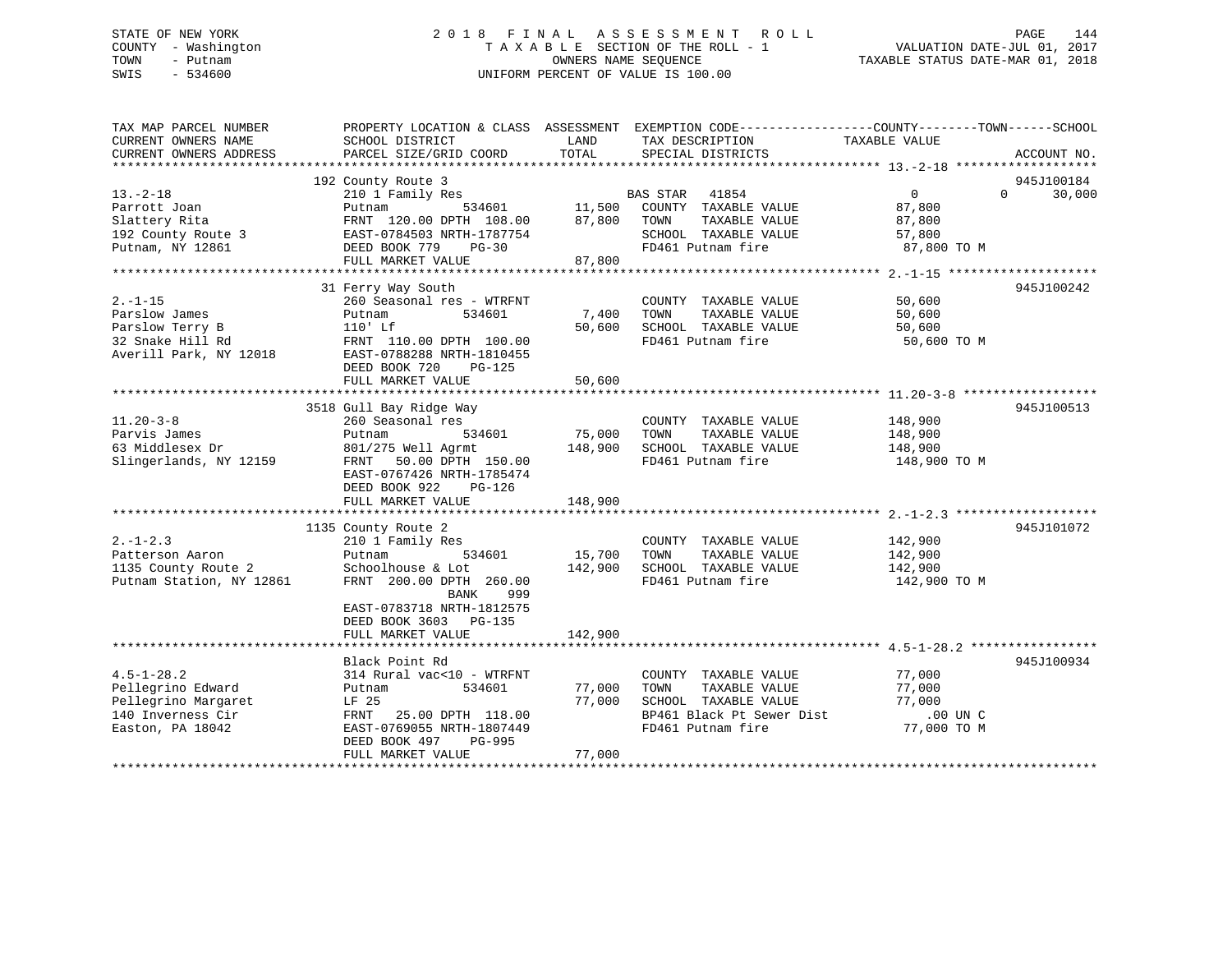### STATE OF NEW YORK 2 0 1 8 F I N A L A S S E S S M E N T R O L L PAGE 144 COUNTY - Washington T A X A B L E SECTION OF THE ROLL - 1 VALUATION DATE-JUL 01, 2017 TOWN - Putnam **CONNERS NAME SEQUENCE** TAXABLE STATUS DATE-MAR 01, 2018 SWIS - 534600 UNIFORM PERCENT OF VALUE IS 100.00

| TAX MAP PARCEL NUMBER<br>CURRENT OWNERS NAME                                                          | PROPERTY LOCATION & CLASS ASSESSMENT EXEMPTION CODE----------------COUNTY-------TOWN------SCHOOL<br>SCHOOL DISTRICT                                                   | LAND              | TAX DESCRIPTION                                                                                                         | TAXABLE VALUE                                                           |             |
|-------------------------------------------------------------------------------------------------------|-----------------------------------------------------------------------------------------------------------------------------------------------------------------------|-------------------|-------------------------------------------------------------------------------------------------------------------------|-------------------------------------------------------------------------|-------------|
| CURRENT OWNERS ADDRESS                                                                                | PARCEL SIZE/GRID COORD                                                                                                                                                | TOTAL             | SPECIAL DISTRICTS                                                                                                       |                                                                         | ACCOUNT NO. |
|                                                                                                       | 192 County Route 3                                                                                                                                                    |                   |                                                                                                                         |                                                                         | 945J100184  |
| $13. - 2 - 18$<br>Parrott Joan<br>Slattery Rita<br>192 County Route 3<br>Putnam, NY 12861             | 210 1 Family Res<br>534601<br>Putnam<br>FRNT 120.00 DPTH 108.00<br>EAST-0784503 NRTH-1787754<br>DEED BOOK 779<br>$PG-30$                                              | 11,500<br>87,800  | BAS STAR 41854<br>COUNTY TAXABLE VALUE<br>TOWN<br>TAXABLE VALUE<br>SCHOOL TAXABLE VALUE<br>FD461 Putnam fire            | $\overline{0}$<br>$\Omega$<br>87,800<br>87,800<br>57,800<br>87,800 TO M | 30,000      |
|                                                                                                       | FULL MARKET VALUE                                                                                                                                                     | 87,800            |                                                                                                                         |                                                                         |             |
|                                                                                                       |                                                                                                                                                                       |                   |                                                                                                                         |                                                                         |             |
| $2. -1 - 15$<br>Parslow James<br>Parslow Terry B<br>32 Snake Hill Rd<br>Averill Park, NY 12018        | 31 Ferry Way South<br>260 Seasonal res - WTRFNT<br>534601<br>Putnam<br>$110'$ Lf<br>FRNT 110.00 DPTH 100.00<br>EAST-0788288 NRTH-1810455<br>DEED BOOK 720<br>$PG-125$ | 7,400<br>50,600   | COUNTY TAXABLE VALUE<br>TOWN<br>TAXABLE VALUE<br>SCHOOL TAXABLE VALUE<br>FD461 Putnam fire                              | 50,600<br>50,600<br>50,600<br>50,600 TO M                               | 945J100242  |
|                                                                                                       | FULL MARKET VALUE                                                                                                                                                     | 50,600            |                                                                                                                         |                                                                         |             |
|                                                                                                       | 3518 Gull Bay Ridge Way                                                                                                                                               |                   |                                                                                                                         |                                                                         | 945J100513  |
| $11.20 - 3 - 8$<br>Parvis James<br>63 Middlesex Dr<br>Slingerlands, NY 12159                          | 260 Seasonal res<br>534601<br>Putnam<br>801/275 Well Agrmt<br>50.00 DPTH 150.00<br>FRNT<br>EAST-0767426 NRTH-1785474<br>DEED BOOK 922<br>PG-126                       | 75,000<br>148,900 | COUNTY TAXABLE VALUE<br>TOWN<br>TAXABLE VALUE<br>SCHOOL TAXABLE VALUE<br>FD461 Putnam fire                              | 148,900<br>148,900<br>148,900<br>148,900 TO M                           |             |
|                                                                                                       | FULL MARKET VALUE                                                                                                                                                     | 148,900           |                                                                                                                         |                                                                         |             |
|                                                                                                       | 1135 County Route 2                                                                                                                                                   |                   |                                                                                                                         |                                                                         | 945J101072  |
| $2. - 1 - 2.3$<br>Patterson Aaron<br>1135 County Route 2<br>Putnam Station, NY 12861                  | 210 1 Family Res<br>534601<br>Putnam<br>Schoolhouse & Lot<br>FRNT 200.00 DPTH 260.00<br>BANK<br>999                                                                   | 15,700<br>142,900 | COUNTY TAXABLE VALUE<br>TOWN<br>TAXABLE VALUE<br>SCHOOL TAXABLE VALUE<br>FD461 Putnam fire                              | 142,900<br>142,900<br>142,900<br>142,900 TO M                           |             |
|                                                                                                       | EAST-0783718 NRTH-1812575<br>DEED BOOK 3603 PG-135<br>FULL MARKET VALUE                                                                                               | 142,900           |                                                                                                                         |                                                                         |             |
|                                                                                                       |                                                                                                                                                                       |                   |                                                                                                                         |                                                                         |             |
| $4.5 - 1 - 28.2$<br>Pellegrino Edward<br>Pellegrino Margaret<br>140 Inverness Cir<br>Easton, PA 18042 | Black Point Rd<br>314 Rural vac<10 - WTRFNT<br>534601<br>Putnam<br>LF 25<br>FRNT<br>25.00 DPTH 118.00<br>EAST-0769055 NRTH-1807449<br>DEED BOOK 497<br>PG-995         | 77,000<br>77,000  | COUNTY TAXABLE VALUE<br>TAXABLE VALUE<br>TOWN<br>SCHOOL TAXABLE VALUE<br>BP461 Black Pt Sewer Dist<br>FD461 Putnam fire | 77,000<br>77,000<br>77,000<br>.00 UN C<br>77,000 TO M                   | 945J100934  |
|                                                                                                       | FULL MARKET VALUE                                                                                                                                                     | 77,000            |                                                                                                                         |                                                                         |             |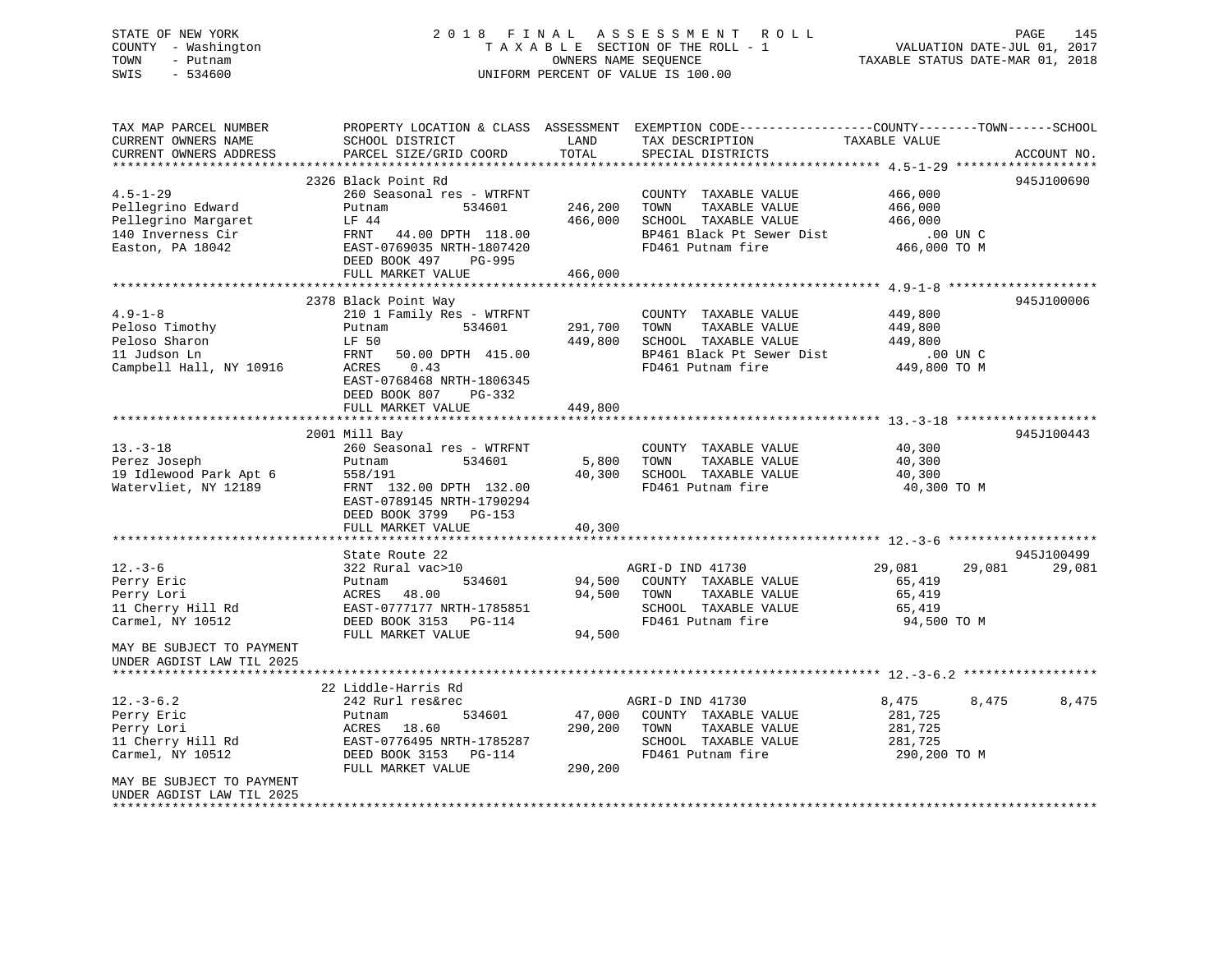## STATE OF NEW YORK 2 0 1 8 F I N A L A S S E S S M E N T R O L L PAGE 145 COUNTY - Washington T A X A B L E SECTION OF THE ROLL - 1 VALUATION DATE-JUL 01, 2017 TOWN - Putnam **CONNERS NAME SEQUENCE** TAXABLE STATUS DATE-MAR 01, 2018 SWIS - 534600 UNIFORM PERCENT OF VALUE IS 100.00

| TAX MAP PARCEL NUMBER                    |                                                  |                    | PROPERTY LOCATION & CLASS ASSESSMENT EXEMPTION CODE----------------COUNTY-------TOWN------SCHOOL |                          |                  |
|------------------------------------------|--------------------------------------------------|--------------------|--------------------------------------------------------------------------------------------------|--------------------------|------------------|
| CURRENT OWNERS NAME                      | SCHOOL DISTRICT                                  | LAND               | TAX DESCRIPTION                                                                                  | TAXABLE VALUE            |                  |
| CURRENT OWNERS ADDRESS                   | PARCEL SIZE/GRID COORD                           | TOTAL              | SPECIAL DISTRICTS                                                                                |                          | ACCOUNT NO.      |
|                                          |                                                  |                    |                                                                                                  |                          | 945J100690       |
| $4.5 - 1 - 29$                           | 2326 Black Point Rd<br>260 Seasonal res - WTRFNT |                    |                                                                                                  |                          |                  |
|                                          |                                                  |                    | COUNTY TAXABLE VALUE<br>TAXABLE VALUE                                                            | 466,000                  |                  |
| Pellegrino Edward                        | 534601<br>Putnam<br>LF 44                        | 246,200<br>466,000 | TOWN<br>SCHOOL TAXABLE VALUE                                                                     | 466,000<br>466,000       |                  |
| Pellegrino Margaret<br>140 Inverness Cir | FRNT<br>44.00 DPTH 118.00                        |                    | BP461 Black Pt Sewer Dist                                                                        | .00 UN C                 |                  |
| Easton, PA 18042                         | EAST-0769035 NRTH-1807420                        |                    | FD461 Putnam fire                                                                                | UN C.<br>466,000 TO M    |                  |
|                                          | DEED BOOK 497<br>PG-995                          |                    |                                                                                                  |                          |                  |
|                                          | FULL MARKET VALUE                                | 466,000            |                                                                                                  |                          |                  |
|                                          |                                                  |                    |                                                                                                  |                          |                  |
|                                          | 2378 Black Point Way                             |                    |                                                                                                  |                          | 945J100006       |
| $4.9 - 1 - 8$                            | 210 1 Family Res - WTRFNT                        |                    | COUNTY TAXABLE VALUE                                                                             | 449,800                  |                  |
| Peloso Timothy                           | 534601<br>Putnam                                 | 291,700            | TOWN<br>TAXABLE VALUE                                                                            | 449,800                  |                  |
| Peloso Sharon                            | LF 50                                            | 449,800            | SCHOOL TAXABLE VALUE                                                                             | 449,800                  |                  |
| 11 Judson Ln                             | 50.00 DPTH 415.00<br>FRNT                        |                    | BP461 Black Pt Sewer Dist                                                                        | .00 UN C                 |                  |
| Campbell Hall, NY 10916                  | 0.43<br>ACRES                                    |                    | FD461 Putnam fire                                                                                | ں ∪0.<br>10 GP, 849, 449 |                  |
|                                          | EAST-0768468 NRTH-1806345                        |                    |                                                                                                  |                          |                  |
|                                          | DEED BOOK 807<br>PG-332                          |                    |                                                                                                  |                          |                  |
|                                          | FULL MARKET VALUE                                | 449,800            |                                                                                                  |                          |                  |
|                                          |                                                  |                    |                                                                                                  |                          |                  |
|                                          | 2001 Mill Bay                                    |                    |                                                                                                  |                          | 945J100443       |
| $13. - 3 - 18$                           | 260 Seasonal res - WTRFNT                        |                    | COUNTY TAXABLE VALUE                                                                             | 40,300                   |                  |
| Perez Joseph                             | 534601<br>Putnam                                 | 5,800              | TAXABLE VALUE<br>TOWN                                                                            | 40,300                   |                  |
| 19 Idlewood Park Apt 6                   | 558/191                                          | 40,300             | SCHOOL TAXABLE VALUE                                                                             | 40,300                   |                  |
| Watervliet, NY 12189                     | FRNT 132.00 DPTH 132.00                          |                    | FD461 Putnam fire                                                                                | 40,300 TO M              |                  |
|                                          | EAST-0789145 NRTH-1790294                        |                    |                                                                                                  |                          |                  |
|                                          | DEED BOOK 3799 PG-153                            |                    |                                                                                                  |                          |                  |
|                                          | FULL MARKET VALUE                                | 40,300             |                                                                                                  |                          |                  |
|                                          | State Route 22                                   |                    |                                                                                                  |                          | 945J100499       |
| $12. - 3 - 6$                            |                                                  |                    |                                                                                                  | 29,081                   | 29,081<br>29,081 |
| Perry Eric                               | 322 Rural vac>10<br>534601<br>Putnam             | 94,500             | AGRI-D IND 41730<br>COUNTY TAXABLE VALUE                                                         | 65,419                   |                  |
| Perry Lori                               | ACRES<br>48.00                                   | 94,500             | TOWN<br>TAXABLE VALUE                                                                            | 65,419                   |                  |
| 11 Cherry Hill Rd                        | EAST-0777177 NRTH-1785851                        |                    | SCHOOL TAXABLE VALUE                                                                             | 65,419                   |                  |
| Carmel, NY 10512                         | DEED BOOK 3153 PG-114                            |                    | FD461 Putnam fire                                                                                | 94,500 TO M              |                  |
|                                          | FULL MARKET VALUE                                | 94,500             |                                                                                                  |                          |                  |
| MAY BE SUBJECT TO PAYMENT                |                                                  |                    |                                                                                                  |                          |                  |
| UNDER AGDIST LAW TIL 2025                |                                                  |                    |                                                                                                  |                          |                  |
|                                          |                                                  |                    |                                                                                                  |                          |                  |
|                                          | 22 Liddle-Harris Rd                              |                    |                                                                                                  |                          |                  |
| $12. - 3 - 6.2$                          | 242 Rurl res&rec                                 |                    | AGRI-D IND 41730                                                                                 | 8,475                    | 8,475<br>8,475   |
| Perry Eric                               | 534601<br>Putnam                                 | 47,000             | COUNTY TAXABLE VALUE                                                                             | 281,725                  |                  |
| Perry Lori                               | 18.60<br>ACRES                                   | 290,200            | TAXABLE VALUE<br>TOWN                                                                            | 281,725                  |                  |
| 11 Cherry Hill Rd                        | EAST-0776495 NRTH-1785287                        |                    | SCHOOL TAXABLE VALUE                                                                             | 281,725                  |                  |
| Carmel, NY 10512                         | DEED BOOK 3153 PG-114                            |                    | FD461 Putnam fire                                                                                | 290,200 TO M             |                  |
|                                          | FULL MARKET VALUE                                | 290,200            |                                                                                                  |                          |                  |
| MAY BE SUBJECT TO PAYMENT                |                                                  |                    |                                                                                                  |                          |                  |
| UNDER AGDIST LAW TIL 2025                |                                                  |                    |                                                                                                  |                          |                  |
|                                          |                                                  |                    |                                                                                                  |                          |                  |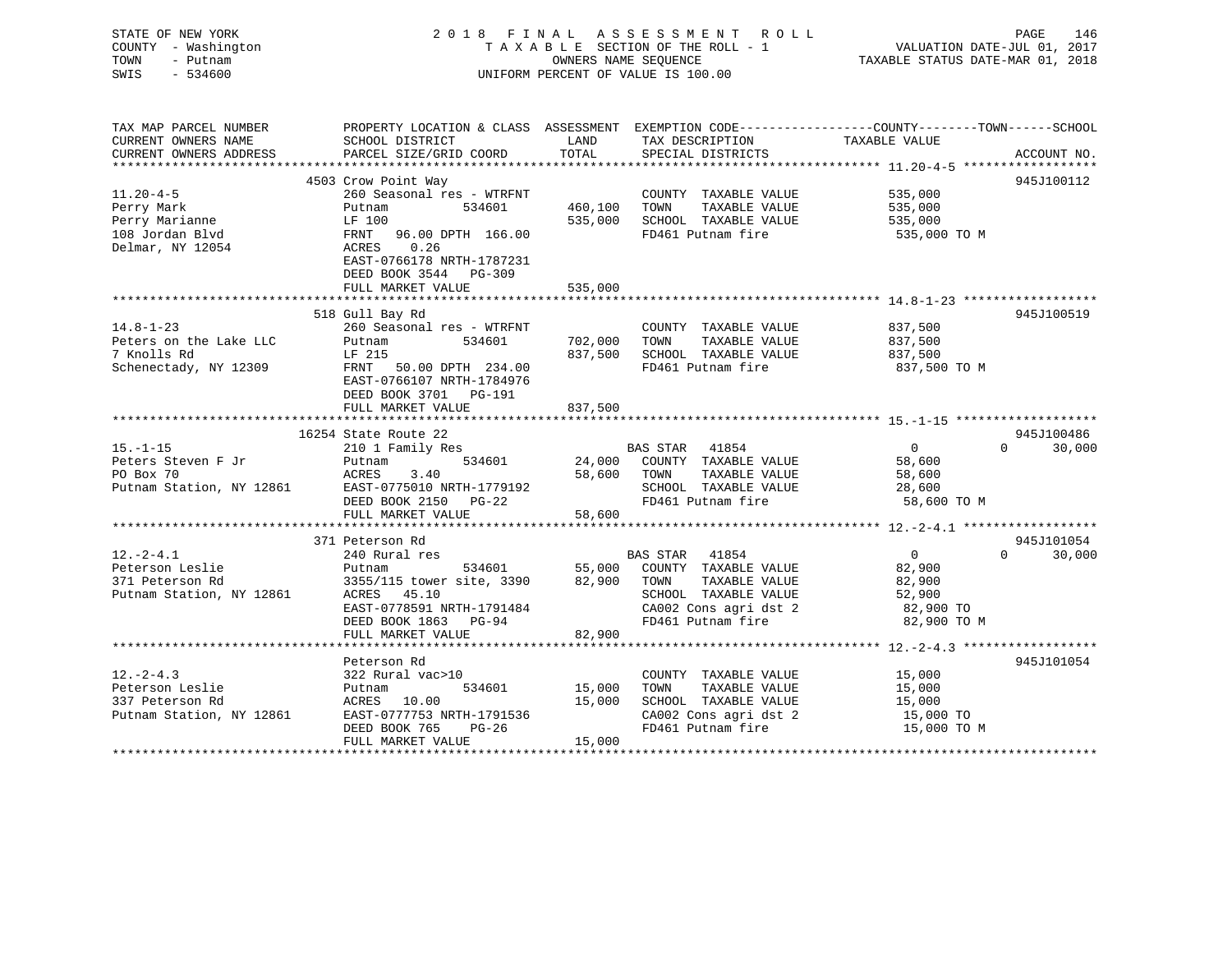| STATE OF NEW YORK<br>COUNTY - Washington<br>TOWN<br>- Putnam<br>SWIS<br>$-534600$ |                                                                              | OWNERS NAME SEQUENCE | 2018 FINAL ASSESSMENT ROLL<br>TAXABLE SECTION OF THE ROLL - 1<br>UNIFORM PERCENT OF VALUE IS 100.00 | PAGE<br>146<br>VALUATION DATE-JUL 01, 2017<br>TAXABLE STATUS DATE-MAR 01, 2018                  |
|-----------------------------------------------------------------------------------|------------------------------------------------------------------------------|----------------------|-----------------------------------------------------------------------------------------------------|-------------------------------------------------------------------------------------------------|
| TAX MAP PARCEL NUMBER                                                             |                                                                              |                      |                                                                                                     | PROPERTY LOCATION & CLASS ASSESSMENT EXEMPTION CODE---------------COUNTY-------TOWN------SCHOOL |
| CURRENT OWNERS NAME                                                               | SCHOOL DISTRICT                                                              | LAND<br>TOTAL        | TAX DESCRIPTION                                                                                     | TAXABLE VALUE                                                                                   |
| CURRENT OWNERS ADDRESS<br>***********************                                 | PARCEL SIZE/GRID COORD                                                       |                      | SPECIAL DISTRICTS                                                                                   | ACCOUNT NO.                                                                                     |
|                                                                                   | 4503 Crow Point Way                                                          |                      |                                                                                                     | 945J100112                                                                                      |
| $11.20 - 4 - 5$                                                                   | 260 Seasonal res - WTRFNT                                                    |                      | COUNTY TAXABLE VALUE                                                                                | 535,000                                                                                         |
| Perry Mark                                                                        | 534601<br>Putnam                                                             | 460,100              | TOWN<br>TAXABLE VALUE                                                                               | 535,000                                                                                         |
| Perry Marianne                                                                    | LF 100                                                                       | 535,000              | SCHOOL TAXABLE VALUE                                                                                | 535,000                                                                                         |
| 108 Jordan Blvd                                                                   | FRNT<br>96.00 DPTH 166.00                                                    |                      | FD461 Putnam fire                                                                                   | 535,000 TO M                                                                                    |
| Delmar, NY 12054                                                                  | ACRES<br>0.26<br>EAST-0766178 NRTH-1787231<br>DEED BOOK 3544 PG-309          |                      |                                                                                                     |                                                                                                 |
|                                                                                   | FULL MARKET VALUE                                                            | 535,000              |                                                                                                     |                                                                                                 |
|                                                                                   | ************************                                                     | ******************   |                                                                                                     |                                                                                                 |
|                                                                                   | 518 Gull Bay Rd                                                              |                      |                                                                                                     | 945J100519                                                                                      |
| $14.8 - 1 - 23$                                                                   | 260 Seasonal res - WTRFNT                                                    |                      | COUNTY TAXABLE VALUE                                                                                | 837,500                                                                                         |
| Peters on the Lake LLC                                                            | 534601<br>Putnam                                                             | 702,000              | TAXABLE VALUE<br>TOWN                                                                               | 837,500                                                                                         |
| 7 Knolls Rd                                                                       | LF 215                                                                       | 837,500              | SCHOOL TAXABLE VALUE                                                                                | 837,500                                                                                         |
| Schenectady, NY 12309                                                             | FRNT 50.00 DPTH 234.00<br>EAST-0766107 NRTH-1784976<br>DEED BOOK 3701 PG-191 |                      | FD461 Putnam fire                                                                                   | 837,500 TO M                                                                                    |
|                                                                                   | FULL MARKET VALUE                                                            | 837,500              |                                                                                                     |                                                                                                 |
|                                                                                   |                                                                              |                      |                                                                                                     |                                                                                                 |
|                                                                                   | 16254 State Route 22                                                         |                      |                                                                                                     | 945J100486                                                                                      |
| $15. - 1 - 15$<br>Peters Steven F Jr                                              | 210 1 Family Res<br>534601<br>Putnam                                         | 24,000               | BAS STAR 41854<br>COUNTY TAXABLE VALUE                                                              | $\overline{0}$<br>$\Omega$ and $\Omega$<br>30,000<br>58,600                                     |
| PO Box 70                                                                         | 3.40<br>ACRES                                                                |                      | 58,600 TOWN<br>TAXABLE VALUE                                                                        | 58,600                                                                                          |
| Putnam Station, NY 12861                                                          | EAST-0775010 NRTH-1779192                                                    |                      | SCHOOL TAXABLE VALUE                                                                                | 28,600                                                                                          |
|                                                                                   | DEED BOOK 2150 PG-22                                                         |                      | FD461 Putnam fire                                                                                   | 58,600 TO M                                                                                     |
|                                                                                   | FULL MARKET VALUE                                                            | 58,600               |                                                                                                     |                                                                                                 |
|                                                                                   |                                                                              |                      |                                                                                                     |                                                                                                 |
|                                                                                   | 371 Peterson Rd                                                              |                      |                                                                                                     | 945J101054                                                                                      |
| $12.-2-4.1$                                                                       | 240 Rural res                                                                |                      | BAS STAR 41854                                                                                      | $\overline{0}$<br>30,000<br>$\Omega$                                                            |
| Peterson Leslie                                                                   | 534601<br>Putnam                                                             | 55,000               | COUNTY TAXABLE VALUE                                                                                | 82,900                                                                                          |
| 371 Peterson Rd                                                                   | 3355/115 tower site, 3390                                                    | 82,900               | TAXABLE VALUE<br>TOWN                                                                               | 82,900                                                                                          |
| Putnam Station, NY 12861                                                          | ACRES<br>45.10                                                               |                      | SCHOOL TAXABLE VALUE                                                                                | 52,900                                                                                          |
|                                                                                   | EAST-0778591 NRTH-1791484<br>DEED BOOK 1863 PG-94                            |                      | CA002 Cons agri dst 2<br>FD461 Putnam fire                                                          | 82,900 TO<br>82,900 TO M                                                                        |
|                                                                                   | FULL MARKET VALUE                                                            | 82,900               |                                                                                                     |                                                                                                 |
|                                                                                   |                                                                              |                      |                                                                                                     |                                                                                                 |
|                                                                                   | Peterson Rd                                                                  |                      |                                                                                                     | 945J101054                                                                                      |
| $12. - 2 - 4.3$                                                                   | 322 Rural vac>10                                                             |                      | COUNTY TAXABLE VALUE                                                                                | 15,000                                                                                          |
| Peterson Leslie                                                                   | 534601<br>Putnam                                                             | 15,000               | TOWN<br>TAXABLE VALUE                                                                               | 15,000                                                                                          |
| 337 Peterson Rd                                                                   | ACRES 10.00                                                                  | 15,000               | SCHOOL TAXABLE VALUE                                                                                | 15,000                                                                                          |
| Putnam Station, NY 12861                                                          | EAST-0777753 NRTH-1791536                                                    |                      | CA002 Cons agri dst 2                                                                               | 15,000 TO                                                                                       |
|                                                                                   | DEED BOOK 765<br>$PG-26$                                                     |                      | FD461 Putnam fire                                                                                   | 15,000 TO M                                                                                     |
| <b>+++++++++++++++++++++++</b>                                                    | FULL MARKET VALUE                                                            | 15,000               |                                                                                                     |                                                                                                 |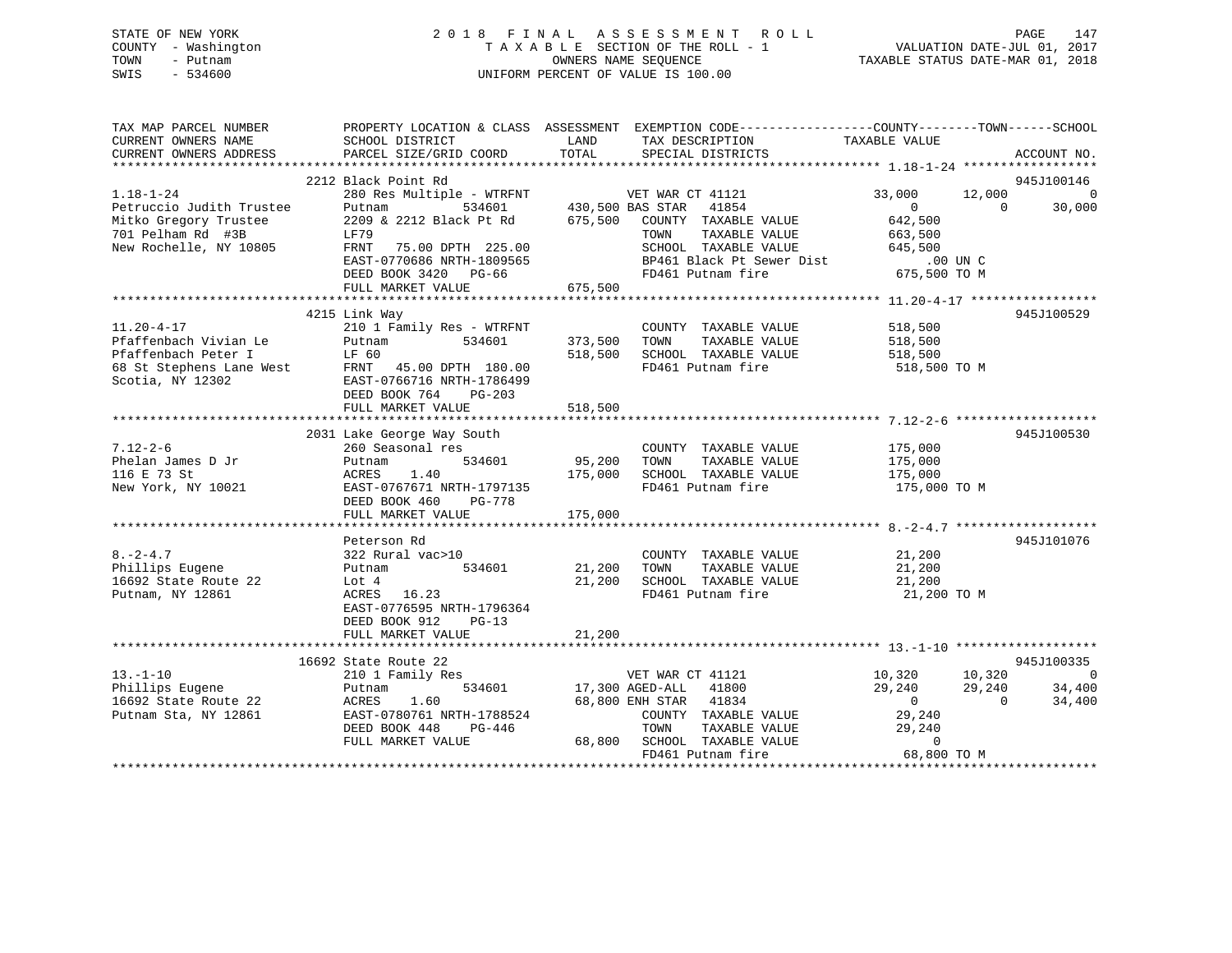## STATE OF NEW YORK 2 0 1 8 F I N A L A S S E S S M E N T R O L L PAGE 147 COUNTY - Washington T A X A B L E SECTION OF THE ROLL - 1 VALUATION DATE-JUL 01, 2017 TOWN - Putnam OWNERS NAME SEQUENCE TAXABLE STATUS DATE-MAR 01, 2018 SWIS - 534600 UNIFORM PERCENT OF VALUE IS 100.00

| TAX MAP PARCEL NUMBER<br>CURRENT OWNERS NAME<br>CURRENT OWNERS ADDRESS                                                                                           | SCHOOL DISTRICT<br>PARCEL SIZE/GRID COORD                                                                                                                                      | PROPERTY LOCATION & CLASS ASSESSMENT EXEMPTION CODE---------------COUNTY-------TOWN-----SCHOOL<br>TAX DESCRIPTION TAXABLE VALUE<br>LAND<br>TOTAL<br>SPECIAL DISTRICTS                                                                                            | ACCOUNT NO.                                                                                                                                                                           |
|------------------------------------------------------------------------------------------------------------------------------------------------------------------|--------------------------------------------------------------------------------------------------------------------------------------------------------------------------------|------------------------------------------------------------------------------------------------------------------------------------------------------------------------------------------------------------------------------------------------------------------|---------------------------------------------------------------------------------------------------------------------------------------------------------------------------------------|
| $1.18 - 1 - 24$<br>Petruccio Judith Trustee<br>Mitko Gregory Trustee<br>701 Pelham Rd #3B<br>New Rochelle, NY 10805                                              | 2212 Black Point Rd<br>Putnam<br>LF79<br>FRNT<br>75.00 DPTH 225.00<br>EAST-0770686 NRTH-1809565<br>DEED BOOK 3420 PG-66<br>FULL MARKET VALUE                                   | 280 Res Multiple - WTRFNT WET WAR CT 41121<br>$534601$ 430,500 BAS STAR 41854<br>2209 & 2212 Black Pt Rd 675,500 COUNTY TAXABLE VALUE<br>TAXABLE VALUE<br>TOWN<br>TOWN TAAADDE VALUE 645,500<br>SCHOOL TAXABLE VALUE 645,500 UNC<br>FD461 Putnam fire<br>675,500 | 945J100146<br>33,000<br>12,000<br>$\overline{0}$<br>$\overline{0}$<br>$\overline{0}$<br>30,000<br>642,500<br>663,500<br>675,500 TO M                                                  |
| $11.20 - 4 - 17$<br>Pfaffenbach Vivian Le<br>Plailembach vierner<br>Pfaffenbach Peter I<br>68 St Stephens Lane West<br>- Alexandrian Vierner<br>Scotia, NY 12302 | 4215 Link Way<br>210 1 Family Res - WTRFNT<br>Putnam<br>534601<br>LF 60<br>FRNT 45.00 DPTH 180.00<br>EAST-0766716 NRTH-1786499<br>DEED BOOK 764<br>PG-203<br>FULL MARKET VALUE | COUNTY TAXABLE VALUE<br>373,500<br>TOWN<br>TAXABLE VALUE<br>518,500<br>SCHOOL TAXABLE VALUE 518,500<br>FD461 Putnam fire<br>518,500                                                                                                                              | 945J100529<br>518,500<br>518,500<br>518,500 TO M                                                                                                                                      |
| $7.12 - 2 - 6$<br>Phelan James D Jr<br>116 E 73 St<br>New York, NY 10021                                                                                         | 2031 Lake George Way South<br>260 Seasonal res<br>534601<br>Putnam<br>ACRES<br>1.40<br>EAST-0767671 NRTH-1797135<br>DEED BOOK 460<br>PG-778<br>FULL MARKET VALUE               | COUNTY TAXABLE VALUE<br>95,200<br>TOWN<br>TAXABLE VALUE<br>175,000<br>SCHOOL TAXABLE VALUE<br>FD461 Putnam fire<br>175,000                                                                                                                                       | 945J100530<br>175,000<br>175,000<br>175,000<br>175,000 TO M                                                                                                                           |
| $8. -2 - 4.7$<br>Phillips Eugene<br>16692 State Route 22<br>Putnam, NY 12861                                                                                     | Peterson Rd<br>322 Rural vac>10<br>534601<br>Putnam<br>Lot 4<br>ACRES 16.23<br>EAST-0776595 NRTH-1796364<br>DEED BOOK 912<br>$PG-13$<br>FULL MARKET VALUE                      | COUNTY TAXABLE VALUE<br>21,200<br>TOWN<br>TAXABLE VALUE<br>21,200<br>SCHOOL TAXABLE VALUE<br>FD461 Putnam fire<br>21,200                                                                                                                                         | 945J101076<br>21,200<br>21,200<br>21,200<br>21,200 TO M                                                                                                                               |
| $13.-1-10$<br>Phillips Eugene<br>16692 State Route 22<br>Putnam Sta, NY 12861                                                                                    | 16692 State Route 22<br>210 1 Family Res<br>534601<br>Putnam<br>ACRES<br>1.60<br>EAST-0780761 NRTH-1788524<br>DEED BOOK 448<br>PG-446<br>FULL MARKET VALUE                     | VET WAR CT 41121<br>17,300 AGED-ALL 41800<br>68,800 ENH STAR 41834<br>COUNTY TAXABLE VALUE<br>TOWN<br>TAXABLE VALUE<br>68,800 SCHOOL TAXABLE VALUE<br>FD461 Putnam fire                                                                                          | 945J100335<br>10,320<br>$\overline{\phantom{0}}$<br>10,320<br>29,240<br>29,240<br>34,400<br>34,400<br>$\overline{0}$<br>$\overline{0}$<br>29,240<br>29,240<br>$\Omega$<br>68,800 TO M |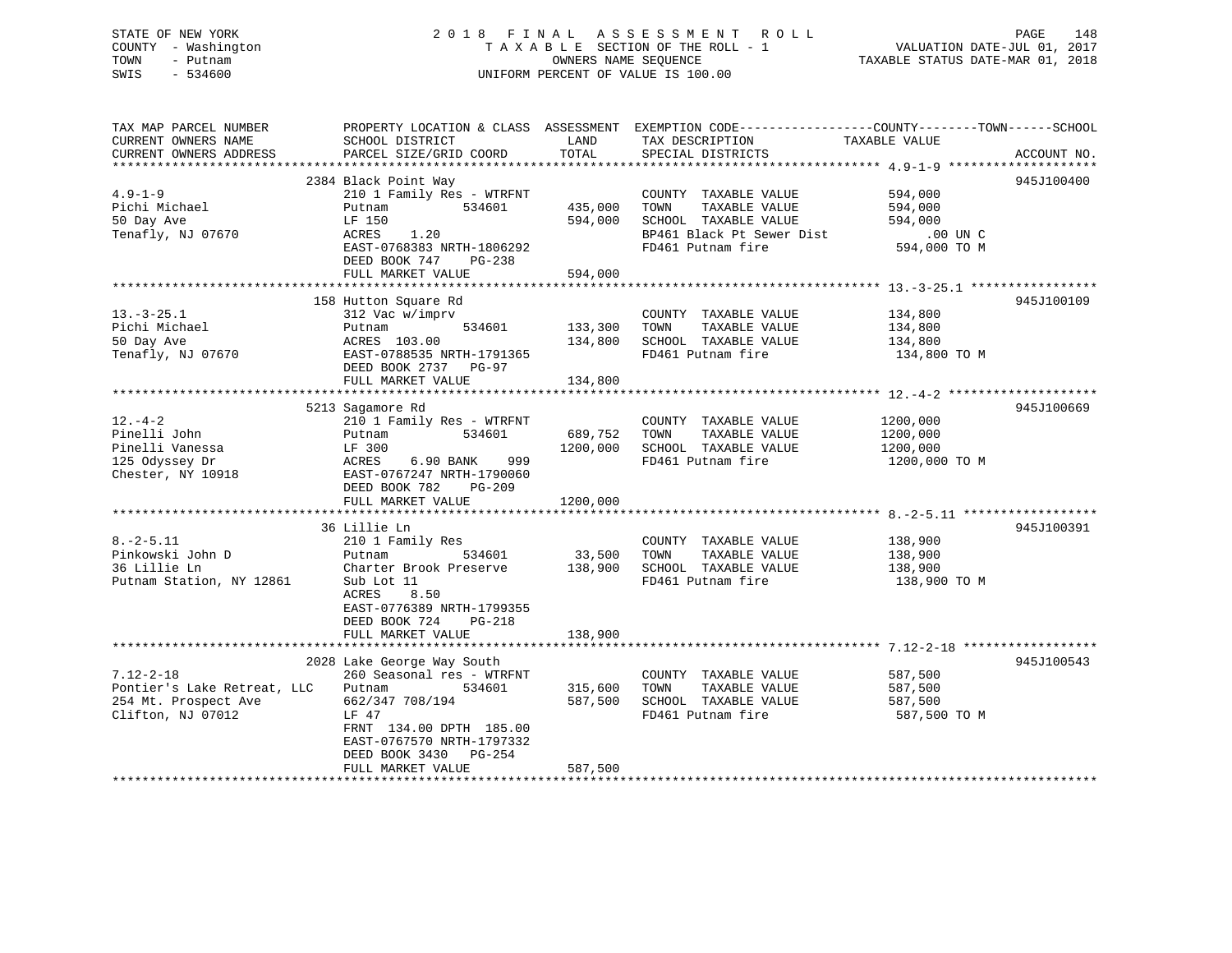## STATE OF NEW YORK 2 0 1 8 F I N A L A S S E S S M E N T R O L L PAGE 148 COUNTY - Washington T A X A B L E SECTION OF THE ROLL - 1 VALUATION DATE-JUL 01, 2017 TOWN - Putnam OWNERS NAME SEQUENCE TAXABLE STATUS DATE-MAR 01, 2018 SWIS - 534600 UNIFORM PERCENT OF VALUE IS 100.00

TAX MAP PARCEL NUMBER PROPERTY LOCATION & CLASS ASSESSMENT EXEMPTION CODE------------------COUNTY--------TOWN------SCHOOL

| CURRENT OWNERS NAME         | SCHOOL DISTRICT            | LAND     | TAX DESCRIPTION           | TAXABLE VALUE |             |
|-----------------------------|----------------------------|----------|---------------------------|---------------|-------------|
| CURRENT OWNERS ADDRESS      | PARCEL SIZE/GRID COORD     | TOTAL    | SPECIAL DISTRICTS         |               | ACCOUNT NO. |
|                             |                            |          |                           |               |             |
|                             | 2384 Black Point Way       |          |                           |               | 945J100400  |
| $4.9 - 1 - 9$               | 210 1 Family Res - WTRFNT  |          | COUNTY TAXABLE VALUE      | 594,000       |             |
| Pichi Michael               | Putnam<br>534601           | 435,000  | TOWN<br>TAXABLE VALUE     | 594,000       |             |
| 50 Day Ave                  | LF 150                     | 594,000  | SCHOOL TAXABLE VALUE      | 594,000       |             |
| Tenafly, NJ 07670           | ACRES<br>1.20              |          | BP461 Black Pt Sewer Dist | $.00$ UN C    |             |
|                             | EAST-0768383 NRTH-1806292  |          | FD461 Putnam fire         | 594,000 TO M  |             |
|                             | DEED BOOK 747<br>$PG-238$  |          |                           |               |             |
|                             | FULL MARKET VALUE          | 594,000  |                           |               |             |
|                             |                            |          |                           |               |             |
|                             | 158 Hutton Square Rd       |          |                           |               | 945J100109  |
| $13.-3-25.1$                | 312 Vac w/imprv            |          | COUNTY TAXABLE VALUE      | 134,800       |             |
| Pichi Michael               | 534601<br>Putnam           | 133,300  | TOWN<br>TAXABLE VALUE     | 134,800       |             |
| 50 Day Ave                  | ACRES 103.00               | 134,800  | SCHOOL TAXABLE VALUE      | 134,800       |             |
| Tenafly, NJ 07670           | EAST-0788535 NRTH-1791365  |          | FD461 Putnam fire         | 134,800 TO M  |             |
|                             | DEED BOOK 2737 PG-97       |          |                           |               |             |
|                             | FULL MARKET VALUE          | 134,800  |                           |               |             |
|                             |                            |          |                           |               |             |
|                             |                            |          |                           |               |             |
|                             | 5213 Sagamore Rd           |          |                           |               | 945J100669  |
| $12. - 4 - 2$               | 210 1 Family Res - WTRFNT  |          | COUNTY TAXABLE VALUE      | 1200,000      |             |
| Pinelli John                | 534601<br>Putnam           | 689,752  | TAXABLE VALUE<br>TOWN     | 1200,000      |             |
| Pinelli Vanessa             | LF 300                     | 1200,000 | SCHOOL TAXABLE VALUE      | 1200,000      |             |
| 125 Odyssey Dr              | 999<br>ACRES<br>6.90 BANK  |          | FD461 Putnam fire         | 1200,000 TO M |             |
| Chester, NY 10918           | EAST-0767247 NRTH-1790060  |          |                           |               |             |
|                             | DEED BOOK 782<br>$PG-209$  |          |                           |               |             |
|                             | FULL MARKET VALUE          | 1200,000 |                           |               |             |
|                             |                            |          |                           |               |             |
|                             | 36 Lillie Ln               |          |                           |               | 945J100391  |
| $8. - 2 - 5.11$             | 210 1 Family Res           |          | COUNTY TAXABLE VALUE      | 138,900       |             |
| Pinkowski John D            | 534601<br>Putnam           | 33,500   | TAXABLE VALUE<br>TOWN     | 138,900       |             |
| 36 Lillie Ln                | Charter Brook Preserve     | 138,900  | SCHOOL TAXABLE VALUE      | 138,900       |             |
| Putnam Station, NY 12861    | Sub Lot 11                 |          | FD461 Putnam fire         | 138,900 TO M  |             |
|                             | 8.50<br>ACRES              |          |                           |               |             |
|                             | EAST-0776389 NRTH-1799355  |          |                           |               |             |
|                             | DEED BOOK 724<br>PG-218    |          |                           |               |             |
|                             | FULL MARKET VALUE          | 138,900  |                           |               |             |
|                             |                            |          |                           |               |             |
|                             | 2028 Lake George Way South |          |                           |               | 945J100543  |
| $7.12 - 2 - 18$             | 260 Seasonal res - WTRFNT  |          | COUNTY TAXABLE VALUE      | 587,500       |             |
| Pontier's Lake Retreat, LLC | 534601<br>Putnam           | 315,600  | TOWN<br>TAXABLE VALUE     | 587,500       |             |
| 254 Mt. Prospect Ave        | 662/347 708/194            | 587,500  | SCHOOL TAXABLE VALUE      | 587,500       |             |
|                             |                            |          | FD461 Putnam fire         |               |             |
| Clifton, NJ 07012           | LF 47                      |          |                           | 587,500 TO M  |             |
|                             | FRNT 134.00 DPTH 185.00    |          |                           |               |             |
|                             | EAST-0767570 NRTH-1797332  |          |                           |               |             |
|                             | DEED BOOK 3430<br>$PG-254$ |          |                           |               |             |
|                             | FULL MARKET VALUE          | 587,500  |                           |               |             |
|                             |                            |          |                           |               |             |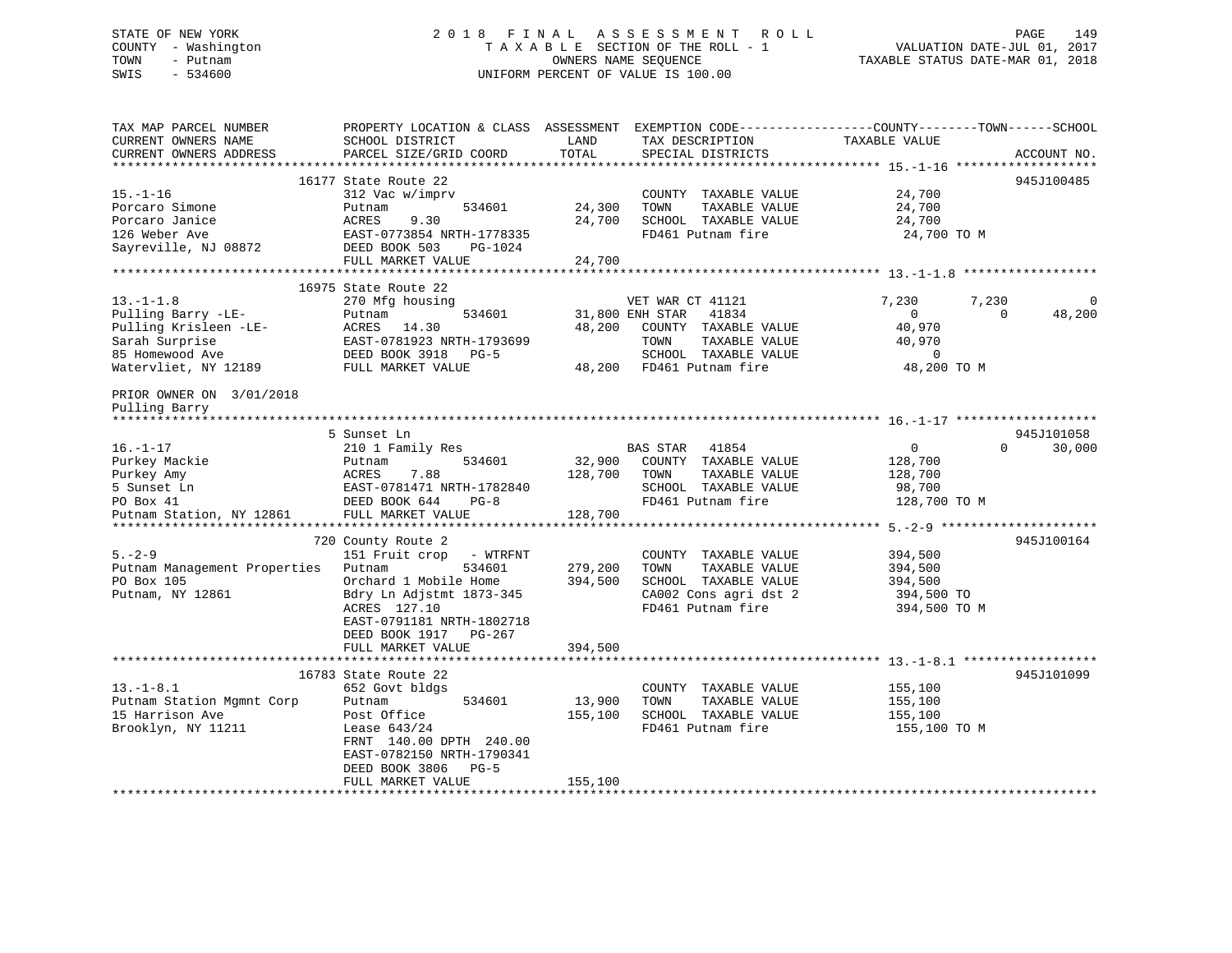## STATE OF NEW YORK 2 0 1 8 F I N A L A S S E S S M E N T R O L L PAGE 149 COUNTY - Washington T A X A B L E SECTION OF THE ROLL - 1 VALUATION DATE-JUL 01, 2017 TOWN - Putnam **CONNERS NAME SEQUENCE** TAXABLE STATUS DATE-MAR 01, 2018 SWIS - 534600 UNIFORM PERCENT OF VALUE IS 100.00

| TAX MAP PARCEL NUMBER        | PROPERTY LOCATION & CLASS ASSESSMENT             |         | EXEMPTION CODE-----------------COUNTY-------TOWN------SCHOOL |                |                    |
|------------------------------|--------------------------------------------------|---------|--------------------------------------------------------------|----------------|--------------------|
| CURRENT OWNERS NAME          | SCHOOL DISTRICT                                  | LAND    | TAX DESCRIPTION                                              | TAXABLE VALUE  |                    |
| CURRENT OWNERS ADDRESS       | PARCEL SIZE/GRID COORD                           | TOTAL   | SPECIAL DISTRICTS                                            |                | ACCOUNT NO.        |
|                              | 16177 State Route 22                             |         |                                                              |                | 945J100485         |
| $15. - 1 - 16$               | 312 Vac w/imprv                                  |         | COUNTY TAXABLE VALUE                                         | 24,700         |                    |
| Porcaro Simone               | Putnam<br>534601                                 | 24,300  | TOWN<br>TAXABLE VALUE                                        | 24,700         |                    |
| Porcaro Janice               | ACRES<br>9.30                                    | 24,700  | SCHOOL TAXABLE VALUE                                         | 24,700         |                    |
| 126 Weber Ave                | EAST-0773854 NRTH-1778335                        |         | FD461 Putnam fire                                            | 24,700 TO M    |                    |
| Sayreville, NJ 08872         | DEED BOOK 503<br>PG-1024                         |         |                                                              |                |                    |
|                              | FULL MARKET VALUE                                | 24,700  |                                                              |                |                    |
|                              |                                                  |         |                                                              |                |                    |
|                              | 16975 State Route 22                             |         |                                                              |                |                    |
| $13. - 1 - 1.8$              | 270 Mfg housing                                  |         | VET WAR CT 41121                                             | 7,230          | 7,230<br>$\Omega$  |
| Pulling Barry -LE-           | Putnam<br>534601                                 |         | 31,800 ENH STAR<br>41834                                     | $\overline{0}$ | $\Omega$<br>48,200 |
| Pulling Krisleen -LE-        | ACRES<br>14.30                                   | 48,200  | COUNTY TAXABLE VALUE                                         | 40,970         |                    |
| Sarah Surprise               | EAST-0781923 NRTH-1793699                        |         | TAXABLE VALUE<br>TOWN                                        | 40,970         |                    |
| 85 Homewood Ave              | DEED BOOK 3918<br>$PG-5$                         |         | SCHOOL TAXABLE VALUE                                         | $\mathbf 0$    |                    |
| Watervliet, NY 12189         | FULL MARKET VALUE                                |         | 48,200 FD461 Putnam fire                                     | 48,200 TO M    |                    |
| PRIOR OWNER ON 3/01/2018     |                                                  |         |                                                              |                |                    |
| Pulling Barry                |                                                  |         |                                                              |                |                    |
| **************               |                                                  |         |                                                              |                |                    |
|                              | 5 Sunset Ln                                      |         |                                                              |                | 945J101058         |
| $16. - 1 - 17$               | 210 1 Family Res                                 |         | <b>BAS STAR</b><br>41854                                     | $\overline{0}$ | 30,000<br>$\Omega$ |
| Purkey Mackie                | 534601<br>Putnam                                 | 32,900  | COUNTY TAXABLE VALUE                                         | 128,700        |                    |
| Purkey Amy                   | 7.88<br>ACRES                                    | 128,700 | TAXABLE VALUE<br>TOWN                                        | 128,700        |                    |
| 5 Sunset Ln                  | EAST-0781471 NRTH-1782840                        |         | SCHOOL TAXABLE VALUE                                         | 98,700         |                    |
| PO Box 41                    | DEED BOOK 644<br>$PG-8$                          |         | FD461 Putnam fire                                            | 128,700 TO M   |                    |
| Putnam Station, NY 12861     | FULL MARKET VALUE                                | 128,700 |                                                              |                |                    |
|                              |                                                  |         |                                                              |                | 945J100164         |
| $5. - 2 - 9$                 | 720 County Route 2<br>151 Fruit crop<br>- WTRFNT |         | COUNTY TAXABLE VALUE                                         | 394,500        |                    |
| Putnam Management Properties | Putnam<br>534601                                 | 279,200 | TAXABLE VALUE<br>TOWN                                        | 394,500        |                    |
| PO Box 105                   | Orchard 1 Mobile Home                            | 394,500 | SCHOOL TAXABLE VALUE                                         | 394,500        |                    |
| Putnam, NY 12861             | Bdry Ln Adjstmt 1873-345                         |         | CA002 Cons agri dst 2                                        | 394,500 TO     |                    |
|                              | ACRES 127.10                                     |         | FD461 Putnam fire                                            | 394,500 TO M   |                    |
|                              | EAST-0791181 NRTH-1802718                        |         |                                                              |                |                    |
|                              | DEED BOOK 1917 PG-267                            |         |                                                              |                |                    |
|                              | FULL MARKET VALUE                                | 394,500 |                                                              |                |                    |
|                              |                                                  |         |                                                              |                |                    |
|                              | 16783 State Route 22                             |         |                                                              |                | 945J101099         |
| $13.-1-8.1$                  | 652 Govt bldgs                                   |         | COUNTY TAXABLE VALUE                                         | 155,100        |                    |
| Putnam Station Mgmnt Corp    | 534601<br>Putnam                                 | 13,900  | TOWN<br>TAXABLE VALUE                                        | 155,100        |                    |
| 15 Harrison Ave              | Post Office                                      | 155,100 | SCHOOL TAXABLE VALUE                                         | 155,100        |                    |
| Brooklyn, NY 11211           | Lease $643/24$                                   |         | FD461 Putnam fire                                            | 155,100 TO M   |                    |
|                              | FRNT 140.00 DPTH 240.00                          |         |                                                              |                |                    |
|                              | EAST-0782150 NRTH-1790341                        |         |                                                              |                |                    |
|                              | DEED BOOK 3806<br>$PG-5$                         |         |                                                              |                |                    |
|                              | FULL MARKET VALUE                                | 155,100 |                                                              |                |                    |
|                              |                                                  |         |                                                              |                |                    |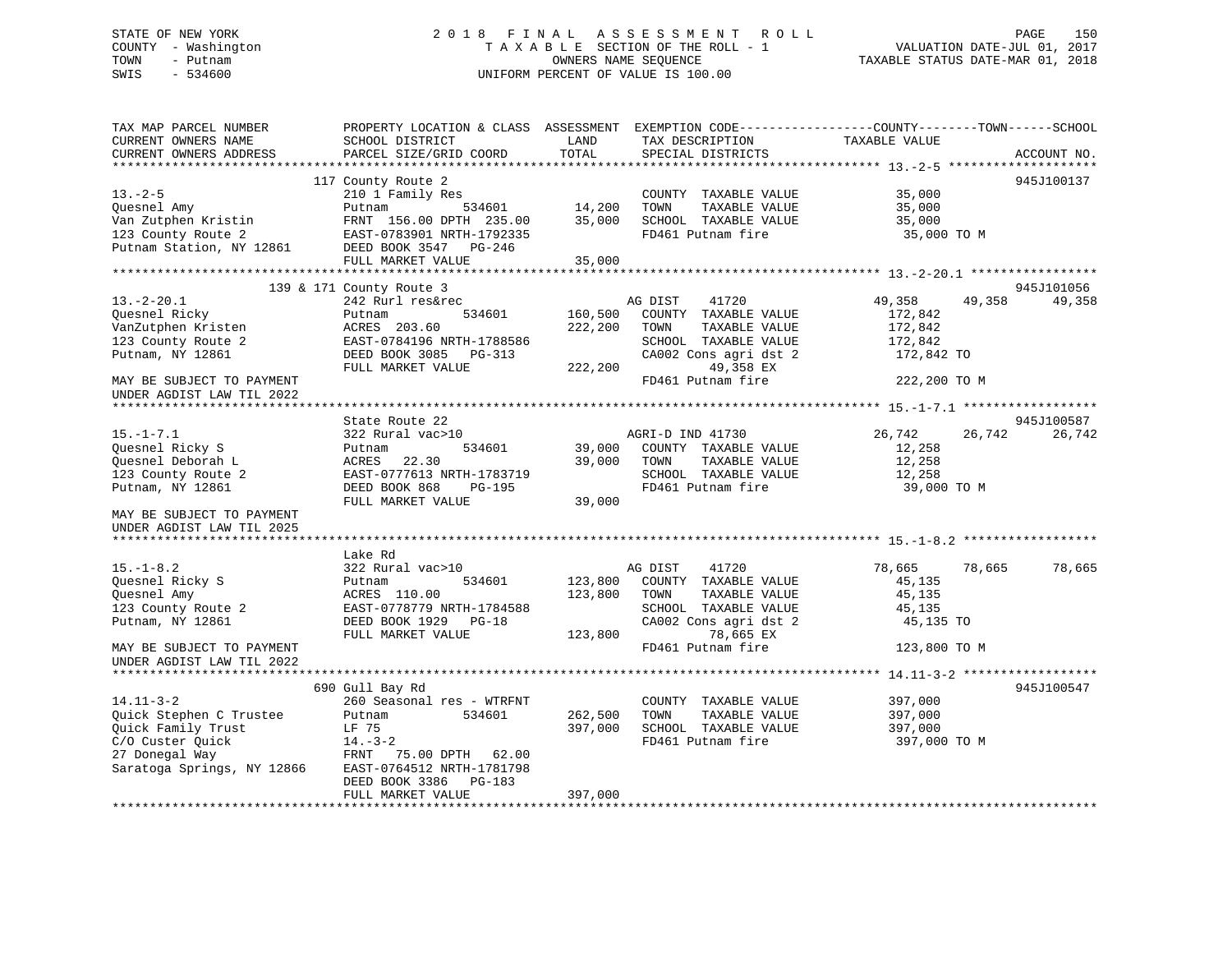## STATE OF NEW YORK 2 0 1 8 F I N A L A S S E S S M E N T R O L L PAGE 150 COUNTY - Washington T A X A B L E SECTION OF THE ROLL - 1 VALUATION DATE-JUL 01, 2017 TOWN - Putnam OWNERS NAME SEQUENCE TAXABLE STATUS DATE-MAR 01, 2018 SWIS - 534600 UNIFORM PERCENT OF VALUE IS 100.00

| TAX MAP PARCEL NUMBER<br>CURRENT OWNERS NAME<br>CURRENT OWNERS ADDRESS                                                                                                                                                                                                                  | PROPERTY LOCATION & CLASS ASSESSMENT<br>SCHOOL DISTRICT<br>PARCEL SIZE/GRID COORD                                                                                                                                                                                                                  | LAND<br>TOTAL                                               | TAX DESCRIPTION<br>SPECIAL DISTRICTS                                                                                                                                                                                                                                   | EXEMPTION CODE-----------------COUNTY-------TOWN------SCHOOL<br>TAXABLE VALUE                                                                | ACCOUNT NO.                    |
|-----------------------------------------------------------------------------------------------------------------------------------------------------------------------------------------------------------------------------------------------------------------------------------------|----------------------------------------------------------------------------------------------------------------------------------------------------------------------------------------------------------------------------------------------------------------------------------------------------|-------------------------------------------------------------|------------------------------------------------------------------------------------------------------------------------------------------------------------------------------------------------------------------------------------------------------------------------|----------------------------------------------------------------------------------------------------------------------------------------------|--------------------------------|
|                                                                                                                                                                                                                                                                                         |                                                                                                                                                                                                                                                                                                    |                                                             |                                                                                                                                                                                                                                                                        |                                                                                                                                              |                                |
| $13 - 2 - 5$<br>Quesnel Amy<br>Van Zutphen Kristin<br>123 County Route 2<br>Putnam Station, NY 12861 DEED BOOK 3547 PG-246                                                                                                                                                              | 117 County Route 2<br>210 1 Family Res<br>534601<br>Putnam<br>FRNT 156.00 DPTH 235.00<br>EAST-0783901 NRTH-1792335                                                                                                                                                                                 | 14,200<br>35,000                                            | COUNTY TAXABLE VALUE<br>TOWN<br>TAXABLE VALUE<br>SCHOOL TAXABLE VALUE<br>FD461 Putnam fire                                                                                                                                                                             | 35,000<br>35,000<br>35,000<br>35,000 TO M                                                                                                    | 945J100137                     |
|                                                                                                                                                                                                                                                                                         | FULL MARKET VALUE                                                                                                                                                                                                                                                                                  | 35,000                                                      |                                                                                                                                                                                                                                                                        |                                                                                                                                              |                                |
|                                                                                                                                                                                                                                                                                         |                                                                                                                                                                                                                                                                                                    |                                                             |                                                                                                                                                                                                                                                                        |                                                                                                                                              |                                |
| $13.-2-20.1$<br>Ouesnel Ricky<br>VanZutphen Kristen<br>123 County Route 2<br>Putnam, NY 12861                                                                                                                                                                                           | 139 & 171 County Route 3<br>242 Rurl res&rec<br>534601<br>Putnam<br>ACRES 203.60<br>EAST-0784196 NRTH-1788586<br>DEED BOOK 3085 PG-313<br>FULL MARKET VALUE                                                                                                                                        | 160,500<br>222,200<br>222,200                               | AG DIST<br>41720<br>COUNTY TAXABLE VALUE<br>TOWN<br>TAXABLE VALUE<br>SCHOOL TAXABLE VALUE<br>CA002 Cons agri dst 2<br>49,358 EX                                                                                                                                        | 49,358<br>49,358<br>172,842<br>172,842<br>172,842<br>172,842 TO                                                                              | 945J101056<br>49,358           |
| MAY BE SUBJECT TO PAYMENT                                                                                                                                                                                                                                                               |                                                                                                                                                                                                                                                                                                    |                                                             | FD461 Putnam fire                                                                                                                                                                                                                                                      | 222,200 TO M                                                                                                                                 |                                |
| UNDER AGDIST LAW TIL 2022                                                                                                                                                                                                                                                               |                                                                                                                                                                                                                                                                                                    |                                                             |                                                                                                                                                                                                                                                                        |                                                                                                                                              |                                |
|                                                                                                                                                                                                                                                                                         |                                                                                                                                                                                                                                                                                                    |                                                             |                                                                                                                                                                                                                                                                        |                                                                                                                                              |                                |
| $15. - 1 - 7.1$<br>Quesnel Ricky S<br>Ouesnel Deborah L<br>123 County Route 2<br>Putnam, NY 12861<br>MAY BE SUBJECT TO PAYMENT<br>UNDER AGDIST LAW TIL 2025<br>$15. - 1 - 8.2$<br>Quesnel Ricky S<br>Quesnel Amy<br>123 County Route 2<br>Putnam, NY 12861<br>MAY BE SUBJECT TO PAYMENT | State Route 22<br>322 Rural vac>10<br>534601<br>Putnam<br>22.30<br>ACRES<br>EAST-0777613 NRTH-1783719<br>DEED BOOK 868<br>PG-195<br>FULL MARKET VALUE<br>Lake Rd<br>322 Rural vac>10<br>534601<br>Putnam<br>ACRES 110.00<br>EAST-0778779 NRTH-1784588<br>DEED BOOK 1929 PG-18<br>FULL MARKET VALUE | 39,000<br>39,000<br>39,000<br>123,800<br>123,800<br>123,800 | AGRI-D IND 41730<br>COUNTY TAXABLE VALUE<br>TOWN<br>TAXABLE VALUE<br>SCHOOL TAXABLE VALUE<br>FD461 Putnam fire<br>AG DIST<br>41720<br>COUNTY TAXABLE VALUE<br>TOWN<br>TAXABLE VALUE<br>SCHOOL TAXABLE VALUE<br>CA002 Cons agri dst 2<br>78,665 EX<br>FD461 Putnam fire | 26,742<br>26,742<br>12,258<br>12,258<br>12,258<br>39,000 TO M<br>78,665<br>78,665<br>45,135<br>45,135<br>45,135<br>45,135 TO<br>123,800 TO M | 945J100587<br>26,742<br>78,665 |
| UNDER AGDIST LAW TIL 2022                                                                                                                                                                                                                                                               |                                                                                                                                                                                                                                                                                                    |                                                             |                                                                                                                                                                                                                                                                        |                                                                                                                                              |                                |
| $14.11 - 3 - 2$<br>Quick Stephen C Trustee<br>Quick Family Trust<br>C/O Custer Quick<br>27 Donegal Way<br>Saratoga Springs, NY 12866                                                                                                                                                    | 690 Gull Bay Rd<br>260 Seasonal res - WTRFNT<br>534601<br>Putnam<br>LF 75<br>$14.-3-2$<br>FRNT<br>75.00 DPTH 62.00<br>EAST-0764512 NRTH-1781798<br>DEED BOOK 3386<br>PG-183                                                                                                                        | 262,500<br>397,000                                          | COUNTY TAXABLE VALUE<br>TOWN<br>TAXABLE VALUE<br>SCHOOL TAXABLE VALUE<br>FD461 Putnam fire                                                                                                                                                                             | 397,000<br>397,000<br>397,000<br>397,000 TO M                                                                                                | 945J100547                     |
|                                                                                                                                                                                                                                                                                         | FULL MARKET VALUE                                                                                                                                                                                                                                                                                  | 397,000                                                     |                                                                                                                                                                                                                                                                        |                                                                                                                                              |                                |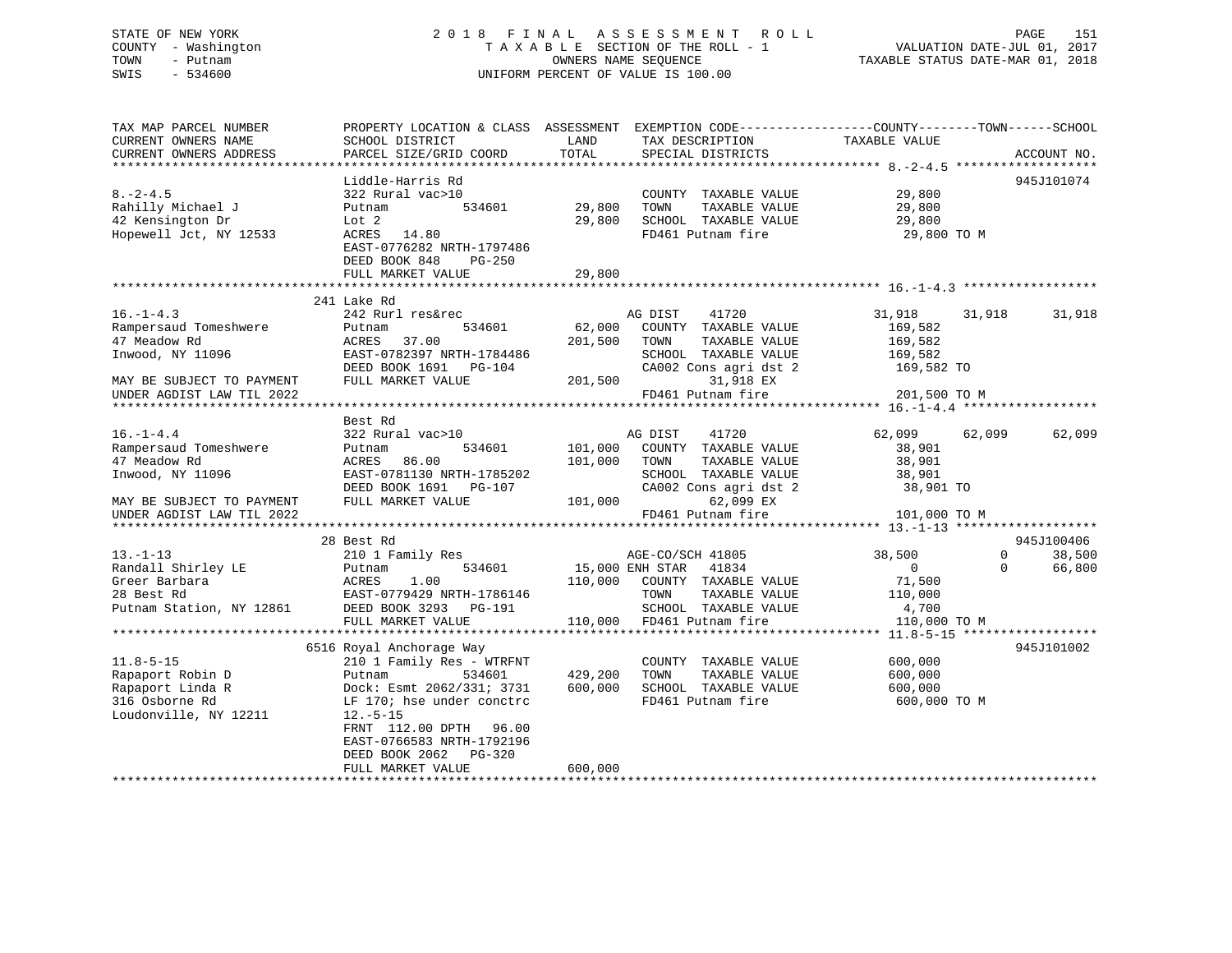## STATE OF NEW YORK 2 0 1 8 F I N A L A S S E S S M E N T R O L L PAGE 151 COUNTY - Washington T A X A B L E SECTION OF THE ROLL - 1 VALUATION DATE-JUL 01, 2017 TOWN - Putnam **CONNERS NAME SEQUENCE** TAXABLE STATUS DATE-MAR 01, 2018 SWIS - 534600 UNIFORM PERCENT OF VALUE IS 100.00

| TAX MAP PARCEL NUMBER     | PROPERTY LOCATION & CLASS ASSESSMENT EXEMPTION CODE----------------COUNTY-------TOWN-----SCHOOL |         |                              |                  |                             |
|---------------------------|-------------------------------------------------------------------------------------------------|---------|------------------------------|------------------|-----------------------------|
| CURRENT OWNERS NAME       | SCHOOL DISTRICT                                                                                 | LAND    | TAX DESCRIPTION              | TAXABLE VALUE    |                             |
| CURRENT OWNERS ADDRESS    | PARCEL SIZE/GRID COORD                                                                          | TOTAL   | SPECIAL DISTRICTS            |                  | ACCOUNT NO.                 |
|                           |                                                                                                 |         |                              |                  |                             |
|                           | Liddle-Harris Rd                                                                                |         |                              |                  | 945J101074                  |
| $8. - 2 - 4.5$            | 322 Rural vac>10                                                                                |         | COUNTY TAXABLE VALUE         | 29,800           |                             |
| Rahilly Michael J         | 534601<br>Putnam                                                                                | 29,800  | TOWN<br>TAXABLE VALUE        | 29,800           |                             |
| 42 Kensington Dr          | Lot 2                                                                                           | 29,800  | SCHOOL TAXABLE VALUE         | 29,800           |                             |
| Hopewell Jct, NY 12533    | ACRES 14.80                                                                                     |         | FD461 Putnam fire            | 29,800 TO M      |                             |
|                           | EAST-0776282 NRTH-1797486                                                                       |         |                              |                  |                             |
|                           | DEED BOOK 848<br>PG-250                                                                         |         |                              |                  |                             |
|                           | FULL MARKET VALUE                                                                               | 29,800  |                              |                  |                             |
|                           |                                                                                                 |         |                              |                  |                             |
|                           | 241 Lake Rd                                                                                     |         |                              |                  |                             |
| $16. - 1 - 4.3$           | 242 Rurl res&rec                                                                                |         | AG DIST<br>41720             | 31,918<br>31,918 | 31,918                      |
| Rampersaud Tomeshwere     | 534601<br>Putnam                                                                                | 62,000  | COUNTY TAXABLE VALUE         | 169,582          |                             |
| 47 Meadow Rd              | ACRES<br>37.00                                                                                  | 201,500 | TOWN<br>TAXABLE VALUE        | 169,582          |                             |
| Inwood, NY 11096          |                                                                                                 |         | SCHOOL TAXABLE VALUE         | 169,582          |                             |
|                           |                                                                                                 |         | CA002 Cons agri dst 2        | 169,582 TO       |                             |
| MAY BE SUBJECT TO PAYMENT | DEED BOOK 1691 PG-104<br>FULL MARKET VALUE                                                      | 201,500 | 31,918 EX                    |                  |                             |
| UNDER AGDIST LAW TIL 2022 |                                                                                                 |         | FD461 Putnam fire            | 201,500 TO M     |                             |
|                           |                                                                                                 |         |                              |                  |                             |
|                           | Best Rd                                                                                         |         |                              |                  |                             |
| $16. - 1 - 4.4$           | 322 Rural vac>10                                                                                |         | AG DIST<br>41720             | 62,099<br>62,099 | 62,099                      |
| Rampersaud Tomeshwere     | 534601<br>Putnam                                                                                | 101,000 | COUNTY TAXABLE VALUE         | 38,901           |                             |
| 47 Meadow Rd              |                                                                                                 |         | TOWN                         |                  |                             |
|                           | ACRES<br>86.00                                                                                  | 101,000 | TAXABLE VALUE                | 38,901           |                             |
| Inwood, NY 11096          | EAST-0781130 NRTH-1785202                                                                       |         | SCHOOL TAXABLE VALUE         | 38,901           |                             |
|                           | DEED BOOK 1691    PG-107                                                                        |         | CA002 Cons agri dst 2        | 38,901 TO        |                             |
| MAY BE SUBJECT TO PAYMENT | FULL MARKET VALUE                                                                               |         | 62,099 EX<br>101,000         |                  |                             |
| UNDER AGDIST LAW TIL 2022 |                                                                                                 |         | FD461 Putnam fire            | 101,000 TO M     |                             |
|                           |                                                                                                 |         |                              |                  |                             |
|                           | 28 Best Rd                                                                                      |         |                              |                  | 945J100406                  |
| $13 - 1 - 13$             | 210 1 Family Res                                                                                |         | AGE-CO/SCH 41805             | 38,500           | $0 \qquad \qquad$<br>38,500 |
| Randall Shirley LE        | 534601<br>Putnam                                                                                |         | 15,000 ENH STAR<br>41834     | $\overline{0}$   | 66,800<br>$\Omega$          |
| Greer Barbara             | ACRES<br>1.00                                                                                   |         | 110,000 COUNTY TAXABLE VALUE | 71,500           |                             |
| 28 Best Rd                | EAST-0779429 NRTH-1786146                                                                       |         | TOWN<br>TAXABLE VALUE        | 110,000          |                             |
|                           | Putnam Station, NY 12861 DEED BOOK 3293 PG-191                                                  |         | SCHOOL TAXABLE VALUE         | 4,700            |                             |
|                           | FULL MARKET VALUE                                                                               |         | 110,000 FD461 Putnam fire    | 110,000 TO M     |                             |
|                           |                                                                                                 |         |                              |                  |                             |
|                           | 6516 Royal Anchorage Way                                                                        |         |                              |                  | 945J101002                  |
| $11.8 - 5 - 15$           | 210 1 Family Res - WTRFNT                                                                       |         | COUNTY TAXABLE VALUE         | 600,000          |                             |
| Rapaport Robin D          | 534601<br>Putnam                                                                                | 429,200 | TOWN<br>TAXABLE VALUE        | 600,000          |                             |
| Rapaport Linda R          | Dock: Esmt 2062/331; 3731                                                                       | 600,000 | SCHOOL TAXABLE VALUE         | 600,000          |                             |
| 316 Osborne Rd            | LF 170; hse under conctrc                                                                       |         | FD461 Putnam fire            | 600,000 TO M     |                             |
| Loudonville, NY 12211     | $12.-5-15$                                                                                      |         |                              |                  |                             |
|                           | FRNT 112.00 DPTH 96.00                                                                          |         |                              |                  |                             |
|                           | EAST-0766583 NRTH-1792196                                                                       |         |                              |                  |                             |
|                           | DEED BOOK 2062<br>$PG-320$                                                                      |         |                              |                  |                             |
|                           | FULL MARKET VALUE                                                                               | 600,000 |                              |                  |                             |
|                           |                                                                                                 |         |                              |                  |                             |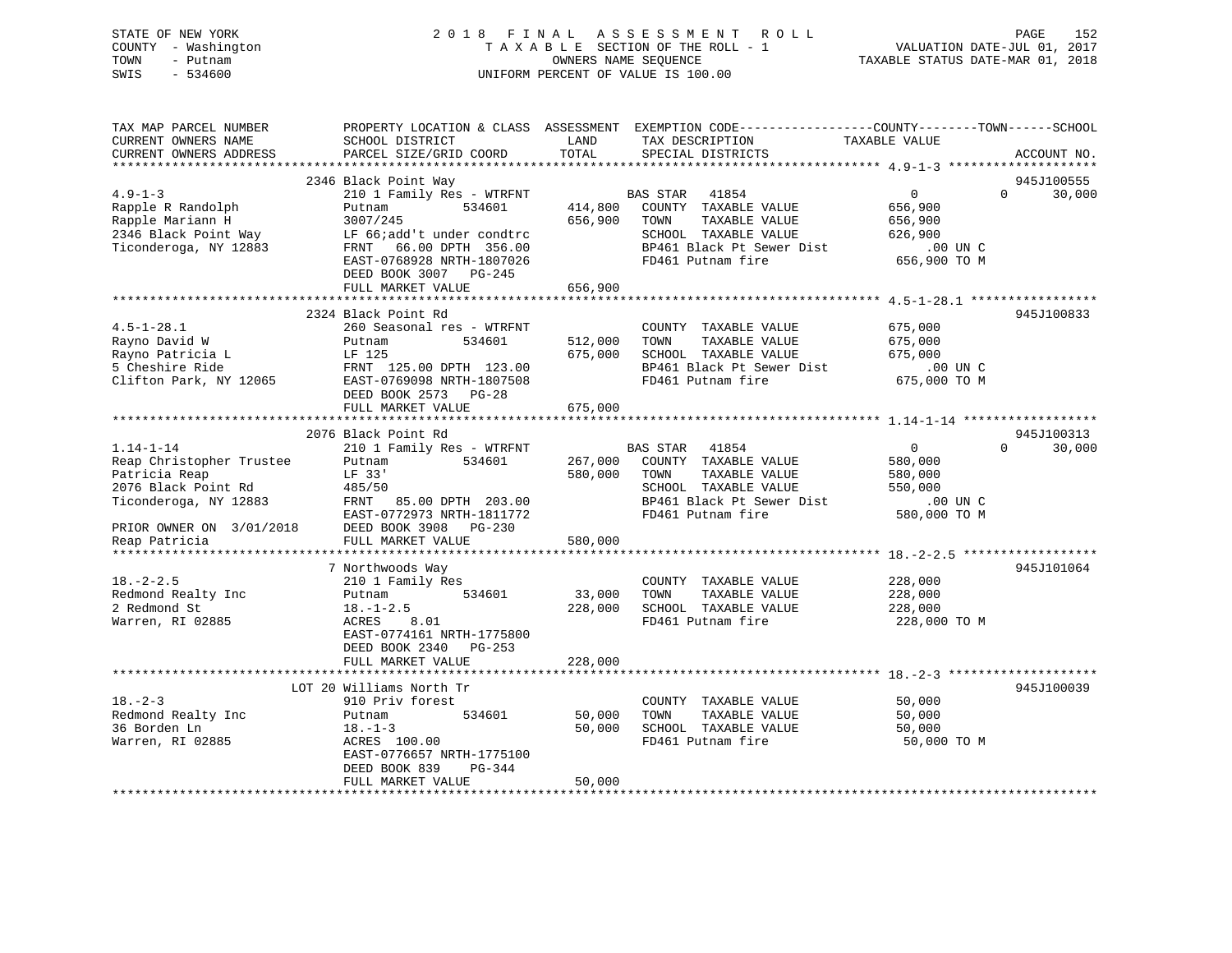| STATE OF NEW YORK   | 2018 FINAL ASSESSMENT ROLL         | 152<br>PAGE                      |
|---------------------|------------------------------------|----------------------------------|
| COUNTY - Washington | TAXABLE SECTION OF THE ROLL - 1    | VALUATION DATE-JUL 01, 2017      |
| TOWN<br>– Putnam    | OWNERS NAME SEOUENCE               | TAXABLE STATUS DATE-MAR 01, 2018 |
| SWIS - 534600       | UNIFORM PERCENT OF VALUE IS 100.00 |                                  |
|                     |                                    |                                  |
|                     |                                    |                                  |

 $\begin{array}{c} 152 \\ 2017 \\ 2018 \end{array}$ 

| TAX MAP PARCEL NUMBER                                                                                                |                                          |              | PROPERTY LOCATION & CLASS ASSESSMENT EXEMPTION CODE---------------COUNTY-------TOWN------SCHOOL |                |                    |
|----------------------------------------------------------------------------------------------------------------------|------------------------------------------|--------------|-------------------------------------------------------------------------------------------------|----------------|--------------------|
| CURRENT OWNERS NAME                                                                                                  | SCHOOL DISTRICT                          | LAND         | TAX DESCRIPTION                                                                                 | TAXABLE VALUE  |                    |
| CURRENT OWNERS ADDRESS                                                                                               | PARCEL SIZE/GRID COORD                   | TOTAL        | SPECIAL DISTRICTS                                                                               |                | ACCOUNT NO.        |
|                                                                                                                      |                                          |              |                                                                                                 |                |                    |
|                                                                                                                      | 2346 Black Point Way                     |              |                                                                                                 |                | 945J100555         |
| $4.9 - 1 - 3$                                                                                                        | 210 1 Family Res - WTRFNT BAS STAR 41854 |              |                                                                                                 | $\overline{0}$ | $\Omega$<br>30,000 |
| Rapple R Randolph                                                                                                    | Putnam                                   |              | 534601 414,800 COUNTY TAXABLE VALUE                                                             | 656,900        |                    |
| Rapple Mariann H                                                                                                     | 3007/245                                 | 656,900 TOWN | TAXABLE VALUE                                                                                   | 656,900        |                    |
| Rapple Mariann H<br>2346 Black Point Way LF 66;add't under condtro<br>2346 Black Point Way LF 66;add't under condtro |                                          |              | SCHOOL TAXABLE VALUE 626,900                                                                    |                |                    |
| Ticonderoga, NY 12883                                                                                                | FRNT 66.00 DPTH 356.00                   |              |                                                                                                 |                |                    |
|                                                                                                                      | EAST-0768928 NRTH-1807026                |              |                                                                                                 |                |                    |
|                                                                                                                      | DEED BOOK 3007 PG-245                    |              |                                                                                                 |                |                    |
|                                                                                                                      | FULL MARKET VALUE                        | 656,900      |                                                                                                 |                |                    |
|                                                                                                                      |                                          |              |                                                                                                 |                |                    |
|                                                                                                                      | 2324 Black Point Rd                      |              |                                                                                                 |                | 945J100833         |
| $4.5 - 1 - 28.1$                                                                                                     | 260 Seasonal res - WTRFNT                |              | COUNTY TAXABLE VALUE 675,000                                                                    |                |                    |
| Rayno David W                                                                                                        | 534601<br>Putnam                         | 512,000 TOWN | 512,000    TOWN      TAXABLE VALUE<br>675,000    SCHOOL   TAXABLE VALUE                         | 675,000        |                    |
|                                                                                                                      |                                          |              |                                                                                                 | 675,000        |                    |
|                                                                                                                      |                                          |              | DP461 Black Pt Sewer Dist 00 UN C<br>FD461 Putnam fire 675,000 TO M                             |                |                    |
|                                                                                                                      |                                          |              | FD461 Putnam fire                                                                               |                |                    |
|                                                                                                                      | DEED BOOK 2573 PG-28                     |              |                                                                                                 |                |                    |
|                                                                                                                      | FULL MARKET VALUE                        | 675,000      |                                                                                                 |                |                    |
|                                                                                                                      |                                          |              |                                                                                                 |                |                    |
|                                                                                                                      | 2076 Black Point Rd                      |              |                                                                                                 |                | 945J100313         |
| $1.14 - 1 - 14$                                                                                                      | 210 1 Family Res - WTRFNT BAS STAR 41854 |              |                                                                                                 | $\overline{0}$ | $\Omega$<br>30,000 |
| Reap Christopher Trustee                                                                                             | Putnam                                   |              | 534601 267,000 COUNTY TAXABLE VALUE                                                             | 580,000        |                    |
| Patricia Reap                                                                                                        | LF 33'                                   |              | 580,000 TOWN<br>TAXABLE VALUE                                                                   | 580,000        |                    |
| دد الله العام 1975/50<br>2076 Black Point Rd (485/50                                                                 |                                          |              | SCHOOL TAXABLE VALUE                                                                            | 550,000        |                    |
| Ticonderoga, NY 12883 FRNT 85.00 DPTH 203.00                                                                         |                                          |              | BP461 Black Pt Sewer Dist<br>FD461 Putnam fire                                                  | $.00$ UN C     |                    |
|                                                                                                                      | EAST-0772973 NRTH-1811772                |              | FD461 Putnam fire                                                                               | 580,000 TO M   |                    |
| PRIOR OWNER ON 3/01/2018                                                                                             | DEED BOOK 3908 PG-230                    |              |                                                                                                 |                |                    |
| Reap Patricia                                                                                                        | FULL MARKET VALUE                        | 580,000      |                                                                                                 |                |                    |
|                                                                                                                      |                                          |              |                                                                                                 |                |                    |
|                                                                                                                      | 7 Northwoods Way                         |              |                                                                                                 |                | 945J101064         |
| $18. - 2 - 2.5$                                                                                                      | 210 1 Family Res                         |              | COUNTY TAXABLE VALUE                                                                            | 228,000        |                    |
| Redmond Realty Inc                                                                                                   | Putnam 534601                            | 33,000 TOWN  | TAXABLE VALUE                                                                                   | 228,000        |                    |
| 2 Redmond St                                                                                                         | $18. - 1 - 2.5$                          |              | 228,000 SCHOOL TAXABLE VALUE                                                                    | 228,000        |                    |
| Warren, RI 02885                                                                                                     | ACRES<br>8.01                            |              | FD461 Putnam fire                                                                               | 228,000 TO M   |                    |
|                                                                                                                      | EAST-0774161 NRTH-1775800                |              |                                                                                                 |                |                    |
|                                                                                                                      | DEED BOOK 2340 PG-253                    |              |                                                                                                 |                |                    |
|                                                                                                                      | FULL MARKET VALUE                        | 228,000      |                                                                                                 |                |                    |
|                                                                                                                      |                                          |              |                                                                                                 |                |                    |
|                                                                                                                      | LOT 20 Williams North Tr                 |              |                                                                                                 |                | 945J100039         |
| $18. - 2 - 3$                                                                                                        | 910 Priv forest                          |              | COUNTY TAXABLE VALUE                                                                            | 50,000         |                    |
| Redmond Realty Inc                                                                                                   | Putnam<br>534601                         |              | TAXABLE VALUE                                                                                   | 50,000         |                    |
| 36 Borden Ln                                                                                                         | $18. - 1 - 3$                            | 50,000       | SCHOOL TAXABLE VALUE                                                                            | 50,000         |                    |
| Warren, RI 02885                                                                                                     | ACRES 100.00                             |              | FD461 Putnam fire                                                                               | 50,000 TO M    |                    |
|                                                                                                                      | EAST-0776657 NRTH-1775100                |              |                                                                                                 |                |                    |
|                                                                                                                      | DEED BOOK 839<br>PG-344                  |              |                                                                                                 |                |                    |
|                                                                                                                      | FULL MARKET VALUE                        | 50,000       |                                                                                                 |                |                    |
|                                                                                                                      |                                          |              |                                                                                                 |                |                    |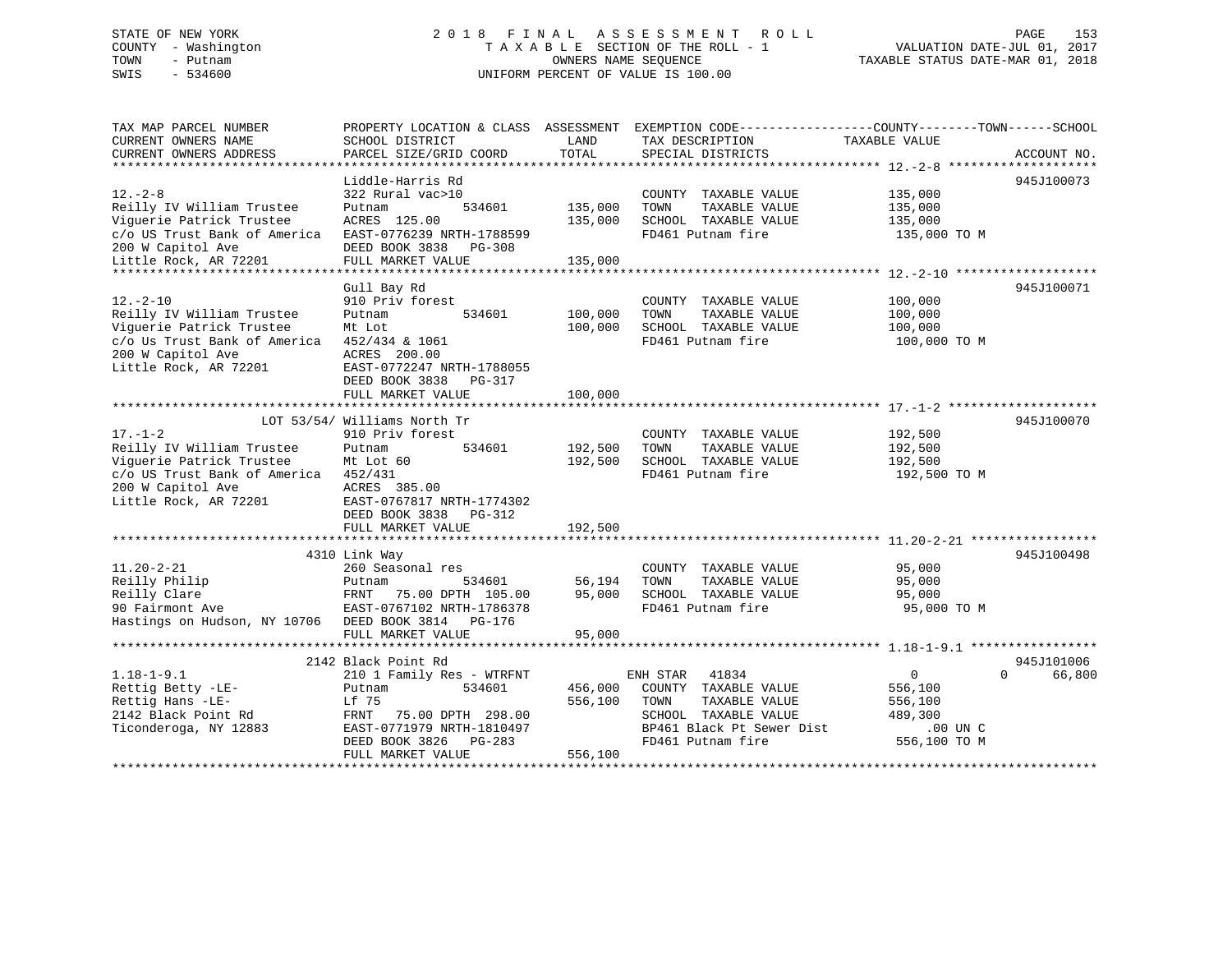## STATE OF NEW YORK 2 0 1 8 F I N A L A S S E S S M E N T R O L L PAGE 153 COUNTY - Washington T A X A B L E SECTION OF THE ROLL - 1 VALUATION DATE-JUL 01, 2017 TOWN - Putnam OWNERS NAME SEQUENCE TAXABLE STATUS DATE-MAR 01, 2018 SWIS - 534600 UNIFORM PERCENT OF VALUE IS 100.00

| TAX MAP PARCEL NUMBER                              |                              |         | PROPERTY LOCATION & CLASS ASSESSMENT EXEMPTION CODE---------------COUNTY-------TOWN-----SCHOOL |                |                    |
|----------------------------------------------------|------------------------------|---------|------------------------------------------------------------------------------------------------|----------------|--------------------|
| CURRENT OWNERS NAME                                | SCHOOL DISTRICT              | LAND    | TAX DESCRIPTION                                                                                | TAXABLE VALUE  |                    |
| CURRENT OWNERS ADDRESS                             | PARCEL SIZE/GRID COORD       | TOTAL   | SPECIAL DISTRICTS                                                                              |                | ACCOUNT NO.        |
|                                                    | Liddle-Harris Rd             |         |                                                                                                |                | 945J100073         |
| $12. - 2 - 8$                                      | 322 Rural vac>10             |         | COUNTY TAXABLE VALUE                                                                           | 135,000        |                    |
| Reilly IV William Trustee                          | 534601<br>Putnam             | 135,000 | TOWN<br>TAXABLE VALUE                                                                          | 135,000        |                    |
| Viguerie Patrick Trustee                           | ACRES 125.00                 | 135,000 | SCHOOL TAXABLE VALUE                                                                           | 135,000        |                    |
| c/o US Trust Bank of America                       | EAST-0776239 NRTH-1788599    |         | FD461 Putnam fire                                                                              | 135,000 TO M   |                    |
| 200 W Capitol Ave                                  | DEED BOOK 3838 PG-308        |         |                                                                                                |                |                    |
| Little Rock, AR 72201                              | FULL MARKET VALUE            | 135,000 |                                                                                                |                |                    |
|                                                    |                              |         |                                                                                                |                |                    |
|                                                    | Gull Bay Rd                  |         |                                                                                                |                | 945J100071         |
| $12.-2-10$                                         | 910 Priv forest              |         | COUNTY TAXABLE VALUE                                                                           | 100,000        |                    |
| Reilly IV William Trustee                          | 534601<br>Putnam             | 100,000 | TOWN<br>TAXABLE VALUE                                                                          | 100,000        |                    |
| Viquerie Patrick Trustee                           | Mt Lot                       | 100,000 | SCHOOL TAXABLE VALUE                                                                           | 100,000        |                    |
| c/o Us Trust Bank of America                       | 452/434 & 1061               |         | FD461 Putnam fire                                                                              | 100,000 TO M   |                    |
| 200 W Capitol Ave                                  | ACRES 200.00                 |         |                                                                                                |                |                    |
| Little Rock, AR 72201                              | EAST-0772247 NRTH-1788055    |         |                                                                                                |                |                    |
|                                                    | DEED BOOK 3838 PG-317        |         |                                                                                                |                |                    |
|                                                    | FULL MARKET VALUE            | 100,000 |                                                                                                |                |                    |
|                                                    |                              |         |                                                                                                |                |                    |
|                                                    | LOT 53/54/ Williams North Tr |         |                                                                                                |                | 945J100070         |
| $17. - 1 - 2$                                      | 910 Priv forest              |         | COUNTY TAXABLE VALUE                                                                           | 192,500        |                    |
| Reilly IV William Trustee                          | 534601<br>Putnam             | 192,500 | TOWN<br>TAXABLE VALUE                                                                          | 192,500        |                    |
| Viquerie Patrick Trustee                           | Mt Lot 60                    | 192,500 | SCHOOL TAXABLE VALUE                                                                           | 192,500        |                    |
| c/o US Trust Bank of America                       | 452/431                      |         | FD461 Putnam fire                                                                              | 192,500 TO M   |                    |
| 200 W Capitol Ave                                  | ACRES 385.00                 |         |                                                                                                |                |                    |
| Little Rock, AR 72201                              | EAST-0767817 NRTH-1774302    |         |                                                                                                |                |                    |
|                                                    | DEED BOOK 3838 PG-312        |         |                                                                                                |                |                    |
|                                                    | FULL MARKET VALUE            | 192,500 |                                                                                                |                |                    |
|                                                    | 4310 Link Way                |         |                                                                                                |                | 945J100498         |
| $11.20 - 2 - 21$                                   | 260 Seasonal res             |         | COUNTY TAXABLE VALUE                                                                           | 95,000         |                    |
| Reilly Philip                                      | 534601<br>Putnam             | 56,194  | TOWN<br>TAXABLE VALUE                                                                          | 95,000         |                    |
| Reilly Clare                                       | FRNT 75.00 DPTH 105.00       | 95,000  | SCHOOL TAXABLE VALUE                                                                           | 95,000         |                    |
| 90 Fairmont Ave                                    | EAST-0767102 NRTH-1786378    |         | FD461 Putnam fire                                                                              | 95,000 TO M    |                    |
| Hastings on Hudson, NY 10706 DEED BOOK 3814 PG-176 |                              |         |                                                                                                |                |                    |
|                                                    | FULL MARKET VALUE            | 95,000  |                                                                                                |                |                    |
|                                                    |                              |         |                                                                                                |                |                    |
|                                                    | 2142 Black Point Rd          |         |                                                                                                |                | 945J101006         |
| $1.18 - 1 - 9.1$                                   | 210 1 Family Res - WTRFNT    |         | ENH STAR 41834                                                                                 | $\overline{0}$ | $\Omega$<br>66,800 |
| Rettig Betty -LE-                                  | 534601<br>Putnam             | 456,000 | COUNTY TAXABLE VALUE                                                                           | 556,100        |                    |
| Rettig Hans -LE-                                   | Lf 75                        | 556,100 | TAXABLE VALUE<br>TOWN                                                                          | 556,100        |                    |
| 2142 Black Point Rd                                | FRNT<br>75.00 DPTH 298.00    |         | SCHOOL TAXABLE VALUE                                                                           | 489,300        |                    |
| Ticonderoga, NY 12883                              | EAST-0771979 NRTH-1810497    |         | BP461 Black Pt Sewer Dist                                                                      | $.00$ UN $C$   |                    |
|                                                    | DEED BOOK 3826 PG-283        |         | FD461 Putnam fire                                                                              | 556,100 TO M   |                    |
|                                                    | FULL MARKET VALUE            | 556,100 |                                                                                                |                |                    |
|                                                    |                              |         |                                                                                                |                |                    |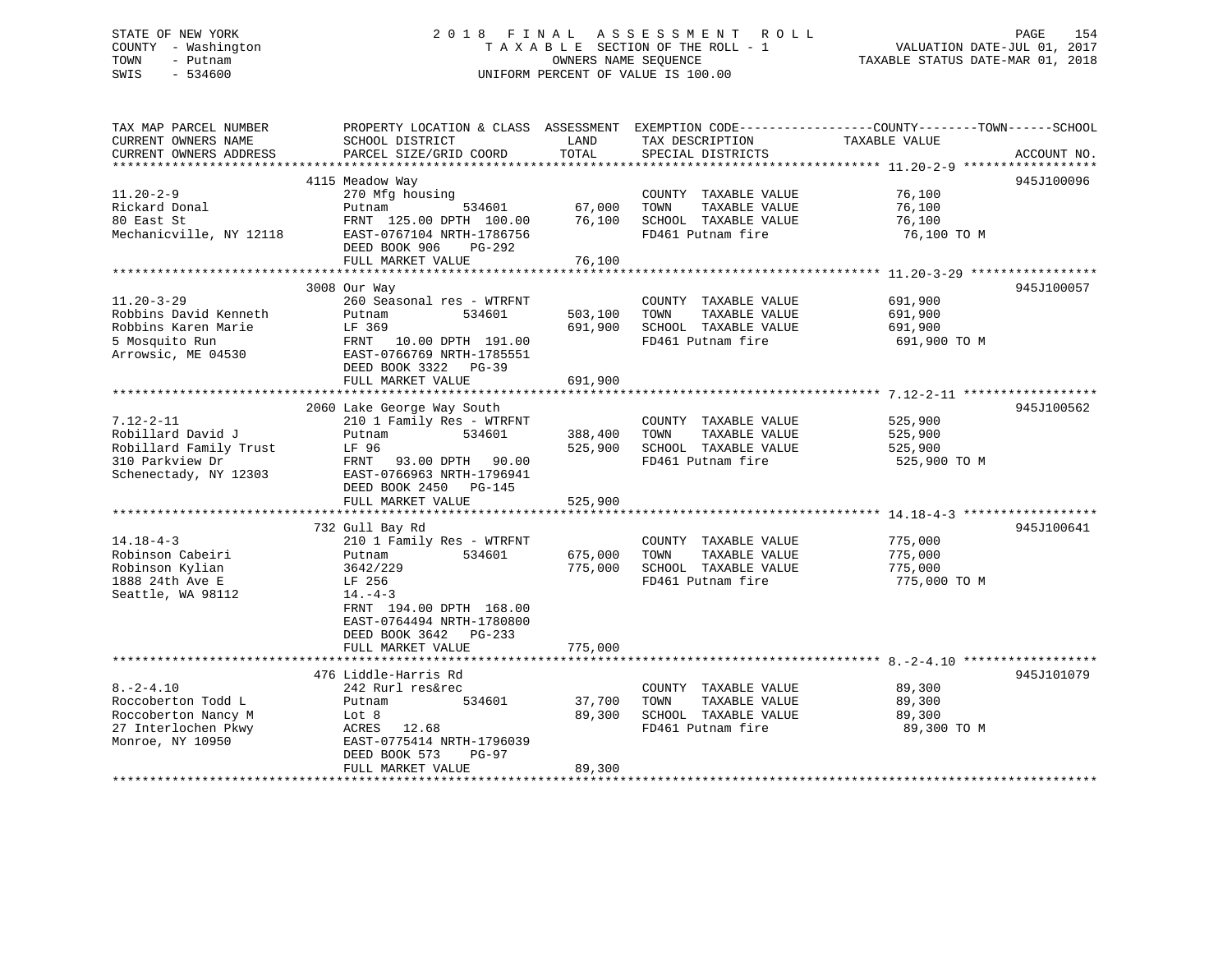# STATE OF NEW YORK 2018 FINAL ASSESSMENT ROLL PAGE 154 COUNTY - Washington  $T A X A B L E$  SECTION OF THE ROLL - 1<br>TOWN - Putnam data of the counters NAME SEQUENCE SWIS - 534600 UNIFORM PERCENT OF VALUE IS 100.00

TAXABLE STATUS DATE-MAR 01, 2018

| TAX MAP PARCEL NUMBER                         | PROPERTY LOCATION & CLASS ASSESSMENT EXEMPTION CODE---------------COUNTY-------TOWN------SCHOOL |               |                                      | TAXABLE VALUE |             |
|-----------------------------------------------|-------------------------------------------------------------------------------------------------|---------------|--------------------------------------|---------------|-------------|
| CURRENT OWNERS NAME<br>CURRENT OWNERS ADDRESS | SCHOOL DISTRICT<br>PARCEL SIZE/GRID COORD                                                       | LAND<br>TOTAL | TAX DESCRIPTION<br>SPECIAL DISTRICTS |               | ACCOUNT NO. |
|                                               |                                                                                                 |               |                                      |               |             |
|                                               | 4115 Meadow Way                                                                                 |               |                                      |               | 945J100096  |
| $11.20 - 2 - 9$                               | 270 Mfg housing                                                                                 |               | COUNTY TAXABLE VALUE                 | 76,100        |             |
| Rickard Donal                                 | 534601<br>Putnam                                                                                | 67,000        | TOWN<br>TAXABLE VALUE                | 76,100        |             |
| 80 East St                                    | FRNT 125.00 DPTH 100.00                                                                         | 76,100        | SCHOOL TAXABLE VALUE                 | 76,100        |             |
| Mechanicville, NY 12118                       | EAST-0767104 NRTH-1786756<br>DEED BOOK 906<br>PG-292                                            |               | FD461 Putnam fire                    | 76,100 TO M   |             |
|                                               | FULL MARKET VALUE                                                                               | 76,100        |                                      |               |             |
|                                               |                                                                                                 |               |                                      |               |             |
|                                               | 3008 Our Way                                                                                    |               |                                      |               | 945J100057  |
| $11.20 - 3 - 29$                              | 260 Seasonal res - WTRFNT                                                                       |               | COUNTY TAXABLE VALUE                 | 691,900       |             |
| Robbins David Kenneth                         | Putnam<br>534601                                                                                |               | 503,100 TOWN<br>TAXABLE VALUE        | 691,900       |             |
| Robbins Karen Marie                           | LF 369                                                                                          | 691,900       | SCHOOL TAXABLE VALUE                 | 691,900       |             |
| 5 Mosquito Run<br>Arrowsic, ME 04530          | FRNT 10.00 DPTH 191.00<br>EAST-0766769 NRTH-1785551                                             |               | FD461 Putnam fire                    | 691,900 TO M  |             |
|                                               | DEED BOOK 3322 PG-39                                                                            |               |                                      |               |             |
|                                               | FULL MARKET VALUE                                                                               | 691,900       |                                      |               |             |
|                                               |                                                                                                 |               |                                      |               |             |
|                                               | 2060 Lake George Way South                                                                      |               |                                      |               | 945J100562  |
| $7.12 - 2 - 11$                               | 210 1 Family Res - WTRFNT                                                                       |               | COUNTY TAXABLE VALUE                 | 525,900       |             |
| Robillard David J                             | 534601<br>Putnam                                                                                | 388,400       | TOWN<br>TAXABLE VALUE                | 525,900       |             |
| Robillard Family Trust                        | LF 96                                                                                           | 525,900       | SCHOOL TAXABLE VALUE                 | 525,900       |             |
| 310 Parkview Dr                               | FRNT 93.00 DPTH 90.00                                                                           |               | FD461 Putnam fire                    | 525,900 TO M  |             |
| Schenectady, NY 12303                         | EAST-0766963 NRTH-1796941                                                                       |               |                                      |               |             |
|                                               | DEED BOOK 2450 PG-145                                                                           |               |                                      |               |             |
|                                               | FULL MARKET VALUE                                                                               | 525,900       |                                      |               |             |
|                                               |                                                                                                 |               |                                      |               |             |
|                                               | 732 Gull Bay Rd                                                                                 |               |                                      |               | 945J100641  |
| $14.18 - 4 - 3$                               | 210 1 Family Res - WTRFNT                                                                       |               | COUNTY TAXABLE VALUE                 | 775,000       |             |
| Robinson Cabeiri                              | 534601<br>Putnam                                                                                | 675,000       | TAXABLE VALUE<br>TOWN                | 775,000       |             |
| Robinson Kylian                               | 3642/229                                                                                        | 775,000       | SCHOOL TAXABLE VALUE                 | 775,000       |             |
| 1888 24th Ave E                               | LF 256                                                                                          |               | FD461 Putnam fire                    | 775,000 TO M  |             |
| Seattle, WA 98112                             | $14. -4 - 3$                                                                                    |               |                                      |               |             |
|                                               | FRNT 194.00 DPTH 168.00                                                                         |               |                                      |               |             |
|                                               | EAST-0764494 NRTH-1780800                                                                       |               |                                      |               |             |
|                                               | DEED BOOK 3642 PG-233                                                                           |               |                                      |               |             |
|                                               | FULL MARKET VALUE                                                                               | 775,000       |                                      |               |             |
|                                               |                                                                                                 |               |                                      |               | 945J101079  |
| $8. - 2 - 4.10$                               | 476 Liddle-Harris Rd<br>242 Rurl res&rec                                                        |               | COUNTY TAXABLE VALUE                 | 89,300        |             |
| Roccoberton Todd L                            | 534601                                                                                          | 37,700        | TOWN<br>TAXABLE VALUE                | 89,300        |             |
| Roccoberton Nancy M                           | Putnam<br>Lot 8                                                                                 | 89,300        | SCHOOL TAXABLE VALUE                 | 89,300        |             |
|                                               | ACRES 12.68                                                                                     |               | FD461 Putnam fire                    | 89,300 TO M   |             |
| 27 Interlochen Pkwy<br>Monroe, NY 10950       | EAST-0775414 NRTH-1796039                                                                       |               |                                      |               |             |
|                                               | DEED BOOK 573<br>PG-97                                                                          |               |                                      |               |             |
|                                               | FULL MARKET VALUE                                                                               | 89,300        |                                      |               |             |
|                                               |                                                                                                 |               |                                      |               |             |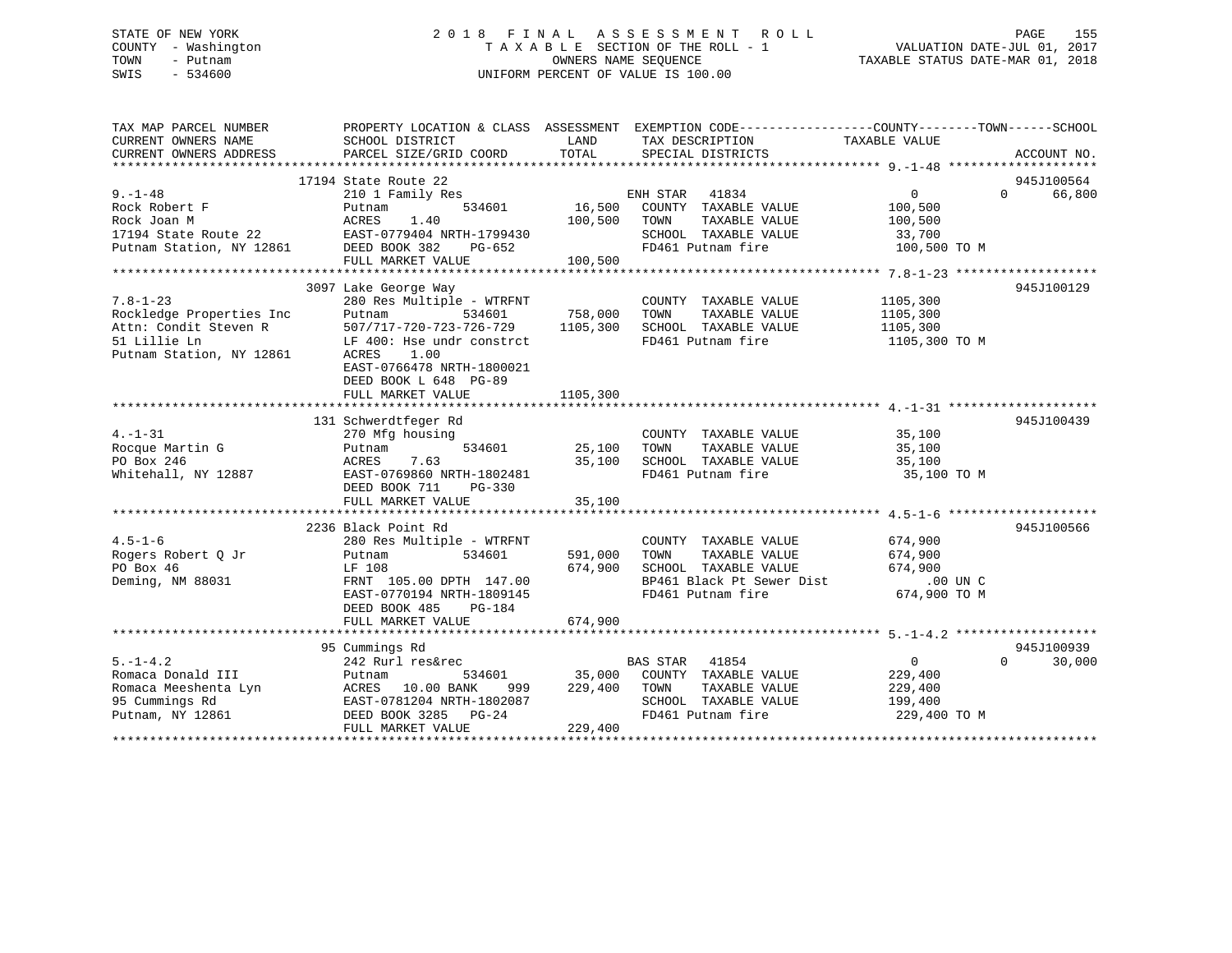## STATE OF NEW YORK 2 0 1 8 F I N A L A S S E S S M E N T R O L L PAGE 155 COUNTY - Washington T A X A B L E SECTION OF THE ROLL - 1 VALUATION DATE-JUL 01, 2017 TOWN - Putnam OWNERS NAME SEQUENCE TAXABLE STATUS DATE-MAR 01, 2018 SWIS - 534600 UNIFORM PERCENT OF VALUE IS 100.00

| TAX MAP PARCEL NUMBER<br>CURRENT OWNERS NAME                                  | PROPERTY LOCATION & CLASS ASSESSMENT EXEMPTION CODE---------------COUNTY-------TOWN------SCHOOL<br>SCHOOL DISTRICT | LAND              | TAX DESCRIPTION                               | TAXABLE VALUE      |                    |
|-------------------------------------------------------------------------------|--------------------------------------------------------------------------------------------------------------------|-------------------|-----------------------------------------------|--------------------|--------------------|
| CURRENT OWNERS ADDRESS                                                        | PARCEL SIZE/GRID COORD                                                                                             | TOTAL             | SPECIAL DISTRICTS                             |                    | ACCOUNT NO.        |
|                                                                               |                                                                                                                    |                   |                                               |                    | 945J100564         |
| $9. - 1 - 48$                                                                 | 17194 State Route 22<br>210 1 Family Res                                                                           |                   | ENH STAR<br>41834                             | 0                  | 66,800<br>$\Omega$ |
| Rock Robert F<br>Rock Joan M                                                  | 534601<br>Putnam<br>ACRES<br>1.40                                                                                  | 16,500<br>100,500 | COUNTY TAXABLE VALUE<br>TAXABLE VALUE<br>TOWN | 100,500<br>100,500 |                    |
|                                                                               | EAST-0779404 NRTH-1799430                                                                                          |                   | SCHOOL TAXABLE VALUE                          | 33,700             |                    |
| 17194 State Route 22 EAST-0779404 N<br>Putnam Station, NY 12861 DEED BOOK 382 | PG-652                                                                                                             |                   | FD461 Putnam fire                             | 100,500 TO M       |                    |
|                                                                               | FULL MARKET VALUE                                                                                                  | 100,500           |                                               |                    |                    |
|                                                                               |                                                                                                                    |                   |                                               |                    |                    |
|                                                                               | 3097 Lake George Way                                                                                               |                   |                                               |                    | 945J100129         |
| $7.8 - 1 - 23$                                                                | 280 Res Multiple - WTRFNT                                                                                          |                   | COUNTY TAXABLE VALUE                          | 1105,300           |                    |
| Rockledge Properties Inc                                                      | Putnam                                                                                                             | 534601 758,000    | TAXABLE VALUE<br>TOWN                         | 1105,300           |                    |
| Attn: Condit Steven R                                                         | 507/717-720-723-726-729                                                                                            | 1105,300          | SCHOOL TAXABLE VALUE                          | 1105,300           |                    |
| 51 Lillie Ln<br>Putnam Station, NY 12861                                      | LF 400: Hse undr constrct<br>ACRES<br>1.00<br>EAST-0766478 NRTH-1800021<br>DEED BOOK L 648 PG-89                   |                   | FD461 Putnam fire                             | 1105,300 TO M      |                    |
|                                                                               | FULL MARKET VALUE                                                                                                  | 1105,300          |                                               |                    |                    |
|                                                                               |                                                                                                                    |                   |                                               |                    |                    |
|                                                                               | 131 Schwerdtfeger Rd                                                                                               |                   |                                               |                    | 945J100439         |
| $4. -1 - 31$                                                                  | 270 Mfg housing                                                                                                    |                   | COUNTY TAXABLE VALUE                          | 35,100             |                    |
| Rocque Martin G                                                               | 534601<br>Putnam                                                                                                   | 25,100            | TAXABLE VALUE<br>TOWN                         | 35,100             |                    |
| PO Box 246                                                                    | 7.63<br>ACRES                                                                                                      | 35,100            | SCHOOL TAXABLE VALUE                          | 35,100             |                    |
| Whitehall, NY 12887                                                           | EAST-0769860 NRTH-1802481                                                                                          |                   | FD461 Putnam fire                             | 35,100 TO M        |                    |
|                                                                               | DEED BOOK 711<br>$PG-330$<br>FULL MARKET VALUE                                                                     | 35,100            |                                               |                    |                    |
|                                                                               |                                                                                                                    |                   |                                               |                    |                    |
|                                                                               | 2236 Black Point Rd                                                                                                |                   |                                               |                    | 945J100566         |
| $4.5 - 1 - 6$                                                                 | 280 Res Multiple - WTRFNT                                                                                          |                   | COUNTY TAXABLE VALUE                          | 674,900            |                    |
| Rogers Robert O Jr                                                            | 534601<br>Putnam                                                                                                   | 591,000           | TOWN<br>TAXABLE VALUE                         | 674,900            |                    |
| PO Box 46                                                                     | LF 108                                                                                                             | 674,900           | SCHOOL TAXABLE VALUE                          | 674,900            |                    |
| Deming, NM 88031                                                              | FRNT 105.00 DPTH 147.00                                                                                            |                   | BP461 Black Pt Sewer Dist                     | .00 UN C           |                    |
|                                                                               | EAST-0770194 NRTH-1809145                                                                                          |                   | FD461 Putnam fire                             | 674,900 TO M       |                    |
|                                                                               | DEED BOOK 485<br>PG-184                                                                                            |                   |                                               |                    |                    |
|                                                                               | FULL MARKET VALUE                                                                                                  | 674,900           |                                               |                    |                    |
|                                                                               |                                                                                                                    |                   |                                               |                    |                    |
|                                                                               | 95 Cummings Rd                                                                                                     |                   |                                               |                    | 945J100939         |
| $5. - 1 - 4.2$                                                                | 242 Rurl res&rec                                                                                                   |                   | <b>BAS STAR</b><br>41854                      | $\overline{0}$     | $\Omega$<br>30,000 |
| Romaca Donald III                                                             | 534601<br>Putnam                                                                                                   | 35,000            | COUNTY TAXABLE VALUE                          | 229,400            |                    |
| Romaca Meeshenta Lyn                                                          | ACRES 10.00 BANK<br>999                                                                                            | 229,400           | TOWN<br>TAXABLE VALUE                         | 229,400            |                    |
| 95 Cummings Rd                                                                | EAST-0781204 NRTH-1802087                                                                                          |                   | SCHOOL TAXABLE VALUE                          | 199,400            |                    |
| Putnam, NY 12861                                                              | DEED BOOK 3285 PG-24                                                                                               |                   | FD461 Putnam fire                             | 229,400 TO M       |                    |
|                                                                               | FULL MARKET VALUE                                                                                                  | 229,400           |                                               |                    |                    |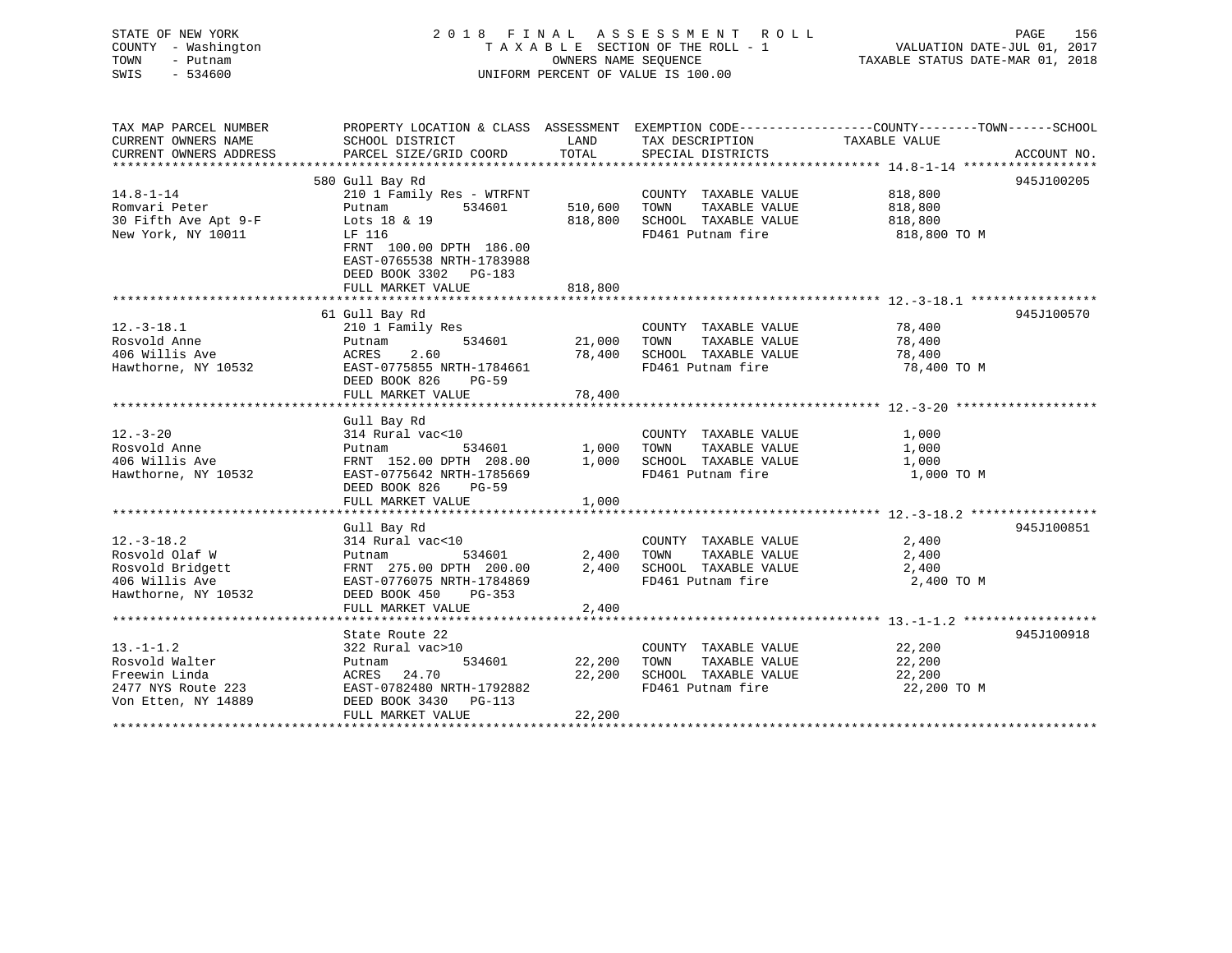| STATE OF NEW YORK<br>COUNTY - Washington<br>TOWN<br>- Putnam<br>$-534600$<br>SWIS           | 2018 FINAL ASSESSMENT ROLL<br>TAXABLE SECTION OF THE ROLL - 1<br>UNIFORM PERCENT OF VALUE IS 100.00                                                                                              | 156<br>PAGE<br>VALUATION DATE-JUL 01, 2017<br>TAXABLE STATUS DATE-MAR 01, 2018 |                                                                                                  |                                               |             |
|---------------------------------------------------------------------------------------------|--------------------------------------------------------------------------------------------------------------------------------------------------------------------------------------------------|--------------------------------------------------------------------------------|--------------------------------------------------------------------------------------------------|-----------------------------------------------|-------------|
| TAX MAP PARCEL NUMBER<br>CURRENT OWNERS NAME<br>CURRENT OWNERS ADDRESS                      | PROPERTY LOCATION & CLASS ASSESSMENT EXEMPTION CODE---------------COUNTY-------TOWN------SCHOOL<br>SCHOOL DISTRICT<br>PARCEL SIZE/GRID COORD                                                     | LAND<br>TOTAL                                                                  | TAX DESCRIPTION<br>SPECIAL DISTRICTS                                                             | TAXABLE VALUE                                 | ACCOUNT NO. |
|                                                                                             |                                                                                                                                                                                                  |                                                                                |                                                                                                  |                                               |             |
| $14.8 - 1 - 14$<br>Romvari Peter<br>30 Fifth Ave Apt 9-F<br>New York, NY 10011              | 580 Gull Bay Rd<br>210 1 Family Res - WTRFNT<br>534601<br>Putnam<br>Lots 18 & 19<br>LF 116<br>FRNT 100.00 DPTH 186.00<br>EAST-0765538 NRTH-1783988<br>DEED BOOK 3302 PG-183<br>FULL MARKET VALUE | 510,600<br>818,800<br>818,800                                                  | COUNTY TAXABLE VALUE<br>TAXABLE VALUE<br>TOWN<br>SCHOOL TAXABLE VALUE<br>FD461 Putnam fire       | 818,800<br>818,800<br>818,800<br>818,800 TO M | 945J100205  |
|                                                                                             |                                                                                                                                                                                                  |                                                                                |                                                                                                  |                                               |             |
| $12.-3-18.1$<br>Rosvold Anne<br>406 Willis Ave<br>Hawthorne, NY 10532                       | 61 Gull Bay Rd<br>210 1 Family Res<br>534601<br>Putnam<br>ACRES<br>2.60<br>EAST-0775855 NRTH-1784661<br>DEED BOOK 826<br>$PG-59$<br>FULL MARKET VALUE                                            | 21,000<br>78,400<br>78,400                                                     | COUNTY TAXABLE VALUE<br>TAXABLE VALUE<br>TOWN<br>SCHOOL TAXABLE VALUE<br>FD461 Putnam fire       | 78,400<br>78,400<br>78,400<br>78,400 TO M     | 945J100570  |
|                                                                                             | Gull Bay Rd                                                                                                                                                                                      |                                                                                |                                                                                                  |                                               |             |
| $12. - 3 - 20$<br>Rosvold Anne<br>406 Willis Ave<br>Hawthorne, NY 10532                     | 314 Rural vac<10<br>534601<br>Putnam<br>FRNT 152.00 DPTH 208.00<br>EAST-0775642 NRTH-1785669<br>DEED BOOK 826 PG-59<br>FULL MARKET VALUE                                                         | 1,000<br>1,000                                                                 | COUNTY TAXABLE VALUE<br>TOWN<br>TAXABLE VALUE<br>1,000 SCHOOL TAXABLE VALUE<br>FD461 Putnam fire | 1,000<br>1,000<br>1,000<br>1,000 TO M         |             |
|                                                                                             |                                                                                                                                                                                                  |                                                                                |                                                                                                  |                                               |             |
| $12.-3-18.2$<br>Rosvold Olaf W<br>Rosvold Bridgett<br>406 Willis Ave<br>Hawthorne, NY 10532 | Gull Bay Rd<br>314 Rural vac<10<br>534601<br>Putnam<br>FRNT 275.00 DPTH 200.00<br>EAST-0776075 NRTH-1784869<br>DEED BOOK 450<br>PG-353<br>FULL MARKET VALUE                                      | 2,400<br>2,400<br>2,400                                                        | COUNTY TAXABLE VALUE<br>TAXABLE VALUE<br>TOWN<br>SCHOOL TAXABLE VALUE<br>FD461 Putnam fire       | 2,400<br>2,400<br>2,400<br>2,400 TO M         | 945J100851  |
|                                                                                             | State Route 22                                                                                                                                                                                   |                                                                                |                                                                                                  |                                               | 945J100918  |
| $13.-1-1.2$                                                                                 | 322 Rural vac>10                                                                                                                                                                                 |                                                                                | COUNTY TAXABLE VALUE                                                                             | 22,200                                        |             |

Rosvold Walter Putnam 534601 22,200 TOWN TAXABLE VALUE 22,200

2477 NYS Route 223 EAST-0782480 NRTH-1792882 FD461 Putnam fire 22,200 TO M

FULL MARKET VALUE 22,200 \*\*\*\*\*\*\*\*\*\*\*\*\*\*\*\*\*\*\*\*\*\*\*\*\*\*\*\*\*\*\*\*\*\*\*\*\*\*\*\*\*\*\*\*\*\*\*\*\*\*\*\*\*\*\*\*\*\*\*\*\*\*\*\*\*\*\*\*\*\*\*\*\*\*\*\*\*\*\*\*\*\*\*\*\*\*\*\*\*\*\*\*\*\*\*\*\*\*\*\*\*\*\*\*\*\*\*\*\*\*\*\*\*\*\*\*\*\*\*\*\*\*\*\*\*\*\*\*\*\*\*\*

Freewin Linda ACRES 24.70 22,200 SCHOOL TAXABLE VALUE 22,200

Von Etten, NY 14889 DEED BOOK 3430 PG-113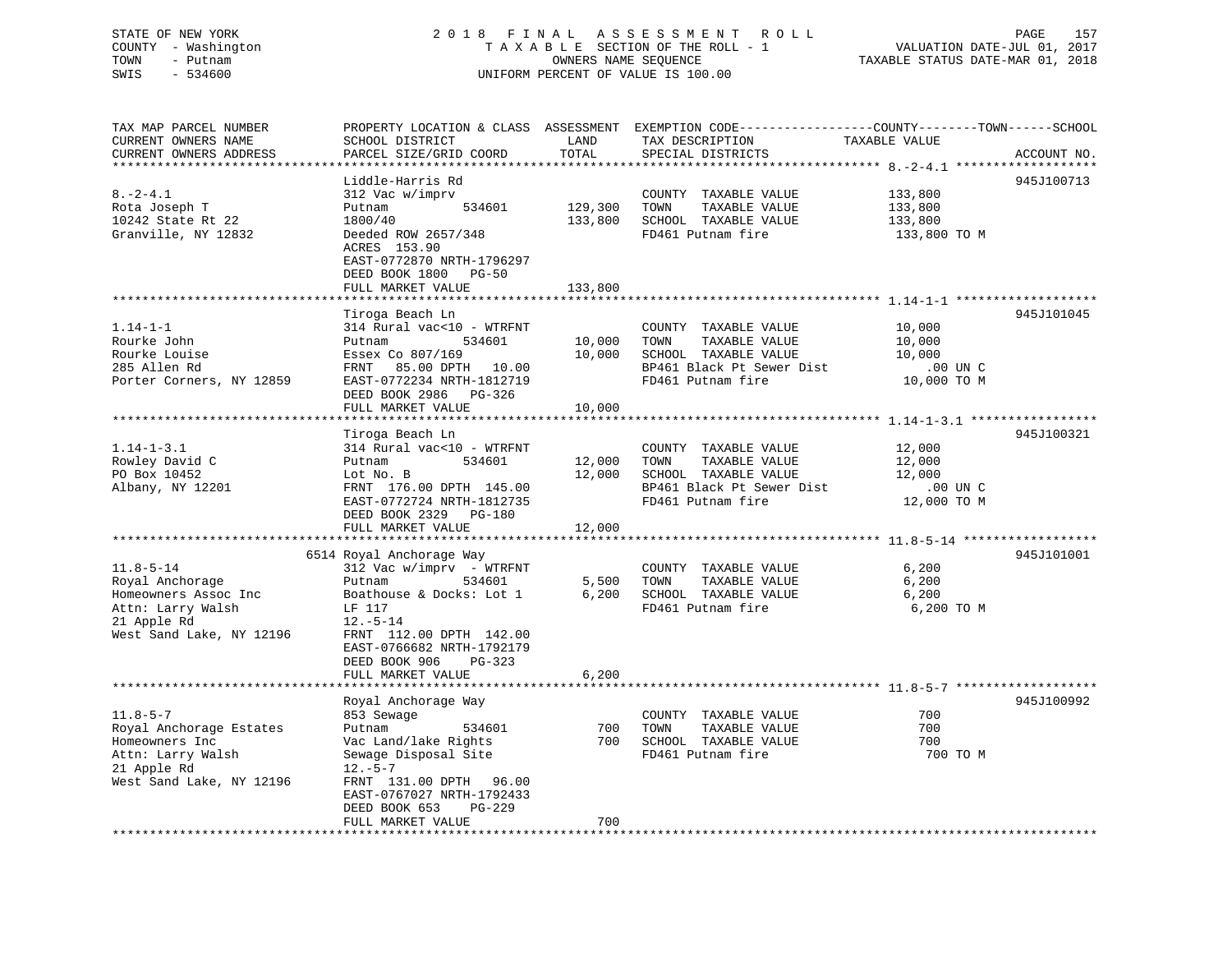## STATE OF NEW YORK 2 0 1 8 F I N A L A S S E S S M E N T R O L L PAGE 157 COUNTY - Washington T A X A B L E SECTION OF THE ROLL - 1 VALUATION DATE-JUL 01, 2017 TOWN - Putnam OWNERS NAME SEQUENCE TAXABLE STATUS DATE-MAR 01, 2018 SWIS - 534600 UNIFORM PERCENT OF VALUE IS 100.00

| TAX MAP PARCEL NUMBER<br>CURRENT OWNERS NAME | PROPERTY LOCATION & CLASS ASSESSMENT EXEMPTION CODE----------------COUNTY-------TOWN------SCHOOL<br>SCHOOL DISTRICT | LAND    | TAX DESCRIPTION           | TAXABLE VALUE |             |
|----------------------------------------------|---------------------------------------------------------------------------------------------------------------------|---------|---------------------------|---------------|-------------|
| CURRENT OWNERS ADDRESS                       | PARCEL SIZE/GRID COORD                                                                                              | TOTAL   | SPECIAL DISTRICTS         |               | ACCOUNT NO. |
|                                              |                                                                                                                     |         |                           |               |             |
|                                              | Liddle-Harris Rd                                                                                                    |         |                           |               | 945J100713  |
| $8. - 2 - 4.1$                               | 312 Vac w/imprv                                                                                                     |         | COUNTY TAXABLE VALUE      | 133,800       |             |
| Rota Joseph T                                | 534601<br>Putnam                                                                                                    | 129,300 | TOWN<br>TAXABLE VALUE     | 133,800       |             |
| 10242 State Rt 22                            | 1800/40                                                                                                             | 133,800 | SCHOOL TAXABLE VALUE      | 133,800       |             |
| Granville, NY 12832                          | Deeded ROW 2657/348<br>ACRES 153.90                                                                                 |         | FD461 Putnam fire         | 133,800 TO M  |             |
|                                              | EAST-0772870 NRTH-1796297<br>DEED BOOK 1800 PG-50                                                                   |         |                           |               |             |
|                                              | FULL MARKET VALUE                                                                                                   | 133,800 |                           |               |             |
|                                              |                                                                                                                     |         |                           |               |             |
|                                              | Tiroga Beach Ln                                                                                                     |         |                           |               | 945J101045  |
| $1.14 - 1 - 1$                               | 314 Rural vac<10 - WTRFNT                                                                                           |         | COUNTY TAXABLE VALUE      | 10,000        |             |
| Rourke John                                  | Putnam<br>534601                                                                                                    | 10,000  | TAXABLE VALUE<br>TOWN     | 10,000        |             |
| Rourke Louise                                | Essex Co 807/169                                                                                                    | 10,000  | SCHOOL TAXABLE VALUE      | 10,000        |             |
| 285 Allen Rd                                 | FRNT 85.00 DPTH 10.00                                                                                               |         | BP461 Black Pt Sewer Dist | .00 UN C      |             |
| Porter Corners, NY 12859                     | EAST-0772234 NRTH-1812719                                                                                           |         | FD461 Putnam fire         | 10,000 TO M   |             |
|                                              | DEED BOOK 2986 PG-326                                                                                               |         |                           |               |             |
|                                              | FULL MARKET VALUE                                                                                                   | 10,000  |                           |               |             |
|                                              |                                                                                                                     |         |                           |               |             |
|                                              | Tiroga Beach Ln                                                                                                     |         |                           |               | 945J100321  |
| $1.14 - 1 - 3.1$                             | 314 Rural vac<10 - WTRFNT                                                                                           |         | COUNTY TAXABLE VALUE      | 12,000        |             |
| Rowley David C                               | 534601<br>Putnam                                                                                                    | 12,000  | TOWN<br>TAXABLE VALUE     | 12,000        |             |
| PO Box 10452                                 | Lot No. B                                                                                                           | 12,000  | SCHOOL TAXABLE VALUE      | 12,000        |             |
| Albany, NY 12201                             | FRNT 176.00 DPTH 145.00                                                                                             |         | BP461 Black Pt Sewer Dist | .00 UN C      |             |
|                                              | EAST-0772724 NRTH-1812735                                                                                           |         | FD461 Putnam fire         | 12,000 TO M   |             |
|                                              | DEED BOOK 2329 PG-180                                                                                               |         |                           |               |             |
|                                              | FULL MARKET VALUE                                                                                                   | 12,000  |                           |               |             |
|                                              |                                                                                                                     |         |                           |               |             |
|                                              |                                                                                                                     |         |                           |               | 945J101001  |
| $11.8 - 5 - 14$                              | 6514 Royal Anchorage Way<br>$312$ Vac w/imprv - WTRFNT                                                              |         |                           |               |             |
|                                              |                                                                                                                     |         | COUNTY TAXABLE VALUE      | 6,200         |             |
| Royal Anchorage                              | Putnam<br>534601                                                                                                    | 5,500   | TOWN<br>TAXABLE VALUE     | 6,200         |             |
| Homeowners Assoc Inc                         | Boathouse & Docks: Lot 1                                                                                            | 6,200   | SCHOOL TAXABLE VALUE      | 6,200         |             |
| Attn: Larry Walsh                            | LF 117                                                                                                              |         | FD461 Putnam fire         | 6,200 TO M    |             |
| 21 Apple Rd                                  | $12.-5-14$                                                                                                          |         |                           |               |             |
| West Sand Lake, NY 12196                     | FRNT 112.00 DPTH 142.00                                                                                             |         |                           |               |             |
|                                              | EAST-0766682 NRTH-1792179                                                                                           |         |                           |               |             |
|                                              | DEED BOOK 906<br>PG-323                                                                                             |         |                           |               |             |
|                                              | FULL MARKET VALUE                                                                                                   | 6,200   |                           |               |             |
| *************************                    |                                                                                                                     |         |                           |               |             |
|                                              | Royal Anchorage Way                                                                                                 |         |                           |               | 945J100992  |
| $11.8 - 5 - 7$                               | 853 Sewage                                                                                                          |         | COUNTY TAXABLE VALUE      | 700           |             |
| Royal Anchorage Estates                      | 534601<br>Putnam                                                                                                    | 700     | TOWN<br>TAXABLE VALUE     | 700           |             |
| Homeowners Inc                               | Vac Land/lake Rights                                                                                                | 700     | SCHOOL TAXABLE VALUE      | 700           |             |
| Attn: Larry Walsh                            | Sewage Disposal Site                                                                                                |         | FD461 Putnam fire         | 700 TO M      |             |
| 21 Apple Rd                                  | $12.-5-7$                                                                                                           |         |                           |               |             |
| West Sand Lake, NY 12196                     | FRNT 131.00 DPTH 96.00                                                                                              |         |                           |               |             |
|                                              | EAST-0767027 NRTH-1792433                                                                                           |         |                           |               |             |
|                                              | DEED BOOK 653<br>PG-229                                                                                             |         |                           |               |             |
|                                              | FULL MARKET VALUE                                                                                                   | 700     |                           |               |             |
|                                              |                                                                                                                     |         |                           |               |             |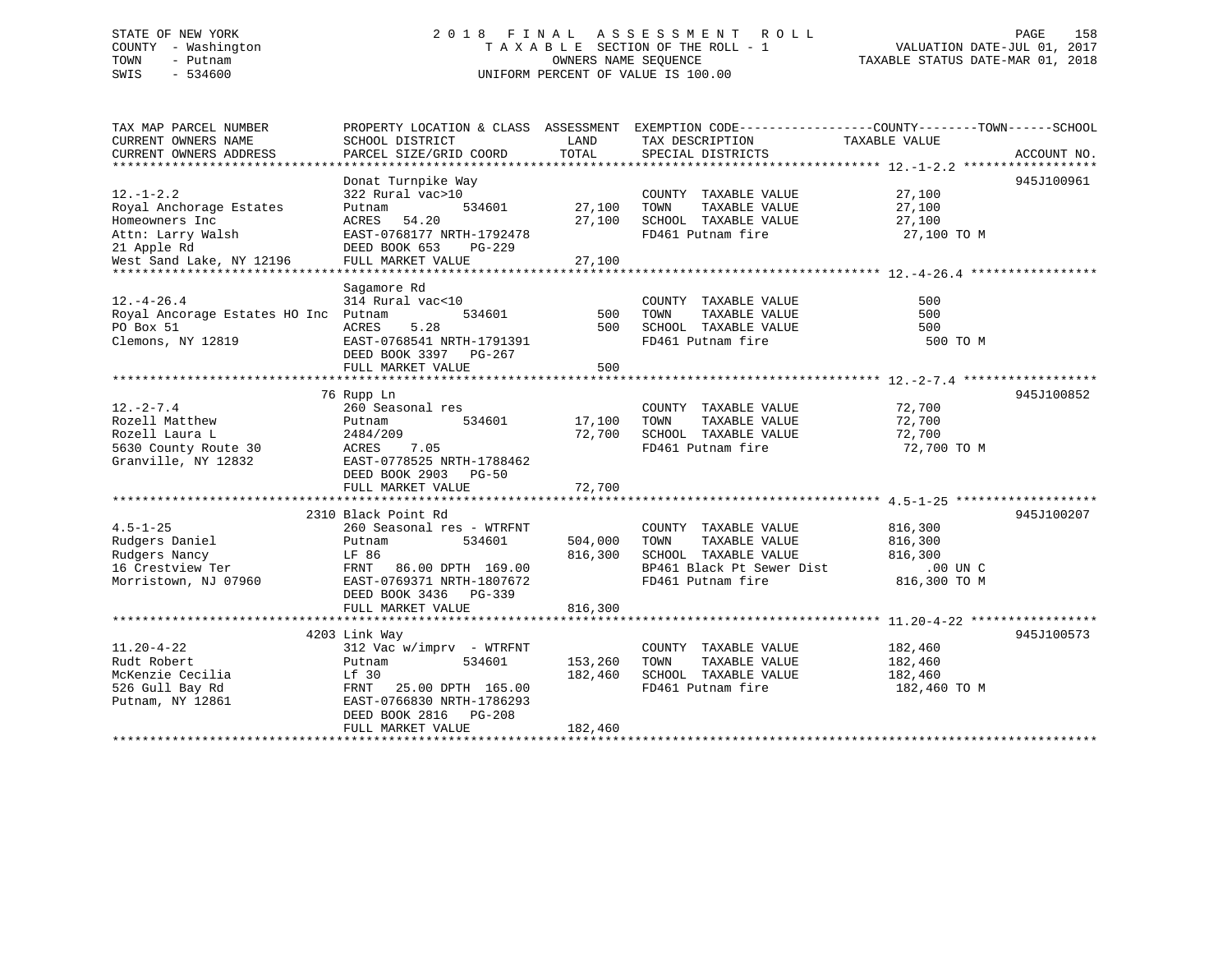## STATE OF NEW YORK 2 0 1 8 F I N A L A S S E S S M E N T R O L L PAGE 158 COUNTY - Washington T A X A B L E SECTION OF THE ROLL - 1 VALUATION DATE-JUL 01, 2017 TOWN - Putnam OWNERS NAME SEQUENCE TAXABLE STATUS DATE-MAR 01, 2018 SWIS - 534600 UNIFORM PERCENT OF VALUE IS 100.00

| TAX MAP PARCEL NUMBER                                                           |                                 |                    | PROPERTY LOCATION & CLASS ASSESSMENT EXEMPTION CODE----------------COUNTY-------TOWN------SCHOOL |                  |             |
|---------------------------------------------------------------------------------|---------------------------------|--------------------|--------------------------------------------------------------------------------------------------|------------------|-------------|
| CURRENT OWNERS NAME                                                             | SCHOOL DISTRICT                 | LAND               | TAX DESCRIPTION                                                                                  | TAXABLE VALUE    |             |
| CURRENT OWNERS ADDRESS                                                          | PARCEL SIZE/GRID COORD          | TOTAL              | SPECIAL DISTRICTS                                                                                |                  | ACCOUNT NO. |
|                                                                                 |                                 |                    |                                                                                                  |                  |             |
|                                                                                 | Donat Turnpike Way              |                    |                                                                                                  |                  | 945J100961  |
| $12. - 1 - 2.2$                                                                 | 322 Rural vac>10                |                    | COUNTY TAXABLE VALUE 27,100                                                                      |                  |             |
| Royal Anchorage Estates                                                         | Putnam                          | 534601 27,100 TOWN | TAXABLE VALUE                                                                                    |                  |             |
| Homeowners Inc                                                                  | ACRES 54.20                     |                    |                                                                                                  | 27,100           |             |
| Attn: Larry Walsh                                                               | EAST-0768177 NRTH-1792478       |                    | $27,100$ SCHOOL TAXABLE VALUE $27,100$<br>FD461 Putnam fire $27,100$ TO M                        |                  |             |
| 21 Apple Rd                                                                     | DEED BOOK 653 PG-229            |                    |                                                                                                  |                  |             |
|                                                                                 |                                 |                    |                                                                                                  |                  |             |
| West Sand Lake, NY 12196                                                        |                                 |                    |                                                                                                  |                  |             |
|                                                                                 |                                 |                    |                                                                                                  |                  |             |
|                                                                                 | Sagamore Rd                     |                    |                                                                                                  |                  |             |
| $12.-4-26.4$                                                                    | 314 Rural vac<10                |                    | COUNTY TAXABLE VALUE                                                                             | 500              |             |
| Royal Ancorage Estates HO Inc Putnam                                            | 534601                          | 500                | TAXABLE VALUE<br>TOWN                                                                            | 500              |             |
| PO Box 51                                                                       | 5.28<br>ACRES                   | 500                | SCHOOL TAXABLE VALUE                                                                             | 500              |             |
| Clemons, NY 12819                                                               | EAST-0768541 NRTH-1791391       |                    | FD461 Putnam fire                                                                                | 500 TO M         |             |
|                                                                                 | DEED BOOK 3397 PG-267           |                    |                                                                                                  |                  |             |
|                                                                                 | FULL MARKET VALUE               | 500                |                                                                                                  |                  |             |
|                                                                                 |                                 |                    |                                                                                                  |                  |             |
|                                                                                 | 76 Rupp Ln                      |                    |                                                                                                  |                  | 945J100852  |
| $12. - 2 - 7.4$                                                                 | 260 Seasonal res                |                    | COUNTY TAXABLE VALUE 72,700                                                                      |                  |             |
| Rozell Matthew                                                                  | 534601<br>Putnam                | 17,100 TOWN        |                                                                                                  | 72,700           |             |
| Rozell Laura L                                                                  | 2484/209                        |                    | 17,100 TOWN TAXABLE VALUE<br>72,700 SCHOOL TAXABLE VALUE                                         | 72,700<br>72,700 |             |
|                                                                                 | 7.05                            |                    | FD461 Putnam fire 72,700 TO M                                                                    |                  |             |
| 5630 County Route 30 ACRES<br>Granville, NY 12832 EAST-0<br>Granville, NY 12832 | EAST-0778525 NRTH-1788462       |                    |                                                                                                  |                  |             |
|                                                                                 | DEED BOOK 2903 PG-50            |                    |                                                                                                  |                  |             |
|                                                                                 | FULL MARKET VALUE               | 72,700             |                                                                                                  |                  |             |
|                                                                                 |                                 |                    |                                                                                                  |                  |             |
|                                                                                 | 2310 Black Point Rd             |                    |                                                                                                  |                  | 945J100207  |
| $4.5 - 1 - 25$                                                                  | 260 Seasonal res - WTRFNT       |                    | COUNTY TAXABLE VALUE                                                                             | 816,300          |             |
|                                                                                 |                                 |                    | TAXABLE VALUE                                                                                    |                  |             |
| Rudgers Daniel                                                                  | 534601<br>Putnam                | 504,000            | TOWN                                                                                             | 816,300          |             |
| Rudgers Nancy                                                                   | LF 86                           |                    | 816,300 SCHOOL TAXABLE VALUE<br>SCHOOL TAXABLE VALUE<br>BP461 Black Pt Sewer Dist                | 816,300          |             |
| 16 Crestview Ter                                                                | LF 80<br>FRNT 86.00 DPTH 169.00 |                    |                                                                                                  | $.00$ UN C       |             |
| Morristown, NJ 07960                                                            | EAST-0769371 NRTH-1807672       |                    | FD461 Putnam fire                                                                                | 816,300 TO M     |             |
|                                                                                 | DEED BOOK 3436 PG-339           |                    |                                                                                                  |                  |             |
|                                                                                 | FULL MARKET VALUE               | 816,300            |                                                                                                  |                  |             |
|                                                                                 |                                 |                    |                                                                                                  |                  |             |
|                                                                                 | 4203 Link Way                   |                    |                                                                                                  |                  | 945J100573  |
| $11.20 - 4 - 22$                                                                | 312 Vac w/imprv - WTRFNT        |                    | COUNTY TAXABLE VALUE                                                                             | 182,460          |             |
| Rudt Robert                                                                     | 534601<br>Putnam                | 153,260            | TAXABLE VALUE<br>TOWN                                                                            | 182,460          |             |
| McKenzie Cecilia                                                                | Lf 30                           | 182,460            | SCHOOL TAXABLE VALUE                                                                             | 182,460          |             |
| 526 Gull Bay Rd                                                                 | FRNT 25.00 DPTH 165.00          |                    | FD461 Putnam fire                                                                                | 182,460 TO M     |             |
| Putnam, NY 12861                                                                | EAST-0766830 NRTH-1786293       |                    |                                                                                                  |                  |             |
|                                                                                 | DEED BOOK 2816 PG-208           |                    |                                                                                                  |                  |             |
|                                                                                 | FULL MARKET VALUE               | 182,460            |                                                                                                  |                  |             |
|                                                                                 |                                 |                    |                                                                                                  |                  |             |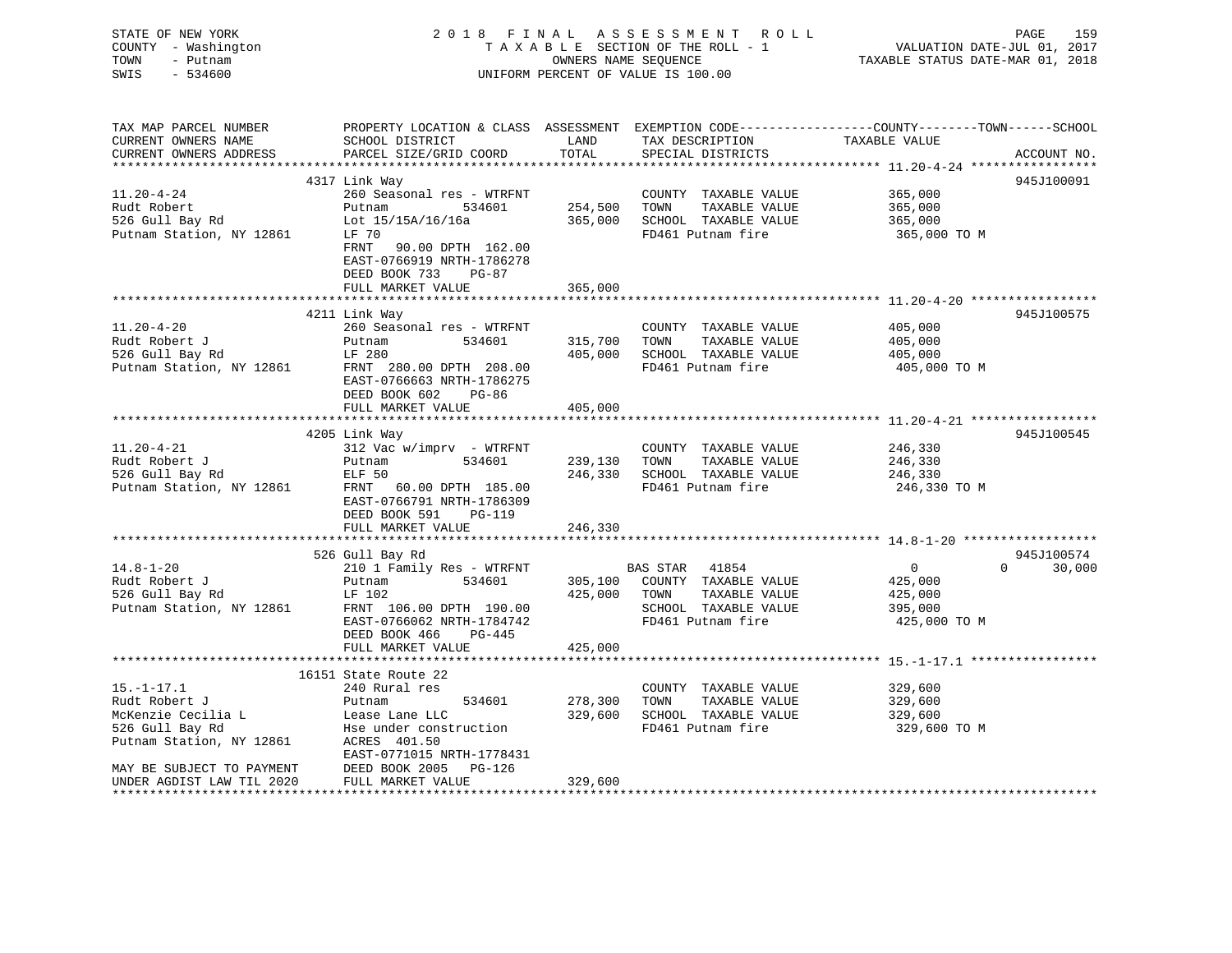| STATE OF NEW YORK<br>COUNTY - Washington<br>TOWN<br>- Putnam<br>SWIS<br>$-534600$ | 2018 FINAL ASSESSMENT ROLL                                                                                                                  | TAXABLE SECTION OF THE ROLL - 1<br>OWNERS NAME SEQUENCE<br>UNIFORM PERCENT OF VALUE IS 100.00 | VALUATION DATE-JUL 01, 2017<br>TAXABLE STATUS DATE-MAR 01, 2018 | PAGE<br>159                                        |                      |
|-----------------------------------------------------------------------------------|---------------------------------------------------------------------------------------------------------------------------------------------|-----------------------------------------------------------------------------------------------|-----------------------------------------------------------------|----------------------------------------------------|----------------------|
| TAX MAP PARCEL NUMBER<br>CURRENT OWNERS NAME<br>CURRENT OWNERS ADDRESS            | PROPERTY LOCATION & CLASS ASSESSMENT EXEMPTION CODE---------------COUNTY-------TOWN-----SCHOOL<br>SCHOOL DISTRICT<br>PARCEL SIZE/GRID COORD | LAND<br>TOTAL                                                                                 | TAX DESCRIPTION<br>SPECIAL DISTRICTS                            | TAXABLE VALUE                                      | ACCOUNT NO.          |
|                                                                                   | **************                                                                                                                              |                                                                                               |                                                                 |                                                    |                      |
| $11.20 - 4 - 24$                                                                  | 4317 Link Way<br>260 Seasonal res - WTRFNT                                                                                                  |                                                                                               | COUNTY TAXABLE VALUE                                            | 365,000                                            | 945J100091           |
| Rudt Robert                                                                       | Putnam<br>534601                                                                                                                            | 254,500                                                                                       | TOWN<br>TAXABLE VALUE                                           | 365,000                                            |                      |
| 526 Gull Bay Rd                                                                   | Lot 15/15A/16/16a                                                                                                                           | 365,000                                                                                       | SCHOOL TAXABLE VALUE                                            | 365,000                                            |                      |
| Putnam Station, NY 12861                                                          | LF 70                                                                                                                                       |                                                                                               | FD461 Putnam fire                                               | 365,000 TO M                                       |                      |
|                                                                                   | FRNT 90.00 DPTH 162.00<br>EAST-0766919 NRTH-1786278<br>DEED BOOK 733<br>PG-87                                                               |                                                                                               |                                                                 |                                                    |                      |
|                                                                                   | FULL MARKET VALUE                                                                                                                           | 365,000                                                                                       |                                                                 |                                                    |                      |
|                                                                                   | 4211 Link Way                                                                                                                               |                                                                                               |                                                                 |                                                    | 945J100575           |
| $11.20 - 4 - 20$                                                                  | 260 Seasonal res - WTRFNT                                                                                                                   |                                                                                               | COUNTY TAXABLE VALUE                                            | 405,000                                            |                      |
| Rudt Robert J                                                                     | Putnam<br>534601                                                                                                                            | 315,700                                                                                       | TOWN<br>TAXABLE VALUE                                           | 405,000                                            |                      |
| 526 Gull Bay Rd                                                                   | LF 280                                                                                                                                      | 405,000                                                                                       | SCHOOL TAXABLE VALUE                                            | 405,000                                            |                      |
| Putnam Station, NY 12861                                                          | FRNT 280.00 DPTH 208.00<br>EAST-0766663 NRTH-1786275<br>DEED BOOK 602<br>PG-86                                                              |                                                                                               | FD461 Putnam fire                                               | 405,000 TO M                                       |                      |
|                                                                                   | FULL MARKET VALUE                                                                                                                           | 405,000                                                                                       |                                                                 |                                                    |                      |
|                                                                                   |                                                                                                                                             |                                                                                               |                                                                 | ******************** 11.20-4-21 ****************** |                      |
| $11.20 - 4 - 21$                                                                  | 4205 Link Way<br>312 Vac w/imprv - WTRFNT                                                                                                   |                                                                                               | COUNTY TAXABLE VALUE                                            | 246,330                                            | 945J100545           |
| Rudt Robert J                                                                     | 534601<br>Putnam                                                                                                                            | 239,130                                                                                       | TOWN<br>TAXABLE VALUE                                           | 246,330                                            |                      |
| 526 Gull Bay Rd                                                                   | ELF 50                                                                                                                                      | 246,330                                                                                       | SCHOOL TAXABLE VALUE                                            | 246,330                                            |                      |
| Putnam Station, NY 12861                                                          | FRNT 60.00 DPTH 185.00<br>EAST-0766791 NRTH-1786309<br>DEED BOOK 591<br>PG-119                                                              |                                                                                               | FD461 Putnam fire                                               | 246,330 TO M                                       |                      |
|                                                                                   | FULL MARKET VALUE                                                                                                                           | 246,330                                                                                       |                                                                 |                                                    |                      |
|                                                                                   |                                                                                                                                             |                                                                                               |                                                                 |                                                    |                      |
| $14.8 - 1 - 20$                                                                   | 526 Gull Bay Rd<br>210 1 Family Res - WTRFNT                                                                                                |                                                                                               | BAS STAR<br>41854                                               | $\overline{0}$<br>$\Omega$                         | 945J100574<br>30,000 |
| Rudt Robert J                                                                     | Putnam<br>534601                                                                                                                            |                                                                                               | 305,100 COUNTY TAXABLE VALUE                                    | 425,000                                            |                      |
| 526 Gull Bay Rd                                                                   | LF 102                                                                                                                                      | 425,000                                                                                       | TOWN<br>TAXABLE VALUE                                           | 425,000                                            |                      |
| Putnam Station, NY 12861                                                          | FRNT 106.00 DPTH 190.00                                                                                                                     |                                                                                               | SCHOOL TAXABLE VALUE                                            | 395,000                                            |                      |
|                                                                                   | EAST-0766062 NRTH-1784742                                                                                                                   |                                                                                               | FD461 Putnam fire                                               | 425,000 TO M                                       |                      |
|                                                                                   | DEED BOOK 466<br>PG-445                                                                                                                     |                                                                                               |                                                                 |                                                    |                      |
|                                                                                   | FULL MARKET VALUE                                                                                                                           | 425,000                                                                                       |                                                                 |                                                    |                      |
|                                                                                   | 16151 State Route 22                                                                                                                        |                                                                                               |                                                                 |                                                    |                      |
| $15. - 1 - 17.1$                                                                  | 240 Rural res                                                                                                                               |                                                                                               | COUNTY TAXABLE VALUE                                            | 329,600                                            |                      |
| Rudt Robert J                                                                     | 534601<br>Putnam                                                                                                                            | 278,300                                                                                       | TOWN<br>TAXABLE VALUE                                           | 329,600                                            |                      |
| McKenzie Cecilia L                                                                | Lease Lane LLC                                                                                                                              | 329,600                                                                                       | SCHOOL TAXABLE VALUE                                            | 329,600                                            |                      |
| 526 Gull Bay Rd                                                                   | Hse under construction                                                                                                                      |                                                                                               | FD461 Putnam fire                                               | 329,600 TO M                                       |                      |
| Putnam Station, NY 12861                                                          | ACRES 401.50                                                                                                                                |                                                                                               |                                                                 |                                                    |                      |
|                                                                                   | EAST-0771015 NRTH-1778431                                                                                                                   |                                                                                               |                                                                 |                                                    |                      |
| MAY BE SUBJECT TO PAYMENT<br>UNDER AGDIST LAW TIL 2020                            | DEED BOOK 2005<br>PG-126<br>FULL MARKET VALUE                                                                                               | 329,600                                                                                       |                                                                 |                                                    |                      |
|                                                                                   |                                                                                                                                             |                                                                                               |                                                                 |                                                    |                      |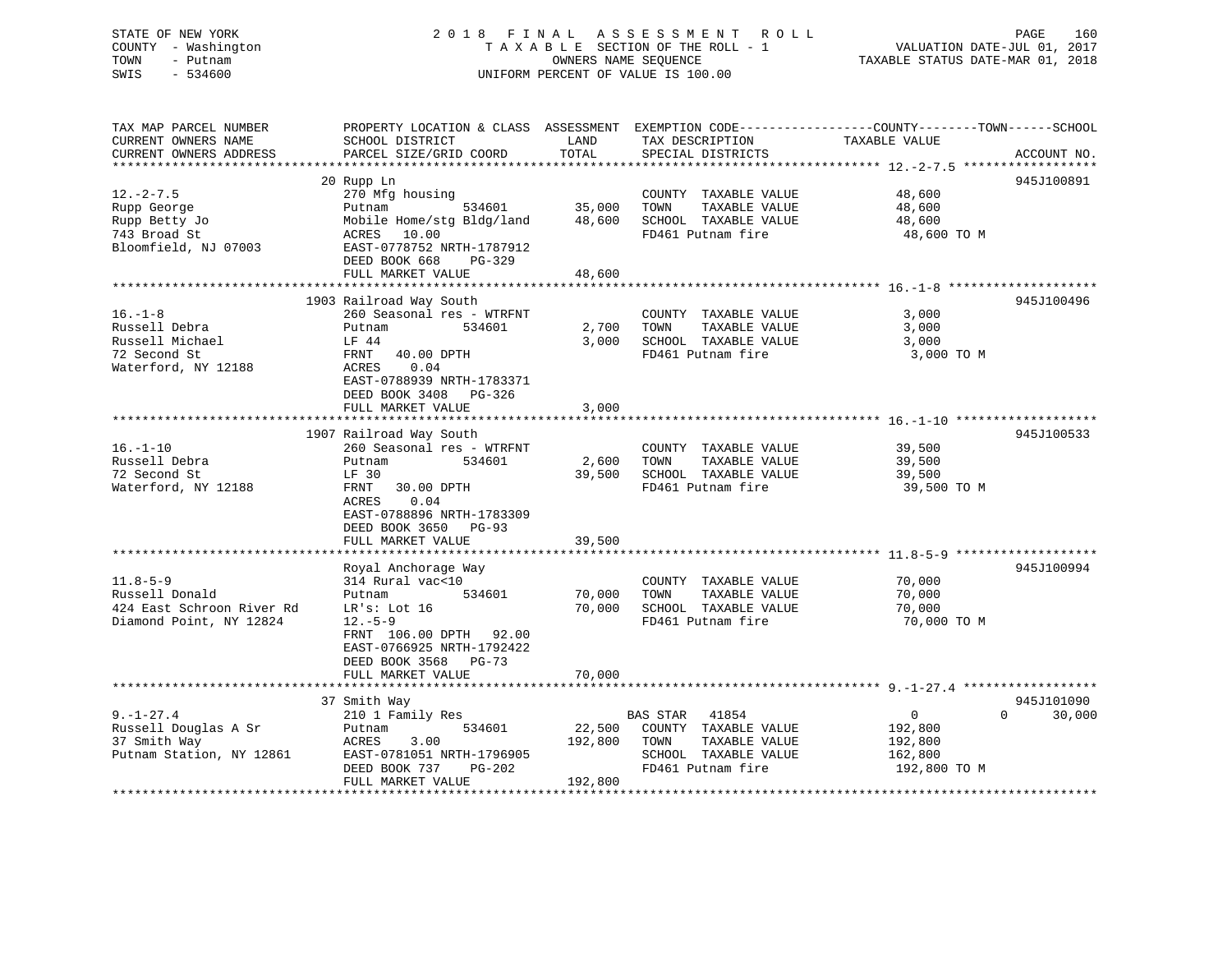## STATE OF NEW YORK 2 0 1 8 F I N A L A S S E S S M E N T R O L L PAGE 160 COUNTY - Washington T A X A B L E SECTION OF THE ROLL - 1 VALUATION DATE-JUL 01, 2017 TOWN - Putnam **CONNERS NAME SEQUENCE** TAXABLE STATUS DATE-MAR 01, 2018 SWIS - 534600 UNIFORM PERCENT OF VALUE IS 100.00

| TAX MAP PARCEL NUMBER     | PROPERTY LOCATION & CLASS ASSESSMENT |         |                          | EXEMPTION CODE-----------------COUNTY-------TOWN------SCHOOL |
|---------------------------|--------------------------------------|---------|--------------------------|--------------------------------------------------------------|
| CURRENT OWNERS NAME       | SCHOOL DISTRICT                      | LAND    | TAX DESCRIPTION          | TAXABLE VALUE                                                |
| CURRENT OWNERS ADDRESS    | PARCEL SIZE/GRID COORD               | TOTAL   | SPECIAL DISTRICTS        | ACCOUNT NO.                                                  |
|                           |                                      |         |                          |                                                              |
|                           | 20 Rupp Ln                           |         |                          | 945J100891                                                   |
| $12. - 2 - 7.5$           | 270 Mfg housing                      |         | COUNTY TAXABLE VALUE     | 48,600                                                       |
| Rupp George               | 534601<br>Putnam                     | 35,000  | TAXABLE VALUE<br>TOWN    | 48,600                                                       |
| Rupp Betty Jo             | Mobile Home/stg Bldg/land            | 48,600  | SCHOOL TAXABLE VALUE     | 48,600                                                       |
| 743 Broad St              | 10.00<br>ACRES                       |         | FD461 Putnam fire        | 48,600 TO M                                                  |
| Bloomfield, NJ 07003      | EAST-0778752 NRTH-1787912            |         |                          |                                                              |
|                           | DEED BOOK 668<br>$PG-329$            |         |                          |                                                              |
|                           | FULL MARKET VALUE                    | 48,600  |                          |                                                              |
|                           |                                      |         |                          |                                                              |
|                           | 1903 Railroad Way South              |         |                          | 945J100496                                                   |
| $16. - 1 - 8$             | 260 Seasonal res - WTRFNT            |         | COUNTY TAXABLE VALUE     | 3,000                                                        |
| Russell Debra             | 534601<br>Putnam                     | 2,700   | TAXABLE VALUE<br>TOWN    | 3,000                                                        |
| Russell Michael           | LF 44                                | 3,000   | SCHOOL TAXABLE VALUE     | 3,000                                                        |
| 72 Second St              | 40.00 DPTH<br>FRNT                   |         | FD461 Putnam fire        | 3,000 TO M                                                   |
| Waterford, NY 12188       | 0.04<br>ACRES                        |         |                          |                                                              |
|                           | EAST-0788939 NRTH-1783371            |         |                          |                                                              |
|                           | DEED BOOK 3408<br>PG-326             |         |                          |                                                              |
|                           | FULL MARKET VALUE                    | 3,000   |                          |                                                              |
|                           |                                      |         |                          |                                                              |
|                           | 1907 Railroad Way South              |         |                          | 945J100533                                                   |
| $16. - 1 - 10$            | 260 Seasonal res - WTRFNT            |         | COUNTY TAXABLE VALUE     | 39,500                                                       |
| Russell Debra             | 534601<br>Putnam                     | 2,600   | TOWN<br>TAXABLE VALUE    | 39,500                                                       |
| 72 Second St              | LF 30                                | 39,500  | SCHOOL TAXABLE VALUE     | 39,500                                                       |
| Waterford, NY 12188       | FRNT<br>30.00 DPTH                   |         | FD461 Putnam fire        | 39,500 TO M                                                  |
|                           | ACRES<br>0.04                        |         |                          |                                                              |
|                           | EAST-0788896 NRTH-1783309            |         |                          |                                                              |
|                           |                                      |         |                          |                                                              |
|                           | DEED BOOK 3650<br>$PG-93$            |         |                          |                                                              |
|                           | FULL MARKET VALUE                    | 39,500  |                          |                                                              |
|                           |                                      |         |                          | 945J100994                                                   |
|                           | Royal Anchorage Way                  |         |                          |                                                              |
| $11.8 - 5 - 9$            | 314 Rural vac<10                     |         | COUNTY TAXABLE VALUE     | 70,000                                                       |
| Russell Donald            | 534601<br>Putnam                     | 70,000  | TOWN<br>TAXABLE VALUE    | 70,000                                                       |
| 424 East Schroon River Rd | LR's: Lot 16                         | 70,000  | SCHOOL TAXABLE VALUE     | 70,000                                                       |
| Diamond Point, NY 12824   | $12.-5-9$                            |         | FD461 Putnam fire        | 70,000 TO M                                                  |
|                           | FRNT 106.00 DPTH 92.00               |         |                          |                                                              |
|                           | EAST-0766925 NRTH-1792422            |         |                          |                                                              |
|                           | DEED BOOK 3568 PG-73                 |         |                          |                                                              |
|                           | FULL MARKET VALUE                    | 70,000  |                          |                                                              |
|                           |                                      |         |                          |                                                              |
|                           | 37 Smith Way                         |         |                          | 945J101090                                                   |
| $9. - 1 - 27.4$           | 210 1 Family Res                     |         | <b>BAS STAR</b><br>41854 | $\mathbf 0$<br>$\Omega$<br>30,000                            |
| Russell Douglas A Sr      | 534601<br>Putnam                     | 22,500  | COUNTY TAXABLE VALUE     | 192,800                                                      |
| 37 Smith Way              | 3.00<br>ACRES                        | 192,800 | TOWN<br>TAXABLE VALUE    | 192,800                                                      |
| Putnam Station, NY 12861  | EAST-0781051 NRTH-1796905            |         | SCHOOL TAXABLE VALUE     | 162,800                                                      |
|                           | DEED BOOK 737<br>PG-202              |         | FD461 Putnam fire        | 192,800 TO M                                                 |
|                           | FULL MARKET VALUE                    | 192,800 |                          |                                                              |
|                           |                                      |         |                          |                                                              |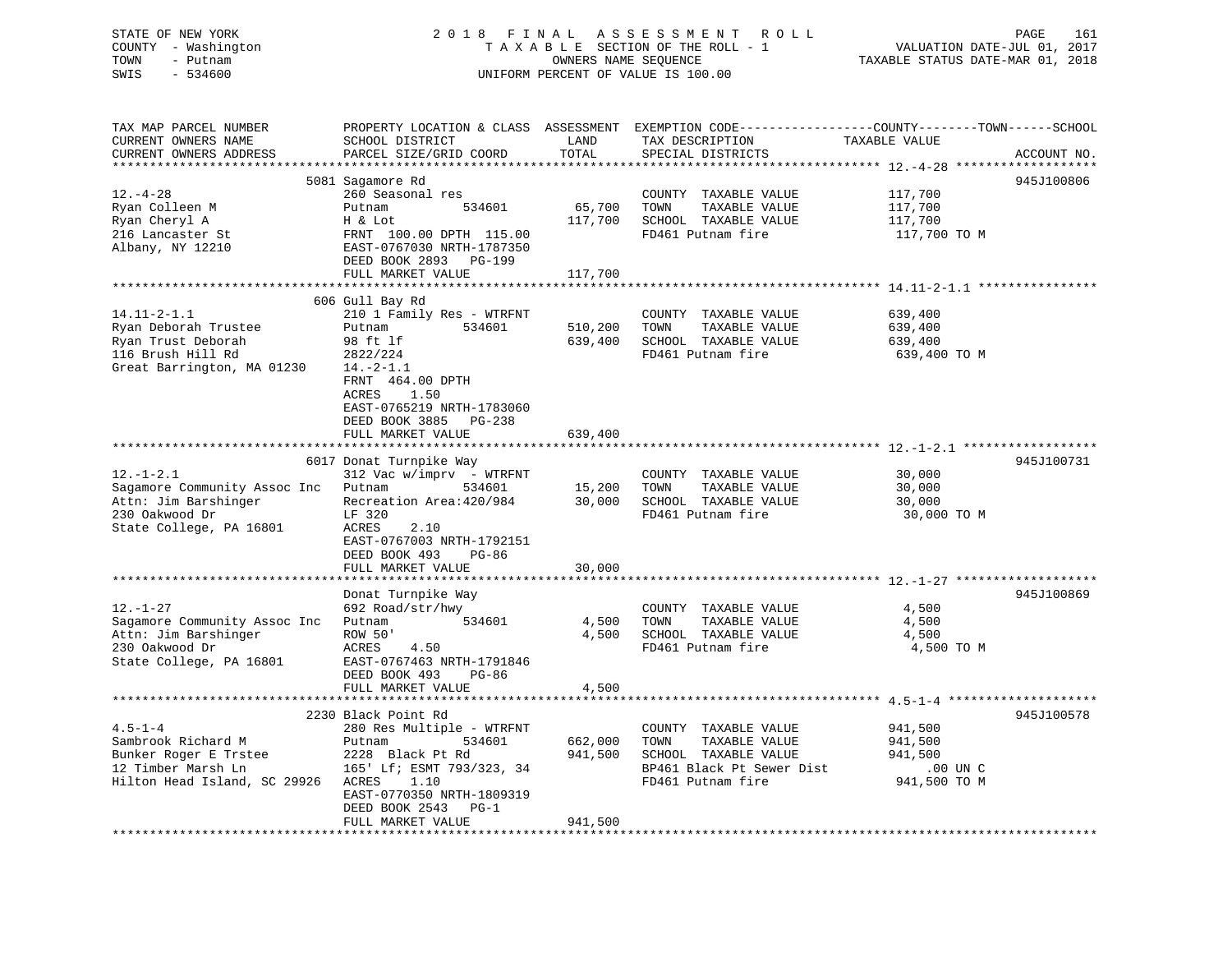| STATE OF NEW YORK<br>COUNTY - Washington<br>TOWN<br>- Putnam<br>$-534600$<br>SWIS                                           | 2018 FINAL ASSESSMENT<br>TAXABLE SECTION OF THE ROLL - 1<br>UNIFORM PERCENT OF VALUE IS 100.00                                                                                                                       | <b>ROLL</b><br>PAGE<br>161<br>VALUATION DATE-JUL 01, 2017<br>TAXABLE STATUS DATE-MAR 01, 2018 |                                                                                                                         |                                                                                                                                  |
|-----------------------------------------------------------------------------------------------------------------------------|----------------------------------------------------------------------------------------------------------------------------------------------------------------------------------------------------------------------|-----------------------------------------------------------------------------------------------|-------------------------------------------------------------------------------------------------------------------------|----------------------------------------------------------------------------------------------------------------------------------|
| TAX MAP PARCEL NUMBER<br>CURRENT OWNERS NAME<br>CURRENT OWNERS ADDRESS                                                      | SCHOOL DISTRICT<br>PARCEL SIZE/GRID COORD                                                                                                                                                                            | LAND<br>TOTAL                                                                                 | TAX DESCRIPTION<br>SPECIAL DISTRICTS                                                                                    | PROPERTY LOCATION & CLASS ASSESSMENT EXEMPTION CODE----------------COUNTY-------TOWN------SCHOOL<br>TAXABLE VALUE<br>ACCOUNT NO. |
| $12. - 4 - 28$<br>Ryan Colleen M<br>Ryan Cheryl A<br>216 Lancaster St<br>Albany, NY 12210                                   | 5081 Sagamore Rd<br>260 Seasonal res<br>Putnam<br>534601<br>H & Lot<br>FRNT 100.00 DPTH 115.00<br>EAST-0767030 NRTH-1787350<br>DEED BOOK 2893 PG-199<br>FULL MARKET VALUE                                            | 65,700<br>117,700<br>117,700                                                                  | COUNTY TAXABLE VALUE<br>TAXABLE VALUE<br>TOWN<br>SCHOOL TAXABLE VALUE<br>FD461 Putnam fire                              | 945J100806<br>117,700<br>117,700<br>117,700<br>117,700 TO M                                                                      |
|                                                                                                                             |                                                                                                                                                                                                                      |                                                                                               |                                                                                                                         |                                                                                                                                  |
| $14.11 - 2 - 1.1$<br>Ryan Deborah Trustee<br>Ryan Trust Deborah<br>116 Brush Hill Rd<br>Great Barrington, MA 01230          | 606 Gull Bay Rd<br>210 1 Family Res - WTRFNT<br>Putnam 534601<br>98 ft lf<br>2822/224<br>$14.-2-1.1$<br>FRNT 464.00 DPTH<br>ACRES<br>1.50<br>EAST-0765219 NRTH-1783060<br>DEED BOOK 3885 PG-238<br>FULL MARKET VALUE | 510,200<br>639,400                                                                            | COUNTY TAXABLE VALUE<br>TOWN<br>TAXABLE VALUE<br>639,400 SCHOOL TAXABLE VALUE<br>FD461 Putnam fire                      | 639,400<br>639,400<br>639,400<br>639,400 TO M                                                                                    |
|                                                                                                                             |                                                                                                                                                                                                                      |                                                                                               |                                                                                                                         |                                                                                                                                  |
| $12. - 1 - 2.1$<br>Sagamore Community Assoc Inc Putnam<br>Attn: Jim Barshinger<br>230 Oakwood Dr<br>State College, PA 16801 | 6017 Donat Turnpike Way<br>312 Vac w/imprv - WTRFNT<br>534601<br>Recreation Area: 420/984<br>LF 320<br>ACRES<br>2.10<br>EAST-0767003 NRTH-1792151<br>DEED BOOK 493<br>PG-86<br>FULL MARKET VALUE                     | 15,200<br>30,000                                                                              | COUNTY TAXABLE VALUE<br>TOWN<br>TAXABLE VALUE<br>30,000 SCHOOL TAXABLE VALUE<br>FD461 Putnam fire                       | 945J100731<br>30,000<br>30,000<br>30,000<br>30,000 TO M                                                                          |
|                                                                                                                             |                                                                                                                                                                                                                      |                                                                                               |                                                                                                                         |                                                                                                                                  |
| $12. - 1 - 27$<br>Sagamore Community Assoc Inc<br>Attn: Jim Barshinger<br>230 Oakwood Dr<br>State College, PA 16801         | Donat Turnpike Way<br>692 Road/str/hwy<br>Putnam<br>534601<br>ROW 50'<br>ACRES<br>4.50<br>EAST-0767463 NRTH-1791846<br>DEED BOOK 493<br>PG-86<br>FULL MARKET VALUE<br>*************************                      | 4,500<br>4,500<br>4,500                                                                       | COUNTY TAXABLE VALUE<br>TAXABLE VALUE<br>TOWN<br>SCHOOL TAXABLE VALUE<br>FD461 Putnam fire                              | 945J100869<br>4,500<br>4,500<br>4,500<br>4,500 TO M                                                                              |
|                                                                                                                             |                                                                                                                                                                                                                      |                                                                                               |                                                                                                                         | **************** $4.5 - 1 - 4$ ****************<br>945J100578                                                                    |
| $4.5 - 1 - 4$<br>Sambrook Richard M<br>Bunker Roger E Trstee<br>12 Timber Marsh Ln<br>Hilton Head Island, SC 29926          | 2230 Black Point Rd<br>280 Res Multiple - WTRFNT<br>Putnam<br>534601<br>2228 Black Pt Rd<br>165' Lf; ESMT 793/323, 34<br>ACRES<br>1.10<br>EAST-0770350 NRTH-1809319<br>DEED BOOK 2543 PG-1                           | 662,000<br>941,500                                                                            | COUNTY TAXABLE VALUE<br>TOWN<br>TAXABLE VALUE<br>SCHOOL TAXABLE VALUE<br>BP461 Black Pt Sewer Dist<br>FD461 Putnam fire | 941,500<br>941,500<br>941,500<br>.00 UN C<br>941,500 TO M                                                                        |

FULL MARKET VALUE 941,500 \*\*\*\*\*\*\*\*\*\*\*\*\*\*\*\*\*\*\*\*\*\*\*\*\*\*\*\*\*\*\*\*\*\*\*\*\*\*\*\*\*\*\*\*\*\*\*\*\*\*\*\*\*\*\*\*\*\*\*\*\*\*\*\*\*\*\*\*\*\*\*\*\*\*\*\*\*\*\*\*\*\*\*\*\*\*\*\*\*\*\*\*\*\*\*\*\*\*\*\*\*\*\*\*\*\*\*\*\*\*\*\*\*\*\*\*\*\*\*\*\*\*\*\*\*\*\*\*\*\*\*\*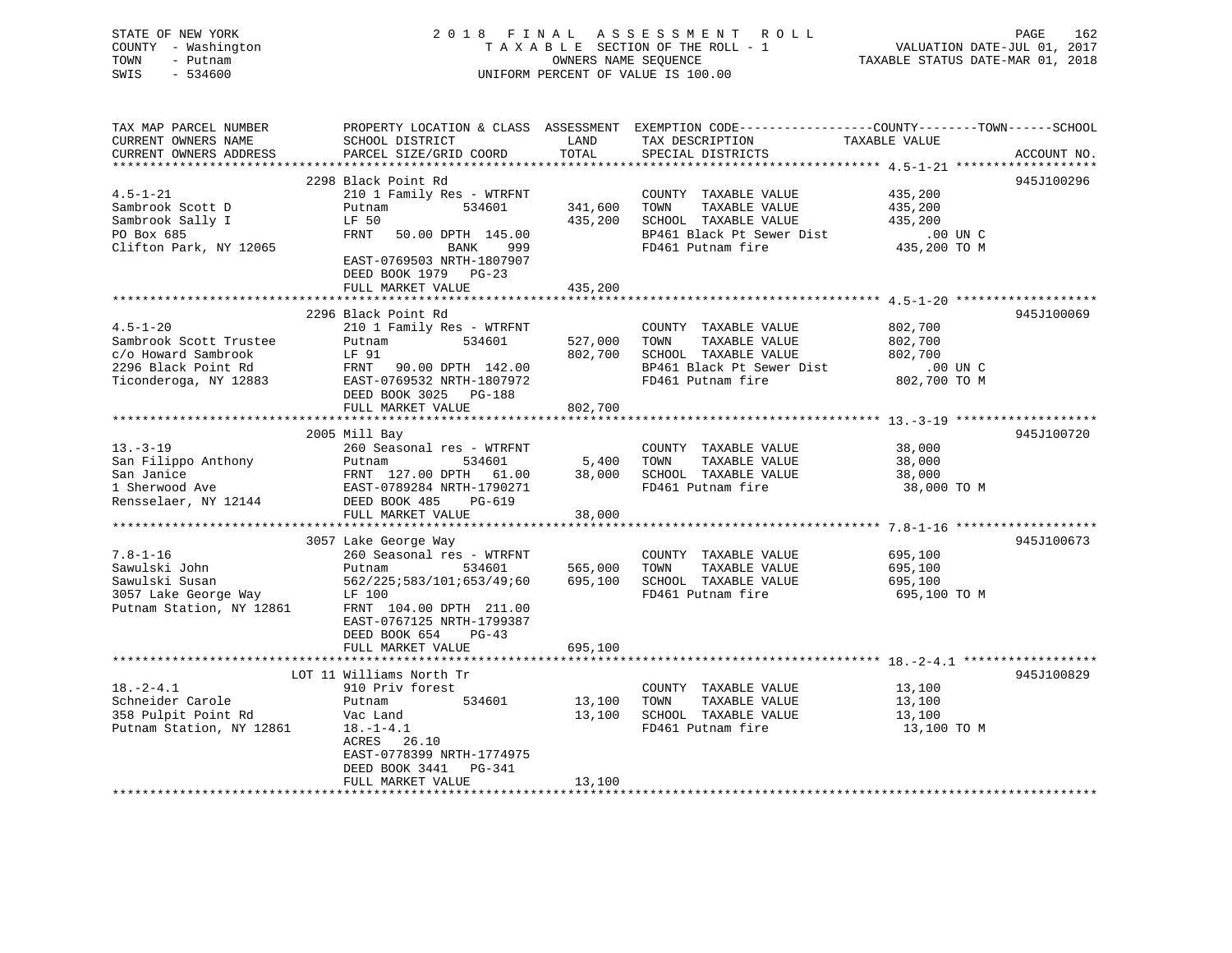| STATE OF NEW YORK<br>COUNTY - Washington<br>TOWN<br>- Putnam<br>$-534600$<br>SWIS | 2018 FINAL                                                       |               | ASSESSMENT ROLL<br>TAXABLE SECTION OF THE ROLL - 1<br>OWNERS NAME SEQUENCE<br>UNIFORM PERCENT OF VALUE IS 100.00 | PAGE<br>162<br>VALUATION DATE-JUL 01, 2017<br>TAXABLE STATUS DATE-MAR 01, 2018                                                  |
|-----------------------------------------------------------------------------------|------------------------------------------------------------------|---------------|------------------------------------------------------------------------------------------------------------------|---------------------------------------------------------------------------------------------------------------------------------|
| TAX MAP PARCEL NUMBER<br>CURRENT OWNERS NAME<br>CURRENT OWNERS ADDRESS            | SCHOOL DISTRICT<br>PARCEL SIZE/GRID COORD                        | LAND<br>TOTAL | TAX DESCRIPTION<br>SPECILL PLATELATS<br>SPECIAL DISTRICTS                                                        | PROPERTY LOCATION & CLASS ASSESSMENT EXEMPTION CODE----------------COUNTY-------TOWN-----SCHOOL<br>TAXABLE VALUE<br>ACCOUNT NO. |
|                                                                                   | 2298 Black Point Rd                                              |               |                                                                                                                  | 945J100296                                                                                                                      |
| $4.5 - 1 - 21$                                                                    | 210 1 Family Res - WTRFNT                                        |               | COUNTY TAXABLE VALUE                                                                                             | 435,200                                                                                                                         |
| Sambrook Scott D                                                                  | Putnam<br>534601                                                 | 341,600       | TOWN<br>TAXABLE VALUE                                                                                            | 435,200                                                                                                                         |
| Sambrook Sally I                                                                  | LF 50                                                            | 435,200       | SCHOOL TAXABLE VALUE                                                                                             | 435,200                                                                                                                         |
| PO Box 685                                                                        | FRNT<br>50.00 DPTH 145.00                                        |               | BP461 Black Pt Sewer Dist                                                                                        | .00 UN C                                                                                                                        |
| Clifton Park, NY 12065                                                            | 999<br>BANK<br>EAST-0769503 NRTH-1807907<br>DEED BOOK 1979 PG-23 |               | FD461 Putnam fire                                                                                                | 435,200 TO M                                                                                                                    |
|                                                                                   | FULL MARKET VALUE                                                | 435,200       |                                                                                                                  |                                                                                                                                 |
|                                                                                   |                                                                  |               |                                                                                                                  |                                                                                                                                 |
| $4.5 - 1 - 20$                                                                    | 2296 Black Point Rd<br>210 1 Family Res - WTRFNT                 |               | COUNTY TAXABLE VALUE                                                                                             | 945J100069<br>802,700                                                                                                           |
| Sambrook Scott Trustee                                                            | 534601<br>Putnam                                                 | 527,000       | TOWN<br>TAXABLE VALUE                                                                                            | 802,700                                                                                                                         |
| c/o Howard Sambrook                                                               | LF 91                                                            | 802,700       | SCHOOL TAXABLE VALUE                                                                                             | 802,700                                                                                                                         |
| 2296 Black Point Rd                                                               | FRNT 90.00 DPTH 142.00                                           |               | BP461 Black Pt Sewer Dist                                                                                        | $.00$ UN C                                                                                                                      |
| 2296 Black Point Rd<br>Ticonderoga, NY 12883                                      | EAST-0769532 NRTH-1807972                                        |               | FD461 Putnam fire                                                                                                | 802,700 TO M                                                                                                                    |
|                                                                                   | DEED BOOK 3025 PG-188                                            |               |                                                                                                                  |                                                                                                                                 |
|                                                                                   | FULL MARKET VALUE                                                | 802,700       |                                                                                                                  |                                                                                                                                 |
|                                                                                   | 2005 Mill Bay                                                    |               |                                                                                                                  | 945J100720                                                                                                                      |
| $13 - 3 - 19$                                                                     | 260 Seasonal res - WTRFNT                                        |               | COUNTY TAXABLE VALUE                                                                                             | 38,000                                                                                                                          |
| San Filippo Anthony                                                               | Putnam<br>534601                                                 | 5,400         | TOWN<br>TAXABLE VALUE                                                                                            | 38,000                                                                                                                          |
| San Janice                                                                        | FRNT 127.00 DPTH 61.00                                           | 38,000        | SCHOOL TAXABLE VALUE                                                                                             | 38,000                                                                                                                          |
| 1 Sherwood Ave                                                                    | EAST-0789284 NRTH-1790271                                        |               | FD461 Putnam fire                                                                                                | 38,000 TO M                                                                                                                     |
| Rensselaer, NY 12144 DEED BOOK 485                                                | PG-619                                                           |               |                                                                                                                  |                                                                                                                                 |
|                                                                                   | FULL MARKET VALUE                                                | 38,000        |                                                                                                                  |                                                                                                                                 |
|                                                                                   | 3057 Lake George Way                                             |               |                                                                                                                  | 945J100673                                                                                                                      |
| $7.8 - 1 - 16$                                                                    | 260 Seasonal res - WTRFNT                                        |               | COUNTY TAXABLE VALUE                                                                                             | 695,100                                                                                                                         |
| Sawulski John                                                                     | Putnam<br>534601                                                 | 565,000       | TAXABLE VALUE<br>TOWN                                                                                            | 695,100                                                                                                                         |
| Sawulski Susan                                                                    | 562/225;583/101;653/49;60                                        | 695,100       | SCHOOL TAXABLE VALUE                                                                                             | 695,100                                                                                                                         |
| 3057 Lake George Way                                                              | LF 100                                                           |               | FD461 Putnam fire                                                                                                | 695,100 ТО М                                                                                                                    |
| Putnam Station, NY 12861                                                          | FRNT 104.00 DPTH 211.00                                          |               |                                                                                                                  |                                                                                                                                 |
|                                                                                   | EAST-0767125 NRTH-1799387                                        |               |                                                                                                                  |                                                                                                                                 |
|                                                                                   | DEED BOOK 654<br>$PG-43$<br>FULL MARKET VALUE                    | 695,100       |                                                                                                                  |                                                                                                                                 |
|                                                                                   |                                                                  |               |                                                                                                                  |                                                                                                                                 |
|                                                                                   | LOT 11 Williams North Tr                                         |               |                                                                                                                  | 945J100829                                                                                                                      |
| $18. - 2 - 4.1$                                                                   | 910 Priv forest                                                  |               | COUNTY TAXABLE VALUE                                                                                             | 13,100                                                                                                                          |
| Schneider Carole                                                                  | 534601<br>Putnam                                                 | 13,100        | TOWN<br>TAXABLE VALUE                                                                                            | 13,100                                                                                                                          |
| 358 Pulpit Point Rd                                                               | Vac Land                                                         | 13,100        | SCHOOL TAXABLE VALUE                                                                                             | 13,100                                                                                                                          |
| Putnam Station, NY 12861                                                          | $18.-1-4.1$                                                      |               | FD461 Putnam fire                                                                                                | 13,100 TO M                                                                                                                     |
|                                                                                   | ACRES 26.10<br>EAST-0778399 NRTH-1774975                         |               |                                                                                                                  |                                                                                                                                 |
|                                                                                   | DEED BOOK 3441<br>PG-341                                         |               |                                                                                                                  |                                                                                                                                 |
|                                                                                   | FULL MARKET VALUE                                                | 13,100        |                                                                                                                  |                                                                                                                                 |
|                                                                                   |                                                                  |               |                                                                                                                  |                                                                                                                                 |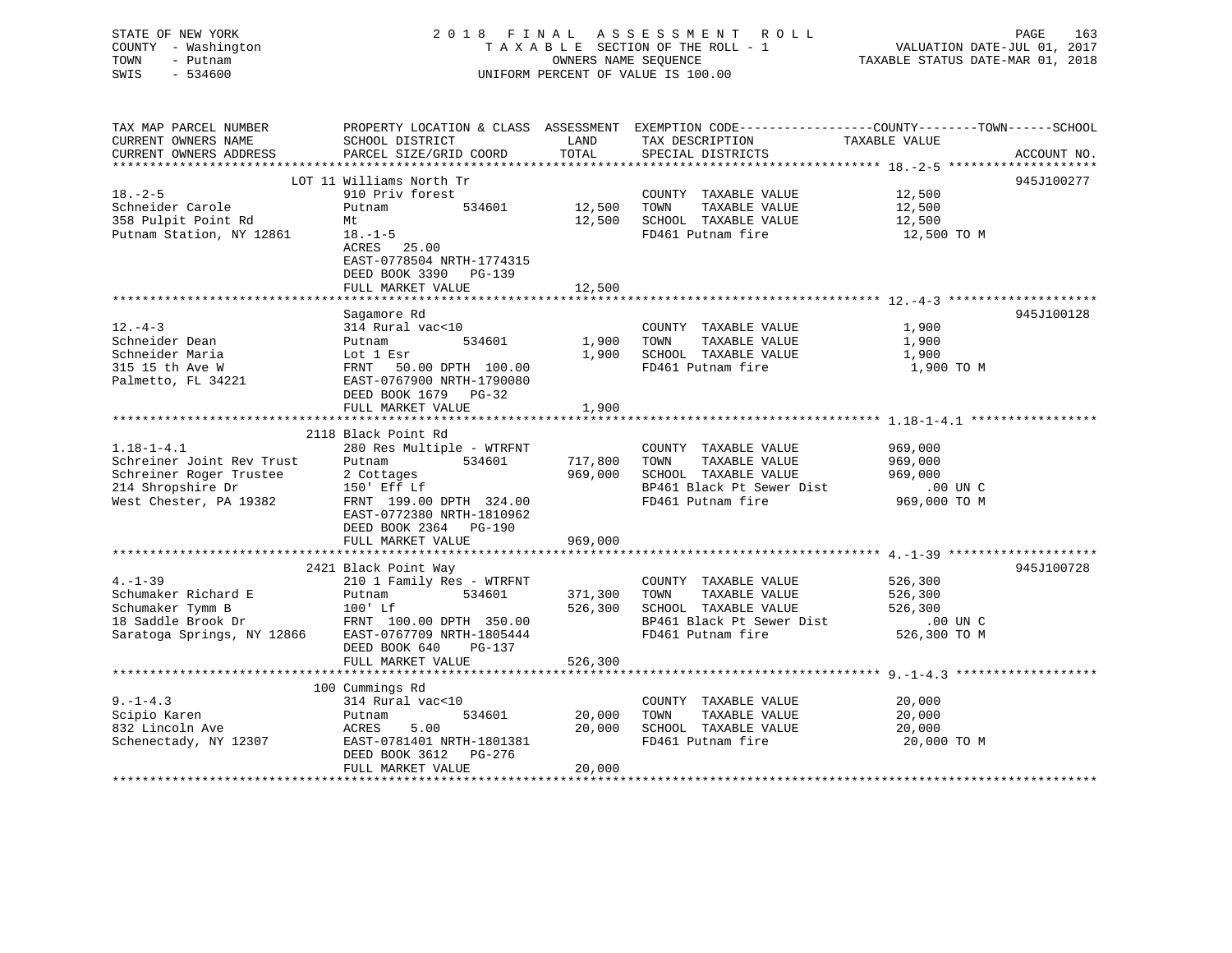| STATE OF NEW YORK<br>COUNTY - Washington<br>TOWN<br>- Putnam<br>$-534600$<br>SWIS | 2018 FINAL                                         | OWNERS NAME SEQUENCE | ASSESSMENT ROLL<br>TAXABLE SECTION OF THE ROLL - 1<br>UNIFORM PERCENT OF VALUE IS 100.00 | PAGE<br>163<br>VALUATION DATE-JUL 01, 2017<br>TAXABLE STATUS DATE-MAR 01, 2018                   |
|-----------------------------------------------------------------------------------|----------------------------------------------------|----------------------|------------------------------------------------------------------------------------------|--------------------------------------------------------------------------------------------------|
| TAX MAP PARCEL NUMBER                                                             |                                                    |                      |                                                                                          | PROPERTY LOCATION & CLASS ASSESSMENT EXEMPTION CODE----------------COUNTY-------TOWN------SCHOOL |
| CURRENT OWNERS NAME<br>CURRENT OWNERS ADDRESS                                     | SCHOOL DISTRICT<br>PARCEL SIZE/GRID COORD          | LAND<br>TOTAL        | TAX DESCRIPTION<br>SPECIAL DISTRICTS                                                     | TAXABLE VALUE<br>ACCOUNT NO.                                                                     |
|                                                                                   |                                                    |                      |                                                                                          |                                                                                                  |
|                                                                                   | LOT 11 Williams North Tr                           |                      |                                                                                          | 945J100277                                                                                       |
| $18. - 2 - 5$                                                                     | 910 Priv forest                                    |                      | COUNTY TAXABLE VALUE                                                                     | 12,500                                                                                           |
| Schneider Carole                                                                  | 534601<br>Putnam                                   | 12,500               | TAXABLE VALUE<br>TOWN                                                                    | 12,500                                                                                           |
| 358 Pulpit Point Rd                                                               | Mt                                                 | 12,500               | SCHOOL TAXABLE VALUE                                                                     | 12,500                                                                                           |
| Putnam Station, NY 12861                                                          | $18. - 1 - 5$                                      |                      | FD461 Putnam fire                                                                        | 12,500 TO M                                                                                      |
|                                                                                   | ACRES 25.00                                        |                      |                                                                                          |                                                                                                  |
|                                                                                   | EAST-0778504 NRTH-1774315<br>DEED BOOK 3390 PG-139 |                      |                                                                                          |                                                                                                  |
|                                                                                   | FULL MARKET VALUE                                  | 12,500               |                                                                                          |                                                                                                  |
|                                                                                   |                                                    |                      |                                                                                          |                                                                                                  |
|                                                                                   | Sagamore Rd                                        |                      |                                                                                          | 945J100128                                                                                       |
| $12. - 4 - 3$                                                                     | 314 Rural vac<10                                   |                      | COUNTY TAXABLE VALUE                                                                     | 1,900                                                                                            |
| Schneider Dean                                                                    | 534601<br>Putnam                                   | 1,900                | TAXABLE VALUE<br>TOWN                                                                    | 1,900                                                                                            |
| Schneider Maria                                                                   | Lot 1 Esr                                          | 1,900                | SCHOOL TAXABLE VALUE                                                                     | 1,900                                                                                            |
| 315 15 th Ave W                                                                   | FRNT<br>50.00 DPTH 100.00                          |                      | FD461 Putnam fire                                                                        | 1,900 TO M                                                                                       |
| Palmetto, FL 34221                                                                | EAST-0767900 NRTH-1790080                          |                      |                                                                                          |                                                                                                  |
|                                                                                   | DEED BOOK 1679 PG-32                               |                      |                                                                                          |                                                                                                  |
|                                                                                   | FULL MARKET VALUE                                  | 1,900                |                                                                                          |                                                                                                  |
|                                                                                   |                                                    |                      |                                                                                          |                                                                                                  |
| $1.18 - 1 - 4.1$                                                                  | 2118 Black Point Rd                                |                      | COUNTY TAXABLE VALUE                                                                     | 969,000                                                                                          |
| Schreiner Joint Rev Trust                                                         | 280 Res Multiple - WTRFNT<br>534601<br>Putnam      | 717,800              | TOWN<br>TAXABLE VALUE                                                                    | 969,000                                                                                          |
| Schreiner Roger Trustee                                                           | 2 Cottages                                         | 969,000              | SCHOOL TAXABLE VALUE                                                                     | 969,000                                                                                          |
| 214 Shropshire Dr                                                                 | 150' Eff Lf                                        |                      | BP461 Black Pt Sewer Dist                                                                | .00 UN C                                                                                         |
| West Chester, PA 19382                                                            | FRNT 199.00 DPTH 324.00                            |                      | FD461 Putnam fire                                                                        | 969,000 TO M                                                                                     |
|                                                                                   | EAST-0772380 NRTH-1810962                          |                      |                                                                                          |                                                                                                  |
|                                                                                   | DEED BOOK 2364 PG-190                              |                      |                                                                                          |                                                                                                  |
|                                                                                   | FULL MARKET VALUE                                  | 969,000              |                                                                                          |                                                                                                  |
|                                                                                   |                                                    |                      |                                                                                          |                                                                                                  |
|                                                                                   | 2421 Black Point Way                               |                      |                                                                                          | 945J100728                                                                                       |
| $4. - 1 - 39$                                                                     | 210 1 Family Res - WTRFNT                          |                      | COUNTY TAXABLE VALUE                                                                     | 526,300                                                                                          |
| Schumaker Richard E                                                               | Putnam<br>534601                                   | 371,300              | TOWN<br>TAXABLE VALUE                                                                    | 526,300                                                                                          |
| Schumaker Tymm B                                                                  | $100'$ Lf                                          | 526,300              | SCHOOL TAXABLE VALUE                                                                     | 526,300                                                                                          |
| 18 Saddle Brook Dr                                                                | FRNT 100.00 DPTH 350.00                            |                      | BP461 Black Pt Sewer Dist                                                                | .00 UN C                                                                                         |
| Saratoga Springs, NY 12866                                                        | EAST-0767709 NRTH-1805444                          |                      | FD461 Putnam fire                                                                        | 526,300 TO M                                                                                     |
|                                                                                   | DEED BOOK 640<br>$PG-137$<br>FULL MARKET VALUE     | 526,300              |                                                                                          |                                                                                                  |
|                                                                                   |                                                    |                      |                                                                                          |                                                                                                  |
|                                                                                   | 100 Cummings Rd                                    |                      |                                                                                          |                                                                                                  |
| $9. - 1 - 4.3$                                                                    | 314 Rural vac<10                                   |                      | COUNTY TAXABLE VALUE                                                                     | 20,000                                                                                           |
| Scipio Karen                                                                      | 534601<br>Putnam                                   | 20,000               | TOWN<br>TAXABLE VALUE                                                                    | 20,000                                                                                           |
| 832 Lincoln Ave                                                                   | 5.00<br>ACRES                                      | 20,000               | SCHOOL TAXABLE VALUE                                                                     | 20,000                                                                                           |
| Schenectady, NY 12307                                                             | EAST-0781401 NRTH-1801381                          |                      | FD461 Putnam fire                                                                        | 20,000 TO M                                                                                      |

FULL MARKET VALUE 20,000 \*\*\*\*\*\*\*\*\*\*\*\*\*\*\*\*\*\*\*\*\*\*\*\*\*\*\*\*\*\*\*\*\*\*\*\*\*\*\*\*\*\*\*\*\*\*\*\*\*\*\*\*\*\*\*\*\*\*\*\*\*\*\*\*\*\*\*\*\*\*\*\*\*\*\*\*\*\*\*\*\*\*\*\*\*\*\*\*\*\*\*\*\*\*\*\*\*\*\*\*\*\*\*\*\*\*\*\*\*\*\*\*\*\*\*\*\*\*\*\*\*\*\*\*\*\*\*\*\*\*\*\*

EAST-0781401 NRTH-1801381 DEED BOOK 3612 PG-276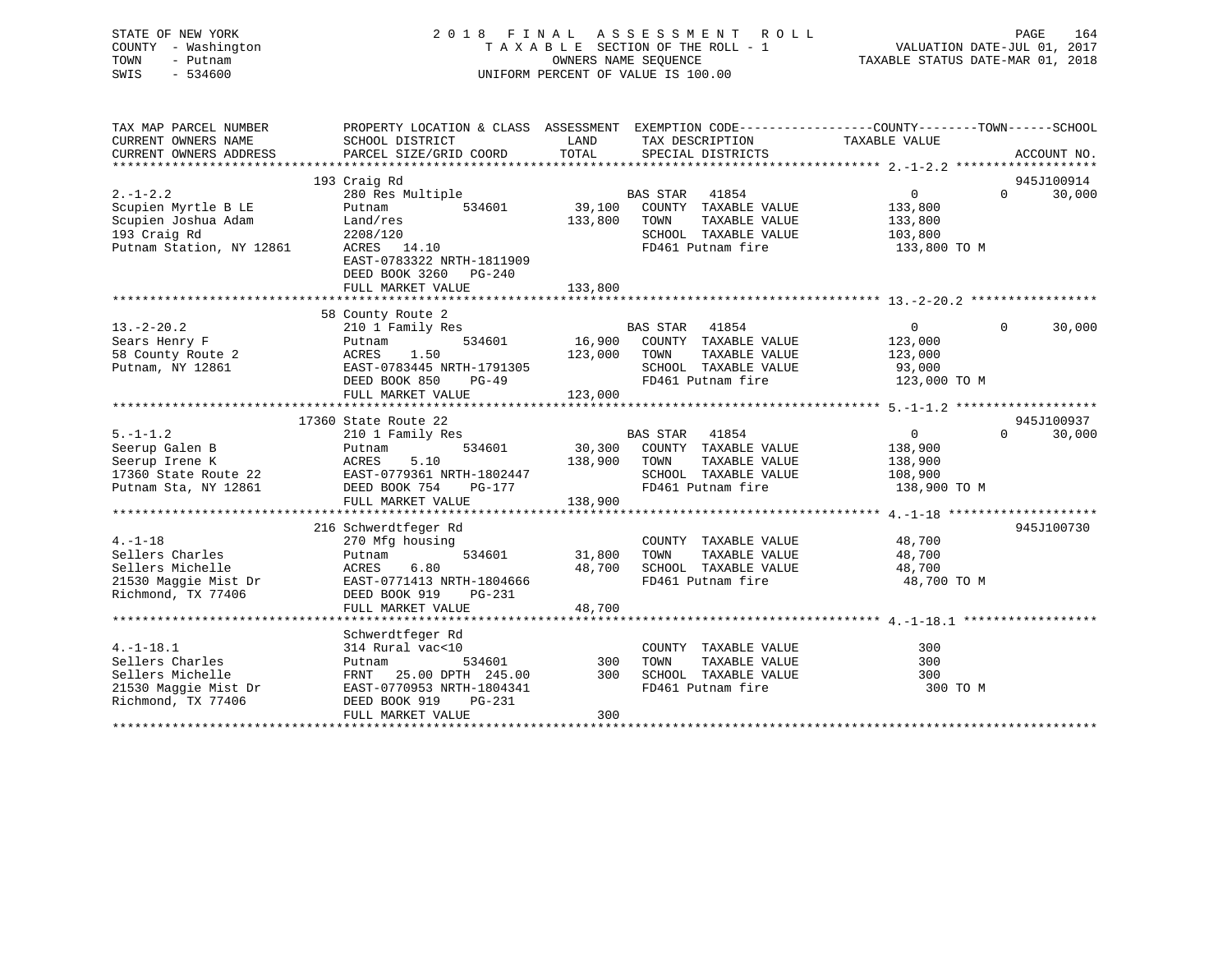## STATE OF NEW YORK 2 0 1 8 F I N A L A S S E S S M E N T R O L L PAGE 164 COUNTY - Washington T A X A B L E SECTION OF THE ROLL - 1 VALUATION DATE-JUL 01, 2017 TOWN - Putnam OWNERS NAME SEQUENCE TAXABLE STATUS DATE-MAR 01, 2018 SWIS - 534600 UNIFORM PERCENT OF VALUE IS 100.00

| TAX MAP PARCEL NUMBER<br>CURRENT OWNERS NAME<br>CURRENT OWNERS ADDRESS                              | PROPERTY LOCATION & CLASS ASSESSMENT EXEMPTION CODE---------------COUNTY-------TOWN-----SCHOOL<br>SCHOOL DISTRICT<br>PARCEL SIZE/GRID COORD                | LAND<br>TOTAL                | TAX DESCRIPTION<br>SPECIAL DISTRICTS                                                                                          | TAXABLE VALUE                                            | ACCOUNT NO.                      |
|-----------------------------------------------------------------------------------------------------|------------------------------------------------------------------------------------------------------------------------------------------------------------|------------------------------|-------------------------------------------------------------------------------------------------------------------------------|----------------------------------------------------------|----------------------------------|
| $2. -1 - 2.2$<br>Scupien Myrtle B LE<br>Scupien Joshua Adam                                         | 193 Craig Rd<br>280 Res Multiple<br>Putnam<br>534601<br>Land/res                                                                                           | 39,100<br>133,800            | <b>BAS STAR</b><br>41854<br>COUNTY TAXABLE VALUE<br>TOWN<br>TAXABLE VALUE                                                     | $\overline{0}$<br>133,800<br>133,800                     | 945J100914<br>$\Omega$<br>30,000 |
| 193 Craig Rd<br>Putnam Station, NY 12861                                                            | 2208/120<br>ACRES 14.10<br>EAST-0783322 NRTH-1811909<br>DEED BOOK 3260 PG-240<br>FULL MARKET VALUE                                                         | 133,800                      | SCHOOL TAXABLE VALUE<br>FD461 Putnam fire                                                                                     | 103,800<br>133,800 TO M                                  |                                  |
|                                                                                                     |                                                                                                                                                            |                              |                                                                                                                               |                                                          |                                  |
| $13. - 2 - 20.2$<br>Sears Henry F<br>58 County Route 2<br>Putnam, NY 12861                          | 58 County Route 2<br>210 1 Family Res<br>534601<br>Putnam<br>1.50<br>ACRES<br>EAST-0783445 NRTH-1791305<br>DEED BOOK 850<br>PG-49<br>FULL MARKET VALUE     | 16,900<br>123,000<br>123,000 | 41854<br>BAS STAR<br>COUNTY TAXABLE VALUE<br>TAXABLE VALUE<br>TOWN<br>SCHOOL TAXABLE VALUE<br>FD461 Putnam fire               | $\Omega$<br>123,000<br>123,000<br>93,000<br>123,000 TO M | $\Omega$<br>30,000               |
|                                                                                                     |                                                                                                                                                            |                              |                                                                                                                               |                                                          |                                  |
| $5. - 1 - 1.2$<br>Seerup Galen B<br>Seerup Irene K<br>17360 State Route 22<br>Putnam Sta, NY 12861  | 17360 State Route 22<br>210 1 Family Res<br>534601<br>Putnam<br>5.10<br>ACRES<br>EAST-0779361 NRTH-1802447<br>DEED BOOK 754<br>PG-177<br>FULL MARKET VALUE | 138,900 TOWN<br>138,900      | <b>BAS STAR</b><br>41854<br>30,300 COUNTY TAXABLE VALUE<br>TAXABLE VALUE<br>SCHOOL TAXABLE VALUE 108,900<br>FD461 Putnam fire | $\overline{0}$<br>138,900<br>138,900<br>138,900 TO M     | 945J100937<br>$\Omega$<br>30,000 |
|                                                                                                     |                                                                                                                                                            |                              |                                                                                                                               |                                                          |                                  |
| $4. -1 - 18$<br>Sellers Charles<br>Sellers Michelle<br>21530 Maggie Mist Dr<br>Richmond, TX 77406   | 216 Schwerdtfeger Rd<br>270 Mfg housing<br>534601<br>Putnam<br>6.80<br>ACRES<br>EAST-0771413 NRTH-1804666<br>DEED BOOK 919<br>PG-231<br>FULL MARKET VALUE  | 31,800<br>48,700<br>48,700   | COUNTY TAXABLE VALUE<br>TOWN<br>TAXABLE VALUE<br>SCHOOL TAXABLE VALUE<br>FD461 Putnam fire                                    | 48,700<br>48,700<br>48,700<br>48,700 TO M                | 945J100730                       |
|                                                                                                     |                                                                                                                                                            |                              |                                                                                                                               |                                                          |                                  |
| $4. -1 - 18.1$<br>Sellers Charles<br>Sellers Michelle<br>21530 Maggie Mist Dr<br>Richmond, TX 77406 | Schwerdtfeger Rd<br>314 Rural vac<10<br>534601<br>Putnam<br>FRNT 25.00 DPTH 245.00<br>EAST-0770953 NRTH-1804341<br>DEED BOOK 919<br>PG-231                 | 300<br>300                   | COUNTY TAXABLE VALUE<br>TOWN<br>TAXABLE VALUE<br>SCHOOL TAXABLE VALUE<br>FD461 Putnam fire                                    | 300<br>300<br>300<br>300 TO M                            |                                  |
|                                                                                                     | FULL MARKET VALUE                                                                                                                                          | 300                          |                                                                                                                               |                                                          |                                  |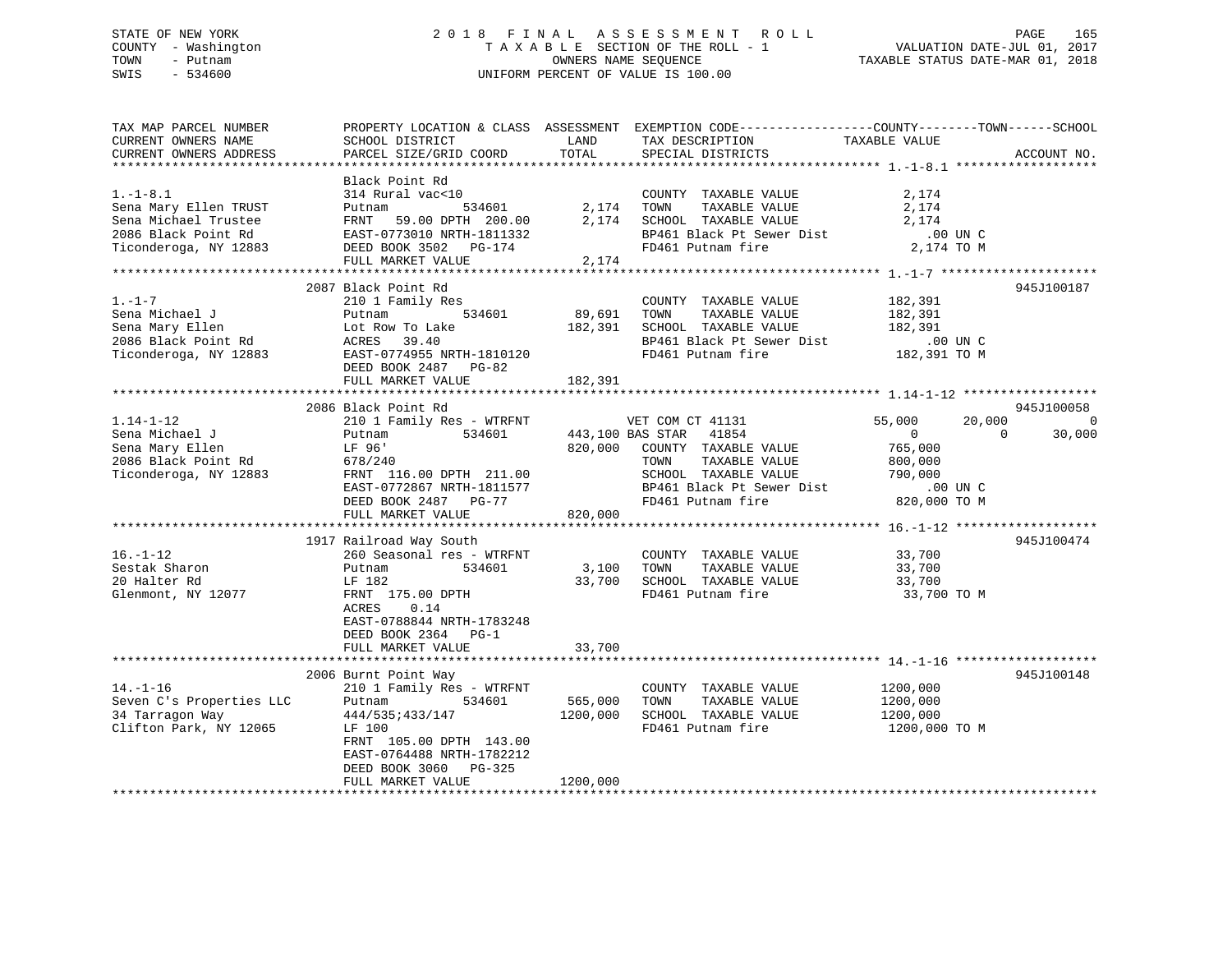## STATE OF NEW YORK 2 0 1 8 F I N A L A S S E S S M E N T R O L L PAGE 165 COUNTY - Washington T A X A B L E SECTION OF THE ROLL - 1 VALUATION DATE-JUL 01, 2017 TOWN - Putnam OWNERS NAME SEQUENCE TAXABLE STATUS DATE-MAR 01, 2018 SWIS - 534600 UNIFORM PERCENT OF VALUE IS 100.00

| TAX MAP PARCEL NUMBER                                          |                                                                                                                                                                                                                                |                   | PROPERTY LOCATION & CLASS ASSESSMENT EXEMPTION CODE----------------COUNTY-------TOWN------SCHOOL                                                                                                  |                                             |                |
|----------------------------------------------------------------|--------------------------------------------------------------------------------------------------------------------------------------------------------------------------------------------------------------------------------|-------------------|---------------------------------------------------------------------------------------------------------------------------------------------------------------------------------------------------|---------------------------------------------|----------------|
| CURRENT OWNERS NAME                                            | SCHOOL DISTRICT                                                                                                                                                                                                                | LAND              | TAX DESCRIPTION                                                                                                                                                                                   | TAXABLE VALUE                               |                |
| CURRENT OWNERS ADDRESS                                         | PARCEL SIZE/GRID COORD                                                                                                                                                                                                         | TOTAL             | SPECIAL DISTRICTS                                                                                                                                                                                 |                                             | ACCOUNT NO.    |
|                                                                |                                                                                                                                                                                                                                |                   |                                                                                                                                                                                                   |                                             |                |
|                                                                | Black Point Rd                                                                                                                                                                                                                 |                   |                                                                                                                                                                                                   |                                             |                |
| $1. -1 - 8.1$                                                  | 314 Rural vac<10                                                                                                                                                                                                               |                   | $\begin{tabular}{lllllllllll} \multicolumn{2}{c}{\textbf{COUNTY}} & \textbf{TAXABLE VALUE} & & & & 2,174 \\ \multicolumn{2}{c}{\textbf{TOWN}} & \textbf{TAXABLE VALUE} & & & 2,174 \end{tabular}$ |                                             |                |
|                                                                |                                                                                                                                                                                                                                | 534601 2,174 TOWN |                                                                                                                                                                                                   |                                             |                |
|                                                                |                                                                                                                                                                                                                                |                   | 2,174 SCHOOL TAXABLE VALUE 2,174<br>BP461 Black Pt Sewer Dist 00 UN C                                                                                                                             |                                             |                |
|                                                                |                                                                                                                                                                                                                                |                   |                                                                                                                                                                                                   |                                             |                |
|                                                                |                                                                                                                                                                                                                                |                   | FD461 Putnam fire                                                                                                                                                                                 | 2,174 TO M                                  |                |
|                                                                | FULL MARKET VALUE                                                                                                                                                                                                              | 2,174             |                                                                                                                                                                                                   |                                             |                |
|                                                                |                                                                                                                                                                                                                                |                   |                                                                                                                                                                                                   |                                             |                |
|                                                                | 2087 Black Point Rd                                                                                                                                                                                                            |                   |                                                                                                                                                                                                   |                                             | 945J100187     |
| $1. - 1 - 7$                                                   | 210 1 Family Res                                                                                                                                                                                                               |                   | COUNTY TAXABLE VALUE 182,391                                                                                                                                                                      |                                             |                |
|                                                                | Common Sand Michael J<br>Sena Mary Ellen Butham 534601 89<br>2086 Black Point Rd ACRES 39.40<br>Ticonderoga, NY 12883 EAST-0774955 NRTH-1810120                                                                                |                   | 534601 89,691 TOWN TAXABLE VALUE 182,391 TO Lake 182,391 SCHOOL TAXABLE VALUE 182,391                                                                                                             |                                             |                |
|                                                                |                                                                                                                                                                                                                                |                   |                                                                                                                                                                                                   |                                             |                |
|                                                                |                                                                                                                                                                                                                                |                   | BP461 Black Pt Sewer Dist<br>FD461 Putnam fire 182,391 TO M<br>FD461 Putnam fire                                                                                                                  |                                             |                |
|                                                                |                                                                                                                                                                                                                                |                   |                                                                                                                                                                                                   |                                             |                |
|                                                                | DEED BOOK 2487 PG-82<br>FULL MARKET VALUE 182,391                                                                                                                                                                              |                   |                                                                                                                                                                                                   |                                             |                |
|                                                                |                                                                                                                                                                                                                                |                   |                                                                                                                                                                                                   |                                             |                |
|                                                                | 2086 Black Point Rd                                                                                                                                                                                                            |                   |                                                                                                                                                                                                   |                                             | 945J100058     |
| $1.14 - 1 - 12$                                                | 210 1 Family Res - WTRFNT VET COM CT 41131                                                                                                                                                                                     |                   |                                                                                                                                                                                                   | 55,000<br>20,000                            | $\overline{0}$ |
|                                                                | 534601                                                                                                                                                                                                                         |                   | 443,100 BAS STAR 41854                                                                                                                                                                            | $\overline{0}$                              | 30,000         |
| Sena Michael J<br>Sena Mary Ellen<br>Sena Mary Ellen<br>LF 96' |                                                                                                                                                                                                                                |                   | 820,000 COUNTY TAXABLE VALUE                                                                                                                                                                      | $\begin{array}{c} 0 \\ 765,000 \end{array}$ |                |
|                                                                |                                                                                                                                                                                                                                |                   |                                                                                                                                                                                                   |                                             |                |
|                                                                |                                                                                                                                                                                                                                |                   |                                                                                                                                                                                                   |                                             |                |
|                                                                |                                                                                                                                                                                                                                |                   |                                                                                                                                                                                                   |                                             |                |
|                                                                |                                                                                                                                                                                                                                |                   |                                                                                                                                                                                                   |                                             |                |
|                                                                | Sena Mary Ellen (16.00 DPTH 211.00 CHOOL TAXABLE VALUE 790,000 CHOOL TOWN CONGREGAL TICONOL TAXABLE VALUE 790,000 CHOOL TAXABLE VALUE 790,000 CHOOL TAXABLE VALUE 790,000 CHOOL TAXABLE VALUE 790,000 CHOOL TAXABLE VALUE 790, |                   |                                                                                                                                                                                                   |                                             |                |
|                                                                |                                                                                                                                                                                                                                |                   |                                                                                                                                                                                                   |                                             |                |
|                                                                | 1917 Railroad Way South                                                                                                                                                                                                        |                   |                                                                                                                                                                                                   |                                             | 945J100474     |
| $16. - 1 - 12$                                                 | 260 Seasonal res - WTRFNT                                                                                                                                                                                                      |                   | COUNTY TAXABLE VALUE 33,700                                                                                                                                                                       |                                             |                |
| Sestak Sharon<br>20 Walter Rd                                  | 534601                                                                                                                                                                                                                         |                   |                                                                                                                                                                                                   | 33,700                                      |                |
|                                                                | Putnam<br>LF 182                                                                                                                                                                                                               |                   | 3,100 TOWN TAXABLE VALUE<br>33,700 SCHOOL TAXABLE VALUE                                                                                                                                           | 33,700                                      |                |
| Glenmont, NY 12077                                             | FRNT 175.00 DPTH                                                                                                                                                                                                               |                   | FD461 Putnam fire                                                                                                                                                                                 | 33,700 TO M                                 |                |
|                                                                | 0.14<br>ACRES                                                                                                                                                                                                                  |                   |                                                                                                                                                                                                   |                                             |                |
|                                                                | EAST-0788844 NRTH-1783248                                                                                                                                                                                                      |                   |                                                                                                                                                                                                   |                                             |                |
|                                                                | DEED BOOK 2364 PG-1                                                                                                                                                                                                            |                   |                                                                                                                                                                                                   |                                             |                |
|                                                                | FULL MARKET VALUE                                                                                                                                                                                                              | 33,700            |                                                                                                                                                                                                   |                                             |                |
|                                                                |                                                                                                                                                                                                                                |                   |                                                                                                                                                                                                   |                                             |                |
|                                                                |                                                                                                                                                                                                                                |                   |                                                                                                                                                                                                   |                                             | 945J100148     |
|                                                                |                                                                                                                                                                                                                                |                   | COUNTY TAXABLE VALUE                                                                                                                                                                              | 1200,000                                    |                |
|                                                                |                                                                                                                                                                                                                                |                   | TAXABLE VALUE                                                                                                                                                                                     | 1200,000                                    |                |
|                                                                |                                                                                                                                                                                                                                |                   | SCHOOL TAXABLE VALUE                                                                                                                                                                              | 1200,000<br>1200,000 TO M                   |                |
|                                                                |                                                                                                                                                                                                                                |                   | FD461 Putnam fire                                                                                                                                                                                 |                                             |                |
|                                                                | FRNT 105.00 DPTH 143.00                                                                                                                                                                                                        |                   |                                                                                                                                                                                                   |                                             |                |
|                                                                | EAST-0764488 NRTH-1782212                                                                                                                                                                                                      |                   |                                                                                                                                                                                                   |                                             |                |
|                                                                | DEED BOOK 3060 PG-325                                                                                                                                                                                                          |                   |                                                                                                                                                                                                   |                                             |                |
|                                                                | FULL MARKET VALUE                                                                                                                                                                                                              | 1200,000          |                                                                                                                                                                                                   |                                             |                |
|                                                                |                                                                                                                                                                                                                                |                   |                                                                                                                                                                                                   |                                             |                |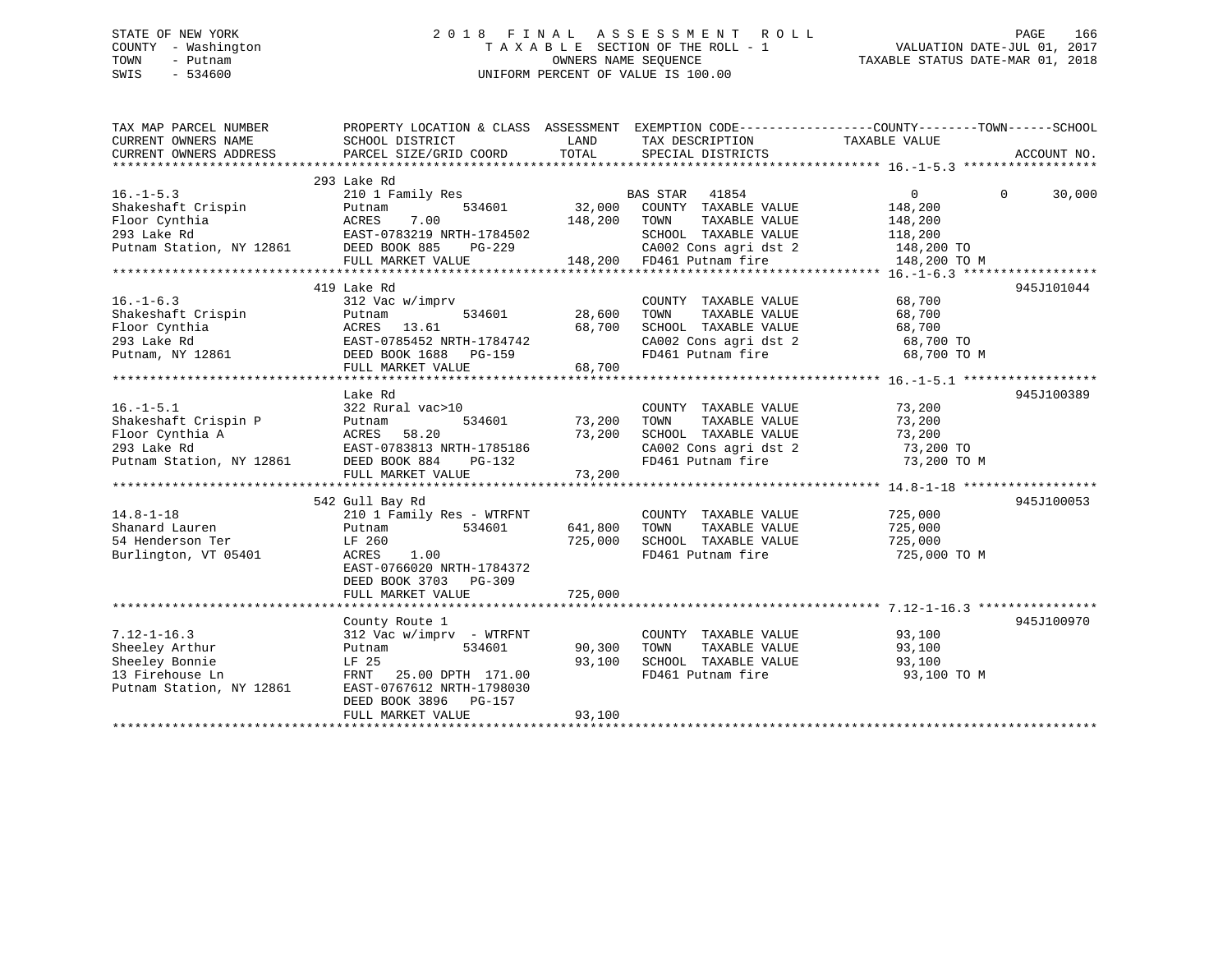## STATE OF NEW YORK 2 0 1 8 F I N A L A S S E S S M E N T R O L L PAGE 166 COUNTY - Washington T A X A B L E SECTION OF THE ROLL - 1 VALUATION DATE-JUL 01, 2017 TOWN - Putnam OWNERS NAME SEQUENCE TAXABLE STATUS DATE-MAR 01, 2018 SWIS - 534600 UNIFORM PERCENT OF VALUE IS 100.00

| TAX MAP PARCEL NUMBER<br>CURRENT OWNERS NAME                                                                                                                                 | PROPERTY LOCATION & CLASS ASSESSMENT EXEMPTION CODE----------------COUNTY-------TOWN-----SCHOOL<br>SCHOOL DISTRICT | LAND    | TAX DESCRIPTION                                         | TAXABLE VALUE     |                    |
|------------------------------------------------------------------------------------------------------------------------------------------------------------------------------|--------------------------------------------------------------------------------------------------------------------|---------|---------------------------------------------------------|-------------------|--------------------|
| CURRENT OWNERS ADDRESS                                                                                                                                                       | PARCEL SIZE/GRID COORD                                                                                             | TOTAL   | SPECIAL DISTRICTS                                       |                   | ACCOUNT NO.        |
|                                                                                                                                                                              |                                                                                                                    |         |                                                         |                   |                    |
|                                                                                                                                                                              | 293 Lake Rd                                                                                                        |         |                                                         |                   |                    |
| $16. - 1 - 5.3$                                                                                                                                                              | 210 1 Family Res                                                                                                   |         | BAS STAR<br>41854                                       | $0 \qquad \qquad$ | $\Omega$<br>30,000 |
| Exert of the Shakeshaft Crispin<br>Floor Cynthia (ACRES 7.00<br>293 Lake Rd EAST-0783219 NRTH-1784502<br>Putnam Station, NY 12861 DEED BOOK 885 PG-229<br>FIILL MARKET VALUE |                                                                                                                    | 32,000  | COUNTY TAXABLE VALUE                                    | 148,200           |                    |
|                                                                                                                                                                              |                                                                                                                    | 148,200 | TOWN<br>TAXABLE VALUE                                   | 148,200           |                    |
|                                                                                                                                                                              |                                                                                                                    |         | SCHOOL TAXABLE VALUE                                    | 118,200           |                    |
|                                                                                                                                                                              |                                                                                                                    |         | -229 CA002 Cons agri dst 2<br>148,200 FD461 Putnam fire | 148,200 TO        |                    |
|                                                                                                                                                                              | FULL MARKET VALUE                                                                                                  |         |                                                         | 148,200 TO M      |                    |
|                                                                                                                                                                              |                                                                                                                    |         |                                                         |                   |                    |
|                                                                                                                                                                              | 419 Lake Rd                                                                                                        |         |                                                         |                   | 945J101044         |
| $16. - 1 - 6.3$                                                                                                                                                              | 312 Vac w/imprv                                                                                                    |         | COUNTY TAXABLE VALUE                                    | 68,700            |                    |
| Shakeshaft Crispin<br>Floor Cynthia                                                                                                                                          | 534601<br>Putnam                                                                                                   | 28,600  | TOWN       TAXABLE  VALUE<br>SCHOOL    TAXABLE  VALUE   | 68,700            |                    |
|                                                                                                                                                                              |                                                                                                                    | 68,700  |                                                         | 68,700            |                    |
| 293 Lake Rd                                                                                                                                                                  |                                                                                                                    |         | CA002 Cons agri dst 2                                   | 68,700 TO         |                    |
| Putnam, NY 12861                                                                                                                                                             |                                                                                                                    |         | FD461 Putnam fire                                       | 68,700 TO M       |                    |
|                                                                                                                                                                              | FULL MARKET VALUE                                                                                                  | 68,700  |                                                         |                   |                    |
|                                                                                                                                                                              |                                                                                                                    |         |                                                         |                   |                    |
|                                                                                                                                                                              | Lake Rd                                                                                                            |         |                                                         |                   | 945J100389         |
| $16. - 1 - 5.1$                                                                                                                                                              | 322 Rural vac>10                                                                                                   | 73,200  | COUNTY TAXABLE VALUE<br>TAXABLE VALUE                   | 73,200            |                    |
| Shakeshaft Crispin P<br>Floor Cynthia A                                                                                                                                      | Putnam<br>534601                                                                                                   | 73,200  | TOWN<br>SCHOOL TAXABLE VALUE                            | 73,200<br>73,200  |                    |
|                                                                                                                                                                              |                                                                                                                    |         | CA002 Cons agri dst 2 73,200 TO                         |                   |                    |
|                                                                                                                                                                              |                                                                                                                    |         | FD461 Putnam fire                                       | 73,200 TO M       |                    |
| Express that the MCRES 58.20<br>Ploor Cynthia A<br>293 Lake Rd<br>Putnam Station, NY 12861<br>DEED BOOK 884 PG-132<br>FILL MARKET VALUE                                      | FULL MARKET VALUE                                                                                                  | 73,200  |                                                         |                   |                    |
|                                                                                                                                                                              |                                                                                                                    |         |                                                         |                   |                    |
|                                                                                                                                                                              | 542 Gull Bay Rd                                                                                                    |         |                                                         |                   | 945J100053         |
| $14.8 - 1 - 18$                                                                                                                                                              | 210 1 Family Res - WTRFNT                                                                                          |         | COUNTY TAXABLE VALUE                                    | 725,000           |                    |
| Shanard Lauren                                                                                                                                                               | 534601<br>Putnam                                                                                                   | 641,800 | TOWN<br>TAXABLE VALUE                                   | 725,000           |                    |
| 54 Henderson Ter                                                                                                                                                             | LF 260                                                                                                             | 725,000 | SCHOOL TAXABLE VALUE                                    | 725,000           |                    |
| Burlington, VT 05401                                                                                                                                                         | ACRES<br>1.00                                                                                                      |         | FD461 Putnam fire                                       | 725,000 TO M      |                    |
|                                                                                                                                                                              | EAST-0766020 NRTH-1784372                                                                                          |         |                                                         |                   |                    |
|                                                                                                                                                                              | DEED BOOK 3703 PG-309                                                                                              |         |                                                         |                   |                    |
|                                                                                                                                                                              | FULL MARKET VALUE                                                                                                  | 725,000 |                                                         |                   |                    |
|                                                                                                                                                                              |                                                                                                                    |         |                                                         |                   |                    |
|                                                                                                                                                                              | County Route 1                                                                                                     |         |                                                         |                   | 945J100970         |
| $7.12 - 1 - 16.3$                                                                                                                                                            | $312$ Vac w/imprv - WTRFNT                                                                                         |         | COUNTY TAXABLE VALUE                                    | 93,100            |                    |
| Sheeley Arthur                                                                                                                                                               | 534601<br>Putnam                                                                                                   | 90,300  | TAXABLE VALUE<br>TOWN                                   | 93,100            |                    |
| Sheeley Bonnie                                                                                                                                                               | LF 25                                                                                                              | 93,100  | SCHOOL TAXABLE VALUE                                    | 93,100            |                    |
| 13 Firehouse Ln                                                                                                                                                              | FRNT 25.00 DPTH 171.00                                                                                             |         | FD461 Putnam fire                                       | 93,100 TO M       |                    |
| Putnam Station, NY 12861                                                                                                                                                     | EAST-0767612 NRTH-1798030                                                                                          |         |                                                         |                   |                    |
|                                                                                                                                                                              | DEED BOOK 3896 PG-157                                                                                              |         |                                                         |                   |                    |
|                                                                                                                                                                              | FULL MARKET VALUE                                                                                                  | 93,100  |                                                         |                   |                    |
|                                                                                                                                                                              |                                                                                                                    |         |                                                         |                   |                    |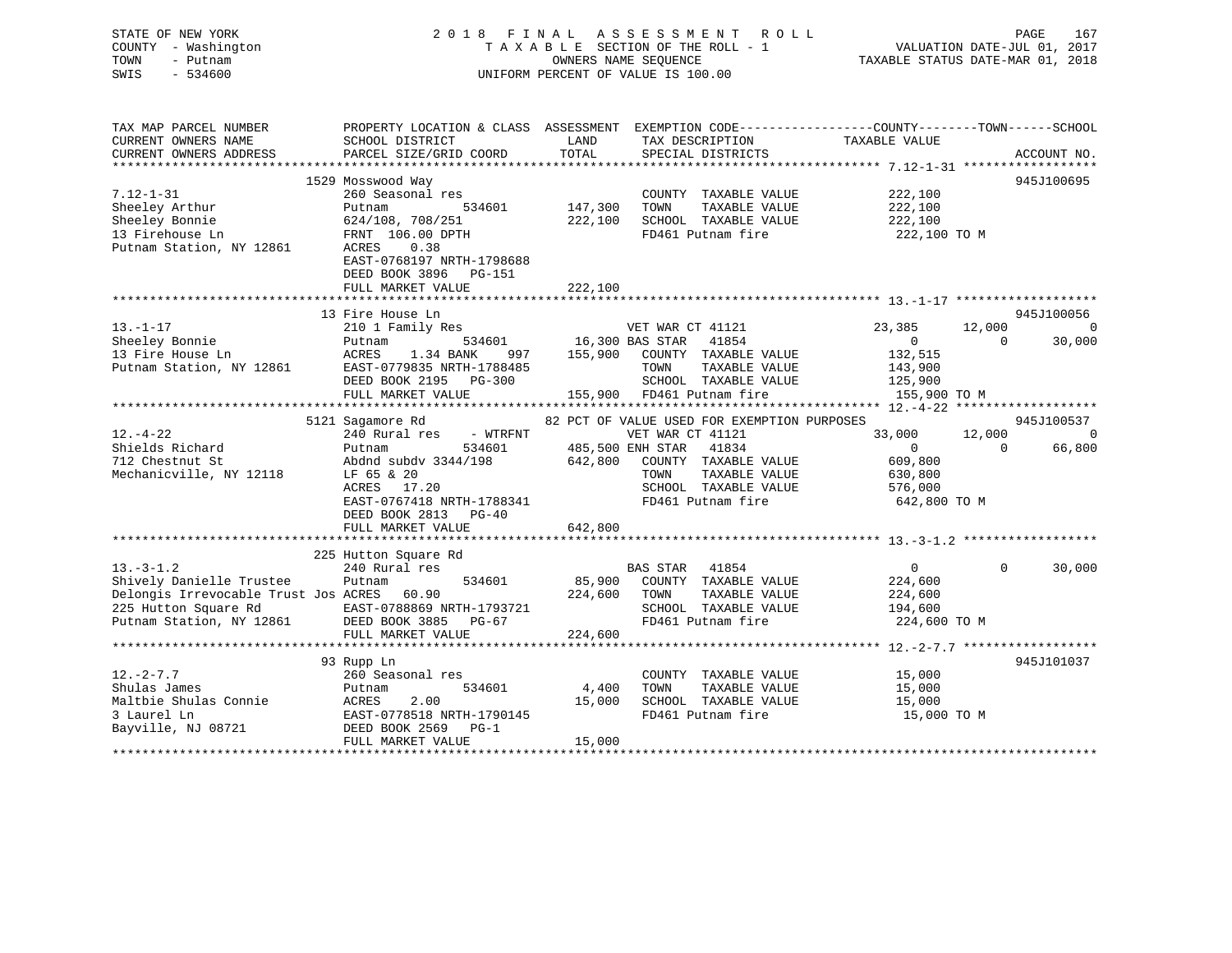| STATE OF NEW YORK<br>COUNTY - Washington<br>TOWN<br>- Putnam<br>SWIS<br>$-534600$ |                                                                                                                            |              | 2018 FINAL ASSESSMENT ROLL<br>T A X A B L E SECTION OF THE ROLL - 1<br>OWNERS NAME SEQUENCE<br>UNIFORM PERCENT OF VALUE IS 100.00 | VALUATION DATE-JUL 01, 2017<br>TAXABLE STATUS DATE-MAR 01, 2018 | PAGE<br>167                        |
|-----------------------------------------------------------------------------------|----------------------------------------------------------------------------------------------------------------------------|--------------|-----------------------------------------------------------------------------------------------------------------------------------|-----------------------------------------------------------------|------------------------------------|
| TAX MAP PARCEL NUMBER<br>CURRENT OWNERS NAME                                      | PROPERTY LOCATION & CLASS ASSESSMENT EXEMPTION CODE----------------COUNTY-------TOWN------SCHOOL<br>SCHOOL DISTRICT        | <b>LAND</b>  | TAX DESCRIPTION TAXABLE VALUE                                                                                                     |                                                                 |                                    |
| CURRENT OWNERS ADDRESS                                                            | PARCEL SIZE/GRID COORD                                                                                                     | TOTAL        | SPECIAL DISTRICTS                                                                                                                 |                                                                 | ACCOUNT NO.                        |
|                                                                                   | 1529 Mosswood Way                                                                                                          |              |                                                                                                                                   |                                                                 | 945J100695                         |
| $7.12 - 1 - 31$<br>Sheeley Arthur<br>Firenouse Ln<br>Putnam Station, NY 12861     | 260 Seasonal res<br>Putnam<br>534601<br>624/108, 708/251<br>FRNT 106.00 DPTH<br>ACRES<br>0.38<br>EAST-0768197 NRTH-1798688 | 147,300 TOWN | COUNTY TAXABLE VALUE<br>TAXABLE VALUE<br>222,100 SCHOOL TAXABLE VALUE<br>FD461 Putnam fire                                        | 222,100<br>222,100<br>222,100<br>222,100 TO M                   |                                    |
|                                                                                   | DEED BOOK 3896 PG-151                                                                                                      |              |                                                                                                                                   |                                                                 |                                    |
|                                                                                   | FULL MARKET VALUE                                                                                                          | 222,100      |                                                                                                                                   |                                                                 |                                    |
|                                                                                   |                                                                                                                            |              |                                                                                                                                   |                                                                 |                                    |
|                                                                                   | 13 Fire House Ln                                                                                                           |              |                                                                                                                                   |                                                                 | 945J100056                         |
| $13. -1 - 17$                                                                     | 210 1 Family Res                                                                                                           |              | VET WAR CT 41121                                                                                                                  | 23,385<br>$\overline{0}$                                        | 12,000 0<br>$\mathbf{0}$<br>30,000 |
| Sheeley Bonnie<br>13 Fire House Ln                                                | Putnam 534601 16,300 BAS STAR 41854<br>ACRES 1.34 BANK 997 155,900 COUNTY TAXABLE VALUE                                    |              |                                                                                                                                   | 132,515                                                         |                                    |
| Putnam Station, NY 12861                                                          |                                                                                                                            |              | TOWN<br>TAXABLE VALUE                                                                                                             | 143,900                                                         |                                    |
|                                                                                   | EAST-0779835 NRTH-1788485<br>DRED BOOK 2195 PG-300                                                                         |              | SCHOOL TAXABLE VALUE                                                                                                              | 125,900                                                         |                                    |
|                                                                                   | FULL MARKET VALUE                                                                                                          |              | 155,900 FD461 Putnam fire                                                                                                         | 155,900 TO M                                                    |                                    |
|                                                                                   |                                                                                                                            |              |                                                                                                                                   |                                                                 |                                    |
|                                                                                   | 5121 Sagamore Rd                                                                                                           |              | 82 PCT OF VALUE USED FOR EXEMPTION PURPOSES                                                                                       |                                                                 | 945J100537                         |
| $12. - 4 - 22$                                                                    | 240 Rural res - WTRFNT                                                                                                     |              | VET WAR CT 41121                                                                                                                  | 33,000                                                          | 12,000<br>$\overline{0}$           |
| Shields Richard                                                                   | Putnam<br>Abdnd subdv $3344/198$                                                                                           |              | 534601 485,500 ENH STAR 41834                                                                                                     | $\overline{0}$                                                  | $\Omega$<br>66,800                 |
| 712 Chestnut St                                                                   |                                                                                                                            |              | 642,800 COUNTY TAXABLE VALUE                                                                                                      | 609,800                                                         |                                    |
| Mechanicville, NY 12118                                                           | LF 65 & 20<br>ACRES 17.20<br>17.20<br>ACRES                                                                                |              | TOWN<br>TAXABLE VALUE<br>SCHOOL TAXABLE VALUE                                                                                     | 630,800<br>576,000                                              |                                    |
|                                                                                   | EAST-0767418 NRTH-1788341                                                                                                  |              | FD461 Putnam fire                                                                                                                 | 642,800 TO M                                                    |                                    |
|                                                                                   | DEED BOOK 2813 PG-40                                                                                                       |              |                                                                                                                                   |                                                                 |                                    |
|                                                                                   | FULL MARKET VALUE                                                                                                          | 642,800      |                                                                                                                                   |                                                                 |                                    |
|                                                                                   |                                                                                                                            |              |                                                                                                                                   |                                                                 |                                    |
|                                                                                   | 225 Hutton Square Rd                                                                                                       |              |                                                                                                                                   |                                                                 |                                    |
| $13. - 3 - 1.2$                                                                   | 240 Rural res                                                                                                              |              | BAS STAR 41854                                                                                                                    | $\overline{0}$                                                  | $\Omega$<br>30,000                 |
| Shively Danielle Trustee                                                          | 534601<br>Putnam                                                                                                           |              | 85,900 COUNTY TAXABLE VALUE                                                                                                       | 224,600                                                         |                                    |
| Delongis Irrevocable Trust Jos ACRES 60.90                                        |                                                                                                                            |              | 224,600 TOWN<br>TAXABLE VALUE                                                                                                     | 224,600                                                         |                                    |
| 225 Hutton Square Rd                                                              | EAST-0788869 NRTH-1793721                                                                                                  |              | SCHOOL TAXABLE VALUE<br>FD461 Putnam fire                                                                                         | 194,600                                                         |                                    |
| Putnam Station, NY 12861                                                          | DEED BOOK 3885 PG-67<br>FULL MARKET VALUE                                                                                  | 224,600      | FD461 Putnam fire 224,600 TO M                                                                                                    |                                                                 |                                    |
|                                                                                   |                                                                                                                            |              |                                                                                                                                   |                                                                 |                                    |
|                                                                                   | 93 Rupp Ln                                                                                                                 |              |                                                                                                                                   |                                                                 | 945J101037                         |
| $12. - 2 - 7.7$                                                                   | 260 Seasonal res                                                                                                           |              | COUNTY TAXABLE VALUE                                                                                                              | 15,000                                                          |                                    |
| Shulas James                                                                      | 534601<br>Putnam                                                                                                           |              | 4,400 TOWN<br>TAXABLE VALUE                                                                                                       | 15,000                                                          |                                    |
| Maltbie Shulas Connie ACRES                                                       | 2.00                                                                                                                       |              | 15,000 SCHOOL TAXABLE VALUE                                                                                                       | 15,000                                                          |                                    |
| 3 Laurel Ln                                                                       | EAST-0778518 NRTH-1790145                                                                                                  |              | FD461 Putnam fire                                                                                                                 | 15,000 TO M                                                     |                                    |
| Bayville, NJ 08721                                                                | DEED BOOK 2569 PG-1                                                                                                        |              |                                                                                                                                   |                                                                 |                                    |
|                                                                                   | FULL MARKET VALUE                                                                                                          | 15,000       |                                                                                                                                   |                                                                 |                                    |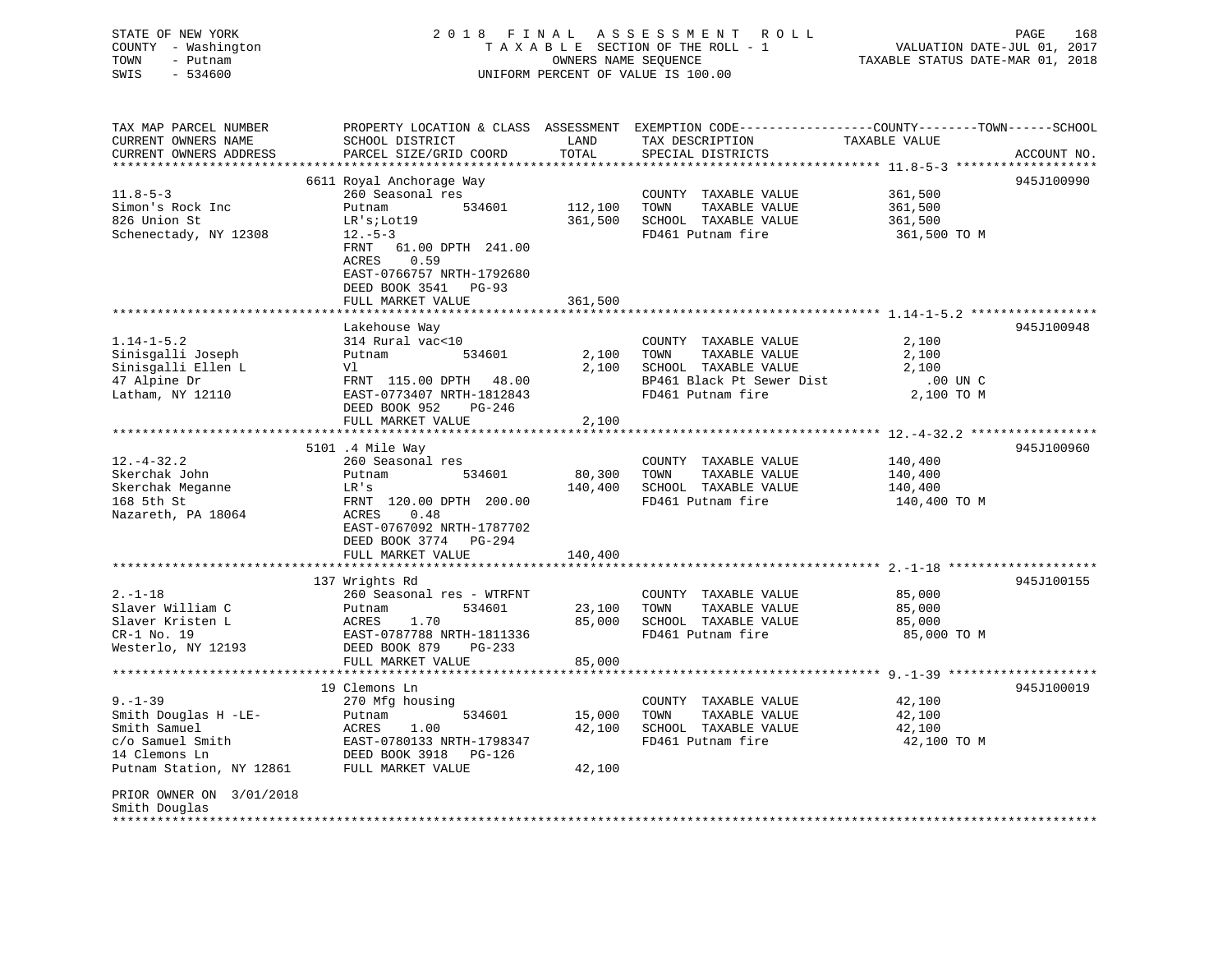STATE OF NEW YORK 2 0 1 8 F I N A L A S S E S S M E N T R O L L PAGE 168 COUNTY - Washington T A X A B L E SECTION OF THE ROLL - 1 VALUATION DATE-JUL 01, 2017 TOWN - Putnam OWNERS NAME SEQUENCE TAXABLE STATUS DATE-MAR 01, 2018 SWIS - 534600 UNIFORM PERCENT OF VALUE IS 100.00

TAX MAP PARCEL NUMBER PROPERTY LOCATION & CLASS ASSESSMENT EXEMPTION CODE------------------COUNTY--------TOWN------SCHOOL CURRENT OWNERS NAME SCHOOL DISTRICT LAND TAX DESCRIPTION TAXABLE VALUECURRENT OWNERS ADDRESS PARCEL SIZE/GRID COORD TOTAL SPECIAL DISTRICTS ACCOUNT NO. \*\*\*\*\*\*\*\*\*\*\*\*\*\*\*\*\*\*\*\*\*\*\*\*\*\*\*\*\*\*\*\*\*\*\*\*\*\*\*\*\*\*\*\*\*\*\*\*\*\*\*\*\*\*\*\*\*\*\*\*\*\*\*\*\*\*\*\*\*\*\*\*\*\*\*\*\*\*\*\*\*\*\*\*\*\*\*\*\*\*\*\*\*\*\*\*\*\*\*\*\*\*\* 11.8-5-3 \*\*\*\*\*\*\*\*\*\*\*\*\*\*\*\*\*\*\* 6611 Royal Anchorage Way 945J100990 11.8-5-3 260 Seasonal res COUNTY TAXABLE VALUE 361,500 Simon's Rock Inc Putnam 534601 112,100 TOWN TAXABLE VALUE 361,500 826 Union St LR's;Lot19 361,500 SCHOOL TAXABLE VALUE 361,500 Schenectady, NY 12308 12.-5-3 FD461 Putnam fire 361,500 TO M FRNT 61.00 DPTH 241.00 ACRES 0.59 EAST-0766757 NRTH-1792680 DEED BOOK 3541 PG-93 FULL MARKET VALUE 361,500 \*\*\*\*\*\*\*\*\*\*\*\*\*\*\*\*\*\*\*\*\*\*\*\*\*\*\*\*\*\*\*\*\*\*\*\*\*\*\*\*\*\*\*\*\*\*\*\*\*\*\*\*\*\*\*\*\*\*\*\*\*\*\*\*\*\*\*\*\*\*\*\*\*\*\*\*\*\*\*\*\*\*\*\*\*\*\*\*\*\*\*\*\*\*\*\*\*\*\*\*\*\*\* 1.14-1-5.2 \*\*\*\*\*\*\*\*\*\*\*\*\*\*\*\*\* Lakehouse Way 945J100948 1.14-1-5.2 314 Rural vac<10 COUNTY TAXABLE VALUE 2,100 Sinisgalli Joseph Putnam 534601 2,100 TOWN TAXABLE VALUE 2,100 Sinisgalli Ellen L Vl 2,100 SCHOOL TAXABLE VALUE 2,100 47 Alpine Dr FRNT 115.00 DPTH 48.00 BP461 Black Pt Sewer Dist .00 UN C Latham, NY 12110 EAST-0773407 NRTH-1812843 FD461 Putnam fire 2,100 TO M DEED BOOK 952 PG-246FULL MARKET VALUE 2,100 \*\*\*\*\*\*\*\*\*\*\*\*\*\*\*\*\*\*\*\*\*\*\*\*\*\*\*\*\*\*\*\*\*\*\*\*\*\*\*\*\*\*\*\*\*\*\*\*\*\*\*\*\*\*\*\*\*\*\*\*\*\*\*\*\*\*\*\*\*\*\*\*\*\*\*\*\*\*\*\*\*\*\*\*\*\*\*\*\*\*\*\*\*\*\*\*\*\*\*\*\*\*\* 12.-4-32.2 \*\*\*\*\*\*\*\*\*\*\*\*\*\*\*\*\* 5101 .4 Mile Way 945J100960 12.-4-32.2 260 Seasonal res COUNTY TAXABLE VALUE 140,400 Skerchak John Putnam 534601 80,300 TOWN TAXABLE VALUE 140,400 Skerchak Meganne LR's 140,400 SCHOOL TAXABLE VALUE 140,400 168 5th St FRNT 120.00 DPTH 200.00 FD461 Putnam fire 140,400 TO M Nazareth, PA 18064 EAST-0767092 NRTH-1787702 DEED BOOK 3774 PG-294FULL MARKET VALUE 140,400 \*\*\*\*\*\*\*\*\*\*\*\*\*\*\*\*\*\*\*\*\*\*\*\*\*\*\*\*\*\*\*\*\*\*\*\*\*\*\*\*\*\*\*\*\*\*\*\*\*\*\*\*\*\*\*\*\*\*\*\*\*\*\*\*\*\*\*\*\*\*\*\*\*\*\*\*\*\*\*\*\*\*\*\*\*\*\*\*\*\*\*\*\*\*\*\*\*\*\*\*\*\*\* 2.-1-18 \*\*\*\*\*\*\*\*\*\*\*\*\*\*\*\*\*\*\*\* 137 Wrights Rd 945J100155 2.-1-18 260 Seasonal res - WTRFNT COUNTY TAXABLE VALUE 85,000 Slaver William C Putnam 534601 23,100 TOWN TAXABLE VALUE 85,000 Slaver Kristen L ACRES 1.70 85,000 SCHOOL TAXABLE VALUE 85,000 CR-1 No. 19 EAST-0787788 NRTH-1811336 FD461 Putnam fire 85,000 TO M Westerlo, NY 12193 DEED BOOK 879 PG-233 FULL MARKET VALUE 85,000 \*\*\*\*\*\*\*\*\*\*\*\*\*\*\*\*\*\*\*\*\*\*\*\*\*\*\*\*\*\*\*\*\*\*\*\*\*\*\*\*\*\*\*\*\*\*\*\*\*\*\*\*\*\*\*\*\*\*\*\*\*\*\*\*\*\*\*\*\*\*\*\*\*\*\*\*\*\*\*\*\*\*\*\*\*\*\*\*\*\*\*\*\*\*\*\*\*\*\*\*\*\*\* 9.-1-39 \*\*\*\*\*\*\*\*\*\*\*\*\*\*\*\*\*\*\*\* 19 Clemons Ln 945J1000199.-1-39 270 Mfg housing COUNTY TAXABLE VALUE 42,100 Smith Douglas H -LE- Putnam 534601 15,000 TOWN TAXABLE VALUE 42,100 Smith Samuel ACRES 1.00 42,100 SCHOOL TAXABLE VALUE 42,100 c/o Samuel Smith EAST-0780133 NRTH-1798347 FD461 Putnam fire 42,100 TO M 14 Clemons Ln DEED BOOK 3918 PG-126 Putnam Station, NY 12861 FULL MARKET VALUE 42,100 PRIOR OWNER ON 3/01/2018 Smith Douglas \*\*\*\*\*\*\*\*\*\*\*\*\*\*\*\*\*\*\*\*\*\*\*\*\*\*\*\*\*\*\*\*\*\*\*\*\*\*\*\*\*\*\*\*\*\*\*\*\*\*\*\*\*\*\*\*\*\*\*\*\*\*\*\*\*\*\*\*\*\*\*\*\*\*\*\*\*\*\*\*\*\*\*\*\*\*\*\*\*\*\*\*\*\*\*\*\*\*\*\*\*\*\*\*\*\*\*\*\*\*\*\*\*\*\*\*\*\*\*\*\*\*\*\*\*\*\*\*\*\*\*\*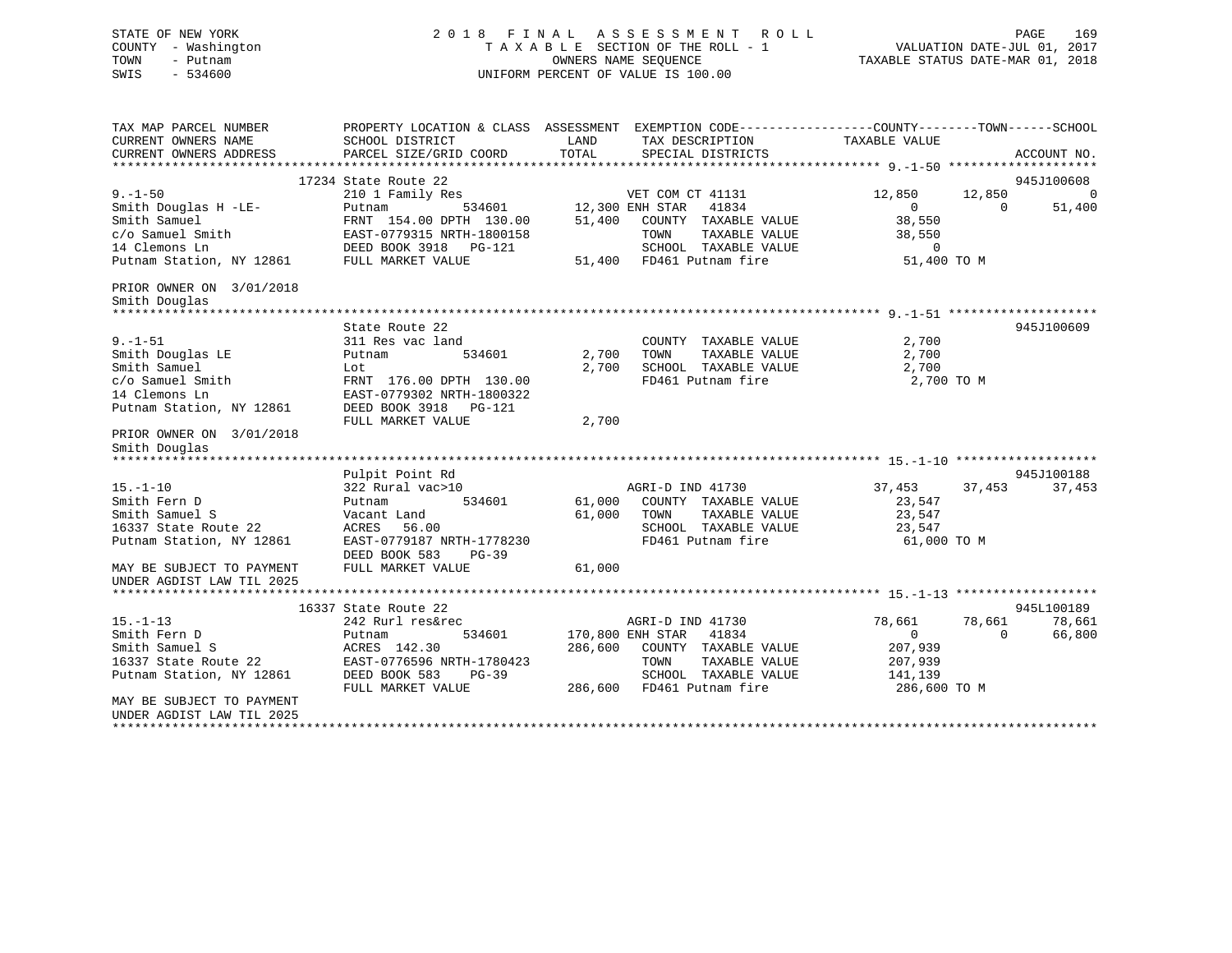| STATE OF NEW YORK<br>COUNTY - Washington<br>TOWN<br>- Putnam<br>SWIS<br>$-534600$ | A S S E S S M E N T<br>2018 FINAL<br>ROLL<br>TAXABLE SECTION OF THE ROLL - 1<br>OWNERS NAME SEQUENCE<br>UNIFORM PERCENT OF VALUE IS 100.00 |               |                                               | PAGE<br>169<br>VALUATION DATE-JUL 01, 2017<br>TAXABLE STATUS DATE-MAR 01, 2018 |                    |  |
|-----------------------------------------------------------------------------------|--------------------------------------------------------------------------------------------------------------------------------------------|---------------|-----------------------------------------------|--------------------------------------------------------------------------------|--------------------|--|
| TAX MAP PARCEL NUMBER                                                             | PROPERTY LOCATION & CLASS ASSESSMENT EXEMPTION CODE----------------COUNTY-------TOWN------SCHOOL                                           |               |                                               |                                                                                |                    |  |
| CURRENT OWNERS NAME<br>CURRENT OWNERS ADDRESS                                     | SCHOOL DISTRICT<br>PARCEL SIZE/GRID COORD                                                                                                  | LAND<br>TOTAL | TAX DESCRIPTION<br>SPECIAL DISTRICTS          | TAXABLE VALUE                                                                  | ACCOUNT NO.        |  |
|                                                                                   |                                                                                                                                            |               |                                               |                                                                                |                    |  |
|                                                                                   | 17234 State Route 22                                                                                                                       |               |                                               |                                                                                | 945J100608         |  |
| $9. - 1 - 50$                                                                     | 210 1 Family Res                                                                                                                           |               | VET COM CT 41131                              | 12,850                                                                         | 12,850<br>$\Omega$ |  |
| Smith Douglas H -LE-                                                              | Putnam<br>534601                                                                                                                           |               | 12,300 ENH STAR<br>41834                      | $\Omega$                                                                       | $\Omega$<br>51,400 |  |
| Smith Samuel                                                                      | FRNT 154.00 DPTH 130.00                                                                                                                    | 51,400        | COUNTY TAXABLE VALUE                          | 38,550                                                                         |                    |  |
| c/o Samuel Smith                                                                  | EAST-0779315 NRTH-1800158                                                                                                                  |               | TOWN<br>TAXABLE VALUE                         | 38,550                                                                         |                    |  |
| 14 Clemons Ln                                                                     | DEED BOOK 3918 PG-121                                                                                                                      |               | SCHOOL TAXABLE VALUE                          | $\circ$                                                                        |                    |  |
| Putnam Station, NY 12861                                                          | FULL MARKET VALUE                                                                                                                          |               | 51,400 FD461 Putnam fire                      | 51,400 TO M                                                                    |                    |  |
| PRIOR OWNER ON 3/01/2018<br>Smith Douglas                                         |                                                                                                                                            |               |                                               |                                                                                |                    |  |
|                                                                                   |                                                                                                                                            |               |                                               |                                                                                |                    |  |
| $9. - 1 - 51$                                                                     | State Route 22<br>311 Res vac land                                                                                                         |               | COUNTY TAXABLE VALUE                          | 2,700                                                                          | 945J100609         |  |
| Smith Douglas LE                                                                  | 534601<br>Putnam                                                                                                                           | 2,700         | TOWN<br>TAXABLE VALUE                         | 2,700                                                                          |                    |  |
| Smith Samuel                                                                      | Lot                                                                                                                                        | 2,700         | SCHOOL TAXABLE VALUE                          | 2,700                                                                          |                    |  |
| c/o Samuel Smith                                                                  | FRNT 176.00 DPTH 130.00                                                                                                                    |               | FD461 Putnam fire                             | 2,700 TO M                                                                     |                    |  |
| 14 Clemons Ln                                                                     | EAST-0779302 NRTH-1800322                                                                                                                  |               |                                               |                                                                                |                    |  |
| Putnam Station, NY 12861                                                          | DEED BOOK 3918 PG-121                                                                                                                      |               |                                               |                                                                                |                    |  |
| PRIOR OWNER ON 3/01/2018                                                          | FULL MARKET VALUE                                                                                                                          | 2,700         |                                               |                                                                                |                    |  |
| Smith Douglas                                                                     |                                                                                                                                            |               |                                               |                                                                                |                    |  |
|                                                                                   |                                                                                                                                            |               |                                               |                                                                                |                    |  |
|                                                                                   | Pulpit Point Rd                                                                                                                            |               |                                               |                                                                                | 945J100188         |  |
| $15. - 1 - 10$                                                                    | 322 Rural vac>10                                                                                                                           |               | AGRI-D IND 41730                              | 37,453                                                                         | 37,453<br>37,453   |  |
| Smith Fern D                                                                      | Putnam<br>534601                                                                                                                           | 61,000        | COUNTY TAXABLE VALUE                          | 23,547                                                                         |                    |  |
| Smith Samuel S<br>16337 State Route 22                                            | Vacant Land<br>ACRES<br>56.00                                                                                                              | 61,000        | TAXABLE VALUE<br>TOWN<br>SCHOOL TAXABLE VALUE | 23,547<br>23,547                                                               |                    |  |
| Putnam Station, NY 12861                                                          | EAST-0779187 NRTH-1778230                                                                                                                  |               | FD461 Putnam fire                             | 61,000 TO M                                                                    |                    |  |
|                                                                                   | DEED BOOK 583<br>$PG-39$                                                                                                                   |               |                                               |                                                                                |                    |  |
| MAY BE SUBJECT TO PAYMENT                                                         | FULL MARKET VALUE                                                                                                                          | 61,000        |                                               |                                                                                |                    |  |
| UNDER AGDIST LAW TIL 2025                                                         |                                                                                                                                            |               |                                               |                                                                                |                    |  |
|                                                                                   |                                                                                                                                            |               |                                               |                                                                                |                    |  |
|                                                                                   | 16337 State Route 22                                                                                                                       |               |                                               |                                                                                | 945L100189         |  |
| $15. - 1 - 13$                                                                    | 242 Rurl res&rec                                                                                                                           |               | AGRI-D IND 41730                              | 78,661                                                                         | 78,661<br>78,661   |  |
| Smith Fern D                                                                      | Putnam<br>534601                                                                                                                           |               | 41834<br>170,800 ENH STAR                     | $\overline{0}$                                                                 | 66,800<br>$\Omega$ |  |
| Smith Samuel S<br>16337 State Route 22                                            | ACRES 142.30<br>EAST-0776596 NRTH-1780423                                                                                                  | 286,600       | COUNTY TAXABLE VALUE<br>TOWN<br>TAXABLE VALUE | 207,939<br>207,939                                                             |                    |  |
| Putnam Station, NY 12861                                                          | DEED BOOK 583<br>$PG-39$                                                                                                                   |               | SCHOOL TAXABLE VALUE                          | 141,139                                                                        |                    |  |
|                                                                                   | FULL MARKET VALUE                                                                                                                          |               | 286,600 FD461 Putnam fire                     | 286,600 TO M                                                                   |                    |  |
| MAY BE SUBJECT TO PAYMENT                                                         |                                                                                                                                            |               |                                               |                                                                                |                    |  |

UNDER AGDIST LAW TIL 2025\*\*\*\*\*\*\*\*\*\*\*\*\*\*\*\*\*\*\*\*\*\*\*\*\*\*\*\*\*\*\*\*\*\*\*\*\*\*\*\*\*\*\*\*\*\*\*\*\*\*\*\*\*\*\*\*\*\*\*\*\*\*\*\*\*\*\*\*\*\*\*\*\*\*\*\*\*\*\*\*\*\*\*\*\*\*\*\*\*\*\*\*\*\*\*\*\*\*\*\*\*\*\*\*\*\*\*\*\*\*\*\*\*\*\*\*\*\*\*\*\*\*\*\*\*\*\*\*\*\*\*\*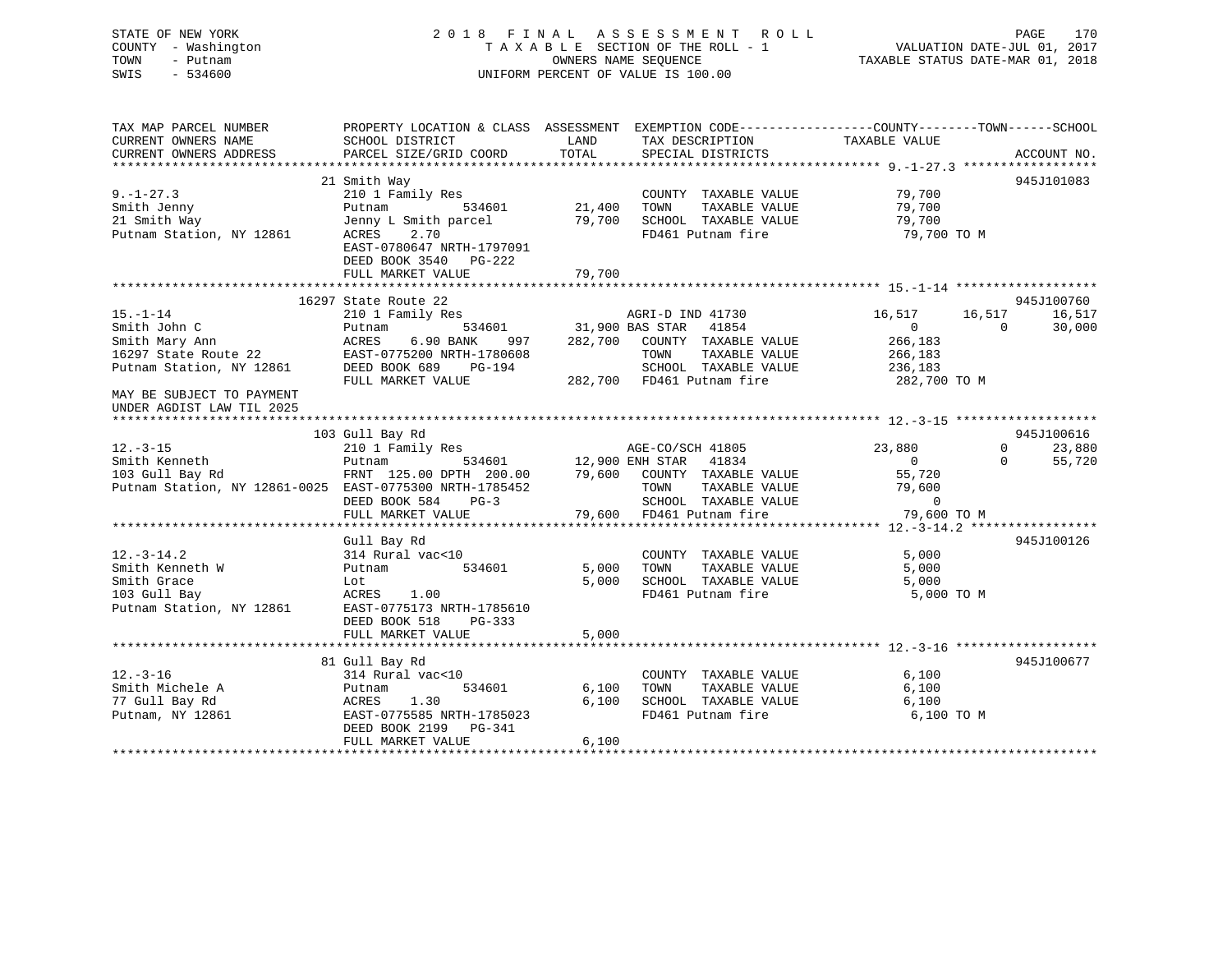## STATE OF NEW YORK 2 0 1 8 F I N A L A S S E S S M E N T R O L L PAGE 170 COUNTY - Washington T A X A B L E SECTION OF THE ROLL - 1 VALUATION DATE-JUL 01, 2017 TOWN - Putnam **CONNERS NAME SEQUENCE** TAXABLE STATUS DATE-MAR 01, 2018 SWIS - 534600 UNIFORM PERCENT OF VALUE IS 100.00

| TAX MAP PARCEL NUMBER<br>CURRENT OWNERS NAME                                                   | PROPERTY LOCATION & CLASS ASSESSMENT EXEMPTION CODE----------------COUNTY-------TOWN------SCHOOL<br>SCHOOL DISTRICT                                                              | LAND                              | TAX DESCRIPTION                                                                                                       | TAXABLE VALUE                                  |                                                      |
|------------------------------------------------------------------------------------------------|----------------------------------------------------------------------------------------------------------------------------------------------------------------------------------|-----------------------------------|-----------------------------------------------------------------------------------------------------------------------|------------------------------------------------|------------------------------------------------------|
| CURRENT OWNERS ADDRESS                                                                         | PARCEL SIZE/GRID COORD                                                                                                                                                           | TOTAL                             | SPECIAL DISTRICTS                                                                                                     |                                                | ACCOUNT NO.                                          |
|                                                                                                |                                                                                                                                                                                  |                                   |                                                                                                                       |                                                |                                                      |
| $9. - 1 - 27.3$<br>Smith Jenny<br>21 Smith Way<br>Putnam Station, NY 12861                     | 21 Smith Way<br>210 1 Family Res<br>Putnam<br>Jenny L Smith parcel<br>2.70<br>ACRES<br>EAST-0780647 NRTH-1797091                                                                 | 534601 21,400<br>79,700           | COUNTY TAXABLE VALUE<br>TOWN<br>TAXABLE VALUE<br>SCHOOL TAXABLE VALUE<br>FD461 Putnam fire                            | 79,700<br>79,700<br>79,700<br>79,700 TO M      | 945J101083                                           |
|                                                                                                | DEED BOOK 3540 PG-222<br>FULL MARKET VALUE                                                                                                                                       | 79,700                            |                                                                                                                       |                                                |                                                      |
|                                                                                                |                                                                                                                                                                                  |                                   |                                                                                                                       |                                                |                                                      |
| $15. - 1 - 14$<br>Smith John C<br>Smith Mary Ann<br>16297 State Route 22                       | 16297 State Route 22<br>210 1 Family Res<br>Putnam<br>6.90 BANK<br>ACRES<br>997<br>EAST-0775200 NRTH-1780608                                                                     | 534601 31,900 BAS STAR<br>282,700 | AGRI-D IND 41730<br>41854<br>COUNTY TAXABLE VALUE<br>TOWN<br>TAXABLE VALUE                                            | 16,517<br>$\overline{0}$<br>266,183<br>266,183 | 945J100760<br>16,517<br>16,517<br>$\Omega$<br>30,000 |
| Putnam Station, NY 12861                                                                       | DEED BOOK 689<br>PG-194<br>FULL MARKET VALUE                                                                                                                                     |                                   | SCHOOL TAXABLE VALUE 236,183<br>282,700 FD461 Putnam fire                                                             | 282,700 TO M                                   |                                                      |
| MAY BE SUBJECT TO PAYMENT<br>UNDER AGDIST LAW TIL 2025                                         |                                                                                                                                                                                  |                                   |                                                                                                                       |                                                |                                                      |
|                                                                                                | 103 Gull Bay Rd                                                                                                                                                                  |                                   |                                                                                                                       |                                                | 945J100616                                           |
| $12.-3-15$<br>Smith Kenneth<br>103 Gull Bay Rd                                                 | 210 1 Family Res<br>210 1 Family Res<br>210 210 210 2211 2222 2323 244 252 262 273 284 295 296 297 298 299 2012<br>Putnam<br>FRNT 125.00 DPTH 200.00 79,600 COUNTY TAXABLE VALUE | 534601 12,900 ENH STAR            | 41834                                                                                                                 | 23,880<br>$\overline{0}$<br>55,720             | $0 \qquad \qquad$<br>23,880<br>$\Omega$<br>55,720    |
| Putnam Station, NY 12861-0025 EAST-0775300 NRTH-1785452                                        | DEED BOOK 584<br>$PG-3$<br>FULL MARKET VALUE                                                                                                                                     |                                   | TAXABLE VALUE<br>TAXABLE VALUE 79,60<br>TOWN<br>SCHOOL TAXABLE VALUE<br>FD461 Putnam fire<br>79,600 FD461 Putnam fire | 79,600<br>$\overline{0}$<br>79,600 TO M        |                                                      |
|                                                                                                |                                                                                                                                                                                  |                                   |                                                                                                                       |                                                |                                                      |
| $12. - 3 - 14.2$<br>Smith Kenneth W<br>Smith Grace<br>103 Gull Bay<br>Putnam Station, NY 12861 | Gull Bay Rd<br>314 Rural vac<10<br>534601<br>Putnam<br>Lot<br>1.00<br>ACRES<br>EAST-0775173 NRTH-1785610<br>DEED BOOK 518<br>$PG-333$<br>FULL MARKET VALUE                       | 5,000<br>5,000<br>5,000           | COUNTY TAXABLE VALUE<br>TOWN TAXABLE VALUE<br>SCHOOL TAXABLE VALUE<br>FD461 Putnam fire                               | 5,000<br>5,000<br>5,000<br>5,000 TO M          | 945J100126                                           |
|                                                                                                |                                                                                                                                                                                  |                                   |                                                                                                                       |                                                |                                                      |
|                                                                                                | 81 Gull Bay Rd                                                                                                                                                                   |                                   |                                                                                                                       |                                                | 945J100677                                           |
| $12. - 3 - 16$<br>Smith Michele A<br>77 Gull Bay Rd<br>Putnam, NY 12861                        | 314 Rural vac<10<br>534601<br>Putnam<br>1.30<br>ACRES<br>EAST-0775585 NRTH-1785023<br>DEED BOOK 2199 PG-341<br>FULL MARKET VALUE                                                 | 6,100<br>6,100<br>6,100           | COUNTY TAXABLE VALUE<br>TAXABLE VALUE<br>TOWN<br>SCHOOL TAXABLE VALUE<br>FD461 Putnam fire                            | 6,100<br>6,100<br>6,100<br>6,100 TO M          |                                                      |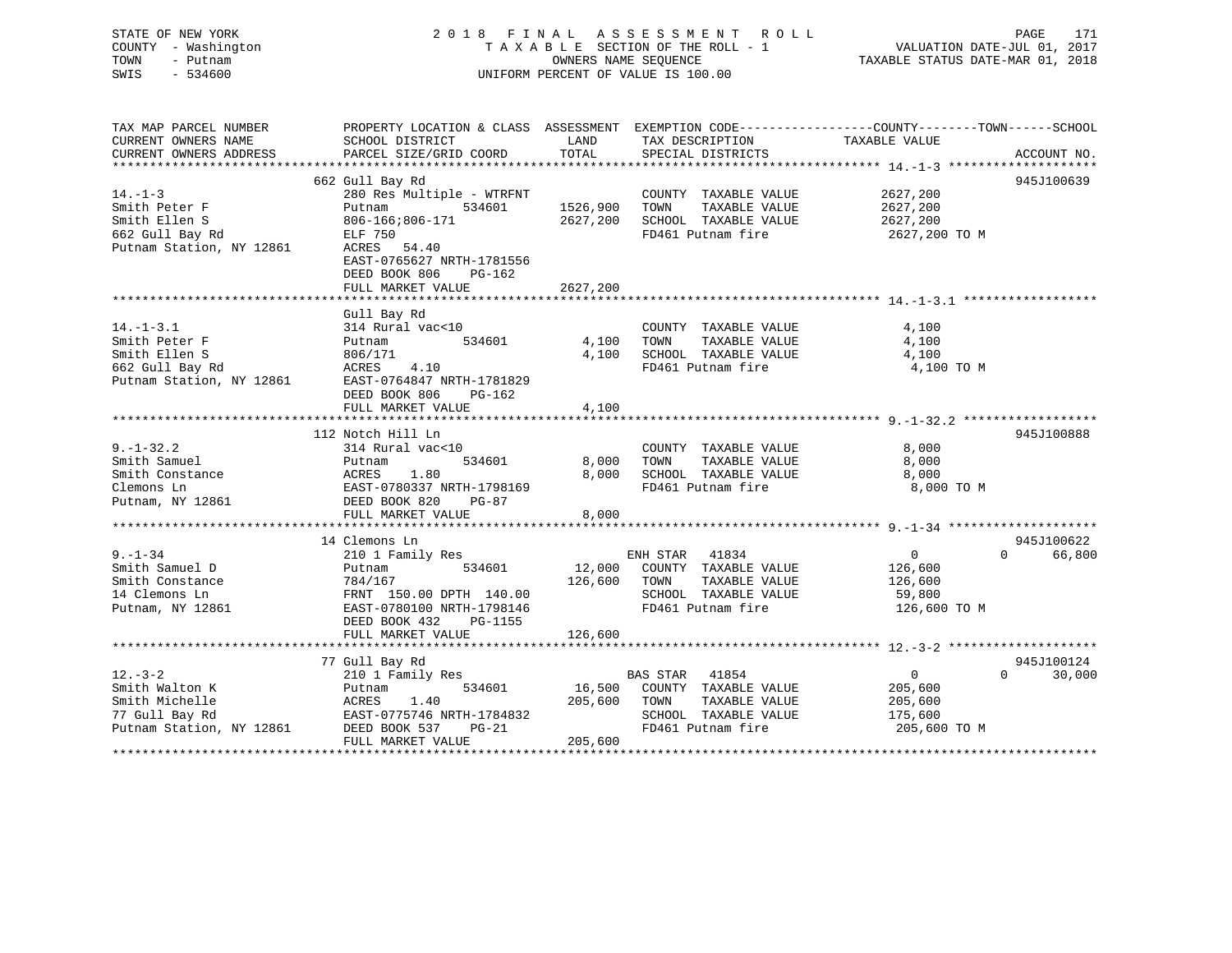## STATE OF NEW YORK 2 0 1 8 F I N A L A S S E S S M E N T R O L L PAGE 171 COUNTY - Washington T A X A B L E SECTION OF THE ROLL - 1 VALUATION DATE-JUL 01, 2017 TOWN - Putnam OWNERS NAME SEQUENCE TAXABLE STATUS DATE-MAR 01, 2018 SWIS - 534600 UNIFORM PERCENT OF VALUE IS 100.00

| TAX MAP PARCEL NUMBER<br>CURRENT OWNERS NAME                                                     | PROPERTY LOCATION & CLASS ASSESSMENT EXEMPTION CODE---------------COUNTY-------TOWN-----SCHOOL<br>SCHOOL DISTRICT                                                         | LAND                             | TAX DESCRIPTION                                                                                                        | TAXABLE VALUE                                                   |                                  |
|--------------------------------------------------------------------------------------------------|---------------------------------------------------------------------------------------------------------------------------------------------------------------------------|----------------------------------|------------------------------------------------------------------------------------------------------------------------|-----------------------------------------------------------------|----------------------------------|
| CURRENT OWNERS ADDRESS                                                                           | PARCEL SIZE/GRID COORD                                                                                                                                                    | TOTAL                            | SPECIAL DISTRICTS                                                                                                      |                                                                 | ACCOUNT NO.                      |
|                                                                                                  | 662 Gull Bay Rd                                                                                                                                                           |                                  |                                                                                                                        |                                                                 | 945J100639                       |
| $14. - 1 - 3$<br>Smith Peter F<br>Smith Ellen S<br>662 Gull Bay Rd<br>Putnam Station, NY 12861   | 280 Res Multiple - WTRFNT<br>534601<br>Putnam<br>806-166;806-171<br>ELF 750<br>ACRES 54.40<br>EAST-0765627 NRTH-1781556<br>DEED BOOK 806<br>PG-162<br>FULL MARKET VALUE   | 1526,900<br>2627,200<br>2627,200 | COUNTY TAXABLE VALUE<br>TOWN<br>TAXABLE VALUE<br>SCHOOL TAXABLE VALUE<br>FD461 Putnam fire                             | 2627,200<br>2627,200<br>2627,200<br>2627,200 TO M               |                                  |
|                                                                                                  |                                                                                                                                                                           |                                  |                                                                                                                        |                                                                 |                                  |
| $14. - 1 - 3.1$<br>Smith Peter F<br>Smith Ellen S<br>662 Gull Bay Rd<br>Putnam Station, NY 12861 | Gull Bay Rd<br>314 Rural vac<10<br>534601<br>Putnam<br>806/171<br>4.10<br>ACRES<br>EAST-0764847 NRTH-1781829<br>DEED BOOK 806<br>PG-162<br>FULL MARKET VALUE              | 4,100<br>4,100<br>4,100          | COUNTY TAXABLE VALUE<br>TAXABLE VALUE<br>TOWN<br>SCHOOL TAXABLE VALUE<br>FD461 Putnam fire                             | 4,100<br>4,100<br>4,100<br>4,100 TO M                           |                                  |
|                                                                                                  |                                                                                                                                                                           |                                  |                                                                                                                        |                                                                 |                                  |
| $9. - 1 - 32.2$<br>Smith Samuel<br>Smith Constance<br>Clemons Ln<br>Putnam, NY 12861             | 112 Notch Hill Ln<br>314 Rural vac<10<br>534601<br>Putnam<br>1.80<br>ACRES<br>EAST-0780337 NRTH-1798169<br>DEED BOOK 820<br>PG-87<br>FULL MARKET VALUE                    | 8,000<br>8,000<br>8,000          | COUNTY TAXABLE VALUE<br>TAXABLE VALUE<br>TOWN<br>SCHOOL TAXABLE VALUE<br>FD461 Putnam fire                             | 8,000<br>8,000<br>8,000<br>8,000 TO M                           | 945J100888                       |
|                                                                                                  |                                                                                                                                                                           |                                  |                                                                                                                        |                                                                 |                                  |
| $9. - 1 - 34$<br>Smith Samuel D<br>Smith Constance<br>14 Clemons Ln<br>Putnam, NY 12861          | 14 Clemons Ln<br>210 1 Family Res<br>534601<br>Putnam<br>784/167<br>FRNT 150.00 DPTH 140.00<br>EAST-0780100 NRTH-1798146<br>DEED BOOK 432<br>PG-1155<br>FULL MARKET VALUE | 12,000<br>126,600<br>126,600     | ENH STAR 41834<br>COUNTY TAXABLE VALUE<br>TOWN<br>TAXABLE VALUE<br>SCHOOL TAXABLE VALUE<br>FD461 Putnam fire           | $\overline{0}$<br>126,600<br>126,600<br>59,800<br>126,600 TO M  | 945J100622<br>$\Omega$<br>66,800 |
|                                                                                                  |                                                                                                                                                                           |                                  |                                                                                                                        |                                                                 |                                  |
| $12. - 3 - 2$<br>Smith Walton K<br>Smith Michelle<br>77 Gull Bay Rd<br>Putnam Station, NY 12861  | 77 Gull Bay Rd<br>210 1 Family Res<br>534601<br>Putnam<br>ACRES<br>1.40<br>EAST-0775746 NRTH-1784832<br>DEED BOOK 537<br>$PG-21$<br>FULL MARKET VALUE                     | 16,500<br>205,600<br>205,600     | <b>BAS STAR</b><br>41854<br>COUNTY TAXABLE VALUE<br>TOWN<br>TAXABLE VALUE<br>SCHOOL TAXABLE VALUE<br>FD461 Putnam fire | $\overline{0}$<br>205,600<br>205,600<br>175,600<br>205,600 TO M | 945J100124<br>$\Omega$<br>30,000 |
|                                                                                                  |                                                                                                                                                                           |                                  |                                                                                                                        |                                                                 |                                  |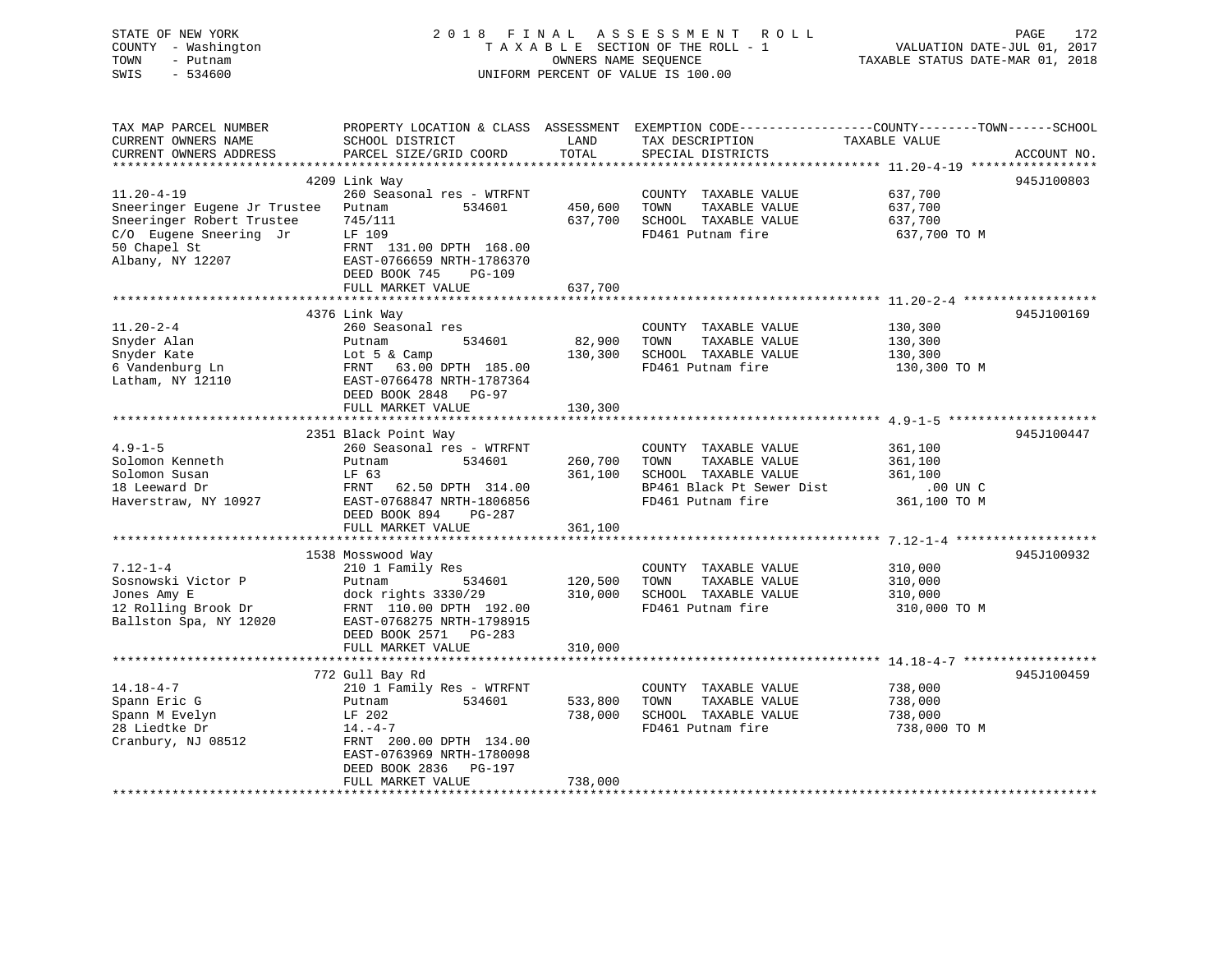| STATE OF NEW YORK             | 2 0 1 8<br>FINAL                                     |                      | A S S E S S M E N T<br>R O L L                                                                  |                                         | PAGE<br>172                 |
|-------------------------------|------------------------------------------------------|----------------------|-------------------------------------------------------------------------------------------------|-----------------------------------------|-----------------------------|
| COUNTY - Washington<br>TOWN   |                                                      | OWNERS NAME SEQUENCE | TAXABLE SECTION OF THE ROLL - 1                                                                 |                                         | VALUATION DATE-JUL 01, 2017 |
| - Putnam<br>SWIS<br>$-534600$ |                                                      |                      |                                                                                                 | TAXABLE STATUS DATE-MAR 01, 2018        |                             |
|                               | UNIFORM PERCENT OF VALUE IS 100.00                   |                      |                                                                                                 |                                         |                             |
|                               |                                                      |                      |                                                                                                 |                                         |                             |
| TAX MAP PARCEL NUMBER         |                                                      |                      | PROPERTY LOCATION & CLASS ASSESSMENT EXEMPTION CODE----------------COUNTY-------TOWN-----SCHOOL |                                         |                             |
| CURRENT OWNERS NAME           | SCHOOL DISTRICT                                      | LAND                 | TAX DESCRIPTION                                                                                 | TAXABLE VALUE                           |                             |
| CURRENT OWNERS ADDRESS        | PARCEL SIZE/GRID COORD                               | TOTAL                | SPECIAL DISTRICTS                                                                               |                                         | ACCOUNT NO.                 |
|                               |                                                      |                      |                                                                                                 |                                         |                             |
|                               | 4209 Link Way                                        |                      |                                                                                                 |                                         | 945J100803                  |
| $11.20 - 4 - 19$              | 260 Seasonal res - WTRFNT                            |                      | COUNTY TAXABLE VALUE                                                                            | 637,700                                 |                             |
| Sneeringer Eugene Jr Trustee  | Putnam<br>534601                                     | 450,600              | TOWN<br>TAXABLE VALUE                                                                           | 637,700                                 |                             |
| Sneeringer Robert Trustee     | 745/111                                              | 637,700              | SCHOOL TAXABLE VALUE                                                                            | 637,700                                 |                             |
| C/O Eugene Sneering Jr        | LF 109                                               |                      | FD461 Putnam fire                                                                               | 637,700 TO M                            |                             |
| 50 Chapel St                  | FRNT 131.00 DPTH 168.00                              |                      |                                                                                                 |                                         |                             |
| Albany, NY 12207              | EAST-0766659 NRTH-1786370<br>DEED BOOK 745<br>PG-109 |                      |                                                                                                 |                                         |                             |
|                               | FULL MARKET VALUE                                    | 637,700              |                                                                                                 |                                         |                             |
|                               |                                                      |                      |                                                                                                 |                                         |                             |
|                               | 4376 Link Way                                        |                      |                                                                                                 |                                         | 945J100169                  |
| $11.20 - 2 - 4$               | 260 Seasonal res                                     |                      | COUNTY TAXABLE VALUE                                                                            | 130,300                                 |                             |
| Snyder Alan                   | 534601<br>Putnam                                     | 82,900               | TOWN<br>TAXABLE VALUE                                                                           | 130,300                                 |                             |
| Snyder Kate                   | Lot $5 \&$ Camp                                      | 130,300              | SCHOOL TAXABLE VALUE                                                                            | 130,300                                 |                             |
| 6 Vandenburg Ln               | FRNT 63.00 DPTH 185.00                               |                      | FD461 Putnam fire                                                                               | 130,300 TO M                            |                             |
| Latham, NY 12110              | EAST-0766478 NRTH-1787364                            |                      |                                                                                                 |                                         |                             |
|                               | DEED BOOK 2848<br>PG-97                              |                      |                                                                                                 |                                         |                             |
|                               | FULL MARKET VALUE                                    | 130,300              |                                                                                                 |                                         |                             |
|                               |                                                      |                      |                                                                                                 |                                         |                             |
| $4.9 - 1 - 5$                 | 2351 Black Point Way<br>260 Seasonal res - WTRFNT    |                      | COUNTY TAXABLE VALUE                                                                            | 361,100                                 | 945J100447                  |
| Solomon Kenneth               | Putnam<br>534601                                     | 260,700              | TOWN<br>TAXABLE VALUE                                                                           | 361,100                                 |                             |
| Solomon Susan                 | LF 63                                                | 361,100              | SCHOOL TAXABLE VALUE                                                                            | 361,100                                 |                             |
| 18 Leeward Dr                 | FRNT 62.50 DPTH 314.00                               |                      | BP461 Black Pt Sewer Dist                                                                       | $.00$ UN C                              |                             |
| Haverstraw, NY 10927          | EAST-0768847 NRTH-1806856                            |                      | FD461 Putnam fire                                                                               | 361,100 TO M                            |                             |
|                               | DEED BOOK 894<br>PG-287                              |                      |                                                                                                 |                                         |                             |
|                               | FULL MARKET VALUE                                    | 361,100              |                                                                                                 |                                         |                             |
|                               |                                                      | *********            |                                                                                                 | ********** 7.12-1-4 ******************* |                             |
|                               | 1538 Mosswood Way                                    |                      |                                                                                                 |                                         | 945J100932                  |
| $7.12 - 1 - 4$                | 210 1 Family Res                                     |                      | COUNTY TAXABLE VALUE                                                                            | 310,000                                 |                             |
| Sosnowski Victor P            | Putnam<br>534601                                     | 120,500              | TOWN<br>TAXABLE VALUE                                                                           | 310,000                                 |                             |
| Jones Amy E                   | dock rights 3330/29                                  | 310,000              | SCHOOL TAXABLE VALUE                                                                            | 310,000                                 |                             |
| 12 Rolling Brook Dr           | FRNT 110.00 DPTH 192.00<br>EAST-0768275 NRTH-1798915 |                      | FD461 Putnam fire                                                                               | 310,000 TO M                            |                             |
| Ballston Spa, NY 12020        | DEED BOOK 2571 PG-283                                |                      |                                                                                                 |                                         |                             |
|                               | FULL MARKET VALUE                                    | 310,000              |                                                                                                 |                                         |                             |
|                               |                                                      | * * * * * * * * *    |                                                                                                 |                                         |                             |
|                               | 772 Gull Bay Rd                                      |                      |                                                                                                 |                                         | 945J100459                  |
| $14.18 - 4 - 7$               | 210 1 Family Res - WTRFNT                            |                      | COUNTY TAXABLE VALUE                                                                            | 738,000                                 |                             |
| Spann Eric G                  | Putnam<br>534601                                     | 533,800              | TOWN<br>TAXABLE VALUE                                                                           | 738,000                                 |                             |
| Spann M Evelyn                | LF 202                                               | 738,000              | SCHOOL TAXABLE VALUE                                                                            | 738,000                                 |                             |
| 28 Liedtke Dr                 | $14. -4 - 7$                                         |                      | FD461 Putnam fire                                                                               | 738,000 TO M                            |                             |
| Cranbury, NJ 08512            | FRNT 200.00 DPTH 134.00                              |                      |                                                                                                 |                                         |                             |
|                               | EAST-0763969 NRTH-1780098                            |                      |                                                                                                 |                                         |                             |
|                               | DEED BOOK 2836<br>PG-197                             |                      |                                                                                                 |                                         |                             |
|                               | FULL MARKET VALUE                                    | 738,000              |                                                                                                 |                                         |                             |
|                               |                                                      |                      |                                                                                                 |                                         |                             |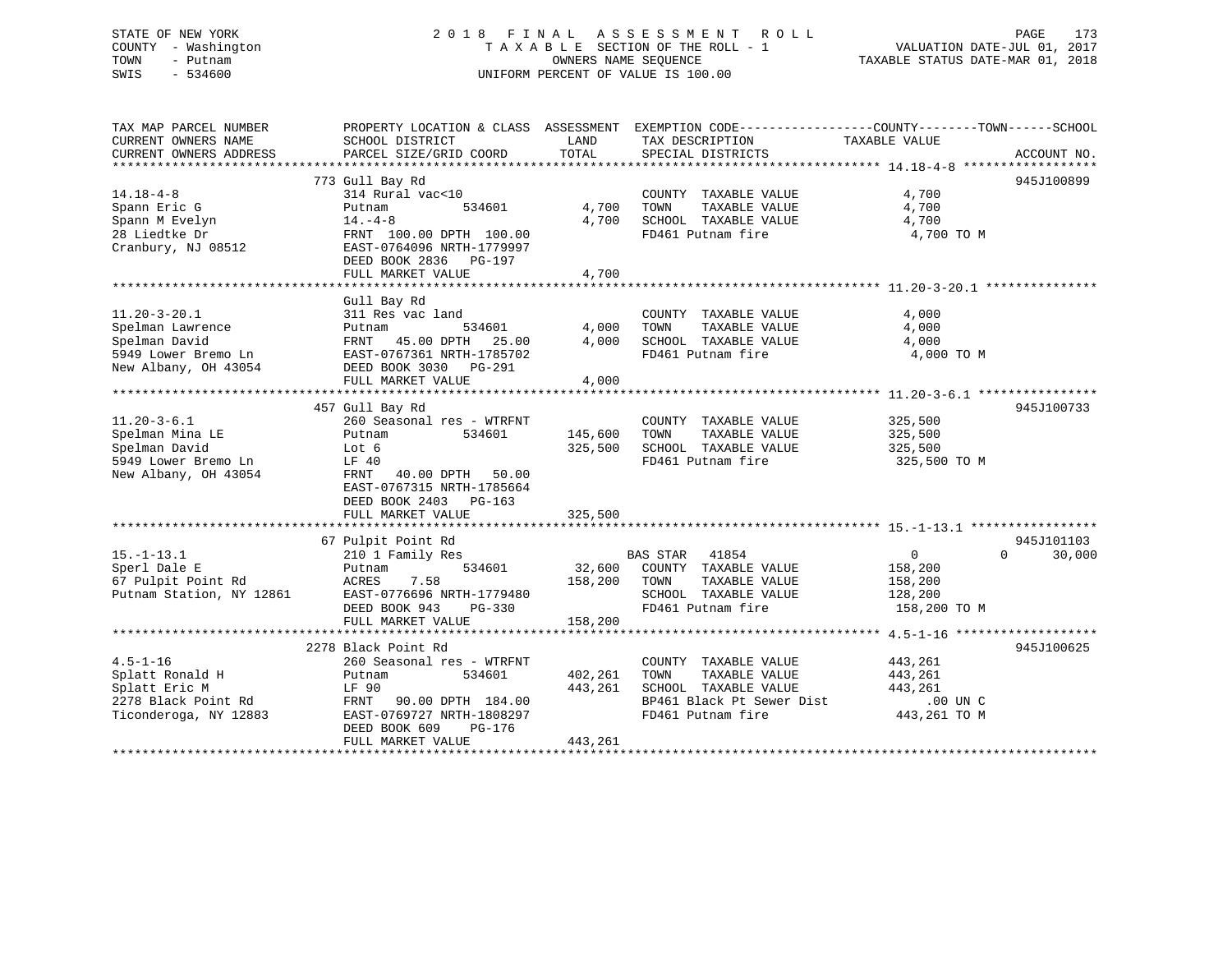# STATE OF NEW YORK 2018 FINAL ASSESSMENT ROLL PAGE 173 COUNTY - Washington  $T A X A B L E$  SECTION OF THE ROLL - 1<br>TOWN - Putnam data of the COUNTERS NAME SEQUENCE SWIS - 534600 UNIFORM PERCENT OF VALUE IS 100.00

VALUATION DATE-JUL 01, 2017

TAXABLE STATUS DATE-MAR 01, 2018

| TAX MAP PARCEL NUMBER<br>CURRENT OWNERS NAME<br>CURRENT OWNERS ADDRESS                                 | PROPERTY LOCATION & CLASS ASSESSMENT EXEMPTION CODE----------------COUNTY-------TOWN------SCHOOL<br>SCHOOL DISTRICT<br>PARCEL SIZE/GRID COORD                                           | LAND<br>TOTAL                 | TAX DESCRIPTION<br>SPECIAL DISTRICTS                                                                                    | TAXABLE VALUE                                                      | ACCOUNT NO.                      |
|--------------------------------------------------------------------------------------------------------|-----------------------------------------------------------------------------------------------------------------------------------------------------------------------------------------|-------------------------------|-------------------------------------------------------------------------------------------------------------------------|--------------------------------------------------------------------|----------------------------------|
| $14.18 - 4 - 8$<br>Spann Eric G<br>Spann M Evelyn<br>28 Liedtke Dr<br>Cranbury, NJ 08512               | 773 Gull Bay Rd<br>314 Rural vac<10<br>Putnam<br>534601<br>$14. -4 - 8$<br>FRNT 100.00 DPTH 100.00<br>EAST-0764096 NRTH-1779997<br>DEED BOOK 2836 PG-197<br>FULL MARKET VALUE           | 4,700<br>4,700<br>4,700       | COUNTY TAXABLE VALUE<br>TOWN<br>TAXABLE VALUE<br>SCHOOL TAXABLE VALUE<br>FD461 Putnam fire                              | 4,700<br>4,700<br>4,700<br>4,700 TO M                              | 945J100899                       |
| $11.20 - 3 - 20.1$<br>Spelman Lawrence<br>Spelman David<br>5949 Lower Bremo Ln<br>New Albany, OH 43054 | Gull Bay Rd<br>311 Res vac land<br>534601<br>Putnam<br>FRNT 45.00 DPTH 25.00<br>EAST-0767361 NRTH-1785702<br>DEED BOOK 3030 PG-291<br>FULL MARKET VALUE                                 | 4,000<br>4,000<br>4,000       | COUNTY TAXABLE VALUE<br>TOWN<br>TAXABLE VALUE<br>SCHOOL TAXABLE VALUE<br>FD461 Putnam fire                              | 4,000<br>4,000<br>4,000<br>4,000 TO M                              |                                  |
| $11.20 - 3 - 6.1$<br>Spelman Mina LE<br>Spelman David<br>5949 Lower Bremo Ln<br>New Albany, OH 43054   | 457 Gull Bay Rd<br>260 Seasonal res - WTRFNT<br>Putnam<br>534601<br>Lot 6<br>LF 40<br>FRNT 40.00 DPTH 50.00<br>EAST-0767315 NRTH-1785664<br>DEED BOOK 2403 PG-163<br>FULL MARKET VALUE  | 145,600<br>325,500<br>325,500 | COUNTY TAXABLE VALUE<br>TAXABLE VALUE<br>TOWN<br>SCHOOL TAXABLE VALUE<br>FD461 Putnam fire                              | 325,500<br>325,500<br>325,500<br>325,500 TO M                      | 945J100733                       |
| $15. - 1 - 13.1$<br>Sperl Dale E<br>67 Pulpit Point Rd<br>Putnam Station, NY 12861                     | 67 Pulpit Point Rd<br>210 1 Family Res<br>534601<br>Putnam<br>7.58<br>ACRES<br>EAST-0776696 NRTH-1779480<br>DEED BOOK 943<br>PG-330<br>FULL MARKET VALUE                                | 32,600<br>158,200<br>158,200  | BAS STAR 41854<br>COUNTY TAXABLE VALUE<br>TOWN<br>TAXABLE VALUE<br>SCHOOL TAXABLE VALUE<br>FD461 Putnam fire            | $0 \qquad \qquad$<br>158,200<br>158,200<br>128,200<br>158,200 TO M | 945J101103<br>30,000<br>$\Omega$ |
| $4.5 - 1 - 16$<br>Splatt Ronald H<br>Splatt Eric M<br>2278 Black Point Rd<br>Ticonderoga, NY 12883     | 2278 Black Point Rd<br>260 Seasonal res - WTRFNT<br>534601<br>Putnam<br>LF 90<br>FRNT<br>90.00 DPTH 184.00<br>EAST-0769727 NRTH-1808297<br>DEED BOOK 609<br>PG-176<br>FULL MARKET VALUE | 402,261<br>443,261<br>443,261 | COUNTY TAXABLE VALUE<br>TAXABLE VALUE<br>TOWN<br>SCHOOL TAXABLE VALUE<br>BP461 Black Pt Sewer Dist<br>FD461 Putnam fire | 443,261<br>443,261<br>443,261<br>.00 UN C<br>443,261 TO M          | 945J100625                       |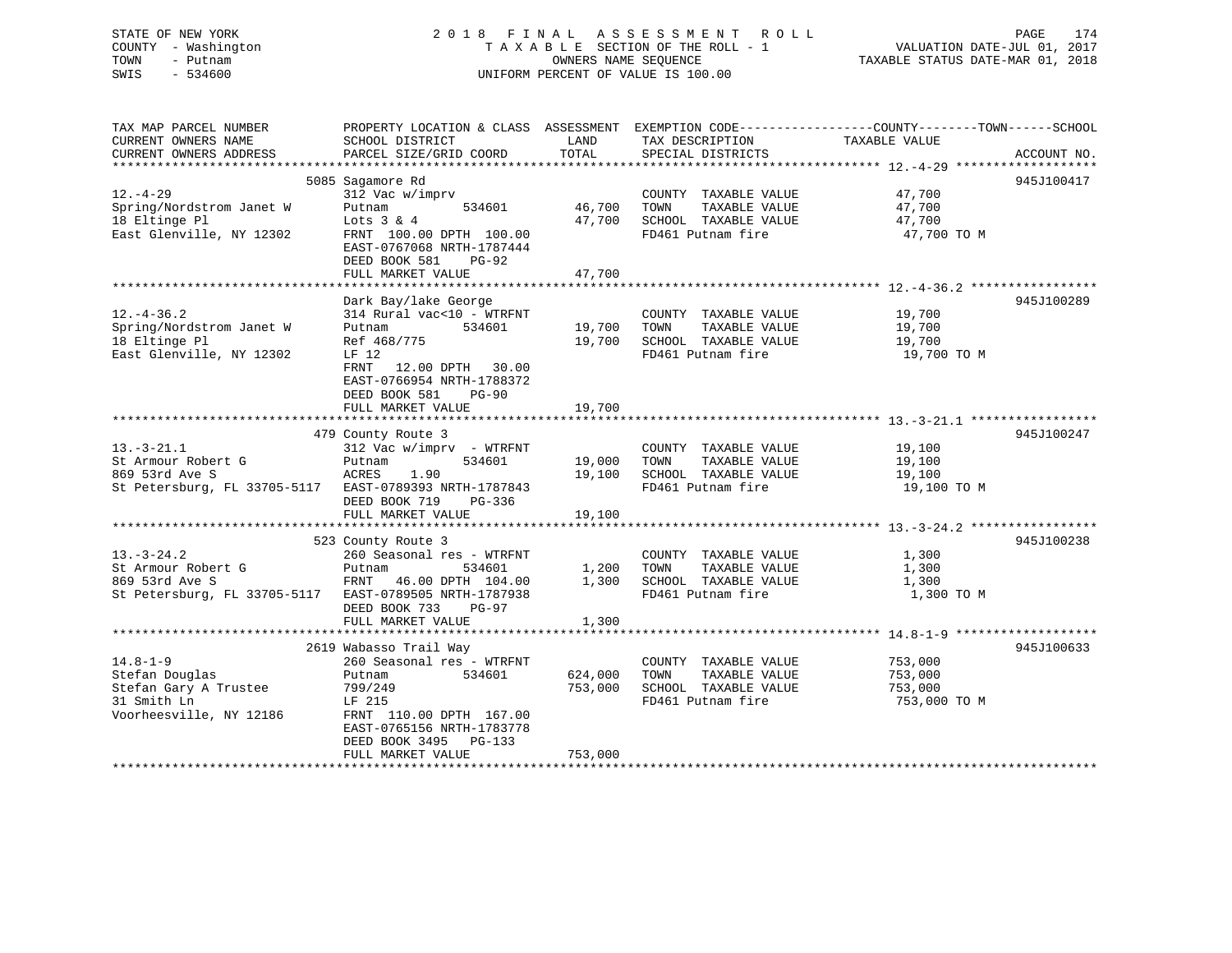STATE OF NEW YORK 2 0 1 8 F I N A L A S S E S S M E N T R O L L PAGE 174 COUNTY - Washington T A X A B L E SECTION OF THE ROLL - 1 VALUATION DATE-JUL 01, 2017 TOWN - Putnam OWNERS NAME SEQUENCE TAXABLE STATUS DATE-MAR 01, 2018 SWIS - 534600 UNIFORM PERCENT OF VALUE IS 100.00

TAX MAP PARCEL NUMBER PROPERTY LOCATION & CLASS ASSESSMENT EXEMPTION CODE------------------COUNTY--------TOWN------SCHOOL CURRENT OWNERS NAME SCHOOL DISTRICT THE LAND TAX DESCRIPTION TAXABLE VALUE CURRENT OWNERS ADDRESS PARCEL SIZE/GRID COORD TOTAL SPECIAL DISTRICTS ACCOUNT NO. \*\*\*\*\*\*\*\*\*\*\*\*\*\*\*\*\*\*\*\*\*\*\*\*\*\*\*\*\*\*\*\*\*\*\*\*\*\*\*\*\*\*\*\*\*\*\*\*\*\*\*\*\*\*\*\*\*\*\*\*\*\*\*\*\*\*\*\*\*\*\*\*\*\*\*\*\*\*\*\*\*\*\*\*\*\*\*\*\*\*\*\*\*\*\*\*\*\*\*\*\*\*\* 12.-4-29 \*\*\*\*\*\*\*\*\*\*\*\*\*\*\*\*\*\*\* 5085 Sagamore Rd 945J100417 12.-4-29 312 Vac w/imprv COUNTY TAXABLE VALUE 47,700 Spring/Nordstrom Janet W Putnam 534601 46,700 TOWN TAXABLE VALUE 47,700 18 Eltinge Pl Lots 3 & 4 47,700 SCHOOL TAXABLE VALUE 47,700 East Glenville, NY 12302 FRNT 100.00 DPTH 100.00 FD461 Putnam fire 47,700 TO M EAST-0767068 NRTH-1787444 DEED BOOK 581 PG-92 FULL MARKET VALUE 47,700 \*\*\*\*\*\*\*\*\*\*\*\*\*\*\*\*\*\*\*\*\*\*\*\*\*\*\*\*\*\*\*\*\*\*\*\*\*\*\*\*\*\*\*\*\*\*\*\*\*\*\*\*\*\*\*\*\*\*\*\*\*\*\*\*\*\*\*\*\*\*\*\*\*\*\*\*\*\*\*\*\*\*\*\*\*\*\*\*\*\*\*\*\*\*\*\*\*\*\*\*\*\*\* 12.-4-36.2 \*\*\*\*\*\*\*\*\*\*\*\*\*\*\*\*\*Dark Bay/lake George 945J100289 12.-4-36.2 314 Rural vac<10 - WTRFNT COUNTY TAXABLE VALUE 19,700 Spring/Nordstrom Janet W Putnam 534601 19,700 TOWN TAXABLE VALUE 19,700 18 Eltinge Pl Ref 468/775 19,700 SCHOOL TAXABLE VALUE 19,700 East Glenville, NY 12302 LF 12 LET A LET TO MELLET REPORT TO MALE TO MELLET THE REPORT OF MALE REPORT OF MALE FRNT 12.00 DPTH 30.00 EAST-0766954 NRTH-1788372 DEED BOOK 581 PG-90FULL MARKET VALUE 19,700 \*\*\*\*\*\*\*\*\*\*\*\*\*\*\*\*\*\*\*\*\*\*\*\*\*\*\*\*\*\*\*\*\*\*\*\*\*\*\*\*\*\*\*\*\*\*\*\*\*\*\*\*\*\*\*\*\*\*\*\*\*\*\*\*\*\*\*\*\*\*\*\*\*\*\*\*\*\*\*\*\*\*\*\*\*\*\*\*\*\*\*\*\*\*\*\*\*\*\*\*\*\*\* 13.-3-21.1 \*\*\*\*\*\*\*\*\*\*\*\*\*\*\*\*\* 479 County Route 3 945J100247 13.-3-21.1 312 Vac w/imprv - WTRFNT COUNTY TAXABLE VALUE 19,100 St Armour Robert G Putnam 534601 19,000 TOWN TAXABLE VALUE 19,100 869 53rd Ave S ACRES 1.90 19,100 SCHOOL TAXABLE VALUE 19,100 St Petersburg, FL 33705-5117 EAST-0789393 NRTH-1787843 FD461 Putnam fire 19,100 TO M DEED BOOK 719 PG-336FULL MARKET VALUE 19,100 \*\*\*\*\*\*\*\*\*\*\*\*\*\*\*\*\*\*\*\*\*\*\*\*\*\*\*\*\*\*\*\*\*\*\*\*\*\*\*\*\*\*\*\*\*\*\*\*\*\*\*\*\*\*\*\*\*\*\*\*\*\*\*\*\*\*\*\*\*\*\*\*\*\*\*\*\*\*\*\*\*\*\*\*\*\*\*\*\*\*\*\*\*\*\*\*\*\*\*\*\*\*\* 13.-3-24.2 \*\*\*\*\*\*\*\*\*\*\*\*\*\*\*\*\* 523 County Route 3 945J100238 13.-3-24.2 260 Seasonal res - WTRFNT COUNTY TAXABLE VALUE 1,300 St Armour Robert G Putnam 534601 1,200 TOWN TAXABLE VALUE 1,300 869 53rd Ave S FRNT 46.00 DPTH 104.00 1,300 SCHOOL TAXABLE VALUE 1,300 St Petersburg, FL 33705-5117 EAST-0789505 NRTH-1787938 FD461 Putnam fire 1,300 TO M DEED BOOK 733 PG-97FULL MARKET VALUE 1,300 \*\*\*\*\*\*\*\*\*\*\*\*\*\*\*\*\*\*\*\*\*\*\*\*\*\*\*\*\*\*\*\*\*\*\*\*\*\*\*\*\*\*\*\*\*\*\*\*\*\*\*\*\*\*\*\*\*\*\*\*\*\*\*\*\*\*\*\*\*\*\*\*\*\*\*\*\*\*\*\*\*\*\*\*\*\*\*\*\*\*\*\*\*\*\*\*\*\*\*\*\*\*\* 14.8-1-9 \*\*\*\*\*\*\*\*\*\*\*\*\*\*\*\*\*\*\* 2619 Wabasso Trail Way 945J100633 14.8-1-9 260 Seasonal res - WTRFNT COUNTY TAXABLE VALUE 753,000 Stefan Douglas Putnam 534601 624,000 TOWN TAXABLE VALUE 753,000 Stefan Gary A Trustee 799/249 753,000 SCHOOL TAXABLE VALUE 753,000 31 Stefan Gary A Trustee  $\frac{799}{249}$  153,000 FO461 Putnam fire 753,000 FO461 Putnam fire 753,000 TO M Voorheesville, NY 12186 FRNT 110.00 DPTH 167.00

 FULL MARKET VALUE 753,000 \*\*\*\*\*\*\*\*\*\*\*\*\*\*\*\*\*\*\*\*\*\*\*\*\*\*\*\*\*\*\*\*\*\*\*\*\*\*\*\*\*\*\*\*\*\*\*\*\*\*\*\*\*\*\*\*\*\*\*\*\*\*\*\*\*\*\*\*\*\*\*\*\*\*\*\*\*\*\*\*\*\*\*\*\*\*\*\*\*\*\*\*\*\*\*\*\*\*\*\*\*\*\*\*\*\*\*\*\*\*\*\*\*\*\*\*\*\*\*\*\*\*\*\*\*\*\*\*\*\*\*\*

 EAST-0765156 NRTH-1783778DEED BOOK 3495 PG-133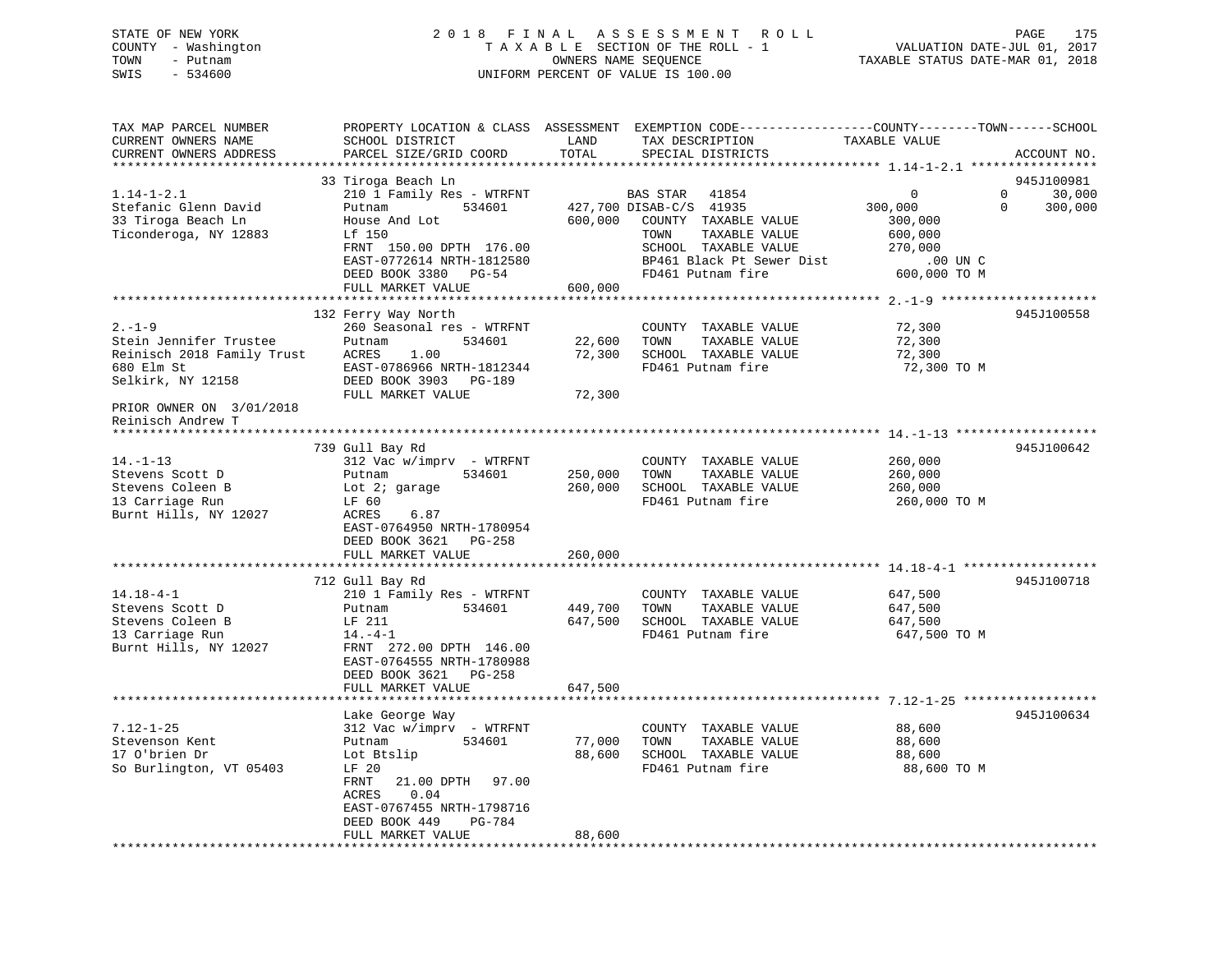## STATE OF NEW YORK 2 0 1 8 F I N A L A S S E S S M E N T R O L L PAGE 175 COUNTY - Washington T A X A B L E SECTION OF THE ROLL - 1 VALUATION DATE-JUL 01, 2017 TOWN - Putnam **CONNERS NAME SEQUENCE** TAXABLE STATUS DATE-MAR 01, 2018 SWIS - 534600 UNIFORM PERCENT OF VALUE IS 100.00

| *******************<br>**********<br>945J100981<br>33 Tiroga Beach Ln<br>210 1 Family Res - WTRFNT<br>$\Omega$<br>$\Omega$<br>30,000<br>$1.14 - 1 - 2.1$<br>BAS STAR<br>41854<br>534601<br>427,700 DISAB-C/S 41935<br>300,000<br>$\Omega$<br>Putnam<br>300,000<br>600,000<br>House And Lot<br>COUNTY TAXABLE VALUE<br>300,000<br>Lf 150<br>TOWN<br>TAXABLE VALUE<br>600,000<br>SCHOOL TAXABLE VALUE<br>FRNT 150.00 DPTH 176.00<br>270,000<br>EAST-0772614 NRTH-1812580<br>BP461 Black Pt Sewer Dist<br>.00 UN C<br>FD461 Putnam fire<br>600,000 TO M<br>DEED BOOK 3380<br>$PG-54$<br>FULL MARKET VALUE<br>600,000<br>132 Ferry Way North<br>945J100558<br>260 Seasonal res - WTRFNT<br>72,300<br>COUNTY TAXABLE VALUE<br>Putnam<br>534601<br>22,600<br>TOWN<br>TAXABLE VALUE<br>72,300<br>1.00<br>72,300<br>SCHOOL TAXABLE VALUE<br>72,300<br>ACRES<br>EAST-0786966 NRTH-1812344<br>FD461 Putnam fire<br>72,300 TO M<br>Selkirk, NY 12158<br>DEED BOOK 3903<br>PG-189<br>FULL MARKET VALUE<br>72,300<br>739 Gull Bay Rd<br>945J100642<br>$14. - 1 - 13$<br>312 Vac w/imprv - WTRFNT<br>COUNTY TAXABLE VALUE<br>260,000<br>534601<br>250,000<br>Stevens Scott D<br>Putnam<br>TOWN<br>TAXABLE VALUE<br>260,000<br>Stevens Coleen B<br>260,000<br>SCHOOL TAXABLE VALUE<br>Lot $2i$ garage<br>260,000<br>13 Carriage Run<br>FD461 Putnam fire<br>LF 60<br>260,000 TO M<br>Burnt Hills, NY 12027<br>6.87<br>ACRES<br>EAST-0764950 NRTH-1780954<br>DEED BOOK 3621<br>PG-258<br>FULL MARKET VALUE<br>260,000<br>712 Gull Bay Rd<br>945J100718<br>210 1 Family Res - WTRFNT<br>COUNTY TAXABLE VALUE<br>647,500<br>Putnam<br>534601<br>449,700<br>TOWN<br>TAXABLE VALUE<br>647,500<br>647,500<br>LF 211<br>SCHOOL TAXABLE VALUE<br>647,500<br>FD461 Putnam fire<br>$14. -4 - 1$<br>647,500 TO M<br>FRNT 272.00 DPTH 146.00<br>EAST-0764555 NRTH-1780988<br>DEED BOOK 3621<br>PG-258<br>647,500<br>FULL MARKET VALUE<br>945J100634<br>Lake George Way<br>$7.12 - 1 - 25$<br>312 Vac w/imprv - WTRFNT<br>COUNTY TAXABLE VALUE<br>88,600<br>TOWN<br>Stevenson Kent<br>534601<br>77,000<br>TAXABLE VALUE<br>88,600<br>Putnam<br>17 O'brien Dr<br>Lot Btslip<br>88,600<br>SCHOOL TAXABLE VALUE<br>88,600<br>So Burlington, VT 05403<br>LF 20<br>FD461 Putnam fire<br>88,600 TO M<br>FRNT<br>21.00 DPTH<br>97.00<br>ACRES<br>0.04<br>EAST-0767455 NRTH-1798716<br>DEED BOOK 449<br>PG-784<br>FULL MARKET VALUE<br>88,600 | TAX MAP PARCEL NUMBER<br>CURRENT OWNERS NAME<br>CURRENT OWNERS ADDRESS | SCHOOL DISTRICT<br>PARCEL SIZE/GRID COORD | LAND<br>TOTAL | PROPERTY LOCATION & CLASS ASSESSMENT EXEMPTION CODE----------------COUNTY-------TOWN------SCHOOL<br>TAX DESCRIPTION<br>SPECIAL DISTRICTS | TAXABLE VALUE | ACCOUNT NO. |
|-----------------------------------------------------------------------------------------------------------------------------------------------------------------------------------------------------------------------------------------------------------------------------------------------------------------------------------------------------------------------------------------------------------------------------------------------------------------------------------------------------------------------------------------------------------------------------------------------------------------------------------------------------------------------------------------------------------------------------------------------------------------------------------------------------------------------------------------------------------------------------------------------------------------------------------------------------------------------------------------------------------------------------------------------------------------------------------------------------------------------------------------------------------------------------------------------------------------------------------------------------------------------------------------------------------------------------------------------------------------------------------------------------------------------------------------------------------------------------------------------------------------------------------------------------------------------------------------------------------------------------------------------------------------------------------------------------------------------------------------------------------------------------------------------------------------------------------------------------------------------------------------------------------------------------------------------------------------------------------------------------------------------------------------------------------------------------------------------------------------------------------------------------------------------------------------------------------------------------------------------------------------------------------------------------------------------------------------------------------------------------------------------------------|------------------------------------------------------------------------|-------------------------------------------|---------------|------------------------------------------------------------------------------------------------------------------------------------------|---------------|-------------|
|                                                                                                                                                                                                                                                                                                                                                                                                                                                                                                                                                                                                                                                                                                                                                                                                                                                                                                                                                                                                                                                                                                                                                                                                                                                                                                                                                                                                                                                                                                                                                                                                                                                                                                                                                                                                                                                                                                                                                                                                                                                                                                                                                                                                                                                                                                                                                                                                           |                                                                        |                                           |               |                                                                                                                                          |               |             |
|                                                                                                                                                                                                                                                                                                                                                                                                                                                                                                                                                                                                                                                                                                                                                                                                                                                                                                                                                                                                                                                                                                                                                                                                                                                                                                                                                                                                                                                                                                                                                                                                                                                                                                                                                                                                                                                                                                                                                                                                                                                                                                                                                                                                                                                                                                                                                                                                           |                                                                        |                                           |               |                                                                                                                                          |               |             |
|                                                                                                                                                                                                                                                                                                                                                                                                                                                                                                                                                                                                                                                                                                                                                                                                                                                                                                                                                                                                                                                                                                                                                                                                                                                                                                                                                                                                                                                                                                                                                                                                                                                                                                                                                                                                                                                                                                                                                                                                                                                                                                                                                                                                                                                                                                                                                                                                           | Stefanic Glenn David<br>33 Tiroga Beach Ln<br>Ticonderoga, NY 12883    |                                           |               |                                                                                                                                          |               |             |
|                                                                                                                                                                                                                                                                                                                                                                                                                                                                                                                                                                                                                                                                                                                                                                                                                                                                                                                                                                                                                                                                                                                                                                                                                                                                                                                                                                                                                                                                                                                                                                                                                                                                                                                                                                                                                                                                                                                                                                                                                                                                                                                                                                                                                                                                                                                                                                                                           |                                                                        |                                           |               |                                                                                                                                          |               |             |
|                                                                                                                                                                                                                                                                                                                                                                                                                                                                                                                                                                                                                                                                                                                                                                                                                                                                                                                                                                                                                                                                                                                                                                                                                                                                                                                                                                                                                                                                                                                                                                                                                                                                                                                                                                                                                                                                                                                                                                                                                                                                                                                                                                                                                                                                                                                                                                                                           |                                                                        |                                           |               |                                                                                                                                          |               |             |
|                                                                                                                                                                                                                                                                                                                                                                                                                                                                                                                                                                                                                                                                                                                                                                                                                                                                                                                                                                                                                                                                                                                                                                                                                                                                                                                                                                                                                                                                                                                                                                                                                                                                                                                                                                                                                                                                                                                                                                                                                                                                                                                                                                                                                                                                                                                                                                                                           |                                                                        |                                           |               |                                                                                                                                          |               |             |
|                                                                                                                                                                                                                                                                                                                                                                                                                                                                                                                                                                                                                                                                                                                                                                                                                                                                                                                                                                                                                                                                                                                                                                                                                                                                                                                                                                                                                                                                                                                                                                                                                                                                                                                                                                                                                                                                                                                                                                                                                                                                                                                                                                                                                                                                                                                                                                                                           | $2. - 1 - 9$                                                           |                                           |               |                                                                                                                                          |               |             |
|                                                                                                                                                                                                                                                                                                                                                                                                                                                                                                                                                                                                                                                                                                                                                                                                                                                                                                                                                                                                                                                                                                                                                                                                                                                                                                                                                                                                                                                                                                                                                                                                                                                                                                                                                                                                                                                                                                                                                                                                                                                                                                                                                                                                                                                                                                                                                                                                           | Stein Jennifer Trustee                                                 |                                           |               |                                                                                                                                          |               |             |
|                                                                                                                                                                                                                                                                                                                                                                                                                                                                                                                                                                                                                                                                                                                                                                                                                                                                                                                                                                                                                                                                                                                                                                                                                                                                                                                                                                                                                                                                                                                                                                                                                                                                                                                                                                                                                                                                                                                                                                                                                                                                                                                                                                                                                                                                                                                                                                                                           | Reinisch 2018 Family Trust                                             |                                           |               |                                                                                                                                          |               |             |
|                                                                                                                                                                                                                                                                                                                                                                                                                                                                                                                                                                                                                                                                                                                                                                                                                                                                                                                                                                                                                                                                                                                                                                                                                                                                                                                                                                                                                                                                                                                                                                                                                                                                                                                                                                                                                                                                                                                                                                                                                                                                                                                                                                                                                                                                                                                                                                                                           | 680 Elm St                                                             |                                           |               |                                                                                                                                          |               |             |
|                                                                                                                                                                                                                                                                                                                                                                                                                                                                                                                                                                                                                                                                                                                                                                                                                                                                                                                                                                                                                                                                                                                                                                                                                                                                                                                                                                                                                                                                                                                                                                                                                                                                                                                                                                                                                                                                                                                                                                                                                                                                                                                                                                                                                                                                                                                                                                                                           |                                                                        |                                           |               |                                                                                                                                          |               |             |
|                                                                                                                                                                                                                                                                                                                                                                                                                                                                                                                                                                                                                                                                                                                                                                                                                                                                                                                                                                                                                                                                                                                                                                                                                                                                                                                                                                                                                                                                                                                                                                                                                                                                                                                                                                                                                                                                                                                                                                                                                                                                                                                                                                                                                                                                                                                                                                                                           | PRIOR OWNER ON 3/01/2018<br>Reinisch Andrew T                          |                                           |               |                                                                                                                                          |               |             |
|                                                                                                                                                                                                                                                                                                                                                                                                                                                                                                                                                                                                                                                                                                                                                                                                                                                                                                                                                                                                                                                                                                                                                                                                                                                                                                                                                                                                                                                                                                                                                                                                                                                                                                                                                                                                                                                                                                                                                                                                                                                                                                                                                                                                                                                                                                                                                                                                           |                                                                        |                                           |               |                                                                                                                                          |               |             |
|                                                                                                                                                                                                                                                                                                                                                                                                                                                                                                                                                                                                                                                                                                                                                                                                                                                                                                                                                                                                                                                                                                                                                                                                                                                                                                                                                                                                                                                                                                                                                                                                                                                                                                                                                                                                                                                                                                                                                                                                                                                                                                                                                                                                                                                                                                                                                                                                           |                                                                        |                                           |               |                                                                                                                                          |               |             |
|                                                                                                                                                                                                                                                                                                                                                                                                                                                                                                                                                                                                                                                                                                                                                                                                                                                                                                                                                                                                                                                                                                                                                                                                                                                                                                                                                                                                                                                                                                                                                                                                                                                                                                                                                                                                                                                                                                                                                                                                                                                                                                                                                                                                                                                                                                                                                                                                           |                                                                        |                                           |               |                                                                                                                                          |               |             |
|                                                                                                                                                                                                                                                                                                                                                                                                                                                                                                                                                                                                                                                                                                                                                                                                                                                                                                                                                                                                                                                                                                                                                                                                                                                                                                                                                                                                                                                                                                                                                                                                                                                                                                                                                                                                                                                                                                                                                                                                                                                                                                                                                                                                                                                                                                                                                                                                           |                                                                        |                                           |               |                                                                                                                                          |               |             |
|                                                                                                                                                                                                                                                                                                                                                                                                                                                                                                                                                                                                                                                                                                                                                                                                                                                                                                                                                                                                                                                                                                                                                                                                                                                                                                                                                                                                                                                                                                                                                                                                                                                                                                                                                                                                                                                                                                                                                                                                                                                                                                                                                                                                                                                                                                                                                                                                           |                                                                        |                                           |               |                                                                                                                                          |               |             |
|                                                                                                                                                                                                                                                                                                                                                                                                                                                                                                                                                                                                                                                                                                                                                                                                                                                                                                                                                                                                                                                                                                                                                                                                                                                                                                                                                                                                                                                                                                                                                                                                                                                                                                                                                                                                                                                                                                                                                                                                                                                                                                                                                                                                                                                                                                                                                                                                           |                                                                        |                                           |               |                                                                                                                                          |               |             |
|                                                                                                                                                                                                                                                                                                                                                                                                                                                                                                                                                                                                                                                                                                                                                                                                                                                                                                                                                                                                                                                                                                                                                                                                                                                                                                                                                                                                                                                                                                                                                                                                                                                                                                                                                                                                                                                                                                                                                                                                                                                                                                                                                                                                                                                                                                                                                                                                           |                                                                        |                                           |               |                                                                                                                                          |               |             |
|                                                                                                                                                                                                                                                                                                                                                                                                                                                                                                                                                                                                                                                                                                                                                                                                                                                                                                                                                                                                                                                                                                                                                                                                                                                                                                                                                                                                                                                                                                                                                                                                                                                                                                                                                                                                                                                                                                                                                                                                                                                                                                                                                                                                                                                                                                                                                                                                           |                                                                        |                                           |               |                                                                                                                                          |               |             |
|                                                                                                                                                                                                                                                                                                                                                                                                                                                                                                                                                                                                                                                                                                                                                                                                                                                                                                                                                                                                                                                                                                                                                                                                                                                                                                                                                                                                                                                                                                                                                                                                                                                                                                                                                                                                                                                                                                                                                                                                                                                                                                                                                                                                                                                                                                                                                                                                           |                                                                        |                                           |               |                                                                                                                                          |               |             |
|                                                                                                                                                                                                                                                                                                                                                                                                                                                                                                                                                                                                                                                                                                                                                                                                                                                                                                                                                                                                                                                                                                                                                                                                                                                                                                                                                                                                                                                                                                                                                                                                                                                                                                                                                                                                                                                                                                                                                                                                                                                                                                                                                                                                                                                                                                                                                                                                           |                                                                        |                                           |               |                                                                                                                                          |               |             |
|                                                                                                                                                                                                                                                                                                                                                                                                                                                                                                                                                                                                                                                                                                                                                                                                                                                                                                                                                                                                                                                                                                                                                                                                                                                                                                                                                                                                                                                                                                                                                                                                                                                                                                                                                                                                                                                                                                                                                                                                                                                                                                                                                                                                                                                                                                                                                                                                           |                                                                        |                                           |               |                                                                                                                                          |               |             |
|                                                                                                                                                                                                                                                                                                                                                                                                                                                                                                                                                                                                                                                                                                                                                                                                                                                                                                                                                                                                                                                                                                                                                                                                                                                                                                                                                                                                                                                                                                                                                                                                                                                                                                                                                                                                                                                                                                                                                                                                                                                                                                                                                                                                                                                                                                                                                                                                           | $14.18 - 4 - 1$                                                        |                                           |               |                                                                                                                                          |               |             |
|                                                                                                                                                                                                                                                                                                                                                                                                                                                                                                                                                                                                                                                                                                                                                                                                                                                                                                                                                                                                                                                                                                                                                                                                                                                                                                                                                                                                                                                                                                                                                                                                                                                                                                                                                                                                                                                                                                                                                                                                                                                                                                                                                                                                                                                                                                                                                                                                           | Stevens Scott D                                                        |                                           |               |                                                                                                                                          |               |             |
|                                                                                                                                                                                                                                                                                                                                                                                                                                                                                                                                                                                                                                                                                                                                                                                                                                                                                                                                                                                                                                                                                                                                                                                                                                                                                                                                                                                                                                                                                                                                                                                                                                                                                                                                                                                                                                                                                                                                                                                                                                                                                                                                                                                                                                                                                                                                                                                                           | Stevens Coleen B                                                       |                                           |               |                                                                                                                                          |               |             |
|                                                                                                                                                                                                                                                                                                                                                                                                                                                                                                                                                                                                                                                                                                                                                                                                                                                                                                                                                                                                                                                                                                                                                                                                                                                                                                                                                                                                                                                                                                                                                                                                                                                                                                                                                                                                                                                                                                                                                                                                                                                                                                                                                                                                                                                                                                                                                                                                           | 13 Carriage Run                                                        |                                           |               |                                                                                                                                          |               |             |
|                                                                                                                                                                                                                                                                                                                                                                                                                                                                                                                                                                                                                                                                                                                                                                                                                                                                                                                                                                                                                                                                                                                                                                                                                                                                                                                                                                                                                                                                                                                                                                                                                                                                                                                                                                                                                                                                                                                                                                                                                                                                                                                                                                                                                                                                                                                                                                                                           | Burnt Hills, NY 12027                                                  |                                           |               |                                                                                                                                          |               |             |
|                                                                                                                                                                                                                                                                                                                                                                                                                                                                                                                                                                                                                                                                                                                                                                                                                                                                                                                                                                                                                                                                                                                                                                                                                                                                                                                                                                                                                                                                                                                                                                                                                                                                                                                                                                                                                                                                                                                                                                                                                                                                                                                                                                                                                                                                                                                                                                                                           |                                                                        |                                           |               |                                                                                                                                          |               |             |
|                                                                                                                                                                                                                                                                                                                                                                                                                                                                                                                                                                                                                                                                                                                                                                                                                                                                                                                                                                                                                                                                                                                                                                                                                                                                                                                                                                                                                                                                                                                                                                                                                                                                                                                                                                                                                                                                                                                                                                                                                                                                                                                                                                                                                                                                                                                                                                                                           |                                                                        |                                           |               |                                                                                                                                          |               |             |
|                                                                                                                                                                                                                                                                                                                                                                                                                                                                                                                                                                                                                                                                                                                                                                                                                                                                                                                                                                                                                                                                                                                                                                                                                                                                                                                                                                                                                                                                                                                                                                                                                                                                                                                                                                                                                                                                                                                                                                                                                                                                                                                                                                                                                                                                                                                                                                                                           |                                                                        |                                           |               |                                                                                                                                          |               |             |
|                                                                                                                                                                                                                                                                                                                                                                                                                                                                                                                                                                                                                                                                                                                                                                                                                                                                                                                                                                                                                                                                                                                                                                                                                                                                                                                                                                                                                                                                                                                                                                                                                                                                                                                                                                                                                                                                                                                                                                                                                                                                                                                                                                                                                                                                                                                                                                                                           |                                                                        |                                           |               |                                                                                                                                          |               |             |
|                                                                                                                                                                                                                                                                                                                                                                                                                                                                                                                                                                                                                                                                                                                                                                                                                                                                                                                                                                                                                                                                                                                                                                                                                                                                                                                                                                                                                                                                                                                                                                                                                                                                                                                                                                                                                                                                                                                                                                                                                                                                                                                                                                                                                                                                                                                                                                                                           |                                                                        |                                           |               |                                                                                                                                          |               |             |
|                                                                                                                                                                                                                                                                                                                                                                                                                                                                                                                                                                                                                                                                                                                                                                                                                                                                                                                                                                                                                                                                                                                                                                                                                                                                                                                                                                                                                                                                                                                                                                                                                                                                                                                                                                                                                                                                                                                                                                                                                                                                                                                                                                                                                                                                                                                                                                                                           |                                                                        |                                           |               |                                                                                                                                          |               |             |
|                                                                                                                                                                                                                                                                                                                                                                                                                                                                                                                                                                                                                                                                                                                                                                                                                                                                                                                                                                                                                                                                                                                                                                                                                                                                                                                                                                                                                                                                                                                                                                                                                                                                                                                                                                                                                                                                                                                                                                                                                                                                                                                                                                                                                                                                                                                                                                                                           |                                                                        |                                           |               |                                                                                                                                          |               |             |
|                                                                                                                                                                                                                                                                                                                                                                                                                                                                                                                                                                                                                                                                                                                                                                                                                                                                                                                                                                                                                                                                                                                                                                                                                                                                                                                                                                                                                                                                                                                                                                                                                                                                                                                                                                                                                                                                                                                                                                                                                                                                                                                                                                                                                                                                                                                                                                                                           |                                                                        |                                           |               |                                                                                                                                          |               |             |
|                                                                                                                                                                                                                                                                                                                                                                                                                                                                                                                                                                                                                                                                                                                                                                                                                                                                                                                                                                                                                                                                                                                                                                                                                                                                                                                                                                                                                                                                                                                                                                                                                                                                                                                                                                                                                                                                                                                                                                                                                                                                                                                                                                                                                                                                                                                                                                                                           |                                                                        |                                           |               |                                                                                                                                          |               |             |
|                                                                                                                                                                                                                                                                                                                                                                                                                                                                                                                                                                                                                                                                                                                                                                                                                                                                                                                                                                                                                                                                                                                                                                                                                                                                                                                                                                                                                                                                                                                                                                                                                                                                                                                                                                                                                                                                                                                                                                                                                                                                                                                                                                                                                                                                                                                                                                                                           |                                                                        |                                           |               |                                                                                                                                          |               |             |
|                                                                                                                                                                                                                                                                                                                                                                                                                                                                                                                                                                                                                                                                                                                                                                                                                                                                                                                                                                                                                                                                                                                                                                                                                                                                                                                                                                                                                                                                                                                                                                                                                                                                                                                                                                                                                                                                                                                                                                                                                                                                                                                                                                                                                                                                                                                                                                                                           |                                                                        |                                           |               |                                                                                                                                          |               |             |
|                                                                                                                                                                                                                                                                                                                                                                                                                                                                                                                                                                                                                                                                                                                                                                                                                                                                                                                                                                                                                                                                                                                                                                                                                                                                                                                                                                                                                                                                                                                                                                                                                                                                                                                                                                                                                                                                                                                                                                                                                                                                                                                                                                                                                                                                                                                                                                                                           |                                                                        |                                           |               |                                                                                                                                          |               |             |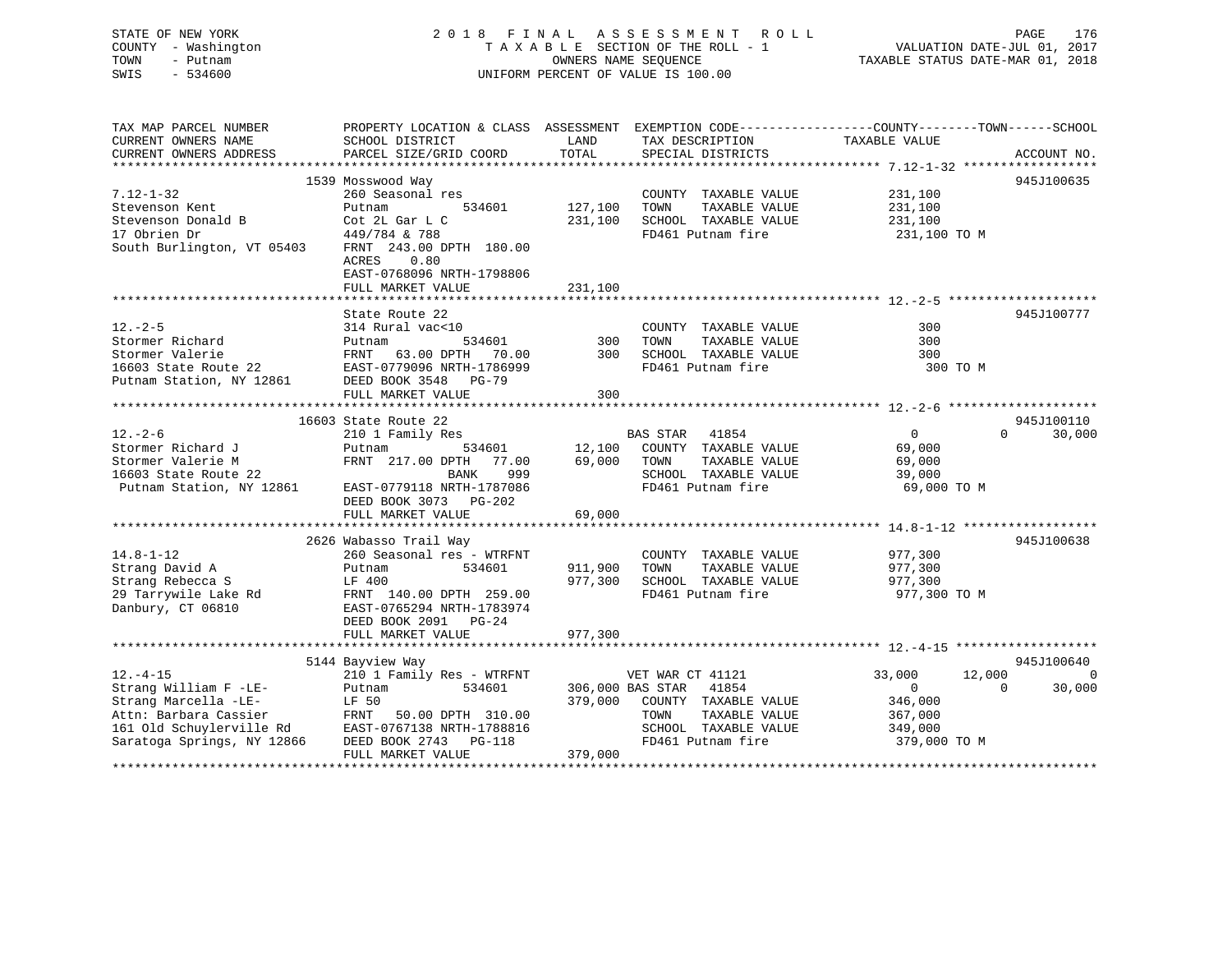## STATE OF NEW YORK 2 0 1 8 F I N A L A S S E S S M E N T R O L L PAGE 176 COUNTY - Washington T A X A B L E SECTION OF THE ROLL - 1 VALUATION DATE-JUL 01, 2017 TOWN - Putnam **CONNERS NAME SEQUENCE** TAXABLE STATUS DATE-MAR 01, 2018 SWIS - 534600 UNIFORM PERCENT OF VALUE IS 100.00

| TAX MAP PARCEL NUMBER<br>CURRENT OWNERS NAME<br>CURRENT OWNERS ADDRESS                                  | PROPERTY LOCATION & CLASS ASSESSMENT EXEMPTION CODE---------------COUNTY-------TOWN-----SCHOOL<br>SCHOOL DISTRICT<br>PARCEL SIZE/GRID COORD                  | LAND<br>TOTAL      | TAX DESCRIPTION<br>SPECIAL DISTRICTS                                                       | TAXABLE VALUE                 | ACCOUNT NO.        |
|---------------------------------------------------------------------------------------------------------|--------------------------------------------------------------------------------------------------------------------------------------------------------------|--------------------|--------------------------------------------------------------------------------------------|-------------------------------|--------------------|
|                                                                                                         |                                                                                                                                                              |                    |                                                                                            |                               |                    |
|                                                                                                         | 1539 Mosswood Way                                                                                                                                            |                    |                                                                                            |                               | 945J100635         |
| $7.12 - 1 - 32$<br>Stevenson Kent<br>Stevenson Donald B                                                 | 260 Seasonal res<br>534601<br>Putnam<br>Cot 2L Gar L C                                                                                                       | 127,100<br>231,100 | COUNTY TAXABLE VALUE<br>TOWN<br>TAXABLE VALUE<br>SCHOOL TAXABLE VALUE                      | 231,100<br>231,100<br>231,100 |                    |
| 17 Obrien Dr<br>South Burlington, VT 05403                                                              | 449/784 & 788<br>FRNT 243.00 DPTH 180.00<br>ACRES<br>0.80<br>EAST-0768096 NRTH-1798806<br>FULL MARKET VALUE                                                  | 231,100            | FD461 Putnam fire                                                                          | 231,100 TO M                  |                    |
|                                                                                                         |                                                                                                                                                              |                    |                                                                                            |                               |                    |
| $12. - 2 - 5$<br>Stormer Richard<br>Stormer Valerie<br>16603 State Route 22<br>Putnam Station, NY 12861 | State Route 22<br>314 Rural vac<10<br>534601<br>Putnam<br>FRNT<br>63.00 DPTH 70.00<br>EAST-0779096 NRTH-1786999<br>DEED BOOK 3548 PG-79<br>FULL MARKET VALUE | 300<br>300<br>300  | COUNTY TAXABLE VALUE<br>TAXABLE VALUE<br>TOWN<br>SCHOOL TAXABLE VALUE<br>FD461 Putnam fire | 300<br>300<br>300<br>300 TO M | 945J100777         |
|                                                                                                         |                                                                                                                                                              |                    |                                                                                            |                               |                    |
|                                                                                                         | 16603 State Route 22                                                                                                                                         |                    |                                                                                            |                               | 945J100110         |
| $12. - 2 - 6$                                                                                           | 210 1 Family Res                                                                                                                                             |                    | BAS STAR 41854                                                                             | $0 \qquad \qquad$             | $\Omega$<br>30,000 |
| Stormer Richard J                                                                                       | 534601<br>Putnam                                                                                                                                             | 12,100             | COUNTY TAXABLE VALUE                                                                       | 69,000                        |                    |
| Stormer Valerie M                                                                                       | FRNT 217.00 DPTH 77.00                                                                                                                                       | 69,000             | TOWN<br>TAXABLE VALUE                                                                      | 69,000                        |                    |
| 16603 State Route 22<br>Putnam Station, NY 12861                                                        | BANK<br>999<br>EAST-0779118 NRTH-1787086<br>DEED BOOK 3073 PG-202                                                                                            |                    | SCHOOL TAXABLE VALUE<br>FD461 Putnam fire                                                  | 39,000<br>69,000 TO M         |                    |
|                                                                                                         | FULL MARKET VALUE                                                                                                                                            | 69,000             |                                                                                            |                               |                    |
|                                                                                                         |                                                                                                                                                              |                    |                                                                                            |                               |                    |
|                                                                                                         | 2626 Wabasso Trail Way                                                                                                                                       |                    |                                                                                            |                               | 945J100638         |
| $14.8 - 1 - 12$                                                                                         | 260 Seasonal res - WTRFNT                                                                                                                                    |                    | COUNTY TAXABLE VALUE                                                                       | 977,300                       |                    |
| Strang David A                                                                                          | 534601<br>Putnam                                                                                                                                             | 911,900            | TOWN<br>TAXABLE VALUE                                                                      | 977,300                       |                    |
| Strang Rebecca S                                                                                        | LF 400                                                                                                                                                       | 977,300            | SCHOOL TAXABLE VALUE                                                                       | 977,300                       |                    |
| 29 Tarrywile Lake Rd<br>Danbury, CT 06810                                                               | FRNT 140.00 DPTH 259.00<br>EAST-0765294 NRTH-1783974<br>DEED BOOK 2091 PG-24                                                                                 |                    | FD461 Putnam fire                                                                          | 977,300 TO M                  |                    |
|                                                                                                         | FULL MARKET VALUE                                                                                                                                            | 977,300            |                                                                                            |                               |                    |
|                                                                                                         | 5144 Bayview Way                                                                                                                                             |                    |                                                                                            |                               | 945J100640         |
| $12. - 4 - 15$                                                                                          | 210 1 Family Res - WTRFNT                                                                                                                                    |                    | VET WAR CT 41121                                                                           | 33,000<br>12,000              | $\overline{0}$     |
| Strang William F -LE-                                                                                   | 534601<br>Putnam                                                                                                                                             |                    | 306,000 BAS STAR 41854                                                                     | $\overline{0}$                | 30,000<br>$\Omega$ |
| Strang Marcella -LE-                                                                                    | LF 50                                                                                                                                                        | 379,000            | COUNTY TAXABLE VALUE                                                                       | 346,000                       |                    |
| Attn: Barbara Cassier                                                                                   | FRNT<br>50.00 DPTH 310.00                                                                                                                                    |                    | TAXABLE VALUE<br>TOWN                                                                      | 367,000                       |                    |
| 161 Old Schuylerville Rd                                                                                | EAST-0767138 NRTH-1788816                                                                                                                                    |                    | SCHOOL TAXABLE VALUE                                                                       | 349,000                       |                    |
| Saratoga Springs, NY 12866                                                                              | DEED BOOK 2743 PG-118<br>FULL MARKET VALUE                                                                                                                   | 379,000            | FD461 Putnam fire                                                                          | 379,000 TO M                  |                    |
|                                                                                                         |                                                                                                                                                              |                    |                                                                                            |                               |                    |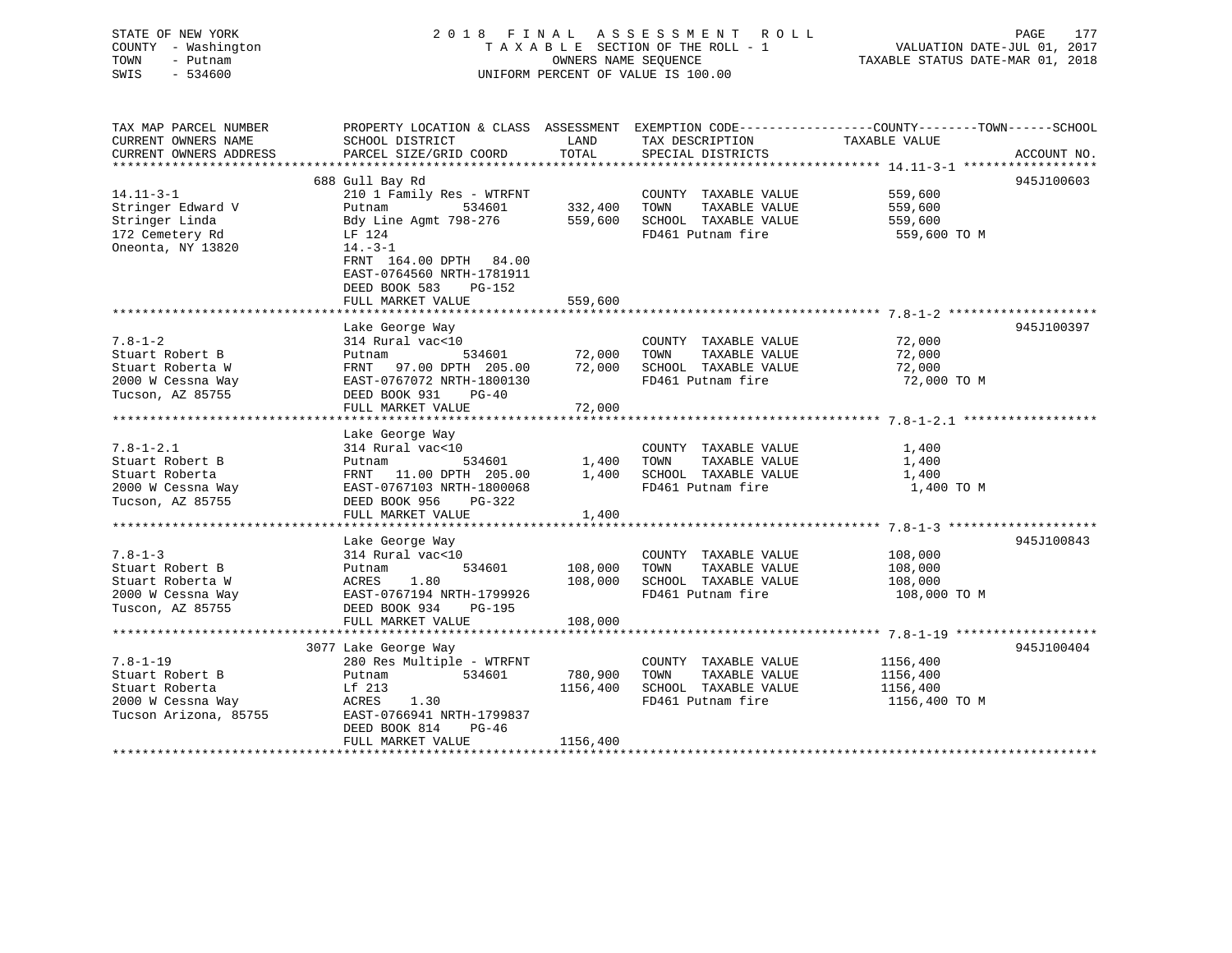STATE OF NEW YORK 2 0 1 8 F I N A L A S S E S S M E N T R O L L PAGE 177 COUNTY - Washington T A X A B L E SECTION OF THE ROLL - 1 VALUATION DATE-JUL 01, 2017 TOWN - Putnam OWNERS NAME SEQUENCE TAXABLE STATUS DATE-MAR 01, 2018 SWIS - 534600 UNIFORM PERCENT OF VALUE IS 100.00

| TAX MAP PARCEL NUMBER<br>CURRENT OWNERS NAME                                                      | PROPERTY LOCATION & CLASS ASSESSMENT<br>SCHOOL DISTRICT                                                                                                                                                  | LAND                            | EXEMPTION CODE-----------------COUNTY-------TOWN------SCHOOL<br>TAX DESCRIPTION            | TAXABLE VALUE                                     |             |
|---------------------------------------------------------------------------------------------------|----------------------------------------------------------------------------------------------------------------------------------------------------------------------------------------------------------|---------------------------------|--------------------------------------------------------------------------------------------|---------------------------------------------------|-------------|
| CURRENT OWNERS ADDRESS                                                                            | PARCEL SIZE/GRID COORD                                                                                                                                                                                   | TOTAL                           | SPECIAL DISTRICTS                                                                          |                                                   | ACCOUNT NO. |
|                                                                                                   | 688 Gull Bay Rd                                                                                                                                                                                          |                                 |                                                                                            |                                                   | 945J100603  |
| $14.11 - 3 - 1$<br>Stringer Edward V<br>Stringer Linda<br>172 Cemetery Rd<br>Oneonta, NY 13820    | 210 1 Family Res - WTRFNT<br>534601<br>Putnam<br>Bdy Line Agmt 798-276<br>LF 124<br>$14. - 3 - 1$<br>FRNT 164.00 DPTH 84.00<br>EAST-0764560 NRTH-1781911<br>DEED BOOK 583<br>PG-152<br>FULL MARKET VALUE | 332,400<br>559,600<br>559,600   | COUNTY TAXABLE VALUE<br>TOWN<br>TAXABLE VALUE<br>SCHOOL TAXABLE VALUE<br>FD461 Putnam fire | 559,600<br>559,600<br>559,600<br>559,600 TO M     |             |
|                                                                                                   |                                                                                                                                                                                                          |                                 |                                                                                            |                                                   |             |
| $7.8 - 1 - 2$<br>Stuart Robert B<br>Stuart Roberta W<br>2000 W Cessna Way<br>Tucson, AZ 85755     | Lake George Way<br>314 Rural vac<10<br>534601<br>Putnam<br>FRNT 97.00 DPTH 205.00<br>EAST-0767072 NRTH-1800130<br>DEED BOOK 931<br>$PG-40$                                                               | 72,000<br>72,000                | COUNTY TAXABLE VALUE<br>TAXABLE VALUE<br>TOWN<br>SCHOOL TAXABLE VALUE<br>FD461 Putnam fire | 72,000<br>72,000<br>72,000<br>72,000 TO M         | 945J100397  |
|                                                                                                   | FULL MARKET VALUE                                                                                                                                                                                        | 72,000                          |                                                                                            |                                                   |             |
| $7.8 - 1 - 2.1$<br>Stuart Robert B<br>Stuart Roberta<br>2000 W Cessna Way<br>Tucson, AZ 85755     | Lake George Way<br>314 Rural vac<10<br>534601<br>Putnam<br>FRNT 11.00 DPTH 205.00<br>EAST-0767103 NRTH-1800068<br>DEED BOOK 956<br>PG-322<br>FULL MARKET VALUE                                           | 1,400<br>1,400<br>1,400         | COUNTY TAXABLE VALUE<br>TOWN<br>TAXABLE VALUE<br>SCHOOL TAXABLE VALUE<br>FD461 Putnam fire | 1,400<br>1,400<br>1,400<br>1,400 TO M             |             |
|                                                                                                   |                                                                                                                                                                                                          |                                 |                                                                                            |                                                   |             |
| $7.8 - 1 - 3$<br>Stuart Robert B<br>Stuart Roberta W<br>2000 W Cessna Way<br>Tuscon, AZ 85755     | Lake George Way<br>314 Rural vac<10<br>534601<br>Putnam<br>ACRES<br>1.80<br>EAST-0767194 NRTH-1799926<br>DEED BOOK 934<br>PG-195                                                                         | 108,000<br>108,000              | COUNTY TAXABLE VALUE<br>TAXABLE VALUE<br>TOWN<br>SCHOOL TAXABLE VALUE<br>FD461 Putnam fire | 108,000<br>108,000<br>108,000<br>108,000 TO M     | 945J100843  |
|                                                                                                   | FULL MARKET VALUE                                                                                                                                                                                        | 108,000                         |                                                                                            |                                                   |             |
|                                                                                                   | 3077 Lake George Way                                                                                                                                                                                     |                                 |                                                                                            |                                                   | 945J100404  |
| $7.8 - 1 - 19$<br>Stuart Robert B<br>Stuart Roberta<br>2000 W Cessna Way<br>Tucson Arizona, 85755 | 280 Res Multiple - WTRFNT<br>534601<br>Putnam<br>Lf 213<br>ACRES<br>1.30<br>EAST-0766941 NRTH-1799837<br>DEED BOOK 814<br>PG-46<br>FULL MARKET VALUE                                                     | 780,900<br>1156,400<br>1156,400 | COUNTY TAXABLE VALUE<br>TOWN<br>TAXABLE VALUE<br>SCHOOL TAXABLE VALUE<br>FD461 Putnam fire | 1156,400<br>1156,400<br>1156,400<br>1156,400 TO M |             |
|                                                                                                   |                                                                                                                                                                                                          |                                 |                                                                                            |                                                   |             |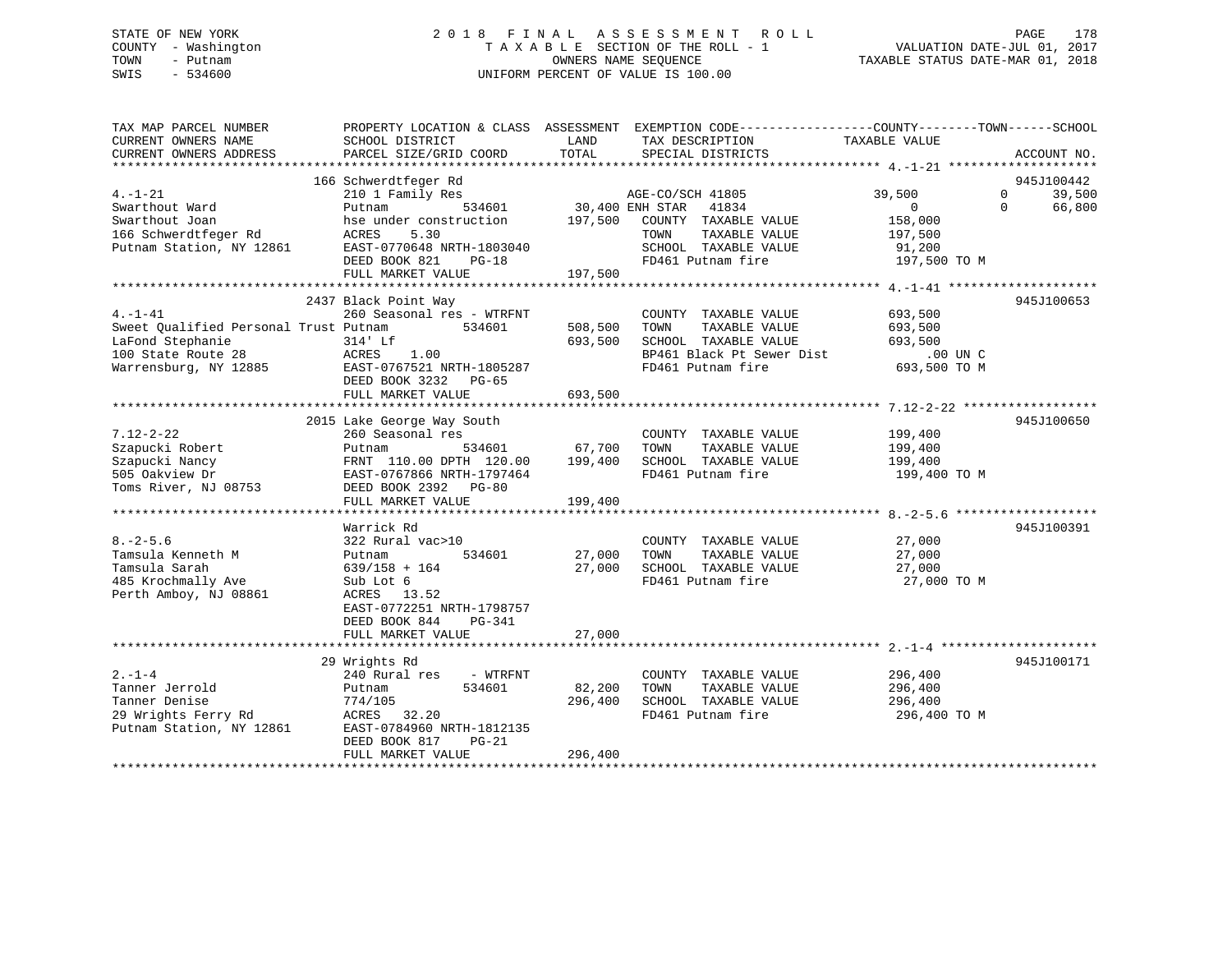## STATE OF NEW YORK 2 0 1 8 F I N A L A S S E S S M E N T R O L L PAGE 178 COUNTY - Washington T A X A B L E SECTION OF THE ROLL - 1 VALUATION DATE-JUL 01, 2017 TOWN - Putnam OWNERS NAME SEQUENCE TAXABLE STATUS DATE-MAR 01, 2018 SWIS - 534600 UNIFORM PERCENT OF VALUE IS 100.00

| TAX MAP PARCEL NUMBER<br>CURRENT OWNERS NAME<br>CURRENT OWNERS ADDRESS                                                   | PROPERTY LOCATION & CLASS ASSESSMENT<br>SCHOOL DISTRICT<br>PARCEL SIZE/GRID COORD                                                                                                                                | LAND<br>TOTAL                                  | EXEMPTION CODE-----------------COUNTY-------TOWN------SCHOOL<br>TAX DESCRIPTION<br>SPECIAL DISTRICTS                            | TAXABLE VALUE                                                            | ACCOUNT NO.                                            |
|--------------------------------------------------------------------------------------------------------------------------|------------------------------------------------------------------------------------------------------------------------------------------------------------------------------------------------------------------|------------------------------------------------|---------------------------------------------------------------------------------------------------------------------------------|--------------------------------------------------------------------------|--------------------------------------------------------|
| $4. -1 - 21$<br>Swarthout Ward<br>Swarthout Joan<br>166 Schwerdtfeger Rd<br>Putnam Station, NY 12861                     | 166 Schwerdtfeger Rd<br>210 1 Family Res<br>534601<br>Putnam<br>hse under construction<br>5.30<br>ACRES<br>EAST-0770648 NRTH-1803040<br>DEED BOOK 821<br>$PG-18$<br>FULL MARKET VALUE                            | 30,400 ENH STAR<br>197,500                     | AGE-CO/SCH 41805<br>41834<br>197,500 COUNTY TAXABLE VALUE<br>TAXABLE VALUE<br>TOWN<br>SCHOOL TAXABLE VALUE<br>FD461 Putnam fire | 39,500<br>$\overline{0}$<br>158,000<br>197,500<br>91,200<br>197,500 TO M | 945J100442<br>$\Omega$<br>39,500<br>66,800<br>$\Omega$ |
| $4. -1 - 41$<br>Sweet Qualified Personal Trust Putnam<br>LaFond Stephanie<br>100 State Route 28<br>Warrensburg, NY 12885 | 2437 Black Point Way<br>260 Seasonal res - WTRFNT<br>534601<br>314' Lf<br>ACRES<br>1.00<br>EAST-0767521 NRTH-1805287<br>DEED BOOK 3232 PG-65<br>FULL MARKET VALUE<br>***************************                 | 508,500<br>693,500<br>693,500<br>************* | COUNTY TAXABLE VALUE<br>TOWN<br>TAXABLE VALUE<br>SCHOOL TAXABLE VALUE<br>BP461 Black Pt Sewer Dist<br>FD461 Putnam fire         | 693,500<br>693,500<br>693,500<br>$.00$ UN C<br>693,500 TO M              | 945J100653                                             |
| $7.12 - 2 - 22$<br>Szapucki Robert<br>Szapucki Nancy<br>505 Oakview Dr<br>Toms River, NJ 08753                           | 2015 Lake George Way South<br>260 Seasonal res<br>534601<br>Putnam<br>FRNT 110.00 DPTH 120.00<br>EAST-0767866 NRTH-1797464<br>DEED BOOK 2392 PG-80<br>FULL MARKET VALUE                                          | 67,700<br>199,400<br>199,400                   | COUNTY TAXABLE VALUE<br>TOWN<br>TAXABLE VALUE<br>SCHOOL TAXABLE VALUE<br>FD461 Putnam fire                                      | 199,400<br>199,400<br>199,400<br>199,400 TO M                            | 945J100650                                             |
| $8. - 2 - 5.6$<br>Tamsula Kenneth M<br>Tamsula Sarah<br>485 Krochmally Ave<br>Perth Amboy, NJ 08861                      | Warrick Rd<br>322 Rural vac>10<br>534601<br>Putnam<br>$639/158 + 164$<br>Sub Lot 6<br>ACRES 13.52<br>EAST-0772251 NRTH-1798757<br>DEED BOOK 844<br>PG-341<br>FULL MARKET VALUE                                   | 27,000<br>27,000<br>27,000                     | COUNTY TAXABLE VALUE<br>TAXABLE VALUE<br>TOWN<br>SCHOOL TAXABLE VALUE<br>FD461 Putnam fire                                      | 27,000<br>27,000<br>27,000<br>27,000 TO M                                | 945J100391                                             |
| $2. - 1 - 4$<br>Tanner Jerrold<br>Tanner Denise<br>29 Wrights Ferry Rd<br>Putnam Station, NY 12861                       | 29 Wrights Rd<br>240 Rural res<br>- WTRFNT<br>534601<br>Putnam<br>774/105<br>ACRES 32.20<br>EAST-0784960 NRTH-1812135<br>DEED BOOK 817<br>$PG-21$<br>FULL MARKET VALUE<br>************************************** | 82,200<br>296,400<br>296,400                   | COUNTY TAXABLE VALUE<br>TOWN<br>TAXABLE VALUE<br>SCHOOL TAXABLE VALUE<br>FD461 Putnam fire                                      | 296,400<br>296,400<br>296,400<br>296,400 TO M                            | 945J100171                                             |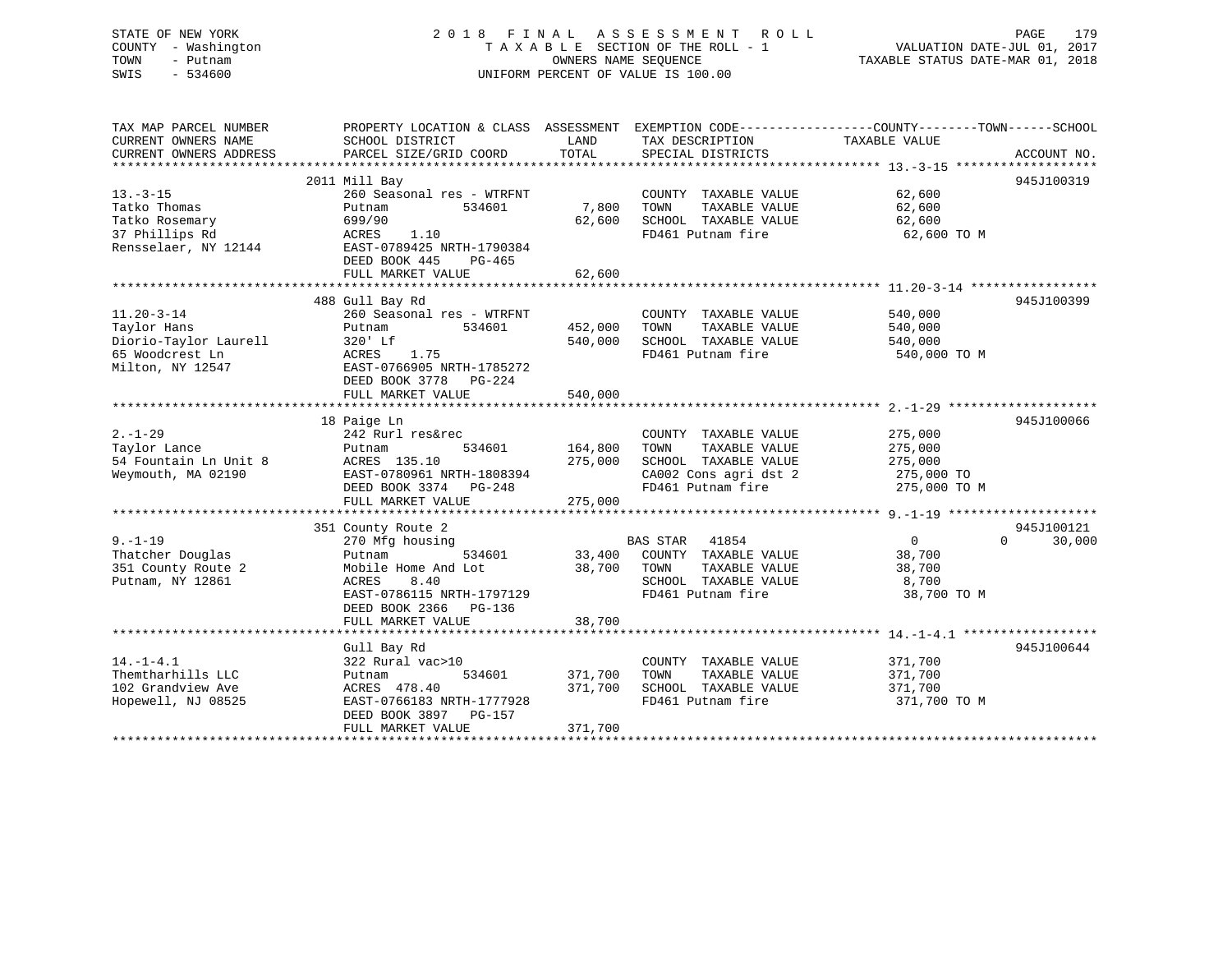## STATE OF NEW YORK 2 0 1 8 F I N A L A S S E S S M E N T R O L L PAGE 179 COUNTY - Washington T A X A B L E SECTION OF THE ROLL - 1 VALUATION DATE-JUL 01, 2017 TOWN - Putnam **CONNERS NAME SEQUENCE** TAXABLE STATUS DATE-MAR 01, 2018 SWIS - 534600 UNIFORM PERCENT OF VALUE IS 100.00

| TAX MAP PARCEL NUMBER<br>CURRENT OWNERS NAME | PROPERTY LOCATION & CLASS ASSESSMENT<br>SCHOOL DISTRICT | LAND    | TAX DESCRIPTION                            | EXEMPTION CODE-----------------COUNTY-------TOWN------SCHOOL<br>TAXABLE VALUE |
|----------------------------------------------|---------------------------------------------------------|---------|--------------------------------------------|-------------------------------------------------------------------------------|
| CURRENT OWNERS ADDRESS                       | PARCEL SIZE/GRID COORD                                  | TOTAL   | SPECIAL DISTRICTS                          | ACCOUNT NO.                                                                   |
|                                              | 2011 Mill Bay                                           |         |                                            | 945J100319                                                                    |
| $13. - 3 - 15$                               | 260 Seasonal res - WTRFNT                               |         | COUNTY TAXABLE VALUE                       | 62,600                                                                        |
| Tatko Thomas                                 | 534601<br>Putnam                                        | 7,800   | TOWN<br>TAXABLE VALUE                      | 62,600                                                                        |
| Tatko Rosemary                               | 699/90                                                  | 62,600  | SCHOOL TAXABLE VALUE                       | 62,600                                                                        |
| 37 Phillips Rd                               | 1.10<br>ACRES                                           |         | FD461 Putnam fire                          | 62,600 TO M                                                                   |
| Rensselaer, NY 12144                         | EAST-0789425 NRTH-1790384                               |         |                                            |                                                                               |
|                                              | DEED BOOK 445<br>$PG-465$                               |         |                                            |                                                                               |
|                                              | FULL MARKET VALUE                                       | 62,600  |                                            |                                                                               |
|                                              |                                                         |         |                                            |                                                                               |
|                                              | 488 Gull Bay Rd                                         |         |                                            | 945J100399                                                                    |
| $11.20 - 3 - 14$                             | 260 Seasonal res - WTRFNT                               |         | COUNTY TAXABLE VALUE                       | 540,000                                                                       |
| Taylor Hans                                  | Putnam<br>534601                                        | 452,000 | TOWN<br>TAXABLE VALUE                      | 540,000                                                                       |
| Diorio-Taylor Laurell                        | 320' Lf                                                 | 540,000 | SCHOOL TAXABLE VALUE                       | 540,000                                                                       |
| 65 Woodcrest Ln                              | 1.75<br>ACRES                                           |         | FD461 Putnam fire                          | 540,000 TO M                                                                  |
| Milton, NY 12547                             | EAST-0766905 NRTH-1785272                               |         |                                            |                                                                               |
|                                              | DEED BOOK 3778 PG-224                                   |         |                                            |                                                                               |
|                                              | FULL MARKET VALUE                                       | 540,000 |                                            |                                                                               |
|                                              |                                                         |         |                                            |                                                                               |
|                                              | 18 Paige Ln                                             |         |                                            | 945J100066                                                                    |
| $2. - 1 - 29$                                | 242 Rurl res&rec                                        |         | COUNTY TAXABLE VALUE                       | 275,000                                                                       |
| Taylor Lance                                 | 534601<br>Putnam                                        | 164,800 | TOWN<br>TAXABLE VALUE                      | 275,000                                                                       |
| 54 Fountain Ln Unit 8                        | ACRES 135.10                                            | 275,000 | SCHOOL TAXABLE VALUE                       | 275,000                                                                       |
| Weymouth, MA 02190                           | EAST-0780961 NRTH-1808394                               |         | CA002 Cons agri dst 2<br>FD461 Putnam fire | 275,000 TO<br>275,000 TO M                                                    |
|                                              | DEED BOOK 3374 PG-248<br>FULL MARKET VALUE              | 275,000 |                                            |                                                                               |
|                                              |                                                         |         |                                            |                                                                               |
|                                              | 351 County Route 2                                      |         |                                            | 945J100121                                                                    |
| $9. - 1 - 19$                                | 270 Mfg housing                                         |         | <b>BAS STAR</b><br>41854                   | $\overline{0}$<br>$\Omega$<br>30,000                                          |
| Thatcher Douglas                             | 534601<br>Putnam                                        | 33,400  | COUNTY TAXABLE VALUE                       | 38,700                                                                        |
| 351 County Route 2                           | Mobile Home And Lot                                     | 38,700  | TOWN<br>TAXABLE VALUE                      | 38,700                                                                        |
| Putnam, NY 12861                             | 8.40<br>ACRES                                           |         | SCHOOL TAXABLE VALUE                       | 8,700                                                                         |
|                                              | EAST-0786115 NRTH-1797129                               |         | FD461 Putnam fire                          | 38,700 TO M                                                                   |
|                                              | DEED BOOK 2366<br>PG-136                                |         |                                            |                                                                               |
|                                              | FULL MARKET VALUE                                       | 38,700  |                                            |                                                                               |
|                                              | *************************                               |         |                                            |                                                                               |
|                                              | Gull Bay Rd                                             |         |                                            | 945J100644                                                                    |
| $14. - 1 - 4.1$                              | 322 Rural vac>10                                        |         | COUNTY TAXABLE VALUE                       | 371,700                                                                       |
| Themtharhills LLC                            | 534601<br>Putnam                                        | 371,700 | TOWN<br>TAXABLE VALUE                      | 371,700                                                                       |
| 102 Grandview Ave                            | ACRES 478.40                                            | 371,700 | SCHOOL TAXABLE VALUE                       | 371,700                                                                       |
| Hopewell, NJ 08525                           | EAST-0766183 NRTH-1777928                               |         | FD461 Putnam fire                          | 371,700 TO M                                                                  |
|                                              | DEED BOOK 3897<br>PG-157                                |         |                                            |                                                                               |
|                                              | FULL MARKET VALUE                                       | 371,700 |                                            |                                                                               |
|                                              |                                                         |         |                                            |                                                                               |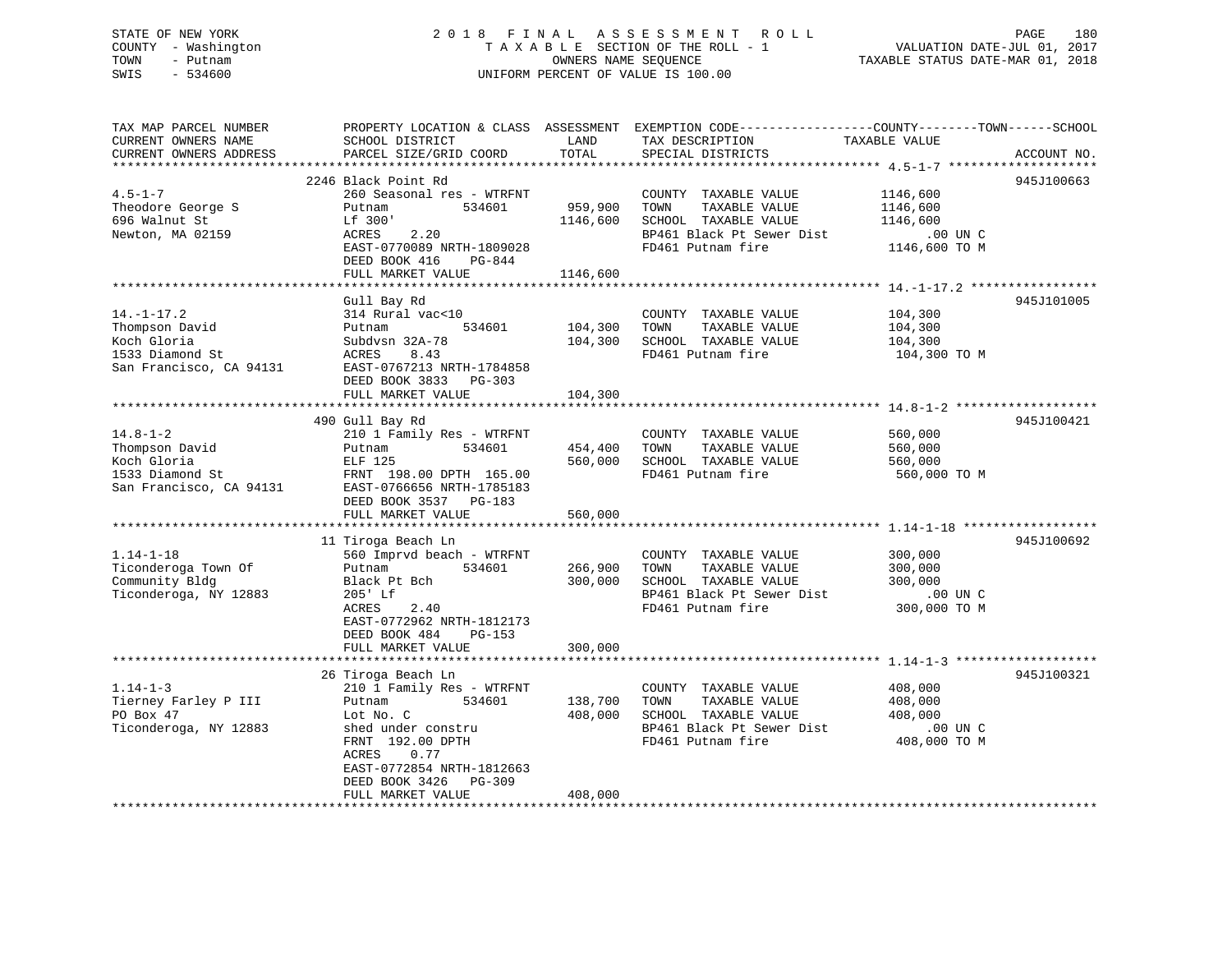## STATE OF NEW YORK 2 0 1 8 F I N A L A S S E S S M E N T R O L L PAGE 180 COUNTY - Washington T A X A B L E SECTION OF THE ROLL - 1 VALUATION DATE-JUL 01, 2017 TOWN - Putnam **CONNERS NAME SEQUENCE** TAXABLE STATUS DATE-MAR 01, 2018 SWIS - 534600 UNIFORM PERCENT OF VALUE IS 100.00

| TAX MAP PARCEL NUMBER<br>CURRENT OWNERS NAME<br>CURRENT OWNERS ADDRESS                          | PROPERTY LOCATION & CLASS ASSESSMENT<br>SCHOOL DISTRICT<br>PARCEL SIZE/GRID COORD                                                                                                                                         | LAND<br>TOTAL                   | EXEMPTION CODE-----------------COUNTY-------TOWN------SCHOOL<br>TAX DESCRIPTION<br>SPECIAL DISTRICTS                                                       | TAXABLE VALUE                                                 | ACCOUNT NO. |
|-------------------------------------------------------------------------------------------------|---------------------------------------------------------------------------------------------------------------------------------------------------------------------------------------------------------------------------|---------------------------------|------------------------------------------------------------------------------------------------------------------------------------------------------------|---------------------------------------------------------------|-------------|
| $4.5 - 1 - 7$<br>Theodore George S<br>696 Walnut St<br>Newton, MA 02159                         | 2246 Black Point Rd<br>260 Seasonal res - WTRFNT<br>534601<br>Putnam<br>Lf 300'<br>2.20<br>ACRES<br>EAST-0770089 NRTH-1809028<br>DEED BOOK 416<br>PG-844<br>FULL MARKET VALUE                                             | 959,900<br>1146,600<br>1146,600 | COUNTY TAXABLE VALUE<br>TOWN<br>TAXABLE VALUE<br>SCHOOL TAXABLE VALUE<br>BP461 Black Pt Sewer Dist<br>FD461 Putnam fire                                    | 1146,600<br>1146,600<br>1146,600<br>.00 UN C<br>1146,600 TO M | 945J100663  |
| $14. - 1 - 17.2$<br>Thompson David<br>Koch Gloria<br>1533 Diamond St<br>San Francisco, CA 94131 | Gull Bay Rd<br>314 Rural vac<10<br>534601<br>Putnam<br>Subdysn 32A-78<br><b>ACRES</b><br>8.43<br>EAST-0767213 NRTH-1784858<br>DEED BOOK 3833<br>$PG-303$<br>FULL MARKET VALUE                                             | 104,300<br>104,300<br>104,300   | COUNTY TAXABLE VALUE<br>TAXABLE VALUE<br>TOWN<br>SCHOOL TAXABLE VALUE<br>FD461 Putnam fire                                                                 | 104,300<br>104,300<br>104,300<br>104,300 TO M                 | 945J101005  |
| $14.8 - 1 - 2$<br>Thompson David<br>Koch Gloria<br>1533 Diamond St<br>San Francisco, CA 94131   | 490 Gull Bay Rd<br>210 1 Family Res - WTRFNT<br>534601<br>Putnam<br>ELF 125<br>FRNT 198.00 DPTH 165.00<br>EAST-0766656 NRTH-1785183<br>DEED BOOK 3537 PG-183<br>FULL MARKET VALUE                                         | 454,400<br>560,000<br>560,000   | ******************************* 14.8-1-2 *******************<br>COUNTY TAXABLE VALUE<br>TAXABLE VALUE<br>TOWN<br>SCHOOL TAXABLE VALUE<br>FD461 Putnam fire | 560,000<br>560,000<br>560,000<br>560,000 TO M                 | 945J100421  |
| $1.14 - 1 - 18$<br>Ticonderoga Town Of<br>Community Bldg<br>Ticonderoga, NY 12883               | 11 Tiroga Beach Ln<br>560 Imprvd beach - WTRFNT<br>534601<br>Putnam<br>Black Pt Bch<br>205' Lf<br><b>ACRES</b><br>2.40<br>EAST-0772962 NRTH-1812173<br>DEED BOOK 484<br>PG-153<br>FULL MARKET VALUE                       | 266,900<br>300,000<br>300,000   | COUNTY TAXABLE VALUE<br>TOWN<br>TAXABLE VALUE<br>SCHOOL TAXABLE VALUE<br>BP461 Black Pt Sewer Dist<br>FD461 Putnam fire                                    | 300,000<br>300,000<br>300,000<br>$.00$ UN $C$<br>300,000 TO M | 945J100692  |
| $1.14 - 1 - 3$<br>Tierney Farley P III<br>PO Box 47<br>Ticonderoga, NY 12883                    | 26 Tiroga Beach Ln<br>210 1 Family Res - WTRFNT<br>534601<br>Putnam<br>Lot No. C<br>shed under constru<br>FRNT 192.00 DPTH<br>ACRES<br>0.77<br>EAST-0772854 NRTH-1812663<br>DEED BOOK 3426<br>PG-309<br>FULL MARKET VALUE | 138,700<br>408,000<br>408,000   | COUNTY TAXABLE VALUE<br>TAXABLE VALUE<br>TOWN<br>SCHOOL TAXABLE VALUE<br>BP461 Black Pt Sewer Dist<br>FD461 Putnam fire                                    | 408,000<br>408,000<br>408,000<br>.00 UN C<br>408,000 TO M     | 945J100321  |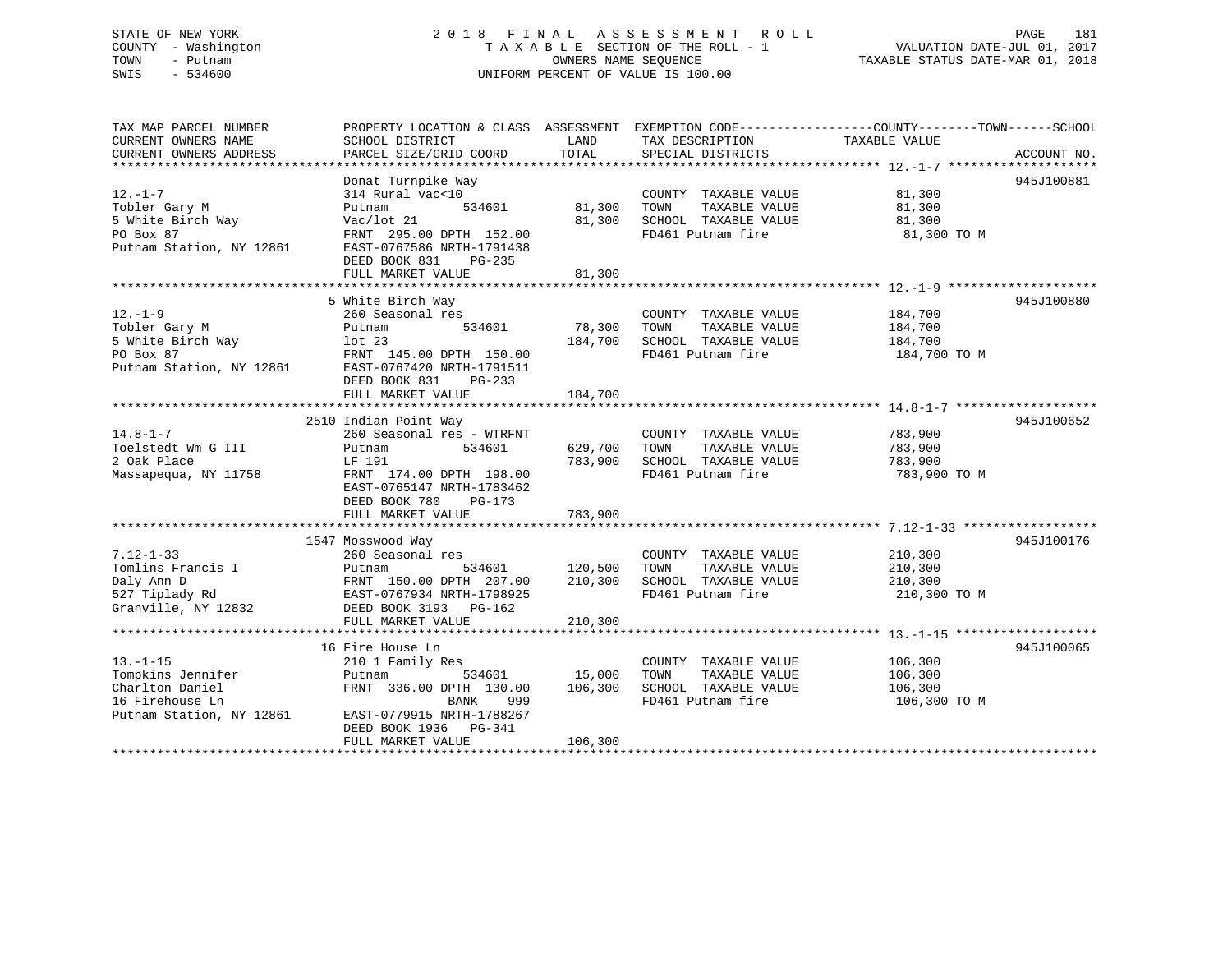# STATE OF NEW YORK 2 0 1 8 F I N A L A S S E S S M E N T R O L L PAGE 181 COUNTY - Washington T A X A B L E SECTION OF THE ROLL - 1 VALUATION DATE-JUL 01, 2017 TOWN - Putnam OWNERS NAME SEQUENCE TAXABLE STATUS DATE-MAR 01, 2018 SWIS - 534600 UNIFORM PERCENT OF VALUE IS 100.00UNIFORM PERCENT OF VALUE IS 100.00

TAX MAP PARCEL NUMBER PROPERTY LOCATION & CLASS ASSESSMENT EXEMPTION CODE------------------COUNTY--------TOWN------SCHOOL CURRENT OWNERS NAME SCHOOL DISTRICT LAND TAX DESCRIPTION TAXABLE VALUE

| CURRENT OWNERS ADDRESS<br>************************** | PARCEL SIZE/GRID COORD    | TOTAL   | SPECIAL DISTRICTS     |              | ACCOUNT NO. |
|------------------------------------------------------|---------------------------|---------|-----------------------|--------------|-------------|
|                                                      | Donat Turnpike Way        |         |                       |              | 945J100881  |
| $12. - 1 - 7$                                        | 314 Rural vac<10          |         | COUNTY TAXABLE VALUE  | 81,300       |             |
| Tobler Gary M                                        | 534601<br>Putnam          | 81,300  | TOWN<br>TAXABLE VALUE | 81,300       |             |
| 5 White Birch Way                                    | Vac/lot 21                | 81,300  | SCHOOL TAXABLE VALUE  | 81,300       |             |
| PO Box 87                                            | FRNT 295.00 DPTH 152.00   |         | FD461 Putnam fire     | 81,300 TO M  |             |
| Putnam Station, NY 12861                             | EAST-0767586 NRTH-1791438 |         |                       |              |             |
|                                                      | DEED BOOK 831<br>PG-235   |         |                       |              |             |
|                                                      | FULL MARKET VALUE         | 81,300  |                       |              |             |
|                                                      |                           |         |                       |              |             |
|                                                      | 5 White Birch Way         |         |                       |              | 945J100880  |
| $12. - 1 - 9$                                        | 260 Seasonal res          |         | COUNTY TAXABLE VALUE  | 184,700      |             |
| Tobler Gary M                                        | Putnam<br>534601          | 78,300  | TOWN<br>TAXABLE VALUE | 184,700      |             |
| 5 White Birch Way                                    | lot <sub>23</sub>         | 184,700 | SCHOOL TAXABLE VALUE  | 184,700      |             |
| PO Box 87                                            | FRNT 145.00 DPTH 150.00   |         | FD461 Putnam fire     | 184,700 TO M |             |
| Putnam Station, NY 12861                             | EAST-0767420 NRTH-1791511 |         |                       |              |             |
|                                                      | DEED BOOK 831<br>$PG-233$ |         |                       |              |             |
|                                                      | FULL MARKET VALUE         | 184,700 |                       |              |             |
|                                                      |                           |         |                       |              |             |
|                                                      | 2510 Indian Point Way     |         |                       |              | 945J100652  |
| $14.8 - 1 - 7$                                       | 260 Seasonal res - WTRFNT |         | COUNTY TAXABLE VALUE  | 783,900      |             |
| Toelstedt Wm G III                                   | Putnam<br>534601          | 629,700 | TOWN<br>TAXABLE VALUE | 783,900      |             |
| 2 Oak Place                                          | LF 191                    | 783,900 | SCHOOL TAXABLE VALUE  | 783,900      |             |
| Massapequa, NY 11758                                 | FRNT 174.00 DPTH 198.00   |         | FD461 Putnam fire     | 783,900 TO M |             |
|                                                      | EAST-0765147 NRTH-1783462 |         |                       |              |             |
|                                                      | DEED BOOK 780<br>PG-173   |         |                       |              |             |
|                                                      | FULL MARKET VALUE         | 783,900 |                       |              |             |
|                                                      |                           |         |                       |              |             |
|                                                      | 1547 Mosswood Way         |         |                       |              | 945J100176  |
| $7.12 - 1 - 33$                                      | 260 Seasonal res          |         | COUNTY TAXABLE VALUE  | 210,300      |             |
| Tomlins Francis I                                    | Putnam<br>534601          | 120,500 | TAXABLE VALUE<br>TOWN | 210,300      |             |
| Daly Ann D                                           | FRNT 150.00 DPTH 207.00   | 210,300 | SCHOOL TAXABLE VALUE  | 210,300      |             |
| 527 Tiplady Rd                                       | EAST-0767934 NRTH-1798925 |         | FD461 Putnam fire     | 210,300 TO M |             |
| Granville, NY 12832                                  | DEED BOOK 3193 PG-162     |         |                       |              |             |
|                                                      | FULL MARKET VALUE         | 210,300 |                       |              |             |
|                                                      |                           |         |                       |              |             |
|                                                      | 16 Fire House Ln          |         |                       |              | 945J100065  |
| $13. - 1 - 15$                                       | 210 1 Family Res          |         | COUNTY TAXABLE VALUE  | 106,300      |             |
| Tompkins Jennifer                                    | 534601<br>Putnam          | 15,000  | TOWN<br>TAXABLE VALUE | 106,300      |             |
| Charlton Daniel                                      | FRNT 336.00 DPTH 130.00   | 106,300 | SCHOOL TAXABLE VALUE  | 106,300      |             |
| 16 Firehouse Ln                                      | <b>BANK</b><br>999        |         | FD461 Putnam fire     | 106,300 TO M |             |
| Putnam Station, NY 12861                             | EAST-0779915 NRTH-1788267 |         |                       |              |             |
|                                                      | DEED BOOK 1936 PG-341     |         |                       |              |             |
|                                                      | FULL MARKET VALUE         | 106,300 |                       |              |             |
|                                                      |                           |         |                       |              |             |
|                                                      |                           |         |                       |              |             |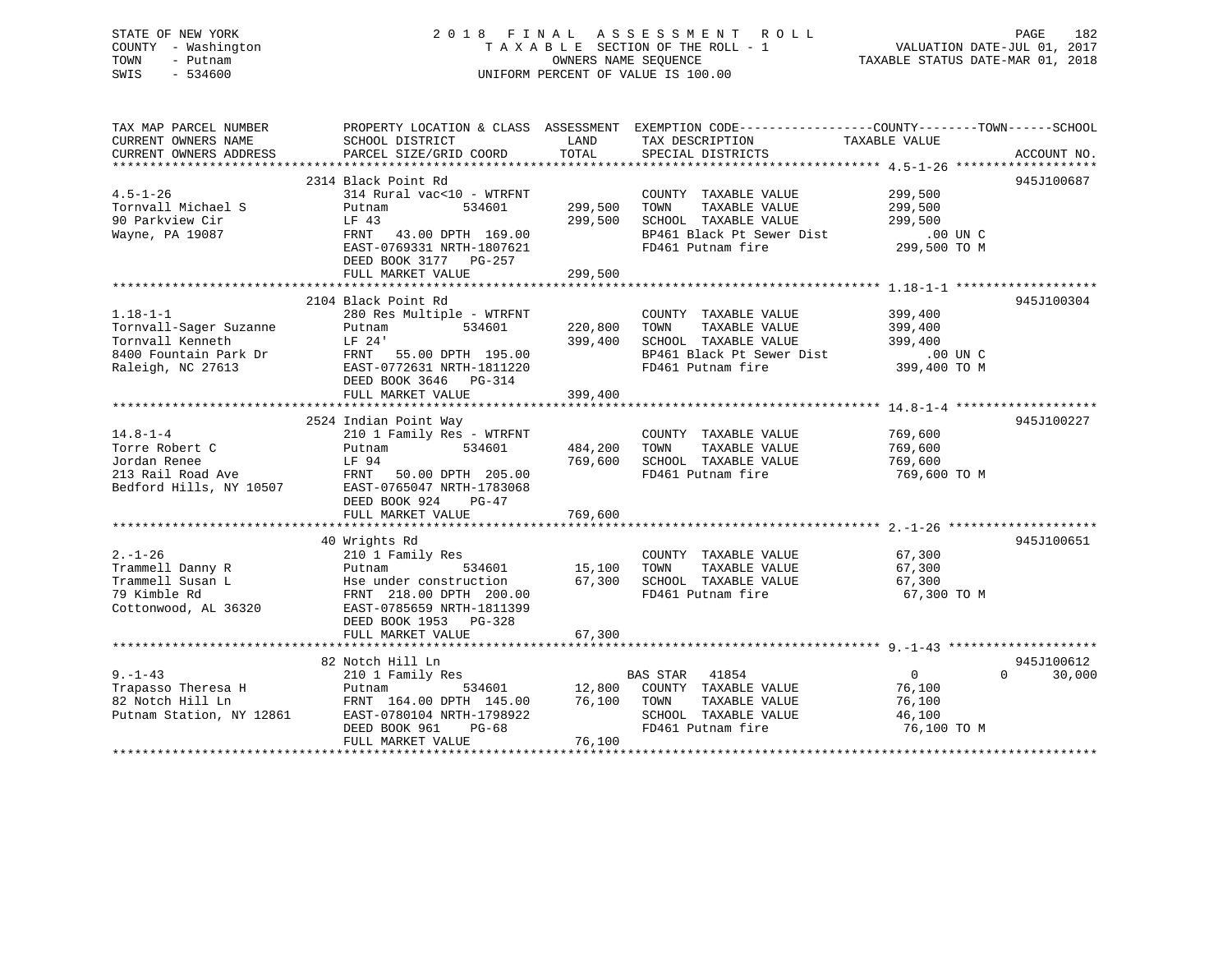# STATE OF NEW YORK 2 0 1 8 F I N A L A S S E S S M E N T R O L L PAGE 182 COUNTY - Washington T A X A B L E SECTION OF THE ROLL - 1 VALUATION DATE-JUL 01, 2017 TOWN - Putnam **CONNERS NAME SEQUENCE** TAXABLE STATUS DATE-MAR 01, 2018 SWIS - 534600 UNIFORM PERCENT OF VALUE IS 100.00

| TAX MAP PARCEL NUMBER |                                                                                                                                                                                                                                         |         | PROPERTY LOCATION & CLASS ASSESSMENT EXEMPTION CODE----------------COUNTY-------TOWN------SCHOOL                                                   |                         |                    |
|-----------------------|-----------------------------------------------------------------------------------------------------------------------------------------------------------------------------------------------------------------------------------------|---------|----------------------------------------------------------------------------------------------------------------------------------------------------|-------------------------|--------------------|
| CURRENT OWNERS NAME   | SCHOOL DISTRICT                                                                                                                                                                                                                         | LAND    | TAX DESCRIPTION                                                                                                                                    | TAXABLE VALUE           |                    |
|                       |                                                                                                                                                                                                                                         |         |                                                                                                                                                    |                         |                    |
|                       | 2314 Black Point Rd                                                                                                                                                                                                                     |         |                                                                                                                                                    |                         | 945J100687         |
| $4.5 - 1 - 26$        | 314 Rural vac<10 - WTRFNT                                                                                                                                                                                                               |         | COUNTY TAXABLE VALUE 299,500                                                                                                                       |                         |                    |
| Tornvall Michael S    | 534601<br>Putnam<br>LF 43                                                                                                                                                                                                               | 299,500 | TOWN                                                                                                                                               |                         |                    |
| 90 Parkview Cir       |                                                                                                                                                                                                                                         | 299,500 |                                                                                                                                                    |                         |                    |
| Wayne, PA 19087       | FRNT 43.00 DPTH 169.00<br>EAST-0769331 NRTH-1807621                                                                                                                                                                                     |         |                                                                                                                                                    |                         |                    |
|                       | DEED BOOK 3177 PG-257                                                                                                                                                                                                                   |         | SCHOOL TAXABLE VALUE<br>BP461 Black Pt Sewer Dist .00 UN C<br>AP461 Black Pt Sewer Dist .00 UN C                                                   |                         |                    |
|                       | FULL MARKET VALUE                                                                                                                                                                                                                       | 299,500 |                                                                                                                                                    |                         |                    |
|                       |                                                                                                                                                                                                                                         |         |                                                                                                                                                    |                         |                    |
|                       | 2104 Black Point Rd                                                                                                                                                                                                                     |         |                                                                                                                                                    |                         | 945J100304         |
| $1.18 - 1 - 1$        | 280 Res Multiple - WTRFNT                                                                                                                                                                                                               |         | COUNTY TAXABLE VALUE 399,400                                                                                                                       |                         |                    |
|                       |                                                                                                                                                                                                                                         | 220,800 |                                                                                                                                                    |                         |                    |
|                       |                                                                                                                                                                                                                                         | 399,400 |                                                                                                                                                    |                         |                    |
|                       |                                                                                                                                                                                                                                         |         | TOWN TAXABLE VALUE<br>TOWN TAXABLE VALUE<br>SCHOOL TAXABLE VALUE<br>BP461 Black Pt Sewer Dist<br>FD461 Putnam fire<br>399,400 TO M<br>399,400 TO M |                         |                    |
|                       | Tornvall-Sager Suzanne<br>Tornvall Kenneth<br>Extrapress Putnam 534601 220,<br>Tornvall Kenneth<br>Extrapress Dr. 24<br>EXST-0772631 NRTH-1811220<br>Raleigh, NC 27613 EAST-0772631 NRTH-1811220<br>DEED BOOK 3646 PG-314               |         |                                                                                                                                                    |                         |                    |
|                       | FULL MARKET VALUE                                                                                                                                                                                                                       | 399,400 |                                                                                                                                                    |                         |                    |
|                       |                                                                                                                                                                                                                                         |         |                                                                                                                                                    |                         |                    |
|                       | 2524 Indian Point Way                                                                                                                                                                                                                   |         |                                                                                                                                                    |                         | 945J100227         |
| $14.8 - 1 - 4$        | 210 1 Family Res - WTRFNT                                                                                                                                                                                                               | 484,200 | COUNTY TAXABLE VALUE 769,600<br>TOWN TAXABLE VALUE 769,600                                                                                         |                         |                    |
|                       |                                                                                                                                                                                                                                         | 769,600 |                                                                                                                                                    |                         |                    |
|                       |                                                                                                                                                                                                                                         |         | SCHOOL TAXABLE VALUE<br>FD461 Putnam fire                                                                                                          | 769,600<br>769,600 TO M |                    |
|                       | The Robert C<br>Torre Robert C<br>Jordan Renee EP 94<br>213 Rail Road Ave FRNT 50.00 DPTH 205.00<br>Bedford Hills, NY 10507 EAST-0765047 NRTH-1783068                                                                                   |         |                                                                                                                                                    |                         |                    |
|                       | DEED BOOK 924<br>$PG-47$                                                                                                                                                                                                                |         |                                                                                                                                                    |                         |                    |
|                       | FULL MARKET VALUE                                                                                                                                                                                                                       | 769,600 |                                                                                                                                                    |                         |                    |
|                       |                                                                                                                                                                                                                                         |         |                                                                                                                                                    |                         |                    |
| $2. -1 - 26$          | 40 Wrights Rd<br>210 1 Family Res                                                                                                                                                                                                       |         | COUNTY TAXABLE VALUE                                                                                                                               | 67,300                  | 945J100651         |
| Trammell Danny R      |                                                                                                                                                                                                                                         |         |                                                                                                                                                    | 67,300                  |                    |
| Trammell Susan L      |                                                                                                                                                                                                                                         |         |                                                                                                                                                    | 67,300                  |                    |
| 79 Kimble Rd          | 210 1 Family Res<br>Putnam 534601 15,100 TOWN TAXABLE VALUE<br>Hse under construction 67,300 SCHOOL TAXABLE VALUE<br>FRNT 218.00 DPTH 200.00 FD461 Putnam fire                                                                          |         |                                                                                                                                                    | 67,300 TO M             |                    |
|                       | Cottonwood, AL 36320 EAST-0785659 NRTH-1811399                                                                                                                                                                                          |         |                                                                                                                                                    |                         |                    |
|                       | DEED BOOK 1953 PG-328                                                                                                                                                                                                                   |         |                                                                                                                                                    |                         |                    |
|                       | FULL MARKET VALUE                                                                                                                                                                                                                       | 67,300  |                                                                                                                                                    |                         |                    |
|                       | 82 Notch Hill Ln                                                                                                                                                                                                                        |         |                                                                                                                                                    |                         | 945J100612         |
| $9. - 1 - 43$         | Notch Hill Ln<br>210 1 Family Res                                                                                                                                                                                                       |         | BAS STAR 41854                                                                                                                                     | $\overline{0}$          | $\Omega$<br>30,000 |
|                       | 9.-1-43 210 1 Family Res BAS STAR 41854<br>Trapasso Theresa H Putnam 534601 12,800 COUNTY TAXABLE VALUE<br>82 Notch Hill Ln FRNT 164.00 DPTH 145.00 76,100 TOWN TAXABLE VALUE<br>Putnam Station, NY 12861 EAST-0780104 NRTH-1798922 SCH |         | $\overline{12,800}$ COUNTY TAXABLE VALUE 76,100                                                                                                    |                         |                    |
|                       |                                                                                                                                                                                                                                         |         |                                                                                                                                                    | 76,100                  |                    |
|                       |                                                                                                                                                                                                                                         |         | SCHOOL TAXABLE VALUE<br>FD461 Putnam fire                                                                                                          | 46,100                  |                    |
|                       | DEED BOOK 961<br>PG-68                                                                                                                                                                                                                  |         |                                                                                                                                                    | 76,100 TO M             |                    |
|                       | FULL MARKET VALUE                                                                                                                                                                                                                       | 76,100  |                                                                                                                                                    |                         |                    |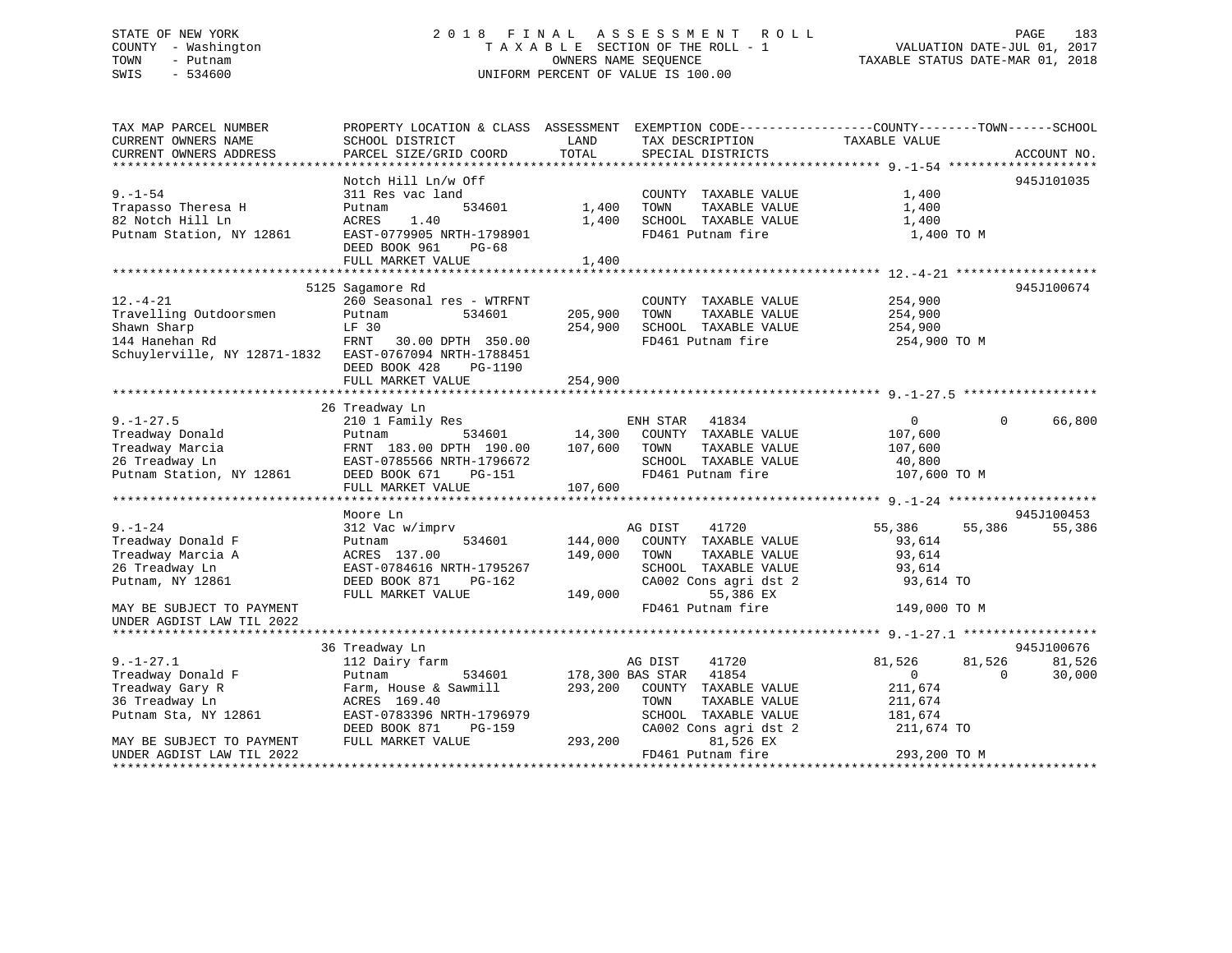# STATE OF NEW YORK 2 0 1 8 F I N A L A S S E S S M E N T R O L L PAGE 183 COUNTY - Washington T A X A B L E SECTION OF THE ROLL - 1 VALUATION DATE-JUL 01, 2017 TOWN - Putnam OWNERS NAME SEQUENCE TAXABLE STATUS DATE-MAR 01, 2018 SWIS - 534600 UNIFORM PERCENT OF VALUE IS 100.00

| TAX MAP PARCEL NUMBER                                  | PROPERTY LOCATION & CLASS ASSESSMENT EXEMPTION CODE----------------COUNTY-------TOWN------SCHOOL |         |                                                                            |                |          |             |
|--------------------------------------------------------|--------------------------------------------------------------------------------------------------|---------|----------------------------------------------------------------------------|----------------|----------|-------------|
| CURRENT OWNERS NAME                                    | SCHOOL DISTRICT                                                                                  | LAND    | TAX DESCRIPTION                                                            | TAXABLE VALUE  |          |             |
| CURRENT OWNERS ADDRESS                                 | PARCEL SIZE/GRID COORD                                                                           | TOTAL   | SPECIAL DISTRICTS                                                          |                |          | ACCOUNT NO. |
|                                                        |                                                                                                  |         |                                                                            |                |          |             |
|                                                        | Notch Hill Ln/w Off                                                                              |         |                                                                            |                |          | 945J101035  |
| $9. - 1 - 54$                                          | 311 Res vac land                                                                                 |         | COUNTY TAXABLE VALUE                                                       | 1,400          |          |             |
| Trapasso Theresa H                                     | 534601<br>Putnam                                                                                 | 1,400   | TOWN<br>TAXABLE VALUE                                                      | 1,400          |          |             |
| 82 Notch Hill Ln                                       | 1.40<br>ACRES                                                                                    | 1,400   | SCHOOL TAXABLE VALUE                                                       | 1,400          |          |             |
| Putnam Station, NY 12861                               | EAST-0779905 NRTH-1798901                                                                        |         | FD461 Putnam fire                                                          | 1,400 TO M     |          |             |
|                                                        | DEED BOOK 961<br>$PG-68$                                                                         |         |                                                                            |                |          |             |
|                                                        | FULL MARKET VALUE                                                                                | 1,400   |                                                                            |                |          |             |
|                                                        |                                                                                                  |         |                                                                            |                |          |             |
|                                                        | 5125 Sagamore Rd                                                                                 |         |                                                                            |                |          | 945J100674  |
| $12. - 4 - 21$                                         | 260 Seasonal res - WTRFNT                                                                        |         | COUNTY TAXABLE VALUE                                                       | 254,900        |          |             |
| Travelling Outdoorsmen                                 | Putnam<br>534601                                                                                 | 205,900 | TOWN<br>TAXABLE VALUE                                                      | 254,900        |          |             |
| Shawn Sharp                                            | LF 30                                                                                            |         | 254,900 SCHOOL TAXABLE VALUE                                               | 254,900        |          |             |
| 144 Hanehan Rd                                         | FRNT<br>30.00 DPTH 350.00                                                                        |         | FD461 Putnam fire                                                          | 254,900 TO M   |          |             |
| Schuylerville, NY 12871-1832 EAST-0767094 NRTH-1788451 |                                                                                                  |         |                                                                            |                |          |             |
|                                                        | DEED BOOK 428<br>PG-1190                                                                         |         |                                                                            |                |          |             |
|                                                        | FULL MARKET VALUE                                                                                | 254,900 |                                                                            |                |          |             |
|                                                        |                                                                                                  |         |                                                                            |                |          |             |
|                                                        | 26 Treadway Ln                                                                                   |         |                                                                            |                |          |             |
| $9. - 1 - 27.5$                                        | 210 1 Family Res                                                                                 |         | ENH STAR<br>41834                                                          | $\overline{0}$ | $\Omega$ | 66,800      |
| Treadway Donald                                        | Putnam                                                                                           |         | 534601 14,300 COUNTY TAXABLE VALUE<br>TH 190.00 107,600 TOWN TAXABLE VALUE | 107,600        |          |             |
| Treadway Marcia                                        | FRNT 183.00 DPTH 190.00                                                                          |         |                                                                            | 107,600        |          |             |
| 26 Treadway Ln                                         | EAST-0785566 NRTH-1796672                                                                        |         | SCHOOL TAXABLE VALUE                                                       | 40,800         |          |             |
| Putnam Station, NY 12861                               | DEED BOOK 671<br>PG-151                                                                          |         | FD461 Putnam fire                                                          | 107,600 TO M   |          |             |
|                                                        | FULL MARKET VALUE                                                                                | 107,600 |                                                                            |                |          |             |
|                                                        |                                                                                                  |         |                                                                            |                |          |             |
|                                                        | Moore Ln                                                                                         |         |                                                                            |                |          | 945J100453  |
| $9. - 1 - 24$                                          | 312 Vac w/imprv                                                                                  |         | AG DIST<br>41720                                                           | 55,386         | 55,386   | 55,386      |
| Treadway Donald F                                      | 534601<br>Putnam                                                                                 | 144,000 | COUNTY TAXABLE VALUE                                                       | 93,614         |          |             |
| Treadway Marcia A                                      | ACRES 137.00                                                                                     | 149,000 | TAXABLE VALUE<br>TOWN                                                      | 93,614         |          |             |
| 26 Treadway Ln                                         | EAST-0784616 NRTH-1795267                                                                        |         | SCHOOL TAXABLE VALUE                                                       | 93,614         |          |             |
| Putnam, NY 12861                                       | DEED BOOK 871<br>PG-162                                                                          |         | CA002 Cons agri dst 2                                                      | 93,614 TO      |          |             |
|                                                        | FULL MARKET VALUE                                                                                | 149,000 | 55,386 EX                                                                  |                |          |             |
| MAY BE SUBJECT TO PAYMENT                              |                                                                                                  |         | FD461 Putnam fire                                                          | 149,000 TO M   |          |             |
| UNDER AGDIST LAW TIL 2022                              |                                                                                                  |         |                                                                            |                |          |             |
|                                                        |                                                                                                  |         |                                                                            |                |          |             |
|                                                        | 36 Treadway Ln                                                                                   |         |                                                                            |                |          | 945J100676  |
| $9. - 1 - 27.1$                                        | 112 Dairy farm                                                                                   |         | 41720<br>AG DIST                                                           | 81,526         | 81,526   | 81,526      |
| Treadway Donald F                                      | 534601<br>Putnam                                                                                 |         | 178,300 BAS STAR 41854                                                     | $\overline{0}$ | $\Omega$ | 30,000      |
| Treadway Gary R                                        | Farm, House & Sawmill 293,200                                                                    |         | COUNTY TAXABLE VALUE                                                       | 211,674        |          |             |
| 36 Treadway Ln                                         | ACRES 169.40                                                                                     |         | TOWN<br>TAXABLE VALUE                                                      | 211,674        |          |             |
| Putnam Sta, NY 12861                                   | EAST-0783396 NRTH-1796979                                                                        |         | SCHOOL TAXABLE VALUE                                                       | 181,674        |          |             |
|                                                        | DEED BOOK 871<br>PG-159                                                                          |         | CA002 Cons agri dst 2                                                      | 211,674 TO     |          |             |
| MAY BE SUBJECT TO PAYMENT                              | FULL MARKET VALUE                                                                                | 293,200 | 81,526 EX                                                                  |                |          |             |
| UNDER AGDIST LAW TIL 2022                              |                                                                                                  |         | FD461 Putnam fire                                                          | 293,200 TO M   |          |             |
|                                                        |                                                                                                  |         |                                                                            |                |          |             |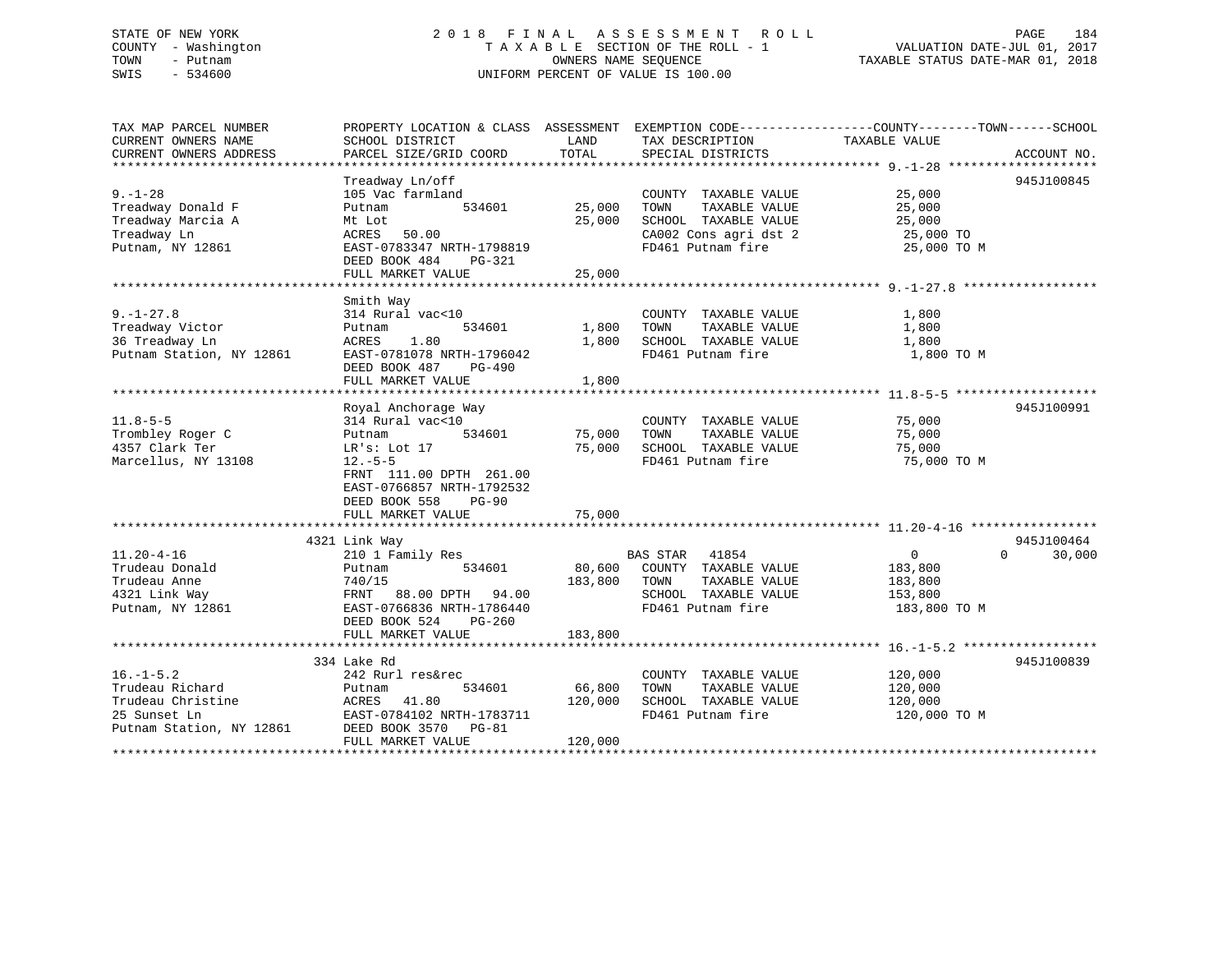# STATE OF NEW YORK 2 0 1 8 F I N A L A S S E S S M E N T R O L L PAGE 184 COUNTY - Washington T A X A B L E SECTION OF THE ROLL - 1 VALUATION DATE-JUL 01, 2017 TOWN - Putnam OWNERS NAME SEQUENCE TAXABLE STATUS DATE-MAR 01, 2018 SWIS - 534600 UNIFORM PERCENT OF VALUE IS 100.00

| TAX MAP PARCEL NUMBER<br>CURRENT OWNERS NAME<br>CURRENT OWNERS ADDRESS                                                     | PROPERTY LOCATION & CLASS ASSESSMENT<br>SCHOOL DISTRICT<br>PARCEL SIZE/GRID COORD                                                                                                                 | LAND<br>TOTAL                | EXEMPTION CODE-----------------COUNTY--------TOWN------SCHOOL<br>TAX DESCRIPTION<br>SPECIAL DISTRICTS               | TAXABLE VALUE                                                      | ACCOUNT NO.                      |
|----------------------------------------------------------------------------------------------------------------------------|---------------------------------------------------------------------------------------------------------------------------------------------------------------------------------------------------|------------------------------|---------------------------------------------------------------------------------------------------------------------|--------------------------------------------------------------------|----------------------------------|
| $9. - 1 - 28$<br>Treadway Donald F<br>Treadway Marcia A<br>Treadway Ln<br>Putnam, NY 12861                                 | Treadway Ln/off<br>105 Vac farmland<br>534601<br>Putnam<br>Mt Lot<br>ACRES 50.00<br>EAST-0783347 NRTH-1798819<br>DEED BOOK 484<br>PG-321<br>FULL MARKET VALUE                                     | 25,000<br>25,000<br>25,000   | COUNTY TAXABLE VALUE<br>TOWN<br>TAXABLE VALUE<br>SCHOOL TAXABLE VALUE<br>CA002 Cons agri dst 2<br>FD461 Putnam fire | 25,000<br>25,000<br>25,000<br>25,000 TO<br>25,000 TO M             | 945J100845                       |
| $9. - 1 - 27.8$<br>Treadway Victor<br>36 Treadway Ln<br>Putnam Station, NY 12861                                           | Smith Way<br>314 Rural vac<10<br>534601<br>Putnam<br>1.80<br>ACRES<br>EAST-0781078 NRTH-1796042<br>DEED BOOK 487<br>PG-490<br>FULL MARKET VALUE                                                   | 1,800<br>1,800<br>1,800      | COUNTY TAXABLE VALUE<br>TAXABLE VALUE<br>TOWN<br>SCHOOL TAXABLE VALUE<br>FD461 Putnam fire                          | 1,800<br>1,800<br>1,800<br>1,800 TO M                              |                                  |
| $11.8 - 5 - 5$<br>Trombley Roger C<br>4357 Clark Ter<br>Marcellus, NY 13108                                                | Royal Anchorage Way<br>314 Rural vac<10<br>534601<br>Putnam<br>LR's: Lot 17<br>$12.-5-5$<br>FRNT 111.00 DPTH 261.00<br>EAST-0766857 NRTH-1792532<br>DEED BOOK 558<br>$PG-90$<br>FULL MARKET VALUE | 75,000<br>75,000<br>75,000   | COUNTY TAXABLE VALUE<br>TOWN<br>TAXABLE VALUE<br>SCHOOL TAXABLE VALUE<br>FD461 Putnam fire                          | 75,000<br>75,000<br>75,000<br>75,000 TO M                          | 945J100991                       |
|                                                                                                                            |                                                                                                                                                                                                   |                              |                                                                                                                     |                                                                    |                                  |
| $11.20 - 4 - 16$<br>Trudeau Donald<br>Trudeau Anne<br>4321 Link Way<br>Putnam, NY 12861                                    | 4321 Link Way<br>210 1 Family Res<br>534601<br>Putnam<br>740/15<br>FRNT 88.00 DPTH 94.00<br>EAST-0766836 NRTH-1786440<br>DEED BOOK 524<br>$PG-260$<br>FULL MARKET VALUE                           | 183,800 TOWN<br>183,800      | BAS STAR 41854<br>80,600 COUNTY TAXABLE VALUE<br>TAXABLE VALUE<br>SCHOOL TAXABLE VALUE<br>FD461 Putnam fire         | $0 \qquad \qquad$<br>183,800<br>183,800<br>153,800<br>183,800 TO M | 945J100464<br>$\Omega$<br>30,000 |
|                                                                                                                            |                                                                                                                                                                                                   |                              |                                                                                                                     |                                                                    |                                  |
| $16. - 1 - 5.2$<br>Trudeau Richard<br>Trudeau Christine<br>25 Sunset Ln<br>Putnam Station, NY 12861<br>******************* | 334 Lake Rd<br>242 Rurl res&rec<br>Putnam<br>534601<br>41.80<br>ACRES<br>EAST-0784102 NRTH-1783711<br>DEED BOOK 3570 PG-81<br>FULL MARKET VALUE                                                   | 66,800<br>120,000<br>120,000 | COUNTY TAXABLE VALUE<br>TAXABLE VALUE<br>TOWN<br>SCHOOL TAXABLE VALUE<br>FD461 Putnam fire                          | 120,000<br>120,000<br>120,000<br>120,000 TO M                      | 945J100839                       |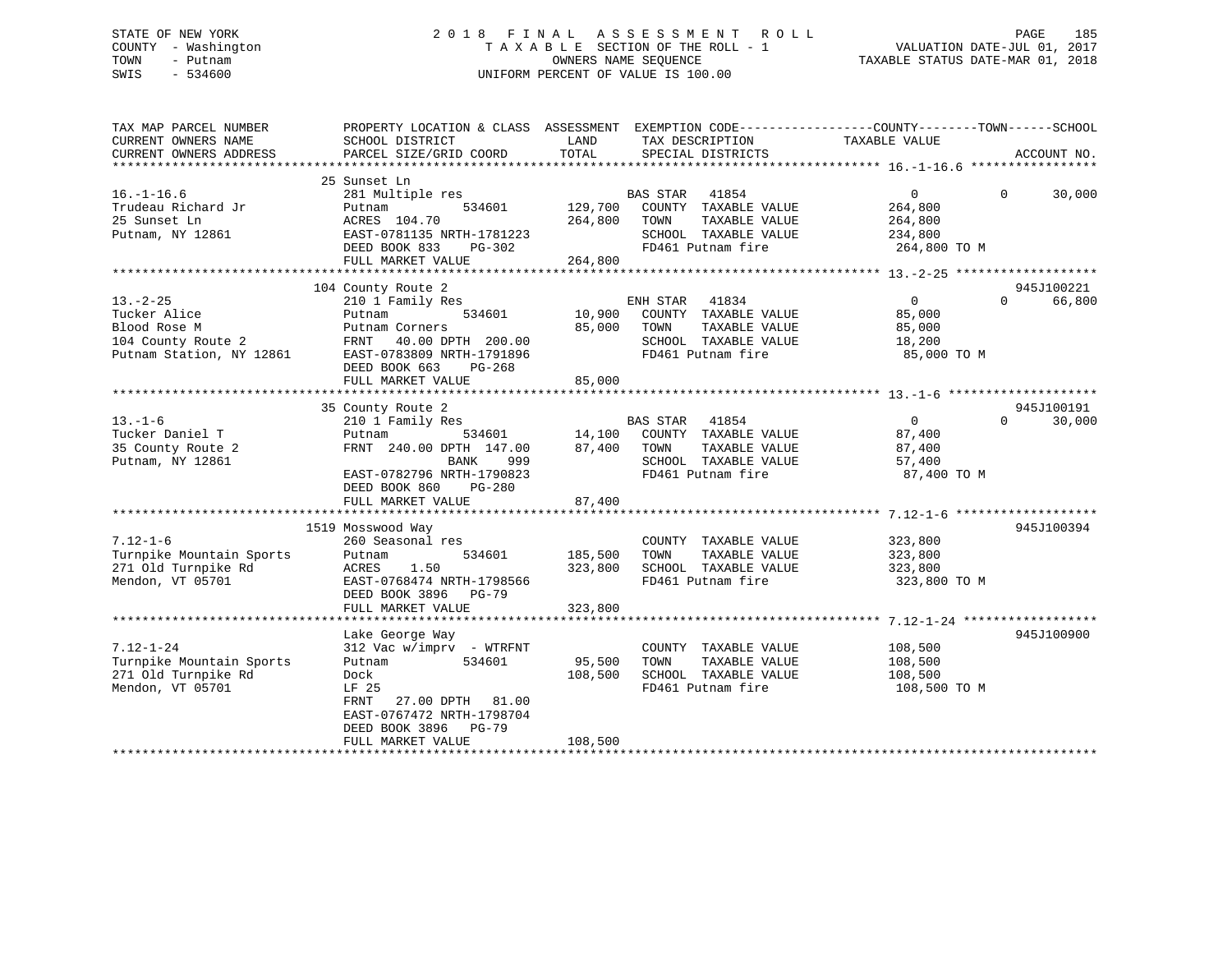# STATE OF NEW YORK 2 0 1 8 F I N A L A S S E S S M E N T R O L L PAGE 185 COUNTY - Washington T A X A B L E SECTION OF THE ROLL - 1 VALUATION DATE-JUL 01, 2017 TOWN - Putnam OWNERS NAME SEQUENCE TAXABLE STATUS DATE-MAR 01, 2018 SWIS - 534600 UNIFORM PERCENT OF VALUE IS 100.00

| TAX MAP PARCEL NUMBER<br>CURRENT OWNERS NAME<br>CURRENT OWNERS ADDRESS                           | PROPERTY LOCATION & CLASS ASSESSMENT<br>SCHOOL DISTRICT<br>PARCEL SIZE/GRID COORD                                                                                                | LAND<br>TAX DESCRIPTION<br>TOTAL<br>SPECIAL DISTRICTS                                                                                                   | EXEMPTION CODE-----------------COUNTY-------TOWN------SCHOOL<br>TAXABLE VALUE<br>ACCOUNT NO.  |
|--------------------------------------------------------------------------------------------------|----------------------------------------------------------------------------------------------------------------------------------------------------------------------------------|---------------------------------------------------------------------------------------------------------------------------------------------------------|-----------------------------------------------------------------------------------------------|
|                                                                                                  |                                                                                                                                                                                  |                                                                                                                                                         |                                                                                               |
| $16. - 1 - 16.6$<br>Trudeau Richard Jr<br>25 Sunset Ln<br>Putnam, NY 12861                       | 25 Sunset Ln<br>281 Multiple res<br>Putnam<br>534601<br>ACRES 104.70<br>EAST-0781135 NRTH-1781223<br>DEED BOOK 833<br>PG-302<br>FULL MARKET VALUE                                | <b>BAS STAR</b><br>41854<br>129,700<br>COUNTY TAXABLE VALUE<br>264,800<br>TOWN<br>TAXABLE VALUE<br>SCHOOL TAXABLE VALUE<br>FD461 Putnam fire<br>264,800 | $\overline{0}$<br>30,000<br>$\Omega$<br>264,800<br>264,800<br>234,800<br>264,800 TO M         |
|                                                                                                  |                                                                                                                                                                                  |                                                                                                                                                         |                                                                                               |
|                                                                                                  | 104 County Route 2                                                                                                                                                               |                                                                                                                                                         | 945J100221                                                                                    |
| $13. - 2 - 25$<br>Tucker Alice<br>Blood Rose M<br>104 County Route 2<br>Putnam Station, NY 12861 | 210 1 Family Res<br>534601<br>Putnam<br>Putnam Corners<br>FRNT 40.00 DPTH 200.00<br>EAST-0783809 NRTH-1791896<br>DEED BOOK 663<br>PG-268<br>FULL MARKET VALUE                    | ENH STAR<br>41834<br>10,900<br>COUNTY TAXABLE VALUE<br>85,000<br>TAXABLE VALUE<br>TOWN<br>SCHOOL TAXABLE VALUE<br>FD461 Putnam fire<br>85,000           | 66,800<br>$\overline{0}$<br>$\Omega$<br>85,000<br>85,000<br>18,200<br>85,000 TO M             |
|                                                                                                  |                                                                                                                                                                                  |                                                                                                                                                         |                                                                                               |
| $13. - 1 - 6$<br>Tucker Daniel T<br>35 County Route 2<br>Putnam, NY 12861                        | 35 County Route 2<br>210 1 Family Res<br>534601<br>Putnam<br>FRNT 240.00 DPTH 147.00<br>999<br>BANK<br>EAST-0782796 NRTH-1790823<br>DEED BOOK 860<br>PG-280<br>FULL MARKET VALUE | BAS STAR<br>41854<br>14,100<br>COUNTY TAXABLE VALUE<br>87,400<br>TOWN<br>TAXABLE VALUE<br>SCHOOL TAXABLE VALUE<br>FD461 Putnam fire<br>87,400           | 945J100191<br>$\mathbf{0}$<br>30,000<br>$\Omega$<br>87,400<br>87,400<br>57,400<br>87,400 TO M |
|                                                                                                  |                                                                                                                                                                                  |                                                                                                                                                         |                                                                                               |
| $7.12 - 1 - 6$<br>Turnpike Mountain Sports<br>271 Old Turnpike Rd<br>Mendon, VT 05701            | 1519 Mosswood Way<br>260 Seasonal res<br>534601<br>Putnam<br>1.50<br>ACRES<br>EAST-0768474 NRTH-1798566<br>DEED BOOK 3896 PG-79                                                  | COUNTY TAXABLE VALUE<br>185,500<br>TAXABLE VALUE<br>TOWN<br>323,800<br>SCHOOL TAXABLE VALUE<br>FD461 Putnam fire                                        | 945J100394<br>323,800<br>323,800<br>323,800<br>323,800 TO M                                   |
|                                                                                                  | FULL MARKET VALUE                                                                                                                                                                | 323,800                                                                                                                                                 |                                                                                               |
| $7.12 - 1 - 24$<br>Turnpike Mountain Sports<br>271 Old Turnpike Rd<br>Mendon, VT 05701           | Lake George Way<br>312 Vac w/imprv - WTRFNT<br>534601<br>Putnam<br>Dock<br>LF 25<br>FRNT<br>27.00 DPTH 81.00<br>EAST-0767472 NRTH-1798704<br>DEED BOOK 3896<br><b>PG-79</b>      | COUNTY TAXABLE VALUE<br>95,500<br>TOWN<br>TAXABLE VALUE<br>108,500<br>SCHOOL TAXABLE VALUE<br>FD461 Putnam fire                                         | 945J100900<br>108,500<br>108,500<br>108,500<br>108,500 TO M                                   |
|                                                                                                  | FULL MARKET VALUE                                                                                                                                                                | 108,500<br>***********************************                                                                                                          |                                                                                               |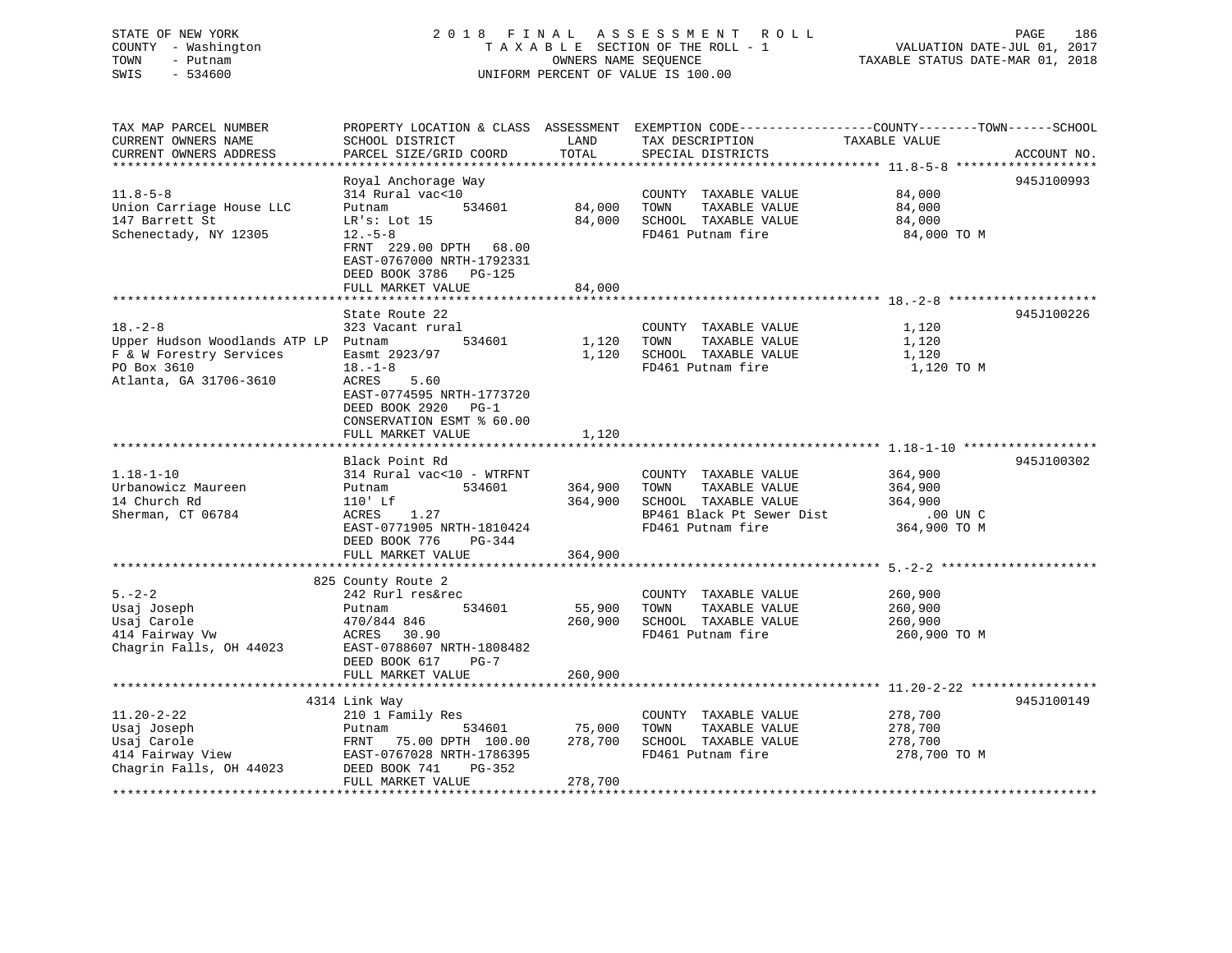# STATE OF NEW YORK 2 0 1 8 F I N A L A S S E S S M E N T R O L L PAGE 186 COUNTY - Washington T A X A B L E SECTION OF THE ROLL - 1 VALUATION DATE-JUL 01, 2017 TOWN - Putnam **CONNERS NAME SEQUENCE** TAXABLE STATUS DATE-MAR 01, 2018 SWIS - 534600 UNIFORM PERCENT OF VALUE IS 100.00

| TAX MAP PARCEL NUMBER<br>CURRENT OWNERS NAME                                                                              | SCHOOL DISTRICT                                                                                                                                                                                    | LAND                          | TAX DESCRIPTION                                                                                                         | PROPERTY LOCATION & CLASS ASSESSMENT EXEMPTION CODE---------------COUNTY-------TOWN-----SCHOOL<br>TAXABLE VALUE |
|---------------------------------------------------------------------------------------------------------------------------|----------------------------------------------------------------------------------------------------------------------------------------------------------------------------------------------------|-------------------------------|-------------------------------------------------------------------------------------------------------------------------|-----------------------------------------------------------------------------------------------------------------|
| CURRENT OWNERS ADDRESS                                                                                                    | PARCEL SIZE/GRID COORD                                                                                                                                                                             | TOTAL                         | SPECIAL DISTRICTS                                                                                                       | ACCOUNT NO.                                                                                                     |
|                                                                                                                           |                                                                                                                                                                                                    |                               |                                                                                                                         | ****************** 11.8-5-8 *************                                                                       |
| $11.8 - 5 - 8$<br>Union Carriage House LLC<br>147 Barrett St<br>Schenectady, NY 12305                                     | Royal Anchorage Way<br>314 Rural vac<10<br>Putnam<br>534601<br>LR's: Lot 15<br>$12.-5-8$<br>FRNT 229.00 DPTH 68.00<br>EAST-0767000 NRTH-1792331<br>DEED BOOK 3786<br>$PG-125$<br>FULL MARKET VALUE | 84,000<br>84,000<br>84,000    | COUNTY TAXABLE VALUE<br>TOWN<br>TAXABLE VALUE<br>SCHOOL TAXABLE VALUE<br>FD461 Putnam fire                              | 945J100993<br>84,000<br>84,000<br>84,000<br>84,000 TO M                                                         |
|                                                                                                                           | State Route 22                                                                                                                                                                                     |                               |                                                                                                                         | 945J100226                                                                                                      |
| $18. - 2 - 8$<br>Upper Hudson Woodlands ATP LP Putnam<br>F & W Forestry Services<br>PO Box 3610<br>Atlanta, GA 31706-3610 | 323 Vacant rural<br>534601<br>Easmt 2923/97<br>$18. - 1 - 8$<br><b>ACRES</b><br>5.60<br>EAST-0774595 NRTH-1773720<br>DEED BOOK 2920 PG-1<br>CONSERVATION ESMT % 60.00<br>FULL MARKET VALUE         | 1,120<br>1,120<br>1,120       | COUNTY TAXABLE VALUE<br>TOWN<br>TAXABLE VALUE<br>SCHOOL TAXABLE VALUE<br>FD461 Putnam fire                              | 1,120<br>1,120<br>1,120<br>1,120 TO M                                                                           |
|                                                                                                                           |                                                                                                                                                                                                    |                               |                                                                                                                         |                                                                                                                 |
| $1.18 - 1 - 10$<br>Urbanowicz Maureen<br>14 Church Rd<br>Sherman, CT 06784                                                | Black Point Rd<br>314 Rural vac<10 - WTRFNT<br>534601<br>Putnam<br>$110'$ Lf<br>1.27<br>ACRES<br>EAST-0771905 NRTH-1810424<br>DEED BOOK 776<br>PG-344<br>FULL MARKET VALUE                         | 364,900<br>364,900<br>364,900 | COUNTY TAXABLE VALUE<br>TOWN<br>TAXABLE VALUE<br>SCHOOL TAXABLE VALUE<br>BP461 Black Pt Sewer Dist<br>FD461 Putnam fire | 945J100302<br>364,900<br>364,900<br>364,900<br>$.00$ UN $C$<br>364,900 TO M                                     |
|                                                                                                                           |                                                                                                                                                                                                    |                               |                                                                                                                         |                                                                                                                 |
| $5. - 2 - 2$<br>Usaj Joseph<br>Usaj Carole<br>414 Fairway Vw<br>Chagrin Falls, OH 44023                                   | 825 County Route 2<br>242 Rurl res&rec<br>534601<br>Putnam<br>470/844 846<br>ACRES 30.90<br>EAST-0788607 NRTH-1808482<br>DEED BOOK 617<br>$PG-7$<br>FULL MARKET VALUE                              | 55,900<br>260,900<br>260,900  | COUNTY TAXABLE VALUE<br>TOWN<br>TAXABLE VALUE<br>SCHOOL TAXABLE VALUE<br>FD461 Putnam fire                              | 260,900<br>260,900<br>260,900<br>260,900 TO M                                                                   |
|                                                                                                                           |                                                                                                                                                                                                    |                               |                                                                                                                         |                                                                                                                 |
| $11.20 - 2 - 22$<br>Usaj Joseph<br>Usaj Carole<br>414 Fairway View<br>Chagrin Falls, OH 44023                             | 4314 Link Way<br>210 1 Family Res<br>534601<br>Putnam<br>FRNT 75.00 DPTH 100.00<br>EAST-0767028 NRTH-1786395<br>DEED BOOK 741<br>PG-352<br>FULL MARKET VALUE                                       | 75,000<br>278,700<br>278,700  | COUNTY TAXABLE VALUE<br>TAXABLE VALUE<br>TOWN<br>SCHOOL TAXABLE VALUE<br>FD461 Putnam fire                              | 945J100149<br>278,700<br>278,700<br>278,700<br>278,700 TO M                                                     |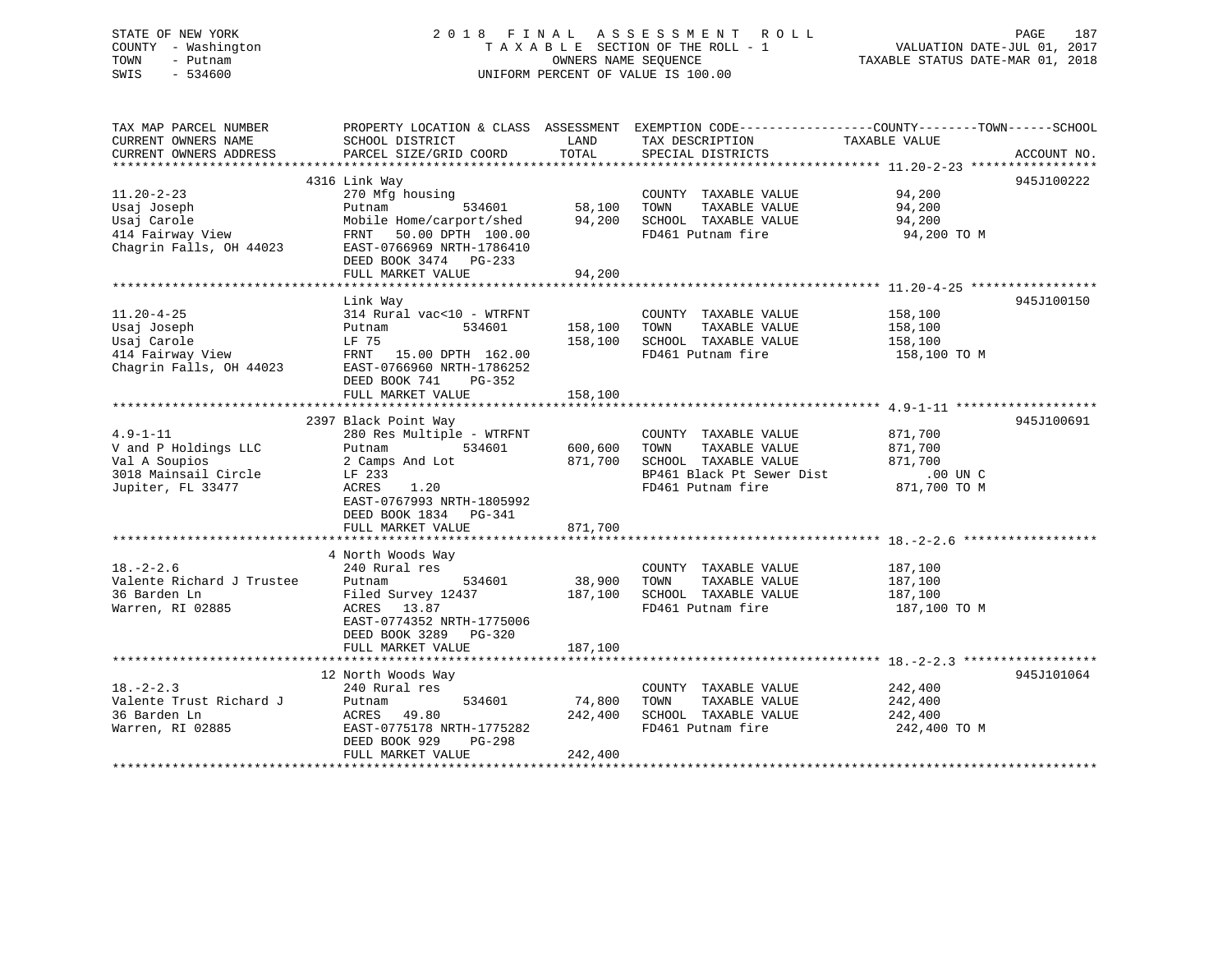# STATE OF NEW YORK 2 0 1 8 F I N A L A S S E S S M E N T R O L L PAGE 187 COUNTY - Washington T A X A B L E SECTION OF THE ROLL - 1 VALUATION DATE-JUL 01, 2017 TOWN - Putnam **CONNERS NAME SEQUENCE** TAXABLE STATUS DATE-MAR 01, 2018 SWIS - 534600 UNIFORM PERCENT OF VALUE IS 100.00

| TAX MAP PARCEL NUMBER<br>CURRENT OWNERS NAME<br>CURRENT OWNERS ADDRESS                               | PROPERTY LOCATION & CLASS ASSESSMENT<br>SCHOOL DISTRICT<br>PARCEL SIZE/GRID COORD                                                                                                              | LAND<br>TOTAL                 | TAX DESCRIPTION<br>SPECIAL DISTRICTS                                                                                    | EXEMPTION CODE-----------------COUNTY-------TOWN------SCHOOL<br>TAXABLE VALUE<br>ACCOUNT NO. |
|------------------------------------------------------------------------------------------------------|------------------------------------------------------------------------------------------------------------------------------------------------------------------------------------------------|-------------------------------|-------------------------------------------------------------------------------------------------------------------------|----------------------------------------------------------------------------------------------|
|                                                                                                      |                                                                                                                                                                                                |                               |                                                                                                                         |                                                                                              |
| $11.20 - 2 - 23$<br>Usaj Joseph<br>Usaj Carole<br>414 Fairway View<br>Chagrin Falls, OH 44023        | 4316 Link Way<br>270 Mfg housing<br>534601<br>Putnam<br>Mobile Home/carport/shed<br>FRNT 50.00 DPTH 100.00<br>EAST-0766969 NRTH-1786410<br>DEED BOOK 3474 PG-233<br>FULL MARKET VALUE          | 58,100<br>94,200<br>94,200    | COUNTY TAXABLE VALUE<br>TOWN<br>TAXABLE VALUE<br>SCHOOL TAXABLE VALUE<br>FD461 Putnam fire                              | 945J100222<br>94,200<br>94,200<br>94,200<br>94,200 TO M                                      |
|                                                                                                      |                                                                                                                                                                                                |                               |                                                                                                                         |                                                                                              |
| $11.20 - 4 - 25$<br>Usaj Joseph<br>Usaj Carole<br>414 Fairway View<br>Chagrin Falls, OH 44023        | Link Way<br>314 Rural vac<10 - WTRFNT<br>534601<br>Putnam<br>LF 75<br>FRNT 15.00 DPTH 162.00<br>EAST-0766960 NRTH-1786252<br>DEED BOOK 741<br>$PG-352$<br>FULL MARKET VALUE                    | 158,100<br>158,100<br>158,100 | COUNTY TAXABLE VALUE<br>TOWN<br>TAXABLE VALUE<br>SCHOOL TAXABLE VALUE<br>FD461 Putnam fire                              | 945J100150<br>158,100<br>158,100<br>158,100<br>158,100 TO M                                  |
|                                                                                                      |                                                                                                                                                                                                |                               |                                                                                                                         |                                                                                              |
| $4.9 - 1 - 11$<br>V and P Holdings LLC<br>Val A Soupios<br>3018 Mainsail Circle<br>Jupiter, FL 33477 | 2397 Black Point Way<br>280 Res Multiple - WTRFNT<br>Putnam<br>534601<br>2 Camps And Lot<br>LF 233<br>ACRES<br>1.20<br>EAST-0767993 NRTH-1805992<br>DEED BOOK 1834 PG-341<br>FULL MARKET VALUE | 600,600<br>871,700<br>871,700 | COUNTY TAXABLE VALUE<br>TOWN<br>TAXABLE VALUE<br>SCHOOL TAXABLE VALUE<br>BP461 Black Pt Sewer Dist<br>FD461 Putnam fire | 945J100691<br>871,700<br>871,700<br>871,700<br>$.00$ UN C<br>871,700 TO M                    |
|                                                                                                      |                                                                                                                                                                                                |                               |                                                                                                                         |                                                                                              |
| $18. - 2 - 2.6$<br>Valente Richard J Trustee<br>36 Barden Ln<br>Warren, RI 02885                     | 4 North Woods Way<br>240 Rural res<br>Putnam<br>534601<br>Filed Survey 12437<br>ACRES 13.87<br>EAST-0774352 NRTH-1775006<br>DEED BOOK 3289 PG-320<br>FULL MARKET VALUE                         | 38,900<br>187,100<br>187,100  | COUNTY TAXABLE VALUE<br>TOWN<br>TAXABLE VALUE<br>SCHOOL TAXABLE VALUE<br>FD461 Putnam fire                              | 187,100<br>187,100<br>187,100<br>187,100 TO M                                                |
|                                                                                                      |                                                                                                                                                                                                |                               |                                                                                                                         |                                                                                              |
| $18. - 2 - 2.3$<br>Valente Trust Richard J<br>36 Barden Ln<br>Warren, RI 02885                       | 12 North Woods Way<br>240 Rural res<br>Putnam<br>534601<br>ACRES 49.80<br>EAST-0775178 NRTH-1775282<br>DEED BOOK 929<br>$PG-298$<br>FULL MARKET VALUE                                          | 74,800<br>242,400<br>242,400  | COUNTY TAXABLE VALUE<br>TOWN<br>TAXABLE VALUE<br>SCHOOL TAXABLE VALUE<br>FD461 Putnam fire                              | 945J101064<br>242,400<br>242,400<br>242,400<br>242,400 TO M                                  |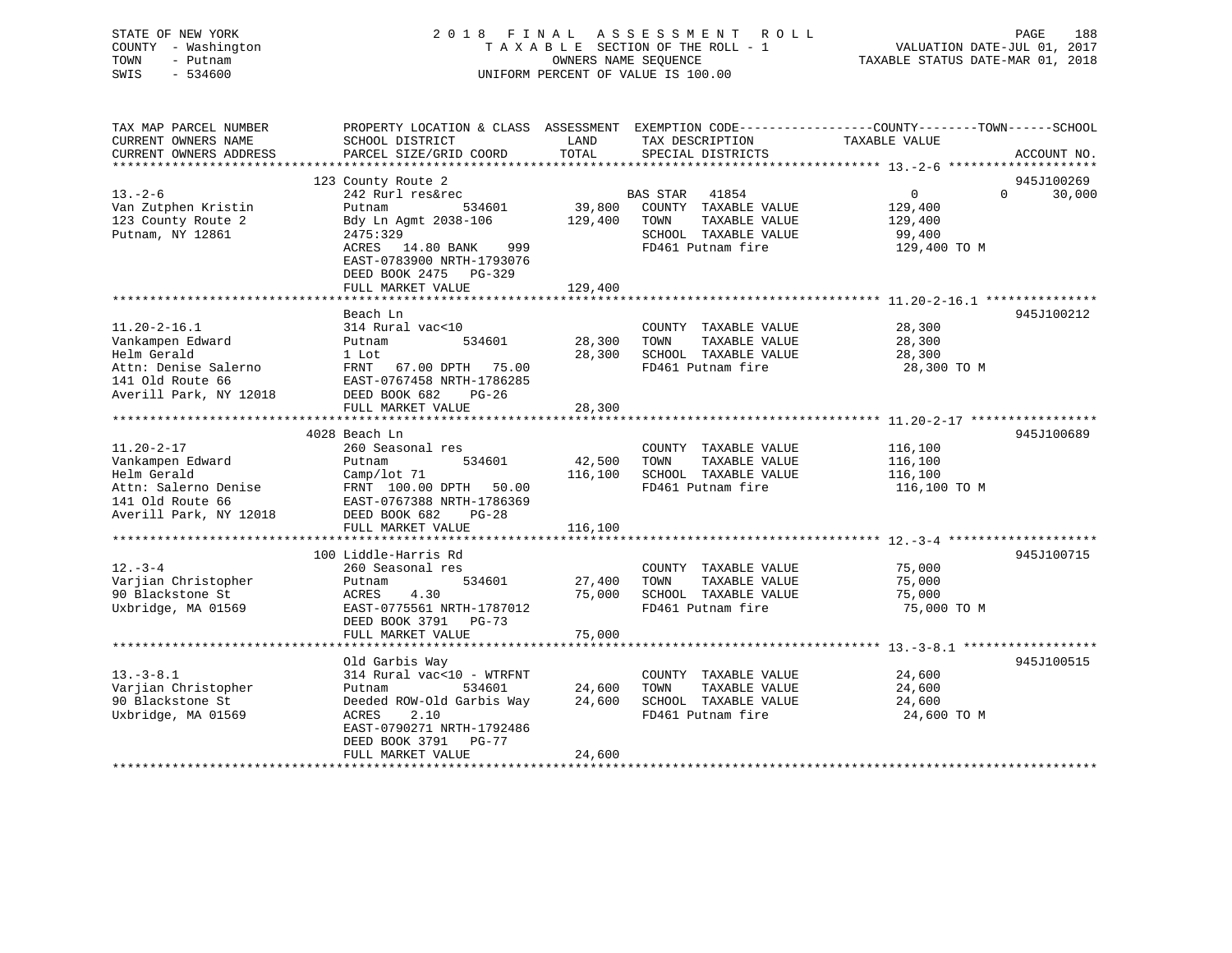# STATE OF NEW YORK 2 0 1 8 F I N A L A S S E S S M E N T R O L L PAGE 188 COUNTY - Washington T A X A B L E SECTION OF THE ROLL - 1 VALUATION DATE-JUL 01, 2017 TOWN - Putnam **CONNERS NAME SEQUENCE** TAXABLE STATUS DATE-MAR 01, 2018 SWIS - 534600 UNIFORM PERCENT OF VALUE IS 100.00

| CURRENT OWNERS NAME<br>TAX DESCRIPTION<br>TAXABLE VALUE<br>SCHOOL DISTRICT<br>LAND<br>TOTAL<br>CURRENT OWNERS ADDRESS<br>PARCEL SIZE/GRID COORD<br>SPECIAL DISTRICTS<br>ACCOUNT NO.<br>123 County Route 2<br>945J100269<br>$13. - 2 - 6$<br>$\Omega$<br>242 Rurl res&rec<br>BAS STAR 41854<br>$\overline{0}$ | 30,000 |
|--------------------------------------------------------------------------------------------------------------------------------------------------------------------------------------------------------------------------------------------------------------------------------------------------------------|--------|
|                                                                                                                                                                                                                                                                                                              |        |
|                                                                                                                                                                                                                                                                                                              |        |
|                                                                                                                                                                                                                                                                                                              |        |
|                                                                                                                                                                                                                                                                                                              |        |
| 39,800<br>534601                                                                                                                                                                                                                                                                                             |        |
| Van Zutphen Kristin<br>COUNTY TAXABLE VALUE<br>129,400<br>Putnam<br>123 County Route 2<br>Bdy Ln Agmt 2038-106<br>129,400<br>TAXABLE VALUE<br>TOWN<br>129,400                                                                                                                                                |        |
| Putnam, NY 12861<br>SCHOOL TAXABLE VALUE<br>2475:329<br>99,400                                                                                                                                                                                                                                               |        |
| ACRES 14.80 BANK<br>999<br>FD461 Putnam fire<br>129,400 TO M                                                                                                                                                                                                                                                 |        |
| EAST-0783900 NRTH-1793076                                                                                                                                                                                                                                                                                    |        |
| DEED BOOK 2475 PG-329                                                                                                                                                                                                                                                                                        |        |
| FULL MARKET VALUE<br>129,400                                                                                                                                                                                                                                                                                 |        |
|                                                                                                                                                                                                                                                                                                              |        |
| 945J100212<br>Beach Ln                                                                                                                                                                                                                                                                                       |        |
| $11.20 - 2 - 16.1$<br>314 Rural vac<10<br>28,300<br>COUNTY TAXABLE VALUE                                                                                                                                                                                                                                     |        |
| 28,300<br>TAXABLE VALUE<br>Vankampen Edward<br>534601<br>TOWN<br>28,300<br>Putnam                                                                                                                                                                                                                            |        |
| Helm Gerald<br>28,300<br>SCHOOL TAXABLE VALUE<br>1 Lot<br>28,300                                                                                                                                                                                                                                             |        |
| Attn: Denise Salerno<br>FRNT 67.00 DPTH 75.00<br>FD461 Putnam fire<br>28,300 TO M                                                                                                                                                                                                                            |        |
| 141 Old Route 66<br>EAST-0767458 NRTH-1786285                                                                                                                                                                                                                                                                |        |
| Averill Park, NY 12018<br>DEED BOOK 682<br>$PG-26$                                                                                                                                                                                                                                                           |        |
| 28,300<br>FULL MARKET VALUE                                                                                                                                                                                                                                                                                  |        |
|                                                                                                                                                                                                                                                                                                              |        |
| 4028 Beach Ln<br>945J100689                                                                                                                                                                                                                                                                                  |        |
| $11.20 - 2 - 17$<br>260 Seasonal res<br>COUNTY TAXABLE VALUE<br>116,100                                                                                                                                                                                                                                      |        |
| 534601<br>42,500<br>Vankampen Edward<br>Putnam<br>TOWN<br>TAXABLE VALUE<br>116,100                                                                                                                                                                                                                           |        |
| Helm Gerald<br>116,100<br>SCHOOL TAXABLE VALUE<br>Camp/lot 71<br>116,100                                                                                                                                                                                                                                     |        |
| FD461 Putnam fire<br>Attn: Salerno Denise<br>FRNT 100.00 DPTH 50.00<br>116,100 TO M                                                                                                                                                                                                                          |        |
| 141 Old Route 66<br>EAST-0767388 NRTH-1786369                                                                                                                                                                                                                                                                |        |
| DEED BOOK 682<br>Averill Park, NY 12018<br>PG-28                                                                                                                                                                                                                                                             |        |
| 116,100<br>FULL MARKET VALUE                                                                                                                                                                                                                                                                                 |        |
|                                                                                                                                                                                                                                                                                                              |        |
| 100 Liddle-Harris Rd<br>945J100715                                                                                                                                                                                                                                                                           |        |
| $12. - 3 - 4$<br>75,000<br>260 Seasonal res<br>COUNTY TAXABLE VALUE                                                                                                                                                                                                                                          |        |
| Varjian Christopher<br>534601<br>TOWN<br>TAXABLE VALUE<br>75,000<br>Putnam<br>27,400                                                                                                                                                                                                                         |        |
| 75,000<br>90 Blackstone St<br>ACRES<br>4.30<br>SCHOOL TAXABLE VALUE<br>75,000                                                                                                                                                                                                                                |        |
| Uxbridge, MA 01569<br>FD461 Putnam fire<br>EAST-0775561 NRTH-1787012<br>75,000 TO M                                                                                                                                                                                                                          |        |
| DEED BOOK 3791 PG-73                                                                                                                                                                                                                                                                                         |        |
| 75,000<br>FULL MARKET VALUE                                                                                                                                                                                                                                                                                  |        |
|                                                                                                                                                                                                                                                                                                              |        |
| Old Garbis Way<br>945J100515                                                                                                                                                                                                                                                                                 |        |
| $13.-3-8.1$<br>314 Rural vac<10 - WTRFNT<br>COUNTY TAXABLE VALUE<br>24,600                                                                                                                                                                                                                                   |        |
| Varjian Christopher<br>24,600<br>TAXABLE VALUE<br>Putnam<br>534601<br>TOWN<br>24,600                                                                                                                                                                                                                         |        |
| 90 Blackstone St<br>Deeded ROW-Old Garbis Way<br>24,600<br>SCHOOL TAXABLE VALUE<br>24,600                                                                                                                                                                                                                    |        |
| FD461 Putnam fire<br>Uxbridge, MA 01569<br>ACRES<br>2.10<br>24,600 TO M                                                                                                                                                                                                                                      |        |
| EAST-0790271 NRTH-1792486                                                                                                                                                                                                                                                                                    |        |
| DEED BOOK 3791<br>PG-77<br>FULL MARKET VALUE<br>24,600                                                                                                                                                                                                                                                       |        |
|                                                                                                                                                                                                                                                                                                              |        |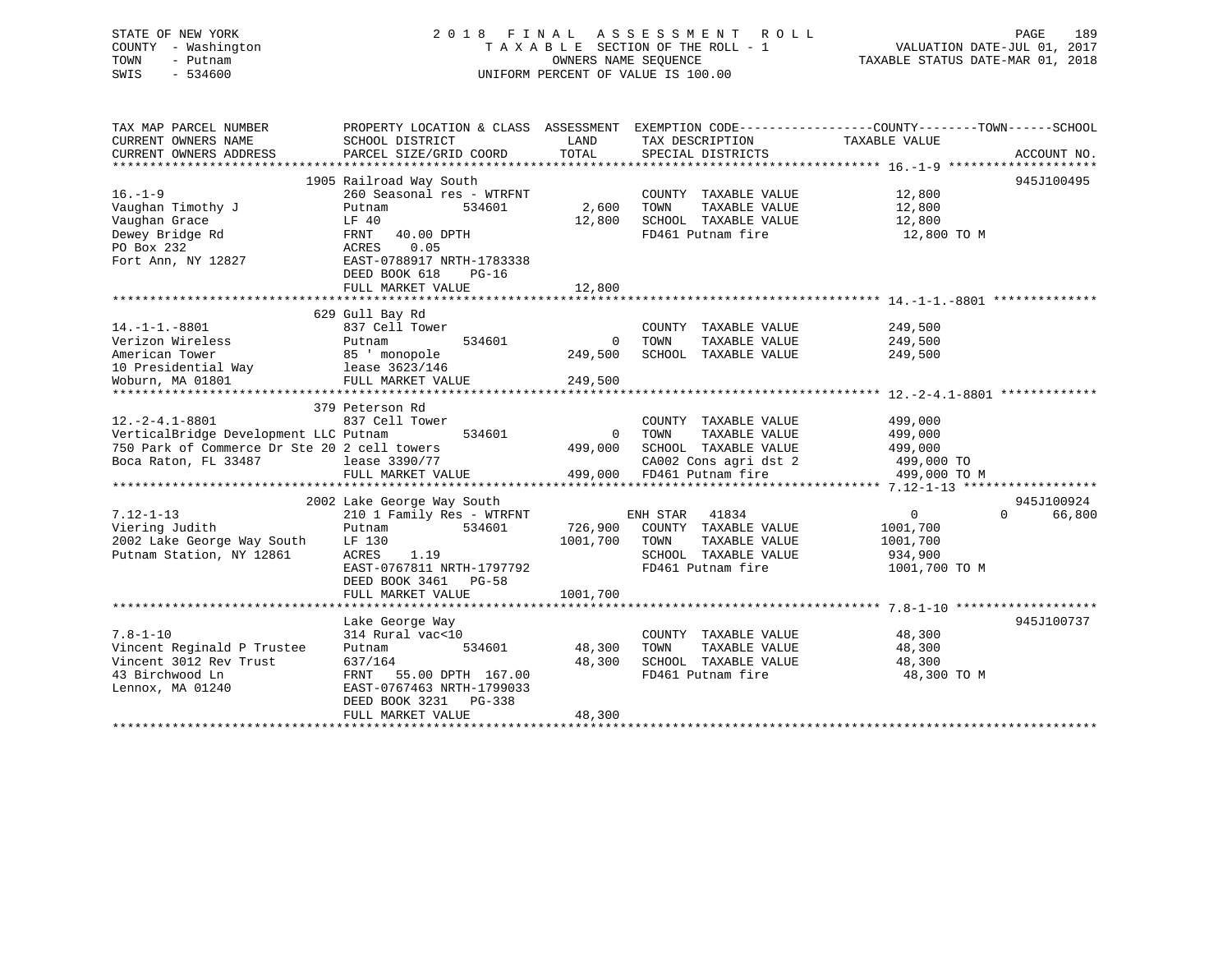# STATE OF NEW YORK 2 0 1 8 F I N A L A S S E S S M E N T R O L L PAGE 189 COUNTY - Washington T A X A B L E SECTION OF THE ROLL - 1 VALUATION DATE-JUL 01, 2017 TOWN - Putnam OWNERS NAME SEQUENCE TAXABLE STATUS DATE-MAR 01, 2018 SWIS - 534600 UNIFORM PERCENT OF VALUE IS 100.00

| TAX MAP PARCEL NUMBER                        | PROPERTY LOCATION & CLASS ASSESSMENT EXEMPTION CODE---------------COUNTY-------TOWN------SCHOOL |                |                                           |                                  |                    |
|----------------------------------------------|-------------------------------------------------------------------------------------------------|----------------|-------------------------------------------|----------------------------------|--------------------|
| CURRENT OWNERS NAME                          | SCHOOL DISTRICT                                                                                 | LAND           | TAX DESCRIPTION                           | TAXABLE VALUE                    |                    |
| CURRENT OWNERS ADDRESS                       | PARCEL SIZE/GRID COORD                                                                          | TOTAL          | SPECIAL DISTRICTS                         |                                  | ACCOUNT NO.        |
|                                              |                                                                                                 |                |                                           |                                  |                    |
|                                              | 1905 Railroad Way South                                                                         |                |                                           |                                  | 945J100495         |
| $16. - 1 - 9$                                | 260 Seasonal res - WTRFNT                                                                       |                | COUNTY TAXABLE VALUE                      | 12,800                           |                    |
| Vaughan Timothy J                            | 534601<br>Putnam                                                                                | 2,600 TOWN     | TAXABLE VALUE                             | 12,800                           |                    |
| Vaughan Grace                                | LF 40                                                                                           | 12,800         | SCHOOL TAXABLE VALUE                      | 12,800                           |                    |
| Dewey Bridge Rd                              | FRNT 40.00 DPTH                                                                                 |                | FD461 Putnam fire                         | 12,800 TO M                      |                    |
| PO Box 232                                   | 0.05<br>ACRES                                                                                   |                |                                           |                                  |                    |
| Fort Ann, NY 12827                           | EAST-0788917 NRTH-1783338                                                                       |                |                                           |                                  |                    |
|                                              | DEED BOOK 618<br>$PG-16$                                                                        |                |                                           |                                  |                    |
|                                              | FULL MARKET VALUE                                                                               | 12,800         |                                           |                                  |                    |
|                                              |                                                                                                 |                |                                           |                                  |                    |
|                                              | 629 Gull Bay Rd                                                                                 |                |                                           |                                  |                    |
| $14. -1 - 1. -8801$                          | 837 Cell Tower                                                                                  |                | COUNTY TAXABLE VALUE                      | 249,500                          |                    |
| Verizon Wireless                             | 534601<br>Putnam                                                                                | $\overline{0}$ | TOWN<br>TAXABLE VALUE                     | 249,500                          |                    |
| American Tower                               | 85 ' monopole                                                                                   | 249,500        | SCHOOL TAXABLE VALUE                      | 249,500                          |                    |
| 10 Presidential Way 1ease 3623/146           |                                                                                                 |                |                                           |                                  |                    |
| Woburn, MA 01801                             | FULL MARKET VALUE                                                                               | 249,500        |                                           |                                  |                    |
|                                              |                                                                                                 |                |                                           |                                  |                    |
|                                              | 379 Peterson Rd                                                                                 |                |                                           |                                  |                    |
| $12.-2-4.1-8801$                             | 837 Cell Tower                                                                                  |                | COUNTY TAXABLE VALUE 499,000              |                                  |                    |
| VerticalBridge Development LLC Putnam        | 534601                                                                                          | $\Omega$       | TOWN<br>TAXABLE VALUE                     | 499,000                          |                    |
| 750 Park of Commerce Dr Ste 20 2 cell towers |                                                                                                 | 499,000        | SCHOOL TAXABLE VALUE                      | 499,000                          |                    |
| Boca Raton, FL 33487                         | lease 3390/77                                                                                   |                |                                           | CA002 Cons agri dst 2 499,000 TO |                    |
|                                              | FULL MARKET VALUE 499,000 FD461 Putnam fire                                                     |                |                                           | 499,000 TO M                     |                    |
|                                              |                                                                                                 |                |                                           |                                  |                    |
|                                              | 2002 Lake George Way South                                                                      |                |                                           |                                  | 945J100924         |
| $7.12 - 1 - 13$                              | 210 1 Family Res - WTRFNT                                                                       |                | ENH STAR<br>41834                         | $0 \qquad \qquad$                | $\Omega$<br>66,800 |
| Viering Judith                               | 534601<br>Putnam                                                                                |                | 726,900 COUNTY TAXABLE VALUE              | 1001,700                         |                    |
| 2002 Lake George Way South                   | LF 130                                                                                          | 1001,700       | TAXABLE VALUE<br>TOWN                     | 1001,700                         |                    |
| Putnam Station, NY 12861                     | 1.19<br>ACRES                                                                                   |                | SCHOOL TAXABLE VALUE                      | 934,900                          |                    |
|                                              | EAST-0767811 NRTH-1797792                                                                       |                | FD461 Putnam fire                         | 1001,700 TO M                    |                    |
|                                              | DEED BOOK 3461 PG-58                                                                            |                |                                           |                                  |                    |
|                                              | FULL MARKET VALUE                                                                               | 1001,700       |                                           |                                  |                    |
|                                              |                                                                                                 |                |                                           |                                  |                    |
|                                              | Lake George Way                                                                                 |                |                                           |                                  | 945J100737         |
| $7.8 - 1 - 10$                               | 314 Rural vac<10                                                                                |                | COUNTY TAXABLE VALUE 48,300               |                                  |                    |
| Vincent Reginald P Trustee                   | Putnam                                                                                          | 534601 48,300  | TOWN<br>TAXABLE VALUE                     | 48,300                           |                    |
| Vincent 3012 Rev Trust                       | 637/164                                                                                         | 48,300         |                                           | 48,300                           |                    |
| 43 Birchwood Ln                              | FRNT 55.00 DPTH 167.00                                                                          |                | SCHOOL TAXABLE VALUE<br>FD461 Putnam fire | 48,300 TO M                      |                    |
| Lennox, MA 01240                             | EAST-0767463 NRTH-1799033                                                                       |                |                                           |                                  |                    |
|                                              | DEED BOOK 3231 PG-338                                                                           |                |                                           |                                  |                    |
|                                              | FULL MARKET VALUE                                                                               | 48,300         |                                           |                                  |                    |
|                                              |                                                                                                 |                |                                           |                                  |                    |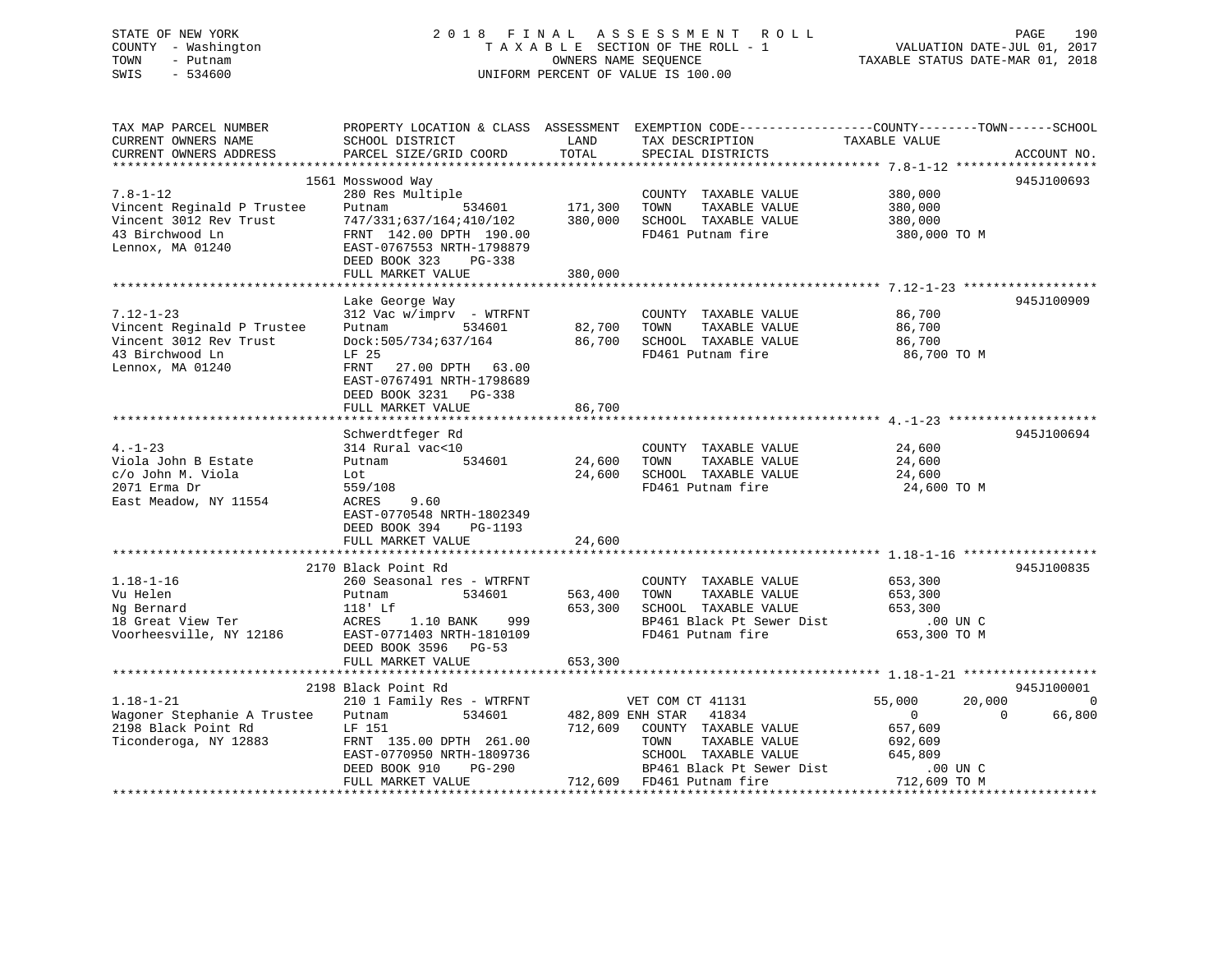# STATE OF NEW YORK 2 0 1 8 F I N A L A S S E S S M E N T R O L L PAGE 190 COUNTY - Washington T A X A B L E SECTION OF THE ROLL - 1 VALUATION DATE-JUL 01, 2017 TOWN - Putnam OWNERS NAME SEQUENCE TAXABLE STATUS DATE-MAR 01, 2018 SWIS - 534600 UNIFORM PERCENT OF VALUE IS 100.00

| TAX MAP PARCEL NUMBER              |                                                          |             | PROPERTY LOCATION & CLASS ASSESSMENT EXEMPTION CODE----------------COUNTY-------TOWN------SCHOOL |                  |                      |
|------------------------------------|----------------------------------------------------------|-------------|--------------------------------------------------------------------------------------------------|------------------|----------------------|
| CURRENT OWNERS NAME                | SCHOOL DISTRICT                                          | LAND        | TAX DESCRIPTION                                                                                  | TAXABLE VALUE    |                      |
| CURRENT OWNERS ADDRESS             | PARCEL SIZE/GRID COORD                                   | TOTAL       | SPECIAL DISTRICTS                                                                                |                  | ACCOUNT NO.          |
|                                    |                                                          |             |                                                                                                  |                  |                      |
|                                    | 1561 Mosswood Way                                        |             |                                                                                                  |                  | 945J100693           |
|                                    |                                                          |             |                                                                                                  |                  |                      |
| $7.8 - 1 - 12$                     | 280 Res Multiple                                         |             | COUNTY TAXABLE VALUE                                                                             | 380,000          |                      |
| Vincent Reginald P Trustee         |                                                          |             | TAXABLE VALUE<br>TOWN                                                                            | 380,000          |                      |
| Vincent 3012 Rev Trust             | Putnam 534601 171,300<br>747/331:637/164:410/102 380,000 |             | SCHOOL TAXABLE VALUE                                                                             | 380,000          |                      |
| 43 Birchwood Ln                    | FRNT 142.00 DPTH 190.00                                  |             | FD461 Putnam fire                                                                                | 380,000 TO M     |                      |
| Lennox, MA 01240                   | EAST-0767553 NRTH-1798879                                |             |                                                                                                  |                  |                      |
|                                    |                                                          |             |                                                                                                  |                  |                      |
|                                    | DEED BOOK 323 PG-338                                     |             |                                                                                                  |                  |                      |
|                                    | FULL MARKET VALUE                                        | 380,000     |                                                                                                  |                  |                      |
|                                    |                                                          |             |                                                                                                  |                  |                      |
|                                    | Lake George Way                                          |             |                                                                                                  |                  | 945J100909           |
| $7.12 - 1 - 23$                    | 312 Vac w/imprv - WTRFNT                                 |             | COUNTY TAXABLE VALUE                                                                             | 86,700           |                      |
| Vincent Reginald P Trustee         | 534601<br>Putnam                                         | 82,700 TOWN | TAXABLE VALUE                                                                                    | 86,700           |                      |
|                                    |                                                          |             |                                                                                                  |                  |                      |
| Vincent 3012 Rev Trust             | Dock: 505/734; 637/164                                   |             | 86,700 SCHOOL TAXABLE VALUE                                                                      | 86,700           |                      |
| 43 Birchwood Ln                    | LF 25                                                    |             | FD461 Putnam fire                                                                                | 86,700 TO M      |                      |
| Lennox, MA 01240                   | FRNT 27.00 DPTH 63.00                                    |             |                                                                                                  |                  |                      |
|                                    | EAST-0767491 NRTH-1798689                                |             |                                                                                                  |                  |                      |
|                                    | DEED BOOK 3231 PG-338                                    |             |                                                                                                  |                  |                      |
|                                    |                                                          | 86,700      |                                                                                                  |                  |                      |
|                                    | FULL MARKET VALUE                                        |             |                                                                                                  |                  |                      |
|                                    |                                                          |             |                                                                                                  |                  |                      |
|                                    | Schwerdtfeger Rd                                         |             |                                                                                                  |                  | 945J100694           |
| $4. - 1 - 23$                      | 314 Rural vac<10                                         |             | COUNTY TAXABLE VALUE                                                                             | 24,600           |                      |
| Viola John B Estate                | 534601<br>Putnam                                         | 24,600      | TOWN<br>TAXABLE VALUE                                                                            | 24,600           |                      |
| c/o John M. Viola                  | Lot                                                      | 24,600      | SCHOOL TAXABLE VALUE                                                                             | 24,600           |                      |
| 2071 Erma Dr                       | 559/108                                                  |             | FD461 Putnam fire                                                                                | 24,600 TO M      |                      |
|                                    |                                                          |             |                                                                                                  |                  |                      |
| East Meadow, NY 11554              | ACRES<br>9.60                                            |             |                                                                                                  |                  |                      |
|                                    | EAST-0770548 NRTH-1802349                                |             |                                                                                                  |                  |                      |
|                                    | DEED BOOK 394<br>PG-1193                                 |             |                                                                                                  |                  |                      |
|                                    | FULL MARKET VALUE                                        | 24,600      |                                                                                                  |                  |                      |
|                                    |                                                          |             |                                                                                                  |                  |                      |
|                                    | 2170 Black Point Rd                                      |             |                                                                                                  |                  | 945J100835           |
| $1.18 - 1 - 16$                    | 260 Seasonal res - WTRFNT                                |             | COUNTY TAXABLE VALUE                                                                             | 653,300          |                      |
|                                    |                                                          |             |                                                                                                  |                  |                      |
| Vu Helen                           | Putnam<br>534601                                         | 563,400     |                                                                                                  |                  |                      |
|                                    | 118' Lf                                                  | 653,300     |                                                                                                  |                  |                      |
| Ng Bernard<br>18 Great View Ter    | ACRES 1.10 BANK 999                                      |             | TOWN TAXABLE VALUE 653,300<br>SCHOOL TAXABLE VALUE 653,300 UNC                                   |                  |                      |
| Voorheesville, NY 12186            | EAST-0771403 NRTH-1810109                                |             | FD461 Putnam fire                                                                                | 653,300 TO M     |                      |
|                                    | DEED BOOK 3596 PG-53                                     |             |                                                                                                  |                  |                      |
|                                    |                                                          | 653,300     |                                                                                                  |                  |                      |
|                                    | FULL MARKET VALUE                                        |             |                                                                                                  |                  |                      |
|                                    |                                                          |             |                                                                                                  |                  |                      |
|                                    | 2198 Black Point Rd                                      |             |                                                                                                  |                  | 945J100001           |
| $1.18 - 1 - 21$                    | 210 1 Family Res - WTRFNT                                |             | VET COM CT 41131                                                                                 | 55,000<br>20,000 | $\bigcirc$           |
| Wagoner Stephanie A Trustee Putnam |                                                          |             | 534601 482,809 ENH STAR 41834                                                                    | $\overline{0}$   | $\bigcirc$<br>66,800 |
| 2198 Black Point Rd                | LF 151                                                   |             | 712,609 COUNTY TAXABLE VALUE                                                                     | 657,609          |                      |
| Ticonderoga, NY 12883              | FRNT 135.00 DPTH 261.00                                  |             | TAXABLE VALUE<br>TOWN                                                                            | 692,609          |                      |
|                                    |                                                          |             |                                                                                                  |                  |                      |
|                                    | EAST-0770950 NRTH-1809736                                |             | SCHOOL TAXABLE VALUE                                                                             | 645,809          |                      |
|                                    | DEED BOOK 910<br>PG-290                                  |             | BP461 Black Pt Sewer Dist                                                                        | $.00$ UN C       |                      |
|                                    | FULL MARKET VALUE                                        |             | 712,609 FD461 Putnam fire                                                                        | 712,609 TO M     |                      |
|                                    |                                                          |             |                                                                                                  |                  |                      |
|                                    |                                                          |             |                                                                                                  |                  |                      |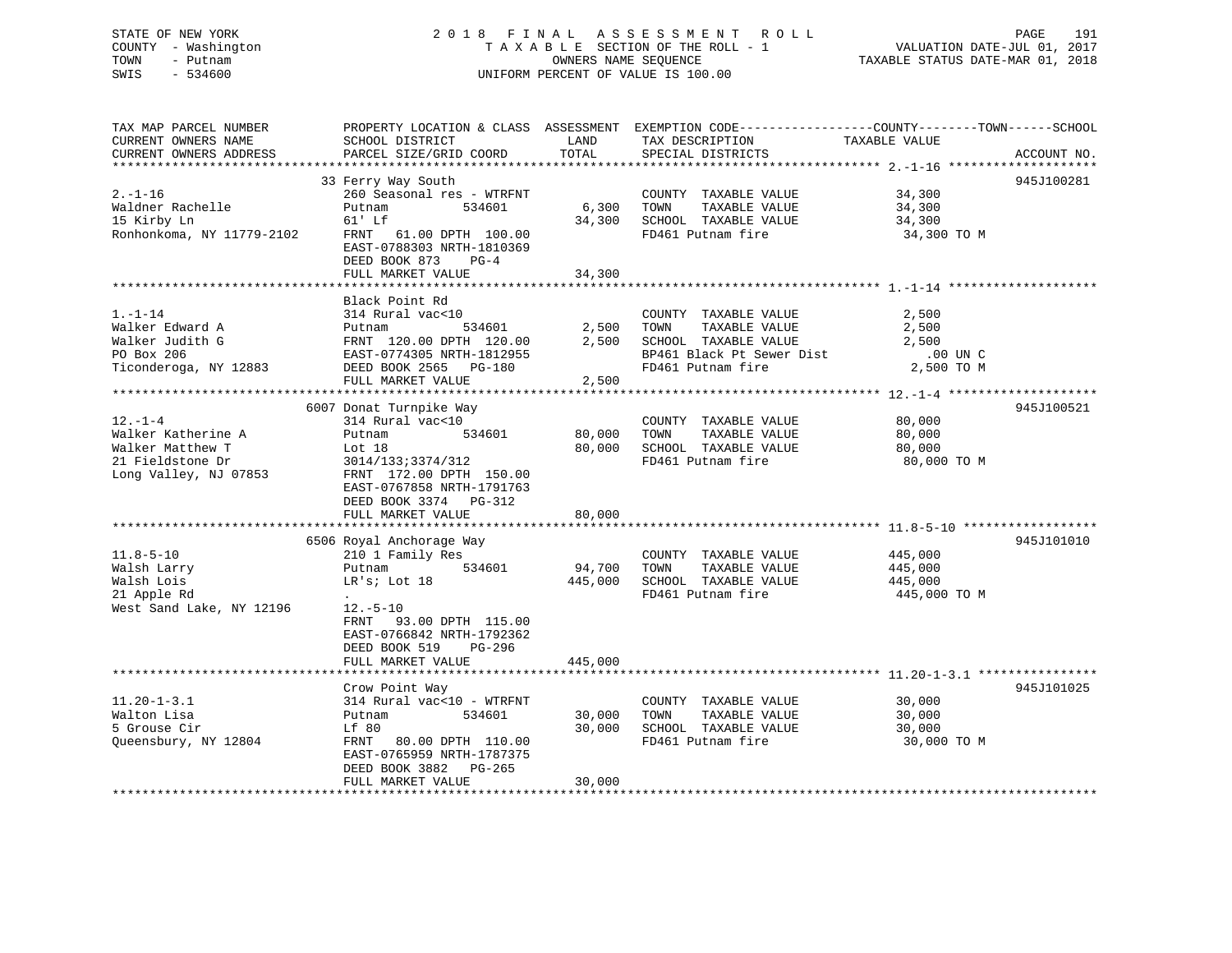| STATE OF NEW YORK<br>COUNTY - Washington<br>TOWN<br>- Putnam<br>$-534600$<br>SWIS | 2018 FINAL ASSESSMENT ROLL<br>TAXABLE SECTION OF THE ROLL - 1<br>OWNERS NAME SEQUENCE<br>UNIFORM PERCENT OF VALUE IS 100.00 |         |                                                                                                  | VALUATION DATE-JUL 01, 2017<br>TAXABLE STATUS DATE-MAR 01, 2018 | PAGE<br>191 |
|-----------------------------------------------------------------------------------|-----------------------------------------------------------------------------------------------------------------------------|---------|--------------------------------------------------------------------------------------------------|-----------------------------------------------------------------|-------------|
| TAX MAP PARCEL NUMBER                                                             |                                                                                                                             |         | PROPERTY LOCATION & CLASS ASSESSMENT EXEMPTION CODE----------------COUNTY-------TOWN------SCHOOL |                                                                 |             |
| CURRENT OWNERS NAME                                                               | SCHOOL DISTRICT                                                                                                             | LAND    | TAX DESCRIPTION                                                                                  | TAXABLE VALUE                                                   |             |
| CURRENT OWNERS ADDRESS                                                            | PARCEL SIZE/GRID COORD                                                                                                      | TOTAL   | SPECIAL DISTRICTS                                                                                |                                                                 | ACCOUNT NO. |
|                                                                                   | 33 Ferry Way South                                                                                                          |         |                                                                                                  |                                                                 | 945J100281  |
| $2. - 1 - 16$                                                                     | 260 Seasonal res - WTRFNT                                                                                                   |         | COUNTY TAXABLE VALUE                                                                             | 34,300                                                          |             |
| Waldner Rachelle                                                                  | Putnam<br>534601                                                                                                            | 6,300   | TOWN<br>TAXABLE VALUE                                                                            | 34,300                                                          |             |
| 15 Kirby Ln                                                                       | 61' Lf                                                                                                                      | 34,300  | SCHOOL TAXABLE VALUE                                                                             | 34,300                                                          |             |
| Ronhonkoma, NY 11779-2102                                                         | FRNT<br>61.00 DPTH 100.00                                                                                                   |         | FD461 Putnam fire                                                                                | 34,300 TO M                                                     |             |
|                                                                                   | EAST-0788303 NRTH-1810369                                                                                                   |         |                                                                                                  |                                                                 |             |
|                                                                                   | DEED BOOK 873<br>$PG-4$                                                                                                     |         |                                                                                                  |                                                                 |             |
|                                                                                   | FULL MARKET VALUE                                                                                                           | 34,300  |                                                                                                  |                                                                 |             |
|                                                                                   |                                                                                                                             |         |                                                                                                  |                                                                 |             |
|                                                                                   | Black Point Rd                                                                                                              |         |                                                                                                  |                                                                 |             |
| $1. - 1 - 14$                                                                     | 314 Rural vac<10                                                                                                            |         | COUNTY TAXABLE VALUE                                                                             | 2,500                                                           |             |
| Walker Edward A                                                                   | 534601<br>Putnam                                                                                                            | 2,500   | TAXABLE VALUE<br>TOWN                                                                            | 2,500                                                           |             |
| Walker Judith G<br>PO Box 206                                                     | FRNT 120.00 DPTH 120.00<br>EAST-0774305 NRTH-1812955                                                                        | 2,500   | SCHOOL TAXABLE VALUE<br>BP461 Black Pt Sewer Dist                                                | 2,500<br>.00 UN C                                               |             |
| Ticonderoga, NY 12883                                                             | DEED BOOK 2565 PG-180                                                                                                       |         | FD461 Putnam fire                                                                                | 2,500 TO M                                                      |             |
|                                                                                   | FULL MARKET VALUE                                                                                                           | 2,500   |                                                                                                  |                                                                 |             |
|                                                                                   |                                                                                                                             |         |                                                                                                  |                                                                 |             |
|                                                                                   | 6007 Donat Turnpike Way                                                                                                     |         |                                                                                                  |                                                                 | 945J100521  |
| $12. - 1 - 4$                                                                     | 314 Rural vac<10                                                                                                            |         | COUNTY TAXABLE VALUE                                                                             | 80,000                                                          |             |
| Walker Katherine A                                                                | Putnam<br>534601                                                                                                            | 80,000  | TAXABLE VALUE<br>TOWN                                                                            | 80,000                                                          |             |
| Walker Matthew T                                                                  | Lot 18                                                                                                                      | 80,000  | SCHOOL TAXABLE VALUE                                                                             | 80,000                                                          |             |
| 21 Fieldstone Dr                                                                  | 3014/133;3374/312                                                                                                           |         | FD461 Putnam fire                                                                                | 80,000 TO M                                                     |             |
| Long Valley, NJ 07853                                                             | FRNT 172.00 DPTH 150.00                                                                                                     |         |                                                                                                  |                                                                 |             |
|                                                                                   | EAST-0767858 NRTH-1791763                                                                                                   |         |                                                                                                  |                                                                 |             |
|                                                                                   | DEED BOOK 3374 PG-312                                                                                                       |         |                                                                                                  |                                                                 |             |
|                                                                                   | FULL MARKET VALUE                                                                                                           | 80,000  |                                                                                                  |                                                                 |             |
|                                                                                   |                                                                                                                             |         |                                                                                                  |                                                                 |             |
| $11.8 - 5 - 10$                                                                   | 6506 Royal Anchorage Way                                                                                                    |         |                                                                                                  |                                                                 | 945J101010  |
| Walsh Larry                                                                       | 210 1 Family Res<br>534601<br>Putnam                                                                                        | 94,700  | COUNTY TAXABLE VALUE<br>TOWN<br>TAXABLE VALUE                                                    | 445,000<br>445,000                                              |             |
| Walsh Lois                                                                        | LR's; Lot 18                                                                                                                | 445,000 | SCHOOL TAXABLE VALUE                                                                             | 445,000                                                         |             |
| 21 Apple Rd                                                                       |                                                                                                                             |         | FD461 Putnam fire                                                                                | 445,000 TO M                                                    |             |
| West Sand Lake, NY 12196                                                          | $12.-5-10$                                                                                                                  |         |                                                                                                  |                                                                 |             |
|                                                                                   | FRNT 93.00 DPTH 115.00                                                                                                      |         |                                                                                                  |                                                                 |             |
|                                                                                   | EAST-0766842 NRTH-1792362                                                                                                   |         |                                                                                                  |                                                                 |             |
|                                                                                   | DEED BOOK 519<br>PG-296                                                                                                     |         |                                                                                                  |                                                                 |             |
|                                                                                   | FULL MARKET VALUE                                                                                                           | 445,000 |                                                                                                  |                                                                 |             |
|                                                                                   |                                                                                                                             |         |                                                                                                  |                                                                 |             |
|                                                                                   | Crow Point Way                                                                                                              |         |                                                                                                  |                                                                 | 945J101025  |
| $11 \t20 - 1 - 21$                                                                | $314$ Rural $var10 - MTR$ FNT                                                                                               |         | COUNTY TAXARLE VALUE                                                                             | 30 000                                                          |             |

|                      | FULL MARKET VALUE         | 445,000          |      |                      |             |
|----------------------|---------------------------|------------------|------|----------------------|-------------|
|                      |                           |                  |      |                      |             |
|                      | Crow Point Way            |                  |      |                      |             |
| $11.20 - 1 - 3.1$    | 314 Rural vac<10 - WTRFNT |                  |      | COUNTY TAXABLE VALUE | 30,000      |
| Walton Lisa          | Putnam                    | 534601<br>30,000 | TOWN | TAXABLE VALUE        | 30,000      |
| 5 Grouse Cir         | Lf 80                     | 30,000           |      | SCHOOL TAXABLE VALUE | 30,000      |
| Oueensbury, NY 12804 | 80.00 DPTH 110.00<br>FRNT |                  |      | FD461 Putnam fire    | 30,000 TO M |
|                      | EAST-0765959 NRTH-1787375 |                  |      |                      |             |
|                      | DEED BOOK 3882 PG-265     |                  |      |                      |             |
|                      | הדוד גזז ההתערו גוא דדוה  | 20 DOO           |      |                      |             |

FULL MARKET VALUE 30,000 \*\*\*\*\*\*\*\*\*\*\*\*\*\*\*\*\*\*\*\*\*\*\*\*\*\*\*\*\*\*\*\*\*\*\*\*\*\*\*\*\*\*\*\*\*\*\*\*\*\*\*\*\*\*\*\*\*\*\*\*\*\*\*\*\*\*\*\*\*\*\*\*\*\*\*\*\*\*\*\*\*\*\*\*\*\*\*\*\*\*\*\*\*\*\*\*\*\*\*\*\*\*\*\*\*\*\*\*\*\*\*\*\*\*\*\*\*\*\*\*\*\*\*\*\*\*\*\*\*\*\*\*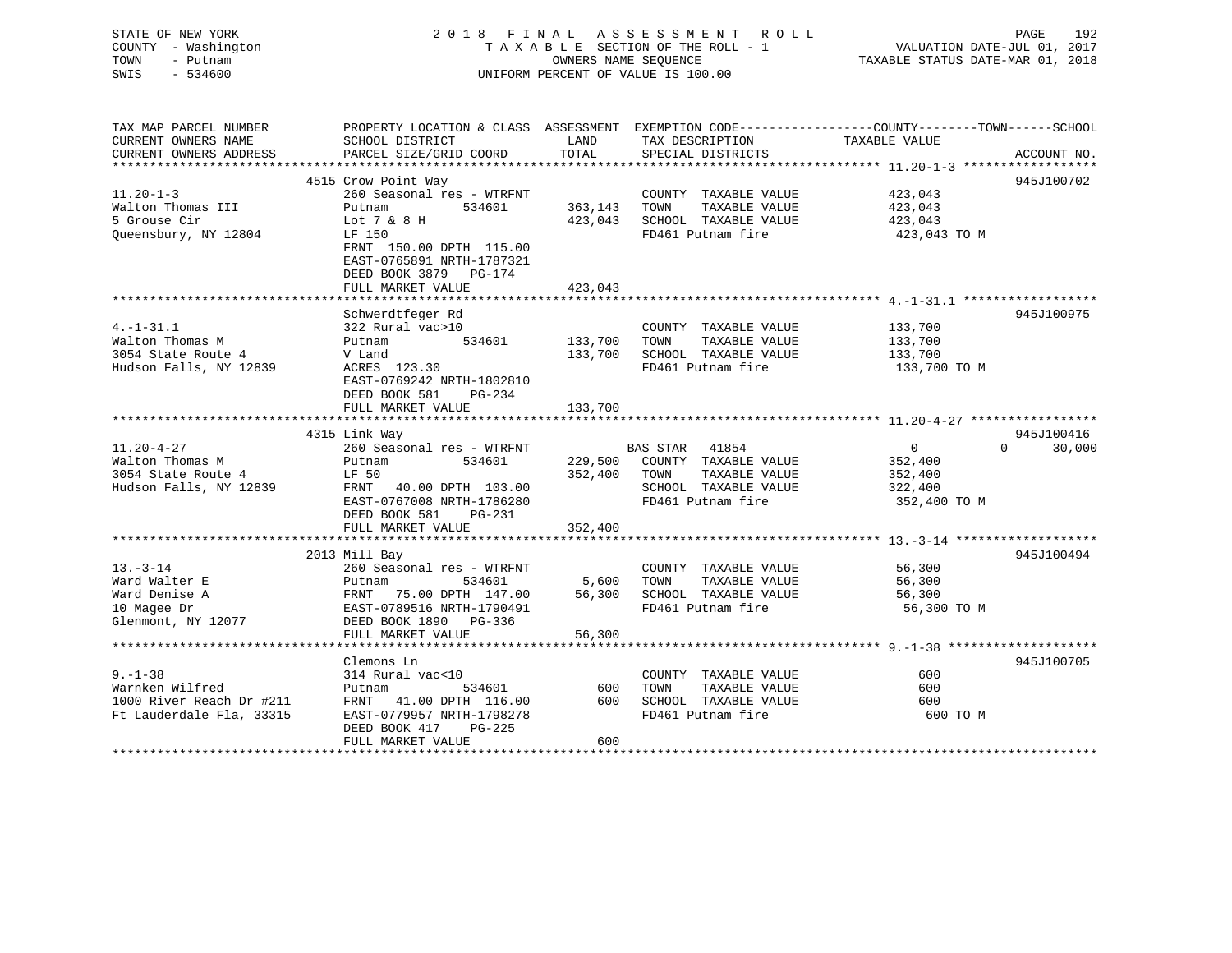| STATE OF NEW YORK<br>2018 FINAL ASSESSMENT ROLL<br>TAXABLE SECTION OF THE ROLL - 1<br>COUNTY - Washington<br>VALUATION DATE-JUL 01, 2017<br>TOWN<br>- Putnam<br>OWNERS NAME SEQUENCE<br>TAXABLE STATUS DATE-MAR 01, 2018<br>$-534600$<br>UNIFORM PERCENT OF VALUE IS 100.00<br>SWIS | PAGE<br>192                         |
|-------------------------------------------------------------------------------------------------------------------------------------------------------------------------------------------------------------------------------------------------------------------------------------|-------------------------------------|
| PROPERTY LOCATION & CLASS ASSESSMENT EXEMPTION CODE---------------COUNTY-------TOWN-----SCHOOL<br>TAX MAP PARCEL NUMBER<br>CURRENT OWNERS NAME<br>SCHOOL DISTRICT<br>LAND<br>TAX DESCRIPTION<br>TAXABLE VALUE                                                                       |                                     |
| CURRENT OWNERS ADDRESS<br>PARCEL SIZE/GRID COORD<br>TOTAL<br>SPECIAL DISTRICTS                                                                                                                                                                                                      | ACCOUNT NO.                         |
|                                                                                                                                                                                                                                                                                     |                                     |
| 4515 Crow Point Way                                                                                                                                                                                                                                                                 | 945J100702                          |
| $11.20 - 1 - 3$<br>260 Seasonal res - WTRFNT<br>COUNTY TAXABLE VALUE<br>423,043<br>Putnam<br>534601<br>TAXABLE VALUE                                                                                                                                                                |                                     |
| Walton Thomas III<br>363,143<br>423,043<br>TOWN<br>423,043 SCHOOL TAXABLE VALUE<br>5 Grouse Cir<br>423,043                                                                                                                                                                          |                                     |
| Lot 7 & 8 H<br>Queensbury, NY 12804<br>LF 150<br>FD461 Putnam fire<br>423,043 TO M                                                                                                                                                                                                  |                                     |
| FRNT 150.00 DPTH 115.00                                                                                                                                                                                                                                                             |                                     |
| EAST-0765891 NRTH-1787321                                                                                                                                                                                                                                                           |                                     |
| DEED BOOK 3879 PG-174                                                                                                                                                                                                                                                               |                                     |
| FULL MARKET VALUE<br>423,043                                                                                                                                                                                                                                                        |                                     |
|                                                                                                                                                                                                                                                                                     |                                     |
| Schwerdtfeger Rd                                                                                                                                                                                                                                                                    | 945J100975                          |
| $4. -1 - 31.1$<br>322 Rural vac>10<br>133,700<br>COUNTY TAXABLE VALUE                                                                                                                                                                                                               |                                     |
| Walton Thomas M<br>534601<br>TAXABLE VALUE<br>Putnam<br>133,700<br>133,700<br>TOWN                                                                                                                                                                                                  |                                     |
| 3054 State Route 4<br>SCHOOL TAXABLE VALUE<br>V Land<br>133,700<br>133,700                                                                                                                                                                                                          |                                     |
| FD461 Putnam fire<br>Hudson Falls, NY 12839<br>ACRES 123.30<br>133,700 TO M                                                                                                                                                                                                         |                                     |
| EAST-0769242 NRTH-1802810                                                                                                                                                                                                                                                           |                                     |
| DEED BOOK 581<br>PG-234                                                                                                                                                                                                                                                             |                                     |
| FULL MARKET VALUE<br>133,700                                                                                                                                                                                                                                                        |                                     |
|                                                                                                                                                                                                                                                                                     |                                     |
| 4315 Link Way<br>$11.20 - 4 - 27$                                                                                                                                                                                                                                                   | 945J100416<br>$\Omega$ and $\Omega$ |
| 260 Seasonal res - WTRFNT<br>BAS STAR 41854<br>$\overline{0}$<br>Walton Thomas M<br>Putnam<br>229,500 COUNTY TAXABLE VALUE<br>534601<br>352,400                                                                                                                                     | 30,000                              |
| 3054 State Route 4<br>LF 50<br>352,400<br>TAXABLE VALUE<br>TOWN<br>352,400                                                                                                                                                                                                          |                                     |
| Hudson Falls, NY 12839<br>SCHOOL TAXABLE VALUE<br>FRNT<br>40.00 DPTH 103.00<br>322,400                                                                                                                                                                                              |                                     |
| FD461 Putnam fire<br>EAST-0767008 NRTH-1786280<br>352,400 TO M                                                                                                                                                                                                                      |                                     |
| DEED BOOK 581<br>PG-231                                                                                                                                                                                                                                                             |                                     |
| FULL MARKET VALUE<br>352,400                                                                                                                                                                                                                                                        |                                     |
|                                                                                                                                                                                                                                                                                     |                                     |
| 2013 Mill Bay                                                                                                                                                                                                                                                                       | 945J100494                          |
| $13 - 3 - 14$<br>260 Seasonal res - WTRFNT<br>COUNTY TAXABLE VALUE<br>56,300                                                                                                                                                                                                        |                                     |
| Ward Walter E<br>534601<br>5,600<br>TOWN<br>TAXABLE VALUE<br>56,300<br>Putnam                                                                                                                                                                                                       |                                     |
| Ward Denise A<br>FRNT 75.00 DPTH 147.00<br>56,300<br>SCHOOL TAXABLE VALUE<br>56,300                                                                                                                                                                                                 |                                     |
| EAST-0789516 NRTH-1790491<br>FD461 Putnam fire<br>56,300 TO M<br>10 Magee Dr                                                                                                                                                                                                        |                                     |
| Glenmont, NY 12077<br>DEED BOOK 1890 PG-336                                                                                                                                                                                                                                         |                                     |
| FULL MARKET VALUE<br>56,300                                                                                                                                                                                                                                                         |                                     |
|                                                                                                                                                                                                                                                                                     |                                     |
|                                                                                                                                                                                                                                                                                     |                                     |
| Clemons Ln                                                                                                                                                                                                                                                                          | 945J100705                          |
| $9. - 1 - 38$<br>314 Rural vac<10<br>600<br>COUNTY TAXABLE VALUE                                                                                                                                                                                                                    |                                     |
| Warnken Wilfred<br>Putnam<br>534601<br>TAXABLE VALUE<br>600<br>600<br>TOWN                                                                                                                                                                                                          |                                     |
| 1000 River Reach Dr #211<br>FRNT 41.00 DPTH 116.00<br>600<br>SCHOOL TAXABLE VALUE<br>600                                                                                                                                                                                            |                                     |
| EAST-0779957 NRTH-1798278<br>FD461 Putnam fire<br>Ft Lauderdale Fla, 33315<br>600 TO M<br>DEED BOOK 417<br>$PG-225$                                                                                                                                                                 |                                     |

\*\*\*\*\*\*\*\*\*\*\*\*\*\*\*\*\*\*\*\*\*\*\*\*\*\*\*\*\*\*\*\*\*\*\*\*\*\*\*\*\*\*\*\*\*\*\*\*\*\*\*\*\*\*\*\*\*\*\*\*\*\*\*\*\*\*\*\*\*\*\*\*\*\*\*\*\*\*\*\*\*\*\*\*\*\*\*\*\*\*\*\*\*\*\*\*\*\*\*\*\*\*\*\*\*\*\*\*\*\*\*\*\*\*\*\*\*\*\*\*\*\*\*\*\*\*\*\*\*\*\*\*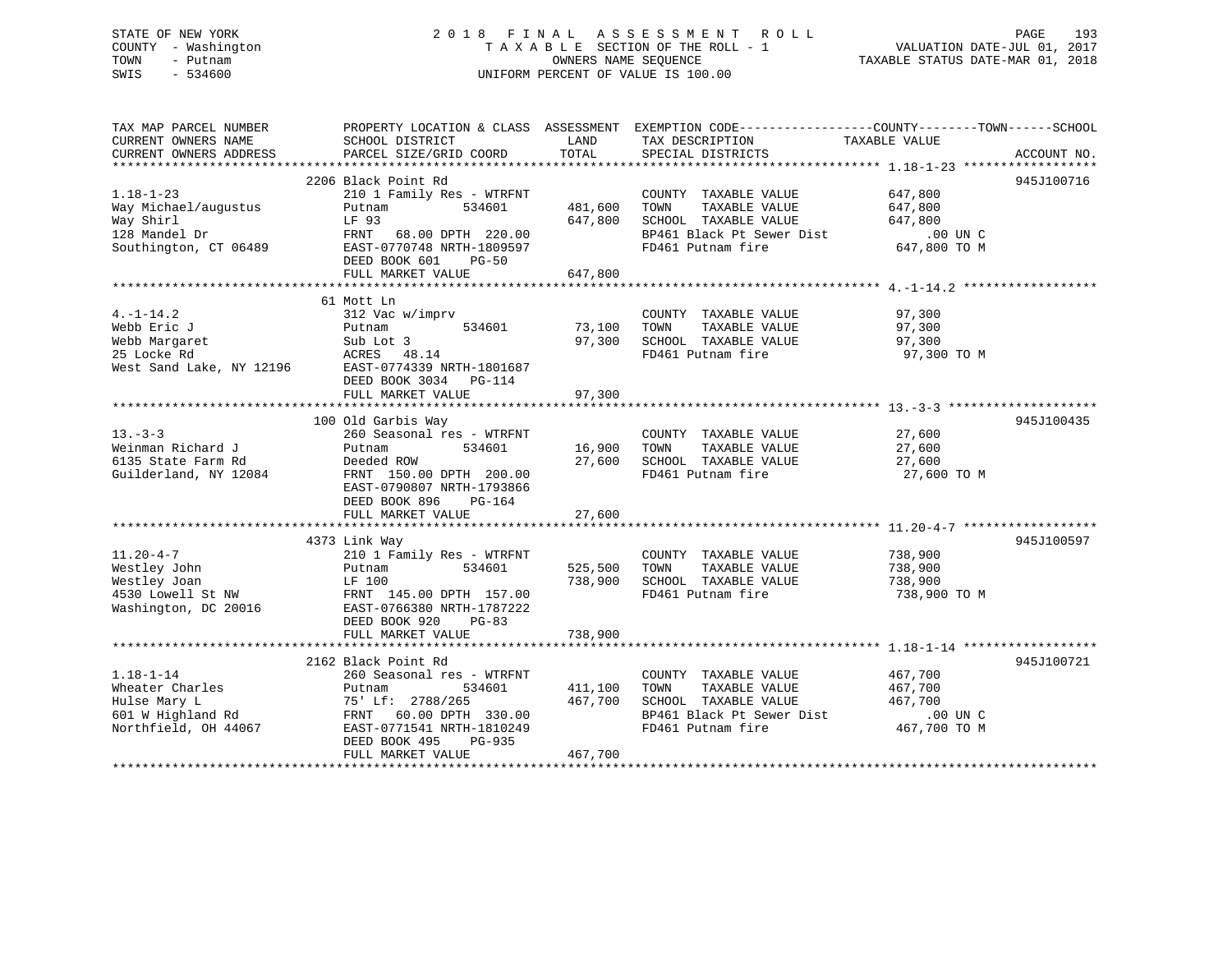# STATE OF NEW YORK 2 0 1 8 F I N A L A S S E S S M E N T R O L L PAGE 193 COUNTY - Washington T A X A B L E SECTION OF THE ROLL - 1 VALUATION DATE-JUL 01, 2017 TOWN - Putnam **CONNERS NAME SEQUENCE** TAXABLE STATUS DATE-MAR 01, 2018 SWIS - 534600 UNIFORM PERCENT OF VALUE IS 100.00

| TAX MAP PARCEL NUMBER    |                           |         | PROPERTY LOCATION & CLASS ASSESSMENT EXEMPTION CODE---------------COUNTY-------TOWN-----SCHOOL |               |             |
|--------------------------|---------------------------|---------|------------------------------------------------------------------------------------------------|---------------|-------------|
| CURRENT OWNERS NAME      | SCHOOL DISTRICT           | LAND    | TAX DESCRIPTION                                                                                | TAXABLE VALUE |             |
| CURRENT OWNERS ADDRESS   | PARCEL SIZE/GRID COORD    | TOTAL   | SPECIAL DISTRICTS                                                                              |               | ACCOUNT NO. |
|                          |                           |         |                                                                                                |               |             |
|                          | 2206 Black Point Rd       |         |                                                                                                |               | 945J100716  |
| $1.18 - 1 - 23$          | 210 1 Family Res - WTRFNT |         | COUNTY TAXABLE VALUE                                                                           | 647,800       |             |
| Way Michael/augustus     | 534601<br>Putnam          | 481,600 | TOWN<br>TAXABLE VALUE                                                                          | 647,800       |             |
| Way Shirl                | LF 93                     | 647,800 | SCHOOL TAXABLE VALUE                                                                           | 647,800       |             |
| 128 Mandel Dr            | FRNT 68.00 DPTH 220.00    |         | BP461 Black Pt Sewer Dist                                                                      | .00 UN C      |             |
| Southington, CT 06489    | EAST-0770748 NRTH-1809597 |         | FD461 Putnam fire                                                                              | 647,800 TO M  |             |
|                          | DEED BOOK 601<br>$PG-50$  |         |                                                                                                |               |             |
|                          |                           | 647,800 |                                                                                                |               |             |
|                          | FULL MARKET VALUE         |         |                                                                                                |               |             |
|                          |                           |         |                                                                                                |               |             |
|                          | 61 Mott Ln                |         |                                                                                                |               |             |
| $4. -1 - 14.2$           | 312 Vac w/imprv           |         | COUNTY TAXABLE VALUE                                                                           | 97,300        |             |
| Webb Eric J              | 534601<br>Putnam          | 73,100  | TOWN<br>TAXABLE VALUE                                                                          | 97,300        |             |
| Webb Margaret            | Sub Lot 3                 | 97,300  | SCHOOL TAXABLE VALUE                                                                           | 97,300        |             |
| 25 Locke Rd              | ACRES 48.14               |         | FD461 Putnam fire                                                                              | 97,300 TO M   |             |
| West Sand Lake, NY 12196 | EAST-0774339 NRTH-1801687 |         |                                                                                                |               |             |
|                          | DEED BOOK 3034 PG-114     |         |                                                                                                |               |             |
|                          | FULL MARKET VALUE         | 97,300  |                                                                                                |               |             |
|                          |                           |         |                                                                                                |               |             |
|                          | 100 Old Garbis Way        |         |                                                                                                |               | 945J100435  |
| $13 - 3 - 3$             | 260 Seasonal res - WTRFNT |         | COUNTY TAXABLE VALUE                                                                           | 27,600        |             |
| Weinman Richard J        | 534601<br>Putnam          | 16,900  | TOWN<br>TAXABLE VALUE                                                                          | 27,600        |             |
| 6135 State Farm Rd       | Deeded ROW                | 27,600  | SCHOOL TAXABLE VALUE                                                                           | 27,600        |             |
| Guilderland, NY 12084    | FRNT 150.00 DPTH 200.00   |         | FD461 Putnam fire                                                                              | 27,600 TO M   |             |
|                          | EAST-0790807 NRTH-1793866 |         |                                                                                                |               |             |
|                          | DEED BOOK 896<br>PG-164   |         |                                                                                                |               |             |
|                          | FULL MARKET VALUE         | 27,600  |                                                                                                |               |             |
|                          |                           |         |                                                                                                |               |             |
|                          | 4373 Link Way             |         |                                                                                                |               | 945J100597  |
| $11.20 - 4 - 7$          | 210 1 Family Res - WTRFNT |         | COUNTY TAXABLE VALUE                                                                           | 738,900       |             |
| Westley John             | 534601<br>Putnam          | 525,500 | TAXABLE VALUE<br>TOWN                                                                          | 738,900       |             |
| Westley Joan             | LF 100                    | 738,900 | SCHOOL TAXABLE VALUE                                                                           | 738,900       |             |
| 4530 Lowell St NW        | FRNT 145.00 DPTH 157.00   |         | FD461 Putnam fire                                                                              | 738,900 TO M  |             |
| Washington, DC 20016     | EAST-0766380 NRTH-1787222 |         |                                                                                                |               |             |
|                          | DEED BOOK 920<br>$PG-83$  |         |                                                                                                |               |             |
|                          |                           | 738,900 |                                                                                                |               |             |
|                          | FULL MARKET VALUE         |         |                                                                                                |               |             |
|                          | 2162 Black Point Rd       |         |                                                                                                |               | 945J100721  |
|                          |                           |         |                                                                                                |               |             |
| $1.18 - 1 - 14$          | 260 Seasonal res - WTRFNT |         | COUNTY TAXABLE VALUE                                                                           | 467,700       |             |
| Wheater Charles          | 534601<br>Putnam          | 411,100 | TAXABLE VALUE<br>TOWN                                                                          | 467,700       |             |
| Hulse Mary L             | 75' Lf: 2788/265          | 467,700 | SCHOOL TAXABLE VALUE                                                                           | 467,700       |             |
| 601 W Highland Rd        | FRNT 60.00 DPTH 330.00    |         | BP461 Black Pt Sewer Dist                                                                      | .00 UN C      |             |
| Northfield, OH 44067     | EAST-0771541 NRTH-1810249 |         | FD461 Putnam fire                                                                              | 467,700 TO M  |             |
|                          | DEED BOOK 495<br>PG-935   |         |                                                                                                |               |             |
|                          | FULL MARKET VALUE         | 467,700 |                                                                                                |               |             |
|                          |                           |         |                                                                                                |               |             |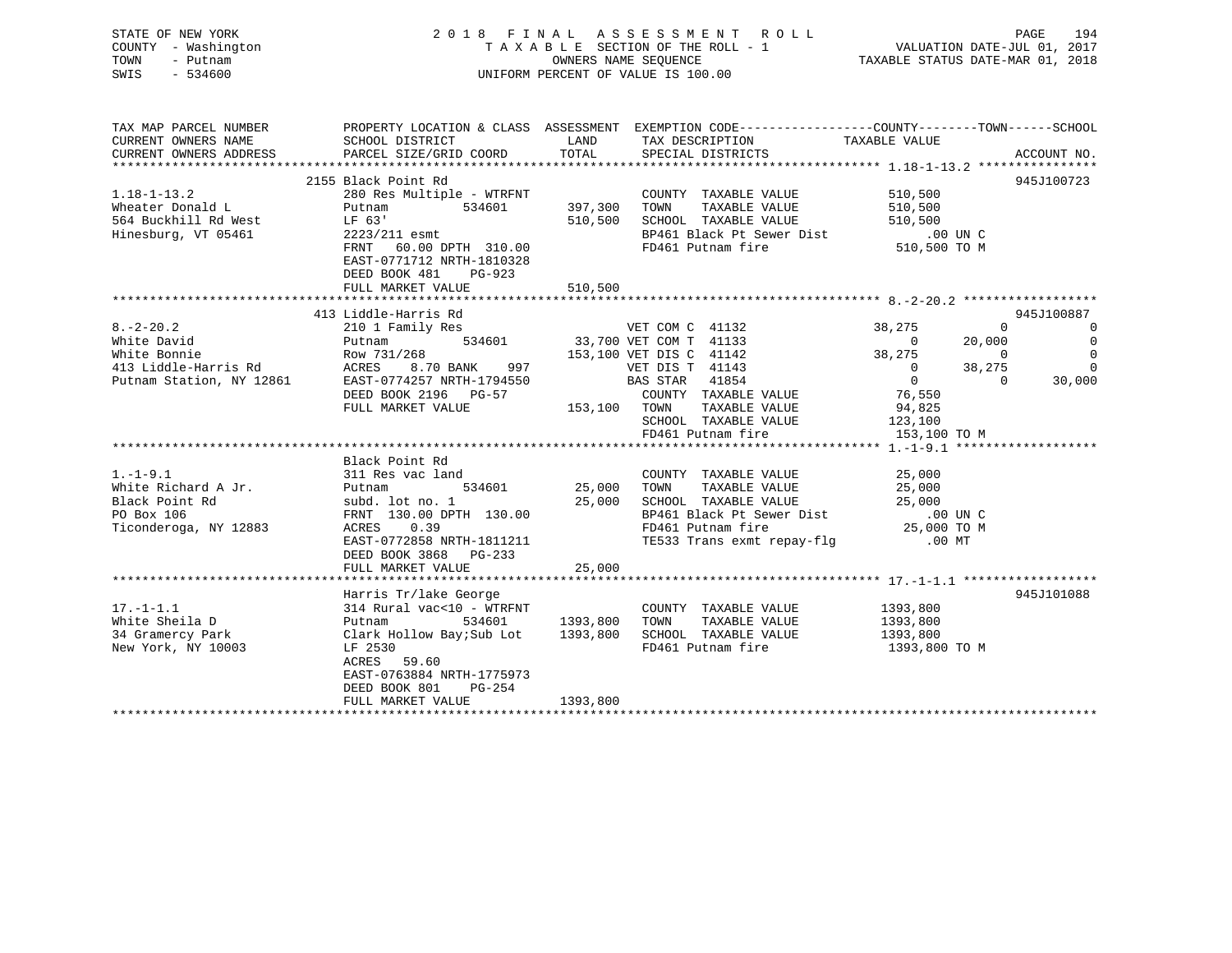| STATE OF NEW YORK<br>COUNTY - Washington<br>TOWN<br>- Putnam<br>$-534600$<br>SWIS                                                           | 2018<br>FINAL                                                                                                                                                                                                     |               | A S S E S S M E N T<br>R O L L<br>TAXABLE SECTION OF THE ROLL - 1<br>OWNERS NAME SEQUENCE<br>UNIFORM PERCENT OF VALUE IS 100.00                                                                                                                            | VALUATION DATE-JUL 01, 2017<br>TAXABLE STATUS DATE-MAR 01, 2018                                                                                               | PAGE<br>194                                                                                                              |
|---------------------------------------------------------------------------------------------------------------------------------------------|-------------------------------------------------------------------------------------------------------------------------------------------------------------------------------------------------------------------|---------------|------------------------------------------------------------------------------------------------------------------------------------------------------------------------------------------------------------------------------------------------------------|---------------------------------------------------------------------------------------------------------------------------------------------------------------|--------------------------------------------------------------------------------------------------------------------------|
| TAX MAP PARCEL NUMBER<br>CURRENT OWNERS NAME<br>CURRENT OWNERS ADDRESS                                                                      | SCHOOL DISTRICT<br>PARCEL SIZE/GRID COORD                                                                                                                                                                         | LAND<br>TOTAL | PROPERTY LOCATION & CLASS ASSESSMENT EXEMPTION CODE---------------COUNTY-------TOWN-----SCHOOL<br>TAX DESCRIPTION<br>SPECIAL DISTRICTS                                                                                                                     | TAXABLE VALUE                                                                                                                                                 | ACCOUNT NO.                                                                                                              |
|                                                                                                                                             |                                                                                                                                                                                                                   |               |                                                                                                                                                                                                                                                            |                                                                                                                                                               |                                                                                                                          |
|                                                                                                                                             | 2155 Black Point Rd                                                                                                                                                                                               |               |                                                                                                                                                                                                                                                            |                                                                                                                                                               | 945J100723                                                                                                               |
| $1.18 - 1 - 13.2$<br>Wheater Donald L<br>564 Buckhill Rd West<br>Hinesburg, VT 05461                                                        | 280 Res Multiple - WTRFNT<br>Putnam<br>534601<br>LF 63'<br>2223/211 esmt<br>FRNT<br>60.00 DPTH 310.00<br>EAST-0771712 NRTH-1810328                                                                                | 397,300       | COUNTY TAXABLE VALUE<br>TOWN<br>TAXABLE VALUE<br>510,500 SCHOOL TAXABLE VALUE<br>BP461 Black Pt Sewer Dist<br>FD461 Putnam fire                                                                                                                            | 510,500<br>510,500<br>510,500<br>$.00$ UN C<br>510,500 TO M                                                                                                   |                                                                                                                          |
|                                                                                                                                             | DEED BOOK 481<br>PG-923                                                                                                                                                                                           |               |                                                                                                                                                                                                                                                            |                                                                                                                                                               |                                                                                                                          |
|                                                                                                                                             | FULL MARKET VALUE                                                                                                                                                                                                 | 510,500       |                                                                                                                                                                                                                                                            |                                                                                                                                                               |                                                                                                                          |
|                                                                                                                                             | 413 Liddle-Harris Rd                                                                                                                                                                                              |               |                                                                                                                                                                                                                                                            |                                                                                                                                                               | 945J100887                                                                                                               |
| $8. - 2 - 20.2$<br>White David<br>White Bonnie<br>413 Liddle-Harris Rd<br>Putnam Station, NY 12861<br>$1. - 1 - 9.1$<br>White Richard A Jr. | 210 1 Family Res<br>534601<br>Putnam<br>Row 731/268<br>ACRES<br>8.70 BANK 997<br>EAST-0774257 NRTH-1794550<br>DEED BOOK 2196 PG-57<br>FULL MARKET VALUE<br>Black Point Rd<br>311 Res vac land<br>Putnam<br>534601 | 153,100 TOWN  | VET COM C 41132<br>33,700 VET COM T 41133<br>153,100 VET DIS C 41142<br>VET DIS T 41143<br>BAS STAR<br>41854<br>COUNTY TAXABLE VALUE<br>TAXABLE VALUE<br>SCHOOL TAXABLE VALUE<br>FD461 Putnam fire<br>COUNTY TAXABLE VALUE<br>25,000 TOWN<br>TAXABLE VALUE | 38,275<br>20,000<br>$\overline{0}$<br>38,275<br>$\overline{0}$<br>38,275<br>$\overline{0}$<br>76,550<br>94,825<br>123,100<br>153,100 TO M<br>25,000<br>25,000 | $\Omega$<br>$\overline{0}$<br>$\overline{0}$<br>$\overline{0}$<br>$\overline{0}$<br>$\overline{0}$<br>30,000<br>$\Omega$ |
| Black Point Rd<br>PO Box 106<br>Ticonderoga, NY 12883                                                                                       | subd. lot no. 1<br>FRNT 130.00 DPTH 130.00<br>0.39<br>ACRES<br>EAST-0772858 NRTH-1811211<br>DEED BOOK 3868 PG-233<br>FULL MARKET VALUE                                                                            | 25,000        | 25,000 SCHOOL TAXABLE VALUE<br>BP461 Black Pt Sewer Dist<br>FD461 Putnam fire<br>TE533 Trans exmt repay-flg                                                                                                                                                | 25,000<br>.00 UN C<br>25,000 TO M<br>$.00$ MT                                                                                                                 |                                                                                                                          |
|                                                                                                                                             |                                                                                                                                                                                                                   |               |                                                                                                                                                                                                                                                            |                                                                                                                                                               |                                                                                                                          |
| $17. - 1 - 1.1$<br>White Sheila D<br>34 Gramercy Park<br>New York, NY 10003                                                                 | Harris Tr/lake George<br>314 Rural vac<10 - WTRFNT<br>Putnam<br>534601<br>Clark Hollow Bay;Sub Lot<br>LF 2530<br>ACRES<br>59.60<br>EAST-0763884 NRTH-1775973<br>DEED BOOK 801<br>$PG-254$                         | 1393,800      | COUNTY TAXABLE VALUE<br>TOWN<br>TAXABLE VALUE<br>1393,800 SCHOOL TAXABLE VALUE<br>FD461 Putnam fire                                                                                                                                                        | 1393,800<br>1393,800<br>1393,800<br>1393,800 TO M                                                                                                             | 945J101088                                                                                                               |
|                                                                                                                                             | FULL MARKET VALUE                                                                                                                                                                                                 | 1393,800      |                                                                                                                                                                                                                                                            |                                                                                                                                                               |                                                                                                                          |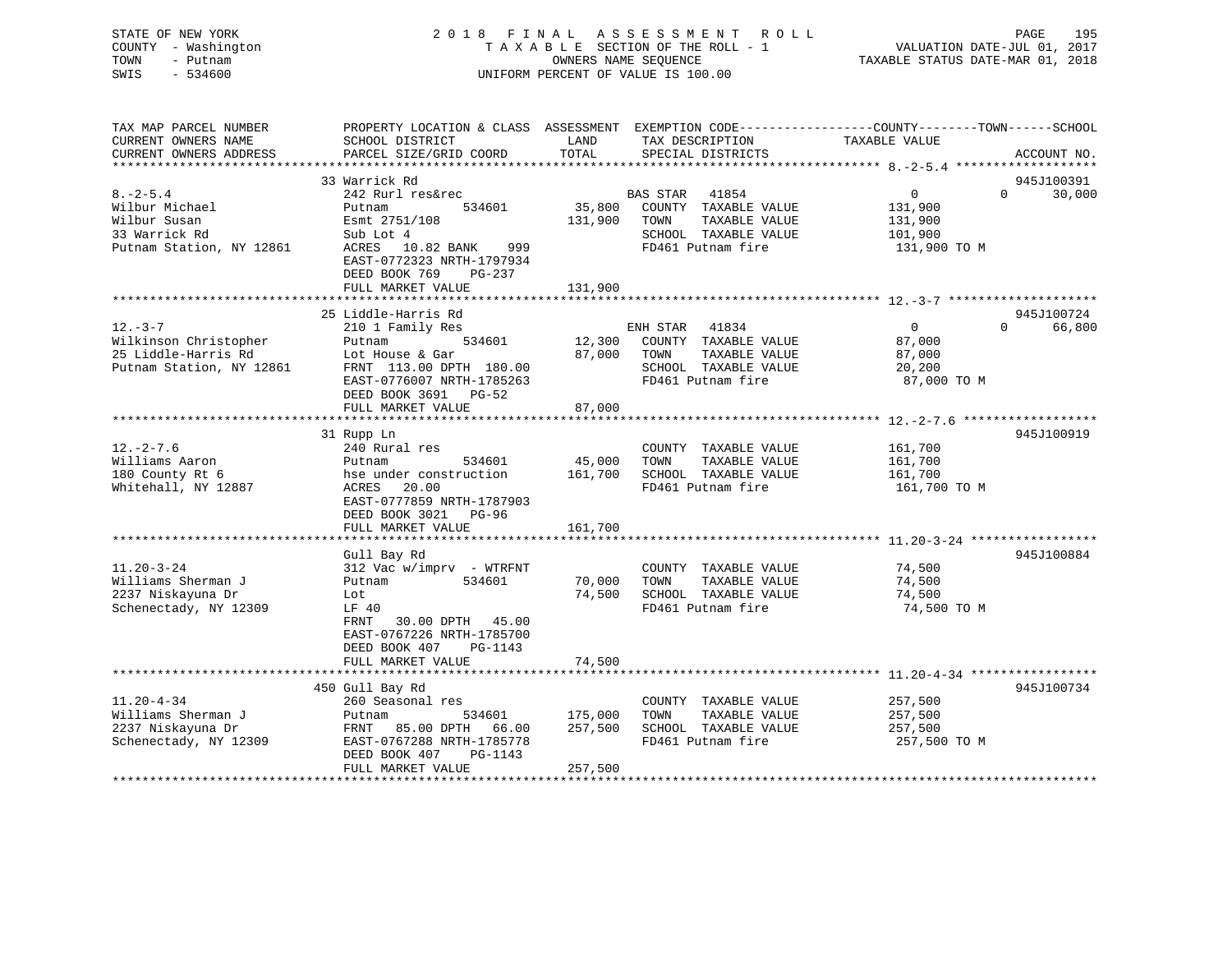| STATE OF NEW YORK<br>COUNTY - Washington<br>TOWN<br>- Putnam<br>$-534600$<br>SWIS            |                                                                                                                                                                           |                   | 2018 FINAL ASSESSMENT ROLL<br>TAXABLE SECTION OF THE ROLL - 1<br>OWNERS NAME SEQUENCE<br>UNIFORM PERCENT OF VALUE IS 100.00                  | 195<br>PAGE<br>VALUATION DATE-JUL 01, 2017<br>TAXABLE STATUS DATE-MAR 01, 2018                                                   |  |
|----------------------------------------------------------------------------------------------|---------------------------------------------------------------------------------------------------------------------------------------------------------------------------|-------------------|----------------------------------------------------------------------------------------------------------------------------------------------|----------------------------------------------------------------------------------------------------------------------------------|--|
| TAX MAP PARCEL NUMBER<br>CURRENT OWNERS NAME<br>CURRENT OWNERS ADDRESS                       | SCHOOL DISTRICT<br>PARCEL SIZE/GRID COORD                                                                                                                                 | LAND<br>TOTAL     | TAX DESCRIPTION<br>SPECIAL DISTRICTS                                                                                                         | PROPERTY LOCATION & CLASS ASSESSMENT EXEMPTION CODE----------------COUNTY-------TOWN------SCHOOL<br>TAXABLE VALUE<br>ACCOUNT NO. |  |
|                                                                                              | 33 Warrick Rd                                                                                                                                                             |                   |                                                                                                                                              | 945J100391                                                                                                                       |  |
| $8. -2 - 5.4$<br>Wilbur Michael<br>Wilbur Susan<br>33 Warrick Rd<br>Putnam Station, NY 12861 | 242 Rurl res&rec<br>534601<br>Putnam<br>Esmt 2751/108<br>Sub Lot 4<br>ACRES 10.82 BANK 999<br>EAST-0772323 NRTH-1797934<br>DEED BOOK 769<br>$PG-237$<br>FULL MARKET VALUE | 131,900           | BAS STAR 41854<br>35,800 COUNTY TAXABLE VALUE<br>TAXABLE VALUE<br>131,900 TOWN<br>SCHOOL TAXABLE VALUE<br>FD461 Putnam fire                  | 30,000<br>$\overline{0}$<br>$\Omega$<br>131,900<br>131,900<br>101,900<br>131,900 TO M                                            |  |
|                                                                                              |                                                                                                                                                                           |                   |                                                                                                                                              |                                                                                                                                  |  |
|                                                                                              | 25 Liddle-Harris Rd                                                                                                                                                       |                   |                                                                                                                                              | 945J100724                                                                                                                       |  |
| $12. - 3 - 7$<br>Wilkinson Christopher<br>25 Liddle-Harris Rd<br>Putnam Station, NY 12861    | 210 1 Family Res<br>534601<br>Putnam<br>Lot House & Gar<br>FRNT 113.00 DPTH 180.00<br>EAST-0776007 NRTH-1785263<br>DEED BOOK 3691 PG-52<br>FULL MARKET VALUE              | 87,000            | ENH STAR 41834<br>ENH STAR 41834<br>12,300 COUNTY TAXABLE VALUE<br>87,000 TOWN<br>TAXABLE VALUE<br>SCHOOL TAXABLE VALUE<br>FD461 Putnam fire | 66,800<br>$\Omega$<br>$0 \qquad \qquad$<br>87,000<br>87,000<br>20,200<br>87,000 TO M                                             |  |
|                                                                                              |                                                                                                                                                                           |                   |                                                                                                                                              |                                                                                                                                  |  |
| $12. - 2 - 7.6$<br>Williams Aaron<br>180 County Rt 6<br>Whitehall, NY 12887                  | 31 Rupp Ln<br>240 Rural res<br>534601<br>Putnam<br>hse under construction<br>20.00<br>ACRES<br>EAST-0777859 NRTH-1787903<br>DEED BOOK 3021 PG-96<br>FULL MARKET VALUE     | 45,000<br>161,700 | COUNTY TAXABLE VALUE 161,700<br>TOWN<br>TAXABLE VALUE<br>15,000 TOM THE VILLE<br>FD461 Putnam fire                                           | 945J100919<br>161,700<br>161,700<br>161,700 TO M                                                                                 |  |
|                                                                                              |                                                                                                                                                                           |                   |                                                                                                                                              |                                                                                                                                  |  |
| $11.20 - 3 - 24$                                                                             | Gull Bay Rd<br>$312$ Vac w/imprv - WTRFNT                                                                                                                                 |                   | COUNTY TAXABLE VALUE                                                                                                                         | 945J100884<br>74,500                                                                                                             |  |
| Williams Sherman J<br>2237 Niskayuna Dr<br>Schenectady, NY 12309                             | Putnam<br>534601<br>Lot<br>LF 40<br>FRNT<br>30.00 DPTH 45.00<br>EAST-0767226 NRTH-1785700<br>DEED BOOK 407 PG-1143                                                        | 74,500            | TAXABLE VALUE<br>70,000 TOWN<br>SCHOOL TAXABLE VALUE<br>FD461 Putnam fire                                                                    | 74,500<br>74,500<br>74,500 TO M                                                                                                  |  |

|                       | FULL MARKET VALUE         |         | 74,500  |        |                   |              |            |
|-----------------------|---------------------------|---------|---------|--------|-------------------|--------------|------------|
|                       |                           |         |         |        |                   |              |            |
|                       | 450 Gull Bay Rd           |         |         |        |                   |              | 945J100734 |
| $11.20 - 4 - 34$      | 260 Seasonal res          |         |         | COUNTY | TAXABLE VALUE     | 257,500      |            |
| Williams Sherman J    | Putnam                    | 534601  | 175,000 | TOWN   | TAXABLE VALUE     | 257,500      |            |
| 2237 Niskayuna Dr     | FRNT 85.00 DPTH 66.00     |         | 257,500 | SCHOOL | TAXABLE VALUE     | 257,500      |            |
| Schenectady, NY 12309 | EAST-0767288 NRTH-1785778 |         |         |        | FD461 Putnam fire | 257,500 TO M |            |
|                       | DEED BOOK 407             | PG-1143 |         |        |                   |              |            |
|                       | FULL MARKET VALUE         |         | 257,500 |        |                   |              |            |
|                       |                           |         |         |        |                   |              |            |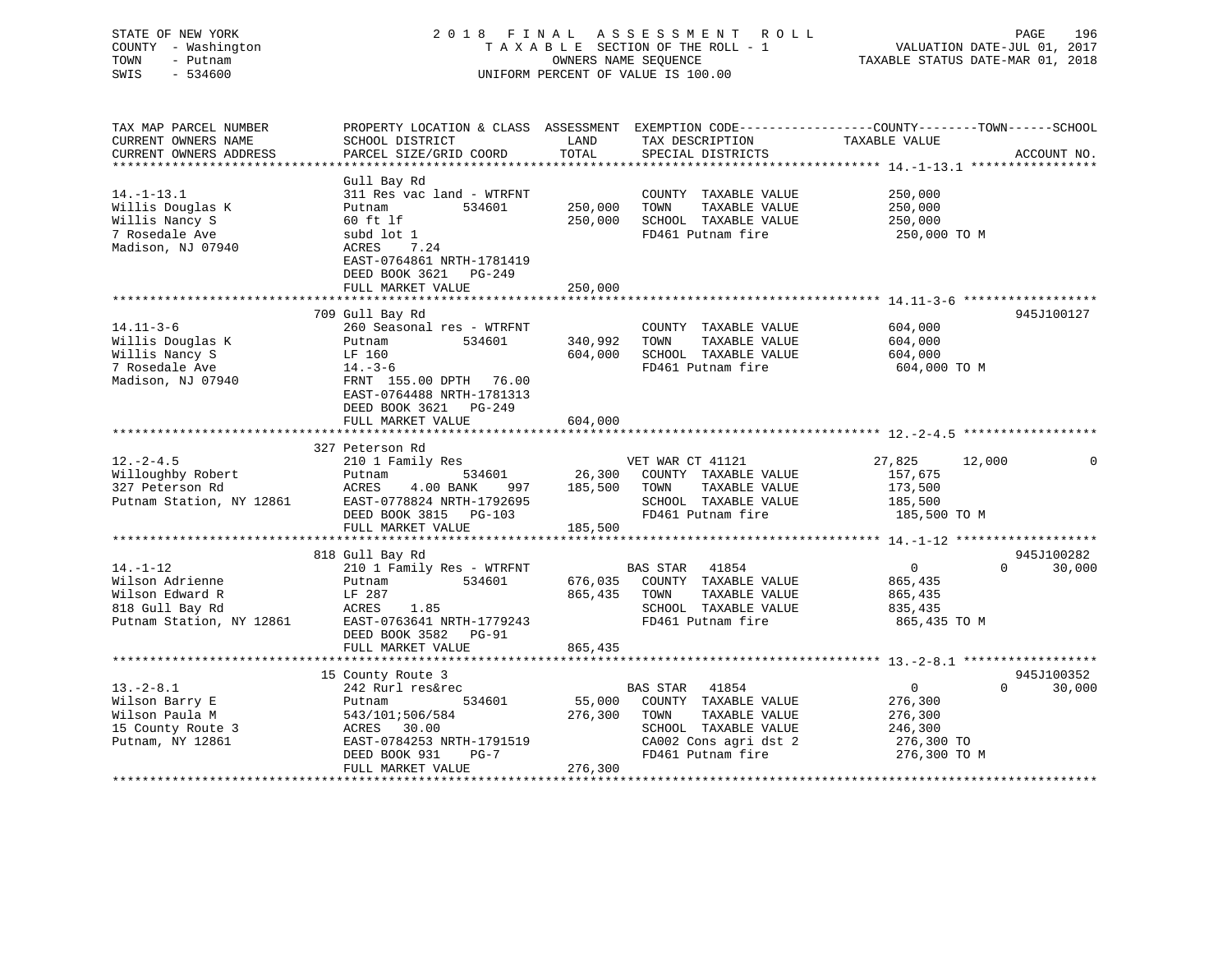| STATE OF NEW YORK<br>COUNTY - Washington<br>TOWN<br>- Putnam<br>SWIS<br>$-534600$             | 2018 FINAL ASSESSMENT ROLL<br>TAXABLE SECTION OF THE ROLL - 1 VALUATION DATE-JUL 01, 2017<br>OWNERS NAME SEQUENCE<br>UNIFORM PERCENT OF VALUE IS 100.00                                 |                               |                                                                                            | TAXABLE STATUS DATE-MAR 01, 2018              | PAGE   | 196         |
|-----------------------------------------------------------------------------------------------|-----------------------------------------------------------------------------------------------------------------------------------------------------------------------------------------|-------------------------------|--------------------------------------------------------------------------------------------|-----------------------------------------------|--------|-------------|
| TAX MAP PARCEL NUMBER<br>CURRENT OWNERS NAME                                                  | PROPERTY LOCATION & CLASS ASSESSMENT EXEMPTION CODE---------------COUNTY-------TOWN------SCHOOL<br>SCHOOL DISTRICT                                                                      |                               | LAND TAX DESCRIPTION TAXABLE VALUE                                                         |                                               |        | ACCOUNT NO. |
| $14. - 1 - 13.1$<br>Willis Douglas K<br>Willis Nancy S<br>7 Rosedale Ave<br>Madison, NJ 07940 | Gull Bay Rd<br>311 Res vac land - WTRFNT<br>534601<br>Putnam<br>60 ft lf<br>subd lot 1<br>ACRES 7.24<br>EAST-0764861 NRTH-1781419<br>DEED BOOK 3621<br>PG-249<br>FULL MARKET VALUE      | 250,000<br>250,000<br>250,000 | COUNTY TAXABLE VALUE<br>TAXABLE VALUE<br>TOWN<br>SCHOOL TAXABLE VALUE<br>FD461 Putnam fire | 250,000<br>250,000<br>250,000<br>250,000 TO M |        |             |
| $14.11 - 3 - 6$<br>Willis Douglas K<br>Willis Nancy S<br>7 Rosedale Ave<br>Madison, NJ 07940  | 709 Gull Bay Rd<br>260 Seasonal res - WTRFNT<br>Putnam 534601<br>LF 160<br>14.-3-6<br>FRNT 155.00 DPTH 76.00<br>EAST-0764488 NRTH-1781313<br>DEED BOOK 3621 PG-249<br>FULL MARKET VALUE | 340,992<br>604,000<br>604,000 | COUNTY TAXABLE VALUE<br>TOWN<br>TAXABLE VALUE<br>SCHOOL TAXABLE VALUE<br>FD461 Putnam fire | 604,000<br>604,000<br>604,000<br>604,000 TO M |        | 945J100127  |
| $12. - 2 - 4.5$<br>Willoughby Robert<br>327 Peterson Rd                                       | 327 Peterson Rd<br>210 1 Family Res<br>534601<br>Putnam<br>997<br>ACRES<br>4.00 BANK                                                                                                    | 185,500                       | VET WAR CT 41121<br>26,300 COUNTY TAXABLE VALUE<br>TOWN<br>TAXABLE VALUE                   | 27,825<br>157,675<br>173,500                  | 12,000 | 0           |

| 327 Peterson Rd          | 4.00 BANK 997<br>ACRES                       | 185,500 | TOWN           | TAXABLE VALUE         | 173,500      |                    |
|--------------------------|----------------------------------------------|---------|----------------|-----------------------|--------------|--------------------|
| Putnam Station, NY 12861 | EAST-0778824 NRTH-1792695                    |         |                | SCHOOL TAXABLE VALUE  | 185,500      |                    |
|                          | DEED BOOK 3815 PG-103                        |         |                | FD461 Putnam fire     | 185,500 TO M |                    |
|                          | 185,500<br>FULL MARKET VALUE                 |         |                |                       |              |                    |
|                          |                                              |         |                |                       |              |                    |
|                          | 818 Gull Bay Rd                              |         |                |                       |              | 945J100282         |
| $14. - 1 - 12$           | 210 1 Family Res - WTRFNT BAS STAR 41854     |         |                |                       | $\Omega$     | 30,000<br>$\Omega$ |
| Wilson Adrienne          | Putnam 534601 676,035 COUNTY TAXABLE VALUE   |         |                |                       | 865,435      |                    |
| Wilson Edward R          | $LF$ 287                                     | 865,435 | TOWN           | TAXABLE VALUE         | 865,435      |                    |
| 818 Gull Bay Rd          | ACRES 1.85                                   |         |                | SCHOOL TAXABLE VALUE  | 835,435      |                    |
| Putnam Station, NY 12861 | EAST-0763641 NRTH-1779243                    |         |                | FD461 Putnam fire     | 865,435 TO M |                    |
|                          | DEED BOOK 3582 PG-91                         |         |                |                       |              |                    |
|                          | FULL MARKET VALUE                            | 865,435 |                |                       |              |                    |
|                          |                                              |         |                |                       |              |                    |
|                          | 15 County Route 3                            |         |                |                       |              | 945J100352         |
| $13.-2-8.1$              | 242 Rurl res&rec                             |         | BAS STAR 41854 |                       | $\Omega$     | 30,000             |
| Wilson Barry E           | 534601 55,000 COUNTY TAXABLE VALUE<br>Putnam |         |                |                       | 276,300      |                    |
| Wilson Paula M           | 543/101;506/584                              | 276,300 | TOWN           | TAXABLE VALUE         | 276,300      |                    |
| 15 County Route 3        | ACRES 30.00                                  |         |                | SCHOOL TAXABLE VALUE  | 246,300      |                    |
| Putnam, NY 12861         | EAST-0784253 NRTH-1791519                    |         |                | CA002 Cons agri dst 2 | 276,300 TO   |                    |
|                          | DEED BOOK 931 PG-7                           |         |                | FD461 Putnam fire     | 276,300 TO M |                    |
|                          | FULL MARKET VALUE 276,300                    |         |                |                       |              |                    |
|                          |                                              |         |                |                       |              |                    |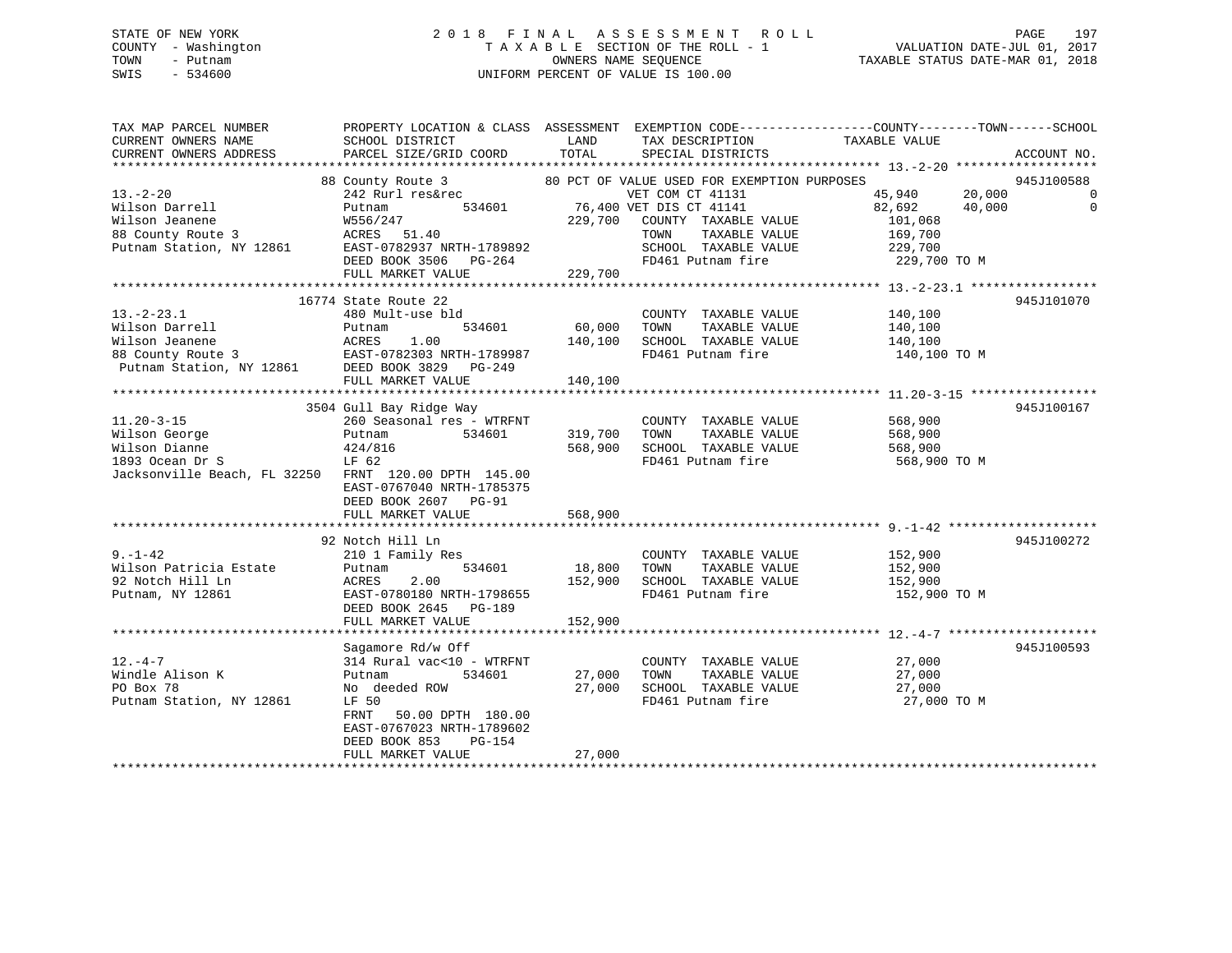# STATE OF NEW YORK 2 0 1 8 F I N A L A S S E S S M E N T R O L L PAGE 197 COUNTY - Washington T A X A B L E SECTION OF THE ROLL - 1 VALUATION DATE-JUL 01, 2017 TOWN - Putnam OWNERS NAME SEQUENCE TAXABLE STATUS DATE-MAR 01, 2018 SWIS - 534600 UNIFORM PERCENT OF VALUE IS 100.00

TAX MAP PARCEL NUMBER PROPERTY LOCATION & CLASS ASSESSMENT EXEMPTION CODE------------------COUNTY--------TOWN------SCHOOL

CURRENT OWNERS NAME SCHOOL DISTRICT THE LAND TAX DESCRIPTION TAXABLE VALUE

CURRENT OWNERS ADDRESS PARCEL SIZE/GRID COORD TOTAL SPECIAL DISTRICTS ACCOUNT NO. \*\*\*\*\*\*\*\*\*\*\*\*\*\*\*\*\*\*\*\*\*\*\*\*\*\*\*\*\*\*\*\*\*\*\*\*\*\*\*\*\*\*\*\*\*\*\*\*\*\*\*\*\*\*\*\*\*\*\*\*\*\*\*\*\*\*\*\*\*\*\*\*\*\*\*\*\*\*\*\*\*\*\*\*\*\*\*\*\*\*\*\*\*\*\*\*\*\*\*\*\*\*\* 13.-2-20 \*\*\*\*\*\*\*\*\*\*\*\*\*\*\*\*\*\*\* 88 County Route 3 80 PCT OF VALUE USED FOR EXEMPTION PURPOSES 945J100588 13.-2-20 242 Rurl res&rec VET COM CT 41131 45,940 20,000 0 Wilson Darrell Putnam 534601 76,400 VET DIS CT 41141 82,692 40,000 0 Wilson Jeanene W556/247 229,700 COUNTY TAXABLE VALUE 101,068 88 County Route 3 ACRES 51.40 TOWN TAXABLE VALUE 169,700 Putnam Station, NY 12861 EAST-0782937 NRTH-1789892 SCHOOL TAXABLE VALUE 229,700 DEED BOOK 3506 PG-264 FD461 Putnam fire 229,700 TO M EAST-0782937 NALL 1.1.<br>DEED BOOK 3506 PG-264<br>-- ''ALUE 229,700 \*\*\*\*\*\*\*\*\*\*\*\*\*\*\*\*\*\*\*\*\*\*\*\*\*\*\*\*\*\*\*\*\*\*\*\*\*\*\*\*\*\*\*\*\*\*\*\*\*\*\*\*\*\*\*\*\*\*\*\*\*\*\*\*\*\*\*\*\*\*\*\*\*\*\*\*\*\*\*\*\*\*\*\*\*\*\*\*\*\*\*\*\*\*\*\*\*\*\*\*\*\*\* 13.-2-23.1 \*\*\*\*\*\*\*\*\*\*\*\*\*\*\*\*\* 16774 State Route 22 945J10107013.-2-23.1 480 Mult-use bld COUNTY TAXABLE VALUE 140,100 Wilson Darrell Putnam 534601 60,000 TOWN TAXABLE VALUE 140,100 Wilson Jeanene ACRES 1.00 140,100 SCHOOL TAXABLE VALUE 140,100 88 County Route 3 EAST-0782303 NRTH-1789987 FD461 Putnam fire 140,100 TO M Putnam Station, NY 12861 DEED BOOK 3829 PG-249 FULL MARKET VALUE 140,100 \*\*\*\*\*\*\*\*\*\*\*\*\*\*\*\*\*\*\*\*\*\*\*\*\*\*\*\*\*\*\*\*\*\*\*\*\*\*\*\*\*\*\*\*\*\*\*\*\*\*\*\*\*\*\*\*\*\*\*\*\*\*\*\*\*\*\*\*\*\*\*\*\*\*\*\*\*\*\*\*\*\*\*\*\*\*\*\*\*\*\*\*\*\*\*\*\*\*\*\*\*\*\* 11.20-3-15 \*\*\*\*\*\*\*\*\*\*\*\*\*\*\*\*\* 3504 Gull Bay Ridge Way 945J100167 11.20-3-15 260 Seasonal res - WTRFNT COUNTY TAXABLE VALUE 568,900 Wilson George Putnam 534601 319,700 TOWN TAXABLE VALUE 568,900 Wilson Dianne 424/816 568,900 SCHOOL TAXABLE VALUE 568,900 1893 Ocean Dr S LF 62 FD461 Putnam fire 568,900 TO M Jacksonville Beach, FL 32250 FRNT 120.00 DPTH 145.00 EAST-0767040 NRTH-1785375 DEED BOOK 2607 PG-91 FULL MARKET VALUE 568,900 \*\*\*\*\*\*\*\*\*\*\*\*\*\*\*\*\*\*\*\*\*\*\*\*\*\*\*\*\*\*\*\*\*\*\*\*\*\*\*\*\*\*\*\*\*\*\*\*\*\*\*\*\*\*\*\*\*\*\*\*\*\*\*\*\*\*\*\*\*\*\*\*\*\*\*\*\*\*\*\*\*\*\*\*\*\*\*\*\*\*\*\*\*\*\*\*\*\*\*\*\*\*\* 9.-1-42 \*\*\*\*\*\*\*\*\*\*\*\*\*\*\*\*\*\*\*\* 92 Notch Hill Ln 945J1002729.-1-42 210 1 Family Res COUNTY TAXABLE VALUE 152,900 Wilson Patricia Estate Putnam 534601 18,800 TOWN TAXABLE VALUE 152,900 92 Notch Hill Ln ACRES 2.00 152,900 SCHOOL TAXABLE VALUE 152,900 Putnam, NY 12861 EAST-0780180 NRTH-1798655 FD461 Putnam fire 152,900 TO M DEED BOOK 2645 PG-189FULL MARKET VALUE 152,900 \*\*\*\*\*\*\*\*\*\*\*\*\*\*\*\*\*\*\*\*\*\*\*\*\*\*\*\*\*\*\*\*\*\*\*\*\*\*\*\*\*\*\*\*\*\*\*\*\*\*\*\*\*\*\*\*\*\*\*\*\*\*\*\*\*\*\*\*\*\*\*\*\*\*\*\*\*\*\*\*\*\*\*\*\*\*\*\*\*\*\*\*\*\*\*\*\*\*\*\*\*\*\* 12.-4-7 \*\*\*\*\*\*\*\*\*\*\*\*\*\*\*\*\*\*\*\* Sagamore Rd/w Off 945J100593 12.-4-7 314 Rural vac<10 - WTRFNT COUNTY TAXABLE VALUE 27,000 Windle Alison K Putnam 534601 27,000 TOWN TAXABLE VALUE 27,000 PO Box 78 No deeded ROW 27,000 SCHOOL TAXABLE VALUE 27,000 Putnam Station, NY 12861 LF 50 FD461 Putnam fire 27,000 TO M FRNT 50.00 DPTH 180.00 EAST-0767023 NRTH-1789602 DEED BOOK 853 PG-154 FULL MARKET VALUE 27,000 \*\*\*\*\*\*\*\*\*\*\*\*\*\*\*\*\*\*\*\*\*\*\*\*\*\*\*\*\*\*\*\*\*\*\*\*\*\*\*\*\*\*\*\*\*\*\*\*\*\*\*\*\*\*\*\*\*\*\*\*\*\*\*\*\*\*\*\*\*\*\*\*\*\*\*\*\*\*\*\*\*\*\*\*\*\*\*\*\*\*\*\*\*\*\*\*\*\*\*\*\*\*\*\*\*\*\*\*\*\*\*\*\*\*\*\*\*\*\*\*\*\*\*\*\*\*\*\*\*\*\*\*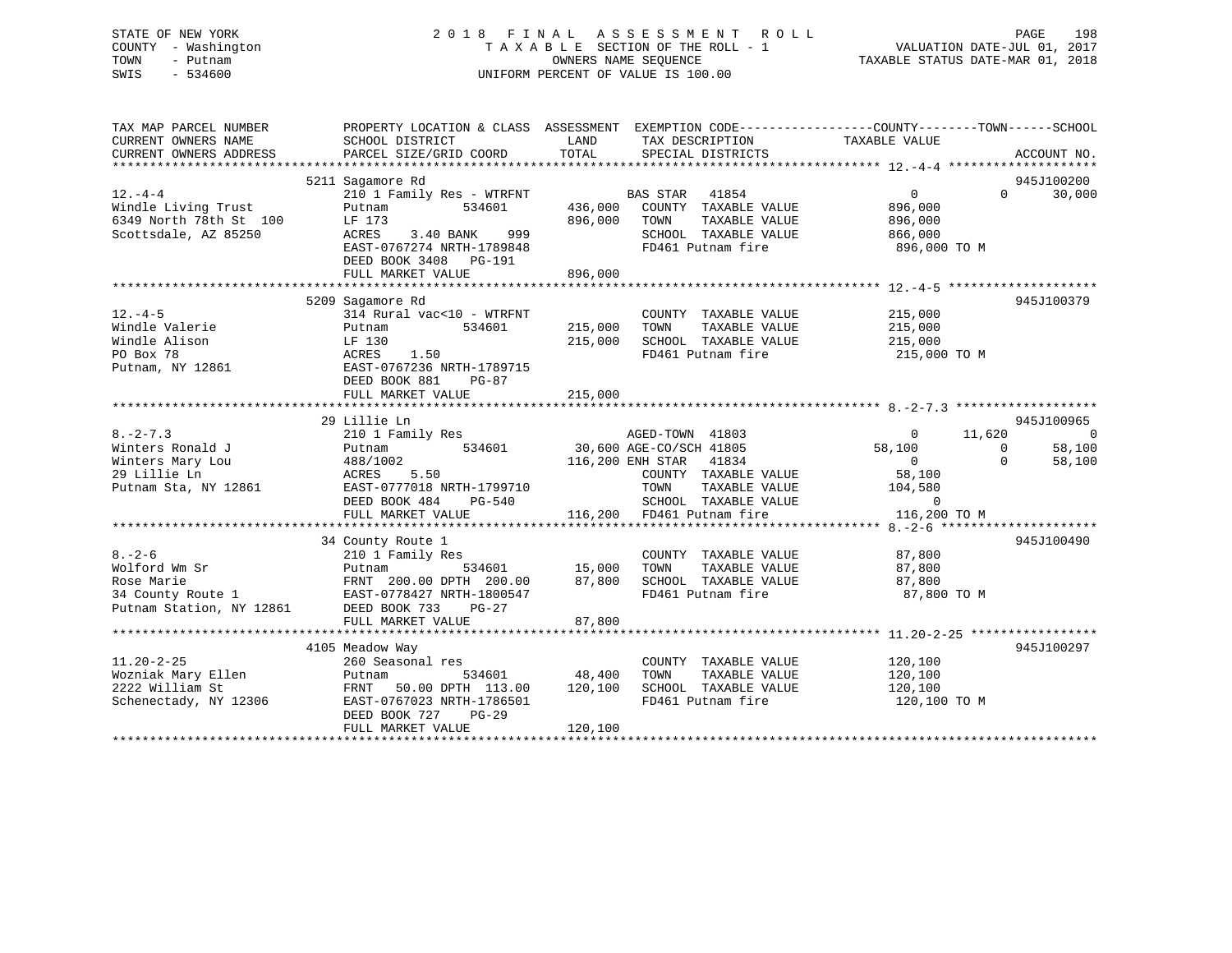# STATE OF NEW YORK 2 0 1 8 F I N A L A S S E S S M E N T R O L L PAGE 198 COUNTY - Washington T A X A B L E SECTION OF THE ROLL - 1 VALUATION DATE-JUL 01, 2017 TOWN - Putnam OWNERS NAME SEQUENCE TAXABLE STATUS DATE-MAR 01, 2018 SWIS - 534600 UNIFORM PERCENT OF VALUE IS 100.00

| TAXABLE VALUE<br>CURRENT OWNERS NAME<br>SCHOOL DISTRICT<br>LAND<br>TAX DESCRIPTION<br>TOTAL<br>CURRENT OWNERS ADDRESS<br>PARCEL SIZE/GRID COORD<br>SPECIAL DISTRICTS<br>ACCOUNT NO.<br>5211 Sagamore Rd<br>945J100200<br>210 1 Family Res - WTRFNT BAS STAR 41854<br>$12. -4 - 4$<br>$\overline{0}$<br>$\Omega$<br>30,000<br>436,000 COUNTY TAXABLE VALUE<br>Windle Living Trust<br>534601<br>896,000<br>Putnam<br>6349 North 78th St 100<br>LF 173<br>896,000 TOWN<br>TAXABLE VALUE<br>896,000<br>Scottsdale, AZ 85250<br>ACRES<br>3.40 BANK 999<br>SCHOOL TAXABLE VALUE<br>866,000<br>896,000 TO M<br>EAST-0767274 NRTH-1789848<br>FD461 Putnam fire<br>DEED BOOK 3408 PG-191<br>896,000<br>FULL MARKET VALUE<br>5209 Sagamore Rd<br>945J100379<br>$12. - 4 - 5$<br>314 Rural vac<10 - WTRFNT<br>215,000<br>COUNTY TAXABLE VALUE<br>Windle Valerie<br>215,000 TOWN<br>534601<br>TAXABLE VALUE<br>215,000<br>Putnam<br>215,000<br>Windle Alison<br>215,000<br>SCHOOL TAXABLE VALUE<br>LF 130<br>FD461 Putnam fire<br>PO Box 78<br>ACRES<br>1.50<br>215,000 TO M<br>EAST-0767236 NRTH-1789715<br>Putnam, NY 12861<br>DEED BOOK 881<br>PG-87<br>29 Lillie Ln<br>945J100965<br>$8. -2 - 7.3$<br>210 1 Family Res<br>11,620<br>$\overline{\phantom{0}}$<br>AGED-TOWN 41803<br>$\overline{0}$<br>$534601$ 30,600 AGE-CO/SCH 41805<br>58,100<br>58,100<br>Winters Ronald J<br>Putnam<br>$\bigcirc$<br>Winters Mary Lou<br>488/1002<br>116,200 ENH STAR 41834<br>$\overline{0}$<br>$\Omega$<br>58,100<br>58,100<br>29 Lillie Ln<br>5.50<br>COUNTY TAXABLE VALUE<br>ACRES<br>EAST-0777018 NRTH-1799710<br>104,580<br>Putnam Sta, NY 12861<br>TOWN<br>TOWN      TAXABLE VALUE<br>SCHOOL   TAXABLE VALUE<br>DEED BOOK 484 PG-540<br>$\sim$ 0<br>945J100490<br>34 County Route 1<br>$8 - 2 - 6$<br>3<br>534601 15,000 TOWN<br>210 1 Family Res<br>COUNTY TAXABLE VALUE<br>87,800<br>Wolford Wm Sr<br>TAXABLE VALUE<br>87,800<br>Putnam<br>Rose Marie                                 FRNT   200.00 DPTH   200.00         87,800         34 County Route 1                       EAST-0778427 NRTH-1800547<br>SCHOOL TAXABLE VALUE<br>87,800<br>FD461 Putnam fire<br>87,800 TO M<br>Putnam Station, NY 12861 DEED BOOK 733<br>PG-27<br>87,800<br>FULL MARKET VALUE<br>4105 Meadow Way<br>945J100297<br>260 Seasonal res<br>$11.20 - 2 - 25$<br>COUNTY TAXABLE VALUE 120,100<br>Wozniak Mary Ellen<br>534601 48,400<br>TAXABLE VALUE<br>TOWN<br>120,100<br>Putnam<br>2222 William St<br>FRNT 50.00 DPTH 113.00 120,100 SCHOOL TAXABLE VALUE<br>120,100<br>FD461 Putnam fire<br>Schenectady, NY 12306<br>EAST-0767023 NRTH-1786501<br>120,100 TO M<br>DEED BOOK 727<br>PG-29<br>120,100<br>FULL MARKET VALUE | TAX MAP PARCEL NUMBER |  | PROPERTY LOCATION & CLASS ASSESSMENT EXEMPTION CODE---------------COUNTY-------TOWN------SCHOOL |
|-------------------------------------------------------------------------------------------------------------------------------------------------------------------------------------------------------------------------------------------------------------------------------------------------------------------------------------------------------------------------------------------------------------------------------------------------------------------------------------------------------------------------------------------------------------------------------------------------------------------------------------------------------------------------------------------------------------------------------------------------------------------------------------------------------------------------------------------------------------------------------------------------------------------------------------------------------------------------------------------------------------------------------------------------------------------------------------------------------------------------------------------------------------------------------------------------------------------------------------------------------------------------------------------------------------------------------------------------------------------------------------------------------------------------------------------------------------------------------------------------------------------------------------------------------------------------------------------------------------------------------------------------------------------------------------------------------------------------------------------------------------------------------------------------------------------------------------------------------------------------------------------------------------------------------------------------------------------------------------------------------------------------------------------------------------------------------------------------------------------------------------------------------------------------------------------------------------------------------------------------------------------------------------------------------------------------------------------------------------------------------------------------------------------------------------------------------------------------------------------------------------------------------------------------------------------------------------------------------------------------------------------------------------------------------------------------|-----------------------|--|-------------------------------------------------------------------------------------------------|
|                                                                                                                                                                                                                                                                                                                                                                                                                                                                                                                                                                                                                                                                                                                                                                                                                                                                                                                                                                                                                                                                                                                                                                                                                                                                                                                                                                                                                                                                                                                                                                                                                                                                                                                                                                                                                                                                                                                                                                                                                                                                                                                                                                                                                                                                                                                                                                                                                                                                                                                                                                                                                                                                                                 |                       |  |                                                                                                 |
|                                                                                                                                                                                                                                                                                                                                                                                                                                                                                                                                                                                                                                                                                                                                                                                                                                                                                                                                                                                                                                                                                                                                                                                                                                                                                                                                                                                                                                                                                                                                                                                                                                                                                                                                                                                                                                                                                                                                                                                                                                                                                                                                                                                                                                                                                                                                                                                                                                                                                                                                                                                                                                                                                                 |                       |  |                                                                                                 |
|                                                                                                                                                                                                                                                                                                                                                                                                                                                                                                                                                                                                                                                                                                                                                                                                                                                                                                                                                                                                                                                                                                                                                                                                                                                                                                                                                                                                                                                                                                                                                                                                                                                                                                                                                                                                                                                                                                                                                                                                                                                                                                                                                                                                                                                                                                                                                                                                                                                                                                                                                                                                                                                                                                 |                       |  |                                                                                                 |
|                                                                                                                                                                                                                                                                                                                                                                                                                                                                                                                                                                                                                                                                                                                                                                                                                                                                                                                                                                                                                                                                                                                                                                                                                                                                                                                                                                                                                                                                                                                                                                                                                                                                                                                                                                                                                                                                                                                                                                                                                                                                                                                                                                                                                                                                                                                                                                                                                                                                                                                                                                                                                                                                                                 |                       |  |                                                                                                 |
|                                                                                                                                                                                                                                                                                                                                                                                                                                                                                                                                                                                                                                                                                                                                                                                                                                                                                                                                                                                                                                                                                                                                                                                                                                                                                                                                                                                                                                                                                                                                                                                                                                                                                                                                                                                                                                                                                                                                                                                                                                                                                                                                                                                                                                                                                                                                                                                                                                                                                                                                                                                                                                                                                                 |                       |  |                                                                                                 |
|                                                                                                                                                                                                                                                                                                                                                                                                                                                                                                                                                                                                                                                                                                                                                                                                                                                                                                                                                                                                                                                                                                                                                                                                                                                                                                                                                                                                                                                                                                                                                                                                                                                                                                                                                                                                                                                                                                                                                                                                                                                                                                                                                                                                                                                                                                                                                                                                                                                                                                                                                                                                                                                                                                 |                       |  |                                                                                                 |
|                                                                                                                                                                                                                                                                                                                                                                                                                                                                                                                                                                                                                                                                                                                                                                                                                                                                                                                                                                                                                                                                                                                                                                                                                                                                                                                                                                                                                                                                                                                                                                                                                                                                                                                                                                                                                                                                                                                                                                                                                                                                                                                                                                                                                                                                                                                                                                                                                                                                                                                                                                                                                                                                                                 |                       |  |                                                                                                 |
|                                                                                                                                                                                                                                                                                                                                                                                                                                                                                                                                                                                                                                                                                                                                                                                                                                                                                                                                                                                                                                                                                                                                                                                                                                                                                                                                                                                                                                                                                                                                                                                                                                                                                                                                                                                                                                                                                                                                                                                                                                                                                                                                                                                                                                                                                                                                                                                                                                                                                                                                                                                                                                                                                                 |                       |  |                                                                                                 |
|                                                                                                                                                                                                                                                                                                                                                                                                                                                                                                                                                                                                                                                                                                                                                                                                                                                                                                                                                                                                                                                                                                                                                                                                                                                                                                                                                                                                                                                                                                                                                                                                                                                                                                                                                                                                                                                                                                                                                                                                                                                                                                                                                                                                                                                                                                                                                                                                                                                                                                                                                                                                                                                                                                 |                       |  |                                                                                                 |
|                                                                                                                                                                                                                                                                                                                                                                                                                                                                                                                                                                                                                                                                                                                                                                                                                                                                                                                                                                                                                                                                                                                                                                                                                                                                                                                                                                                                                                                                                                                                                                                                                                                                                                                                                                                                                                                                                                                                                                                                                                                                                                                                                                                                                                                                                                                                                                                                                                                                                                                                                                                                                                                                                                 |                       |  |                                                                                                 |
|                                                                                                                                                                                                                                                                                                                                                                                                                                                                                                                                                                                                                                                                                                                                                                                                                                                                                                                                                                                                                                                                                                                                                                                                                                                                                                                                                                                                                                                                                                                                                                                                                                                                                                                                                                                                                                                                                                                                                                                                                                                                                                                                                                                                                                                                                                                                                                                                                                                                                                                                                                                                                                                                                                 |                       |  |                                                                                                 |
|                                                                                                                                                                                                                                                                                                                                                                                                                                                                                                                                                                                                                                                                                                                                                                                                                                                                                                                                                                                                                                                                                                                                                                                                                                                                                                                                                                                                                                                                                                                                                                                                                                                                                                                                                                                                                                                                                                                                                                                                                                                                                                                                                                                                                                                                                                                                                                                                                                                                                                                                                                                                                                                                                                 |                       |  |                                                                                                 |
|                                                                                                                                                                                                                                                                                                                                                                                                                                                                                                                                                                                                                                                                                                                                                                                                                                                                                                                                                                                                                                                                                                                                                                                                                                                                                                                                                                                                                                                                                                                                                                                                                                                                                                                                                                                                                                                                                                                                                                                                                                                                                                                                                                                                                                                                                                                                                                                                                                                                                                                                                                                                                                                                                                 |                       |  |                                                                                                 |
|                                                                                                                                                                                                                                                                                                                                                                                                                                                                                                                                                                                                                                                                                                                                                                                                                                                                                                                                                                                                                                                                                                                                                                                                                                                                                                                                                                                                                                                                                                                                                                                                                                                                                                                                                                                                                                                                                                                                                                                                                                                                                                                                                                                                                                                                                                                                                                                                                                                                                                                                                                                                                                                                                                 |                       |  |                                                                                                 |
|                                                                                                                                                                                                                                                                                                                                                                                                                                                                                                                                                                                                                                                                                                                                                                                                                                                                                                                                                                                                                                                                                                                                                                                                                                                                                                                                                                                                                                                                                                                                                                                                                                                                                                                                                                                                                                                                                                                                                                                                                                                                                                                                                                                                                                                                                                                                                                                                                                                                                                                                                                                                                                                                                                 |                       |  |                                                                                                 |
|                                                                                                                                                                                                                                                                                                                                                                                                                                                                                                                                                                                                                                                                                                                                                                                                                                                                                                                                                                                                                                                                                                                                                                                                                                                                                                                                                                                                                                                                                                                                                                                                                                                                                                                                                                                                                                                                                                                                                                                                                                                                                                                                                                                                                                                                                                                                                                                                                                                                                                                                                                                                                                                                                                 |                       |  |                                                                                                 |
|                                                                                                                                                                                                                                                                                                                                                                                                                                                                                                                                                                                                                                                                                                                                                                                                                                                                                                                                                                                                                                                                                                                                                                                                                                                                                                                                                                                                                                                                                                                                                                                                                                                                                                                                                                                                                                                                                                                                                                                                                                                                                                                                                                                                                                                                                                                                                                                                                                                                                                                                                                                                                                                                                                 |                       |  |                                                                                                 |
|                                                                                                                                                                                                                                                                                                                                                                                                                                                                                                                                                                                                                                                                                                                                                                                                                                                                                                                                                                                                                                                                                                                                                                                                                                                                                                                                                                                                                                                                                                                                                                                                                                                                                                                                                                                                                                                                                                                                                                                                                                                                                                                                                                                                                                                                                                                                                                                                                                                                                                                                                                                                                                                                                                 |                       |  |                                                                                                 |
|                                                                                                                                                                                                                                                                                                                                                                                                                                                                                                                                                                                                                                                                                                                                                                                                                                                                                                                                                                                                                                                                                                                                                                                                                                                                                                                                                                                                                                                                                                                                                                                                                                                                                                                                                                                                                                                                                                                                                                                                                                                                                                                                                                                                                                                                                                                                                                                                                                                                                                                                                                                                                                                                                                 |                       |  |                                                                                                 |
|                                                                                                                                                                                                                                                                                                                                                                                                                                                                                                                                                                                                                                                                                                                                                                                                                                                                                                                                                                                                                                                                                                                                                                                                                                                                                                                                                                                                                                                                                                                                                                                                                                                                                                                                                                                                                                                                                                                                                                                                                                                                                                                                                                                                                                                                                                                                                                                                                                                                                                                                                                                                                                                                                                 |                       |  |                                                                                                 |
|                                                                                                                                                                                                                                                                                                                                                                                                                                                                                                                                                                                                                                                                                                                                                                                                                                                                                                                                                                                                                                                                                                                                                                                                                                                                                                                                                                                                                                                                                                                                                                                                                                                                                                                                                                                                                                                                                                                                                                                                                                                                                                                                                                                                                                                                                                                                                                                                                                                                                                                                                                                                                                                                                                 |                       |  |                                                                                                 |
|                                                                                                                                                                                                                                                                                                                                                                                                                                                                                                                                                                                                                                                                                                                                                                                                                                                                                                                                                                                                                                                                                                                                                                                                                                                                                                                                                                                                                                                                                                                                                                                                                                                                                                                                                                                                                                                                                                                                                                                                                                                                                                                                                                                                                                                                                                                                                                                                                                                                                                                                                                                                                                                                                                 |                       |  |                                                                                                 |
|                                                                                                                                                                                                                                                                                                                                                                                                                                                                                                                                                                                                                                                                                                                                                                                                                                                                                                                                                                                                                                                                                                                                                                                                                                                                                                                                                                                                                                                                                                                                                                                                                                                                                                                                                                                                                                                                                                                                                                                                                                                                                                                                                                                                                                                                                                                                                                                                                                                                                                                                                                                                                                                                                                 |                       |  |                                                                                                 |
|                                                                                                                                                                                                                                                                                                                                                                                                                                                                                                                                                                                                                                                                                                                                                                                                                                                                                                                                                                                                                                                                                                                                                                                                                                                                                                                                                                                                                                                                                                                                                                                                                                                                                                                                                                                                                                                                                                                                                                                                                                                                                                                                                                                                                                                                                                                                                                                                                                                                                                                                                                                                                                                                                                 |                       |  |                                                                                                 |
|                                                                                                                                                                                                                                                                                                                                                                                                                                                                                                                                                                                                                                                                                                                                                                                                                                                                                                                                                                                                                                                                                                                                                                                                                                                                                                                                                                                                                                                                                                                                                                                                                                                                                                                                                                                                                                                                                                                                                                                                                                                                                                                                                                                                                                                                                                                                                                                                                                                                                                                                                                                                                                                                                                 |                       |  |                                                                                                 |
|                                                                                                                                                                                                                                                                                                                                                                                                                                                                                                                                                                                                                                                                                                                                                                                                                                                                                                                                                                                                                                                                                                                                                                                                                                                                                                                                                                                                                                                                                                                                                                                                                                                                                                                                                                                                                                                                                                                                                                                                                                                                                                                                                                                                                                                                                                                                                                                                                                                                                                                                                                                                                                                                                                 |                       |  |                                                                                                 |
|                                                                                                                                                                                                                                                                                                                                                                                                                                                                                                                                                                                                                                                                                                                                                                                                                                                                                                                                                                                                                                                                                                                                                                                                                                                                                                                                                                                                                                                                                                                                                                                                                                                                                                                                                                                                                                                                                                                                                                                                                                                                                                                                                                                                                                                                                                                                                                                                                                                                                                                                                                                                                                                                                                 |                       |  |                                                                                                 |
|                                                                                                                                                                                                                                                                                                                                                                                                                                                                                                                                                                                                                                                                                                                                                                                                                                                                                                                                                                                                                                                                                                                                                                                                                                                                                                                                                                                                                                                                                                                                                                                                                                                                                                                                                                                                                                                                                                                                                                                                                                                                                                                                                                                                                                                                                                                                                                                                                                                                                                                                                                                                                                                                                                 |                       |  |                                                                                                 |
|                                                                                                                                                                                                                                                                                                                                                                                                                                                                                                                                                                                                                                                                                                                                                                                                                                                                                                                                                                                                                                                                                                                                                                                                                                                                                                                                                                                                                                                                                                                                                                                                                                                                                                                                                                                                                                                                                                                                                                                                                                                                                                                                                                                                                                                                                                                                                                                                                                                                                                                                                                                                                                                                                                 |                       |  |                                                                                                 |
|                                                                                                                                                                                                                                                                                                                                                                                                                                                                                                                                                                                                                                                                                                                                                                                                                                                                                                                                                                                                                                                                                                                                                                                                                                                                                                                                                                                                                                                                                                                                                                                                                                                                                                                                                                                                                                                                                                                                                                                                                                                                                                                                                                                                                                                                                                                                                                                                                                                                                                                                                                                                                                                                                                 |                       |  |                                                                                                 |
|                                                                                                                                                                                                                                                                                                                                                                                                                                                                                                                                                                                                                                                                                                                                                                                                                                                                                                                                                                                                                                                                                                                                                                                                                                                                                                                                                                                                                                                                                                                                                                                                                                                                                                                                                                                                                                                                                                                                                                                                                                                                                                                                                                                                                                                                                                                                                                                                                                                                                                                                                                                                                                                                                                 |                       |  |                                                                                                 |
|                                                                                                                                                                                                                                                                                                                                                                                                                                                                                                                                                                                                                                                                                                                                                                                                                                                                                                                                                                                                                                                                                                                                                                                                                                                                                                                                                                                                                                                                                                                                                                                                                                                                                                                                                                                                                                                                                                                                                                                                                                                                                                                                                                                                                                                                                                                                                                                                                                                                                                                                                                                                                                                                                                 |                       |  |                                                                                                 |
|                                                                                                                                                                                                                                                                                                                                                                                                                                                                                                                                                                                                                                                                                                                                                                                                                                                                                                                                                                                                                                                                                                                                                                                                                                                                                                                                                                                                                                                                                                                                                                                                                                                                                                                                                                                                                                                                                                                                                                                                                                                                                                                                                                                                                                                                                                                                                                                                                                                                                                                                                                                                                                                                                                 |                       |  |                                                                                                 |
|                                                                                                                                                                                                                                                                                                                                                                                                                                                                                                                                                                                                                                                                                                                                                                                                                                                                                                                                                                                                                                                                                                                                                                                                                                                                                                                                                                                                                                                                                                                                                                                                                                                                                                                                                                                                                                                                                                                                                                                                                                                                                                                                                                                                                                                                                                                                                                                                                                                                                                                                                                                                                                                                                                 |                       |  |                                                                                                 |
|                                                                                                                                                                                                                                                                                                                                                                                                                                                                                                                                                                                                                                                                                                                                                                                                                                                                                                                                                                                                                                                                                                                                                                                                                                                                                                                                                                                                                                                                                                                                                                                                                                                                                                                                                                                                                                                                                                                                                                                                                                                                                                                                                                                                                                                                                                                                                                                                                                                                                                                                                                                                                                                                                                 |                       |  |                                                                                                 |
|                                                                                                                                                                                                                                                                                                                                                                                                                                                                                                                                                                                                                                                                                                                                                                                                                                                                                                                                                                                                                                                                                                                                                                                                                                                                                                                                                                                                                                                                                                                                                                                                                                                                                                                                                                                                                                                                                                                                                                                                                                                                                                                                                                                                                                                                                                                                                                                                                                                                                                                                                                                                                                                                                                 |                       |  |                                                                                                 |
|                                                                                                                                                                                                                                                                                                                                                                                                                                                                                                                                                                                                                                                                                                                                                                                                                                                                                                                                                                                                                                                                                                                                                                                                                                                                                                                                                                                                                                                                                                                                                                                                                                                                                                                                                                                                                                                                                                                                                                                                                                                                                                                                                                                                                                                                                                                                                                                                                                                                                                                                                                                                                                                                                                 |                       |  |                                                                                                 |
|                                                                                                                                                                                                                                                                                                                                                                                                                                                                                                                                                                                                                                                                                                                                                                                                                                                                                                                                                                                                                                                                                                                                                                                                                                                                                                                                                                                                                                                                                                                                                                                                                                                                                                                                                                                                                                                                                                                                                                                                                                                                                                                                                                                                                                                                                                                                                                                                                                                                                                                                                                                                                                                                                                 |                       |  |                                                                                                 |
|                                                                                                                                                                                                                                                                                                                                                                                                                                                                                                                                                                                                                                                                                                                                                                                                                                                                                                                                                                                                                                                                                                                                                                                                                                                                                                                                                                                                                                                                                                                                                                                                                                                                                                                                                                                                                                                                                                                                                                                                                                                                                                                                                                                                                                                                                                                                                                                                                                                                                                                                                                                                                                                                                                 |                       |  |                                                                                                 |
|                                                                                                                                                                                                                                                                                                                                                                                                                                                                                                                                                                                                                                                                                                                                                                                                                                                                                                                                                                                                                                                                                                                                                                                                                                                                                                                                                                                                                                                                                                                                                                                                                                                                                                                                                                                                                                                                                                                                                                                                                                                                                                                                                                                                                                                                                                                                                                                                                                                                                                                                                                                                                                                                                                 |                       |  |                                                                                                 |
|                                                                                                                                                                                                                                                                                                                                                                                                                                                                                                                                                                                                                                                                                                                                                                                                                                                                                                                                                                                                                                                                                                                                                                                                                                                                                                                                                                                                                                                                                                                                                                                                                                                                                                                                                                                                                                                                                                                                                                                                                                                                                                                                                                                                                                                                                                                                                                                                                                                                                                                                                                                                                                                                                                 |                       |  |                                                                                                 |
|                                                                                                                                                                                                                                                                                                                                                                                                                                                                                                                                                                                                                                                                                                                                                                                                                                                                                                                                                                                                                                                                                                                                                                                                                                                                                                                                                                                                                                                                                                                                                                                                                                                                                                                                                                                                                                                                                                                                                                                                                                                                                                                                                                                                                                                                                                                                                                                                                                                                                                                                                                                                                                                                                                 |                       |  |                                                                                                 |
|                                                                                                                                                                                                                                                                                                                                                                                                                                                                                                                                                                                                                                                                                                                                                                                                                                                                                                                                                                                                                                                                                                                                                                                                                                                                                                                                                                                                                                                                                                                                                                                                                                                                                                                                                                                                                                                                                                                                                                                                                                                                                                                                                                                                                                                                                                                                                                                                                                                                                                                                                                                                                                                                                                 |                       |  |                                                                                                 |
|                                                                                                                                                                                                                                                                                                                                                                                                                                                                                                                                                                                                                                                                                                                                                                                                                                                                                                                                                                                                                                                                                                                                                                                                                                                                                                                                                                                                                                                                                                                                                                                                                                                                                                                                                                                                                                                                                                                                                                                                                                                                                                                                                                                                                                                                                                                                                                                                                                                                                                                                                                                                                                                                                                 |                       |  |                                                                                                 |
|                                                                                                                                                                                                                                                                                                                                                                                                                                                                                                                                                                                                                                                                                                                                                                                                                                                                                                                                                                                                                                                                                                                                                                                                                                                                                                                                                                                                                                                                                                                                                                                                                                                                                                                                                                                                                                                                                                                                                                                                                                                                                                                                                                                                                                                                                                                                                                                                                                                                                                                                                                                                                                                                                                 |                       |  |                                                                                                 |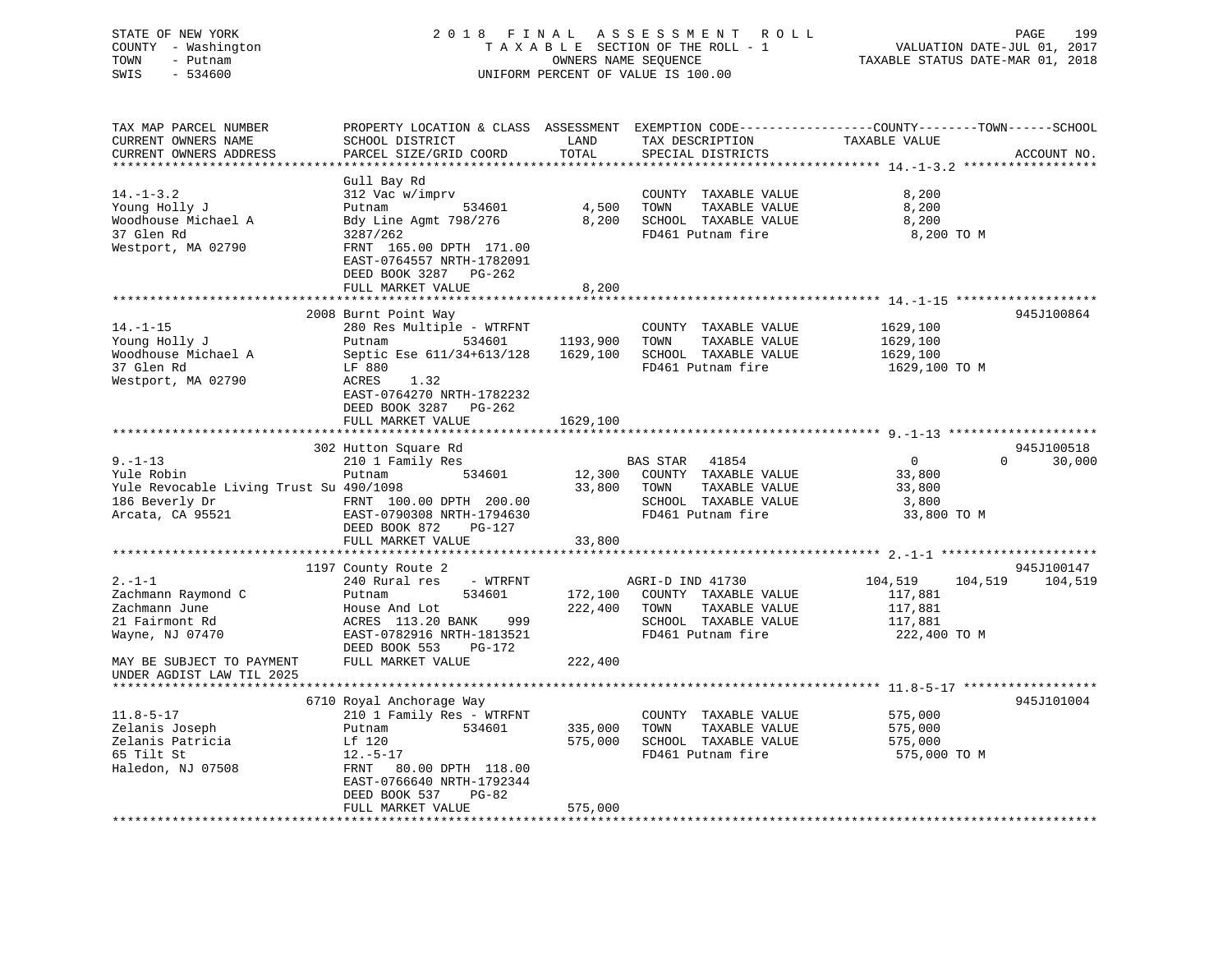Haledon, NJ 07508 FRNT 80.00 DPTH 118.00

 EAST-0766640 NRTH-1792344DEED BOOK 537 PG-82

# STATE OF NEW YORK 2 0 1 8 F I N A L A S S E S S M E N T R O L L PAGE 199 COUNTY - Washington T A X A B L E SECTION OF THE ROLL - 1 VALUATION DATE-JUL 01, 2017 TOWN - Putnam OWNERS NAME SEQUENCE TAXABLE STATUS DATE-MAR 01, 2018 SWIS - 534600 UNIFORM PERCENT OF VALUE IS 100.00

TAX MAP PARCEL NUMBER PROPERTY LOCATION & CLASS ASSESSMENT EXEMPTION CODE------------------COUNTY--------TOWN------SCHOOL

CURRENT OWNERS NAME SCHOOL DISTRICT THE LAND TAX DESCRIPTION TAXABLE VALUE

CURRENT OWNERS ADDRESS PARCEL SIZE/GRID COORD TOTAL SPECIAL DISTRICTS ACCOUNT NO. \*\*\*\*\*\*\*\*\*\*\*\*\*\*\*\*\*\*\*\*\*\*\*\*\*\*\*\*\*\*\*\*\*\*\*\*\*\*\*\*\*\*\*\*\*\*\*\*\*\*\*\*\*\*\*\*\*\*\*\*\*\*\*\*\*\*\*\*\*\*\*\*\*\*\*\*\*\*\*\*\*\*\*\*\*\*\*\*\*\*\*\*\*\*\*\*\*\*\*\*\*\*\* 14.-1-3.2 \*\*\*\*\*\*\*\*\*\*\*\*\*\*\*\*\*\*Gull Bay Rd<br>312 Vac w/imprv 14.-1-3.2 312 Vac w/imprv COUNTY TAXABLE VALUE 8,200 Young Holly J Putnam 534601 4,500 TOWN TAXABLE VALUE 8,200 Woodhouse Michael A Bdy Line Agmt 798/276 8,200 SCHOOL TAXABLE VALUE 8,200 37 Glen Rd 3287/262 FD461 Putnam fire 8,200 TO M Westport, MA 02790 FRNT 165.00 DPTH 171.00 EAST-0764557 NRTH-1782091 DEED BOOK 3287 PG-262FULL MARKET VALUE 8,200 \*\*\*\*\*\*\*\*\*\*\*\*\*\*\*\*\*\*\*\*\*\*\*\*\*\*\*\*\*\*\*\*\*\*\*\*\*\*\*\*\*\*\*\*\*\*\*\*\*\*\*\*\*\*\*\*\*\*\*\*\*\*\*\*\*\*\*\*\*\*\*\*\*\*\*\*\*\*\*\*\*\*\*\*\*\*\*\*\*\*\*\*\*\*\*\*\*\*\*\*\*\*\* 14.-1-15 \*\*\*\*\*\*\*\*\*\*\*\*\*\*\*\*\*\*\* 2008 Burnt Point Way 945J100864 14.-1-15 280 Res Multiple - WTRFNT COUNTY TAXABLE VALUE 1629,100 Young Holly J Putnam 534601 1193,900 TOWN TAXABLE VALUE 1629,100 Woodhouse Michael A Septic Ese 611/34+613/128 1629,100 SCHOOL TAXABLE VALUE 1629,100 37 Glen Rd LF 880 FD461 Putnam fire 1629,100 TO M Westport, MA 02790 ACRES 1.32 EAST-0764270 NRTH-1782232 DEED BOOK 3287 PG-262FULL MARKET VALUE 1629,100 \*\*\*\*\*\*\*\*\*\*\*\*\*\*\*\*\*\*\*\*\*\*\*\*\*\*\*\*\*\*\*\*\*\*\*\*\*\*\*\*\*\*\*\*\*\*\*\*\*\*\*\*\*\*\*\*\*\*\*\*\*\*\*\*\*\*\*\*\*\*\*\*\*\*\*\*\*\*\*\*\*\*\*\*\*\*\*\*\*\*\*\*\*\*\*\*\*\*\*\*\*\*\* 9.-1-13 \*\*\*\*\*\*\*\*\*\*\*\*\*\*\*\*\*\*\*\*302 Hutton Square Rd 945J100518 9.-1-13 210 1 Family Res BAS STAR 41854 0 0 30,000 Yule Robin Putnam 534601 12,300 COUNTY TAXABLE VALUE 33,800 Yule Revocable Living Trust Su 490/1098 33,800 TOWN TAXABLE VALUE 33,800 186 Beverly Dr FRNT 100.00 DPTH 200.00 SCHOOL TAXABLE VALUE 3,800 Arcata, CA 95521 EAST-0790308 NRTH-1794630 FD461 Putnam fire 33,800 TO M DEED BOOK 872 PG-127 FULL MARKET VALUE 33,800 \*\*\*\*\*\*\*\*\*\*\*\*\*\*\*\*\*\*\*\*\*\*\*\*\*\*\*\*\*\*\*\*\*\*\*\*\*\*\*\*\*\*\*\*\*\*\*\*\*\*\*\*\*\*\*\*\*\*\*\*\*\*\*\*\*\*\*\*\*\*\*\*\*\*\*\*\*\*\*\*\*\*\*\*\*\*\*\*\*\*\*\*\*\*\*\*\*\*\*\*\*\*\* 2.-1-1 \*\*\*\*\*\*\*\*\*\*\*\*\*\*\*\*\*\*\*\*\*945J100147 (1197 County Route 2 945J100147<br>104.519 104.519 104.519 104.519 AGRI-D IND 41730 104.519 104.519 104.519 104.519 2.-1-1 240 Rural res - WTRFNT AGRI-D IND 41730 104,519 104,519 104,519 Zachmann Raymond C Putnam 534601 172,100 COUNTY TAXABLE VALUE 117,881 Zachmann June House And Lot 222,400 TOWN TAXABLE VALUE 117,881 21 Fairmont Rd ACRES 113.20 BANK 999 SCHOOL TAXABLE VALUE 117,881 Wayne, NJ 07470 EAST-0782916 NRTH-1813521 FD461 Putnam fire 222,400 TO M DEED BOOK 553 PG-172 MAY BE SUBJECT TO PAYMENT FULL MARKET VALUE  $222,400$ UNDER AGDIST LAW TIL 2025 \*\*\*\*\*\*\*\*\*\*\*\*\*\*\*\*\*\*\*\*\*\*\*\*\*\*\*\*\*\*\*\*\*\*\*\*\*\*\*\*\*\*\*\*\*\*\*\*\*\*\*\*\*\*\*\*\*\*\*\*\*\*\*\*\*\*\*\*\*\*\*\*\*\*\*\*\*\*\*\*\*\*\*\*\*\*\*\*\*\*\*\*\*\*\*\*\*\*\*\*\*\*\* 11.8-5-17 \*\*\*\*\*\*\*\*\*\*\*\*\*\*\*\*\*\* 6710 Royal Anchorage Way 945J101004 11.8-5-17 210 1 Family Res - WTRFNT COUNTY TAXABLE VALUE 575,000 Zelanis Joseph Putnam 534601 335,000 TOWN TAXABLE VALUE 575,000 Zelanis Patricia Lf 120 575,000 SCHOOL TAXABLE VALUE 575,000

65 Tilt St 12.-5-17 FD461 Putnam fire 575,000 TO M

FULL MARKET VALUE 575,000 \*\*\*\*\*\*\*\*\*\*\*\*\*\*\*\*\*\*\*\*\*\*\*\*\*\*\*\*\*\*\*\*\*\*\*\*\*\*\*\*\*\*\*\*\*\*\*\*\*\*\*\*\*\*\*\*\*\*\*\*\*\*\*\*\*\*\*\*\*\*\*\*\*\*\*\*\*\*\*\*\*\*\*\*\*\*\*\*\*\*\*\*\*\*\*\*\*\*\*\*\*\*\*\*\*\*\*\*\*\*\*\*\*\*\*\*\*\*\*\*\*\*\*\*\*\*\*\*\*\*\*\*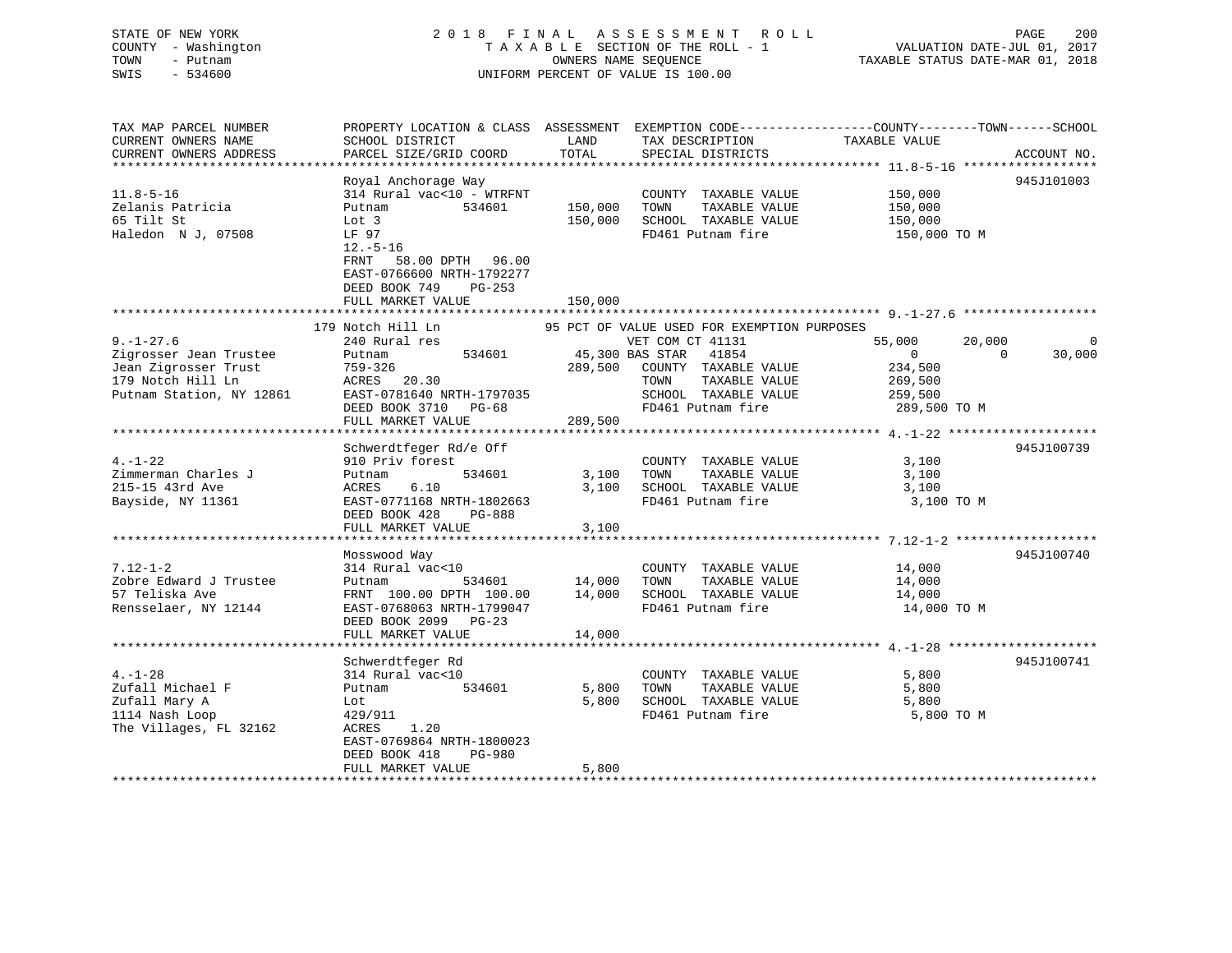# STATE OF NEW YORK 2 0 1 8 F I N A L A S S E S S M E N T R O L L PAGE 200 COUNTY - Washington T A X A B L E SECTION OF THE ROLL - 1 VALUATION DATE-JUL 01, 2017 TOWN - Putnam OWNERS NAME SEQUENCE TAXABLE STATUS DATE-MAR 01, 2018 SWIS - 534600 UNIFORM PERCENT OF VALUE IS 100.00

| CURRENT OWNERS NAME<br>SCHOOL DISTRICT<br>LAND<br>TAX DESCRIPTION<br>TAXABLE VALUE<br>TOTAL<br>CURRENT OWNERS ADDRESS<br>PARCEL SIZE/GRID COORD<br>SPECIAL DISTRICTS<br>ACCOUNT NO.<br>*******************<br>Royal Anchorage Way<br>945J101003<br>314 Rural vac<10 - WTRFNT<br>$11.8 - 5 - 16$<br>150,000<br>COUNTY TAXABLE VALUE<br>Zelanis Patricia<br>534601<br>150,000<br>TOWN<br>TAXABLE VALUE<br>150,000<br>Putnam<br>65 Tilt St<br>150,000<br>SCHOOL TAXABLE VALUE<br>Lot 3<br>150,000<br>Haledon N J, 07508<br>FD461 Putnam fire<br>LF 97<br>150,000 TO M<br>$12.-5-16$<br>FRNT 58.00 DPTH 96.00<br>EAST-0766600 NRTH-1792277<br>DEED BOOK 749<br>$PG-253$<br>FULL MARKET VALUE<br>150,000<br>179 Notch Hill Ln<br>95 PCT OF VALUE USED FOR EXEMPTION PURPOSES<br>$9. - 1 - 27.6$<br>240 Rural res<br>VET COM CT 41131<br>55,000<br>20,000<br>$\mathbf 0$<br>534601<br>45,300 BAS STAR 41854<br>$\overline{0}$<br>30,000<br>Zigrosser Jean Trustee<br>$\Omega$<br>Putnam<br>Jean Zigrosser Trust<br>759-326<br>289,500 COUNTY TAXABLE VALUE<br>234,500<br>179 Notch Hill Ln<br>TAXABLE VALUE<br>ACRES 20.30<br>TOWN<br>269,500<br>Putnam Station, NY 12861<br>SCHOOL TAXABLE VALUE<br>EAST-0781640 NRTH-1797035<br>259,500<br>FD461 Putnam fire<br>289,500 TO M<br>DEED BOOK 3710 PG-68<br>FULL MARKET VALUE<br>289,500<br>****************************<br>Schwerdtfeger Rd/e Off<br>945J100739<br>$4. - 1 - 22$<br>3,100<br>910 Priv forest<br>COUNTY TAXABLE VALUE<br>Zimmerman Charles J<br>3,100<br>TOWN<br>TAXABLE VALUE<br>3,100<br>534601<br>Putnam<br>215-15 43rd Ave<br>3,100<br>SCHOOL TAXABLE VALUE<br>ACRES<br>6.10<br>3,100<br>FD461 Putnam fire<br>3,100 TO M<br>Bayside, NY 11361<br>EAST-0771168 NRTH-1802663<br>DEED BOOK 428<br>PG-888<br>FULL MARKET VALUE<br>3,100<br>945J100740<br>Mosswood Way<br>$7.12 - 1 - 2$<br>314 Rural vac<10<br>COUNTY TAXABLE VALUE<br>14,000<br>Zobre Edward J Trustee<br>TOWN<br>TAXABLE VALUE<br>534601<br>14,000<br>14,000<br>Putnam<br>57 Teliska Ave<br>14,000<br>SCHOOL TAXABLE VALUE<br>FRNT 100.00 DPTH 100.00<br>14,000<br>Rensselaer, NY 12144<br>FD461 Putnam fire<br>14,000 TO M<br>EAST-0768063 NRTH-1799047<br>DEED BOOK 2099 PG-23<br>FULL MARKET VALUE<br>14,000<br>945J100741<br>Schwerdtfeger Rd<br>$4. - 1 - 28$<br>314 Rural vac<10<br>5,800<br>COUNTY TAXABLE VALUE<br>Zufall Michael F<br>534601<br>5,800<br>TOWN<br>TAXABLE VALUE<br>5,800<br>Putnam<br>Zufall Mary A<br>5,800<br>SCHOOL TAXABLE VALUE<br>5,800<br>Lot<br>FD461 Putnam fire<br>1114 Nash Loop<br>429/911<br>5,800 TO M<br>The Villages, FL 32162<br>ACRES 1.20<br>EAST-0769864 NRTH-1800023<br>DEED BOOK 418<br>PG-980<br>FULL MARKET VALUE<br>5,800<br>******************************** | TAX MAP PARCEL NUMBER | PROPERTY LOCATION & CLASS ASSESSMENT |  | EXEMPTION CODE-----------------COUNTY-------TOWN------SCHOOL |  |
|------------------------------------------------------------------------------------------------------------------------------------------------------------------------------------------------------------------------------------------------------------------------------------------------------------------------------------------------------------------------------------------------------------------------------------------------------------------------------------------------------------------------------------------------------------------------------------------------------------------------------------------------------------------------------------------------------------------------------------------------------------------------------------------------------------------------------------------------------------------------------------------------------------------------------------------------------------------------------------------------------------------------------------------------------------------------------------------------------------------------------------------------------------------------------------------------------------------------------------------------------------------------------------------------------------------------------------------------------------------------------------------------------------------------------------------------------------------------------------------------------------------------------------------------------------------------------------------------------------------------------------------------------------------------------------------------------------------------------------------------------------------------------------------------------------------------------------------------------------------------------------------------------------------------------------------------------------------------------------------------------------------------------------------------------------------------------------------------------------------------------------------------------------------------------------------------------------------------------------------------------------------------------------------------------------------------------------------------------------------------------------------------------------------------------------------------------------------------------------------------------------------------------------------------------------------------------------------------------------------------------------------------------------------------------------------------------------------------------------------|-----------------------|--------------------------------------|--|--------------------------------------------------------------|--|
|                                                                                                                                                                                                                                                                                                                                                                                                                                                                                                                                                                                                                                                                                                                                                                                                                                                                                                                                                                                                                                                                                                                                                                                                                                                                                                                                                                                                                                                                                                                                                                                                                                                                                                                                                                                                                                                                                                                                                                                                                                                                                                                                                                                                                                                                                                                                                                                                                                                                                                                                                                                                                                                                                                                                          |                       |                                      |  |                                                              |  |
|                                                                                                                                                                                                                                                                                                                                                                                                                                                                                                                                                                                                                                                                                                                                                                                                                                                                                                                                                                                                                                                                                                                                                                                                                                                                                                                                                                                                                                                                                                                                                                                                                                                                                                                                                                                                                                                                                                                                                                                                                                                                                                                                                                                                                                                                                                                                                                                                                                                                                                                                                                                                                                                                                                                                          |                       |                                      |  |                                                              |  |
|                                                                                                                                                                                                                                                                                                                                                                                                                                                                                                                                                                                                                                                                                                                                                                                                                                                                                                                                                                                                                                                                                                                                                                                                                                                                                                                                                                                                                                                                                                                                                                                                                                                                                                                                                                                                                                                                                                                                                                                                                                                                                                                                                                                                                                                                                                                                                                                                                                                                                                                                                                                                                                                                                                                                          |                       |                                      |  |                                                              |  |
|                                                                                                                                                                                                                                                                                                                                                                                                                                                                                                                                                                                                                                                                                                                                                                                                                                                                                                                                                                                                                                                                                                                                                                                                                                                                                                                                                                                                                                                                                                                                                                                                                                                                                                                                                                                                                                                                                                                                                                                                                                                                                                                                                                                                                                                                                                                                                                                                                                                                                                                                                                                                                                                                                                                                          |                       |                                      |  |                                                              |  |
|                                                                                                                                                                                                                                                                                                                                                                                                                                                                                                                                                                                                                                                                                                                                                                                                                                                                                                                                                                                                                                                                                                                                                                                                                                                                                                                                                                                                                                                                                                                                                                                                                                                                                                                                                                                                                                                                                                                                                                                                                                                                                                                                                                                                                                                                                                                                                                                                                                                                                                                                                                                                                                                                                                                                          |                       |                                      |  |                                                              |  |
|                                                                                                                                                                                                                                                                                                                                                                                                                                                                                                                                                                                                                                                                                                                                                                                                                                                                                                                                                                                                                                                                                                                                                                                                                                                                                                                                                                                                                                                                                                                                                                                                                                                                                                                                                                                                                                                                                                                                                                                                                                                                                                                                                                                                                                                                                                                                                                                                                                                                                                                                                                                                                                                                                                                                          |                       |                                      |  |                                                              |  |
|                                                                                                                                                                                                                                                                                                                                                                                                                                                                                                                                                                                                                                                                                                                                                                                                                                                                                                                                                                                                                                                                                                                                                                                                                                                                                                                                                                                                                                                                                                                                                                                                                                                                                                                                                                                                                                                                                                                                                                                                                                                                                                                                                                                                                                                                                                                                                                                                                                                                                                                                                                                                                                                                                                                                          |                       |                                      |  |                                                              |  |
|                                                                                                                                                                                                                                                                                                                                                                                                                                                                                                                                                                                                                                                                                                                                                                                                                                                                                                                                                                                                                                                                                                                                                                                                                                                                                                                                                                                                                                                                                                                                                                                                                                                                                                                                                                                                                                                                                                                                                                                                                                                                                                                                                                                                                                                                                                                                                                                                                                                                                                                                                                                                                                                                                                                                          |                       |                                      |  |                                                              |  |
|                                                                                                                                                                                                                                                                                                                                                                                                                                                                                                                                                                                                                                                                                                                                                                                                                                                                                                                                                                                                                                                                                                                                                                                                                                                                                                                                                                                                                                                                                                                                                                                                                                                                                                                                                                                                                                                                                                                                                                                                                                                                                                                                                                                                                                                                                                                                                                                                                                                                                                                                                                                                                                                                                                                                          |                       |                                      |  |                                                              |  |
|                                                                                                                                                                                                                                                                                                                                                                                                                                                                                                                                                                                                                                                                                                                                                                                                                                                                                                                                                                                                                                                                                                                                                                                                                                                                                                                                                                                                                                                                                                                                                                                                                                                                                                                                                                                                                                                                                                                                                                                                                                                                                                                                                                                                                                                                                                                                                                                                                                                                                                                                                                                                                                                                                                                                          |                       |                                      |  |                                                              |  |
|                                                                                                                                                                                                                                                                                                                                                                                                                                                                                                                                                                                                                                                                                                                                                                                                                                                                                                                                                                                                                                                                                                                                                                                                                                                                                                                                                                                                                                                                                                                                                                                                                                                                                                                                                                                                                                                                                                                                                                                                                                                                                                                                                                                                                                                                                                                                                                                                                                                                                                                                                                                                                                                                                                                                          |                       |                                      |  |                                                              |  |
|                                                                                                                                                                                                                                                                                                                                                                                                                                                                                                                                                                                                                                                                                                                                                                                                                                                                                                                                                                                                                                                                                                                                                                                                                                                                                                                                                                                                                                                                                                                                                                                                                                                                                                                                                                                                                                                                                                                                                                                                                                                                                                                                                                                                                                                                                                                                                                                                                                                                                                                                                                                                                                                                                                                                          |                       |                                      |  |                                                              |  |
|                                                                                                                                                                                                                                                                                                                                                                                                                                                                                                                                                                                                                                                                                                                                                                                                                                                                                                                                                                                                                                                                                                                                                                                                                                                                                                                                                                                                                                                                                                                                                                                                                                                                                                                                                                                                                                                                                                                                                                                                                                                                                                                                                                                                                                                                                                                                                                                                                                                                                                                                                                                                                                                                                                                                          |                       |                                      |  |                                                              |  |
|                                                                                                                                                                                                                                                                                                                                                                                                                                                                                                                                                                                                                                                                                                                                                                                                                                                                                                                                                                                                                                                                                                                                                                                                                                                                                                                                                                                                                                                                                                                                                                                                                                                                                                                                                                                                                                                                                                                                                                                                                                                                                                                                                                                                                                                                                                                                                                                                                                                                                                                                                                                                                                                                                                                                          |                       |                                      |  |                                                              |  |
|                                                                                                                                                                                                                                                                                                                                                                                                                                                                                                                                                                                                                                                                                                                                                                                                                                                                                                                                                                                                                                                                                                                                                                                                                                                                                                                                                                                                                                                                                                                                                                                                                                                                                                                                                                                                                                                                                                                                                                                                                                                                                                                                                                                                                                                                                                                                                                                                                                                                                                                                                                                                                                                                                                                                          |                       |                                      |  |                                                              |  |
|                                                                                                                                                                                                                                                                                                                                                                                                                                                                                                                                                                                                                                                                                                                                                                                                                                                                                                                                                                                                                                                                                                                                                                                                                                                                                                                                                                                                                                                                                                                                                                                                                                                                                                                                                                                                                                                                                                                                                                                                                                                                                                                                                                                                                                                                                                                                                                                                                                                                                                                                                                                                                                                                                                                                          |                       |                                      |  |                                                              |  |
|                                                                                                                                                                                                                                                                                                                                                                                                                                                                                                                                                                                                                                                                                                                                                                                                                                                                                                                                                                                                                                                                                                                                                                                                                                                                                                                                                                                                                                                                                                                                                                                                                                                                                                                                                                                                                                                                                                                                                                                                                                                                                                                                                                                                                                                                                                                                                                                                                                                                                                                                                                                                                                                                                                                                          |                       |                                      |  |                                                              |  |
|                                                                                                                                                                                                                                                                                                                                                                                                                                                                                                                                                                                                                                                                                                                                                                                                                                                                                                                                                                                                                                                                                                                                                                                                                                                                                                                                                                                                                                                                                                                                                                                                                                                                                                                                                                                                                                                                                                                                                                                                                                                                                                                                                                                                                                                                                                                                                                                                                                                                                                                                                                                                                                                                                                                                          |                       |                                      |  |                                                              |  |
|                                                                                                                                                                                                                                                                                                                                                                                                                                                                                                                                                                                                                                                                                                                                                                                                                                                                                                                                                                                                                                                                                                                                                                                                                                                                                                                                                                                                                                                                                                                                                                                                                                                                                                                                                                                                                                                                                                                                                                                                                                                                                                                                                                                                                                                                                                                                                                                                                                                                                                                                                                                                                                                                                                                                          |                       |                                      |  |                                                              |  |
|                                                                                                                                                                                                                                                                                                                                                                                                                                                                                                                                                                                                                                                                                                                                                                                                                                                                                                                                                                                                                                                                                                                                                                                                                                                                                                                                                                                                                                                                                                                                                                                                                                                                                                                                                                                                                                                                                                                                                                                                                                                                                                                                                                                                                                                                                                                                                                                                                                                                                                                                                                                                                                                                                                                                          |                       |                                      |  |                                                              |  |
|                                                                                                                                                                                                                                                                                                                                                                                                                                                                                                                                                                                                                                                                                                                                                                                                                                                                                                                                                                                                                                                                                                                                                                                                                                                                                                                                                                                                                                                                                                                                                                                                                                                                                                                                                                                                                                                                                                                                                                                                                                                                                                                                                                                                                                                                                                                                                                                                                                                                                                                                                                                                                                                                                                                                          |                       |                                      |  |                                                              |  |
|                                                                                                                                                                                                                                                                                                                                                                                                                                                                                                                                                                                                                                                                                                                                                                                                                                                                                                                                                                                                                                                                                                                                                                                                                                                                                                                                                                                                                                                                                                                                                                                                                                                                                                                                                                                                                                                                                                                                                                                                                                                                                                                                                                                                                                                                                                                                                                                                                                                                                                                                                                                                                                                                                                                                          |                       |                                      |  |                                                              |  |
|                                                                                                                                                                                                                                                                                                                                                                                                                                                                                                                                                                                                                                                                                                                                                                                                                                                                                                                                                                                                                                                                                                                                                                                                                                                                                                                                                                                                                                                                                                                                                                                                                                                                                                                                                                                                                                                                                                                                                                                                                                                                                                                                                                                                                                                                                                                                                                                                                                                                                                                                                                                                                                                                                                                                          |                       |                                      |  |                                                              |  |
|                                                                                                                                                                                                                                                                                                                                                                                                                                                                                                                                                                                                                                                                                                                                                                                                                                                                                                                                                                                                                                                                                                                                                                                                                                                                                                                                                                                                                                                                                                                                                                                                                                                                                                                                                                                                                                                                                                                                                                                                                                                                                                                                                                                                                                                                                                                                                                                                                                                                                                                                                                                                                                                                                                                                          |                       |                                      |  |                                                              |  |
|                                                                                                                                                                                                                                                                                                                                                                                                                                                                                                                                                                                                                                                                                                                                                                                                                                                                                                                                                                                                                                                                                                                                                                                                                                                                                                                                                                                                                                                                                                                                                                                                                                                                                                                                                                                                                                                                                                                                                                                                                                                                                                                                                                                                                                                                                                                                                                                                                                                                                                                                                                                                                                                                                                                                          |                       |                                      |  |                                                              |  |
|                                                                                                                                                                                                                                                                                                                                                                                                                                                                                                                                                                                                                                                                                                                                                                                                                                                                                                                                                                                                                                                                                                                                                                                                                                                                                                                                                                                                                                                                                                                                                                                                                                                                                                                                                                                                                                                                                                                                                                                                                                                                                                                                                                                                                                                                                                                                                                                                                                                                                                                                                                                                                                                                                                                                          |                       |                                      |  |                                                              |  |
|                                                                                                                                                                                                                                                                                                                                                                                                                                                                                                                                                                                                                                                                                                                                                                                                                                                                                                                                                                                                                                                                                                                                                                                                                                                                                                                                                                                                                                                                                                                                                                                                                                                                                                                                                                                                                                                                                                                                                                                                                                                                                                                                                                                                                                                                                                                                                                                                                                                                                                                                                                                                                                                                                                                                          |                       |                                      |  |                                                              |  |
|                                                                                                                                                                                                                                                                                                                                                                                                                                                                                                                                                                                                                                                                                                                                                                                                                                                                                                                                                                                                                                                                                                                                                                                                                                                                                                                                                                                                                                                                                                                                                                                                                                                                                                                                                                                                                                                                                                                                                                                                                                                                                                                                                                                                                                                                                                                                                                                                                                                                                                                                                                                                                                                                                                                                          |                       |                                      |  |                                                              |  |
|                                                                                                                                                                                                                                                                                                                                                                                                                                                                                                                                                                                                                                                                                                                                                                                                                                                                                                                                                                                                                                                                                                                                                                                                                                                                                                                                                                                                                                                                                                                                                                                                                                                                                                                                                                                                                                                                                                                                                                                                                                                                                                                                                                                                                                                                                                                                                                                                                                                                                                                                                                                                                                                                                                                                          |                       |                                      |  |                                                              |  |
|                                                                                                                                                                                                                                                                                                                                                                                                                                                                                                                                                                                                                                                                                                                                                                                                                                                                                                                                                                                                                                                                                                                                                                                                                                                                                                                                                                                                                                                                                                                                                                                                                                                                                                                                                                                                                                                                                                                                                                                                                                                                                                                                                                                                                                                                                                                                                                                                                                                                                                                                                                                                                                                                                                                                          |                       |                                      |  |                                                              |  |
|                                                                                                                                                                                                                                                                                                                                                                                                                                                                                                                                                                                                                                                                                                                                                                                                                                                                                                                                                                                                                                                                                                                                                                                                                                                                                                                                                                                                                                                                                                                                                                                                                                                                                                                                                                                                                                                                                                                                                                                                                                                                                                                                                                                                                                                                                                                                                                                                                                                                                                                                                                                                                                                                                                                                          |                       |                                      |  |                                                              |  |
|                                                                                                                                                                                                                                                                                                                                                                                                                                                                                                                                                                                                                                                                                                                                                                                                                                                                                                                                                                                                                                                                                                                                                                                                                                                                                                                                                                                                                                                                                                                                                                                                                                                                                                                                                                                                                                                                                                                                                                                                                                                                                                                                                                                                                                                                                                                                                                                                                                                                                                                                                                                                                                                                                                                                          |                       |                                      |  |                                                              |  |
|                                                                                                                                                                                                                                                                                                                                                                                                                                                                                                                                                                                                                                                                                                                                                                                                                                                                                                                                                                                                                                                                                                                                                                                                                                                                                                                                                                                                                                                                                                                                                                                                                                                                                                                                                                                                                                                                                                                                                                                                                                                                                                                                                                                                                                                                                                                                                                                                                                                                                                                                                                                                                                                                                                                                          |                       |                                      |  |                                                              |  |
|                                                                                                                                                                                                                                                                                                                                                                                                                                                                                                                                                                                                                                                                                                                                                                                                                                                                                                                                                                                                                                                                                                                                                                                                                                                                                                                                                                                                                                                                                                                                                                                                                                                                                                                                                                                                                                                                                                                                                                                                                                                                                                                                                                                                                                                                                                                                                                                                                                                                                                                                                                                                                                                                                                                                          |                       |                                      |  |                                                              |  |
|                                                                                                                                                                                                                                                                                                                                                                                                                                                                                                                                                                                                                                                                                                                                                                                                                                                                                                                                                                                                                                                                                                                                                                                                                                                                                                                                                                                                                                                                                                                                                                                                                                                                                                                                                                                                                                                                                                                                                                                                                                                                                                                                                                                                                                                                                                                                                                                                                                                                                                                                                                                                                                                                                                                                          |                       |                                      |  |                                                              |  |
|                                                                                                                                                                                                                                                                                                                                                                                                                                                                                                                                                                                                                                                                                                                                                                                                                                                                                                                                                                                                                                                                                                                                                                                                                                                                                                                                                                                                                                                                                                                                                                                                                                                                                                                                                                                                                                                                                                                                                                                                                                                                                                                                                                                                                                                                                                                                                                                                                                                                                                                                                                                                                                                                                                                                          |                       |                                      |  |                                                              |  |
|                                                                                                                                                                                                                                                                                                                                                                                                                                                                                                                                                                                                                                                                                                                                                                                                                                                                                                                                                                                                                                                                                                                                                                                                                                                                                                                                                                                                                                                                                                                                                                                                                                                                                                                                                                                                                                                                                                                                                                                                                                                                                                                                                                                                                                                                                                                                                                                                                                                                                                                                                                                                                                                                                                                                          |                       |                                      |  |                                                              |  |
|                                                                                                                                                                                                                                                                                                                                                                                                                                                                                                                                                                                                                                                                                                                                                                                                                                                                                                                                                                                                                                                                                                                                                                                                                                                                                                                                                                                                                                                                                                                                                                                                                                                                                                                                                                                                                                                                                                                                                                                                                                                                                                                                                                                                                                                                                                                                                                                                                                                                                                                                                                                                                                                                                                                                          |                       |                                      |  |                                                              |  |
|                                                                                                                                                                                                                                                                                                                                                                                                                                                                                                                                                                                                                                                                                                                                                                                                                                                                                                                                                                                                                                                                                                                                                                                                                                                                                                                                                                                                                                                                                                                                                                                                                                                                                                                                                                                                                                                                                                                                                                                                                                                                                                                                                                                                                                                                                                                                                                                                                                                                                                                                                                                                                                                                                                                                          |                       |                                      |  |                                                              |  |
|                                                                                                                                                                                                                                                                                                                                                                                                                                                                                                                                                                                                                                                                                                                                                                                                                                                                                                                                                                                                                                                                                                                                                                                                                                                                                                                                                                                                                                                                                                                                                                                                                                                                                                                                                                                                                                                                                                                                                                                                                                                                                                                                                                                                                                                                                                                                                                                                                                                                                                                                                                                                                                                                                                                                          |                       |                                      |  |                                                              |  |
|                                                                                                                                                                                                                                                                                                                                                                                                                                                                                                                                                                                                                                                                                                                                                                                                                                                                                                                                                                                                                                                                                                                                                                                                                                                                                                                                                                                                                                                                                                                                                                                                                                                                                                                                                                                                                                                                                                                                                                                                                                                                                                                                                                                                                                                                                                                                                                                                                                                                                                                                                                                                                                                                                                                                          |                       |                                      |  |                                                              |  |
|                                                                                                                                                                                                                                                                                                                                                                                                                                                                                                                                                                                                                                                                                                                                                                                                                                                                                                                                                                                                                                                                                                                                                                                                                                                                                                                                                                                                                                                                                                                                                                                                                                                                                                                                                                                                                                                                                                                                                                                                                                                                                                                                                                                                                                                                                                                                                                                                                                                                                                                                                                                                                                                                                                                                          |                       |                                      |  |                                                              |  |
|                                                                                                                                                                                                                                                                                                                                                                                                                                                                                                                                                                                                                                                                                                                                                                                                                                                                                                                                                                                                                                                                                                                                                                                                                                                                                                                                                                                                                                                                                                                                                                                                                                                                                                                                                                                                                                                                                                                                                                                                                                                                                                                                                                                                                                                                                                                                                                                                                                                                                                                                                                                                                                                                                                                                          |                       |                                      |  |                                                              |  |
|                                                                                                                                                                                                                                                                                                                                                                                                                                                                                                                                                                                                                                                                                                                                                                                                                                                                                                                                                                                                                                                                                                                                                                                                                                                                                                                                                                                                                                                                                                                                                                                                                                                                                                                                                                                                                                                                                                                                                                                                                                                                                                                                                                                                                                                                                                                                                                                                                                                                                                                                                                                                                                                                                                                                          |                       |                                      |  |                                                              |  |
|                                                                                                                                                                                                                                                                                                                                                                                                                                                                                                                                                                                                                                                                                                                                                                                                                                                                                                                                                                                                                                                                                                                                                                                                                                                                                                                                                                                                                                                                                                                                                                                                                                                                                                                                                                                                                                                                                                                                                                                                                                                                                                                                                                                                                                                                                                                                                                                                                                                                                                                                                                                                                                                                                                                                          |                       |                                      |  |                                                              |  |
|                                                                                                                                                                                                                                                                                                                                                                                                                                                                                                                                                                                                                                                                                                                                                                                                                                                                                                                                                                                                                                                                                                                                                                                                                                                                                                                                                                                                                                                                                                                                                                                                                                                                                                                                                                                                                                                                                                                                                                                                                                                                                                                                                                                                                                                                                                                                                                                                                                                                                                                                                                                                                                                                                                                                          |                       |                                      |  |                                                              |  |
|                                                                                                                                                                                                                                                                                                                                                                                                                                                                                                                                                                                                                                                                                                                                                                                                                                                                                                                                                                                                                                                                                                                                                                                                                                                                                                                                                                                                                                                                                                                                                                                                                                                                                                                                                                                                                                                                                                                                                                                                                                                                                                                                                                                                                                                                                                                                                                                                                                                                                                                                                                                                                                                                                                                                          |                       |                                      |  |                                                              |  |
|                                                                                                                                                                                                                                                                                                                                                                                                                                                                                                                                                                                                                                                                                                                                                                                                                                                                                                                                                                                                                                                                                                                                                                                                                                                                                                                                                                                                                                                                                                                                                                                                                                                                                                                                                                                                                                                                                                                                                                                                                                                                                                                                                                                                                                                                                                                                                                                                                                                                                                                                                                                                                                                                                                                                          |                       |                                      |  |                                                              |  |
|                                                                                                                                                                                                                                                                                                                                                                                                                                                                                                                                                                                                                                                                                                                                                                                                                                                                                                                                                                                                                                                                                                                                                                                                                                                                                                                                                                                                                                                                                                                                                                                                                                                                                                                                                                                                                                                                                                                                                                                                                                                                                                                                                                                                                                                                                                                                                                                                                                                                                                                                                                                                                                                                                                                                          |                       |                                      |  |                                                              |  |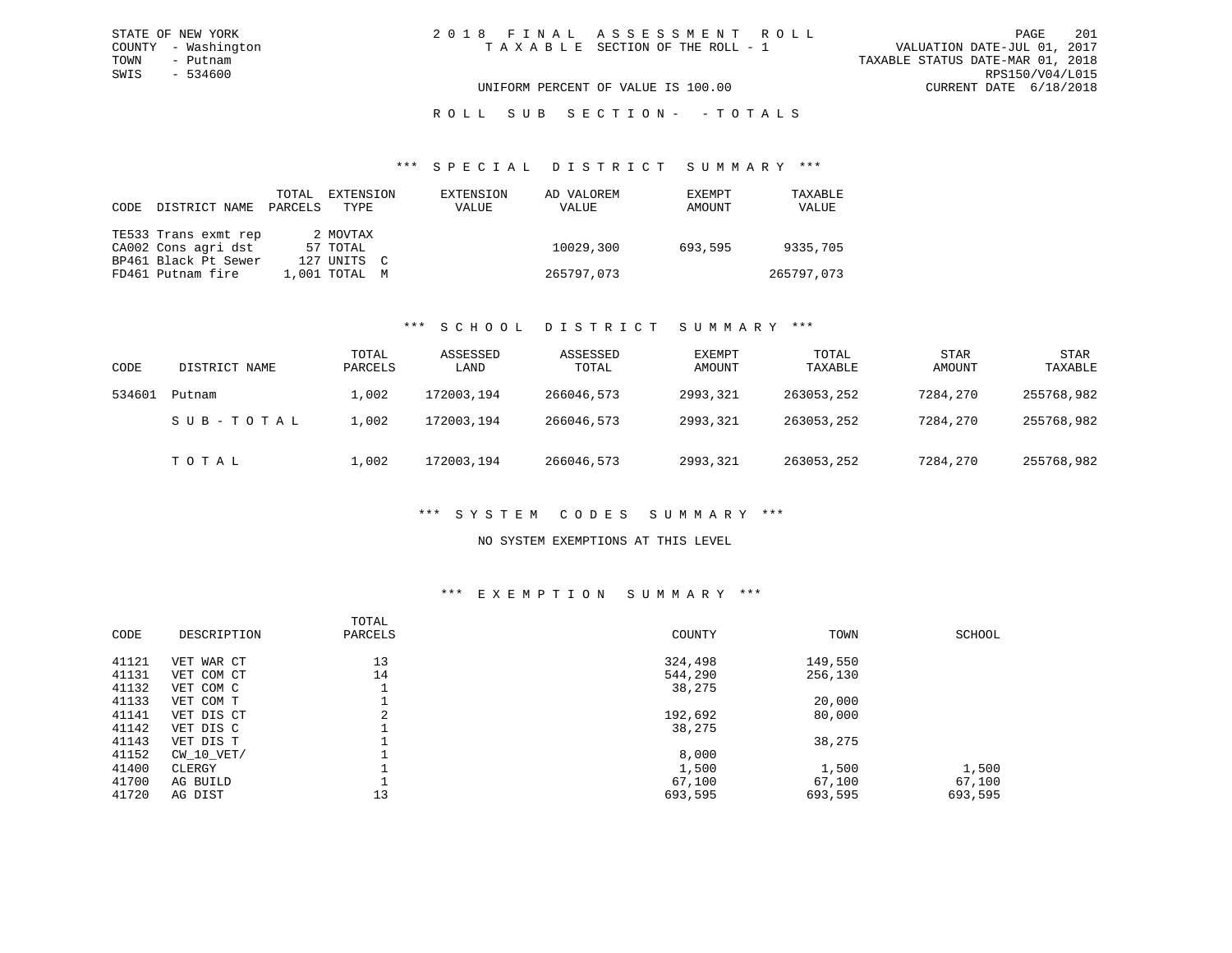## ROLL SUB SECTION - - TOTALS

#### \*\*\* S P E C I A L D I S T R I C T S U M M A R Y \*\*\*

| CODE DISTRICT NAME   | TOTAL<br>PARCELS | EXTENSION<br>TYPE | EXTENSION<br>VALUE | AD VALOREM<br>VALUE | EXEMPT<br>AMOUNT | TAXABLE<br>VALUE |
|----------------------|------------------|-------------------|--------------------|---------------------|------------------|------------------|
| TE533 Trans exmt rep |                  | 2 MOVTAX          |                    |                     |                  |                  |
| CA002 Cons agri dst  |                  | 57 TOTAL          |                    | 10029,300           | 693,595          | 9335,705         |
| BP461 Black Pt Sewer |                  | 127 UNITS C       |                    |                     |                  |                  |
| FD461 Putnam fire    |                  | $1.001$ TOTAL $M$ |                    | 265797,073          |                  | 265797,073       |

## \*\*\* S C H O O L D I S T R I C T S U M M A R Y \*\*\*

| CODE   | DISTRICT NAME | TOTAL<br>PARCELS | ASSESSED<br>LAND | ASSESSED<br>TOTAL | EXEMPT<br>AMOUNT | TOTAL<br>TAXABLE | <b>STAR</b><br>AMOUNT | STAR<br>TAXABLE |
|--------|---------------|------------------|------------------|-------------------|------------------|------------------|-----------------------|-----------------|
| 534601 | Putnam        | 1,002            | 172003,194       | 266046,573        | 2993,321         | 263053,252       | 7284,270              | 255768,982      |
|        | SUB-TOTAL     | L,002            | 172003,194       | 266046,573        | 2993,321         | 263053,252       | 7284,270              | 255768,982      |
|        | TOTAL         | 1,002            | 172003,194       | 266046,573        | 2993,321         | 263053,252       | 7284,270              | 255768,982      |

## \*\*\* S Y S T E M C O D E S S U M M A R Y \*\*\*

## NO SYSTEM EXEMPTIONS AT THIS LEVEL

#### \*\*\* E X E M P T I O N S U M M A R Y \*\*\*

| DESCRIPTION | TOTAL<br>PARCELS | COUNTY  | TOWN    | SCHOOL  |
|-------------|------------------|---------|---------|---------|
| VET WAR CT  | 13               | 324,498 | 149,550 |         |
| VET COM CT  | 14               | 544,290 | 256,130 |         |
| VET COM C   |                  | 38,275  |         |         |
| VET COM T   |                  |         | 20,000  |         |
| VET DIS CT  | $\sim$<br>∠      | 192,692 | 80,000  |         |
| VET DIS C   |                  | 38,275  |         |         |
| VET DIS T   |                  |         | 38,275  |         |
| CW 10 VET/  |                  | 8,000   |         |         |
| CLERGY      |                  | 1,500   | 1,500   | 1,500   |
| AG BUILD    |                  | 67,100  | 67,100  | 67,100  |
| AG DIST     | 13               | 693,595 | 693,595 | 693,595 |
|             |                  |         |         |         |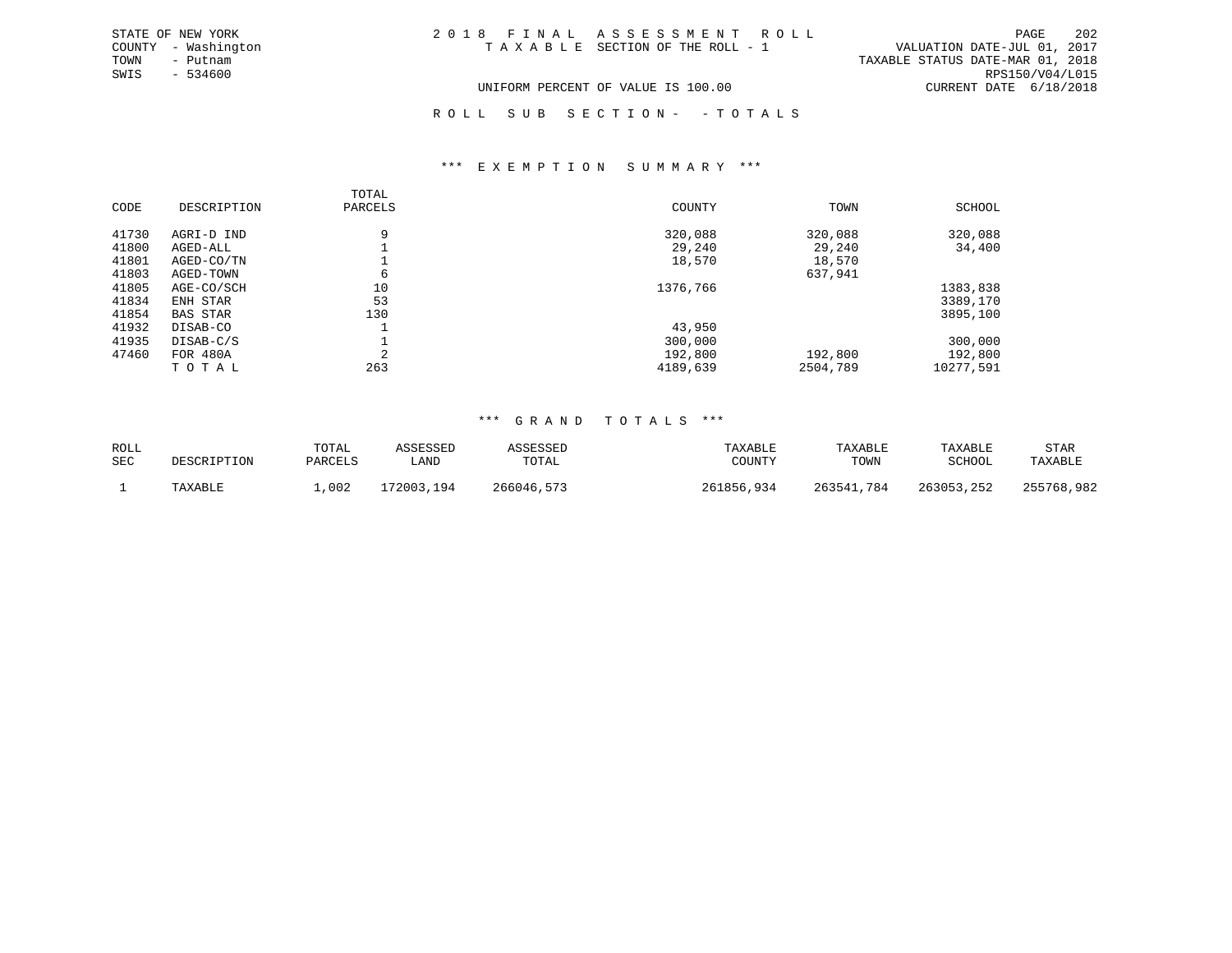| STATE OF NEW YORK   | 2018 FINAL ASSESSMENT ROLL         |                                  | PAGE            | 202 |
|---------------------|------------------------------------|----------------------------------|-----------------|-----|
| COUNTY - Washington | TAXABLE SECTION OF THE ROLL - 1    | VALUATION DATE-JUL 01, 2017      |                 |     |
| TOWN<br>- Putnam    |                                    | TAXABLE STATUS DATE-MAR 01, 2018 |                 |     |
| SWIS<br>- 534600    |                                    |                                  | RPS150/V04/L015 |     |
|                     | UNIFORM PERCENT OF VALUE IS 100.00 | CURRENT DATE 6/18/2018           |                 |     |
|                     |                                    |                                  |                 |     |

# R O L L S U B S E C T I O N - - T O T A L S

#### \*\*\* E X E M P T I O N S U M M A R Y \*\*\*

|       |                 | TOTAL   |          |          |           |
|-------|-----------------|---------|----------|----------|-----------|
| CODE  | DESCRIPTION     | PARCELS | COUNTY   | TOWN     | SCHOOL    |
|       |                 |         |          |          |           |
| 41730 | AGRI-D IND      | 9       | 320,088  | 320,088  | 320,088   |
| 41800 | AGED-ALL        |         | 29,240   | 29,240   | 34,400    |
| 41801 | AGED-CO/TN      |         | 18,570   | 18,570   |           |
| 41803 | AGED-TOWN       | б       |          | 637,941  |           |
| 41805 | AGE-CO/SCH      | 10      | 1376,766 |          | 1383,838  |
| 41834 | ENH STAR        | 53      |          |          | 3389,170  |
| 41854 | <b>BAS STAR</b> | 130     |          |          | 3895,100  |
| 41932 | DISAB-CO        |         | 43,950   |          |           |
| 41935 | DISAB-C/S       |         | 300,000  |          | 300,000   |
| 47460 | <b>FOR 480A</b> | ⌒       | 192,800  | 192,800  | 192,800   |
|       | TOTAL           | 263     | 4189,639 | 2504,789 | 10277,591 |

| ROLL       |             | TOTAL   | ASSESSED   | ASSESSED   | TAXABLE    | TAXABLE    | TAXABLE    | STAR       |
|------------|-------------|---------|------------|------------|------------|------------|------------|------------|
| <b>SEC</b> | DESCRIPTION | PARCELS | LAND       | TOTAL      | COUNTY     | TOWN       | SCHOOL     | TAXABLE    |
|            | TAXABLE     | ,002    | 172003,194 | 266046,573 | 261856,934 | 263541,784 | 263053,252 | 255768,982 |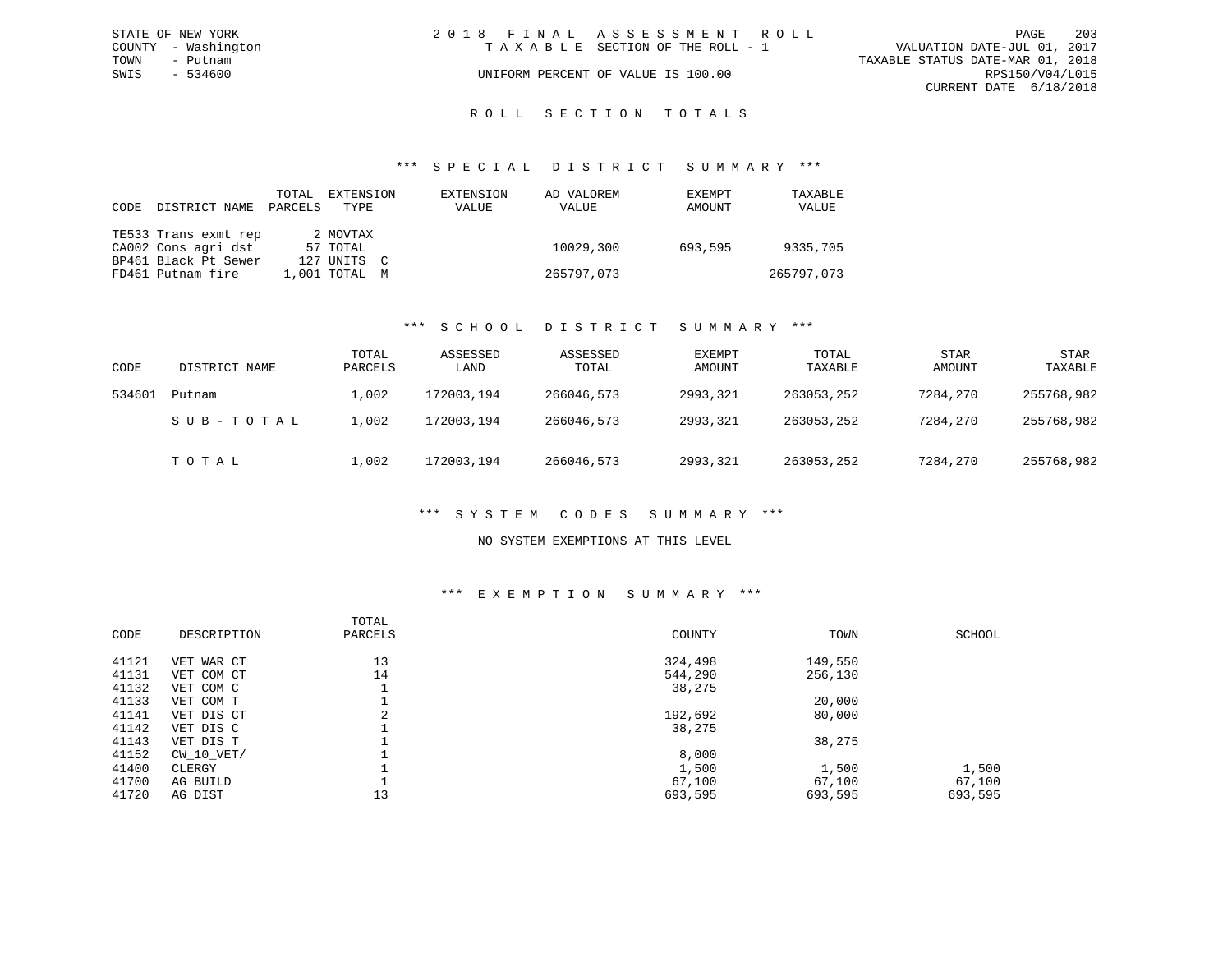|      | STATE OF NEW YORK   | 2018 FINAL ASSESSMENT ROLL |                                    |                                  |                        | PAGE | - 203 |
|------|---------------------|----------------------------|------------------------------------|----------------------------------|------------------------|------|-------|
|      | COUNTY - Washington |                            | TAXABLE SECTION OF THE ROLL - 1    | VALUATION DATE-JUL 01, 2017      |                        |      |       |
| TOWN | – Putnam            |                            |                                    | TAXABLE STATUS DATE-MAR 01, 2018 |                        |      |       |
| SWIS | - 534600            |                            | UNIFORM PERCENT OF VALUE IS 100.00 |                                  | RPS150/V04/L015        |      |       |
|      |                     |                            |                                    |                                  | CURRENT DATE 6/18/2018 |      |       |
|      |                     |                            |                                    |                                  |                        |      |       |

# ROLL SECTION TOTALS

#### \*\*\* S P E C I A L D I S T R I C T S U M M A R Y \*\*\*

| CODE | DISTRICT NAME        | TOTAL<br>PARCELS | EXTENSION<br>TYPE | EXTENSION<br>VALUE | AD VALOREM<br>VALUE | EXEMPT<br>AMOUNT | TAXABLE<br>VALUE |
|------|----------------------|------------------|-------------------|--------------------|---------------------|------------------|------------------|
|      | TE533 Trans exmt rep |                  | 2 MOVTAX          |                    |                     |                  |                  |
|      | CA002 Cons agri dst  |                  | 57 TOTAL          |                    | 10029,300           | 693,595          | 9335,705         |
|      | BP461 Black Pt Sewer |                  | 127 UNITS C       |                    |                     |                  |                  |
|      | FD461 Putnam fire    |                  | $1.001$ TOTAL $M$ |                    | 265797,073          |                  | 265797,073       |

## \*\*\* S C H O O L D I S T R I C T S U M M A R Y \*\*\*

| CODE   | DISTRICT NAME | TOTAL<br>PARCELS | ASSESSED<br>LAND | ASSESSED<br>TOTAL | EXEMPT<br>AMOUNT | TOTAL<br>TAXABLE | <b>STAR</b><br>AMOUNT | STAR<br>TAXABLE |
|--------|---------------|------------------|------------------|-------------------|------------------|------------------|-----------------------|-----------------|
| 534601 | Putnam        | 1,002            | 172003,194       | 266046,573        | 2993,321         | 263053,252       | 7284,270              | 255768,982      |
|        | SUB-TOTAL     | 1,002            | 172003,194       | 266046,573        | 2993,321         | 263053,252       | 7284,270              | 255768,982      |
|        | TOTAL         | 1,002            | 172003,194       | 266046,573        | 2993,321         | 263053,252       | 7284,270              | 255768,982      |

## \*\*\* S Y S T E M C O D E S S U M M A R Y \*\*\*

## NO SYSTEM EXEMPTIONS AT THIS LEVEL

#### \*\*\* E X E M P T I O N S U M M A R Y \*\*\*

| CODE  | DESCRIPTION | TOTAL<br>PARCELS | COUNTY  | TOWN    | SCHOOL  |
|-------|-------------|------------------|---------|---------|---------|
| 41121 | VET WAR CT  | 13               | 324,498 | 149,550 |         |
| 41131 | VET COM CT  | 14               | 544,290 | 256,130 |         |
| 41132 | VET COM C   |                  | 38,275  |         |         |
| 41133 | VET COM T   |                  |         | 20,000  |         |
| 41141 | VET DIS CT  | ∠                | 192,692 | 80,000  |         |
| 41142 | VET DIS C   |                  | 38,275  |         |         |
| 41143 | VET DIS T   |                  |         | 38,275  |         |
| 41152 | CW 10 VET/  |                  | 8,000   |         |         |
| 41400 | CLERGY      |                  | 1,500   | 1,500   | 1,500   |
| 41700 | AG BUILD    |                  | 67,100  | 67,100  | 67,100  |
| 41720 | AG DIST     | 13               | 693,595 | 693,595 | 693,595 |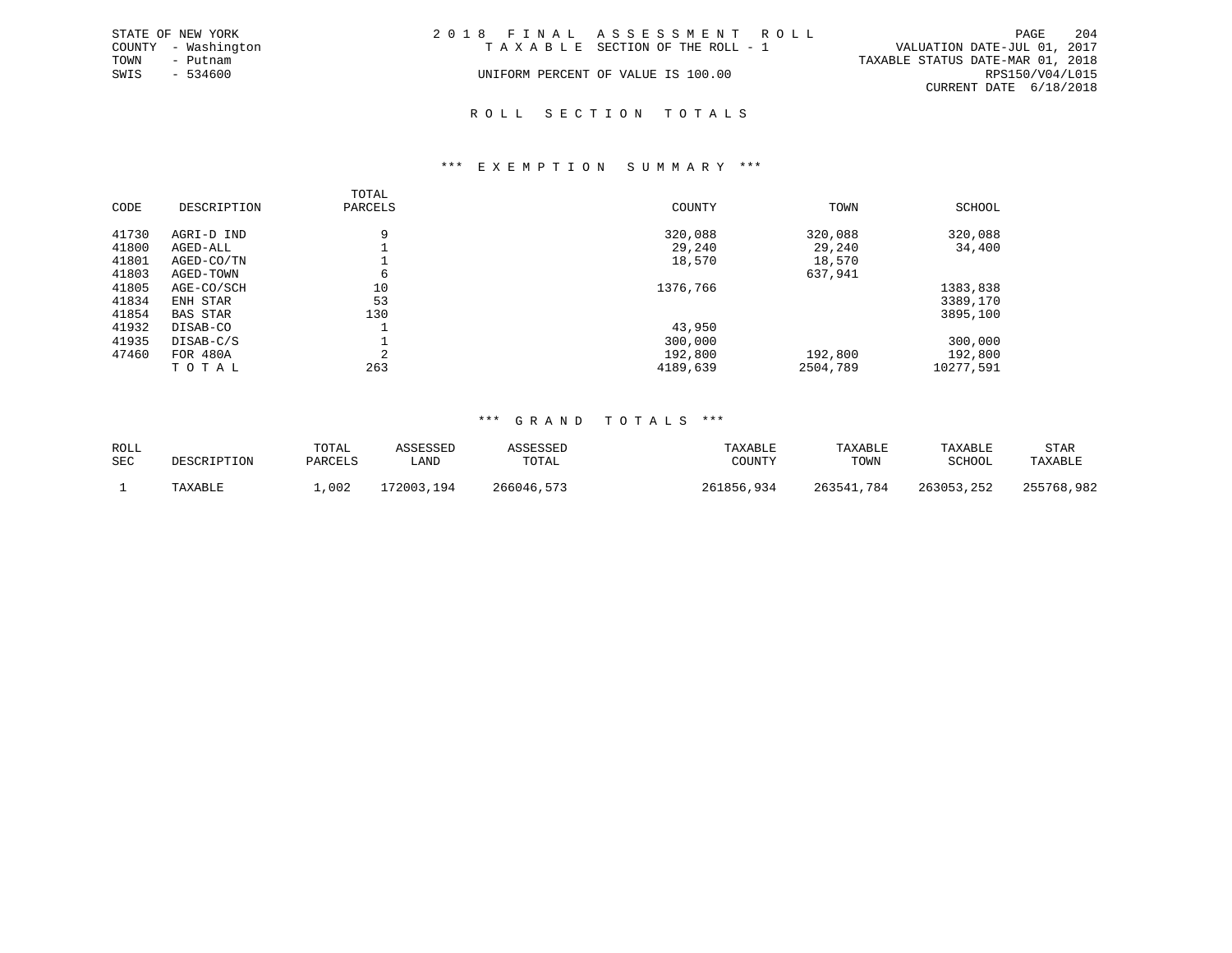|      | STATE OF NEW YORK   | 2018 FINAL ASSESSMENT ROLL         |                                  |                        | PAGE | 204 |
|------|---------------------|------------------------------------|----------------------------------|------------------------|------|-----|
|      | COUNTY - Washington | TAXABLE SECTION OF THE ROLL - 1    | VALUATION DATE-JUL 01, 2017      |                        |      |     |
| TOWN | - Putnam            |                                    | TAXABLE STATUS DATE-MAR 01, 2018 |                        |      |     |
| SWIS | $-534600$           | UNIFORM PERCENT OF VALUE IS 100.00 |                                  | RPS150/V04/L015        |      |     |
|      |                     |                                    |                                  | CURRENT DATE 6/18/2018 |      |     |
|      |                     |                                    |                                  |                        |      |     |

\*\*\* E X E M P T I O N S U M M A R Y \*\*\*

R O L L S E C T I O N T O T A L S

## TOTALPARCELS CODE DESCRIPTION PARCELS COUNTY TOWN SCHOOL41730 AGRI-D IND 9 320,088 320,088 320,088 41800 AGED-ALL 1 29,240 29,240 34,400 41801 AGED-CO/TN 1 18,570 18,570 41803 AGED-TOWN 6 637,941<br>41805 AGE-CO/SCH 10 10 537,941 41805 AGE-CO/SCH 10 10 10 1376,766 1383,838 1383,838 1383,838 1383,838 1383,838 1383,838 1383,838 130 41834 ENH STAR 41854 BAS STAR 130 3895,100 41932 DISAB-CO 1 1 43,950<br>41935 DISAB-C/S 1 1 300,000 41935 DISAB-C/S 1 300,000 300,000 47460 FOR 480A 2 192,800 192,800 192,800 T O T A L 263 4189,639 2504,789 10277,591

| ROLL       |             | TOTAL   | ASSESSED   | ASSESSED   | TAXABLE    | TAXABLE    | TAXABLE       | STAR       |
|------------|-------------|---------|------------|------------|------------|------------|---------------|------------|
| <b>SEC</b> | DESCRIPTION | PARCELS | LAND       | TOTAL      | COUNTY     | TOWN       | <b>SCHOOL</b> | TAXABLE    |
|            | TAXABLE     | ,002    | 172003,194 | 266046,573 | 261856,934 | 263541,784 | 263053,252    | 255768,982 |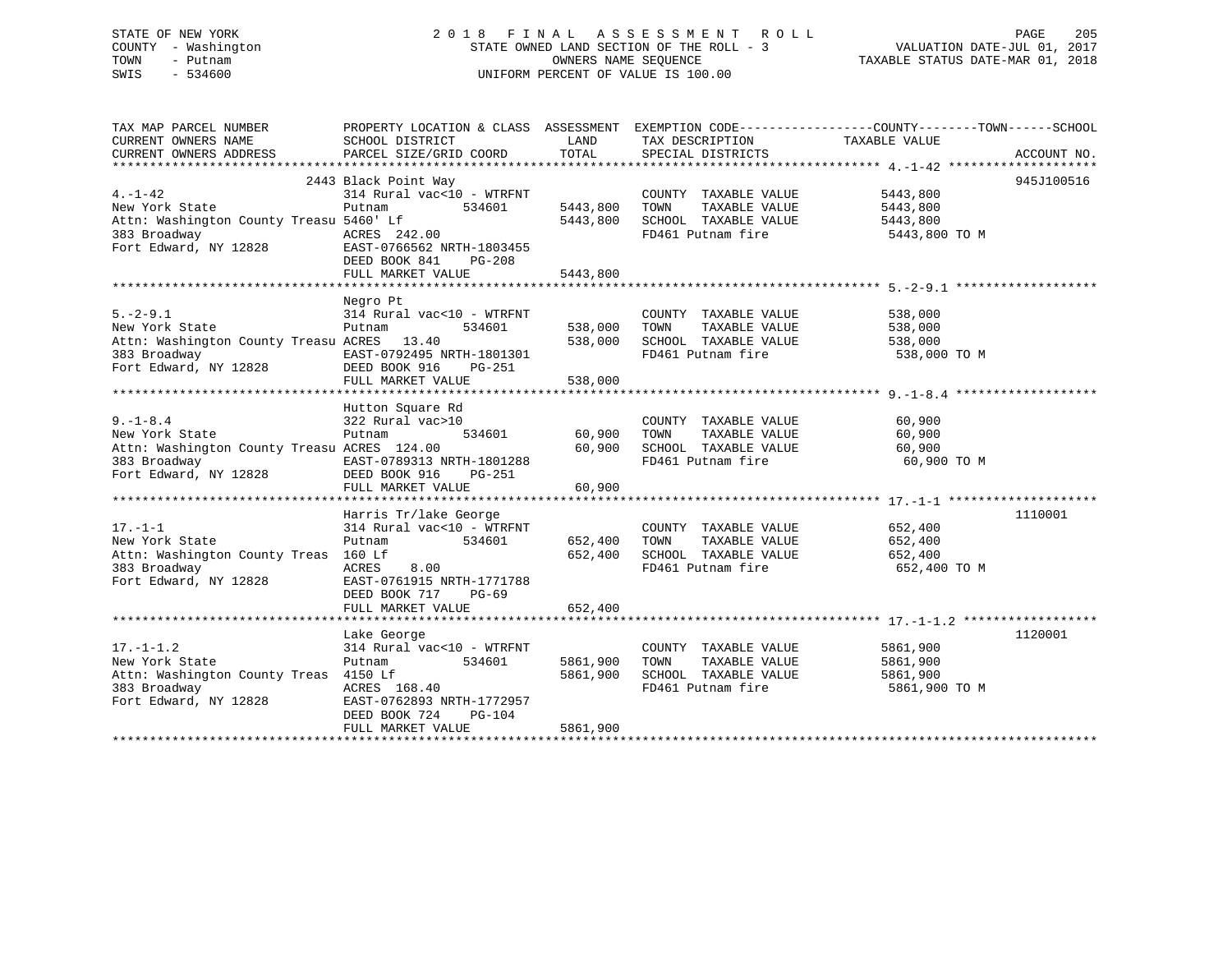| STATE OF NEW YORK   |  | 2018 FINAL ASSESSMENT ROLL               | PAGE                             | 205 |
|---------------------|--|------------------------------------------|----------------------------------|-----|
| COUNTY - Washington |  | STATE OWNED LAND SECTION OF THE ROLL - 3 | VALUATION DATE-JUL 01, 2017      |     |
| TOWN<br>– Putnam    |  | OWNERS NAME SEOUENCE                     | TAXABLE STATUS DATE-MAR 01, 2018 |     |
| SWIS<br>- 534600    |  | UNIFORM PERCENT OF VALUE IS 100.00       |                                  |     |

| TAX MAP PARCEL NUMBER                                                                                                                                                                    | PROPERTY LOCATION & CLASS ASSESSMENT EXEMPTION CODE-----------------COUNTY--------TOWN------SCHOOL                                                                                                        |               |                                                                                                                   |                      |            |
|------------------------------------------------------------------------------------------------------------------------------------------------------------------------------------------|-----------------------------------------------------------------------------------------------------------------------------------------------------------------------------------------------------------|---------------|-------------------------------------------------------------------------------------------------------------------|----------------------|------------|
|                                                                                                                                                                                          |                                                                                                                                                                                                           |               |                                                                                                                   |                      |            |
|                                                                                                                                                                                          |                                                                                                                                                                                                           |               |                                                                                                                   |                      |            |
|                                                                                                                                                                                          |                                                                                                                                                                                                           |               |                                                                                                                   |                      |            |
|                                                                                                                                                                                          | 2443 Black Point Way                                                                                                                                                                                      |               |                                                                                                                   |                      | 945J100516 |
| $4. -1 - 42$                                                                                                                                                                             | $314$ Rural vac< $10$ - WTRFNT                                                                                                                                                                            |               | COUNTY TAXABLE VALUE 5443,800                                                                                     |                      |            |
| New York State                                                                                                                                                                           | Putnam 534601 5443,800 TOWN                                                                                                                                                                               |               |                                                                                                                   |                      |            |
|                                                                                                                                                                                          |                                                                                                                                                                                                           |               |                                                                                                                   |                      |            |
|                                                                                                                                                                                          |                                                                                                                                                                                                           |               | 5443,800 TOWN TAXABLE VALUE 5443,800<br>5443,800 SCHOOL TAXABLE VALUE 5443,800<br>FD461 Putnam fire 5443,800 TO M |                      |            |
|                                                                                                                                                                                          |                                                                                                                                                                                                           |               |                                                                                                                   |                      |            |
|                                                                                                                                                                                          |                                                                                                                                                                                                           |               |                                                                                                                   |                      |            |
|                                                                                                                                                                                          | FULL MARKET VALUE                                                                                                                                                                                         | 5443,800      |                                                                                                                   |                      |            |
|                                                                                                                                                                                          |                                                                                                                                                                                                           |               |                                                                                                                   |                      |            |
|                                                                                                                                                                                          |                                                                                                                                                                                                           |               |                                                                                                                   |                      |            |
|                                                                                                                                                                                          | Negro Pt                                                                                                                                                                                                  |               |                                                                                                                   |                      |            |
| $5. -2 -9.1$<br>New York State $31\overline{4}$ Rural vac<10 - WTRFNT $338,000$ TOWN TAXABLE VALUE                                                                                       |                                                                                                                                                                                                           |               |                                                                                                                   | 538,000<br>538,000   |            |
|                                                                                                                                                                                          |                                                                                                                                                                                                           |               |                                                                                                                   |                      |            |
|                                                                                                                                                                                          |                                                                                                                                                                                                           |               |                                                                                                                   |                      |            |
|                                                                                                                                                                                          |                                                                                                                                                                                                           |               |                                                                                                                   | 538,000 TO M         |            |
|                                                                                                                                                                                          |                                                                                                                                                                                                           |               |                                                                                                                   |                      |            |
|                                                                                                                                                                                          |                                                                                                                                                                                                           |               |                                                                                                                   |                      |            |
|                                                                                                                                                                                          |                                                                                                                                                                                                           |               |                                                                                                                   |                      |            |
|                                                                                                                                                                                          | Hutton Square Rd                                                                                                                                                                                          |               |                                                                                                                   |                      |            |
|                                                                                                                                                                                          |                                                                                                                                                                                                           |               | COUNTY TAXABLE VALUE 60,900                                                                                       |                      |            |
|                                                                                                                                                                                          | $\begin{array}{cccc} \sqrt{1} & \text{vac} > 10 & & & & & \text{COUNT} \\ & & 534601 & & & 60,900 & & \text{TOWN} \end{array}$                                                                            |               |                                                                                                                   | TAXABLE VALUE 60,900 |            |
|                                                                                                                                                                                          |                                                                                                                                                                                                           |               |                                                                                                                   |                      |            |
|                                                                                                                                                                                          |                                                                                                                                                                                                           |               |                                                                                                                   |                      |            |
|                                                                                                                                                                                          |                                                                                                                                                                                                           |               |                                                                                                                   |                      |            |
| Example of the magnetic county in the ACRES 124.00<br>383 Broadway EAST-0789313 NRTH-1801288<br>Fort Edward, NY 12828 DEED BOOK 916 PG-251<br>Fort Edward, NY 12828 DEED BOOK 916 PG-251 | FULL MARKET VALUE                                                                                                                                                                                         | 60,900        |                                                                                                                   |                      |            |
|                                                                                                                                                                                          |                                                                                                                                                                                                           |               |                                                                                                                   |                      |            |
|                                                                                                                                                                                          | Harris Tr/lake George                                                                                                                                                                                     |               |                                                                                                                   |                      | 1110001    |
| $17. -1 - 1$                                                                                                                                                                             | 314 Rural vac<10 - WTRFNT                                                                                                                                                                                 |               | COUNTY TAXABLE VALUE 652,400                                                                                      |                      |            |
| New York State                                                                                                                                                                           |                                                                                                                                                                                                           |               |                                                                                                                   |                      |            |
| Attn: Washington County Treas 160 Lf                                                                                                                                                     |                                                                                                                                                                                                           |               |                                                                                                                   |                      |            |
|                                                                                                                                                                                          | Putnam (18.18.18.18.18.19.18.19.18.19.18.19.18.19.18.19.18.19.18.19.19.18.19.19.19.19.19.19.19.19.19.19.19.19<br>160 Lf 652,400 SCHOOL TAXABLE VALUE 652,400<br>ACRES 8.00 FD461 Putnam fire 652,400 TO M |               |                                                                                                                   |                      |            |
| 383 Broadway<br>Fort Edward, NY 12828<br>Fort Edward, NY 12828<br>Fort Edward, NY 12828<br>Forth BOOK 717<br>PG-69                                                                       |                                                                                                                                                                                                           |               |                                                                                                                   |                      |            |
|                                                                                                                                                                                          | DEED BOOK 717 PG-69                                                                                                                                                                                       |               |                                                                                                                   |                      |            |
|                                                                                                                                                                                          | FULL MARKET VALUE                                                                                                                                                                                         | 652,400       |                                                                                                                   |                      |            |
|                                                                                                                                                                                          |                                                                                                                                                                                                           |               |                                                                                                                   |                      |            |
|                                                                                                                                                                                          |                                                                                                                                                                                                           |               |                                                                                                                   |                      | 1120001    |
|                                                                                                                                                                                          | Lake George                                                                                                                                                                                               |               |                                                                                                                   |                      |            |
| $17.-1-1.2$<br>New York State $314$ Rural vac<10 - WTRFNT<br>New York State $534601$                                                                                                     |                                                                                                                                                                                                           |               | COUNTY TAXABLE VALUE                                                                                              | 5861,900<br>5861,900 |            |
|                                                                                                                                                                                          |                                                                                                                                                                                                           | 5861,900 TOWN | TAXABLE VALUE                                                                                                     |                      |            |
|                                                                                                                                                                                          |                                                                                                                                                                                                           |               | 5861,900 SCHOOL TAXABLE VALUE 5861,900                                                                            |                      |            |
| Attn: Washington County Treas 4150 Lf<br>383 Broadway ACRES 168.40<br>Fort Edward, NY 12828 EAST-0762893 NRTH-1772957                                                                    |                                                                                                                                                                                                           |               | FD461 Putnam fire                                                                                                 | 5861,900 TO M        |            |
|                                                                                                                                                                                          |                                                                                                                                                                                                           |               |                                                                                                                   |                      |            |
|                                                                                                                                                                                          | DEED BOOK 724<br>$PG-104$                                                                                                                                                                                 |               |                                                                                                                   |                      |            |
|                                                                                                                                                                                          | FULL MARKET VALUE                                                                                                                                                                                         | 5861,900      |                                                                                                                   |                      |            |
|                                                                                                                                                                                          |                                                                                                                                                                                                           |               |                                                                                                                   |                      |            |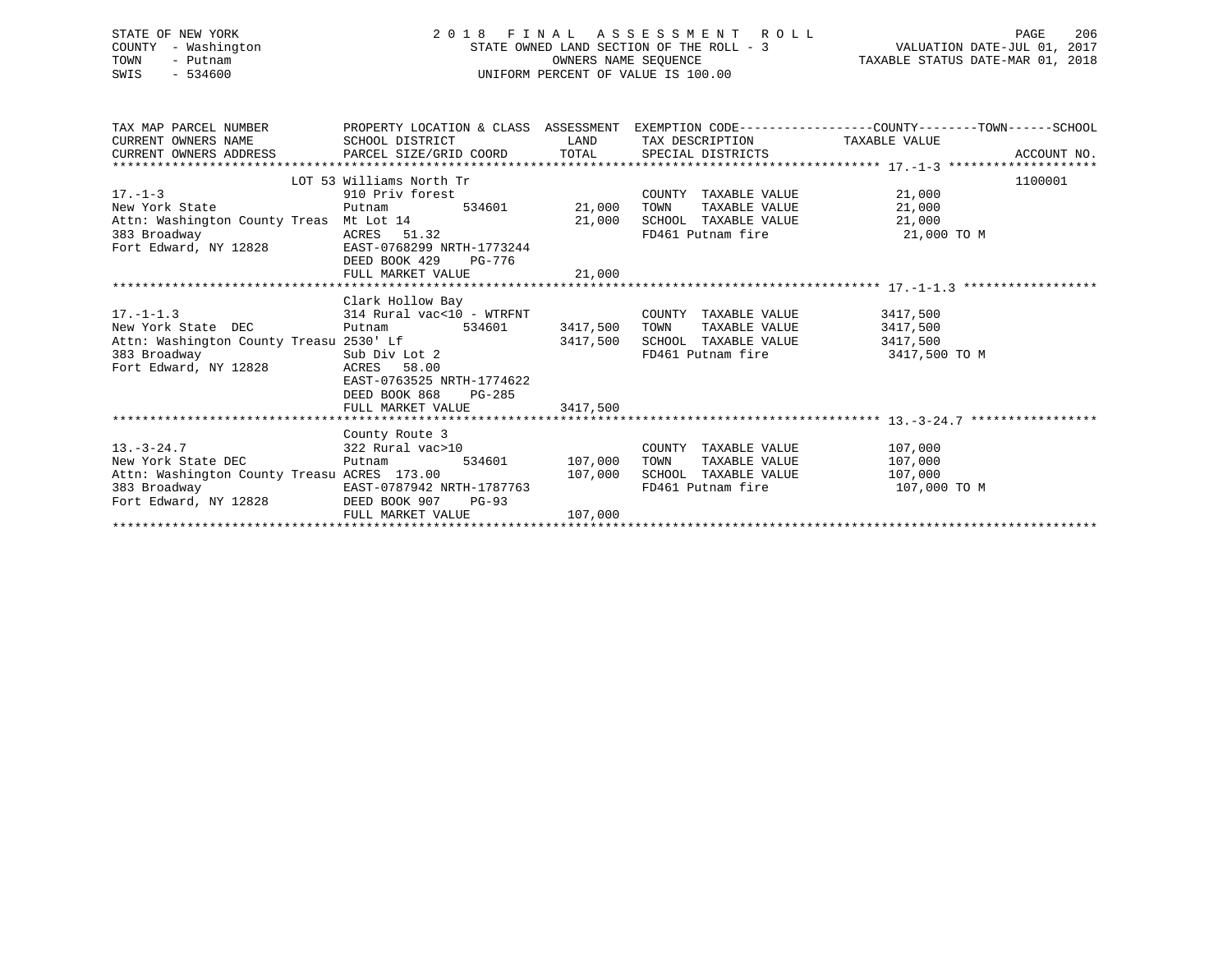| STATE OF NEW YORK<br>COUNTY - Washington<br>TOWN<br>- Putnam<br>$-534600$<br>SWIS                                                                          |                                                                                                                                                                                                | $\begin{tabular}{lllllllllllllll} \multicolumn{3}{c}{2\ 0\ 1\ 8\ & F\ I\ N\ A\ L\ & A\ S\ S\ E\ S\ S\ M\ E\ N\ T\ & R\ O\ L\ L\ & & & \text{PAGE} & 206 \\ \multicolumn{3}{c}{STATE\ ONNED\ LAND\ SECTION\ OF\ THE\ ROLL\ -\ 3} & & & \text{VALUATION\ DATE-JUL\ 01,\ 2017 \\ & & & \text{OWNERS\ NAME\ SEQUENCE} & & \text{TAXABLE\ STATUS\ DATE-MAR\ 01,\ 2018 \\ \multicolumn{3}{c}{UNIFORM\ PERCENT\ OF\ VALUE\ IS\ 100.00$ |                                                                                                     |                                                  |         |
|------------------------------------------------------------------------------------------------------------------------------------------------------------|------------------------------------------------------------------------------------------------------------------------------------------------------------------------------------------------|---------------------------------------------------------------------------------------------------------------------------------------------------------------------------------------------------------------------------------------------------------------------------------------------------------------------------------------------------------------------------------------------------------------------------------|-----------------------------------------------------------------------------------------------------|--------------------------------------------------|---------|
| TAX MAP PARCEL NUMBER THE PROPERTY LOCATION & CLASS ASSESSMENT EXEMPTION CODE--------------COUNTY-------TOWN------SCHOOL<br>CURRENT OWNERS NAME            | SCHOOL DISTRICT                     LAND        TAX DESCRIPTION                TAXABLE VALUE                                                                                                   |                                                                                                                                                                                                                                                                                                                                                                                                                                 |                                                                                                     |                                                  |         |
| $17. - 1 - 3$<br>New York State<br>383 Broadway                           ACRES     51.32<br>Fort Edward, NY 12828               EAST-0768299 NRTH-1773244 | LOT 53 Williams North Tr<br>Find the Trans of Sandard COUNT<br>Find the Sandard Count of Sandard COUNT COUNT<br>910 Priv forest<br>Putnam<br>EAST-0768299 NRTH-1773244<br>DEED BOOK 429 PG-776 |                                                                                                                                                                                                                                                                                                                                                                                                                                 | COUNTY TAXABLE VALUE 21,000<br>FD461 Putnam fire 31,000 TO M                                        | TAXABLE VALUE 21,000                             | 1100001 |
| 17.-1-1.3 314 Rural vac<10 - WTRFNT COUNTY TAXABLE VALUE 3417,500<br>New York State DEC<br>Fort Edward, NY 12828 ACRES 58.00                               | Clark Hollow Bay<br>Putnam 534601 3417,500 TOWN<br>EAST-0763525 NRTH-1774622<br>DEED BOOK 868<br>PG-285<br>FULL MARKET VALUE                                                                   | 3417,500                                                                                                                                                                                                                                                                                                                                                                                                                        | TAXABLE VALUE 3417,500<br>3417,500 SCHOOL TAXABLE VALUE 3417,500<br>FD461 Putnam fire 3417,500 TO M |                                                  |         |
| 13.-3-24.7<br>New York State DEC<br>Putnam 534601<br>107,000                                                                                               | County Route 3<br>Putnam 534601 107,000 TOWN                                                                                                                                                   |                                                                                                                                                                                                                                                                                                                                                                                                                                 | COUNTY TAXABLE VALUE 107,000                                                                        | TAXABLE VALUE 107,000<br>107,000<br>107,000 TO M |         |

FULL MARKET VALUE 107,000 \*\*\*\*\*\*\*\*\*\*\*\*\*\*\*\*\*\*\*\*\*\*\*\*\*\*\*\*\*\*\*\*\*\*\*\*\*\*\*\*\*\*\*\*\*\*\*\*\*\*\*\*\*\*\*\*\*\*\*\*\*\*\*\*\*\*\*\*\*\*\*\*\*\*\*\*\*\*\*\*\*\*\*\*\*\*\*\*\*\*\*\*\*\*\*\*\*\*\*\*\*\*\*\*\*\*\*\*\*\*\*\*\*\*\*\*\*\*\*\*\*\*\*\*\*\*\*\*\*\*\*\*

383 Broadway EAST-0787942 NRTH-1787763 FD461 Putnam fire 107,000 TO M

DEED BOOK 907 PG-93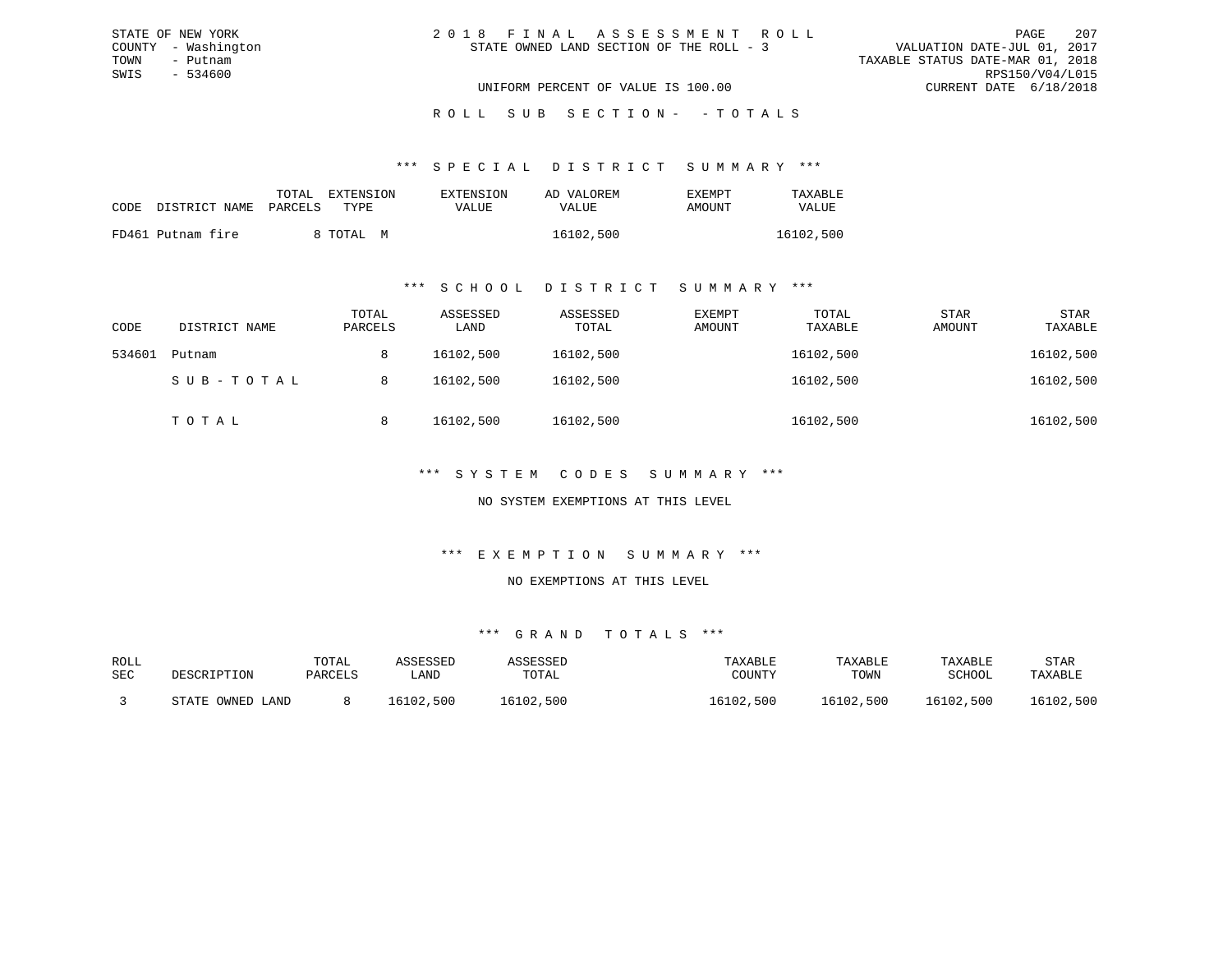|  | 2018 FINAL ASSESSMENT ROLL               |                                  | PAGE                        | 207 |
|--|------------------------------------------|----------------------------------|-----------------------------|-----|
|  | STATE OWNED LAND SECTION OF THE ROLL - 3 |                                  | VALUATION DATE-JUL 01, 2017 |     |
|  |                                          | TAXABLE STATUS DATE-MAR 01, 2018 |                             |     |
|  |                                          |                                  | RPS150/V04/L015             |     |
|  | UNIFORM PERCENT OF VALUE IS 100.00       |                                  | CURRENT DATE 6/18/2018      |     |

#### \*\*\* S P E C I A L D I S T R I C T S U M M A R Y \*\*\*

| CODE | DISTRICT NAME PARCELS | TOTAL | EXTENSION<br>TYPR. | EXTENSION<br>VALUE | AD VALOREM<br>VALUE | EXEMPT<br>AMOUNT | TAXABLE<br>VALUE |
|------|-----------------------|-------|--------------------|--------------------|---------------------|------------------|------------------|
|      | FD461 Putnam fire     |       | 8 TOTAL M          |                    | 16102,500           |                  | 16102,500        |

STATE OF NEW YORK COUNTY - Washington TOWN - Putnam SWIS - 534600

#### \*\*\* S C H O O L D I S T R I C T S U M M A R Y \*\*\*

| CODE   | DISTRICT NAME | TOTAL<br>PARCELS | ASSESSED<br>LAND | ASSESSED<br>TOTAL | EXEMPT<br>AMOUNT | TOTAL<br>TAXABLE | <b>STAR</b><br>AMOUNT | <b>STAR</b><br>TAXABLE |
|--------|---------------|------------------|------------------|-------------------|------------------|------------------|-----------------------|------------------------|
| 534601 | Putnam        | 8                | 16102,500        | 16102,500         |                  | 16102,500        |                       | 16102,500              |
|        | SUB-TOTAL     | 8                | 16102,500        | 16102,500         |                  | 16102,500        |                       | 16102,500              |
|        | TOTAL         | 8                | 16102,500        | 16102,500         |                  | 16102,500        |                       | 16102,500              |

## \*\*\* S Y S T E M C O D E S S U M M A R Y \*\*\*

## NO SYSTEM EXEMPTIONS AT THIS LEVEL

## \*\*\* E X E M P T I O N S U M M A R Y \*\*\*

#### NO EXEMPTIONS AT THIS LEVEL

| ROLL<br>SEC | DESCRIPTION      | TOTAL<br>PARCELS | ASSESSED<br>LAND | ASSESSED<br>TOTAL | TAXABLE<br>COUNTY | TAXABLE<br>TOWN | TAXABLE<br>SCHOOL | STAR<br>TAXABLE |
|-------------|------------------|------------------|------------------|-------------------|-------------------|-----------------|-------------------|-----------------|
|             | STATE OWNED LAND |                  | 16102,500        | 16102,500         | 16102,500         | 16102,500       | 16102,500         | 16102,500       |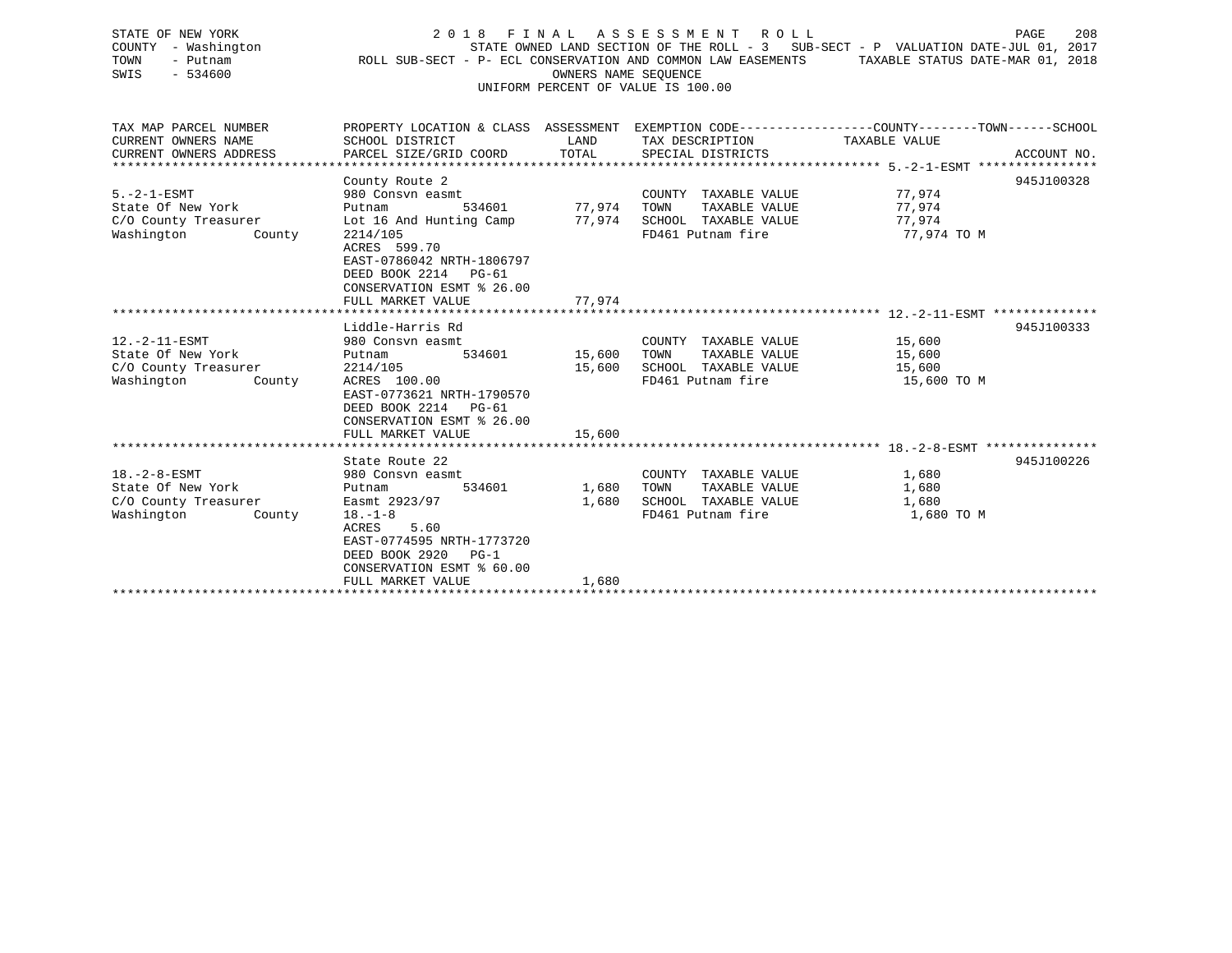| STATE OF NEW YORK<br>COUNTY<br>- Washington<br>TOWN<br>- Putnam<br>$-534600$<br>SWIS      | 2018 FINAL                                                                                                                                                                                                           | OWNERS NAME SEQUENCE       | A S S E S S M E N T<br>ROLL<br>ROLL SUB-SECT - P- ECL CONSERVATION AND COMMON LAW EASEMENTS<br>UNIFORM PERCENT OF VALUE IS 100.00 | PAGE<br>208<br>STATE OWNED LAND SECTION OF THE ROLL - 3 SUB-SECT - P VALUATION DATE-JUL 01, 2017<br>TAXABLE STATUS DATE-MAR 01, 2018 |
|-------------------------------------------------------------------------------------------|----------------------------------------------------------------------------------------------------------------------------------------------------------------------------------------------------------------------|----------------------------|-----------------------------------------------------------------------------------------------------------------------------------|--------------------------------------------------------------------------------------------------------------------------------------|
| TAX MAP PARCEL NUMBER<br>CURRENT OWNERS NAME<br>CURRENT OWNERS ADDRESS                    | SCHOOL DISTRICT<br>PARCEL SIZE/GRID COORD                                                                                                                                                                            | LAND<br>TOTAL              | TAX DESCRIPTION<br>SPECIAL DISTRICTS                                                                                              | PROPERTY LOCATION & CLASS ASSESSMENT EXEMPTION CODE---------------COUNTY-------TOWN------SCHOOL<br>TAXABLE VALUE<br>ACCOUNT NO.      |
| $5. -2 - 1 - ESMT$<br>State Of New York<br>C/O County Treasurer<br>Washington<br>County   | County Route 2<br>980 Consyn easmt<br>534601<br>Putnam<br>Lot 16 And Hunting Camp<br>2214/105<br>ACRES 599.70<br>EAST-0786042 NRTH-1806797<br>DEED BOOK 2214 PG-61<br>CONSERVATION ESMT % 26.00<br>FULL MARKET VALUE | 77,974<br>77,974<br>77,974 | COUNTY TAXABLE VALUE<br>TOWN<br>TAXABLE VALUE<br>SCHOOL TAXABLE VALUE<br>FD461 Putnam fire                                        | 945J100328<br>77,974<br>77,974<br>77,974<br>77,974 TO M                                                                              |
|                                                                                           |                                                                                                                                                                                                                      |                            |                                                                                                                                   |                                                                                                                                      |
| $12. -2 - 11 - ESMT$<br>State Of New York<br>C/O County Treasurer<br>Washington<br>County | Liddle-Harris Rd<br>980 Consyn easmt<br>Putnam<br>534601<br>2214/105<br>ACRES 100.00<br>EAST-0773621 NRTH-1790570<br>DEED BOOK 2214 PG-61<br>CONSERVATION ESMT % 26.00                                               | 15,600<br>15,600           | COUNTY TAXABLE VALUE<br>TAXABLE VALUE<br>TOWN<br>SCHOOL TAXABLE VALUE<br>FD461 Putnam fire                                        | 945J100333<br>15,600<br>15,600<br>15,600<br>15,600 TO M                                                                              |
|                                                                                           | FULL MARKET VALUE                                                                                                                                                                                                    | 15,600                     |                                                                                                                                   |                                                                                                                                      |
| $18. - 2 - 8 - ESMT$<br>State Of New York<br>C/O County Treasurer<br>Washington<br>County | State Route 22<br>980 Consyn easmt<br>534601<br>Putnam<br>Easmt 2923/97<br>$18. - 1 - 8$<br>5.60<br>ACRES<br>EAST-0774595 NRTH-1773720<br>DEED BOOK 2920<br>$PG-1$<br>CONSERVATION ESMT % 60.00                      | 1,680<br>1,680             | COUNTY TAXABLE VALUE<br>TOWN<br>TAXABLE VALUE<br>SCHOOL TAXABLE VALUE<br>FD461 Putnam fire                                        | 945J100226<br>1,680<br>1,680<br>1,680<br>1,680 TO M                                                                                  |

FULL MARKET VALUE 1,680 \*\*\*\*\*\*\*\*\*\*\*\*\*\*\*\*\*\*\*\*\*\*\*\*\*\*\*\*\*\*\*\*\*\*\*\*\*\*\*\*\*\*\*\*\*\*\*\*\*\*\*\*\*\*\*\*\*\*\*\*\*\*\*\*\*\*\*\*\*\*\*\*\*\*\*\*\*\*\*\*\*\*\*\*\*\*\*\*\*\*\*\*\*\*\*\*\*\*\*\*\*\*\*\*\*\*\*\*\*\*\*\*\*\*\*\*\*\*\*\*\*\*\*\*\*\*\*\*\*\*\*\*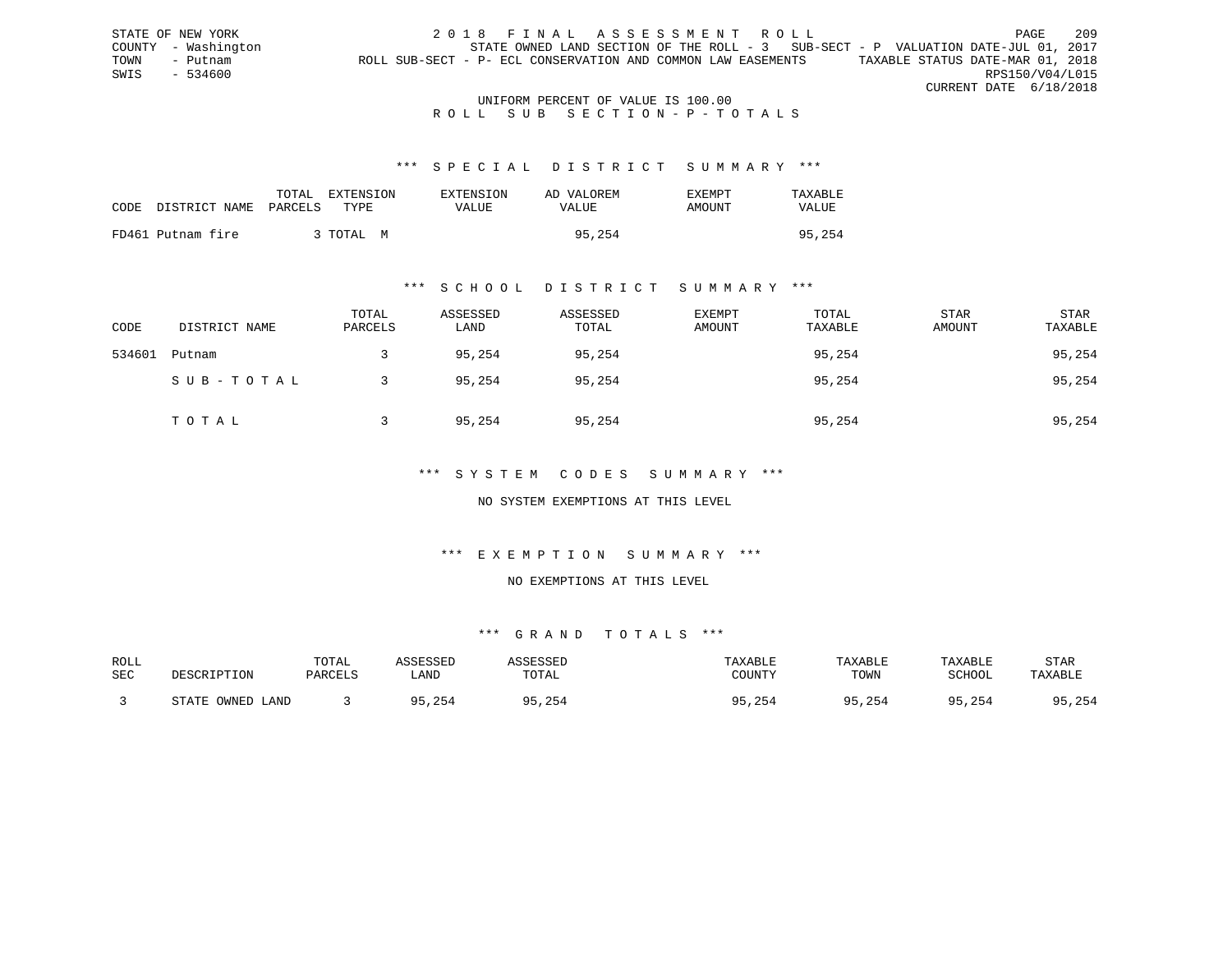STATE OF NEW YORK 2018 FINAL ASSESSMENT ROLL PAGE 209 COUNTY - Washington STATE OWNED LAND SECTION OF THE ROLL - 3 SUB-SECT - P VALUATION DATE-JUL 01, 2017 TOWN - Putnam ROLL SUB-SECT - P- ECL CONSERVATION AND COMMON LAW EASEMENTS TAXABLE STATUS DATE-MAR 01, 2018 SWIS - 534600 RPS150/V04/L015 CURRENT DATE 6/18/2018

## UNIFORM PERCENT OF VALUE IS 100.00 ROLL SUB SECTION-P-TOTALS

#### \*\*\* S P E C I A L D I S T R I C T S U M M A R Y \*\*\*

| CODE | DISTRICT NAME PARCELS | TOTAL EXTENSION<br>TYPE. | EXTENSION<br>VALUE | AD VALOREM<br>VALUE | <b>EXEMPT</b><br>AMOUNT | TAXABLE<br>VALUE |
|------|-----------------------|--------------------------|--------------------|---------------------|-------------------------|------------------|
|      | FD461 Putnam fire     | 3 TOTAL M                |                    | 95,254              |                         | 95,254           |

## \*\*\* S C H O O L D I S T R I C T S U M M A R Y \*\*\*

| CODE   | DISTRICT NAME | TOTAL<br>PARCELS | ASSESSED<br>LAND | ASSESSED<br>TOTAL | EXEMPT<br>AMOUNT | TOTAL<br>TAXABLE | <b>STAR</b><br>AMOUNT | STAR<br>TAXABLE |
|--------|---------------|------------------|------------------|-------------------|------------------|------------------|-----------------------|-----------------|
| 534601 | Putnam        |                  | 95,254           | 95,254            |                  | 95,254           |                       | 95,254          |
|        | SUB-TOTAL     |                  | 95,254           | 95,254            |                  | 95,254           |                       | 95,254          |
|        | TOTAL         |                  | 95,254           | 95,254            |                  | 95,254           |                       | 95,254          |

## \*\*\* S Y S T E M C O D E S S U M M A R Y \*\*\*

## NO SYSTEM EXEMPTIONS AT THIS LEVEL

## \*\*\* E X E M P T I O N S U M M A R Y \*\*\*

## NO EXEMPTIONS AT THIS LEVEL

| ROLL |                  | TOTAL   | ASSESSED | ASSESSED | TAXABLE      | TAXABLE | TAXABLE      | <b>STAR</b> |
|------|------------------|---------|----------|----------|--------------|---------|--------------|-------------|
| SEC  | DESCRIPTION      | PARCELS | LAND     | TOTAL    | COUNTY       | TOWN    | SCHOOL       | TAXABLE     |
|      | STATE OWNED LAND |         | 95,254   | 5,254    | 95,254<br>QE | 95,254  | 95,254<br>QE | 95,254      |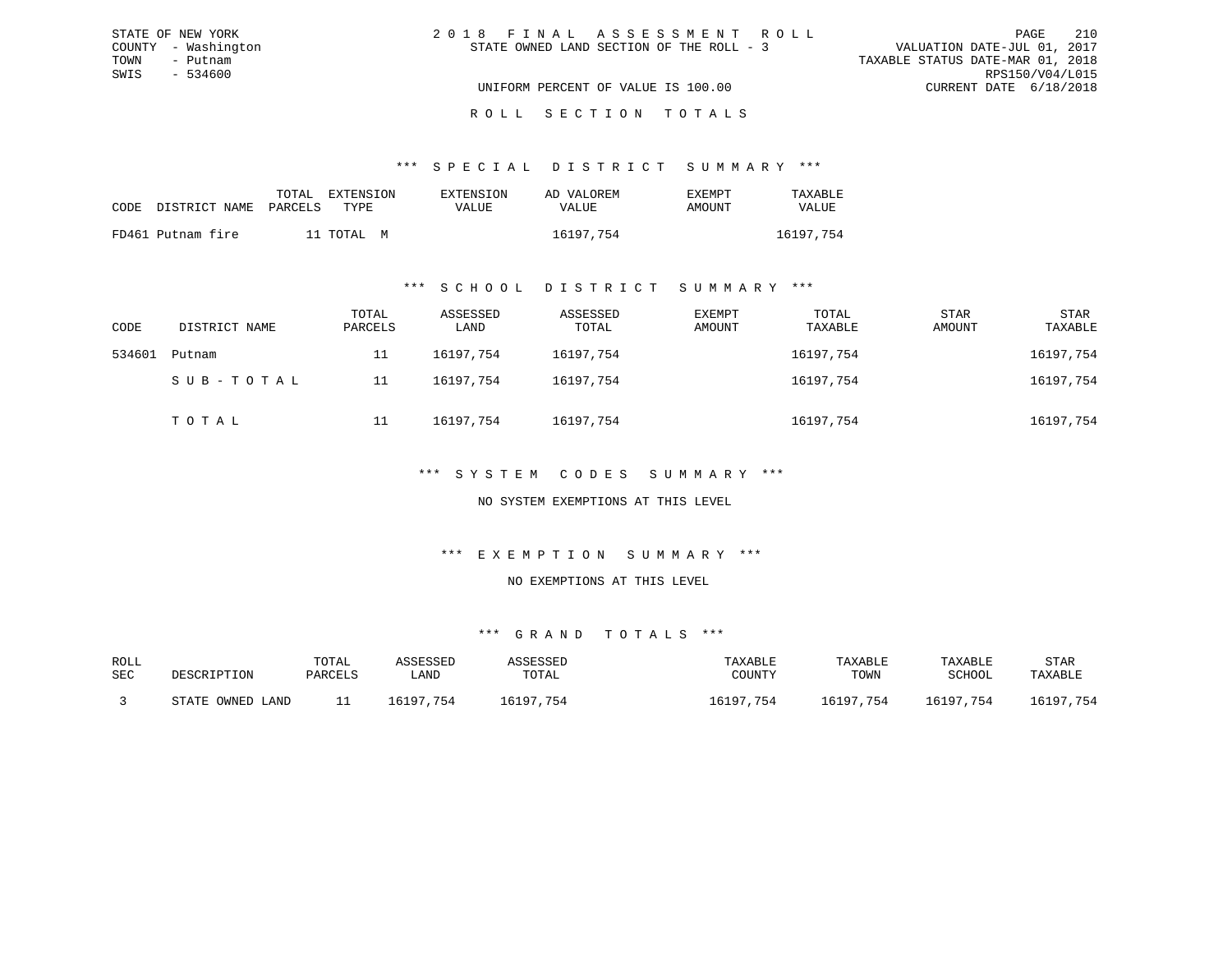| STATE OF NEW YORK   | 2018 FINAL ASSESSMENT ROLL               | 210<br>PAGE                      |
|---------------------|------------------------------------------|----------------------------------|
| COUNTY - Washington | STATE OWNED LAND SECTION OF THE ROLL - 3 | VALUATION DATE-JUL 01, 2017      |
| TOWN<br>- Putnam    |                                          | TAXABLE STATUS DATE-MAR 01, 2018 |
| SWIS<br>- 534600    |                                          | RPS150/V04/L015                  |
|                     | UNIFORM PERCENT OF VALUE IS 100.00       | CURRENT DATE 6/18/2018           |
|                     |                                          |                                  |

#### R O L L S E C T I O N T O T A L S

## \*\*\* S P E C I A L D I S T R I C T S U M M A R Y \*\*\*

|                            | TOTAL | <b>EXTENSION</b> | <b>EXTENSION</b> | AD VALOREM | EXEMPT | TAXABLE      |
|----------------------------|-------|------------------|------------------|------------|--------|--------------|
| CODE DISTRICT NAME PARCELS |       | TYPE.            | VALUE            | VALUE      | AMOUNT | <b>VALUE</b> |
| FD461 Putnam fire          |       | 11 TOTAL M       |                  | 16197,754  |        | 16197.754    |

## \*\*\* S C H O O L D I S T R I C T S U M M A R Y \*\*\*

| CODE   | DISTRICT NAME | TOTAL<br>PARCELS | ASSESSED<br>LAND | ASSESSED<br>TOTAL | EXEMPT<br>AMOUNT | TOTAL<br>TAXABLE | <b>STAR</b><br>AMOUNT | STAR<br>TAXABLE |
|--------|---------------|------------------|------------------|-------------------|------------------|------------------|-----------------------|-----------------|
| 534601 | Putnam        | 11               | 16197.754        | 16197,754         |                  | 16197,754        |                       | 16197,754       |
|        | SUB-TOTAL     | 11               | 16197.754        | 16197,754         |                  | 16197,754        |                       | 16197,754       |
|        | TOTAL         | 11               | 16197.754        | 16197,754         |                  | 16197,754        |                       | 16197,754       |

## \*\*\* S Y S T E M C O D E S S U M M A R Y \*\*\*

## NO SYSTEM EXEMPTIONS AT THIS LEVEL

## \*\*\* E X E M P T I O N S U M M A R Y \*\*\*

#### NO EXEMPTIONS AT THIS LEVEL

| ROLL |                  | TOTAL   | ASSESSED  | ASSESSED  | TAXABLE   | TAXABLE   | TAXABLE   | STAR      |
|------|------------------|---------|-----------|-----------|-----------|-----------|-----------|-----------|
| SEC  | DESCRIPTION      | PARCELS | LAND      | TOTAL     | COUNTY    | TOWN      | SCHOOL    | TAXABLE   |
|      | STATE OWNED LAND |         | 16197.754 | 16197,754 | 16197,754 | 16197,754 | 16197,754 | 16197,754 |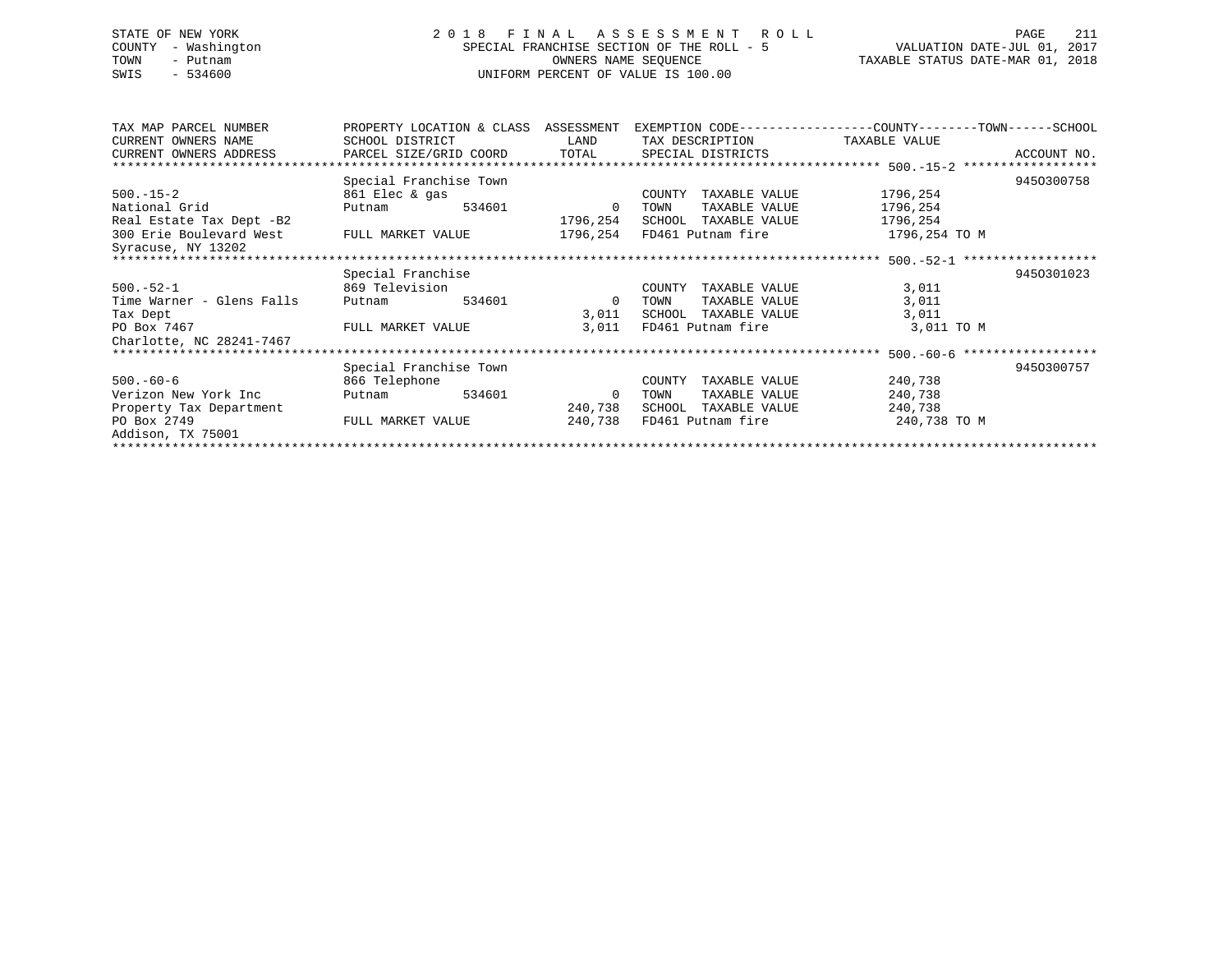# STATE OF NEW YORK 2 0 1 8 F I N A L A S S E S S M E N T R O L L PAGE 211 COUNTY - Washington SPECIAL FRANCHISE SECTION OF THE ROLL - 5 VALUATION DATE-JUL 01, 2017 TOWN - Putnam **CONNERS NAME SEQUENCE** TAXABLE STATUS DATE-MAR 01, 2018 SWIS - 534600 UNIFORM PERCENT OF VALUE IS 100.00

| TAX MAP PARCEL NUMBER     | PROPERTY LOCATION & CLASS |        | ASSESSMENT     |        |                            | EXEMPTION CODE-----------------COUNTY-------TOWN------SCHOOL |             |
|---------------------------|---------------------------|--------|----------------|--------|----------------------------|--------------------------------------------------------------|-------------|
| CURRENT OWNERS NAME       | SCHOOL DISTRICT           |        | LAND           |        | TAX DESCRIPTION            | TAXABLE VALUE                                                |             |
| CURRENT OWNERS ADDRESS    | PARCEL SIZE/GRID COORD    |        | TOTAL          |        | SPECIAL DISTRICTS          |                                                              | ACCOUNT NO. |
|                           |                           |        |                |        |                            |                                                              |             |
|                           | Special Franchise Town    |        |                |        |                            |                                                              | 9450300758  |
| $500. - 15 - 2$           | 861 Elec & gas            |        |                | COUNTY | TAXABLE VALUE              | 1796,254                                                     |             |
| National Grid             | Putnam                    | 534601 | $\Omega$       | TOWN   | TAXABLE VALUE              | 1796,254                                                     |             |
| Real Estate Tax Dept -B2  |                           |        | 1796,254       |        | SCHOOL TAXABLE VALUE       | 1796,254                                                     |             |
| 300 Erie Boulevard West   | FULL MARKET VALUE         |        |                |        | 1796,254 FD461 Putnam fire | 1796,254 TO M                                                |             |
| Syracuse, NY 13202        |                           |        |                |        |                            |                                                              |             |
|                           |                           |        |                |        |                            |                                                              |             |
|                           | Special Franchise         |        |                |        |                            |                                                              | 9450301023  |
| $500.-52-1$               | 869 Television            |        |                | COUNTY | TAXABLE VALUE              | 3,011                                                        |             |
| Time Warner - Glens Falls | Putnam                    | 534601 | $\overline{0}$ | TOWN   | TAXABLE VALUE              | 3,011                                                        |             |
| Tax Dept                  |                           |        | 3,011          | SCHOOL | TAXABLE VALUE              | 3,011                                                        |             |
| PO Box 7467               | FULL MARKET VALUE         |        | 3,011          |        | FD461 Putnam fire          | 3,011 TO M                                                   |             |
| Charlotte, NC 28241-7467  |                           |        |                |        |                            |                                                              |             |
|                           |                           |        |                |        |                            |                                                              |             |
|                           | Special Franchise Town    |        |                |        |                            |                                                              | 9450300757  |
| $500.-60-6$               | 866 Telephone             |        |                | COUNTY | TAXABLE VALUE              | 240,738                                                      |             |
| Verizon New York Inc      | Putnam                    | 534601 | $\overline{0}$ | TOWN   | TAXABLE VALUE              | 240,738                                                      |             |
| Property Tax Department   |                           |        | 240,738        | SCHOOL | TAXABLE VALUE              | 240,738                                                      |             |
| PO Box 2749               | FULL MARKET VALUE         |        | 240,738        |        | FD461 Putnam fire          | 240,738 TO M                                                 |             |
| Addison, TX 75001         |                           |        |                |        |                            |                                                              |             |
|                           |                           |        |                |        |                            |                                                              |             |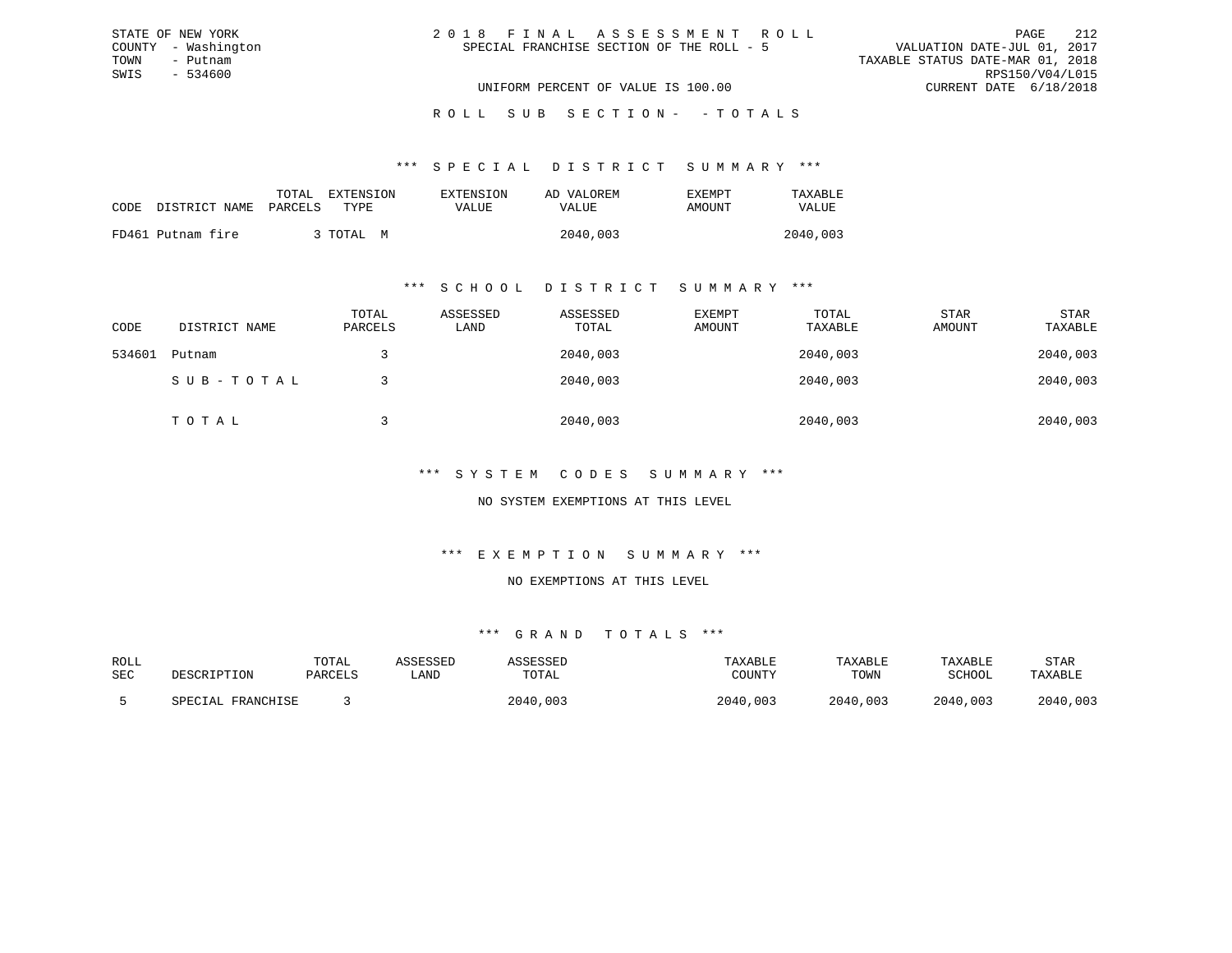| 2018 FINAL ASSESSMENT ROLL                |                                  | 212<br>PAGE     |
|-------------------------------------------|----------------------------------|-----------------|
| SPECIAL FRANCHISE SECTION OF THE ROLL - 5 | VALUATION DATE-JUL 01, 2017      |                 |
|                                           | TAXABLE STATUS DATE-MAR 01, 2018 |                 |
|                                           |                                  | RPS150/V04/L015 |
| UNIFORM PERCENT OF VALUE IS 100.00        | CURRENT DATE 6/18/2018           |                 |

ROLL SUB SECTION - - TOTALS

#### \*\*\* S P E C I A L D I S T R I C T S U M M A R Y \*\*\*

|      |                   | EXTENSION<br>TOTAL | EXTENSION | AD VALOREM | EXEMPT | TAXABLE  |
|------|-------------------|--------------------|-----------|------------|--------|----------|
| CODE | DISTRICT NAME     | PARCELS<br>TYPE.   | VALUE     | VALUE      | AMOUNT | VALUE    |
|      | FD461 Putnam fire | 3 TOTAL<br>M       |           | 2040,003   |        | 2040,003 |

STATE OF NEW YORK COUNTY - Washington TOWN - Putnam SWIS - 534600

#### \*\*\* S C H O O L D I S T R I C T S U M M A R Y \*\*\*

| CODE   | DISTRICT NAME | TOTAL<br>PARCELS | ASSESSED<br>LAND | ASSESSED<br>TOTAL | EXEMPT<br>AMOUNT | TOTAL<br>TAXABLE | STAR<br>AMOUNT | <b>STAR</b><br>TAXABLE |
|--------|---------------|------------------|------------------|-------------------|------------------|------------------|----------------|------------------------|
| 534601 | Putnam        |                  |                  | 2040,003          |                  | 2040,003         |                | 2040,003               |
|        | SUB-TOTAL     |                  |                  | 2040,003          |                  | 2040,003         |                | 2040,003               |
|        | TOTAL         |                  |                  | 2040,003          |                  | 2040,003         |                | 2040,003               |

## \*\*\* S Y S T E M C O D E S S U M M A R Y \*\*\*

## NO SYSTEM EXEMPTIONS AT THIS LEVEL

## \*\*\* E X E M P T I O N S U M M A R Y \*\*\*

#### NO EXEMPTIONS AT THIS LEVEL

| ROLL |                   | TOTAL   | ASSESSED | ASSESSED | TAXABLE  | TAXABLE  | TAXABLE  | <b>STAR</b> |
|------|-------------------|---------|----------|----------|----------|----------|----------|-------------|
| SEC  | DESCRIPTION       | PARCELS | LAND     | TOTAL    | COUNTY   | TOWN     | SCHOOL   | TAXABLE     |
|      | SPECIAL FRANCHISE |         |          | 2040,003 | 2040,003 | 2040,003 | 2040,003 | 2040,003    |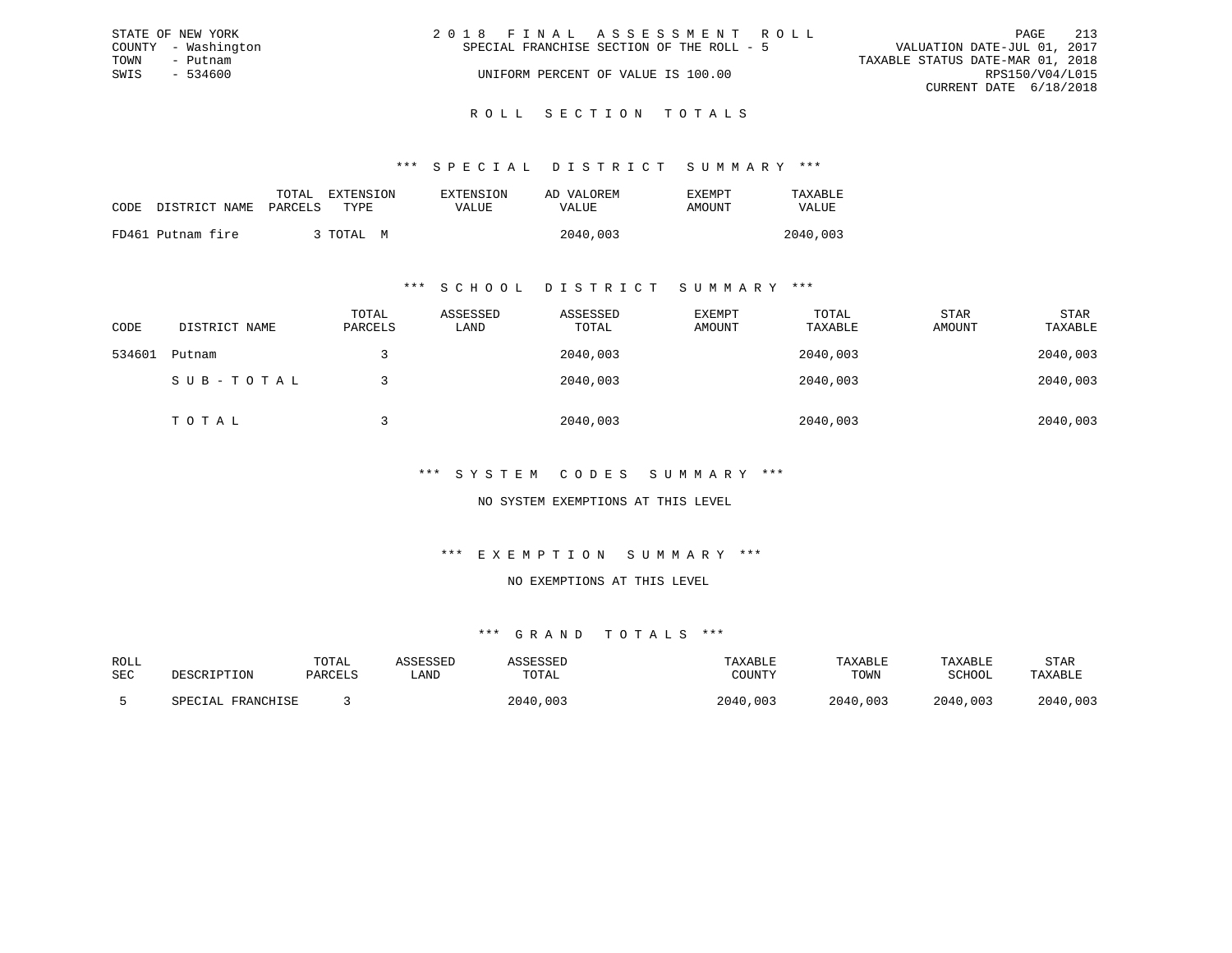|      | STATE OF NEW YORK   | 2018 FINAL ASSESSMENT ROLL                                               | PAGE                   | 213 |
|------|---------------------|--------------------------------------------------------------------------|------------------------|-----|
|      | COUNTY - Washington | VALUATION DATE-JUL 01, 2017<br>SPECIAL FRANCHISE SECTION OF THE ROLL - 5 |                        |     |
| TOWN | - Putnam            | TAXABLE STATUS DATE-MAR 01, 2018                                         |                        |     |
| SWIS | $-534600$           | UNIFORM PERCENT OF VALUE IS 100.00                                       | RPS150/V04/L015        |     |
|      |                     |                                                                          | CURRENT DATE 6/18/2018 |     |
|      |                     |                                                                          |                        |     |

# ROLL SECTION TOTALS

## \*\*\* S P E C I A L D I S T R I C T S U M M A R Y \*\*\*

|      |                       | TOTAL | <b>EXTENSION</b> | <b>EXTENSION</b> | AD VALOREM | F.XFMPT | TAXABLE  |
|------|-----------------------|-------|------------------|------------------|------------|---------|----------|
| CODE | DISTRICT NAME PARCELS |       | TYPE.            | VALUE            | VALUE      | AMOUNT  | VALUE    |
|      | FD461 Putnam fire     |       | TOTAL<br>M       |                  | 2040,003   |         | 2040,003 |

## \*\*\* S C H O O L D I S T R I C T S U M M A R Y \*\*\*

| CODE   | DISTRICT NAME | TOTAL<br>PARCELS | ASSESSED<br>LAND | ASSESSED<br>TOTAL | EXEMPT<br>AMOUNT | TOTAL<br>TAXABLE | STAR<br>AMOUNT | <b>STAR</b><br>TAXABLE |
|--------|---------------|------------------|------------------|-------------------|------------------|------------------|----------------|------------------------|
| 534601 | Putnam        |                  |                  | 2040,003          |                  | 2040,003         |                | 2040,003               |
|        | SUB-TOTAL     |                  |                  | 2040,003          |                  | 2040,003         |                | 2040,003               |
|        | TOTAL         |                  |                  | 2040,003          |                  | 2040,003         |                | 2040,003               |

## \*\*\* S Y S T E M C O D E S S U M M A R Y \*\*\*

## NO SYSTEM EXEMPTIONS AT THIS LEVEL

## \*\*\* E X E M P T I O N S U M M A R Y \*\*\*

#### NO EXEMPTIONS AT THIS LEVEL

| ROLL |                   | TOTAL   | ASSESSED | ASSESSED | TAXABLE  | TAXABLE  | TAXABLE  | <b>STAR</b> |
|------|-------------------|---------|----------|----------|----------|----------|----------|-------------|
| SEC  | DESCRIPTION       | PARCELS | LAND     | TOTAL    | COUNTY   | TOWN     | SCHOOL   | TAXABLE     |
|      | SPECIAL FRANCHISE |         |          | 2040,003 | 2040,003 | 2040,003 | 2040,003 | 2040,003    |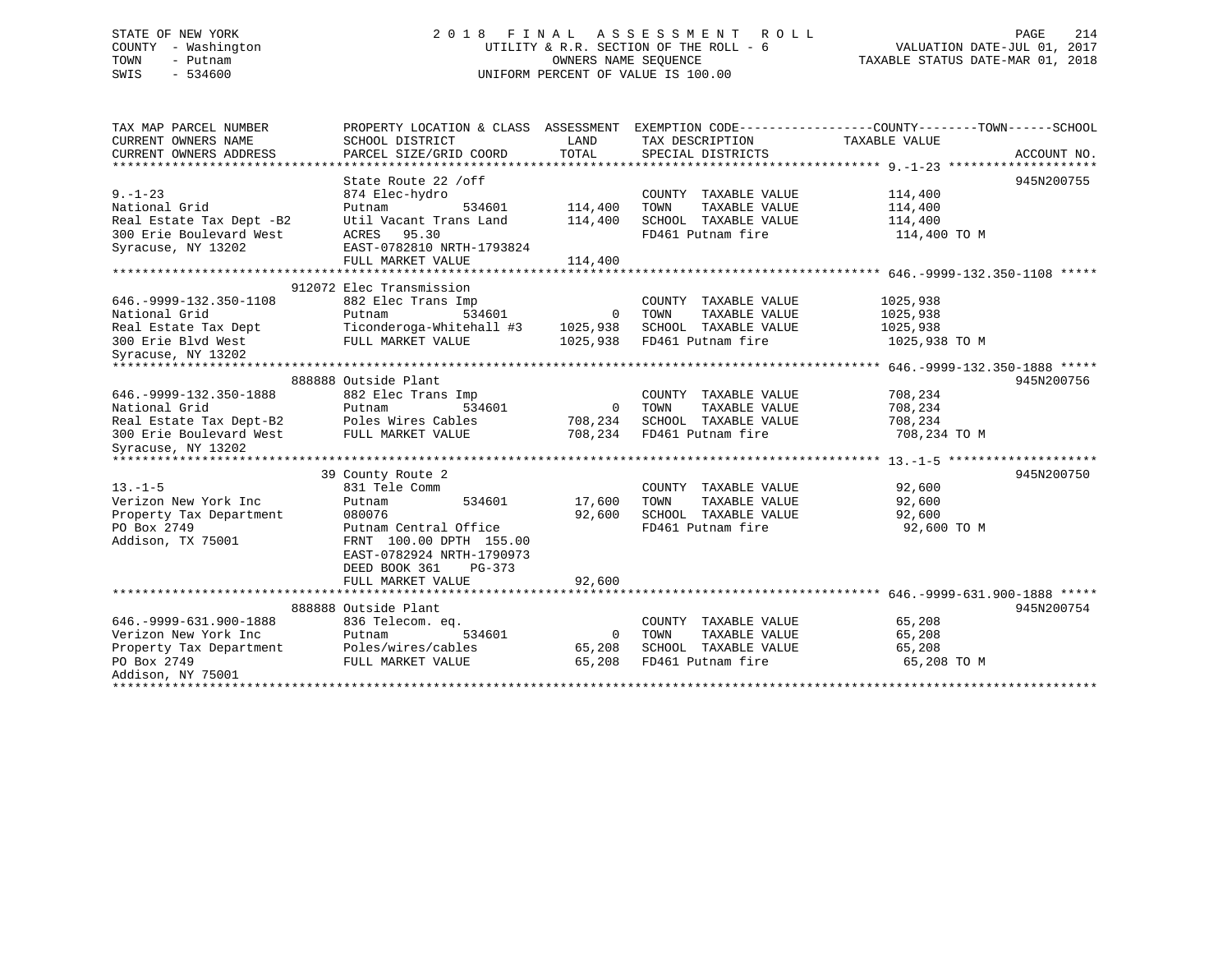# STATE OF NEW YORK 2 0 1 8 F I N A L A S S E S S M E N T R O L L PAGE 214 COUNTY - Washington UTILITY & R.R. SECTION OF THE ROLL - 6 VALUATION DATE-JUL 01, 2017 TOWN - Putnam OWNERS NAME SEQUENCE TAXABLE STATUS DATE-MAR 01, 2018 SWIS - 534600 UNIFORM PERCENT OF VALUE IS 100.00

| TAX MAP PARCEL NUMBER<br>CURRENT OWNERS NAME                    | SCHOOL DISTRICT                                        | LAND           | TAX DESCRIPTION                                  | PROPERTY LOCATION & CLASS ASSESSMENT EXEMPTION CODE---------------COUNTY-------TOWN-----SCHOOL<br>TAXABLE VALUE |             |
|-----------------------------------------------------------------|--------------------------------------------------------|----------------|--------------------------------------------------|-----------------------------------------------------------------------------------------------------------------|-------------|
| CURRENT OWNERS ADDRESS                                          | PARCEL SIZE/GRID COORD                                 | TOTAL          | SPECIAL DISTRICTS                                |                                                                                                                 | ACCOUNT NO. |
|                                                                 | State Route 22 /off                                    |                |                                                  |                                                                                                                 | 945N200755  |
| $9. - 1 - 23$                                                   | 874 Elec-hydro                                         |                | COUNTY TAXABLE VALUE                             | 114,400                                                                                                         |             |
| National Grid                                                   | Putnam                                                 | 534601 114,400 | TAXABLE VALUE<br>TOWN                            | 114,400                                                                                                         |             |
| Real Estate Tax Dept -B2                                        | Util Vacant Trans Land                                 | 114,400        | SCHOOL TAXABLE VALUE                             | 114,400                                                                                                         |             |
| 300 Erie Boulevard West                                         | ACRES 95.30                                            |                | FD461 Putnam fire                                | 114,400 TO M                                                                                                    |             |
| Syracuse, NY 13202                                              | EAST-0782810 NRTH-1793824                              |                |                                                  |                                                                                                                 |             |
|                                                                 | FULL MARKET VALUE                                      | 114,400        |                                                  |                                                                                                                 |             |
|                                                                 |                                                        |                |                                                  |                                                                                                                 |             |
|                                                                 | 912072 Elec Transmission                               |                |                                                  |                                                                                                                 |             |
| 646. - 9999 - 132. 350 - 1108                                   | 882 Elec Trans Imp                                     |                | COUNTY TAXABLE VALUE                             | 1025,938                                                                                                        |             |
| National Grid                                                   | Putnam                                                 | 534601 0 TOWN  | TAXABLE VALUE                                    | 1025,938                                                                                                        |             |
| Real Estate Tax Dept                                            | Ticonderoga-Whitehall #3 1025,938 SCHOOL TAXABLE VALUE |                |                                                  | 1025,938                                                                                                        |             |
| 300 Erie Blvd West<br>Syracuse, NY 13202                        | FULL MARKET VALUE                                      |                | 1025,938 FD461 Putnam fire                       | 1025,938 TO M                                                                                                   |             |
|                                                                 |                                                        |                |                                                  |                                                                                                                 |             |
|                                                                 | 888888 Outside Plant                                   |                |                                                  |                                                                                                                 | 945N200756  |
| 646. - 9999 - 132. 350 - 1888                                   | 882 Elec Trans Imp                                     |                | COUNTY TAXABLE VALUE                             | 708,234                                                                                                         |             |
| National Grid                                                   | Putnam                                                 |                | TAXABLE VALUE                                    | 708,234                                                                                                         |             |
| Real Estate Tax Dept-B2 Poles Wires Cables 708,234              |                                                        |                | SCHOOL TAXABLE VALUE                             | 708,234                                                                                                         |             |
| 300 Erie Boulevard West FULL MARKET VALUE<br>Syracuse, NY 13202 |                                                        |                | 708,234 FD461 Putnam fire                        | 708,234 TO M                                                                                                    |             |
|                                                                 |                                                        |                |                                                  |                                                                                                                 |             |
|                                                                 | 39 County Route 2                                      |                |                                                  |                                                                                                                 | 945N200750  |
| $13. - 1 - 5$                                                   | 831 Tele Comm                                          |                | COUNTY TAXABLE VALUE                             | 92,600                                                                                                          |             |
| Verizon New York Inc                                            | 534601<br>Putnam                                       | 17,600         | TAXABLE VALUE<br>TOWN                            | 92,600                                                                                                          |             |
| Property Tax Department                                         | 080076                                                 | 92,600         | SCHOOL TAXABLE VALUE                             | 92,600                                                                                                          |             |
| PO Box 2749                                                     | Putnam Central Office                                  |                | FD461 Putnam fire                                | 92,600 TO M                                                                                                     |             |
| Addison, TX 75001                                               | FRNT 100.00 DPTH 155.00                                |                |                                                  |                                                                                                                 |             |
|                                                                 | EAST-0782924 NRTH-1790973                              |                |                                                  |                                                                                                                 |             |
|                                                                 | DEED BOOK 361<br>PG-373                                |                |                                                  |                                                                                                                 |             |
|                                                                 | FULL MARKET VALUE                                      | 92,600         |                                                  |                                                                                                                 |             |
|                                                                 |                                                        |                |                                                  |                                                                                                                 |             |
|                                                                 | 888888 Outside Plant                                   |                |                                                  |                                                                                                                 | 945N200754  |
| 646. - 9999 - 631. 900 - 1888                                   | 836 Telecom. eq.                                       |                | COUNTY TAXABLE VALUE                             | 65,208                                                                                                          |             |
|                                                                 | 534601                                                 |                | 0 TOWN<br>TAXABLE VALUE                          | 65,208                                                                                                          |             |
|                                                                 |                                                        | 65,208         | 65,208 SCHOOL TAXABLE VALUE<br>FD461 Putnam fire | 65,208<br>65,208 TO M                                                                                           |             |
| Addison, NY 75001                                               | FULL MARKET VALUE                                      |                |                                                  |                                                                                                                 |             |
|                                                                 |                                                        |                |                                                  |                                                                                                                 |             |
|                                                                 |                                                        |                |                                                  |                                                                                                                 |             |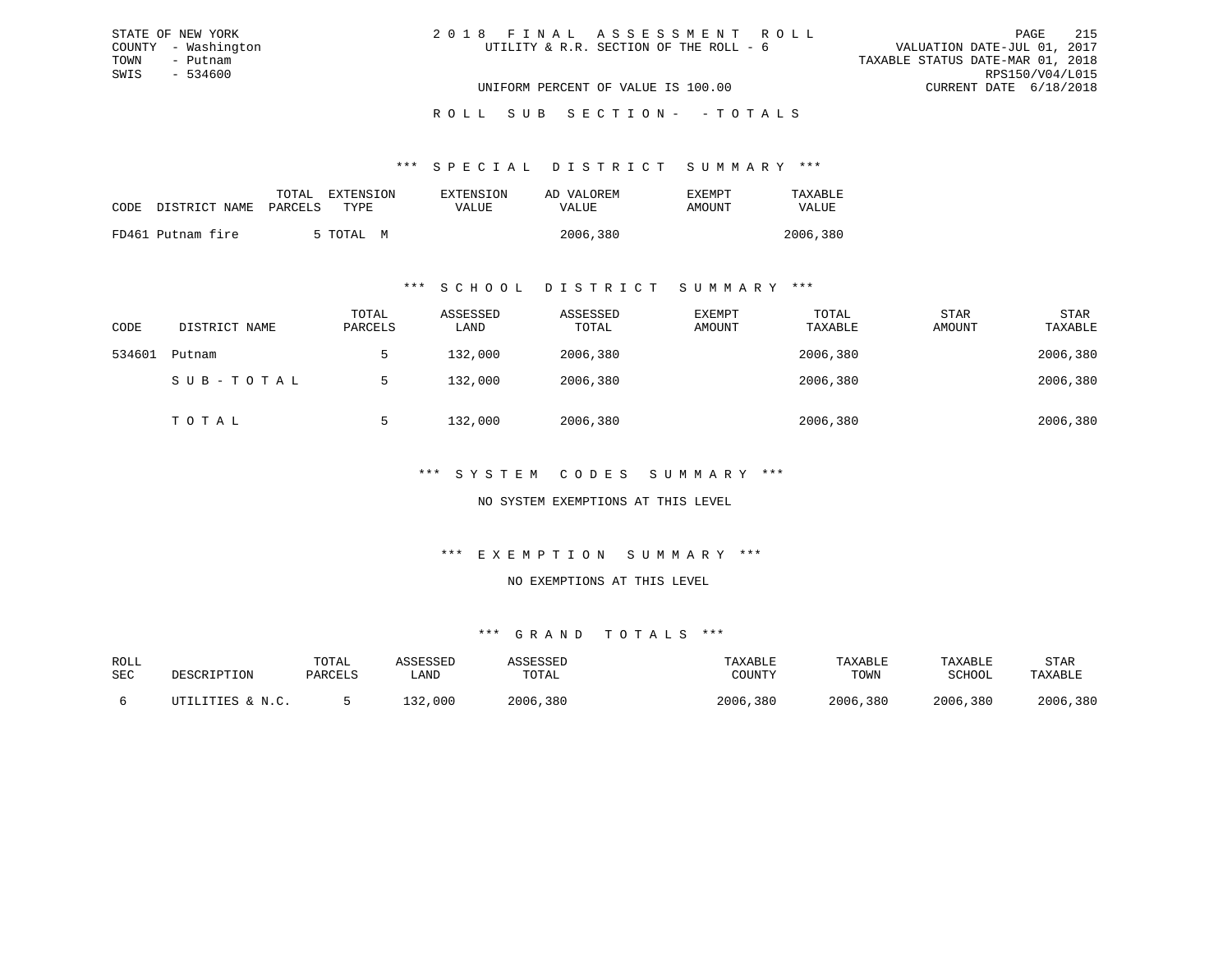| 2018 FINAL ASSESSMENT ROLL             | 215<br>PAGE                      |
|----------------------------------------|----------------------------------|
| UTILITY & R.R. SECTION OF THE ROLL - 6 | VALUATION DATE-JUL 01, 2017      |
|                                        | TAXABLE STATUS DATE-MAR 01, 2018 |
|                                        | RPS150/V04/L015                  |
| UNIFORM PERCENT OF VALUE IS 100.00     | CURRENT DATE 6/18/2018           |

\*\*\* S P E C I A L D I S T R I C T S U M M A R Y \*\*\*

| CODE DISTRICT NAME | TOTAL<br>PARCELS | EXTENSION<br>TYPE | EXTENSION<br>VALUE | AD VALOREM<br>VALUE | EXEMPT<br>AMOUNT | TAXARLE<br>VALUE |
|--------------------|------------------|-------------------|--------------------|---------------------|------------------|------------------|
| FD461 Putnam fire  |                  | 5 TOTAL M         |                    | 2006,380            |                  | 2006,380         |

STATE OF NEW YORK COUNTY - Washington TOWN - Putnam SWIS - 534600

## \*\*\* S C H O O L D I S T R I C T S U M M A R Y \*\*\*

| CODE   | DISTRICT NAME | TOTAL<br>PARCELS | ASSESSED<br>LAND | ASSESSED<br>TOTAL | EXEMPT<br>AMOUNT | TOTAL<br>TAXABLE | <b>STAR</b><br>AMOUNT | <b>STAR</b><br>TAXABLE |
|--------|---------------|------------------|------------------|-------------------|------------------|------------------|-----------------------|------------------------|
| 534601 | Putnam        | 5                | 132,000          | 2006,380          |                  | 2006,380         |                       | 2006,380               |
|        | SUB-TOTAL     | 5                | 132,000          | 2006,380          |                  | 2006,380         |                       | 2006,380               |
|        | TOTAL         | 5                | 132,000          | 2006,380          |                  | 2006,380         |                       | 2006,380               |

## \*\*\* S Y S T E M C O D E S S U M M A R Y \*\*\*

NO SYSTEM EXEMPTIONS AT THIS LEVEL

## \*\*\* E X E M P T I O N S U M M A R Y \*\*\*

NO EXEMPTIONS AT THIS LEVEL

| ROLL |                  | TOTAL   | ASSESSED | ASSESSED | TAXABLE  | TAXABLE  | TAXABLE       | STAR     |
|------|------------------|---------|----------|----------|----------|----------|---------------|----------|
| SEC  | DESCRIPTION      | PARCELS | LAND     | TOTAL    | COUNTY   | TOWN     | <b>SCHOOL</b> | TAXABLE  |
|      | UTILITIES & N.C. |         | 132,000  | 2006,380 | 2006,380 | 2006,380 | 2006,380      | 2006,380 |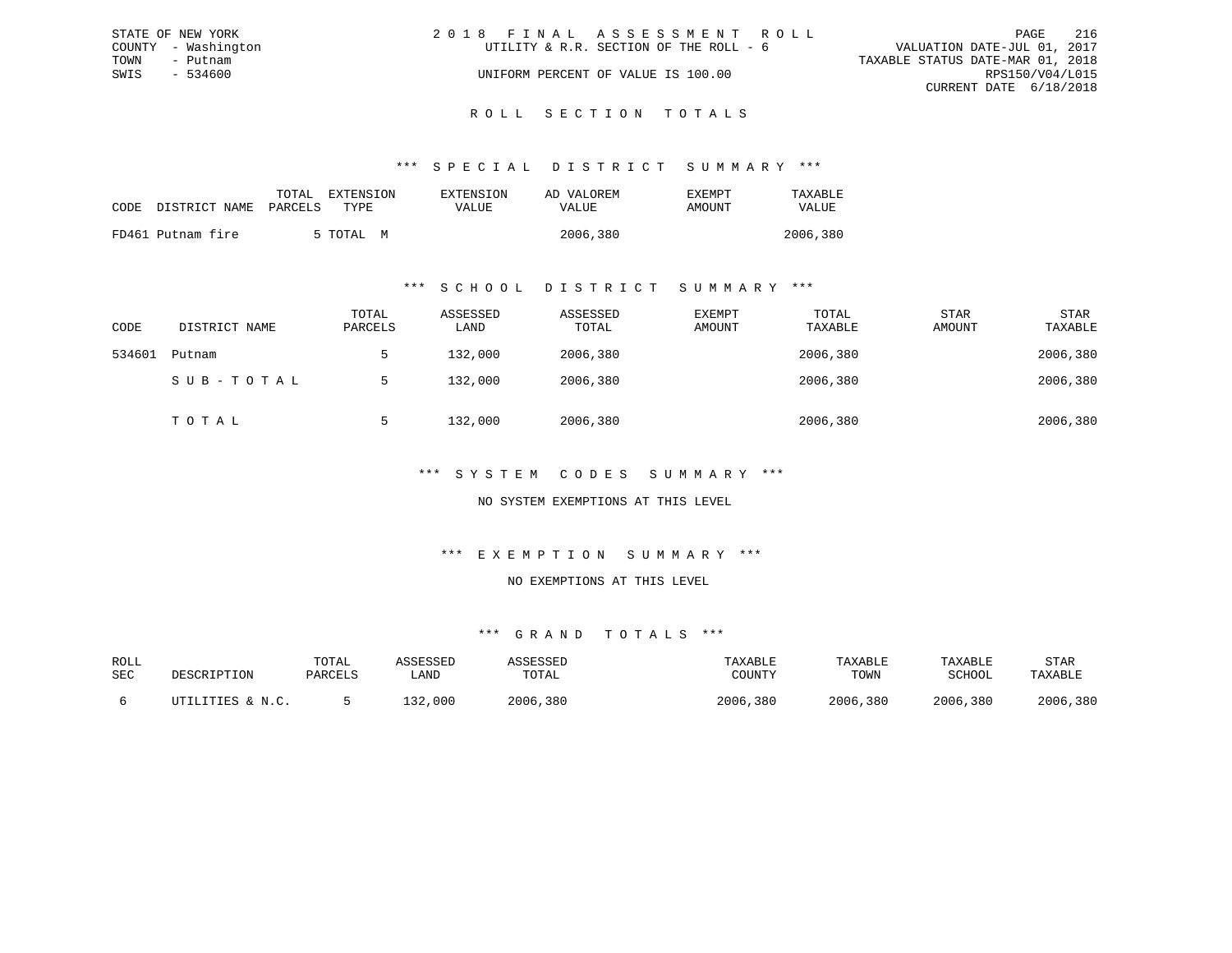|      | STATE OF NEW YORK   | 2018 FINAL ASSESSMENT ROLL             | PAGE                             | 216             |
|------|---------------------|----------------------------------------|----------------------------------|-----------------|
|      | COUNTY - Washington | UTILITY & R.R. SECTION OF THE ROLL - 6 | VALUATION DATE-JUL 01, 2017      |                 |
| TOWN | - Putnam            |                                        | TAXABLE STATUS DATE-MAR 01, 2018 |                 |
| SWIS | - 534600            | UNIFORM PERCENT OF VALUE IS 100.00     |                                  | RPS150/V04/L015 |
|      |                     |                                        | CURRENT DATE 6/18/2018           |                 |
|      |                     |                                        |                                  |                 |

# ROLL SECTION TOTALS

## \*\*\* S P E C I A L D I S T R I C T S U M M A R Y \*\*\*

|      |                   | EXTENSION<br>TOTAL | EXTENSION | AD VALOREM | EXEMPT | TAXABLE      |
|------|-------------------|--------------------|-----------|------------|--------|--------------|
| CODE | DISTRICT NAME     | PARCELS<br>TYPE.   | VALUE     | VALUE      | AMOUNT | <b>VALUE</b> |
|      | FD461 Putnam fire | 5 TOTAL<br>M       |           | 2006,380   |        | 2006,380     |

## \*\*\* S C H O O L D I S T R I C T S U M M A R Y \*\*\*

| CODE   | DISTRICT NAME | TOTAL<br>PARCELS | ASSESSED<br>LAND | ASSESSED<br>TOTAL | EXEMPT<br>AMOUNT | TOTAL<br>TAXABLE | <b>STAR</b><br>AMOUNT | <b>STAR</b><br>TAXABLE |
|--------|---------------|------------------|------------------|-------------------|------------------|------------------|-----------------------|------------------------|
| 534601 | Putnam        |                  | 132,000          | 2006,380          |                  | 2006,380         |                       | 2006,380               |
|        | SUB-TOTAL     |                  | 132,000          | 2006,380          |                  | 2006,380         |                       | 2006,380               |
|        | TOTAL         |                  | 132,000          | 2006,380          |                  | 2006,380         |                       | 2006,380               |

## \*\*\* S Y S T E M C O D E S S U M M A R Y \*\*\*

## NO SYSTEM EXEMPTIONS AT THIS LEVEL

## \*\*\* E X E M P T I O N S U M M A R Y \*\*\*

#### NO EXEMPTIONS AT THIS LEVEL

| ROLL |                  | TOTAL   | ASSESSED | ASSESSED | TAXABLE  | TAXABLE  | TAXABLE  | STAR     |
|------|------------------|---------|----------|----------|----------|----------|----------|----------|
| SEC  | DESCRIPTION      | PARCELS | ∟AND     | TOTAL    | COUNTY   | TOWN     | SCHOOL   | TAXABLE  |
|      | UTILITIES & N.C. |         | 132,000  | 2006,380 | 2006,380 | 2006,380 | 2006,380 | 2006,380 |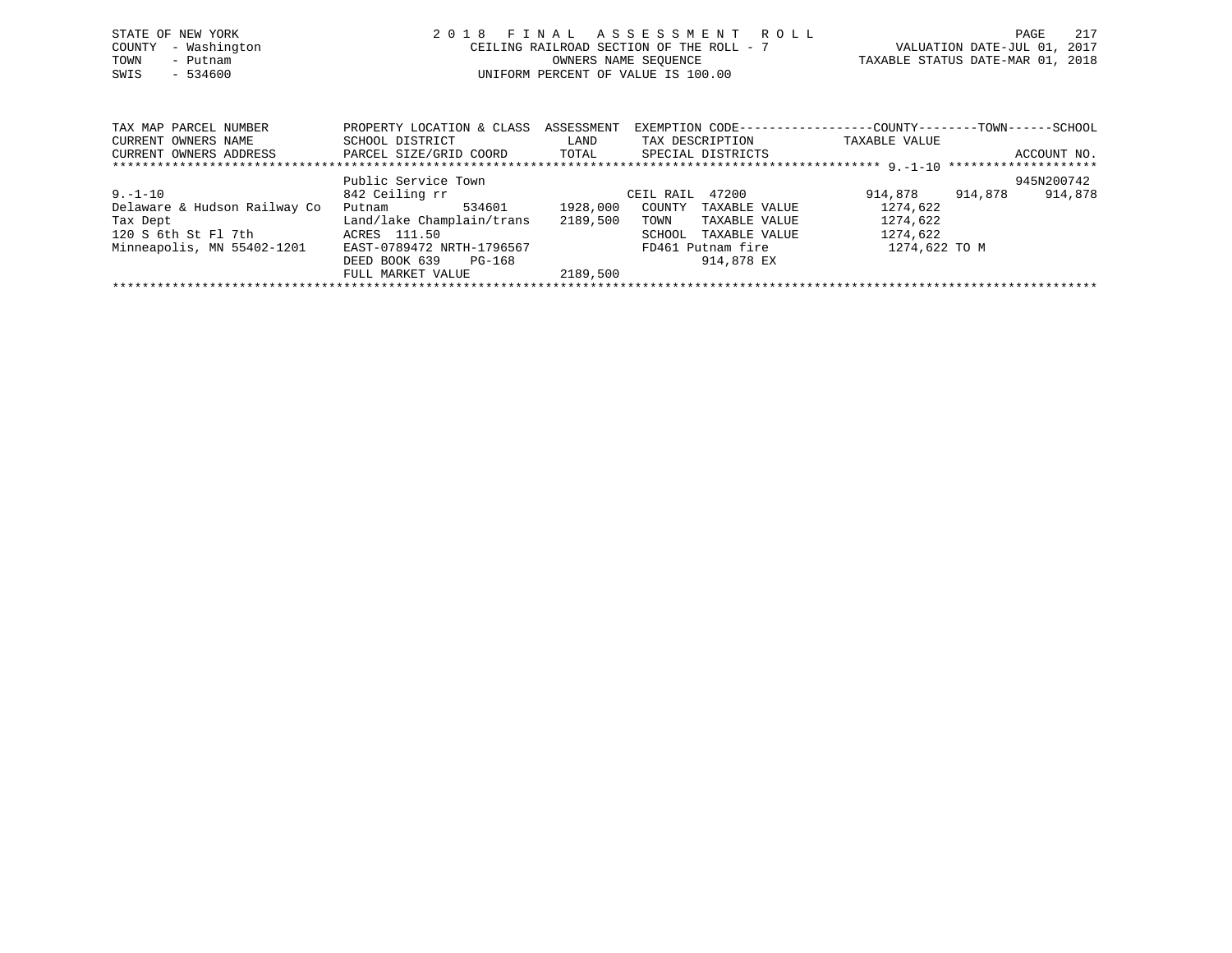| STATE OF NEW YORK<br>- Washington<br>COUNTY<br>TOWN<br>- Putnam<br>$-534600$<br>SWIS | 2018                                                                   | FINAL ASSESSMENT ROLL<br>CEILING RAILROAD SECTION OF THE ROLL - 7<br>OWNERS NAME SEQUENCE<br>UNIFORM PERCENT OF VALUE IS 100.00 | 217<br>PAGE<br>VALUATION DATE-JUL 01, 2017<br>TAXABLE STATUS DATE-MAR 01, 2018                |
|--------------------------------------------------------------------------------------|------------------------------------------------------------------------|---------------------------------------------------------------------------------------------------------------------------------|-----------------------------------------------------------------------------------------------|
| TAX MAP PARCEL NUMBER<br>CURRENT OWNERS NAME<br>CURRENT OWNERS ADDRESS               | PROPERTY LOCATION & CLASS<br>SCHOOL DISTRICT<br>PARCEL SIZE/GRID COORD | ASSESSMENT<br>TAX DESCRIPTION<br>LAND<br>TOTAL<br>SPECIAL DISTRICTS                                                             | EXEMPTION CODE-----------------COUNTY--------TOWN------SCHOOL<br>TAXABLE VALUE<br>ACCOUNT NO. |
|                                                                                      | Public Service Town                                                    |                                                                                                                                 | 945N200742                                                                                    |
| $9. - 1 - 10$                                                                        |                                                                        | CEIL RAIL 47200                                                                                                                 | 914,878<br>914,878                                                                            |
|                                                                                      | 842 Ceiling rr                                                         |                                                                                                                                 | 914,878                                                                                       |
| Delaware & Hudson Railway Co                                                         | 534601<br>Putnam                                                       | 1928,000<br>COUNTY<br>TAXABLE VALUE                                                                                             | 1274,622                                                                                      |

\*\*\*\*\*\*\*\*\*\*\*\*\*\*\*\*\*\*\*\*\*\*\*\*\*\*\*\*\*\*\*\*\*\*\*\*\*\*\*\*\*\*\*\*\*\*\*\*\*\*\*\*\*\*\*\*\*\*\*\*\*\*\*\*\*\*\*\*\*\*\*\*\*\*\*\*\*\*\*\*\*\*\*\*\*\*\*\*\*\*\*\*\*\*\*\*\*\*\*\*\*\*\*\*\*\*\*\*\*\*\*\*\*\*\*\*\*\*\*\*\*\*\*\*\*\*\*\*\*\*\*\*

SCHOOL TAXABLE VALUE

Delaware & Hudson Railway Co Putnam 534601 1928,000 COUNTY TAXABLE VALUE 1274,622<br>Tax Dept 1274,622 Land/lake Champlain/trans 2189,500 TOWN TAXABLE VALUE 1274,622 Tax Dept Land/lake Champlain/trans 2189,500 TOWN TAXABLE VALUE 1274,622<br>120 S 6th St Fl 7th ACRES 111.50 SCHOOL TAXABLE VALUE 1274,622

DEED BOOK 639 PG-168<br>FULL MARKET VALUE 2189,500

FULL MARKET VALUE

Minneapolis, MN 55402-1201 EAST-0789472 NRTH-1796567 FD461 Putnam fire 1274,622 TO M<br>DEED BOOK 639 PG-168 914,878 EX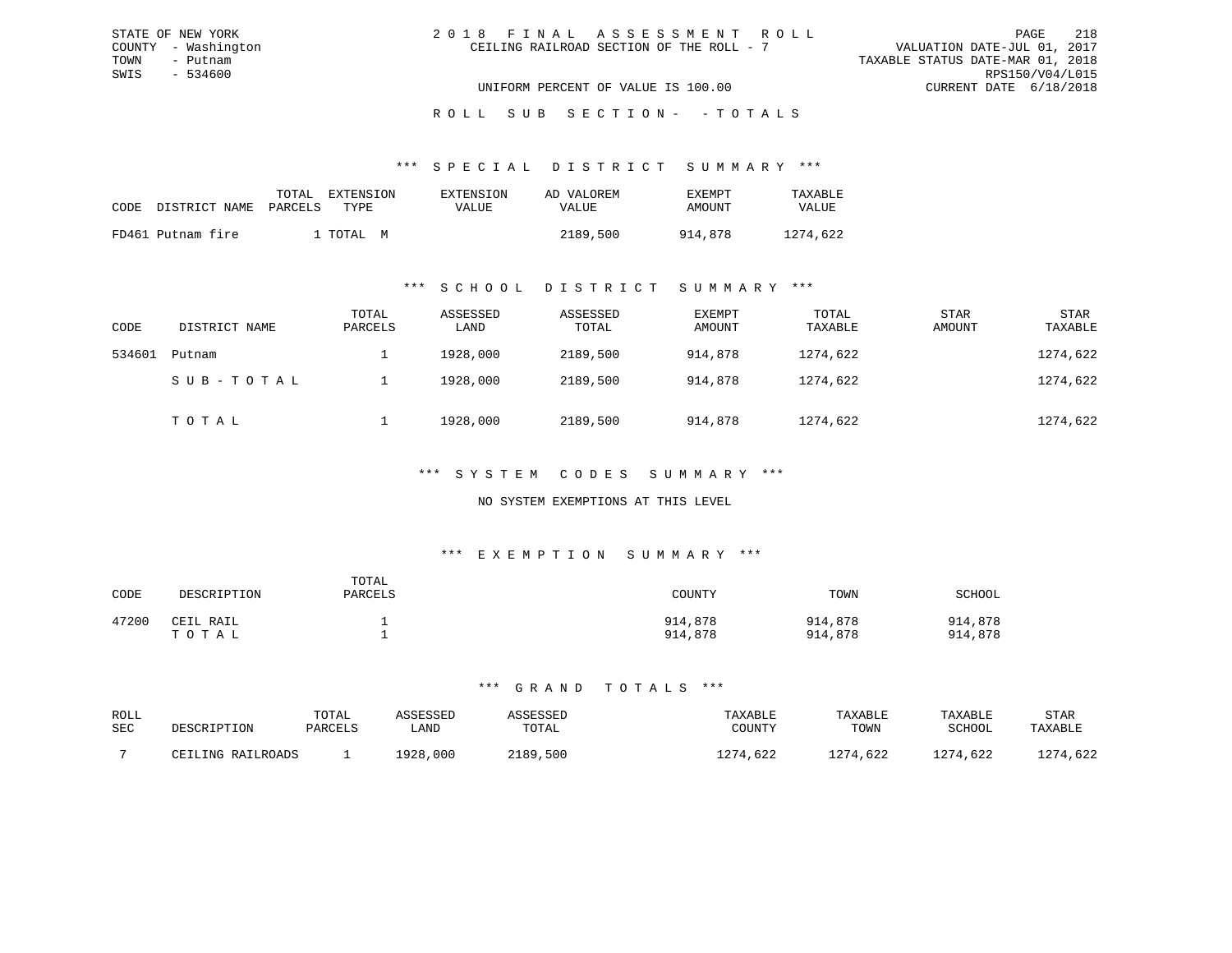| 2018 FINAL ASSESSMENT ROLL               | 218<br>PAGE                      |
|------------------------------------------|----------------------------------|
| CEILING RAILROAD SECTION OF THE ROLL - 7 | VALUATION DATE-JUL 01, 2017      |
|                                          | TAXABLE STATUS DATE-MAR 01, 2018 |
|                                          | RPS150/V04/L015                  |
| UNIFORM PERCENT OF VALUE IS 100.00       | CURRENT DATE 6/18/2018           |

#### \*\*\* S P E C I A L D I S T R I C T S U M M A R Y \*\*\*

| CODE | DISTRICT NAME     | TOTAL<br>PARCELS | EXTENSION<br>TYPE. | EXTENSION<br>VALUE | AD VALOREM<br>VALUE | <b>EXEMPT</b><br>AMOUNT | TAXABLE<br>VALUE |
|------|-------------------|------------------|--------------------|--------------------|---------------------|-------------------------|------------------|
|      | FD461 Putnam fire |                  | ⊥ TOTAL<br>M       |                    | 2189,500            | 914.878                 | 1274,622         |

STATE OF NEW YORK COUNTY - Washington TOWN - Putnam SWIS - 534600

#### \*\*\* S C H O O L D I S T R I C T S U M M A R Y \*\*\*

| CODE   | DISTRICT NAME | TOTAL<br>PARCELS | ASSESSED<br>LAND | ASSESSED<br>TOTAL | EXEMPT<br>AMOUNT | TOTAL<br>TAXABLE | STAR<br>AMOUNT | <b>STAR</b><br>TAXABLE |
|--------|---------------|------------------|------------------|-------------------|------------------|------------------|----------------|------------------------|
| 534601 | Putnam        |                  | 1928,000         | 2189,500          | 914,878          | 1274,622         |                | 1274,622               |
|        | SUB-TOTAL     |                  | 1928,000         | 2189,500          | 914,878          | 1274,622         |                | 1274,622               |
|        | TOTAL         |                  | 1928,000         | 2189,500          | 914,878          | 1274,622         |                | 1274,622               |

### \*\*\* S Y S T E M C O D E S S U M M A R Y \*\*\*

### NO SYSTEM EXEMPTIONS AT THIS LEVEL

#### \*\*\* E X E M P T I O N S U M M A R Y \*\*\*

| CODE  | DESCRIPTION        | TOTAL<br>PARCELS | COUNTY             | TOWN               | SCHOOL             |
|-------|--------------------|------------------|--------------------|--------------------|--------------------|
| 47200 | CEIL RAIL<br>тотаь |                  | 914,878<br>914,878 | 914,878<br>914,878 | 914,878<br>914,878 |

| ROLL<br>SEC | DESCRIPTION       | TOTAL<br>PARCELS | ASSESSED<br>LAND | SSESSED<br>TOTAL | TAXABLE<br>COUNTY | TAXABLE<br>TOWN | TAXABLE<br>SCHOOL | STAR<br>TAXABLE |
|-------------|-------------------|------------------|------------------|------------------|-------------------|-----------------|-------------------|-----------------|
|             | CEILING RAILROADS |                  | 1928,000         | 2189,500         | 1274,622          | 1274,622        | 1274,622          | 1274.622        |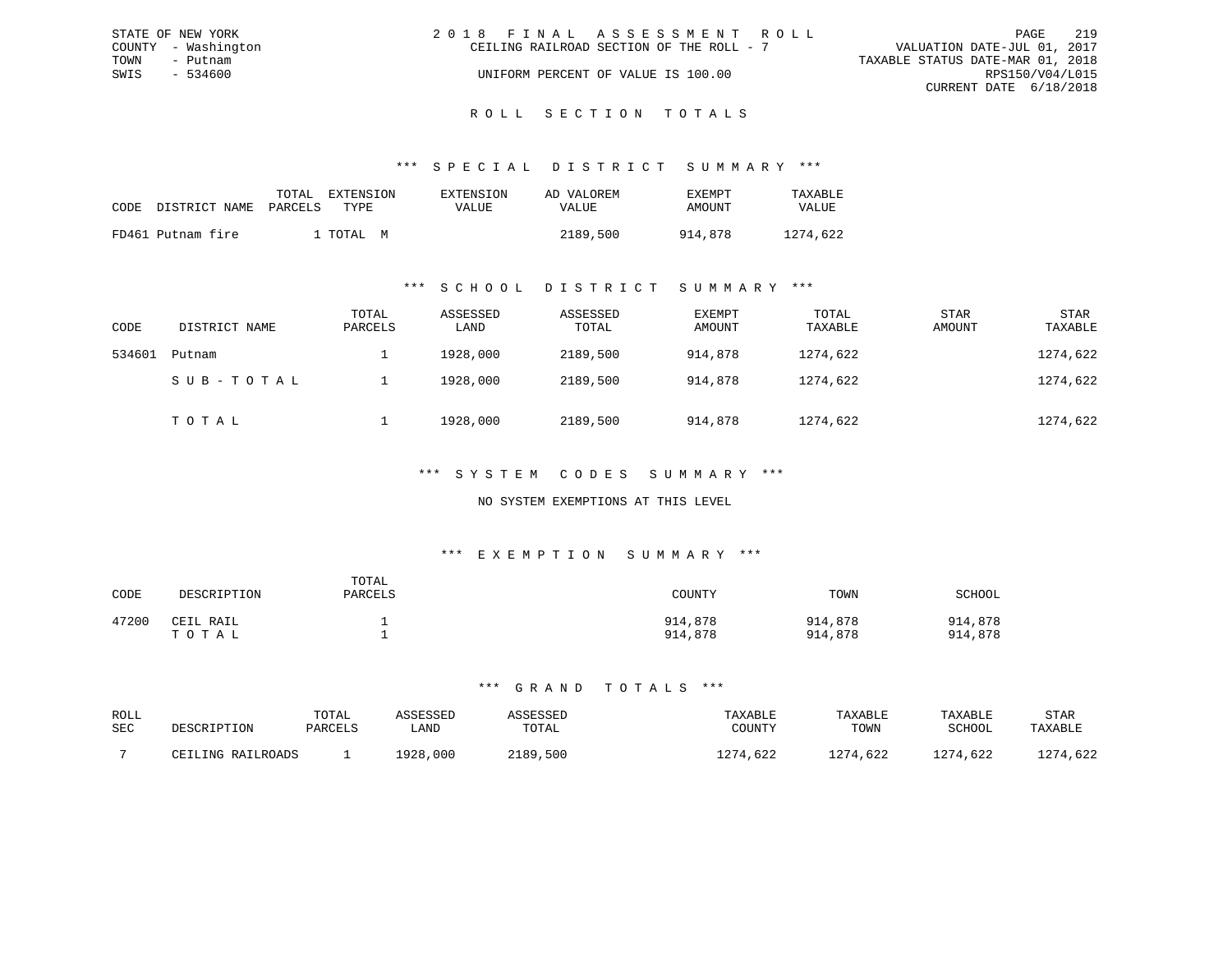|      | STATE OF NEW YORK   | 2018 FINAL ASSESSMENT ROLL                                              | PAGE            | 219 |
|------|---------------------|-------------------------------------------------------------------------|-----------------|-----|
|      | COUNTY - Washington | VALUATION DATE-JUL 01, 2017<br>CEILING RAILROAD SECTION OF THE ROLL - 7 |                 |     |
| TOWN | - Putnam            | TAXABLE STATUS DATE-MAR 01, 2018                                        |                 |     |
| SWIS | - 534600            | UNIFORM PERCENT OF VALUE IS 100.00                                      | RPS150/V04/L015 |     |
|      |                     | CURRENT DATE 6/18/2018                                                  |                 |     |
|      |                     |                                                                         |                 |     |

# ROLL SECTION TOTALS

### \*\*\* S P E C I A L D I S T R I C T S U M M A R Y \*\*\*

| CODE | DISTRICT NAME PARCELS | TOTAL | EXTENSION<br>TYPE. | EXTENSION<br>VALUE | AD VALOREM<br>VALUE | EXEMPT<br>AMOUNT | TAXABLE<br><b>VALUE</b> |
|------|-----------------------|-------|--------------------|--------------------|---------------------|------------------|-------------------------|
|      | FD461 Putnam fire     |       | TOTAI, M           |                    | 2189,500            | 914.878          | 1274,622                |

### \*\*\* S C H O O L D I S T R I C T S U M M A R Y \*\*\*

| CODE   | DISTRICT NAME | TOTAL<br>PARCELS | ASSESSED<br>LAND | ASSESSED<br>TOTAL | EXEMPT<br>AMOUNT | TOTAL<br>TAXABLE | <b>STAR</b><br>AMOUNT | <b>STAR</b><br>TAXABLE |
|--------|---------------|------------------|------------------|-------------------|------------------|------------------|-----------------------|------------------------|
| 534601 | Putnam        |                  | 1928,000         | 2189,500          | 914,878          | 1274,622         |                       | 1274,622               |
|        | SUB-TOTAL     |                  | 1928,000         | 2189,500          | 914,878          | 1274,622         |                       | 1274,622               |
|        | тотаь         |                  | 1928,000         | 2189,500          | 914,878          | 1274,622         |                       | 1274,622               |

### \*\*\* S Y S T E M C O D E S S U M M A R Y \*\*\*

### NO SYSTEM EXEMPTIONS AT THIS LEVEL

#### \*\*\* E X E M P T I O N S U M M A R Y \*\*\*

| CODE  | DESCRIPTION        | TOTAL<br>PARCELS | COUNTY             | TOWN               | SCHOOL             |
|-------|--------------------|------------------|--------------------|--------------------|--------------------|
| 47200 | CEIL RAIL<br>тотаь |                  | 914,878<br>914,878 | 914,878<br>914,878 | 914,878<br>914,878 |

| ROLL<br>SEC | DESCRIPTION       | TOTAL<br>PARCELS | <i><b>\SSESSED</b></i><br>∟AND | ASSESSED<br>TOTAL | TAXABLE<br>COUNTY | TAXABLE<br>TOWN | TAXABLE<br><b>SCHOOL</b> | STAR<br>TAXABLE |
|-------------|-------------------|------------------|--------------------------------|-------------------|-------------------|-----------------|--------------------------|-----------------|
|             | CEILING RAILROADS |                  | 1928,000                       | 2189,500          | ,622              | 1274,622        | .274,622                 | .274,622        |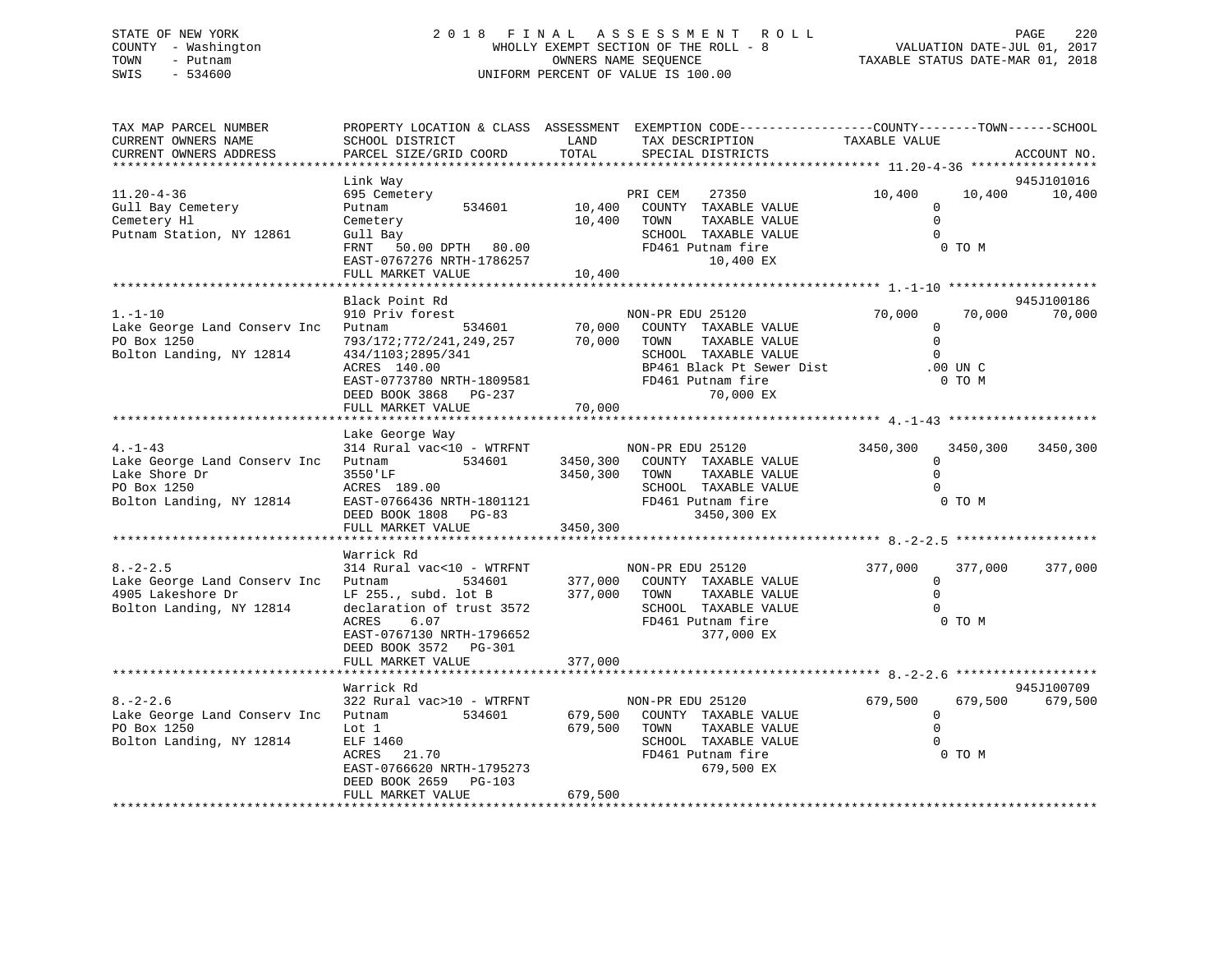# STATE OF NEW YORK 2 0 1 8 F I N A L A S S E S S M E N T R O L L PAGE 220 COUNTY - Washington WHOLLY EXEMPT SECTION OF THE ROLL - 8 VALUATION DATE-JUL 01, 2017 TOWN - Putnam OWNERS NAME SEQUENCE TAXABLE STATUS DATE-MAR 01, 2018 SWIS - 534600 UNIFORM PERCENT OF VALUE IS 100.00

| TAX MAP PARCEL NUMBER<br>CURRENT OWNERS NAME<br>CURRENT OWNERS ADDRESS                                   | SCHOOL DISTRICT<br>PARCEL SIZE/GRID COORD                                                                                                                                                        | LAND<br>TOTAL                    | PROPERTY LOCATION & CLASS ASSESSMENT EXEMPTION CODE-----------------COUNTY-------TOWN-----SCHOOL<br>TAX DESCRIPTION<br>SPECIAL DISTRICTS                 | TAXABLE VALUE                                         |                                  | ACCOUNT NO.          |
|----------------------------------------------------------------------------------------------------------|--------------------------------------------------------------------------------------------------------------------------------------------------------------------------------------------------|----------------------------------|----------------------------------------------------------------------------------------------------------------------------------------------------------|-------------------------------------------------------|----------------------------------|----------------------|
| *****************************                                                                            |                                                                                                                                                                                                  |                                  |                                                                                                                                                          |                                                       |                                  |                      |
| $11.20 - 4 - 36$<br>Gull Bay Cemetery<br>Cemetery Hl<br>Putnam Station, NY 12861                         | Link Way<br>695 Cemetery<br>534601<br>Putnam<br>Cemetery<br>Gull Bay<br>50.00 DPTH 80.00<br>FRNT<br>EAST-0767276 NRTH-1786257<br>FULL MARKET VALUE                                               | 10,400<br>10,400<br>10,400       | PRI CEM<br>27350<br>COUNTY TAXABLE VALUE<br>TAXABLE VALUE<br>TOWN<br>SCHOOL TAXABLE VALUE<br>FD461 Putnam fire<br>10,400 EX                              | 10,400<br>$\mathbf 0$<br>$\mathbf 0$<br>$\Omega$      | 10,400<br>0 TO M                 | 945J101016<br>10,400 |
|                                                                                                          |                                                                                                                                                                                                  |                                  |                                                                                                                                                          |                                                       |                                  |                      |
| $1. - 1 - 10$<br>Lake George Land Conserv Inc<br>PO Box 1250<br>Bolton Landing, NY 12814                 | Black Point Rd<br>910 Priv forest<br>Putnam<br>534601<br>793/172;772/241,249,257<br>434/1103;2895/341<br>ACRES 140.00<br>EAST-0773780 NRTH-1809581<br>DEED BOOK 3868 PG-237<br>FULL MARKET VALUE | 70,000<br>70,000<br>70,000       | NON-PR EDU 25120<br>COUNTY TAXABLE VALUE<br>TOWN<br>TAXABLE VALUE<br>SCHOOL TAXABLE VALUE<br>BP461 Black Pt Sewer Dist<br>FD461 Putnam fire<br>70,000 EX | 70,000<br>$\mathbf 0$<br>$\mathbf 0$<br>$\Omega$      | 70,000<br>$.00$ UN $C$<br>0 TO M | 945J100186<br>70,000 |
|                                                                                                          |                                                                                                                                                                                                  |                                  |                                                                                                                                                          |                                                       |                                  |                      |
| $4. -1 - 43$<br>Lake George Land Conserv Inc<br>Lake Shore Dr<br>PO Box 1250<br>Bolton Landing, NY 12814 | Lake George Way<br>314 Rural vac<10 - WTRFNT<br>534601<br>Putnam<br>3550'LF<br>ACRES 189.00<br>EAST-0766436 NRTH-1801121<br>DEED BOOK 1808 PG-83<br>FULL MARKET VALUE                            | 3450,300<br>3450,300<br>3450,300 | NON-PR EDU 25120<br>COUNTY TAXABLE VALUE<br>TOWN<br>TAXABLE VALUE<br>SCHOOL TAXABLE VALUE<br>FD461 Putnam fire<br>3450,300 EX                            | 3450,300<br>0<br>$\Omega$<br>$\Omega$                 | 3450,300<br>0 TO M               | 3450,300             |
|                                                                                                          | Warrick Rd                                                                                                                                                                                       |                                  |                                                                                                                                                          |                                                       |                                  |                      |
| $8. - 2 - 2.5$<br>Lake George Land Conserv Inc<br>4905 Lakeshore Dr<br>Bolton Landing, NY 12814          | 314 Rural vac<10 - WTRFNT<br>Putnam<br>534601<br>LF 255., subd. lot B<br>declaration of trust 3572<br>ACRES<br>6.07<br>EAST-0767130 NRTH-1796652<br>DEED BOOK 3572 PG-301                        | 377,000 TOWN                     | NON-PR EDU 25120<br>377,000 COUNTY TAXABLE VALUE<br>TAXABLE VALUE<br>SCHOOL TAXABLE VALUE<br>FD461 Putnam fire<br>377,000 EX                             | 377,000<br>$\overline{0}$<br>$\Omega$<br>$\Omega$     | 377,000<br>0 TO M                | 377,000              |
|                                                                                                          | FULL MARKET VALUE                                                                                                                                                                                | 377,000                          |                                                                                                                                                          |                                                       |                                  |                      |
|                                                                                                          | Warrick Rd                                                                                                                                                                                       |                                  |                                                                                                                                                          |                                                       |                                  | 945J100709           |
| $8. - 2 - 2.6$<br>Lake George Land Conserv Inc<br>PO Box 1250<br>Bolton Landing, NY 12814                | 322 Rural vac>10 - WTRFNT<br>534601<br>Putnam<br>Lot 1<br>ELF 1460<br>ACRES 21.70<br>EAST-0766620 NRTH-1795273                                                                                   | 679,500<br>679,500               | NON-PR EDU 25120<br>COUNTY TAXABLE VALUE<br>TOWN<br>TAXABLE VALUE<br>SCHOOL TAXABLE VALUE<br>FD461 Putnam fire<br>679,500 EX                             | 679,500<br>$\mathbf{0}$<br>$\mathbf 0$<br>$\mathbf 0$ | 679,500<br>0 TO M                | 679,500              |
|                                                                                                          | DEED BOOK 2659 PG-103<br>FULL MARKET VALUE                                                                                                                                                       | 679,500                          |                                                                                                                                                          |                                                       |                                  |                      |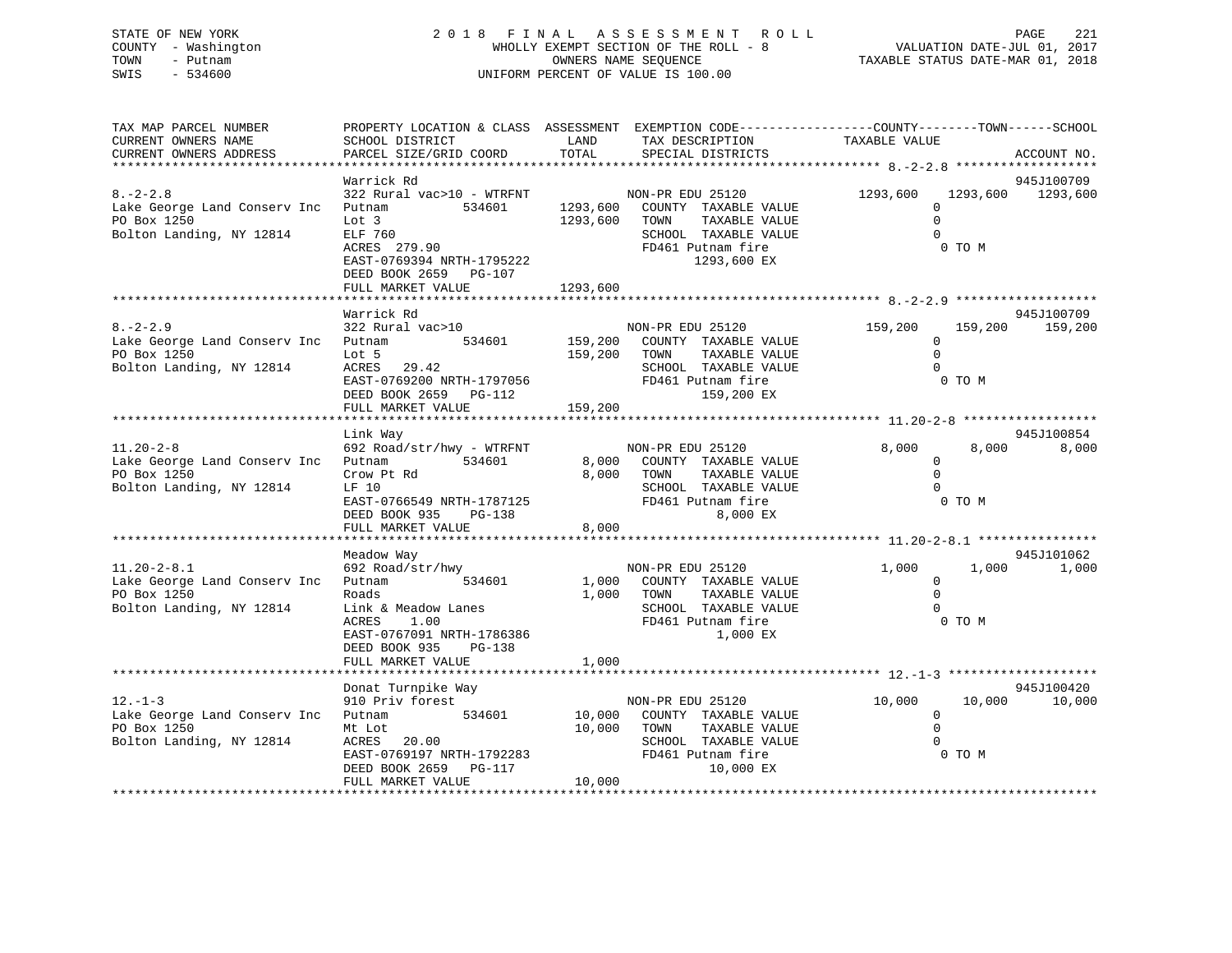# STATE OF NEW YORK 2 0 1 8 F I N A L A S S E S S M E N T R O L L PAGE 221 COUNTY - Washington WHOLLY EXEMPT SECTION OF THE ROLL - 8 VALUATION DATE-JUL 01, 2017 TOWN - Putnam OWNERS NAME SEQUENCE TAXABLE STATUS DATE-MAR 01, 2018 SWIS - 534600 UNIFORM PERCENT OF VALUE IS 100.00

| TAX MAP PARCEL NUMBER<br>CURRENT OWNERS NAME                                                      | PROPERTY LOCATION & CLASS ASSESSMENT EXEMPTION CODE----------------COUNTY-------TOWN------SCHOOL<br>SCHOOL DISTRICT                                                           | LAND                       | TAX DESCRIPTION                                                                                                                        | TAXABLE VALUE                                           |                    |                               |
|---------------------------------------------------------------------------------------------------|-------------------------------------------------------------------------------------------------------------------------------------------------------------------------------|----------------------------|----------------------------------------------------------------------------------------------------------------------------------------|---------------------------------------------------------|--------------------|-------------------------------|
| CURRENT OWNERS ADDRESS                                                                            | PARCEL SIZE/GRID COORD                                                                                                                                                        | TOTAL                      | SPECIAL DISTRICTS                                                                                                                      |                                                         |                    | ACCOUNT NO.                   |
|                                                                                                   |                                                                                                                                                                               |                            |                                                                                                                                        |                                                         |                    |                               |
| $8. - 2 - 2.8$<br>Lake George Land Conserv Inc<br>PO Box 1250<br>Bolton Landing, NY 12814         | Warrick Rd<br>322 Rural vac>10 - WTRFNT<br>534601<br>Putnam<br>Lot 3<br>ELF 760<br>ACRES 279.90<br>EAST-0769394 NRTH-1795222<br>DEED BOOK 2659 PG-107                         | 1293,600                   | NON-PR EDU 25120<br>1293,600 COUNTY TAXABLE VALUE<br>TOWN<br>TAXABLE VALUE<br>SCHOOL TAXABLE VALUE<br>FD461 Putnam fire<br>1293,600 EX | 1293,600<br>$\Omega$<br>$\Omega$<br>$\Omega$            | 1293,600<br>0 TO M | 945J100709<br>1293,600        |
|                                                                                                   | FULL MARKET VALUE                                                                                                                                                             | 1293,600                   |                                                                                                                                        |                                                         |                    |                               |
| $8. - 2 - 2.9$<br>Lake George Land Conserv Inc<br>PO Box 1250<br>Bolton Landing, NY 12814         | Warrick Rd<br>322 Rural vac>10<br>Putnam<br>Lot 5<br>ACRES 29.42<br>$EST-0769200 \text{ NRTH}-1797056$<br>FULL MARKET VALUE                                                   | 159,200 TOWN<br>159,200    | NON-PR EDU 25120<br>534601 159,200 COUNTY TAXABLE VALUE<br>TAXABLE VALUE<br>SCHOOL TAXABLE VALUE<br>FD461 Putnam fire<br>159,200 EX    | 159,200<br>$\overline{0}$<br>$\Omega$<br>$\cap$         | 0 TO M             | 945J100709<br>159,200 159,200 |
|                                                                                                   | Link Way                                                                                                                                                                      |                            |                                                                                                                                        |                                                         |                    | 945J100854                    |
| $11.20 - 2 - 8$<br>Lake George Land Conserv Inc Putnam<br>PO Box 1250<br>Bolton Landing, NY 12814 | 692 Road/str/hwy - WTRFNT<br>534601<br>Crow Pt Rd<br>LF 10<br>EAST-0766549 NRTH-1787125<br>DEED BOOK 935 PG-138<br>FULL MARKET VALUE                                          | 8,000<br>8,000             | NON-PR EDU 25120<br>8,000 COUNTY TAXABLE VALUE<br>TAXABLE VALUE<br>TOWN<br>SCHOOL TAXABLE VALUE<br>FD461 Putnam fire<br>8,000 EX       | 8,000<br>$\mathbf{0}$<br>$\Omega$<br>$\overline{0}$     | 8,000<br>0 TO M    | 8,000                         |
|                                                                                                   |                                                                                                                                                                               |                            |                                                                                                                                        |                                                         |                    |                               |
| $11.20 - 2 - 8.1$<br>Lake George Land Conserv Inc<br>PO Box 1250<br>Bolton Landing, NY 12814      | Meadow Way<br>692 Road/str/hwy<br>Putnam 534601<br>Roads<br>Link & Meadow Lanes<br>1.00<br>ACRES<br>EAST-0767091 NRTH-1786386<br>DEED BOOK 935<br>PG-138<br>FULL MARKET VALUE | 1,000                      | NON-PR EDU 25120<br>1,000 COUNTY TAXABLE VALUE<br>1,000 TOWN<br>TAXABLE VALUE<br>SCHOOL TAXABLE VALUE<br>FD461 Putnam fire<br>1,000 EX | 1,000<br>$\mathbf{0}$<br>$\Omega$<br>$\Omega$<br>0 TO M | 1,000              | 945J101062<br>1,000           |
|                                                                                                   |                                                                                                                                                                               |                            |                                                                                                                                        |                                                         |                    |                               |
| $12. - 1 - 3$<br>Lake George Land Conserv Inc Putnam<br>PO Box 1250<br>Bolton Landing, NY 12814   | Donat Turnpike Way<br>910 Priv forest<br>534601<br>Mt Lot<br>ACRES 20.00<br>EAST-0769197 NRTH-1792283<br>DEED BOOK 2659 PG-117<br>FULL MARKET VALUE                           | 10,000<br>10,000<br>10,000 | NON-PR EDU 25120<br>COUNTY TAXABLE VALUE<br>TAXABLE VALUE<br>TOWN<br>SCHOOL TAXABLE VALUE<br>FD461 Putnam fire<br>10,000 EX            | 10,000<br>$\overline{0}$<br>$\mathbf 0$<br>$\Omega$     | 10,000<br>0 TO M   | 945J100420<br>10,000          |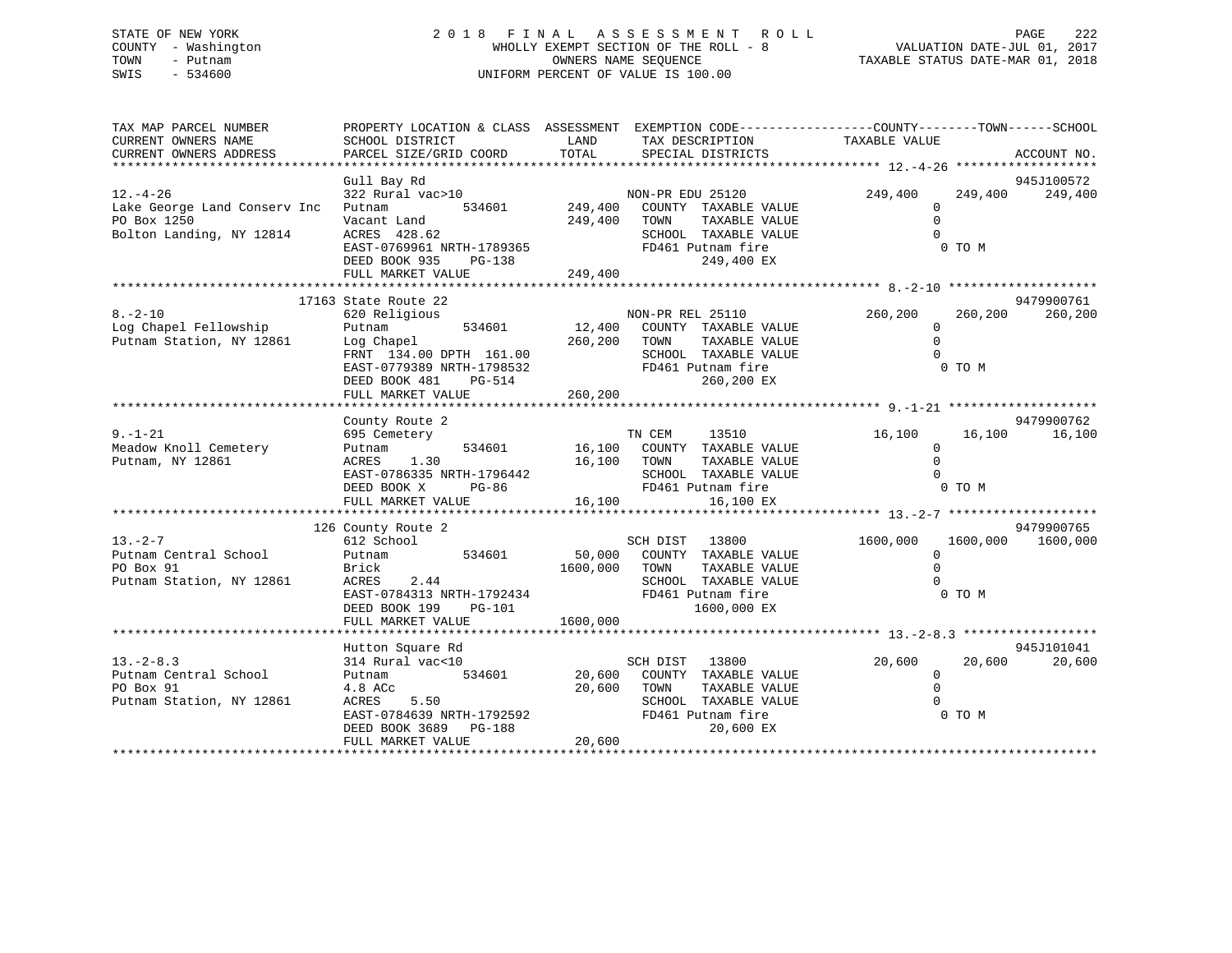# STATE OF NEW YORK 2 0 1 8 F I N A L A S S E S S M E N T R O L L PAGE 222 COUNTY - Washington WHOLLY EXEMPT SECTION OF THE ROLL - 8 VALUATION DATE-JUL 01, 2017 TOWN - Putnam OWNERS NAME SEQUENCE TAXABLE STATUS DATE-MAR 01, 2018 SWIS - 534600 UNIFORM PERCENT OF VALUE IS 100.00

| TAX MAP PARCEL NUMBER<br>CURRENT OWNERS NAME<br>CURRENT OWNERS ADDRESS                    | SCHOOL DISTRICT<br>PARCEL SIZE/GRID COORD                                                                                                                           | LAND<br>TAX DESCRIPTION TAXABLE VALUE<br>TOTAL<br>SPECIAL DISTRICTS                                                                                                                                                                 | PROPERTY LOCATION & CLASS ASSESSMENT EXEMPTION CODE----------------COUNTY-------TOWN-----SCHOOL<br>ACCOUNT NO. |
|-------------------------------------------------------------------------------------------|---------------------------------------------------------------------------------------------------------------------------------------------------------------------|-------------------------------------------------------------------------------------------------------------------------------------------------------------------------------------------------------------------------------------|----------------------------------------------------------------------------------------------------------------|
| $12. - 4 - 26$<br>Lake George Land Conserv Inc<br>PO Box 1250<br>Bolton Landing, NY 12814 | Gull Bay Rd<br>322 Rural vac>10<br>534601<br>Putnam<br>Vacant Land<br>ACRES 428.62<br>EAST-0769961 NRTH-1789365<br>DEED BOOK 935<br>PG-138<br>FULL MARKET VALUE     | NON-PR EDU 25120<br>249,400<br>COUNTY TAXABLE VALUE<br>249,400<br>TAXABLE VALUE<br>TOWN<br>SCHOOL TAXABLE VALUE<br>FD461 Putnam fire<br>249,400 EX<br>249,400                                                                       | 945J100572<br>249,400<br>249,400<br>249,400<br>$\mathbf{0}$<br>$\Omega$<br>0 TO M                              |
|                                                                                           | 17163 State Route 22                                                                                                                                                |                                                                                                                                                                                                                                     | 9479900761                                                                                                     |
| $8. - 2 - 10$<br>Log Chapel Fellowship<br>Putnam Station, NY 12861                        | 620 Religious<br>Putnam<br>Log Chapel 260,200<br>FRNT 134.00 DPTH 161.00<br>EAST-0779389 NRTH-1798532<br>DEED BOOK 481<br>PG-514<br>FULL MARKET VALUE               | NON-PR REL 25110<br>534601 12,400<br>COUNTY TAXABLE VALUE<br>TAXABLE VALUE<br>TOWN<br>SCHOOL TAXABLE VALUE<br>FD461 Putnam fire<br>260,200 EX<br>260,200                                                                            | 260,200<br>260,200<br>260,200<br>$\Omega$<br>$\Omega$<br>0 TO M                                                |
|                                                                                           | County Route 2                                                                                                                                                      |                                                                                                                                                                                                                                     | 9479900762                                                                                                     |
| $9. - 1 - 21$<br>Meadow Knoll Cemetery<br>Putnam, NY 12861                                | 695 Cemetery<br>534601<br>Putnam<br>1.30<br>ACRES<br>EAST-0786335 NRTH-1796442<br>DEED BOOK X                                                                       | TN CEM<br>13510<br>16,100 COUNTY TAXABLE VALUE<br>16,100<br>TOWN<br>TAXABLE VALUE<br>SCHOOL TAXABLE VALUE<br>H-1796442<br>PG-86<br>FD461 Putnam fire                                                                                | 16,100<br>16,100<br>16,100<br>$\Omega$<br>$\Omega$<br>0 TO M                                                   |
|                                                                                           |                                                                                                                                                                     |                                                                                                                                                                                                                                     |                                                                                                                |
| $13. -2 - 7$<br>Putnam Central School<br>PO Box 91<br>Putnam Station, NY 12861            | 126 County Route 2<br>612 School<br>Putnam<br>Brick<br>ACRES<br>2.44<br>DEED BOOK 199 PG-101                                                                        | SCH DIST 13800<br>534601 50,000<br>COUNTY TAXABLE VALUE<br>1600,000<br>TOWN<br>TAXABLE VALUE<br>SCHOOL TAXABLE VALUE<br>EXECUTE 1.13 NRTH-1792434<br>EXECUTE 1.120 PULLAR FOR 1.121<br>PULLAR 1.120 PULLAR FOR 1.121<br>1600,000 EX | 9479900765<br>1600,000<br>1600,000<br>1600,000<br>0<br>$\Omega$<br>0 TO M                                      |
|                                                                                           | FULL MARKET VALUE                                                                                                                                                   | 1600,000                                                                                                                                                                                                                            |                                                                                                                |
| $13.-2-8.3$<br>Putnam Central School<br>PO Box 91<br>Putnam Station, NY 12861             | Hutton Square Rd<br>314 Rural vac<10<br>534601<br>Putnam<br>4.8 ACc<br>ACRES<br>5.50<br>EAST-0784639 NRTH-1792592<br>DEED BOOK 3689 PG-188<br>DEED BOOK 3689 PG-188 | 13800<br>SCH DIST<br>20,600<br>COUNTY TAXABLE VALUE<br>20,600<br>TAXABLE VALUE<br>TOWN<br>SCHOOL TAXABLE VALUE<br>FD461 Putnam fire<br>20,600 EX                                                                                    | 945J101041<br>20,600<br>20,600<br>20,600<br>$\mathbf{0}$<br>$\mathbf 0$<br>0 TO M                              |
|                                                                                           | FULL MARKET VALUE                                                                                                                                                   | 20,600                                                                                                                                                                                                                              |                                                                                                                |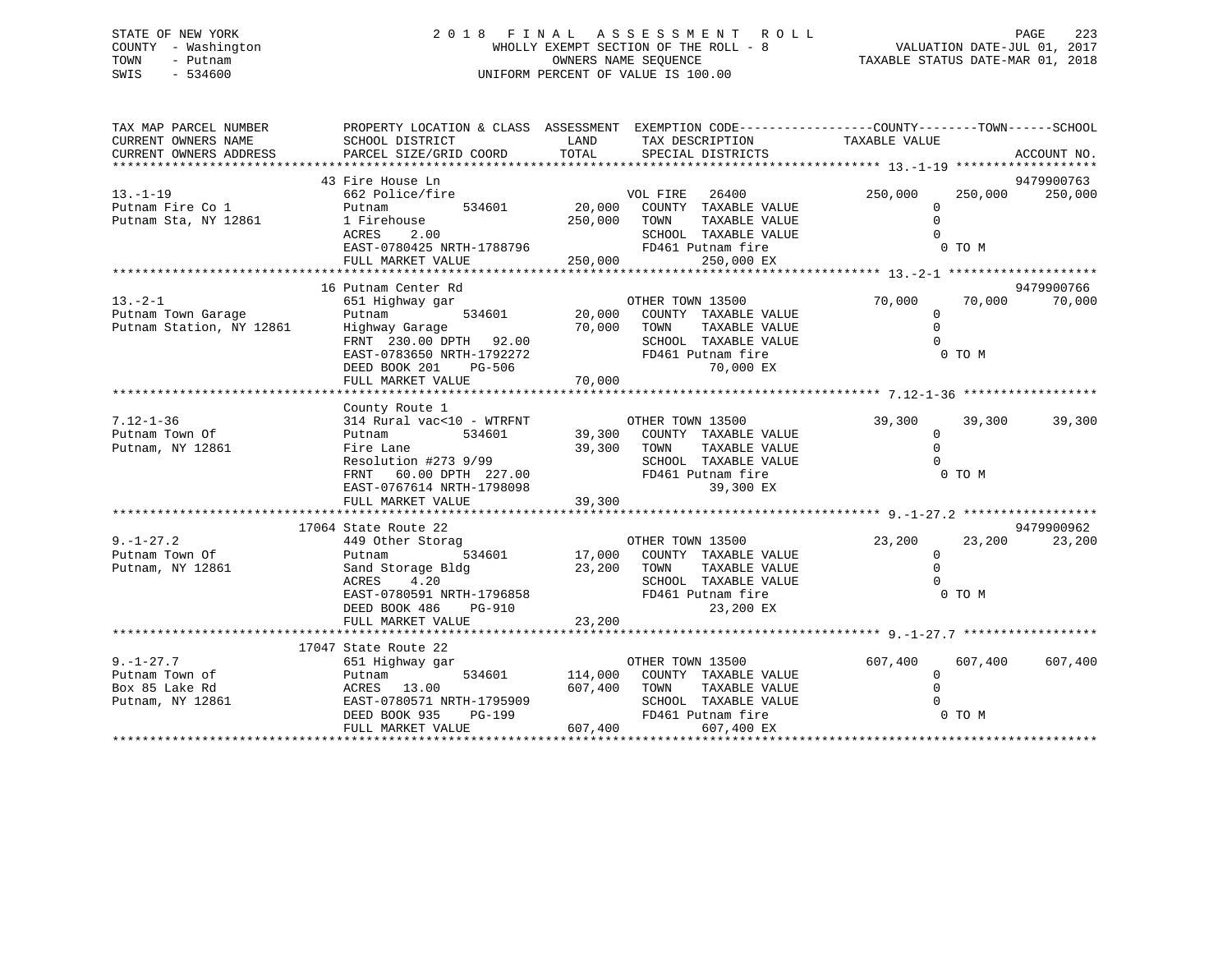# STATE OF NEW YORK 2 0 1 8 F I N A L A S S E S S M E N T R O L L PAGE 223 COUNTY - Washington WHOLLY EXEMPT SECTION OF THE ROLL - 8 VALUATION DATE-JUL 01, 2017 TOWN - Putnam OWNERS NAME SEQUENCE TAXABLE STATUS DATE-MAR 01, 2018 SWIS - 534600 UNIFORM PERCENT OF VALUE IS 100.00

| TAX MAP PARCEL NUMBER<br>CURRENT OWNERS NAME | PROPERTY LOCATION & CLASS ASSESSMENT EXEMPTION CODE---------------COUNTY-------TOWN-----SCHOOL<br>SCHOOL DISTRICT | LAND                | TAX DESCRIPTION                                                 | TAXABLE VALUE        |         |                       |
|----------------------------------------------|-------------------------------------------------------------------------------------------------------------------|---------------------|-----------------------------------------------------------------|----------------------|---------|-----------------------|
| CURRENT OWNERS ADDRESS                       | PARCEL SIZE/GRID COORD                                                                                            | TOTAL               | SPECIAL DISTRICTS                                               |                      |         | ACCOUNT NO.           |
|                                              |                                                                                                                   |                     |                                                                 |                      |         |                       |
| $13. -1 - 19$                                | 43 Fire House Ln<br>662 Police/fire                                                                               |                     | VOL FIRE 26400                                                  | 250,000              | 250,000 | 9479900763<br>250,000 |
| Putnam Fire Co 1<br>Putnam Sta, NY 12861     | Putnam<br>1 Firehouse                                                                                             | 250,000 TOWN        | 10071110<br>534601 20,000 COUNTY TAXABLE VALUE<br>TAXABLE VALUE | $\Omega$<br>$\Omega$ |         |                       |
|                                              | ACRES<br>2.00                                                                                                     |                     | SCHOOL TAXABLE VALUE                                            |                      |         |                       |
|                                              | EAST-0780425 NRTH-1788796                                                                                         |                     | FD461 Putnam fire                                               | E<br>0 TO M          |         |                       |
|                                              |                                                                                                                   |                     |                                                                 |                      |         |                       |
|                                              |                                                                                                                   |                     |                                                                 |                      |         |                       |
|                                              | 16 Putnam Center Rd                                                                                               |                     |                                                                 |                      |         | 9479900766            |
| $13. - 2 - 1$<br>Putnam Town Garage          | 651 Highway gar                                                                                                   |                     | OTHER TOWN 13500<br>$534601$ 20,000 COUNTY TAXABLE VALUE        | 70,000               | 70,000  | 70,000                |
| Putnam Station, NY 12861                     | Putnam<br>Highway Garage                                                                                          | 70,000 TOWN         | TAXABLE VALUE                                                   | $\Omega$<br>$\Omega$ |         |                       |
|                                              | FRNT 230.00 DPTH 92.00                                                                                            |                     | SCHOOL TAXABLE VALUE                                            | $\Omega$             |         |                       |
|                                              | EAST-0783650 NRTH-1792272                                                                                         |                     | FD461 Putnam fire                                               |                      | 0 TO M  |                       |
|                                              | <b>PG-506</b><br>DEED BOOK 201                                                                                    |                     | 70,000 EX                                                       |                      |         |                       |
|                                              | FULL MARKET VALUE                                                                                                 | 70,000              |                                                                 |                      |         |                       |
|                                              |                                                                                                                   |                     |                                                                 |                      |         |                       |
|                                              | County Route 1                                                                                                    |                     |                                                                 |                      |         |                       |
| $7.12 - 1 - 36$                              | 314 Rural vac<10 - WTRFNT OTHER TOWN 13500                                                                        |                     |                                                                 | 39,300 39,300        |         | 39,300                |
| Putnam Town Of                               | Putnam                                                                                                            |                     | 534601 39,300 COUNTY TAXABLE VALUE                              | $\mathbf 0$          |         |                       |
| Putnam, NY 12861                             | Fire Lane                                                                                                         | 39,300 TOWN         | TAXABLE VALUE                                                   | $\Omega$             |         |                       |
|                                              | Resolution #273 9/99                                                                                              |                     | SCHOOL TAXABLE VALUE                                            | $\Omega$             |         |                       |
|                                              | FRNT 60.00 DPTH 227.00                                                                                            |                     | FD461 Putnam fire<br>39,300 EX                                  |                      | 0 TO M  |                       |
|                                              | EAST-0767614 NRTH-1798098<br>FULL MARKET VALUE                                                                    | 39,300              |                                                                 |                      |         |                       |
|                                              |                                                                                                                   |                     |                                                                 |                      |         |                       |
|                                              | 17064 State Route 22                                                                                              |                     |                                                                 |                      |         | 9479900962            |
| $9. - 1 - 27.2$                              | 449 Other Storag                                                                                                  |                     | OTHER TOWN 13500                                                | 23,200               | 23,200  | 23,200                |
| Putnam Town Of                               | Putnam                                                                                                            |                     | 534601 17,000 COUNTY TAXABLE VALUE                              | $\mathbf{0}$         |         |                       |
| Putnam, NY 12861                             | Sand Storage Bldg<br>ACRES      4.20                                                                              | 23,200 TOWN         | TAXABLE VALUE                                                   | $\Omega$             |         |                       |
|                                              |                                                                                                                   |                     | SCHOOL TAXABLE VALUE                                            | $\Omega$             |         |                       |
|                                              | EAST-0780591 NRTH-1796858                                                                                         |                     | FD461 Putnam fire                                               |                      | 0 TO M  |                       |
|                                              | DEED BOOK 486<br>PG-910                                                                                           |                     | 23,200 EX                                                       |                      |         |                       |
|                                              | FULL MARKET VALUE                                                                                                 | 23,200              |                                                                 |                      |         |                       |
|                                              |                                                                                                                   |                     |                                                                 |                      |         |                       |
| $9. - 1 - 27.7$                              | 17047 State Route 22<br>651 Highway gar                                                                           |                     | OTHER TOWN 13500                                                | 607,400              | 607,400 | 607,400               |
| Putnam Town of                               | Putnam                                                                                                            |                     | 534601 114,000 COUNTY TAXABLE VALUE                             | $\mathbf 0$          |         |                       |
| Box 85 Lake Rd                               | ACRES 13.00                                                                                                       | 607,400 TOWN        | TAXABLE VALUE                                                   | $\Omega$             |         |                       |
| Putnam, NY 12861                             | EAST-0780571 NRTH-1795909                                                                                         |                     | SCHOOL TAXABLE VALUE                                            |                      |         |                       |
|                                              | DEED BOOK 935                                                                                                     | H-1795909<br>PG-199 | FD461 Putnam fire                                               | 0 TO M               |         |                       |
|                                              | FULL MARKET VALUE                                                                                                 | 607,400             | 607,400 EX                                                      |                      |         |                       |
|                                              |                                                                                                                   |                     |                                                                 |                      |         |                       |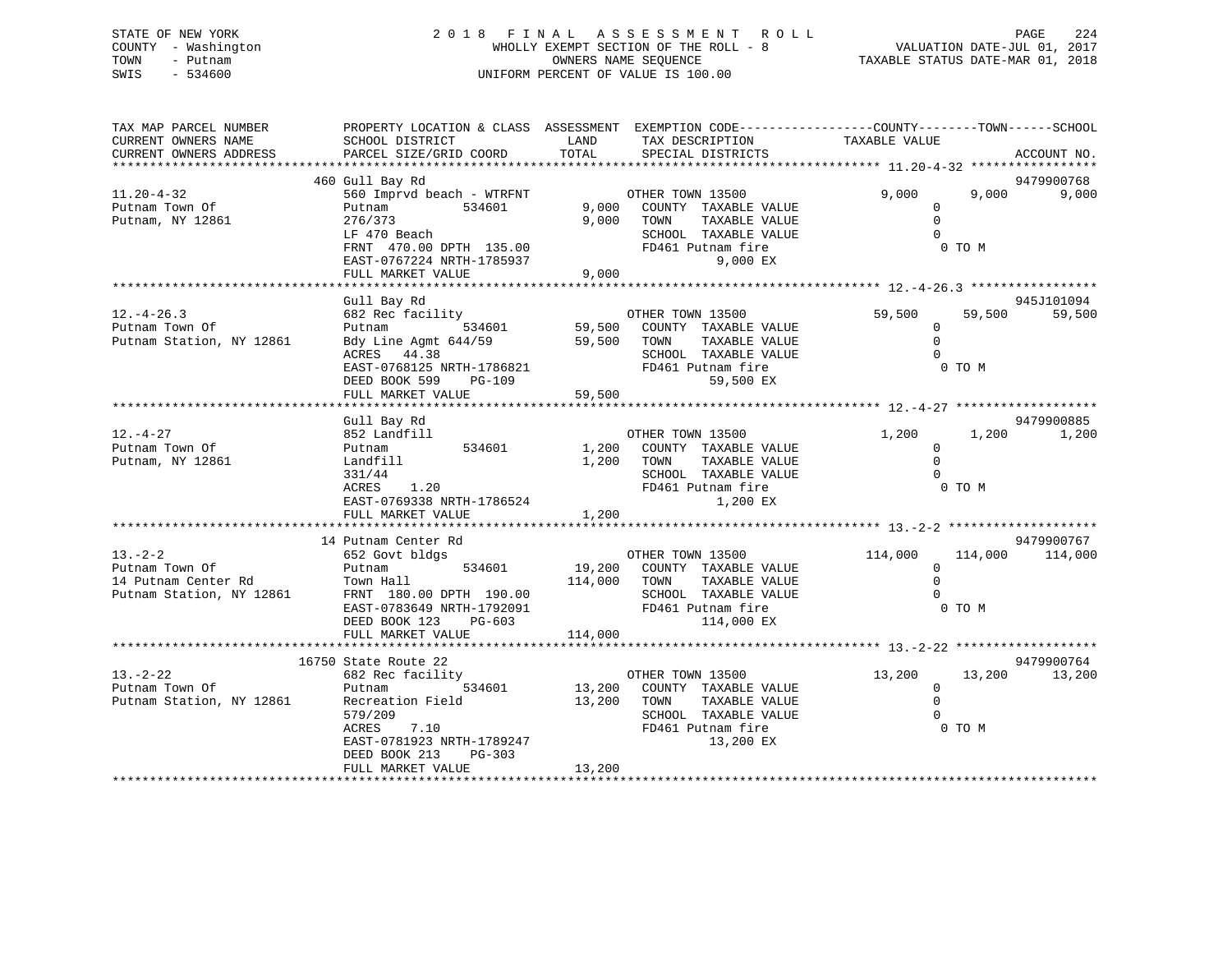# STATE OF NEW YORK 2 0 1 8 F I N A L A S S E S S M E N T R O L L PAGE 224 COUNTY - Washington WHOLLY EXEMPT SECTION OF THE ROLL - 8 VALUATION DATE-JUL 01, 2017 TOWN - Putnam OWNERS NAME SEQUENCE TAXABLE STATUS DATE-MAR 01, 2018 SWIS - 534600 UNIFORM PERCENT OF VALUE IS 100.00

| TAX MAP PARCEL NUMBER<br>CURRENT OWNERS NAME<br>CURRENT OWNERS ADDRESS            | PROPERTY LOCATION & CLASS ASSESSMENT EXEMPTION CODE---------------COUNTY-------TOWN------SCHOOL<br>SCHOOL DISTRICT<br>PARCEL SIZE/GRID COORD                                              | LAND<br>TOTAL              | TAX DESCRIPTION<br>SPECIAL DISTRICTS                                                                                                        | TAXABLE VALUE                                     |                   | ACCOUNT NO.          |
|-----------------------------------------------------------------------------------|-------------------------------------------------------------------------------------------------------------------------------------------------------------------------------------------|----------------------------|---------------------------------------------------------------------------------------------------------------------------------------------|---------------------------------------------------|-------------------|----------------------|
|                                                                                   |                                                                                                                                                                                           |                            |                                                                                                                                             |                                                   |                   |                      |
| $11.20 - 4 - 32$<br>Putnam Town Of<br>Putnam, NY 12861                            | 460 Gull Bay Rd<br>560 Imprvd beach - WTRFNT<br>534601<br>Putnam<br>276/373<br>LF 470 Beach<br>FRNT 470.00 DPTH 135.00<br>EAST-0767224 NRTH-1785937<br>FULL MARKET VALUE                  | 9,000<br>9,000             | OTHER TOWN 13500<br>9,000 COUNTY TAXABLE VALUE<br>TOWN<br>TAXABLE VALUE<br>SCHOOL TAXABLE VALUE<br>FD461 Putnam fire<br>9,000 EX            | 9,000<br>$\mathbf 0$<br>$\Omega$<br>$\Omega$      | 9,000<br>0 TO M   | 9479900768<br>9,000  |
|                                                                                   |                                                                                                                                                                                           |                            |                                                                                                                                             |                                                   |                   |                      |
| $12. - 4 - 26.3$<br>Putnam Town Of<br>Putnam Station, NY 12861                    | Gull Bay Rd<br>682 Rec facility<br>534601<br>Putnam<br>Bdy Line Agmt 644/59<br>ACRES 44.38<br>EAST-0768125 NRTH-1786821<br>DEED BOOK 599<br>PG-109<br>FULL MARKET VALUE                   | 59,500<br>59,500<br>59,500 | OTHER TOWN 13500<br>COUNTY TAXABLE VALUE<br>TOWN<br>TAXABLE VALUE<br>SCHOOL TAXABLE VALUE<br>FD461 Putnam fire<br>59,500 EX                 | 59,500<br>$\mathbf{0}$<br>$\mathbb O$<br>$\Omega$ | 59,500<br>0 TO M  | 945J101094<br>59,500 |
|                                                                                   |                                                                                                                                                                                           |                            |                                                                                                                                             |                                                   |                   |                      |
| $12. - 4 - 27$<br>Putnam Town Of<br>Putnam, NY 12861                              | Gull Bay Rd<br>852 Landfill<br>Putnam<br>534601<br>Landfill<br>331/44<br>ACRES<br>1.20<br>EAST-0769338 NRTH-1786524<br>FULL MARKET VALUE                                                  | 1,200<br>1,200<br>1,200    | OTHER TOWN 13500<br>COUNTY TAXABLE VALUE<br>TOWN<br>TAXABLE VALUE<br>SCHOOL TAXABLE VALUE<br>FD461 Putnam fire<br>1,200 EX                  | 1,200<br>0<br>$\Omega$<br>$\Omega$                | 1,200<br>0 TO M   | 9479900885<br>1,200  |
|                                                                                   | 14 Putnam Center Rd                                                                                                                                                                       |                            |                                                                                                                                             |                                                   |                   | 9479900767           |
| $13. -2 - 2$<br>Putnam Town Of<br>14 Putnam Center Rd<br>Putnam Station, NY 12861 | 652 Govt bldgs<br>534601<br>Putnam<br>Town Hall<br>FRNT 180.00 DPTH 190.00<br>EAST-0783649 NRTH-1792091<br>DEED BOOK 123<br>$PG-603$                                                      | 114,000                    | OTHER TOWN 13500<br>19,200 COUNTY TAXABLE VALUE<br>114,000 TOWN<br>TAXABLE VALUE<br>SCHOOL TAXABLE VALUE<br>FD461 Putnam fire<br>114,000 EX | 114,000<br>$\Omega$<br>$\Omega$                   | 114,000<br>0 TO M | 114,000              |
|                                                                                   | FULL MARKET VALUE                                                                                                                                                                         |                            |                                                                                                                                             |                                                   |                   |                      |
| $13. - 2 - 22$<br>Putnam Town Of<br>Putnam Station, NY 12861                      | 16750 State Route 22<br>682 Rec facility<br>534601<br>Putnam<br>Recreation Field<br>579/209<br>ACRES<br>7.10<br>EAST-0781923 NRTH-1789247<br>DEED BOOK 213<br>PG-303<br>FULL MARKET VALUE | 13,200<br>13,200<br>13,200 | OTHER TOWN 13500<br>COUNTY TAXABLE VALUE<br>TAXABLE VALUE<br>TOWN<br>SCHOOL TAXABLE VALUE<br>FD461 Putnam fire<br>13,200 EX                 | 13,200<br>$\mathbf 0$<br>$\mathbf 0$<br>$\Omega$  | 13,200<br>0 TO M  | 9479900764<br>13,200 |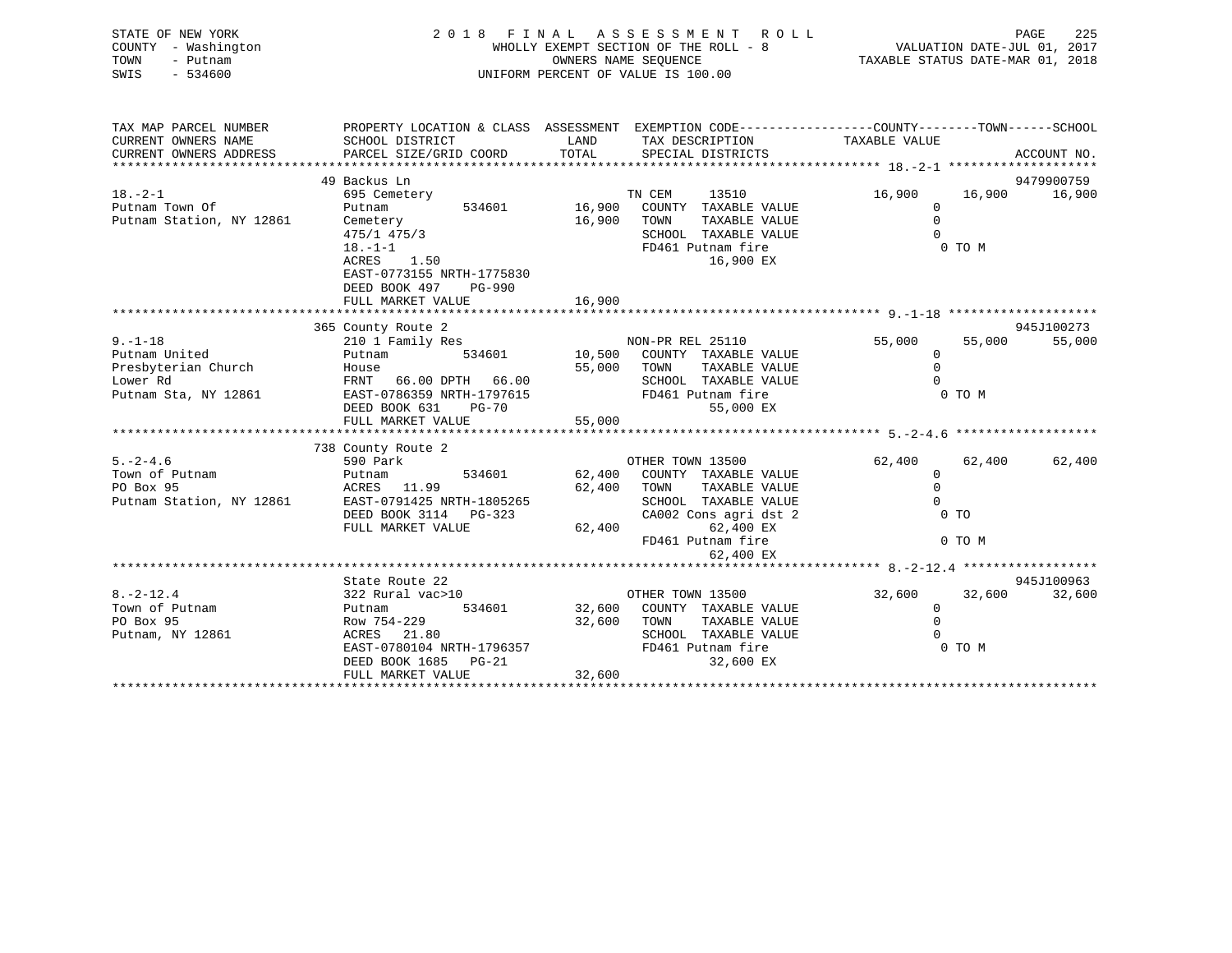| STATE OF NEW YORK<br>COUNTY - Washington<br>TOWN<br>- Putnam<br>SWIS<br>$-534600$ |                                                                                                                                                                                                                                                                      | 2018 FINAL ASSESSMENT ROLL<br>UNIFORM PERCENT OF VALUE IS 100.00 | PAGE<br>225<br>FAGE 225<br>WHOLLY EXEMPT SECTION OF THE ROLL - 8<br>WHOLLY EXEMPT SECTION OF THE ROLL - 8<br>COMMERS NAME STATUS DATE-MAR 01, 2018 |                          |        |               |
|-----------------------------------------------------------------------------------|----------------------------------------------------------------------------------------------------------------------------------------------------------------------------------------------------------------------------------------------------------------------|------------------------------------------------------------------|----------------------------------------------------------------------------------------------------------------------------------------------------|--------------------------|--------|---------------|
| TAX MAP PARCEL NUMBER                                                             | PROPERTY LOCATION & CLASS ASSESSMENT EXEMPTION CODE----------------COUNTY-------TOWN------SCHOOL                                                                                                                                                                     | LAND                                                             |                                                                                                                                                    |                          |        |               |
| CURRENT OWNERS NAME<br>CURRENT OWNERS ADDRESS                                     | SCHOOL DISTRICT<br>PARCEL SIZE/GRID COORD TOTAL                                                                                                                                                                                                                      |                                                                  | TAX DESCRIPTION TAXABLE VALUE<br>SPECIAL DISTRICTS                                                                                                 |                          |        | ACCOUNT NO.   |
|                                                                                   |                                                                                                                                                                                                                                                                      |                                                                  |                                                                                                                                                    |                          |        |               |
| $18. - 2 - 1$                                                                     | 49 Backus Ln                                                                                                                                                                                                                                                         |                                                                  |                                                                                                                                                    |                          |        | 9479900759    |
| Putnam Town Of                                                                    |                                                                                                                                                                                                                                                                      |                                                                  |                                                                                                                                                    | 16,900<br>$\overline{0}$ |        | 16,900 16,900 |
|                                                                                   | Putnam Station, NY 12861 Cemetery 16,900<br>$475/1 475/3$<br>$18. -1-1$<br>ACRES 1.50                                                                                                                                                                                |                                                                  |                                                                                                                                                    | $\Omega$                 |        |               |
|                                                                                   |                                                                                                                                                                                                                                                                      |                                                                  |                                                                                                                                                    | $\Omega$                 |        |               |
|                                                                                   |                                                                                                                                                                                                                                                                      |                                                                  | SCHOOL TAXABLE VALUE<br>FD461 Putnam fire                                                                                                          | O TO M                   |        |               |
|                                                                                   |                                                                                                                                                                                                                                                                      |                                                                  | 16,900 EX                                                                                                                                          |                          |        |               |
|                                                                                   | EAST-0773155 NRTH-1775830                                                                                                                                                                                                                                            |                                                                  |                                                                                                                                                    |                          |        |               |
|                                                                                   | DEED BOOK 497 PG-990                                                                                                                                                                                                                                                 |                                                                  |                                                                                                                                                    |                          |        |               |
|                                                                                   | FULL MARKET VALUE                                                                                                                                                                                                                                                    | 16,900                                                           |                                                                                                                                                    |                          |        |               |
|                                                                                   |                                                                                                                                                                                                                                                                      |                                                                  |                                                                                                                                                    |                          |        |               |
|                                                                                   | 365 County Route 2                                                                                                                                                                                                                                                   |                                                                  |                                                                                                                                                    |                          |        | 945J100273    |
| $9 - 1 - 18$                                                                      |                                                                                                                                                                                                                                                                      |                                                                  |                                                                                                                                                    | 55,000                   | 55,000 | 55,000        |
| Putnam United                                                                     | 210 1 Family Res<br>210 1 Family Res<br>210 10,500 COUNTY TAXABLE VALUE                                                                                                                                                                                              |                                                                  |                                                                                                                                                    | $\overline{0}$           |        |               |
| Presbyterian Church<br>Lower Rd                                                   |                                                                                                                                                                                                                                                                      |                                                                  |                                                                                                                                                    |                          |        |               |
|                                                                                   |                                                                                                                                                                                                                                                                      |                                                                  |                                                                                                                                                    |                          |        |               |
|                                                                                   |                                                                                                                                                                                                                                                                      |                                                                  |                                                                                                                                                    |                          |        |               |
|                                                                                   | Presbyterian Church<br>From TAXABLE VALUE<br>Deter Rd<br>Putnam Sta, NY 12861<br>Putnam Sta, NY 12861<br>EED BOOK 631 PG-70<br>FULL MARKET VALUE<br>FULL MARKET VALUE<br>FOLD SCHOOL TAXABLE VALUE<br>FD461 Putnam fire<br>55,000 EX<br>FULL MARKET                  |                                                                  |                                                                                                                                                    |                          |        |               |
|                                                                                   |                                                                                                                                                                                                                                                                      |                                                                  |                                                                                                                                                    |                          |        |               |
|                                                                                   |                                                                                                                                                                                                                                                                      |                                                                  |                                                                                                                                                    |                          |        |               |
|                                                                                   | 738 County Route 2                                                                                                                                                                                                                                                   |                                                                  |                                                                                                                                                    |                          |        |               |
|                                                                                   |                                                                                                                                                                                                                                                                      |                                                                  |                                                                                                                                                    |                          | 62,400 | 62,400        |
|                                                                                   |                                                                                                                                                                                                                                                                      |                                                                  |                                                                                                                                                    |                          |        |               |
|                                                                                   |                                                                                                                                                                                                                                                                      |                                                                  |                                                                                                                                                    |                          |        |               |
|                                                                                   | 5.-2-4.6 $\footnotesize$<br>Fown of Putnam $\footnotesize$<br>Putnam Putnam Putnam $\footnotesize$<br>PUTHER TOWN 13500 62,400<br>PO Box 95 ACRES 11.99 62,400 TOWN TAXABLE VALUE 0<br>Putnam Station, NY 12861 EAST-0791425 NRTH-1805265 SCHOOL TAXABLE VALUE 0<br> |                                                                  |                                                                                                                                                    |                          |        |               |
|                                                                                   |                                                                                                                                                                                                                                                                      |                                                                  |                                                                                                                                                    |                          |        |               |
|                                                                                   |                                                                                                                                                                                                                                                                      |                                                                  |                                                                                                                                                    |                          | 0 TO M |               |
|                                                                                   |                                                                                                                                                                                                                                                                      |                                                                  | 62,400 EX                                                                                                                                          |                          |        |               |
|                                                                                   |                                                                                                                                                                                                                                                                      |                                                                  |                                                                                                                                                    |                          |        |               |
|                                                                                   |                                                                                                                                                                                                                                                                      |                                                                  |                                                                                                                                                    |                          |        | 945J100963    |
| $8. -2 - 12.4$                                                                    |                                                                                                                                                                                                                                                                      |                                                                  |                                                                                                                                                    |                          |        | 32,600        |
| Town of Putnam                                                                    | 32 Rural vac>10<br>Putnam 534601 32,600 COUNTY TAXABLE VALUE 32,600 32,600 32,600<br>Row 754-229 32,600 COUNTY TAXABLE VALUE 0<br>ACRES 21.80 SCHOOL TAYABLE VALUE 0                                                                                                 |                                                                  |                                                                                                                                                    |                          |        |               |
| PO Box 95                                                                         |                                                                                                                                                                                                                                                                      |                                                                  |                                                                                                                                                    |                          |        |               |
| Putnam, NY 12861                                                                  |                                                                                                                                                                                                                                                                      |                                                                  |                                                                                                                                                    |                          |        |               |
|                                                                                   |                                                                                                                                                                                                                                                                      |                                                                  |                                                                                                                                                    |                          | 0 TO M |               |
|                                                                                   | EAST-0780104 NRTH-1796357<br>EED BOOK 1685 PD461 Putnam fire<br>DEED BOOK 1685 PD461 Putnam fire<br>FD461 Putnam fire<br>32,600 EX<br>PUIL MADWER VIII                                                                                                               |                                                                  |                                                                                                                                                    |                          |        |               |
|                                                                                   | FULL MARKET VALUE                                                                                                                                                                                                                                                    | 32,600                                                           |                                                                                                                                                    |                          |        |               |
|                                                                                   |                                                                                                                                                                                                                                                                      |                                                                  |                                                                                                                                                    |                          |        |               |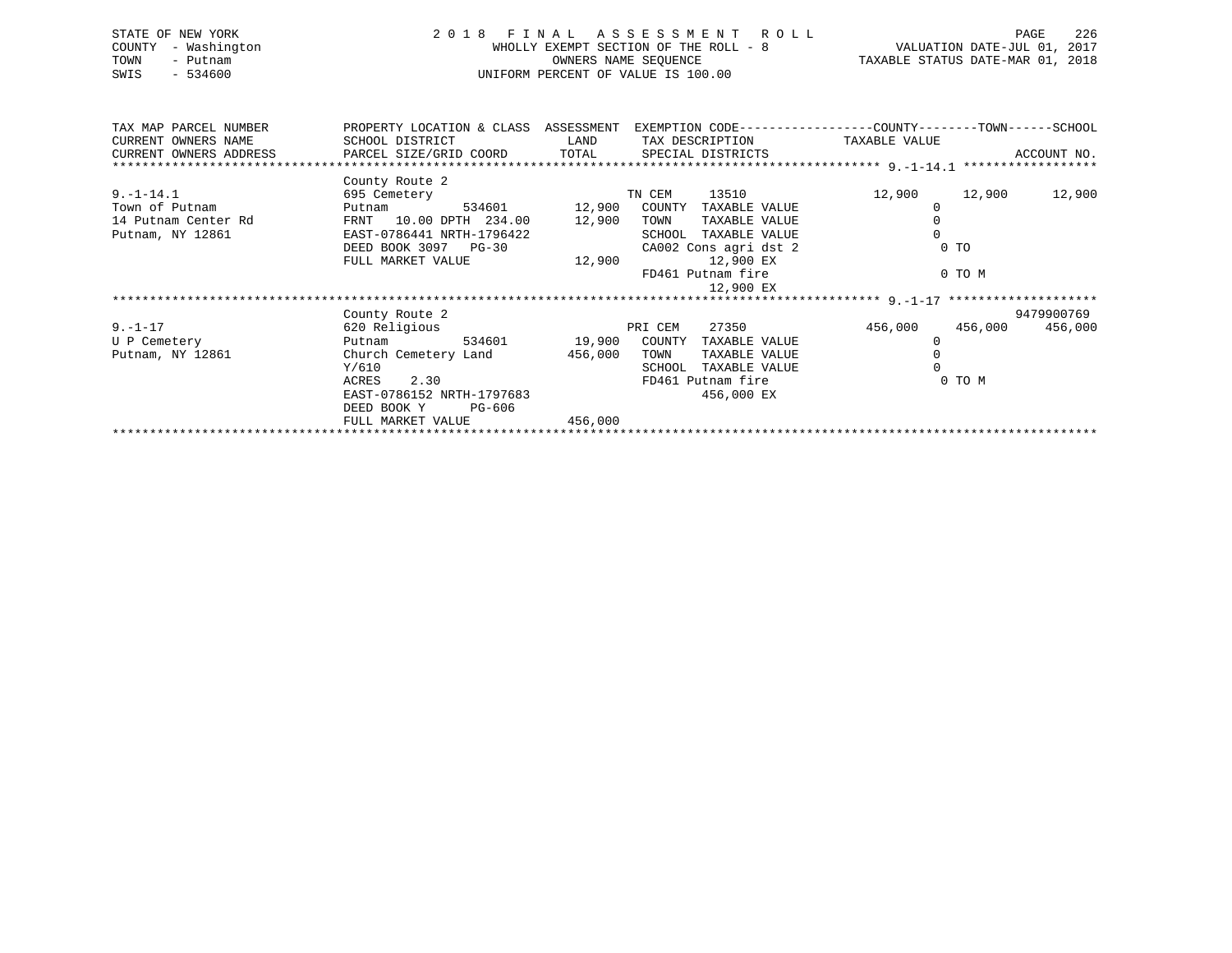| STATE OF NEW YORK<br>- Washington<br>COUNTY<br>TOWN<br>- Putnam<br>SWIS<br>$-534600$ | 2 0 1 8<br>FINAL ASSESSMENT ROLL<br>WHOLLY EXEMPT SECTION OF THE ROLL - 8<br>OWNERS NAME SEQUENCE<br>UNIFORM PERCENT OF VALUE IS 100.00 |        |         |                       |  | VALUATION DATE-JUL 01, 2017<br>TAXABLE STATUS DATE-MAR 01, 2018 |         | 226<br>PAGE |
|--------------------------------------------------------------------------------------|-----------------------------------------------------------------------------------------------------------------------------------------|--------|---------|-----------------------|--|-----------------------------------------------------------------|---------|-------------|
| TAX MAP PARCEL NUMBER                                                                | PROPERTY LOCATION & CLASS ASSESSMENT                                                                                                    |        |         |                       |  | EXEMPTION CODE-----------------COUNTY-------TOWN------SCHOOL    |         |             |
| CURRENT OWNERS NAME<br>CURRENT OWNERS ADDRESS                                        | SCHOOL DISTRICT<br>PARCEL SIZE/GRID COORD TOTAL SPECIAL DISTRICTS                                                                       | LAND   |         | TAX DESCRIPTION       |  | TAXABLE VALUE                                                   |         | ACCOUNT NO. |
|                                                                                      | County Route 2                                                                                                                          |        |         |                       |  |                                                                 |         |             |
| $9. - 1 - 14.1$                                                                      | 695 Cemetery                                                                                                                            |        | TN CEM  | 13510                 |  | 12,900                                                          | 12,900  | 12,900      |
| Town of Putnam                                                                       | 534601<br>Putnam                                                                                                                        | 12,900 | COUNTY  | TAXABLE VALUE         |  |                                                                 |         |             |
| 14 Putnam Center Rd                                                                  | FRNT 10.00 DPTH 234.00                                                                                                                  | 12,900 | TOWN    | TAXABLE VALUE         |  |                                                                 |         |             |
| Putnam, NY 12861                                                                     | EAST-0786441 NRTH-1796422                                                                                                               |        | SCHOOL  | TAXABLE VALUE         |  |                                                                 |         |             |
|                                                                                      | DEED BOOK 3097 PG-30                                                                                                                    |        |         | CA002 Cons agri dst 2 |  |                                                                 | $0$ TO  |             |
|                                                                                      | FULL MARKET VALUE                                                                                                                       | 12,900 |         | 12,900 EX             |  |                                                                 |         |             |
|                                                                                      |                                                                                                                                         |        |         | FD461 Putnam fire     |  |                                                                 | 0 TO M  |             |
|                                                                                      |                                                                                                                                         |        |         | 12,900 EX             |  |                                                                 |         |             |
|                                                                                      |                                                                                                                                         |        |         |                       |  |                                                                 |         |             |
|                                                                                      | County Route 2                                                                                                                          |        |         |                       |  |                                                                 |         | 9479900769  |
| $9. - 1 - 17$                                                                        | 620 Religious                                                                                                                           |        | PRI CEM | 27350                 |  | 456,000                                                         | 456,000 | 456,000     |

| -----            | $0.40$ $1.01 + 910$ $0.00$ |        |         | -----  | ----              | 100 <i>1</i> 000 | 100 <i>1</i> 000 | 100 <i>1</i> 000 |
|------------------|----------------------------|--------|---------|--------|-------------------|------------------|------------------|------------------|
| U P Cemetery     | Putnam                     | 534601 | 19,900  | COUNTY | TAXABLE VALUE     |                  |                  |                  |
| Putnam, NY 12861 | Church Cemetery Land       |        | 456,000 | TOWN   | TAXABLE VALUE     |                  |                  |                  |
|                  | Y/610                      |        |         | SCHOOL | TAXABLE VALUE     |                  |                  |                  |
|                  | 2.30<br>ACRES              |        |         |        | FD461 Putnam fire |                  | 0 TO M           |                  |
|                  | EAST-0786152 NRTH-1797683  |        |         |        | 456,000 EX        |                  |                  |                  |
|                  | DEED BOOK Y                | PG-606 |         |        |                   |                  |                  |                  |
|                  | FULL MARKET VALUE          |        | 456,000 |        |                   |                  |                  |                  |
|                  |                            |        |         |        |                   |                  |                  |                  |
|                  |                            |        |         |        |                   |                  |                  |                  |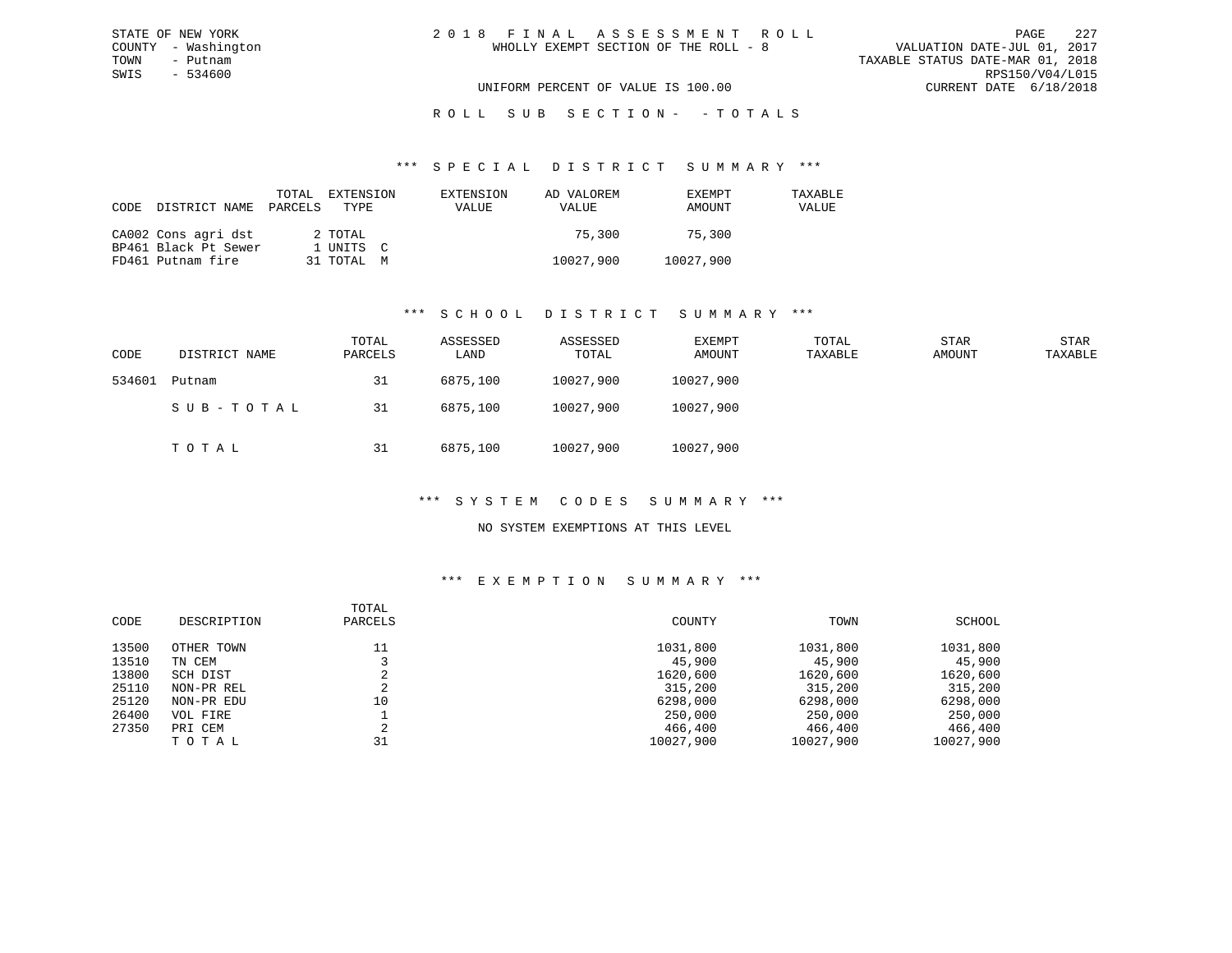### R O L L S U B S E C T I O N - - T O T A L S

#### \*\*\* S P E C I A L D I S T R I C T S U M M A R Y \*\*\*

| CODE | DISTRICT NAME        | PARCELS | TOTAL EXTENSION<br>TYPE | EXTENSION<br>VALUE | AD VALOREM<br>VALUE | EXEMPT<br>AMOUNT | TAXABLE<br>VALUE |
|------|----------------------|---------|-------------------------|--------------------|---------------------|------------------|------------------|
|      | CA002 Cons agri dst  |         | 2 TOTAL                 |                    | 75.300              | 75.300           |                  |
|      | BP461 Black Pt Sewer |         | 1 UNITS C               |                    |                     |                  |                  |
|      | FD461 Putnam fire    |         | 31 TOTAL M              |                    | 10027,900           | 10027,900        |                  |

### \*\*\* S C H O O L D I S T R I C T S U M M A R Y \*\*\*

| CODE   | DISTRICT NAME | TOTAL<br>PARCELS | ASSESSED<br>LAND | ASSESSED<br>TOTAL | EXEMPT<br>AMOUNT | TOTAL<br>TAXABLE | STAR<br>AMOUNT | STAR<br>TAXABLE |
|--------|---------------|------------------|------------------|-------------------|------------------|------------------|----------------|-----------------|
| 534601 | Putnam        | 31               | 6875,100         | 10027,900         | 10027,900        |                  |                |                 |
|        | SUB-TOTAL     | 31               | 6875,100         | 10027,900         | 10027,900        |                  |                |                 |
|        | тотаь         | 31               | 6875,100         | 10027,900         | 10027,900        |                  |                |                 |

### \*\*\* S Y S T E M C O D E S S U M M A R Y \*\*\*

### NO SYSTEM EXEMPTIONS AT THIS LEVEL

| CODE  | DESCRIPTION | TOTAL<br>PARCELS | COUNTY    | TOWN      | SCHOOL    |
|-------|-------------|------------------|-----------|-----------|-----------|
| 13500 | OTHER TOWN  | 11               | 1031,800  | 1031,800  | 1031,800  |
| 13510 | TN CEM      |                  | 45,900    | 45,900    | 45,900    |
| 13800 | SCH DIST    |                  | 1620,600  | 1620,600  | 1620,600  |
| 25110 | NON-PR REL  |                  | 315,200   | 315,200   | 315,200   |
| 25120 | NON-PR EDU  | 10               | 6298,000  | 6298,000  | 6298,000  |
| 26400 | VOL FIRE    |                  | 250,000   | 250,000   | 250,000   |
| 27350 | PRI CEM     |                  | 466,400   | 466,400   | 466,400   |
|       | TOTAL       | 31               | 10027,900 | 10027,900 | 10027,900 |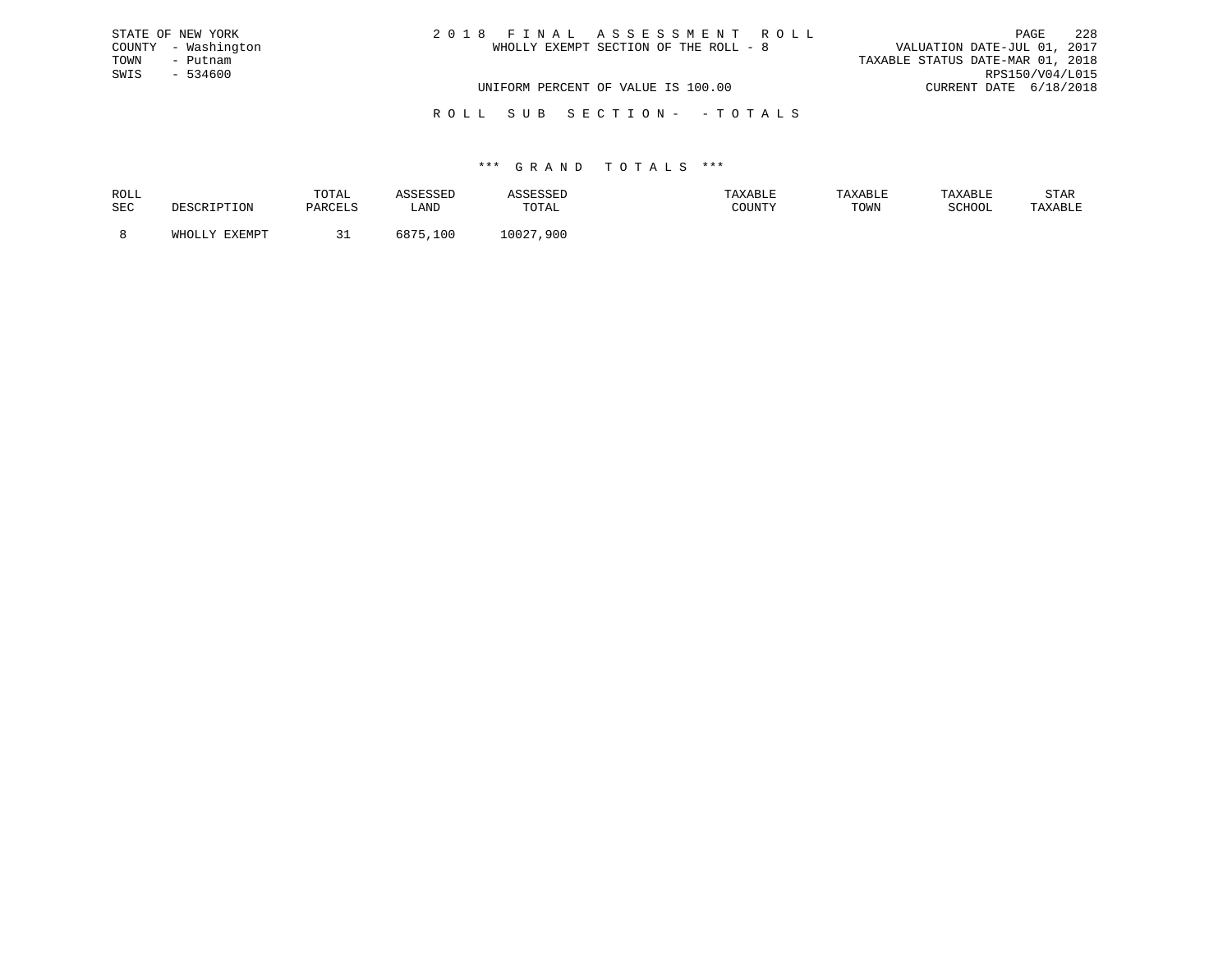| STATE OF NEW YORK   | 2018 FINAL ASSESSMENT ROLL            | 2.2.8<br>PAGE                    |
|---------------------|---------------------------------------|----------------------------------|
| COUNTY - Washington | WHOLLY EXEMPT SECTION OF THE ROLL - 8 | VALUATION DATE-JUL 01, 2017      |
| TOWN<br>- Putnam    |                                       | TAXABLE STATUS DATE-MAR 01, 2018 |
| SWIS - 534600       |                                       | RPS150/V04/L015                  |
|                     | UNIFORM PERCENT OF VALUE IS 100.00    | CURRENT DATE 6/18/2018           |
|                     |                                       |                                  |

### R O L L S U B S E C T I O N - - T O T A L S

| ROLL |               | TOTAL    |             |           | AXABLE | TAXABLE | TAXABLE       | STAR    |
|------|---------------|----------|-------------|-----------|--------|---------|---------------|---------|
| SEC  |               | DARCET C | LAND        | TOTAL     | COUNTY | TOWN    | <b>RCHOOL</b> | 'AXABLE |
|      | <b>EVEMBT</b> |          | :07E<br>∣∩r | 10027,900 |        |         |               |         |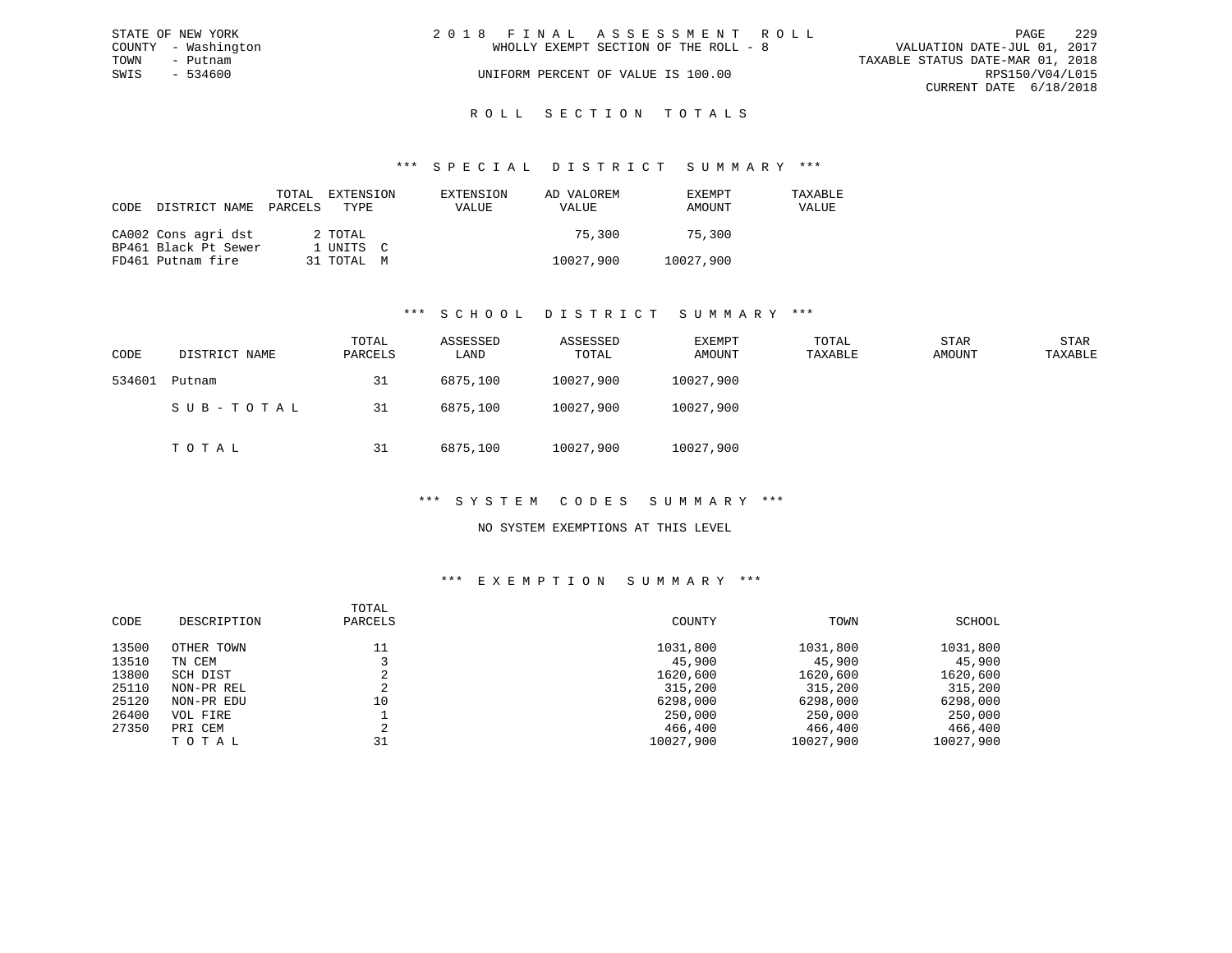|      | STATE OF NEW YORK   | 2018 FINAL ASSESSMENT ROLL |                                       |                                  | PAGE                   | 2.2.9 |
|------|---------------------|----------------------------|---------------------------------------|----------------------------------|------------------------|-------|
|      | COUNTY - Washington |                            | WHOLLY EXEMPT SECTION OF THE ROLL - 8 | VALUATION DATE-JUL 01, 2017      |                        |       |
| TOWN | - Putnam            |                            |                                       | TAXABLE STATUS DATE-MAR 01, 2018 |                        |       |
| SWIS | $-534600$           |                            | UNIFORM PERCENT OF VALUE IS 100.00    |                                  | RPS150/V04/L015        |       |
|      |                     |                            |                                       |                                  | CURRENT DATE 6/18/2018 |       |
|      |                     |                            |                                       |                                  |                        |       |

# ROLL SECTION TOTALS

#### \*\*\* S P E C I A L D I S T R I C T S U M M A R Y \*\*\*

| CODE DISTRICT NAME PARCELS TYPE | TOTAL | EXTENSION  | EXTENSION<br><b>VALUE</b> | AD VALOREM<br>VALUE | <b>EXEMPT</b><br>AMOUNT | TAXABLE<br>VALUE |
|---------------------------------|-------|------------|---------------------------|---------------------|-------------------------|------------------|
| CA002 Cons agri dst             |       | 2 TOTAL    |                           | 75,300              | 75,300                  |                  |
| BP461 Black Pt Sewer            |       | 1 UNITS C  |                           |                     |                         |                  |
| FD461 Putnam fire               |       | 31 TOTAL M |                           | 10027,900           | 10027,900               |                  |

### \*\*\* S C H O O L D I S T R I C T S U M M A R Y \*\*\*

| CODE   | DISTRICT NAME | TOTAL<br>PARCELS | ASSESSED<br>LAND | ASSESSED<br>TOTAL | EXEMPT<br>AMOUNT | TOTAL<br>TAXABLE | STAR<br>AMOUNT | STAR<br>TAXABLE |
|--------|---------------|------------------|------------------|-------------------|------------------|------------------|----------------|-----------------|
| 534601 | Putnam        | 31               | 6875,100         | 10027,900         | 10027,900        |                  |                |                 |
|        | SUB-TOTAL     | 31               | 6875,100         | 10027,900         | 10027,900        |                  |                |                 |
|        | TOTAL         | 31               | 6875,100         | 10027,900         | 10027,900        |                  |                |                 |

### \*\*\* S Y S T E M C O D E S S U M M A R Y \*\*\*

### NO SYSTEM EXEMPTIONS AT THIS LEVEL

| CODE  | DESCRIPTION | TOTAL<br>PARCELS | COUNTY    | TOWN      | SCHOOL    |
|-------|-------------|------------------|-----------|-----------|-----------|
| 13500 | OTHER TOWN  | 11               | 1031,800  | 1031,800  | 1031,800  |
| 13510 | TN CEM      |                  | 45,900    | 45,900    | 45,900    |
| 13800 | SCH DIST    | ∠                | 1620,600  | 1620,600  | 1620,600  |
| 25110 | NON-PR REL  | $\sim$           | 315,200   | 315,200   | 315,200   |
| 25120 | NON-PR EDU  | 10               | 6298,000  | 6298,000  | 6298,000  |
| 26400 | VOL FIRE    |                  | 250,000   | 250,000   | 250,000   |
| 27350 | PRI CEM     | $\sim$           | 466,400   | 466,400   | 466,400   |
|       | TOTAL       | 31               | 10027,900 | 10027,900 | 10027,900 |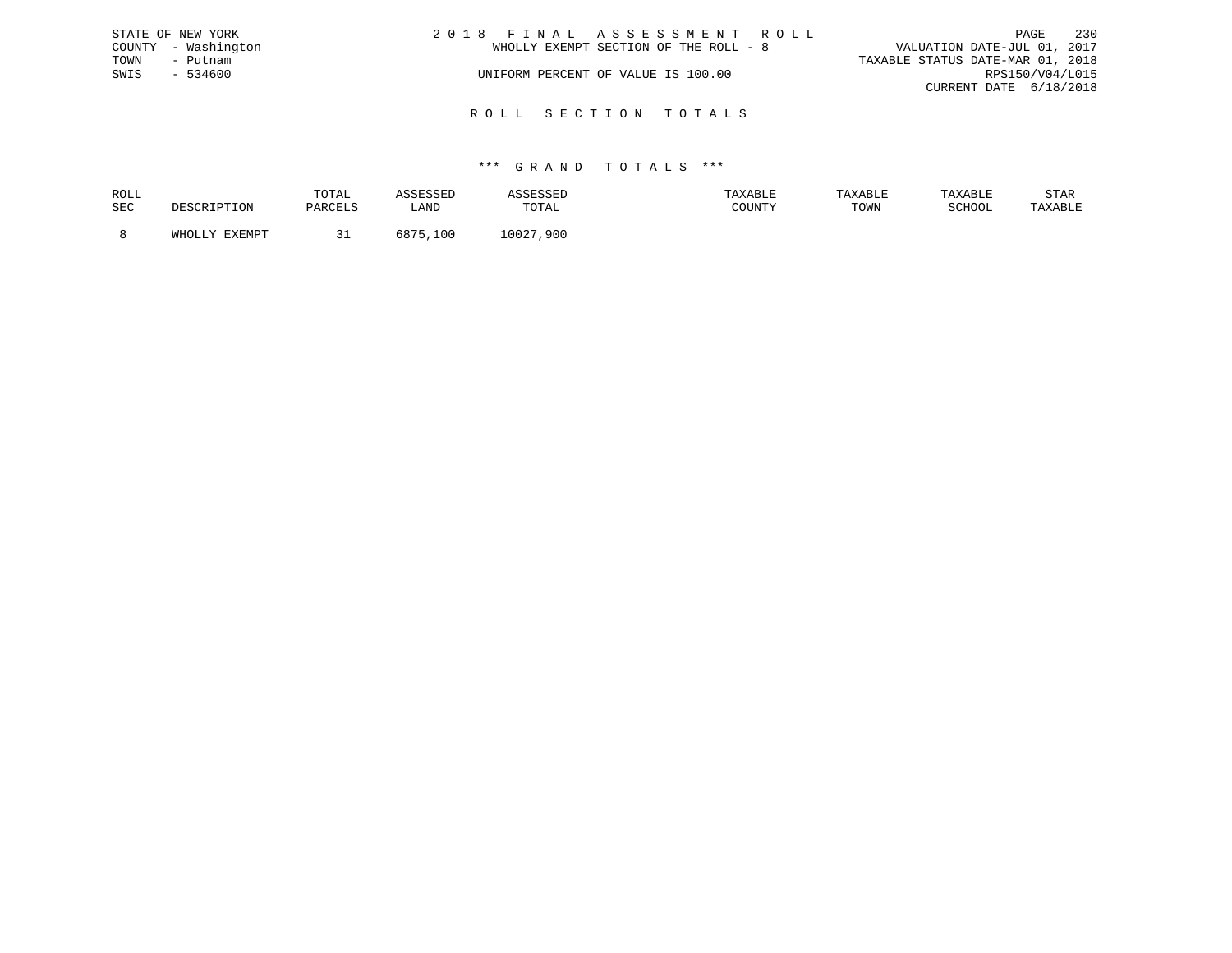|      | STATE OF NEW YORK   | 2018 FINAL ASSESSMENT ROLL                                           | PAGE                   | 230 |
|------|---------------------|----------------------------------------------------------------------|------------------------|-----|
|      | COUNTY - Washington | VALUATION DATE-JUL 01, 2017<br>WHOLLY EXEMPT SECTION OF THE ROLL - 8 |                        |     |
| TOWN | – Putnam            | TAXABLE STATUS DATE-MAR 01, 2018                                     |                        |     |
| SWIS | - 534600            | UNIFORM PERCENT OF VALUE IS 100.00                                   | RPS150/V04/L015        |     |
|      |                     |                                                                      | CURRENT DATE 6/18/2018 |     |
|      |                     |                                                                      |                        |     |

R O L L S E C T I O N T O T A L S

| ROLL |        | TOTAL       |               | .            | <b>AXABLF</b> |      |        | STAR    |
|------|--------|-------------|---------------|--------------|---------------|------|--------|---------|
| SEC  |        |             | ∟AND          | TOTAL        | CCTNTM        | TOWN | SCHOOL | 'AXABLE |
|      |        |             |               |              |               |      |        |         |
|      | FYFMDT | <u>- - </u> | - 07<br>i N.C | 10027<br>900 |               |      |        |         |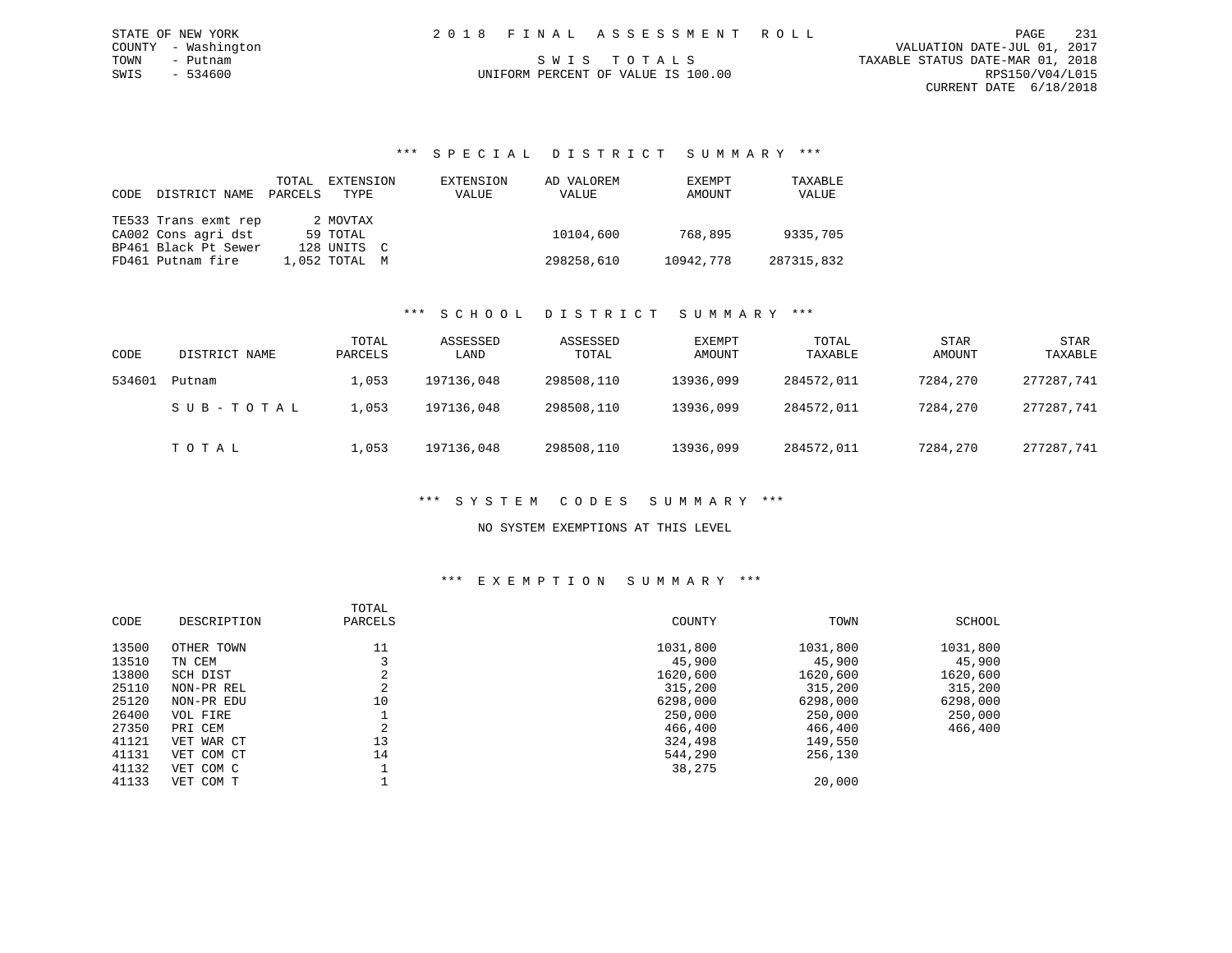### \*\*\* S P E C I A L D I S T R I C T S U M M A R Y \*\*\*

| <b>CODE</b> | DISTRICT NAME        | TOTAL<br>PARCELS | EXTENSION<br>TYPE | EXTENSION<br>VALUE | AD VALOREM<br>VALUE | EXEMPT<br>AMOUNT | TAXABLE<br>VALUE |
|-------------|----------------------|------------------|-------------------|--------------------|---------------------|------------------|------------------|
|             | TE533 Trans exmt rep |                  | 2 MOVTAX          |                    |                     |                  |                  |
|             | CA002 Cons agri dst  |                  | 59 TOTAL          |                    | 10104,600           | 768,895          | 9335,705         |
|             | BP461 Black Pt Sewer |                  | 128 UNITS C       |                    |                     |                  |                  |
|             | FD461 Putnam fire    |                  | 1,052 TOTAL M     |                    | 298258,610          | 10942,778        | 287315,832       |

### \*\*\* S C H O O L D I S T R I C T S U M M A R Y \*\*\*

| CODE   | DISTRICT NAME | TOTAL<br>PARCELS | ASSESSED<br>LAND | ASSESSED<br>TOTAL | EXEMPT<br>AMOUNT | TOTAL<br>TAXABLE | <b>STAR</b><br>AMOUNT | STAR<br>TAXABLE |
|--------|---------------|------------------|------------------|-------------------|------------------|------------------|-----------------------|-----------------|
| 534601 | Putnam        | 1,053            | 197136,048       | 298508,110        | 13936,099        | 284572,011       | 7284,270              | 277287,741      |
|        | SUB-TOTAL     | .,053            | 197136,048       | 298508,110        | 13936,099        | 284572,011       | 7284,270              | 277287,741      |
|        | тотаь         | L,053            | 197136,048       | 298508,110        | 13936,099        | 284572,011       | 7284,270              | 277287,741      |

### \*\*\* S Y S T E M C O D E S S U M M A R Y \*\*\*

### NO SYSTEM EXEMPTIONS AT THIS LEVEL

| CODE  | DESCRIPTION | TOTAL<br>PARCELS | COUNTY   | TOWN     | SCHOOL   |
|-------|-------------|------------------|----------|----------|----------|
| 13500 | OTHER TOWN  | 11               | 1031,800 | 1031,800 | 1031,800 |
| 13510 | TN CEM      |                  | 45,900   | 45,900   | 45,900   |
| 13800 | SCH DIST    |                  | 1620,600 | 1620,600 | 1620,600 |
| 25110 | NON-PR REL  | C<br>z.          | 315,200  | 315,200  | 315,200  |
| 25120 | NON-PR EDU  | 10               | 6298,000 | 6298,000 | 6298,000 |
| 26400 | VOL FIRE    |                  | 250,000  | 250,000  | 250,000  |
| 27350 | PRI CEM     |                  | 466,400  | 466,400  | 466,400  |
| 41121 | VET WAR CT  | 13               | 324,498  | 149,550  |          |
| 41131 | VET COM CT  | 14               | 544,290  | 256,130  |          |
| 41132 | VET COM C   |                  | 38,275   |          |          |
| 41133 | VET COM T   |                  |          | 20,000   |          |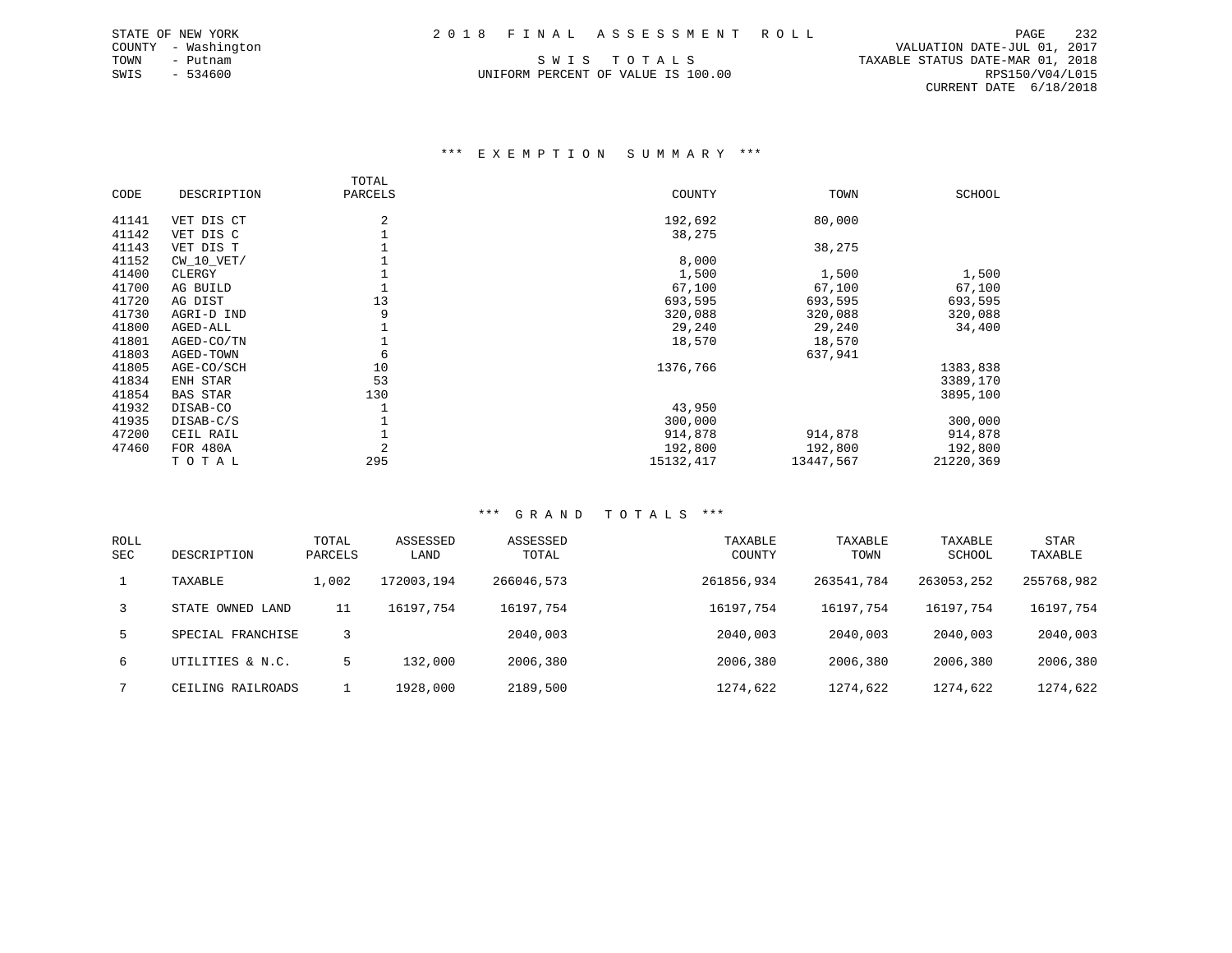SWIS - 534600 UNIFORM PERCENT OF VALUE IS 100.00 RPS150/V04/L015

 COUNTY - Washington VALUATION DATE-JUL 01, 2017 TOWN - Putnam SWIS TOTALS TRANSLE STATUS DATE-MAR 01, 2018 CURRENT DATE 6/18/2018

### \*\*\* E X E M P T I O N S U M M A R Y \*\*\*

|       |                 | TOTAL          |           |           |           |
|-------|-----------------|----------------|-----------|-----------|-----------|
| CODE  | DESCRIPTION     | PARCELS        | COUNTY    | TOWN      | SCHOOL    |
| 41141 | VET DIS CT      | 2              | 192,692   | 80,000    |           |
| 41142 | VET DIS C       |                | 38,275    |           |           |
| 41143 | VET DIS T       |                |           | 38,275    |           |
| 41152 | $CW_10_VET/$    |                | 8,000     |           |           |
| 41400 | CLERGY          |                | 1,500     | 1,500     | 1,500     |
| 41700 | AG BUILD        |                | 67,100    | 67,100    | 67,100    |
| 41720 | AG DIST         | 13             | 693,595   | 693,595   | 693,595   |
| 41730 | AGRI-D IND      | 9              | 320,088   | 320,088   | 320,088   |
| 41800 | AGED-ALL        |                | 29,240    | 29,240    | 34,400    |
| 41801 | AGED-CO/TN      |                | 18,570    | 18,570    |           |
| 41803 | AGED-TOWN       | 6              |           | 637,941   |           |
| 41805 | AGE-CO/SCH      | 10             | 1376,766  |           | 1383,838  |
| 41834 | ENH STAR        | 53             |           |           | 3389,170  |
| 41854 | <b>BAS STAR</b> | 130            |           |           | 3895,100  |
| 41932 | DISAB-CO        |                | 43,950    |           |           |
| 41935 | DISAB-C/S       |                | 300,000   |           | 300,000   |
| 47200 | CEIL RAIL       |                | 914,878   | 914,878   | 914,878   |
| 47460 | FOR 480A        | $\overline{2}$ | 192,800   | 192,800   | 192,800   |
|       | TOTAL           | 295            | 15132,417 | 13447,567 | 21220,369 |

| <b>ROLL</b><br><b>SEC</b> | DESCRIPTION       | TOTAL<br>PARCELS | ASSESSED<br>LAND | ASSESSED<br>TOTAL | TAXABLE<br>COUNTY | TAXABLE<br>TOWN | TAXABLE<br>SCHOOL | STAR<br>TAXABLE |
|---------------------------|-------------------|------------------|------------------|-------------------|-------------------|-----------------|-------------------|-----------------|
|                           | TAXABLE           | 1,002            | 172003,194       | 266046,573        | 261856,934        | 263541,784      | 263053,252        | 255768,982      |
| 3                         | STATE OWNED LAND  | 11               | 16197.754        | 16197.754         | 16197,754         | 16197.754       | 16197,754         | 16197,754       |
| 5.                        | SPECIAL FRANCHISE |                  |                  | 2040,003          | 2040,003          | 2040,003        | 2040,003          | 2040,003        |
| 6                         | UTILITIES & N.C.  | 5                | 132,000          | 2006,380          | 2006,380          | 2006,380        | 2006,380          | 2006,380        |
|                           | CEILING RAILROADS |                  | 1928,000         | 2189,500          | 1274,622          | 1274,622        | 1274,622          | 1274,622        |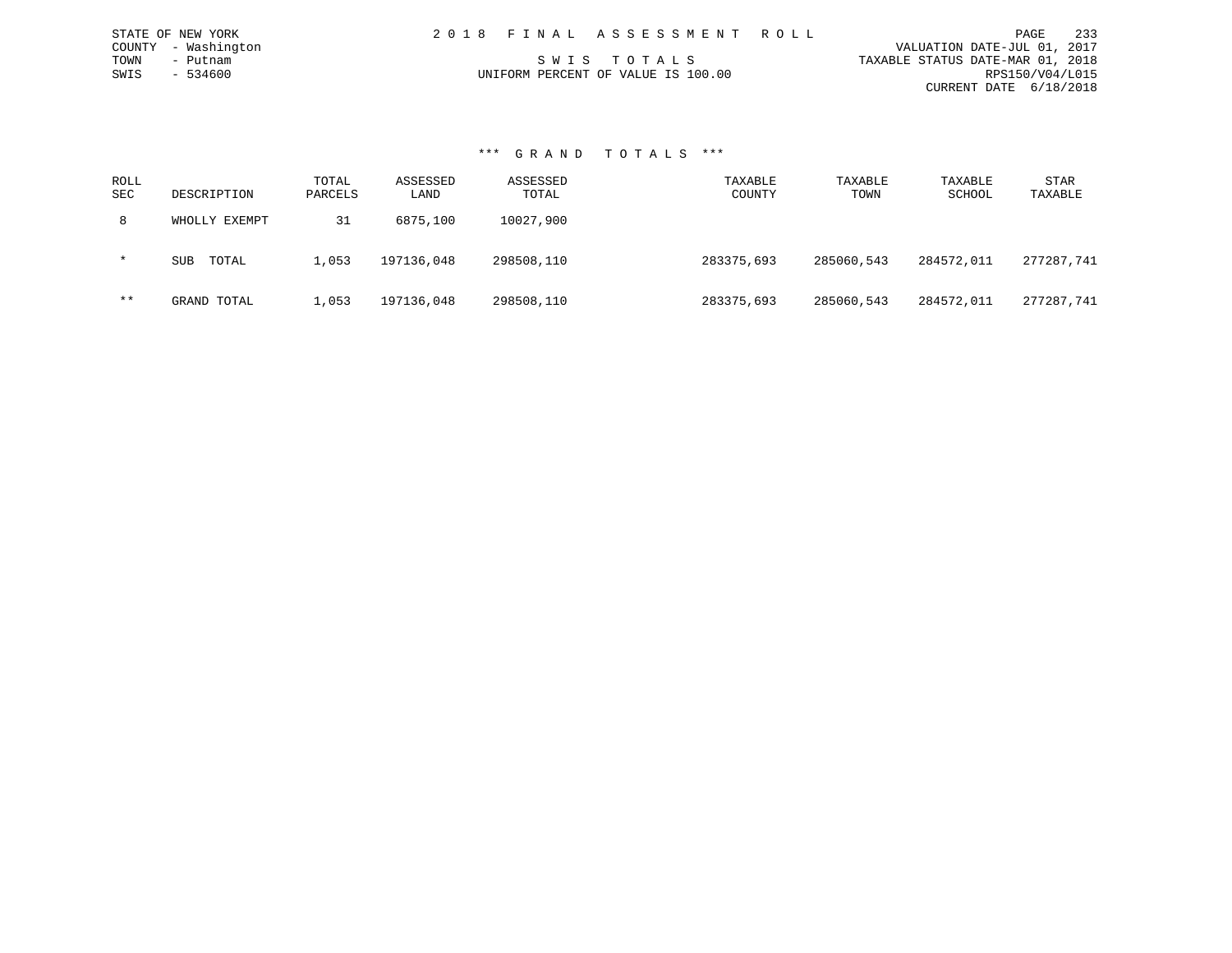| 2018 FINAL ASSESSMENT ROLL         | 233<br>PAGE                      |
|------------------------------------|----------------------------------|
|                                    | VALUATION DATE-JUL 01, 2017      |
| SWIS TOTALS                        | TAXABLE STATUS DATE-MAR 01, 2018 |
| UNIFORM PERCENT OF VALUE IS 100.00 | RPS150/V04/L015                  |
|                                    | CURRENT DATE 6/18/2018           |

### \*\*\* G R A N D T O T A L S \*\*\*

STATE OF NEW YORK COUNTY - Washington TOWN - Putnam  $SWIS$  - 534600

| ROLL<br>SEC | DESCRIPTION         | TOTAL<br>PARCELS | ASSESSED<br>LAND | ASSESSED<br>TOTAL | TAXABLE<br>COUNTY | TAXABLE<br>TOWN | TAXABLE<br>SCHOOL | STAR<br>TAXABLE |
|-------------|---------------------|------------------|------------------|-------------------|-------------------|-----------------|-------------------|-----------------|
| 8           | WHOLLY EXEMPT       | 31               | 6875,100         | 10027,900         |                   |                 |                   |                 |
| $\star$     | TOTAL<br><b>SUB</b> | 1,053            | 197136,048       | 298508,110        | 283375,693        | 285060,543      | 284572,011        | 277287.741      |
| $***$       | GRAND TOTAL         | 1,053            | 197136,048       | 298508,110        | 283375,693        | 285060,543      | 284572,011        | 277287,741      |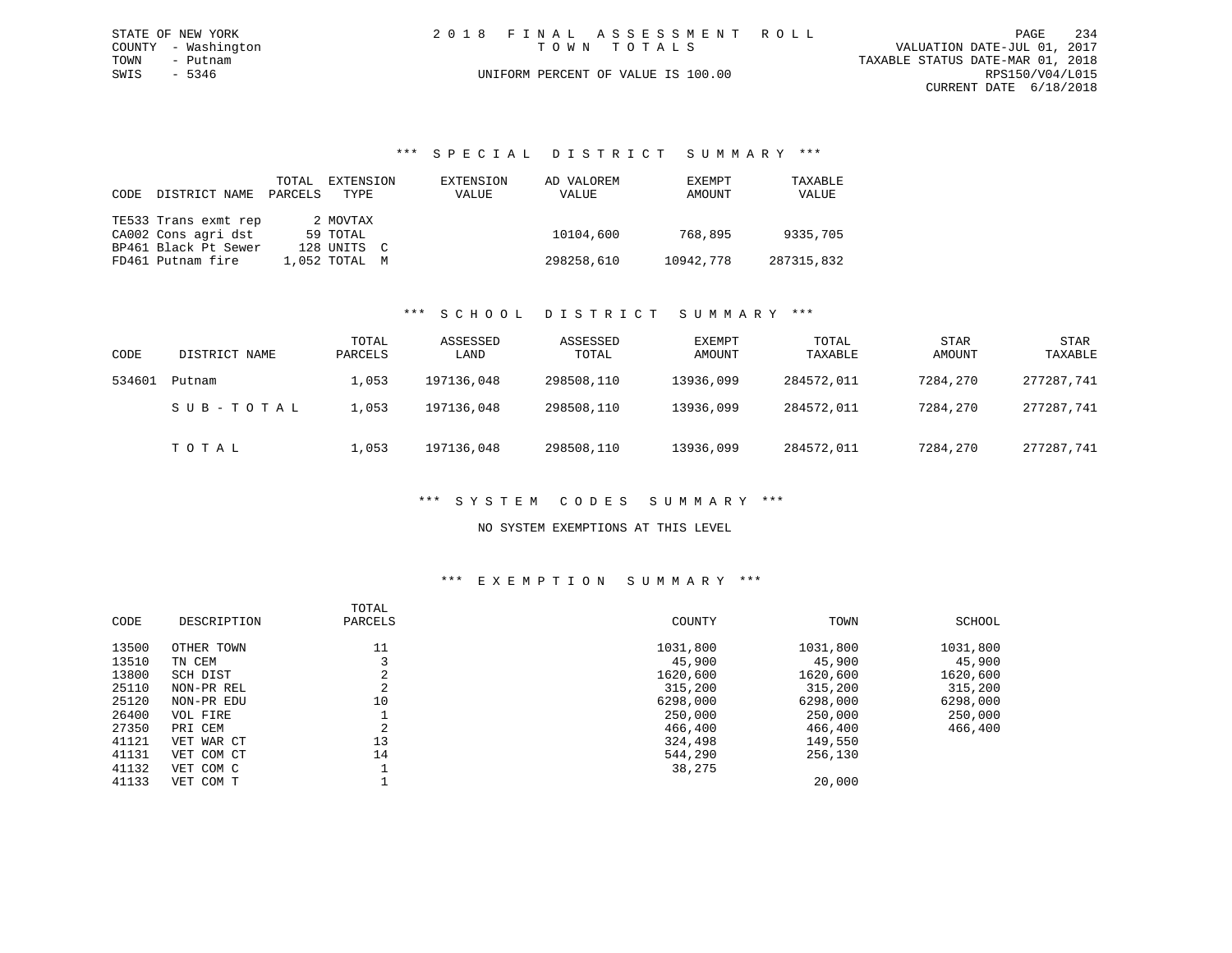| STATE OF NEW YORK   | 2018 FINAL ASSESSMENT ROLL         | 234<br>PAGE                      |
|---------------------|------------------------------------|----------------------------------|
| COUNTY - Washington | TOWN TOTALS                        | VALUATION DATE-JUL 01, 2017      |
| TOWN<br>- Putnam    |                                    | TAXABLE STATUS DATE-MAR 01, 2018 |
| SWIS - 5346         | UNIFORM PERCENT OF VALUE IS 100.00 | RPS150/V04/L015                  |
|                     |                                    | CURRENT DATE 6/18/2018           |

### \*\*\* S P E C I A L D I S T R I C T S U M M A R Y \*\*\*

| CODE | DISTRICT NAME        | TOTAL<br>PARCELS | EXTENSION<br>TYPE | EXTENSION<br>VALUE | AD VALOREM<br>VALUE | EXEMPT<br>AMOUNT | TAXABLE<br>VALUE |
|------|----------------------|------------------|-------------------|--------------------|---------------------|------------------|------------------|
|      | TE533 Trans exmt rep |                  | 2 MOVTAX          |                    |                     |                  |                  |
|      | CA002 Cons agri dst  |                  | 59 TOTAL          |                    | 10104,600           | 768,895          | 9335,705         |
|      | BP461 Black Pt Sewer |                  | 128 UNITS C       |                    |                     |                  |                  |
|      | FD461 Putnam fire    |                  | $1.052$ TOTAL $M$ |                    | 298258,610          | 10942,778        | 287315,832       |

### \*\*\* S C H O O L D I S T R I C T S U M M A R Y \*\*\*

| CODE   | DISTRICT NAME | TOTAL<br>PARCELS | ASSESSED<br>LAND | ASSESSED<br>TOTAL | EXEMPT<br>AMOUNT | TOTAL<br>TAXABLE | <b>STAR</b><br>AMOUNT | STAR<br>TAXABLE |
|--------|---------------|------------------|------------------|-------------------|------------------|------------------|-----------------------|-----------------|
| 534601 | Putnam        | 1,053            | 197136,048       | 298508,110        | 13936,099        | 284572,011       | 7284,270              | 277287,741      |
|        | SUB-TOTAL     | L,053            | 197136,048       | 298508,110        | 13936,099        | 284572,011       | 7284,270              | 277287,741      |
|        | TOTAL         | 1,053            | 197136,048       | 298508,110        | 13936,099        | 284572,011       | 7284,270              | 277287,741      |

### \*\*\* S Y S T E M C O D E S S U M M A R Y \*\*\*

### NO SYSTEM EXEMPTIONS AT THIS LEVEL

| CODE  | DESCRIPTION | TOTAL<br>PARCELS | COUNTY   | TOWN     | SCHOOL   |
|-------|-------------|------------------|----------|----------|----------|
| 13500 | OTHER TOWN  | 11               | 1031,800 | 1031,800 | 1031,800 |
| 13510 | TN CEM      |                  | 45,900   | 45,900   | 45,900   |
| 13800 | SCH DIST    | C.<br>∠          | 1620,600 | 1620,600 | 1620,600 |
| 25110 | NON-PR REL  | C<br>∠           | 315,200  | 315,200  | 315,200  |
| 25120 | NON-PR EDU  | 10               | 6298,000 | 6298,000 | 6298,000 |
| 26400 | VOL FIRE    |                  | 250,000  | 250,000  | 250,000  |
| 27350 | PRI CEM     | $\sim$<br>4      | 466,400  | 466,400  | 466,400  |
| 41121 | VET WAR CT  | 13               | 324,498  | 149,550  |          |
| 41131 | VET COM CT  | 14               | 544,290  | 256,130  |          |
| 41132 | VET COM C   |                  | 38,275   |          |          |
| 41133 | VET COM T   |                  |          | 20,000   |          |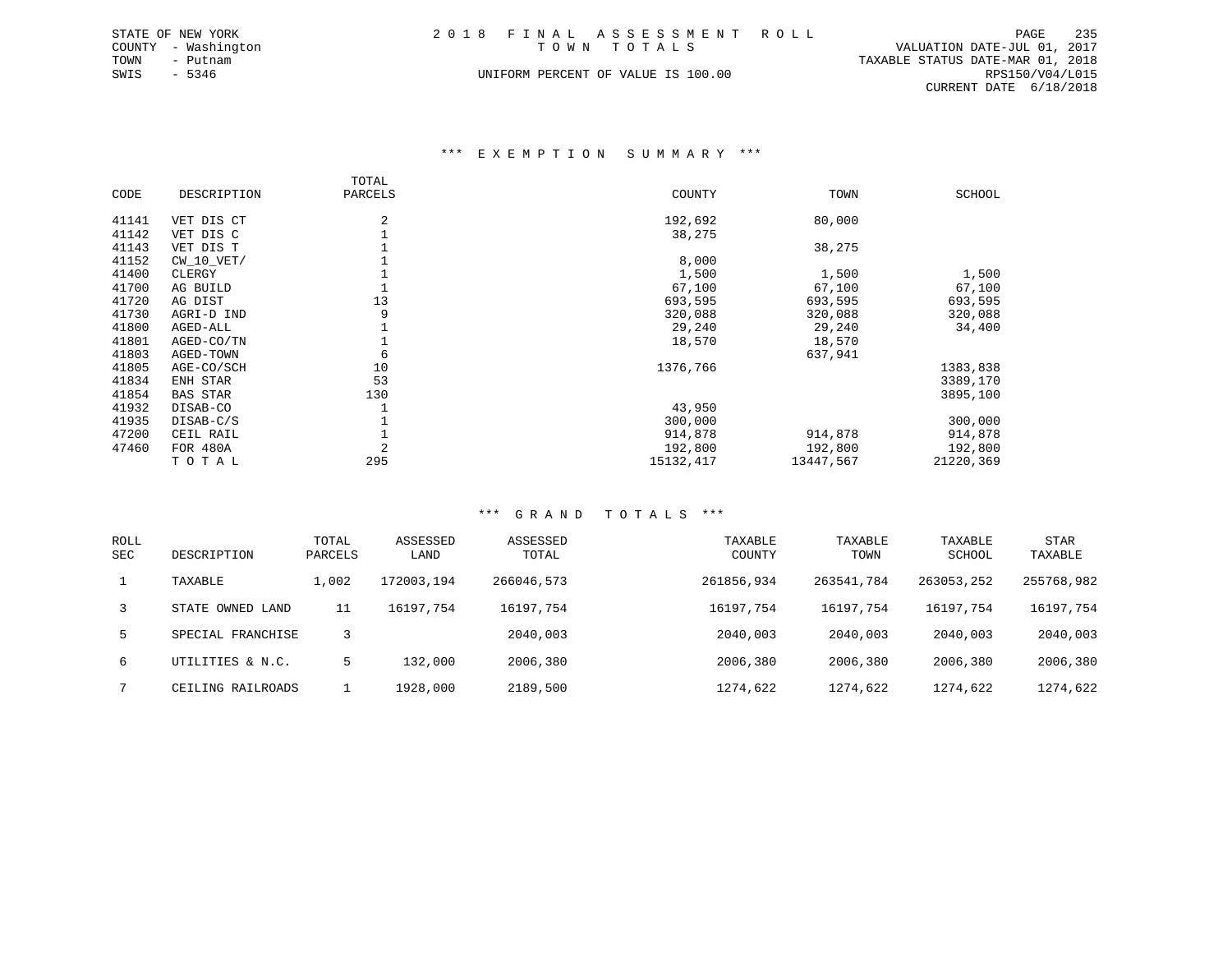| STATE OF NEW YORK |                     |  | 2018 FINAL ASSESSMENT ROLL         |                                  | PAGE            | 235 |
|-------------------|---------------------|--|------------------------------------|----------------------------------|-----------------|-----|
|                   | COUNTY - Washington |  | TOWN TOTALS                        | VALUATION DATE-JUL 01, 2017      |                 |     |
| TOWN              | - Putnam            |  |                                    | TAXABLE STATUS DATE-MAR 01, 2018 |                 |     |
| SWIS - 5346       |                     |  | UNIFORM PERCENT OF VALUE IS 100.00 |                                  | RPS150/V04/L015 |     |
|                   |                     |  |                                    | CURRENT DATE 6/18/2018           |                 |     |

### \*\*\* E X E M P T I O N S U M M A R Y \*\*\*

|       |                 | TOTAL          |           |           |           |
|-------|-----------------|----------------|-----------|-----------|-----------|
| CODE  | DESCRIPTION     | PARCELS        | COUNTY    | TOWN      | SCHOOL    |
| 41141 | VET DIS CT      | 2              | 192,692   | 80,000    |           |
| 41142 | VET DIS C       |                | 38,275    |           |           |
| 41143 | VET DIS T       |                |           | 38,275    |           |
| 41152 | $CW$ 10 $VET/$  |                | 8,000     |           |           |
| 41400 | CLERGY          |                | 1,500     | 1,500     | 1,500     |
| 41700 | AG BUILD        |                | 67,100    | 67,100    | 67,100    |
| 41720 | AG DIST         | 13             | 693,595   | 693,595   | 693,595   |
| 41730 | AGRI-D IND      | 9              | 320,088   | 320,088   | 320,088   |
| 41800 | AGED-ALL        |                | 29,240    | 29,240    | 34,400    |
| 41801 | AGED-CO/TN      |                | 18,570    | 18,570    |           |
| 41803 | AGED-TOWN       | 6              |           | 637,941   |           |
| 41805 | AGE-CO/SCH      | 10             | 1376,766  |           | 1383,838  |
| 41834 | ENH STAR        | 53             |           |           | 3389,170  |
| 41854 | <b>BAS STAR</b> | 130            |           |           | 3895,100  |
| 41932 | DISAB-CO        |                | 43,950    |           |           |
| 41935 | DISAB-C/S       |                | 300,000   |           | 300,000   |
| 47200 | CEIL RAIL       |                | 914,878   | 914,878   | 914,878   |
| 47460 | <b>FOR 480A</b> | $\overline{a}$ | 192,800   | 192,800   | 192,800   |
|       | TOTAL           | 295            | 15132,417 | 13447,567 | 21220,369 |

| <b>ROLL</b><br><b>SEC</b> | DESCRIPTION       | TOTAL<br>PARCELS | ASSESSED<br>LAND | ASSESSED<br>TOTAL | TAXABLE<br>COUNTY | TAXABLE<br>TOWN | TAXABLE<br>SCHOOL | STAR<br>TAXABLE |
|---------------------------|-------------------|------------------|------------------|-------------------|-------------------|-----------------|-------------------|-----------------|
| 1                         | TAXABLE           | 1,002            | 172003,194       | 266046,573        | 261856,934        | 263541,784      | 263053,252        | 255768,982      |
| 3                         | STATE OWNED LAND  | 11               | 16197.754        | 16197,754         | 16197,754         | 16197.754       | 16197,754         | 16197,754       |
| $5 -$                     | SPECIAL FRANCHISE |                  |                  | 2040,003          | 2040,003          | 2040,003        | 2040,003          | 2040,003        |
| 6                         | UTILITIES & N.C.  | 5.               | 132,000          | 2006,380          | 2006,380          | 2006,380        | 2006,380          | 2006,380        |
|                           | CEILING RAILROADS |                  | 1928,000         | 2189,500          | 1274,622          | 1274,622        | 1274,622          | 1274,622        |